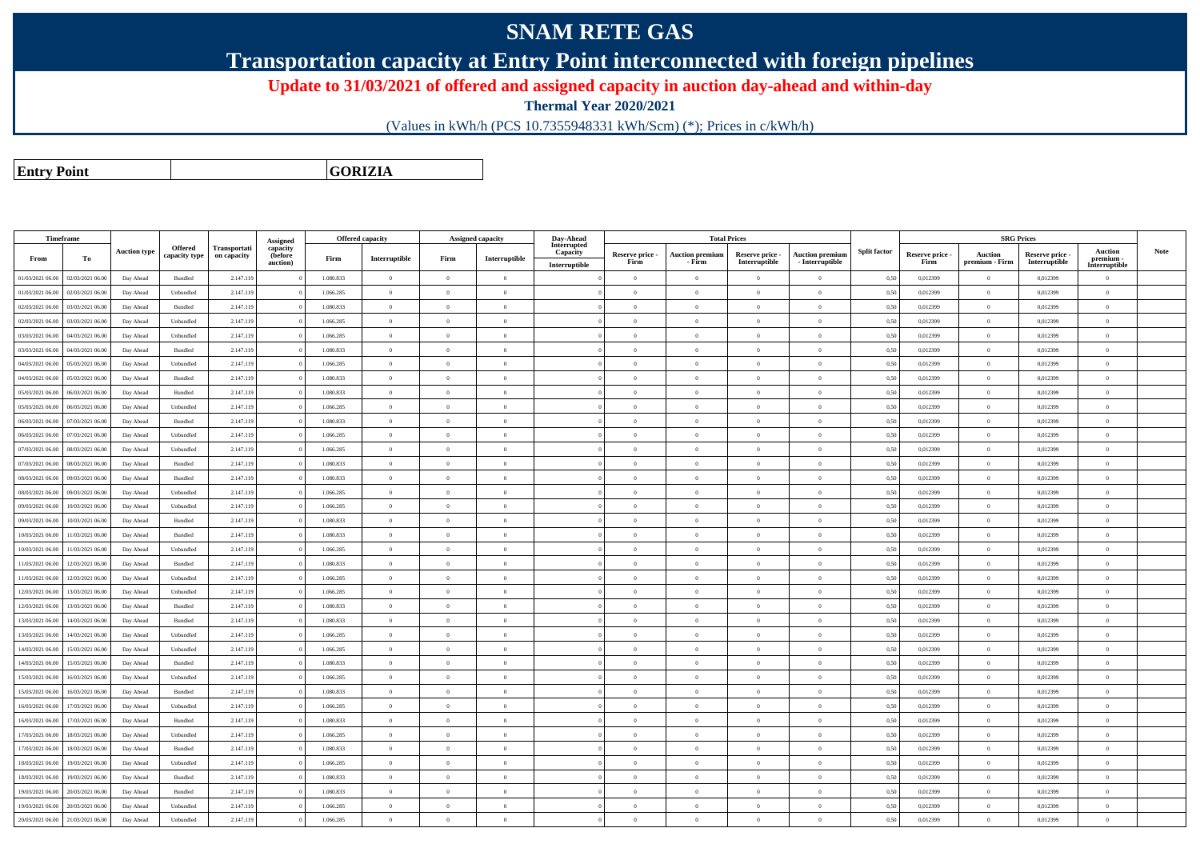## **SNAM RETE GAS**

**Transportation capacity at Entry Point interconnected with foreign pipelines**

**Update to 31/03/2021 of offered and assigned capacity in auction day-ahead and within-day**

**Thermal Year 2020/2021**

(Values in kWh/h (PCS 10.7355948331 kWh/Scm) (\*); Prices in c/kWh/h)

**Entry PointGORIZIA**

|                  | Timeframe        |                     |                                 |                             | <b>Assigned</b>     |           | Offered capacity |                | Assigned capacity                           | Day-Ahead               |                 |                        | <b>Total Prices</b> |                        |                     |                 |                | <b>SRG Prices</b> |                            |             |
|------------------|------------------|---------------------|---------------------------------|-----------------------------|---------------------|-----------|------------------|----------------|---------------------------------------------|-------------------------|-----------------|------------------------|---------------------|------------------------|---------------------|-----------------|----------------|-------------------|----------------------------|-------------|
|                  |                  | <b>Auction type</b> | <b>Offered</b><br>capacity type | Transportati<br>on capacity | capacity<br>(before |           |                  |                |                                             | Interrupted<br>Capacity | Reserve price - | <b>Auction premium</b> | Reserve price -     | <b>Auction premium</b> | <b>Split factor</b> | Reserve price - | <b>Auction</b> | Reserve price -   | <b>Auction</b>             | <b>Note</b> |
| From             | To               |                     |                                 |                             | auction)            | Firm      | Interruptible    | Firm           | $\label{prop:inter} \textbf{Interruptible}$ | Interruptible           | Firm            | - Firm                 | Interruptible       | - Interruptible        |                     | Firm            | premium - Firm | Interruptible     | premium -<br>Interruptible |             |
| 01/03/2021 06:00 | 02/03/2021 06:00 | Day Ahead           | Bundled                         | 2.147.119                   |                     | 1.080.833 | $\Omega$         | $\Omega$       | $\Omega$                                    |                         | $\Omega$        | $\theta$               | $\theta$            | $\theta$               | 0,50                | 0,012399        | $\Omega$       | 0,012399          | $\theta$                   |             |
| 01/03/2021 06:00 | 02/03/2021 06:00 | Day Ahead           | Unbundled                       | 2.147.119                   |                     | 1.066.285 | $\overline{0}$   | $\overline{0}$ | $\bf{0}$                                    |                         | $\bf{0}$        | $\overline{0}$         | $\bf{0}$            | $\bf{0}$               | 0,50                | 0,012399        | $\overline{0}$ | 0,012399          | $\bf{0}$                   |             |
| 02/03/2021 06.0  | 03/03/2021 06.0  | Day Ahead           | Bundled                         | 2.147.119                   |                     | 1.080.833 | $\overline{0}$   | $\overline{0}$ | $\overline{0}$                              |                         | $\overline{0}$  | $\bf{0}$               | $\overline{0}$      | $\theta$               | 0,50                | 0,012399        | $\bf{0}$       | 0,012399          | $\theta$                   |             |
| 02/03/2021 06:00 | 03/03/2021 06:00 | Day Ahead           | Unbundled                       | 2.147.119                   |                     | 1.066.285 | $\overline{0}$   | $\Omega$       | $\overline{0}$                              |                         | $\overline{0}$  | $\overline{0}$         | $\overline{0}$      | $\Omega$               | 0,50                | 0,012399        | $\overline{0}$ | 0,012399          | $\mathbf{0}$               |             |
| 03/03/2021 06:00 | 04/03/2021 06.0  | Day Ahead           | Unbundled                       | 2.147.119                   |                     | 1.066.285 | $\theta$         | $\Omega$       | $\Omega$                                    |                         | $\Omega$        | $\theta$               | $\Omega$            |                        | 0,50                | 0,012399        | $\overline{0}$ | 0,012399          | $\theta$                   |             |
| 03/03/2021 06:00 | 04/03/2021 06.0  | Day Ahead           | Bundled                         | 2.147.119                   |                     | 1.080.833 | $\overline{0}$   | $\overline{0}$ | $\theta$                                    |                         | $\overline{0}$  | $\bf{0}$               | $\overline{0}$      | $\theta$               | 0,50                | 0,012399        | $\overline{0}$ | 0,012399          | $\theta$                   |             |
| 04/03/2021 06:00 | 05/03/2021 06.0  | Day Ahead           | Unbundled                       | 2.147.119                   |                     | 1.066.285 | $\overline{0}$   |                | $\overline{0}$                              |                         | $\overline{0}$  | $\Omega$               | $\Omega$            | $\theta$               | 0,50                | 0,012399        | $\overline{0}$ | 0,012399          |                            |             |
| 04/03/2021 06:00 | 05/03/2021 06:00 | Day Ahead           | Bundled                         | 2.147.119                   |                     | 1.080.833 | $\overline{0}$   | $\overline{0}$ | $\Omega$                                    |                         | $\overline{0}$  | $\theta$               | $\overline{0}$      | $\Omega$               | 0,50                | 0,012399        | $\overline{0}$ | 0.012399          | $\overline{0}$             |             |
| 05/03/2021 06:00 | 06/03/2021 06:00 | Day Ahead           | Bundled                         | 2.147.119                   |                     | 1.080.833 | $\Omega$         | $^{\circ}$     | $\Omega$                                    |                         | $\theta$        | $\Omega$               | $\theta$            | $\Omega$               | 0,50                | 0.012399        | $\Omega$       | 0.012399          | $\Omega$                   |             |
| 05/03/2021 06:00 | 06/03/2021 06.0  | Day Ahead           | Unbundled                       | 2.147.119                   |                     | 1.066.285 | $\theta$         | $\Omega$       | $\Omega$                                    |                         | $\overline{0}$  | $\theta$               | $\overline{0}$      | $\Omega$               | 0,50                | 0,012399        | $\overline{0}$ | 0,012399          | $\theta$                   |             |
| 06/03/2021 06:00 | 07/03/2021 06.0  | Day Ahead           | Bundled                         | 2.147.119                   |                     | 1.080.833 | $\overline{0}$   | $\Omega$       | $\overline{0}$                              |                         | $\overline{0}$  | $\bf{0}$               | $\overline{0}$      | $\theta$               | 0,50                | 0,012399        | $\bf{0}$       | 0,012399          | $\sqrt{2}$                 |             |
| 06/03/2021 06:00 | 07/03/2021 06.0  | Day Ahead           | Unbundled                       | 2.147.119                   |                     | 1.066.285 | $\overline{0}$   | $\theta$       | $\overline{0}$                              |                         | $\overline{0}$  | $\bf{0}$               | $\overline{0}$      | $\Omega$               | 0,50                | 0,012399        | $\overline{0}$ | 0,012399          | $\Omega$                   |             |
| 07/03/2021 06:00 | 08/03/2021 06.0  | Day Ahead           | Unbundled                       | 2.147.119                   |                     | 1.066.285 | $\overline{0}$   | $\Omega$       | $\Omega$                                    |                         | $\theta$        | $\theta$               | $\overline{0}$      | $\theta$               | 0,50                | 0,012399        | $\overline{0}$ | 0,012399          | $\theta$                   |             |
| 07/03/2021 06:00 | 08/03/2021 06.0  | Day Ahead           | Bundled                         | 2.147.119                   |                     | 1.080.833 | $\overline{0}$   | $\Omega$       | $\overline{0}$                              |                         | $\overline{0}$  | $\bf{0}$               | $\overline{0}$      |                        | 0,50                | 0,012399        | $\overline{0}$ | 0,012399          | $\theta$                   |             |
| 08/03/2021 06:00 | 09/03/2021 06:00 | Day Ahead           | Bundled                         | 2.147.119                   |                     | 1.080.833 | $\overline{0}$   | $\theta$       | $\theta$                                    |                         | $\overline{0}$  | $\bf{0}$               | $\Omega$            | $\Omega$               | 0,50                | 0,012399        | $\overline{0}$ | 0,012399          | $\Omega$                   |             |
| 08/03/2021 06:00 | 09/03/2021 06:0  | Day Ahead           | Unbundled                       | 2.147.119                   |                     | 1.066.285 | $\overline{0}$   | $^{\circ}$     | $\Omega$                                    |                         | $\theta$        | $\Omega$               | $\Omega$            | $\Omega$               | 0.50                | 0.012399        | $\overline{0}$ | 0.012399          | $\Omega$                   |             |
| 09/03/2021 06:00 | 10/03/2021 06:00 | Day Ahead           | Unbundled                       | 2.147.119                   |                     | 1.066.285 | $\Omega$         | $\overline{0}$ | $\Omega$                                    |                         | $\overline{0}$  | $\theta$               | $\overline{0}$      | $\theta$               | 0.50                | 0.012399        | $\overline{0}$ | 0.012399          | $\overline{0}$             |             |
| 09/03/2021 06:00 | 10/03/2021 06:00 | Day Ahead           | Bundled                         | 2.147.119                   |                     | 1.080.833 | $\mathbf{0}$     | $\theta$       | $\Omega$                                    |                         | $\theta$        | $\theta$               | $\theta$            | $\theta$               | 0,50                | 0,012399        | $\Omega$       | 0,012399          | $\theta$                   |             |
| 10/03/2021 06:00 | 1/03/2021 06.0   | Day Ahead           | Bundled                         | 2.147.119                   |                     | 1.080.833 | $\,$ 0 $\,$      | $\Omega$       | $\theta$                                    |                         | $\overline{0}$  | $\bf{0}$               | $\theta$            | $\theta$               | 0,50                | 0,012399        | $\bf{0}$       | 0,012399          | $\theta$                   |             |
| 10/03/2021 06:00 | 11/03/2021 06.00 | Day Ahead           | Unbundled                       | 2.147.119                   |                     | 1.066.285 | $\overline{0}$   | $^{\circ}$     | $\Omega$                                    |                         | $\overline{0}$  | $\Omega$               | $\theta$            | $\theta$               | 0,50                | 0,012399        | $\overline{0}$ | 0,012399          | $\mathbf{a}$               |             |
| 11/03/2021 06:00 | 12/03/2021 06.0  | Day Ahead           | Bundled                         | 2.147.119                   |                     | 1.080.833 | $\mathbf{0}$     | $\Omega$       | $\Omega$                                    |                         | $\overline{0}$  | $\Omega$               | $\Omega$            | $\Omega$               | 0,50                | 0,012399        | $\overline{0}$ | 0,012399          | $\Omega$                   |             |
| 11/03/2021 06:00 | 12/03/2021 06.0  | Day Ahead           | Unbundled                       | 2.147.119                   |                     | 1.066.285 | $\overline{0}$   | $\Omega$       | $\overline{0}$                              |                         | $\overline{0}$  | $\bf{0}$               | $\overline{0}$      | $\theta$               | 0,50                | 0,012399        | $\overline{0}$ | 0,012399          | $\theta$                   |             |
| 12/03/2021 06:00 | 13/03/2021 06.0  | Day Ahead           | Unbundled                       | 2.147.119                   |                     | 1.066.285 | $\overline{0}$   | $\overline{0}$ | $\overline{0}$                              |                         | $\overline{0}$  | $\bf{0}$               | $\overline{0}$      | $\theta$               | 0,50                | 0,012399        | $\overline{0}$ | 0,012399          | $\theta$                   |             |
| 12/03/2021 06:00 | 13/03/2021 06.0  | Day Ahead           | Bundled                         | 2.147.119                   |                     | 1.080.833 | $\mathbf{0}$     | $\Omega$       | $\overline{0}$                              |                         | $\overline{0}$  | $\Omega$               | $\Omega$            | $\theta$               | 0,50                | 0,012399        | $\overline{0}$ | 0,012399          | $\theta$                   |             |
| 13/03/2021 06:00 | 14/03/2021 06.0  | Day Ahead           | Bundled                         | 2.147.119                   |                     | 1.080.833 | $\overline{0}$   | $\Omega$       | $\Omega$                                    |                         | $\theta$        | $\theta$               | $\theta$            | $\theta$               | 0.50                | 0.012399        | $\overline{0}$ | 0.012399          | $\Omega$                   |             |
| 13/03/2021 06:00 | 14/03/2021 06:00 | Day Ahead           | Unbundled                       | 2.147.119                   |                     | 1.066.285 | $\theta$         | $\theta$       | $\theta$                                    |                         | $\overline{0}$  | $\bf{0}$               | $\overline{0}$      | $\theta$               | 0,50                | 0,012399        | $\overline{0}$ | 0,012399          | $\overline{0}$             |             |
| 14/03/2021 06:00 | 15/03/2021 06:00 | Day Ahead           | Unbundled                       | 2.147.119                   |                     | 1.066.285 | $\Omega$         | $\Omega$       | $\Omega$                                    |                         | $\Omega$        | $\theta$               | $\Omega$            | $\Omega$               | 0,50                | 0,012399        | $\Omega$       | 0,012399          | $\mathbf{0}$               |             |
| 14/03/2021 06:00 | 15/03/2021 06.0  | Day Ahead           | Bundled                         | 2.147.119                   |                     | 1.080.833 | $\,$ 0 $\,$      | $\overline{0}$ | $\theta$                                    |                         | $\bf{0}$        | $\bf{0}$               | $\overline{0}$      | $\Omega$               | 0,50                | 0,012399        | $\bf{0}$       | 0,012399          | $\bf{0}$                   |             |
| 15/03/2021 06:00 | 16/03/2021 06:00 | Day Ahead           | Unbundled                       | 2.147.119                   |                     | 1.066.285 | $\overline{0}$   | $\Omega$       | $\Omega$                                    |                         | $\Omega$        | $\Omega$               | $\theta$            | $\mathbf{0}$           | 0.50                | 0.012399        | $\overline{0}$ | 0.012399          | $\Omega$                   |             |
| 15/03/2021 06:00 | 6/03/2021 06.0   | Day Ahead           | Bundled                         | 2.147.119                   |                     | 1.080.833 | $\,$ 0 $\,$      | $\overline{0}$ | $\overline{0}$                              |                         | $\overline{0}$  | $\bf{0}$               | $\overline{0}$      | $\Omega$               | 0,50                | 0,012399        | $\overline{0}$ | 0,012399          | $\overline{0}$             |             |
| 16/03/2021 06:00 | 17/03/2021 06.0  | Day Ahead           | Unbundled                       | 2.147.119                   |                     | 1.066.285 | $\overline{0}$   | $\Omega$       | $\theta$                                    |                         | $\overline{0}$  | $\bf{0}$               | $\overline{0}$      | $\Omega$               | 0,50                | 0,012399        | $\overline{0}$ | 0,012399          | $\theta$                   |             |
| 16/03/2021 06:00 | 17/03/2021 06.0  | Day Ahead           | Bundled                         | 2.147.119                   |                     | 1.080.833 | $\overline{0}$   | $\theta$       | $\overline{0}$                              |                         | $\overline{0}$  | $\bf{0}$               | $\theta$            | $\Omega$               | 0,50                | 0,012399        | $\overline{0}$ | 0,012399          | $\theta$                   |             |
| 17/03/2021 06:00 | 18/03/2021 06.0  | Day Ahead           | Unbundled                       | 2.147.119                   |                     | 1.066.285 | $\overline{0}$   | $\Omega$       | $\overline{0}$                              |                         | $\overline{0}$  | $\Omega$               | $\theta$            | $\Omega$               | 0,50                | 0,012399        | $\overline{0}$ | 0,012399          | $\theta$                   |             |
| 17/03/2021 06:00 | 18/03/2021 06.0  | Day Ahead           | Bundled                         | 2.147.119                   |                     | 1.080.833 | $\theta$         | $\Omega$       | $\overline{0}$                              |                         | $\overline{0}$  | $\bf{0}$               | $\overline{0}$      | $\theta$               | 0,50                | 0,012399        | $\overline{0}$ | 0,012399          | $\Omega$                   |             |
| 18/03/2021 06:00 | 19/03/2021 06:00 | Day Ahead           | Unbundled                       | 2.147.119                   |                     | 1.066.285 | $\overline{0}$   | $\Omega$       | $\overline{0}$                              |                         | $\overline{0}$  | $\overline{0}$         | $\overline{0}$      | $\mathbf{0}$           | 0,50                | 0,012399        | $\overline{0}$ | 0,012399          | $\overline{0}$             |             |
| 18/03/2021 06:00 | 19/03/2021 06:0  | Day Ahead           | <b>Bundled</b>                  | 2.147.119                   |                     | 1.080.833 | $\Omega$         | $^{\circ}$     | $\Omega$                                    |                         | $\theta$        | $\theta$               | $\Omega$            | $\Omega$               | 0,50                | 0.012399        | $\Omega$       | 0.012399          | $\Omega$                   |             |
| 19/03/2021 06:00 | 20/03/2021 06.0  | Day Ahead           | Bundled                         | 2.147.119                   |                     | 1.080.833 | $\overline{0}$   | $\Omega$       | $\Omega$                                    |                         | $\overline{0}$  | $\Omega$               | $\theta$            | $\Omega$               | 0,50                | 0,012399        | $\overline{0}$ | 0,012399          | $\mathbf{0}$               |             |
| 19/03/2021 06:00 | 20/03/2021 06:00 | Day Ahead           | Unbundled                       | 2.147.119                   |                     | 1.066.285 | $\overline{0}$   | $\Omega$       | $\theta$                                    |                         | $\overline{0}$  | $\bf{0}$               | $\overline{0}$      | $\theta$               | 0,50                | 0,012399        | $\overline{0}$ | 0,012399          | $\mathbf{0}$               |             |
| 20/03/2021 06:00 | 21/03/2021 06.00 | Day Ahead           | Unbundled                       | 2.147.119                   |                     | 1.066.285 | $\theta$         | $\Omega$       | $\sqrt{2}$                                  |                         | $\Omega$        | $\Omega$               | $\Omega$            |                        | 0,50                | 0,012399        | $\Omega$       | 0,012399          | $\theta$                   |             |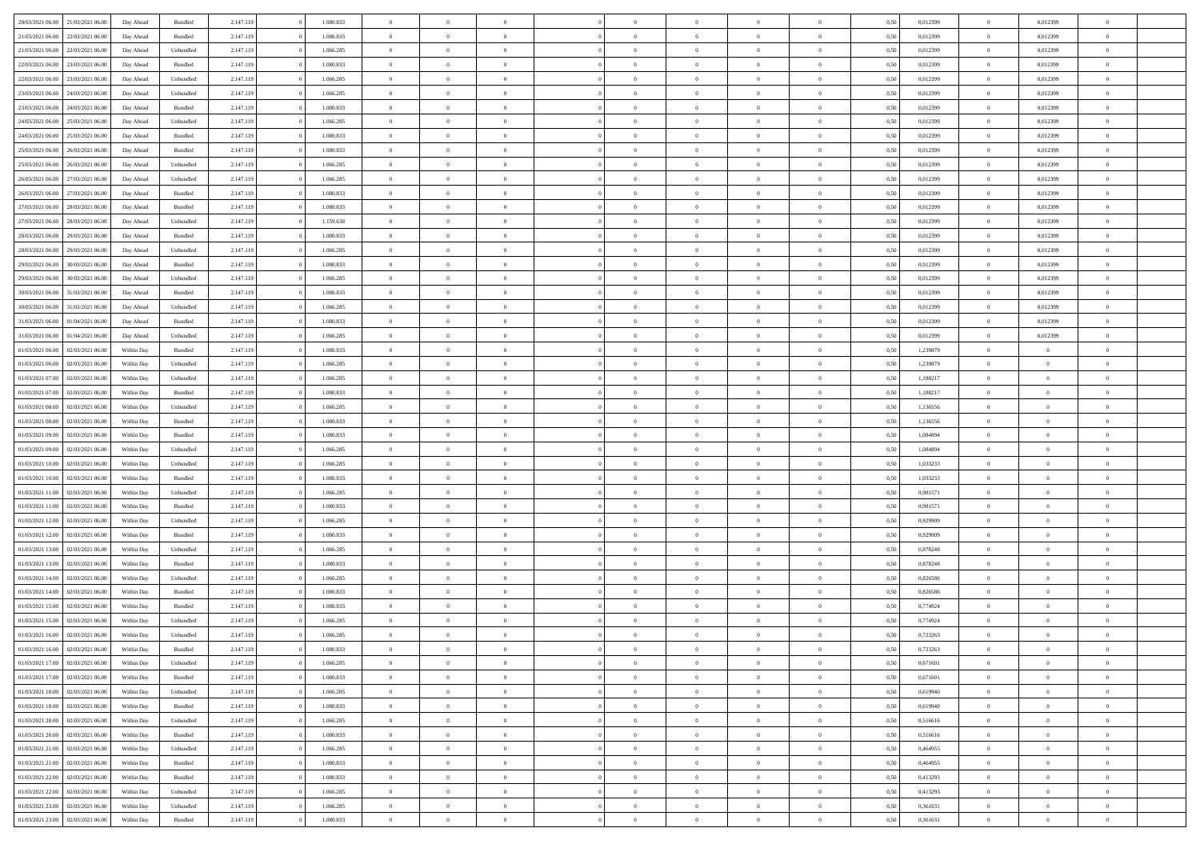| 20/03/2021 06:00                  | 21/03/2021 06:00 | Day Ahead  | Bundled   | 2.147.119 | 1.080.833 | $\overline{0}$ | $\Omega$       |                | $\Omega$       | $\Omega$       | $\Omega$       | $\theta$       | 0.50 | 0,012399 | $\theta$       | 0,012399       | $\theta$                 |  |
|-----------------------------------|------------------|------------|-----------|-----------|-----------|----------------|----------------|----------------|----------------|----------------|----------------|----------------|------|----------|----------------|----------------|--------------------------|--|
|                                   |                  |            |           |           |           |                |                |                |                |                |                |                |      |          |                |                |                          |  |
| 21/03/2021 06:00                  | 22/03/2021 06:00 | Day Ahead  | Bundled   | 2.147.119 | 1.080.833 | $\overline{0}$ | $\theta$       | $\overline{0}$ | $\overline{0}$ | $\bf{0}$       | $\overline{0}$ | $\overline{0}$ | 0,50 | 0,012399 | $\theta$       | 0,012399       | $\overline{0}$           |  |
| 21/03/2021 06:00                  | 22/03/2021 06:00 | Day Ahead  | Unbundled | 2.147.119 | 1.066.285 | $\overline{0}$ | $\overline{0}$ | $\overline{0}$ | $\bf{0}$       | $\bf{0}$       | $\bf{0}$       | $\bf{0}$       | 0,50 | 0,012399 | $\overline{0}$ | 0,012399       | $\overline{0}$           |  |
| 22/03/2021 06:00                  | 23/03/2021 06:00 | Day Ahead  | Bundled   | 2.147.119 | 1.080.833 | $\overline{0}$ | $\overline{0}$ | $\overline{0}$ | $\overline{0}$ | $\bf{0}$       | $\overline{0}$ | $\overline{0}$ | 0.50 | 0.012399 | $\overline{0}$ | 0.012399       | $\overline{0}$           |  |
| 22/03/2021 06:00                  | 23/03/2021 06:00 | Day Ahead  | Unbundled | 2.147.119 | 1.066.285 | $\overline{0}$ | $\theta$       | $\overline{0}$ | $\overline{0}$ | $\bf{0}$       | $\overline{0}$ | $\bf{0}$       | 0,50 | 0,012399 | $\,$ 0 $\,$    | 0,012399       | $\overline{0}$           |  |
| 23/03/2021 06:00                  | 24/03/2021 06:00 | Day Ahead  | Unbundled | 2.147.119 | 1.066.285 | $\overline{0}$ | $\bf{0}$       | $\overline{0}$ | $\bf{0}$       | $\overline{0}$ | $\overline{0}$ | $\mathbf{0}$   | 0,50 | 0,012399 | $\overline{0}$ | 0,012399       | $\bf{0}$                 |  |
|                                   |                  |            |           |           |           |                |                |                |                | $\overline{0}$ |                |                |      |          | $\overline{0}$ |                | $\overline{0}$           |  |
| 23/03/2021 06:00                  | 24/03/2021 06.00 | Day Ahead  | Bundled   | 2.147.119 | 1.080.833 | $\overline{0}$ | $\overline{0}$ | $\overline{0}$ | $\overline{0}$ |                | $\overline{0}$ | $\overline{0}$ | 0.50 | 0,012399 |                | 0.012399       |                          |  |
| 24/03/2021 06.00                  | 25/03/2021 06:00 | Day Ahead  | Unbundled | 2.147.119 | 1.066.285 | $\overline{0}$ | $\theta$       | $\overline{0}$ | $\overline{0}$ | $\bf{0}$       | $\overline{0}$ | $\bf{0}$       | 0,50 | 0,012399 | $\,$ 0 $\,$    | 0,012399       | $\overline{0}$           |  |
| 24/03/2021 06:00                  | 25/03/2021 06:00 | Day Ahead  | Bundled   | 2.147.119 | 1.080.833 | $\overline{0}$ | $\overline{0}$ | $\overline{0}$ | $\overline{0}$ | $\bf{0}$       | $\overline{0}$ | $\bf{0}$       | 0,50 | 0,012399 | $\bf{0}$       | 0,012399       | $\overline{0}$           |  |
| 25/03/2021 06:00                  | 26/03/2021 06:00 | Day Ahead  | Bundled   | 2.147.119 | 1.080.833 | $\overline{0}$ | $\overline{0}$ | $\overline{0}$ | $\overline{0}$ | $\overline{0}$ | $\overline{0}$ | $\overline{0}$ | 0.50 | 0,012399 | $\theta$       | 0,012399       | $\overline{0}$           |  |
| 25/03/2021 06:00                  | 26/03/2021 06:00 | Day Ahead  | Unbundled | 2.147.119 | 1.066.285 | $\overline{0}$ | $\theta$       | $\overline{0}$ | $\overline{0}$ | $\bf{0}$       | $\overline{0}$ | $\bf{0}$       | 0,50 | 0,012399 | $\,$ 0 $\,$    | 0,012399       | $\overline{0}$           |  |
| 26/03/2021 06:00                  | 27/03/2021 06:00 | Day Ahead  | Unbundled | 2.147.119 | 1.066.285 | $\overline{0}$ | $\overline{0}$ | $\overline{0}$ | $\overline{0}$ | $\bf{0}$       | $\overline{0}$ | $\bf{0}$       | 0,50 | 0,012399 | $\bf{0}$       | 0,012399       | $\overline{\phantom{a}}$ |  |
| 26/03/2021 06:00                  | 27/03/2021 06:00 | Day Ahead  | Bundled   | 2.147.119 | 1.080.833 | $\overline{0}$ | $\overline{0}$ | $\overline{0}$ | $\overline{0}$ | $\bf{0}$       | $\overline{0}$ | $\overline{0}$ | 0.50 | 0.012399 | $\overline{0}$ | 0.012399       | $\overline{0}$           |  |
| 27/03/2021 06:00                  | 28/03/2021 06:00 |            |           | 2.147.119 | 1.080.833 | $\overline{0}$ | $\theta$       | $\overline{0}$ | $\overline{0}$ | $\bf{0}$       | $\overline{0}$ | $\overline{0}$ |      | 0,012399 | $\,$ 0 $\,$    | 0,012399       | $\overline{0}$           |  |
|                                   |                  | Day Ahead  | Bundled   |           |           |                |                |                |                |                |                |                | 0,50 |          |                |                |                          |  |
| 27/03/2021 06:00                  | 28/03/2021 06:00 | Day Ahead  | Unbundled | 2.147.119 | 1.159.638 | $\overline{0}$ | $\bf{0}$       | $\overline{0}$ | $\overline{0}$ | $\overline{0}$ | $\overline{0}$ | $\mathbf{0}$   | 0,50 | 0,012399 | $\overline{0}$ | 0,012399       | $\bf{0}$                 |  |
| 28/03/2021 06:00                  | 29/03/2021 06:00 | Day Ahead  | Bundled   | 2.147.119 | 1.080.833 | $\overline{0}$ | $\overline{0}$ | $\overline{0}$ | $\overline{0}$ | $\overline{0}$ | $\overline{0}$ | $\overline{0}$ | 0.50 | 0,012399 | $\overline{0}$ | 0.012399       | $\overline{0}$           |  |
| 28/03/2021 06:00                  | 29/03/2021 06:00 | Day Ahead  | Unbundled | 2.147.119 | 1.066.285 | $\overline{0}$ | $\theta$       | $\overline{0}$ | $\overline{0}$ | $\bf{0}$       | $\overline{0}$ | $\bf{0}$       | 0,50 | 0,012399 | $\theta$       | 0,012399       | $\overline{0}$           |  |
| 29/03/2021 06:00                  | 30/03/2021 06:00 | Day Ahead  | Bundled   | 2.147.119 | 1.080.833 | $\overline{0}$ | $\overline{0}$ | $\overline{0}$ | $\bf{0}$       | $\bf{0}$       | $\bf{0}$       | $\bf{0}$       | 0,50 | 0,012399 | $\bf{0}$       | 0,012399       | $\overline{0}$           |  |
| 29/03/2021 06:00                  | 30/03/2021 06:00 | Day Ahead  | Unbundled | 2.147.119 | 1.066.285 | $\overline{0}$ | $\overline{0}$ | $\overline{0}$ | $\overline{0}$ | $\overline{0}$ | $\overline{0}$ | $\overline{0}$ | 0.50 | 0,012399 | $\overline{0}$ | 0.012399       | $\overline{0}$           |  |
| 30/03/2021 06:00                  | 31/03/2021 06:00 | Day Ahead  | Bundled   | 2.147.119 | 1.080.833 | $\overline{0}$ | $\theta$       | $\overline{0}$ | $\overline{0}$ | $\bf{0}$       | $\overline{0}$ | $\bf{0}$       | 0,50 | 0,012399 | $\,$ 0 $\,$    | 0,012399       | $\overline{0}$           |  |
| 30/03/2021 06:00                  | 31/03/2021 06:00 | Day Ahead  | Unbundled | 2.147.119 | 1.066.285 | $\overline{0}$ | $\overline{0}$ | $\overline{0}$ | $\bf{0}$       | $\bf{0}$       | $\bf{0}$       | $\bf{0}$       | 0,50 | 0,012399 | $\overline{0}$ | 0,012399       | $\overline{0}$           |  |
| 31/03/2021 06:00                  | 01/04/2021 06:00 |            | Bundled   |           | 1.080.833 | $\overline{0}$ | $\overline{0}$ |                |                | $\bf{0}$       | $\overline{0}$ |                | 0.50 | 0.012399 | $\overline{0}$ | 0.012399       | $\overline{0}$           |  |
|                                   |                  | Day Ahead  |           | 2.147.119 |           |                |                | $\overline{0}$ | $\overline{0}$ |                |                | $\overline{0}$ |      |          |                |                |                          |  |
| 31/03/2021 06:00                  | 01/04/2021 06:00 | Day Ahead  | Unbundled | 2.147.119 | 1.066.285 | $\overline{0}$ | $\theta$       | $\overline{0}$ | $\overline{0}$ | $\bf{0}$       | $\overline{0}$ | $\bf{0}$       | 0,50 | 0,012399 | $\,$ 0 $\,$    | 0,012399       | $\overline{0}$           |  |
| 01/03/2021 06:00                  | 02/03/2021 06:00 | Within Day | Bundled   | 2.147.119 | 1.080.833 | $\overline{0}$ | $\bf{0}$       | $\overline{0}$ | $\bf{0}$       | $\overline{0}$ | $\overline{0}$ | $\mathbf{0}$   | 0,50 | 1,239879 | $\overline{0}$ | $\overline{0}$ | $\bf{0}$                 |  |
| 01/03/2021 06:00                  | 02/03/2021 06:00 | Within Dav | Unbundled | 2.147.119 | 1.066.285 | $\overline{0}$ | $\overline{0}$ | $\overline{0}$ | $\overline{0}$ | $\overline{0}$ | $\overline{0}$ | $\overline{0}$ | 0.50 | 1,239879 | $\theta$       | $\overline{0}$ | $\overline{0}$           |  |
| 01/03/2021 07:00                  | 02/03/2021 06:00 | Within Day | Unbundled | 2.147.119 | 1.066.285 | $\overline{0}$ | $\theta$       | $\overline{0}$ | $\overline{0}$ | $\bf{0}$       | $\overline{0}$ | $\bf{0}$       | 0,50 | 1,188217 | $\theta$       | $\theta$       | $\overline{0}$           |  |
| 01/03/2021 07:00                  | 02/03/2021 06:00 | Within Day | Bundled   | 2.147.119 | 1.080.833 | $\overline{0}$ | $\overline{0}$ | $\overline{0}$ | $\bf{0}$       | $\bf{0}$       | $\bf{0}$       | $\bf{0}$       | 0,50 | 1,188217 | $\,0\,$        | $\overline{0}$ | $\overline{0}$           |  |
| 01/03/2021 08:00                  | 02/03/2021 06:00 | Within Day | Unbundled | 2.147.119 | 1.066.285 | $\overline{0}$ | $\overline{0}$ | $\overline{0}$ | $\overline{0}$ | $\overline{0}$ | $\overline{0}$ | $\overline{0}$ | 0.50 | 1,136556 | $\theta$       | $\overline{0}$ | $\overline{0}$           |  |
| 01/03/2021 08:00                  | 02/03/2021 06:00 | Within Day | Bundled   | 2.147.119 | 1.080.833 | $\overline{0}$ | $\theta$       | $\overline{0}$ | $\overline{0}$ | $\bf{0}$       | $\overline{0}$ | $\bf{0}$       | 0,50 | 1,136556 | $\,$ 0 $\,$    | $\theta$       | $\overline{0}$           |  |
|                                   |                  |            |           |           |           |                |                |                |                |                |                |                |      |          |                |                |                          |  |
| 01/03/2021 09:00                  | 02/03/2021 06:00 | Within Day | Bundled   | 2.147.119 | 1.080.833 | $\overline{0}$ | $\overline{0}$ | $\overline{0}$ | $\bf{0}$       | $\bf{0}$       | $\bf{0}$       | $\bf{0}$       | 0,50 | 1,084894 | $\overline{0}$ | $\overline{0}$ | $\overline{0}$           |  |
| 01/03/2021 09:00                  | 02/03/2021 06:00 | Within Day | Unbundled | 2.147.119 | 1.066.285 | $\overline{0}$ | $\Omega$       | $\Omega$       | $\Omega$       | $\Omega$       | $\Omega$       | $\overline{0}$ | 0.50 | 1.084894 | $\,0\,$        | $\Omega$       | $\theta$                 |  |
| 01/03/2021 10:00                  | 02/03/2021 06:00 | Within Day | Unbundled | 2.147.119 | 1.066.285 | $\overline{0}$ | $\theta$       | $\overline{0}$ | $\overline{0}$ | $\bf{0}$       | $\overline{0}$ | $\bf{0}$       | 0,50 | 1,033233 | $\theta$       | $\theta$       | $\overline{0}$           |  |
| 01/03/2021 10:00                  | 02/03/2021 06:00 | Within Day | Bundled   | 2.147.119 | 1.080.833 | $\overline{0}$ | $\overline{0}$ | $\overline{0}$ | $\bf{0}$       | $\bf{0}$       | $\overline{0}$ | $\mathbf{0}$   | 0,50 | 1,033233 | $\overline{0}$ | $\overline{0}$ | $\bf{0}$                 |  |
| 01/03/2021 11:00                  | 02/03/2021 06:00 | Within Day | Unbundled | 2.147.119 | 1.066.285 | $\overline{0}$ | $\Omega$       | $\Omega$       | $\Omega$       | $\Omega$       | $\Omega$       | $\overline{0}$ | 0.50 | 0.981571 | $\theta$       | $\theta$       | $\theta$                 |  |
| 01/03/2021 11:00                  | 02/03/2021 06:00 | Within Day | Bundled   | 2.147.119 | 1.080.833 | $\overline{0}$ | $\theta$       | $\overline{0}$ | $\overline{0}$ | $\bf{0}$       | $\overline{0}$ | $\bf{0}$       | 0,50 | 0,981571 | $\theta$       | $\theta$       | $\overline{0}$           |  |
| 01/03/2021 12:00                  | 02/03/2021 06:00 | Within Day | Unbundled | 2.147.119 | 1.066.285 | $\overline{0}$ | $\overline{0}$ | $\overline{0}$ | $\bf{0}$       | $\bf{0}$       | $\bf{0}$       | $\bf{0}$       | 0,50 | 0,929909 | $\,0\,$        | $\overline{0}$ | $\overline{0}$           |  |
| 01/03/2021 12:00                  | 02/03/2021 06:00 | Within Day | Bundled   | 2.147.119 | 1.080.833 | $\overline{0}$ | $\Omega$       | $\Omega$       | $\Omega$       | $\Omega$       | $\theta$       | $\overline{0}$ | 0.50 | 0,929909 | $\theta$       | $\theta$       | $\theta$                 |  |
| 01/03/2021 13:00                  | 02/03/2021 06:00 |            |           | 2.147.119 | 1.066.285 | $\overline{0}$ | $\theta$       | $\overline{0}$ | $\overline{0}$ | $\bf{0}$       | $\overline{0}$ |                |      | 0,878248 | $\,$ 0 $\,$    | $\theta$       | $\overline{0}$           |  |
|                                   |                  | Within Day | Unbundled |           |           |                |                |                |                |                |                | $\bf{0}$       | 0,50 |          |                |                |                          |  |
| 01/03/2021 13:00                  | 02/03/2021 06:00 | Within Day | Bundled   | 2.147.119 | 1.080.833 | $\overline{0}$ | $\overline{0}$ | $\overline{0}$ | $\bf{0}$       | $\bf{0}$       | $\bf{0}$       | $\bf{0}$       | 0,50 | 0,878248 | $\overline{0}$ | $\overline{0}$ | $\overline{0}$           |  |
| 01/03/2021 14:00                  | 02/03/2021 06:00 | Within Day | Unbundled | 2.147.119 | 1.066.285 | $\overline{0}$ | $\Omega$       | $\Omega$       | $\Omega$       | $\Omega$       | $\overline{0}$ | $\overline{0}$ | 0.50 | 0,826586 | $\,0\,$        | $\theta$       | $\theta$                 |  |
| 01/03/2021 14:00                  | 02/03/2021 06:00 | Within Day | Bundled   | 2.147.119 | 1.080.833 | $\overline{0}$ | $\theta$       | $\overline{0}$ | $\overline{0}$ | $\bf{0}$       | $\overline{0}$ | $\bf{0}$       | 0,50 | 0,826586 | $\theta$       | $\overline{0}$ | $\overline{0}$           |  |
| 01/03/2021 15:00                  | 02/03/2021 06:00 | Within Day | Bundled   | 2.147.119 | 1.080.833 | $\overline{0}$ | $\overline{0}$ | $\overline{0}$ | $\bf{0}$       | $\bf{0}$       | $\bf{0}$       | $\mathbf{0}$   | 0,50 | 0,774924 | $\overline{0}$ | $\overline{0}$ | $\bf{0}$                 |  |
| 01/03/2021 15:00                  | 02/03/2021 06:00 | Within Day | Unbundled | 2.147.119 | 1.066.285 | $\overline{0}$ | $\Omega$       | $\Omega$       | $\Omega$       | $\Omega$       | $\Omega$       | $\overline{0}$ | 0.50 | 0,774924 | $\theta$       | $\Omega$       | $\theta$                 |  |
| 01/03/2021 16:00                  | 02/03/2021 06:00 | Within Day | Unbundled | 2.147.119 | 1.066.285 | $\overline{0}$ | $\overline{0}$ | $\overline{0}$ | $\bf{0}$       | $\,$ 0         | $\bf{0}$       | $\bf{0}$       | 0,50 | 0,723263 | $\,0\,$        | $\overline{0}$ | $\overline{0}$           |  |
| 01/03/2021 16:00 02/03/2021 06:00 |                  | Within Day | Bundled   | 2.147.119 | 1.080.833 | $\bf{0}$       | $\bf{0}$       |                |                |                |                |                | 0,50 | 0,723263 | $\bf{0}$       | $\overline{0}$ |                          |  |
| 01/03/2021 17:00                  | 02/03/2021 06:00 | Within Day | Unbundled | 2.147.119 | 1.066.285 | $\overline{0}$ | $\overline{0}$ | $\overline{0}$ | $\Omega$       | $\overline{0}$ | $\overline{0}$ | $\overline{0}$ | 0.50 | 0.671601 | $\theta$       | $\theta$       | $\theta$                 |  |
|                                   |                  |            |           |           |           |                |                |                |                |                |                |                |      |          |                |                |                          |  |
| 01/03/2021 17:00                  | 02/03/2021 06:00 | Within Day | Bundled   | 2.147.119 | 1.080.833 | $\overline{0}$ | $\,$ 0         | $\overline{0}$ | $\bf{0}$       | $\,$ 0 $\,$    | $\overline{0}$ | $\mathbf{0}$   | 0,50 | 0,671601 | $\,$ 0 $\,$    | $\,$ 0 $\,$    | $\,$ 0                   |  |
| 01/03/2021 18:00                  | 02/03/2021 06:00 | Within Day | Unbundled | 2.147.119 | 1.066.285 | $\overline{0}$ | $\overline{0}$ | $\overline{0}$ | $\overline{0}$ | $\overline{0}$ | $\overline{0}$ | $\mathbf{0}$   | 0,50 | 0,619940 | $\overline{0}$ | $\bf{0}$       | $\bf{0}$                 |  |
| 01/03/2021 18:00                  | 02/03/2021 06:00 | Within Day | Bundled   | 2.147.119 | 1.080.833 | $\overline{0}$ | $\overline{0}$ | $\overline{0}$ | $\Omega$       | $\overline{0}$ | $\overline{0}$ | $\bf{0}$       | 0,50 | 0,619940 | $\overline{0}$ | $\theta$       | $\overline{0}$           |  |
| 01/03/2021 20:00                  | 02/03/2021 06:00 | Within Day | Unbundled | 2.147.119 | 1.066.285 | $\overline{0}$ | $\,$ 0         | $\overline{0}$ | $\overline{0}$ | $\overline{0}$ | $\overline{0}$ | $\bf{0}$       | 0,50 | 0,516616 | $\,$ 0 $\,$    | $\overline{0}$ | $\overline{0}$           |  |
| 01/03/2021 20:00                  | 02/03/2021 06:00 | Within Day | Bundled   | 2.147.119 | 1.080.833 | $\overline{0}$ | $\overline{0}$ | $\overline{0}$ | $\overline{0}$ | $\overline{0}$ | $\overline{0}$ | $\mathbf{0}$   | 0,50 | 0,516616 | $\overline{0}$ | $\overline{0}$ | $\bf{0}$                 |  |
| 01/03/2021 21:00                  | 02/03/2021 06:00 | Within Day | Unbundled | 2.147.119 | 1.066.285 | $\overline{0}$ | $\overline{0}$ | $\overline{0}$ | $\Omega$       | $\overline{0}$ | $\overline{0}$ | $\bf{0}$       | 0.50 | 0.464955 | $\overline{0}$ | $\theta$       | $\overline{0}$           |  |
| 01/03/2021 21:00                  | 02/03/2021 06:00 | Within Day | Bundled   | 2.147.119 | 1.080.833 | $\overline{0}$ | $\,$ 0         | $\overline{0}$ | $\overline{0}$ | $\bf{0}$       | $\overline{0}$ | $\bf{0}$       | 0,50 | 0,464955 | $\,$ 0 $\,$    | $\overline{0}$ | $\overline{0}$           |  |
| 01/03/2021 22.00                  | 02/03/2021 06:00 | Within Day | Bundled   | 2.147.119 | 1.080.833 | $\overline{0}$ | $\bf{0}$       | $\overline{0}$ | $\overline{0}$ | $\overline{0}$ | $\overline{0}$ | $\mathbf{0}$   | 0,50 | 0,413293 | $\overline{0}$ | $\overline{0}$ | $\bf{0}$                 |  |
|                                   |                  |            |           |           |           |                |                |                |                |                |                |                |      |          |                |                |                          |  |
| 01/03/2021 22:00                  | 02/03/2021 06:00 | Within Day | Unbundled | 2.147.119 | 1.066.285 | $\overline{0}$ | $\overline{0}$ | $\overline{0}$ | $\Omega$       | $\overline{0}$ | $\overline{0}$ | $\bf{0}$       | 0.50 | 0,413293 | $\overline{0}$ | $\theta$       | $\overline{0}$           |  |
| 01/03/2021 23:00                  | 02/03/2021 06:00 | Within Day | Unbundled | 2.147.119 | 1.066.285 | $\overline{0}$ | $\bf{0}$       | $\overline{0}$ | $\overline{0}$ | $\bf{0}$       | $\bf{0}$       | $\mathbf{0}$   | 0,50 | 0,361631 | $\,$ 0 $\,$    | $\,$ 0 $\,$    | $\bf{0}$                 |  |
| 01/03/2021 23.00                  | 02/03/2021 06:00 | Within Day | Bundled   | 2.147.119 | 1.080.833 | $\overline{0}$ | $\overline{0}$ | $\overline{0}$ | $\overline{0}$ | $\bf{0}$       | $\bf{0}$       | $\mathbf{0}$   | 0,50 | 0,361631 | $\overline{0}$ | $\bf{0}$       | $\bf{0}$                 |  |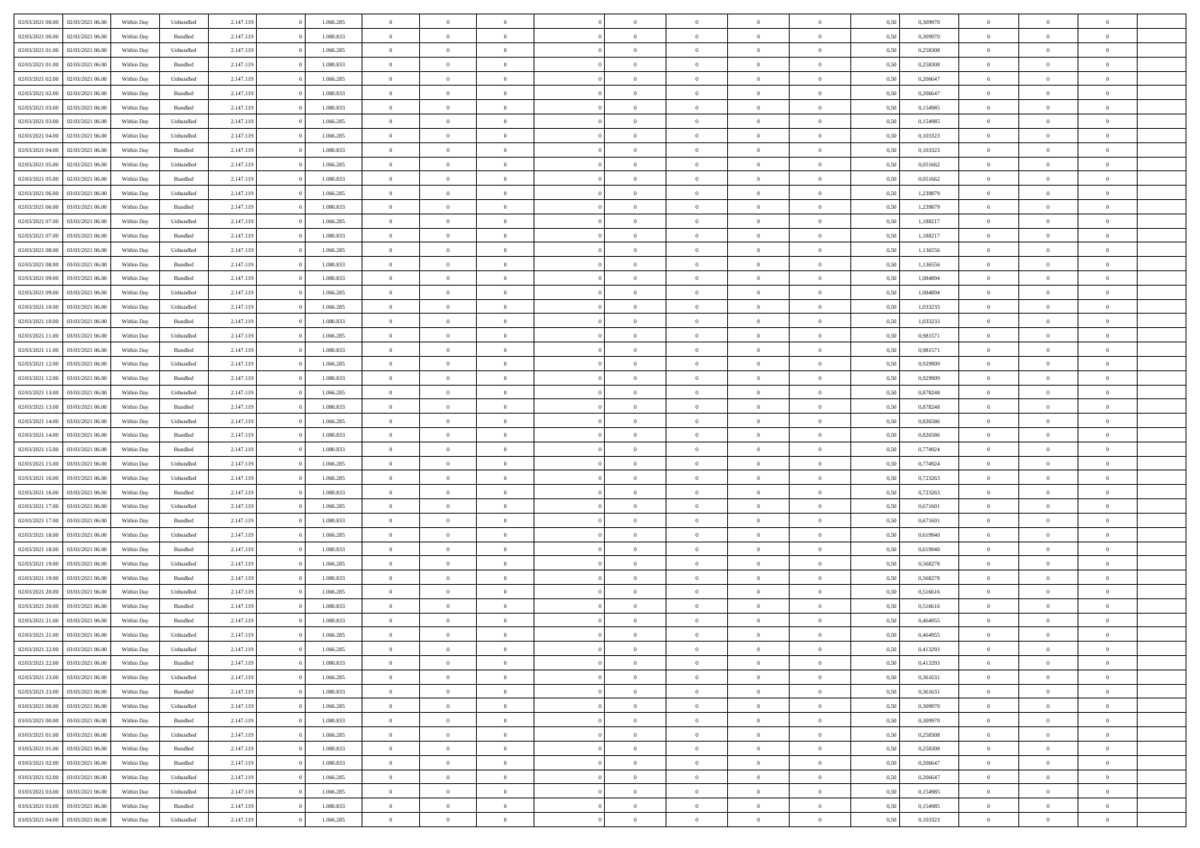| 02/03/2021 00:00 | 02/03/2021 06:00 | Within Dav | Unbundled | 2.147.119 | 1.066.285 | $\overline{0}$ | $\theta$       |                | $\Omega$       | $\Omega$       | $\theta$       | $\theta$       | 0.50 | 0,309970 | $\theta$       | $\overline{0}$ | $\overline{0}$ |  |
|------------------|------------------|------------|-----------|-----------|-----------|----------------|----------------|----------------|----------------|----------------|----------------|----------------|------|----------|----------------|----------------|----------------|--|
|                  |                  |            |           |           |           |                |                |                |                |                |                |                |      |          |                |                |                |  |
| 02/03/2021 00:00 | 02/03/2021 06:00 | Within Day | Bundled   | 2.147.119 | 1.080.833 | $\overline{0}$ | $\theta$       | $\overline{0}$ | $\overline{0}$ | $\bf{0}$       | $\overline{0}$ | $\overline{0}$ | 0,50 | 0,309970 | $\theta$       | $\overline{0}$ | $\overline{0}$ |  |
| 02/03/2021 01:00 | 02/03/2021 06:00 | Within Day | Unbundled | 2.147.119 | 1.066.285 | $\overline{0}$ | $\bf{0}$       | $\overline{0}$ | $\bf{0}$       | $\bf{0}$       | $\bf{0}$       | $\mathbf{0}$   | 0,50 | 0,258308 | $\overline{0}$ | $\overline{0}$ | $\bf{0}$       |  |
| 02/03/2021 01:00 | 02/03/2021 06:00 | Within Dav | Bundled   | 2.147.119 | 1.080.833 | $\overline{0}$ | $\overline{0}$ | $\overline{0}$ | $\overline{0}$ | $\bf{0}$       | $\overline{0}$ | $\overline{0}$ | 0.50 | 0.258308 | $\theta$       | $\theta$       | $\overline{0}$ |  |
| 02/03/2021 02:00 | 02/03/2021 06:00 | Within Day | Unbundled | 2.147.119 | 1.066.285 | $\overline{0}$ | $\theta$       | $\overline{0}$ | $\overline{0}$ | $\bf{0}$       | $\overline{0}$ | $\bf{0}$       | 0,50 | 0,206647 | $\theta$       | $\overline{0}$ | $\overline{0}$ |  |
| 02/03/2021 02:00 | 02/03/2021 06:00 | Within Day | Bundled   | 2.147.119 | 1.080.833 | $\overline{0}$ | $\overline{0}$ | $\overline{0}$ | $\bf{0}$       | $\overline{0}$ | $\overline{0}$ | $\mathbf{0}$   | 0,50 | 0,206647 | $\overline{0}$ | $\overline{0}$ | $\bf{0}$       |  |
|                  |                  |            |           |           |           |                |                |                |                |                |                |                |      |          |                |                |                |  |
| 02/03/2021 03:00 | 02/03/2021 06:00 | Within Dav | Bundled   | 2.147.119 | 1.080.833 | $\overline{0}$ | $\overline{0}$ | $\overline{0}$ | $\overline{0}$ | $\overline{0}$ | $\overline{0}$ | $\overline{0}$ | 0.50 | 0,154985 | $\theta$       | $\overline{0}$ | $\overline{0}$ |  |
| 02/03/2021 03:00 | 02/03/2021 06:00 | Within Day | Unbundled | 2.147.119 | 1.066.285 | $\overline{0}$ | $\theta$       | $\overline{0}$ | $\overline{0}$ | $\bf{0}$       | $\overline{0}$ | $\bf{0}$       | 0,50 | 0,154985 | $\theta$       | $\theta$       | $\overline{0}$ |  |
| 02/03/2021 04:00 | 02/03/2021 06:00 | Within Day | Unbundled | 2.147.119 | 1.066.285 | $\overline{0}$ | $\overline{0}$ | $\overline{0}$ | $\bf{0}$       | $\bf{0}$       | $\bf{0}$       | $\bf{0}$       | 0,50 | 0,103323 | $\,0\,$        | $\overline{0}$ | $\overline{0}$ |  |
| 02/03/2021 04:00 | 02/03/2021 06:00 | Within Dav | Bundled   | 2.147.119 | 1.080.833 | $\overline{0}$ | $\overline{0}$ | $\overline{0}$ | $\overline{0}$ | $\overline{0}$ | $\overline{0}$ | $\overline{0}$ | 0.50 | 0,103323 | $\theta$       | $\overline{0}$ | $\overline{0}$ |  |
| 02/03/2021 05:00 | 02/03/2021 06:00 | Within Day | Unbundled | 2.147.119 | 1.066.285 | $\overline{0}$ | $\theta$       | $\overline{0}$ | $\overline{0}$ | $\bf{0}$       | $\overline{0}$ | $\bf{0}$       | 0,50 | 0,051662 | $\,$ 0 $\,$    | $\overline{0}$ | $\overline{0}$ |  |
| 02/03/2021 05:00 | 02/03/2021 06:00 | Within Day | Bundled   | 2.147.119 | 1.080.833 | $\overline{0}$ | $\bf{0}$       | $\overline{0}$ | $\bf{0}$       | $\bf{0}$       | $\bf{0}$       | $\bf{0}$       | 0,50 | 0,051662 | $\overline{0}$ | $\overline{0}$ | $\bf{0}$       |  |
| 02/03/2021 06:00 | 03/03/2021 06:00 | Within Dav | Unbundled | 2.147.119 | 1.066.285 | $\overline{0}$ | $\overline{0}$ | $\overline{0}$ | $\overline{0}$ | $\bf{0}$       | $\overline{0}$ | $\overline{0}$ | 0.50 | 1,239879 | $\theta$       | $\theta$       | $\overline{0}$ |  |
|                  |                  |            |           |           |           |                |                |                |                |                |                |                |      |          |                |                |                |  |
| 02/03/2021 06:00 | 03/03/2021 06.00 | Within Day | Bundled   | 2.147.119 | 1.080.833 | $\overline{0}$ | $\theta$       | $\overline{0}$ | $\overline{0}$ | $\bf{0}$       | $\overline{0}$ | $\overline{0}$ | 0,50 | 1,239879 | $\theta$       | $\overline{0}$ | $\overline{0}$ |  |
| 02/03/2021 07:00 | 03/03/2021 06:00 | Within Day | Unbundled | 2.147.119 | 1.066.285 | $\overline{0}$ | $\overline{0}$ | $\overline{0}$ | $\bf{0}$       | $\overline{0}$ | $\overline{0}$ | $\mathbf{0}$   | 0,50 | 1,188217 | $\overline{0}$ | $\overline{0}$ | $\bf{0}$       |  |
| 02/03/2021 07:00 | 03/03/2021 06:00 | Within Dav | Bundled   | 2.147.119 | 1.080.833 | $\overline{0}$ | $\overline{0}$ | $\overline{0}$ | $\overline{0}$ | $\overline{0}$ | $\overline{0}$ | $\overline{0}$ | 0.50 | 1,188217 | $\theta$       | $\overline{0}$ | $\overline{0}$ |  |
| 02/03/2021 08:00 | 03/03/2021 06:00 | Within Day | Unbundled | 2.147.119 | 1.066.285 | $\overline{0}$ | $\theta$       | $\overline{0}$ | $\overline{0}$ | $\bf{0}$       | $\overline{0}$ | $\bf{0}$       | 0,50 | 1,136556 | $\theta$       | $\theta$       | $\overline{0}$ |  |
| 02/03/2021 08:00 | 03/03/2021 06:00 | Within Day | Bundled   | 2.147.119 | 1.080.833 | $\overline{0}$ | $\overline{0}$ | $\overline{0}$ | $\bf{0}$       | $\bf{0}$       | $\bf{0}$       | $\bf{0}$       | 0,50 | 1,136556 | $\bf{0}$       | $\overline{0}$ | $\overline{0}$ |  |
| 02/03/2021 09:00 | 03/03/2021 06:00 | Within Day | Bundled   | 2.147.119 | 1.080.833 | $\overline{0}$ | $\overline{0}$ | $\overline{0}$ | $\overline{0}$ | $\overline{0}$ | $\overline{0}$ | $\overline{0}$ | 0.50 | 1,084894 | $\theta$       | $\overline{0}$ | $\overline{0}$ |  |
|                  |                  |            |           |           |           | $\overline{0}$ | $\theta$       | $\overline{0}$ |                | $\bf{0}$       | $\overline{0}$ |                |      |          | $\theta$       |                | $\overline{0}$ |  |
| 02/03/2021 09:00 | 03/03/2021 06:00 | Within Day | Unbundled | 2.147.119 | 1.066.285 |                |                |                | $\overline{0}$ |                |                | $\bf{0}$       | 0,50 | 1,084894 |                | $\overline{0}$ |                |  |
| 02/03/2021 10:00 | 03/03/2021 06:00 | Within Day | Unbundled | 2.147.119 | 1.066.285 | $\overline{0}$ | $\overline{0}$ | $\overline{0}$ | $\bf{0}$       | $\bf{0}$       | $\bf{0}$       | $\bf{0}$       | 0,50 | 1,033233 | $\bf{0}$       | $\overline{0}$ | $\bf{0}$       |  |
| 02/03/2021 10:00 | 03/03/2021 06:00 | Within Day | Bundled   | 2.147.119 | 1.080.833 | $\overline{0}$ | $\overline{0}$ | $\overline{0}$ | $\overline{0}$ | $\bf{0}$       | $\overline{0}$ | $\overline{0}$ | 0.50 | 1,033233 | $\theta$       | $\overline{0}$ | $\overline{0}$ |  |
| 02/03/2021 11:00 | 03/03/2021 06:00 | Within Day | Unbundled | 2.147.119 | 1.066.285 | $\overline{0}$ | $\theta$       | $\overline{0}$ | $\overline{0}$ | $\bf{0}$       | $\overline{0}$ | $\bf{0}$       | 0,50 | 0,981571 | $\theta$       | $\overline{0}$ | $\overline{0}$ |  |
| 02/03/2021 11:00 | 03/03/2021 06:00 | Within Day | Bundled   | 2.147.119 | 1.080.833 | $\overline{0}$ | $\overline{0}$ | $\overline{0}$ | $\bf{0}$       | $\overline{0}$ | $\overline{0}$ | $\mathbf{0}$   | 0,50 | 0,981571 | $\overline{0}$ | $\overline{0}$ | $\bf{0}$       |  |
| 02/03/2021 12:00 | 03/03/2021 06:00 | Within Dav | Unbundled | 2.147.119 | 1.066.285 | $\overline{0}$ | $\overline{0}$ | $\overline{0}$ | $\overline{0}$ | $\overline{0}$ | $\overline{0}$ | $\overline{0}$ | 0.50 | 0.929909 | $\theta$       | $\overline{0}$ | $\overline{0}$ |  |
| 02/03/2021 12:00 | 03/03/2021 06:00 | Within Day | Bundled   | 2.147.119 | 1.080.833 | $\overline{0}$ | $\theta$       | $\overline{0}$ | $\overline{0}$ | $\bf{0}$       | $\overline{0}$ | $\bf{0}$       | 0,50 | 0,929909 | $\theta$       | $\theta$       | $\overline{0}$ |  |
|                  |                  |            |           |           |           |                |                |                |                |                |                |                |      |          |                |                |                |  |
| 02/03/2021 13:00 | 03/03/2021 06:00 | Within Day | Unbundled | 2.147.119 | 1.066.285 | $\overline{0}$ | $\overline{0}$ | $\overline{0}$ | $\bf{0}$       | $\bf{0}$       | $\bf{0}$       | $\bf{0}$       | 0,50 | 0,878248 | $\,0\,$        | $\overline{0}$ | $\overline{0}$ |  |
| 02/03/2021 13:00 | 03/03/2021 06:00 | Within Day | Bundled   | 2.147.119 | 1.080.833 | $\overline{0}$ | $\overline{0}$ | $\overline{0}$ | $\overline{0}$ | $\overline{0}$ | $\overline{0}$ | $\overline{0}$ | 0.50 | 0,878248 | $\theta$       | $\overline{0}$ | $\overline{0}$ |  |
| 02/03/2021 14:00 | 03/03/2021 06:00 | Within Day | Unbundled | 2.147.119 | 1.066.285 | $\overline{0}$ | $\theta$       | $\overline{0}$ | $\overline{0}$ | $\bf{0}$       | $\overline{0}$ | $\bf{0}$       | 0,50 | 0,826586 | $\,$ 0 $\,$    | $\overline{0}$ | $\overline{0}$ |  |
| 02/03/2021 14:00 | 03/03/2021 06:00 | Within Day | Bundled   | 2.147.119 | 1.080.833 | $\overline{0}$ | $\bf{0}$       | $\overline{0}$ | $\bf{0}$       | $\bf{0}$       | $\bf{0}$       | $\bf{0}$       | 0,50 | 0,826586 | $\bf{0}$       | $\overline{0}$ | $\bf{0}$       |  |
| 02/03/2021 15:00 | 03/03/2021 06:00 | Within Day | Bundled   | 2.147.119 | 1.080.833 | $\overline{0}$ | $\Omega$       | $\Omega$       | $\Omega$       | $\Omega$       | $\overline{0}$ | $\overline{0}$ | 0,50 | 0,774924 | $\,0\,$        | $\theta$       | $\theta$       |  |
| 02/03/2021 15:00 | 03/03/2021 06:00 | Within Day | Unbundled | 2.147.119 | 1.066.285 | $\overline{0}$ | $\theta$       | $\overline{0}$ | $\overline{0}$ | $\bf{0}$       | $\overline{0}$ | $\bf{0}$       | 0,50 | 0,774924 | $\theta$       | $\overline{0}$ | $\overline{0}$ |  |
|                  |                  |            |           |           |           |                |                |                |                |                |                |                |      |          |                | $\overline{0}$ | $\bf{0}$       |  |
| 02/03/2021 16:00 | 03/03/2021 06:00 | Within Day | Unbundled | 2.147.119 | 1.066.285 | $\overline{0}$ | $\overline{0}$ | $\overline{0}$ | $\overline{0}$ | $\overline{0}$ | $\overline{0}$ | $\mathbf{0}$   | 0,50 | 0,723263 | $\bf{0}$       |                |                |  |
| 02/03/2021 16:00 | 03/03/2021 06:00 | Within Day | Bundled   | 2.147.119 | 1.080.833 | $\overline{0}$ | $\Omega$       | $\Omega$       | $\Omega$       | $\bf{0}$       | $\overline{0}$ | $\overline{0}$ | 0.50 | 0,723263 | $\,0\,$        | $\theta$       | $\theta$       |  |
| 02/03/2021 17:00 | 03/03/2021 06:00 | Within Day | Unbundled | 2.147.119 | 1.066.285 | $\overline{0}$ | $\theta$       | $\overline{0}$ | $\overline{0}$ | $\bf{0}$       | $\overline{0}$ | $\bf{0}$       | 0,50 | 0,671601 | $\,$ 0 $\,$    | $\overline{0}$ | $\overline{0}$ |  |
| 02/03/2021 17:00 | 03/03/2021 06:00 | Within Day | Bundled   | 2.147.119 | 1.080.833 | $\overline{0}$ | $\overline{0}$ | $\overline{0}$ | $\overline{0}$ | $\bf{0}$       | $\overline{0}$ | $\bf{0}$       | 0,50 | 0,671601 | $\,0\,$        | $\overline{0}$ | $\bf{0}$       |  |
| 02/03/2021 18:00 | 03/03/2021 06:00 | Within Day | Unbundled | 2.147.119 | 1.066.285 | $\overline{0}$ | $\Omega$       | $\Omega$       | $\Omega$       | $\theta$       | $\overline{0}$ | $\overline{0}$ | 0.50 | 0.619940 | $\theta$       | $\theta$       | $\theta$       |  |
| 02/03/2021 18:00 | 03/03/2021 06:00 | Within Day | Bundled   | 2.147.119 | 1.080.833 | $\overline{0}$ | $\theta$       | $\overline{0}$ | $\overline{0}$ | $\bf{0}$       | $\overline{0}$ | $\bf{0}$       | 0,50 | 0,619940 | $\,$ 0 $\,$    | $\overline{0}$ | $\overline{0}$ |  |
| 02/03/2021 19:00 | 03/03/2021 06:00 | Within Day | Unbundled | 2.147.119 | 1.066.285 | $\overline{0}$ | $\bf{0}$       | $\overline{0}$ | $\bf{0}$       | $\bf{0}$       | $\bf{0}$       | $\bf{0}$       | 0,50 | 0,568278 | $\overline{0}$ | $\overline{0}$ | $\bf{0}$       |  |
|                  |                  |            |           |           |           |                |                |                |                |                |                |                |      |          |                |                |                |  |
| 02/03/2021 19:00 | 03/03/2021 06:00 | Within Day | Bundled   | 2.147.119 | 1.080.833 | $\overline{0}$ | $\Omega$       | $\Omega$       | $\Omega$       | $\overline{0}$ | $\overline{0}$ | $\overline{0}$ | 0.50 | 0,568278 | $\,0\,$        | $\theta$       | $\theta$       |  |
| 02/03/2021 20:00 | 03/03/2021 06:00 | Within Day | Unbundled | 2.147.119 | 1.066.285 | $\overline{0}$ | $\overline{0}$ | $\overline{0}$ | $\overline{0}$ | $\bf{0}$       | $\overline{0}$ | $\bf{0}$       | 0,50 | 0,516616 | $\,$ 0 $\,$    | $\overline{0}$ | $\overline{0}$ |  |
| 02/03/2021 20.00 | 03/03/2021 06:00 | Within Day | Bundled   | 2.147.119 | 1.080.833 | $\overline{0}$ | $\overline{0}$ | $\overline{0}$ | $\bf{0}$       | $\bf{0}$       | $\overline{0}$ | $\mathbf{0}$   | 0,50 | 0,516616 | $\overline{0}$ | $\overline{0}$ | $\bf{0}$       |  |
| 02/03/2021 21:00 | 03/03/2021 06:00 | Within Day | Bundled   | 2.147.119 | 1.080.833 | $\overline{0}$ | $\Omega$       | $\Omega$       | $\Omega$       | $\Omega$       | $\Omega$       | $\overline{0}$ | 0.50 | 0.464955 | $\theta$       | $\theta$       | $\theta$       |  |
| 02/03/2021 21:00 | 03/03/2021 06:00 | Within Day | Unbundled | 2.147.119 | 1.066.285 | $\overline{0}$ | $\overline{0}$ | $\overline{0}$ | $\bf{0}$       | $\,$ 0         | $\bf{0}$       | $\bf{0}$       | 0,50 | 0,464955 | $\,0\,$        | $\,0\,$        | $\overline{0}$ |  |
| 02/03/2021 22:00 | 03/03/2021 06:00 | Within Day | Unbundled | 2.147.119 | 1.066.285 | $\bf{0}$       | $\bf{0}$       |                |                | $\bf{0}$       |                |                | 0,50 | 0,413293 | $\bf{0}$       | $\overline{0}$ |                |  |
| 02/03/2021 22.00 | 03/03/2021 06:00 | Within Day | Bundled   | 2.147.119 | 1.080.833 | $\overline{0}$ | $\overline{0}$ | $\overline{0}$ | $\Omega$       | $\overline{0}$ | $\overline{0}$ | $\overline{0}$ | 0.50 | 0,413293 | $\theta$       | $\theta$       | $\theta$       |  |
| 02/03/2021 23:00 | 03/03/2021 06:00 | Within Day | Unbundled | 2.147.119 | 1.066.285 | $\overline{0}$ | $\,$ 0         | $\overline{0}$ | $\bf{0}$       | $\,$ 0 $\,$    | $\overline{0}$ | $\mathbf{0}$   | 0,50 | 0,361631 | $\,$ 0 $\,$    | $\,$ 0 $\,$    | $\,$ 0         |  |
|                  |                  |            |           |           |           |                |                |                |                |                |                |                |      |          |                |                |                |  |
| 02/03/2021 23:00 | 03/03/2021 06:00 | Within Day | Bundled   | 2.147.119 | 1.080.833 | $\overline{0}$ | $\overline{0}$ | $\overline{0}$ | $\overline{0}$ | $\overline{0}$ | $\overline{0}$ | $\mathbf{0}$   | 0,50 | 0,361631 | $\overline{0}$ | $\bf{0}$       | $\bf{0}$       |  |
| 03/03/2021 00:00 | 03/03/2021 06:00 | Within Day | Unbundled | 2.147.119 | 1.066.285 | $\overline{0}$ | $\overline{0}$ | $\overline{0}$ | $\Omega$       | $\overline{0}$ | $\overline{0}$ | $\bf{0}$       | 0,50 | 0,309970 | $\overline{0}$ | $\theta$       | $\overline{0}$ |  |
| 03/03/2021 00:00 | 03/03/2021 06:00 | Within Day | Bundled   | 2.147.119 | 1.080.833 | $\overline{0}$ | $\,$ 0         | $\overline{0}$ | $\overline{0}$ | $\,$ 0 $\,$    | $\overline{0}$ | $\mathbf{0}$   | 0,50 | 0,309970 | $\,$ 0 $\,$    | $\overline{0}$ | $\overline{0}$ |  |
| 03/03/2021 01:00 | 03/03/2021 06:00 | Within Day | Unbundled | 2.147.119 | 1.066.285 | $\overline{0}$ | $\overline{0}$ | $\overline{0}$ | $\overline{0}$ | $\overline{0}$ | $\overline{0}$ | $\mathbf{0}$   | 0,50 | 0,258308 | $\overline{0}$ | $\overline{0}$ | $\bf{0}$       |  |
| 03/03/2021 01:00 | 03/03/2021 06:00 | Within Day | Bundled   | 2.147.119 | 1.080.833 | $\overline{0}$ | $\overline{0}$ | $\overline{0}$ | $\Omega$       | $\overline{0}$ | $\overline{0}$ | $\bf{0}$       | 0.50 | 0,258308 | $\overline{0}$ | $\theta$       | $\overline{0}$ |  |
| 03/03/2021 02:00 | 03/03/2021 06:00 | Within Day | Bundled   | 2.147.119 | 1.080.833 | $\overline{0}$ | $\,$ 0         | $\overline{0}$ | $\bf{0}$       | $\bf{0}$       | $\bf{0}$       | $\bf{0}$       | 0,50 | 0,206647 | $\,$ 0 $\,$    | $\overline{0}$ | $\overline{0}$ |  |
|                  |                  |            |           |           |           |                |                |                |                |                |                |                |      |          |                |                |                |  |
| 03/03/2021 02:00 | 03/03/2021 06:00 | Within Day | Unbundled | 2.147.119 | 1.066.285 | $\overline{0}$ | $\bf{0}$       | $\overline{0}$ | $\overline{0}$ | $\overline{0}$ | $\overline{0}$ | $\mathbf{0}$   | 0,50 | 0,206647 | $\overline{0}$ | $\overline{0}$ | $\bf{0}$       |  |
| 03/03/2021 03:00 | 03/03/2021 06:00 | Within Day | Unbundled | 2.147.119 | 1.066.285 | $\overline{0}$ | $\overline{0}$ | $\overline{0}$ | $\Omega$       | $\overline{0}$ | $\overline{0}$ | $\bf{0}$       | 0.50 | 0,154985 | $\overline{0}$ | $\theta$       | $\overline{0}$ |  |
| 03/03/2021 03:00 | 03/03/2021 06:00 | Within Day | Bundled   | 2.147.119 | 1.080.833 | $\overline{0}$ | $\bf{0}$       | $\overline{0}$ | $\overline{0}$ | $\bf{0}$       | $\bf{0}$       | $\mathbf{0}$   | 0,50 | 0,154985 | $\,$ 0 $\,$    | $\,$ 0 $\,$    | $\bf{0}$       |  |
| 03/03/2021 04:00 | 03/03/2021 06:00 | Within Day | Unbundled | 2.147.119 | 1.066.285 | $\overline{0}$ | $\overline{0}$ | $\overline{0}$ | $\overline{0}$ | $\bf{0}$       | $\bf{0}$       | $\mathbf{0}$   | 0,50 | 0,103323 | $\overline{0}$ | $\bf{0}$       | $\bf{0}$       |  |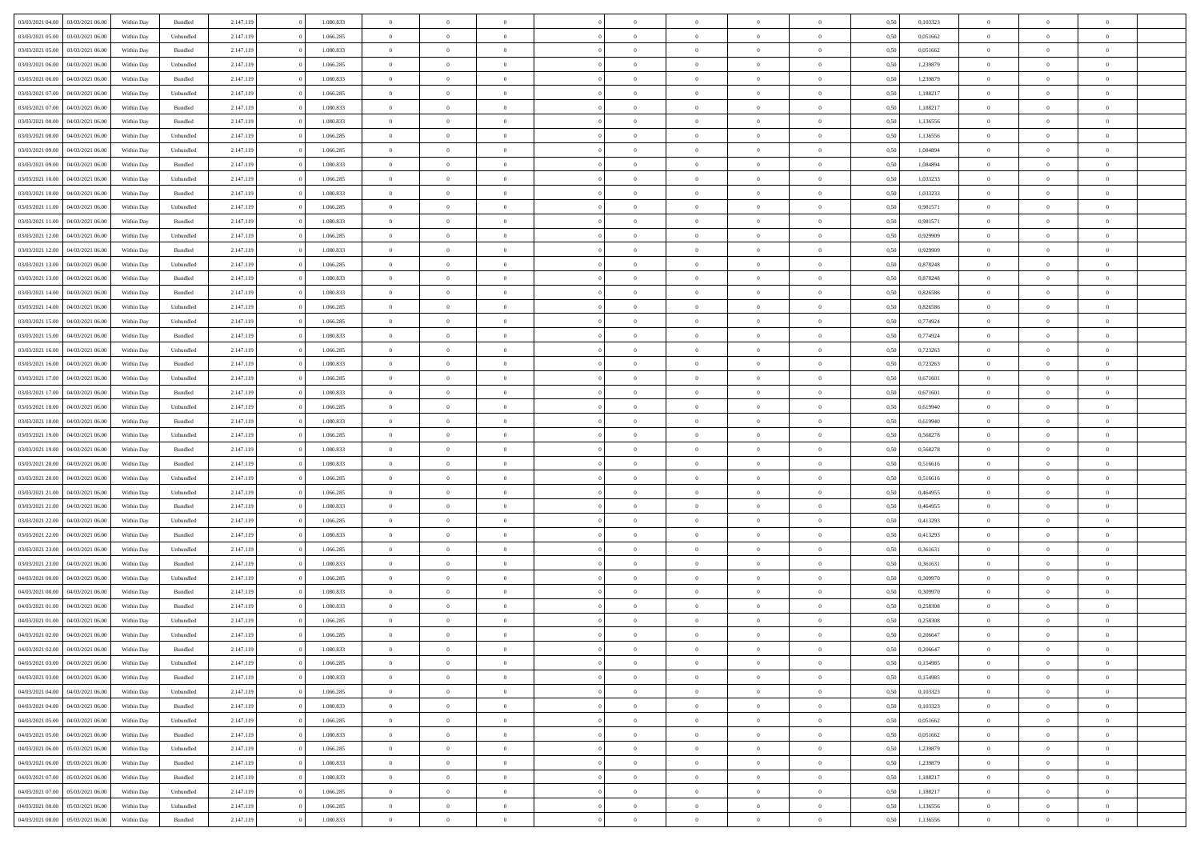| 03/03/2021 04:00                  | 03/03/2021 06:00 | Within Day | Bundled            | 2.147.119 | 1.080.833 | $\overline{0}$ | $\Omega$       |                | $\Omega$       | $\Omega$       | $\theta$       | $\theta$       | 0.50 | 0,103323 | $\theta$       | $\theta$       | $\overline{0}$ |  |
|-----------------------------------|------------------|------------|--------------------|-----------|-----------|----------------|----------------|----------------|----------------|----------------|----------------|----------------|------|----------|----------------|----------------|----------------|--|
|                                   |                  |            |                    |           |           |                |                |                |                |                |                |                |      |          |                |                |                |  |
| 03/03/2021 05:00                  | 03/03/2021 06:00 | Within Day | Unbundled          | 2.147.119 | 1.066.285 | $\overline{0}$ | $\theta$       | $\overline{0}$ | $\overline{0}$ | $\bf{0}$       | $\overline{0}$ | $\bf{0}$       | 0,50 | 0,051662 | $\theta$       | $\overline{0}$ | $\overline{0}$ |  |
| 03/03/2021 05:00                  | 03/03/2021 06:00 | Within Day | Bundled            | 2.147.119 | 1.080.833 | $\overline{0}$ | $\bf{0}$       | $\overline{0}$ | $\bf{0}$       | $\bf{0}$       | $\bf{0}$       | $\mathbf{0}$   | 0,50 | 0,051662 | $\bf{0}$       | $\overline{0}$ | $\bf{0}$       |  |
| 03/03/2021 06:00                  | 04/03/2021 06:00 | Within Dav | Unbundled          | 2.147.119 | 1.066.285 | $\overline{0}$ | $\overline{0}$ | $\overline{0}$ | $\overline{0}$ | $\bf{0}$       | $\overline{0}$ | $\overline{0}$ | 0.50 | 1,239879 | $\theta$       | $\theta$       | $\overline{0}$ |  |
| 03/03/2021 06:00                  | 04/03/2021 06:00 | Within Day | Bundled            | 2.147.119 | 1.080.833 | $\overline{0}$ | $\theta$       | $\overline{0}$ | $\overline{0}$ | $\bf{0}$       | $\overline{0}$ | $\bf{0}$       | 0,50 | 1,239879 | $\theta$       | $\overline{0}$ | $\overline{0}$ |  |
| 03/03/2021 07:00                  | 04/03/2021 06:00 | Within Day | Unbundled          | 2.147.119 | 1.066.285 | $\overline{0}$ | $\overline{0}$ | $\overline{0}$ | $\bf{0}$       | $\overline{0}$ | $\overline{0}$ | $\mathbf{0}$   | 0,50 | 1,188217 | $\bf{0}$       | $\overline{0}$ | $\bf{0}$       |  |
|                                   |                  |            |                    |           |           |                | $\overline{0}$ |                |                | $\overline{0}$ |                |                |      |          | $\theta$       | $\overline{0}$ | $\overline{0}$ |  |
| 03/03/2021 07:00                  | 04/03/2021 06:00 | Within Dav | Bundled            | 2.147.119 | 1.080.833 | $\overline{0}$ |                | $\overline{0}$ | $\overline{0}$ |                | $\overline{0}$ | $\overline{0}$ | 0.50 | 1,188217 |                |                |                |  |
| 03/03/2021 08:00                  | 04/03/2021 06:00 | Within Day | Bundled            | 2.147.119 | 1.080.833 | $\overline{0}$ | $\theta$       | $\overline{0}$ | $\overline{0}$ | $\bf{0}$       | $\overline{0}$ | $\bf{0}$       | 0,50 | 1,136556 | $\theta$       | $\theta$       | $\overline{0}$ |  |
| 03/03/2021 08:00                  | 04/03/2021 06:00 | Within Day | Unbundled          | 2.147.119 | 1.066.285 | $\overline{0}$ | $\overline{0}$ | $\overline{0}$ | $\bf{0}$       | $\bf{0}$       | $\bf{0}$       | $\bf{0}$       | 0,50 | 1,136556 | $\,0\,$        | $\overline{0}$ | $\overline{0}$ |  |
| 03/03/2021 09:00                  | 04/03/2021 06:00 | Within Dav | Unbundled          | 2.147.119 | 1.066.285 | $\overline{0}$ | $\overline{0}$ | $\overline{0}$ | $\overline{0}$ | $\overline{0}$ | $\overline{0}$ | $\overline{0}$ | 0.50 | 1,084894 | $\theta$       | $\overline{0}$ | $\overline{0}$ |  |
| 03/03/2021 09:00                  | 04/03/2021 06:00 | Within Day | Bundled            | 2.147.119 | 1.080.833 | $\overline{0}$ | $\theta$       | $\overline{0}$ | $\overline{0}$ | $\bf{0}$       | $\overline{0}$ | $\bf{0}$       | 0,50 | 1,084894 | $\,$ 0 $\,$    | $\overline{0}$ | $\overline{0}$ |  |
| 03/03/2021 10:00                  | 04/03/2021 06:00 | Within Day | Unbundled          | 2.147.119 | 1.066.285 | $\overline{0}$ | $\bf{0}$       | $\overline{0}$ | $\bf{0}$       | $\bf{0}$       | $\bf{0}$       | $\mathbf{0}$   | 0,50 | 1,033233 | $\overline{0}$ | $\overline{0}$ | $\bf{0}$       |  |
| 03/03/2021 10:00                  | 04/03/2021 06:00 | Within Day | Bundled            | 2.147.119 | 1.080.833 | $\overline{0}$ | $\overline{0}$ | $\overline{0}$ | $\overline{0}$ | $\bf{0}$       | $\overline{0}$ | $\overline{0}$ | 0.50 | 1,033233 | $\theta$       | $\theta$       | $\overline{0}$ |  |
| 03/03/2021 11:00                  | 04/03/2021 06:00 |            |                    | 2.147.119 | 1.066.285 | $\overline{0}$ | $\theta$       | $\overline{0}$ | $\overline{0}$ | $\bf{0}$       | $\overline{0}$ |                |      | 0,981571 | $\theta$       | $\overline{0}$ | $\overline{0}$ |  |
|                                   |                  | Within Day | Unbundled          |           |           |                |                |                |                |                |                | $\bf{0}$       | 0,50 |          |                |                |                |  |
| 03/03/2021 11:00                  | 04/03/2021 06:00 | Within Day | Bundled            | 2.147.119 | 1.080.833 | $\overline{0}$ | $\overline{0}$ | $\overline{0}$ | $\bf{0}$       | $\overline{0}$ | $\overline{0}$ | $\mathbf{0}$   | 0,50 | 0,981571 | $\overline{0}$ | $\overline{0}$ | $\bf{0}$       |  |
| 03/03/2021 12:00                  | 04/03/2021 06:00 | Within Dav | Unbundled          | 2.147.119 | 1.066.285 | $\overline{0}$ | $\overline{0}$ | $\overline{0}$ | $\overline{0}$ | $\overline{0}$ | $\overline{0}$ | $\overline{0}$ | 0.50 | 0.929909 | $\theta$       | $\overline{0}$ | $\overline{0}$ |  |
| 03/03/2021 12:00                  | 04/03/2021 06:00 | Within Day | Bundled            | 2.147.119 | 1.080.833 | $\overline{0}$ | $\theta$       | $\overline{0}$ | $\overline{0}$ | $\bf{0}$       | $\overline{0}$ | $\bf{0}$       | 0,50 | 0,929909 | $\theta$       | $\theta$       | $\overline{0}$ |  |
| 03/03/2021 13:00                  | 04/03/2021 06:00 | Within Day | Unbundled          | 2.147.119 | 1.066.285 | $\overline{0}$ | $\overline{0}$ | $\overline{0}$ | $\bf{0}$       | $\bf{0}$       | $\bf{0}$       | $\mathbf{0}$   | 0,50 | 0,878248 | $\,0\,$        | $\overline{0}$ | $\overline{0}$ |  |
| 03/03/2021 13:00                  | 04/03/2021 06:00 | Within Day | Bundled            | 2.147.119 | 1.080.833 | $\overline{0}$ | $\overline{0}$ | $\overline{0}$ | $\overline{0}$ | $\overline{0}$ | $\overline{0}$ | $\overline{0}$ | 0.50 | 0,878248 | $\theta$       | $\overline{0}$ | $\overline{0}$ |  |
| 03/03/2021 14:00                  | 04/03/2021 06:00 | Within Day | Bundled            | 2.147.119 | 1.080.833 | $\overline{0}$ | $\theta$       | $\overline{0}$ | $\overline{0}$ | $\bf{0}$       | $\overline{0}$ | $\bf{0}$       | 0,50 | 0,826586 | $\,$ 0 $\,$    | $\overline{0}$ | $\overline{0}$ |  |
| 03/03/2021 14:00                  | 04/03/2021 06:00 | Within Day | Unbundled          | 2.147.119 | 1.066.285 | $\overline{0}$ | $\overline{0}$ | $\overline{0}$ | $\bf{0}$       | $\bf{0}$       | $\bf{0}$       | $\bf{0}$       | 0,50 | 0,826586 | $\bf{0}$       | $\overline{0}$ | $\bf{0}$       |  |
| 03/03/2021 15:00                  | 04/03/2021 06:00 | Within Day | Unbundled          | 2.147.119 | 1.066.285 | $\overline{0}$ | $\overline{0}$ | $\overline{0}$ | $\overline{0}$ | $\overline{0}$ | $\overline{0}$ | $\overline{0}$ | 0.50 | 0.774924 | $\theta$       | $\overline{0}$ | $\overline{0}$ |  |
|                                   |                  |            |                    |           |           |                |                |                |                |                |                |                |      |          |                |                |                |  |
| 03/03/2021 15:00                  | 04/03/2021 06:00 | Within Day | Bundled            | 2.147.119 | 1.080.833 | $\overline{0}$ | $\theta$       | $\overline{0}$ | $\overline{0}$ | $\bf{0}$       | $\overline{0}$ | $\bf{0}$       | 0,50 | 0,774924 | $\,$ 0 $\,$    | $\overline{0}$ | $\overline{0}$ |  |
| 03/03/2021 16:00                  | 04/03/2021 06:00 | Within Day | Unbundled          | 2.147.119 | 1.066.285 | $\overline{0}$ | $\overline{0}$ | $\overline{0}$ | $\bf{0}$       | $\overline{0}$ | $\overline{0}$ | $\mathbf{0}$   | 0,50 | 0,723263 | $\overline{0}$ | $\overline{0}$ | $\bf{0}$       |  |
| 03/03/2021 16:00                  | 04/03/2021 06:00 | Within Dav | Bundled            | 2.147.119 | 1.080.833 | $\overline{0}$ | $\overline{0}$ | $\overline{0}$ | $\overline{0}$ | $\overline{0}$ | $\overline{0}$ | $\overline{0}$ | 0.50 | 0,723263 | $\theta$       | $\overline{0}$ | $\overline{0}$ |  |
| 03/03/2021 17:00                  | 04/03/2021 06:00 | Within Day | Unbundled          | 2.147.119 | 1.066.285 | $\overline{0}$ | $\theta$       | $\overline{0}$ | $\overline{0}$ | $\bf{0}$       | $\overline{0}$ | $\bf{0}$       | 0,50 | 0,671601 | $\theta$       | $\theta$       | $\overline{0}$ |  |
| 03/03/2021 17:00                  | 04/03/2021 06:00 | Within Day | Bundled            | 2.147.119 | 1.080.833 | $\overline{0}$ | $\overline{0}$ | $\overline{0}$ | $\bf{0}$       | $\bf{0}$       | $\bf{0}$       | $\bf{0}$       | 0,50 | 0,671601 | $\,0\,$        | $\overline{0}$ | $\overline{0}$ |  |
| 03/03/2021 18:00                  | 04/03/2021 06:00 | Within Day | Unbundled          | 2.147.119 | 1.066.285 | $\overline{0}$ | $\overline{0}$ | $\overline{0}$ | $\overline{0}$ | $\overline{0}$ | $\overline{0}$ | $\overline{0}$ | 0.50 | 0.619940 | $\theta$       | $\overline{0}$ | $\overline{0}$ |  |
| 03/03/2021 18:00                  | 04/03/2021 06:00 | Within Day | Bundled            | 2.147.119 | 1.080.833 | $\overline{0}$ | $\theta$       | $\overline{0}$ | $\overline{0}$ | $\bf{0}$       | $\overline{0}$ | $\bf{0}$       | 0,50 | 0,619940 | $\,$ 0 $\,$    | $\overline{0}$ | $\overline{0}$ |  |
|                                   |                  |            |                    |           |           |                |                |                |                |                |                |                |      |          |                |                |                |  |
| 03/03/2021 19:00                  | 04/03/2021 06:00 | Within Day | Unbundled          | 2.147.119 | 1.066.285 | $\overline{0}$ | $\bf{0}$       | $\overline{0}$ | $\bf{0}$       | $\overline{0}$ | $\bf{0}$       | $\bf{0}$       | 0,50 | 0,568278 | $\overline{0}$ | $\overline{0}$ | $\bf{0}$       |  |
| 03/03/2021 19:00                  | 04/03/2021 06:00 | Within Day | Bundled            | 2.147.119 | 1.080.833 | $\overline{0}$ | $\Omega$       | $\Omega$       | $\Omega$       | $\Omega$       | $\overline{0}$ | $\overline{0}$ | 0,50 | 0,568278 | $\,0\,$        | $\theta$       | $\theta$       |  |
| 03/03/2021 20:00                  | 04/03/2021 06:00 | Within Day | Bundled            | 2.147.119 | 1.080.833 | $\overline{0}$ | $\theta$       | $\overline{0}$ | $\overline{0}$ | $\bf{0}$       | $\overline{0}$ | $\bf{0}$       | 0,50 | 0,516616 | $\theta$       | $\overline{0}$ | $\overline{0}$ |  |
| 03/03/2021 20.00                  | 04/03/2021 06:00 | Within Day | Unbundled          | 2.147.119 | 1.066.285 | $\overline{0}$ | $\overline{0}$ | $\overline{0}$ | $\bf{0}$       | $\overline{0}$ | $\overline{0}$ | $\mathbf{0}$   | 0,50 | 0,516616 | $\overline{0}$ | $\overline{0}$ | $\bf{0}$       |  |
| 03/03/2021 21:00                  | 04/03/2021 06:00 | Within Day | Unbundled          | 2.147.119 | 1.066.285 | $\overline{0}$ | $\Omega$       | $\Omega$       | $\Omega$       | $\overline{0}$ | $\overline{0}$ | $\overline{0}$ | 0.50 | 0.464955 | $\,0\,$        | $\theta$       | $\theta$       |  |
| 03/03/2021 21:00                  | 04/03/2021 06:00 | Within Day | Bundled            | 2.147.119 | 1.080.833 | $\overline{0}$ | $\theta$       | $\overline{0}$ | $\overline{0}$ | $\bf{0}$       | $\overline{0}$ | $\bf{0}$       | 0,50 | 0,464955 | $\theta$       | $\overline{0}$ | $\overline{0}$ |  |
| 03/03/2021 22.00                  | 04/03/2021 06:00 | Within Day | Unbundled          | 2.147.119 | 1.066.285 | $\overline{0}$ | $\overline{0}$ | $\overline{0}$ | $\overline{0}$ | $\bf{0}$       | $\overline{0}$ | $\bf{0}$       | 0,50 | 0,413293 | $\bf{0}$       | $\overline{0}$ | $\bf{0}$       |  |
| 03/03/2021 22.00                  | 04/03/2021 06:00 | Within Day | Bundled            | 2.147.119 | 1.080.833 | $\overline{0}$ | $\Omega$       | $\Omega$       | $\Omega$       | $\overline{0}$ | $\overline{0}$ | $\overline{0}$ | 0.50 | 0,413293 | $\,$ 0 $\,$    | $\theta$       | $\theta$       |  |
| 03/03/2021 23:00                  | 04/03/2021 06:00 |            |                    | 2.147.119 | 1.066.285 | $\overline{0}$ | $\theta$       | $\overline{0}$ | $\overline{0}$ | $\bf{0}$       | $\overline{0}$ |                |      | 0,361631 | $\,$ 0 $\,$    | $\overline{0}$ | $\overline{0}$ |  |
|                                   |                  | Within Day | Unbundled          |           |           |                |                |                |                |                |                | $\bf{0}$       | 0,50 |          |                |                |                |  |
| 03/03/2021 23.00                  | 04/03/2021 06:00 | Within Day | Bundled            | 2.147.119 | 1.080.833 | $\overline{0}$ | $\overline{0}$ | $\overline{0}$ | $\overline{0}$ | $\bf{0}$       | $\overline{0}$ | $\bf{0}$       | 0,50 | 0,361631 | $\overline{0}$ | $\overline{0}$ | $\bf{0}$       |  |
| 04/03/2021 00:00                  | 04/03/2021 06:00 | Within Day | Unbundled          | 2.147.119 | 1.066.285 | $\overline{0}$ | $\Omega$       | $\overline{0}$ | $\Omega$       | $\overline{0}$ | $\overline{0}$ | $\overline{0}$ | 0.50 | 0,309970 | $\,0\,$        | $\theta$       | $\theta$       |  |
| 04/03/2021 00:00                  | 04/03/2021 06:00 | Within Day | Bundled            | 2.147.119 | 1.080.833 | $\overline{0}$ | $\overline{0}$ | $\overline{0}$ | $\overline{0}$ | $\bf{0}$       | $\overline{0}$ | $\bf{0}$       | 0,50 | 0,309970 | $\,$ 0 $\,$    | $\overline{0}$ | $\overline{0}$ |  |
| 04/03/2021 01:00                  | 04/03/2021 06:00 | Within Day | Bundled            | 2.147.119 | 1.080.833 | $\overline{0}$ | $\overline{0}$ | $\overline{0}$ | $\overline{0}$ | $\bf{0}$       | $\overline{0}$ | $\mathbf{0}$   | 0,50 | 0,258308 | $\overline{0}$ | $\overline{0}$ | $\bf{0}$       |  |
| 04/03/2021 01:00                  | 04/03/2021 06:00 | Within Day | Unbundled          | 2.147.119 | 1.066.285 | $\overline{0}$ | $\Omega$       | $\Omega$       | $\Omega$       | $\Omega$       | $\Omega$       | $\overline{0}$ | 0.50 | 0.258308 | $\theta$       | $\theta$       | $\theta$       |  |
| 04/03/2021 02:00                  | 04/03/2021 06:00 | Within Day | Unbundled          | 2.147.119 | 1.066.285 | $\overline{0}$ | $\overline{0}$ | $\overline{0}$ | $\bf{0}$       | $\,$ 0         | $\overline{0}$ | $\bf{0}$       | 0,50 | 0,206647 | $\,0\,$        | $\,0\,$        | $\overline{0}$ |  |
| 04/03/2021 02:00 04/03/2021 06:00 |                  | Within Day | $\mathbf B$ undled | 2.147.119 | 1.080.833 | $\bf{0}$       | $\bf{0}$       |                |                | $\bf{0}$       |                |                | 0,50 | 0,206647 | $\bf{0}$       | $\overline{0}$ |                |  |
| 04/03/2021 03:00                  | 04/03/2021 06:00 | Within Day | Unbundled          | 2.147.119 | 1.066.285 | $\overline{0}$ | $\overline{0}$ | $\overline{0}$ | $\Omega$       | $\overline{0}$ | $\overline{0}$ | $\overline{0}$ | 0.50 | 0,154985 | $\theta$       | $\theta$       | $\theta$       |  |
|                                   |                  |            |                    |           |           |                | $\,$ 0         |                |                | $\,$ 0 $\,$    |                |                |      |          | $\,$ 0 $\,$    | $\,$ 0 $\,$    | $\,$ 0         |  |
| 04/03/2021 03:00                  | 04/03/2021 06:00 | Within Day | Bundled            | 2.147.119 | 1.080.833 | $\overline{0}$ |                | $\overline{0}$ | $\overline{0}$ |                | $\overline{0}$ | $\mathbf{0}$   | 0,50 | 0,154985 |                |                |                |  |
| 04/03/2021 04:00                  | 04/03/2021 06:00 | Within Day | Unbundled          | 2.147.119 | 1.066.285 | $\overline{0}$ | $\overline{0}$ | $\overline{0}$ | $\overline{0}$ | $\overline{0}$ | $\overline{0}$ | $\mathbf{0}$   | 0,50 | 0,103323 | $\overline{0}$ | $\bf{0}$       | $\bf{0}$       |  |
| 04/03/2021 04:00                  | 04/03/2021 06:00 | Within Day | Bundled            | 2.147.119 | 1.080.833 | $\overline{0}$ | $\overline{0}$ | $\overline{0}$ | $\Omega$       | $\overline{0}$ | $\overline{0}$ | $\overline{0}$ | 0,50 | 0,103323 | $\overline{0}$ | $\theta$       | $\overline{0}$ |  |
| 04/03/2021 05:00                  | 04/03/2021 06:00 | Within Day | Unbundled          | 2.147.119 | 1.066.285 | $\overline{0}$ | $\,$ 0         | $\overline{0}$ | $\overline{0}$ | $\,$ 0 $\,$    | $\overline{0}$ | $\mathbf{0}$   | 0,50 | 0,051662 | $\,$ 0 $\,$    | $\overline{0}$ | $\overline{0}$ |  |
| 04/03/2021 05:00                  | 04/03/2021 06:00 | Within Day | Bundled            | 2.147.119 | 1.080.833 | $\overline{0}$ | $\overline{0}$ | $\overline{0}$ | $\overline{0}$ | $\overline{0}$ | $\overline{0}$ | $\mathbf{0}$   | 0,50 | 0,051662 | $\overline{0}$ | $\overline{0}$ | $\bf{0}$       |  |
| 04/03/2021 06:00                  | 05/03/2021 06:00 | Within Day | Unbundled          | 2.147.119 | 1.066.285 | $\overline{0}$ | $\overline{0}$ | $\overline{0}$ | $\Omega$       | $\overline{0}$ | $\overline{0}$ | $\bf{0}$       | 0.50 | 1,239879 | $\overline{0}$ | $\theta$       | $\overline{0}$ |  |
| 04/03/2021 06:00                  | 05/03/2021 06:00 | Within Day | Bundled            | 2.147.119 | 1.080.833 | $\overline{0}$ | $\,$ 0         | $\overline{0}$ | $\bf{0}$       | $\bf{0}$       | $\bf{0}$       | $\bf{0}$       | 0,50 | 1,239879 | $\,$ 0 $\,$    | $\overline{0}$ | $\overline{0}$ |  |
| 04/03/2021 07:00                  | 05/03/2021 06:00 | Within Day | Bundled            | 2.147.119 | 1.080.833 | $\overline{0}$ | $\bf{0}$       | $\overline{0}$ | $\overline{0}$ | $\overline{0}$ | $\overline{0}$ | $\mathbf{0}$   | 0,50 | 1,188217 | $\overline{0}$ | $\overline{0}$ | $\bf{0}$       |  |
|                                   |                  |            |                    |           |           |                |                |                |                |                |                |                |      |          |                |                |                |  |
| 04/03/2021 07:00                  | 05/03/2021 06:00 | Within Day | Unbundled          | 2.147.119 | 1.066.285 | $\overline{0}$ | $\overline{0}$ | $\overline{0}$ | $\Omega$       | $\overline{0}$ | $\overline{0}$ | $\bf{0}$       | 0.50 | 1,188217 | $\overline{0}$ | $\overline{0}$ | $\overline{0}$ |  |
| 04/03/2021 08:00                  | 05/03/2021 06:00 | Within Day | Unbundled          | 2.147.119 | 1.066.285 | $\overline{0}$ | $\bf{0}$       | $\overline{0}$ | $\overline{0}$ | $\bf{0}$       | $\bf{0}$       | $\mathbf{0}$   | 0,50 | 1,136556 | $\,$ 0 $\,$    | $\,$ 0 $\,$    | $\bf{0}$       |  |
| 04/03/2021 08:00                  | 05/03/2021 06:00 | Within Day | Bundled            | 2.147.119 | 1.080.833 | $\overline{0}$ | $\overline{0}$ | $\overline{0}$ | $\overline{0}$ | $\bf{0}$       | $\bf{0}$       | $\mathbf{0}$   | 0,50 | 1,136556 | $\overline{0}$ | $\bf{0}$       | $\bf{0}$       |  |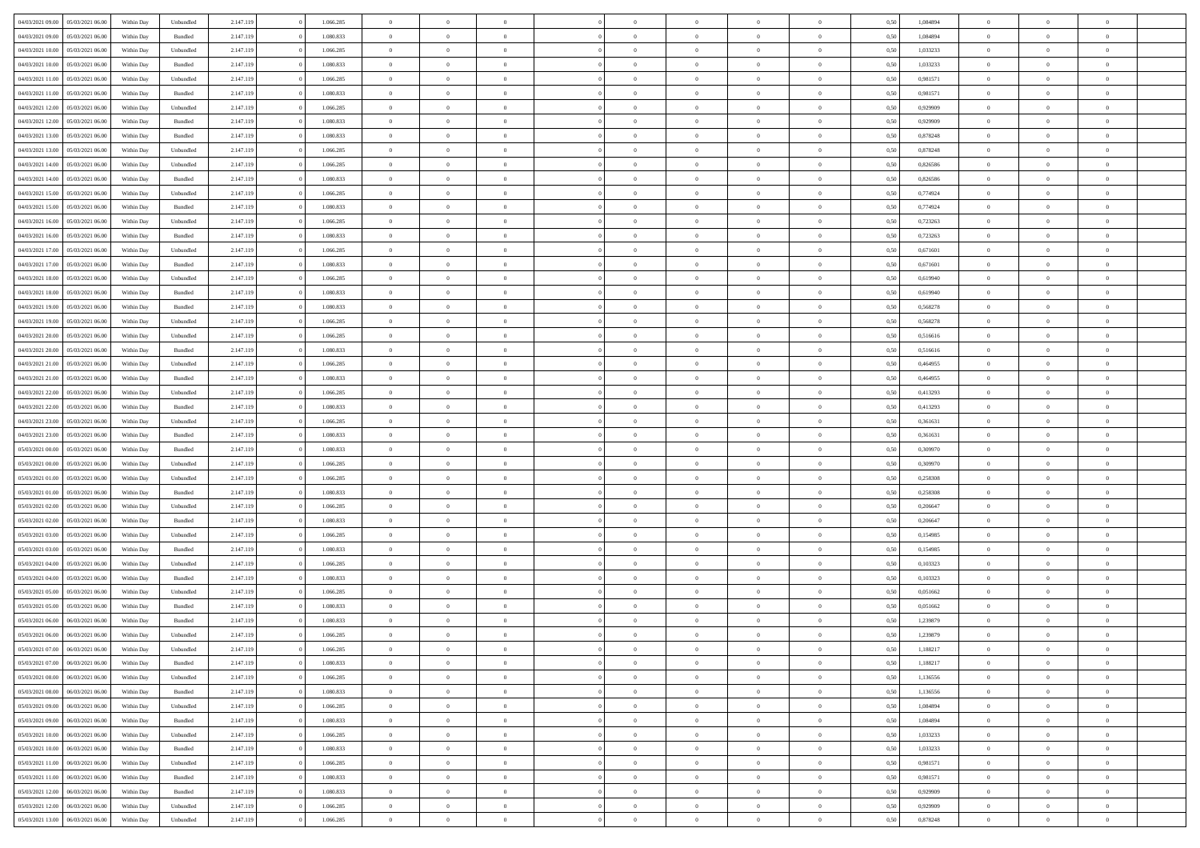| 04/03/2021 09:00                  | 05/03/2021 06:00 | Within Dav | Unbundled | 2.147.119 | 1.066.285 | $\overline{0}$ | $\Omega$       |                | $\Omega$       | $\Omega$       | $\Omega$       | $\theta$       | 0.50 | 1,084894 | $\theta$       | $\theta$       | $\theta$       |  |
|-----------------------------------|------------------|------------|-----------|-----------|-----------|----------------|----------------|----------------|----------------|----------------|----------------|----------------|------|----------|----------------|----------------|----------------|--|
|                                   |                  |            |           |           |           |                |                |                |                |                |                |                |      |          |                |                |                |  |
| 04/03/2021 09:00                  | 05/03/2021 06:00 | Within Day | Bundled   | 2.147.119 | 1.080.833 | $\overline{0}$ | $\theta$       | $\overline{0}$ | $\overline{0}$ | $\bf{0}$       | $\overline{0}$ | $\overline{0}$ | 0,50 | 1,084894 | $\theta$       | $\theta$       | $\overline{0}$ |  |
| 04/03/2021 10:00                  | 05/03/2021 06:00 | Within Day | Unbundled | 2.147.119 | 1.066.285 | $\overline{0}$ | $\overline{0}$ | $\overline{0}$ | $\bf{0}$       | $\bf{0}$       | $\bf{0}$       | $\bf{0}$       | 0,50 | 1,033233 | $\bf{0}$       | $\overline{0}$ | $\overline{0}$ |  |
| 04/03/2021 10:00                  | 05/03/2021 06:00 | Within Dav | Bundled   | 2.147.119 | 1.080.833 | $\overline{0}$ | $\overline{0}$ | $\overline{0}$ | $\overline{0}$ | $\bf{0}$       | $\overline{0}$ | $\overline{0}$ | 0.50 | 1,033233 | $\theta$       | $\theta$       | $\overline{0}$ |  |
|                                   |                  |            |           |           |           |                |                |                |                |                |                |                |      |          |                |                |                |  |
| 04/03/2021 11:00                  | 05/03/2021 06:00 | Within Day | Unbundled | 2.147.119 | 1.066.285 | $\overline{0}$ | $\theta$       | $\overline{0}$ | $\overline{0}$ | $\bf{0}$       | $\overline{0}$ | $\bf{0}$       | 0,50 | 0,981571 | $\theta$       | $\theta$       | $\overline{0}$ |  |
| 04/03/2021 11:00                  | 05/03/2021 06:00 | Within Day | Bundled   | 2.147.119 | 1.080.833 | $\overline{0}$ | $\bf{0}$       | $\overline{0}$ | $\bf{0}$       | $\overline{0}$ | $\overline{0}$ | $\mathbf{0}$   | 0,50 | 0,981571 | $\overline{0}$ | $\overline{0}$ | $\bf{0}$       |  |
| 04/03/2021 12:00                  | 05/03/2021 06:00 | Within Dav | Unbundled | 2.147.119 | 1.066.285 | $\overline{0}$ | $\overline{0}$ | $\overline{0}$ | $\overline{0}$ | $\overline{0}$ | $\overline{0}$ | $\overline{0}$ | 0.50 | 0.929909 | $\theta$       | $\overline{0}$ | $\overline{0}$ |  |
| 04/03/2021 12:00                  | 05/03/2021 06:00 | Within Day | Bundled   | 2.147.119 | 1.080.833 | $\overline{0}$ | $\theta$       | $\overline{0}$ | $\overline{0}$ | $\bf{0}$       | $\overline{0}$ | $\bf{0}$       | 0,50 | 0,929909 | $\theta$       | $\theta$       | $\overline{0}$ |  |
|                                   |                  |            |           |           |           |                | $\overline{0}$ |                |                | $\bf{0}$       |                |                |      |          | $\,0\,$        | $\overline{0}$ | $\overline{0}$ |  |
| 04/03/2021 13:00                  | 05/03/2021 06:00 | Within Day | Bundled   | 2.147.119 | 1.080.833 | $\overline{0}$ |                | $\overline{0}$ | $\bf{0}$       |                | $\bf{0}$       | $\bf{0}$       | 0,50 | 0,878248 |                |                |                |  |
| 04/03/2021 13:00                  | 05/03/2021 06:00 | Within Dav | Unbundled | 2.147.119 | 1.066.285 | $\overline{0}$ | $\overline{0}$ | $\overline{0}$ | $\overline{0}$ | $\overline{0}$ | $\overline{0}$ | $\overline{0}$ | 0.50 | 0,878248 | $\theta$       | $\overline{0}$ | $\overline{0}$ |  |
| 04/03/2021 14:00                  | 05/03/2021 06:00 | Within Day | Unbundled | 2.147.119 | 1.066.285 | $\overline{0}$ | $\theta$       | $\overline{0}$ | $\overline{0}$ | $\bf{0}$       | $\overline{0}$ | $\bf{0}$       | 0,50 | 0,826586 | $\theta$       | $\theta$       | $\overline{0}$ |  |
| 04/03/2021 14:00                  | 05/03/2021 06:00 | Within Day | Bundled   | 2.147.119 | 1.080.833 | $\overline{0}$ | $\overline{0}$ | $\overline{0}$ | $\bf{0}$       | $\bf{0}$       | $\bf{0}$       | $\bf{0}$       | 0,50 | 0,826586 | $\overline{0}$ | $\overline{0}$ | $\overline{0}$ |  |
| 04/03/2021 15:00                  | 05/03/2021 06:00 | Within Dav | Unbundled | 2.147.119 | 1.066.285 | $\overline{0}$ | $\overline{0}$ | $\overline{0}$ | $\overline{0}$ | $\bf{0}$       | $\overline{0}$ | $\overline{0}$ | 0.50 | 0.774924 | $\theta$       | $\theta$       | $\overline{0}$ |  |
|                                   |                  |            |           |           |           | $\overline{0}$ | $\theta$       | $\overline{0}$ |                | $\bf{0}$       | $\overline{0}$ | $\overline{0}$ |      |          | $\theta$       | $\theta$       | $\overline{0}$ |  |
| 04/03/2021 15:00                  | 05/03/2021 06:00 | Within Day | Bundled   | 2.147.119 | 1.080.833 |                |                |                | $\overline{0}$ |                |                |                | 0,50 | 0,774924 |                |                |                |  |
| 04/03/2021 16:00                  | 05/03/2021 06:00 | Within Day | Unbundled | 2.147.119 | 1.066.285 | $\overline{0}$ | $\bf{0}$       | $\overline{0}$ | $\bf{0}$       | $\overline{0}$ | $\overline{0}$ | $\mathbf{0}$   | 0,50 | 0,723263 | $\overline{0}$ | $\overline{0}$ | $\bf{0}$       |  |
| 04/03/2021 16:00                  | 05/03/2021 06:00 | Within Dav | Bundled   | 2.147.119 | 1.080.833 | $\overline{0}$ | $\overline{0}$ | $\overline{0}$ | $\overline{0}$ | $\overline{0}$ | $\overline{0}$ | $\overline{0}$ | 0.50 | 0,723263 | $\theta$       | $\overline{0}$ | $\overline{0}$ |  |
| 04/03/2021 17:00                  | 05/03/2021 06:00 | Within Day | Unbundled | 2.147.119 | 1.066.285 | $\overline{0}$ | $\theta$       | $\overline{0}$ | $\overline{0}$ | $\bf{0}$       | $\overline{0}$ | $\bf{0}$       | 0,50 | 0,671601 | $\theta$       | $\theta$       | $\overline{0}$ |  |
| 04/03/2021 17.00                  | 05/03/2021 06:00 | Within Day | Bundled   | 2.147.119 | 1.080.833 | $\overline{0}$ | $\overline{0}$ | $\overline{0}$ | $\bf{0}$       | $\bf{0}$       | $\bf{0}$       | $\bf{0}$       | 0,50 | 0,671601 | $\,0\,$        | $\overline{0}$ | $\overline{0}$ |  |
|                                   |                  |            |           |           |           |                |                |                |                |                |                |                |      |          |                |                |                |  |
| 04/03/2021 18:00                  | 05/03/2021 06:00 | Within Dav | Unbundled | 2.147.119 | 1.066.285 | $\overline{0}$ | $\overline{0}$ | $\overline{0}$ | $\overline{0}$ | $\overline{0}$ | $\overline{0}$ | $\overline{0}$ | 0.50 | 0,619940 | $\theta$       | $\overline{0}$ | $\overline{0}$ |  |
| 04/03/2021 18:00                  | 05/03/2021 06:00 | Within Day | Bundled   | 2.147.119 | 1.080.833 | $\overline{0}$ | $\theta$       | $\overline{0}$ | $\overline{0}$ | $\bf{0}$       | $\overline{0}$ | $\bf{0}$       | 0,50 | 0,619940 | $\theta$       | $\theta$       | $\overline{0}$ |  |
| 04/03/2021 19:00                  | 05/03/2021 06:00 | Within Day | Bundled   | 2.147.119 | 1.080.833 | $\overline{0}$ | $\overline{0}$ | $\overline{0}$ | $\overline{0}$ | $\bf{0}$       | $\overline{0}$ | $\bf{0}$       | 0,50 | 0,568278 | $\bf{0}$       | $\overline{0}$ | $\overline{0}$ |  |
| 04/03/2021 19:00                  | 05/03/2021 06:00 | Within Day | Unbundled | 2.147.119 | 1.066.285 | $\overline{0}$ | $\overline{0}$ | $\overline{0}$ | $\overline{0}$ | $\bf{0}$       | $\overline{0}$ | $\overline{0}$ | 0.50 | 0,568278 | $\theta$       | $\theta$       | $\overline{0}$ |  |
| 04/03/2021 20.00                  | 05/03/2021 06:00 | Within Day | Unbundled | 2.147.119 | 1.066.285 | $\overline{0}$ | $\theta$       | $\overline{0}$ | $\overline{0}$ | $\bf{0}$       | $\overline{0}$ | $\bf{0}$       | 0,50 | 0,516616 | $\theta$       | $\overline{0}$ | $\overline{0}$ |  |
|                                   |                  |            |           |           |           |                |                |                |                |                |                |                |      |          |                |                |                |  |
| 04/03/2021 20.00                  | 05/03/2021 06:00 | Within Day | Bundled   | 2.147.119 | 1.080.833 | $\overline{0}$ | $\bf{0}$       | $\overline{0}$ | $\overline{0}$ | $\overline{0}$ | $\overline{0}$ | $\mathbf{0}$   | 0,50 | 0,516616 | $\bf{0}$       | $\overline{0}$ | $\bf{0}$       |  |
| 04/03/2021 21:00                  | 05/03/2021 06:00 | Within Dav | Unbundled | 2.147.119 | 1.066.285 | $\overline{0}$ | $\overline{0}$ | $\overline{0}$ | $\overline{0}$ | $\overline{0}$ | $\overline{0}$ | $\overline{0}$ | 0.50 | 0,464955 | $\theta$       | $\overline{0}$ | $\overline{0}$ |  |
| 04/03/2021 21.00                  | 05/03/2021 06:00 | Within Day | Bundled   | 2.147.119 | 1.080.833 | $\overline{0}$ | $\theta$       | $\overline{0}$ | $\overline{0}$ | $\bf{0}$       | $\overline{0}$ | $\bf{0}$       | 0,50 | 0,464955 | $\theta$       | $\theta$       | $\overline{0}$ |  |
| 04/03/2021 22.00                  | 05/03/2021 06:00 | Within Day | Unbundled | 2.147.119 | 1.066.285 | $\overline{0}$ | $\overline{0}$ | $\overline{0}$ | $\overline{0}$ | $\bf{0}$       | $\overline{0}$ | $\bf{0}$       | 0,50 | 0,413293 | $\,0\,$        | $\overline{0}$ | $\overline{0}$ |  |
| 04/03/2021 22.00                  | 05/03/2021 06:00 |            | Bundled   | 2.147.119 | 1.080.833 | $\overline{0}$ | $\overline{0}$ | $\overline{0}$ | $\overline{0}$ | $\overline{0}$ | $\overline{0}$ | $\overline{0}$ | 0.50 | 0,413293 | $\theta$       | $\overline{0}$ | $\overline{0}$ |  |
|                                   |                  | Within Day |           |           |           |                |                |                |                |                |                |                |      |          |                |                |                |  |
| 04/03/2021 23:00                  | 05/03/2021 06:00 | Within Day | Unbundled | 2.147.119 | 1.066.285 | $\overline{0}$ | $\theta$       | $\overline{0}$ | $\overline{0}$ | $\bf{0}$       | $\overline{0}$ | $\bf{0}$       | 0,50 | 0,361631 | $\,$ 0 $\,$    | $\theta$       | $\overline{0}$ |  |
| 04/03/2021 23.00                  | 05/03/2021 06:00 | Within Day | Bundled   | 2.147.119 | 1.080.833 | $\overline{0}$ | $\overline{0}$ | $\overline{0}$ | $\bf{0}$       | $\bf{0}$       | $\bf{0}$       | $\bf{0}$       | 0,50 | 0,361631 | $\bf{0}$       | $\overline{0}$ | $\overline{0}$ |  |
| 05/03/2021 00:00                  | 05/03/2021 06:00 | Within Day | Bundled   | 2.147.119 | 1.080.833 | $\overline{0}$ | $\Omega$       | $\Omega$       | $\Omega$       | $\Omega$       | $\Omega$       | $\overline{0}$ | 0.50 | 0,309970 | $\,0\,$        | $\Omega$       | $\theta$       |  |
| 05/03/2021 00:00                  | 05/03/2021 06:00 | Within Day | Unbundled | 2.147.119 | 1.066.285 | $\overline{0}$ | $\theta$       | $\overline{0}$ | $\overline{0}$ | $\bf{0}$       | $\overline{0}$ | $\bf{0}$       | 0,50 | 0,309970 | $\theta$       | $\theta$       | $\overline{0}$ |  |
|                                   |                  |            |           |           |           |                |                |                |                |                |                |                |      |          |                |                |                |  |
| 05/03/2021 01:00                  | 05/03/2021 06:00 | Within Day | Unbundled | 2.147.119 | 1.066.285 | $\overline{0}$ | $\overline{0}$ | $\overline{0}$ | $\bf{0}$       | $\bf{0}$       | $\overline{0}$ | $\mathbf{0}$   | 0,50 | 0,258308 | $\overline{0}$ | $\overline{0}$ | $\bf{0}$       |  |
| 05/03/2021 01:00                  | 05/03/2021 06:00 | Within Day | Bundled   | 2.147.119 | 1.080.833 | $\overline{0}$ | $\Omega$       | $\Omega$       | $\Omega$       | $\Omega$       | $\Omega$       | $\overline{0}$ | 0.50 | 0,258308 | $\theta$       | $\theta$       | $\theta$       |  |
| 05/03/2021 02:00                  | 05/03/2021 06:00 | Within Day | Unbundled | 2.147.119 | 1.066.285 | $\overline{0}$ | $\theta$       | $\overline{0}$ | $\overline{0}$ | $\bf{0}$       | $\overline{0}$ | $\bf{0}$       | 0,50 | 0,206647 | $\theta$       | $\theta$       | $\overline{0}$ |  |
| 05/03/2021 02:00                  | 05/03/2021 06:00 | Within Day | Bundled   | 2.147.119 | 1.080.833 | $\overline{0}$ | $\overline{0}$ | $\overline{0}$ | $\bf{0}$       | $\bf{0}$       | $\bf{0}$       | $\bf{0}$       | 0,50 | 0,206647 | $\bf{0}$       | $\overline{0}$ | $\overline{0}$ |  |
| 05/03/2021 03:00                  | 05/03/2021 06:00 | Within Day | Unbundled | 2.147.119 | 1.066.285 | $\overline{0}$ | $\Omega$       | $\Omega$       | $\Omega$       | $\theta$       | $\theta$       | $\overline{0}$ | 0.50 | 0,154985 | $\theta$       | $\theta$       | $\theta$       |  |
|                                   |                  |            |           |           |           |                |                |                |                |                |                |                |      |          |                |                |                |  |
| 05/03/2021 03:00                  | 05/03/2021 06:00 | Within Day | Bundled   | 2.147.119 | 1.080.833 | $\overline{0}$ | $\theta$       | $\overline{0}$ | $\overline{0}$ | $\bf{0}$       | $\overline{0}$ | $\bf{0}$       | 0,50 | 0,154985 | $\,$ 0 $\,$    | $\overline{0}$ | $\overline{0}$ |  |
| 05/03/2021 04:00                  | 05/03/2021 06:00 | Within Day | Unbundled | 2.147.119 | 1.066.285 | $\overline{0}$ | $\overline{0}$ | $\overline{0}$ | $\bf{0}$       | $\bf{0}$       | $\bf{0}$       | $\bf{0}$       | 0,50 | 0,103323 | $\overline{0}$ | $\overline{0}$ | $\overline{0}$ |  |
| 05/03/2021 04:00                  | 05/03/2021 06:00 | Within Day | Bundled   | 2.147.119 | 1.080.833 | $\overline{0}$ | $\Omega$       | $\Omega$       | $\Omega$       | $\Omega$       | $\overline{0}$ | $\overline{0}$ | 0.50 | 0,103323 | $\,0\,$        | $\theta$       | $\theta$       |  |
| 05/03/2021 05:00                  | 05/03/2021 06:00 | Within Day | Unbundled | 2.147.119 | 1.066.285 | $\overline{0}$ | $\theta$       | $\overline{0}$ | $\overline{0}$ | $\bf{0}$       | $\overline{0}$ | $\bf{0}$       | 0,50 | 0,051662 | $\,$ 0 $\,$    | $\overline{0}$ | $\overline{0}$ |  |
| 05/03/2021 05:00                  | 05/03/2021 06:00 | Within Day | Bundled   | 2.147.119 | 1.080.833 | $\overline{0}$ | $\overline{0}$ | $\overline{0}$ | $\bf{0}$       | $\bf{0}$       | $\bf{0}$       | $\mathbf{0}$   | 0,50 | 0,051662 | $\bf{0}$       | $\overline{0}$ | $\bf{0}$       |  |
|                                   |                  |            |           |           |           |                |                |                |                |                |                |                |      |          |                |                |                |  |
| 05/03/2021 06:00                  | 06/03/2021 06:00 | Within Day | Bundled   | 2.147.119 | 1.080.833 | $\overline{0}$ | $\Omega$       | $\Omega$       | $\Omega$       | $\Omega$       | $\Omega$       | $\overline{0}$ | 0.50 | 1,239879 | $\theta$       | $\Omega$       | $\theta$       |  |
| 05/03/2021 06:00                  | 06/03/2021 06:00 | Within Day | Unbundled | 2.147.119 | 1.066.285 | $\overline{0}$ | $\overline{0}$ | $\overline{0}$ | $\bf{0}$       | $\,$ 0         | $\bf{0}$       | $\bf{0}$       | 0,50 | 1,239879 | $\,0\,$        | $\,0\,$        | $\overline{0}$ |  |
| 05/03/2021 07:00 06/03/2021 06:00 |                  | Within Day | Unbundled | 2.147.119 | 1.066.285 | $\bf{0}$       | $\bf{0}$       |                |                | $\bf{0}$       |                |                | 0,50 | 1,188217 | $\bf{0}$       | $\overline{0}$ |                |  |
| 05/03/2021 07:00                  | 06/03/2021 06:00 | Within Day | Bundled   | 2.147.119 | 1.080.833 | $\overline{0}$ | $\overline{0}$ | $\overline{0}$ | $\Omega$       | $\overline{0}$ | $\overline{0}$ | $\overline{0}$ | 0,50 | 1,188217 | $\theta$       | $\theta$       | $\theta$       |  |
| 05/03/2021 08:00                  | 06/03/2021 06:00 | Within Day | Unbundled | 2.147.119 | 1.066.285 | $\overline{0}$ | $\,$ 0         | $\overline{0}$ | $\bf{0}$       | $\,$ 0 $\,$    | $\overline{0}$ | $\mathbf{0}$   | 0,50 | 1,136556 | $\,$ 0 $\,$    | $\,$ 0 $\,$    | $\,$ 0         |  |
|                                   |                  |            |           |           |           |                |                |                |                |                |                |                |      |          |                |                |                |  |
| 05/03/2021 08:00                  | 06/03/2021 06:00 | Within Day | Bundled   | 2.147.119 | 1.080.833 | $\overline{0}$ | $\overline{0}$ | $\overline{0}$ | $\overline{0}$ | $\overline{0}$ | $\overline{0}$ | $\mathbf{0}$   | 0,50 | 1,136556 | $\overline{0}$ | $\bf{0}$       | $\bf{0}$       |  |
| 05/03/2021 09:00                  | 06/03/2021 06:00 | Within Day | Unbundled | 2.147.119 | 1.066.285 | $\overline{0}$ | $\overline{0}$ | $\overline{0}$ | $\Omega$       | $\overline{0}$ | $\overline{0}$ | $\overline{0}$ | 0,50 | 1,084894 | $\overline{0}$ | $\theta$       | $\overline{0}$ |  |
| 05/03/2021 09:00                  | 06/03/2021 06:00 | Within Day | Bundled   | 2.147.119 | 1.080.833 | $\overline{0}$ | $\,$ 0         | $\overline{0}$ | $\overline{0}$ | $\,$ 0 $\,$    | $\overline{0}$ | $\mathbf{0}$   | 0,50 | 1,084894 | $\,$ 0 $\,$    | $\overline{0}$ | $\overline{0}$ |  |
| 05/03/2021 10:00                  | 06/03/2021 06:00 | Within Day | Unbundled | 2.147.119 | 1.066.285 | $\overline{0}$ | $\overline{0}$ | $\overline{0}$ | $\overline{0}$ | $\overline{0}$ | $\overline{0}$ | $\mathbf{0}$   | 0,50 | 1,033233 | $\overline{0}$ | $\overline{0}$ | $\bf{0}$       |  |
|                                   | 06/03/2021 06:00 |            |           |           | 1.080.833 |                | $\overline{0}$ | $\overline{0}$ | $\Omega$       | $\overline{0}$ | $\overline{0}$ |                | 0.50 | 1,033233 |                | $\theta$       | $\overline{0}$ |  |
| 05/03/2021 10:00                  |                  | Within Day | Bundled   | 2.147.119 |           | $\overline{0}$ |                |                |                |                |                | $\bf{0}$       |      |          | $\overline{0}$ |                |                |  |
| 05/03/2021 11:00                  | 06/03/2021 06:00 | Within Day | Unbundled | 2.147.119 | 1.066.285 | $\overline{0}$ | $\,$ 0         | $\overline{0}$ | $\overline{0}$ | $\bf{0}$       | $\overline{0}$ | $\bf{0}$       | 0,50 | 0,981571 | $\,$ 0 $\,$    | $\overline{0}$ | $\overline{0}$ |  |
| 05/03/2021 11:00                  | 06/03/2021 06:00 | Within Day | Bundled   | 2.147.119 | 1.080.833 | $\overline{0}$ | $\bf{0}$       | $\overline{0}$ | $\overline{0}$ | $\overline{0}$ | $\overline{0}$ | $\mathbf{0}$   | 0,50 | 0,981571 | $\overline{0}$ | $\overline{0}$ | $\bf{0}$       |  |
| 05/03/2021 12:00                  | 06/03/2021 06:00 | Within Day | Bundled   | 2.147.119 | 1.080.833 | $\overline{0}$ | $\overline{0}$ | $\overline{0}$ | $\Omega$       | $\overline{0}$ | $\overline{0}$ | $\bf{0}$       | 0.50 | 0,929909 | $\overline{0}$ | $\overline{0}$ | $\overline{0}$ |  |
| 05/03/2021 12:00                  | 06/03/2021 06:00 | Within Day | Unbundled | 2.147.119 | 1.066.285 | $\overline{0}$ | $\bf{0}$       | $\overline{0}$ | $\bf{0}$       | $\bf{0}$       | $\overline{0}$ | $\mathbf{0}$   | 0,50 | 0,929909 | $\,$ 0 $\,$    | $\,$ 0 $\,$    | $\bf{0}$       |  |
|                                   |                  |            |           |           |           |                |                |                |                |                |                |                |      |          |                |                |                |  |
| 05/03/2021 13:00                  | 06/03/2021 06:00 | Within Day | Unbundled | 2.147.119 | 1.066.285 | $\overline{0}$ | $\overline{0}$ | $\overline{0}$ | $\overline{0}$ | $\bf{0}$       | $\overline{0}$ | $\mathbf{0}$   | 0,50 | 0,878248 | $\overline{0}$ | $\bf{0}$       | $\bf{0}$       |  |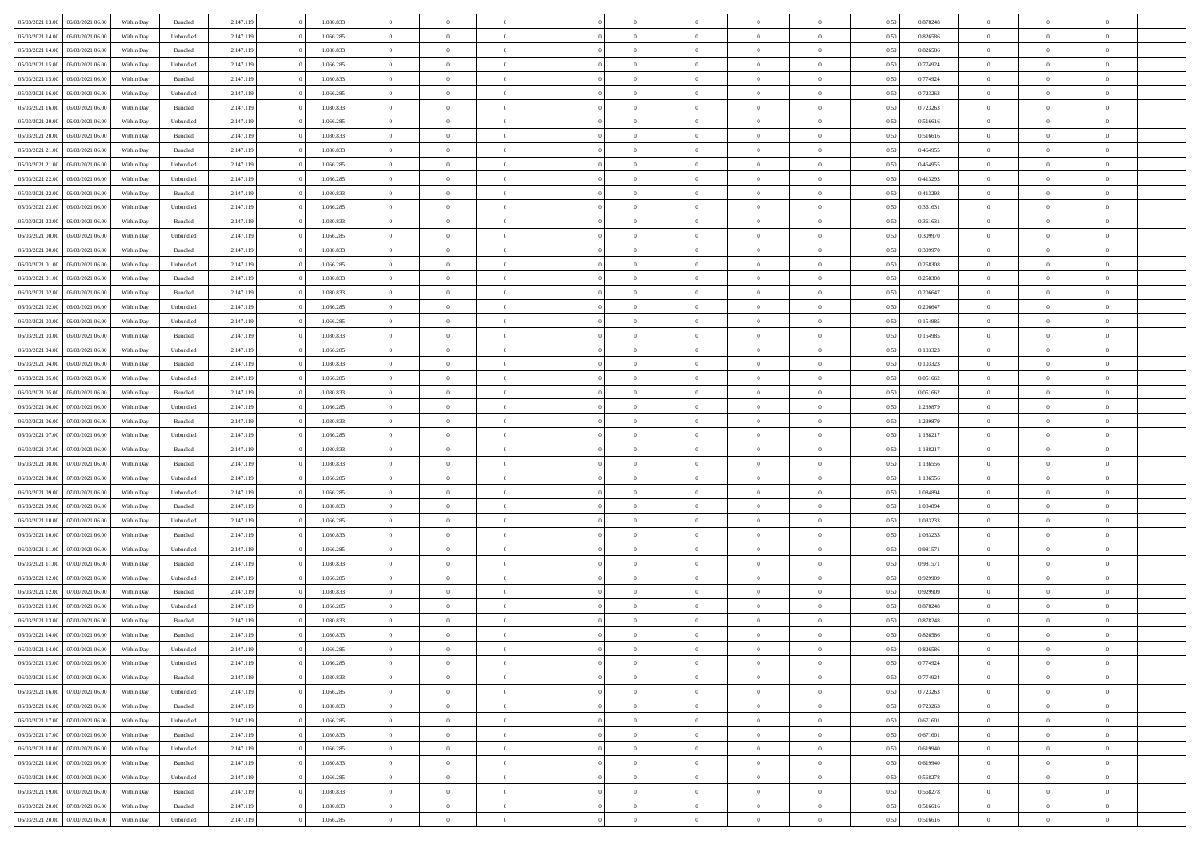| 05/03/2021 13:00<br>06/03/2021 06:00 | Within Day | Bundled   | 2.147.119 | 1.080.833 | $\overline{0}$ | $\Omega$       |                | $\Omega$       | $\Omega$       | $\theta$       | $\theta$       | 0.50 | 0,878248 | $\theta$       | $\theta$       | $\overline{0}$ |  |
|--------------------------------------|------------|-----------|-----------|-----------|----------------|----------------|----------------|----------------|----------------|----------------|----------------|------|----------|----------------|----------------|----------------|--|
|                                      |            |           |           |           |                |                |                |                |                |                |                |      |          |                |                |                |  |
| 05/03/2021 14:00<br>06/03/2021 06:00 | Within Day | Unbundled | 2.147.119 | 1.066.285 | $\overline{0}$ | $\theta$       | $\overline{0}$ | $\overline{0}$ | $\bf{0}$       | $\overline{0}$ | $\bf{0}$       | 0,50 | 0,826586 | $\theta$       | $\overline{0}$ | $\overline{0}$ |  |
| 05/03/2021 14:00<br>06/03/2021 06:00 | Within Day | Bundled   | 2.147.119 | 1.080.833 | $\overline{0}$ | $\bf{0}$       | $\overline{0}$ | $\overline{0}$ | $\bf{0}$       | $\overline{0}$ | $\mathbf{0}$   | 0,50 | 0,826586 | $\bf{0}$       | $\overline{0}$ | $\bf{0}$       |  |
| 05/03/2021 15:00<br>06/03/2021 06:00 | Within Dav | Unbundled | 2.147.119 | 1.066.285 | $\overline{0}$ | $\overline{0}$ | $\overline{0}$ | $\overline{0}$ | $\bf{0}$       | $\overline{0}$ | $\overline{0}$ | 0.50 | 0,774924 | $\theta$       | $\theta$       | $\overline{0}$ |  |
| 05/03/2021 15:00<br>06/03/2021 06:00 | Within Day | Bundled   | 2.147.119 | 1.080.833 | $\overline{0}$ | $\theta$       | $\overline{0}$ | $\overline{0}$ | $\bf{0}$       | $\overline{0}$ | $\bf{0}$       | 0,50 | 0,774924 | $\theta$       | $\overline{0}$ | $\overline{0}$ |  |
|                                      |            |           |           |           |                |                |                |                |                |                |                |      |          |                |                |                |  |
| 05/03/2021 16:00<br>06/03/2021 06:00 | Within Day | Unbundled | 2.147.119 | 1.066.285 | $\overline{0}$ | $\overline{0}$ | $\overline{0}$ | $\overline{0}$ | $\overline{0}$ | $\overline{0}$ | $\mathbf{0}$   | 0,50 | 0,723263 | $\bf{0}$       | $\overline{0}$ | $\bf{0}$       |  |
| 05/03/2021 16:00<br>06/03/2021 06:00 | Within Dav | Bundled   | 2.147.119 | 1.080.833 | $\overline{0}$ | $\overline{0}$ | $\overline{0}$ | $\overline{0}$ | $\overline{0}$ | $\overline{0}$ | $\overline{0}$ | 0.50 | 0,723263 | $\theta$       | $\overline{0}$ | $\overline{0}$ |  |
| 05/03/2021 20:00<br>06/03/2021 06:00 | Within Day | Unbundled | 2.147.119 | 1.066.285 | $\overline{0}$ | $\theta$       | $\overline{0}$ | $\overline{0}$ | $\bf{0}$       | $\overline{0}$ | $\bf{0}$       | 0,50 | 0,516616 | $\theta$       | $\theta$       | $\overline{0}$ |  |
| 05/03/2021 20.00<br>06/03/2021 06:00 | Within Day | Bundled   | 2.147.119 | 1.080.833 | $\overline{0}$ | $\overline{0}$ | $\overline{0}$ | $\overline{0}$ | $\bf{0}$       | $\overline{0}$ | $\bf{0}$       | 0,50 | 0,516616 | $\,0\,$        | $\overline{0}$ | $\overline{0}$ |  |
| 05/03/2021 21:00<br>06/03/2021 06:00 | Within Dav | Bundled   | 2.147.119 | 1.080.833 | $\overline{0}$ | $\overline{0}$ | $\overline{0}$ | $\overline{0}$ | $\overline{0}$ | $\overline{0}$ | $\overline{0}$ | 0.50 | 0,464955 | $\theta$       | $\overline{0}$ | $\overline{0}$ |  |
| 05/03/2021 21:00<br>06/03/2021 06:00 | Within Day | Unbundled | 2.147.119 | 1.066.285 | $\overline{0}$ | $\theta$       | $\overline{0}$ | $\overline{0}$ | $\bf{0}$       | $\overline{0}$ | $\bf{0}$       | 0,50 | 0,464955 | $\,$ 0 $\,$    | $\overline{0}$ | $\overline{0}$ |  |
| 05/03/2021 22.00<br>06/03/2021 06:00 | Within Day | Unbundled | 2.147.119 | 1.066.285 | $\overline{0}$ | $\bf{0}$       | $\overline{0}$ | $\overline{0}$ | $\bf{0}$       | $\overline{0}$ | $\mathbf{0}$   | 0,50 | 0,413293 | $\bf{0}$       | $\overline{0}$ | $\bf{0}$       |  |
| 05/03/2021 22:00<br>06/03/2021 06:00 | Within Day | Bundled   | 2.147.119 | 1.080.833 | $\overline{0}$ | $\overline{0}$ | $\overline{0}$ | $\overline{0}$ | $\bf{0}$       | $\overline{0}$ | $\overline{0}$ | 0.50 | 0,413293 | $\theta$       | $\theta$       | $\overline{0}$ |  |
|                                      |            |           |           |           |                |                |                |                |                |                |                |      |          |                |                |                |  |
| 05/03/2021 23:00<br>06/03/2021 06:00 | Within Day | Unbundled | 2.147.119 | 1.066.285 | $\overline{0}$ | $\theta$       | $\overline{0}$ | $\overline{0}$ | $\bf{0}$       | $\overline{0}$ | $\bf{0}$       | 0,50 | 0,361631 | $\theta$       | $\overline{0}$ | $\overline{0}$ |  |
| 05/03/2021 23.00<br>06/03/2021 06:00 | Within Day | Bundled   | 2.147.119 | 1.080.833 | $\overline{0}$ | $\overline{0}$ | $\overline{0}$ | $\overline{0}$ | $\overline{0}$ | $\overline{0}$ | $\mathbf{0}$   | 0,50 | 0,361631 | $\bf{0}$       | $\overline{0}$ | $\bf{0}$       |  |
| 06/03/2021 00:00<br>06/03/2021 06:00 | Within Dav | Unbundled | 2.147.119 | 1.066.285 | $\overline{0}$ | $\overline{0}$ | $\overline{0}$ | $\overline{0}$ | $\overline{0}$ | $\overline{0}$ | $\overline{0}$ | 0.50 | 0,309970 | $\theta$       | $\overline{0}$ | $\overline{0}$ |  |
| 06/03/2021 00:00<br>06/03/2021 06:00 | Within Day | Bundled   | 2.147.119 | 1.080.833 | $\overline{0}$ | $\theta$       | $\overline{0}$ | $\overline{0}$ | $\bf{0}$       | $\overline{0}$ | $\bf{0}$       | 0,50 | 0,309970 | $\theta$       | $\theta$       | $\overline{0}$ |  |
| 06/03/2021 01:00<br>06/03/2021 06:00 | Within Day | Unbundled | 2.147.119 | 1.066.285 | $\overline{0}$ | $\overline{0}$ | $\overline{0}$ | $\overline{0}$ | $\bf{0}$       | $\overline{0}$ | $\bf{0}$       | 0,50 | 0,258308 | $\bf{0}$       | $\overline{0}$ | $\overline{0}$ |  |
| 06/03/2021 01:00<br>06/03/2021 06:00 | Within Dav | Bundled   | 2.147.119 | 1.080.833 | $\overline{0}$ | $\overline{0}$ | $\overline{0}$ | $\overline{0}$ | $\overline{0}$ | $\overline{0}$ | $\overline{0}$ | 0.50 | 0,258308 | $\theta$       | $\overline{0}$ | $\overline{0}$ |  |
| 06/03/2021 02:00<br>06/03/2021 06:00 | Within Day | Bundled   | 2.147.119 | 1.080.833 | $\overline{0}$ | $\theta$       | $\overline{0}$ | $\overline{0}$ | $\bf{0}$       | $\overline{0}$ | $\bf{0}$       | 0,50 | 0,206647 | $\theta$       | $\overline{0}$ | $\overline{0}$ |  |
|                                      |            |           |           |           |                |                |                |                |                |                |                |      |          |                |                |                |  |
| 06/03/2021 02:00<br>06/03/2021 06:00 | Within Day | Unbundled | 2.147.119 | 1.066.285 | $\overline{0}$ | $\overline{0}$ | $\overline{0}$ | $\overline{0}$ | $\bf{0}$       | $\overline{0}$ | $\bf{0}$       | 0,50 | 0,206647 | $\,0\,$        | $\overline{0}$ | $\bf{0}$       |  |
| 06/03/2021 03:00<br>06/03/2021 06:00 | Within Day | Unbundled | 2.147.119 | 1.066.285 | $\overline{0}$ | $\overline{0}$ | $\overline{0}$ | $\overline{0}$ | $\bf{0}$       | $\overline{0}$ | $\overline{0}$ | 0.50 | 0.154985 | $\theta$       | $\overline{0}$ | $\overline{0}$ |  |
| 06/03/2021 03:00<br>06/03/2021 06:00 | Within Day | Bundled   | 2.147.119 | 1.080.833 | $\overline{0}$ | $\theta$       | $\overline{0}$ | $\overline{0}$ | $\bf{0}$       | $\overline{0}$ | $\bf{0}$       | 0,50 | 0,154985 | $\,$ 0 $\,$    | $\overline{0}$ | $\overline{0}$ |  |
| 06/03/2021 04:00<br>06/03/2021 06:00 | Within Day | Unbundled | 2.147.119 | 1.066.285 | $\overline{0}$ | $\overline{0}$ | $\overline{0}$ | $\bf{0}$       | $\overline{0}$ | $\overline{0}$ | $\mathbf{0}$   | 0,50 | 0,103323 | $\bf{0}$       | $\overline{0}$ | $\bf{0}$       |  |
| 06/03/2021 04:00<br>06/03/2021 06:00 | Within Dav | Bundled   | 2.147.119 | 1.080.833 | $\overline{0}$ | $\overline{0}$ | $\overline{0}$ | $\overline{0}$ | $\overline{0}$ | $\overline{0}$ | $\overline{0}$ | 0.50 | 0,103323 | $\theta$       | $\overline{0}$ | $\overline{0}$ |  |
| 06/03/2021 05:00<br>06/03/2021 06:00 | Within Day | Unbundled | 2.147.119 | 1.066.285 | $\overline{0}$ | $\theta$       | $\overline{0}$ | $\overline{0}$ | $\bf{0}$       | $\overline{0}$ | $\bf{0}$       | 0,50 | 0,051662 | $\theta$       | $\theta$       | $\overline{0}$ |  |
| 06/03/2021 05:00<br>06/03/2021 06:00 | Within Day | Bundled   | 2.147.119 | 1.080.833 | $\overline{0}$ | $\overline{0}$ | $\overline{0}$ | $\bf{0}$       | $\bf{0}$       | $\bf{0}$       | $\bf{0}$       | 0,50 | 0,051662 | $\,0\,$        | $\overline{0}$ | $\overline{0}$ |  |
| 06/03/2021 06:00<br>07/03/2021 06:00 |            | Unbundled | 2.147.119 | 1.066.285 | $\overline{0}$ | $\overline{0}$ | $\overline{0}$ | $\overline{0}$ | $\overline{0}$ | $\overline{0}$ | $\overline{0}$ | 0.50 | 1,239879 | $\theta$       | $\overline{0}$ | $\overline{0}$ |  |
|                                      | Within Day |           |           |           |                |                |                |                |                |                |                |      |          |                |                |                |  |
| 06/03/2021 06:00<br>07/03/2021 06:00 | Within Day | Bundled   | 2.147.119 | 1.080.833 | $\overline{0}$ | $\theta$       | $\overline{0}$ | $\overline{0}$ | $\bf{0}$       | $\overline{0}$ | $\bf{0}$       | 0,50 | 1,239879 | $\,$ 0 $\,$    | $\overline{0}$ | $\overline{0}$ |  |
| 06/03/2021 07:00<br>07/03/2021 06:00 | Within Day | Unbundled | 2.147.119 | 1.066.285 | $\overline{0}$ | $\overline{0}$ | $\overline{0}$ | $\bf{0}$       | $\bf{0}$       | $\bf{0}$       | $\bf{0}$       | 0,50 | 1,188217 | $\bf{0}$       | $\overline{0}$ | $\bf{0}$       |  |
| 06/03/2021 07:00<br>07/03/2021 06:00 | Within Day | Bundled   | 2.147.119 | 1.080.833 | $\overline{0}$ | $\Omega$       | $\Omega$       | $\Omega$       | $\Omega$       | $\overline{0}$ | $\overline{0}$ | 0,50 | 1,188217 | $\,0\,$        | $\theta$       | $\theta$       |  |
| 06/03/2021 08:00<br>07/03/2021 06:00 | Within Day | Bundled   | 2.147.119 | 1.080.833 | $\overline{0}$ | $\theta$       | $\overline{0}$ | $\overline{0}$ | $\bf{0}$       | $\overline{0}$ | $\bf{0}$       | 0,50 | 1,136556 | $\theta$       | $\overline{0}$ | $\overline{0}$ |  |
| 06/03/2021 08:00<br>07/03/2021 06:00 | Within Day | Unbundled | 2.147.119 | 1.066.285 | $\overline{0}$ | $\overline{0}$ | $\overline{0}$ | $\bf{0}$       | $\overline{0}$ | $\overline{0}$ | $\mathbf{0}$   | 0,50 | 1,136556 | $\overline{0}$ | $\overline{0}$ | $\bf{0}$       |  |
| 06/03/2021 09:00<br>07/03/2021 06:00 | Within Day | Unbundled | 2.147.119 | 1.066.285 | $\overline{0}$ | $\Omega$       | $\Omega$       | $\Omega$       | $\bf{0}$       | $\overline{0}$ | $\overline{0}$ | 0.50 | 1.084894 | $\,0\,$        | $\theta$       | $\theta$       |  |
| 06/03/2021 09:00<br>07/03/2021 06:00 | Within Day | Bundled   | 2.147.119 | 1.080.833 | $\overline{0}$ | $\theta$       | $\overline{0}$ | $\overline{0}$ | $\bf{0}$       | $\overline{0}$ | $\bf{0}$       | 0,50 | 1,084894 | $\theta$       | $\overline{0}$ | $\overline{0}$ |  |
|                                      |            |           |           |           |                |                |                |                |                |                |                |      |          |                |                |                |  |
| 06/03/2021 10:00<br>07/03/2021 06:00 | Within Day | Unbundled | 2.147.119 | 1.066.285 | $\overline{0}$ | $\overline{0}$ | $\overline{0}$ | $\bf{0}$       | $\bf{0}$       | $\bf{0}$       | $\bf{0}$       | 0,50 | 1,033233 | $\bf{0}$       | $\overline{0}$ | $\bf{0}$       |  |
| 06/03/2021 10:00<br>07/03/2021 06:00 | Within Day | Bundled   | 2.147.119 | 1.080.833 | $\overline{0}$ | $\Omega$       | $\Omega$       | $\Omega$       | $\theta$       | $\overline{0}$ | $\overline{0}$ | 0.50 | 1.033233 | $\,$ 0 $\,$    | $\theta$       | $\theta$       |  |
| 06/03/2021 11:00<br>07/03/2021 06:00 | Within Day | Unbundled | 2.147.119 | 1.066.285 | $\overline{0}$ | $\theta$       | $\overline{0}$ | $\overline{0}$ | $\bf{0}$       | $\overline{0}$ | $\bf{0}$       | 0,50 | 0,981571 | $\,$ 0 $\,$    | $\overline{0}$ | $\overline{0}$ |  |
| 06/03/2021 11:00<br>07/03/2021 06:00 | Within Day | Bundled   | 2.147.119 | 1.080.833 | $\overline{0}$ | $\bf{0}$       | $\overline{0}$ | $\bf{0}$       | $\bf{0}$       | $\bf{0}$       | $\bf{0}$       | 0,50 | 0,981571 | $\overline{0}$ | $\overline{0}$ | $\bf{0}$       |  |
| 06/03/2021 12:00<br>07/03/2021 06:00 | Within Day | Unbundled | 2.147.119 | 1.066.285 | $\overline{0}$ | $\Omega$       | $\Omega$       | $\Omega$       | $\overline{0}$ | $\overline{0}$ | $\overline{0}$ | 0.50 | 0,929909 | $\,0\,$        | $\theta$       | $\theta$       |  |
| 06/03/2021 12:00<br>07/03/2021 06:00 | Within Day | Bundled   | 2.147.119 | 1.080.833 | $\overline{0}$ | $\overline{0}$ | $\overline{0}$ | $\overline{0}$ | $\bf{0}$       | $\overline{0}$ | $\bf{0}$       | 0,50 | 0,929909 | $\,$ 0 $\,$    | $\overline{0}$ | $\overline{0}$ |  |
| 06/03/2021 13:00<br>07/03/2021 06:00 | Within Day | Unbundled | 2.147.119 | 1.066.285 | $\overline{0}$ | $\overline{0}$ | $\overline{0}$ | $\bf{0}$       | $\bf{0}$       | $\overline{0}$ | $\mathbf{0}$   | 0,50 | 0,878248 | $\overline{0}$ | $\overline{0}$ | $\bf{0}$       |  |
| 06/03/2021 13:00<br>07/03/2021 06:00 |            | Bundled   | 2.147.119 | 1.080.833 | $\overline{0}$ | $\Omega$       | $\Omega$       | $\Omega$       | $\Omega$       | $\Omega$       | $\overline{0}$ | 0.50 | 0,878248 | $\theta$       | $\theta$       | $\theta$       |  |
|                                      | Within Day |           |           |           | $\overline{0}$ |                | $\overline{0}$ |                |                |                |                |      |          |                |                |                |  |
| 06/03/2021 14:00<br>07/03/2021 06:00 | Within Day | Bundled   | 2.147.119 | 1.080.833 |                | $\overline{0}$ |                | $\bf{0}$       | $\,$ 0         | $\bf{0}$       | $\bf{0}$       | 0,50 | 0,826586 | $\,0\,$        | $\,$ 0 $\,$    | $\overline{0}$ |  |
| 06/03/2021 14:00 07/03/2021 06:00    | Within Day | Unbundled | 2.147.119 | 1.066.285 | $\bf{0}$       | $\bf{0}$       |                |                | $\bf{0}$       |                |                | 0,50 | 0,826586 | $\bf{0}$       | $\overline{0}$ |                |  |
| 06/03/2021 15:00<br>07/03/2021 06:00 | Within Day | Unbundled | 2.147.119 | 1.066.285 | $\overline{0}$ | $\overline{0}$ | $\overline{0}$ | $\Omega$       | $\overline{0}$ | $\overline{0}$ | $\overline{0}$ | 0.50 | 0,774924 | $\theta$       | $\theta$       | $\theta$       |  |
| 06/03/2021 15:00<br>07/03/2021 06:00 | Within Day | Bundled   | 2.147.119 | 1.080.833 | $\overline{0}$ | $\,$ 0         | $\overline{0}$ | $\bf{0}$       | $\,$ 0 $\,$    | $\overline{0}$ | $\mathbf{0}$   | 0,50 | 0,774924 | $\,$ 0 $\,$    | $\,$ 0 $\,$    | $\,$ 0         |  |
| 06/03/2021 16:00<br>07/03/2021 06:00 | Within Day | Unbundled | 2.147.119 | 1.066.285 | $\overline{0}$ | $\overline{0}$ | $\overline{0}$ | $\overline{0}$ | $\overline{0}$ | $\overline{0}$ | $\mathbf{0}$   | 0,50 | 0,723263 | $\overline{0}$ | $\bf{0}$       | $\bf{0}$       |  |
| 07/03/2021 06:00<br>06/03/2021 16:00 | Within Day | Bundled   | 2.147.119 | 1.080.833 | $\overline{0}$ | $\overline{0}$ | $\overline{0}$ | $\Omega$       | $\overline{0}$ | $\overline{0}$ | $\overline{0}$ | 0,50 | 0,723263 | $\overline{0}$ | $\theta$       | $\overline{0}$ |  |
| 06/03/2021 17:00<br>07/03/2021 06:00 | Within Day | Unbundled | 2.147.119 | 1.066.285 | $\overline{0}$ | $\,$ 0         | $\overline{0}$ | $\overline{0}$ | $\,$ 0 $\,$    | $\overline{0}$ | $\mathbf{0}$   | 0,50 | 0,671601 | $\,$ 0 $\,$    | $\overline{0}$ | $\overline{0}$ |  |
|                                      |            |           |           |           |                |                |                |                |                |                |                |      |          |                |                |                |  |
| 06/03/2021 17:00<br>07/03/2021 06:00 | Within Day | Bundled   | 2.147.119 | 1.080.833 | $\overline{0}$ | $\overline{0}$ | $\overline{0}$ | $\overline{0}$ | $\overline{0}$ | $\overline{0}$ | $\mathbf{0}$   | 0,50 | 0,671601 | $\overline{0}$ | $\overline{0}$ | $\bf{0}$       |  |
| 06/03/2021 18:00<br>07/03/2021 06:00 | Within Day | Unbundled | 2.147.119 | 1.066.285 | $\overline{0}$ | $\overline{0}$ | $\overline{0}$ | $\Omega$       | $\overline{0}$ | $\overline{0}$ | $\bf{0}$       | 0.50 | 0,619940 | $\overline{0}$ | $\theta$       | $\overline{0}$ |  |
| 06/03/2021 18:00<br>07/03/2021 06:00 | Within Day | Bundled   | 2.147.119 | 1.080.833 | $\overline{0}$ | $\,$ 0         | $\overline{0}$ | $\bf{0}$       | $\bf{0}$       | $\bf{0}$       | $\bf{0}$       | 0,50 | 0,619940 | $\,$ 0 $\,$    | $\overline{0}$ | $\overline{0}$ |  |
| 06/03/2021 19:00<br>07/03/2021 06:00 | Within Day | Unbundled | 2.147.119 | 1.066.285 | $\overline{0}$ | $\bf{0}$       | $\overline{0}$ | $\overline{0}$ | $\overline{0}$ | $\overline{0}$ | $\mathbf{0}$   | 0,50 | 0,568278 | $\overline{0}$ | $\overline{0}$ | $\bf{0}$       |  |
| 06/03/2021 19:00<br>07/03/2021 06:00 | Within Day | Bundled   | 2.147.119 | 1.080.833 | $\overline{0}$ | $\overline{0}$ | $\overline{0}$ | $\Omega$       | $\overline{0}$ | $\overline{0}$ | $\bf{0}$       | 0.50 | 0,568278 | $\overline{0}$ | $\theta$       | $\overline{0}$ |  |
| 06/03/2021 20:00<br>07/03/2021 06:00 | Within Day | Bundled   | 2.147.119 | 1.080.833 | $\overline{0}$ | $\bf{0}$       | $\overline{0}$ | $\overline{0}$ | $\bf{0}$       | $\bf{0}$       | $\mathbf{0}$   | 0,50 | 0,516616 | $\,$ 0 $\,$    | $\,$ 0 $\,$    | $\bf{0}$       |  |
| 06/03/2021 20:00<br>07/03/2021 06:00 | Within Day | Unbundled | 2.147.119 | 1.066.285 | $\overline{0}$ | $\overline{0}$ | $\overline{0}$ | $\overline{0}$ | $\bf{0}$       | $\bf{0}$       | $\mathbf{0}$   | 0,50 | 0,516616 | $\overline{0}$ | $\bf{0}$       | $\bf{0}$       |  |
|                                      |            |           |           |           |                |                |                |                |                |                |                |      |          |                |                |                |  |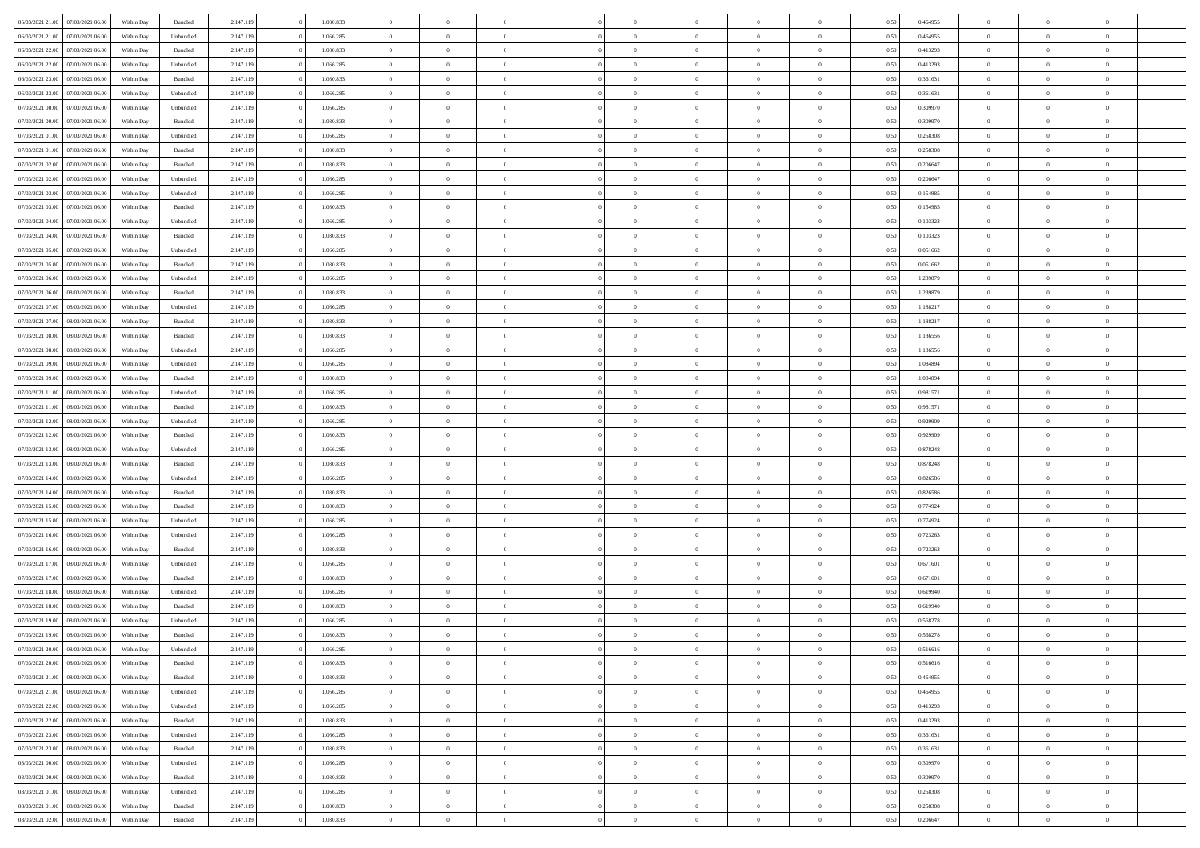| 06/03/2021 21:00                  | 07/03/2021 06:00 | Within Day | Bundled   | 2.147.119 | 1.080.833 | $\overline{0}$ | $\theta$       |                | $\Omega$       | $\Omega$       | $\theta$       | $\theta$       | 0,50 | 0,464955 | $\theta$       | $\overline{0}$ | $\theta$       |  |
|-----------------------------------|------------------|------------|-----------|-----------|-----------|----------------|----------------|----------------|----------------|----------------|----------------|----------------|------|----------|----------------|----------------|----------------|--|
|                                   |                  |            |           |           |           |                |                |                |                |                |                |                |      |          |                |                |                |  |
| 06/03/2021 21:00                  | 07/03/2021 06:00 | Within Day | Unbundled | 2.147.119 | 1.066.285 | $\overline{0}$ | $\theta$       | $\overline{0}$ | $\overline{0}$ | $\bf{0}$       | $\overline{0}$ | $\overline{0}$ | 0,50 | 0,464955 | $\theta$       | $\overline{0}$ | $\overline{0}$ |  |
| 06/03/2021 22.00                  | 07/03/2021 06:00 | Within Day | Bundled   | 2.147.119 | 1.080.833 | $\overline{0}$ | $\bf{0}$       | $\overline{0}$ | $\bf{0}$       | $\bf{0}$       | $\bf{0}$       | $\mathbf{0}$   | 0,50 | 0,413293 | $\overline{0}$ | $\overline{0}$ | $\bf{0}$       |  |
| 06/03/2021 22:00                  | 07/03/2021 06:00 | Within Dav | Unbundled | 2.147.119 | 1.066.285 | $\overline{0}$ | $\overline{0}$ | $\overline{0}$ | $\overline{0}$ | $\bf{0}$       | $\overline{0}$ | $\overline{0}$ | 0.50 | 0,413293 | $\theta$       | $\theta$       | $\overline{0}$ |  |
| 06/03/2021 23:00                  | 07/03/2021 06:00 | Within Day | Bundled   | 2.147.119 | 1.080.833 | $\overline{0}$ | $\theta$       | $\overline{0}$ | $\overline{0}$ | $\bf{0}$       | $\overline{0}$ | $\bf{0}$       | 0,50 | 0,361631 | $\theta$       | $\overline{0}$ | $\overline{0}$ |  |
|                                   |                  |            |           |           |           |                |                |                |                |                |                |                |      |          |                |                |                |  |
| 06/03/2021 23.00                  | 07/03/2021 06:00 | Within Day | Unbundled | 2.147.119 | 1.066.285 | $\overline{0}$ | $\overline{0}$ | $\overline{0}$ | $\bf{0}$       | $\overline{0}$ | $\overline{0}$ | $\mathbf{0}$   | 0,50 | 0,361631 | $\overline{0}$ | $\overline{0}$ | $\bf{0}$       |  |
| 07/03/2021 00:00                  | 07/03/2021 06:00 | Within Dav | Unbundled | 2.147.119 | 1.066.285 | $\overline{0}$ | $\overline{0}$ | $\overline{0}$ | $\overline{0}$ | $\overline{0}$ | $\overline{0}$ | $\overline{0}$ | 0.50 | 0,309970 | $\theta$       | $\overline{0}$ | $\overline{0}$ |  |
| 07/03/2021 00:00                  | 07/03/2021 06:00 | Within Day | Bundled   | 2.147.119 | 1.080.833 | $\overline{0}$ | $\theta$       | $\overline{0}$ | $\overline{0}$ | $\bf{0}$       | $\overline{0}$ | $\bf{0}$       | 0,50 | 0,309970 | $\theta$       | $\theta$       | $\overline{0}$ |  |
| 07/03/2021 01:00                  | 07/03/2021 06:00 | Within Day | Unbundled | 2.147.119 | 1.066.285 | $\overline{0}$ | $\overline{0}$ | $\overline{0}$ | $\bf{0}$       | $\bf{0}$       | $\bf{0}$       | $\bf{0}$       | 0,50 | 0,258308 | $\,0\,$        | $\overline{0}$ | $\overline{0}$ |  |
| 07/03/2021 01:00                  | 07/03/2021 06:00 | Within Dav | Bundled   | 2.147.119 | 1.080.833 | $\overline{0}$ | $\overline{0}$ | $\overline{0}$ | $\overline{0}$ | $\overline{0}$ | $\overline{0}$ | $\overline{0}$ | 0.50 | 0,258308 | $\theta$       | $\overline{0}$ | $\overline{0}$ |  |
| 07/03/2021 02:00                  | 07/03/2021 06:00 | Within Day | Bundled   | 2.147.119 | 1.080.833 | $\overline{0}$ | $\theta$       | $\overline{0}$ | $\overline{0}$ | $\bf{0}$       | $\overline{0}$ | $\bf{0}$       | 0,50 | 0,206647 | $\theta$       | $\overline{0}$ | $\overline{0}$ |  |
| 07/03/2021 02:00                  | 07/03/2021 06:00 | Within Day | Unbundled | 2.147.119 | 1.066.285 | $\overline{0}$ | $\overline{0}$ | $\overline{0}$ | $\bf{0}$       | $\bf{0}$       | $\bf{0}$       | $\bf{0}$       | 0,50 | 0,206647 | $\bf{0}$       | $\overline{0}$ | $\bf{0}$       |  |
|                                   |                  |            |           |           |           |                |                |                |                |                |                |                |      |          | $\theta$       |                |                |  |
| 07/03/2021 03:00                  | 07/03/2021 06:00 | Within Dav | Unbundled | 2.147.119 | 1.066.285 | $\overline{0}$ | $\overline{0}$ | $\overline{0}$ | $\overline{0}$ | $\bf{0}$       | $\overline{0}$ | $\overline{0}$ | 0.50 | 0.154985 |                | $\theta$       | $\overline{0}$ |  |
| 07/03/2021 03:00                  | 07/03/2021 06:00 | Within Day | Bundled   | 2.147.119 | 1.080.833 | $\overline{0}$ | $\theta$       | $\overline{0}$ | $\overline{0}$ | $\bf{0}$       | $\overline{0}$ | $\overline{0}$ | 0,50 | 0,154985 | $\theta$       | $\overline{0}$ | $\overline{0}$ |  |
| 07/03/2021 04:00                  | 07/03/2021 06:00 | Within Day | Unbundled | 2.147.119 | 1.066.285 | $\overline{0}$ | $\overline{0}$ | $\overline{0}$ | $\bf{0}$       | $\overline{0}$ | $\overline{0}$ | $\mathbf{0}$   | 0,50 | 0,103323 | $\bf{0}$       | $\overline{0}$ | $\bf{0}$       |  |
| 07/03/2021 04:00                  | 07/03/2021 06:00 | Within Dav | Bundled   | 2.147.119 | 1.080.833 | $\overline{0}$ | $\overline{0}$ | $\overline{0}$ | $\overline{0}$ | $\overline{0}$ | $\overline{0}$ | $\overline{0}$ | 0.50 | 0,103323 | $\theta$       | $\overline{0}$ | $\overline{0}$ |  |
| 07/03/2021 05:00                  | 07/03/2021 06:00 | Within Day | Unbundled | 2.147.119 | 1.066.285 | $\overline{0}$ | $\theta$       | $\overline{0}$ | $\overline{0}$ | $\bf{0}$       | $\overline{0}$ | $\bf{0}$       | 0,50 | 0,051662 | $\theta$       | $\theta$       | $\overline{0}$ |  |
| 07/03/2021 05:00                  | 07/03/2021 06:00 | Within Day | Bundled   | 2.147.119 | 1.080.833 | $\overline{0}$ | $\overline{0}$ | $\overline{0}$ | $\bf{0}$       | $\bf{0}$       | $\bf{0}$       | $\bf{0}$       | 0,50 | 0,051662 | $\,0\,$        | $\overline{0}$ | $\overline{0}$ |  |
| 07/03/2021 06:00                  | 08/03/2021 06:00 | Within Dav | Unbundled | 2.147.119 | 1.066.285 | $\overline{0}$ | $\overline{0}$ | $\overline{0}$ | $\overline{0}$ | $\overline{0}$ | $\overline{0}$ | $\overline{0}$ | 0.50 | 1,239879 | $\theta$       | $\overline{0}$ | $\overline{0}$ |  |
|                                   |                  |            |           |           |           |                |                |                |                |                |                |                |      |          |                |                |                |  |
| 07/03/2021 06:00                  | 08/03/2021 06:00 | Within Day | Bundled   | 2.147.119 | 1.080.833 | $\overline{0}$ | $\theta$       | $\overline{0}$ | $\overline{0}$ | $\bf{0}$       | $\overline{0}$ | $\bf{0}$       | 0,50 | 1,239879 | $\,$ 0 $\,$    | $\overline{0}$ | $\overline{0}$ |  |
| 07/03/2021 07:00                  | 08/03/2021 06:00 | Within Day | Unbundled | 2.147.119 | 1.066.285 | $\overline{0}$ | $\overline{0}$ | $\overline{0}$ | $\bf{0}$       | $\bf{0}$       | $\bf{0}$       | $\bf{0}$       | 0,50 | 1,188217 | $\,0\,$        | $\overline{0}$ | $\bf{0}$       |  |
| 07/03/2021 07:00                  | 08/03/2021 06:00 | Within Day | Bundled   | 2.147.119 | 1.080.833 | $\overline{0}$ | $\overline{0}$ | $\overline{0}$ | $\overline{0}$ | $\bf{0}$       | $\overline{0}$ | $\overline{0}$ | 0.50 | 1,188217 | $\theta$       | $\overline{0}$ | $\overline{0}$ |  |
| 07/03/2021 08:00                  | 08/03/2021 06:00 | Within Day | Bundled   | 2.147.119 | 1.080.833 | $\overline{0}$ | $\theta$       | $\overline{0}$ | $\overline{0}$ | $\bf{0}$       | $\overline{0}$ | $\bf{0}$       | 0,50 | 1,136556 | $\theta$       | $\overline{0}$ | $\overline{0}$ |  |
| 07/03/2021 08:00                  | 08/03/2021 06:00 | Within Day | Unbundled | 2.147.119 | 1.066.285 | $\overline{0}$ | $\overline{0}$ | $\overline{0}$ | $\bf{0}$       | $\overline{0}$ | $\overline{0}$ | $\mathbf{0}$   | 0,50 | 1,136556 | $\overline{0}$ | $\overline{0}$ | $\bf{0}$       |  |
| 07/03/2021 09:00                  | 08/03/2021 06:00 | Within Dav | Unbundled | 2.147.119 | 1.066.285 | $\overline{0}$ | $\overline{0}$ | $\overline{0}$ | $\overline{0}$ | $\overline{0}$ | $\overline{0}$ | $\overline{0}$ | 0.50 | 1,084894 | $\theta$       | $\overline{0}$ | $\overline{0}$ |  |
| 07/03/2021 09:00                  | 08/03/2021 06:00 | Within Day | Bundled   | 2.147.119 | 1.080.833 | $\overline{0}$ | $\theta$       | $\overline{0}$ | $\overline{0}$ | $\bf{0}$       | $\overline{0}$ | $\bf{0}$       | 0,50 | 1,084894 | $\theta$       | $\theta$       | $\overline{0}$ |  |
|                                   |                  |            |           |           |           |                | $\overline{0}$ |                |                | $\bf{0}$       |                |                |      |          | $\,0\,$        | $\overline{0}$ | $\overline{0}$ |  |
| 07/03/2021 11:00                  | 08/03/2021 06:00 | Within Day | Unbundled | 2.147.119 | 1.066.285 | $\overline{0}$ |                | $\overline{0}$ | $\bf{0}$       |                | $\bf{0}$       | $\bf{0}$       | 0,50 | 0,981571 |                |                |                |  |
| 07/03/2021 11:00                  | 08/03/2021 06:00 | Within Day | Bundled   | 2.147.119 | 1.080.833 | $\overline{0}$ | $\overline{0}$ | $\overline{0}$ | $\overline{0}$ | $\overline{0}$ | $\overline{0}$ | $\overline{0}$ | 0.50 | 0.981571 | $\theta$       | $\overline{0}$ | $\overline{0}$ |  |
| 07/03/2021 12:00                  | 08/03/2021 06:00 | Within Day | Unbundled | 2.147.119 | 1.066.285 | $\overline{0}$ | $\theta$       | $\overline{0}$ | $\overline{0}$ | $\bf{0}$       | $\overline{0}$ | $\bf{0}$       | 0,50 | 0,929909 | $\,$ 0 $\,$    | $\overline{0}$ | $\overline{0}$ |  |
| 07/03/2021 12:00                  | 08/03/2021 06:00 | Within Day | Bundled   | 2.147.119 | 1.080.833 | $\overline{0}$ | $\overline{0}$ | $\overline{0}$ | $\bf{0}$       | $\bf{0}$       | $\bf{0}$       | $\bf{0}$       | 0,50 | 0,929909 | $\bf{0}$       | $\overline{0}$ | $\bf{0}$       |  |
| 07/03/2021 13:00                  | 08/03/2021 06:00 | Within Day | Unbundled | 2.147.119 | 1.066.285 | $\overline{0}$ | $\Omega$       | $\Omega$       | $\Omega$       | $\Omega$       | $\Omega$       | $\overline{0}$ | 0,50 | 0,878248 | $\,0\,$        | $\theta$       | $\theta$       |  |
| 07/03/2021 13:00                  | 08/03/2021 06:00 | Within Day | Bundled   | 2.147.119 | 1.080.833 | $\overline{0}$ | $\theta$       | $\overline{0}$ | $\overline{0}$ | $\bf{0}$       | $\overline{0}$ | $\bf{0}$       | 0,50 | 0,878248 | $\theta$       | $\overline{0}$ | $\overline{0}$ |  |
| 07/03/2021 14:00                  | 08/03/2021 06:00 | Within Day | Unbundled | 2.147.119 | 1.066.285 | $\overline{0}$ | $\overline{0}$ | $\overline{0}$ | $\bf{0}$       | $\overline{0}$ | $\overline{0}$ | $\mathbf{0}$   | 0,50 | 0,826586 | $\bf{0}$       | $\overline{0}$ | $\bf{0}$       |  |
| 07/03/2021 14:00                  | 08/03/2021 06:00 |            |           |           | 1.080.833 | $\overline{0}$ | $\Omega$       | $\Omega$       | $\Omega$       | $\bf{0}$       | $\overline{0}$ | $\overline{0}$ | 0.50 |          | $\,0\,$        | $\theta$       | $\theta$       |  |
|                                   |                  | Within Day | Bundled   | 2.147.119 |           |                |                |                |                |                |                |                |      | 0,826586 |                |                |                |  |
| 07/03/2021 15:00                  | 08/03/2021 06:00 | Within Day | Bundled   | 2.147.119 | 1.080.833 | $\overline{0}$ | $\theta$       | $\overline{0}$ | $\overline{0}$ | $\bf{0}$       | $\overline{0}$ | $\bf{0}$       | 0,50 | 0,774924 | $\theta$       | $\overline{0}$ | $\overline{0}$ |  |
| 07/03/2021 15:00                  | 08/03/2021 06:00 | Within Day | Unbundled | 2.147.119 | 1.066.285 | $\overline{0}$ | $\overline{0}$ | $\overline{0}$ | $\bf{0}$       | $\bf{0}$       | $\bf{0}$       | $\bf{0}$       | 0,50 | 0,774924 | $\bf{0}$       | $\overline{0}$ | $\bf{0}$       |  |
| 07/03/2021 16:00                  | 08/03/2021 06:00 | Within Day | Unbundled | 2.147.119 | 1.066.285 | $\overline{0}$ | $\Omega$       | $\Omega$       | $\Omega$       | $\theta$       | $\theta$       | $\overline{0}$ | 0.50 | 0,723263 | $\theta$       | $\theta$       | $\theta$       |  |
| 07/03/2021 16:00                  | 08/03/2021 06:00 | Within Day | Bundled   | 2.147.119 | 1.080.833 | $\overline{0}$ | $\theta$       | $\overline{0}$ | $\overline{0}$ | $\bf{0}$       | $\overline{0}$ | $\bf{0}$       | 0,50 | 0,723263 | $\,$ 0 $\,$    | $\overline{0}$ | $\overline{0}$ |  |
| 07/03/2021 17:00                  | 08/03/2021 06:00 | Within Day | Unbundled | 2.147.119 | 1.066.285 | $\overline{0}$ | $\bf{0}$       | $\overline{0}$ | $\bf{0}$       | $\bf{0}$       | $\bf{0}$       | $\bf{0}$       | 0,50 | 0,671601 | $\bf{0}$       | $\overline{0}$ | $\bf{0}$       |  |
| 07/03/2021 17:00                  | 08/03/2021 06:00 | Within Day | Bundled   | 2.147.119 | 1.080.833 | $\overline{0}$ | $\Omega$       | $\Omega$       | $\Omega$       | $\overline{0}$ | $\overline{0}$ | $\overline{0}$ | 0.50 | 0,671601 | $\,0\,$        | $\theta$       | $\theta$       |  |
| 07/03/2021 18:00                  | 08/03/2021 06:00 | Within Day | Unbundled | 2.147.119 | 1.066.285 | $\overline{0}$ | $\theta$       | $\overline{0}$ | $\overline{0}$ | $\bf{0}$       | $\overline{0}$ | $\bf{0}$       | 0,50 | 0,619940 | $\,$ 0 $\,$    | $\overline{0}$ | $\overline{0}$ |  |
| 07/03/2021 18:00                  | 08/03/2021 06:00 | Within Day | Bundled   | 2.147.119 | 1.080.833 | $\overline{0}$ | $\overline{0}$ | $\overline{0}$ | $\bf{0}$       | $\bf{0}$       | $\bf{0}$       | $\mathbf{0}$   | 0,50 | 0,619940 | $\bf{0}$       | $\overline{0}$ | $\bf{0}$       |  |
|                                   |                  |            |           |           |           |                |                |                |                |                |                |                |      |          |                |                |                |  |
| 07/03/2021 19:00                  | 08/03/2021 06:00 | Within Day | Unbundled | 2.147.119 | 1.066.285 | $\overline{0}$ | $\Omega$       | $\Omega$       | $\Omega$       | $\Omega$       | $\Omega$       | $\overline{0}$ | 0.50 | 0.568278 | $\theta$       | $\theta$       | $\theta$       |  |
| 07/03/2021 19:00                  | 08/03/2021 06:00 | Within Day | Bundled   | 2.147.119 | 1.080.833 | $\overline{0}$ | $\overline{0}$ | $\overline{0}$ | $\bf{0}$       | $\,$ 0         | $\bf{0}$       | $\bf{0}$       | 0,50 | 0,568278 | $\,0\,$        | $\,$ 0 $\,$    | $\overline{0}$ |  |
| 07/03/2021 20:00 08/03/2021 06:00 |                  | Within Day | Unbundled | 2.147.119 | 1.066.285 | $\bf{0}$       | $\bf{0}$       |                |                | $\bf{0}$       |                |                | 0,50 | 0,516616 | $\bf{0}$       | $\overline{0}$ |                |  |
| 07/03/2021 20:00                  | 08/03/2021 06:00 | Within Day | Bundled   | 2.147.119 | 1.080.833 | $\overline{0}$ | $\overline{0}$ | $\overline{0}$ | $\Omega$       | $\overline{0}$ | $\overline{0}$ | $\overline{0}$ | 0.50 | 0,516616 | $\theta$       | $\theta$       | $\theta$       |  |
| 07/03/2021 21:00                  | 08/03/2021 06:00 | Within Day | Bundled   | 2.147.119 | 1.080.833 | $\overline{0}$ | $\,$ 0         | $\overline{0}$ | $\bf{0}$       | $\,$ 0 $\,$    | $\overline{0}$ | $\mathbf{0}$   | 0,50 | 0,464955 | $\,$ 0 $\,$    | $\,$ 0 $\,$    | $\,$ 0         |  |
| 07/03/2021 21:00                  | 08/03/2021 06:00 | Within Day | Unbundled | 2.147.119 | 1.066.285 | $\overline{0}$ | $\overline{0}$ | $\overline{0}$ | $\overline{0}$ | $\overline{0}$ | $\overline{0}$ | $\mathbf{0}$   | 0,50 | 0,464955 | $\overline{0}$ | $\bf{0}$       | $\bf{0}$       |  |
| 07/03/2021 22:00                  | 08/03/2021 06:00 | Within Day | Unbundled | 2.147.119 | 1.066.285 | $\overline{0}$ | $\overline{0}$ | $\overline{0}$ | $\Omega$       | $\overline{0}$ | $\overline{0}$ | $\overline{0}$ | 0,50 | 0,413293 | $\overline{0}$ | $\theta$       | $\overline{0}$ |  |
| 07/03/2021 22.00                  | 08/03/2021 06:00 | Within Day | Bundled   | 2.147.119 | 1.080.833 | $\overline{0}$ | $\,$ 0         | $\overline{0}$ | $\overline{0}$ | $\,$ 0 $\,$    | $\overline{0}$ |                |      | 0,413293 | $\,$ 0 $\,$    | $\overline{0}$ | $\overline{0}$ |  |
|                                   |                  |            |           |           |           |                |                |                |                |                |                | $\mathbf{0}$   | 0,50 |          |                |                |                |  |
| 07/03/2021 23.00                  | 08/03/2021 06:00 | Within Day | Unbundled | 2.147.119 | 1.066.285 | $\overline{0}$ | $\overline{0}$ | $\overline{0}$ | $\overline{0}$ | $\overline{0}$ | $\overline{0}$ | $\mathbf{0}$   | 0,50 | 0,361631 | $\overline{0}$ | $\overline{0}$ | $\bf{0}$       |  |
| 07/03/2021 23:00                  | 08/03/2021 06:00 | Within Day | Bundled   | 2.147.119 | 1.080.833 | $\overline{0}$ | $\overline{0}$ | $\overline{0}$ | $\Omega$       | $\overline{0}$ | $\overline{0}$ | $\bf{0}$       | 0.50 | 0,361631 | $\overline{0}$ | $\theta$       | $\overline{0}$ |  |
| 08/03/2021 00:00                  | 08/03/2021 06:00 | Within Day | Unbundled | 2.147.119 | 1.066.285 | $\overline{0}$ | $\,$ 0         | $\overline{0}$ | $\bf{0}$       | $\bf{0}$       | $\bf{0}$       | $\bf{0}$       | 0,50 | 0,309970 | $\,$ 0 $\,$    | $\overline{0}$ | $\overline{0}$ |  |
| 08/03/2021 00:00                  | 08/03/2021 06:00 | Within Day | Bundled   | 2.147.119 | 1.080.833 | $\overline{0}$ | $\bf{0}$       | $\overline{0}$ | $\overline{0}$ | $\overline{0}$ | $\overline{0}$ | $\mathbf{0}$   | 0,50 | 0,309970 | $\overline{0}$ | $\overline{0}$ | $\bf{0}$       |  |
| 08/03/2021 01:00                  | 08/03/2021 06:00 | Within Day | Unbundled | 2.147.119 | 1.066.285 | $\overline{0}$ | $\overline{0}$ | $\overline{0}$ | $\Omega$       | $\overline{0}$ | $\overline{0}$ | $\bf{0}$       | 0.50 | 0,258308 | $\overline{0}$ | $\overline{0}$ | $\overline{0}$ |  |
| 08/03/2021 01:00                  | 08/03/2021 06:00 | Within Day | Bundled   | 2.147.119 | 1.080.833 | $\overline{0}$ | $\bf{0}$       | $\overline{0}$ | $\overline{0}$ | $\bf{0}$       | $\bf{0}$       | $\mathbf{0}$   | 0,50 | 0,258308 | $\,$ 0 $\,$    | $\,$ 0 $\,$    | $\bf{0}$       |  |
|                                   |                  |            |           |           |           |                |                |                |                |                |                |                |      |          |                |                |                |  |
| 08/03/2021 02:00                  | 08/03/2021 06:00 | Within Day | Bundled   | 2.147.119 | 1.080.833 | $\overline{0}$ | $\overline{0}$ | $\overline{0}$ | $\overline{0}$ | $\bf{0}$       | $\bf{0}$       | $\mathbf{0}$   | 0,50 | 0,206647 | $\overline{0}$ | $\bf{0}$       | $\bf{0}$       |  |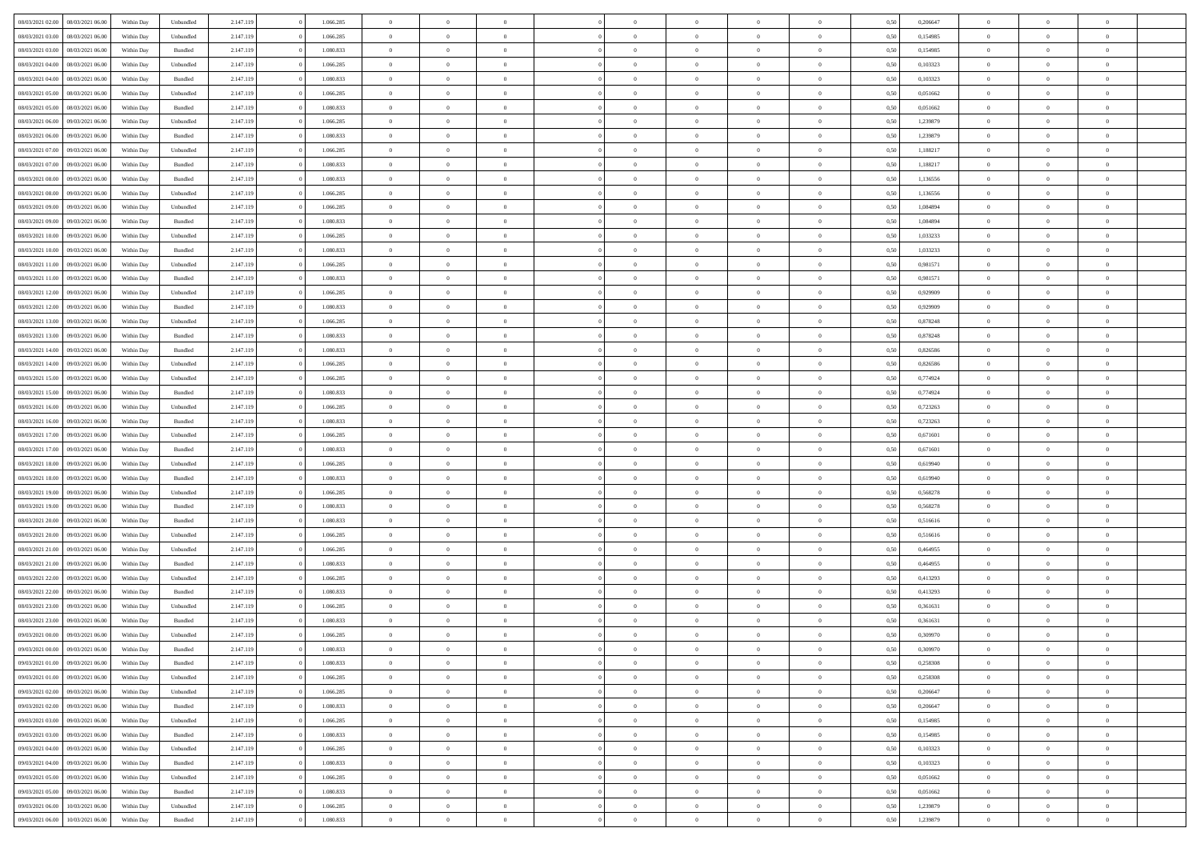| 08/03/2021 02:00                  | 08/03/2021 06:00 | Within Dav | Unbundled          | 2.147.119 | 1.066.285 | $\overline{0}$ | $\Omega$       |                | $\Omega$       | $\Omega$       | $\Omega$       | $\theta$       | 0.50 | 0,206647 | $\theta$       | $\theta$       | $\theta$       |  |
|-----------------------------------|------------------|------------|--------------------|-----------|-----------|----------------|----------------|----------------|----------------|----------------|----------------|----------------|------|----------|----------------|----------------|----------------|--|
|                                   |                  |            |                    |           |           |                |                |                |                |                |                |                |      |          |                |                |                |  |
| 08/03/2021 03:00                  | 08/03/2021 06:00 | Within Day | Unbundled          | 2.147.119 | 1.066.285 | $\overline{0}$ | $\theta$       | $\overline{0}$ | $\overline{0}$ | $\bf{0}$       | $\overline{0}$ | $\overline{0}$ | 0,50 | 0,154985 | $\theta$       | $\theta$       | $\overline{0}$ |  |
| 08/03/2021 03:00                  | 08/03/2021 06:00 | Within Day | Bundled            | 2.147.119 | 1.080.833 | $\overline{0}$ | $\overline{0}$ | $\overline{0}$ | $\bf{0}$       | $\bf{0}$       | $\bf{0}$       | $\bf{0}$       | 0,50 | 0,154985 | $\overline{0}$ | $\overline{0}$ | $\overline{0}$ |  |
| 08/03/2021 04:00                  | 08/03/2021 06:00 | Within Dav | Unbundled          | 2.147.119 | 1.066.285 | $\overline{0}$ | $\overline{0}$ | $\overline{0}$ | $\overline{0}$ | $\bf{0}$       | $\overline{0}$ | $\overline{0}$ | 0.50 | 0,103323 | $\theta$       | $\theta$       | $\overline{0}$ |  |
| 08/03/2021 04:00                  | 08/03/2021 06:00 | Within Day | Bundled            | 2.147.119 | 1.080.833 | $\overline{0}$ | $\theta$       | $\overline{0}$ | $\overline{0}$ | $\bf{0}$       | $\overline{0}$ | $\bf{0}$       | 0,50 | 0,103323 | $\theta$       | $\theta$       | $\overline{0}$ |  |
| 08/03/2021 05:00                  | 08/03/2021 06:00 | Within Day | Unbundled          | 2.147.119 | 1.066.285 | $\overline{0}$ | $\bf{0}$       | $\overline{0}$ | $\bf{0}$       | $\overline{0}$ | $\overline{0}$ | $\mathbf{0}$   | 0,50 | 0,051662 | $\overline{0}$ | $\overline{0}$ | $\bf{0}$       |  |
|                                   |                  |            |                    |           |           |                |                |                |                | $\overline{0}$ |                |                |      |          | $\theta$       | $\overline{0}$ | $\overline{0}$ |  |
| 08/03/2021 05:00                  | 08/03/2021 06:00 | Within Dav | Bundled            | 2.147.119 | 1.080.833 | $\overline{0}$ | $\overline{0}$ | $\overline{0}$ | $\overline{0}$ |                | $\overline{0}$ | $\overline{0}$ | 0.50 | 0,051662 |                |                |                |  |
| 08/03/2021 06:00                  | 09/03/2021 06:00 | Within Day | Unbundled          | 2.147.119 | 1.066.285 | $\overline{0}$ | $\theta$       | $\overline{0}$ | $\overline{0}$ | $\bf{0}$       | $\overline{0}$ | $\bf{0}$       | 0,50 | 1,239879 | $\theta$       | $\theta$       | $\overline{0}$ |  |
| 08/03/2021 06:00                  | 09/03/2021 06:00 | Within Day | Bundled            | 2.147.119 | 1.080.833 | $\overline{0}$ | $\overline{0}$ | $\overline{0}$ | $\bf{0}$       | $\bf{0}$       | $\bf{0}$       | $\bf{0}$       | 0,50 | 1,239879 | $\,0\,$        | $\overline{0}$ | $\overline{0}$ |  |
| 08/03/2021 07:00                  | 09/03/2021 06:00 | Within Dav | Unbundled          | 2.147.119 | 1.066.285 | $\overline{0}$ | $\overline{0}$ | $\overline{0}$ | $\overline{0}$ | $\overline{0}$ | $\overline{0}$ | $\overline{0}$ | 0.50 | 1,188217 | $\theta$       | $\overline{0}$ | $\overline{0}$ |  |
| 08/03/2021 07:00                  | 09/03/2021 06:00 | Within Day | Bundled            | 2.147.119 | 1.080.833 | $\overline{0}$ | $\theta$       | $\overline{0}$ | $\overline{0}$ | $\bf{0}$       | $\overline{0}$ | $\bf{0}$       | 0,50 | 1,188217 | $\,$ 0 $\,$    | $\theta$       | $\overline{0}$ |  |
| 08/03/2021 08:00                  | 09/03/2021 06:00 | Within Day | Bundled            | 2.147.119 | 1.080.833 | $\overline{0}$ | $\overline{0}$ | $\overline{0}$ | $\bf{0}$       | $\bf{0}$       | $\bf{0}$       | $\bf{0}$       | 0,50 | 1,136556 | $\overline{0}$ | $\overline{0}$ | $\overline{0}$ |  |
| 08/03/2021 08:00                  | 09/03/2021 06:00 | Within Dav | Unbundled          | 2.147.119 | 1.066.285 | $\overline{0}$ | $\overline{0}$ | $\overline{0}$ | $\overline{0}$ | $\bf{0}$       | $\overline{0}$ | $\overline{0}$ | 0.50 | 1,136556 | $\theta$       | $\theta$       | $\overline{0}$ |  |
| 08/03/2021 09:00                  | 09/03/2021 06:00 |            |                    | 2.147.119 | 1.066.285 | $\overline{0}$ | $\theta$       | $\overline{0}$ | $\overline{0}$ | $\bf{0}$       | $\overline{0}$ | $\overline{0}$ |      | 1,084894 | $\theta$       | $\theta$       | $\overline{0}$ |  |
|                                   |                  | Within Day | Unbundled          |           |           |                |                |                |                |                |                |                | 0,50 |          |                |                |                |  |
| 08/03/2021 09:00                  | 09/03/2021 06:00 | Within Day | Bundled            | 2.147.119 | 1.080.833 | $\overline{0}$ | $\bf{0}$       | $\overline{0}$ | $\bf{0}$       | $\overline{0}$ | $\overline{0}$ | $\mathbf{0}$   | 0,50 | 1,084894 | $\bf{0}$       | $\overline{0}$ | $\bf{0}$       |  |
| 08/03/2021 10:00                  | 09/03/2021 06:00 | Within Dav | Unbundled          | 2.147.119 | 1.066.285 | $\overline{0}$ | $\overline{0}$ | $\overline{0}$ | $\overline{0}$ | $\overline{0}$ | $\overline{0}$ | $\overline{0}$ | 0.50 | 1,033233 | $\theta$       | $\overline{0}$ | $\overline{0}$ |  |
| 08/03/2021 10:00                  | 09/03/2021 06:00 | Within Day | Bundled            | 2.147.119 | 1.080.833 | $\overline{0}$ | $\theta$       | $\overline{0}$ | $\overline{0}$ | $\bf{0}$       | $\overline{0}$ | $\bf{0}$       | 0,50 | 1,033233 | $\theta$       | $\theta$       | $\overline{0}$ |  |
| 08/03/2021 11:00                  | 09/03/2021 06:00 | Within Day | Unbundled          | 2.147.119 | 1.066.285 | $\overline{0}$ | $\overline{0}$ | $\overline{0}$ | $\bf{0}$       | $\bf{0}$       | $\bf{0}$       | $\bf{0}$       | 0,50 | 0,981571 | $\,0\,$        | $\overline{0}$ | $\overline{0}$ |  |
| 08/03/2021 11:00                  | 09/03/2021 06:00 | Within Dav | Bundled            | 2.147.119 | 1.080.833 | $\overline{0}$ | $\overline{0}$ | $\overline{0}$ | $\overline{0}$ | $\overline{0}$ | $\overline{0}$ | $\overline{0}$ | 0.50 | 0.981571 | $\theta$       | $\overline{0}$ | $\overline{0}$ |  |
| 08/03/2021 12:00                  | 09/03/2021 06:00 | Within Day | Unbundled          | 2.147.119 | 1.066.285 | $\overline{0}$ | $\theta$       | $\overline{0}$ | $\overline{0}$ | $\bf{0}$       | $\overline{0}$ | $\bf{0}$       | 0,50 | 0,929909 | $\theta$       | $\theta$       | $\overline{0}$ |  |
| 08/03/2021 12:00                  | 09/03/2021 06:00 | Within Day | Bundled            | 2.147.119 | 1.080.833 | $\overline{0}$ | $\overline{0}$ | $\overline{0}$ | $\bf{0}$       | $\bf{0}$       | $\bf{0}$       | $\bf{0}$       | 0,50 | 0,929909 | $\,0\,$        | $\overline{0}$ | $\overline{0}$ |  |
| 08/03/2021 13:00                  | 09/03/2021 06:00 | Within Day | Unbundled          | 2.147.119 | 1.066.285 | $\overline{0}$ | $\overline{0}$ | $\overline{0}$ | $\overline{0}$ | $\bf{0}$       | $\overline{0}$ | $\overline{0}$ | 0.50 | 0.878248 | $\theta$       | $\theta$       | $\overline{0}$ |  |
|                                   |                  |            |                    |           |           |                |                |                |                |                |                |                |      |          |                |                |                |  |
| 08/03/2021 13:00                  | 09/03/2021 06:00 | Within Day | Bundled            | 2.147.119 | 1.080.833 | $\overline{0}$ | $\theta$       | $\overline{0}$ | $\overline{0}$ | $\bf{0}$       | $\overline{0}$ | $\bf{0}$       | 0,50 | 0,878248 | $\theta$       | $\overline{0}$ | $\overline{0}$ |  |
| 08/03/2021 14:00                  | 09/03/2021 06:00 | Within Day | Bundled            | 2.147.119 | 1.080.833 | $\overline{0}$ | $\bf{0}$       | $\overline{0}$ | $\bf{0}$       | $\overline{0}$ | $\overline{0}$ | $\mathbf{0}$   | 0,50 | 0,826586 | $\bf{0}$       | $\overline{0}$ | $\bf{0}$       |  |
| 08/03/2021 14:00                  | 09/03/2021 06:00 | Within Dav | Unbundled          | 2.147.119 | 1.066.285 | $\overline{0}$ | $\overline{0}$ | $\overline{0}$ | $\overline{0}$ | $\overline{0}$ | $\overline{0}$ | $\overline{0}$ | 0.50 | 0,826586 | $\overline{0}$ | $\theta$       | $\overline{0}$ |  |
| 08/03/2021 15:00                  | 09/03/2021 06:00 | Within Day | Unbundled          | 2.147.119 | 1.066.285 | $\overline{0}$ | $\theta$       | $\overline{0}$ | $\overline{0}$ | $\bf{0}$       | $\overline{0}$ | $\bf{0}$       | 0,50 | 0,774924 | $\theta$       | $\theta$       | $\overline{0}$ |  |
| 08/03/2021 15:00                  | 09/03/2021 06:00 | Within Day | Bundled            | 2.147.119 | 1.080.833 | $\overline{0}$ | $\overline{0}$ | $\overline{0}$ | $\bf{0}$       | $\bf{0}$       | $\bf{0}$       | $\bf{0}$       | 0,50 | 0,774924 | $\,0\,$        | $\overline{0}$ | $\overline{0}$ |  |
| 08/03/2021 16:00                  | 09/03/2021 06:00 | Within Day | Unbundled          | 2.147.119 | 1.066.285 | $\overline{0}$ | $\overline{0}$ | $\overline{0}$ | $\overline{0}$ | $\overline{0}$ | $\overline{0}$ | $\overline{0}$ | 0.50 | 0,723263 | $\theta$       | $\overline{0}$ | $\overline{0}$ |  |
| 08/03/2021 16:00                  | 09/03/2021 06:00 | Within Day | Bundled            | 2.147.119 | 1.080.833 | $\overline{0}$ | $\theta$       | $\overline{0}$ | $\overline{0}$ | $\bf{0}$       | $\overline{0}$ | $\bf{0}$       | 0,50 | 0,723263 | $\,$ 0 $\,$    | $\theta$       | $\overline{0}$ |  |
|                                   |                  |            |                    |           |           |                | $\overline{0}$ |                |                | $\bf{0}$       |                |                |      |          | $\bf{0}$       | $\overline{0}$ | $\overline{0}$ |  |
| 08/03/2021 17:00                  | 09/03/2021 06:00 | Within Day | Unbundled          | 2.147.119 | 1.066.285 | $\overline{0}$ |                | $\overline{0}$ | $\bf{0}$       |                | $\bf{0}$       | $\bf{0}$       | 0,50 | 0,671601 |                |                |                |  |
| 08/03/2021 17:00                  | 09/03/2021 06:00 | Within Day | Bundled            | 2.147.119 | 1.080.833 | $\overline{0}$ | $\Omega$       | $\Omega$       | $\Omega$       | $\Omega$       | $\Omega$       | $\overline{0}$ | 0.50 | 0,671601 | $\,0\,$        | $\Omega$       | $\theta$       |  |
| 08/03/2021 18:00                  | 09/03/2021 06:00 | Within Day | Unbundled          | 2.147.119 | 1.066.285 | $\overline{0}$ | $\theta$       | $\overline{0}$ | $\overline{0}$ | $\bf{0}$       | $\overline{0}$ | $\bf{0}$       | 0,50 | 0,619940 | $\theta$       | $\theta$       | $\overline{0}$ |  |
| 08/03/2021 18:00                  | 09/03/2021 06:00 | Within Day | Bundled            | 2.147.119 | 1.080.833 | $\overline{0}$ | $\overline{0}$ | $\overline{0}$ | $\bf{0}$       | $\bf{0}$       | $\overline{0}$ | $\mathbf{0}$   | 0,50 | 0,619940 | $\bf{0}$       | $\overline{0}$ | $\bf{0}$       |  |
| 08/03/2021 19:00                  | 09/03/2021 06:00 | Within Day | Unbundled          | 2.147.119 | 1.066.285 | $\overline{0}$ | $\Omega$       | $\Omega$       | $\Omega$       | $\Omega$       | $\Omega$       | $\overline{0}$ | 0.50 | 0.568278 | $\,0\,$        | $\theta$       | $\theta$       |  |
| 08/03/2021 19:00                  | 09/03/2021 06:00 | Within Day | Bundled            | 2.147.119 | 1.080.833 | $\overline{0}$ | $\theta$       | $\overline{0}$ | $\overline{0}$ | $\bf{0}$       | $\overline{0}$ | $\bf{0}$       | 0,50 | 0,568278 | $\theta$       | $\theta$       | $\overline{0}$ |  |
| 08/03/2021 20:00                  | 09/03/2021 06:00 | Within Day | Bundled            | 2.147.119 | 1.080.833 | $\overline{0}$ | $\overline{0}$ | $\overline{0}$ | $\bf{0}$       | $\bf{0}$       | $\bf{0}$       | $\bf{0}$       | 0,50 | 0,516616 | $\,0\,$        | $\overline{0}$ | $\overline{0}$ |  |
| 08/03/2021 20:00                  | 09/03/2021 06:00 | Within Day | Unbundled          | 2.147.119 | 1.066.285 | $\overline{0}$ | $\Omega$       | $\Omega$       | $\Omega$       | $\theta$       | $\theta$       | $\overline{0}$ | 0.50 | 0,516616 | $\theta$       | $\theta$       | $\theta$       |  |
| 08/03/2021 21:00                  | 09/03/2021 06:00 | Within Day | Unbundled          | 2.147.119 | 1.066.285 | $\overline{0}$ | $\theta$       | $\overline{0}$ | $\overline{0}$ | $\bf{0}$       | $\overline{0}$ | $\bf{0}$       | 0,50 | 0,464955 | $\,$ 0 $\,$    | $\overline{0}$ | $\overline{0}$ |  |
|                                   |                  |            |                    |           |           |                |                |                |                |                |                |                |      |          |                |                |                |  |
| 08/03/2021 21.00                  | 09/03/2021 06:00 | Within Day | Bundled            | 2.147.119 | 1.080.833 | $\overline{0}$ | $\overline{0}$ | $\overline{0}$ | $\bf{0}$       | $\bf{0}$       | $\bf{0}$       | $\bf{0}$       | 0,50 | 0,464955 | $\bf{0}$       | $\overline{0}$ | $\overline{0}$ |  |
| 08/03/2021 22.00                  | 09/03/2021 06:00 | Within Day | Unbundled          | 2.147.119 | 1.066.285 | $\overline{0}$ | $\Omega$       | $\Omega$       | $\Omega$       | $\Omega$       | $\overline{0}$ | $\overline{0}$ | 0.50 | 0,413293 | $\,0\,$        | $\theta$       | $\theta$       |  |
| 08/03/2021 22:00                  | 09/03/2021 06:00 | Within Day | Bundled            | 2.147.119 | 1.080.833 | $\overline{0}$ | $\theta$       | $\overline{0}$ | $\overline{0}$ | $\bf{0}$       | $\overline{0}$ | $\bf{0}$       | 0,50 | 0,413293 | $\,$ 0 $\,$    | $\overline{0}$ | $\overline{0}$ |  |
| 08/03/2021 23.00                  | 09/03/2021 06:00 | Within Day | Unbundled          | 2.147.119 | 1.066.285 | $\overline{0}$ | $\overline{0}$ | $\overline{0}$ | $\bf{0}$       | $\bf{0}$       | $\bf{0}$       | $\mathbf{0}$   | 0,50 | 0,361631 | $\bf{0}$       | $\overline{0}$ | $\bf{0}$       |  |
| 08/03/2021 23:00                  | 09/03/2021 06:00 | Within Day | Bundled            | 2.147.119 | 1.080.833 | $\overline{0}$ | $\Omega$       | $\Omega$       | $\Omega$       | $\Omega$       | $\Omega$       | $\overline{0}$ | 0.50 | 0.361631 | $\theta$       | $\Omega$       | $\theta$       |  |
| 09/03/2021 00:00                  | 09/03/2021 06:00 | Within Day | Unbundled          | 2.147.119 | 1.066.285 | $\overline{0}$ | $\overline{0}$ | $\overline{0}$ | $\bf{0}$       | $\,$ 0         | $\bf{0}$       | $\bf{0}$       | 0,50 | 0,309970 | $\,0\,$        | $\,$ 0 $\,$    | $\overline{0}$ |  |
| 09/03/2021 00:00 09/03/2021 06:00 |                  | Within Day | $\mathbf B$ undled | 2.147.119 | 1.080.833 | $\bf{0}$       | $\bf{0}$       |                |                | $\bf{0}$       |                |                | 0,50 | 0,309970 | $\bf{0}$       | $\overline{0}$ |                |  |
| 09/03/2021 01:00                  | 09/03/2021 06:00 | Within Day | Bundled            | 2.147.119 | 1.080.833 | $\overline{0}$ | $\overline{0}$ | $\overline{0}$ | $\Omega$       | $\overline{0}$ | $\overline{0}$ | $\overline{0}$ | 0.50 | 0,258308 | $\theta$       | $\theta$       | $\Omega$       |  |
|                                   |                  |            |                    |           |           |                | $\,$ 0         |                |                | $\,$ 0 $\,$    |                |                |      |          | $\,$ 0 $\,$    | $\,$ 0 $\,$    | $\,$ 0         |  |
| 09/03/2021 01:00                  | 09/03/2021 06:00 | Within Day | Unbundled          | 2.147.119 | 1.066.285 | $\overline{0}$ |                | $\overline{0}$ | $\bf{0}$       |                | $\overline{0}$ | $\mathbf{0}$   | 0,50 | 0,258308 |                |                |                |  |
| 09/03/2021 02:00                  | 09/03/2021 06:00 | Within Day | Unbundled          | 2.147.119 | 1.066.285 | $\overline{0}$ | $\overline{0}$ | $\overline{0}$ | $\overline{0}$ | $\overline{0}$ | $\overline{0}$ | $\mathbf{0}$   | 0,50 | 0,206647 | $\overline{0}$ | $\bf{0}$       | $\bf{0}$       |  |
| 09/03/2021 02:00                  | 09/03/2021 06:00 | Within Day | Bundled            | 2.147.119 | 1.080.833 | $\overline{0}$ | $\overline{0}$ | $\overline{0}$ | $\Omega$       | $\overline{0}$ | $\overline{0}$ | $\overline{0}$ | 0,50 | 0,206647 | $\overline{0}$ | $\theta$       | $\overline{0}$ |  |
| 09/03/2021 03:00                  | 09/03/2021 06:00 | Within Day | Unbundled          | 2.147.119 | 1.066.285 | $\overline{0}$ | $\,$ 0         | $\overline{0}$ | $\overline{0}$ | $\,$ 0 $\,$    | $\overline{0}$ | $\mathbf{0}$   | 0,50 | 0,154985 | $\,$ 0 $\,$    | $\overline{0}$ | $\overline{0}$ |  |
| 09/03/2021 03:00                  | 09/03/2021 06:00 | Within Day | Bundled            | 2.147.119 | 1.080.833 | $\overline{0}$ | $\overline{0}$ | $\overline{0}$ | $\overline{0}$ | $\overline{0}$ | $\overline{0}$ | $\mathbf{0}$   | 0,50 | 0,154985 | $\overline{0}$ | $\overline{0}$ | $\bf{0}$       |  |
| 09/03/2021 04:00                  | 09/03/2021 06:00 | Within Day | Unbundled          | 2.147.119 | 1.066.285 | $\overline{0}$ | $\overline{0}$ | $\overline{0}$ | $\Omega$       | $\overline{0}$ | $\overline{0}$ | $\bf{0}$       | 0.50 | 0,103323 | $\overline{0}$ | $\theta$       | $\overline{0}$ |  |
| 09/03/2021 04:00                  | 09/03/2021 06:00 | Within Day | Bundled            | 2.147.119 | 1.080.833 | $\overline{0}$ | $\,$ 0         | $\overline{0}$ | $\bf{0}$       | $\bf{0}$       | $\bf{0}$       | $\bf{0}$       | 0,50 | 0,103323 | $\,$ 0 $\,$    | $\overline{0}$ | $\overline{0}$ |  |
| 09/03/2021 05:00                  | 09/03/2021 06:00 | Within Day | Unbundled          | 2.147.119 | 1.066.285 | $\overline{0}$ | $\bf{0}$       | $\overline{0}$ | $\overline{0}$ | $\overline{0}$ | $\overline{0}$ | $\mathbf{0}$   | 0,50 | 0,051662 | $\overline{0}$ | $\overline{0}$ | $\bf{0}$       |  |
|                                   |                  |            |                    |           |           |                |                |                |                |                |                |                |      |          |                |                |                |  |
| 09/03/2021 05:00                  | 09/03/2021 06:00 | Within Day | Bundled            | 2.147.119 | 1.080.833 | $\overline{0}$ | $\overline{0}$ | $\overline{0}$ | $\Omega$       | $\overline{0}$ | $\overline{0}$ | $\bf{0}$       | 0.50 | 0.051662 | $\overline{0}$ | $\theta$       | $\overline{0}$ |  |
| 09/03/2021 06:00                  | 10/03/2021 06:00 | Within Day | Unbundled          | 2.147.119 | 1.066.285 | $\overline{0}$ | $\bf{0}$       | $\overline{0}$ | $\overline{0}$ | $\bf{0}$       | $\overline{0}$ | $\mathbf{0}$   | 0,50 | 1,239879 | $\,$ 0 $\,$    | $\,$ 0 $\,$    | $\bf{0}$       |  |
| 09/03/2021 06:00                  | 10/03/2021 06:00 | Within Day | Bundled            | 2.147.119 | 1.080.833 | $\overline{0}$ | $\overline{0}$ | $\overline{0}$ | $\overline{0}$ | $\bf{0}$       | $\overline{0}$ | $\mathbf{0}$   | 0,50 | 1,239879 | $\overline{0}$ | $\bf{0}$       | $\bf{0}$       |  |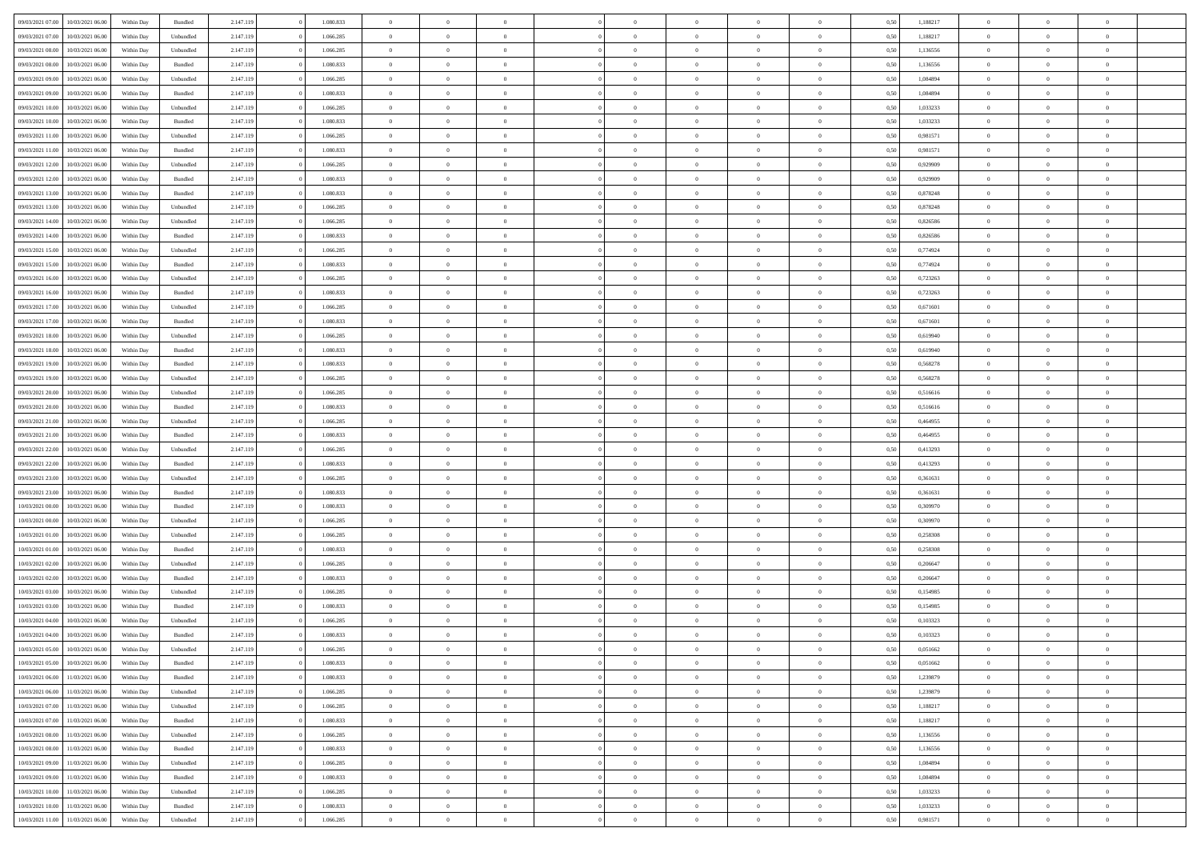| 09/03/2021 07:00 | 10/03/2021 06:00 | Within Day | Bundled   | 2.147.119 | 1.080.833 | $\overline{0}$ | $\Omega$       |                | $\Omega$       | $\Omega$       | $\theta$       | $\theta$       | 0.50 | 1,188217 | $\theta$       | $\theta$       | $\theta$       |  |
|------------------|------------------|------------|-----------|-----------|-----------|----------------|----------------|----------------|----------------|----------------|----------------|----------------|------|----------|----------------|----------------|----------------|--|
|                  |                  |            |           |           |           |                |                |                |                |                |                |                |      |          |                |                |                |  |
| 09/03/2021 07:00 | 10/03/2021 06:00 | Within Day | Unbundled | 2.147.119 | 1.066.285 | $\overline{0}$ | $\theta$       | $\overline{0}$ | $\overline{0}$ | $\bf{0}$       | $\overline{0}$ | $\bf{0}$       | 0,50 | 1,188217 | $\theta$       | $\theta$       | $\overline{0}$ |  |
| 09/03/2021 08:00 | 10/03/2021 06:00 | Within Day | Unbundled | 2.147.119 | 1.066.285 | $\overline{0}$ | $\overline{0}$ | $\overline{0}$ | $\overline{0}$ | $\bf{0}$       | $\overline{0}$ | $\bf{0}$       | 0,50 | 1,136556 | $\overline{0}$ | $\overline{0}$ | $\overline{0}$ |  |
| 09/03/2021 08:00 | 10/03/2021 06:00 | Within Dav | Bundled   | 2.147.119 | 1.080.833 | $\overline{0}$ | $\overline{0}$ | $\overline{0}$ | $\overline{0}$ | $\bf{0}$       | $\overline{0}$ | $\overline{0}$ | 0.50 | 1,136556 | $\theta$       | $\theta$       | $\overline{0}$ |  |
| 09/03/2021 09:00 | 10/03/2021 06:00 | Within Day | Unbundled | 2.147.119 | 1.066.285 | $\overline{0}$ | $\theta$       | $\overline{0}$ | $\overline{0}$ | $\bf{0}$       | $\overline{0}$ | $\bf{0}$       | 0,50 | 1,084894 | $\theta$       | $\theta$       | $\overline{0}$ |  |
| 09/03/2021 09:00 | 10/03/2021 06:00 | Within Day | Bundled   | 2.147.119 | 1.080.833 | $\overline{0}$ | $\bf{0}$       | $\overline{0}$ | $\overline{0}$ | $\overline{0}$ | $\overline{0}$ | $\mathbf{0}$   | 0,50 | 1,084894 | $\overline{0}$ | $\overline{0}$ | $\bf{0}$       |  |
|                  |                  |            |           |           |           |                |                |                |                | $\overline{0}$ |                |                |      |          | $\theta$       | $\overline{0}$ | $\overline{0}$ |  |
| 09/03/2021 10:00 | 10/03/2021 06:00 | Within Dav | Unbundled | 2.147.119 | 1.066.285 | $\overline{0}$ | $\overline{0}$ | $\overline{0}$ | $\overline{0}$ |                | $\overline{0}$ | $\overline{0}$ | 0.50 | 1,033233 |                |                |                |  |
| 09/03/2021 10:00 | 10/03/2021 06:00 | Within Day | Bundled   | 2.147.119 | 1.080.833 | $\overline{0}$ | $\theta$       | $\overline{0}$ | $\overline{0}$ | $\bf{0}$       | $\overline{0}$ | $\bf{0}$       | 0,50 | 1,033233 | $\theta$       | $\theta$       | $\overline{0}$ |  |
| 09/03/2021 11:00 | 10/03/2021 06:00 | Within Day | Unbundled | 2.147.119 | 1.066.285 | $\overline{0}$ | $\overline{0}$ | $\overline{0}$ | $\overline{0}$ | $\bf{0}$       | $\overline{0}$ | $\bf{0}$       | 0,50 | 0,981571 | $\,0\,$        | $\overline{0}$ | $\overline{0}$ |  |
| 09/03/2021 11:00 | 10/03/2021 06:00 | Within Dav | Bundled   | 2.147.119 | 1.080.833 | $\overline{0}$ | $\overline{0}$ | $\overline{0}$ | $\overline{0}$ | $\overline{0}$ | $\overline{0}$ | $\overline{0}$ | 0.50 | 0.981571 | $\theta$       | $\overline{0}$ | $\overline{0}$ |  |
| 09/03/2021 12:00 | 10/03/2021 06:00 | Within Day | Unbundled | 2.147.119 | 1.066.285 | $\overline{0}$ | $\theta$       | $\overline{0}$ | $\overline{0}$ | $\bf{0}$       | $\overline{0}$ | $\bf{0}$       | 0,50 | 0,929909 | $\,$ 0 $\,$    | $\overline{0}$ | $\overline{0}$ |  |
| 09/03/2021 12:00 | 10/03/2021 06:00 | Within Day | Bundled   | 2.147.119 | 1.080.833 | $\overline{0}$ | $\overline{0}$ | $\overline{0}$ | $\overline{0}$ | $\bf{0}$       | $\overline{0}$ | $\bf{0}$       | 0,50 | 0,929909 | $\overline{0}$ | $\overline{0}$ | $\overline{0}$ |  |
| 09/03/2021 13:00 | 10/03/2021 06:00 | Within Day | Bundled   | 2.147.119 | 1.080.833 | $\overline{0}$ | $\overline{0}$ | $\overline{0}$ | $\overline{0}$ | $\bf{0}$       | $\overline{0}$ | $\overline{0}$ | 0.50 | 0.878248 | $\theta$       | $\theta$       | $\overline{0}$ |  |
| 09/03/2021 13:00 | 10/03/2021 06:00 |            |           | 2.147.119 | 1.066.285 | $\overline{0}$ | $\theta$       | $\overline{0}$ | $\overline{0}$ | $\bf{0}$       | $\overline{0}$ | $\overline{0}$ |      | 0,878248 | $\theta$       | $\theta$       | $\overline{0}$ |  |
|                  |                  | Within Day | Unbundled |           |           |                |                |                |                |                |                |                | 0,50 |          |                |                |                |  |
| 09/03/2021 14:00 | 10/03/2021 06:00 | Within Day | Unbundled | 2.147.119 | 1.066.285 | $\overline{0}$ | $\bf{0}$       | $\overline{0}$ | $\overline{0}$ | $\overline{0}$ | $\overline{0}$ | $\mathbf{0}$   | 0,50 | 0,826586 | $\overline{0}$ | $\overline{0}$ | $\bf{0}$       |  |
| 09/03/2021 14:00 | 10/03/2021 06:00 | Within Dav | Bundled   | 2.147.119 | 1.080.833 | $\overline{0}$ | $\overline{0}$ | $\overline{0}$ | $\overline{0}$ | $\overline{0}$ | $\overline{0}$ | $\overline{0}$ | 0.50 | 0,826586 | $\theta$       | $\overline{0}$ | $\overline{0}$ |  |
| 09/03/2021 15:00 | 10/03/2021 06:00 | Within Day | Unbundled | 2.147.119 | 1.066.285 | $\overline{0}$ | $\theta$       | $\overline{0}$ | $\overline{0}$ | $\bf{0}$       | $\overline{0}$ | $\bf{0}$       | 0,50 | 0,774924 | $\theta$       | $\theta$       | $\overline{0}$ |  |
| 09/03/2021 15:00 | 10/03/2021 06:00 | Within Day | Bundled   | 2.147.119 | 1.080.833 | $\overline{0}$ | $\overline{0}$ | $\overline{0}$ | $\bf{0}$       | $\bf{0}$       | $\bf{0}$       | $\bf{0}$       | 0,50 | 0,774924 | $\,0\,$        | $\overline{0}$ | $\overline{0}$ |  |
| 09/03/2021 16:00 | 10/03/2021 06:00 | Within Day | Unbundled | 2.147.119 | 1.066.285 | $\overline{0}$ | $\overline{0}$ | $\overline{0}$ | $\overline{0}$ | $\overline{0}$ | $\overline{0}$ | $\overline{0}$ | 0.50 | 0,723263 | $\theta$       | $\overline{0}$ | $\overline{0}$ |  |
| 09/03/2021 16:00 | 10/03/2021 06:00 | Within Day | Bundled   | 2.147.119 | 1.080.833 | $\overline{0}$ | $\theta$       | $\overline{0}$ | $\overline{0}$ | $\bf{0}$       | $\overline{0}$ | $\bf{0}$       | 0,50 | 0,723263 | $\theta$       | $\theta$       | $\overline{0}$ |  |
| 09/03/2021 17:00 | 10/03/2021 06:00 | Within Day | Unbundled | 2.147.119 | 1.066.285 | $\overline{0}$ | $\overline{0}$ | $\overline{0}$ | $\bf{0}$       | $\bf{0}$       | $\bf{0}$       | $\bf{0}$       | 0,50 | 0,671601 | $\,0\,$        | $\overline{0}$ | $\overline{0}$ |  |
|                  |                  |            |           |           |           |                |                |                |                |                |                |                |      |          |                |                |                |  |
| 09/03/2021 17:00 | 10/03/2021 06:00 | Within Day | Bundled   | 2.147.119 | 1.080.833 | $\overline{0}$ | $\overline{0}$ | $\overline{0}$ | $\overline{0}$ | $\bf{0}$       | $\overline{0}$ | $\overline{0}$ | 0.50 | 0.671601 | $\theta$       | $\theta$       | $\overline{0}$ |  |
| 09/03/2021 18:00 | 10/03/2021 06:00 | Within Day | Unbundled | 2.147.119 | 1.066.285 | $\overline{0}$ | $\theta$       | $\overline{0}$ | $\overline{0}$ | $\bf{0}$       | $\overline{0}$ | $\bf{0}$       | 0,50 | 0,619940 | $\theta$       | $\overline{0}$ | $\overline{0}$ |  |
| 09/03/2021 18:00 | 10/03/2021 06:00 | Within Day | Bundled   | 2.147.119 | 1.080.833 | $\overline{0}$ | $\bf{0}$       | $\overline{0}$ | $\bf{0}$       | $\overline{0}$ | $\overline{0}$ | $\mathbf{0}$   | 0,50 | 0,619940 | $\overline{0}$ | $\overline{0}$ | $\bf{0}$       |  |
| 09/03/2021 19:00 | 10/03/2021 06:00 | Within Dav | Bundled   | 2.147.119 | 1.080.833 | $\overline{0}$ | $\overline{0}$ | $\overline{0}$ | $\overline{0}$ | $\overline{0}$ | $\overline{0}$ | $\overline{0}$ | 0.50 | 0,568278 | $\theta$       | $\overline{0}$ | $\overline{0}$ |  |
| 09/03/2021 19:00 | 10/03/2021 06:00 | Within Day | Unbundled | 2.147.119 | 1.066.285 | $\overline{0}$ | $\theta$       | $\overline{0}$ | $\overline{0}$ | $\bf{0}$       | $\overline{0}$ | $\bf{0}$       | 0,50 | 0,568278 | $\theta$       | $\theta$       | $\overline{0}$ |  |
| 09/03/2021 20.00 | 10/03/2021 06:00 | Within Day | Unbundled | 2.147.119 | 1.066.285 | $\overline{0}$ | $\overline{0}$ | $\overline{0}$ | $\bf{0}$       | $\bf{0}$       | $\bf{0}$       | $\bf{0}$       | 0,50 | 0,516616 | $\,0\,$        | $\overline{0}$ | $\overline{0}$ |  |
| 09/03/2021 20:00 | 10/03/2021 06:00 | Within Day | Bundled   | 2.147.119 | 1.080.833 | $\overline{0}$ | $\overline{0}$ | $\overline{0}$ | $\overline{0}$ | $\overline{0}$ | $\overline{0}$ | $\overline{0}$ | 0.50 | 0.516616 | $\theta$       | $\overline{0}$ | $\overline{0}$ |  |
|                  |                  |            |           |           |           |                |                |                |                |                |                |                |      |          |                |                |                |  |
| 09/03/2021 21:00 | 10/03/2021 06:00 | Within Day | Unbundled | 2.147.119 | 1.066.285 | $\overline{0}$ | $\theta$       | $\overline{0}$ | $\overline{0}$ | $\bf{0}$       | $\overline{0}$ | $\bf{0}$       | 0,50 | 0,464955 | $\,$ 0 $\,$    | $\overline{0}$ | $\overline{0}$ |  |
| 09/03/2021 21.00 | 10/03/2021 06:00 | Within Day | Bundled   | 2.147.119 | 1.080.833 | $\overline{0}$ | $\overline{0}$ | $\overline{0}$ | $\bf{0}$       | $\bf{0}$       | $\bf{0}$       | $\bf{0}$       | 0,50 | 0,464955 | $\bf{0}$       | $\overline{0}$ | $\overline{0}$ |  |
| 09/03/2021 22.00 | 10/03/2021 06:00 | Within Day | Unbundled | 2.147.119 | 1.066.285 | $\overline{0}$ | $\Omega$       | $\Omega$       | $\Omega$       | $\Omega$       | $\overline{0}$ | $\overline{0}$ | 0.50 | 0,413293 | $\,0\,$        | $\theta$       | $\theta$       |  |
| 09/03/2021 22.00 | 10/03/2021 06:00 | Within Day | Bundled   | 2.147.119 | 1.080.833 | $\overline{0}$ | $\theta$       | $\overline{0}$ | $\overline{0}$ | $\bf{0}$       | $\overline{0}$ | $\bf{0}$       | 0,50 | 0,413293 | $\theta$       | $\theta$       | $\overline{0}$ |  |
| 09/03/2021 23.00 | 10/03/2021 06:00 | Within Day | Unbundled | 2.147.119 | 1.066.285 | $\overline{0}$ | $\overline{0}$ | $\overline{0}$ | $\bf{0}$       | $\bf{0}$       | $\overline{0}$ | $\mathbf{0}$   | 0,50 | 0,361631 | $\bf{0}$       | $\overline{0}$ | $\bf{0}$       |  |
| 09/03/2021 23:00 | 10/03/2021 06:00 | Within Day | Bundled   | 2.147.119 | 1.080.833 | $\overline{0}$ | $\Omega$       | $\Omega$       | $\Omega$       | $\bf{0}$       | $\overline{0}$ | $\overline{0}$ | 0.50 | 0,361631 | $\,0\,$        | $\theta$       | $\theta$       |  |
| 10/03/2021 00:00 | 10/03/2021 06:00 | Within Day | Bundled   | 2.147.119 | 1.080.833 | $\overline{0}$ | $\theta$       | $\overline{0}$ | $\overline{0}$ | $\bf{0}$       | $\overline{0}$ | $\bf{0}$       | 0,50 | 0,309970 | $\theta$       | $\theta$       | $\overline{0}$ |  |
| 10/03/2021 00:00 | 10/03/2021 06:00 | Within Day | Unbundled | 2.147.119 | 1.066.285 | $\overline{0}$ | $\overline{0}$ | $\overline{0}$ | $\bf{0}$       | $\bf{0}$       | $\bf{0}$       | $\bf{0}$       | 0,50 | 0,309970 | $\,0\,$        | $\overline{0}$ | $\overline{0}$ |  |
|                  |                  |            |           |           |           |                |                |                |                |                |                |                |      |          |                |                |                |  |
| 10/03/2021 01:00 | 10/03/2021 06:00 | Within Day | Unbundled | 2.147.119 | 1.066.285 | $\overline{0}$ | $\Omega$       | $\Omega$       | $\Omega$       | $\theta$       | $\overline{0}$ | $\overline{0}$ | 0.50 | 0,258308 | $\theta$       | $\theta$       | $\theta$       |  |
| 10/03/2021 01:00 | 10/03/2021 06:00 | Within Day | Bundled   | 2.147.119 | 1.080.833 | $\overline{0}$ | $\theta$       | $\overline{0}$ | $\overline{0}$ | $\bf{0}$       | $\overline{0}$ | $\bf{0}$       | 0,50 | 0,258308 | $\,$ 0 $\,$    | $\overline{0}$ | $\overline{0}$ |  |
| 10/03/2021 02:00 | 10/03/2021 06:00 | Within Day | Unbundled | 2.147.119 | 1.066.285 | $\overline{0}$ | $\overline{0}$ | $\overline{0}$ | $\bf{0}$       | $\bf{0}$       | $\bf{0}$       | $\bf{0}$       | 0,50 | 0,206647 | $\bf{0}$       | $\overline{0}$ | $\overline{0}$ |  |
| 10/03/2021 02:00 | 10/03/2021 06:00 | Within Day | Bundled   | 2.147.119 | 1.080.833 | $\overline{0}$ | $\Omega$       | $\Omega$       | $\Omega$       | $\Omega$       | $\overline{0}$ | $\overline{0}$ | 0,50 | 0,206647 | $\,0\,$        | $\theta$       | $\theta$       |  |
| 10/03/2021 03:00 | 10/03/2021 06:00 | Within Day | Unbundled | 2.147.119 | 1.066.285 | $\overline{0}$ | $\theta$       | $\overline{0}$ | $\overline{0}$ | $\bf{0}$       | $\overline{0}$ | $\bf{0}$       | 0,50 | 0,154985 | $\,$ 0 $\,$    | $\overline{0}$ | $\overline{0}$ |  |
| 10/03/2021 03:00 | 10/03/2021 06:00 | Within Day | Bundled   | 2.147.119 | 1.080.833 | $\overline{0}$ | $\overline{0}$ | $\overline{0}$ | $\overline{0}$ | $\bf{0}$       | $\overline{0}$ | $\mathbf{0}$   | 0,50 | 0,154985 | $\overline{0}$ | $\overline{0}$ | $\bf{0}$       |  |
| 10/03/2021 04:00 | 10/03/2021 06:00 | Within Day | Unbundled | 2.147.119 | 1.066.285 | $\overline{0}$ | $\Omega$       | $\Omega$       | $\Omega$       | $\Omega$       | $\Omega$       | $\overline{0}$ | 0.50 | 0,103323 | $\theta$       | $\theta$       | $\theta$       |  |
| 10/03/2021 04:00 | 10/03/2021 06:00 | Within Day | Bundled   | 2.147.119 | 1.080.833 | $\overline{0}$ | $\overline{0}$ | $\overline{0}$ | $\bf{0}$       | $\,$ 0         | $\overline{0}$ | $\bf{0}$       | 0,50 | 0,103323 | $\,0\,$        | $\overline{0}$ | $\overline{0}$ |  |
|                  |                  |            |           |           |           |                |                |                |                |                |                |                |      |          |                |                |                |  |
| 10/03/2021 05:00 | 10/03/2021 06:00 | Within Day | Unbundled | 2.147.119 | 1.066.285 | $\bf{0}$       | $\bf{0}$       |                |                | $\bf{0}$       |                |                | 0,50 | 0,051662 | $\bf{0}$       | $\overline{0}$ |                |  |
| 10/03/2021 05:00 | 10/03/2021 06:00 | Within Day | Bundled   | 2.147.119 | 1.080.833 | $\overline{0}$ | $\overline{0}$ | $\overline{0}$ | $\Omega$       | $\overline{0}$ | $\overline{0}$ | $\overline{0}$ | 0.50 | 0.051662 | $\theta$       | $\theta$       | $\theta$       |  |
| 10/03/2021 06:00 | 11/03/2021 06:00 | Within Day | Bundled   | 2.147.119 | 1.080.833 | $\overline{0}$ | $\,$ 0         | $\overline{0}$ | $\overline{0}$ | $\,$ 0 $\,$    | $\overline{0}$ | $\mathbf{0}$   | 0,50 | 1,239879 | $\,$ 0 $\,$    | $\,$ 0 $\,$    | $\,$ 0         |  |
| 10/03/2021 06:00 | 11/03/2021 06:00 | Within Day | Unbundled | 2.147.119 | 1.066.285 | $\overline{0}$ | $\overline{0}$ | $\overline{0}$ | $\overline{0}$ | $\overline{0}$ | $\overline{0}$ | $\mathbf{0}$   | 0,50 | 1,239879 | $\overline{0}$ | $\bf{0}$       | $\bf{0}$       |  |
| 10/03/2021 07:00 | 11/03/2021 06:00 | Within Day | Unbundled | 2.147.119 | 1.066.285 | $\overline{0}$ | $\overline{0}$ | $\overline{0}$ | $\Omega$       | $\overline{0}$ | $\overline{0}$ | $\overline{0}$ | 0,50 | 1,188217 | $\overline{0}$ | $\theta$       | $\overline{0}$ |  |
| 10/03/2021 07:00 | 11/03/2021 06:00 | Within Day | Bundled   | 2.147.119 | 1.080.833 | $\overline{0}$ | $\,$ 0         | $\overline{0}$ | $\overline{0}$ | $\,$ 0 $\,$    | $\overline{0}$ | $\mathbf{0}$   | 0,50 | 1,188217 | $\,$ 0 $\,$    | $\overline{0}$ | $\overline{0}$ |  |
| 10/03/2021 08:00 | 11/03/2021 06:00 | Within Day | Unbundled | 2.147.119 | 1.066.285 | $\overline{0}$ | $\overline{0}$ | $\overline{0}$ | $\overline{0}$ | $\overline{0}$ | $\overline{0}$ | $\mathbf{0}$   | 0,50 | 1,136556 | $\overline{0}$ | $\overline{0}$ | $\bf{0}$       |  |
|                  |                  |            |           |           |           |                |                |                |                |                |                |                |      |          |                |                |                |  |
| 10/03/2021 08:00 | 11/03/2021 06:00 | Within Day | Bundled   | 2.147.119 | 1.080.833 | $\overline{0}$ | $\overline{0}$ | $\overline{0}$ | $\Omega$       | $\overline{0}$ | $\overline{0}$ | $\bf{0}$       | 0.50 | 1,136556 | $\overline{0}$ | $\theta$       | $\overline{0}$ |  |
| 10/03/2021 09:00 | 11/03/2021 06:00 | Within Day | Unbundled | 2.147.119 | 1.066.285 | $\overline{0}$ | $\,$ 0         | $\overline{0}$ | $\overline{0}$ | $\bf{0}$       | $\overline{0}$ | $\bf{0}$       | 0,50 | 1,084894 | $\,$ 0 $\,$    | $\overline{0}$ | $\overline{0}$ |  |
| 10/03/2021 09:00 | 11/03/2021 06:00 | Within Day | Bundled   | 2.147.119 | 1.080.833 | $\overline{0}$ | $\bf{0}$       | $\overline{0}$ | $\overline{0}$ | $\overline{0}$ | $\overline{0}$ | $\mathbf{0}$   | 0,50 | 1,084894 | $\overline{0}$ | $\overline{0}$ | $\bf{0}$       |  |
| 10/03/2021 10:00 | 11/03/2021 06:00 | Within Day | Unbundled | 2.147.119 | 1.066.285 | $\overline{0}$ | $\overline{0}$ | $\overline{0}$ | $\Omega$       | $\overline{0}$ | $\overline{0}$ | $\bf{0}$       | 0.50 | 1,033233 | $\overline{0}$ | $\theta$       | $\overline{0}$ |  |
| 10/03/2021 10:00 | 11/03/2021 06:00 | Within Day | Bundled   | 2.147.119 | 1.080.833 | $\overline{0}$ | $\bf{0}$       | $\overline{0}$ | $\overline{0}$ | $\bf{0}$       | $\overline{0}$ | $\mathbf{0}$   | 0,50 | 1,033233 | $\,$ 0 $\,$    | $\,$ 0 $\,$    | $\bf{0}$       |  |
| 10/03/2021 11:00 | 11/03/2021 06:00 | Within Day | Unbundled | 2.147.119 | 1.066.285 | $\overline{0}$ | $\overline{0}$ | $\overline{0}$ | $\overline{0}$ | $\bf{0}$       | $\overline{0}$ | $\mathbf{0}$   | 0,50 | 0,981571 | $\overline{0}$ | $\bf{0}$       | $\bf{0}$       |  |
|                  |                  |            |           |           |           |                |                |                |                |                |                |                |      |          |                |                |                |  |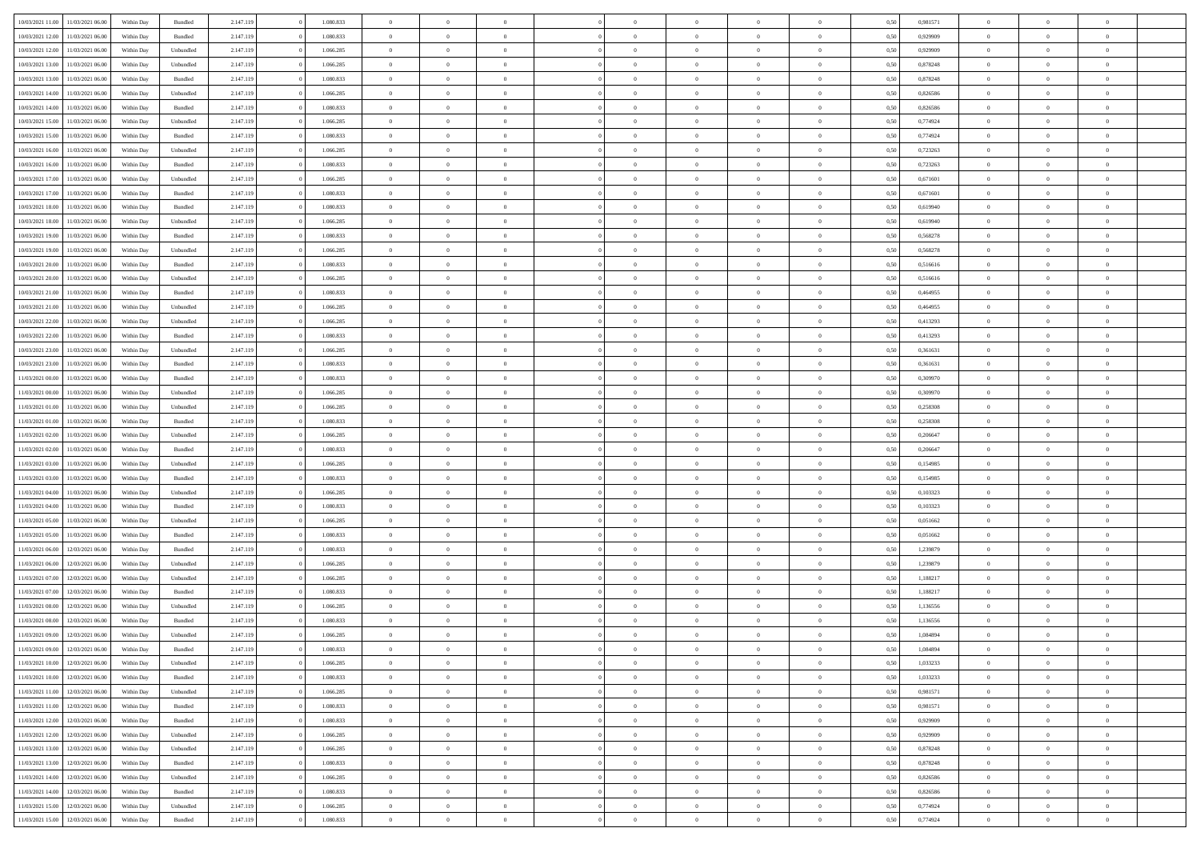| 10/03/2021 11:00                  | 11/03/2021 06:00 | Within Day | Bundled            | 2.147.119 | 1.080.833 | $\overline{0}$ | $\theta$       |                | $\Omega$       | $\Omega$       | $\theta$       | $\theta$       | 0.50 | 0,981571 | $\theta$       | $\overline{0}$ | $\overline{0}$ |  |
|-----------------------------------|------------------|------------|--------------------|-----------|-----------|----------------|----------------|----------------|----------------|----------------|----------------|----------------|------|----------|----------------|----------------|----------------|--|
|                                   |                  |            |                    |           |           |                |                |                |                |                |                |                |      |          |                |                |                |  |
| 10/03/2021 12:00                  | 11/03/2021 06:00 | Within Day | Bundled            | 2.147.119 | 1.080.833 | $\overline{0}$ | $\theta$       | $\overline{0}$ | $\overline{0}$ | $\bf{0}$       | $\overline{0}$ | $\bf{0}$       | 0,50 | 0,929909 | $\theta$       | $\overline{0}$ | $\overline{0}$ |  |
| 10/03/2021 12:00                  | 11/03/2021 06:00 | Within Day | Unbundled          | 2.147.119 | 1.066.285 | $\overline{0}$ | $\bf{0}$       | $\overline{0}$ | $\bf{0}$       | $\bf{0}$       | $\bf{0}$       | $\mathbf{0}$   | 0,50 | 0,929909 | $\overline{0}$ | $\overline{0}$ | $\bf{0}$       |  |
| 10/03/2021 13:00                  | 11/03/2021 06:00 | Within Dav | Unbundled          | 2.147.119 | 1.066.285 | $\overline{0}$ | $\overline{0}$ | $\overline{0}$ | $\overline{0}$ | $\bf{0}$       | $\overline{0}$ | $\overline{0}$ | 0.50 | 0.878248 | $\theta$       | $\theta$       | $\overline{0}$ |  |
| 10/03/2021 13:00                  | 11/03/2021 06:00 | Within Day | Bundled            | 2.147.119 | 1.080.833 | $\overline{0}$ | $\theta$       | $\overline{0}$ | $\overline{0}$ | $\bf{0}$       | $\overline{0}$ | $\bf{0}$       | 0,50 | 0,878248 | $\theta$       | $\overline{0}$ | $\overline{0}$ |  |
| 10/03/2021 14:00                  | 11/03/2021 06:00 | Within Day | Unbundled          | 2.147.119 | 1.066.285 | $\overline{0}$ | $\overline{0}$ | $\overline{0}$ | $\bf{0}$       | $\overline{0}$ | $\overline{0}$ | $\mathbf{0}$   | 0,50 | 0,826586 | $\overline{0}$ | $\overline{0}$ | $\bf{0}$       |  |
|                                   |                  |            |                    |           |           |                | $\overline{0}$ |                |                | $\overline{0}$ |                |                |      |          | $\theta$       | $\overline{0}$ | $\overline{0}$ |  |
| 10/03/2021 14:00                  | 11/03/2021 06:00 | Within Dav | Bundled            | 2.147.119 | 1.080.833 | $\overline{0}$ |                | $\overline{0}$ | $\overline{0}$ |                | $\overline{0}$ | $\overline{0}$ | 0.50 | 0,826586 |                |                |                |  |
| 10/03/2021 15:00                  | 11/03/2021 06:00 | Within Day | Unbundled          | 2.147.119 | 1.066.285 | $\overline{0}$ | $\theta$       | $\overline{0}$ | $\overline{0}$ | $\bf{0}$       | $\overline{0}$ | $\bf{0}$       | 0,50 | 0,774924 | $\theta$       | $\theta$       | $\overline{0}$ |  |
| 10/03/2021 15:00                  | 11/03/2021 06:00 | Within Day | Bundled            | 2.147.119 | 1.080.833 | $\overline{0}$ | $\overline{0}$ | $\overline{0}$ | $\bf{0}$       | $\bf{0}$       | $\bf{0}$       | $\bf{0}$       | 0,50 | 0,774924 | $\,0\,$        | $\overline{0}$ | $\overline{0}$ |  |
| 10/03/2021 16:00                  | 11/03/2021 06:00 | Within Dav | Unbundled          | 2.147.119 | 1.066.285 | $\overline{0}$ | $\overline{0}$ | $\overline{0}$ | $\overline{0}$ | $\overline{0}$ | $\overline{0}$ | $\overline{0}$ | 0.50 | 0,723263 | $\theta$       | $\overline{0}$ | $\overline{0}$ |  |
| 10/03/2021 16:00                  | 11/03/2021 06:00 | Within Day | Bundled            | 2.147.119 | 1.080.833 | $\overline{0}$ | $\theta$       | $\overline{0}$ | $\overline{0}$ | $\bf{0}$       | $\overline{0}$ | $\bf{0}$       | 0,50 | 0,723263 | $\,$ 0 $\,$    | $\overline{0}$ | $\overline{0}$ |  |
| 10/03/2021 17:00                  | 11/03/2021 06:00 | Within Day | Unbundled          | 2.147.119 | 1.066.285 | $\overline{0}$ | $\bf{0}$       | $\overline{0}$ | $\bf{0}$       | $\bf{0}$       | $\bf{0}$       | $\mathbf{0}$   | 0,50 | 0,671601 | $\overline{0}$ | $\overline{0}$ | $\bf{0}$       |  |
| 10/03/2021 17:00                  | 11/03/2021 06:00 | Within Dav | Bundled            | 2.147.119 | 1.080.833 | $\overline{0}$ | $\overline{0}$ | $\overline{0}$ | $\overline{0}$ | $\bf{0}$       | $\overline{0}$ | $\overline{0}$ | 0.50 | 0.671601 | $\theta$       | $\theta$       | $\overline{0}$ |  |
|                                   |                  |            |                    |           |           | $\overline{0}$ | $\theta$       | $\overline{0}$ | $\overline{0}$ | $\bf{0}$       | $\overline{0}$ | $\overline{0}$ |      |          | $\theta$       | $\overline{0}$ | $\overline{0}$ |  |
| 10/03/2021 18:00                  | 11/03/2021 06:00 | Within Day | Bundled            | 2.147.119 | 1.080.833 |                |                |                |                |                |                |                | 0,50 | 0,619940 |                |                |                |  |
| 10/03/2021 18:00                  | 11/03/2021 06:00 | Within Day | Unbundled          | 2.147.119 | 1.066.285 | $\overline{0}$ | $\overline{0}$ | $\overline{0}$ | $\bf{0}$       | $\overline{0}$ | $\overline{0}$ | $\mathbf{0}$   | 0,50 | 0,619940 | $\overline{0}$ | $\overline{0}$ | $\bf{0}$       |  |
| 10/03/2021 19:00                  | 11/03/2021 06:00 | Within Dav | Bundled            | 2.147.119 | 1.080.833 | $\overline{0}$ | $\overline{0}$ | $\overline{0}$ | $\overline{0}$ | $\overline{0}$ | $\overline{0}$ | $\overline{0}$ | 0.50 | 0,568278 | $\theta$       | $\overline{0}$ | $\overline{0}$ |  |
| 10/03/2021 19:00                  | 11/03/2021 06:00 | Within Day | Unbundled          | 2.147.119 | 1.066.285 | $\overline{0}$ | $\theta$       | $\overline{0}$ | $\overline{0}$ | $\bf{0}$       | $\overline{0}$ | $\bf{0}$       | 0,50 | 0,568278 | $\theta$       | $\theta$       | $\overline{0}$ |  |
| 10/03/2021 20:00                  | 11/03/2021 06:00 | Within Day | Bundled            | 2.147.119 | 1.080.833 | $\overline{0}$ | $\overline{0}$ | $\overline{0}$ | $\bf{0}$       | $\bf{0}$       | $\bf{0}$       | $\bf{0}$       | 0,50 | 0,516616 | $\bf{0}$       | $\overline{0}$ | $\overline{0}$ |  |
| 10/03/2021 20:00                  | 11/03/2021 06:00 | Within Dav | Unbundled          | 2.147.119 | 1.066.285 | $\overline{0}$ | $\overline{0}$ | $\overline{0}$ | $\overline{0}$ | $\overline{0}$ | $\overline{0}$ | $\overline{0}$ | 0.50 | 0,516616 | $\theta$       | $\overline{0}$ | $\overline{0}$ |  |
| 10/03/2021 21:00                  | 11/03/2021 06:00 | Within Day | Bundled            | 2.147.119 | 1.080.833 | $\overline{0}$ | $\theta$       | $\overline{0}$ | $\overline{0}$ | $\bf{0}$       | $\overline{0}$ | $\bf{0}$       | 0,50 | 0,464955 | $\,$ 0 $\,$    | $\overline{0}$ | $\overline{0}$ |  |
|                                   |                  |            |                    |           |           |                |                |                |                |                |                |                |      |          |                |                |                |  |
| 10/03/2021 21:00                  | 11/03/2021 06:00 | Within Day | Unbundled          | 2.147.119 | 1.066.285 | $\overline{0}$ | $\overline{0}$ | $\overline{0}$ | $\bf{0}$       | $\bf{0}$       | $\bf{0}$       | $\bf{0}$       | 0,50 | 0,464955 | $\overline{0}$ | $\overline{0}$ | $\bf{0}$       |  |
| 10/03/2021 22.00                  | 11/03/2021 06:00 | Within Day | Unbundled          | 2.147.119 | 1.066.285 | $\overline{0}$ | $\overline{0}$ | $\overline{0}$ | $\overline{0}$ | $\bf{0}$       | $\overline{0}$ | $\overline{0}$ | 0.50 | 0,413293 | $\theta$       | $\overline{0}$ | $\overline{0}$ |  |
| 10/03/2021 22:00                  | 11/03/2021 06:00 | Within Day | Bundled            | 2.147.119 | 1.080.833 | $\overline{0}$ | $\theta$       | $\overline{0}$ | $\overline{0}$ | $\bf{0}$       | $\overline{0}$ | $\bf{0}$       | 0,50 | 0,413293 | $\,$ 0 $\,$    | $\overline{0}$ | $\overline{0}$ |  |
| 10/03/2021 23:00                  | 11/03/2021 06:00 | Within Day | Unbundled          | 2.147.119 | 1.066.285 | $\overline{0}$ | $\overline{0}$ | $\overline{0}$ | $\overline{0}$ | $\overline{0}$ | $\overline{0}$ | $\mathbf{0}$   | 0,50 | 0,361631 | $\overline{0}$ | $\overline{0}$ | $\bf{0}$       |  |
| 10/03/2021 23:00                  | 11/03/2021 06:00 | Within Dav | Bundled            | 2.147.119 | 1.080.833 | $\overline{0}$ | $\overline{0}$ | $\overline{0}$ | $\overline{0}$ | $\overline{0}$ | $\overline{0}$ | $\overline{0}$ | 0.50 | 0,361631 | $\theta$       | $\overline{0}$ | $\overline{0}$ |  |
| 11/03/2021 00:00                  | 11/03/2021 06:00 | Within Day | Bundled            | 2.147.119 | 1.080.833 | $\overline{0}$ | $\theta$       | $\overline{0}$ | $\overline{0}$ | $\bf{0}$       | $\overline{0}$ | $\bf{0}$       | 0,50 | 0,309970 | $\theta$       | $\theta$       | $\overline{0}$ |  |
| 11/03/2021 00:00                  | 11/03/2021 06:00 | Within Day | Unbundled          | 2.147.119 | 1.066.285 | $\overline{0}$ | $\overline{0}$ | $\overline{0}$ | $\overline{0}$ | $\bf{0}$       | $\overline{0}$ | $\bf{0}$       | 0,50 | 0,309970 | $\,0\,$        | $\overline{0}$ | $\overline{0}$ |  |
| 11/03/2021 01:00                  | 11/03/2021 06:00 |            | Unbundled          | 2.147.119 | 1.066.285 | $\overline{0}$ | $\overline{0}$ | $\overline{0}$ | $\overline{0}$ | $\overline{0}$ | $\overline{0}$ | $\overline{0}$ | 0.50 | 0,258308 | $\theta$       | $\overline{0}$ | $\overline{0}$ |  |
|                                   |                  | Within Day |                    |           |           |                |                |                |                |                |                |                |      |          |                |                |                |  |
| 11/03/2021 01:00                  | 11/03/2021 06:00 | Within Day | Bundled            | 2.147.119 | 1.080.833 | $\overline{0}$ | $\theta$       | $\overline{0}$ | $\overline{0}$ | $\bf{0}$       | $\overline{0}$ | $\bf{0}$       | 0,50 | 0,258308 | $\,$ 0 $\,$    | $\overline{0}$ | $\overline{0}$ |  |
| 11/03/2021 02:00                  | 11/03/2021 06:00 | Within Day | Unbundled          | 2.147.119 | 1.066.285 | $\overline{0}$ | $\overline{0}$ | $\overline{0}$ | $\overline{0}$ | $\bf{0}$       | $\overline{0}$ | $\bf{0}$       | 0,50 | 0,206647 | $\overline{0}$ | $\overline{0}$ | $\bf{0}$       |  |
| 11/03/2021 02:00                  | 11/03/2021 06:00 | Within Day | Bundled            | 2.147.119 | 1.080.833 | $\overline{0}$ | $\Omega$       | $\Omega$       | $\Omega$       | $\Omega$       | $\overline{0}$ | $\overline{0}$ | 0,50 | 0,206647 | $\,0\,$        | $\theta$       | $\theta$       |  |
| 11/03/2021 03:00                  | 11/03/2021 06:00 | Within Day | Unbundled          | 2.147.119 | 1.066.285 | $\overline{0}$ | $\theta$       | $\overline{0}$ | $\overline{0}$ | $\bf{0}$       | $\overline{0}$ | $\bf{0}$       | 0,50 | 0,154985 | $\theta$       | $\overline{0}$ | $\overline{0}$ |  |
| 11/03/2021 03:00                  | 11/03/2021 06:00 | Within Day | Bundled            | 2.147.119 | 1.080.833 | $\overline{0}$ | $\overline{0}$ | $\overline{0}$ | $\overline{0}$ | $\overline{0}$ | $\overline{0}$ | $\mathbf{0}$   | 0,50 | 0,154985 | $\overline{0}$ | $\overline{0}$ | $\bf{0}$       |  |
| 11/03/2021 04:00                  | 11/03/2021 06:00 | Within Day | Unbundled          | 2.147.119 | 1.066.285 | $\overline{0}$ | $\Omega$       | $\Omega$       | $\Omega$       | $\bf{0}$       | $\overline{0}$ | $\overline{0}$ | 0.50 | 0,103323 | $\,0\,$        | $\theta$       | $\theta$       |  |
| 11/03/2021 04:00                  | 11/03/2021 06:00 | Within Day | Bundled            | 2.147.119 | 1.080.833 | $\overline{0}$ | $\theta$       | $\overline{0}$ | $\overline{0}$ | $\bf{0}$       | $\overline{0}$ | $\bf{0}$       | 0,50 | 0,103323 | $\,$ 0 $\,$    | $\overline{0}$ | $\overline{0}$ |  |
|                                   |                  |            |                    |           |           |                | $\overline{0}$ |                |                | $\bf{0}$       |                |                |      |          | $\bf{0}$       | $\overline{0}$ | $\bf{0}$       |  |
| 11/03/2021 05:00                  | 11/03/2021 06:00 | Within Day | Unbundled          | 2.147.119 | 1.066.285 | $\overline{0}$ |                | $\overline{0}$ | $\overline{0}$ |                | $\overline{0}$ | $\bf{0}$       | 0,50 | 0,051662 |                |                |                |  |
| 11/03/2021 05:00                  | 11/03/2021 06:00 | Within Day | Bundled            | 2.147.119 | 1.080.833 | $\overline{0}$ | $\Omega$       | $\Omega$       | $\Omega$       | $\theta$       | $\overline{0}$ | $\overline{0}$ | 0.50 | 0.051662 | $\,$ 0 $\,$    | $\theta$       | $\theta$       |  |
| 11/03/2021 06:00                  | 12/03/2021 06:00 | Within Day | Bundled            | 2.147.119 | 1.080.833 | $\overline{0}$ | $\theta$       | $\overline{0}$ | $\overline{0}$ | $\bf{0}$       | $\overline{0}$ | $\bf{0}$       | 0,50 | 1,239879 | $\,$ 0 $\,$    | $\overline{0}$ | $\overline{0}$ |  |
| 11/03/2021 06:00                  | 12/03/2021 06:00 | Within Day | Unbundled          | 2.147.119 | 1.066.285 | $\overline{0}$ | $\bf{0}$       | $\overline{0}$ | $\overline{0}$ | $\bf{0}$       | $\overline{0}$ | $\bf{0}$       | 0,50 | 1,239879 | $\overline{0}$ | $\overline{0}$ | $\bf{0}$       |  |
| 11/03/2021 07:00                  | 12/03/2021 06:00 | Within Day | Unbundled          | 2.147.119 | 1.066.285 | $\overline{0}$ | $\Omega$       | $\Omega$       | $\Omega$       | $\overline{0}$ | $\overline{0}$ | $\overline{0}$ | 0,50 | 1,188217 | $\,0\,$        | $\theta$       | $\theta$       |  |
| 11/03/2021 07:00                  | 12/03/2021 06:00 | Within Day | Bundled            | 2.147.119 | 1.080.833 | $\overline{0}$ | $\overline{0}$ | $\overline{0}$ | $\overline{0}$ | $\,$ 0         | $\overline{0}$ | $\bf{0}$       | 0,50 | 1,188217 | $\,$ 0 $\,$    | $\overline{0}$ | $\overline{0}$ |  |
| 11/03/2021 08:00                  | 12/03/2021 06:00 | Within Day | Unbundled          | 2.147.119 | 1.066.285 | $\overline{0}$ | $\overline{0}$ | $\overline{0}$ | $\overline{0}$ | $\bf{0}$       | $\overline{0}$ | $\mathbf{0}$   | 0,50 | 1,136556 | $\overline{0}$ | $\overline{0}$ | $\bf{0}$       |  |
| 11/03/2021 08:00                  | 12/03/2021 06:00 | Within Day | Bundled            | 2.147.119 | 1.080.833 | $\overline{0}$ | $\Omega$       | $\Omega$       | $\Omega$       | $\Omega$       | $\Omega$       | $\overline{0}$ | 0.50 | 1,136556 | $\theta$       | $\theta$       | $\theta$       |  |
| 11/03/2021 09:00                  | 12/03/2021 06:00 | Within Day | Unbundled          | 2.147.119 | 1.066.285 | $\overline{0}$ | $\overline{0}$ | $\overline{0}$ | $\bf{0}$       | $\,$ 0         | $\overline{0}$ | $\bf{0}$       | 0,50 | 1,084894 | $\,0\,$        | $\,$ 0 $\,$    | $\overline{0}$ |  |
|                                   |                  |            |                    |           |           |                |                |                |                |                |                |                |      |          |                |                |                |  |
| 11/03/2021 09:00                  | 12/03/2021 06:00 | Within Day | $\mathbf B$ undled | 2.147.119 | 1.080.833 | $\bf{0}$       | $\bf{0}$       |                |                | $\bf{0}$       |                |                | 0,50 | 1,084894 | $\bf{0}$       | $\overline{0}$ |                |  |
| 11/03/2021 10:00                  | 12/03/2021 06:00 | Within Day | Unbundled          | 2.147.119 | 1.066.285 | $\overline{0}$ | $\overline{0}$ | $\overline{0}$ | $\Omega$       | $\overline{0}$ | $\overline{0}$ | $\overline{0}$ | 0,50 | 1,033233 | $\theta$       | $\theta$       | $\theta$       |  |
| 11/03/2021 10:00                  | 12/03/2021 06:00 | Within Day | Bundled            | 2.147.119 | 1.080.833 | $\overline{0}$ | $\,$ 0         | $\overline{0}$ | $\overline{0}$ | $\,$ 0 $\,$    | $\overline{0}$ | $\mathbf{0}$   | 0,50 | 1,033233 | $\,$ 0 $\,$    | $\,$ 0 $\,$    | $\,$ 0         |  |
| 11/03/2021 11:00                  | 12/03/2021 06:00 | Within Day | Unbundled          | 2.147.119 | 1.066.285 | $\overline{0}$ | $\overline{0}$ | $\overline{0}$ | $\overline{0}$ | $\overline{0}$ | $\overline{0}$ | $\mathbf{0}$   | 0,50 | 0,981571 | $\overline{0}$ | $\bf{0}$       | $\bf{0}$       |  |
| 11/03/2021 11:00                  | 12/03/2021 06:00 | Within Day | Bundled            | 2.147.119 | 1.080.833 | $\overline{0}$ | $\overline{0}$ | $\overline{0}$ | $\Omega$       | $\overline{0}$ | $\overline{0}$ | $\bf{0}$       | 0,50 | 0,981571 | $\overline{0}$ | $\theta$       | $\overline{0}$ |  |
| 11/03/2021 12:00                  | 12/03/2021 06:00 | Within Day | Bundled            | 2.147.119 | 1.080.833 | $\overline{0}$ | $\,$ 0         | $\overline{0}$ | $\overline{0}$ | $\overline{0}$ | $\overline{0}$ | $\bf{0}$       | 0,50 | 0,929909 | $\,$ 0 $\,$    | $\overline{0}$ | $\overline{0}$ |  |
| 11/03/2021 12:00                  | 12/03/2021 06:00 | Within Day | Unbundled          | 2.147.119 | 1.066.285 | $\overline{0}$ | $\overline{0}$ | $\overline{0}$ | $\overline{0}$ | $\overline{0}$ | $\overline{0}$ | $\mathbf{0}$   | 0,50 | 0,929909 | $\overline{0}$ | $\overline{0}$ | $\bf{0}$       |  |
|                                   |                  |            |                    |           |           |                |                |                |                |                |                |                |      |          |                |                |                |  |
| 11/03/2021 13:00                  | 12/03/2021 06:00 | Within Day | Unbundled          | 2.147.119 | 1.066.285 | $\overline{0}$ | $\overline{0}$ | $\overline{0}$ | $\Omega$       | $\overline{0}$ | $\overline{0}$ | $\bf{0}$       | 0.50 | 0,878248 | $\overline{0}$ | $\theta$       | $\overline{0}$ |  |
| 11/03/2021 13:00                  | 12/03/2021 06:00 | Within Day | Bundled            | 2.147.119 | 1.080.833 | $\overline{0}$ | $\,$ 0         | $\overline{0}$ | $\overline{0}$ | $\bf{0}$       | $\overline{0}$ | $\bf{0}$       | 0,50 | 0,878248 | $\,$ 0 $\,$    | $\overline{0}$ | $\overline{0}$ |  |
| 11/03/2021 14:00                  | 12/03/2021 06:00 | Within Day | Unbundled          | 2.147.119 | 1.066.285 | $\overline{0}$ | $\bf{0}$       | $\overline{0}$ | $\overline{0}$ | $\overline{0}$ | $\overline{0}$ | $\mathbf{0}$   | 0,50 | 0,826586 | $\overline{0}$ | $\overline{0}$ | $\bf{0}$       |  |
| 11/03/2021 14:00                  | 12/03/2021 06:00 | Within Day | Bundled            | 2.147.119 | 1.080.833 | $\overline{0}$ | $\overline{0}$ | $\overline{0}$ | $\Omega$       | $\overline{0}$ | $\overline{0}$ | $\bf{0}$       | 0.50 | 0,826586 | $\overline{0}$ | $\theta$       | $\overline{0}$ |  |
| 11/03/2021 15:00                  | 12/03/2021 06:00 | Within Day | Unbundled          | 2.147.119 | 1.066.285 | $\overline{0}$ | $\bf{0}$       | $\overline{0}$ | $\overline{0}$ | $\bf{0}$       | $\overline{0}$ | $\mathbf{0}$   | 0,50 | 0,774924 | $\,$ 0 $\,$    | $\,$ 0 $\,$    | $\bf{0}$       |  |
| 11/03/2021 15:00 12/03/2021 06:00 |                  | Within Day | Bundled            | 2.147.119 | 1.080.833 | $\overline{0}$ | $\overline{0}$ | $\overline{0}$ | $\overline{0}$ | $\bf{0}$       | $\overline{0}$ | $\mathbf{0}$   | 0,50 | 0,774924 | $\overline{0}$ | $\bf{0}$       | $\bf{0}$       |  |
|                                   |                  |            |                    |           |           |                |                |                |                |                |                |                |      |          |                |                |                |  |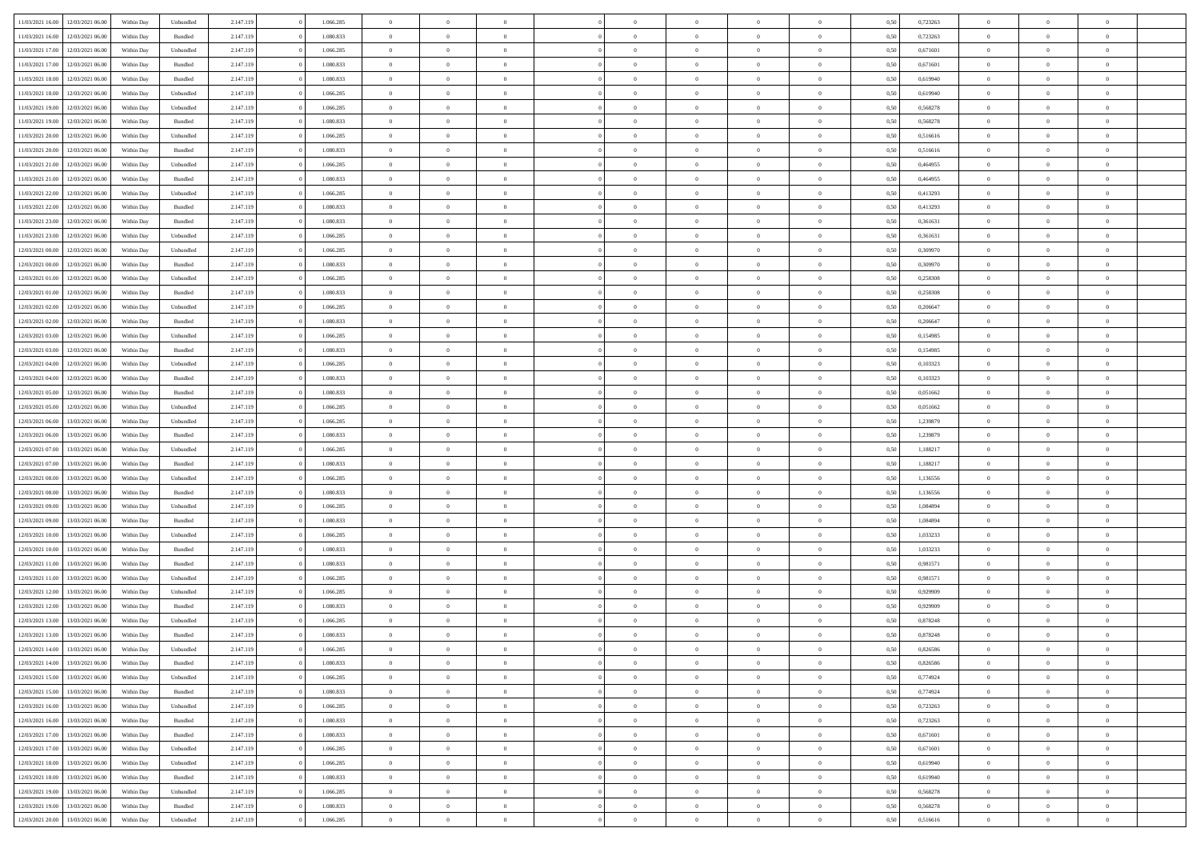| 11/03/2021 16:00                  | 12/03/2021 06:00                  | Within Dav | Unbundled | 2.147.119 | 1.066.285 | $\overline{0}$ | $\theta$       |                | $\Omega$       | $\Omega$       | $\theta$       | $\theta$       | 0.50 | 0,723263 | $\theta$       | $\overline{0}$ | $\theta$       |  |
|-----------------------------------|-----------------------------------|------------|-----------|-----------|-----------|----------------|----------------|----------------|----------------|----------------|----------------|----------------|------|----------|----------------|----------------|----------------|--|
|                                   |                                   |            |           |           |           |                |                |                |                |                |                |                |      |          |                |                |                |  |
| 11/03/2021 16:00                  | 12/03/2021 06:00                  | Within Day | Bundled   | 2.147.119 | 1.080.833 | $\overline{0}$ | $\theta$       | $\overline{0}$ | $\overline{0}$ | $\bf{0}$       | $\overline{0}$ | $\bf{0}$       | 0,50 | 0,723263 | $\theta$       | $\overline{0}$ | $\overline{0}$ |  |
| 11/03/2021 17:00                  | 12/03/2021 06:00                  | Within Day | Unbundled | 2.147.119 | 1.066.285 | $\overline{0}$ | $\overline{0}$ | $\overline{0}$ | $\bf{0}$       | $\bf{0}$       | $\bf{0}$       | $\bf{0}$       | 0,50 | 0,671601 | $\overline{0}$ | $\overline{0}$ | $\overline{0}$ |  |
| 11/03/2021 17:00                  | 12/03/2021 06:00                  | Within Dav | Bundled   | 2.147.119 | 1.080.833 | $\overline{0}$ | $\overline{0}$ | $\overline{0}$ | $\overline{0}$ | $\bf{0}$       | $\overline{0}$ | $\overline{0}$ | 0.50 | 0.671601 | $\theta$       | $\theta$       | $\overline{0}$ |  |
|                                   |                                   |            |           |           |           |                |                |                |                |                |                |                |      |          |                |                |                |  |
| 11/03/2021 18:00                  | 12/03/2021 06:00                  | Within Day | Bundled   | 2.147.119 | 1.080.833 | $\overline{0}$ | $\theta$       | $\overline{0}$ | $\overline{0}$ | $\bf{0}$       | $\overline{0}$ | $\bf{0}$       | 0,50 | 0,619940 | $\theta$       | $\overline{0}$ | $\overline{0}$ |  |
| 11/03/2021 18:00                  | 12/03/2021 06:00                  | Within Day | Unbundled | 2.147.119 | 1.066.285 | $\overline{0}$ | $\bf{0}$       | $\overline{0}$ | $\bf{0}$       | $\overline{0}$ | $\overline{0}$ | $\mathbf{0}$   | 0,50 | 0,619940 | $\overline{0}$ | $\overline{0}$ | $\bf{0}$       |  |
| 11/03/2021 19:00                  | 12/03/2021 06:00                  | Within Dav | Unbundled | 2.147.119 | 1.066.285 | $\overline{0}$ | $\overline{0}$ | $\overline{0}$ | $\overline{0}$ | $\overline{0}$ | $\overline{0}$ | $\overline{0}$ | 0.50 | 0,568278 | $\theta$       | $\overline{0}$ | $\overline{0}$ |  |
| 11/03/2021 19:00                  | 12/03/2021 06:00                  | Within Day | Bundled   | 2.147.119 | 1.080.833 | $\overline{0}$ | $\theta$       | $\overline{0}$ | $\overline{0}$ | $\bf{0}$       | $\overline{0}$ | $\bf{0}$       | 0,50 | 0,568278 | $\theta$       | $\theta$       | $\overline{0}$ |  |
| 11/03/2021 20:00                  | 12/03/2021 06:00                  | Within Day | Unbundled | 2.147.119 | 1.066.285 | $\overline{0}$ | $\overline{0}$ | $\overline{0}$ | $\bf{0}$       | $\bf{0}$       | $\bf{0}$       | $\bf{0}$       | 0,50 | 0,516616 | $\,0\,$        | $\overline{0}$ | $\overline{0}$ |  |
|                                   |                                   |            |           |           |           |                |                |                |                |                |                |                |      |          |                |                |                |  |
| 11/03/2021 20:00                  | 12/03/2021 06:00                  | Within Dav | Bundled   | 2.147.119 | 1.080.833 | $\overline{0}$ | $\overline{0}$ | $\overline{0}$ | $\overline{0}$ | $\overline{0}$ | $\overline{0}$ | $\overline{0}$ | 0.50 | 0,516616 | $\theta$       | $\overline{0}$ | $\overline{0}$ |  |
| 11/03/2021 21:00                  | 12/03/2021 06:00                  | Within Day | Unbundled | 2.147.119 | 1.066.285 | $\overline{0}$ | $\theta$       | $\overline{0}$ | $\overline{0}$ | $\bf{0}$       | $\overline{0}$ | $\bf{0}$       | 0,50 | 0,464955 | $\theta$       | $\overline{0}$ | $\overline{0}$ |  |
| 11/03/2021 21.00                  | 12/03/2021 06:00                  | Within Day | Bundled   | 2.147.119 | 1.080.833 | $\overline{0}$ | $\overline{0}$ | $\overline{0}$ | $\bf{0}$       | $\bf{0}$       | $\bf{0}$       | $\bf{0}$       | 0,50 | 0,464955 | $\overline{0}$ | $\overline{0}$ | $\overline{0}$ |  |
| 11/03/2021 22:00                  | 12/03/2021 06:00                  | Within Day | Unbundled | 2.147.119 | 1.066.285 | $\overline{0}$ | $\overline{0}$ | $\overline{0}$ | $\overline{0}$ | $\bf{0}$       | $\overline{0}$ | $\overline{0}$ | 0.50 | 0,413293 | $\theta$       | $\theta$       | $\overline{0}$ |  |
| 11/03/2021 22:00                  | 12/03/2021 06:00                  | Within Day | Bundled   | 2.147.119 | 1.080.833 | $\overline{0}$ | $\theta$       | $\overline{0}$ | $\overline{0}$ | $\bf{0}$       | $\overline{0}$ | $\bf{0}$       | 0,50 | 0,413293 | $\theta$       | $\overline{0}$ | $\overline{0}$ |  |
|                                   |                                   |            |           |           |           |                |                |                |                |                |                |                |      |          |                |                |                |  |
| 11/03/2021 23:00                  | 12/03/2021 06:00                  | Within Day | Bundled   | 2.147.119 | 1.080.833 | $\overline{0}$ | $\bf{0}$       | $\overline{0}$ | $\bf{0}$       | $\overline{0}$ | $\overline{0}$ | $\mathbf{0}$   | 0,50 | 0,361631 | $\overline{0}$ | $\overline{0}$ | $\bf{0}$       |  |
| 11/03/2021 23:00                  | 12/03/2021 06:00                  | Within Dav | Unbundled | 2.147.119 | 1.066.285 | $\overline{0}$ | $\overline{0}$ | $\overline{0}$ | $\overline{0}$ | $\overline{0}$ | $\overline{0}$ | $\overline{0}$ | 0.50 | 0,361631 | $\theta$       | $\overline{0}$ | $\overline{0}$ |  |
| 12/03/2021 00:00                  | 12/03/2021 06:00                  | Within Day | Unbundled | 2.147.119 | 1.066.285 | $\overline{0}$ | $\theta$       | $\overline{0}$ | $\overline{0}$ | $\bf{0}$       | $\overline{0}$ | $\bf{0}$       | 0,50 | 0,309970 | $\theta$       | $\theta$       | $\overline{0}$ |  |
| 12/03/2021 00:00                  | 12/03/2021 06:00                  | Within Day | Bundled   | 2.147.119 | 1.080.833 | $\overline{0}$ | $\overline{0}$ | $\overline{0}$ | $\bf{0}$       | $\bf{0}$       | $\bf{0}$       | $\bf{0}$       | 0,50 | 0,309970 | $\,0\,$        | $\overline{0}$ | $\overline{0}$ |  |
| 12/03/2021 01:00                  | 12/03/2021 06:00                  | Within Day | Unbundled | 2.147.119 | 1.066.285 | $\overline{0}$ | $\overline{0}$ | $\overline{0}$ | $\overline{0}$ | $\overline{0}$ | $\overline{0}$ | $\overline{0}$ | 0.50 | 0,258308 | $\theta$       | $\overline{0}$ | $\overline{0}$ |  |
|                                   |                                   |            |           |           |           |                |                |                |                |                |                |                |      |          |                |                |                |  |
| 12/03/2021 01:00                  | 12/03/2021 06:00                  | Within Day | Bundled   | 2.147.119 | 1.080.833 | $\overline{0}$ | $\theta$       | $\overline{0}$ | $\overline{0}$ | $\bf{0}$       | $\overline{0}$ | $\bf{0}$       | 0,50 | 0,258308 | $\theta$       | $\theta$       | $\overline{0}$ |  |
| 12/03/2021 02:00                  | 12/03/2021 06:00                  | Within Day | Unbundled | 2.147.119 | 1.066.285 | $\overline{0}$ | $\overline{0}$ | $\overline{0}$ | $\bf{0}$       | $\bf{0}$       | $\bf{0}$       | $\bf{0}$       | 0,50 | 0,206647 | $\,0\,$        | $\overline{0}$ | $\overline{0}$ |  |
| 12/03/2021 02:00                  | 12/03/2021 06:00                  | Within Day | Bundled   | 2.147.119 | 1.080.833 | $\overline{0}$ | $\overline{0}$ | $\overline{0}$ | $\overline{0}$ | $\bf{0}$       | $\overline{0}$ | $\overline{0}$ | 0.50 | 0.206647 | $\theta$       | $\theta$       | $\overline{0}$ |  |
| 12/03/2021 03:00                  | 12/03/2021 06:00                  | Within Day | Unbundled | 2.147.119 | 1.066.285 | $\overline{0}$ | $\theta$       | $\overline{0}$ | $\overline{0}$ | $\bf{0}$       | $\overline{0}$ | $\bf{0}$       | 0,50 | 0,154985 | $\,$ 0 $\,$    | $\overline{0}$ | $\overline{0}$ |  |
| 12/03/2021 03:00                  | 12/03/2021 06:00                  | Within Day | Bundled   | 2.147.119 | 1.080.833 | $\overline{0}$ | $\bf{0}$       | $\overline{0}$ | $\bf{0}$       | $\overline{0}$ | $\overline{0}$ | $\mathbf{0}$   | 0,50 | 0,154985 | $\overline{0}$ | $\overline{0}$ | $\bf{0}$       |  |
|                                   |                                   |            |           |           |           |                |                |                |                |                |                |                |      |          |                |                |                |  |
| 12/03/2021 04:00                  | 12/03/2021 06:00                  | Within Dav | Unbundled | 2.147.119 | 1.066.285 | $\overline{0}$ | $\overline{0}$ | $\overline{0}$ | $\overline{0}$ | $\overline{0}$ | $\overline{0}$ | $\overline{0}$ | 0.50 | 0,103323 | $\theta$       | $\overline{0}$ | $\overline{0}$ |  |
| 12/03/2021 04:00                  | 12/03/2021 06:00                  | Within Day | Bundled   | 2.147.119 | 1.080.833 | $\overline{0}$ | $\theta$       | $\overline{0}$ | $\overline{0}$ | $\bf{0}$       | $\overline{0}$ | $\bf{0}$       | 0,50 | 0,103323 | $\theta$       | $\theta$       | $\overline{0}$ |  |
| 12/03/2021 05:00                  | 12/03/2021 06:00                  | Within Day | Bundled   | 2.147.119 | 1.080.833 | $\overline{0}$ | $\overline{0}$ | $\overline{0}$ | $\overline{0}$ | $\bf{0}$       | $\overline{0}$ | $\bf{0}$       | 0,50 | 0,051662 | $\,0\,$        | $\overline{0}$ | $\overline{0}$ |  |
| 12/03/2021 05:00                  | 12/03/2021 06:00                  | Within Day | Unbundled | 2.147.119 | 1.066.285 | $\overline{0}$ | $\overline{0}$ | $\overline{0}$ | $\overline{0}$ | $\overline{0}$ | $\overline{0}$ | $\overline{0}$ | 0.50 | 0,051662 | $\theta$       | $\overline{0}$ | $\overline{0}$ |  |
| 12/03/2021 06:00                  | 13/03/2021 06:00                  | Within Day | Unbundled | 2.147.119 | 1.066.285 | $\overline{0}$ | $\theta$       | $\overline{0}$ | $\overline{0}$ | $\bf{0}$       | $\overline{0}$ | $\bf{0}$       | 0,50 | 1,239879 | $\,$ 0 $\,$    | $\overline{0}$ | $\overline{0}$ |  |
| 12/03/2021 06:00                  | 13/03/2021 06:00                  | Within Day | Bundled   | 2.147.119 | 1.080.833 | $\overline{0}$ | $\overline{0}$ | $\overline{0}$ | $\overline{0}$ | $\bf{0}$       | $\overline{0}$ | $\bf{0}$       | 0,50 | 1,239879 | $\overline{0}$ | $\overline{0}$ | $\overline{0}$ |  |
|                                   |                                   |            |           |           |           | $\overline{0}$ | $\Omega$       | $\Omega$       | $\Omega$       | $\Omega$       | $\Omega$       | $\overline{0}$ |      |          | $\,0\,$        | $\theta$       | $\theta$       |  |
| 12/03/2021 07:00                  | 13/03/2021 06:00                  | Within Day | Unbundled | 2.147.119 | 1.066.285 |                |                |                |                |                |                |                | 0,50 | 1,188217 |                |                |                |  |
| 12/03/2021 07:00                  | 13/03/2021 06:00                  | Within Day | Bundled   | 2.147.119 | 1.080.833 | $\overline{0}$ | $\theta$       | $\overline{0}$ | $\overline{0}$ | $\bf{0}$       | $\overline{0}$ | $\bf{0}$       | 0,50 | 1,188217 | $\theta$       | $\overline{0}$ | $\overline{0}$ |  |
| 12/03/2021 08:00                  | 13/03/2021 06:00                  | Within Day | Unbundled | 2.147.119 | 1.066.285 | $\overline{0}$ | $\overline{0}$ | $\overline{0}$ | $\overline{0}$ | $\bf{0}$       | $\overline{0}$ | $\mathbf{0}$   | 0,50 | 1,136556 | $\overline{0}$ | $\overline{0}$ | $\bf{0}$       |  |
| 12/03/2021 08:00                  | 13/03/2021 06:00                  | Within Day | Bundled   | 2.147.119 | 1.080.833 | $\overline{0}$ | $\Omega$       | $\Omega$       | $\Omega$       | $\bf{0}$       | $\overline{0}$ | $\overline{0}$ | 0.50 | 1,136556 | $\,0\,$        | $\theta$       | $\theta$       |  |
| 12/03/2021 09:00                  | 13/03/2021 06:00                  | Within Day | Unbundled | 2.147.119 | 1.066.285 | $\overline{0}$ | $\theta$       | $\overline{0}$ | $\overline{0}$ | $\bf{0}$       | $\overline{0}$ | $\bf{0}$       | 0,50 | 1,084894 | $\,$ 0 $\,$    | $\theta$       | $\overline{0}$ |  |
| 12/03/2021 09:00                  | 13/03/2021 06:00                  | Within Day | Bundled   | 2.147.119 | 1.080.833 | $\overline{0}$ | $\overline{0}$ | $\overline{0}$ | $\overline{0}$ | $\bf{0}$       | $\overline{0}$ | $\bf{0}$       | 0,50 | 1,084894 | $\,0\,$        | $\overline{0}$ | $\overline{0}$ |  |
|                                   |                                   |            |           |           |           |                |                |                |                |                |                |                |      |          |                |                |                |  |
| 12/03/2021 10:00                  | 13/03/2021 06:00                  | Within Day | Unbundled | 2.147.119 | 1.066.285 | $\overline{0}$ | $\Omega$       | $\Omega$       | $\Omega$       | $\theta$       | $\overline{0}$ | $\overline{0}$ | 0.50 | 1.033233 | $\theta$       | $\theta$       | $\theta$       |  |
| 12/03/2021 10:00                  | 13/03/2021 06:00                  | Within Day | Bundled   | 2.147.119 | 1.080.833 | $\overline{0}$ | $\theta$       | $\overline{0}$ | $\overline{0}$ | $\bf{0}$       | $\overline{0}$ | $\bf{0}$       | 0,50 | 1,033233 | $\,$ 0 $\,$    | $\overline{0}$ | $\overline{0}$ |  |
| 12/03/2021 11:00                  | 13/03/2021 06:00                  | Within Day | Bundled   | 2.147.119 | 1.080.833 | $\overline{0}$ | $\overline{0}$ | $\overline{0}$ | $\overline{0}$ | $\bf{0}$       | $\overline{0}$ | $\bf{0}$       | 0,50 | 0,981571 | $\overline{0}$ | $\overline{0}$ | $\overline{0}$ |  |
| 12/03/2021 11:00                  | 13/03/2021 06:00                  | Within Day | Unbundled | 2.147.119 | 1.066.285 | $\overline{0}$ | $\Omega$       | $\overline{0}$ | $\Omega$       | $\Omega$       | $\overline{0}$ | $\overline{0}$ | 0,50 | 0,981571 | $\,0\,$        | $\theta$       | $\theta$       |  |
| 12/03/2021 12:00                  | 13/03/2021 06:00                  | Within Day | Unbundled | 2.147.119 | 1.066.285 | $\overline{0}$ | $\theta$       | $\overline{0}$ | $\overline{0}$ | $\bf{0}$       | $\overline{0}$ | $\bf{0}$       | 0,50 | 0,929909 | $\,$ 0 $\,$    | $\overline{0}$ | $\overline{0}$ |  |
| 12/03/2021 12:00                  | 13/03/2021 06:00                  | Within Day | Bundled   | 2.147.119 | 1.080.833 | $\overline{0}$ | $\overline{0}$ | $\overline{0}$ | $\overline{0}$ | $\bf{0}$       | $\overline{0}$ | $\mathbf{0}$   | 0,50 | 0,929909 | $\bf{0}$       | $\overline{0}$ | $\bf{0}$       |  |
|                                   |                                   |            |           |           |           |                |                |                |                |                |                |                |      |          |                |                |                |  |
| 12/03/2021 13:00                  | 13/03/2021 06:00                  | Within Day | Unbundled | 2.147.119 | 1.066.285 | $\overline{0}$ | $\Omega$       | $\Omega$       | $\Omega$       | $\Omega$       | $\Omega$       | $\overline{0}$ | 0.50 | 0,878248 | $\theta$       | $\theta$       | $\theta$       |  |
| 12/03/2021 13:00                  | 13/03/2021 06:00                  | Within Day | Bundled   | 2.147.119 | 1.080.833 | $\overline{0}$ | $\overline{0}$ | $\overline{0}$ | $\bf{0}$       | $\,$ 0         | $\overline{0}$ | $\bf{0}$       | 0,50 | 0,878248 | $\,0\,$        | $\overline{0}$ | $\overline{0}$ |  |
|                                   | 12/03/2021 14:00 13/03/2021 06:00 | Within Day | Unbundled | 2.147.119 | 1.066.285 | $\bf{0}$       | $\bf{0}$       |                |                | $\bf{0}$       |                |                | 0,50 | 0,826586 | $\bf{0}$       | $\overline{0}$ |                |  |
| 12/03/2021 14:00                  | 13/03/2021 06:00                  | Within Day | Bundled   | 2.147.119 | 1.080.833 | $\overline{0}$ | $\overline{0}$ | $\overline{0}$ | $\Omega$       | $\overline{0}$ | $\overline{0}$ | $\overline{0}$ | 0.50 | 0.826586 | $\theta$       | $\theta$       | $\theta$       |  |
| 12/03/2021 15:00                  | 13/03/2021 06:00                  | Within Day | Unbundled | 2.147.119 | 1.066.285 | $\overline{0}$ | $\,$ 0         | $\overline{0}$ | $\overline{0}$ | $\,$ 0 $\,$    | $\overline{0}$ | $\mathbf{0}$   | 0,50 | 0,774924 | $\,$ 0 $\,$    | $\,$ 0 $\,$    | $\,$ 0         |  |
| 12/03/2021 15:00                  | 13/03/2021 06:00                  | Within Day | Bundled   | 2.147.119 | 1.080.833 | $\overline{0}$ | $\overline{0}$ | $\overline{0}$ | $\overline{0}$ | $\overline{0}$ | $\overline{0}$ | $\mathbf{0}$   | 0,50 | 0,774924 | $\overline{0}$ | $\bf{0}$       | $\bf{0}$       |  |
|                                   |                                   |            |           |           |           |                |                |                |                |                |                |                |      |          |                |                |                |  |
| 12/03/2021 16:00                  | 13/03/2021 06:00                  | Within Day | Unbundled | 2.147.119 | 1.066.285 | $\overline{0}$ | $\overline{0}$ | $\overline{0}$ | $\Omega$       | $\overline{0}$ | $\overline{0}$ | $\overline{0}$ | 0,50 | 0,723263 | $\bf{0}$       | $\theta$       | $\overline{0}$ |  |
| 12/03/2021 16:00                  | 13/03/2021 06:00                  | Within Day | Bundled   | 2.147.119 | 1.080.833 | $\overline{0}$ | $\,$ 0         | $\overline{0}$ | $\overline{0}$ | $\,$ 0 $\,$    | $\overline{0}$ | $\mathbf{0}$   | 0,50 | 0,723263 | $\,$ 0 $\,$    | $\overline{0}$ | $\overline{0}$ |  |
| 12/03/2021 17:00                  | 13/03/2021 06:00                  | Within Day | Bundled   | 2.147.119 | 1.080.833 | $\overline{0}$ | $\overline{0}$ | $\overline{0}$ | $\overline{0}$ | $\overline{0}$ | $\overline{0}$ | $\mathbf{0}$   | 0,50 | 0,671601 | $\overline{0}$ | $\overline{0}$ | $\bf{0}$       |  |
| 12/03/2021 17:00                  | 13/03/2021 06:00                  | Within Day | Unbundled | 2.147.119 | 1.066.285 | $\overline{0}$ | $\overline{0}$ | $\overline{0}$ | $\Omega$       | $\overline{0}$ | $\overline{0}$ | $\bf{0}$       | 0.50 | 0,671601 | $\overline{0}$ | $\theta$       | $\overline{0}$ |  |
| 12/03/2021 18:00                  | 13/03/2021 06:00                  | Within Day | Unbundled | 2.147.119 | 1.066.285 | $\overline{0}$ | $\,$ 0         | $\overline{0}$ | $\overline{0}$ | $\bf{0}$       | $\overline{0}$ | $\bf{0}$       | 0,50 | 0,619940 | $\,$ 0 $\,$    | $\overline{0}$ | $\overline{0}$ |  |
|                                   |                                   |            |           |           |           |                |                |                |                |                |                |                |      |          |                |                |                |  |
| 12/03/2021 18:00                  | 13/03/2021 06:00                  | Within Day | Bundled   | 2.147.119 | 1.080.833 | $\overline{0}$ | $\bf{0}$       | $\overline{0}$ | $\overline{0}$ | $\overline{0}$ | $\overline{0}$ | $\mathbf{0}$   | 0,50 | 0,619940 | $\overline{0}$ | $\overline{0}$ | $\bf{0}$       |  |
| 12/03/2021 19:00                  | 13/03/2021 06:00                  | Within Day | Unbundled | 2.147.119 | 1.066.285 | $\overline{0}$ | $\overline{0}$ | $\overline{0}$ | $\Omega$       | $\overline{0}$ | $\overline{0}$ | $\bf{0}$       | 0.50 | 0,568278 | $\overline{0}$ | $\theta$       | $\overline{0}$ |  |
| 12/03/2021 19:00                  | 13/03/2021 06:00                  | Within Day | Bundled   | 2.147.119 | 1.080.833 | $\overline{0}$ | $\bf{0}$       | $\overline{0}$ | $\overline{0}$ | $\bf{0}$       | $\overline{0}$ | $\mathbf{0}$   | 0,50 | 0,568278 | $\,$ 0 $\,$    | $\,$ 0 $\,$    | $\bf{0}$       |  |
| 12/03/2021 20:00 13/03/2021 06:00 |                                   | Within Day | Unbundled | 2.147.119 | 1.066.285 | $\overline{0}$ | $\overline{0}$ | $\overline{0}$ | $\overline{0}$ | $\overline{0}$ | $\overline{0}$ | $\mathbf{0}$   | 0,50 | 0,516616 | $\overline{0}$ | $\bf{0}$       | $\bf{0}$       |  |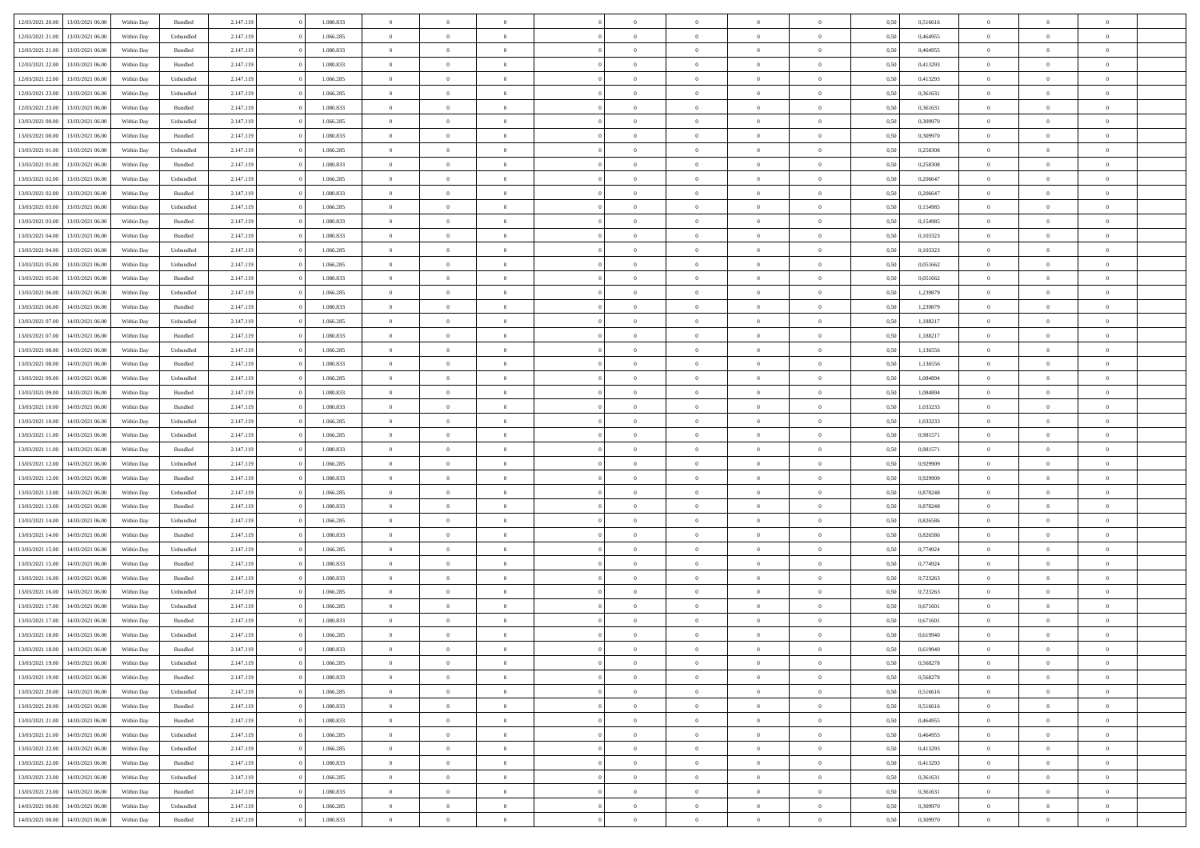| 12/03/2021 20:00 | 13/03/2021 06:00                  | Within Day | Bundled            | 2.147.119 | 1.080.833 | $\overline{0}$ | $\Omega$       |                | $\Omega$       | $\Omega$       | $\Omega$       | $\theta$       | 0.50 | 0,516616 | $\theta$       | $\theta$       | $\theta$       |  |
|------------------|-----------------------------------|------------|--------------------|-----------|-----------|----------------|----------------|----------------|----------------|----------------|----------------|----------------|------|----------|----------------|----------------|----------------|--|
|                  |                                   |            |                    |           |           |                |                |                |                |                |                |                |      |          |                |                |                |  |
| 12/03/2021 21:00 | 13/03/2021 06:00                  | Within Day | Unbundled          | 2.147.119 | 1.066.285 | $\overline{0}$ | $\theta$       | $\overline{0}$ | $\overline{0}$ | $\bf{0}$       | $\overline{0}$ | $\overline{0}$ | 0,50 | 0,464955 | $\theta$       | $\overline{0}$ | $\overline{0}$ |  |
| 12/03/2021 21.00 | 13/03/2021 06:00                  | Within Day | Bundled            | 2.147.119 | 1.080.833 | $\overline{0}$ | $\overline{0}$ | $\overline{0}$ | $\overline{0}$ | $\bf{0}$       | $\overline{0}$ | $\bf{0}$       | 0,50 | 0,464955 | $\bf{0}$       | $\overline{0}$ | $\overline{0}$ |  |
| 12/03/2021 22:00 | 13/03/2021 06:00                  | Within Dav | Bundled            | 2.147.119 | 1.080.833 | $\overline{0}$ | $\overline{0}$ | $\overline{0}$ | $\overline{0}$ | $\bf{0}$       | $\overline{0}$ | $\overline{0}$ | 0.50 | 0,413293 | $\theta$       | $\theta$       | $\overline{0}$ |  |
| 12/03/2021 22:00 | 13/03/2021 06:00                  | Within Day | Unbundled          | 2.147.119 | 1.066.285 | $\overline{0}$ | $\theta$       | $\overline{0}$ | $\overline{0}$ | $\bf{0}$       | $\overline{0}$ | $\bf{0}$       | 0,50 | 0,413293 | $\theta$       | $\theta$       | $\overline{0}$ |  |
| 12/03/2021 23:00 | 13/03/2021 06:00                  | Within Day | Unbundled          | 2.147.119 | 1.066.285 | $\overline{0}$ | $\bf{0}$       | $\overline{0}$ | $\overline{0}$ | $\overline{0}$ | $\overline{0}$ | $\mathbf{0}$   | 0,50 | 0,361631 | $\bf{0}$       | $\overline{0}$ | $\bf{0}$       |  |
|                  |                                   |            |                    |           |           |                |                |                |                | $\overline{0}$ |                |                |      |          | $\theta$       | $\overline{0}$ | $\overline{0}$ |  |
| 12/03/2021 23:00 | 13/03/2021 06:00                  | Within Dav | Bundled            | 2.147.119 | 1.080.833 | $\overline{0}$ | $\overline{0}$ | $\overline{0}$ | $\overline{0}$ |                | $\overline{0}$ | $\overline{0}$ | 0.50 | 0,361631 |                |                |                |  |
| 13/03/2021 00:00 | 13/03/2021 06:00                  | Within Day | Unbundled          | 2.147.119 | 1.066.285 | $\overline{0}$ | $\theta$       | $\overline{0}$ | $\overline{0}$ | $\bf{0}$       | $\overline{0}$ | $\bf{0}$       | 0,50 | 0,309970 | $\theta$       | $\theta$       | $\overline{0}$ |  |
| 13/03/2021 00:00 | 13/03/2021 06:00                  | Within Day | Bundled            | 2.147.119 | 1.080.833 | $\overline{0}$ | $\overline{0}$ | $\overline{0}$ | $\bf{0}$       | $\bf{0}$       | $\bf{0}$       | $\bf{0}$       | 0,50 | 0,309970 | $\,0\,$        | $\overline{0}$ | $\overline{0}$ |  |
| 13/03/2021 01:00 | 13/03/2021 06:00                  | Within Dav | Unbundled          | 2.147.119 | 1.066.285 | $\overline{0}$ | $\overline{0}$ | $\overline{0}$ | $\overline{0}$ | $\overline{0}$ | $\overline{0}$ | $\overline{0}$ | 0.50 | 0,258308 | $\theta$       | $\overline{0}$ | $\overline{0}$ |  |
| 13/03/2021 01:00 | 13/03/2021 06:00                  | Within Day | Bundled            | 2.147.119 | 1.080.833 | $\overline{0}$ | $\theta$       | $\overline{0}$ | $\overline{0}$ | $\bf{0}$       | $\overline{0}$ | $\bf{0}$       | 0,50 | 0,258308 | $\,$ 0 $\,$    | $\theta$       | $\overline{0}$ |  |
| 13/03/2021 02:00 | 13/03/2021 06:00                  | Within Day | Unbundled          | 2.147.119 | 1.066.285 | $\overline{0}$ | $\overline{0}$ | $\overline{0}$ | $\bf{0}$       | $\bf{0}$       | $\bf{0}$       | $\bf{0}$       | 0,50 | 0,206647 | $\bf{0}$       | $\overline{0}$ | $\overline{0}$ |  |
| 13/03/2021 02:00 | 13/03/2021 06:00                  | Within Day | Bundled            | 2.147.119 | 1.080.833 | $\overline{0}$ | $\overline{0}$ | $\overline{0}$ | $\overline{0}$ | $\bf{0}$       | $\overline{0}$ | $\overline{0}$ | 0.50 | 0.206647 | $\theta$       | $\theta$       | $\overline{0}$ |  |
| 13/03/2021 03:00 | 13/03/2021 06:00                  |            |                    | 2.147.119 | 1.066.285 | $\overline{0}$ | $\theta$       | $\overline{0}$ | $\overline{0}$ | $\bf{0}$       | $\overline{0}$ | $\overline{0}$ |      | 0,154985 | $\theta$       | $\theta$       | $\overline{0}$ |  |
|                  |                                   | Within Day | Unbundled          |           |           |                |                |                |                |                |                |                | 0,50 |          |                |                |                |  |
| 13/03/2021 03:00 | 13/03/2021 06:00                  | Within Day | Bundled            | 2.147.119 | 1.080.833 | $\overline{0}$ | $\bf{0}$       | $\overline{0}$ | $\bf{0}$       | $\overline{0}$ | $\overline{0}$ | $\mathbf{0}$   | 0,50 | 0,154985 | $\bf{0}$       | $\overline{0}$ | $\bf{0}$       |  |
| 13/03/2021 04:00 | 13/03/2021 06:00                  | Within Dav | Bundled            | 2.147.119 | 1.080.833 | $\overline{0}$ | $\overline{0}$ | $\overline{0}$ | $\overline{0}$ | $\overline{0}$ | $\overline{0}$ | $\overline{0}$ | 0.50 | 0,103323 | $\theta$       | $\overline{0}$ | $\overline{0}$ |  |
| 13/03/2021 04:00 | 13/03/2021 06:00                  | Within Day | Unbundled          | 2.147.119 | 1.066.285 | $\overline{0}$ | $\theta$       | $\overline{0}$ | $\overline{0}$ | $\bf{0}$       | $\overline{0}$ | $\bf{0}$       | 0,50 | 0,103323 | $\theta$       | $\theta$       | $\overline{0}$ |  |
| 13/03/2021 05:00 | 13/03/2021 06:00                  | Within Day | Unbundled          | 2.147.119 | 1.066.285 | $\overline{0}$ | $\overline{0}$ | $\overline{0}$ | $\bf{0}$       | $\bf{0}$       | $\bf{0}$       | $\bf{0}$       | 0,50 | 0,051662 | $\,0\,$        | $\overline{0}$ | $\overline{0}$ |  |
| 13/03/2021 05:00 | 13/03/2021 06:00                  | Within Day | Bundled            | 2.147.119 | 1.080.833 | $\overline{0}$ | $\overline{0}$ | $\overline{0}$ | $\overline{0}$ | $\overline{0}$ | $\overline{0}$ | $\overline{0}$ | 0.50 | 0,051662 | $\theta$       | $\overline{0}$ | $\overline{0}$ |  |
| 13/03/2021 06:00 | 14/03/2021 06:00                  | Within Day | Unbundled          | 2.147.119 | 1.066.285 | $\overline{0}$ | $\theta$       | $\overline{0}$ | $\overline{0}$ | $\bf{0}$       | $\overline{0}$ | $\bf{0}$       | 0,50 | 1,239879 | $\theta$       | $\theta$       | $\overline{0}$ |  |
| 13/03/2021 06:00 | 14/03/2021 06:00                  | Within Day | Bundled            | 2.147.119 | 1.080.833 | $\overline{0}$ | $\overline{0}$ | $\overline{0}$ | $\bf{0}$       | $\bf{0}$       | $\bf{0}$       | $\bf{0}$       | 0,50 | 1,239879 | $\,0\,$        | $\overline{0}$ | $\overline{0}$ |  |
| 13/03/2021 07:00 | 14/03/2021 06:00                  |            | Unbundled          |           | 1.066.285 | $\overline{0}$ | $\overline{0}$ |                |                | $\bf{0}$       | $\overline{0}$ |                | 0.50 | 1,188217 | $\theta$       | $\theta$       | $\overline{0}$ |  |
|                  |                                   | Within Day |                    | 2.147.119 |           |                |                | $\overline{0}$ | $\overline{0}$ |                |                | $\overline{0}$ |      |          |                |                |                |  |
| 13/03/2021 07:00 | 14/03/2021 06:00                  | Within Day | Bundled            | 2.147.119 | 1.080.833 | $\overline{0}$ | $\theta$       | $\overline{0}$ | $\overline{0}$ | $\bf{0}$       | $\overline{0}$ | $\bf{0}$       | 0,50 | 1,188217 | $\theta$       | $\overline{0}$ | $\overline{0}$ |  |
| 13/03/2021 08:00 | 14/03/2021 06:00                  | Within Day | Unbundled          | 2.147.119 | 1.066.285 | $\overline{0}$ | $\bf{0}$       | $\overline{0}$ | $\bf{0}$       | $\overline{0}$ | $\overline{0}$ | $\mathbf{0}$   | 0,50 | 1,136556 | $\overline{0}$ | $\overline{0}$ | $\bf{0}$       |  |
| 13/03/2021 08:00 | 14/03/2021 06:00                  | Within Dav | Bundled            | 2.147.119 | 1.080.833 | $\overline{0}$ | $\overline{0}$ | $\overline{0}$ | $\overline{0}$ | $\overline{0}$ | $\overline{0}$ | $\overline{0}$ | 0.50 | 1,136556 | $\theta$       | $\overline{0}$ | $\overline{0}$ |  |
| 13/03/2021 09:00 | 14/03/2021 06:00                  | Within Day | Unbundled          | 2.147.119 | 1.066.285 | $\overline{0}$ | $\theta$       | $\overline{0}$ | $\overline{0}$ | $\bf{0}$       | $\overline{0}$ | $\bf{0}$       | 0,50 | 1,084894 | $\theta$       | $\theta$       | $\overline{0}$ |  |
| 13/03/2021 09:00 | 14/03/2021 06:00                  | Within Day | Bundled            | 2.147.119 | 1.080.833 | $\overline{0}$ | $\overline{0}$ | $\overline{0}$ | $\bf{0}$       | $\bf{0}$       | $\bf{0}$       | $\bf{0}$       | 0,50 | 1,084894 | $\,0\,$        | $\overline{0}$ | $\overline{0}$ |  |
| 13/03/2021 10:00 | 14/03/2021 06:00                  | Within Day | Bundled            | 2.147.119 | 1.080.833 | $\overline{0}$ | $\overline{0}$ | $\overline{0}$ | $\overline{0}$ | $\overline{0}$ | $\overline{0}$ | $\overline{0}$ | 0.50 | 1,033233 | $\theta$       | $\overline{0}$ | $\overline{0}$ |  |
| 13/03/2021 10:00 | 14/03/2021 06:00                  | Within Day | Unbundled          | 2.147.119 | 1.066.285 | $\overline{0}$ | $\theta$       | $\overline{0}$ | $\overline{0}$ | $\bf{0}$       | $\overline{0}$ | $\bf{0}$       | 0,50 | 1,033233 | $\,$ 0 $\,$    | $\theta$       | $\overline{0}$ |  |
|                  |                                   |            |                    |           |           |                |                |                |                |                |                |                |      |          |                |                |                |  |
| 13/03/2021 11:00 | 14/03/2021 06:00                  | Within Day | Unbundled          | 2.147.119 | 1.066.285 | $\overline{0}$ | $\overline{0}$ | $\overline{0}$ | $\bf{0}$       | $\bf{0}$       | $\bf{0}$       | $\bf{0}$       | 0,50 | 0,981571 | $\bf{0}$       | $\overline{0}$ | $\overline{0}$ |  |
| 13/03/2021 11:00 | 14/03/2021 06:00                  | Within Day | Bundled            | 2.147.119 | 1.080.833 | $\overline{0}$ | $\Omega$       | $\Omega$       | $\Omega$       | $\Omega$       | $\overline{0}$ | $\overline{0}$ | 0,50 | 0,981571 | $\,0\,$        | $\theta$       | $\theta$       |  |
| 13/03/2021 12:00 | 14/03/2021 06:00                  | Within Day | Unbundled          | 2.147.119 | 1.066.285 | $\overline{0}$ | $\theta$       | $\overline{0}$ | $\overline{0}$ | $\bf{0}$       | $\overline{0}$ | $\bf{0}$       | 0,50 | 0,929909 | $\theta$       | $\theta$       | $\overline{0}$ |  |
| 13/03/2021 12:00 | 14/03/2021 06:00                  | Within Day | Bundled            | 2.147.119 | 1.080.833 | $\overline{0}$ | $\overline{0}$ | $\overline{0}$ | $\overline{0}$ | $\bf{0}$       | $\overline{0}$ | $\mathbf{0}$   | 0,50 | 0,929909 | $\bf{0}$       | $\overline{0}$ | $\bf{0}$       |  |
| 13/03/2021 13:00 | 14/03/2021 06:00                  | Within Day | Unbundled          | 2.147.119 | 1.066.285 | $\overline{0}$ | $\Omega$       | $\Omega$       | $\Omega$       | $\bf{0}$       | $\overline{0}$ | $\overline{0}$ | 0.50 | 0,878248 | $\,0\,$        | $\theta$       | $\theta$       |  |
| 13/03/2021 13:00 | 14/03/2021 06:00                  | Within Day | Bundled            | 2.147.119 | 1.080.833 | $\overline{0}$ | $\theta$       | $\overline{0}$ | $\overline{0}$ | $\bf{0}$       | $\overline{0}$ | $\bf{0}$       | 0,50 | 0,878248 | $\theta$       | $\theta$       | $\overline{0}$ |  |
| 13/03/2021 14:00 | 14/03/2021 06:00                  | Within Day | Unbundled          | 2.147.119 | 1.066.285 | $\overline{0}$ | $\overline{0}$ | $\overline{0}$ | $\overline{0}$ | $\bf{0}$       | $\overline{0}$ | $\bf{0}$       | 0,50 | 0,826586 | $\,0\,$        | $\overline{0}$ | $\overline{0}$ |  |
| 13/03/2021 14:00 | 14/03/2021 06:00                  | Within Day | Bundled            | 2.147.119 | 1.080.833 | $\overline{0}$ | $\Omega$       | $\Omega$       | $\Omega$       | $\theta$       | $\theta$       | $\overline{0}$ | 0.50 | 0,826586 | $\theta$       | $\theta$       | $\theta$       |  |
| 13/03/2021 15:00 | 14/03/2021 06:00                  |            |                    | 2.147.119 | 1.066.285 | $\overline{0}$ | $\theta$       | $\overline{0}$ | $\overline{0}$ | $\bf{0}$       | $\overline{0}$ |                |      | 0,774924 | $\,$ 0 $\,$    | $\overline{0}$ | $\overline{0}$ |  |
|                  |                                   | Within Day | Unbundled          |           |           |                |                |                |                |                |                | $\bf{0}$       | 0,50 |          |                |                |                |  |
| 13/03/2021 15:00 | 14/03/2021 06:00                  | Within Day | Bundled            | 2.147.119 | 1.080.833 | $\overline{0}$ | $\overline{0}$ | $\overline{0}$ | $\overline{0}$ | $\bf{0}$       | $\overline{0}$ | $\bf{0}$       | 0,50 | 0,774924 | $\bf{0}$       | $\overline{0}$ | $\overline{0}$ |  |
| 13/03/2021 16:00 | 14/03/2021 06:00                  | Within Day | Bundled            | 2.147.119 | 1.080.833 | $\overline{0}$ | $\Omega$       | $\Omega$       | $\Omega$       | $\Omega$       | $\overline{0}$ | $\overline{0}$ | 0.50 | 0,723263 | $\,0\,$        | $\theta$       | $\theta$       |  |
| 13/03/2021 16:00 | 14/03/2021 06:00                  | Within Day | Unbundled          | 2.147.119 | 1.066.285 | $\overline{0}$ | $\theta$       | $\overline{0}$ | $\overline{0}$ | $\bf{0}$       | $\overline{0}$ | $\bf{0}$       | 0,50 | 0,723263 | $\,$ 0 $\,$    | $\overline{0}$ | $\overline{0}$ |  |
| 13/03/2021 17:00 | 14/03/2021 06:00                  | Within Day | Unbundled          | 2.147.119 | 1.066.285 | $\overline{0}$ | $\overline{0}$ | $\overline{0}$ | $\overline{0}$ | $\bf{0}$       | $\overline{0}$ | $\mathbf{0}$   | 0,50 | 0,671601 | $\bf{0}$       | $\overline{0}$ | $\bf{0}$       |  |
| 13/03/2021 17:00 | 14/03/2021 06:00                  | Within Day | Bundled            | 2.147.119 | 1.080.833 | $\overline{0}$ | $\Omega$       | $\Omega$       | $\Omega$       | $\Omega$       | $\Omega$       | $\overline{0}$ | 0.50 | 0.671601 | $\theta$       | $\theta$       | $\theta$       |  |
| 13/03/2021 18:00 | 14/03/2021 06:00                  | Within Day | Unbundled          | 2.147.119 | 1.066.285 | $\overline{0}$ | $\,$ 0 $\,$    | $\overline{0}$ | $\bf{0}$       | $\,$ 0         | $\overline{0}$ | $\bf{0}$       | 0,50 | 0,619940 | $\,0\,$        | $\overline{0}$ | $\overline{0}$ |  |
|                  | 13/03/2021 18:00 14/03/2021 06:00 | Within Day | $\mathbf B$ undled | 2.147.119 | 1.080.833 | $\bf{0}$       | $\bf{0}$       |                |                | $\bf{0}$       |                |                | 0,50 | 0,619940 | $\bf{0}$       | $\overline{0}$ |                |  |
| 13/03/2021 19:00 | 14/03/2021 06:00                  | Within Day | Unbundled          | 2.147.119 | 1.066.285 | $\overline{0}$ | $\overline{0}$ | $\overline{0}$ | $\Omega$       | $\overline{0}$ | $\overline{0}$ | $\overline{0}$ | 0,50 | 0.568278 | $\theta$       | $\theta$       | $\theta$       |  |
| 13/03/2021 19:00 | 14/03/2021 06:00                  |            | Bundled            | 2.147.119 | 1.080.833 | $\overline{0}$ | $\,$ 0         | $\overline{0}$ |                | $\,$ 0 $\,$    | $\overline{0}$ |                |      | 0,568278 | $\,$ 0 $\,$    | $\,$ 0 $\,$    | $\,$ 0         |  |
|                  |                                   | Within Day |                    |           |           |                |                |                | $\overline{0}$ |                |                | $\mathbf{0}$   | 0,50 |          |                |                |                |  |
| 13/03/2021 20:00 | 14/03/2021 06:00                  | Within Day | Unbundled          | 2.147.119 | 1.066.285 | $\overline{0}$ | $\overline{0}$ | $\overline{0}$ | $\overline{0}$ | $\overline{0}$ | $\overline{0}$ | $\mathbf{0}$   | 0,50 | 0,516616 | $\overline{0}$ | $\bf{0}$       | $\bf{0}$       |  |
| 13/03/2021 20:00 | 14/03/2021 06:00                  | Within Day | $\mathbf B$ undled | 2.147.119 | 1.080.833 | $\overline{0}$ | $\overline{0}$ | $\overline{0}$ | $\Omega$       | $\overline{0}$ | $\overline{0}$ | $\overline{0}$ | 0,50 | 0,516616 | $\overline{0}$ | $\theta$       | $\overline{0}$ |  |
| 13/03/2021 21:00 | 14/03/2021 06:00                  | Within Day | Bundled            | 2.147.119 | 1.080.833 | $\overline{0}$ | $\,$ 0         | $\overline{0}$ | $\overline{0}$ | $\,$ 0 $\,$    | $\overline{0}$ | $\mathbf{0}$   | 0,50 | 0,464955 | $\,$ 0 $\,$    | $\overline{0}$ | $\overline{0}$ |  |
| 13/03/2021 21:00 | 14/03/2021 06:00                  | Within Day | Unbundled          | 2.147.119 | 1.066.285 | $\overline{0}$ | $\overline{0}$ | $\overline{0}$ | $\overline{0}$ | $\overline{0}$ | $\overline{0}$ | $\mathbf{0}$   | 0,50 | 0,464955 | $\overline{0}$ | $\overline{0}$ | $\bf{0}$       |  |
| 13/03/2021 22:00 | 14/03/2021 06:00                  | Within Day | Unbundled          | 2.147.119 | 1.066.285 | $\overline{0}$ | $\overline{0}$ | $\overline{0}$ | $\Omega$       | $\overline{0}$ | $\overline{0}$ | $\bf{0}$       | 0.50 | 0,413293 | $\overline{0}$ | $\theta$       | $\overline{0}$ |  |
| 13/03/2021 22:00 | 14/03/2021 06:00                  | Within Day | Bundled            | 2.147.119 | 1.080.833 | $\overline{0}$ | $\,$ 0         | $\overline{0}$ | $\overline{0}$ | $\bf{0}$       | $\overline{0}$ | $\bf{0}$       | 0,50 | 0,413293 | $\,$ 0 $\,$    | $\overline{0}$ | $\overline{0}$ |  |
| 13/03/2021 23:00 | 14/03/2021 06:00                  | Within Day | Unbundled          | 2.147.119 | 1.066.285 | $\overline{0}$ | $\bf{0}$       | $\overline{0}$ | $\overline{0}$ | $\overline{0}$ | $\overline{0}$ | $\mathbf{0}$   | 0,50 | 0,361631 | $\overline{0}$ | $\overline{0}$ | $\bf{0}$       |  |
|                  |                                   |            |                    |           |           |                |                |                |                |                |                |                |      |          |                |                |                |  |
| 13/03/2021 23:00 | 14/03/2021 06:00                  | Within Day | Bundled            | 2.147.119 | 1.080.833 | $\overline{0}$ | $\overline{0}$ | $\overline{0}$ | $\Omega$       | $\overline{0}$ | $\overline{0}$ | $\bf{0}$       | 0.50 | 0.361631 | $\overline{0}$ | $\theta$       | $\overline{0}$ |  |
| 14/03/2021 00:00 | 14/03/2021 06:00                  | Within Day | Unbundled          | 2.147.119 | 1.066.285 | $\overline{0}$ | $\bf{0}$       | $\overline{0}$ | $\bf{0}$       | $\bf{0}$       | $\overline{0}$ | $\mathbf{0}$   | 0,50 | 0,309970 | $\,$ 0 $\,$    | $\,$ 0 $\,$    | $\bf{0}$       |  |
| 14/03/2021 00:00 | 14/03/2021 06:00                  | Within Day | Bundled            | 2.147.119 | 1.080.833 | $\overline{0}$ | $\overline{0}$ | $\overline{0}$ | $\overline{0}$ | $\overline{0}$ | $\overline{0}$ | $\mathbf{0}$   | 0,50 | 0,309970 | $\overline{0}$ | $\bf{0}$       | $\bf{0}$       |  |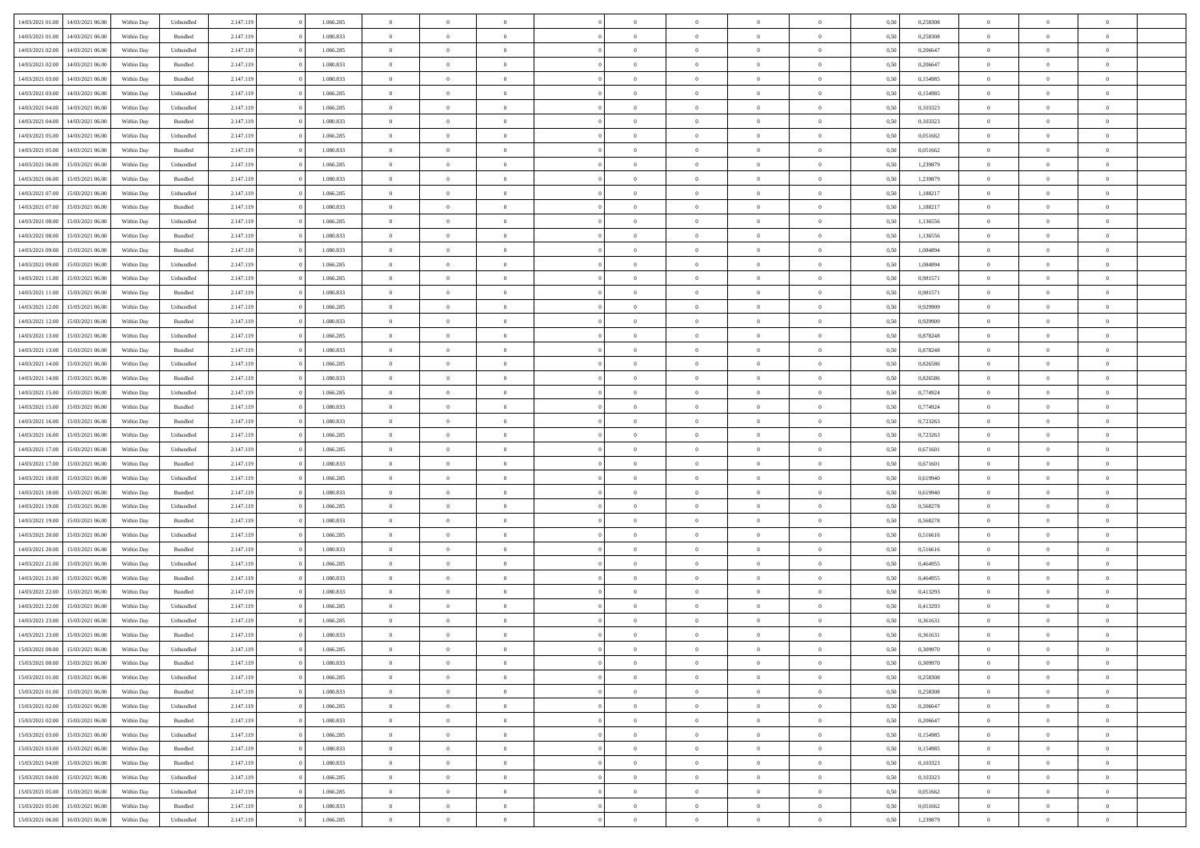| 14/03/2021 01:00 | 14/03/2021 06:00 | Within Dav | Unbundled | 2.147.119 | 1.066.285 | $\overline{0}$ | $\theta$       |                | $\Omega$       | $\Omega$       | $\Omega$       | $\theta$       | 0.50 | 0,258308 | $\theta$       | $\overline{0}$ | $\theta$       |  |
|------------------|------------------|------------|-----------|-----------|-----------|----------------|----------------|----------------|----------------|----------------|----------------|----------------|------|----------|----------------|----------------|----------------|--|
| 14/03/2021 01:00 | 14/03/2021 06:00 | Within Day | Bundled   | 2.147.119 | 1.080.833 | $\overline{0}$ | $\theta$       | $\overline{0}$ | $\overline{0}$ | $\bf{0}$       | $\overline{0}$ | $\bf{0}$       | 0,50 | 0,258308 | $\theta$       | $\overline{0}$ | $\overline{0}$ |  |
| 14/03/2021 02:00 | 14/03/2021 06:00 | Within Day | Unbundled | 2.147.119 | 1.066.285 | $\overline{0}$ | $\overline{0}$ | $\overline{0}$ | $\overline{0}$ | $\bf{0}$       | $\overline{0}$ | $\bf{0}$       | 0,50 | 0,206647 | $\bf{0}$       | $\overline{0}$ | $\overline{0}$ |  |
|                  |                  |            |           |           |           |                |                |                |                |                |                |                |      |          | $\theta$       |                |                |  |
| 14/03/2021 02:00 | 14/03/2021 06:00 | Within Dav | Bundled   | 2.147.119 | 1.080.833 | $\overline{0}$ | $\overline{0}$ | $\overline{0}$ | $\overline{0}$ | $\bf{0}$       | $\overline{0}$ | $\overline{0}$ | 0.50 | 0.206647 |                | $\theta$       | $\overline{0}$ |  |
| 14/03/2021 03:00 | 14/03/2021 06:00 | Within Day | Bundled   | 2.147.119 | 1.080.833 | $\overline{0}$ | $\theta$       | $\overline{0}$ | $\overline{0}$ | $\bf{0}$       | $\overline{0}$ | $\bf{0}$       | 0,50 | 0,154985 | $\theta$       | $\theta$       | $\overline{0}$ |  |
| 14/03/2021 03:00 | 14/03/2021 06:00 | Within Day | Unbundled | 2.147.119 | 1.066.285 | $\overline{0}$ | $\bf{0}$       | $\overline{0}$ | $\overline{0}$ | $\overline{0}$ | $\overline{0}$ | $\mathbf{0}$   | 0,50 | 0,154985 | $\overline{0}$ | $\overline{0}$ | $\bf{0}$       |  |
| 14/03/2021 04:00 | 14/03/2021 06:00 | Within Dav | Unbundled | 2.147.119 | 1.066.285 | $\overline{0}$ | $\overline{0}$ | $\overline{0}$ | $\overline{0}$ | $\overline{0}$ | $\overline{0}$ | $\overline{0}$ | 0.50 | 0,103323 | $\theta$       | $\overline{0}$ | $\overline{0}$ |  |
|                  |                  |            |           |           |           |                |                |                |                |                |                |                |      |          |                |                |                |  |
| 14/03/2021 04:00 | 14/03/2021 06:00 | Within Day | Bundled   | 2.147.119 | 1.080.833 | $\overline{0}$ | $\theta$       | $\overline{0}$ | $\overline{0}$ | $\bf{0}$       | $\overline{0}$ | $\bf{0}$       | 0,50 | 0,103323 | $\theta$       | $\theta$       | $\overline{0}$ |  |
| 14/03/2021 05:00 | 14/03/2021 06:00 | Within Day | Unbundled | 2.147.119 | 1.066.285 | $\overline{0}$ | $\overline{0}$ | $\overline{0}$ | $\overline{0}$ | $\bf{0}$       | $\overline{0}$ | $\bf{0}$       | 0,50 | 0,051662 | $\,0\,$        | $\overline{0}$ | $\overline{0}$ |  |
| 14/03/2021 05:00 | 14/03/2021 06:00 | Within Dav | Bundled   | 2.147.119 | 1.080.833 | $\overline{0}$ | $\overline{0}$ | $\overline{0}$ | $\overline{0}$ | $\overline{0}$ | $\overline{0}$ | $\overline{0}$ | 0.50 | 0,051662 | $\theta$       | $\overline{0}$ | $\overline{0}$ |  |
| 14/03/2021 06:00 | 15/03/2021 06:00 |            |           | 2.147.119 | 1.066.285 | $\overline{0}$ | $\theta$       | $\overline{0}$ | $\overline{0}$ | $\bf{0}$       | $\overline{0}$ |                |      | 1,239879 | $\,$ 0 $\,$    | $\theta$       | $\overline{0}$ |  |
|                  |                  | Within Day | Unbundled |           |           |                |                |                |                |                |                | $\bf{0}$       | 0,50 |          |                |                |                |  |
| 14/03/2021 06:00 | 15/03/2021 06:00 | Within Day | Bundled   | 2.147.119 | 1.080.833 | $\overline{0}$ | $\overline{0}$ | $\overline{0}$ | $\overline{0}$ | $\bf{0}$       | $\overline{0}$ | $\bf{0}$       | 0,50 | 1,239879 | $\overline{0}$ | $\overline{0}$ | $\overline{0}$ |  |
| 14/03/2021 07:00 | 15/03/2021 06:00 | Within Day | Unbundled | 2.147.119 | 1.066.285 | $\overline{0}$ | $\overline{0}$ | $\overline{0}$ | $\overline{0}$ | $\bf{0}$       | $\overline{0}$ | $\overline{0}$ | 0.50 | 1,188217 | $\theta$       | $\theta$       | $\overline{0}$ |  |
| 14/03/2021 07:00 | 15/03/2021 06:00 | Within Day | Bundled   | 2.147.119 | 1.080.833 | $\overline{0}$ | $\theta$       | $\overline{0}$ | $\overline{0}$ | $\bf{0}$       | $\overline{0}$ | $\bf{0}$       | 0,50 | 1,188217 | $\theta$       | $\overline{0}$ | $\overline{0}$ |  |
|                  |                  |            |           |           |           |                |                |                |                |                |                |                |      |          |                |                |                |  |
| 14/03/2021 08:00 | 15/03/2021 06:00 | Within Day | Unbundled | 2.147.119 | 1.066.285 | $\overline{0}$ | $\bf{0}$       | $\overline{0}$ | $\overline{0}$ | $\overline{0}$ | $\overline{0}$ | $\mathbf{0}$   | 0,50 | 1,136556 | $\overline{0}$ | $\overline{0}$ | $\bf{0}$       |  |
| 14/03/2021 08:00 | 15/03/2021 06:00 | Within Dav | Bundled   | 2.147.119 | 1.080.833 | $\overline{0}$ | $\overline{0}$ | $\overline{0}$ | $\overline{0}$ | $\overline{0}$ | $\overline{0}$ | $\overline{0}$ | 0.50 | 1,136556 | $\theta$       | $\overline{0}$ | $\overline{0}$ |  |
| 14/03/2021 09:00 | 15/03/2021 06:00 | Within Day | Bundled   | 2.147.119 | 1.080.833 | $\overline{0}$ | $\theta$       | $\overline{0}$ | $\overline{0}$ | $\bf{0}$       | $\overline{0}$ | $\bf{0}$       | 0,50 | 1,084894 | $\theta$       | $\theta$       | $\overline{0}$ |  |
| 14/03/2021 09:00 | 15/03/2021 06:00 | Within Day | Unbundled | 2.147.119 | 1.066.285 | $\overline{0}$ | $\overline{0}$ | $\overline{0}$ | $\bf{0}$       | $\bf{0}$       | $\bf{0}$       | $\bf{0}$       | 0,50 | 1,084894 | $\,0\,$        | $\overline{0}$ | $\overline{0}$ |  |
| 14/03/2021 11:00 | 15/03/2021 06:00 |            | Unbundled |           | 1.066.285 | $\overline{0}$ | $\overline{0}$ | $\overline{0}$ | $\overline{0}$ | $\overline{0}$ | $\overline{0}$ | $\overline{0}$ | 0.50 | 0.981571 | $\theta$       | $\overline{0}$ | $\overline{0}$ |  |
|                  |                  | Within Day |           | 2.147.119 |           |                |                |                |                |                |                |                |      |          |                |                |                |  |
| 14/03/2021 11:00 | 15/03/2021 06:00 | Within Day | Bundled   | 2.147.119 | 1.080.833 | $\overline{0}$ | $\theta$       | $\overline{0}$ | $\overline{0}$ | $\bf{0}$       | $\overline{0}$ | $\bf{0}$       | 0,50 | 0,981571 | $\theta$       | $\theta$       | $\overline{0}$ |  |
| 14/03/2021 12:00 | 15/03/2021 06:00 | Within Day | Unbundled | 2.147.119 | 1.066.285 | $\overline{0}$ | $\overline{0}$ | $\overline{0}$ | $\bf{0}$       | $\bf{0}$       | $\bf{0}$       | $\bf{0}$       | 0,50 | 0,929909 | $\,0\,$        | $\overline{0}$ | $\overline{0}$ |  |
| 14/03/2021 12:00 | 15/03/2021 06:00 | Within Day | Bundled   | 2.147.119 | 1.080.833 | $\overline{0}$ | $\overline{0}$ | $\overline{0}$ | $\overline{0}$ | $\bf{0}$       | $\overline{0}$ | $\overline{0}$ | 0.50 | 0.929909 | $\theta$       | $\theta$       | $\overline{0}$ |  |
|                  |                  |            |           |           |           | $\overline{0}$ | $\theta$       | $\overline{0}$ | $\overline{0}$ | $\bf{0}$       | $\overline{0}$ |                |      |          | $\theta$       | $\overline{0}$ | $\overline{0}$ |  |
| 14/03/2021 13:00 | 15/03/2021 06:00 | Within Day | Unbundled | 2.147.119 | 1.066.285 |                |                |                |                |                |                | $\bf{0}$       | 0,50 | 0,878248 |                |                |                |  |
| 14/03/2021 13:00 | 15/03/2021 06:00 | Within Day | Bundled   | 2.147.119 | 1.080.833 | $\overline{0}$ | $\bf{0}$       | $\overline{0}$ | $\bf{0}$       | $\overline{0}$ | $\overline{0}$ | $\mathbf{0}$   | 0,50 | 0,878248 | $\overline{0}$ | $\overline{0}$ | $\bf{0}$       |  |
| 14/03/2021 14:00 | 15/03/2021 06:00 | Within Dav | Unbundled | 2.147.119 | 1.066.285 | $\overline{0}$ | $\overline{0}$ | $\overline{0}$ | $\overline{0}$ | $\overline{0}$ | $\overline{0}$ | $\overline{0}$ | 0.50 | 0,826586 | $\theta$       | $\overline{0}$ | $\overline{0}$ |  |
| 14/03/2021 14:00 | 15/03/2021 06:00 | Within Day | Bundled   | 2.147.119 | 1.080.833 | $\overline{0}$ | $\theta$       | $\overline{0}$ | $\overline{0}$ | $\bf{0}$       | $\overline{0}$ | $\bf{0}$       | 0,50 | 0,826586 | $\theta$       | $\theta$       | $\overline{0}$ |  |
|                  |                  |            |           |           |           |                |                |                |                |                |                |                |      |          |                |                |                |  |
| 14/03/2021 15:00 | 15/03/2021 06:00 | Within Day | Unbundled | 2.147.119 | 1.066.285 | $\overline{0}$ | $\overline{0}$ | $\overline{0}$ | $\bf{0}$       | $\bf{0}$       | $\bf{0}$       | $\bf{0}$       | 0,50 | 0,774924 | $\,0\,$        | $\overline{0}$ | $\overline{0}$ |  |
| 14/03/2021 15:00 | 15/03/2021 06:00 | Within Day | Bundled   | 2.147.119 | 1.080.833 | $\overline{0}$ | $\overline{0}$ | $\overline{0}$ | $\overline{0}$ | $\overline{0}$ | $\overline{0}$ | $\overline{0}$ | 0.50 | 0,774924 | $\theta$       | $\overline{0}$ | $\overline{0}$ |  |
| 14/03/2021 16:00 | 15/03/2021 06:00 | Within Day | Bundled   | 2.147.119 | 1.080.833 | $\overline{0}$ | $\theta$       | $\overline{0}$ | $\overline{0}$ | $\bf{0}$       | $\overline{0}$ | $\bf{0}$       | 0,50 | 0,723263 | $\,$ 0 $\,$    | $\overline{0}$ | $\overline{0}$ |  |
| 14/03/2021 16:00 | 15/03/2021 06:00 | Within Day | Unbundled | 2.147.119 | 1.066.285 | $\overline{0}$ | $\overline{0}$ | $\overline{0}$ | $\bf{0}$       | $\bf{0}$       | $\bf{0}$       | $\bf{0}$       | 0,50 | 0,723263 | $\overline{0}$ | $\overline{0}$ | $\overline{0}$ |  |
|                  |                  |            |           |           |           |                |                |                |                |                |                |                |      |          |                |                |                |  |
| 14/03/2021 17:00 | 15/03/2021 06:00 | Within Day | Unbundled | 2.147.119 | 1.066.285 | $\overline{0}$ | $\Omega$       | $\Omega$       | $\Omega$       | $\Omega$       | $\overline{0}$ | $\overline{0}$ | 0,50 | 0,671601 | $\,0\,$        | $\theta$       | $\theta$       |  |
| 14/03/2021 17:00 | 15/03/2021 06:00 | Within Day | Bundled   | 2.147.119 | 1.080.833 | $\overline{0}$ | $\theta$       | $\overline{0}$ | $\overline{0}$ | $\bf{0}$       | $\overline{0}$ | $\bf{0}$       | 0,50 | 0,671601 | $\theta$       | $\theta$       | $\overline{0}$ |  |
| 14/03/2021 18:00 | 15/03/2021 06:00 | Within Day | Unbundled | 2.147.119 | 1.066.285 | $\overline{0}$ | $\overline{0}$ | $\overline{0}$ | $\bf{0}$       | $\bf{0}$       | $\overline{0}$ | $\mathbf{0}$   | 0,50 | 0,619940 | $\overline{0}$ | $\overline{0}$ | $\bf{0}$       |  |
| 14/03/2021 18:00 | 15/03/2021 06:00 | Within Day | Bundled   | 2.147.119 | 1.080.833 | $\overline{0}$ | $\Omega$       | $\Omega$       | $\Omega$       | $\bf{0}$       | $\overline{0}$ | $\overline{0}$ | 0.50 | 0,619940 | $\,0\,$        | $\theta$       | $\theta$       |  |
|                  |                  |            |           |           |           | $\overline{0}$ | $\theta$       | $\overline{0}$ |                | $\bf{0}$       | $\overline{0}$ |                |      |          | $\theta$       | $\theta$       | $\overline{0}$ |  |
| 14/03/2021 19:00 | 15/03/2021 06:00 | Within Day | Unbundled | 2.147.119 | 1.066.285 |                |                |                | $\overline{0}$ |                |                | $\bf{0}$       | 0,50 | 0,568278 |                |                |                |  |
| 14/03/2021 19:00 | 15/03/2021 06:00 | Within Day | Bundled   | 2.147.119 | 1.080.833 | $\overline{0}$ | $\overline{0}$ | $\overline{0}$ | $\bf{0}$       | $\bf{0}$       | $\bf{0}$       | $\bf{0}$       | 0,50 | 0,568278 | $\bf{0}$       | $\overline{0}$ | $\overline{0}$ |  |
| 14/03/2021 20:00 | 15/03/2021 06:00 | Within Day | Unbundled | 2.147.119 | 1.066.285 | $\overline{0}$ | $\Omega$       | $\Omega$       | $\Omega$       | $\theta$       | $\overline{0}$ | $\overline{0}$ | 0.50 | 0,516616 | $\theta$       | $\theta$       | $\theta$       |  |
| 14/03/2021 20:00 | 15/03/2021 06:00 | Within Day | Bundled   | 2.147.119 | 1.080.833 | $\overline{0}$ | $\theta$       | $\overline{0}$ | $\overline{0}$ | $\bf{0}$       | $\overline{0}$ | $\bf{0}$       | 0,50 | 0,516616 | $\,$ 0 $\,$    | $\overline{0}$ | $\overline{0}$ |  |
|                  |                  |            |           |           |           |                |                |                |                |                |                |                |      |          |                |                |                |  |
| 14/03/2021 21.00 | 15/03/2021 06:00 | Within Day | Unbundled | 2.147.119 | 1.066.285 | $\overline{0}$ | $\overline{0}$ | $\overline{0}$ | $\overline{0}$ | $\bf{0}$       | $\overline{0}$ | $\bf{0}$       | 0,50 | 0,464955 | $\overline{0}$ | $\overline{0}$ | $\overline{0}$ |  |
| 14/03/2021 21:00 | 15/03/2021 06:00 | Within Day | Bundled   | 2.147.119 | 1.080.833 | $\overline{0}$ | $\Omega$       | $\overline{0}$ | $\Omega$       | $\Omega$       | $\overline{0}$ | $\overline{0}$ | 0,50 | 0,464955 | $\,0\,$        | $\theta$       | $\theta$       |  |
| 14/03/2021 22:00 | 15/03/2021 06:00 | Within Day | Bundled   | 2.147.119 | 1.080.833 | $\overline{0}$ | $\theta$       | $\overline{0}$ | $\overline{0}$ | $\bf{0}$       | $\overline{0}$ | $\bf{0}$       | 0,50 | 0,413293 | $\,$ 0 $\,$    | $\overline{0}$ | $\overline{0}$ |  |
| 14/03/2021 22.00 | 15/03/2021 06:00 | Within Day | Unbundled | 2.147.119 | 1.066.285 | $\overline{0}$ | $\overline{0}$ | $\overline{0}$ | $\overline{0}$ | $\bf{0}$       | $\overline{0}$ | $\mathbf{0}$   | 0,50 | 0,413293 | $\overline{0}$ | $\overline{0}$ | $\bf{0}$       |  |
| 14/03/2021 23:00 | 15/03/2021 06:00 | Within Day | Unbundled | 2.147.119 | 1.066.285 | $\overline{0}$ | $\Omega$       | $\Omega$       | $\Omega$       | $\Omega$       | $\Omega$       | $\overline{0}$ | 0.50 | 0.361631 | $\theta$       | $\theta$       | $\theta$       |  |
|                  |                  |            |           |           |           |                |                |                |                |                |                |                |      |          |                |                |                |  |
| 14/03/2021 23:00 | 15/03/2021 06:00 | Within Day | Bundled   | 2.147.119 | 1.080.833 | $\overline{0}$ | $\overline{0}$ | $\overline{0}$ | $\bf{0}$       | $\,$ 0         | $\overline{0}$ | $\bf{0}$       | 0,50 | 0,361631 | $\,0\,$        | $\overline{0}$ | $\overline{0}$ |  |
| 15/03/2021 00:00 | 15/03/2021 06:00 | Within Day | Unbundled | 2.147.119 | 1.066.285 | $\bf{0}$       | $\bf{0}$       |                |                | $\bf{0}$       |                |                | 0,50 | 0,309970 | $\bf{0}$       | $\overline{0}$ |                |  |
| 15/03/2021 00:00 | 15/03/2021 06:00 | Within Day | Bundled   | 2.147.119 | 1.080.833 | $\overline{0}$ | $\overline{0}$ | $\overline{0}$ | $\Omega$       | $\overline{0}$ | $\overline{0}$ | $\overline{0}$ | 0.50 | 0.309970 | $\theta$       | $\theta$       | $\theta$       |  |
| 15/03/2021 01:00 | 15/03/2021 06:00 | Within Day | Unbundled | 2.147.119 | 1.066.285 | $\overline{0}$ | $\,$ 0         | $\overline{0}$ | $\overline{0}$ | $\,$ 0 $\,$    | $\overline{0}$ | $\mathbf{0}$   | 0,50 | 0,258308 | $\,$ 0 $\,$    | $\,$ 0 $\,$    | $\,$ 0         |  |
|                  |                  |            |           |           |           |                |                |                |                |                |                |                |      |          |                |                |                |  |
| 15/03/2021 01:00 | 15/03/2021 06:00 | Within Day | Bundled   | 2.147.119 | 1.080.833 | $\overline{0}$ | $\overline{0}$ | $\overline{0}$ | $\overline{0}$ | $\overline{0}$ | $\overline{0}$ | $\mathbf{0}$   | 0,50 | 0,258308 | $\overline{0}$ | $\bf{0}$       | $\bf{0}$       |  |
| 15/03/2021 02:00 | 15/03/2021 06:00 | Within Day | Unbundled | 2.147.119 | 1.066.285 | $\overline{0}$ | $\overline{0}$ | $\overline{0}$ | $\Omega$       | $\overline{0}$ | $\overline{0}$ | $\bf{0}$       | 0,50 | 0,206647 | $\overline{0}$ | $\theta$       | $\overline{0}$ |  |
| 15/03/2021 02:00 | 15/03/2021 06:00 | Within Day | Bundled   | 2.147.119 | 1.080.833 | $\overline{0}$ | $\,$ 0         | $\overline{0}$ | $\overline{0}$ | $\overline{0}$ | $\overline{0}$ | $\bf{0}$       | 0,50 | 0,206647 | $\,$ 0 $\,$    | $\overline{0}$ | $\overline{0}$ |  |
|                  |                  |            |           |           |           |                |                |                |                |                |                |                |      |          |                |                |                |  |
| 15/03/2021 03:00 | 15/03/2021 06:00 | Within Day | Unbundled | 2.147.119 | 1.066.285 | $\overline{0}$ | $\overline{0}$ | $\overline{0}$ | $\overline{0}$ | $\overline{0}$ | $\overline{0}$ | $\mathbf{0}$   | 0,50 | 0,154985 | $\overline{0}$ | $\overline{0}$ | $\bf{0}$       |  |
| 15/03/2021 03:00 | 15/03/2021 06:00 | Within Day | Bundled   | 2.147.119 | 1.080.833 | $\overline{0}$ | $\overline{0}$ | $\overline{0}$ | $\Omega$       | $\overline{0}$ | $\overline{0}$ | $\bf{0}$       | 0.50 | 0,154985 | $\overline{0}$ | $\theta$       | $\overline{0}$ |  |
| 15/03/2021 04:00 | 15/03/2021 06:00 | Within Day | Bundled   | 2.147.119 | 1.080.833 | $\overline{0}$ | $\,$ 0         | $\overline{0}$ | $\overline{0}$ | $\bf{0}$       | $\overline{0}$ | $\bf{0}$       | 0,50 | 0,103323 | $\,$ 0 $\,$    | $\overline{0}$ | $\overline{0}$ |  |
| 15/03/2021 04:00 | 15/03/2021 06:00 | Within Day | Unbundled | 2.147.119 | 1.066.285 | $\overline{0}$ | $\bf{0}$       | $\overline{0}$ | $\overline{0}$ | $\overline{0}$ | $\overline{0}$ | $\mathbf{0}$   | 0,50 | 0,103323 | $\overline{0}$ | $\overline{0}$ | $\bf{0}$       |  |
|                  |                  |            |           |           |           | $\overline{0}$ | $\overline{0}$ | $\overline{0}$ | $\Omega$       | $\overline{0}$ | $\overline{0}$ |                | 0.50 | 0.051662 | $\overline{0}$ | $\theta$       | $\overline{0}$ |  |
| 15/03/2021 05:00 | 15/03/2021 06:00 | Within Day | Unbundled | 2.147.119 | 1.066.285 |                |                |                |                |                |                | $\bf{0}$       |      |          |                |                |                |  |
| 15/03/2021 05:00 | 15/03/2021 06:00 | Within Day | Bundled   | 2.147.119 | 1.080.833 | $\overline{0}$ | $\bf{0}$       | $\overline{0}$ | $\overline{0}$ | $\bf{0}$       | $\overline{0}$ | $\mathbf{0}$   | 0,50 | 0,051662 | $\,$ 0 $\,$    | $\,$ 0 $\,$    | $\bf{0}$       |  |
| 15/03/2021 06:00 | 16/03/2021 06:00 | Within Day | Unbundled | 2.147.119 | 1.066.285 | $\overline{0}$ | $\overline{0}$ | $\overline{0}$ | $\overline{0}$ | $\bf{0}$       | $\overline{0}$ | $\mathbf{0}$   | 0,50 | 1,239879 | $\overline{0}$ | $\bf{0}$       | $\bf{0}$       |  |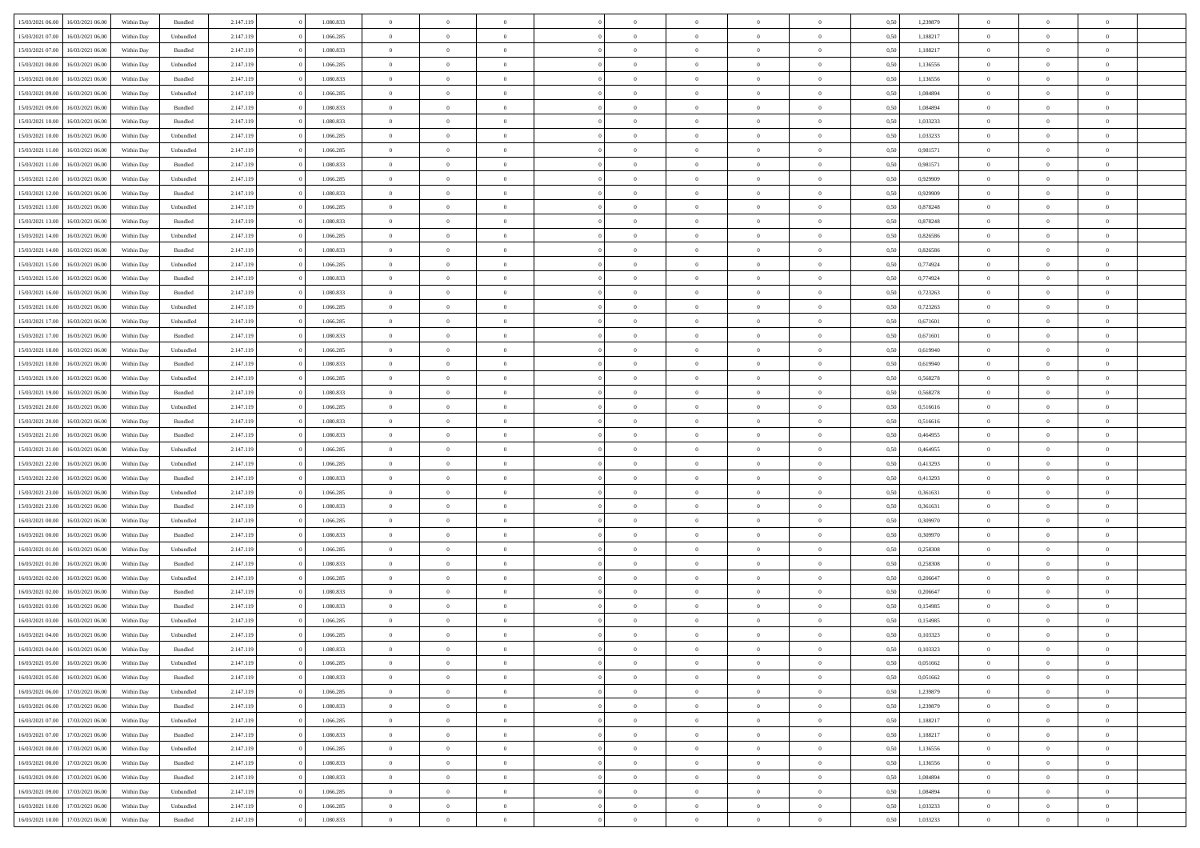| 15/03/2021 06:00 | 16/03/2021 06:00 | Within Day | Bundled            | 2.147.119 | 1.080.833 | $\overline{0}$ | $\Omega$       |                | $\Omega$       | $\Omega$       | $\theta$       | $\theta$       | 0.50 | 1,239879 | $\theta$       | $\theta$       | $\theta$       |  |
|------------------|------------------|------------|--------------------|-----------|-----------|----------------|----------------|----------------|----------------|----------------|----------------|----------------|------|----------|----------------|----------------|----------------|--|
|                  |                  |            |                    |           |           |                |                |                |                |                |                |                |      |          |                |                |                |  |
| 15/03/2021 07:00 | 16/03/2021 06:00 | Within Day | Unbundled          | 2.147.119 | 1.066.285 | $\overline{0}$ | $\theta$       | $\overline{0}$ | $\overline{0}$ | $\bf{0}$       | $\overline{0}$ | $\bf{0}$       | 0,50 | 1,188217 | $\theta$       | $\theta$       | $\overline{0}$ |  |
| 15/03/2021 07:00 | 16/03/2021 06:00 | Within Day | Bundled            | 2.147.119 | 1.080.833 | $\overline{0}$ | $\overline{0}$ | $\overline{0}$ | $\overline{0}$ | $\bf{0}$       | $\overline{0}$ | $\bf{0}$       | 0,50 | 1,188217 | $\overline{0}$ | $\overline{0}$ | $\overline{0}$ |  |
| 15/03/2021 08:00 | 16/03/2021 06:00 | Within Dav | Unbundled          | 2.147.119 | 1.066.285 | $\overline{0}$ | $\overline{0}$ | $\overline{0}$ | $\overline{0}$ | $\bf{0}$       | $\overline{0}$ | $\overline{0}$ | 0.50 | 1,136556 | $\theta$       | $\theta$       | $\overline{0}$ |  |
| 15/03/2021 08:00 | 16/03/2021 06:00 | Within Day | Bundled            | 2.147.119 | 1.080.833 | $\overline{0}$ | $\theta$       | $\overline{0}$ | $\overline{0}$ | $\bf{0}$       | $\overline{0}$ | $\bf{0}$       | 0,50 | 1,136556 | $\theta$       | $\theta$       | $\overline{0}$ |  |
| 15/03/2021 09:00 | 16/03/2021 06:00 | Within Day | Unbundled          | 2.147.119 | 1.066.285 | $\overline{0}$ | $\bf{0}$       | $\overline{0}$ | $\overline{0}$ | $\overline{0}$ | $\overline{0}$ | $\mathbf{0}$   | 0,50 | 1,084894 | $\overline{0}$ | $\overline{0}$ | $\bf{0}$       |  |
|                  |                  |            |                    |           |           |                |                |                |                | $\overline{0}$ |                |                |      |          | $\theta$       | $\overline{0}$ | $\overline{0}$ |  |
| 15/03/2021 09:00 | 16/03/2021 06:00 | Within Dav | Bundled            | 2.147.119 | 1.080.833 | $\overline{0}$ | $\overline{0}$ | $\overline{0}$ | $\overline{0}$ |                | $\overline{0}$ | $\overline{0}$ | 0.50 | 1,084894 |                |                |                |  |
| 15/03/2021 10:00 | 16/03/2021 06:00 | Within Day | Bundled            | 2.147.119 | 1.080.833 | $\overline{0}$ | $\theta$       | $\overline{0}$ | $\overline{0}$ | $\bf{0}$       | $\overline{0}$ | $\bf{0}$       | 0,50 | 1,033233 | $\theta$       | $\theta$       | $\overline{0}$ |  |
| 15/03/2021 10:00 | 16/03/2021 06:00 | Within Day | Unbundled          | 2.147.119 | 1.066.285 | $\overline{0}$ | $\overline{0}$ | $\overline{0}$ | $\overline{0}$ | $\bf{0}$       | $\overline{0}$ | $\bf{0}$       | 0,50 | 1,033233 | $\,0\,$        | $\overline{0}$ | $\overline{0}$ |  |
| 15/03/2021 11:00 | 16/03/2021 06:00 | Within Dav | Unbundled          | 2.147.119 | 1.066.285 | $\overline{0}$ | $\overline{0}$ | $\overline{0}$ | $\overline{0}$ | $\overline{0}$ | $\overline{0}$ | $\overline{0}$ | 0.50 | 0.981571 | $\theta$       | $\overline{0}$ | $\overline{0}$ |  |
| 15/03/2021 11:00 | 16/03/2021 06:00 | Within Day | Bundled            | 2.147.119 | 1.080.833 | $\overline{0}$ | $\theta$       | $\overline{0}$ | $\overline{0}$ | $\bf{0}$       | $\overline{0}$ | $\bf{0}$       | 0,50 | 0,981571 | $\,$ 0 $\,$    | $\theta$       | $\overline{0}$ |  |
| 15/03/2021 12:00 | 16/03/2021 06:00 | Within Day | Unbundled          | 2.147.119 | 1.066.285 | $\overline{0}$ | $\overline{0}$ | $\overline{0}$ | $\overline{0}$ | $\bf{0}$       | $\overline{0}$ | $\bf{0}$       | 0,50 | 0,929909 | $\overline{0}$ | $\overline{0}$ | $\overline{0}$ |  |
| 15/03/2021 12:00 | 16/03/2021 06:00 | Within Day | Bundled            | 2.147.119 | 1.080.833 | $\overline{0}$ | $\overline{0}$ | $\overline{0}$ | $\overline{0}$ | $\bf{0}$       | $\overline{0}$ | $\overline{0}$ | 0.50 | 0.929909 | $\theta$       | $\theta$       | $\overline{0}$ |  |
|                  |                  |            |                    |           |           | $\overline{0}$ | $\theta$       | $\overline{0}$ | $\overline{0}$ | $\bf{0}$       | $\overline{0}$ | $\overline{0}$ |      |          | $\theta$       | $\theta$       | $\overline{0}$ |  |
| 15/03/2021 13:00 | 16/03/2021 06:00 | Within Day | Unbundled          | 2.147.119 | 1.066.285 |                |                |                |                |                |                |                | 0,50 | 0,878248 |                |                |                |  |
| 15/03/2021 13:00 | 16/03/2021 06:00 | Within Day | Bundled            | 2.147.119 | 1.080.833 | $\overline{0}$ | $\bf{0}$       | $\overline{0}$ | $\overline{0}$ | $\overline{0}$ | $\overline{0}$ | $\mathbf{0}$   | 0,50 | 0,878248 | $\overline{0}$ | $\overline{0}$ | $\bf{0}$       |  |
| 15/03/2021 14:00 | 16/03/2021 06:00 | Within Dav | Unbundled          | 2.147.119 | 1.066.285 | $\overline{0}$ | $\overline{0}$ | $\overline{0}$ | $\overline{0}$ | $\overline{0}$ | $\overline{0}$ | $\overline{0}$ | 0.50 | 0,826586 | $\theta$       | $\overline{0}$ | $\overline{0}$ |  |
| 15/03/2021 14:00 | 16/03/2021 06:00 | Within Day | Bundled            | 2.147.119 | 1.080.833 | $\overline{0}$ | $\theta$       | $\overline{0}$ | $\overline{0}$ | $\bf{0}$       | $\overline{0}$ | $\bf{0}$       | 0,50 | 0,826586 | $\theta$       | $\theta$       | $\overline{0}$ |  |
| 15/03/2021 15:00 | 16/03/2021 06:00 | Within Day | Unbundled          | 2.147.119 | 1.066.285 | $\overline{0}$ | $\overline{0}$ | $\overline{0}$ | $\overline{0}$ | $\bf{0}$       | $\overline{0}$ | $\bf{0}$       | 0,50 | 0,774924 | $\,0\,$        | $\overline{0}$ | $\overline{0}$ |  |
| 15/03/2021 15:00 | 16/03/2021 06:00 | Within Day | Bundled            | 2.147.119 | 1.080.833 | $\overline{0}$ | $\overline{0}$ | $\overline{0}$ | $\overline{0}$ | $\overline{0}$ | $\overline{0}$ | $\overline{0}$ | 0.50 | 0,774924 | $\theta$       | $\overline{0}$ | $\overline{0}$ |  |
| 15/03/2021 16:00 | 16/03/2021 06:00 | Within Day | Bundled            | 2.147.119 | 1.080.833 | $\overline{0}$ | $\theta$       | $\overline{0}$ | $\overline{0}$ | $\bf{0}$       | $\overline{0}$ | $\bf{0}$       | 0,50 | 0,723263 | $\theta$       | $\theta$       | $\overline{0}$ |  |
|                  |                  |            |                    |           |           |                |                |                |                |                |                |                |      |          |                |                |                |  |
| 15/03/2021 16:00 | 16/03/2021 06:00 | Within Day | Unbundled          | 2.147.119 | 1.066.285 | $\overline{0}$ | $\overline{0}$ | $\overline{0}$ | $\overline{0}$ | $\bf{0}$       | $\overline{0}$ | $\bf{0}$       | 0,50 | 0,723263 | $\,0\,$        | $\overline{0}$ | $\overline{0}$ |  |
| 15/03/2021 17:00 | 16/03/2021 06:00 | Within Day | Unbundled          | 2.147.119 | 1.066.285 | $\overline{0}$ | $\overline{0}$ | $\overline{0}$ | $\overline{0}$ | $\bf{0}$       | $\overline{0}$ | $\overline{0}$ | 0.50 | 0.671601 | $\theta$       | $\theta$       | $\overline{0}$ |  |
| 15/03/2021 17:00 | 16/03/2021 06:00 | Within Day | Bundled            | 2.147.119 | 1.080.833 | $\overline{0}$ | $\theta$       | $\overline{0}$ | $\overline{0}$ | $\bf{0}$       | $\overline{0}$ | $\bf{0}$       | 0,50 | 0,671601 | $\,$ 0 $\,$    | $\overline{0}$ | $\overline{0}$ |  |
| 15/03/2021 18:00 | 16/03/2021 06:00 | Within Day | Unbundled          | 2.147.119 | 1.066.285 | $\overline{0}$ | $\bf{0}$       | $\overline{0}$ | $\overline{0}$ | $\overline{0}$ | $\overline{0}$ | $\mathbf{0}$   | 0,50 | 0,619940 | $\bf{0}$       | $\overline{0}$ | $\bf{0}$       |  |
| 15/03/2021 18:00 | 16/03/2021 06:00 | Within Dav | Bundled            | 2.147.119 | 1.080.833 | $\overline{0}$ | $\overline{0}$ | $\overline{0}$ | $\overline{0}$ | $\overline{0}$ | $\overline{0}$ | $\overline{0}$ | 0.50 | 0,619940 | $\theta$       | $\overline{0}$ | $\overline{0}$ |  |
| 15/03/2021 19:00 | 16/03/2021 06:00 | Within Day | Unbundled          | 2.147.119 | 1.066.285 | $\overline{0}$ | $\theta$       | $\overline{0}$ | $\overline{0}$ | $\bf{0}$       | $\overline{0}$ | $\bf{0}$       | 0,50 | 0,568278 | $\theta$       | $\theta$       | $\overline{0}$ |  |
| 15/03/2021 19:00 | 16/03/2021 06:00 | Within Day | Bundled            | 2.147.119 | 1.080.833 | $\overline{0}$ | $\overline{0}$ | $\overline{0}$ | $\overline{0}$ | $\bf{0}$       | $\overline{0}$ | $\bf{0}$       | 0,50 | 0,568278 | $\,0\,$        | $\overline{0}$ | $\overline{0}$ |  |
| 15/03/2021 20:00 | 16/03/2021 06:00 | Within Day | Unbundled          | 2.147.119 | 1.066.285 | $\overline{0}$ | $\overline{0}$ | $\overline{0}$ | $\overline{0}$ | $\overline{0}$ | $\overline{0}$ | $\overline{0}$ | 0.50 | 0.516616 | $\theta$       | $\overline{0}$ | $\overline{0}$ |  |
|                  |                  |            |                    |           |           |                |                |                |                |                |                |                |      |          |                |                |                |  |
| 15/03/2021 20:00 | 16/03/2021 06:00 | Within Day | Bundled            | 2.147.119 | 1.080.833 | $\overline{0}$ | $\theta$       | $\overline{0}$ | $\overline{0}$ | $\bf{0}$       | $\overline{0}$ | $\bf{0}$       | 0,50 | 0,516616 | $\,$ 0 $\,$    | $\overline{0}$ | $\overline{0}$ |  |
| 15/03/2021 21.00 | 16/03/2021 06:00 | Within Day | Bundled            | 2.147.119 | 1.080.833 | $\overline{0}$ | $\overline{0}$ | $\overline{0}$ | $\overline{0}$ | $\bf{0}$       | $\overline{0}$ | $\bf{0}$       | 0,50 | 0,464955 | $\bf{0}$       | $\overline{0}$ | $\overline{0}$ |  |
| 15/03/2021 21:00 | 16/03/2021 06:00 | Within Day | Unbundled          | 2.147.119 | 1.066.285 | $\overline{0}$ | $\Omega$       | $\Omega$       | $\Omega$       | $\Omega$       | $\Omega$       | $\overline{0}$ | 0.50 | 0,464955 | $\,0\,$        | $\theta$       | $\theta$       |  |
| 15/03/2021 22:00 | 16/03/2021 06:00 | Within Day | Unbundled          | 2.147.119 | 1.066.285 | $\overline{0}$ | $\theta$       | $\overline{0}$ | $\overline{0}$ | $\bf{0}$       | $\overline{0}$ | $\bf{0}$       | 0,50 | 0,413293 | $\theta$       | $\theta$       | $\overline{0}$ |  |
| 15/03/2021 22:00 | 16/03/2021 06:00 | Within Day | Bundled            | 2.147.119 | 1.080.833 | $\overline{0}$ | $\overline{0}$ | $\overline{0}$ | $\overline{0}$ | $\bf{0}$       | $\overline{0}$ | $\mathbf{0}$   | 0,50 | 0,413293 | $\bf{0}$       | $\overline{0}$ | $\bf{0}$       |  |
| 15/03/2021 23:00 | 16/03/2021 06:00 | Within Day | Unbundled          | 2.147.119 | 1.066.285 | $\overline{0}$ | $\Omega$       | $\Omega$       | $\Omega$       | $\bf{0}$       | $\overline{0}$ | $\overline{0}$ | 0.50 | 0.361631 | $\theta$       | $\theta$       | $\theta$       |  |
| 15/03/2021 23:00 | 16/03/2021 06:00 | Within Day | Bundled            | 2.147.119 | 1.080.833 | $\overline{0}$ | $\theta$       | $\overline{0}$ | $\overline{0}$ | $\bf{0}$       | $\overline{0}$ | $\bf{0}$       | 0,50 | 0,361631 | $\theta$       | $\theta$       | $\overline{0}$ |  |
|                  |                  |            |                    |           |           |                | $\overline{0}$ |                |                | $\bf{0}$       |                |                |      |          | $\,0\,$        | $\overline{0}$ | $\overline{0}$ |  |
| 16/03/2021 00:00 | 16/03/2021 06:00 | Within Day | Unbundled          | 2.147.119 | 1.066.285 | $\overline{0}$ |                | $\overline{0}$ | $\overline{0}$ |                | $\overline{0}$ | $\bf{0}$       | 0,50 | 0,309970 |                |                |                |  |
| 16/03/2021 00:00 | 16/03/2021 06:00 | Within Day | Bundled            | 2.147.119 | 1.080.833 | $\overline{0}$ | $\Omega$       | $\Omega$       | $\Omega$       | $\theta$       | $\theta$       | $\overline{0}$ | 0.50 | 0.309970 | $\theta$       | $\theta$       | $\theta$       |  |
| 16/03/2021 01:00 | 16/03/2021 06:00 | Within Day | Unbundled          | 2.147.119 | 1.066.285 | $\overline{0}$ | $\theta$       | $\overline{0}$ | $\overline{0}$ | $\bf{0}$       | $\overline{0}$ | $\bf{0}$       | 0,50 | 0,258308 | $\,$ 0 $\,$    | $\overline{0}$ | $\overline{0}$ |  |
| 16/03/2021 01:00 | 16/03/2021 06:00 | Within Day | Bundled            | 2.147.119 | 1.080.833 | $\overline{0}$ | $\overline{0}$ | $\overline{0}$ | $\overline{0}$ | $\bf{0}$       | $\overline{0}$ | $\bf{0}$       | 0,50 | 0,258308 | $\bf{0}$       | $\overline{0}$ | $\overline{0}$ |  |
| 16/03/2021 02:00 | 16/03/2021 06:00 | Within Day | Unbundled          | 2.147.119 | 1.066.285 | $\overline{0}$ | $\Omega$       | $\Omega$       | $\Omega$       | $\Omega$       | $\overline{0}$ | $\overline{0}$ | 0,50 | 0,206647 | $\,0\,$        | $\theta$       | $\theta$       |  |
| 16/03/2021 02:00 | 16/03/2021 06:00 | Within Day | Bundled            | 2.147.119 | 1.080.833 | $\overline{0}$ | $\theta$       | $\overline{0}$ | $\overline{0}$ | $\bf{0}$       | $\overline{0}$ | $\bf{0}$       | 0,50 | 0,206647 | $\,$ 0 $\,$    | $\overline{0}$ | $\overline{0}$ |  |
| 16/03/2021 03:00 | 16/03/2021 06:00 | Within Day | Bundled            | 2.147.119 | 1.080.833 | $\overline{0}$ | $\overline{0}$ | $\overline{0}$ | $\overline{0}$ | $\bf{0}$       | $\overline{0}$ | $\mathbf{0}$   | 0,50 | 0,154985 | $\overline{0}$ | $\overline{0}$ | $\bf{0}$       |  |
| 16/03/2021 03:00 | 16/03/2021 06:00 | Within Day | Unbundled          | 2.147.119 | 1.066.285 | $\overline{0}$ | $\Omega$       | $\Omega$       | $\Omega$       | $\Omega$       | $\Omega$       | $\overline{0}$ | 0.50 | 0,154985 | $\theta$       | $\theta$       | $\theta$       |  |
| 16/03/2021 04:00 | 16/03/2021 06:00 | Within Day | Unbundled          | 2.147.119 | 1.066.285 | $\overline{0}$ | $\overline{0}$ | $\overline{0}$ | $\bf{0}$       | $\,$ 0         | $\overline{0}$ | $\bf{0}$       | 0,50 | 0,103323 | $\,0\,$        | $\,$ 0 $\,$    | $\overline{0}$ |  |
|                  |                  |            |                    |           |           |                |                |                |                |                |                |                |      |          |                |                |                |  |
| 16/03/2021 04:00 | 16/03/2021 06:00 | Within Day | $\mathbf B$ undled | 2.147.119 | 1.080.833 | $\bf{0}$       | $\bf{0}$       |                |                | $\bf{0}$       |                |                | 0,50 | 0,103323 | $\bf{0}$       | $\overline{0}$ |                |  |
| 16/03/2021 05:00 | 16/03/2021 06:00 | Within Day | Unbundled          | 2.147.119 | 1.066.285 | $\overline{0}$ | $\overline{0}$ | $\overline{0}$ | $\Omega$       | $\overline{0}$ | $\overline{0}$ | $\overline{0}$ | 0.50 | 0.051662 | $\theta$       | $\theta$       | $\theta$       |  |
| 16/03/2021 05:00 | 16/03/2021 06:00 | Within Day | Bundled            | 2.147.119 | 1.080.833 | $\overline{0}$ | $\,$ 0         | $\overline{0}$ | $\overline{0}$ | $\,$ 0 $\,$    | $\overline{0}$ | $\mathbf{0}$   | 0,50 | 0,051662 | $\,$ 0 $\,$    | $\,$ 0 $\,$    | $\,$ 0         |  |
| 16/03/2021 06:00 | 17/03/2021 06:00 | Within Day | Unbundled          | 2.147.119 | 1.066.285 | $\overline{0}$ | $\overline{0}$ | $\overline{0}$ | $\overline{0}$ | $\overline{0}$ | $\overline{0}$ | $\mathbf{0}$   | 0,50 | 1,239879 | $\overline{0}$ | $\bf{0}$       | $\bf{0}$       |  |
| 16/03/2021 06:00 | 17/03/2021 06:00 | Within Day | Bundled            | 2.147.119 | 1.080.833 | $\overline{0}$ | $\overline{0}$ | $\overline{0}$ | $\Omega$       | $\overline{0}$ | $\overline{0}$ | $\overline{0}$ | 0,50 | 1,239879 | $\overline{0}$ | $\theta$       | $\overline{0}$ |  |
| 16/03/2021 07:00 | 17/03/2021 06:00 | Within Day | Unbundled          | 2.147.119 | 1.066.285 | $\overline{0}$ | $\,$ 0         | $\overline{0}$ | $\overline{0}$ | $\,$ 0 $\,$    | $\overline{0}$ | $\mathbf{0}$   | 0,50 | 1,188217 | $\,$ 0 $\,$    | $\overline{0}$ | $\overline{0}$ |  |
| 16/03/2021 07:00 | 17/03/2021 06:00 | Within Day | Bundled            | 2.147.119 | 1.080.833 | $\overline{0}$ | $\overline{0}$ | $\overline{0}$ | $\overline{0}$ | $\overline{0}$ | $\overline{0}$ | $\mathbf{0}$   | 0,50 | 1,188217 | $\overline{0}$ | $\overline{0}$ | $\bf{0}$       |  |
|                  |                  |            |                    |           |           |                |                |                |                |                |                |                |      |          |                |                |                |  |
| 16/03/2021 08:00 | 17/03/2021 06:00 | Within Day | Unbundled          | 2.147.119 | 1.066.285 | $\overline{0}$ | $\overline{0}$ | $\overline{0}$ | $\Omega$       | $\overline{0}$ | $\overline{0}$ | $\bf{0}$       | 0.50 | 1,136556 | $\overline{0}$ | $\theta$       | $\overline{0}$ |  |
| 16/03/2021 08:00 | 17/03/2021 06:00 | Within Day | Bundled            | 2.147.119 | 1.080.833 | $\overline{0}$ | $\,$ 0         | $\overline{0}$ | $\overline{0}$ | $\bf{0}$       | $\overline{0}$ | $\bf{0}$       | 0,50 | 1,136556 | $\,$ 0 $\,$    | $\overline{0}$ | $\overline{0}$ |  |
| 16/03/2021 09:00 | 17/03/2021 06:00 | Within Day | Bundled            | 2.147.119 | 1.080.833 | $\overline{0}$ | $\bf{0}$       | $\overline{0}$ | $\overline{0}$ | $\overline{0}$ | $\overline{0}$ | $\mathbf{0}$   | 0,50 | 1,084894 | $\overline{0}$ | $\overline{0}$ | $\bf{0}$       |  |
| 16/03/2021 09:00 | 17/03/2021 06:00 | Within Day | Unbundled          | 2.147.119 | 1.066.285 | $\overline{0}$ | $\overline{0}$ | $\overline{0}$ | $\Omega$       | $\overline{0}$ | $\overline{0}$ | $\bf{0}$       | 0.50 | 1.084894 | $\overline{0}$ | $\theta$       | $\overline{0}$ |  |
| 16/03/2021 10:00 | 17/03/2021 06:00 | Within Day | Unbundled          | 2.147.119 | 1.066.285 | $\overline{0}$ | $\bf{0}$       | $\overline{0}$ | $\overline{0}$ | $\bf{0}$       | $\overline{0}$ | $\mathbf{0}$   | 0,50 | 1,033233 | $\,$ 0 $\,$    | $\,$ 0 $\,$    | $\bf{0}$       |  |
| 16/03/2021 10:00 | 17/03/2021 06:00 | Within Day | Bundled            | 2.147.119 | 1.080.833 | $\overline{0}$ | $\overline{0}$ | $\overline{0}$ | $\overline{0}$ | $\bf{0}$       | $\overline{0}$ | $\mathbf{0}$   | 0,50 | 1,033233 | $\overline{0}$ | $\bf{0}$       | $\bf{0}$       |  |
|                  |                  |            |                    |           |           |                |                |                |                |                |                |                |      |          |                |                |                |  |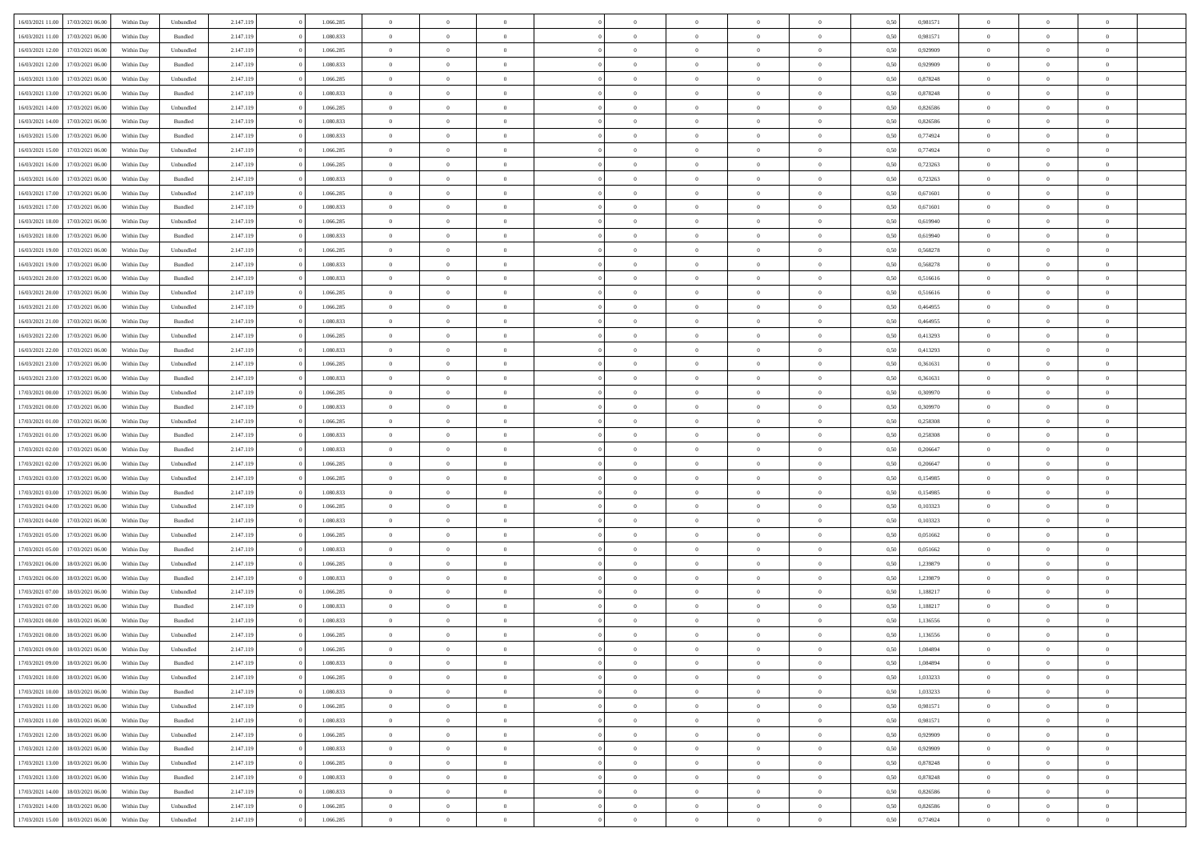| 16/03/2021 11:00 | 17/03/2021 06:00 | Within Day | Unbundled | 2.147.119 | 1.066.285 | $\overline{0}$ | $\theta$       |                | $\Omega$       | $\Omega$       | $\theta$       | $\theta$       | 0.50 | 0,981571 | $\theta$       | $\overline{0}$ | $\overline{0}$ |  |
|------------------|------------------|------------|-----------|-----------|-----------|----------------|----------------|----------------|----------------|----------------|----------------|----------------|------|----------|----------------|----------------|----------------|--|
|                  |                  |            |           |           |           |                |                |                |                |                |                |                |      |          |                |                |                |  |
| 16/03/2021 11:00 | 17/03/2021 06:00 | Within Day | Bundled   | 2.147.119 | 1.080.833 | $\overline{0}$ | $\theta$       | $\overline{0}$ | $\overline{0}$ | $\bf{0}$       | $\overline{0}$ | $\overline{0}$ | 0,50 | 0,981571 | $\theta$       | $\overline{0}$ | $\overline{0}$ |  |
| 16/03/2021 12:00 | 17/03/2021 06:00 | Within Day | Unbundled | 2.147.119 | 1.066.285 | $\overline{0}$ | $\bf{0}$       | $\overline{0}$ | $\overline{0}$ | $\bf{0}$       | $\overline{0}$ | $\bf{0}$       | 0,50 | 0,929909 | $\overline{0}$ | $\overline{0}$ | $\bf{0}$       |  |
| 16/03/2021 12:00 | 17/03/2021 06:00 | Within Dav | Bundled   | 2.147.119 | 1.080.833 | $\overline{0}$ | $\overline{0}$ | $\overline{0}$ | $\overline{0}$ | $\bf{0}$       | $\overline{0}$ | $\overline{0}$ | 0.50 | 0.929909 | $\theta$       | $\theta$       | $\overline{0}$ |  |
|                  |                  |            |           |           |           |                |                |                |                |                |                |                |      |          |                |                |                |  |
| 16/03/2021 13:00 | 17/03/2021 06:00 | Within Day | Unbundled | 2.147.119 | 1.066.285 | $\overline{0}$ | $\theta$       | $\overline{0}$ | $\overline{0}$ | $\bf{0}$       | $\overline{0}$ | $\bf{0}$       | 0,50 | 0,878248 | $\theta$       | $\overline{0}$ | $\overline{0}$ |  |
| 16/03/2021 13:00 | 17/03/2021 06:00 | Within Day | Bundled   | 2.147.119 | 1.080.833 | $\overline{0}$ | $\overline{0}$ | $\overline{0}$ | $\bf{0}$       | $\overline{0}$ | $\overline{0}$ | $\mathbf{0}$   | 0,50 | 0,878248 | $\overline{0}$ | $\overline{0}$ | $\bf{0}$       |  |
| 16/03/2021 14:00 | 17/03/2021 06:00 | Within Dav | Unbundled | 2.147.119 | 1.066.285 | $\overline{0}$ | $\overline{0}$ | $\overline{0}$ | $\overline{0}$ | $\overline{0}$ | $\overline{0}$ | $\overline{0}$ | 0.50 | 0,826586 | $\theta$       | $\overline{0}$ | $\overline{0}$ |  |
| 16/03/2021 14:00 | 17/03/2021 06:00 | Within Day | Bundled   | 2.147.119 | 1.080.833 | $\overline{0}$ | $\theta$       | $\overline{0}$ | $\overline{0}$ | $\bf{0}$       | $\overline{0}$ | $\bf{0}$       | 0,50 | 0,826586 | $\theta$       | $\theta$       | $\overline{0}$ |  |
| 16/03/2021 15:00 | 17/03/2021 06:00 | Within Day | Bundled   | 2.147.119 | 1.080.833 | $\overline{0}$ | $\overline{0}$ | $\overline{0}$ | $\bf{0}$       | $\bf{0}$       | $\bf{0}$       | $\bf{0}$       | 0,50 | 0,774924 | $\,0\,$        | $\overline{0}$ | $\overline{0}$ |  |
|                  |                  |            |           |           |           |                |                |                |                |                |                |                |      |          |                |                |                |  |
| 16/03/2021 15:00 | 17/03/2021 06:00 | Within Dav | Unbundled | 2.147.119 | 1.066.285 | $\overline{0}$ | $\overline{0}$ | $\overline{0}$ | $\overline{0}$ | $\overline{0}$ | $\overline{0}$ | $\overline{0}$ | 0.50 | 0,774924 | $\theta$       | $\overline{0}$ | $\overline{0}$ |  |
| 16/03/2021 16:00 | 17/03/2021 06:00 | Within Day | Unbundled | 2.147.119 | 1.066.285 | $\overline{0}$ | $\theta$       | $\overline{0}$ | $\overline{0}$ | $\bf{0}$       | $\overline{0}$ | $\bf{0}$       | 0,50 | 0,723263 | $\,$ 0 $\,$    | $\overline{0}$ | $\overline{0}$ |  |
| 16/03/2021 16:00 | 17/03/2021 06:00 | Within Day | Bundled   | 2.147.119 | 1.080.833 | $\overline{0}$ | $\bf{0}$       | $\overline{0}$ | $\bf{0}$       | $\bf{0}$       | $\bf{0}$       | $\mathbf{0}$   | 0,50 | 0,723263 | $\overline{0}$ | $\overline{0}$ | $\bf{0}$       |  |
| 16/03/2021 17:00 | 17/03/2021 06:00 | Within Dav | Unbundled | 2.147.119 | 1.066.285 | $\overline{0}$ | $\overline{0}$ | $\overline{0}$ | $\overline{0}$ | $\bf{0}$       | $\overline{0}$ | $\overline{0}$ | 0.50 | 0.671601 | $\theta$       | $\theta$       | $\overline{0}$ |  |
|                  |                  |            |           |           |           | $\overline{0}$ | $\theta$       | $\overline{0}$ | $\overline{0}$ | $\bf{0}$       | $\overline{0}$ | $\overline{0}$ |      |          | $\theta$       | $\overline{0}$ | $\overline{0}$ |  |
| 16/03/2021 17:00 | 17/03/2021 06:00 | Within Day | Bundled   | 2.147.119 | 1.080.833 |                |                |                |                |                |                |                | 0,50 | 0,671601 |                |                |                |  |
| 16/03/2021 18:00 | 17/03/2021 06:00 | Within Day | Unbundled | 2.147.119 | 1.066.285 | $\overline{0}$ | $\overline{0}$ | $\overline{0}$ | $\bf{0}$       | $\overline{0}$ | $\overline{0}$ | $\mathbf{0}$   | 0,50 | 0,619940 | $\overline{0}$ | $\overline{0}$ | $\bf{0}$       |  |
| 16/03/2021 18:00 | 17/03/2021 06:00 | Within Dav | Bundled   | 2.147.119 | 1.080.833 | $\overline{0}$ | $\overline{0}$ | $\overline{0}$ | $\overline{0}$ | $\overline{0}$ | $\overline{0}$ | $\overline{0}$ | 0.50 | 0.619940 | $\theta$       | $\overline{0}$ | $\overline{0}$ |  |
| 16/03/2021 19:00 | 17/03/2021 06:00 | Within Day | Unbundled | 2.147.119 | 1.066.285 | $\overline{0}$ | $\theta$       | $\overline{0}$ | $\overline{0}$ | $\bf{0}$       | $\overline{0}$ | $\bf{0}$       | 0,50 | 0,568278 | $\theta$       | $\theta$       | $\overline{0}$ |  |
| 16/03/2021 19:00 | 17/03/2021 06:00 | Within Day | Bundled   | 2.147.119 | 1.080.833 | $\overline{0}$ | $\overline{0}$ | $\overline{0}$ | $\bf{0}$       | $\bf{0}$       | $\bf{0}$       | $\bf{0}$       | 0,50 | 0,568278 | $\bf{0}$       | $\overline{0}$ | $\overline{0}$ |  |
|                  |                  |            |           |           |           |                |                |                |                |                |                |                |      |          |                |                |                |  |
| 16/03/2021 20:00 | 17/03/2021 06:00 | Within Day | Bundled   | 2.147.119 | 1.080.833 | $\overline{0}$ | $\overline{0}$ | $\overline{0}$ | $\overline{0}$ | $\overline{0}$ | $\overline{0}$ | $\overline{0}$ | 0.50 | 0,516616 | $\theta$       | $\overline{0}$ | $\overline{0}$ |  |
| 16/03/2021 20:00 | 17/03/2021 06:00 | Within Day | Unbundled | 2.147.119 | 1.066.285 | $\overline{0}$ | $\theta$       | $\overline{0}$ | $\overline{0}$ | $\bf{0}$       | $\overline{0}$ | $\bf{0}$       | 0,50 | 0,516616 | $\,$ 0 $\,$    | $\overline{0}$ | $\overline{0}$ |  |
| 16/03/2021 21.00 | 17/03/2021 06:00 | Within Day | Unbundled | 2.147.119 | 1.066.285 | $\overline{0}$ | $\overline{0}$ | $\overline{0}$ | $\bf{0}$       | $\bf{0}$       | $\bf{0}$       | $\bf{0}$       | 0,50 | 0,464955 | $\overline{0}$ | $\overline{0}$ | $\bf{0}$       |  |
| 16/03/2021 21:00 | 17/03/2021 06:00 | Within Day | Bundled   | 2.147.119 | 1.080.833 | $\overline{0}$ | $\overline{0}$ | $\overline{0}$ | $\overline{0}$ | $\bf{0}$       | $\overline{0}$ | $\overline{0}$ | 0.50 | 0.464955 | $\theta$       | $\overline{0}$ | $\overline{0}$ |  |
| 16/03/2021 22:00 | 17/03/2021 06:00 | Within Day | Unbundled | 2.147.119 | 1.066.285 | $\overline{0}$ | $\theta$       | $\overline{0}$ | $\overline{0}$ | $\bf{0}$       | $\overline{0}$ | $\bf{0}$       | 0,50 | 0,413293 | $\,$ 0 $\,$    | $\overline{0}$ | $\overline{0}$ |  |
|                  |                  |            |           |           |           |                |                |                |                |                |                |                |      |          |                |                |                |  |
| 16/03/2021 22:00 | 17/03/2021 06:00 | Within Day | Bundled   | 2.147.119 | 1.080.833 | $\overline{0}$ | $\overline{0}$ | $\overline{0}$ | $\bf{0}$       | $\overline{0}$ | $\overline{0}$ | $\mathbf{0}$   | 0,50 | 0,413293 | $\overline{0}$ | $\overline{0}$ | $\bf{0}$       |  |
| 16/03/2021 23:00 | 17/03/2021 06:00 | Within Dav | Unbundled | 2.147.119 | 1.066.285 | $\overline{0}$ | $\overline{0}$ | $\overline{0}$ | $\overline{0}$ | $\overline{0}$ | $\overline{0}$ | $\overline{0}$ | 0.50 | 0,361631 | $\theta$       | $\overline{0}$ | $\overline{0}$ |  |
| 16/03/2021 23:00 | 17/03/2021 06:00 | Within Day | Bundled   | 2.147.119 | 1.080.833 | $\overline{0}$ | $\theta$       | $\overline{0}$ | $\overline{0}$ | $\bf{0}$       | $\overline{0}$ | $\bf{0}$       | 0,50 | 0,361631 | $\theta$       | $\theta$       | $\overline{0}$ |  |
| 17/03/2021 00:00 | 17/03/2021 06:00 | Within Day | Unbundled | 2.147.119 | 1.066.285 | $\overline{0}$ | $\overline{0}$ | $\overline{0}$ | $\bf{0}$       | $\bf{0}$       | $\overline{0}$ | $\bf{0}$       | 0,50 | 0,309970 | $\,0\,$        | $\overline{0}$ | $\overline{0}$ |  |
|                  | 17/03/2021 06:00 |            | Bundled   | 2.147.119 | 1.080.833 | $\overline{0}$ | $\overline{0}$ | $\overline{0}$ | $\overline{0}$ | $\overline{0}$ | $\overline{0}$ | $\overline{0}$ | 0.50 | 0,309970 | $\theta$       | $\overline{0}$ | $\overline{0}$ |  |
| 17/03/2021 00:00 |                  | Within Day |           |           |           |                |                |                |                |                |                |                |      |          |                |                |                |  |
| 17/03/2021 01:00 | 17/03/2021 06:00 | Within Day | Unbundled | 2.147.119 | 1.066.285 | $\overline{0}$ | $\theta$       | $\overline{0}$ | $\overline{0}$ | $\bf{0}$       | $\overline{0}$ | $\bf{0}$       | 0,50 | 0,258308 | $\,$ 0 $\,$    | $\overline{0}$ | $\overline{0}$ |  |
| 17/03/2021 01:00 | 17/03/2021 06:00 | Within Day | Bundled   | 2.147.119 | 1.080.833 | $\overline{0}$ | $\overline{0}$ | $\overline{0}$ | $\overline{0}$ | $\bf{0}$       | $\overline{0}$ | $\bf{0}$       | 0,50 | 0,258308 | $\overline{0}$ | $\overline{0}$ | $\bf{0}$       |  |
| 17/03/2021 02:00 | 17/03/2021 06:00 | Within Day | Bundled   | 2.147.119 | 1.080.833 | $\overline{0}$ | $\Omega$       | $\Omega$       | $\Omega$       | $\Omega$       | $\overline{0}$ | $\overline{0}$ | 0,50 | 0,206647 | $\,0\,$        | $\theta$       | $\theta$       |  |
| 17/03/2021 02:00 | 17/03/2021 06:00 | Within Day | Unbundled | 2.147.119 | 1.066.285 | $\overline{0}$ | $\theta$       | $\overline{0}$ | $\overline{0}$ | $\bf{0}$       | $\overline{0}$ | $\bf{0}$       | 0,50 | 0,206647 | $\theta$       | $\overline{0}$ | $\overline{0}$ |  |
|                  |                  |            |           |           |           |                |                |                |                |                |                |                |      |          |                |                |                |  |
| 17/03/2021 03:00 | 17/03/2021 06:00 | Within Day | Unbundled | 2.147.119 | 1.066.285 | $\overline{0}$ | $\overline{0}$ | $\overline{0}$ | $\overline{0}$ | $\overline{0}$ | $\overline{0}$ | $\mathbf{0}$   | 0,50 | 0,154985 | $\overline{0}$ | $\overline{0}$ | $\bf{0}$       |  |
| 17/03/2021 03:00 | 17/03/2021 06:00 | Within Day | Bundled   | 2.147.119 | 1.080.833 | $\overline{0}$ | $\Omega$       | $\Omega$       | $\Omega$       | $\bf{0}$       | $\overline{0}$ | $\overline{0}$ | 0.50 | 0,154985 | $\,0\,$        | $\theta$       | $\theta$       |  |
| 17/03/2021 04:00 | 17/03/2021 06:00 | Within Day | Unbundled | 2.147.119 | 1.066.285 | $\overline{0}$ | $\theta$       | $\overline{0}$ | $\overline{0}$ | $\bf{0}$       | $\overline{0}$ | $\bf{0}$       | 0,50 | 0,103323 | $\theta$       | $\overline{0}$ | $\overline{0}$ |  |
| 17/03/2021 04:00 | 17/03/2021 06:00 | Within Day | Bundled   | 2.147.119 | 1.080.833 | $\overline{0}$ | $\overline{0}$ | $\overline{0}$ | $\overline{0}$ | $\bf{0}$       | $\overline{0}$ | $\bf{0}$       | 0,50 | 0,103323 | $\bf{0}$       | $\overline{0}$ | $\bf{0}$       |  |
| 17/03/2021 05:00 | 17/03/2021 06:00 | Within Day | Unbundled | 2.147.119 | 1.066.285 | $\overline{0}$ | $\Omega$       | $\Omega$       | $\Omega$       | $\theta$       | $\theta$       | $\overline{0}$ | 0.50 | 0.051662 | $\theta$       | $\theta$       | $\theta$       |  |
|                  |                  |            |           |           |           |                |                |                |                |                |                |                |      |          |                |                |                |  |
| 17/03/2021 05:00 | 17/03/2021 06:00 | Within Day | Bundled   | 2.147.119 | 1.080.833 | $\overline{0}$ | $\theta$       | $\overline{0}$ | $\overline{0}$ | $\bf{0}$       | $\overline{0}$ | $\bf{0}$       | 0,50 | 0,051662 | $\,$ 0 $\,$    | $\overline{0}$ | $\overline{0}$ |  |
| 17/03/2021 06:00 | 18/03/2021 06:00 | Within Day | Unbundled | 2.147.119 | 1.066.285 | $\overline{0}$ | $\bf{0}$       | $\overline{0}$ | $\overline{0}$ | $\bf{0}$       | $\overline{0}$ | $\bf{0}$       | 0,50 | 1,239879 | $\overline{0}$ | $\overline{0}$ | $\bf{0}$       |  |
| 17/03/2021 06:00 | 18/03/2021 06:00 | Within Day | Bundled   | 2.147.119 | 1.080.833 | $\overline{0}$ | $\Omega$       | $\Omega$       | $\Omega$       | $\overline{0}$ | $\overline{0}$ | $\overline{0}$ | 0.50 | 1,239879 | $\,0\,$        | $\theta$       | $\theta$       |  |
| 17/03/2021 07:00 | 18/03/2021 06:00 | Within Day | Unbundled | 2.147.119 | 1.066.285 | $\overline{0}$ | $\overline{0}$ | $\overline{0}$ | $\overline{0}$ | $\bf{0}$       | $\overline{0}$ | $\bf{0}$       | 0,50 | 1,188217 | $\,$ 0 $\,$    | $\overline{0}$ | $\overline{0}$ |  |
| 17/03/2021 07:00 | 18/03/2021 06:00 | Within Day | Bundled   | 2.147.119 | 1.080.833 | $\overline{0}$ | $\overline{0}$ | $\overline{0}$ | $\overline{0}$ | $\bf{0}$       | $\overline{0}$ | $\mathbf{0}$   | 0,50 | 1,188217 | $\overline{0}$ | $\overline{0}$ | $\bf{0}$       |  |
|                  |                  |            |           |           |           |                |                |                |                |                |                |                |      |          |                |                |                |  |
| 17/03/2021 08:00 | 18/03/2021 06:00 | Within Day | Bundled   | 2.147.119 | 1.080.833 | $\overline{0}$ | $\Omega$       | $\Omega$       | $\Omega$       | $\Omega$       | $\Omega$       | $\overline{0}$ | 0.50 | 1,136556 | $\theta$       | $\theta$       | $\theta$       |  |
| 17/03/2021 08:00 | 18/03/2021 06:00 | Within Day | Unbundled | 2.147.119 | 1.066.285 | $\overline{0}$ | $\overline{0}$ | $\bf{0}$       | $\bf{0}$       | $\,$ 0         | $\overline{0}$ | $\bf{0}$       | 0,50 | 1,136556 | $\,0\,$        | $\,$ 0 $\,$    | $\overline{0}$ |  |
| 17/03/2021 09:00 | 18/03/2021 06:00 | Within Day | Unbundled | 2.147.119 | 1.066.285 | $\bf{0}$       | $\bf{0}$       |                |                | $\bf{0}$       |                |                | 0,50 | 1,084894 | $\bf{0}$       | $\overline{0}$ |                |  |
| 17/03/2021 09:00 | 18/03/2021 06:00 | Within Day | Bundled   | 2.147.119 | 1.080.833 | $\overline{0}$ | $\overline{0}$ | $\overline{0}$ | $\Omega$       | $\overline{0}$ | $\overline{0}$ | $\overline{0}$ | 0.50 | 1.084894 | $\theta$       | $\theta$       | $\theta$       |  |
| 17/03/2021 10:00 | 18/03/2021 06:00 | Within Day | Unbundled | 2.147.119 | 1.066.285 | $\overline{0}$ | $\,$ 0         | $\overline{0}$ | $\overline{0}$ | $\,$ 0 $\,$    | $\overline{0}$ | $\mathbf{0}$   | 0,50 | 1,033233 | $\,$ 0 $\,$    | $\,$ 0 $\,$    | $\,$ 0         |  |
|                  |                  |            |           |           |           |                |                |                |                |                |                |                |      |          |                |                |                |  |
| 17/03/2021 10:00 | 18/03/2021 06:00 | Within Day | Bundled   | 2.147.119 | 1.080.833 | $\overline{0}$ | $\overline{0}$ | $\overline{0}$ | $\overline{0}$ | $\overline{0}$ | $\overline{0}$ | $\mathbf{0}$   | 0,50 | 1,033233 | $\overline{0}$ | $\bf{0}$       | $\bf{0}$       |  |
| 17/03/2021 11:00 | 18/03/2021 06:00 | Within Day | Unbundled | 2.147.119 | 1.066.285 | $\overline{0}$ | $\overline{0}$ | $\overline{0}$ | $\Omega$       | $\overline{0}$ | $\overline{0}$ | $\bf{0}$       | 0,50 | 0,981571 | $\overline{0}$ | $\theta$       | $\overline{0}$ |  |
| 17/03/2021 11:00 | 18/03/2021 06:00 | Within Day | Bundled   | 2.147.119 | 1.080.833 | $\overline{0}$ | $\,$ 0         | $\overline{0}$ | $\overline{0}$ | $\,$ 0 $\,$    | $\overline{0}$ | $\bf{0}$       | 0,50 | 0,981571 | $\,$ 0 $\,$    | $\overline{0}$ | $\overline{0}$ |  |
| 17/03/2021 12:00 | 18/03/2021 06:00 | Within Day | Unbundled | 2.147.119 | 1.066.285 | $\overline{0}$ | $\overline{0}$ | $\overline{0}$ | $\overline{0}$ | $\overline{0}$ | $\overline{0}$ | $\mathbf{0}$   | 0,50 | 0,929909 | $\overline{0}$ | $\overline{0}$ | $\bf{0}$       |  |
|                  | 18/03/2021 06:00 |            |           |           | 1.080.833 |                | $\overline{0}$ | $\overline{0}$ | $\Omega$       | $\overline{0}$ | $\overline{0}$ |                | 0.50 |          |                | $\theta$       | $\overline{0}$ |  |
| 17/03/2021 12:00 |                  | Within Day | Bundled   | 2.147.119 |           | $\overline{0}$ |                |                |                |                |                | $\bf{0}$       |      | 0,929909 | $\overline{0}$ |                |                |  |
| 17/03/2021 13:00 | 18/03/2021 06:00 | Within Day | Unbundled | 2.147.119 | 1.066.285 | $\overline{0}$ | $\,$ 0         | $\overline{0}$ | $\overline{0}$ | $\bf{0}$       | $\overline{0}$ | $\bf{0}$       | 0,50 | 0,878248 | $\,$ 0 $\,$    | $\overline{0}$ | $\overline{0}$ |  |
| 17/03/2021 13:00 | 18/03/2021 06:00 | Within Day | Bundled   | 2.147.119 | 1.080.833 | $\overline{0}$ | $\bf{0}$       | $\overline{0}$ | $\overline{0}$ | $\overline{0}$ | $\overline{0}$ | $\mathbf{0}$   | 0,50 | 0,878248 | $\overline{0}$ | $\overline{0}$ | $\bf{0}$       |  |
| 17/03/2021 14:00 | 18/03/2021 06:00 | Within Day | Bundled   | 2.147.119 | 1.080.833 | $\overline{0}$ | $\overline{0}$ | $\overline{0}$ | $\Omega$       | $\overline{0}$ | $\overline{0}$ | $\bf{0}$       | 0.50 | 0,826586 | $\overline{0}$ | $\theta$       | $\overline{0}$ |  |
| 17/03/2021 14:00 | 18/03/2021 06:00 | Within Day | Unbundled | 2.147.119 | 1.066.285 | $\overline{0}$ | $\bf{0}$       | $\overline{0}$ | $\overline{0}$ | $\bf{0}$       | $\overline{0}$ | $\mathbf{0}$   | 0,50 | 0,826586 | $\,$ 0 $\,$    | $\,$ 0 $\,$    | $\bf{0}$       |  |
|                  |                  |            |           |           |           |                |                |                |                |                |                |                |      |          |                |                |                |  |
| 17/03/2021 15:00 | 18/03/2021 06:00 | Within Day | Unbundled | 2.147.119 | 1.066.285 | $\overline{0}$ | $\overline{0}$ | $\overline{0}$ | $\overline{0}$ | $\bf{0}$       | $\overline{0}$ | $\mathbf{0}$   | 0,50 | 0,774924 | $\overline{0}$ | $\bf{0}$       | $\bf{0}$       |  |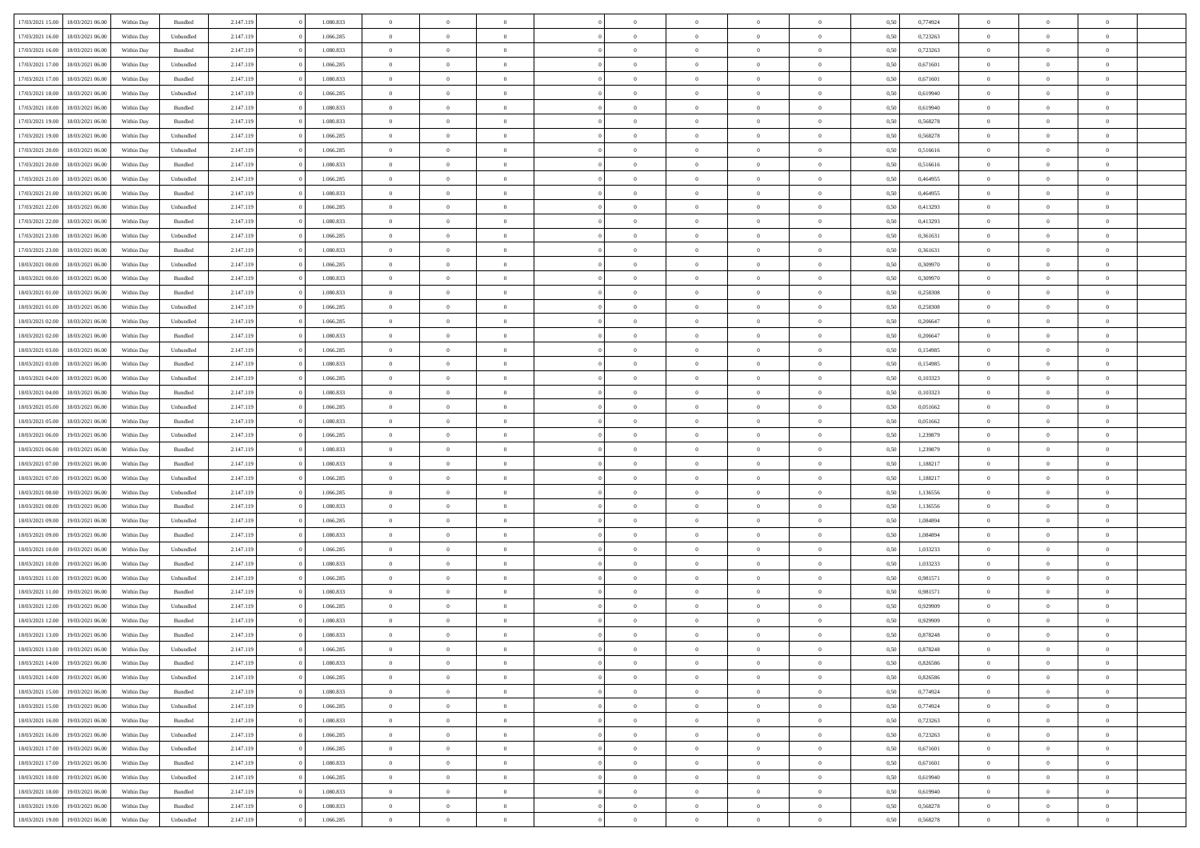| 17/03/2021 15:00                  | 18/03/2021 06:00 | Within Day | Bundled   | 2.147.119 | 1.080.833 | $\overline{0}$ | $\theta$       |                | $\overline{0}$ | $\bf{0}$       | $\overline{0}$ | $\theta$       | 0,50 | 0,774924 | $\theta$       | $\theta$       | $\overline{0}$           |  |
|-----------------------------------|------------------|------------|-----------|-----------|-----------|----------------|----------------|----------------|----------------|----------------|----------------|----------------|------|----------|----------------|----------------|--------------------------|--|
| 17/03/2021 16:00                  | 18/03/2021 06:00 | Within Day | Unbundled | 2.147.119 | 1.066.285 | $\overline{0}$ | $\overline{0}$ | $\overline{0}$ | $\overline{0}$ | $\,$ 0         | $\overline{0}$ | $\bf{0}$       | 0,50 | 0,723263 | $\,$ 0 $\,$    | $\overline{0}$ | $\overline{0}$           |  |
|                                   |                  |            |           |           |           |                |                |                |                |                |                |                |      |          |                |                |                          |  |
| 17/03/2021 16:00                  | 18/03/2021 06:00 | Within Day | Bundled   | 2.147.119 | 1.080.833 | $\overline{0}$ | $\overline{0}$ | $\overline{0}$ | $\overline{0}$ | $\bf{0}$       | $\overline{0}$ | $\mathbf{0}$   | 0.50 | 0,723263 | $\bf{0}$       | $\overline{0}$ | $\overline{0}$           |  |
| 17/03/2021 17:00                  | 18/03/2021 06:00 | Within Day | Unbundled | 2.147.119 | 1.066.285 | $\overline{0}$ | $\overline{0}$ | $\overline{0}$ | $\overline{0}$ | $\,$ 0         | $\overline{0}$ | $\overline{0}$ | 0,50 | 0,671601 | $\,$ 0 $\,$    | $\overline{0}$ | $\overline{0}$           |  |
| 17/03/2021 17:00                  | 18/03/2021 06:00 | Within Day | Bundled   | 2.147.119 | 1.080.833 | $\overline{0}$ | $\theta$       | $\overline{0}$ | $\overline{0}$ | $\overline{0}$ | $\overline{0}$ | $\bf{0}$       | 0,50 | 0,671601 | $\,$ 0 $\,$    | $\overline{0}$ | $\overline{0}$           |  |
| 17/03/2021 18:00                  | 18/03/2021 06:00 | Within Day | Unbundled | 2.147.119 | 1.066.285 | $\overline{0}$ | $\overline{0}$ | $\overline{0}$ | $\overline{0}$ | $\bf{0}$       | $\overline{0}$ | $\bf{0}$       | 0.50 | 0.619940 | $\,0\,$        | $\theta$       | $\overline{0}$           |  |
| 17/03/2021 18:00                  | 18/03/2021 06:00 | Within Day | Bundled   | 2.147.119 | 1.080.833 | $\overline{0}$ | $\overline{0}$ | $\overline{0}$ | $\overline{0}$ | $\,$ 0         | $\overline{0}$ | $\overline{0}$ | 0,50 | 0,619940 | $\,$ 0 $\,$    | $\theta$       | $\overline{0}$           |  |
| 17/03/2021 19:00                  | 18/03/2021 06:00 | Within Day | Bundled   | 2.147.119 | 1.080.833 | $\overline{0}$ | $\theta$       | $\overline{0}$ | $\overline{0}$ | $\,$ 0         | $\overline{0}$ | $\bf{0}$       | 0,50 | 0,568278 | $\,$ 0 $\,$    | $\overline{0}$ | $\overline{0}$           |  |
| 17/03/2021 19:00                  | 18/03/2021 06:00 | Within Day | Unbundled | 2.147.119 | 1.066.285 | $\overline{0}$ | $\overline{0}$ | $\overline{0}$ | $\overline{0}$ | $\bf{0}$       | $\overline{0}$ | $\bf{0}$       | 0.50 | 0.568278 | $\,0\,$        | $\overline{0}$ | $\overline{0}$           |  |
| 17/03/2021 20:00                  | 18/03/2021 06:00 | Within Day | Unbundled | 2.147.119 | 1.066.285 | $\overline{0}$ | $\overline{0}$ | $\overline{0}$ | $\overline{0}$ | $\,$ 0         | $\overline{0}$ | $\bf{0}$       | 0,50 | 0,516616 | $\,$ 0 $\,$    | $\overline{0}$ | $\overline{0}$           |  |
| 17/03/2021 20:00                  | 18/03/2021 06:00 | Within Day | Bundled   | 2.147.119 | 1.080.833 | $\overline{0}$ | $\theta$       | $\overline{0}$ | $\overline{0}$ | $\,$ 0         | $\overline{0}$ | $\bf{0}$       | 0,50 | 0,516616 | $\,$ 0 $\,$    | $\overline{0}$ | $\overline{0}$           |  |
| 17/03/2021 21:00                  | 18/03/2021 06:00 | Within Day | Unbundled | 2.147.119 | 1.066.285 | $\overline{0}$ | $\overline{0}$ | $\overline{0}$ | $\overline{0}$ | $\bf{0}$       | $\overline{0}$ | $\mathbf{0}$   | 0.50 | 0.464955 | $\bf{0}$       | $\overline{0}$ | $\overline{\phantom{a}}$ |  |
|                                   |                  |            |           |           |           | $\overline{0}$ | $\overline{0}$ | $\overline{0}$ | $\overline{0}$ |                | $\overline{0}$ | $\overline{0}$ |      |          | $\,$ 0 $\,$    | $\overline{0}$ | $\overline{0}$           |  |
| 17/03/2021 21:00                  | 18/03/2021 06:00 | Within Day | Bundled   | 2.147.119 | 1.080.833 |                |                |                |                | $\,$ 0         |                |                | 0,50 | 0,464955 |                |                |                          |  |
| 17/03/2021 22:00                  | 18/03/2021 06:00 | Within Day | Unbundled | 2.147.119 | 1.066.285 | $\overline{0}$ | $\theta$       | $\overline{0}$ | $\overline{0}$ | $\overline{0}$ | $\overline{0}$ | $\bf{0}$       | 0,50 | 0,413293 | $\,$ 0 $\,$    | $\overline{0}$ | $\overline{0}$           |  |
| 17/03/2021 22:00                  | 18/03/2021 06:00 | Within Day | Bundled   | 2.147.119 | 1.080.833 | $\overline{0}$ | $\overline{0}$ | $\overline{0}$ | $\overline{0}$ | $\bf{0}$       | $\overline{0}$ | $\bf{0}$       | 0.50 | 0.413293 | $\theta$       | $\theta$       | $\overline{0}$           |  |
| 17/03/2021 23:00                  | 18/03/2021 06:00 | Within Day | Unbundled | 2.147.119 | 1.066.285 | $\overline{0}$ | $\overline{0}$ | $\overline{0}$ | $\overline{0}$ | $\,$ 0         | $\overline{0}$ | $\bf{0}$       | 0,50 | 0,361631 | $\,$ 0 $\,$    | $\theta$       | $\overline{0}$           |  |
| 17/03/2021 23:00                  | 18/03/2021 06:00 | Within Day | Bundled   | 2.147.119 | 1.080.833 | $\overline{0}$ | $\theta$       | $\overline{0}$ | $\overline{0}$ | $\bf{0}$       | $\overline{0}$ | $\bf{0}$       | 0,50 | 0,361631 | $\,$ 0 $\,$    | $\overline{0}$ | $\overline{0}$           |  |
| 18/03/2021 00:00                  | 18/03/2021 06:00 | Within Day | Unbundled | 2.147.119 | 1.066.285 | $\overline{0}$ | $\overline{0}$ | $\overline{0}$ | $\overline{0}$ | $\bf{0}$       | $\overline{0}$ | $\bf{0}$       | 0.50 | 0.309970 | $\,0\,$        | $\overline{0}$ | $\overline{\phantom{a}}$ |  |
| 18/03/2021 00:00                  | 18/03/2021 06:00 | Within Day | Bundled   | 2.147.119 | 1.080.833 | $\overline{0}$ | $\overline{0}$ | $\overline{0}$ | $\overline{0}$ | $\bf{0}$       | $\overline{0}$ | $\bf{0}$       | 0,50 | 0,309970 | $\,$ 0 $\,$    | $\overline{0}$ | $\overline{0}$           |  |
| 18/03/2021 01:00                  | 18/03/2021 06:00 | Within Day | Bundled   | 2.147.119 | 1.080.833 | $\overline{0}$ | $\theta$       | $\overline{0}$ | $\overline{0}$ | $\,$ 0         | $\bf{0}$       | $\bf{0}$       | 0,50 | 0,258308 | $\,$ 0 $\,$    | $\overline{0}$ | $\overline{0}$           |  |
| 18/03/2021 01:00                  | 18/03/2021 06:00 | Within Day | Unbundled | 2.147.119 | 1.066.285 | $\overline{0}$ | $\overline{0}$ | $\overline{0}$ | $\overline{0}$ | $\bf{0}$       | $\overline{0}$ | $\mathbf{0}$   | 0.50 | 0,258308 | $\bf{0}$       | $\overline{0}$ | $\overline{\phantom{a}}$ |  |
| 18/03/2021 02:00                  | 18/03/2021 06:00 | Within Day | Unbundled | 2.147.119 | 1.066.285 | $\overline{0}$ | $\overline{0}$ | $\overline{0}$ | $\overline{0}$ | $\bf{0}$       | $\overline{0}$ | $\overline{0}$ | 0,50 | 0,206647 | $\,$ 0 $\,$    | $\overline{0}$ | $\overline{0}$           |  |
|                                   | 18/03/2021 06:00 | Within Day | Bundled   | 2.147.119 | 1.080.833 | $\overline{0}$ | $\theta$       | $\overline{0}$ | $\overline{0}$ | $\,$ 0         | $\overline{0}$ | $\bf{0}$       | 0,50 | 0,206647 | $\,$ 0 $\,$    | $\overline{0}$ | $\overline{0}$           |  |
| 18/03/2021 02:00                  |                  |            |           |           |           |                |                |                |                |                |                |                |      |          |                |                |                          |  |
| 18/03/2021 03:00                  | 18/03/2021 06:00 | Within Day | Unbundled | 2.147.119 | 1.066.285 | $\overline{0}$ | $\overline{0}$ | $\overline{0}$ | $\overline{0}$ | $\bf{0}$       | $\overline{0}$ | $\bf{0}$       | 0.50 | 0,154985 | $\,0\,$        | $\theta$       | $\overline{0}$           |  |
| 18/03/2021 03:00                  | 18/03/2021 06:00 | Within Day | Bundled   | 2.147.119 | 1.080.833 | $\overline{0}$ | $\overline{0}$ | $\overline{0}$ | $\overline{0}$ | $\,$ 0         | $\overline{0}$ | $\overline{0}$ | 0,50 | 0,154985 | $\,0\,$        | $\theta$       | $\overline{0}$           |  |
| 18/03/2021 04:00                  | 18/03/2021 06:00 | Within Day | Unbundled | 2.147.119 | 1.066.285 | $\overline{0}$ | $\theta$       | $\overline{0}$ |                | $\bf{0}$       | $\overline{0}$ | $\bf{0}$       | 0,50 | 0,103323 | $\,$ 0 $\,$    | $\overline{0}$ | $\overline{0}$           |  |
| 18/03/2021 04:00                  | 18/03/2021 06:00 | Within Day | Bundled   | 2.147.119 | 1.080.833 | $\overline{0}$ | $\overline{0}$ | $\overline{0}$ | $\overline{0}$ | $\bf{0}$       | $\overline{0}$ | $\bf{0}$       | 0.50 | 0.103323 | $\,0\,$        | $\overline{0}$ | $\overline{0}$           |  |
| 18/03/2021 05:00                  | 18/03/2021 06:00 | Within Day | Unbundled | 2.147.119 | 1.066.285 | $\overline{0}$ | $\overline{0}$ | $\overline{0}$ | $\overline{0}$ | $\bf{0}$       | $\overline{0}$ | $\bf{0}$       | 0,50 | 0,051662 | $\,$ 0 $\,$    | $\overline{0}$ | $\overline{0}$           |  |
| 18/03/2021 05:00                  | 18/03/2021 06:00 | Within Day | Bundled   | 2.147.119 | 1.080.833 | $\overline{0}$ | $\theta$       | $\overline{0}$ | $\overline{0}$ | $\bf{0}$       | $\bf{0}$       | $\bf{0}$       | 0,50 | 0,051662 | $\,$ 0 $\,$    | $\overline{0}$ | $\overline{0}$           |  |
| 18/03/2021 06:00                  | 19/03/2021 06:00 | Within Day | Unbundled | 2.147.119 | 1.066.285 | $\overline{0}$ | $\overline{0}$ | $\overline{0}$ | $\overline{0}$ | $\bf{0}$       | $\overline{0}$ | $\mathbf{0}$   | 0.50 | 1,239879 | $\bf{0}$       | $\overline{0}$ | $\overline{\phantom{a}}$ |  |
| 18/03/2021 06:00                  | 19/03/2021 06:00 | Within Dav | Bundled   | 2.147.119 | 1.080.833 | $\overline{0}$ | $\overline{0}$ | $\overline{0}$ | $\overline{0}$ | $\bf{0}$       | $\overline{0}$ | $\overline{0}$ | 0.50 | 1,239879 | $\theta$       | $\overline{0}$ | $\overline{0}$           |  |
| 18/03/2021 07:00                  | 19/03/2021 06.00 | Within Day | Bundled   | 2.147.119 | 1.080.833 | $\overline{0}$ | $\theta$       | $\overline{0}$ | $\overline{0}$ | $\,$ 0         | $\overline{0}$ | $\bf{0}$       | 0,50 | 1,188217 | $\,$ 0 $\,$    | $\overline{0}$ | $\overline{0}$           |  |
| 18/03/2021 07:00                  | 19/03/2021 06:00 | Within Day | Unbundled | 2.147.119 | 1.066.285 | $\overline{0}$ | $\overline{0}$ | $\overline{0}$ | $\overline{0}$ | $\,$ 0         | $\overline{0}$ | $\bf{0}$       | 0.50 | 1.188217 | $\,0\,$        | $\theta$       | $\overline{0}$           |  |
| 18/03/2021 08:00                  | 19/03/2021 06:00 | Within Dav | Unbundled | 2.147.119 | 1.066.285 | $\overline{0}$ | $\theta$       | $\Omega$       | $\overline{0}$ | $\bf{0}$       | $\overline{0}$ | $\overline{0}$ | 0.50 | 1,136556 | $\theta$       | $\overline{0}$ | $\overline{0}$           |  |
|                                   |                  |            |           |           |           | $\overline{0}$ | $\theta$       | $\overline{0}$ |                |                |                |                |      |          |                |                | $\overline{0}$           |  |
| 18/03/2021 08:00                  | 19/03/2021 06.00 | Within Day | Bundled   | 2.147.119 | 1.080.833 |                |                |                | $\overline{0}$ | $\,$ 0         | $\overline{0}$ | $\bf{0}$       | 0,50 | 1,136556 | $\,$ 0 $\,$    | $\overline{0}$ |                          |  |
| 18/03/2021 09:00                  | 19/03/2021 06:00 | Within Day | Unbundled | 2.147.119 | 1.066.285 | $\overline{0}$ | $\overline{0}$ | $\overline{0}$ | $\overline{0}$ | $\bf{0}$       | $\overline{0}$ | $\bf{0}$       | 0.50 | 1.084894 | $\,0\,$        | $\overline{0}$ | $\overline{0}$           |  |
| 18/03/2021 09:00                  | 19/03/2021 06:00 | Within Dav | Bundled   | 2.147.119 | 1.080.833 | $\overline{0}$ | $\overline{0}$ | $\overline{0}$ | $\overline{0}$ | $\overline{0}$ | $\overline{0}$ | $\overline{0}$ | 0.50 | 1,084894 | $\theta$       | $\overline{0}$ | $\overline{0}$           |  |
| 18/03/2021 10:00                  | 19/03/2021 06.00 | Within Day | Unbundled | 2.147.119 | 1.066.285 | $\overline{0}$ | $\overline{0}$ | $\overline{0}$ | $\overline{0}$ | $\bf{0}$       | $\overline{0}$ | $\bf{0}$       | 0,50 | 1,033233 | $\,$ 0 $\,$    | $\overline{0}$ | $\overline{0}$           |  |
| 18/03/2021 10:00                  | 19/03/2021 06:00 | Within Day | Bundled   | 2.147.119 | 1.080.833 | $\overline{0}$ | $\overline{0}$ | $\overline{0}$ | $\overline{0}$ | $\bf{0}$       | $\overline{0}$ | $\mathbf{0}$   | 0.50 | 1.033233 | $\bf{0}$       | $\overline{0}$ | $\overline{0}$           |  |
| 18/03/2021 11:00                  | 19/03/2021 06:00 | Within Dav | Unbundled | 2.147.119 | 1.066.285 | $\overline{0}$ | $\overline{0}$ | $\Omega$       | $\overline{0}$ | $\mathbf{0}$   | $\overline{0}$ | $\overline{0}$ | 0.50 | 0.981571 | $\theta$       | $\overline{0}$ | $\overline{0}$           |  |
| 18/03/2021 11:00                  | 19/03/2021 06.00 | Within Day | Bundled   | 2.147.119 | 1.080.833 | $\overline{0}$ | $\theta$       | $\overline{0}$ | $\overline{0}$ | $\,$ 0         | $\overline{0}$ | $\bf{0}$       | 0,50 | 0,981571 | $\,$ 0 $\,$    | $\overline{0}$ | $\overline{0}$           |  |
| 18/03/2021 12:00                  | 19/03/2021 06:00 | Within Day | Unbundled | 2.147.119 | 1.066.285 | $\overline{0}$ | $\theta$       | $\overline{0}$ | $\overline{0}$ | $\bf{0}$       | $\Omega$       | $\overline{0}$ | 0.50 | 0,929909 | $\,0\,$        | $\theta$       | $\overline{0}$           |  |
| 18/03/2021 12:00                  | 19/03/2021 06:00 | Within Dav | Bundled   | 2.147.119 | 1.080.833 | $\overline{0}$ | $\Omega$       | $\Omega$       | $\Omega$       | $\bf{0}$       | $\overline{0}$ | $\overline{0}$ | 0.50 | 0,929909 | $\theta$       | $\theta$       | $\overline{0}$           |  |
| 18/03/2021 13:00                  | 19/03/2021 06:00 | Within Day | Bundled   | 2.147.119 | 1.080.833 | $\overline{0}$ | $\,$ 0 $\,$    | $\overline{0}$ | $\overline{0}$ | $\,$ 0         | $\overline{0}$ | $\bf{0}$       | 0,50 | 0,878248 | $\,$ 0 $\,$    | $\overline{0}$ | $\overline{0}$           |  |
| 18/03/2021 13:00                  | 19/03/2021 06:00 | Within Day | Unbundled | 2.147.119 | 1.066.285 | $\bf{0}$       | $\theta$       |                |                |                |                |                | 0,50 | 0,878248 | $\bf{0}$       | $\theta$       |                          |  |
|                                   |                  |            |           |           |           |                | $\overline{0}$ |                |                | $\overline{0}$ |                |                |      |          | $\theta$       | $\overline{0}$ | $\overline{0}$           |  |
| 18/03/2021 14:00                  | 19/03/2021 06:00 | Within Day | Bundled   | 2.147.119 | 1.080.833 | $\overline{0}$ |                | $\overline{0}$ | $\overline{0}$ |                | $\overline{0}$ | $\overline{0}$ | 0,50 | 0,826586 |                |                |                          |  |
| 18/03/2021 14:00                  | 19/03/2021 06:00 | Within Day | Unbundled | 2.147.119 | 1.066.285 | $\overline{0}$ | $\overline{0}$ | $\overline{0}$ | $\overline{0}$ | $\overline{0}$ | $\overline{0}$ | $\bf{0}$       | 0,50 | 0,826586 | $\bf{0}$       | $\overline{0}$ | $\bf{0}$                 |  |
| 18/03/2021 15:00                  | 19/03/2021 06:00 | Within Day | Bundled   | 2.147.119 | 1.080.833 | $\overline{0}$ | $\overline{0}$ | $\overline{0}$ | $\overline{0}$ | $\overline{0}$ | $\overline{0}$ | $\mathbf{0}$   | 0.50 | 0,774924 | $\overline{0}$ | $\bf{0}$       | $\bf{0}$                 |  |
| 18/03/2021 15:00                  | 19/03/2021 06:00 | Within Day | Unbundled | 2.147.119 | 1.066.285 | $\overline{0}$ | $\overline{0}$ | $\overline{0}$ | $\overline{0}$ | $\overline{0}$ | $\overline{0}$ | $\overline{0}$ | 0,50 | 0,774924 | $\overline{0}$ | $\theta$       | $\overline{0}$           |  |
| 18/03/2021 16:00                  | 19/03/2021 06:00 | Within Day | Bundled   | 2.147.119 | 1.080.833 | $\overline{0}$ | $\overline{0}$ | $\overline{0}$ | $\overline{0}$ | $\bf{0}$       | $\overline{0}$ | $\bf{0}$       | 0,50 | 0,723263 | $\bf{0}$       | $\overline{0}$ | $\overline{0}$           |  |
| 18/03/2021 16:00                  | 19/03/2021 06:00 | Within Day | Unbundled | 2.147.119 | 1.066.285 | $\overline{0}$ | $\overline{0}$ | $\overline{0}$ | $\overline{0}$ | $\bf{0}$       | $\overline{0}$ | $\mathbf{0}$   | 0.50 | 0,723263 | $\,$ 0 $\,$    | $\overline{0}$ | $\overline{0}$           |  |
| 18/03/2021 17:00                  | 19/03/2021 06:00 | Within Day | Unbundled | 2.147.119 | 1.066.285 | $\overline{0}$ | $\overline{0}$ | $\overline{0}$ | $\overline{0}$ | $\overline{0}$ | $\overline{0}$ | $\overline{0}$ | 0,50 | 0,671601 | $\overline{0}$ | $\theta$       | $\overline{0}$           |  |
| 18/03/2021 17:00                  | 19/03/2021 06:00 | Within Day | Bundled   | 2.147.119 | 1.080.833 | $\overline{0}$ | $\,$ 0         | $\overline{0}$ | $\bf{0}$       | $\,$ 0 $\,$    | $\overline{0}$ | $\bf{0}$       | 0,50 | 0,671601 | $\,$ 0 $\,$    | $\overline{0}$ | $\overline{0}$           |  |
| 18/03/2021 18:00                  | 19/03/2021 06:00 | Within Day | Unbundled | 2.147.119 | 1.066.285 | $\overline{0}$ | $\overline{0}$ | $\overline{0}$ | $\overline{0}$ | $\bf{0}$       | $\overline{0}$ | $\mathbf{0}$   | 0.50 | 0.619940 | $\mathbf{0}$   | $\bf{0}$       | $\overline{0}$           |  |
| 18/03/2021 18:00                  | 19/03/2021 06:00 | Within Dav | Bundled   | 2.147.119 | 1.080.833 | $\overline{0}$ | $\overline{0}$ | $\overline{0}$ | $\overline{0}$ | $\overline{0}$ | $\overline{0}$ | $\overline{0}$ | 0,50 | 0,619940 | $\overline{0}$ | $\overline{0}$ | $\overline{0}$           |  |
| 18/03/2021 19:00                  | 19/03/2021 06:00 | Within Day | Bundled   | 2.147.119 | 1.080.833 | $\overline{0}$ | $\overline{0}$ | $\overline{0}$ | $\bf{0}$       | $\bf{0}$       | $\bf{0}$       | $\bf{0}$       | 0,50 | 0,568278 | $\bf{0}$       | $\overline{0}$ | $\bf{0}$                 |  |
|                                   |                  |            |           |           |           |                |                |                |                |                |                |                |      |          |                |                |                          |  |
| 18/03/2021 19:00 19/03/2021 06:00 |                  | Within Day | Unbundled | 2.147.119 | 1.066.285 | $\,$ 0 $\,$    | $\,$ 0 $\,$    | $\overline{0}$ | $\overline{0}$ | $\,$ 0 $\,$    | $\,$ 0 $\,$    | $\,$ 0 $\,$    | 0,50 | 0,568278 | $\mathbf{0}^-$ | $\,$ 0 $\,$    | $\,$ 0 $\,$              |  |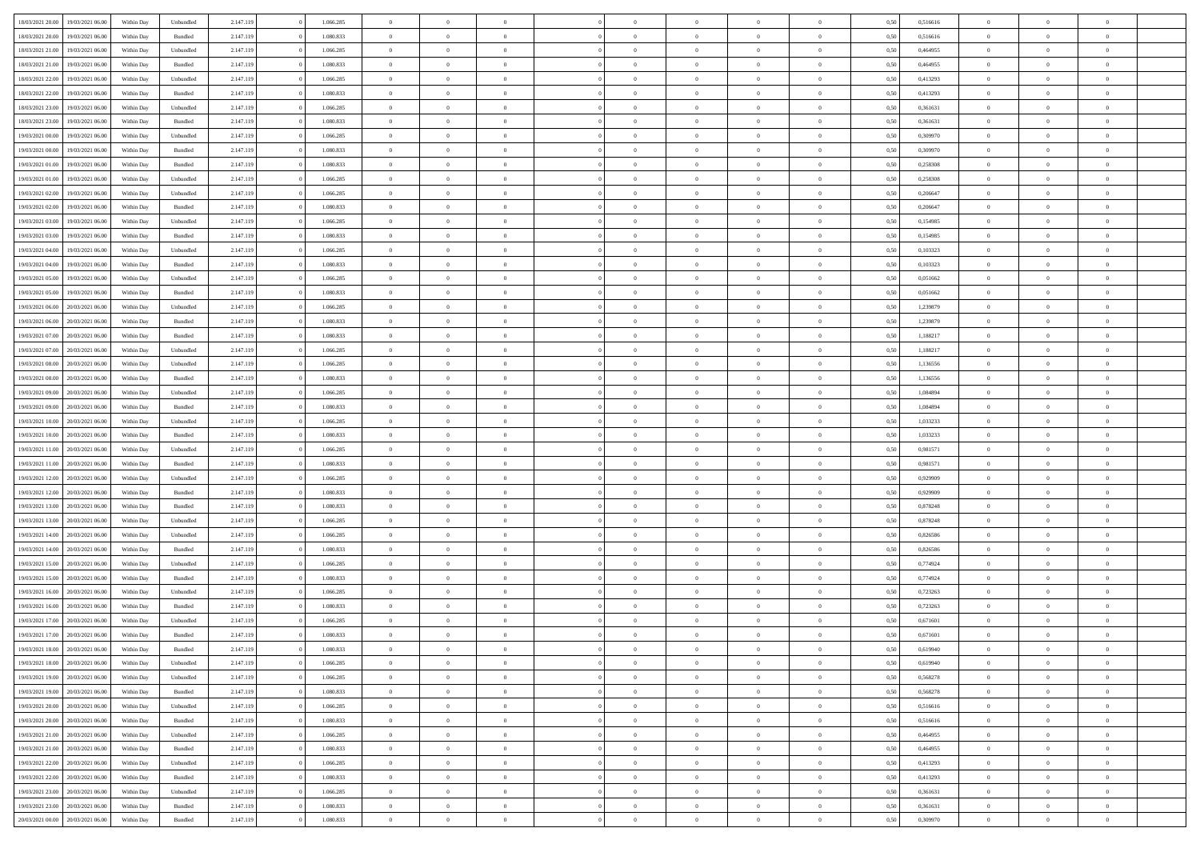| 18/03/2021 20:00 | 19/03/2021 06:00 | Within Dav | Unbundled          | 2.147.119 | 1.066.285 | $\overline{0}$ | $\Omega$       |                | $\Omega$       | $\Omega$       | $\Omega$       | $\theta$       | 0,50 | 0,516616 | $\theta$       | $\theta$       | $\theta$       |  |
|------------------|------------------|------------|--------------------|-----------|-----------|----------------|----------------|----------------|----------------|----------------|----------------|----------------|------|----------|----------------|----------------|----------------|--|
|                  |                  |            |                    |           |           |                |                |                |                |                |                |                |      |          |                |                |                |  |
| 18/03/2021 20:00 | 19/03/2021 06:00 | Within Day | Bundled            | 2.147.119 | 1.080.833 | $\overline{0}$ | $\theta$       | $\overline{0}$ | $\overline{0}$ | $\bf{0}$       | $\overline{0}$ | $\overline{0}$ | 0,50 | 0,516616 | $\theta$       | $\overline{0}$ | $\overline{0}$ |  |
| 18/03/2021 21:00 | 19/03/2021 06:00 | Within Day | Unbundled          | 2.147.119 | 1.066.285 | $\overline{0}$ | $\overline{0}$ | $\overline{0}$ | $\bf{0}$       | $\bf{0}$       | $\bf{0}$       | $\bf{0}$       | 0,50 | 0,464955 | $\bf{0}$       | $\overline{0}$ | $\overline{0}$ |  |
| 18/03/2021 21:00 | 19/03/2021 06:00 | Within Dav | Bundled            | 2.147.119 | 1.080.833 | $\overline{0}$ | $\overline{0}$ | $\overline{0}$ | $\overline{0}$ | $\bf{0}$       | $\overline{0}$ | $\overline{0}$ | 0.50 | 0.464955 | $\theta$       | $\theta$       | $\overline{0}$ |  |
|                  |                  |            |                    |           |           |                |                |                |                |                |                |                |      |          |                |                |                |  |
| 18/03/2021 22:00 | 19/03/2021 06:00 | Within Day | Unbundled          | 2.147.119 | 1.066.285 | $\overline{0}$ | $\theta$       | $\overline{0}$ | $\overline{0}$ | $\bf{0}$       | $\overline{0}$ | $\bf{0}$       | 0,50 | 0,413293 | $\theta$       | $\theta$       | $\overline{0}$ |  |
| 18/03/2021 22:00 | 19/03/2021 06:00 | Within Day | Bundled            | 2.147.119 | 1.080.833 | $\overline{0}$ | $\bf{0}$       | $\overline{0}$ | $\bf{0}$       | $\overline{0}$ | $\overline{0}$ | $\mathbf{0}$   | 0,50 | 0,413293 | $\bf{0}$       | $\overline{0}$ | $\bf{0}$       |  |
| 18/03/2021 23:00 | 19/03/2021 06:00 | Within Dav | Unbundled          | 2.147.119 | 1.066.285 | $\overline{0}$ | $\overline{0}$ | $\overline{0}$ | $\overline{0}$ | $\overline{0}$ | $\overline{0}$ | $\overline{0}$ | 0.50 | 0,361631 | $\theta$       | $\overline{0}$ | $\overline{0}$ |  |
| 18/03/2021 23:00 | 19/03/2021 06:00 | Within Day | Bundled            | 2.147.119 | 1.080.833 | $\overline{0}$ | $\theta$       | $\overline{0}$ | $\overline{0}$ | $\bf{0}$       | $\overline{0}$ | $\bf{0}$       | 0,50 | 0,361631 | $\theta$       | $\theta$       | $\overline{0}$ |  |
|                  |                  |            |                    |           |           |                | $\overline{0}$ |                |                | $\bf{0}$       |                |                |      |          | $\,0\,$        | $\overline{0}$ | $\overline{0}$ |  |
| 19/03/2021 00:00 | 19/03/2021 06:00 | Within Day | Unbundled          | 2.147.119 | 1.066.285 | $\overline{0}$ |                | $\overline{0}$ | $\bf{0}$       |                | $\overline{0}$ | $\bf{0}$       | 0,50 | 0,309970 |                |                |                |  |
| 19/03/2021 00:00 | 19/03/2021 06:00 | Within Dav | Bundled            | 2.147.119 | 1.080.833 | $\overline{0}$ | $\overline{0}$ | $\overline{0}$ | $\overline{0}$ | $\overline{0}$ | $\overline{0}$ | $\overline{0}$ | 0.50 | 0,309970 | $\theta$       | $\overline{0}$ | $\overline{0}$ |  |
| 19/03/2021 01:00 | 19/03/2021 06:00 | Within Day | Bundled            | 2.147.119 | 1.080.833 | $\overline{0}$ | $\theta$       | $\overline{0}$ | $\overline{0}$ | $\bf{0}$       | $\overline{0}$ | $\bf{0}$       | 0,50 | 0,258308 | $\,$ 0 $\,$    | $\theta$       | $\overline{0}$ |  |
| 19/03/2021 01:00 | 19/03/2021 06:00 | Within Day | Unbundled          | 2.147.119 | 1.066.285 | $\overline{0}$ | $\overline{0}$ | $\overline{0}$ | $\overline{0}$ | $\bf{0}$       | $\overline{0}$ | $\bf{0}$       | 0,50 | 0,258308 | $\bf{0}$       | $\overline{0}$ | $\overline{0}$ |  |
| 19/03/2021 02:00 | 19/03/2021 06:00 | Within Day | Unbundled          | 2.147.119 | 1.066.285 | $\overline{0}$ | $\overline{0}$ | $\overline{0}$ | $\overline{0}$ | $\bf{0}$       | $\overline{0}$ | $\overline{0}$ | 0.50 | 0.206647 | $\theta$       | $\theta$       | $\overline{0}$ |  |
|                  |                  |            |                    |           |           | $\overline{0}$ | $\theta$       | $\overline{0}$ | $\overline{0}$ | $\bf{0}$       | $\overline{0}$ | $\overline{0}$ |      |          | $\theta$       | $\theta$       | $\overline{0}$ |  |
| 19/03/2021 02:00 | 19/03/2021 06:00 | Within Day | Bundled            | 2.147.119 | 1.080.833 |                |                |                |                |                |                |                | 0,50 | 0,206647 |                |                |                |  |
| 19/03/2021 03:00 | 19/03/2021 06:00 | Within Day | Unbundled          | 2.147.119 | 1.066.285 | $\overline{0}$ | $\bf{0}$       | $\overline{0}$ | $\overline{0}$ | $\overline{0}$ | $\overline{0}$ | $\mathbf{0}$   | 0,50 | 0,154985 | $\bf{0}$       | $\overline{0}$ | $\bf{0}$       |  |
| 19/03/2021 03:00 | 19/03/2021 06:00 | Within Dav | Bundled            | 2.147.119 | 1.080.833 | $\overline{0}$ | $\overline{0}$ | $\overline{0}$ | $\overline{0}$ | $\overline{0}$ | $\overline{0}$ | $\overline{0}$ | 0.50 | 0,154985 | $\theta$       | $\overline{0}$ | $\overline{0}$ |  |
| 19/03/2021 04:00 | 19/03/2021 06:00 | Within Day | Unbundled          | 2.147.119 | 1.066.285 | $\overline{0}$ | $\theta$       | $\overline{0}$ | $\overline{0}$ | $\bf{0}$       | $\overline{0}$ | $\bf{0}$       | 0,50 | 0,103323 | $\theta$       | $\theta$       | $\overline{0}$ |  |
| 19/03/2021 04:00 | 19/03/2021 06:00 | Within Day | Bundled            | 2.147.119 | 1.080.833 | $\overline{0}$ | $\overline{0}$ | $\overline{0}$ | $\overline{0}$ | $\bf{0}$       | $\overline{0}$ | $\bf{0}$       | 0,50 | 0,103323 | $\,0\,$        | $\overline{0}$ | $\overline{0}$ |  |
|                  |                  |            |                    |           |           |                |                |                |                |                |                |                |      |          |                |                |                |  |
| 19/03/2021 05:00 | 19/03/2021 06:00 | Within Day | Unbundled          | 2.147.119 | 1.066.285 | $\overline{0}$ | $\overline{0}$ | $\overline{0}$ | $\overline{0}$ | $\overline{0}$ | $\overline{0}$ | $\overline{0}$ | 0.50 | 0,051662 | $\theta$       | $\overline{0}$ | $\overline{0}$ |  |
| 19/03/2021 05:00 | 19/03/2021 06:00 | Within Day | Bundled            | 2.147.119 | 1.080.833 | $\overline{0}$ | $\theta$       | $\overline{0}$ | $\overline{0}$ | $\bf{0}$       | $\overline{0}$ | $\bf{0}$       | 0,50 | 0,051662 | $\theta$       | $\theta$       | $\overline{0}$ |  |
| 19/03/2021 06:00 | 20/03/2021 06:00 | Within Day | Unbundled          | 2.147.119 | 1.066.285 | $\overline{0}$ | $\overline{0}$ | $\overline{0}$ | $\overline{0}$ | $\bf{0}$       | $\overline{0}$ | $\bf{0}$       | 0,50 | 1,239879 | $\,0\,$        | $\overline{0}$ | $\overline{0}$ |  |
| 19/03/2021 06:00 | 20/03/2021 06:00 | Within Day | Bundled            | 2.147.119 | 1.080.833 | $\overline{0}$ | $\overline{0}$ | $\overline{0}$ | $\overline{0}$ | $\bf{0}$       | $\overline{0}$ | $\overline{0}$ | 0.50 | 1,239879 | $\theta$       | $\theta$       | $\overline{0}$ |  |
| 19/03/2021 07:00 | 20/03/2021 06:00 | Within Day | Bundled            | 2.147.119 | 1.080.833 | $\overline{0}$ | $\theta$       | $\overline{0}$ | $\overline{0}$ | $\bf{0}$       | $\overline{0}$ | $\bf{0}$       | 0,50 | 1,188217 | $\,$ 0 $\,$    | $\overline{0}$ | $\overline{0}$ |  |
|                  |                  |            |                    |           |           |                |                |                |                |                |                |                |      |          |                |                |                |  |
| 19/03/2021 07:00 | 20/03/2021 06:00 | Within Day | Unbundled          | 2.147.119 | 1.066.285 | $\overline{0}$ | $\bf{0}$       | $\overline{0}$ | $\overline{0}$ | $\overline{0}$ | $\overline{0}$ | $\mathbf{0}$   | 0,50 | 1,188217 | $\overline{0}$ | $\overline{0}$ | $\bf{0}$       |  |
| 19/03/2021 08:00 | 20/03/2021 06:00 | Within Dav | Unbundled          | 2.147.119 | 1.066.285 | $\overline{0}$ | $\overline{0}$ | $\overline{0}$ | $\overline{0}$ | $\overline{0}$ | $\overline{0}$ | $\overline{0}$ | 0.50 | 1,136556 | $\theta$       | $\overline{0}$ | $\overline{0}$ |  |
| 19/03/2021 08:00 | 20/03/2021 06:00 | Within Day | Bundled            | 2.147.119 | 1.080.833 | $\overline{0}$ | $\theta$       | $\overline{0}$ | $\overline{0}$ | $\bf{0}$       | $\overline{0}$ | $\bf{0}$       | 0,50 | 1,136556 | $\theta$       | $\theta$       | $\overline{0}$ |  |
| 19/03/2021 09:00 | 20/03/2021 06:00 | Within Day | Unbundled          | 2.147.119 | 1.066.285 | $\overline{0}$ | $\overline{0}$ | $\overline{0}$ | $\overline{0}$ | $\bf{0}$       | $\overline{0}$ | $\bf{0}$       | 0,50 | 1,084894 | $\,0\,$        | $\overline{0}$ | $\overline{0}$ |  |
|                  | 20/03/2021 06:00 |            | Bundled            |           | 1.080.833 | $\overline{0}$ | $\overline{0}$ | $\overline{0}$ | $\overline{0}$ | $\overline{0}$ | $\overline{0}$ | $\overline{0}$ | 0.50 | 1.084894 | $\theta$       | $\overline{0}$ | $\overline{0}$ |  |
| 19/03/2021 09:00 |                  | Within Day |                    | 2.147.119 |           |                |                |                |                |                |                |                |      |          |                |                |                |  |
| 19/03/2021 10:00 | 20/03/2021 06:00 | Within Day | Unbundled          | 2.147.119 | 1.066.285 | $\overline{0}$ | $\theta$       | $\overline{0}$ | $\overline{0}$ | $\bf{0}$       | $\overline{0}$ | $\bf{0}$       | 0,50 | 1,033233 | $\,$ 0 $\,$    | $\overline{0}$ | $\overline{0}$ |  |
| 19/03/2021 10:00 | 20/03/2021 06:00 | Within Day | Bundled            | 2.147.119 | 1.080.833 | $\overline{0}$ | $\overline{0}$ | $\overline{0}$ | $\overline{0}$ | $\bf{0}$       | $\overline{0}$ | $\bf{0}$       | 0,50 | 1,033233 | $\overline{0}$ | $\overline{0}$ | $\overline{0}$ |  |
| 19/03/2021 11:00 | 20/03/2021 06:00 | Within Day | Unbundled          | 2.147.119 | 1.066.285 | $\overline{0}$ | $\Omega$       | $\Omega$       | $\Omega$       | $\Omega$       | $\Omega$       | $\overline{0}$ | 0,50 | 0,981571 | $\,0\,$        | $\theta$       | $\theta$       |  |
| 19/03/2021 11:00 | 20/03/2021 06:00 | Within Day | Bundled            | 2.147.119 | 1.080.833 | $\overline{0}$ | $\theta$       | $\overline{0}$ | $\overline{0}$ | $\bf{0}$       | $\overline{0}$ | $\bf{0}$       | 0,50 | 0,981571 | $\theta$       | $\theta$       | $\overline{0}$ |  |
|                  |                  |            |                    |           |           |                |                |                |                |                |                |                |      |          |                |                |                |  |
| 19/03/2021 12:00 | 20/03/2021 06:00 | Within Day | Unbundled          | 2.147.119 | 1.066.285 | $\overline{0}$ | $\overline{0}$ | $\overline{0}$ | $\overline{0}$ | $\bf{0}$       | $\overline{0}$ | $\mathbf{0}$   | 0,50 | 0,929909 | $\overline{0}$ | $\overline{0}$ | $\bf{0}$       |  |
| 19/03/2021 12:00 | 20/03/2021 06:00 | Within Day | Bundled            | 2.147.119 | 1.080.833 | $\overline{0}$ | $\Omega$       | $\Omega$       | $\Omega$       | $\bf{0}$       | $\overline{0}$ | $\overline{0}$ | 0.50 | 0,929909 | $\theta$       | $\theta$       | $\theta$       |  |
| 19/03/2021 13:00 | 20/03/2021 06:00 | Within Day | Bundled            | 2.147.119 | 1.080.833 | $\overline{0}$ | $\theta$       | $\overline{0}$ | $\overline{0}$ | $\bf{0}$       | $\overline{0}$ | $\bf{0}$       | 0,50 | 0,878248 | $\theta$       | $\theta$       | $\overline{0}$ |  |
| 19/03/2021 13:00 | 20/03/2021 06:00 | Within Day | Unbundled          | 2.147.119 | 1.066.285 | $\overline{0}$ | $\overline{0}$ | $\overline{0}$ | $\overline{0}$ | $\bf{0}$       | $\overline{0}$ | $\bf{0}$       | 0,50 | 0,878248 | $\,0\,$        | $\overline{0}$ | $\overline{0}$ |  |
| 19/03/2021 14:00 | 20/03/2021 06:00 | Within Day | Unbundled          | 2.147.119 | 1.066.285 | $\overline{0}$ | $\Omega$       | $\Omega$       | $\Omega$       | $\theta$       | $\theta$       | $\overline{0}$ | 0.50 | 0.826586 | $\theta$       | $\theta$       | $\theta$       |  |
|                  |                  |            |                    |           |           |                |                |                |                |                |                |                |      |          |                |                |                |  |
| 19/03/2021 14:00 | 20/03/2021 06:00 | Within Day | Bundled            | 2.147.119 | 1.080.833 | $\overline{0}$ | $\theta$       | $\overline{0}$ | $\overline{0}$ | $\bf{0}$       | $\overline{0}$ | $\bf{0}$       | 0,50 | 0,826586 | $\,$ 0 $\,$    | $\overline{0}$ | $\overline{0}$ |  |
| 19/03/2021 15:00 | 20/03/2021 06:00 | Within Day | Unbundled          | 2.147.119 | 1.066.285 | $\overline{0}$ | $\overline{0}$ | $\overline{0}$ | $\bf{0}$       | $\bf{0}$       | $\bf{0}$       | $\bf{0}$       | 0,50 | 0,774924 | $\bf{0}$       | $\overline{0}$ | $\overline{0}$ |  |
| 19/03/2021 15:00 | 20/03/2021 06:00 | Within Day | Bundled            | 2.147.119 | 1.080.833 | $\overline{0}$ | $\Omega$       | $\Omega$       | $\Omega$       | $\Omega$       | $\overline{0}$ | $\overline{0}$ | 0.50 | 0,774924 | $\,0\,$        | $\theta$       | $\theta$       |  |
| 19/03/2021 16:00 | 20/03/2021 06:00 | Within Day | Unbundled          | 2.147.119 | 1.066.285 | $\overline{0}$ | $\theta$       | $\overline{0}$ | $\overline{0}$ | $\bf{0}$       | $\overline{0}$ | $\bf{0}$       | 0,50 | 0,723263 | $\,$ 0 $\,$    | $\overline{0}$ | $\overline{0}$ |  |
| 19/03/2021 16:00 | 20/03/2021 06:00 | Within Day | Bundled            | 2.147.119 | 1.080.833 | $\overline{0}$ | $\overline{0}$ | $\overline{0}$ | $\bf{0}$       | $\bf{0}$       | $\bf{0}$       | $\mathbf{0}$   | 0,50 | 0,723263 | $\bf{0}$       | $\overline{0}$ | $\bf{0}$       |  |
|                  |                  |            |                    |           |           |                |                |                |                |                |                |                |      |          |                |                |                |  |
| 19/03/2021 17:00 | 20/03/2021 06:00 | Within Day | Unbundled          | 2.147.119 | 1.066.285 | $\overline{0}$ | $\Omega$       | $\Omega$       | $\Omega$       | $\Omega$       | $\Omega$       | $\overline{0}$ | 0.50 | 0.671601 | $\theta$       | $\theta$       | $\theta$       |  |
| 19/03/2021 17:00 | 20/03/2021 06:00 | Within Day | Bundled            | 2.147.119 | 1.080.833 | $\overline{0}$ | $\overline{0}$ | $\overline{0}$ | $\bf{0}$       | $\,$ 0         | $\bf{0}$       | $\bf{0}$       | 0,50 | 0,671601 | $\,0\,$        | $\overline{0}$ | $\overline{0}$ |  |
| 19/03/2021 18:00 | 20/03/2021 06:00 | Within Day | $\mathbf B$ undled | 2.147.119 | 1.080.833 | $\bf{0}$       | $\bf{0}$       |                |                | $\bf{0}$       |                |                | 0,50 | 0,619940 | $\bf{0}$       | $\overline{0}$ |                |  |
| 19/03/2021 18:00 | 20/03/2021 06:00 | Within Day | Unbundled          | 2.147.119 | 1.066.285 | $\overline{0}$ | $\overline{0}$ | $\overline{0}$ | $\Omega$       | $\overline{0}$ | $\overline{0}$ | $\overline{0}$ | 0.50 | 0.619940 | $\theta$       | $\theta$       | $\theta$       |  |
| 19/03/2021 19:00 | 20/03/2021 06:00 | Within Day | Unbundled          | 2.147.119 | 1.066.285 | $\overline{0}$ | $\,$ 0         | $\overline{0}$ | $\bf{0}$       | $\,$ 0 $\,$    | $\overline{0}$ | $\mathbf{0}$   | 0,50 | 0,568278 | $\,$ 0 $\,$    | $\,$ 0 $\,$    | $\,$ 0         |  |
|                  |                  |            |                    |           |           |                |                |                |                |                |                |                |      |          |                |                |                |  |
| 19/03/2021 19:00 | 20/03/2021 06:00 | Within Day | Bundled            | 2.147.119 | 1.080.833 | $\overline{0}$ | $\overline{0}$ | $\overline{0}$ | $\overline{0}$ | $\overline{0}$ | $\overline{0}$ | $\mathbf{0}$   | 0,50 | 0,568278 | $\overline{0}$ | $\bf{0}$       | $\bf{0}$       |  |
| 19/03/2021 20:00 | 20/03/2021 06:00 | Within Day | Unbundled          | 2.147.119 | 1.066.285 | $\overline{0}$ | $\overline{0}$ | $\overline{0}$ | $\Omega$       | $\overline{0}$ | $\overline{0}$ | $\bf{0}$       | 0,50 | 0,516616 | $\overline{0}$ | $\theta$       | $\overline{0}$ |  |
| 19/03/2021 20:00 | 20/03/2021 06:00 | Within Day | Bundled            | 2.147.119 | 1.080.833 | $\overline{0}$ | $\,$ 0         | $\overline{0}$ | $\overline{0}$ | $\,$ 0 $\,$    | $\overline{0}$ | $\bf{0}$       | 0,50 | 0,516616 | $\,$ 0 $\,$    | $\overline{0}$ | $\overline{0}$ |  |
| 19/03/2021 21:00 | 20/03/2021 06:00 | Within Day | Unbundled          | 2.147.119 | 1.066.285 | $\overline{0}$ | $\overline{0}$ | $\overline{0}$ | $\overline{0}$ | $\overline{0}$ | $\overline{0}$ | $\mathbf{0}$   | 0,50 | 0,464955 | $\overline{0}$ | $\overline{0}$ | $\bf{0}$       |  |
| 19/03/2021 21:00 | 20/03/2021 06:00 | Within Day | Bundled            | 2.147.119 | 1.080.833 | $\overline{0}$ | $\overline{0}$ | $\overline{0}$ | $\Omega$       | $\overline{0}$ | $\overline{0}$ | $\bf{0}$       | 0.50 | 0.464955 | $\overline{0}$ | $\theta$       | $\overline{0}$ |  |
|                  |                  |            |                    |           |           |                |                |                |                |                |                |                |      |          |                |                |                |  |
| 19/03/2021 22.00 | 20/03/2021 06:00 | Within Day | Unbundled          | 2.147.119 | 1.066.285 | $\overline{0}$ | $\,$ 0         | $\overline{0}$ | $\bf{0}$       | $\bf{0}$       | $\bf{0}$       | $\bf{0}$       | 0,50 | 0,413293 | $\,$ 0 $\,$    | $\overline{0}$ | $\overline{0}$ |  |
| 19/03/2021 22:00 | 20/03/2021 06:00 | Within Day | Bundled            | 2.147.119 | 1.080.833 | $\overline{0}$ | $\bf{0}$       | $\overline{0}$ | $\overline{0}$ | $\overline{0}$ | $\overline{0}$ | $\mathbf{0}$   | 0,50 | 0,413293 | $\overline{0}$ | $\overline{0}$ | $\bf{0}$       |  |
| 19/03/2021 23:00 | 20/03/2021 06:00 | Within Day | Unbundled          | 2.147.119 | 1.066.285 | $\overline{0}$ | $\overline{0}$ | $\overline{0}$ | $\Omega$       | $\overline{0}$ | $\overline{0}$ | $\bf{0}$       | 0.50 | 0,361631 | $\overline{0}$ | $\theta$       | $\overline{0}$ |  |
| 19/03/2021 23:00 | 20/03/2021 06:00 | Within Day | Bundled            | 2.147.119 | 1.080.833 | $\overline{0}$ | $\bf{0}$       | $\overline{0}$ | $\overline{0}$ | $\bf{0}$       | $\bf{0}$       | $\mathbf{0}$   | 0,50 | 0,361631 | $\,$ 0 $\,$    | $\,$ 0 $\,$    | $\bf{0}$       |  |
|                  |                  |            |                    |           |           |                |                |                |                |                |                |                |      |          |                |                |                |  |
| 20/03/2021 00:00 | 20/03/2021 06:00 | Within Day | Bundled            | 2.147.119 | 1.080.833 | $\overline{0}$ | $\overline{0}$ | $\overline{0}$ | $\overline{0}$ | $\bf{0}$       | $\bf{0}$       | $\mathbf{0}$   | 0,50 | 0,309970 | $\overline{0}$ | $\bf{0}$       | $\bf{0}$       |  |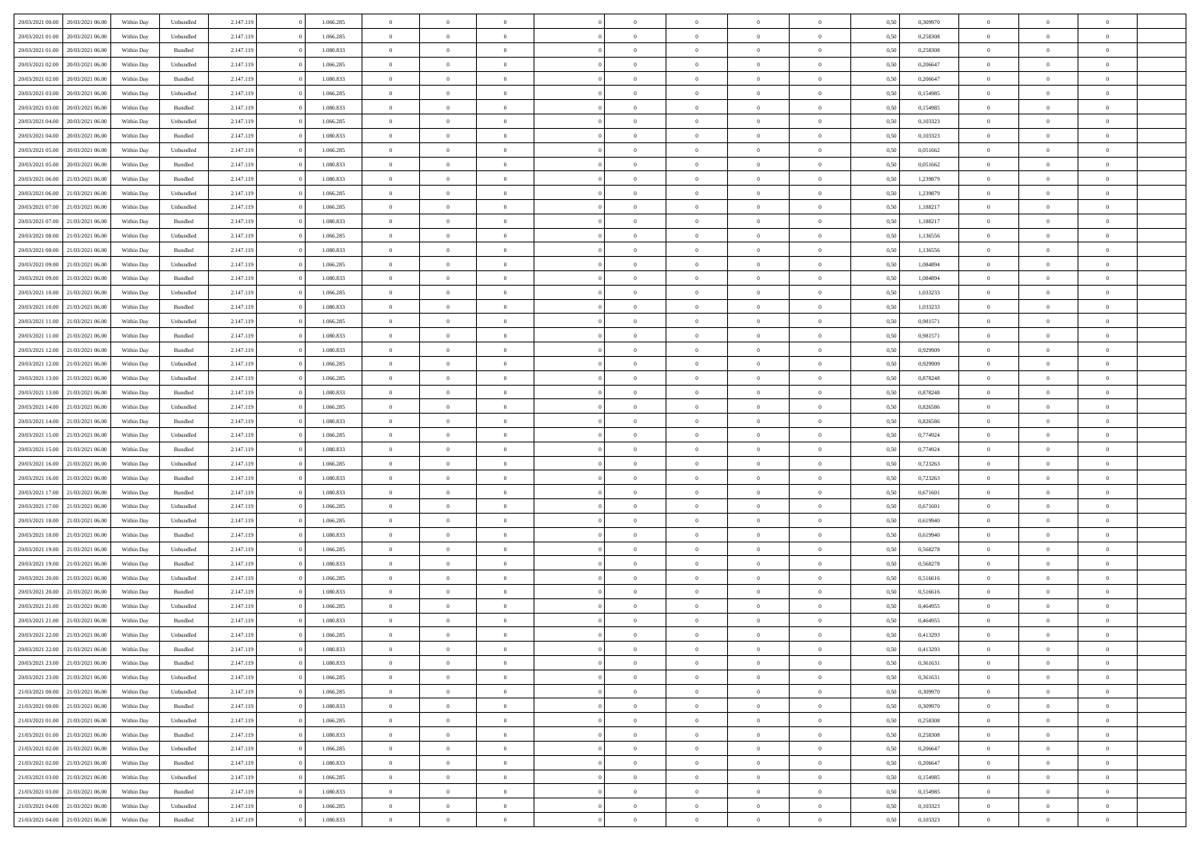| 20/03/2021 00:00                  | 20/03/2021 06:00 | Within Dav | Unbundled          | 2.147.119 | 1.066.285 | $\overline{0}$ | $\theta$       |                | $\Omega$       | $\Omega$       | $\theta$       | $\theta$       | 0.50 | 0,309970 | $\theta$       | $\overline{0}$ | $\theta$       |  |
|-----------------------------------|------------------|------------|--------------------|-----------|-----------|----------------|----------------|----------------|----------------|----------------|----------------|----------------|------|----------|----------------|----------------|----------------|--|
|                                   |                  |            |                    |           |           |                |                |                |                |                |                |                |      |          |                |                |                |  |
| 20/03/2021 01:00                  | 20/03/2021 06:00 | Within Day | Unbundled          | 2.147.119 | 1.066.285 | $\overline{0}$ | $\theta$       | $\overline{0}$ | $\overline{0}$ | $\bf{0}$       | $\overline{0}$ | $\overline{0}$ | 0,50 | 0,258308 | $\theta$       | $\overline{0}$ | $\overline{0}$ |  |
| 20/03/2021 01:00                  | 20/03/2021 06:00 | Within Day | Bundled            | 2.147.119 | 1.080.833 | $\overline{0}$ | $\bf{0}$       | $\overline{0}$ | $\bf{0}$       | $\bf{0}$       | $\bf{0}$       | $\mathbf{0}$   | 0,50 | 0,258308 | $\bf{0}$       | $\overline{0}$ | $\bf{0}$       |  |
| 20/03/2021 02:00                  | 20/03/2021 06:00 | Within Dav | Unbundled          | 2.147.119 | 1.066.285 | $\overline{0}$ | $\overline{0}$ | $\overline{0}$ | $\overline{0}$ | $\bf{0}$       | $\overline{0}$ | $\overline{0}$ | 0.50 | 0.206647 | $\theta$       | $\theta$       | $\overline{0}$ |  |
| 20/03/2021 02:00                  | 20/03/2021 06:00 | Within Day | Bundled            | 2.147.119 | 1.080.833 | $\overline{0}$ | $\theta$       | $\overline{0}$ | $\overline{0}$ | $\bf{0}$       | $\overline{0}$ | $\bf{0}$       | 0,50 | 0,206647 | $\theta$       | $\overline{0}$ | $\overline{0}$ |  |
| 20/03/2021 03:00                  | 20/03/2021 06:00 | Within Day | Unbundled          | 2.147.119 | 1.066.285 | $\overline{0}$ | $\overline{0}$ | $\overline{0}$ | $\bf{0}$       | $\overline{0}$ | $\overline{0}$ | $\mathbf{0}$   | 0,50 | 0,154985 | $\bf{0}$       | $\overline{0}$ | $\bf{0}$       |  |
| 20/03/2021 03:00                  | 20/03/2021 06:00 | Within Dav | Bundled            | 2.147.119 | 1.080.833 | $\overline{0}$ | $\overline{0}$ | $\overline{0}$ | $\overline{0}$ | $\overline{0}$ | $\overline{0}$ | $\overline{0}$ | 0.50 | 0,154985 | $\theta$       | $\overline{0}$ | $\overline{0}$ |  |
|                                   |                  |            |                    |           |           |                |                |                |                |                |                |                |      |          |                |                |                |  |
| 20/03/2021 04:00                  | 20/03/2021 06:00 | Within Day | Unbundled          | 2.147.119 | 1.066.285 | $\overline{0}$ | $\theta$       | $\overline{0}$ | $\overline{0}$ | $\bf{0}$       | $\overline{0}$ | $\bf{0}$       | 0,50 | 0,103323 | $\theta$       | $\theta$       | $\overline{0}$ |  |
| 20/03/2021 04:00                  | 20/03/2021 06:00 | Within Day | Bundled            | 2.147.119 | 1.080.833 | $\overline{0}$ | $\overline{0}$ | $\overline{0}$ | $\bf{0}$       | $\bf{0}$       | $\bf{0}$       | $\bf{0}$       | 0,50 | 0,103323 | $\,0\,$        | $\overline{0}$ | $\overline{0}$ |  |
| 20/03/2021 05:00                  | 20/03/2021 06:00 | Within Dav | Unbundled          | 2.147.119 | 1.066.285 | $\overline{0}$ | $\overline{0}$ | $\overline{0}$ | $\overline{0}$ | $\overline{0}$ | $\overline{0}$ | $\overline{0}$ | 0.50 | 0,051662 | $\theta$       | $\overline{0}$ | $\overline{0}$ |  |
| 20/03/2021 05:00                  | 20/03/2021 06:00 | Within Day | Bundled            | 2.147.119 | 1.080.833 | $\overline{0}$ | $\theta$       | $\overline{0}$ | $\overline{0}$ | $\bf{0}$       | $\overline{0}$ | $\bf{0}$       | 0,50 | 0,051662 | $\,$ 0 $\,$    | $\overline{0}$ | $\overline{0}$ |  |
| 20/03/2021 06:00                  | 21/03/2021 06:00 | Within Day | Bundled            | 2.147.119 | 1.080.833 | $\overline{0}$ | $\bf{0}$       | $\overline{0}$ | $\bf{0}$       | $\bf{0}$       | $\bf{0}$       | $\bf{0}$       | 0,50 | 1,239879 | $\overline{0}$ | $\overline{0}$ | $\bf{0}$       |  |
| 20/03/2021 06:00                  | 21/03/2021 06:00 | Within Dav | Unbundled          | 2.147.119 | 1.066.285 | $\overline{0}$ | $\overline{0}$ | $\overline{0}$ | $\overline{0}$ | $\bf{0}$       | $\overline{0}$ | $\overline{0}$ | 0.50 | 1,239879 | $\theta$       | $\theta$       | $\overline{0}$ |  |
| 20/03/2021 07:00                  | 21/03/2021 06:00 | Within Day | Unbundled          | 2.147.119 | 1.066.285 | $\overline{0}$ | $\theta$       | $\overline{0}$ | $\overline{0}$ | $\bf{0}$       | $\overline{0}$ | $\overline{0}$ | 0,50 | 1,188217 | $\theta$       | $\overline{0}$ | $\overline{0}$ |  |
|                                   |                  |            |                    |           |           |                |                |                |                |                |                |                |      |          |                |                |                |  |
| 20/03/2021 07:00                  | 21/03/2021 06:00 | Within Day | Bundled            | 2.147.119 | 1.080.833 | $\overline{0}$ | $\overline{0}$ | $\overline{0}$ | $\bf{0}$       | $\overline{0}$ | $\overline{0}$ | $\mathbf{0}$   | 0,50 | 1,188217 | $\overline{0}$ | $\overline{0}$ | $\bf{0}$       |  |
| 20/03/2021 08:00                  | 21/03/2021 06:00 | Within Dav | Unbundled          | 2.147.119 | 1.066.285 | $\overline{0}$ | $\overline{0}$ | $\overline{0}$ | $\overline{0}$ | $\overline{0}$ | $\overline{0}$ | $\overline{0}$ | 0.50 | 1,136556 | $\theta$       | $\overline{0}$ | $\overline{0}$ |  |
| 20/03/2021 08:00                  | 21/03/2021 06:00 | Within Day | Bundled            | 2.147.119 | 1.080.833 | $\overline{0}$ | $\theta$       | $\overline{0}$ | $\overline{0}$ | $\bf{0}$       | $\overline{0}$ | $\bf{0}$       | 0,50 | 1,136556 | $\theta$       | $\theta$       | $\overline{0}$ |  |
| 20/03/2021 09:00                  | 21/03/2021 06:00 | Within Day | Unbundled          | 2.147.119 | 1.066.285 | $\overline{0}$ | $\overline{0}$ | $\overline{0}$ | $\bf{0}$       | $\bf{0}$       | $\bf{0}$       | $\bf{0}$       | 0,50 | 1,084894 | $\bf{0}$       | $\overline{0}$ | $\overline{0}$ |  |
| 20/03/2021 09:00                  | 21/03/2021 06:00 | Within Dav | Bundled            | 2.147.119 | 1.080.833 | $\overline{0}$ | $\overline{0}$ | $\overline{0}$ | $\overline{0}$ | $\overline{0}$ | $\overline{0}$ | $\overline{0}$ | 0.50 | 1,084894 | $\theta$       | $\overline{0}$ | $\overline{0}$ |  |
| 20/03/2021 10:00                  | 21/03/2021 06:00 | Within Day | Unbundled          | 2.147.119 | 1.066.285 | $\overline{0}$ | $\theta$       | $\overline{0}$ | $\overline{0}$ | $\bf{0}$       | $\overline{0}$ | $\bf{0}$       | 0,50 | 1,033233 | $\theta$       | $\overline{0}$ | $\overline{0}$ |  |
| 20/03/2021 10:00                  | 21/03/2021 06:00 | Within Day | Bundled            | 2.147.119 | 1.080.833 | $\overline{0}$ | $\overline{0}$ | $\overline{0}$ | $\bf{0}$       | $\bf{0}$       | $\bf{0}$       | $\bf{0}$       | 0,50 | 1,033233 | $\bf{0}$       | $\overline{0}$ | $\bf{0}$       |  |
| 20/03/2021 11:00                  | 21/03/2021 06:00 | Within Day | Unbundled          | 2.147.119 | 1.066.285 | $\overline{0}$ | $\overline{0}$ | $\overline{0}$ | $\overline{0}$ | $\bf{0}$       | $\overline{0}$ | $\overline{0}$ | 0.50 | 0.981571 | $\theta$       | $\overline{0}$ | $\overline{0}$ |  |
|                                   |                  |            |                    |           |           |                |                |                |                |                |                |                |      |          |                |                |                |  |
| 20/03/2021 11:00                  | 21/03/2021 06:00 | Within Day | Bundled            | 2.147.119 | 1.080.833 | $\overline{0}$ | $\theta$       | $\overline{0}$ | $\overline{0}$ | $\bf{0}$       | $\overline{0}$ | $\bf{0}$       | 0,50 | 0,981571 | $\,$ 0 $\,$    | $\overline{0}$ | $\overline{0}$ |  |
| 20/03/2021 12:00                  | 21/03/2021 06:00 | Within Day | Bundled            | 2.147.119 | 1.080.833 | $\overline{0}$ | $\overline{0}$ | $\overline{0}$ | $\bf{0}$       | $\overline{0}$ | $\overline{0}$ | $\mathbf{0}$   | 0,50 | 0,929909 | $\overline{0}$ | $\overline{0}$ | $\bf{0}$       |  |
| 20/03/2021 12:00                  | 21/03/2021 06:00 | Within Dav | Unbundled          | 2.147.119 | 1.066.285 | $\overline{0}$ | $\overline{0}$ | $\overline{0}$ | $\overline{0}$ | $\overline{0}$ | $\overline{0}$ | $\overline{0}$ | 0.50 | 0.929909 | $\theta$       | $\overline{0}$ | $\overline{0}$ |  |
| 20/03/2021 13:00                  | 21/03/2021 06:00 | Within Day | Unbundled          | 2.147.119 | 1.066.285 | $\overline{0}$ | $\theta$       | $\overline{0}$ | $\overline{0}$ | $\bf{0}$       | $\overline{0}$ | $\bf{0}$       | 0,50 | 0,878248 | $\theta$       | $\theta$       | $\overline{0}$ |  |
| 20/03/2021 13:00                  | 21/03/2021 06:00 | Within Day | Bundled            | 2.147.119 | 1.080.833 | $\overline{0}$ | $\overline{0}$ | $\overline{0}$ | $\bf{0}$       | $\bf{0}$       | $\bf{0}$       | $\bf{0}$       | 0,50 | 0,878248 | $\,0\,$        | $\overline{0}$ | $\overline{0}$ |  |
| 20/03/2021 14:00                  | 21/03/2021 06:00 | Within Day | Unbundled          | 2.147.119 | 1.066.285 | $\overline{0}$ | $\overline{0}$ | $\overline{0}$ | $\overline{0}$ | $\overline{0}$ | $\overline{0}$ | $\overline{0}$ | 0.50 | 0,826586 | $\theta$       | $\overline{0}$ | $\overline{0}$ |  |
| 20/03/2021 14:00                  | 21/03/2021 06:00 | Within Day | Bundled            | 2.147.119 | 1.080.833 | $\overline{0}$ | $\theta$       | $\overline{0}$ | $\overline{0}$ | $\bf{0}$       | $\overline{0}$ | $\bf{0}$       | 0,50 | 0,826586 | $\,$ 0 $\,$    | $\overline{0}$ | $\overline{0}$ |  |
|                                   |                  |            |                    |           |           |                |                |                |                |                |                |                |      |          |                |                |                |  |
| 20/03/2021 15:00                  | 21/03/2021 06:00 | Within Day | Unbundled          | 2.147.119 | 1.066.285 | $\overline{0}$ | $\overline{0}$ | $\overline{0}$ | $\bf{0}$       | $\bf{0}$       | $\bf{0}$       | $\bf{0}$       | 0,50 | 0,774924 | $\overline{0}$ | $\overline{0}$ | $\bf{0}$       |  |
| 20/03/2021 15:00                  | 21/03/2021 06:00 | Within Day | Bundled            | 2.147.119 | 1.080.833 | $\overline{0}$ | $\Omega$       | $\Omega$       | $\Omega$       | $\Omega$       | $\Omega$       | $\overline{0}$ | 0.50 | 0,774924 | $\,0\,$        | $\theta$       | $\theta$       |  |
| 20/03/2021 16:00                  | 21/03/2021 06:00 | Within Day | Unbundled          | 2.147.119 | 1.066.285 | $\overline{0}$ | $\theta$       | $\overline{0}$ | $\overline{0}$ | $\bf{0}$       | $\overline{0}$ | $\bf{0}$       | 0,50 | 0,723263 | $\theta$       | $\overline{0}$ | $\overline{0}$ |  |
| 20/03/2021 16:00                  | 21/03/2021 06:00 | Within Day | Bundled            | 2.147.119 | 1.080.833 | $\overline{0}$ | $\overline{0}$ | $\overline{0}$ | $\bf{0}$       | $\overline{0}$ | $\overline{0}$ | $\mathbf{0}$   | 0,50 | 0,723263 | $\bf{0}$       | $\overline{0}$ | $\bf{0}$       |  |
| 20/03/2021 17:00                  | 21/03/2021 06:00 | Within Day | Bundled            | 2.147.119 | 1.080.833 | $\overline{0}$ | $\Omega$       | $\Omega$       | $\Omega$       | $\bf{0}$       | $\overline{0}$ | $\overline{0}$ | 0.50 | 0,671601 | $\,0\,$        | $\theta$       | $\theta$       |  |
| 20/03/2021 17:00                  | 21/03/2021 06:00 | Within Day | Unbundled          | 2.147.119 | 1.066.285 | $\overline{0}$ | $\theta$       | $\overline{0}$ | $\overline{0}$ | $\bf{0}$       | $\overline{0}$ | $\bf{0}$       | 0,50 | 0,671601 | $\theta$       | $\overline{0}$ | $\overline{0}$ |  |
| 20/03/2021 18:00                  | 21/03/2021 06:00 | Within Day | Unbundled          | 2.147.119 | 1.066.285 | $\overline{0}$ | $\overline{0}$ | $\overline{0}$ | $\bf{0}$       | $\bf{0}$       | $\bf{0}$       | $\bf{0}$       | 0,50 | 0,619940 | $\,0\,$        | $\overline{0}$ | $\bf{0}$       |  |
| 20/03/2021 18:00                  | 21/03/2021 06:00 | Within Day | Bundled            | 2.147.119 | 1.080.833 | $\overline{0}$ | $\Omega$       | $\Omega$       | $\Omega$       | $\theta$       | $\theta$       | $\overline{0}$ | 0.50 | 0.619940 | $\theta$       | $\theta$       | $\theta$       |  |
| 20/03/2021 19:00                  | 21/03/2021 06:00 |            |                    | 2.147.119 | 1.066.285 | $\overline{0}$ | $\theta$       | $\overline{0}$ | $\overline{0}$ | $\bf{0}$       | $\overline{0}$ |                |      | 0,568278 | $\,$ 0 $\,$    | $\overline{0}$ | $\overline{0}$ |  |
|                                   |                  | Within Day | Unbundled          |           |           |                |                |                |                |                |                | $\bf{0}$       | 0,50 |          |                |                |                |  |
| 20/03/2021 19:00                  | 21/03/2021 06:00 | Within Day | Bundled            | 2.147.119 | 1.080.833 | $\overline{0}$ | $\bf{0}$       | $\overline{0}$ | $\bf{0}$       | $\bf{0}$       | $\bf{0}$       | $\bf{0}$       | 0,50 | 0,568278 | $\bf{0}$       | $\overline{0}$ | $\bf{0}$       |  |
| 20/03/2021 20:00                  | 21/03/2021 06:00 | Within Day | Unbundled          | 2.147.119 | 1.066.285 | $\overline{0}$ | $\Omega$       | $\Omega$       | $\Omega$       | $\overline{0}$ | $\overline{0}$ | $\overline{0}$ | 0.50 | 0,516616 | $\,0\,$        | $\theta$       | $\theta$       |  |
| 20/03/2021 20:00                  | 21/03/2021 06:00 | Within Day | Bundled            | 2.147.119 | 1.080.833 | $\overline{0}$ | $\theta$       | $\overline{0}$ | $\overline{0}$ | $\bf{0}$       | $\overline{0}$ | $\bf{0}$       | 0,50 | 0,516616 | $\,$ 0 $\,$    | $\overline{0}$ | $\overline{0}$ |  |
| 20/03/2021 21:00                  | 21/03/2021 06:00 | Within Day | Unbundled          | 2.147.119 | 1.066.285 | $\overline{0}$ | $\overline{0}$ | $\overline{0}$ | $\bf{0}$       | $\bf{0}$       | $\bf{0}$       | $\mathbf{0}$   | 0,50 | 0,464955 | $\bf{0}$       | $\overline{0}$ | $\bf{0}$       |  |
| 20/03/2021 21:00                  | 21/03/2021 06:00 | Within Day | Bundled            | 2.147.119 | 1.080.833 | $\overline{0}$ | $\Omega$       | $\Omega$       | $\Omega$       | $\Omega$       | $\Omega$       | $\overline{0}$ | 0.50 | 0.464955 | $\theta$       | $\theta$       | $\theta$       |  |
| 20/03/2021 22:00                  | 21/03/2021 06:00 | Within Day | Unbundled          | 2.147.119 | 1.066.285 | $\overline{0}$ | $\overline{0}$ | $\overline{0}$ | $\bf{0}$       | $\,$ 0         | $\bf{0}$       | $\bf{0}$       | 0,50 | 0,413293 | $\,0\,$        | $\,0\,$        | $\overline{0}$ |  |
| 20/03/2021 22:00                  | 21/03/2021 06:00 | Within Day | $\mathbf B$ undled | 2.147.119 | 1.080.833 | $\bf{0}$       | $\bf{0}$       |                |                | $\bf{0}$       |                |                | 0,50 | 0,413293 | $\bf{0}$       | $\overline{0}$ |                |  |
| 20/03/2021 23:00                  | 21/03/2021 06:00 | Within Day | Bundled            | 2.147.119 | 1.080.833 | $\overline{0}$ | $\overline{0}$ | $\overline{0}$ | $\Omega$       | $\overline{0}$ | $\overline{0}$ | $\overline{0}$ | 0.50 | 0.361631 | $\theta$       | $\theta$       | $\theta$       |  |
|                                   |                  |            |                    |           |           |                |                |                |                |                |                |                |      |          |                |                |                |  |
| 20/03/2021 23:00                  | 21/03/2021 06:00 | Within Day | Unbundled          | 2.147.119 | 1.066.285 | $\overline{0}$ | $\,$ 0         | $\overline{0}$ | $\bf{0}$       | $\,$ 0 $\,$    | $\overline{0}$ | $\mathbf{0}$   | 0,50 | 0,361631 | $\,$ 0 $\,$    | $\,$ 0 $\,$    | $\,$ 0         |  |
| 21/03/2021 00:00                  | 21/03/2021 06:00 | Within Day | Unbundled          | 2.147.119 | 1.066.285 | $\overline{0}$ | $\overline{0}$ | $\overline{0}$ | $\overline{0}$ | $\overline{0}$ | $\overline{0}$ | $\mathbf{0}$   | 0,50 | 0,309970 | $\overline{0}$ | $\bf{0}$       | $\bf{0}$       |  |
| 21/03/2021 00:00                  | 21/03/2021 06:00 | Within Day | Bundled            | 2.147.119 | 1.080.833 | $\overline{0}$ | $\overline{0}$ | $\overline{0}$ | $\Omega$       | $\overline{0}$ | $\overline{0}$ | $\bf{0}$       | 0,50 | 0,309970 | $\overline{0}$ | $\theta$       | $\overline{0}$ |  |
| 21/03/2021 01:00                  | 21/03/2021 06:00 | Within Day | Unbundled          | 2.147.119 | 1.066.285 | $\overline{0}$ | $\,$ 0         | $\overline{0}$ | $\overline{0}$ | $\,$ 0 $\,$    | $\overline{0}$ | $\mathbf{0}$   | 0,50 | 0,258308 | $\,$ 0 $\,$    | $\overline{0}$ | $\overline{0}$ |  |
| 21/03/2021 01:00                  | 21/03/2021 06:00 | Within Day | Bundled            | 2.147.119 | 1.080.833 | $\overline{0}$ | $\overline{0}$ | $\overline{0}$ | $\overline{0}$ | $\overline{0}$ | $\overline{0}$ | $\mathbf{0}$   | 0,50 | 0,258308 | $\overline{0}$ | $\overline{0}$ | $\bf{0}$       |  |
| 21/03/2021 02:00                  | 21/03/2021 06:00 | Within Day | Unbundled          | 2.147.119 | 1.066.285 | $\overline{0}$ | $\overline{0}$ | $\overline{0}$ | $\Omega$       | $\overline{0}$ | $\overline{0}$ | $\bf{0}$       | 0.50 | 0,206647 | $\overline{0}$ | $\theta$       | $\overline{0}$ |  |
| 21/03/2021 02:00                  | 21/03/2021 06:00 | Within Day | Bundled            | 2.147.119 | 1.080.833 | $\overline{0}$ | $\,$ 0         | $\overline{0}$ | $\bf{0}$       | $\bf{0}$       | $\bf{0}$       | $\bf{0}$       | 0,50 | 0,206647 | $\,$ 0 $\,$    | $\overline{0}$ | $\overline{0}$ |  |
| 21/03/2021 03:00                  | 21/03/2021 06:00 | Within Day | Unbundled          | 2.147.119 | 1.066.285 | $\overline{0}$ | $\bf{0}$       | $\overline{0}$ | $\overline{0}$ | $\overline{0}$ | $\overline{0}$ | $\mathbf{0}$   | 0,50 | 0,154985 | $\overline{0}$ | $\overline{0}$ | $\bf{0}$       |  |
|                                   |                  |            |                    |           |           |                |                |                |                |                |                |                |      |          |                |                |                |  |
| 21/03/2021 03:00                  | 21/03/2021 06:00 | Within Day | Bundled            | 2.147.119 | 1.080.833 | $\overline{0}$ | $\overline{0}$ | $\overline{0}$ | $\Omega$       | $\overline{0}$ | $\overline{0}$ | $\bf{0}$       | 0.50 | 0,154985 | $\overline{0}$ | $\theta$       | $\overline{0}$ |  |
| 21/03/2021 04:00                  | 21/03/2021 06:00 | Within Day | Unbundled          | 2.147.119 | 1.066.285 | $\overline{0}$ | $\bf{0}$       | $\overline{0}$ | $\overline{0}$ | $\bf{0}$       | $\bf{0}$       | $\mathbf{0}$   | 0,50 | 0,103323 | $\,$ 0 $\,$    | $\,$ 0 $\,$    | $\bf{0}$       |  |
| 21/03/2021 04:00 21/03/2021 06:00 |                  | Within Day | Bundled            | 2.147.119 | 1.080.833 | $\overline{0}$ | $\overline{0}$ | $\overline{0}$ | $\overline{0}$ | $\bf{0}$       | $\bf{0}$       | $\mathbf{0}$   | 0,50 | 0,103323 | $\overline{0}$ | $\bf{0}$       | $\bf{0}$       |  |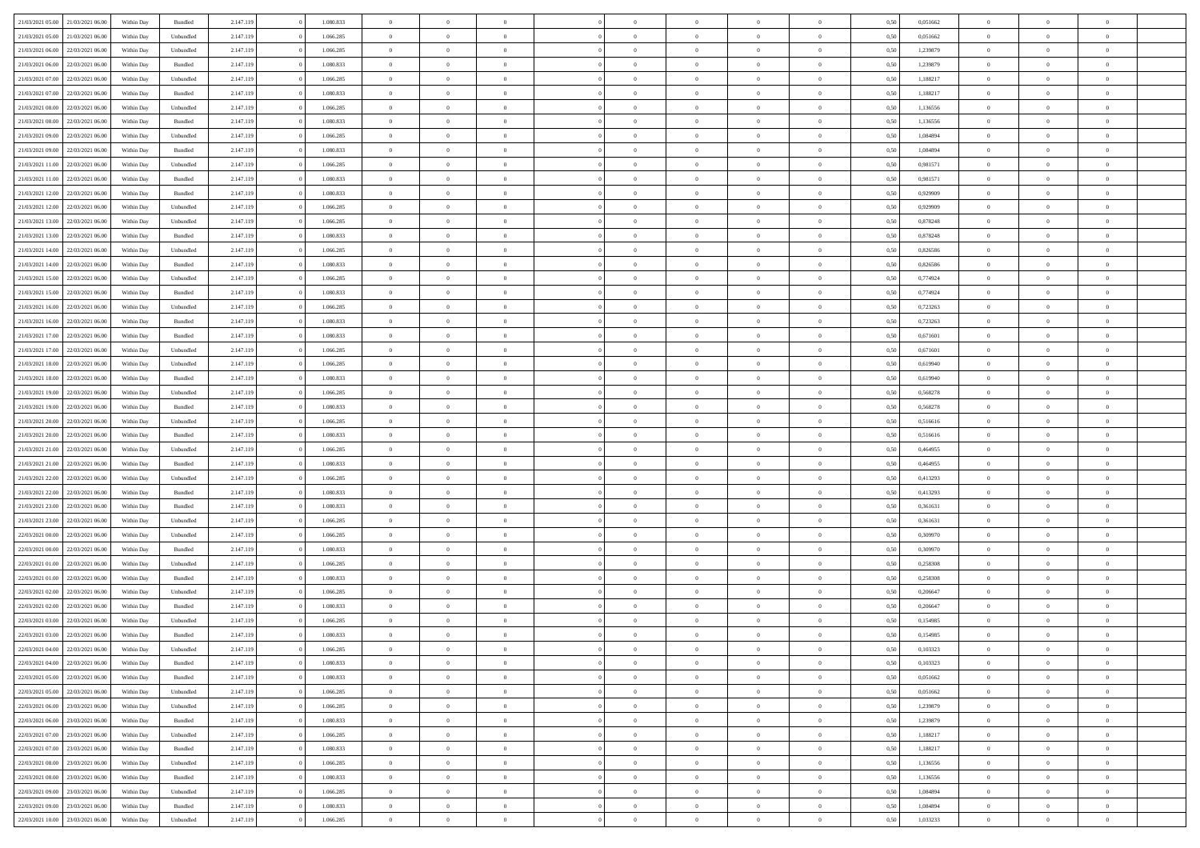| 21/03/2021 05:00                  | 21/03/2021 06:00 | Within Day | Bundled   | 2.147.119 | 1.080.833 | $\overline{0}$ | $\Omega$       |                | $\Omega$       | $\Omega$       | $\theta$       | $\theta$       | 0,50 | 0,051662 | $\theta$       | $\theta$       | $\overline{0}$ |  |
|-----------------------------------|------------------|------------|-----------|-----------|-----------|----------------|----------------|----------------|----------------|----------------|----------------|----------------|------|----------|----------------|----------------|----------------|--|
|                                   |                  |            |           |           |           |                |                |                |                |                |                |                |      |          |                |                |                |  |
| 21/03/2021 05:00                  | 21/03/2021 06:00 | Within Day | Unbundled | 2.147.119 | 1.066.285 | $\overline{0}$ | $\theta$       | $\overline{0}$ | $\overline{0}$ | $\bf{0}$       | $\overline{0}$ | $\overline{0}$ | 0,50 | 0,051662 | $\theta$       | $\overline{0}$ | $\overline{0}$ |  |
| 21/03/2021 06:00                  | 22/03/2021 06:00 | Within Day | Unbundled | 2.147.119 | 1.066.285 | $\overline{0}$ | $\bf{0}$       | $\overline{0}$ | $\bf{0}$       | $\bf{0}$       | $\bf{0}$       | $\mathbf{0}$   | 0,50 | 1,239879 | $\overline{0}$ | $\overline{0}$ | $\bf{0}$       |  |
| 21/03/2021 06:00                  | 22/03/2021 06:00 | Within Dav | Bundled   | 2.147.119 | 1.080.833 | $\overline{0}$ | $\overline{0}$ | $\overline{0}$ | $\overline{0}$ | $\bf{0}$       | $\overline{0}$ | $\overline{0}$ | 0.50 | 1,239879 | $\theta$       | $\theta$       | $\overline{0}$ |  |
|                                   |                  |            |           |           |           |                |                |                |                |                |                |                |      |          |                |                |                |  |
| 21/03/2021 07:00                  | 22/03/2021 06:00 | Within Day | Unbundled | 2.147.119 | 1.066.285 | $\overline{0}$ | $\theta$       | $\overline{0}$ | $\overline{0}$ | $\bf{0}$       | $\overline{0}$ | $\bf{0}$       | 0,50 | 1,188217 | $\theta$       | $\overline{0}$ | $\overline{0}$ |  |
| 21/03/2021 07:00                  | 22/03/2021 06:00 | Within Day | Bundled   | 2.147.119 | 1.080.833 | $\overline{0}$ | $\overline{0}$ | $\overline{0}$ | $\bf{0}$       | $\overline{0}$ | $\overline{0}$ | $\mathbf{0}$   | 0,50 | 1,188217 | $\overline{0}$ | $\overline{0}$ | $\bf{0}$       |  |
| 21/03/2021 08:00                  | 22/03/2021 06:00 | Within Dav | Unbundled | 2.147.119 | 1.066.285 | $\overline{0}$ | $\overline{0}$ | $\overline{0}$ | $\overline{0}$ | $\overline{0}$ | $\overline{0}$ | $\overline{0}$ | 0.50 | 1,136556 | $\theta$       | $\overline{0}$ | $\overline{0}$ |  |
| 21/03/2021 08:00                  | 22/03/2021 06:00 | Within Day | Bundled   | 2.147.119 | 1.080.833 | $\overline{0}$ | $\theta$       | $\overline{0}$ | $\overline{0}$ | $\bf{0}$       | $\overline{0}$ | $\bf{0}$       | 0,50 | 1,136556 | $\theta$       | $\theta$       | $\overline{0}$ |  |
|                                   |                  |            |           |           |           |                |                |                |                |                |                |                |      |          |                |                |                |  |
| 21/03/2021 09:00                  | 22/03/2021 06:00 | Within Day | Unbundled | 2.147.119 | 1.066.285 | $\overline{0}$ | $\overline{0}$ | $\overline{0}$ | $\bf{0}$       | $\bf{0}$       | $\bf{0}$       | $\bf{0}$       | 0,50 | 1,084894 | $\,0\,$        | $\overline{0}$ | $\overline{0}$ |  |
| 21/03/2021 09:00                  | 22/03/2021 06:00 | Within Dav | Bundled   | 2.147.119 | 1.080.833 | $\overline{0}$ | $\overline{0}$ | $\overline{0}$ | $\overline{0}$ | $\overline{0}$ | $\overline{0}$ | $\overline{0}$ | 0.50 | 1,084894 | $\theta$       | $\overline{0}$ | $\overline{0}$ |  |
| 21/03/2021 11:00                  | 22/03/2021 06:00 | Within Day | Unbundled | 2.147.119 | 1.066.285 | $\overline{0}$ | $\theta$       | $\overline{0}$ | $\overline{0}$ | $\bf{0}$       | $\overline{0}$ | $\bf{0}$       | 0,50 | 0,981571 | $\,$ 0 $\,$    | $\overline{0}$ | $\overline{0}$ |  |
| 21/03/2021 11:00                  | 22/03/2021 06:00 | Within Day | Bundled   | 2.147.119 | 1.080.833 | $\overline{0}$ | $\bf{0}$       | $\overline{0}$ | $\bf{0}$       | $\bf{0}$       | $\bf{0}$       | $\mathbf{0}$   | 0,50 | 0,981571 | $\overline{0}$ | $\overline{0}$ | $\bf{0}$       |  |
| 21/03/2021 12:00                  | 22/03/2021 06:00 | Within Day | Bundled   | 2.147.119 | 1.080.833 | $\overline{0}$ | $\overline{0}$ | $\overline{0}$ | $\overline{0}$ | $\bf{0}$       | $\overline{0}$ | $\overline{0}$ | 0.50 | 0.929909 | $\theta$       | $\theta$       | $\overline{0}$ |  |
|                                   |                  |            |           |           |           |                |                |                |                |                |                |                |      |          |                |                |                |  |
| 21/03/2021 12:00                  | 22/03/2021 06:00 | Within Day | Unbundled | 2.147.119 | 1.066.285 | $\overline{0}$ | $\theta$       | $\overline{0}$ | $\overline{0}$ | $\bf{0}$       | $\overline{0}$ | $\overline{0}$ | 0,50 | 0,929909 | $\theta$       | $\overline{0}$ | $\overline{0}$ |  |
| 21/03/2021 13:00                  | 22/03/2021 06:00 | Within Day | Unbundled | 2.147.119 | 1.066.285 | $\overline{0}$ | $\overline{0}$ | $\overline{0}$ | $\bf{0}$       | $\overline{0}$ | $\overline{0}$ | $\mathbf{0}$   | 0,50 | 0,878248 | $\bf{0}$       | $\overline{0}$ | $\bf{0}$       |  |
| 21/03/2021 13:00                  | 22/03/2021 06:00 | Within Dav | Bundled   | 2.147.119 | 1.080.833 | $\overline{0}$ | $\overline{0}$ | $\overline{0}$ | $\overline{0}$ | $\overline{0}$ | $\overline{0}$ | $\overline{0}$ | 0.50 | 0,878248 | $\theta$       | $\overline{0}$ | $\overline{0}$ |  |
| 21/03/2021 14:00                  | 22/03/2021 06:00 | Within Day | Unbundled | 2.147.119 | 1.066.285 | $\overline{0}$ | $\theta$       | $\overline{0}$ | $\overline{0}$ | $\bf{0}$       | $\overline{0}$ | $\bf{0}$       | 0,50 | 0,826586 | $\theta$       | $\theta$       | $\overline{0}$ |  |
|                                   |                  |            |           |           |           |                |                |                |                |                |                |                |      |          |                |                |                |  |
| 21/03/2021 14:00                  | 22/03/2021 06:00 | Within Day | Bundled   | 2.147.119 | 1.080.833 | $\overline{0}$ | $\overline{0}$ | $\overline{0}$ | $\bf{0}$       | $\bf{0}$       | $\bf{0}$       | $\bf{0}$       | 0,50 | 0,826586 | $\bf{0}$       | $\overline{0}$ | $\overline{0}$ |  |
| 21/03/2021 15:00                  | 22/03/2021 06:00 | Within Dav | Unbundled | 2.147.119 | 1.066.285 | $\overline{0}$ | $\overline{0}$ | $\overline{0}$ | $\overline{0}$ | $\overline{0}$ | $\overline{0}$ | $\overline{0}$ | 0.50 | 0,774924 | $\theta$       | $\overline{0}$ | $\overline{0}$ |  |
| 21/03/2021 15:00                  | 22/03/2021 06:00 | Within Day | Bundled   | 2.147.119 | 1.080.833 | $\overline{0}$ | $\theta$       | $\overline{0}$ | $\overline{0}$ | $\bf{0}$       | $\overline{0}$ | $\bf{0}$       | 0,50 | 0,774924 | $\,$ 0 $\,$    | $\overline{0}$ | $\overline{0}$ |  |
| 21/03/2021 16:00                  | 22/03/2021 06:00 | Within Day | Unbundled | 2.147.119 | 1.066.285 | $\overline{0}$ | $\overline{0}$ | $\overline{0}$ | $\bf{0}$       | $\bf{0}$       | $\bf{0}$       | $\bf{0}$       | 0,50 | 0,723263 | $\bf{0}$       | $\overline{0}$ | $\bf{0}$       |  |
| 21/03/2021 16:00                  | 22/03/2021 06:00 | Within Day | Bundled   | 2.147.119 | 1.080.833 | $\overline{0}$ | $\overline{0}$ | $\overline{0}$ | $\overline{0}$ | $\bf{0}$       | $\overline{0}$ | $\overline{0}$ | 0.50 | 0,723263 | $\theta$       | $\overline{0}$ | $\overline{0}$ |  |
|                                   |                  |            |           |           |           |                |                |                |                |                |                |                |      |          |                |                |                |  |
| 21/03/2021 17:00                  | 22/03/2021 06:00 | Within Day | Bundled   | 2.147.119 | 1.080.833 | $\overline{0}$ | $\theta$       | $\overline{0}$ | $\overline{0}$ | $\bf{0}$       | $\overline{0}$ | $\bf{0}$       | 0,50 | 0,671601 | $\,$ 0 $\,$    | $\overline{0}$ | $\overline{0}$ |  |
| 21/03/2021 17:00                  | 22/03/2021 06:00 | Within Day | Unbundled | 2.147.119 | 1.066.285 | $\overline{0}$ | $\overline{0}$ | $\overline{0}$ | $\bf{0}$       | $\overline{0}$ | $\overline{0}$ | $\mathbf{0}$   | 0,50 | 0,671601 | $\bf{0}$       | $\overline{0}$ | $\bf{0}$       |  |
| 21/03/2021 18:00                  | 22/03/2021 06:00 | Within Dav | Unbundled | 2.147.119 | 1.066.285 | $\overline{0}$ | $\overline{0}$ | $\overline{0}$ | $\overline{0}$ | $\overline{0}$ | $\overline{0}$ | $\overline{0}$ | 0.50 | 0,619940 | $\theta$       | $\overline{0}$ | $\overline{0}$ |  |
| 21/03/2021 18:00                  | 22/03/2021 06:00 | Within Day | Bundled   | 2.147.119 | 1.080.833 | $\overline{0}$ | $\theta$       | $\overline{0}$ | $\overline{0}$ | $\bf{0}$       | $\overline{0}$ | $\bf{0}$       | 0,50 | 0,619940 | $\theta$       | $\theta$       | $\overline{0}$ |  |
|                                   |                  |            |           |           |           |                |                |                |                |                |                |                |      |          |                |                |                |  |
| 21/03/2021 19:00                  | 22/03/2021 06:00 | Within Day | Unbundled | 2.147.119 | 1.066.285 | $\overline{0}$ | $\overline{0}$ | $\overline{0}$ | $\bf{0}$       | $\bf{0}$       | $\bf{0}$       | $\bf{0}$       | 0,50 | 0,568278 | $\,0\,$        | $\overline{0}$ | $\overline{0}$ |  |
| 21/03/2021 19:00                  | 22/03/2021 06:00 | Within Day | Bundled   | 2.147.119 | 1.080.833 | $\overline{0}$ | $\overline{0}$ | $\overline{0}$ | $\overline{0}$ | $\overline{0}$ | $\overline{0}$ | $\overline{0}$ | 0.50 | 0,568278 | $\theta$       | $\overline{0}$ | $\overline{0}$ |  |
| 21/03/2021 20:00                  | 22/03/2021 06:00 | Within Day | Unbundled | 2.147.119 | 1.066.285 | $\overline{0}$ | $\theta$       | $\overline{0}$ | $\overline{0}$ | $\bf{0}$       | $\overline{0}$ | $\bf{0}$       | 0,50 | 0,516616 | $\,$ 0 $\,$    | $\overline{0}$ | $\overline{0}$ |  |
| 21/03/2021 20:00                  | 22/03/2021 06:00 | Within Day | Bundled   | 2.147.119 | 1.080.833 | $\overline{0}$ | $\overline{0}$ | $\overline{0}$ | $\overline{0}$ | $\bf{0}$       | $\overline{0}$ | $\bf{0}$       | 0,50 | 0,516616 | $\bf{0}$       | $\overline{0}$ | $\bf{0}$       |  |
| 21/03/2021 21:00                  | 22/03/2021 06:00 | Within Day | Unbundled | 2.147.119 | 1.066.285 | $\overline{0}$ | $\Omega$       | $\Omega$       | $\Omega$       | $\Omega$       | $\Omega$       | $\overline{0}$ | 0,50 | 0.464955 | $\,0\,$        | $\theta$       | $\theta$       |  |
|                                   |                  |            |           |           |           |                |                |                |                |                |                |                |      |          |                |                |                |  |
| 21/03/2021 21:00                  | 22/03/2021 06:00 | Within Day | Bundled   | 2.147.119 | 1.080.833 | $\overline{0}$ | $\theta$       | $\overline{0}$ | $\overline{0}$ | $\bf{0}$       | $\overline{0}$ | $\bf{0}$       | 0,50 | 0,464955 | $\theta$       | $\overline{0}$ | $\overline{0}$ |  |
| 21/03/2021 22.00                  | 22/03/2021 06:00 | Within Day | Unbundled | 2.147.119 | 1.066.285 | $\overline{0}$ | $\overline{0}$ | $\overline{0}$ | $\overline{0}$ | $\overline{0}$ | $\overline{0}$ | $\mathbf{0}$   | 0,50 | 0,413293 | $\bf{0}$       | $\overline{0}$ | $\bf{0}$       |  |
| 21/03/2021 22:00                  | 22/03/2021 06:00 | Within Day | Bundled   | 2.147.119 | 1.080.833 | $\overline{0}$ | $\Omega$       | $\Omega$       | $\Omega$       | $\bf{0}$       | $\overline{0}$ | $\overline{0}$ | 0.50 | 0,413293 | $\,0\,$        | $\theta$       | $\theta$       |  |
| 21/03/2021 23:00                  | 22/03/2021 06:00 | Within Day | Bundled   | 2.147.119 | 1.080.833 | $\overline{0}$ | $\theta$       | $\overline{0}$ | $\overline{0}$ | $\bf{0}$       | $\overline{0}$ | $\bf{0}$       | 0,50 | 0,361631 | $\theta$       | $\overline{0}$ | $\overline{0}$ |  |
|                                   |                  |            |           |           |           |                | $\overline{0}$ |                |                | $\bf{0}$       |                |                |      |          | $\bf{0}$       | $\overline{0}$ | $\bf{0}$       |  |
| 21/03/2021 23:00                  | 22/03/2021 06:00 | Within Day | Unbundled | 2.147.119 | 1.066.285 | $\overline{0}$ |                | $\overline{0}$ | $\overline{0}$ |                | $\overline{0}$ | $\bf{0}$       | 0,50 | 0,361631 |                |                |                |  |
| 22/03/2021 00:00                  | 22/03/2021 06:00 | Within Day | Unbundled | 2.147.119 | 1.066.285 | $\overline{0}$ | $\Omega$       | $\Omega$       | $\Omega$       | $\theta$       | $\theta$       | $\overline{0}$ | 0.50 | 0.309970 | $\theta$       | $\theta$       | $\theta$       |  |
| 22/03/2021 00:00                  | 22/03/2021 06:00 | Within Day | Bundled   | 2.147.119 | 1.080.833 | $\overline{0}$ | $\theta$       | $\overline{0}$ | $\overline{0}$ | $\bf{0}$       | $\overline{0}$ | $\bf{0}$       | 0,50 | 0,309970 | $\,$ 0 $\,$    | $\overline{0}$ | $\overline{0}$ |  |
| 22/03/2021 01:00                  | 22/03/2021 06:00 | Within Day | Unbundled | 2.147.119 | 1.066.285 | $\overline{0}$ | $\bf{0}$       | $\overline{0}$ | $\bf{0}$       | $\bf{0}$       | $\bf{0}$       | $\bf{0}$       | 0,50 | 0,258308 | $\overline{0}$ | $\overline{0}$ | $\bf{0}$       |  |
| 22/03/2021 01:00                  | 22/03/2021 06:00 | Within Day | Bundled   | 2.147.119 | 1.080.833 | $\overline{0}$ | $\Omega$       | $\Omega$       | $\Omega$       | $\overline{0}$ | $\overline{0}$ | $\overline{0}$ | 0.50 | 0,258308 | $\,0\,$        | $\theta$       | $\theta$       |  |
| 22/03/2021 02:00                  | 22/03/2021 06:00 |            |           | 2.147.119 | 1.066.285 | $\overline{0}$ | $\overline{0}$ | $\overline{0}$ | $\overline{0}$ | $\bf{0}$       | $\overline{0}$ |                |      | 0,206647 | $\,$ 0 $\,$    | $\overline{0}$ | $\overline{0}$ |  |
|                                   |                  | Within Day | Unbundled |           |           |                |                |                |                |                |                | $\bf{0}$       | 0,50 |          |                |                |                |  |
| 22/03/2021 02:00                  | 22/03/2021 06:00 | Within Day | Bundled   | 2.147.119 | 1.080.833 | $\overline{0}$ | $\overline{0}$ | $\overline{0}$ | $\bf{0}$       | $\bf{0}$       | $\bf{0}$       | $\mathbf{0}$   | 0,50 | 0,206647 | $\overline{0}$ | $\overline{0}$ | $\bf{0}$       |  |
| 22/03/2021 03:00                  | 22/03/2021 06:00 | Within Day | Unbundled | 2.147.119 | 1.066.285 | $\overline{0}$ | $\Omega$       | $\Omega$       | $\Omega$       | $\Omega$       | $\Omega$       | $\overline{0}$ | 0.50 | 0,154985 | $\theta$       | $\theta$       | $\theta$       |  |
| 22/03/2021 03:00                  | 22/03/2021 06:00 | Within Day | Bundled   | 2.147.119 | 1.080.833 | $\overline{0}$ | $\overline{0}$ | $\overline{0}$ | $\bf{0}$       | $\,$ 0         | $\bf{0}$       | $\bf{0}$       | 0,50 | 0,154985 | $\,0\,$        | $\,$ 0 $\,$    | $\overline{0}$ |  |
| 22/03/2021 04:00 22/03/2021 06:00 |                  | Within Day | Unbundled | 2.147.119 | 1.066.285 | $\bf{0}$       | $\bf{0}$       |                |                | $\bf{0}$       |                |                | 0,50 | 0,103323 | $\bf{0}$       | $\overline{0}$ |                |  |
|                                   |                  |            |           |           |           |                |                |                |                |                |                |                |      |          |                |                |                |  |
| 22/03/2021 04:00                  | 22/03/2021 06:00 | Within Day | Bundled   | 2.147.119 | 1.080.833 | $\overline{0}$ | $\overline{0}$ | $\overline{0}$ | $\Omega$       | $\overline{0}$ | $\overline{0}$ | $\overline{0}$ | 0.50 | 0.103323 | $\theta$       | $\theta$       | $\theta$       |  |
| 22/03/2021 05:00                  | 22/03/2021 06:00 | Within Day | Bundled   | 2.147.119 | 1.080.833 | $\overline{0}$ | $\,$ 0         | $\overline{0}$ | $\bf{0}$       | $\,$ 0 $\,$    | $\overline{0}$ | $\mathbf{0}$   | 0,50 | 0,051662 | $\,$ 0 $\,$    | $\,$ 0 $\,$    | $\,$ 0         |  |
| 22/03/2021 05:00                  | 22/03/2021 06:00 | Within Day | Unbundled | 2.147.119 | 1.066.285 | $\overline{0}$ | $\overline{0}$ | $\overline{0}$ | $\overline{0}$ | $\overline{0}$ | $\overline{0}$ | $\mathbf{0}$   | 0,50 | 0,051662 | $\overline{0}$ | $\bf{0}$       | $\bf{0}$       |  |
| 22/03/2021 06:00                  | 23/03/2021 06:00 | Within Day | Unbundled | 2.147.119 | 1.066.285 | $\overline{0}$ | $\overline{0}$ | $\overline{0}$ | $\Omega$       | $\overline{0}$ | $\overline{0}$ | $\bf{0}$       | 0,50 | 1,239879 | $\overline{0}$ | $\theta$       | $\overline{0}$ |  |
| 22/03/2021 06:00                  | 23/03/2021 06:00 | Within Day | Bundled   | 2.147.119 | 1.080.833 | $\overline{0}$ | $\,$ 0         | $\overline{0}$ | $\overline{0}$ | $\,$ 0 $\,$    | $\overline{0}$ | $\mathbf{0}$   | 0,50 | 1,239879 | $\,$ 0 $\,$    | $\overline{0}$ | $\overline{0}$ |  |
|                                   |                  |            |           |           |           |                |                |                |                |                |                |                |      |          |                |                |                |  |
| 22/03/2021 07:00                  | 23/03/2021 06:00 | Within Day | Unbundled | 2.147.119 | 1.066.285 | $\overline{0}$ | $\overline{0}$ | $\overline{0}$ | $\overline{0}$ | $\overline{0}$ | $\overline{0}$ | $\mathbf{0}$   | 0,50 | 1,188217 | $\overline{0}$ | $\overline{0}$ | $\bf{0}$       |  |
| 22/03/2021 07:00                  | 23/03/2021 06:00 | Within Day | Bundled   | 2.147.119 | 1.080.833 | $\overline{0}$ | $\overline{0}$ | $\overline{0}$ | $\Omega$       | $\overline{0}$ | $\overline{0}$ | $\bf{0}$       | 0.50 | 1,188217 | $\overline{0}$ | $\theta$       | $\overline{0}$ |  |
| 22/03/2021 08:00                  | 23/03/2021 06:00 | Within Day | Unbundled | 2.147.119 | 1.066.285 | $\overline{0}$ | $\,$ 0         | $\overline{0}$ | $\bf{0}$       | $\bf{0}$       | $\bf{0}$       | $\bf{0}$       | 0,50 | 1,136556 | $\,$ 0 $\,$    | $\overline{0}$ | $\overline{0}$ |  |
| 22/03/2021 08:00                  | 23/03/2021 06:00 | Within Day | Bundled   | 2.147.119 | 1.080.833 | $\overline{0}$ | $\bf{0}$       | $\overline{0}$ | $\overline{0}$ | $\overline{0}$ | $\overline{0}$ | $\mathbf{0}$   | 0,50 | 1,136556 | $\overline{0}$ | $\overline{0}$ | $\bf{0}$       |  |
|                                   |                  |            |           |           |           |                |                |                |                |                |                |                |      |          |                |                |                |  |
| 22/03/2021 09:00                  | 23/03/2021 06:00 | Within Day | Unbundled | 2.147.119 | 1.066.285 | $\overline{0}$ | $\overline{0}$ | $\overline{0}$ | $\Omega$       | $\overline{0}$ | $\overline{0}$ | $\bf{0}$       | 0.50 | 1.084894 | $\overline{0}$ | $\theta$       | $\overline{0}$ |  |
| 22/03/2021 09:00                  | 23/03/2021 06:00 | Within Day | Bundled   | 2.147.119 | 1.080.833 | $\overline{0}$ | $\bf{0}$       | $\overline{0}$ | $\overline{0}$ | $\bf{0}$       | $\bf{0}$       | $\mathbf{0}$   | 0,50 | 1,084894 | $\,$ 0 $\,$    | $\,$ 0 $\,$    | $\bf{0}$       |  |
| 22/03/2021 10:00 23/03/2021 06:00 |                  | Within Day | Unbundled | 2.147.119 | 1.066.285 | $\overline{0}$ | $\overline{0}$ | $\overline{0}$ | $\overline{0}$ | $\bf{0}$       | $\bf{0}$       | $\mathbf{0}$   | 0,50 | 1,033233 | $\overline{0}$ | $\bf{0}$       | $\bf{0}$       |  |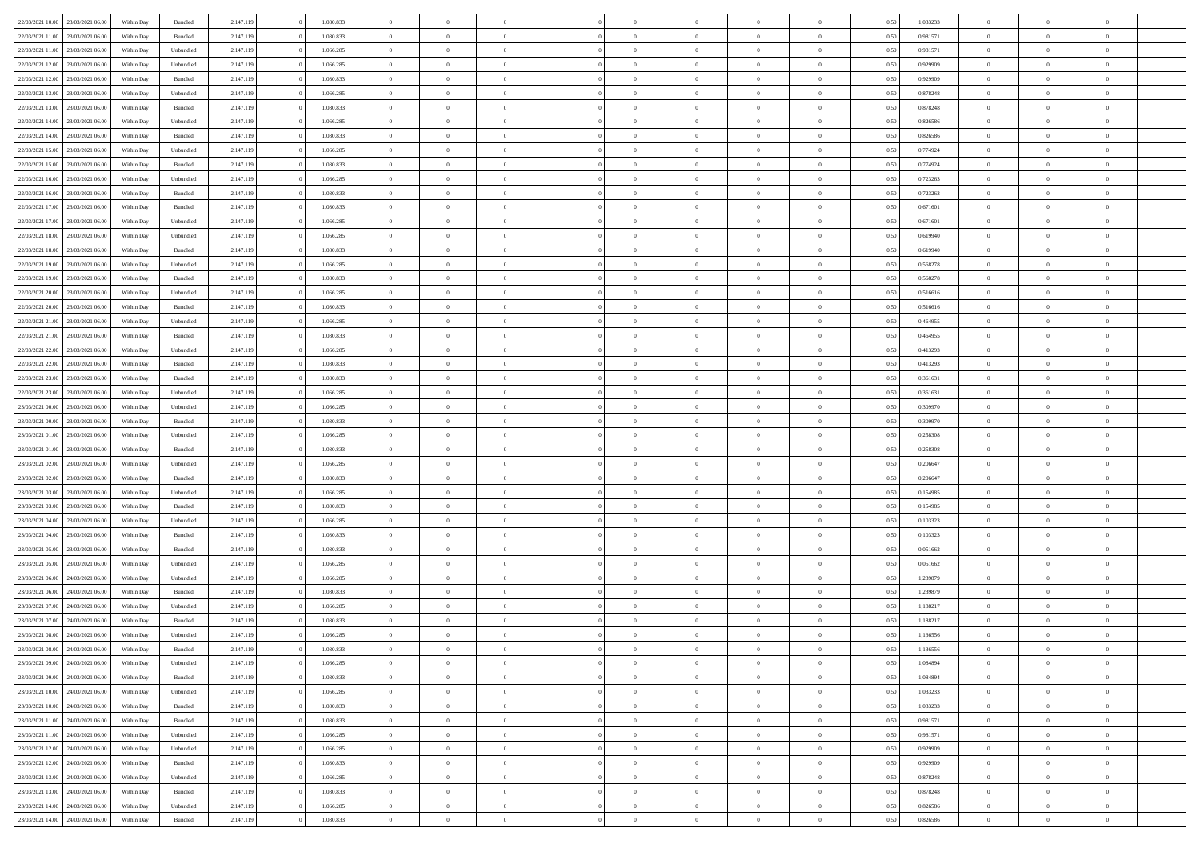| 22/03/2021 10:00                  | 23/03/2021 06:00 | Within Day | Bundled            | 2.147.119 | 1.080.833 | $\overline{0}$ | $\theta$       |                | $\Omega$       | $\Omega$       | $\theta$       | $\theta$       | 0.50 | 1,033233 | $\theta$       | $\overline{0}$ | $\theta$       |  |
|-----------------------------------|------------------|------------|--------------------|-----------|-----------|----------------|----------------|----------------|----------------|----------------|----------------|----------------|------|----------|----------------|----------------|----------------|--|
|                                   |                  |            |                    |           |           |                |                |                |                |                |                |                |      |          |                |                |                |  |
| 22/03/2021 11:00                  | 23/03/2021 06:00 | Within Day | Bundled            | 2.147.119 | 1.080.833 | $\overline{0}$ | $\theta$       | $\overline{0}$ | $\overline{0}$ | $\bf{0}$       | $\overline{0}$ | $\overline{0}$ | 0,50 | 0,981571 | $\theta$       | $\overline{0}$ | $\overline{0}$ |  |
| 22/03/2021 11:00                  | 23/03/2021 06:00 | Within Day | Unbundled          | 2.147.119 | 1.066.285 | $\overline{0}$ | $\bf{0}$       | $\overline{0}$ | $\bf{0}$       | $\bf{0}$       | $\bf{0}$       | $\mathbf{0}$   | 0,50 | 0,981571 | $\bf{0}$       | $\overline{0}$ | $\bf{0}$       |  |
| 22/03/2021 12:00                  | 23/03/2021 06:00 | Within Dav | Unbundled          | 2.147.119 | 1.066.285 | $\overline{0}$ | $\overline{0}$ | $\overline{0}$ | $\overline{0}$ | $\bf{0}$       | $\overline{0}$ | $\overline{0}$ | 0.50 | 0.929909 | $\theta$       | $\theta$       | $\overline{0}$ |  |
| 22/03/2021 12:00                  | 23/03/2021 06:00 | Within Day | Bundled            | 2.147.119 | 1.080.833 | $\overline{0}$ | $\theta$       | $\overline{0}$ | $\overline{0}$ | $\bf{0}$       | $\overline{0}$ | $\bf{0}$       | 0,50 | 0,929909 | $\theta$       | $\overline{0}$ | $\overline{0}$ |  |
| 22/03/2021 13:00                  | 23/03/2021 06:00 | Within Day | Unbundled          | 2.147.119 | 1.066.285 | $\overline{0}$ | $\overline{0}$ | $\overline{0}$ | $\bf{0}$       | $\overline{0}$ | $\overline{0}$ | $\mathbf{0}$   | 0,50 | 0,878248 | $\bf{0}$       | $\overline{0}$ | $\bf{0}$       |  |
| 22/03/2021 13:00                  | 23/03/2021 06:00 | Within Dav | Bundled            | 2.147.119 | 1.080.833 | $\overline{0}$ | $\overline{0}$ | $\overline{0}$ | $\overline{0}$ | $\overline{0}$ | $\overline{0}$ | $\overline{0}$ | 0.50 | 0,878248 | $\theta$       | $\overline{0}$ | $\overline{0}$ |  |
|                                   |                  |            |                    |           |           |                |                |                |                |                |                |                |      |          |                |                |                |  |
| 22/03/2021 14:00                  | 23/03/2021 06:00 | Within Day | Unbundled          | 2.147.119 | 1.066.285 | $\overline{0}$ | $\theta$       | $\overline{0}$ | $\overline{0}$ | $\bf{0}$       | $\overline{0}$ | $\bf{0}$       | 0,50 | 0,826586 | $\theta$       | $\theta$       | $\overline{0}$ |  |
| 22/03/2021 14:00                  | 23/03/2021 06:00 | Within Day | Bundled            | 2.147.119 | 1.080.833 | $\overline{0}$ | $\overline{0}$ | $\overline{0}$ | $\bf{0}$       | $\bf{0}$       | $\bf{0}$       | $\bf{0}$       | 0,50 | 0,826586 | $\,0\,$        | $\overline{0}$ | $\overline{0}$ |  |
| 22/03/2021 15:00                  | 23/03/2021 06:00 | Within Dav | Unbundled          | 2.147.119 | 1.066.285 | $\overline{0}$ | $\overline{0}$ | $\overline{0}$ | $\overline{0}$ | $\overline{0}$ | $\overline{0}$ | $\overline{0}$ | 0.50 | 0,774924 | $\theta$       | $\overline{0}$ | $\overline{0}$ |  |
| 22/03/2021 15:00                  | 23/03/2021 06:00 | Within Day | Bundled            | 2.147.119 | 1.080.833 | $\overline{0}$ | $\theta$       | $\overline{0}$ | $\overline{0}$ | $\bf{0}$       | $\overline{0}$ | $\bf{0}$       | 0,50 | 0,774924 | $\,$ 0 $\,$    | $\overline{0}$ | $\overline{0}$ |  |
| 22/03/2021 16:00                  | 23/03/2021 06:00 | Within Day | Unbundled          | 2.147.119 | 1.066.285 | $\overline{0}$ | $\overline{0}$ | $\overline{0}$ | $\bf{0}$       | $\bf{0}$       | $\bf{0}$       | $\mathbf{0}$   | 0,50 | 0,723263 | $\overline{0}$ | $\overline{0}$ | $\bf{0}$       |  |
| 22/03/2021 16:00                  | 23/03/2021 06:00 | Within Day | Bundled            | 2.147.119 | 1.080.833 | $\overline{0}$ | $\overline{0}$ | $\overline{0}$ | $\overline{0}$ | $\bf{0}$       | $\overline{0}$ | $\overline{0}$ | 0.50 | 0,723263 | $\theta$       | $\theta$       | $\overline{0}$ |  |
| 22/03/2021 17:00                  | 23/03/2021 06:00 | Within Day | Bundled            | 2.147.119 | 1.080.833 | $\overline{0}$ | $\theta$       | $\overline{0}$ | $\overline{0}$ | $\bf{0}$       | $\overline{0}$ | $\bf{0}$       | 0,50 | 0,671601 | $\theta$       | $\overline{0}$ | $\overline{0}$ |  |
|                                   |                  |            |                    |           |           |                |                |                |                |                |                |                |      |          |                |                |                |  |
| 22/03/2021 17:00                  | 23/03/2021 06:00 | Within Day | Unbundled          | 2.147.119 | 1.066.285 | $\overline{0}$ | $\overline{0}$ | $\overline{0}$ | $\bf{0}$       | $\overline{0}$ | $\overline{0}$ | $\mathbf{0}$   | 0,50 | 0,671601 | $\overline{0}$ | $\overline{0}$ | $\bf{0}$       |  |
| 22/03/2021 18:00                  | 23/03/2021 06:00 | Within Dav | Unbundled          | 2.147.119 | 1.066.285 | $\overline{0}$ | $\overline{0}$ | $\overline{0}$ | $\overline{0}$ | $\overline{0}$ | $\overline{0}$ | $\overline{0}$ | 0.50 | 0.619940 | $\theta$       | $\overline{0}$ | $\overline{0}$ |  |
| 22/03/2021 18:00                  | 23/03/2021 06:00 | Within Day | Bundled            | 2.147.119 | 1.080.833 | $\overline{0}$ | $\theta$       | $\overline{0}$ | $\overline{0}$ | $\bf{0}$       | $\overline{0}$ | $\bf{0}$       | 0,50 | 0,619940 | $\theta$       | $\theta$       | $\overline{0}$ |  |
| 22/03/2021 19:00                  | 23/03/2021 06:00 | Within Day | Unbundled          | 2.147.119 | 1.066.285 | $\overline{0}$ | $\overline{0}$ | $\overline{0}$ | $\bf{0}$       | $\bf{0}$       | $\bf{0}$       | $\bf{0}$       | 0,50 | 0,568278 | $\bf{0}$       | $\overline{0}$ | $\overline{0}$ |  |
| 22/03/2021 19:00                  | 23/03/2021 06:00 | Within Day | Bundled            | 2.147.119 | 1.080.833 | $\overline{0}$ | $\overline{0}$ | $\overline{0}$ | $\overline{0}$ | $\overline{0}$ | $\overline{0}$ | $\overline{0}$ | 0.50 | 0,568278 | $\theta$       | $\overline{0}$ | $\overline{0}$ |  |
| 22/03/2021 20:00                  | 23/03/2021 06:00 | Within Day | Unbundled          | 2.147.119 | 1.066.285 | $\overline{0}$ | $\theta$       | $\overline{0}$ | $\overline{0}$ | $\bf{0}$       | $\overline{0}$ | $\bf{0}$       | 0,50 | 0,516616 | $\,$ 0 $\,$    | $\overline{0}$ | $\overline{0}$ |  |
| 22/03/2021 20:00                  | 23/03/2021 06:00 | Within Day | Bundled            | 2.147.119 | 1.080.833 | $\overline{0}$ | $\overline{0}$ | $\overline{0}$ | $\bf{0}$       | $\bf{0}$       | $\bf{0}$       | $\bf{0}$       | 0,50 | 0,516616 | $\,0\,$        | $\overline{0}$ | $\bf{0}$       |  |
| 22/03/2021 21:00                  | 23/03/2021 06:00 | Within Day | Unbundled          | 2.147.119 | 1.066.285 | $\overline{0}$ | $\overline{0}$ | $\overline{0}$ | $\overline{0}$ | $\bf{0}$       | $\overline{0}$ | $\overline{0}$ | 0.50 | 0.464955 | $\theta$       | $\overline{0}$ | $\overline{0}$ |  |
|                                   |                  |            |                    |           |           |                |                |                |                |                |                |                |      |          |                |                |                |  |
| 22/03/2021 21:00                  | 23/03/2021 06:00 | Within Day | Bundled            | 2.147.119 | 1.080.833 | $\overline{0}$ | $\theta$       | $\overline{0}$ | $\overline{0}$ | $\bf{0}$       | $\overline{0}$ | $\bf{0}$       | 0,50 | 0,464955 | $\theta$       | $\overline{0}$ | $\overline{0}$ |  |
| 22/03/2021 22.00                  | 23/03/2021 06:00 | Within Day | Unbundled          | 2.147.119 | 1.066.285 | $\overline{0}$ | $\overline{0}$ | $\overline{0}$ | $\bf{0}$       | $\overline{0}$ | $\overline{0}$ | $\mathbf{0}$   | 0,50 | 0,413293 | $\overline{0}$ | $\overline{0}$ | $\bf{0}$       |  |
| 22/03/2021 22:00                  | 23/03/2021 06:00 | Within Dav | Bundled            | 2.147.119 | 1.080.833 | $\overline{0}$ | $\overline{0}$ | $\overline{0}$ | $\overline{0}$ | $\overline{0}$ | $\overline{0}$ | $\overline{0}$ | 0.50 | 0,413293 | $\theta$       | $\overline{0}$ | $\overline{0}$ |  |
| 22/03/2021 23:00                  | 23/03/2021 06:00 | Within Day | Bundled            | 2.147.119 | 1.080.833 | $\overline{0}$ | $\theta$       | $\overline{0}$ | $\overline{0}$ | $\bf{0}$       | $\overline{0}$ | $\bf{0}$       | 0,50 | 0,361631 | $\theta$       | $\theta$       | $\overline{0}$ |  |
| 22/03/2021 23:00                  | 23/03/2021 06:00 | Within Day | Unbundled          | 2.147.119 | 1.066.285 | $\overline{0}$ | $\overline{0}$ | $\overline{0}$ | $\bf{0}$       | $\bf{0}$       | $\bf{0}$       | $\bf{0}$       | 0,50 | 0,361631 | $\,0\,$        | $\overline{0}$ | $\overline{0}$ |  |
| 23/03/2021 00:00                  | 23/03/2021 06:00 | Within Day | Unbundled          | 2.147.119 | 1.066.285 | $\overline{0}$ | $\overline{0}$ | $\overline{0}$ | $\overline{0}$ | $\overline{0}$ | $\overline{0}$ | $\overline{0}$ | 0.50 | 0,309970 | $\theta$       | $\overline{0}$ | $\overline{0}$ |  |
| 23/03/2021 00:00                  | 23/03/2021 06:00 | Within Day | Bundled            | 2.147.119 | 1.080.833 | $\overline{0}$ | $\theta$       | $\overline{0}$ | $\overline{0}$ | $\bf{0}$       | $\overline{0}$ | $\bf{0}$       | 0,50 | 0,309970 | $\,$ 0 $\,$    | $\overline{0}$ | $\overline{0}$ |  |
|                                   |                  |            |                    |           |           |                | $\overline{0}$ |                |                | $\bf{0}$       |                |                |      |          |                | $\overline{0}$ | $\bf{0}$       |  |
| 23/03/2021 01:00                  | 23/03/2021 06:00 | Within Day | Unbundled          | 2.147.119 | 1.066.285 | $\overline{0}$ |                | $\overline{0}$ | $\bf{0}$       |                | $\bf{0}$       | $\bf{0}$       | 0,50 | 0,258308 | $\overline{0}$ |                |                |  |
| 23/03/2021 01:00                  | 23/03/2021 06:00 | Within Day | Bundled            | 2.147.119 | 1.080.833 | $\overline{0}$ | $\Omega$       | $\Omega$       | $\Omega$       | $\Omega$       | $\overline{0}$ | $\overline{0}$ | 0,50 | 0,258308 | $\,0\,$        | $\theta$       | $\theta$       |  |
| 23/03/2021 02:00                  | 23/03/2021 06:00 | Within Day | Unbundled          | 2.147.119 | 1.066.285 | $\overline{0}$ | $\theta$       | $\overline{0}$ | $\overline{0}$ | $\bf{0}$       | $\overline{0}$ | $\bf{0}$       | 0,50 | 0,206647 | $\theta$       | $\overline{0}$ | $\overline{0}$ |  |
| 23/03/2021 02:00                  | 23/03/2021 06:00 | Within Day | Bundled            | 2.147.119 | 1.080.833 | $\overline{0}$ | $\overline{0}$ | $\overline{0}$ | $\bf{0}$       | $\overline{0}$ | $\overline{0}$ | $\mathbf{0}$   | 0,50 | 0,206647 | $\overline{0}$ | $\overline{0}$ | $\bf{0}$       |  |
| 23/03/2021 03:00                  | 23/03/2021 06:00 | Within Day | Unbundled          | 2.147.119 | 1.066.285 | $\overline{0}$ | $\Omega$       | $\Omega$       | $\Omega$       | $\bf{0}$       | $\overline{0}$ | $\overline{0}$ | 0.50 | 0,154985 | $\,0\,$        | $\theta$       | $\theta$       |  |
| 23/03/2021 03:00                  | 23/03/2021 06:00 | Within Day | Bundled            | 2.147.119 | 1.080.833 | $\overline{0}$ | $\theta$       | $\overline{0}$ | $\overline{0}$ | $\bf{0}$       | $\overline{0}$ | $\bf{0}$       | 0,50 | 0,154985 | $\,$ 0 $\,$    | $\overline{0}$ | $\overline{0}$ |  |
| 23/03/2021 04:00                  | 23/03/2021 06:00 | Within Day | Unbundled          | 2.147.119 | 1.066.285 | $\overline{0}$ | $\overline{0}$ | $\overline{0}$ | $\bf{0}$       | $\bf{0}$       | $\bf{0}$       | $\bf{0}$       | 0,50 | 0,103323 | $\bf{0}$       | $\overline{0}$ | $\bf{0}$       |  |
| 23/03/2021 04:00                  | 23/03/2021 06:00 | Within Day | Bundled            | 2.147.119 | 1.080.833 | $\overline{0}$ | $\Omega$       | $\Omega$       | $\Omega$       | $\theta$       | $\overline{0}$ | $\overline{0}$ | 0.50 | 0.103323 | $\,$ 0 $\,$    | $\theta$       | $\theta$       |  |
| 23/03/2021 05:00                  | 23/03/2021 06:00 | Within Day | Bundled            | 2.147.119 | 1.080.833 | $\overline{0}$ | $\theta$       | $\overline{0}$ | $\overline{0}$ | $\bf{0}$       | $\overline{0}$ | $\bf{0}$       | 0,50 | 0,051662 | $\,$ 0 $\,$    | $\overline{0}$ | $\overline{0}$ |  |
|                                   |                  |            |                    |           |           |                |                |                |                |                |                |                |      |          |                |                |                |  |
| 23/03/2021 05:00                  | 23/03/2021 06:00 | Within Day | Unbundled          | 2.147.119 | 1.066.285 | $\overline{0}$ | $\bf{0}$       | $\overline{0}$ | $\bf{0}$       | $\bf{0}$       | $\bf{0}$       | $\bf{0}$       | 0,50 | 0,051662 | $\overline{0}$ | $\overline{0}$ | $\bf{0}$       |  |
| 23/03/2021 06:00                  | 24/03/2021 06.00 | Within Day | Unbundled          | 2.147.119 | 1.066.285 | $\overline{0}$ | $\Omega$       | $\Omega$       | $\Omega$       | $\overline{0}$ | $\overline{0}$ | $\overline{0}$ | 0,50 | 1,239879 | $\,0\,$        | $\theta$       | $\theta$       |  |
| 23/03/2021 06:00                  | 24/03/2021 06.00 | Within Day | Bundled            | 2.147.119 | 1.080.833 | $\overline{0}$ | $\theta$       | $\overline{0}$ | $\overline{0}$ | $\bf{0}$       | $\overline{0}$ | $\bf{0}$       | 0,50 | 1,239879 | $\,$ 0 $\,$    | $\overline{0}$ | $\overline{0}$ |  |
| 23/03/2021 07:00                  | 24/03/2021 06:00 | Within Day | Unbundled          | 2.147.119 | 1.066.285 | $\overline{0}$ | $\overline{0}$ | $\overline{0}$ | $\bf{0}$       | $\bf{0}$       | $\bf{0}$       | $\mathbf{0}$   | 0,50 | 1,188217 | $\overline{0}$ | $\overline{0}$ | $\bf{0}$       |  |
| 23/03/2021 07:00                  | 24/03/2021 06:00 | Within Day | Bundled            | 2.147.119 | 1.080.833 | $\overline{0}$ | $\Omega$       | $\Omega$       | $\Omega$       | $\Omega$       | $\Omega$       | $\overline{0}$ | 0.50 | 1,188217 | $\theta$       | $\theta$       | $\theta$       |  |
| 23/03/2021 08:00                  | 24/03/2021 06:00 | Within Day | Unbundled          | 2.147.119 | 1.066.285 | $\overline{0}$ | $\overline{0}$ | $\overline{0}$ | $\bf{0}$       | $\,$ 0         | $\bf{0}$       | $\bf{0}$       | 0,50 | 1,136556 | $\,0\,$        | $\,$ 0 $\,$    | $\overline{0}$ |  |
| 23/03/2021 08:00 24/03/2021 06:00 |                  | Within Day | $\mathbf B$ undled | 2.147.119 | 1.080.833 | $\bf{0}$       | $\bf{0}$       |                |                | $\bf{0}$       |                |                | 0,50 | 1,136556 | $\bf{0}$       | $\overline{0}$ |                |  |
| 23/03/2021 09:00                  | 24/03/2021 06:00 | Within Day | Unbundled          | 2.147.119 | 1.066.285 | $\overline{0}$ | $\overline{0}$ | $\overline{0}$ | $\Omega$       | $\overline{0}$ | $\overline{0}$ | $\overline{0}$ | 0.50 | 1.084894 | $\theta$       | $\theta$       | $\theta$       |  |
| 23/03/2021 09:00                  | 24/03/2021 06.00 | Within Day | Bundled            | 2.147.119 | 1.080.833 | $\overline{0}$ | $\,$ 0         | $\overline{0}$ | $\bf{0}$       | $\,$ 0 $\,$    | $\overline{0}$ | $\mathbf{0}$   | 0,50 | 1,084894 | $\,$ 0 $\,$    | $\,$ 0 $\,$    | $\,$ 0         |  |
|                                   |                  |            |                    |           |           |                |                |                |                |                |                |                |      |          |                |                |                |  |
| 23/03/2021 10:00                  | 24/03/2021 06:00 | Within Day | Unbundled          | 2.147.119 | 1.066.285 | $\overline{0}$ | $\overline{0}$ | $\overline{0}$ | $\overline{0}$ | $\overline{0}$ | $\overline{0}$ | $\mathbf{0}$   | 0,50 | 1,033233 | $\overline{0}$ | $\bf{0}$       | $\bf{0}$       |  |
| 23/03/2021 10:00                  | 24/03/2021 06:00 | Within Day | $\mathbf B$ undled | 2.147.119 | 1.080.833 | $\overline{0}$ | $\overline{0}$ | $\overline{0}$ | $\Omega$       | $\overline{0}$ | $\overline{0}$ | $\bf{0}$       | 0,50 | 1,033233 | $\bf{0}$       | $\theta$       | $\overline{0}$ |  |
| 23/03/2021 11:00                  | 24/03/2021 06.00 | Within Day | Bundled            | 2.147.119 | 1.080.833 | $\overline{0}$ | $\,$ 0         | $\overline{0}$ | $\overline{0}$ | $\,$ 0 $\,$    | $\overline{0}$ | $\mathbf{0}$   | 0,50 | 0,981571 | $\,$ 0 $\,$    | $\overline{0}$ | $\overline{0}$ |  |
| 23/03/2021 11:00                  | 24/03/2021 06:00 | Within Day | Unbundled          | 2.147.119 | 1.066.285 | $\overline{0}$ | $\overline{0}$ | $\overline{0}$ | $\overline{0}$ | $\overline{0}$ | $\overline{0}$ | $\mathbf{0}$   | 0,50 | 0,981571 | $\overline{0}$ | $\overline{0}$ | $\bf{0}$       |  |
| 23/03/2021 12:00                  | 24/03/2021 06:00 | Within Day | Unbundled          | 2.147.119 | 1.066.285 | $\overline{0}$ | $\overline{0}$ | $\overline{0}$ | $\Omega$       | $\overline{0}$ | $\overline{0}$ | $\bf{0}$       | 0.50 | 0,929909 | $\overline{0}$ | $\theta$       | $\overline{0}$ |  |
| 23/03/2021 12:00                  | 24/03/2021 06.00 | Within Day | Bundled            | 2.147.119 | 1.080.833 | $\overline{0}$ | $\,$ 0         | $\overline{0}$ | $\bf{0}$       | $\bf{0}$       | $\bf{0}$       | $\bf{0}$       | 0,50 | 0,929909 | $\,$ 0 $\,$    | $\overline{0}$ | $\overline{0}$ |  |
| 23/03/2021 13:00                  | 24/03/2021 06:00 | Within Day | Unbundled          | 2.147.119 | 1.066.285 | $\overline{0}$ | $\bf{0}$       | $\overline{0}$ | $\overline{0}$ | $\overline{0}$ | $\overline{0}$ | $\mathbf{0}$   | 0,50 | 0,878248 | $\overline{0}$ | $\overline{0}$ | $\bf{0}$       |  |
|                                   |                  |            |                    |           |           |                |                |                |                |                |                |                |      |          |                |                |                |  |
| 23/03/2021 13:00                  | 24/03/2021 06:00 | Within Day | Bundled            | 2.147.119 | 1.080.833 | $\overline{0}$ | $\overline{0}$ | $\overline{0}$ | $\Omega$       | $\overline{0}$ | $\overline{0}$ | $\bf{0}$       | 0.50 | 0,878248 | $\overline{0}$ | $\theta$       | $\overline{0}$ |  |
| 23/03/2021 14:00                  | 24/03/2021 06.00 | Within Day | Unbundled          | 2.147.119 | 1.066.285 | $\overline{0}$ | $\bf{0}$       | $\overline{0}$ | $\overline{0}$ | $\bf{0}$       | $\bf{0}$       | $\mathbf{0}$   | 0,50 | 0,826586 | $\,$ 0 $\,$    | $\,$ 0 $\,$    | $\bf{0}$       |  |
| 23/03/2021 14:00 24/03/2021 06:00 |                  | Within Day | Bundled            | 2.147.119 | 1.080.833 | $\overline{0}$ | $\overline{0}$ | $\overline{0}$ | $\overline{0}$ | $\bf{0}$       | $\bf{0}$       | $\mathbf{0}$   | 0,50 | 0,826586 | $\overline{0}$ | $\bf{0}$       | $\bf{0}$       |  |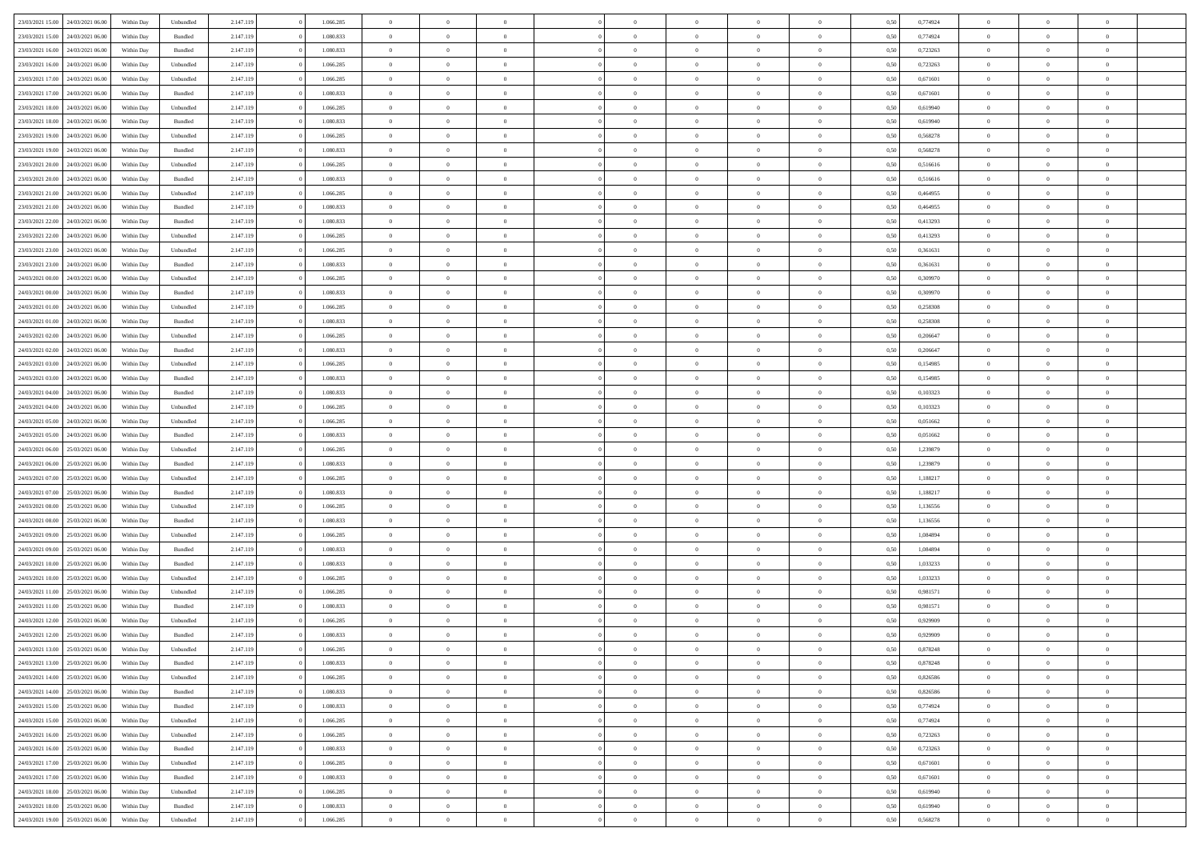| 23/03/2021 15:00                  | 24/03/2021 06:00 | Within Dav | Unbundled          | 2.147.119 | 1.066.285 | $\overline{0}$ | $\theta$       |                | $\Omega$       | $\Omega$       | $\Omega$       | $\theta$       | 0.50 | 0,774924 | $\theta$       | $\overline{0}$ | $\theta$       |  |
|-----------------------------------|------------------|------------|--------------------|-----------|-----------|----------------|----------------|----------------|----------------|----------------|----------------|----------------|------|----------|----------------|----------------|----------------|--|
|                                   |                  |            |                    |           |           |                |                |                |                |                |                |                |      |          |                |                |                |  |
| 23/03/2021 15:00                  | 24/03/2021 06.00 | Within Day | Bundled            | 2.147.119 | 1.080.833 | $\overline{0}$ | $\theta$       | $\overline{0}$ | $\overline{0}$ | $\bf{0}$       | $\overline{0}$ | $\bf{0}$       | 0,50 | 0,774924 | $\theta$       | $\overline{0}$ | $\overline{0}$ |  |
| 23/03/2021 16:00                  | 24/03/2021 06:00 | Within Day | Bundled            | 2.147.119 | 1.080.833 | $\overline{0}$ | $\overline{0}$ | $\overline{0}$ | $\bf{0}$       | $\bf{0}$       | $\bf{0}$       | $\bf{0}$       | 0,50 | 0,723263 | $\bf{0}$       | $\overline{0}$ | $\overline{0}$ |  |
| 23/03/2021 16:00                  | 24/03/2021 06:00 | Within Dav | Unbundled          | 2.147.119 | 1.066.285 | $\overline{0}$ | $\overline{0}$ | $\overline{0}$ | $\overline{0}$ | $\bf{0}$       | $\overline{0}$ | $\overline{0}$ | 0.50 | 0,723263 | $\theta$       | $\theta$       | $\overline{0}$ |  |
| 23/03/2021 17:00                  | 24/03/2021 06.00 | Within Day | Unbundled          | 2.147.119 | 1.066.285 | $\overline{0}$ | $\theta$       | $\overline{0}$ | $\overline{0}$ | $\bf{0}$       | $\overline{0}$ | $\bf{0}$       | 0,50 | 0,671601 | $\theta$       | $\theta$       | $\overline{0}$ |  |
| 23/03/2021 17:00                  | 24/03/2021 06:00 | Within Day | Bundled            | 2.147.119 | 1.080.833 | $\overline{0}$ | $\bf{0}$       | $\overline{0}$ | $\bf{0}$       | $\overline{0}$ | $\overline{0}$ | $\mathbf{0}$   | 0,50 | 0,671601 | $\overline{0}$ | $\overline{0}$ | $\bf{0}$       |  |
| 23/03/2021 18:00                  | 24/03/2021 06.00 | Within Dav | Unbundled          | 2.147.119 | 1.066.285 | $\overline{0}$ | $\overline{0}$ | $\overline{0}$ | $\overline{0}$ | $\overline{0}$ | $\overline{0}$ | $\overline{0}$ | 0.50 | 0,619940 | $\theta$       | $\overline{0}$ | $\overline{0}$ |  |
|                                   |                  |            |                    |           |           |                |                |                |                |                |                |                |      |          |                |                |                |  |
| 23/03/2021 18:00                  | 24/03/2021 06.00 | Within Day | Bundled            | 2.147.119 | 1.080.833 | $\overline{0}$ | $\theta$       | $\overline{0}$ | $\overline{0}$ | $\bf{0}$       | $\overline{0}$ | $\bf{0}$       | 0,50 | 0,619940 | $\theta$       | $\theta$       | $\overline{0}$ |  |
| 23/03/2021 19:00                  | 24/03/2021 06:00 | Within Day | Unbundled          | 2.147.119 | 1.066.285 | $\overline{0}$ | $\overline{0}$ | $\overline{0}$ | $\bf{0}$       | $\bf{0}$       | $\bf{0}$       | $\bf{0}$       | 0,50 | 0,568278 | $\,0\,$        | $\overline{0}$ | $\overline{0}$ |  |
| 23/03/2021 19:00                  | 24/03/2021 06:00 | Within Dav | Bundled            | 2.147.119 | 1.080.833 | $\overline{0}$ | $\overline{0}$ | $\overline{0}$ | $\overline{0}$ | $\overline{0}$ | $\overline{0}$ | $\overline{0}$ | 0.50 | 0,568278 | $\theta$       | $\overline{0}$ | $\overline{0}$ |  |
| 23/03/2021 20:00                  | 24/03/2021 06.00 | Within Day | Unbundled          | 2.147.119 | 1.066.285 | $\overline{0}$ | $\theta$       | $\overline{0}$ | $\overline{0}$ | $\bf{0}$       | $\overline{0}$ | $\bf{0}$       | 0,50 | 0,516616 | $\,$ 0 $\,$    | $\theta$       | $\overline{0}$ |  |
| 23/03/2021 20:00                  | 24/03/2021 06:00 | Within Day | Bundled            | 2.147.119 | 1.080.833 | $\overline{0}$ | $\overline{0}$ | $\overline{0}$ | $\bf{0}$       | $\bf{0}$       | $\bf{0}$       | $\bf{0}$       | 0,50 | 0,516616 | $\overline{0}$ | $\overline{0}$ | $\overline{0}$ |  |
| 23/03/2021 21:00                  | 24/03/2021 06:00 | Within Day | Unbundled          | 2.147.119 | 1.066.285 | $\overline{0}$ | $\overline{0}$ | $\overline{0}$ | $\overline{0}$ | $\bf{0}$       | $\overline{0}$ | $\overline{0}$ | 0.50 | 0.464955 | $\theta$       | $\theta$       | $\overline{0}$ |  |
| 23/03/2021 21:00                  | 24/03/2021 06.00 | Within Day | Bundled            | 2.147.119 | 1.080.833 | $\overline{0}$ | $\theta$       | $\overline{0}$ | $\overline{0}$ | $\bf{0}$       | $\overline{0}$ | $\overline{0}$ | 0,50 | 0,464955 | $\theta$       | $\theta$       | $\overline{0}$ |  |
|                                   |                  |            |                    |           |           |                |                |                |                |                |                |                |      |          |                |                |                |  |
| 23/03/2021 22:00                  | 24/03/2021 06:00 | Within Day | Bundled            | 2.147.119 | 1.080.833 | $\overline{0}$ | $\bf{0}$       | $\overline{0}$ | $\bf{0}$       | $\overline{0}$ | $\overline{0}$ | $\mathbf{0}$   | 0,50 | 0,413293 | $\overline{0}$ | $\overline{0}$ | $\bf{0}$       |  |
| 23/03/2021 22:00                  | 24/03/2021 06:00 | Within Dav | Unbundled          | 2.147.119 | 1.066.285 | $\overline{0}$ | $\overline{0}$ | $\overline{0}$ | $\overline{0}$ | $\overline{0}$ | $\overline{0}$ | $\overline{0}$ | 0.50 | 0,413293 | $\theta$       | $\overline{0}$ | $\overline{0}$ |  |
| 23/03/2021 23:00                  | 24/03/2021 06.00 | Within Day | Unbundled          | 2.147.119 | 1.066.285 | $\overline{0}$ | $\theta$       | $\overline{0}$ | $\overline{0}$ | $\bf{0}$       | $\overline{0}$ | $\bf{0}$       | 0,50 | 0,361631 | $\theta$       | $\theta$       | $\overline{0}$ |  |
| 23/03/2021 23:00                  | 24/03/2021 06:00 | Within Day | Bundled            | 2.147.119 | 1.080.833 | $\overline{0}$ | $\overline{0}$ | $\overline{0}$ | $\bf{0}$       | $\bf{0}$       | $\bf{0}$       | $\bf{0}$       | 0,50 | 0,361631 | $\,0\,$        | $\overline{0}$ | $\overline{0}$ |  |
| 24/03/2021 00:00                  | 24/03/2021 06:00 | Within Day | Unbundled          | 2.147.119 | 1.066.285 | $\overline{0}$ | $\overline{0}$ | $\overline{0}$ | $\overline{0}$ | $\overline{0}$ | $\overline{0}$ | $\overline{0}$ | 0.50 | 0,309970 | $\theta$       | $\overline{0}$ | $\overline{0}$ |  |
| 24/03/2021 00:00                  | 24/03/2021 06.00 | Within Day | Bundled            | 2.147.119 | 1.080.833 | $\overline{0}$ | $\theta$       | $\overline{0}$ | $\overline{0}$ | $\bf{0}$       | $\overline{0}$ | $\bf{0}$       | 0,50 | 0,309970 | $\,$ 0 $\,$    | $\theta$       | $\overline{0}$ |  |
| 24/03/2021 01.00                  | 24/03/2021 06:00 | Within Day | Unbundled          | 2.147.119 | 1.066.285 | $\overline{0}$ | $\overline{0}$ | $\overline{0}$ | $\bf{0}$       | $\bf{0}$       | $\bf{0}$       | $\bf{0}$       | 0,50 | 0,258308 | $\bf{0}$       | $\overline{0}$ | $\overline{0}$ |  |
| 24/03/2021 01:00                  | 24/03/2021 06:00 | Within Day | Bundled            | 2.147.119 | 1.080.833 | $\overline{0}$ | $\overline{0}$ | $\overline{0}$ | $\overline{0}$ | $\bf{0}$       | $\overline{0}$ | $\overline{0}$ | 0.50 | 0,258308 | $\theta$       | $\theta$       | $\overline{0}$ |  |
|                                   |                  |            |                    |           |           |                |                |                |                |                |                |                |      |          |                |                |                |  |
| 24/03/2021 02:00                  | 24/03/2021 06.00 | Within Day | Unbundled          | 2.147.119 | 1.066.285 | $\overline{0}$ | $\theta$       | $\overline{0}$ | $\overline{0}$ | $\bf{0}$       | $\overline{0}$ | $\bf{0}$       | 0,50 | 0,206647 | $\theta$       | $\overline{0}$ | $\overline{0}$ |  |
| 24/03/2021 02:00                  | 24/03/2021 06:00 | Within Day | Bundled            | 2.147.119 | 1.080.833 | $\overline{0}$ | $\bf{0}$       | $\overline{0}$ | $\bf{0}$       | $\overline{0}$ | $\overline{0}$ | $\mathbf{0}$   | 0,50 | 0,206647 | $\overline{0}$ | $\overline{0}$ | $\bf{0}$       |  |
| 24/03/2021 03:00                  | 24/03/2021 06:00 | Within Dav | Unbundled          | 2.147.119 | 1.066.285 | $\overline{0}$ | $\overline{0}$ | $\overline{0}$ | $\overline{0}$ | $\overline{0}$ | $\overline{0}$ | $\overline{0}$ | 0.50 | 0,154985 | $\theta$       | $\overline{0}$ | $\overline{0}$ |  |
| 24/03/2021 03:00                  | 24/03/2021 06.00 | Within Day | Bundled            | 2.147.119 | 1.080.833 | $\overline{0}$ | $\theta$       | $\overline{0}$ | $\overline{0}$ | $\bf{0}$       | $\overline{0}$ | $\bf{0}$       | 0,50 | 0,154985 | $\theta$       | $\theta$       | $\overline{0}$ |  |
| 24/03/2021 04:00                  | 24/03/2021 06:00 | Within Day | Bundled            | 2.147.119 | 1.080.833 | $\overline{0}$ | $\overline{0}$ | $\overline{0}$ | $\bf{0}$       | $\bf{0}$       | $\bf{0}$       | $\bf{0}$       | 0,50 | 0,103323 | $\,0\,$        | $\overline{0}$ | $\overline{0}$ |  |
| 24/03/2021 04:00                  | 24/03/2021 06:00 | Within Day | Unbundled          | 2.147.119 | 1.066.285 | $\overline{0}$ | $\overline{0}$ | $\overline{0}$ | $\overline{0}$ | $\overline{0}$ | $\overline{0}$ | $\overline{0}$ | 0.50 | 0,103323 | $\theta$       | $\overline{0}$ | $\overline{0}$ |  |
| 24/03/2021 05:00                  | 24/03/2021 06.00 | Within Day | Unbundled          | 2.147.119 | 1.066.285 | $\overline{0}$ | $\theta$       | $\overline{0}$ | $\overline{0}$ | $\bf{0}$       | $\overline{0}$ | $\bf{0}$       | 0,50 | 0,051662 | $\,$ 0 $\,$    | $\overline{0}$ | $\overline{0}$ |  |
|                                   |                  |            |                    |           |           |                | $\overline{0}$ |                |                | $\bf{0}$       |                |                |      |          |                | $\overline{0}$ | $\overline{0}$ |  |
| 24/03/2021 05:00                  | 24/03/2021 06:00 | Within Day | Bundled            | 2.147.119 | 1.080.833 | $\overline{0}$ |                | $\overline{0}$ | $\bf{0}$       |                | $\bf{0}$       | $\bf{0}$       | 0,50 | 0,051662 | $\overline{0}$ |                |                |  |
| 24/03/2021 06:00                  | 25/03/2021 06:00 | Within Day | Unbundled          | 2.147.119 | 1.066.285 | $\overline{0}$ | $\Omega$       | $\Omega$       | $\Omega$       | $\Omega$       | $\overline{0}$ | $\overline{0}$ | 0.50 | 1,239879 | $\,0\,$        | $\theta$       | $\theta$       |  |
| 24/03/2021 06:00                  | 25/03/2021 06:00 | Within Day | Bundled            | 2.147.119 | 1.080.833 | $\overline{0}$ | $\theta$       | $\overline{0}$ | $\overline{0}$ | $\bf{0}$       | $\overline{0}$ | $\bf{0}$       | 0,50 | 1,239879 | $\theta$       | $\theta$       | $\overline{0}$ |  |
| 24/03/2021 07:00                  | 25/03/2021 06:00 | Within Day | Unbundled          | 2.147.119 | 1.066.285 | $\overline{0}$ | $\overline{0}$ | $\overline{0}$ | $\bf{0}$       | $\bf{0}$       | $\overline{0}$ | $\mathbf{0}$   | 0,50 | 1,188217 | $\overline{0}$ | $\overline{0}$ | $\bf{0}$       |  |
| 24/03/2021 07.00                  | 25/03/2021 06:00 | Within Day | Bundled            | 2.147.119 | 1.080.833 | $\overline{0}$ | $\Omega$       | $\Omega$       | $\Omega$       | $\bf{0}$       | $\overline{0}$ | $\overline{0}$ | 0.50 | 1,188217 | $\,0\,$        | $\theta$       | $\theta$       |  |
| 24/03/2021 08:00                  | 25/03/2021 06.00 | Within Day | Unbundled          | 2.147.119 | 1.066.285 | $\overline{0}$ | $\theta$       | $\overline{0}$ | $\overline{0}$ | $\bf{0}$       | $\overline{0}$ | $\bf{0}$       | 0,50 | 1,136556 | $\,$ 0 $\,$    | $\theta$       | $\overline{0}$ |  |
| 24/03/2021 08:00                  | 25/03/2021 06:00 | Within Day | Bundled            | 2.147.119 | 1.080.833 | $\overline{0}$ | $\overline{0}$ | $\overline{0}$ | $\bf{0}$       | $\bf{0}$       | $\bf{0}$       | $\bf{0}$       | 0,50 | 1,136556 | $\,0\,$        | $\overline{0}$ | $\overline{0}$ |  |
| 24/03/2021 09:00                  | 25/03/2021 06:00 | Within Day | Unbundled          | 2.147.119 | 1.066.285 | $\overline{0}$ | $\Omega$       | $\Omega$       | $\Omega$       | $\theta$       | $\theta$       | $\overline{0}$ | 0.50 | 1.084894 | $\theta$       | $\theta$       | $\theta$       |  |
|                                   |                  |            |                    |           |           | $\overline{0}$ |                |                |                |                |                |                |      |          |                |                |                |  |
| 24/03/2021 09:00                  | 25/03/2021 06:00 | Within Day | Bundled            | 2.147.119 | 1.080.833 |                | $\theta$       | $\overline{0}$ | $\overline{0}$ | $\bf{0}$       | $\overline{0}$ | $\bf{0}$       | 0,50 | 1,084894 | $\,$ 0 $\,$    | $\overline{0}$ | $\overline{0}$ |  |
| 24/03/2021 10:00                  | 25/03/2021 06:00 | Within Day | Bundled            | 2.147.119 | 1.080.833 | $\overline{0}$ | $\overline{0}$ | $\overline{0}$ | $\bf{0}$       | $\bf{0}$       | $\bf{0}$       | $\bf{0}$       | 0,50 | 1,033233 | $\bf{0}$       | $\overline{0}$ | $\overline{0}$ |  |
| 24/03/2021 10:00                  | 25/03/2021 06:00 | Within Day | Unbundled          | 2.147.119 | 1.066.285 | $\overline{0}$ | $\Omega$       | $\overline{0}$ | $\Omega$       | $\Omega$       | $\overline{0}$ | $\overline{0}$ | 0.50 | 1,033233 | $\,0\,$        | $\theta$       | $\theta$       |  |
| 24/03/2021 11:00                  | 25/03/2021 06.00 | Within Day | Unbundled          | 2.147.119 | 1.066.285 | $\overline{0}$ | $\theta$       | $\overline{0}$ | $\overline{0}$ | $\bf{0}$       | $\overline{0}$ | $\bf{0}$       | 0,50 | 0,981571 | $\,$ 0 $\,$    | $\overline{0}$ | $\overline{0}$ |  |
| 24/03/2021 11:00                  | 25/03/2021 06:00 | Within Day | Bundled            | 2.147.119 | 1.080.833 | $\overline{0}$ | $\overline{0}$ | $\overline{0}$ | $\bf{0}$       | $\bf{0}$       | $\bf{0}$       | $\mathbf{0}$   | 0,50 | 0,981571 | $\bf{0}$       | $\overline{0}$ | $\bf{0}$       |  |
| 24/03/2021 12:00                  | 25/03/2021 06:00 | Within Day | Unbundled          | 2.147.119 | 1.066.285 | $\overline{0}$ | $\Omega$       | $\Omega$       | $\Omega$       | $\Omega$       | $\Omega$       | $\overline{0}$ | 0.50 | 0,929909 | $\theta$       | $\theta$       | $\theta$       |  |
| 24/03/2021 12:00                  | 25/03/2021 06:00 | Within Day | Bundled            | 2.147.119 | 1.080.833 | $\overline{0}$ | $\overline{0}$ | $\overline{0}$ | $\bf{0}$       | $\,$ 0         | $\bf{0}$       | $\bf{0}$       | 0,50 | 0,929909 | $\,0\,$        | $\overline{0}$ | $\overline{0}$ |  |
| 24/03/2021 13:00                  | 25/03/2021 06:00 | Within Day | Unbundled          | 2.147.119 | 1.066.285 | $\bf{0}$       | $\bf{0}$       |                |                | $\bf{0}$       |                |                | 0,50 | 0,878248 | $\bf{0}$       | $\overline{0}$ |                |  |
| 24/03/2021 13:00                  | 25/03/2021 06:00 |            | Bundled            | 2.147.119 | 1.080.833 | $\overline{0}$ | $\overline{0}$ | $\overline{0}$ | $\Omega$       | $\overline{0}$ | $\overline{0}$ | $\overline{0}$ | 0.50 |          | $\theta$       | $\theta$       | $\theta$       |  |
|                                   |                  | Within Day |                    |           |           |                |                |                |                |                |                |                |      | 0,878248 |                |                |                |  |
| 24/03/2021 14:00                  | 25/03/2021 06.00 | Within Day | Unbundled          | 2.147.119 | 1.066.285 | $\overline{0}$ | $\,$ 0         | $\overline{0}$ | $\bf{0}$       | $\,$ 0 $\,$    | $\overline{0}$ | $\mathbf{0}$   | 0,50 | 0,826586 | $\,$ 0 $\,$    | $\,$ 0 $\,$    | $\,$ 0         |  |
| 24/03/2021 14:00                  | 25/03/2021 06:00 | Within Day | Bundled            | 2.147.119 | 1.080.833 | $\overline{0}$ | $\overline{0}$ | $\overline{0}$ | $\overline{0}$ | $\overline{0}$ | $\overline{0}$ | $\mathbf{0}$   | 0,50 | 0,826586 | $\overline{0}$ | $\bf{0}$       | $\bf{0}$       |  |
| 24/03/2021 15:00                  | 25/03/2021 06:00 | Within Day | $\mathbf B$ undled | 2.147.119 | 1.080.833 | $\overline{0}$ | $\overline{0}$ | $\overline{0}$ | $\Omega$       | $\overline{0}$ | $\overline{0}$ | $\bf{0}$       | 0,50 | 0,774924 | $\overline{0}$ | $\theta$       | $\overline{0}$ |  |
| 24/03/2021 15:00                  | 25/03/2021 06.00 | Within Day | Unbundled          | 2.147.119 | 1.066.285 | $\overline{0}$ | $\,$ 0         | $\overline{0}$ | $\overline{0}$ | $\,$ 0 $\,$    | $\overline{0}$ | $\bf{0}$       | 0,50 | 0,774924 | $\,$ 0 $\,$    | $\overline{0}$ | $\overline{0}$ |  |
| 24/03/2021 16:00                  | 25/03/2021 06:00 | Within Day | Unbundled          | 2.147.119 | 1.066.285 | $\overline{0}$ | $\overline{0}$ | $\overline{0}$ | $\overline{0}$ | $\overline{0}$ | $\overline{0}$ | $\mathbf{0}$   | 0,50 | 0,723263 | $\overline{0}$ | $\overline{0}$ | $\bf{0}$       |  |
| 24/03/2021 16:00                  | 25/03/2021 06:00 | Within Day | Bundled            | 2.147.119 | 1.080.833 | $\overline{0}$ | $\overline{0}$ | $\overline{0}$ | $\Omega$       | $\overline{0}$ | $\overline{0}$ | $\bf{0}$       | 0.50 | 0,723263 | $\overline{0}$ | $\theta$       | $\overline{0}$ |  |
| 24/03/2021 17:00                  | 25/03/2021 06.00 | Within Day | Unbundled          | 2.147.119 | 1.066.285 | $\overline{0}$ | $\,$ 0         | $\overline{0}$ | $\bf{0}$       | $\bf{0}$       | $\bf{0}$       | $\bf{0}$       | 0,50 | 0,671601 | $\,$ 0 $\,$    | $\overline{0}$ | $\overline{0}$ |  |
| 24/03/2021 17:00                  | 25/03/2021 06:00 | Within Day | Bundled            | 2.147.119 | 1.080.833 | $\overline{0}$ | $\bf{0}$       | $\overline{0}$ | $\overline{0}$ | $\overline{0}$ | $\overline{0}$ | $\mathbf{0}$   | 0,50 | 0,671601 | $\overline{0}$ | $\overline{0}$ | $\bf{0}$       |  |
|                                   |                  |            |                    |           |           |                |                |                |                |                |                |                |      |          |                |                |                |  |
| 24/03/2021 18:00                  | 25/03/2021 06:00 | Within Day | Unbundled          | 2.147.119 | 1.066.285 | $\overline{0}$ | $\overline{0}$ | $\overline{0}$ | $\Omega$       | $\overline{0}$ | $\overline{0}$ | $\bf{0}$       | 0.50 | 0,619940 | $\overline{0}$ | $\theta$       | $\overline{0}$ |  |
| 24/03/2021 18:00                  | 25/03/2021 06.00 | Within Day | Bundled            | 2.147.119 | 1.080.833 | $\overline{0}$ | $\bf{0}$       | $\overline{0}$ | $\overline{0}$ | $\bf{0}$       | $\bf{0}$       | $\mathbf{0}$   | 0,50 | 0,619940 | $\,$ 0 $\,$    | $\,$ 0 $\,$    | $\bf{0}$       |  |
| 24/03/2021 19:00 25/03/2021 06:00 |                  | Within Day | Unbundled          | 2.147.119 | 1.066.285 | $\overline{0}$ | $\overline{0}$ | $\overline{0}$ | $\overline{0}$ | $\bf{0}$       | $\bf{0}$       | $\mathbf{0}$   | 0,50 | 0,568278 | $\overline{0}$ | $\bf{0}$       | $\bf{0}$       |  |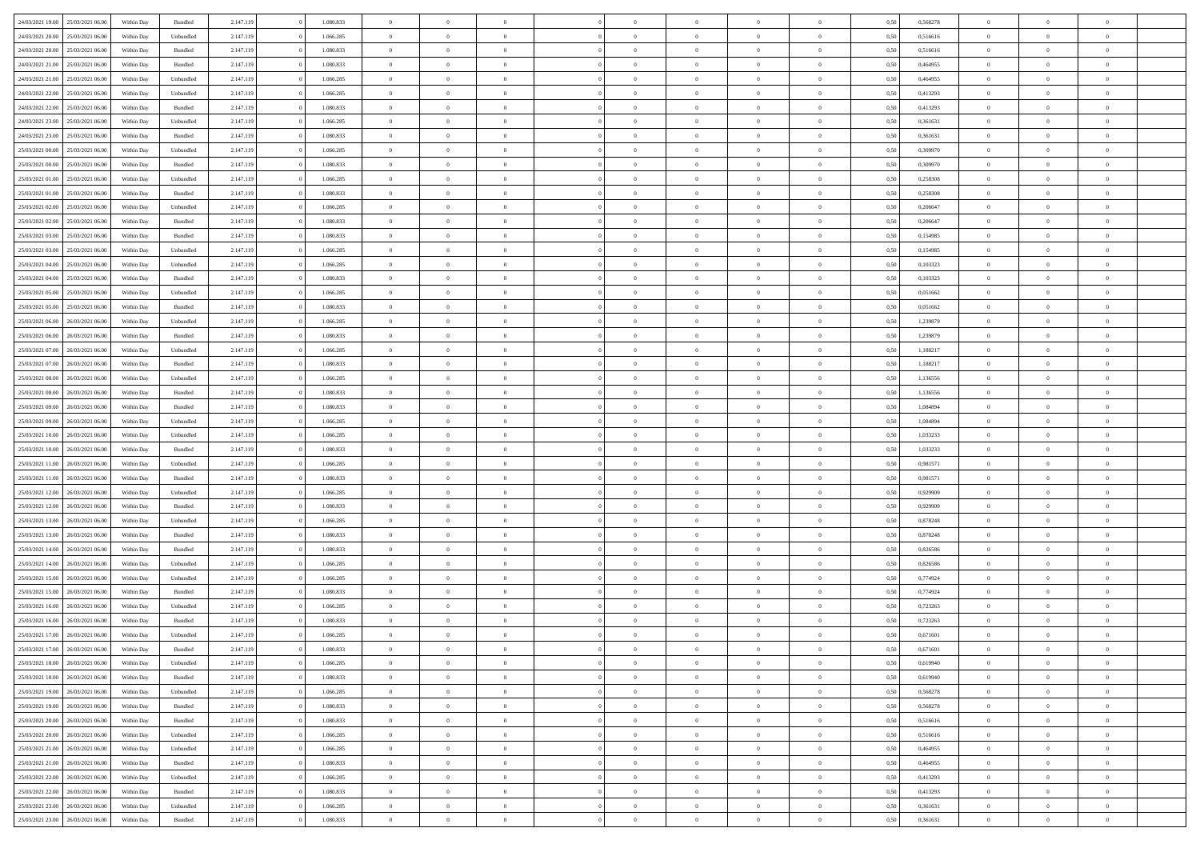| 24/03/2021 19:00 | 25/03/2021 06:00 | Within Day | Bundled            | 2.147.119 | 1.080.833 | $\overline{0}$ | $\Omega$       |                | $\Omega$       | $\Omega$       | $\theta$       | $\theta$       | 0.50 | 0,568278 | $\theta$       | $\theta$       | $\theta$       |  |
|------------------|------------------|------------|--------------------|-----------|-----------|----------------|----------------|----------------|----------------|----------------|----------------|----------------|------|----------|----------------|----------------|----------------|--|
|                  |                  |            |                    |           |           |                |                |                |                |                |                |                |      |          |                |                |                |  |
| 24/03/2021 20:00 | 25/03/2021 06:00 | Within Day | Unbundled          | 2.147.119 | 1.066.285 | $\overline{0}$ | $\theta$       | $\overline{0}$ | $\overline{0}$ | $\bf{0}$       | $\overline{0}$ | $\bf{0}$       | 0,50 | 0,516616 | $\theta$       | $\overline{0}$ | $\overline{0}$ |  |
| 24/03/2021 20:00 | 25/03/2021 06:00 | Within Day | Bundled            | 2.147.119 | 1.080.833 | $\overline{0}$ | $\bf{0}$       | $\overline{0}$ | $\bf{0}$       | $\bf{0}$       | $\bf{0}$       | $\mathbf{0}$   | 0,50 | 0,516616 | $\bf{0}$       | $\overline{0}$ | $\bf{0}$       |  |
| 24/03/2021 21:00 | 25/03/2021 06:00 | Within Dav | Bundled            | 2.147.119 | 1.080.833 | $\overline{0}$ | $\overline{0}$ | $\overline{0}$ | $\overline{0}$ | $\bf{0}$       | $\overline{0}$ | $\overline{0}$ | 0.50 | 0.464955 | $\theta$       | $\theta$       | $\overline{0}$ |  |
|                  |                  |            |                    |           |           |                |                |                |                |                |                |                |      |          |                |                |                |  |
| 24/03/2021 21:00 | 25/03/2021 06:00 | Within Day | Unbundled          | 2.147.119 | 1.066.285 | $\overline{0}$ | $\theta$       | $\overline{0}$ | $\overline{0}$ | $\bf{0}$       | $\overline{0}$ | $\bf{0}$       | 0,50 | 0,464955 | $\theta$       | $\overline{0}$ | $\overline{0}$ |  |
| 24/03/2021 22:00 | 25/03/2021 06:00 | Within Day | Unbundled          | 2.147.119 | 1.066.285 | $\overline{0}$ | $\overline{0}$ | $\overline{0}$ | $\bf{0}$       | $\overline{0}$ | $\overline{0}$ | $\mathbf{0}$   | 0,50 | 0,413293 | $\bf{0}$       | $\overline{0}$ | $\bf{0}$       |  |
| 24/03/2021 22:00 | 25/03/2021 06:00 | Within Dav | Bundled            | 2.147.119 | 1.080.833 | $\overline{0}$ | $\overline{0}$ | $\overline{0}$ | $\overline{0}$ | $\overline{0}$ | $\overline{0}$ | $\overline{0}$ | 0.50 | 0,413293 | $\theta$       | $\overline{0}$ | $\overline{0}$ |  |
| 24/03/2021 23:00 | 25/03/2021 06:00 | Within Day | Unbundled          | 2.147.119 | 1.066.285 | $\overline{0}$ | $\theta$       | $\overline{0}$ | $\overline{0}$ | $\bf{0}$       | $\overline{0}$ | $\bf{0}$       | 0,50 | 0,361631 | $\theta$       | $\theta$       | $\overline{0}$ |  |
|                  |                  |            |                    |           |           |                | $\overline{0}$ |                |                | $\bf{0}$       |                |                |      |          | $\,0\,$        | $\overline{0}$ | $\overline{0}$ |  |
| 24/03/2021 23:00 | 25/03/2021 06:00 | Within Day | Bundled            | 2.147.119 | 1.080.833 | $\overline{0}$ |                | $\overline{0}$ | $\bf{0}$       |                | $\bf{0}$       | $\bf{0}$       | 0,50 | 0,361631 |                |                |                |  |
| 25/03/2021 00:00 | 25/03/2021 06:00 | Within Dav | Unbundled          | 2.147.119 | 1.066.285 | $\overline{0}$ | $\overline{0}$ | $\overline{0}$ | $\overline{0}$ | $\overline{0}$ | $\overline{0}$ | $\overline{0}$ | 0.50 | 0,309970 | $\theta$       | $\overline{0}$ | $\overline{0}$ |  |
| 25/03/2021 00:00 | 25/03/2021 06:00 | Within Day | Bundled            | 2.147.119 | 1.080.833 | $\overline{0}$ | $\theta$       | $\overline{0}$ | $\overline{0}$ | $\bf{0}$       | $\overline{0}$ | $\bf{0}$       | 0,50 | 0,309970 | $\,$ 0 $\,$    | $\overline{0}$ | $\overline{0}$ |  |
| 25/03/2021 01:00 | 25/03/2021 06:00 | Within Day | Unbundled          | 2.147.119 | 1.066.285 | $\overline{0}$ | $\overline{0}$ | $\overline{0}$ | $\bf{0}$       | $\bf{0}$       | $\bf{0}$       | $\mathbf{0}$   | 0,50 | 0,258308 | $\overline{0}$ | $\overline{0}$ | $\bf{0}$       |  |
| 25/03/2021 01:00 | 25/03/2021 06:00 | Within Day | Bundled            | 2.147.119 | 1.080.833 | $\overline{0}$ | $\overline{0}$ | $\overline{0}$ | $\overline{0}$ | $\bf{0}$       | $\overline{0}$ | $\overline{0}$ | 0.50 | 0,258308 | $\theta$       | $\theta$       | $\overline{0}$ |  |
|                  |                  |            |                    |           |           | $\overline{0}$ | $\theta$       | $\overline{0}$ | $\overline{0}$ | $\bf{0}$       | $\overline{0}$ |                |      |          | $\theta$       | $\overline{0}$ | $\overline{0}$ |  |
| 25/03/2021 02:00 | 25/03/2021 06:00 | Within Day | Unbundled          | 2.147.119 | 1.066.285 |                |                |                |                |                |                | $\bf{0}$       | 0,50 | 0,206647 |                |                |                |  |
| 25/03/2021 02:00 | 25/03/2021 06:00 | Within Day | Bundled            | 2.147.119 | 1.080.833 | $\overline{0}$ | $\overline{0}$ | $\overline{0}$ | $\bf{0}$       | $\overline{0}$ | $\overline{0}$ | $\mathbf{0}$   | 0,50 | 0,206647 | $\overline{0}$ | $\overline{0}$ | $\bf{0}$       |  |
| 25/03/2021 03:00 | 25/03/2021 06:00 | Within Dav | Bundled            | 2.147.119 | 1.080.833 | $\overline{0}$ | $\overline{0}$ | $\overline{0}$ | $\overline{0}$ | $\overline{0}$ | $\overline{0}$ | $\overline{0}$ | 0.50 | 0,154985 | $\theta$       | $\overline{0}$ | $\overline{0}$ |  |
| 25/03/2021 03:00 | 25/03/2021 06.00 | Within Day | Unbundled          | 2.147.119 | 1.066.285 | $\overline{0}$ | $\theta$       | $\overline{0}$ | $\overline{0}$ | $\bf{0}$       | $\overline{0}$ | $\bf{0}$       | 0,50 | 0,154985 | $\theta$       | $\theta$       | $\overline{0}$ |  |
| 25/03/2021 04:00 | 25/03/2021 06:00 | Within Day | Unbundled          | 2.147.119 | 1.066.285 | $\overline{0}$ | $\overline{0}$ | $\overline{0}$ | $\bf{0}$       | $\bf{0}$       | $\bf{0}$       | $\mathbf{0}$   | 0,50 | 0,103323 | $\bf{0}$       | $\overline{0}$ | $\overline{0}$ |  |
|                  |                  |            |                    |           |           |                |                |                |                |                |                |                |      |          |                |                |                |  |
| 25/03/2021 04:00 | 25/03/2021 06:00 | Within Day | Bundled            | 2.147.119 | 1.080.833 | $\overline{0}$ | $\overline{0}$ | $\overline{0}$ | $\overline{0}$ | $\overline{0}$ | $\overline{0}$ | $\overline{0}$ | 0.50 | 0,103323 | $\theta$       | $\overline{0}$ | $\overline{0}$ |  |
| 25/03/2021 05:00 | 25/03/2021 06:00 | Within Day | Unbundled          | 2.147.119 | 1.066.285 | $\overline{0}$ | $\theta$       | $\overline{0}$ | $\overline{0}$ | $\bf{0}$       | $\overline{0}$ | $\bf{0}$       | 0,50 | 0,051662 | $\theta$       | $\overline{0}$ | $\overline{0}$ |  |
| 25/03/2021 05:00 | 25/03/2021 06:00 | Within Day | Bundled            | 2.147.119 | 1.080.833 | $\overline{0}$ | $\overline{0}$ | $\overline{0}$ | $\bf{0}$       | $\bf{0}$       | $\bf{0}$       | $\bf{0}$       | 0,50 | 0,051662 | $\bf{0}$       | $\overline{0}$ | $\bf{0}$       |  |
| 25/03/2021 06:00 | 26/03/2021 06:00 | Within Day | Unbundled          | 2.147.119 | 1.066.285 | $\overline{0}$ | $\overline{0}$ | $\overline{0}$ | $\overline{0}$ | $\bf{0}$       | $\overline{0}$ | $\overline{0}$ | 0.50 | 1,239879 | $\theta$       | $\overline{0}$ | $\overline{0}$ |  |
| 25/03/2021 06:00 | 26/03/2021 06:00 | Within Day | Bundled            | 2.147.119 | 1.080.833 | $\overline{0}$ | $\theta$       | $\overline{0}$ | $\overline{0}$ | $\bf{0}$       | $\overline{0}$ | $\bf{0}$       | 0,50 | 1,239879 | $\,$ 0 $\,$    | $\overline{0}$ | $\overline{0}$ |  |
|                  |                  |            |                    |           |           |                |                |                |                |                |                |                |      |          |                |                |                |  |
| 25/03/2021 07:00 | 26/03/2021 06:00 | Within Day | Unbundled          | 2.147.119 | 1.066.285 | $\overline{0}$ | $\overline{0}$ | $\overline{0}$ | $\bf{0}$       | $\overline{0}$ | $\overline{0}$ | $\mathbf{0}$   | 0,50 | 1,188217 | $\overline{0}$ | $\overline{0}$ | $\bf{0}$       |  |
| 25/03/2021 07:00 | 26/03/2021 06:00 | Within Dav | Bundled            | 2.147.119 | 1.080.833 | $\overline{0}$ | $\overline{0}$ | $\overline{0}$ | $\overline{0}$ | $\overline{0}$ | $\overline{0}$ | $\overline{0}$ | 0.50 | 1,188217 | $\theta$       | $\overline{0}$ | $\overline{0}$ |  |
| 25/03/2021 08:00 | 26/03/2021 06:00 | Within Day | Unbundled          | 2.147.119 | 1.066.285 | $\overline{0}$ | $\theta$       | $\overline{0}$ | $\overline{0}$ | $\bf{0}$       | $\overline{0}$ | $\bf{0}$       | 0,50 | 1,136556 | $\theta$       | $\theta$       | $\overline{0}$ |  |
| 25/03/2021 08:00 | 26/03/2021 06:00 | Within Day | Bundled            | 2.147.119 | 1.080.833 | $\overline{0}$ | $\overline{0}$ | $\overline{0}$ | $\bf{0}$       | $\bf{0}$       | $\bf{0}$       | $\bf{0}$       | 0,50 | 1,136556 | $\,0\,$        | $\overline{0}$ | $\overline{0}$ |  |
|                  | 26/03/2021 06:00 |            | Bundled            |           | 1.080.833 | $\overline{0}$ | $\overline{0}$ | $\overline{0}$ | $\overline{0}$ | $\overline{0}$ | $\overline{0}$ | $\overline{0}$ | 0.50 | 1,084894 | $\theta$       | $\overline{0}$ | $\overline{0}$ |  |
| 25/03/2021 09:00 |                  | Within Day |                    | 2.147.119 |           |                |                |                |                |                |                |                |      |          |                |                |                |  |
| 25/03/2021 09:00 | 26/03/2021 06:00 | Within Day | Unbundled          | 2.147.119 | 1.066.285 | $\overline{0}$ | $\theta$       | $\overline{0}$ | $\overline{0}$ | $\bf{0}$       | $\overline{0}$ | $\bf{0}$       | 0,50 | 1,084894 | $\,$ 0 $\,$    | $\overline{0}$ | $\overline{0}$ |  |
| 25/03/2021 10:00 | 26/03/2021 06:00 | Within Day | Unbundled          | 2.147.119 | 1.066.285 | $\overline{0}$ | $\overline{0}$ | $\overline{0}$ | $\bf{0}$       | $\bf{0}$       | $\bf{0}$       | $\bf{0}$       | 0,50 | 1,033233 | $\overline{0}$ | $\overline{0}$ | $\bf{0}$       |  |
| 25/03/2021 10:00 | 26/03/2021 06:00 | Within Day | Bundled            | 2.147.119 | 1.080.833 | $\overline{0}$ | $\Omega$       | $\Omega$       | $\Omega$       | $\Omega$       | $\overline{0}$ | $\overline{0}$ | 0,50 | 1,033233 | $\,0\,$        | $\theta$       | $\theta$       |  |
| 25/03/2021 11:00 | 26/03/2021 06:00 | Within Day | Unbundled          | 2.147.119 | 1.066.285 | $\overline{0}$ | $\theta$       | $\overline{0}$ | $\overline{0}$ | $\bf{0}$       | $\overline{0}$ | $\bf{0}$       | 0,50 | 0,981571 | $\theta$       | $\overline{0}$ | $\overline{0}$ |  |
|                  |                  |            |                    |           |           |                |                |                |                |                |                |                |      |          |                |                |                |  |
| 25/03/2021 11:00 | 26/03/2021 06:00 | Within Day | Bundled            | 2.147.119 | 1.080.833 | $\overline{0}$ | $\overline{0}$ | $\overline{0}$ | $\bf{0}$       | $\overline{0}$ | $\overline{0}$ | $\mathbf{0}$   | 0,50 | 0,981571 | $\bf{0}$       | $\overline{0}$ | $\bf{0}$       |  |
| 25/03/2021 12:00 | 26/03/2021 06:00 | Within Day | Unbundled          | 2.147.119 | 1.066.285 | $\overline{0}$ | $\Omega$       | $\Omega$       | $\Omega$       | $\bf{0}$       | $\overline{0}$ | $\overline{0}$ | 0.50 | 0,929909 | $\,0\,$        | $\theta$       | $\theta$       |  |
| 25/03/2021 12:00 | 26/03/2021 06:00 | Within Day | Bundled            | 2.147.119 | 1.080.833 | $\overline{0}$ | $\theta$       | $\overline{0}$ | $\overline{0}$ | $\bf{0}$       | $\overline{0}$ | $\bf{0}$       | 0,50 | 0,929909 | $\theta$       | $\overline{0}$ | $\overline{0}$ |  |
| 25/03/2021 13:00 | 26/03/2021 06:00 | Within Day | Unbundled          | 2.147.119 | 1.066.285 | $\overline{0}$ | $\overline{0}$ | $\overline{0}$ | $\bf{0}$       | $\bf{0}$       | $\bf{0}$       | $\bf{0}$       | 0,50 | 0,878248 | $\bf{0}$       | $\overline{0}$ | $\bf{0}$       |  |
| 25/03/2021 13:00 | 26/03/2021 06:00 | Within Day | Bundled            | 2.147.119 | 1.080.833 | $\overline{0}$ | $\Omega$       | $\Omega$       | $\Omega$       | $\theta$       | $\overline{0}$ | $\overline{0}$ | 0.50 | 0,878248 | $\,$ 0 $\,$    | $\theta$       | $\theta$       |  |
|                  |                  |            |                    |           |           |                |                |                |                |                |                |                |      |          |                |                |                |  |
| 25/03/2021 14:00 | 26/03/2021 06:00 | Within Day | Bundled            | 2.147.119 | 1.080.833 | $\overline{0}$ | $\theta$       | $\overline{0}$ | $\overline{0}$ | $\bf{0}$       | $\overline{0}$ | $\bf{0}$       | 0,50 | 0,826586 | $\,$ 0 $\,$    | $\overline{0}$ | $\overline{0}$ |  |
| 25/03/2021 14:00 | 26/03/2021 06:00 | Within Day | Unbundled          | 2.147.119 | 1.066.285 | $\overline{0}$ | $\bf{0}$       | $\overline{0}$ | $\bf{0}$       | $\bf{0}$       | $\bf{0}$       | $\mathbf{0}$   | 0,50 | 0,826586 | $\bf{0}$       | $\overline{0}$ | $\bf{0}$       |  |
| 25/03/2021 15:00 | 26/03/2021 06:00 | Within Day | Unbundled          | 2.147.119 | 1.066.285 | $\overline{0}$ | $\Omega$       | $\Omega$       | $\Omega$       | $\overline{0}$ | $\overline{0}$ | $\overline{0}$ | 0.50 | 0,774924 | $\,0\,$        | $\theta$       | $\theta$       |  |
| 25/03/2021 15:00 | 26/03/2021 06:00 | Within Day | Bundled            | 2.147.119 | 1.080.833 | $\overline{0}$ | $\theta$       | $\overline{0}$ | $\overline{0}$ | $\bf{0}$       | $\overline{0}$ | $\bf{0}$       | 0,50 | 0,774924 | $\,$ 0 $\,$    | $\overline{0}$ | $\overline{0}$ |  |
| 25/03/2021 16:00 | 26/03/2021 06:00 | Within Day | Unbundled          | 2.147.119 | 1.066.285 | $\overline{0}$ | $\overline{0}$ | $\overline{0}$ | $\bf{0}$       | $\bf{0}$       | $\bf{0}$       | $\mathbf{0}$   | 0,50 | 0,723263 | $\bf{0}$       | $\overline{0}$ | $\bf{0}$       |  |
|                  |                  |            |                    |           |           |                |                |                |                |                |                |                |      |          |                |                |                |  |
| 25/03/2021 16:00 | 26/03/2021 06:00 | Within Day | Bundled            | 2.147.119 | 1.080.833 | $\overline{0}$ | $\Omega$       | $\Omega$       | $\Omega$       | $\Omega$       | $\Omega$       | $\overline{0}$ | 0.50 | 0,723263 | $\theta$       | $\theta$       | $\theta$       |  |
| 25/03/2021 17:00 | 26/03/2021 06:00 | Within Day | Unbundled          | 2.147.119 | 1.066.285 | $\overline{0}$ | $\overline{0}$ | $\overline{0}$ | $\bf{0}$       | $\,$ 0         | $\bf{0}$       | $\bf{0}$       | 0,50 | 0,671601 | $\,0\,$        | $\,$ 0 $\,$    | $\overline{0}$ |  |
| 25/03/2021 17:00 | 26/03/2021 06:00 | Within Day | $\mathbf B$ undled | 2.147.119 | 1.080.833 | $\bf{0}$       | $\bf{0}$       |                |                | $\bf{0}$       |                |                | 0,50 | 0,671601 | $\bf{0}$       | $\overline{0}$ |                |  |
| 25/03/2021 18:00 | 26/03/2021 06:00 | Within Day | Unbundled          | 2.147.119 | 1.066.285 | $\overline{0}$ | $\overline{0}$ | $\overline{0}$ | $\Omega$       | $\overline{0}$ | $\overline{0}$ | $\overline{0}$ | 0.50 | 0.619940 | $\theta$       | $\theta$       | $\theta$       |  |
| 25/03/2021 18:00 | 26/03/2021 06:00 | Within Day | Bundled            | 2.147.119 | 1.080.833 | $\overline{0}$ | $\,$ 0         | $\overline{0}$ | $\bf{0}$       | $\,$ 0 $\,$    | $\overline{0}$ | $\mathbf{0}$   | 0,50 | 0,619940 | $\,$ 0 $\,$    | $\,$ 0 $\,$    | $\,$ 0         |  |
|                  |                  |            |                    |           |           |                |                |                |                |                |                |                |      |          |                |                |                |  |
| 25/03/2021 19:00 | 26/03/2021 06:00 | Within Day | Unbundled          | 2.147.119 | 1.066.285 | $\overline{0}$ | $\overline{0}$ | $\overline{0}$ | $\overline{0}$ | $\overline{0}$ | $\overline{0}$ | $\mathbf{0}$   | 0,50 | 0,568278 | $\overline{0}$ | $\bf{0}$       | $\bf{0}$       |  |
| 25/03/2021 19:00 | 26/03/2021 06:00 | Within Day | Bundled            | 2.147.119 | 1.080.833 | $\overline{0}$ | $\overline{0}$ | $\overline{0}$ | $\Omega$       | $\overline{0}$ | $\overline{0}$ | $\bf{0}$       | 0,50 | 0,568278 | $\overline{0}$ | $\theta$       | $\overline{0}$ |  |
| 25/03/2021 20:00 | 26/03/2021 06:00 | Within Day | Bundled            | 2.147.119 | 1.080.833 | $\overline{0}$ | $\,$ 0         | $\overline{0}$ | $\overline{0}$ | $\overline{0}$ | $\overline{0}$ | $\bf{0}$       | 0,50 | 0,516616 | $\,$ 0 $\,$    | $\overline{0}$ | $\overline{0}$ |  |
| 25/03/2021 20:00 | 26/03/2021 06:00 | Within Day | Unbundled          | 2.147.119 | 1.066.285 | $\overline{0}$ | $\overline{0}$ | $\overline{0}$ | $\overline{0}$ | $\overline{0}$ | $\overline{0}$ | $\mathbf{0}$   | 0,50 | 0,516616 | $\overline{0}$ | $\overline{0}$ | $\bf{0}$       |  |
|                  | 26/03/2021 06:00 |            |                    |           |           |                | $\overline{0}$ | $\overline{0}$ | $\Omega$       | $\overline{0}$ | $\overline{0}$ |                | 0.50 | 0.464955 |                | $\theta$       | $\overline{0}$ |  |
| 25/03/2021 21:00 |                  | Within Day | Unbundled          | 2.147.119 | 1.066.285 | $\overline{0}$ |                |                |                |                |                | $\bf{0}$       |      |          | $\overline{0}$ |                |                |  |
| 25/03/2021 21:00 | 26/03/2021 06:00 | Within Day | Bundled            | 2.147.119 | 1.080.833 | $\overline{0}$ | $\,$ 0         | $\overline{0}$ | $\bf{0}$       | $\bf{0}$       | $\bf{0}$       | $\bf{0}$       | 0,50 | 0,464955 | $\,$ 0 $\,$    | $\overline{0}$ | $\overline{0}$ |  |
| 25/03/2021 22.00 | 26/03/2021 06:00 | Within Day | Unbundled          | 2.147.119 | 1.066.285 | $\overline{0}$ | $\bf{0}$       | $\overline{0}$ | $\overline{0}$ | $\overline{0}$ | $\overline{0}$ | $\mathbf{0}$   | 0,50 | 0,413293 | $\overline{0}$ | $\overline{0}$ | $\bf{0}$       |  |
| 25/03/2021 22:00 | 26/03/2021 06:00 | Within Day | Bundled            | 2.147.119 | 1.080.833 | $\overline{0}$ | $\overline{0}$ | $\overline{0}$ | $\Omega$       | $\overline{0}$ | $\overline{0}$ | $\bf{0}$       | 0.50 | 0,413293 | $\overline{0}$ | $\theta$       | $\overline{0}$ |  |
| 25/03/2021 23:00 | 26/03/2021 06:00 | Within Day | Unbundled          | 2.147.119 | 1.066.285 | $\overline{0}$ | $\bf{0}$       | $\overline{0}$ | $\overline{0}$ | $\bf{0}$       | $\bf{0}$       | $\mathbf{0}$   | 0,50 | 0,361631 | $\,$ 0 $\,$    | $\,$ 0 $\,$    | $\bf{0}$       |  |
|                  |                  |            |                    |           |           |                |                |                |                |                |                |                |      |          |                |                |                |  |
| 25/03/2021 23:00 | 26/03/2021 06:00 | Within Day | Bundled            | 2.147.119 | 1.080.833 | $\overline{0}$ | $\overline{0}$ | $\overline{0}$ | $\overline{0}$ | $\bf{0}$       | $\bf{0}$       | $\mathbf{0}$   | 0,50 | 0,361631 | $\overline{0}$ | $\bf{0}$       | $\bf{0}$       |  |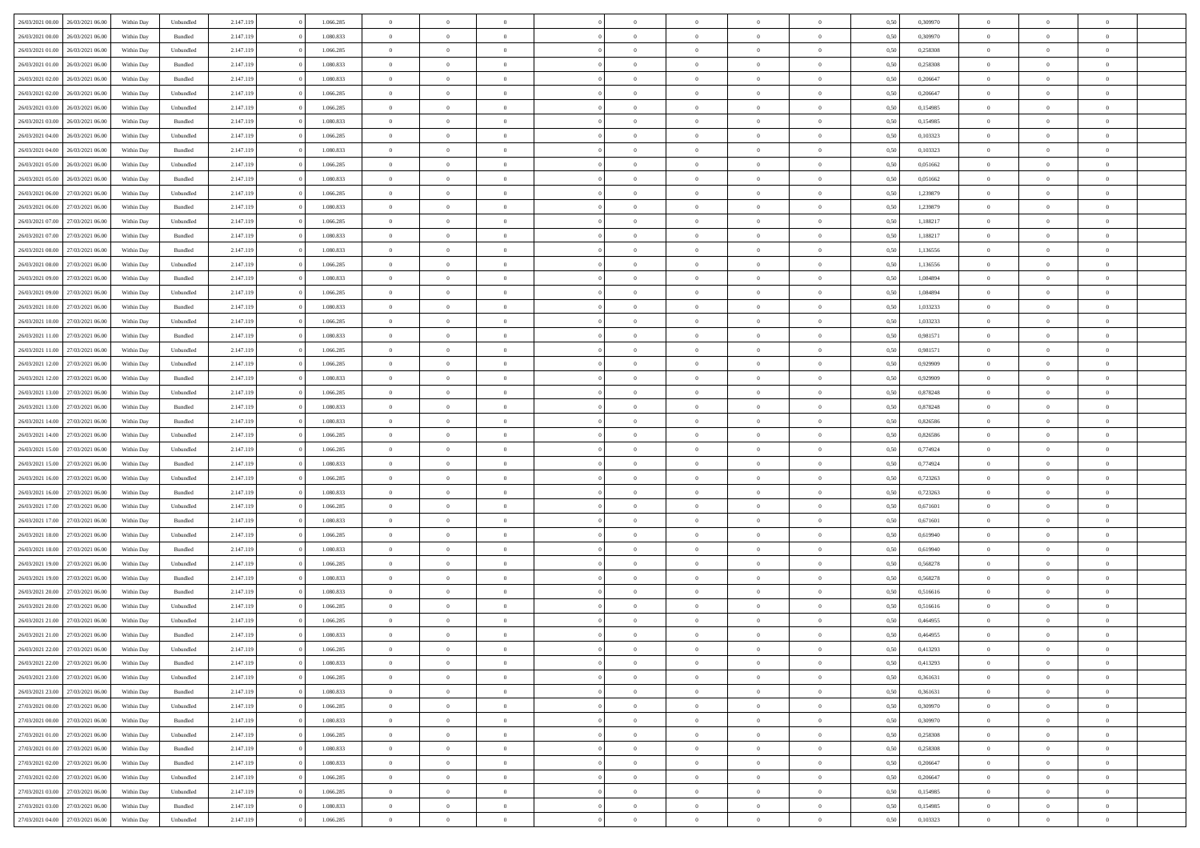| 26/03/2021 00:00                  | 26/03/2021 06:00 | Within Dav | Unbundled | 2.147.119 | 1.066.285 | $\overline{0}$ | $\Omega$       |                | $\Omega$       | $\Omega$       | $\theta$       | $\theta$       | 0.50 | 0,309970 | $\theta$       | $\theta$       | $\theta$       |  |
|-----------------------------------|------------------|------------|-----------|-----------|-----------|----------------|----------------|----------------|----------------|----------------|----------------|----------------|------|----------|----------------|----------------|----------------|--|
| 26/03/2021 00:00                  | 26/03/2021 06:00 | Within Day | Bundled   | 2.147.119 | 1.080.833 | $\overline{0}$ | $\theta$       | $\overline{0}$ | $\overline{0}$ | $\bf{0}$       | $\overline{0}$ | $\bf{0}$       | 0,50 | 0,309970 | $\theta$       | $\overline{0}$ | $\overline{0}$ |  |
| 26/03/2021 01:00                  | 26/03/2021 06:00 | Within Day | Unbundled | 2.147.119 | 1.066.285 | $\overline{0}$ | $\bf{0}$       | $\overline{0}$ | $\bf{0}$       | $\bf{0}$       | $\bf{0}$       | $\mathbf{0}$   | 0,50 | 0,258308 | $\overline{0}$ | $\overline{0}$ | $\bf{0}$       |  |
| 26/03/2021 01:00                  | 26/03/2021 06:00 | Within Dav | Bundled   | 2.147.119 | 1.080.833 | $\overline{0}$ | $\overline{0}$ | $\overline{0}$ | $\overline{0}$ | $\bf{0}$       | $\overline{0}$ | $\overline{0}$ | 0.50 | 0.258308 | $\theta$       | $\theta$       | $\overline{0}$ |  |
| 26/03/2021 02:00                  | 26/03/2021 06:00 |            |           | 2.147.119 | 1.080.833 | $\overline{0}$ | $\theta$       | $\overline{0}$ | $\overline{0}$ | $\bf{0}$       | $\overline{0}$ |                |      | 0,206647 | $\theta$       | $\overline{0}$ | $\overline{0}$ |  |
|                                   |                  | Within Day | Bundled   |           |           |                |                |                |                |                |                | $\bf{0}$       | 0,50 |          |                |                |                |  |
| 26/03/2021 02:00                  | 26/03/2021 06:00 | Within Day | Unbundled | 2.147.119 | 1.066.285 | $\overline{0}$ | $\overline{0}$ | $\overline{0}$ | $\bf{0}$       | $\overline{0}$ | $\overline{0}$ | $\mathbf{0}$   | 0,50 | 0,206647 | $\overline{0}$ | $\overline{0}$ | $\bf{0}$       |  |
| 26/03/2021 03:00                  | 26/03/2021 06:00 | Within Dav | Unbundled | 2.147.119 | 1.066.285 | $\overline{0}$ | $\overline{0}$ | $\overline{0}$ | $\overline{0}$ | $\overline{0}$ | $\overline{0}$ | $\overline{0}$ | 0.50 | 0,154985 | $\theta$       | $\overline{0}$ | $\overline{0}$ |  |
| 26/03/2021 03:00                  | 26/03/2021 06:00 | Within Day | Bundled   | 2.147.119 | 1.080.833 | $\overline{0}$ | $\theta$       | $\overline{0}$ | $\overline{0}$ | $\bf{0}$       | $\overline{0}$ | $\bf{0}$       | 0,50 | 0,154985 | $\theta$       | $\theta$       | $\overline{0}$ |  |
| 26/03/2021 04:00                  | 26/03/2021 06:00 | Within Day | Unbundled | 2.147.119 | 1.066.285 | $\overline{0}$ | $\overline{0}$ | $\overline{0}$ | $\bf{0}$       | $\bf{0}$       | $\bf{0}$       | $\bf{0}$       | 0,50 | 0,103323 | $\,0\,$        | $\overline{0}$ | $\overline{0}$ |  |
| 26/03/2021 04:00                  | 26/03/2021 06:00 | Within Dav | Bundled   | 2.147.119 | 1.080.833 | $\overline{0}$ | $\overline{0}$ | $\overline{0}$ | $\overline{0}$ | $\overline{0}$ | $\overline{0}$ | $\overline{0}$ | 0.50 | 0,103323 | $\theta$       | $\overline{0}$ | $\overline{0}$ |  |
|                                   |                  |            |           |           |           |                |                |                |                |                |                |                |      |          |                |                |                |  |
| 26/03/2021 05:00                  | 26/03/2021 06:00 | Within Day | Unbundled | 2.147.119 | 1.066.285 | $\overline{0}$ | $\theta$       | $\overline{0}$ | $\overline{0}$ | $\bf{0}$       | $\overline{0}$ | $\bf{0}$       | 0,50 | 0,051662 | $\,$ 0 $\,$    | $\overline{0}$ | $\overline{0}$ |  |
| 26/03/2021 05:00                  | 26/03/2021 06:00 | Within Day | Bundled   | 2.147.119 | 1.080.833 | $\overline{0}$ | $\bf{0}$       | $\overline{0}$ | $\bf{0}$       | $\bf{0}$       | $\bf{0}$       | $\bf{0}$       | 0,50 | 0,051662 | $\bf{0}$       | $\overline{0}$ | $\bf{0}$       |  |
| 26/03/2021 06:00                  | 27/03/2021 06:00 | Within Day | Unbundled | 2.147.119 | 1.066.285 | $\overline{0}$ | $\overline{0}$ | $\overline{0}$ | $\overline{0}$ | $\bf{0}$       | $\overline{0}$ | $\overline{0}$ | 0.50 | 1,239879 | $\theta$       | $\theta$       | $\overline{0}$ |  |
| 26/03/2021 06:00                  | 27/03/2021 06.00 | Within Day | Bundled   | 2.147.119 | 1.080.833 | $\overline{0}$ | $\theta$       | $\overline{0}$ | $\overline{0}$ | $\bf{0}$       | $\overline{0}$ | $\overline{0}$ | 0,50 | 1,239879 | $\theta$       | $\overline{0}$ | $\overline{0}$ |  |
| 26/03/2021 07:00                  | 27/03/2021 06:00 | Within Day | Unbundled | 2.147.119 | 1.066.285 | $\overline{0}$ | $\overline{0}$ | $\overline{0}$ | $\bf{0}$       | $\overline{0}$ | $\overline{0}$ | $\mathbf{0}$   | 0,50 | 1,188217 | $\bf{0}$       | $\overline{0}$ | $\bf{0}$       |  |
| 26/03/2021 07:00                  | 27/03/2021 06:00 | Within Dav | Bundled   | 2.147.119 | 1.080.833 | $\overline{0}$ | $\overline{0}$ | $\overline{0}$ |                | $\overline{0}$ | $\overline{0}$ | $\overline{0}$ | 0.50 | 1,188217 | $\theta$       | $\overline{0}$ | $\overline{0}$ |  |
|                                   |                  |            |           |           |           |                |                |                | $\overline{0}$ |                |                |                |      |          |                |                |                |  |
| 26/03/2021 08:00                  | 27/03/2021 06:00 | Within Day | Bundled   | 2.147.119 | 1.080.833 | $\overline{0}$ | $\theta$       | $\overline{0}$ | $\overline{0}$ | $\bf{0}$       | $\overline{0}$ | $\bf{0}$       | 0,50 | 1,136556 | $\theta$       | $\theta$       | $\overline{0}$ |  |
| 26/03/2021 08:00                  | 27/03/2021 06:00 | Within Day | Unbundled | 2.147.119 | 1.066.285 | $\overline{0}$ | $\overline{0}$ | $\overline{0}$ | $\bf{0}$       | $\bf{0}$       | $\bf{0}$       | $\bf{0}$       | 0,50 | 1,136556 | $\bf{0}$       | $\overline{0}$ | $\overline{0}$ |  |
| 26/03/2021 09:00                  | 27/03/2021 06:00 | Within Dav | Bundled   | 2.147.119 | 1.080.833 | $\overline{0}$ | $\overline{0}$ | $\overline{0}$ | $\overline{0}$ | $\overline{0}$ | $\overline{0}$ | $\overline{0}$ | 0.50 | 1,084894 | $\theta$       | $\overline{0}$ | $\overline{0}$ |  |
| 26/03/2021 09:00                  | 27/03/2021 06.00 | Within Day | Unbundled | 2.147.119 | 1.066.285 | $\overline{0}$ | $\theta$       | $\overline{0}$ | $\overline{0}$ | $\bf{0}$       | $\overline{0}$ | $\bf{0}$       | 0,50 | 1,084894 | $\,$ 0 $\,$    | $\overline{0}$ | $\overline{0}$ |  |
| 26/03/2021 10:00                  | 27/03/2021 06:00 | Within Day | Bundled   | 2.147.119 | 1.080.833 | $\overline{0}$ | $\overline{0}$ | $\overline{0}$ | $\bf{0}$       | $\bf{0}$       | $\bf{0}$       | $\bf{0}$       | 0,50 | 1,033233 | $\bf{0}$       | $\overline{0}$ | $\bf{0}$       |  |
| 26/03/2021 10:00                  | 27/03/2021 06:00 |            | Unbundled |           | 1.066.285 | $\overline{0}$ | $\overline{0}$ | $\overline{0}$ |                | $\bf{0}$       | $\overline{0}$ | $\overline{0}$ | 0.50 | 1,033233 | $\theta$       | $\overline{0}$ | $\overline{0}$ |  |
|                                   |                  | Within Day |           | 2.147.119 |           |                |                |                | $\overline{0}$ |                |                |                |      |          |                |                |                |  |
| 26/03/2021 11:00                  | 27/03/2021 06.00 | Within Day | Bundled   | 2.147.119 | 1.080.833 | $\overline{0}$ | $\theta$       | $\overline{0}$ | $\overline{0}$ | $\bf{0}$       | $\overline{0}$ | $\bf{0}$       | 0,50 | 0,981571 | $\,$ 0 $\,$    | $\overline{0}$ | $\overline{0}$ |  |
| 26/03/2021 11:00                  | 27/03/2021 06:00 | Within Day | Unbundled | 2.147.119 | 1.066.285 | $\overline{0}$ | $\overline{0}$ | $\overline{0}$ | $\bf{0}$       | $\overline{0}$ | $\overline{0}$ | $\mathbf{0}$   | 0,50 | 0,981571 | $\bf{0}$       | $\overline{0}$ | $\bf{0}$       |  |
| 26/03/2021 12:00                  | 27/03/2021 06:00 | Within Dav | Unbundled | 2.147.119 | 1.066.285 | $\overline{0}$ | $\overline{0}$ | $\overline{0}$ | $\overline{0}$ | $\overline{0}$ | $\overline{0}$ | $\overline{0}$ | 0.50 | 0.929909 | $\theta$       | $\overline{0}$ | $\overline{0}$ |  |
| 26/03/2021 12:00                  | 27/03/2021 06:00 | Within Day | Bundled   | 2.147.119 | 1.080.833 | $\overline{0}$ | $\theta$       | $\overline{0}$ | $\overline{0}$ | $\bf{0}$       | $\overline{0}$ | $\bf{0}$       | 0,50 | 0,929909 | $\theta$       | $\theta$       | $\overline{0}$ |  |
| 26/03/2021 13:00                  | 27/03/2021 06:00 | Within Day | Unbundled | 2.147.119 | 1.066.285 | $\overline{0}$ | $\overline{0}$ | $\overline{0}$ | $\bf{0}$       | $\bf{0}$       | $\bf{0}$       | $\bf{0}$       | 0,50 | 0,878248 | $\,0\,$        | $\overline{0}$ | $\overline{0}$ |  |
|                                   | 27/03/2021 06:00 |            | Bundled   | 2.147.119 | 1.080.833 | $\overline{0}$ | $\overline{0}$ | $\overline{0}$ | $\overline{0}$ | $\overline{0}$ | $\overline{0}$ | $\overline{0}$ | 0.50 | 0,878248 | $\theta$       | $\overline{0}$ | $\overline{0}$ |  |
| 26/03/2021 13:00                  |                  | Within Day |           |           |           |                |                |                |                |                |                |                |      |          |                |                |                |  |
| 26/03/2021 14:00                  | 27/03/2021 06:00 | Within Day | Bundled   | 2.147.119 | 1.080.833 | $\overline{0}$ | $\theta$       | $\overline{0}$ | $\overline{0}$ | $\bf{0}$       | $\overline{0}$ | $\bf{0}$       | 0,50 | 0,826586 | $\,$ 0 $\,$    | $\overline{0}$ | $\overline{0}$ |  |
| 26/03/2021 14:00                  | 27/03/2021 06:00 | Within Day | Unbundled | 2.147.119 | 1.066.285 | $\overline{0}$ | $\overline{0}$ | $\overline{0}$ | $\bf{0}$       | $\bf{0}$       | $\bf{0}$       | $\bf{0}$       | 0,50 | 0,826586 | $\overline{0}$ | $\overline{0}$ | $\bf{0}$       |  |
| 26/03/2021 15:00                  | 27/03/2021 06:00 | Within Day | Unbundled | 2.147.119 | 1.066.285 | $\overline{0}$ | $\Omega$       | $\Omega$       | $\Omega$       | $\Omega$       | $\overline{0}$ | $\overline{0}$ | 0.50 | 0,774924 | $\,0\,$        | $\theta$       | $\theta$       |  |
| 26/03/2021 15:00                  | 27/03/2021 06.00 | Within Day | Bundled   | 2.147.119 | 1.080.833 | $\overline{0}$ | $\theta$       | $\overline{0}$ | $\overline{0}$ | $\bf{0}$       | $\overline{0}$ | $\bf{0}$       | 0,50 | 0,774924 | $\theta$       | $\overline{0}$ | $\overline{0}$ |  |
| 26/03/2021 16:00                  | 27/03/2021 06:00 | Within Day | Unbundled | 2.147.119 | 1.066.285 | $\overline{0}$ | $\overline{0}$ | $\overline{0}$ | $\bf{0}$       | $\overline{0}$ | $\overline{0}$ | $\mathbf{0}$   | 0,50 | 0,723263 | $\overline{0}$ | $\overline{0}$ | $\bf{0}$       |  |
| 26/03/2021 16:00                  | 27/03/2021 06:00 |            | Bundled   | 2.147.119 | 1.080.833 | $\overline{0}$ | $\Omega$       | $\Omega$       | $\Omega$       | $\bf{0}$       | $\overline{0}$ | $\overline{0}$ | 0.50 | 0,723263 | $\,0\,$        | $\theta$       | $\theta$       |  |
|                                   |                  | Within Day |           |           |           |                |                |                |                |                |                |                |      |          |                |                |                |  |
| 26/03/2021 17:00                  | 27/03/2021 06:00 | Within Day | Unbundled | 2.147.119 | 1.066.285 | $\overline{0}$ | $\theta$       | $\overline{0}$ | $\overline{0}$ | $\bf{0}$       | $\overline{0}$ | $\bf{0}$       | 0,50 | 0,671601 | $\,$ 0 $\,$    | $\overline{0}$ | $\overline{0}$ |  |
| 26/03/2021 17:00                  | 27/03/2021 06:00 | Within Day | Bundled   | 2.147.119 | 1.080.833 | $\overline{0}$ | $\overline{0}$ | $\overline{0}$ | $\bf{0}$       | $\bf{0}$       | $\bf{0}$       | $\bf{0}$       | 0,50 | 0,671601 | $\bf{0}$       | $\overline{0}$ | $\bf{0}$       |  |
| 26/03/2021 18:00                  | 27/03/2021 06:00 | Within Day | Unbundled | 2.147.119 | 1.066.285 | $\overline{0}$ | $\Omega$       | $\Omega$       | $\Omega$       | $\theta$       | $\theta$       | $\overline{0}$ | 0.50 | 0.619940 | $\theta$       | $\theta$       | $\theta$       |  |
| 26/03/2021 18:00                  | 27/03/2021 06:00 | Within Day | Bundled   | 2.147.119 | 1.080.833 | $\overline{0}$ | $\theta$       | $\overline{0}$ | $\overline{0}$ | $\bf{0}$       | $\overline{0}$ | $\bf{0}$       | 0,50 | 0,619940 | $\,$ 0 $\,$    | $\overline{0}$ | $\overline{0}$ |  |
| 26/03/2021 19:00                  | 27/03/2021 06:00 | Within Day | Unbundled | 2.147.119 | 1.066.285 | $\overline{0}$ | $\bf{0}$       | $\overline{0}$ | $\bf{0}$       | $\bf{0}$       | $\bf{0}$       | $\bf{0}$       | 0,50 | 0,568278 | $\overline{0}$ | $\overline{0}$ | $\bf{0}$       |  |
| 26/03/2021 19:00                  | 27/03/2021 06:00 | Within Day | Bundled   | 2.147.119 | 1.080.833 | $\overline{0}$ | $\Omega$       | $\Omega$       | $\Omega$       | $\overline{0}$ | $\overline{0}$ | $\overline{0}$ | 0.50 | 0,568278 | $\,0\,$        | $\theta$       | $\theta$       |  |
|                                   |                  |            |           |           |           |                | $\theta$       |                |                |                |                |                |      |          |                |                |                |  |
| 26/03/2021 20:00                  | 27/03/2021 06.00 | Within Day | Bundled   | 2.147.119 | 1.080.833 | $\overline{0}$ |                | $\overline{0}$ | $\overline{0}$ | $\bf{0}$       | $\overline{0}$ | $\bf{0}$       | 0,50 | 0,516616 | $\,$ 0 $\,$    | $\overline{0}$ | $\overline{0}$ |  |
| 26/03/2021 20:00                  | 27/03/2021 06:00 | Within Day | Unbundled | 2.147.119 | 1.066.285 | $\overline{0}$ | $\overline{0}$ | $\overline{0}$ | $\bf{0}$       | $\bf{0}$       | $\bf{0}$       | $\mathbf{0}$   | 0,50 | 0,516616 | $\overline{0}$ | $\overline{0}$ | $\bf{0}$       |  |
| 26/03/2021 21:00                  | 27/03/2021 06:00 | Within Day | Unbundled | 2.147.119 | 1.066.285 | $\overline{0}$ | $\Omega$       | $\Omega$       | $\Omega$       | $\Omega$       | $\Omega$       | $\overline{0}$ | 0.50 | 0.464955 | $\theta$       | $\theta$       | $\theta$       |  |
| 26/03/2021 21:00                  | 27/03/2021 06:00 | Within Day | Bundled   | 2.147.119 | 1.080.833 | $\overline{0}$ | $\overline{0}$ | $\overline{0}$ | $\bf{0}$       | $\,$ 0         | $\bf{0}$       | $\bf{0}$       | 0,50 | 0,464955 | $\,0\,$        | $\,$ 0 $\,$    | $\overline{0}$ |  |
| 26/03/2021 22:00                  | 27/03/2021 06:00 | Within Day | Unbundled | 2.147.119 | 1.066.285 | $\bf{0}$       | $\bf{0}$       |                |                | $\bf{0}$       |                |                | 0,50 | 0,413293 | $\bf{0}$       | $\overline{0}$ |                |  |
| 26/03/2021 22:00                  | 27/03/2021 06:00 | Within Day | Bundled   | 2.147.119 | 1.080.833 | $\overline{0}$ | $\overline{0}$ | $\overline{0}$ | $\Omega$       | $\overline{0}$ | $\overline{0}$ | $\overline{0}$ | 0.50 | 0,413293 | $\theta$       | $\theta$       | $\theta$       |  |
| 26/03/2021 23:00                  | 27/03/2021 06:00 | Within Day | Unbundled | 2.147.119 | 1.066.285 | $\overline{0}$ | $\,$ 0         | $\overline{0}$ | $\bf{0}$       | $\,$ 0 $\,$    | $\overline{0}$ | $\mathbf{0}$   | 0,50 | 0,361631 | $\,$ 0 $\,$    | $\,$ 0 $\,$    | $\,$ 0         |  |
|                                   |                  |            |           |           |           |                |                |                |                |                |                |                |      |          |                |                |                |  |
| 26/03/2021 23:00                  | 27/03/2021 06:00 | Within Day | Bundled   | 2.147.119 | 1.080.833 | $\overline{0}$ | $\overline{0}$ | $\overline{0}$ | $\overline{0}$ | $\overline{0}$ | $\overline{0}$ | $\mathbf{0}$   | 0,50 | 0,361631 | $\overline{0}$ | $\bf{0}$       | $\bf{0}$       |  |
| 27/03/2021 00:00                  | 27/03/2021 06:00 | Within Day | Unbundled | 2.147.119 | 1.066.285 | $\overline{0}$ | $\overline{0}$ | $\overline{0}$ | $\Omega$       | $\overline{0}$ | $\overline{0}$ | $\bf{0}$       | 0,50 | 0,309970 | $\overline{0}$ | $\theta$       | $\overline{0}$ |  |
| 27/03/2021 00:00                  | 27/03/2021 06:00 | Within Day | Bundled   | 2.147.119 | 1.080.833 | $\overline{0}$ | $\,$ 0         | $\overline{0}$ | $\overline{0}$ | $\overline{0}$ | $\overline{0}$ | $\bf{0}$       | 0,50 | 0,309970 | $\,$ 0 $\,$    | $\overline{0}$ | $\overline{0}$ |  |
| 27/03/2021 01:00                  | 27/03/2021 06:00 | Within Day | Unbundled | 2.147.119 | 1.066.285 | $\overline{0}$ | $\overline{0}$ | $\overline{0}$ | $\overline{0}$ | $\overline{0}$ | $\overline{0}$ | $\mathbf{0}$   | 0,50 | 0,258308 | $\overline{0}$ | $\overline{0}$ | $\bf{0}$       |  |
| 27/03/2021 01:00                  | 27/03/2021 06:00 | Within Day | Bundled   | 2.147.119 | 1.080.833 | $\overline{0}$ | $\overline{0}$ | $\overline{0}$ | $\Omega$       | $\overline{0}$ | $\overline{0}$ | $\bf{0}$       | 0.50 | 0,258308 | $\overline{0}$ | $\theta$       | $\overline{0}$ |  |
| 27/03/2021 02:00                  | 27/03/2021 06:00 | Within Day | Bundled   | 2.147.119 | 1.080.833 | $\overline{0}$ | $\,$ 0         | $\overline{0}$ | $\bf{0}$       | $\bf{0}$       | $\bf{0}$       | $\bf{0}$       | 0,50 | 0,206647 | $\,$ 0 $\,$    | $\overline{0}$ | $\overline{0}$ |  |
|                                   |                  |            |           |           |           |                |                |                |                |                |                |                |      |          |                |                |                |  |
| 27/03/2021 02:00                  | 27/03/2021 06:00 | Within Day | Unbundled | 2.147.119 | 1.066.285 | $\overline{0}$ | $\bf{0}$       | $\overline{0}$ | $\overline{0}$ | $\overline{0}$ | $\overline{0}$ | $\mathbf{0}$   | 0,50 | 0,206647 | $\overline{0}$ | $\overline{0}$ | $\bf{0}$       |  |
| 27/03/2021 03:00                  | 27/03/2021 06:00 | Within Day | Unbundled | 2.147.119 | 1.066.285 | $\overline{0}$ | $\overline{0}$ | $\overline{0}$ | $\Omega$       | $\overline{0}$ | $\overline{0}$ | $\bf{0}$       | 0.50 | 0,154985 | $\overline{0}$ | $\theta$       | $\overline{0}$ |  |
| 27/03/2021 03:00                  | 27/03/2021 06:00 | Within Day | Bundled   | 2.147.119 | 1.080.833 | $\overline{0}$ | $\,$ 0 $\,$    | $\overline{0}$ | $\overline{0}$ | $\bf{0}$       | $\bf{0}$       | $\bf{0}$       | 0,50 | 0,154985 | $\,$ 0 $\,$    | $\,$ 0 $\,$    | $\bf{0}$       |  |
| 27/03/2021 04:00 27/03/2021 06:00 |                  | Within Day | Unbundled | 2.147.119 | 1.066.285 | $\overline{0}$ | $\bf{0}$       | $\overline{0}$ | $\bf{0}$       | $\bf{0}$       | $\bf{0}$       | $\bf{0}$       | 0,50 | 0,103323 | $\overline{0}$ | $\overline{0}$ | $\bf{0}$       |  |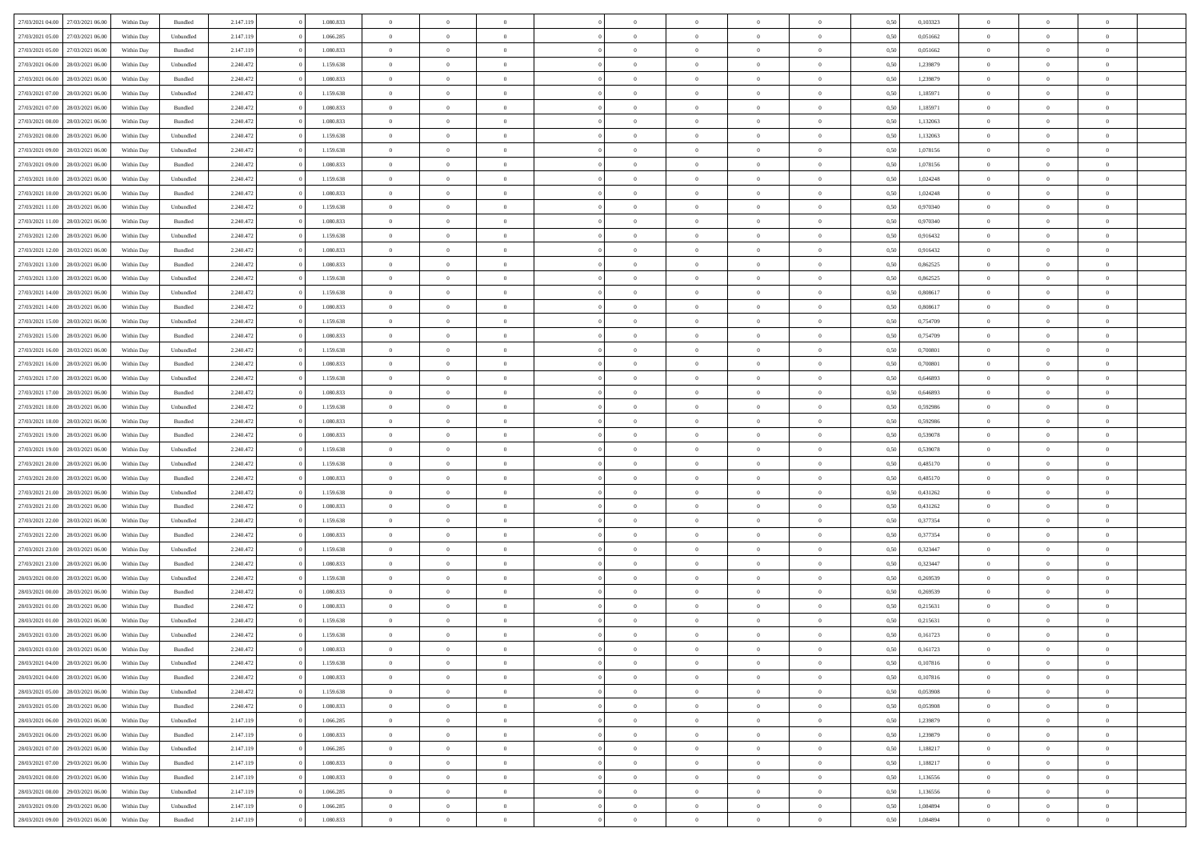| 27/03/2021 04:00 27/03/2021 06:00    | Within Day | Bundled   | 2.147.119 | 1.080.833 | $\overline{0}$ | $\overline{0}$ | $\Omega$       | $\Omega$       | $\theta$       | $\Omega$       | $\theta$       | 0,50 | 0,103323 | $\theta$       | $\theta$       | $\theta$       |  |
|--------------------------------------|------------|-----------|-----------|-----------|----------------|----------------|----------------|----------------|----------------|----------------|----------------|------|----------|----------------|----------------|----------------|--|
| 27/03/2021 05:00<br>27/03/2021 06:00 | Within Day | Unbundled | 2.147.119 | 1.066.285 | $\overline{0}$ | $\overline{0}$ | $\overline{0}$ | $\overline{0}$ | $\theta$       | $\overline{0}$ | $\,$ 0 $\,$    | 0,50 | 0,051662 | $\theta$       | $\theta$       | $\overline{0}$ |  |
| 27/03/2021 05:00<br>27/03/2021 06:00 | Within Day | Bundled   | 2.147.119 | 1.080.833 | $\overline{0}$ | $\bf{0}$       | $\overline{0}$ | $\overline{0}$ | $\overline{0}$ | $\overline{0}$ | $\bf{0}$       | 0,50 | 0,051662 | $\bf{0}$       | $\overline{0}$ | $\overline{0}$ |  |
| 27/03/2021 06:00<br>28/03/2021 06:00 | Within Day | Unbundled | 2.240.472 | 1.159.638 | $\overline{0}$ | $\overline{0}$ | $\overline{0}$ | $\overline{0}$ | $\theta$       | $\overline{0}$ | $\overline{0}$ | 0.50 | 1,239879 | $\theta$       | $\theta$       | $\overline{0}$ |  |
| 27/03/2021 06:00<br>28/03/2021 06:00 | Within Day | Bundled   | 2.240.472 | 1.080.833 | $\overline{0}$ | $\overline{0}$ | $\overline{0}$ | $\overline{0}$ | $\theta$       | $\overline{0}$ | $\bf{0}$       | 0,50 | 1,239879 | $\theta$       | $\theta$       | $\overline{0}$ |  |
|                                      |            |           |           |           |                |                |                |                |                |                |                |      |          |                |                |                |  |
| 27/03/2021 07:00<br>28/03/2021 06:00 | Within Day | Unbundled | 2.240.472 | 1.159.638 | $\overline{0}$ | $\bf{0}$       | $\overline{0}$ | $\overline{0}$ | $\overline{0}$ | $\overline{0}$ | $\bf{0}$       | 0,50 | 1,185971 | $\bf{0}$       | $\overline{0}$ | $\bf{0}$       |  |
| 27/03/2021 07:00<br>28/03/2021 06:00 | Within Day | Bundled   | 2.240.472 | 1.080.833 | $\overline{0}$ | $\overline{0}$ | $\overline{0}$ | $\overline{0}$ | $\overline{0}$ | $\overline{0}$ | $\overline{0}$ | 0.5( | 1,185971 | $\theta$       | $\theta$       | $\overline{0}$ |  |
| 27/03/2021 08:00<br>28/03/2021 06:00 | Within Day | Bundled   | 2.240.472 | 1.080.833 | $\overline{0}$ | $\theta$       | $\overline{0}$ | $\overline{0}$ | $\theta$       | $\overline{0}$ | $\bf{0}$       | 0,50 | 1,132063 | $\theta$       | $\theta$       | $\overline{0}$ |  |
| 27/03/2021 08:00<br>28/03/2021 06:00 | Within Day | Unbundled | 2.240.472 | 1.159.638 | $\overline{0}$ | $\bf{0}$       | $\overline{0}$ | $\overline{0}$ | $\overline{0}$ | $\overline{0}$ | $\bf{0}$       | 0,50 | 1,132063 | $\bf{0}$       | $\bf{0}$       | $\overline{0}$ |  |
| 27/03/2021 09:00<br>28/03/2021 06:00 | Within Day | Unbundled | 2.240.472 | 1.159.638 | $\overline{0}$ | $\overline{0}$ | $\overline{0}$ | $\overline{0}$ | $\overline{0}$ | $\overline{0}$ | $\overline{0}$ | 0.50 | 1,078156 | $\theta$       | $\theta$       | $\overline{0}$ |  |
| 27/03/2021 09:00<br>28/03/2021 06:00 | Within Day | Bundled   | 2.240.472 | 1.080.833 | $\bf{0}$       | $\overline{0}$ | $\overline{0}$ | $\overline{0}$ | $\theta$       | $\overline{0}$ | $\bf{0}$       | 0,50 | 1,078156 | $\theta$       | $\theta$       | $\overline{0}$ |  |
| 27/03/2021 10:00<br>28/03/2021 06:00 | Within Day | Unbundled | 2.240.472 | 1.159.638 | $\overline{0}$ | $\bf{0}$       | $\overline{0}$ | $\overline{0}$ | $\bf{0}$       | $\overline{0}$ | $\bf{0}$       | 0,50 | 1,024248 | $\bf{0}$       | $\overline{0}$ | $\overline{0}$ |  |
| 27/03/2021 10:00<br>28/03/2021 06:00 | Within Day | Bundled   | 2.240.472 | 1.080.833 | $\overline{0}$ | $\overline{0}$ | $\overline{0}$ | $\overline{0}$ | $\overline{0}$ | $\overline{0}$ | $\overline{0}$ | 0.5( | 1.024248 | $\theta$       | $\theta$       | $\overline{0}$ |  |
| 27/03/2021 11:00<br>28/03/2021 06:00 | Within Day | Unbundled | 2.240.472 | 1.159.638 | $\overline{0}$ | $\theta$       | $\overline{0}$ | $\overline{0}$ | $\theta$       | $\overline{0}$ | $\bf{0}$       | 0,50 | 0,970340 | $\theta$       | $\theta$       | $\overline{0}$ |  |
| 27/03/2021 11:00<br>28/03/2021 06:00 | Within Day | Bundled   | 2.240.472 | 1.080.833 | $\overline{0}$ | $\bf{0}$       | $\overline{0}$ | $\overline{0}$ | $\overline{0}$ | $\overline{0}$ | $\bf{0}$       | 0,50 | 0,970340 | $\bf{0}$       | $\overline{0}$ | $\bf{0}$       |  |
| 27/03/2021 12:00<br>28/03/2021 06:00 | Within Day | Unbundled | 2.240.472 | 1.159.638 | $\overline{0}$ | $\overline{0}$ | $\overline{0}$ | $\overline{0}$ | $\overline{0}$ | $\overline{0}$ | $\overline{0}$ | 0.5( | 0.916432 | $\theta$       | $\theta$       | $\overline{0}$ |  |
|                                      |            |           |           |           |                |                |                |                |                |                |                |      |          |                |                |                |  |
| 27/03/2021 12:00<br>28/03/2021 06:00 | Within Day | Bundled   | 2.240.472 | 1.080.833 | $\overline{0}$ | $\theta$       | $\overline{0}$ | $\overline{0}$ | $\theta$       | $\overline{0}$ | $\bf{0}$       | 0,50 | 0,916432 | $\theta$       | $\theta$       | $\overline{0}$ |  |
| 27/03/2021 13:00<br>28/03/2021 06:00 | Within Day | Bundled   | 2.240.472 | 1.080.833 | $\overline{0}$ | $\bf{0}$       | $\overline{0}$ | $\overline{0}$ | $\overline{0}$ | $\bf{0}$       | $\bf{0}$       | 0,50 | 0,862525 | $\bf{0}$       | $\overline{0}$ | $\overline{0}$ |  |
| 27/03/2021 13:00<br>28/03/2021 06:00 | Within Day | Unbundled | 2.240.472 | 1.159.638 | $\overline{0}$ | $\overline{0}$ | $\overline{0}$ | $\overline{0}$ | $\overline{0}$ | $\overline{0}$ | $\overline{0}$ | 0.5( | 0,862525 | $\theta$       | $\theta$       | $\overline{0}$ |  |
| 27/03/2021 14:00<br>28/03/2021 06:00 | Within Day | Unbundled | 2.240.472 | 1.159.638 | $\bf{0}$       | $\overline{0}$ | $\overline{0}$ | $\overline{0}$ | $\theta$       | $\overline{0}$ | $\bf{0}$       | 0,50 | 0,808617 | $\theta$       | $\theta$       | $\overline{0}$ |  |
| 27/03/2021 14:00<br>28/03/2021 06:00 | Within Day | Bundled   | 2.240.472 | 1.080.833 | $\overline{0}$ | $\bf{0}$       | $\overline{0}$ | $\overline{0}$ | $\overline{0}$ | $\overline{0}$ | $\bf{0}$       | 0,50 | 0,808617 | $\bf{0}$       | $\bf{0}$       | $\overline{0}$ |  |
| 27/03/2021 15:00<br>28/03/2021 06:00 | Within Day | Unbundled | 2.240.472 | 1.159.638 | $\overline{0}$ | $\overline{0}$ | $\overline{0}$ | $\overline{0}$ | $\overline{0}$ | $\overline{0}$ | $\overline{0}$ | 0.50 | 0,754709 | $\theta$       | $\theta$       | $\overline{0}$ |  |
| 27/03/2021 15:00<br>28/03/2021 06:00 | Within Day | Bundled   | 2.240.472 | 1.080.833 | $\overline{0}$ | $\overline{0}$ | $\overline{0}$ | $\overline{0}$ | $\theta$       | $\overline{0}$ | $\bf{0}$       | 0,50 | 0,754709 | $\theta$       | $\theta$       | $\overline{0}$ |  |
| 27/03/2021 16:00<br>28/03/2021 06:00 | Within Day | Unbundled | 2.240.472 | 1.159.638 | $\overline{0}$ | $\bf{0}$       | $\overline{0}$ | $\overline{0}$ | $\overline{0}$ | $\overline{0}$ | $\bf{0}$       | 0,50 | 0,700801 | $\overline{0}$ | $\overline{0}$ | $\bf{0}$       |  |
| 27/03/2021 16:00<br>28/03/2021 06:00 | Within Day | Bundled   | 2.240.472 | 1.080.833 | $\overline{0}$ | $\overline{0}$ | $\overline{0}$ | $\overline{0}$ | $\overline{0}$ | $\overline{0}$ | $\overline{0}$ | 0.5( | 0.700801 | $\theta$       | $\theta$       | $\overline{0}$ |  |
| 27/03/2021 17:00<br>28/03/2021 06:00 | Within Day | Unbundled | 2.240.472 | 1.159.638 | $\overline{0}$ | $\overline{0}$ | $\overline{0}$ | $\overline{0}$ | $\theta$       | $\overline{0}$ | $\bf{0}$       | 0,50 | 0,646893 | $\theta$       | $\theta$       | $\overline{0}$ |  |
| 27/03/2021 17:00<br>28/03/2021 06:00 | Within Day | Bundled   | 2.240.472 | 1.080.833 | $\overline{0}$ | $\bf{0}$       | $\overline{0}$ | $\overline{0}$ | $\overline{0}$ | $\bf{0}$       | $\bf{0}$       | 0,50 | 0,646893 | $\bf{0}$       | $\bf{0}$       | $\overline{0}$ |  |
| 27/03/2021 18:00<br>28/03/2021 06:00 | Within Day | Unbundled | 2.240.472 | 1.159.638 | $\overline{0}$ | $\overline{0}$ | $\overline{0}$ | $\overline{0}$ | $\overline{0}$ | $\overline{0}$ | $\overline{0}$ | 0.5( | 0.592986 | $\theta$       | $\theta$       | $\overline{0}$ |  |
| 27/03/2021 18:00<br>28/03/2021 06:00 | Within Day | Bundled   | 2.240.472 | 1.080.833 | $\bf{0}$       | $\overline{0}$ | $\overline{0}$ | $\overline{0}$ | $\theta$       | $\overline{0}$ | $\bf{0}$       | 0,50 | 0,592986 | $\theta$       | $\theta$       | $\overline{0}$ |  |
| 27/03/2021 19:00<br>28/03/2021 06:00 | Within Day | Bundled   | 2.240.472 | 1.080.833 | $\overline{0}$ | $\bf{0}$       | $\overline{0}$ | $\overline{0}$ | $\bf{0}$       | $\overline{0}$ | $\bf{0}$       | 0,50 | 0,539078 | $\bf{0}$       | $\overline{0}$ | $\overline{0}$ |  |
|                                      |            |           |           |           |                |                |                |                |                |                |                |      |          |                |                |                |  |
| 27/03/2021 19:00<br>28/03/2021 06:00 | Within Day | Unbundled | 2.240.472 | 1.159.638 | $\overline{0}$ | $\overline{0}$ | $\Omega$       | $\Omega$       | $\Omega$       | $\theta$       | $\overline{0}$ | 0.50 | 0,539078 | $\,$ 0 $\,$    | $\Omega$       | $\theta$       |  |
| 27/03/2021 20:00<br>28/03/2021 06:00 | Within Day | Unbundled | 2.240.472 | 1.159.638 | $\overline{0}$ | $\overline{0}$ | $\overline{0}$ | $\overline{0}$ | $\theta$       | $\overline{0}$ | $\bf{0}$       | 0,50 | 0,485170 | $\theta$       | $\theta$       | $\overline{0}$ |  |
| 27/03/2021 20:00<br>28/03/2021 06:00 | Within Day | Bundled   | 2.240.472 | 1.080.833 | $\overline{0}$ | $\bf{0}$       | $\overline{0}$ | $\overline{0}$ | $\bf{0}$       | $\overline{0}$ | $\bf{0}$       | 0,50 | 0,485170 | $\bf{0}$       | $\overline{0}$ | $\bf{0}$       |  |
| 27/03/2021 21:00<br>28/03/2021 06:00 | Within Day | Unbundled | 2.240.472 | 1.159.638 | $\overline{0}$ | $\overline{0}$ | $\Omega$       | $\Omega$       | $\overline{0}$ | $\Omega$       | $\overline{0}$ | 0.50 | 0,431262 | $\bf{0}$       | $\overline{0}$ | $\theta$       |  |
| 27/03/2021 21:00<br>28/03/2021 06:00 | Within Day | Bundled   | 2.240.472 | 1.080.833 | $\bf{0}$       | $\overline{0}$ | $\overline{0}$ | $\overline{0}$ | $\theta$       | $\overline{0}$ | $\bf{0}$       | 0,50 | 0,431262 | $\theta$       | $\theta$       | $\overline{0}$ |  |
| 27/03/2021 22:00<br>28/03/2021 06:00 | Within Day | Unbundled | 2.240.472 | 1.159.638 | $\overline{0}$ | $\bf{0}$       | $\overline{0}$ | $\overline{0}$ | $\overline{0}$ | $\bf{0}$       | $\bf{0}$       | 0,50 | 0,377354 | $\bf{0}$       | $\bf{0}$       | $\overline{0}$ |  |
| 27/03/2021 22:00<br>28/03/2021 06:00 | Within Day | Bundled   | 2.240.472 | 1.080.833 | $\overline{0}$ | $\theta$       | $\Omega$       | $\Omega$       | $\Omega$       | $\Omega$       | $\overline{0}$ | 0.50 | 0,377354 | $\theta$       | $\Omega$       | $\theta$       |  |
| 27/03/2021 23:00<br>28/03/2021 06:00 | Within Day | Unbundled | 2.240.472 | 1.159.638 | $\bf{0}$       | $\overline{0}$ | $\overline{0}$ | $\overline{0}$ | $\theta$       | $\overline{0}$ | $\bf{0}$       | 0,50 | 0,323447 | $\theta$       | $\theta$       | $\overline{0}$ |  |
| 27/03/2021 23:00<br>28/03/2021 06:00 | Within Day | Bundled   | 2.240.472 | 1.080.833 | $\overline{0}$ | $\bf{0}$       | $\overline{0}$ | $\overline{0}$ | $\overline{0}$ | $\overline{0}$ | $\bf{0}$       | 0,50 | 0,323447 | $\bf{0}$       | $\overline{0}$ | $\overline{0}$ |  |
| 28/03/2021 00:00<br>28/03/2021 06:00 | Within Day | Unbundled | 2.240.472 | 1.159.638 | $\overline{0}$ | $\overline{0}$ | $\Omega$       | $\Omega$       | $\Omega$       | $\Omega$       | $\overline{0}$ | 0.50 | 0,269539 | $\,$ 0 $\,$    | $\Omega$       | $\theta$       |  |
| 28/03/2021 00:00<br>28/03/2021 06:00 | Within Day | Bundled   | 2.240.472 | 1.080.833 | $\bf{0}$       | $\overline{0}$ | $\overline{0}$ | $\overline{0}$ | $\theta$       | $\overline{0}$ | $\bf{0}$       | 0,50 | 0,269539 | $\theta$       | $\theta$       | $\overline{0}$ |  |
| 28/03/2021 01:00<br>28/03/2021 06:00 | Within Day | Bundled   | 2.240.472 | 1.080.833 | $\overline{0}$ | $\bf{0}$       | $\overline{0}$ | $\overline{0}$ | $\bf{0}$       | $\overline{0}$ | $\bf{0}$       | 0,50 | 0,215631 | $\overline{0}$ | $\overline{0}$ | $\bf{0}$       |  |
| 28/03/2021 01:00<br>28/03/2021 06:00 | Within Day | Unbundled | 2.240.472 | 1.159.638 | $\Omega$       | $\Omega$       | $\Omega$       | $\Omega$       | $\Omega$       | $\theta$       | $\overline{0}$ | 0.50 | 0,215631 | $\theta$       | $\Omega$       | $\theta$       |  |
| 28/03/2021 03:00<br>28/03/2021 06:00 | Within Day | Unbundled | 2.240.472 | 1.159.638 | $\bf{0}$       | $\bf{0}$       | $\overline{0}$ | $\overline{0}$ | $\bf{0}$       | $\bf{0}$       | $\bf{0}$       | 0,50 | 0,161723 | $\bf{0}$       | $\bf{0}$       | $\overline{0}$ |  |
| 28/03/2021 03:00 28/03/2021 06:00    | Within Day | Bundled   | 2.240.472 | 1.080.833 |                |                |                |                |                |                |                | 0,50 | 0,161723 | $\bf{0}$       | $\bf{0}$       |                |  |
|                                      |            |           |           |           |                |                |                |                |                |                |                |      |          |                |                | $\theta$       |  |
| 28/03/2021 04:00 28/03/2021 06:00    | Within Day | Unbundled | 2.240.472 | 1.159.638 | $\Omega$       | $\overline{0}$ | $\Omega$       | $\theta$       | $\Omega$       | $\theta$       | $\overline{0}$ | 0.50 | 0.107816 | $\theta$       | $\theta$       |                |  |
| 28/03/2021 04:00<br>28/03/2021 06:00 | Within Day | Bundled   | 2.240.472 | 1.080.833 | $\overline{0}$ | $\overline{0}$ | $\overline{0}$ | $\overline{0}$ | $\overline{0}$ | $\overline{0}$ | $\,$ 0 $\,$    | 0,50 | 0,107816 | $\,$ 0 $\,$    | $\,$ 0 $\,$    | $\,$ 0         |  |
| 28/03/2021 06:00<br>28/03/2021 05:00 | Within Day | Unbundled | 2.240.472 | 1.159.638 | $\overline{0}$ | $\overline{0}$ | $\overline{0}$ | $\overline{0}$ | $\overline{0}$ | $\overline{0}$ | $\bf{0}$       | 0,50 | 0,053908 | $\overline{0}$ | $\bf{0}$       | $\overline{0}$ |  |
| 28/03/2021 05:00<br>28/03/2021 06:00 | Within Day | Bundled   | 2.240.472 | 1.080.833 | $\overline{0}$ | $\bf{0}$       | $\overline{0}$ | $\overline{0}$ | $\overline{0}$ | $\overline{0}$ | $\bf{0}$       | 0,50 | 0.053908 | $\bf{0}$       | $\theta$       | $\overline{0}$ |  |
| 28/03/2021 06:00<br>29/03/2021 06:00 | Within Day | Unbundled | 2.147.119 | 1.066.285 | $\overline{0}$ | $\overline{0}$ | $\overline{0}$ | $\overline{0}$ | $\overline{0}$ | $\overline{0}$ | $\bf{0}$       | 0,50 | 1,239879 | $\,$ 0 $\,$    | $\,$ 0 $\,$    | $\overline{0}$ |  |
| 28/03/2021 06:00<br>29/03/2021 06:00 | Within Day | Bundled   | 2.147.119 | 1.080.833 | $\overline{0}$ | $\overline{0}$ | $\overline{0}$ | $\overline{0}$ | $\mathbf{0}$   | $\overline{0}$ | $\bf{0}$       | 0,50 | 1,239879 | $\overline{0}$ | $\overline{0}$ | $\overline{0}$ |  |
| 28/03/2021 07:00<br>29/03/2021 06:00 | Within Day | Unbundled | 2.147.119 | 1.066.285 | $\overline{0}$ | $\bf{0}$       | $\overline{0}$ | $\overline{0}$ | $\overline{0}$ | $\overline{0}$ | $\bf{0}$       | 0.50 | 1,188217 | $\overline{0}$ | $\theta$       | $\overline{0}$ |  |
| 28/03/2021 07:00<br>29/03/2021 06:00 | Within Day | Bundled   | 2.147.119 | 1.080.833 | $\overline{0}$ | $\,$ 0         | $\overline{0}$ | $\overline{0}$ | $\overline{0}$ | $\overline{0}$ | $\bf{0}$       | 0,50 | 1,188217 | $\,$ 0 $\,$    | $\bf{0}$       | $\overline{0}$ |  |
| 28/03/2021 08:00<br>29/03/2021 06:00 | Within Day | Bundled   | 2.147.119 | 1.080.833 | $\overline{0}$ | $\bf{0}$       | $\overline{0}$ | $\overline{0}$ | $\overline{0}$ | $\overline{0}$ | $\bf{0}$       | 0,50 | 1,136556 | $\overline{0}$ | $\overline{0}$ | $\bf{0}$       |  |
| 28/03/2021 08:00<br>29/03/2021 06:00 | Within Day | Unbundled | 2.147.119 | 1.066.285 | $\overline{0}$ | $\overline{0}$ | $\overline{0}$ | $\overline{0}$ | $\overline{0}$ | $\overline{0}$ | $\bf{0}$       | 0.50 | 1,136556 | $\overline{0}$ | $\overline{0}$ | $\overline{0}$ |  |
| 28/03/2021 09:00<br>29/03/2021 06:00 | Within Day | Unbundled | 2.147.119 | 1.066.285 | $\overline{0}$ | $\,$ 0         | $\overline{0}$ | $\overline{0}$ | $\overline{0}$ | $\bf{0}$       | $\bf{0}$       | 0,50 | 1,084894 | $\,$ 0 $\,$    | $\,$ 0 $\,$    | $\overline{0}$ |  |
|                                      |            |           |           |           |                | $\bf{0}$       |                |                |                |                |                |      |          |                |                |                |  |
| 28/03/2021 09:00 29/03/2021 06:00    | Within Day | Bundled   | 2.147.119 | 1.080.833 | $\overline{0}$ |                | $\overline{0}$ | $\overline{0}$ | $\overline{0}$ | $\overline{0}$ | $\bf{0}$       | 0,50 | 1,084894 | $\overline{0}$ | $\bf{0}$       | $\overline{0}$ |  |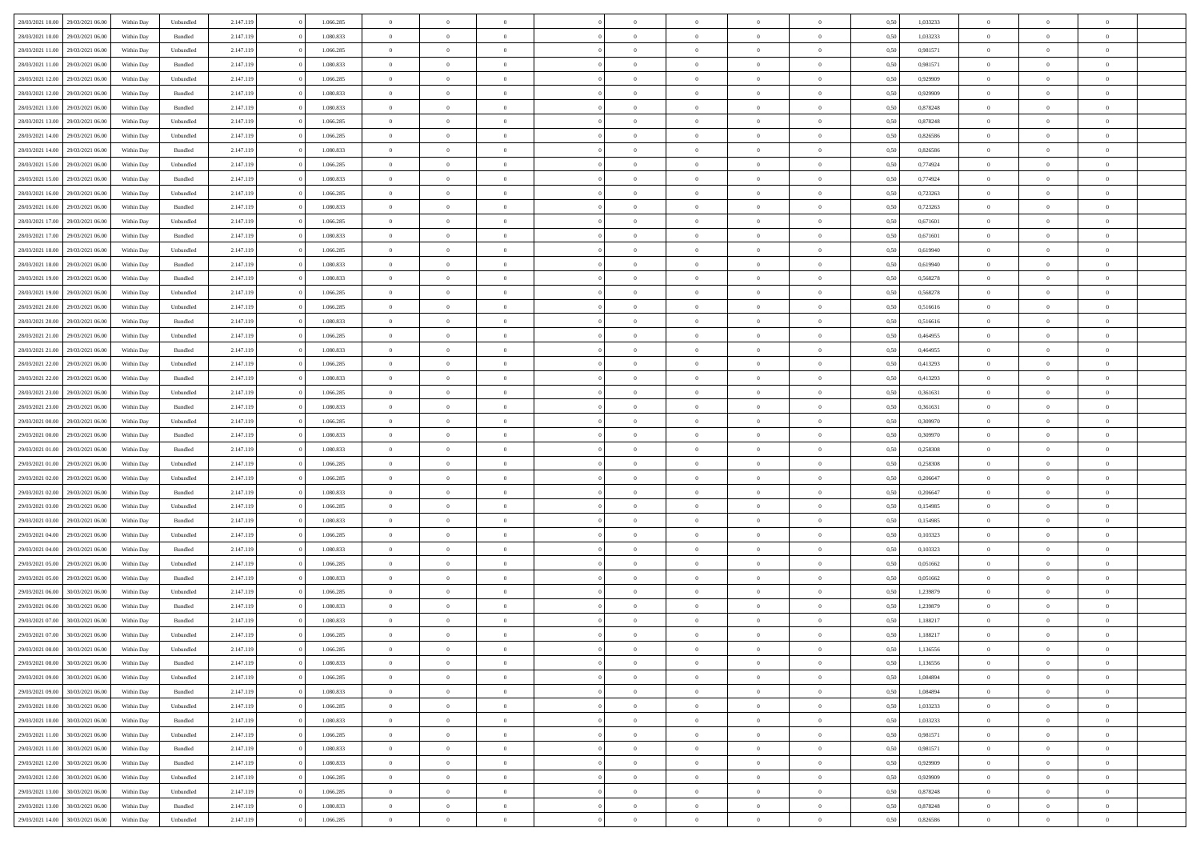| 28/03/2021 10:00 | 29/03/2021 06:00 | Within Dav | Unbundled | 2.147.119 | 1.066.285 | $\overline{0}$ | $\theta$       |                | $\Omega$       | $\Omega$       | $\theta$       | $\theta$       | 0.50 | 1,033233 | $\theta$       | $\overline{0}$ | $\theta$       |  |
|------------------|------------------|------------|-----------|-----------|-----------|----------------|----------------|----------------|----------------|----------------|----------------|----------------|------|----------|----------------|----------------|----------------|--|
|                  |                  |            |           |           |           |                |                |                |                |                |                |                |      |          |                |                |                |  |
| 28/03/2021 10:00 | 29/03/2021 06:00 | Within Day | Bundled   | 2.147.119 | 1.080.833 | $\overline{0}$ | $\theta$       | $\overline{0}$ | $\overline{0}$ | $\bf{0}$       | $\overline{0}$ | $\bf{0}$       | 0,50 | 1,033233 | $\theta$       | $\overline{0}$ | $\overline{0}$ |  |
| 28/03/2021 11:00 | 29/03/2021 06:00 | Within Day | Unbundled | 2.147.119 | 1.066.285 | $\overline{0}$ | $\bf{0}$       | $\overline{0}$ | $\bf{0}$       | $\bf{0}$       | $\bf{0}$       | $\mathbf{0}$   | 0,50 | 0,981571 | $\overline{0}$ | $\overline{0}$ | $\bf{0}$       |  |
| 28/03/2021 11:00 | 29/03/2021 06:00 | Within Dav | Bundled   | 2.147.119 | 1.080.833 | $\overline{0}$ | $\overline{0}$ | $\overline{0}$ | $\overline{0}$ | $\bf{0}$       | $\overline{0}$ | $\overline{0}$ | 0.50 | 0.981571 | $\theta$       | $\theta$       | $\overline{0}$ |  |
|                  |                  |            |           |           |           |                |                |                |                |                |                |                |      |          |                |                |                |  |
| 28/03/2021 12:00 | 29/03/2021 06:00 | Within Day | Unbundled | 2.147.119 | 1.066.285 | $\overline{0}$ | $\theta$       | $\overline{0}$ | $\overline{0}$ | $\bf{0}$       | $\overline{0}$ | $\bf{0}$       | 0,50 | 0,929909 | $\theta$       | $\overline{0}$ | $\overline{0}$ |  |
| 28/03/2021 12:00 | 29/03/2021 06:00 | Within Day | Bundled   | 2.147.119 | 1.080.833 | $\overline{0}$ | $\overline{0}$ | $\overline{0}$ | $\bf{0}$       | $\overline{0}$ | $\overline{0}$ | $\mathbf{0}$   | 0,50 | 0,929909 | $\overline{0}$ | $\overline{0}$ | $\bf{0}$       |  |
| 28/03/2021 13:00 | 29/03/2021 06:00 | Within Dav | Bundled   | 2.147.119 | 1.080.833 | $\overline{0}$ | $\overline{0}$ | $\overline{0}$ | $\overline{0}$ | $\overline{0}$ | $\overline{0}$ | $\overline{0}$ | 0.50 | 0,878248 | $\theta$       | $\overline{0}$ | $\overline{0}$ |  |
| 28/03/2021 13:00 | 29/03/2021 06:00 | Within Day | Unbundled | 2.147.119 | 1.066.285 | $\overline{0}$ | $\theta$       | $\overline{0}$ | $\overline{0}$ | $\bf{0}$       | $\overline{0}$ | $\bf{0}$       | 0,50 | 0,878248 | $\theta$       | $\theta$       | $\overline{0}$ |  |
|                  |                  |            |           |           |           |                | $\overline{0}$ |                |                | $\bf{0}$       |                |                |      |          | $\,0\,$        | $\overline{0}$ | $\overline{0}$ |  |
| 28/03/2021 14:00 | 29/03/2021 06:00 | Within Day | Unbundled | 2.147.119 | 1.066.285 | $\overline{0}$ |                | $\overline{0}$ | $\bf{0}$       |                | $\bf{0}$       | $\bf{0}$       | 0,50 | 0,826586 |                |                |                |  |
| 28/03/2021 14:00 | 29/03/2021 06:00 | Within Dav | Bundled   | 2.147.119 | 1.080.833 | $\overline{0}$ | $\overline{0}$ | $\overline{0}$ | $\overline{0}$ | $\overline{0}$ | $\overline{0}$ | $\overline{0}$ | 0.50 | 0,826586 | $\theta$       | $\overline{0}$ | $\overline{0}$ |  |
| 28/03/2021 15:00 | 29/03/2021 06:00 | Within Day | Unbundled | 2.147.119 | 1.066.285 | $\overline{0}$ | $\theta$       | $\overline{0}$ | $\overline{0}$ | $\bf{0}$       | $\overline{0}$ | $\bf{0}$       | 0,50 | 0,774924 | $\,$ 0 $\,$    | $\overline{0}$ | $\overline{0}$ |  |
| 28/03/2021 15:00 | 29/03/2021 06:00 | Within Day | Bundled   | 2.147.119 | 1.080.833 | $\overline{0}$ | $\bf{0}$       | $\overline{0}$ | $\bf{0}$       | $\bf{0}$       | $\bf{0}$       | $\mathbf{0}$   | 0,50 | 0,774924 | $\overline{0}$ | $\overline{0}$ | $\bf{0}$       |  |
| 28/03/2021 16:00 | 29/03/2021 06:00 | Within Day | Unbundled | 2.147.119 | 1.066.285 | $\overline{0}$ | $\overline{0}$ | $\overline{0}$ | $\overline{0}$ | $\bf{0}$       | $\overline{0}$ | $\overline{0}$ | 0.50 | 0,723263 | $\theta$       | $\theta$       | $\overline{0}$ |  |
|                  |                  |            |           |           |           | $\overline{0}$ | $\theta$       | $\overline{0}$ | $\overline{0}$ | $\bf{0}$       | $\overline{0}$ |                |      |          | $\theta$       | $\overline{0}$ | $\overline{0}$ |  |
| 28/03/2021 16:00 | 29/03/2021 06:00 | Within Day | Bundled   | 2.147.119 | 1.080.833 |                |                |                |                |                |                | $\bf{0}$       | 0,50 | 0,723263 |                |                |                |  |
| 28/03/2021 17:00 | 29/03/2021 06:00 | Within Day | Unbundled | 2.147.119 | 1.066.285 | $\overline{0}$ | $\overline{0}$ | $\overline{0}$ | $\overline{0}$ | $\overline{0}$ | $\overline{0}$ | $\mathbf{0}$   | 0,50 | 0,671601 | $\bf{0}$       | $\overline{0}$ | $\bf{0}$       |  |
| 28/03/2021 17:00 | 29/03/2021 06:00 | Within Dav | Bundled   | 2.147.119 | 1.080.833 | $\overline{0}$ | $\overline{0}$ | $\overline{0}$ | $\overline{0}$ | $\overline{0}$ | $\overline{0}$ | $\overline{0}$ | 0.50 | 0,671601 | $\theta$       | $\overline{0}$ | $\overline{0}$ |  |
| 28/03/2021 18:00 | 29/03/2021 06:00 | Within Day | Unbundled | 2.147.119 | 1.066.285 | $\overline{0}$ | $\theta$       | $\overline{0}$ | $\overline{0}$ | $\bf{0}$       | $\overline{0}$ | $\bf{0}$       | 0,50 | 0,619940 | $\theta$       | $\theta$       | $\overline{0}$ |  |
| 28/03/2021 18:00 | 29/03/2021 06:00 | Within Day | Bundled   | 2.147.119 | 1.080.833 | $\overline{0}$ | $\overline{0}$ | $\overline{0}$ | $\overline{0}$ | $\bf{0}$       | $\overline{0}$ | $\bf{0}$       | 0,50 | 0,619940 | $\bf{0}$       | $\overline{0}$ | $\overline{0}$ |  |
|                  |                  |            |           |           |           |                |                |                |                |                |                |                |      |          |                |                |                |  |
| 28/03/2021 19:00 | 29/03/2021 06:00 | Within Day | Bundled   | 2.147.119 | 1.080.833 | $\overline{0}$ | $\overline{0}$ | $\overline{0}$ | $\overline{0}$ | $\overline{0}$ | $\overline{0}$ | $\overline{0}$ | 0.50 | 0,568278 | $\theta$       | $\overline{0}$ | $\overline{0}$ |  |
| 28/03/2021 19:00 | 29/03/2021 06:00 | Within Day | Unbundled | 2.147.119 | 1.066.285 | $\overline{0}$ | $\theta$       | $\overline{0}$ | $\overline{0}$ | $\bf{0}$       | $\overline{0}$ | $\bf{0}$       | 0,50 | 0,568278 | $\,$ 0 $\,$    | $\overline{0}$ | $\overline{0}$ |  |
| 28/03/2021 20:00 | 29/03/2021 06:00 | Within Day | Unbundled | 2.147.119 | 1.066.285 | $\overline{0}$ | $\overline{0}$ | $\overline{0}$ | $\overline{0}$ | $\bf{0}$       | $\overline{0}$ | $\bf{0}$       | 0,50 | 0,516616 | $\overline{0}$ | $\overline{0}$ | $\bf{0}$       |  |
| 28/03/2021 20:00 | 29/03/2021 06:00 | Within Day | Bundled   | 2.147.119 | 1.080.833 | $\overline{0}$ | $\overline{0}$ | $\overline{0}$ | $\overline{0}$ | $\bf{0}$       | $\overline{0}$ | $\overline{0}$ | 0.50 | 0.516616 | $\theta$       | $\overline{0}$ | $\overline{0}$ |  |
| 28/03/2021 21:00 | 29/03/2021 06:00 | Within Day | Unbundled | 2.147.119 | 1.066.285 | $\overline{0}$ | $\theta$       | $\overline{0}$ | $\overline{0}$ | $\bf{0}$       | $\overline{0}$ | $\bf{0}$       | 0,50 | 0,464955 | $\,$ 0 $\,$    | $\overline{0}$ | $\overline{0}$ |  |
|                  |                  |            |           |           |           |                |                |                |                |                |                |                |      |          |                |                |                |  |
| 28/03/2021 21.00 | 29/03/2021 06:00 | Within Day | Bundled   | 2.147.119 | 1.080.833 | $\overline{0}$ | $\overline{0}$ | $\overline{0}$ | $\bf{0}$       | $\overline{0}$ | $\overline{0}$ | $\mathbf{0}$   | 0,50 | 0,464955 | $\overline{0}$ | $\overline{0}$ | $\bf{0}$       |  |
| 28/03/2021 22:00 | 29/03/2021 06:00 | Within Dav | Unbundled | 2.147.119 | 1.066.285 | $\overline{0}$ | $\overline{0}$ | $\overline{0}$ | $\overline{0}$ | $\overline{0}$ | $\overline{0}$ | $\overline{0}$ | 0.50 | 0,413293 | $\theta$       | $\overline{0}$ | $\overline{0}$ |  |
| 28/03/2021 22:00 | 29/03/2021 06:00 | Within Day | Bundled   | 2.147.119 | 1.080.833 | $\overline{0}$ | $\theta$       | $\overline{0}$ | $\overline{0}$ | $\bf{0}$       | $\overline{0}$ | $\bf{0}$       | 0,50 | 0,413293 | $\theta$       | $\theta$       | $\overline{0}$ |  |
| 28/03/2021 23:00 | 29/03/2021 06:00 | Within Day | Unbundled | 2.147.119 | 1.066.285 | $\overline{0}$ | $\overline{0}$ | $\overline{0}$ | $\bf{0}$       | $\bf{0}$       | $\bf{0}$       | $\bf{0}$       | 0,50 | 0,361631 | $\,0\,$        | $\overline{0}$ | $\overline{0}$ |  |
|                  | 29/03/2021 06:00 |            | Bundled   |           | 1.080.833 | $\overline{0}$ | $\overline{0}$ | $\overline{0}$ | $\overline{0}$ | $\overline{0}$ | $\overline{0}$ | $\overline{0}$ | 0.50 | 0,361631 | $\theta$       | $\overline{0}$ | $\overline{0}$ |  |
| 28/03/2021 23:00 |                  | Within Day |           | 2.147.119 |           |                |                |                |                |                |                |                |      |          |                |                |                |  |
| 29/03/2021 00:00 | 29/03/2021 06:00 | Within Day | Unbundled | 2.147.119 | 1.066.285 | $\overline{0}$ | $\theta$       | $\overline{0}$ | $\overline{0}$ | $\bf{0}$       | $\overline{0}$ | $\bf{0}$       | 0,50 | 0,309970 | $\,$ 0 $\,$    | $\overline{0}$ | $\overline{0}$ |  |
| 29/03/2021 00:00 | 29/03/2021 06:00 | Within Day | Bundled   | 2.147.119 | 1.080.833 | $\overline{0}$ | $\overline{0}$ | $\overline{0}$ | $\bf{0}$       | $\bf{0}$       | $\bf{0}$       | $\bf{0}$       | 0,50 | 0,309970 | $\overline{0}$ | $\overline{0}$ | $\bf{0}$       |  |
| 29/03/2021 01:00 | 29/03/2021 06:00 | Within Day | Bundled   | 2.147.119 | 1.080.833 | $\overline{0}$ | $\Omega$       | $\Omega$       | $\Omega$       | $\Omega$       | $\overline{0}$ | $\overline{0}$ | 0,50 | 0,258308 | $\,0\,$        | $\theta$       | $\theta$       |  |
| 29/03/2021 01:00 | 29/03/2021 06:00 | Within Day | Unbundled | 2.147.119 | 1.066.285 | $\overline{0}$ | $\theta$       | $\overline{0}$ | $\overline{0}$ | $\bf{0}$       | $\overline{0}$ | $\bf{0}$       | 0,50 | 0,258308 | $\theta$       | $\overline{0}$ | $\overline{0}$ |  |
|                  |                  |            |           |           |           |                |                |                |                |                |                |                |      |          |                |                |                |  |
| 29/03/2021 02:00 | 29/03/2021 06:00 | Within Day | Unbundled | 2.147.119 | 1.066.285 | $\overline{0}$ | $\overline{0}$ | $\overline{0}$ | $\bf{0}$       | $\overline{0}$ | $\overline{0}$ | $\mathbf{0}$   | 0,50 | 0,206647 | $\overline{0}$ | $\overline{0}$ | $\bf{0}$       |  |
| 29/03/2021 02.00 | 29/03/2021 06:00 | Within Day | Bundled   | 2.147.119 | 1.080.833 | $\overline{0}$ | $\Omega$       | $\Omega$       | $\Omega$       | $\bf{0}$       | $\overline{0}$ | $\overline{0}$ | 0.50 | 0.206647 | $\,0\,$        | $\theta$       | $\theta$       |  |
| 29/03/2021 03:00 | 29/03/2021 06:00 | Within Day | Unbundled | 2.147.119 | 1.066.285 | $\overline{0}$ | $\theta$       | $\overline{0}$ | $\overline{0}$ | $\bf{0}$       | $\overline{0}$ | $\bf{0}$       | 0,50 | 0,154985 | $\,$ 0 $\,$    | $\overline{0}$ | $\overline{0}$ |  |
| 29/03/2021 03:00 | 29/03/2021 06:00 | Within Day | Bundled   | 2.147.119 | 1.080.833 | $\overline{0}$ | $\overline{0}$ | $\overline{0}$ | $\bf{0}$       | $\bf{0}$       | $\bf{0}$       | $\bf{0}$       | 0,50 | 0,154985 | $\bf{0}$       | $\overline{0}$ | $\bf{0}$       |  |
| 29/03/2021 04:00 | 29/03/2021 06:00 | Within Day | Unbundled | 2.147.119 | 1.066.285 | $\overline{0}$ | $\Omega$       | $\Omega$       | $\Omega$       | $\theta$       | $\overline{0}$ | $\overline{0}$ | 0.50 | 0.103323 | $\,$ 0 $\,$    | $\theta$       | $\theta$       |  |
|                  |                  |            |           |           |           |                |                |                |                |                |                |                |      |          |                |                |                |  |
| 29/03/2021 04:00 | 29/03/2021 06:00 | Within Day | Bundled   | 2.147.119 | 1.080.833 | $\overline{0}$ | $\theta$       | $\overline{0}$ | $\overline{0}$ | $\bf{0}$       | $\overline{0}$ | $\bf{0}$       | 0,50 | 0,103323 | $\,$ 0 $\,$    | $\overline{0}$ | $\overline{0}$ |  |
| 29/03/2021 05:00 | 29/03/2021 06:00 | Within Day | Unbundled | 2.147.119 | 1.066.285 | $\overline{0}$ | $\bf{0}$       | $\overline{0}$ | $\bf{0}$       | $\bf{0}$       | $\bf{0}$       | $\bf{0}$       | 0,50 | 0,051662 | $\overline{0}$ | $\overline{0}$ | $\bf{0}$       |  |
| 29/03/2021 05:00 | 29/03/2021 06:00 | Within Day | Bundled   | 2.147.119 | 1.080.833 | $\overline{0}$ | $\Omega$       | $\Omega$       | $\Omega$       | $\overline{0}$ | $\overline{0}$ | $\overline{0}$ | 0,50 | 0,051662 | $\,0\,$        | $\theta$       | $\theta$       |  |
| 29/03/2021 06:00 | 30/03/2021 06:00 | Within Day | Unbundled | 2.147.119 | 1.066.285 | $\overline{0}$ | $\theta$       | $\overline{0}$ | $\overline{0}$ | $\,$ 0         | $\overline{0}$ | $\bf{0}$       | 0,50 | 1,239879 | $\,$ 0 $\,$    | $\overline{0}$ | $\overline{0}$ |  |
| 29/03/2021 06:00 | 30/03/2021 06:00 | Within Day | Bundled   | 2.147.119 | 1.080.833 | $\overline{0}$ | $\overline{0}$ | $\overline{0}$ | $\bf{0}$       | $\bf{0}$       | $\bf{0}$       | $\mathbf{0}$   | 0,50 | 1,239879 | $\bf{0}$       | $\overline{0}$ | $\bf{0}$       |  |
|                  |                  |            |           |           |           |                |                |                |                |                |                |                |      |          |                |                |                |  |
| 29/03/2021 07:00 | 30/03/2021 06:00 | Within Day | Bundled   | 2.147.119 | 1.080.833 | $\overline{0}$ | $\Omega$       | $\Omega$       | $\Omega$       | $\Omega$       | $\Omega$       | $\overline{0}$ | 0.50 | 1,188217 | $\theta$       | $\theta$       | $\theta$       |  |
| 29/03/2021 07:00 | 30/03/2021 06:00 | Within Day | Unbundled | 2.147.119 | 1.066.285 | $\overline{0}$ | $\overline{0}$ | $\overline{0}$ | $\bf{0}$       | $\,$ 0         | $\bf{0}$       | $\bf{0}$       | 0,50 | 1,188217 | $\,0\,$        | $\,$ 0 $\,$    | $\overline{0}$ |  |
| 29/03/2021 08:00 | 30/03/2021 06:00 | Within Day | Unbundled | 2.147.119 | 1.066.285 | $\bf{0}$       | $\bf{0}$       |                |                | $\bf{0}$       |                |                | 0,50 | 1,136556 | $\bf{0}$       | $\overline{0}$ |                |  |
| 29/03/2021 08:00 | 30/03/2021 06:00 | Within Day | Bundled   | 2.147.119 | 1.080.833 | $\overline{0}$ | $\overline{0}$ | $\overline{0}$ | $\Omega$       | $\overline{0}$ | $\overline{0}$ | $\overline{0}$ | 0.50 | 1,136556 | $\theta$       | $\theta$       | $\theta$       |  |
| 29/03/2021 09:00 | 30/03/2021 06:00 | Within Day | Unbundled | 2.147.119 | 1.066.285 | $\overline{0}$ | $\,$ 0         | $\overline{0}$ | $\bf{0}$       | $\,$ 0 $\,$    | $\overline{0}$ | $\mathbf{0}$   | 0,50 | 1,084894 | $\,$ 0 $\,$    | $\,$ 0 $\,$    | $\,$ 0         |  |
|                  |                  |            |           |           |           |                |                |                |                |                |                |                |      |          |                |                |                |  |
| 29/03/2021 09:00 | 30/03/2021 06:00 | Within Day | Bundled   | 2.147.119 | 1.080.833 | $\overline{0}$ | $\overline{0}$ | $\overline{0}$ | $\overline{0}$ | $\overline{0}$ | $\overline{0}$ | $\mathbf{0}$   | 0,50 | 1,084894 | $\overline{0}$ | $\bf{0}$       | $\bf{0}$       |  |
| 29/03/2021 10:00 | 30/03/2021 06:00 | Within Day | Unbundled | 2.147.119 | 1.066.285 | $\overline{0}$ | $\overline{0}$ | $\overline{0}$ | $\Omega$       | $\overline{0}$ | $\overline{0}$ | $\bf{0}$       | 0,50 | 1,033233 | $\overline{0}$ | $\theta$       | $\overline{0}$ |  |
| 29/03/2021 10:00 | 30/03/2021 06:00 | Within Day | Bundled   | 2.147.119 | 1.080.833 | $\overline{0}$ | $\,$ 0         | $\overline{0}$ | $\overline{0}$ | $\overline{0}$ | $\overline{0}$ | $\bf{0}$       | 0,50 | 1,033233 | $\,$ 0 $\,$    | $\overline{0}$ | $\overline{0}$ |  |
| 29/03/2021 11:00 | 30/03/2021 06:00 | Within Day | Unbundled | 2.147.119 | 1.066.285 | $\overline{0}$ | $\overline{0}$ | $\overline{0}$ | $\overline{0}$ | $\overline{0}$ | $\overline{0}$ | $\mathbf{0}$   | 0,50 | 0,981571 | $\overline{0}$ | $\overline{0}$ | $\bf{0}$       |  |
|                  | 30/03/2021 06:00 |            |           |           | 1.080.833 |                | $\overline{0}$ | $\overline{0}$ | $\Omega$       | $\overline{0}$ | $\overline{0}$ |                | 0.50 |          |                | $\theta$       | $\overline{0}$ |  |
| 29/03/2021 11:00 |                  | Within Day | Bundled   | 2.147.119 |           | $\overline{0}$ |                |                |                |                |                | $\bf{0}$       |      | 0,981571 | $\overline{0}$ |                |                |  |
| 29/03/2021 12:00 | 30/03/2021 06:00 | Within Day | Bundled   | 2.147.119 | 1.080.833 | $\overline{0}$ | $\,$ 0         | $\overline{0}$ | $\bf{0}$       | $\bf{0}$       | $\bf{0}$       | $\bf{0}$       | 0,50 | 0,929909 | $\,$ 0 $\,$    | $\overline{0}$ | $\overline{0}$ |  |
| 29/03/2021 12:00 | 30/03/2021 06:00 | Within Day | Unbundled | 2.147.119 | 1.066.285 | $\overline{0}$ | $\bf{0}$       | $\overline{0}$ | $\overline{0}$ | $\overline{0}$ | $\overline{0}$ | $\mathbf{0}$   | 0,50 | 0,929909 | $\overline{0}$ | $\overline{0}$ | $\bf{0}$       |  |
| 29/03/2021 13:00 | 30/03/2021 06:00 | Within Day | Unbundled | 2.147.119 | 1.066.285 | $\overline{0}$ | $\overline{0}$ | $\overline{0}$ | $\Omega$       | $\overline{0}$ | $\overline{0}$ | $\bf{0}$       | 0.50 | 0,878248 | $\overline{0}$ | $\theta$       | $\overline{0}$ |  |
| 29/03/2021 13:00 | 30/03/2021 06:00 | Within Day | Bundled   | 2.147.119 | 1.080.833 | $\overline{0}$ | $\bf{0}$       | $\overline{0}$ | $\overline{0}$ | $\bf{0}$       | $\bf{0}$       | $\mathbf{0}$   | 0,50 | 0,878248 | $\,$ 0 $\,$    | $\,$ 0 $\,$    | $\bf{0}$       |  |
|                  |                  |            |           |           |           |                |                |                |                |                |                |                |      |          |                |                |                |  |
| 29/03/2021 14:00 | 30/03/2021 06:00 | Within Day | Unbundled | 2.147.119 | 1.066.285 | $\overline{0}$ | $\overline{0}$ | $\overline{0}$ | $\overline{0}$ | $\bf{0}$       | $\bf{0}$       | $\mathbf{0}$   | 0,50 | 0,826586 | $\overline{0}$ | $\bf{0}$       | $\bf{0}$       |  |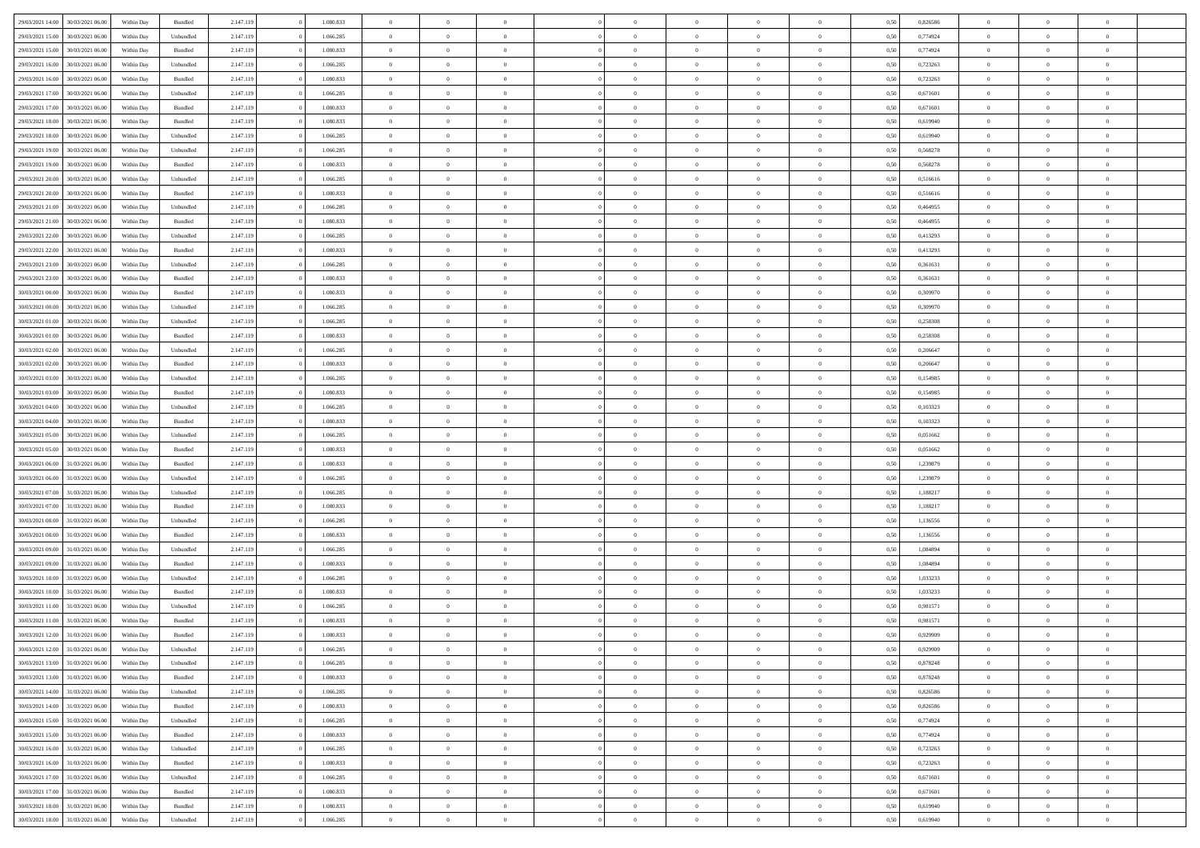| 29/03/2021 14:00                     | 30/03/2021 06:00 | Within Day | Bundled   | 2.147.119 | 1.080.833 | $\overline{0}$ | $\theta$       |                | $\overline{0}$ | $\bf{0}$       | $\overline{0}$ | $\theta$       | 0,50 | 0,826586 | $\theta$       | $\theta$       | $\overline{0}$           |  |
|--------------------------------------|------------------|------------|-----------|-----------|-----------|----------------|----------------|----------------|----------------|----------------|----------------|----------------|------|----------|----------------|----------------|--------------------------|--|
| 29/03/2021 15:00<br>30/03/2021 06.0  |                  | Within Day | Unbundled | 2.147.119 | 1.066.285 | $\overline{0}$ | $\overline{0}$ | $\overline{0}$ | $\overline{0}$ | $\,$ 0         | $\bf{0}$       | $\bf{0}$       | 0,50 | 0,774924 | $\,$ 0 $\,$    | $\overline{0}$ | $\overline{0}$           |  |
|                                      |                  |            |           |           |           |                |                |                |                |                |                |                |      |          |                |                |                          |  |
| 29/03/2021 15:00                     | 30/03/2021 06:00 | Within Day | Bundled   | 2.147.119 | 1.080.833 | $\overline{0}$ | $\overline{0}$ | $\overline{0}$ | $\overline{0}$ | $\bf{0}$       | $\overline{0}$ | $\overline{0}$ | 0.50 | 0,774924 | $\bf{0}$       | $\overline{0}$ | $\overline{0}$           |  |
| 29/03/2021 16:00                     | 30/03/2021 06:00 | Within Day | Unbundled | 2.147.119 | 1.066.285 | $\overline{0}$ | $\overline{0}$ | $\overline{0}$ | $\overline{0}$ | $\,$ 0         | $\overline{0}$ | $\overline{0}$ | 0,50 | 0,723263 | $\,$ 0 $\,$    | $\overline{0}$ | $\overline{0}$           |  |
| 29/03/2021 16:00<br>30/03/2021 06.00 |                  | Within Day | Bundled   | 2.147.119 | 1.080.833 | $\overline{0}$ | $\theta$       | $\overline{0}$ | $\overline{0}$ | $\overline{0}$ | $\overline{0}$ | $\bf{0}$       | 0,50 | 0,723263 | $\,$ 0 $\,$    | $\overline{0}$ | $\overline{0}$           |  |
| 29/03/2021 17:00                     | 30/03/2021 06:00 | Within Day | Unbundled | 2.147.119 | 1.066.285 | $\overline{0}$ | $\overline{0}$ | $\overline{0}$ | $\overline{0}$ | $\bf{0}$       | $\overline{0}$ | $\bf{0}$       | 0.50 | 0.671601 | $\,0\,$        | $\theta$       | $\overline{0}$           |  |
| 29/03/2021 17:00                     | 30/03/2021 06:00 | Within Day | Bundled   | 2.147.119 | 1.080.833 | $\overline{0}$ | $\overline{0}$ | $\overline{0}$ | $\overline{0}$ | $\,$ 0         | $\overline{0}$ | $\overline{0}$ | 0,50 | 0,671601 | $\,0\,$        | $\theta$       | $\overline{0}$           |  |
| 29/03/2021 18:00<br>30/03/2021 06.00 |                  | Within Day | Bundled   | 2.147.119 | 1.080.833 | $\overline{0}$ | $\theta$       | $\overline{0}$ | $\overline{0}$ | $\,$ 0         | $\overline{0}$ | $\bf{0}$       | 0,50 | 0,619940 | $\,$ 0 $\,$    | $\overline{0}$ | $\overline{0}$           |  |
| 29/03/2021 18:00<br>30/03/2021 06:00 |                  | Within Day | Unbundled | 2.147.119 | 1.066.285 | $\overline{0}$ | $\overline{0}$ | $\overline{0}$ | $\overline{0}$ | $\bf{0}$       | $\overline{0}$ | $\bf{0}$       | 0.50 | 0.619940 | $\,0\,$        | $\overline{0}$ | $\overline{0}$           |  |
| 29/03/2021 19:00                     | 30/03/2021 06:00 | Within Day | Unbundled | 2.147.119 | 1.066.285 | $\overline{0}$ | $\overline{0}$ | $\overline{0}$ | $\overline{0}$ | $\,$ 0         | $\overline{0}$ | $\bf{0}$       | 0,50 | 0,568278 | $\,$ 0 $\,$    | $\overline{0}$ | $\overline{0}$           |  |
| 29/03/2021 19:00<br>30/03/2021 06.00 |                  | Within Day | Bundled   | 2.147.119 | 1.080.833 | $\overline{0}$ | $\theta$       | $\overline{0}$ | $\overline{0}$ | $\,$ 0         | $\overline{0}$ | $\bf{0}$       | 0,50 | 0,568278 | $\,$ 0 $\,$    | $\overline{0}$ | $\overline{0}$           |  |
| 29/03/2021 20:00                     | 30/03/2021 06:00 | Within Day | Unbundled | 2.147.119 | 1.066.285 | $\overline{0}$ | $\overline{0}$ | $\overline{0}$ | $\overline{0}$ | $\bf{0}$       | $\overline{0}$ | $\mathbf{0}$   | 0.50 | 0,516616 | $\bf{0}$       | $\overline{0}$ | $\overline{\phantom{a}}$ |  |
|                                      |                  |            |           |           |           | $\overline{0}$ | $\theta$       | $\overline{0}$ | $\overline{0}$ |                | $\overline{0}$ | $\overline{0}$ |      |          | $\,$ 0 $\,$    | $\theta$       | $\overline{0}$           |  |
| 29/03/2021 20:00                     | 30/03/2021 06:00 | Within Day | Bundled   | 2.147.119 | 1.080.833 |                |                |                |                | $\,$ 0         |                |                | 0,50 | 0,516616 |                |                |                          |  |
| 29/03/2021 21:00<br>30/03/2021 06.00 |                  | Within Day | Unbundled | 2.147.119 | 1.066.285 | $\overline{0}$ | $\theta$       | $\overline{0}$ | $\overline{0}$ | $\overline{0}$ | $\overline{0}$ | $\bf{0}$       | 0,50 | 0,464955 | $\,$ 0 $\,$    | $\overline{0}$ | $\overline{0}$           |  |
| 29/03/2021 21:00<br>30/03/2021 06:00 |                  | Within Day | Bundled   | 2.147.119 | 1.080.833 | $\overline{0}$ | $\overline{0}$ | $\overline{0}$ | $\overline{0}$ | $\bf{0}$       | $\overline{0}$ | $\bf{0}$       | 0.50 | 0.464955 | $\theta$       | $\theta$       | $\overline{0}$           |  |
| 29/03/2021 22:00                     | 30/03/2021 06:00 | Within Day | Unbundled | 2.147.119 | 1.066.285 | $\overline{0}$ | $\overline{0}$ | $\overline{0}$ | $\overline{0}$ | $\,$ 0         | $\overline{0}$ | $\bf{0}$       | 0,50 | 0,413293 | $\,$ 0 $\,$    | $\theta$       | $\overline{0}$           |  |
| 29/03/2021 22:00<br>30/03/2021 06.00 |                  | Within Day | Bundled   | 2.147.119 | 1.080.833 | $\overline{0}$ | $\theta$       | $\overline{0}$ | $\overline{0}$ | $\bf{0}$       | $\overline{0}$ | $\bf{0}$       | 0,50 | 0,413293 | $\,$ 0 $\,$    | $\overline{0}$ | $\overline{0}$           |  |
| 29/03/2021 23:00<br>30/03/2021 06:00 |                  | Within Day | Unbundled | 2.147.119 | 1.066.285 | $\overline{0}$ | $\overline{0}$ | $\overline{0}$ | $\overline{0}$ | $\bf{0}$       | $\overline{0}$ | $\bf{0}$       | 0.50 | 0.361631 | $\,0\,$        | $\overline{0}$ | $\overline{\phantom{a}}$ |  |
| 29/03/2021 23:00                     | 30/03/2021 06:00 | Within Day | Bundled   | 2.147.119 | 1.080.833 | $\overline{0}$ | $\overline{0}$ | $\overline{0}$ | $\overline{0}$ | $\,$ 0         | $\overline{0}$ | $\bf{0}$       | 0,50 | 0,361631 | $\,$ 0 $\,$    | $\overline{0}$ | $\overline{0}$           |  |
| 30/03/2021 00:00<br>30/03/2021 06.00 |                  | Within Day | Bundled   | 2.147.119 | 1.080.833 | $\overline{0}$ | $\theta$       | $\overline{0}$ | $\overline{0}$ | $\,$ 0         | $\bf{0}$       | $\bf{0}$       | 0,50 | 0,309970 | $\,$ 0 $\,$    | $\overline{0}$ | $\overline{0}$           |  |
| 30/03/2021 00:00                     | 30/03/2021 06:00 | Within Day | Unbundled | 2.147.119 | 1.066.285 | $\overline{0}$ | $\overline{0}$ | $\overline{0}$ | $\overline{0}$ | $\bf{0}$       | $\overline{0}$ | $\mathbf{0}$   | 0.50 | 0.309970 | $\bf{0}$       | $\overline{0}$ | $\overline{\phantom{a}}$ |  |
| 30/03/2021 01:00                     | 30/03/2021 06:00 | Within Day | Unbundled | 2.147.119 | 1.066.285 | $\overline{0}$ | $\overline{0}$ | $\overline{0}$ | $\overline{0}$ | $\bf{0}$       | $\overline{0}$ | $\overline{0}$ | 0,50 | 0,258308 | $\,$ 0 $\,$    | $\overline{0}$ | $\overline{0}$           |  |
| 30/03/2021 01:00<br>30/03/2021 06.00 |                  | Within Day | Bundled   | 2.147.119 | 1.080.833 | $\overline{0}$ | $\theta$       | $\overline{0}$ | $\overline{0}$ | $\bf{0}$       | $\overline{0}$ | $\bf{0}$       | 0,50 | 0,258308 | $\,$ 0 $\,$    | $\overline{0}$ | $\overline{0}$           |  |
|                                      |                  |            |           |           |           |                |                |                |                |                |                |                |      |          |                |                |                          |  |
| 30/03/2021 02:00<br>30/03/2021 06:00 |                  | Within Day | Unbundled | 2.147.119 | 1.066.285 | $\overline{0}$ | $\overline{0}$ | $\overline{0}$ | $\overline{0}$ | $\bf{0}$       | $\overline{0}$ | $\bf{0}$       | 0.50 | 0.206647 | $\,0\,$        | $\theta$       | $\overline{0}$           |  |
| 30/03/2021 02:00                     | 30/03/2021 06:00 | Within Day | Bundled   | 2.147.119 | 1.080.833 | $\overline{0}$ | $\theta$       | $\overline{0}$ | $\overline{0}$ | $\,$ 0         | $\overline{0}$ | $\overline{0}$ | 0,50 | 0,206647 | $\,0\,$        | $\theta$       | $\overline{0}$           |  |
| 30/03/2021 03:00<br>30/03/2021 06.00 |                  | Within Day | Unbundled | 2.147.119 | 1.066.285 | $\overline{0}$ | $\theta$       | $\overline{0}$ |                | $\bf{0}$       | $\overline{0}$ | $\bf{0}$       | 0,50 | 0,154985 | $\,$ 0 $\,$    | $\overline{0}$ | $\overline{0}$           |  |
| 30/03/2021 03:00<br>30/03/2021 06:00 |                  | Within Day | Bundled   | 2.147.119 | 1.080.833 | $\overline{0}$ | $\overline{0}$ | $\overline{0}$ | $\overline{0}$ | $\bf{0}$       | $\overline{0}$ | $\bf{0}$       | 0.50 | 0,154985 | $\,0\,$        | $\overline{0}$ | $\overline{0}$           |  |
| 30/03/2021 04:00                     | 30/03/2021 06:00 | Within Day | Unbundled | 2.147.119 | 1.066.285 | $\overline{0}$ | $\overline{0}$ | $\overline{0}$ | $\overline{0}$ | $\,$ 0         | $\overline{0}$ | $\bf{0}$       | 0,50 | 0,103323 | $\,$ 0 $\,$    | $\overline{0}$ | $\overline{0}$           |  |
| 30/03/2021 04:00<br>30/03/2021 06.00 |                  | Within Day | Bundled   | 2.147.119 | 1.080.833 | $\overline{0}$ | $\theta$       | $\overline{0}$ | $\overline{0}$ | $\bf{0}$       | $\bf{0}$       | $\bf{0}$       | 0,50 | 0,103323 | $\,$ 0 $\,$    | $\overline{0}$ | $\overline{0}$           |  |
| 30/03/2021 05:00                     | 30/03/2021 06:00 | Within Day | Unbundled | 2.147.119 | 1.066.285 | $\overline{0}$ | $\overline{0}$ | $\overline{0}$ | $\overline{0}$ | $\bf{0}$       | $\overline{0}$ | $\mathbf{0}$   | 0.50 | 0.051662 | $\bf{0}$       | $\overline{0}$ | $\overline{\phantom{a}}$ |  |
| 30/03/2021 05:00                     | 30/03/2021 06:00 | Within Dav | Bundled   | 2.147.119 | 1.080.833 | $\overline{0}$ | $\overline{0}$ | $\overline{0}$ | $\overline{0}$ | $\bf{0}$       | $\overline{0}$ | $\overline{0}$ | 0.50 | 0,051662 | $\theta$       | $\overline{0}$ | $\overline{0}$           |  |
| 30/03/2021 06:00                     | 31/03/2021 06.00 | Within Day | Bundled   | 2.147.119 | 1.080.833 | $\overline{0}$ | $\theta$       | $\overline{0}$ | $\overline{0}$ | $\bf{0}$       | $\overline{0}$ | $\bf{0}$       | 0,50 | 1,239879 | $\,$ 0 $\,$    | $\overline{0}$ | $\overline{0}$           |  |
| 30/03/2021 06:00                     | 31/03/2021 06:00 | Within Day | Unbundled | 2.147.119 | 1.066.285 | $\overline{0}$ | $\overline{0}$ | $\overline{0}$ | $\overline{0}$ | $\bf{0}$       | $\overline{0}$ | $\bf{0}$       | 0.50 | 1,239879 | $\,0\,$        | $\theta$       | $\overline{0}$           |  |
| 30/03/2021 07:00                     | 31/03/2021 06:00 | Within Dav | Unbundled | 2.147.119 | 1.066.285 | $\overline{0}$ | $\theta$       | $\Omega$       | $\overline{0}$ | $\bf{0}$       | $\overline{0}$ | $\overline{0}$ | 0.50 | 1,188217 | $\theta$       | $\overline{0}$ | $\overline{0}$           |  |
| 30/03/2021 07:00                     | 31/03/2021 06.00 | Within Day | Bundled   | 2.147.119 | 1.080.833 | $\overline{0}$ | $\theta$       | $\overline{0}$ | $\overline{0}$ | $\,$ 0         | $\overline{0}$ | $\bf{0}$       | 0,50 | 1,188217 | $\,$ 0 $\,$    | $\overline{0}$ | $\overline{0}$           |  |
|                                      |                  |            |           |           |           |                |                |                |                |                |                |                |      |          |                |                |                          |  |
| 30/03/2021 08:00<br>31/03/2021 06:00 |                  | Within Day | Unbundled | 2.147.119 | 1.066.285 | $\overline{0}$ | $\overline{0}$ | $\overline{0}$ | $\overline{0}$ | $\bf{0}$       | $\overline{0}$ | $\bf{0}$       | 0.50 | 1.136556 | $\,0\,$        | $\overline{0}$ | $\overline{0}$           |  |
| 30/03/2021 08:00                     | 31/03/2021 06:00 | Within Dav | Bundled   | 2.147.119 | 1.080.833 | $\overline{0}$ | $\overline{0}$ | $\overline{0}$ | $\overline{0}$ | $\overline{0}$ | $\overline{0}$ | $\overline{0}$ | 0.50 | 1,136556 | $\theta$       | $\overline{0}$ | $\overline{0}$           |  |
| 30/03/2021 09:00<br>31/03/2021 06.00 |                  | Within Day | Unbundled | 2.147.119 | 1.066.285 | $\overline{0}$ | $\overline{0}$ | $\overline{0}$ | $\overline{0}$ | $\bf{0}$       | $\bf{0}$       | $\bf{0}$       | 0,50 | 1,084894 | $\,$ 0 $\,$    | $\overline{0}$ | $\overline{0}$           |  |
| 30/03/2021 09:00                     | 31/03/2021 06:00 | Within Day | Bundled   | 2.147.119 | 1.080.833 | $\overline{0}$ | $\overline{0}$ | $\overline{0}$ | $\overline{0}$ | $\bf{0}$       | $\overline{0}$ | $\mathbf{0}$   | 0.50 | 1.084894 | $\bf{0}$       | $\overline{0}$ | $\overline{0}$           |  |
| 30/03/2021 10:00                     | 31/03/2021 06:00 | Within Dav | Unbundled | 2.147.119 | 1.066.285 | $\overline{0}$ | $\overline{0}$ | $\Omega$       | $\overline{0}$ | $\mathbf{0}$   | $\overline{0}$ | $\overline{0}$ | 0.50 | 1,033233 | $\theta$       | $\overline{0}$ | $\overline{0}$           |  |
| 30/03/2021 10:00                     | 31/03/2021 06.00 | Within Day | Bundled   | 2.147.119 | 1.080.833 | $\overline{0}$ | $\theta$       | $\overline{0}$ | $\overline{0}$ | $\,$ 0         | $\overline{0}$ | $\bf{0}$       | 0,50 | 1,033233 | $\,$ 0 $\,$    | $\overline{0}$ | $\overline{0}$           |  |
| 30/03/2021 11:00<br>31/03/2021 06:00 |                  | Within Day | Unbundled | 2.147.119 | 1.066.285 | $\overline{0}$ | $\theta$       | $\overline{0}$ | $\overline{0}$ | $\overline{0}$ | $\Omega$       | $\overline{0}$ | 0.50 | 0,981571 | $\,0\,$        | $\theta$       | $\overline{0}$           |  |
| 30/03/2021 11:00                     | 31/03/2021 06:00 | Within Dav | Bundled   | 2.147.119 | 1.080.833 | $\overline{0}$ | $\Omega$       | $\Omega$       | $\Omega$       | $\bf{0}$       | $\overline{0}$ | $\bf{0}$       | 0.50 | 0.981571 | $\theta$       | $\theta$       | $\overline{0}$           |  |
| 30/03/2021 12:00                     | 31/03/2021 06:00 | Within Day | Bundled   | 2.147.119 | 1.080.833 | $\overline{0}$ | $\,$ 0 $\,$    | $\overline{0}$ | $\overline{0}$ | $\,$ 0         | $\bf{0}$       | $\bf{0}$       | 0,50 | 0,929909 | $\,$ 0 $\,$    | $\overline{0}$ | $\overline{0}$           |  |
| 30/03/2021 12:00                     | 31/03/2021 06:00 | Within Day | Unbundled | 2.147.119 | 1.066.285 | $\bf{0}$       | $\theta$       |                |                |                |                |                | 0,50 | 0.929909 | $\theta$       | $\theta$       |                          |  |
| 30/03/2021 13:00                     | 31/03/2021 06:00 | Within Day | Unbundled | 2.147.119 | 1.066.285 | $\overline{0}$ | $\overline{0}$ | $\overline{0}$ | $\overline{0}$ | $\overline{0}$ | $\overline{0}$ | $\mathbf{0}$   | 0,50 | 0,878248 | $\theta$       | $\overline{0}$ | $\overline{0}$           |  |
| 30/03/2021 13:00                     | 31/03/2021 06:00 | Within Day | Bundled   | 2.147.119 | 1.080.833 | $\overline{0}$ | $\overline{0}$ | $\overline{0}$ | $\bf{0}$       | $\overline{0}$ | $\overline{0}$ | $\bf{0}$       | 0,50 | 0,878248 | $\bf{0}$       | $\overline{0}$ | $\bf{0}$                 |  |
|                                      |                  |            |           |           | 1.066.285 | $\overline{0}$ |                |                | $\overline{0}$ |                |                |                | 0.50 |          | $\overline{0}$ |                |                          |  |
| 30/03/2021 14:00                     | 31/03/2021 06:00 | Within Day | Unbundled | 2.147.119 |           |                | $\overline{0}$ | $\overline{0}$ |                | $\overline{0}$ | $\overline{0}$ | $\mathbf{0}$   |      | 0,826586 |                | $\bf{0}$       | $\bf{0}$                 |  |
| 30/03/2021 14:00                     | 31/03/2021 06:00 | Within Day | Bundled   | 2.147.119 | 1.080.833 | $\overline{0}$ | $\overline{0}$ | $\overline{0}$ | $\overline{0}$ | $\overline{0}$ | $\overline{0}$ | $\mathbf{0}$   | 0,50 | 0,826586 | $\overline{0}$ | $\theta$       | $\overline{0}$           |  |
| 30/03/2021 15:00                     | 31/03/2021 06:00 | Within Day | Unbundled | 2.147.119 | 1.066.285 | $\overline{0}$ | $\overline{0}$ | $\overline{0}$ | $\overline{0}$ | $\bf{0}$       | $\bf{0}$       | $\bf{0}$       | 0,50 | 0,774924 | $\bf{0}$       | $\overline{0}$ | $\overline{0}$           |  |
| 30/03/2021 15:00                     | 31/03/2021 06:00 | Within Day | Bundled   | 2.147.119 | 1.080.833 | $\overline{0}$ | $\overline{0}$ | $\overline{0}$ | $\overline{0}$ | $\bf{0}$       | $\overline{0}$ | $\mathbf{0}$   | 0.50 | 0,774924 | $\,$ 0 $\,$    | $\theta$       | $\overline{0}$           |  |
| 30/03/2021 16:00                     | 31/03/2021 06:00 | Within Day | Unbundled | 2.147.119 | 1.066.285 | $\overline{0}$ | $\overline{0}$ | $\overline{0}$ | $\overline{0}$ | $\overline{0}$ | $\overline{0}$ | $\overline{0}$ | 0,50 | 0,723263 | $\overline{0}$ | $\theta$       | $\overline{0}$           |  |
| 30/03/2021 16:00                     | 31/03/2021 06:00 | Within Day | Bundled   | 2.147.119 | 1.080.833 | $\overline{0}$ | $\,$ 0         | $\overline{0}$ | $\bf{0}$       | $\,$ 0 $\,$    | $\overline{0}$ | $\bf{0}$       | 0,50 | 0,723263 | $\,$ 0 $\,$    | $\overline{0}$ | $\overline{0}$           |  |
| 30/03/2021 17:00                     | 31/03/2021 06:00 | Within Day | Unbundled | 2.147.119 | 1.066.285 | $\overline{0}$ | $\overline{0}$ | $\overline{0}$ | $\overline{0}$ | $\bf{0}$       | $\overline{0}$ | $\mathbf{0}$   | 0.50 | 0.671601 | $\mathbf{0}$   | $\bf{0}$       | $\overline{0}$           |  |
| 30/03/2021 17:00                     | 31/03/2021 06:00 | Within Dav | Bundled   | 2.147.119 | 1.080.833 | $\overline{0}$ | $\overline{0}$ | $\overline{0}$ | $\overline{0}$ | $\overline{0}$ | $\overline{0}$ | $\overline{0}$ | 0,50 | 0,671601 | $\overline{0}$ | $\overline{0}$ | $\overline{0}$           |  |
| 30/03/2021 18:00                     | 31/03/2021 06:00 | Within Day | Bundled   | 2.147.119 | 1.080.833 | $\overline{0}$ | $\overline{0}$ | $\overline{0}$ | $\bf{0}$       | $\bf{0}$       | $\bf{0}$       | $\bf{0}$       | 0,50 | 0,619940 | $\bf{0}$       | $\overline{0}$ | $\bf{0}$                 |  |
| 30/03/2021 18:00 31/03/2021 06:00    |                  | Within Day | Unbundled | 2.147.119 | 1.066.285 | $\,$ 0 $\,$    | $\,$ 0 $\,$    | $\overline{0}$ | $\overline{0}$ | $\,$ 0 $\,$    | $\,$ 0 $\,$    | $\,$ 0 $\,$    | 0,50 | 0,619940 | $\mathbf{0}^-$ | $\,$ 0 $\,$    | $\,$ 0 $\,$              |  |
|                                      |                  |            |           |           |           |                |                |                |                |                |                |                |      |          |                |                |                          |  |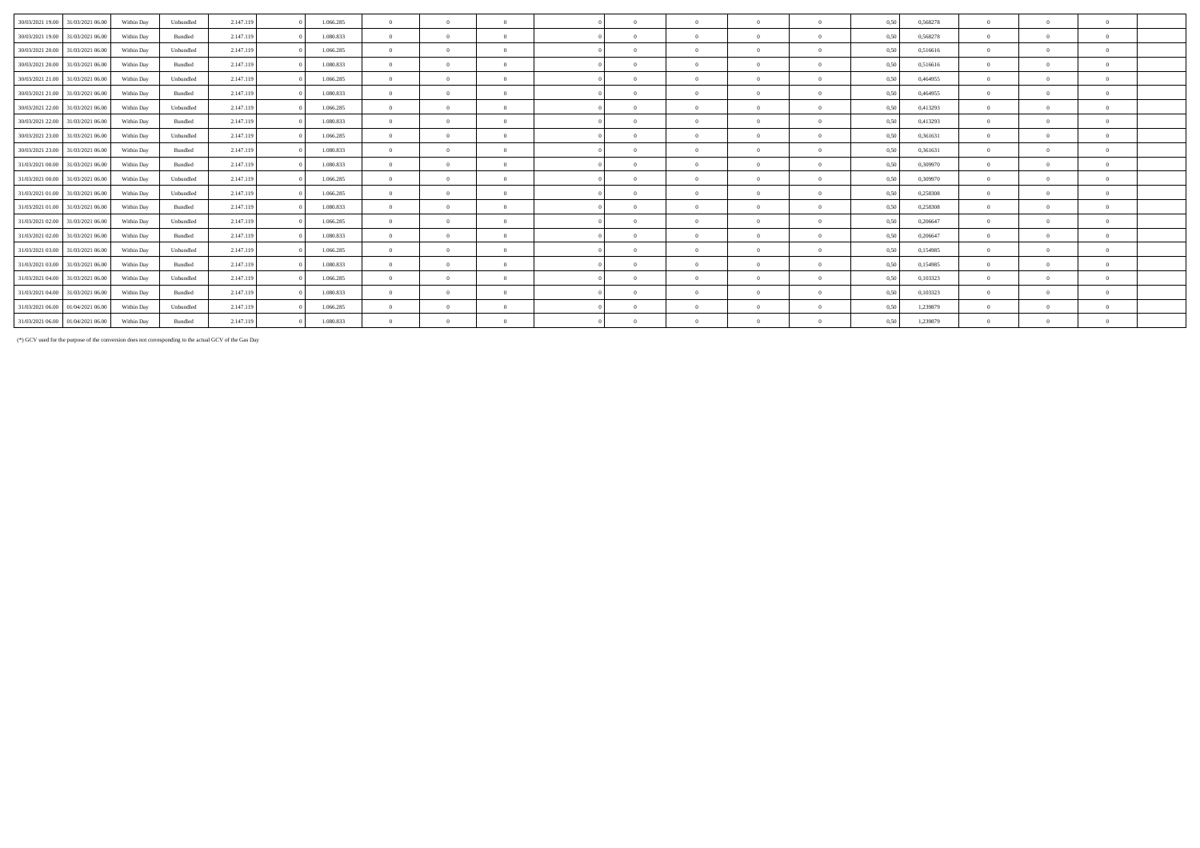| 30/03/2021 19:00<br>31/03/2021 06:00 | Within Day | Unbundled | 2.147.119 | 1.066.285 | $\Omega$       | $\Omega$ |          | $\Omega$ | $\Omega$   | $\Omega$ | 0,50 | 0,568278 | $\Omega$       |          | $\Omega$ |
|--------------------------------------|------------|-----------|-----------|-----------|----------------|----------|----------|----------|------------|----------|------|----------|----------------|----------|----------|
| 30/03/2021 19:00<br>31/03/2021 06:00 | Within Day | Bundled   | 2.147.119 | 1.080.833 | $\overline{0}$ | $\Omega$ | $\Omega$ | $\Omega$ | $\Omega$   | $\Omega$ | 0.50 | 0,568278 | $\Omega$       | $\Omega$ | $\Omega$ |
| 30/03/2021 20:00 31/03/2021 06:00    | Within Day | Unbundled | 2.147.119 | 1.066.285 | $\Omega$       | $\Omega$ | $\Omega$ | $\Omega$ | $\Omega$   |          | 0,50 | 0,516616 | $\Omega$       |          | $\Omega$ |
| 30/03/2021 20:00<br>31/03/2021 06:00 | Within Day | Bundled   | 2.147.119 | 1.080.833 | $\overline{0}$ | $\Omega$ | $\Omega$ | $\Omega$ | $\Omega$   | $\Omega$ | 0,50 | 0,516616 | $\overline{0}$ |          | $\Omega$ |
| 30/03/2021 21:00<br>31/03/2021 06:00 | Within Day | Unbundled | 2.147.119 | 1.066.285 | $\Omega$       | $\Omega$ | $\Omega$ | $\Omega$ | $\Omega$   |          | 0.50 | 0,464955 | $\Omega$       |          | $\Omega$ |
| 30/03/2021 21:00<br>31/03/2021 06:00 | Within Day | Bundled   | 2.147.119 | 1.080.833 | $\Omega$       | $\Omega$ | $\Omega$ | $\Omega$ | $\Omega$   |          | 0,50 | 0,464955 | $\Omega$       |          | $\Omega$ |
| 30/03/2021 22:00<br>31/03/2021 06:00 | Within Day | Unbundled | 2.147.119 | 1.066.285 | $\overline{0}$ | $\Omega$ | $\Omega$ | $\Omega$ | $\theta$   | $\Omega$ | 0,50 | 0,413293 | $\theta$       |          | $\Omega$ |
| 30/03/2021 22:00<br>31/03/2021 06:00 | Within Day | Bundled   | 2.147.119 | 1.080.833 | $\theta$       | $\Omega$ | $\Omega$ | $\Omega$ | $\Omega$   | $\Omega$ | 0.50 | 0,413293 | $\Omega$       | $\Omega$ | $\Omega$ |
| 30/03/2021 23:00<br>31/03/2021 06:00 | Within Day | Unbundled | 2.147.119 | 1.066.285 | $\Omega$       | $\Omega$ | $\Omega$ | $\Omega$ | $\Omega$   |          | 0.50 | 0,361631 | $\Omega$       |          | $\Omega$ |
| 30/03/2021 23:00<br>31/03/2021 06:00 | Within Day | Bundled   | 2.147.119 | 1.080.833 | $\overline{0}$ | $\Omega$ | $\Omega$ | $\Omega$ | $\Omega$   | $\Omega$ | 0.50 | 0,361631 | $\overline{0}$ |          | $\Omega$ |
| 31/03/2021 00:00<br>31/03/2021 06:00 | Within Day | Bundled   | 2.147.119 | 1.080.833 | $\Omega$       | $\Omega$ | $\Omega$ | $\Omega$ | $\Omega$   |          | 0.50 | 0.309970 | $\Omega$       |          | $\Omega$ |
| 31/03/2021 00:00<br>31/03/2021 06:00 | Within Day | Unbundled | 2.147.119 | 1.066.285 | $\Omega$       | $\Omega$ |          | $\Omega$ | $\Omega$   |          | 0,50 | 0,309970 | $\Omega$       |          | $\Omega$ |
| 31/03/2021 01:00<br>31/03/2021 06:00 | Within Day | Unbundled | 2.147.119 | 1.066.285 | $\overline{0}$ | $\Omega$ | $\Omega$ | $\Omega$ | $\theta$   | $\Omega$ | 0,50 | 0,258308 | $\Omega$       |          | $\Omega$ |
| 31/03/2021 01:00<br>31/03/2021 06:00 | Within Day | Bundled   | 2.147.119 | 1.080.833 | $\overline{0}$ | $\Omega$ | $\Omega$ | $\Omega$ | $\Omega$   | $\Omega$ | 0.50 | 0,258308 | $\Omega$       |          | $\Omega$ |
| 31/03/2021 02:00<br>31/03/2021 06:00 | Within Day | Unbundled | 2.147.119 | 1.066.285 | $\Omega$       | $\Omega$ | $\Omega$ | $\Omega$ | $\theta$   |          | 0,50 | 0,206647 | $\Omega$       |          | $\Omega$ |
| 31/03/2021 02:00<br>31/03/2021 06:00 | Within Day | Bundled   | 2.147.119 | 1.080.833 | $\overline{0}$ | $\Omega$ | $\Omega$ | $\Omega$ | $\Omega$   | $\Omega$ | 0.50 | 0,206647 | $\overline{0}$ | $\Omega$ | $\Omega$ |
| 31/03/2021 03:00<br>31/03/2021 06:00 | Within Day | Unbundled | 2.147.119 | 1.066.285 | $\overline{0}$ | $\Omega$ | $\Omega$ | $\Omega$ | $\Omega$   |          | 0.50 | 0,154985 | $\Omega$       |          | $\Omega$ |
| 31/03/2021 03:00<br>31/03/2021 06:00 | Within Day | Bundled   | 2.147.119 | 1.080.833 | $\Omega$       | $\Omega$ |          |          | $\sqrt{2}$ |          | 0.50 | 0,154985 | $\Omega$       |          | $\Omega$ |
| 31/03/2021 04:00<br>31/03/2021 06:00 | Within Day | Unbundled | 2.147.119 | 1.066.285 | $\overline{0}$ | $\Omega$ | $\Omega$ | $\Omega$ | $\Omega$   | $\theta$ | 0.50 | 0,103323 | $\theta$       |          | $\Omega$ |
| 31/03/2021 04:00<br>31/03/2021 06:00 | Within Day | Bundled   | 2.147.119 | 1.080.833 | $\overline{0}$ | $\Omega$ | $\Omega$ | $\Omega$ | $\Omega$   |          | 0.50 | 0,103323 | $\Omega$       |          | $\Omega$ |
| 31/03/2021 06:00 01/04/2021 06:00    | Within Day | Unbundled | 2.147.119 | 1.066.285 | $\Omega$       | $\Omega$ | $\Omega$ |          | $\theta$   |          | 0.50 | 1,239879 | $\Omega$       |          | $\Omega$ |
| 31/03/2021 06:00 01/04/2021 06:00    | Within Day | Bundled   | 2.147.119 | 1.080.833 | $\overline{0}$ | $\Omega$ |          | $\Omega$ | $\Omega$   |          | 0.50 | 1.239879 | $\overline{0}$ | $\Omega$ | $\Omega$ |

(\*) GCV used for the purpose of the conversion does not corresponding to the actual GCV of the Gas Day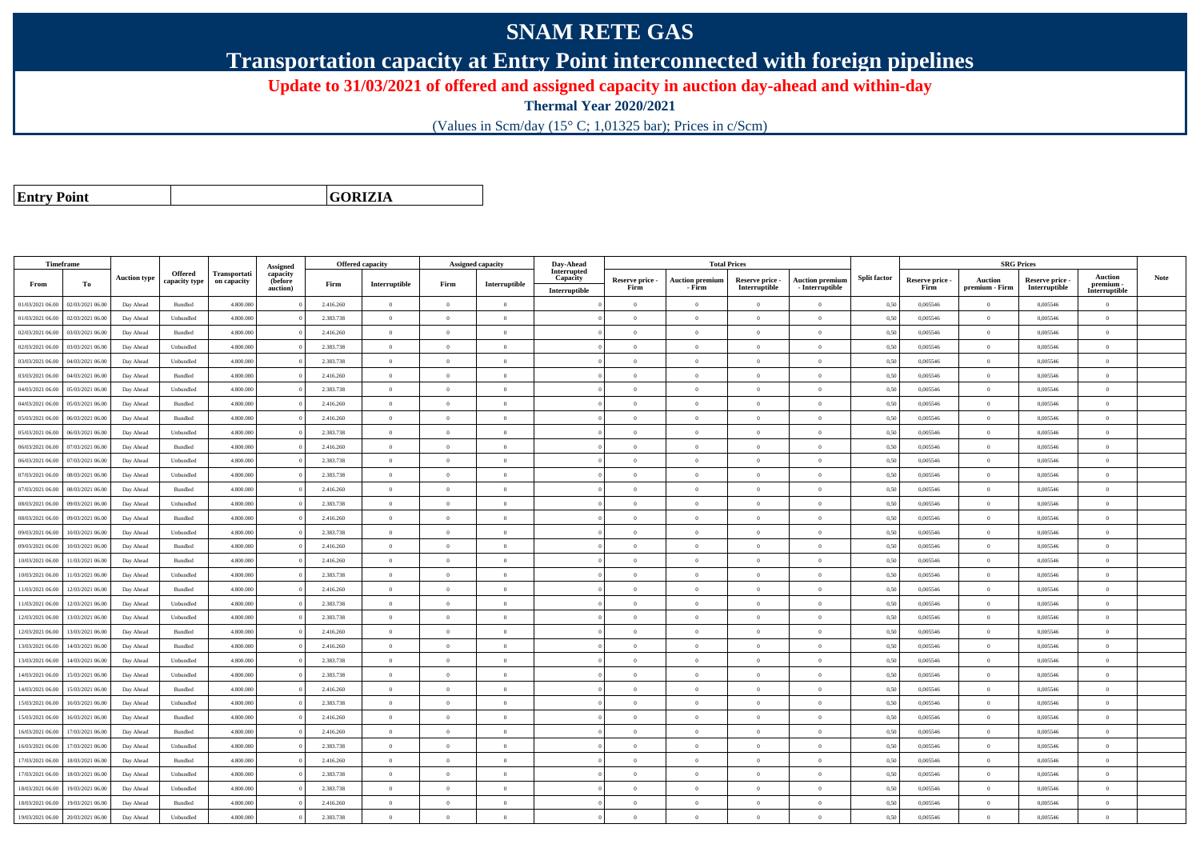## **SNAM RETE GAS**

**Transportation capacity at Entry Point interconnected with foreign pipelines**

**Update to 31/03/2021 of offered and assigned capacity in auction day-ahead and within-day**

**Thermal Year 2020/2021**

(Values in Scm/day (15° C; 1,01325 bar); Prices in c/Scm)

**Entry Point**

**GORIZIA**

|                  | Timeframe        |                     |                                 |                             | Assigned                        |           | Offered capacity                        |                | <b>Assigned capacity</b> | Day-Ahead                                |                         |                                  | <b>Total Prices</b>              |                                           |                     |                         | <b>SRG Prices</b>                |                                |                                              |             |
|------------------|------------------|---------------------|---------------------------------|-----------------------------|---------------------------------|-----------|-----------------------------------------|----------------|--------------------------|------------------------------------------|-------------------------|----------------------------------|----------------------------------|-------------------------------------------|---------------------|-------------------------|----------------------------------|--------------------------------|----------------------------------------------|-------------|
| From             | To               | <b>Auction type</b> | <b>Offered</b><br>capacity type | Transportati<br>on capacity | capacity<br>(before<br>auction) | Firm      | $\label{prop:1} \textbf{Interruptible}$ | Firm           | Interruptible            | Interrupted<br>Capacity<br>Interruptible | Reserve price -<br>Firm | <b>Auction premium</b><br>- Firm | Reserve price -<br>Interruptible | <b>Auction premium</b><br>- Interruptible | <b>Split factor</b> | Reserve price -<br>Firm | <b>Auction</b><br>premium - Firm | Reserve price<br>Interruptible | <b>Auction</b><br>premium -<br>Interruptible | <b>Note</b> |
| 01/03/2021 06:00 | 02/03/2021 06:00 | Day Ahead           | Bundled                         | 4.800.000                   |                                 | 2.416.260 | $\overline{0}$                          | $\overline{0}$ | $\overline{0}$           |                                          | $\overline{0}$          | $\bf{0}$                         | $\overline{0}$                   | $\mathbf{0}$                              | 0,50                | 0,005546                | $\overline{0}$                   | 0,005546                       | $\overline{0}$                               |             |
| 01/03/2021 06:00 | 02/03/2021 06:00 | Day Ahead           | Unbundled                       | 4.800,000                   |                                 | 2.383.738 | $\overline{0}$                          | $\theta$       | $\Omega$                 |                                          | $\theta$                | $\Omega$                         | $\Omega$                         | $\Omega$                                  | 0,50                | 0.005546                | $\overline{0}$                   | 0.005546                       | $\Omega$                                     |             |
| 02/03/2021 06:00 | 03/03/2021 06.00 | Day Ahead           | Bundled                         | 4.800.000                   |                                 | 2.416.260 | $\overline{0}$                          | $\overline{0}$ | $\overline{0}$           |                                          | $\overline{0}$          | $\Omega$                         | $\overline{0}$                   | $\theta$                                  | 0,50                | 0,005546                | $\overline{0}$                   | 0,005546                       | $\bf{0}$                                     |             |
| 02/03/2021 06:00 | 03/03/2021 06:00 | Day Ahead           | Unbundled                       | 4.800.000                   |                                 | 2.383.738 | $\overline{0}$                          | $\overline{0}$ | $\overline{0}$           |                                          | $\overline{0}$          | $\theta$                         | $\overline{0}$                   | $\overline{0}$                            | 0,50                | 0,005546                | $\overline{0}$                   | 0,005546                       | $\theta$                                     |             |
| 03/03/2021 06:00 | 04/03/2021 06:00 | Day Ahead           | Unbundled                       | 4.800.000                   |                                 | 2.383.738 | $\overline{0}$                          | $\overline{0}$ | $\theta$                 |                                          | $\overline{0}$          | $\bf{0}$                         | $\overline{0}$                   | $\hspace{0.1mm}0\hspace{0.1mm}$           | 0,50                | 0,005546                | $\overline{0}$                   | 0.005546                       | $\bf{0}$                                     |             |
| 03/03/2021 06:00 | 04/03/2021 06.0  | Day Ahead           | Bundled                         | 4.800.000                   |                                 | 2.416.260 | $\overline{0}$                          | $\Omega$       | $\Omega$                 |                                          | $\Omega$                |                                  | $\Omega$                         | $\theta$                                  | 0,50                | 0,005546                | $\overline{0}$                   | 0,005546                       | $\Omega$                                     |             |
| 04/03/2021 06:00 | 05/03/2021 06:00 | Day Ahead           | Unbundled                       | 4.800,000                   |                                 | 2.383.738 | $\overline{0}$                          | $\overline{0}$ | $\overline{0}$           |                                          | $\overline{0}$          | $\Omega$                         | $\Omega$                         | $\overline{0}$                            | 0.50                | 0.005546                | $\overline{0}$                   | 0.005546                       | $\theta$                                     |             |
| 04/03/2021 06:00 | 05/03/2021 06:00 | Day Ahead           | Bundled                         | 4.800.000                   |                                 | 2.416.260 | $\Omega$                                | $\overline{0}$ | $\Omega$                 |                                          | $\theta$                | $\Omega$                         | $\overline{0}$                   | $\theta$                                  | 0,50                | 0,005546                | $\overline{0}$                   | 0,005546                       | $\Omega$                                     |             |
| 05/03/2021 06:00 | 06/03/2021 06:00 | Day Ahead           | Bundled                         | 4.800,000                   |                                 | 2.416.260 | $\Omega$                                | $\theta$       | $\Omega$                 |                                          | $\theta$                | $\Omega$                         | $\theta$                         | $\theta$                                  | 0.50                | 0.005546                | $\overline{0}$                   | 0.005546                       | $\theta$                                     |             |
| 05/03/2021 06:00 | 06/03/2021 06.0  | Day Ahead           | Unbundled                       | 4.800.000                   |                                 | 2.383.738 | $\overline{0}$                          | $\overline{0}$ | $\overline{0}$           |                                          | $\overline{0}$          | $\Omega$                         | $\overline{0}$                   | $\bf{0}$                                  | 0,50                | 0,005546                | $\overline{0}$                   | 0,005546                       | $\Omega$                                     |             |
| 06/03/2021 06:00 | 07/03/2021 06.00 | Day Ahead           | Bundled                         | 4.800.000                   |                                 | 2.416.260 | $\overline{0}$                          | $\overline{0}$ | $\overline{0}$           |                                          | $\overline{0}$          | $\theta$                         | $\overline{0}$                   | $\overline{0}$                            | 0,50                | 0.005546                | $\overline{0}$                   | 0.005546                       | $\bf{0}$                                     |             |
| 06/03/2021 06:00 | 07/03/2021 06:00 | Day Ahead           | Unbundled                       | 4.800,000                   |                                 | 2.383.738 | $\overline{0}$                          | $\overline{0}$ | $\theta$                 |                                          | $\overline{0}$          | $\mathbf{0}$                     | $\overline{0}$                   | $\bf{0}$                                  | 0.50                | 0.005546                | $\overline{0}$                   | 0.005546                       | $\bf{0}$                                     |             |
| 07/03/2021 06:00 | 08/03/2021 06:00 | Day Ahead           | Unbundled                       | 4.800.000                   |                                 | 2.383.738 | $\overline{0}$                          | $\overline{0}$ | $\overline{0}$           |                                          | $\overline{0}$          | $\overline{0}$                   | $\overline{0}$                   | $\theta$                                  | 0,50                | 0,005546                | $\overline{0}$                   | 0,005546                       | $\bf{0}$                                     |             |
| 07/03/2021 06:00 | 08/03/2021 06:00 | Day Ahead           | Bundled                         | 4.800.000                   |                                 | 2.416.260 | $\overline{0}$                          | $\overline{0}$ | $\Omega$                 |                                          | $\Omega$                | $\Omega$                         | $\overline{0}$                   | $\overline{0}$                            | 0,50                | 0,005546                | $\overline{0}$                   | 0,005546                       | $\Omega$                                     |             |
| 08/03/2021 06:00 | 09/03/2021 06:00 | Day Ahead           | Unbundled                       | 4.800.000                   |                                 | 2.383.738 | $\Omega$                                | $\Omega$       | $\sqrt{2}$               |                                          | $\theta$                | $\Omega$                         | $\Omega$                         | $\Omega$                                  | 0,50                | 0.005546                | $\overline{0}$                   | 0,005546                       | $\Omega$                                     |             |
| 08/03/2021 06:00 | 09/03/2021 06:00 | Day Ahead           | Bundled                         | 4.800.000                   |                                 | 2.416.260 | $\Omega$                                | $\theta$       | $\Omega$                 |                                          | $\Omega$                | $\theta$                         | $\Omega$                         | $\theta$                                  | 0,50                | 0,005546                | $\overline{0}$                   | 0,005546                       | $\Omega$                                     |             |
| 09/03/2021 06:00 | 10/03/2021 06:00 | Day Ahead           | Unbundled                       | 4.800,000                   |                                 | 2.383.738 | $\overline{0}$                          | $\overline{0}$ | $\overline{0}$           |                                          | $\overline{0}$          | $\theta$                         | $\theta$                         | $\overline{0}$                            | 0,50                | 0.005546                | $\overline{0}$                   | 0.005546                       | $\theta$                                     |             |
| 09/03/2021 06:00 | 10/03/2021 06:00 | Day Ahead           | Bundled                         | 4.800.000                   |                                 | 2.416.260 | $\overline{0}$                          | $\overline{0}$ | $\theta$                 |                                          | $\overline{0}$          | $\theta$                         | $\overline{0}$                   | $\overline{0}$                            | 0,50                | 0,005546                | $\overline{0}$                   | 0,005546                       | $\bf{0}$                                     |             |
| 10/03/2021 06:00 | 11/03/2021 06:00 | Day Ahead           | Bundled                         | 4.800,000                   |                                 | 2.416.260 | $\overline{0}$                          | $\theta$       | $\Omega$                 |                                          | $\theta$                | $\Omega$                         | $\theta$                         | $\theta$                                  | 0.50                | 0.005546                | $\overline{0}$                   | 0.005546                       | $\theta$                                     |             |
| 10/03/2021 06:00 | 11/03/2021 06:00 | Day Ahead           | Unbundled                       | 4.800,000                   |                                 | 2.383.738 | $\Omega$                                | $\overline{0}$ | $\Omega$                 |                                          | $\theta$                | $\Omega$                         | $\theta$                         | $\bf{0}$                                  | 0.50                | 0.005546                | $\overline{0}$                   | 0.005546                       | $\Omega$                                     |             |
| 11/03/2021 06:00 | 12/03/2021 06:00 | Day Ahead           | Bundled                         | 4.800.000                   |                                 | 2.416.260 | $\overline{0}$                          | $\theta$       | $\Omega$                 |                                          | $\Omega$                | $\theta$                         | $\theta$                         | $\theta$                                  | 0,50                | 0,005546                | $\theta$                         | 0,005546                       | $\Omega$                                     |             |
| 11/03/2021 06:00 | 12/03/2021 06:00 | Day Ahead           | Unbundled                       | 4.800,000                   |                                 | 2.383.738 | $\Omega$                                | $\Omega$       | $\theta$                 |                                          | $\theta$                | $\Omega$                         | $\Omega$                         | $\Omega$                                  | 0.50                | 0.005546                | $\overline{0}$                   | 0.005546                       | $\Omega$                                     |             |
| 12/03/2021 06:00 | 13/03/2021 06.00 | Day Ahead           | Unbundled                       | 4.800.000                   |                                 | 2.383.738 | $\theta$                                | $\overline{0}$ | $\theta$                 |                                          | $\Omega$                | $\Omega$                         | $\overline{0}$                   | $\overline{0}$                            | 0,50                | 0,005546                | $\overline{0}$                   | 0,005546                       | $\Omega$                                     |             |
| 12/03/2021 06:00 | 13/03/2021 06:00 | Day Ahead           | Bundled                         | 4.800.000                   |                                 | 2.416.260 | $\overline{0}$                          | $\overline{0}$ | $\overline{0}$           |                                          | $\overline{0}$          | $\theta$                         | $\overline{0}$                   | $\bf{0}$                                  | 0,50                | 0,005546                | $\overline{0}$                   | 0,005546                       | $\bf{0}$                                     |             |
| 13/03/2021 06:00 | 14/03/2021 06.00 | Day Ahead           | Bundled                         | 4.800.000                   |                                 | 2.416.260 | $\overline{0}$                          | $\overline{0}$ | $\theta$                 |                                          | $\overline{0}$          | $\bf{0}$                         | $\overline{0}$                   | $\hspace{0.1mm}0\hspace{0.1mm}$           | 0,50                | 0,005546                | $\overline{0}$                   | 0,005546                       | $\bf{0}$                                     |             |
| 13/03/2021 06:00 | 14/03/2021 06.0  | Day Ahead           | Unbundled                       | 4.800.000                   |                                 | 2.383.738 | $\overline{0}$                          | $\overline{0}$ | $\overline{0}$           |                                          | $\overline{0}$          | $\theta$                         | $\overline{0}$                   | $\overline{0}$                            | 0,50                | 0,005546                | $\overline{0}$                   | 0,005546                       | $\bf{0}$                                     |             |
| 14/03/2021 06:00 | 15/03/2021 06:00 | Day Ahead           | Unbundled                       | 4.800,000                   |                                 | 2.383.738 | $\overline{0}$                          | $\overline{0}$ | $\overline{0}$           |                                          | $\overline{0}$          | $\Omega$                         | $\overline{0}$                   | $\overline{0}$                            | 0,50                | 0.005546                | $\overline{0}$                   | 0.005546                       | $\theta$                                     |             |
| 14/03/2021 06:00 | 15/03/2021 06:00 | Day Ahead           | Bundled                         | 4.800.000                   |                                 | 2.416.260 | $\overline{0}$                          | $\overline{0}$ | $\theta$                 |                                          | $\overline{0}$          | $\theta$                         | $\overline{0}$                   | $\theta$                                  | 0,50                | 0,005546                | $\overline{0}$                   | 0,005546                       | $\bf{0}$                                     |             |
| 15/03/2021 06:00 | 16/03/2021 06.0  | Day Ahead           | Unbundled                       | 4.800.000                   |                                 | 2.383.738 | $\Omega$                                | $\theta$       | $\Omega$                 |                                          | $\Omega$                |                                  | $\Omega$                         | $\theta$                                  | 0,50                | 0,005546                | $\theta$                         | 0,005546                       | $\Omega$                                     |             |
| 15/03/2021 06:00 | 16/03/2021 06:00 | Day Ahead           | Bundled                         | 4.800,000                   |                                 | 2.416.260 | $\Omega$                                | $\theta$       | $\theta$                 |                                          | $\overline{0}$          | $\theta$                         | $\theta$                         | $\overline{0}$                            | 0,50                | 0.005546                | $\overline{0}$                   | 0.005546                       | $\theta$                                     |             |
| 16/03/2021 06:00 | 17/03/2021 06:00 | Day Ahead           | Bundled                         | 4.800.000                   |                                 | 2.416.260 | $\overline{0}$                          | $\theta$       | $\Omega$                 |                                          | $\theta$                | $\Omega$                         | $\overline{0}$                   | $\overline{0}$                            | 0,50                | 0.005546                | $\overline{0}$                   | 0.005546                       | $\theta$                                     |             |
| 16/03/2021 06:00 | 17/03/2021 06.00 | Day Ahead           | Unbundled                       | 4.800,000                   |                                 | 2.383.738 | $\overline{0}$                          | $\overline{0}$ | $\overline{0}$           |                                          | $\overline{0}$          | $\theta$                         | $\overline{0}$                   | $\overline{0}$                            | 0.50                | 0.005546                | $\overline{0}$                   | 0.005546                       | $\bf{0}$                                     |             |
| 17/03/2021 06:00 | 18/03/2021 06.0  | Day Ahead           | Bundled                         | 4.800.000                   |                                 | 2.416.260 | $\overline{0}$                          | $\overline{0}$ | $\overline{0}$           |                                          | $\overline{0}$          | $\Omega$                         | $\overline{0}$                   | $\overline{0}$                            | 0,50                | 0,005546                | $\overline{0}$                   | 0,005546                       | $\bf{0}$                                     |             |
| 17/03/2021 06:00 | 18/03/2021 06:00 | Day Ahead           | Unbundled                       | 4.800.000                   |                                 | 2.383.738 | $\overline{0}$                          | $\overline{0}$ | $\overline{0}$           |                                          | $\overline{0}$          | $\Omega$                         | $\overline{0}$                   | $\overline{0}$                            | 0,50                | 0,005546                | $\overline{0}$                   | 0,005546                       | $\bf{0}$                                     |             |
| 18/03/2021 06:00 | 19/03/2021 06:00 | Day Ahead           | Unbundled                       | 4.800,000                   |                                 | 2.383.738 | $\Omega$                                | $\overline{0}$ | $\theta$                 |                                          | $\overline{0}$          | $\theta$                         | $\Omega$                         | $\theta$                                  | 0,50                | 0.005546                | $\overline{0}$                   | 0.005546                       | $\Omega$                                     |             |
| 18/03/2021 06:00 | 19/03/2021 06.0  | Day Ahead           | Bundled                         | 4.800.000                   |                                 | 2.416.260 | $\theta$                                | $\overline{0}$ | $\overline{0}$           |                                          | $\overline{0}$          |                                  | $\overline{0}$                   | $\theta$                                  | 0,50                | 0,005546                | $\overline{0}$                   | 0,005546                       | $\bf{0}$                                     |             |
| 19/03/2021 06:00 | 20/03/2021 06:00 | Day Ahead           | Unbundled                       | 4.800.000                   |                                 | 2.383.738 | $\overline{0}$                          | $\theta$       | $\Omega$                 |                                          | $\theta$                | $\Omega$                         | $\Omega$                         | $\theta$                                  | 0,50                | 0.005546                | $\overline{0}$                   | 0.005546                       | $\theta$                                     |             |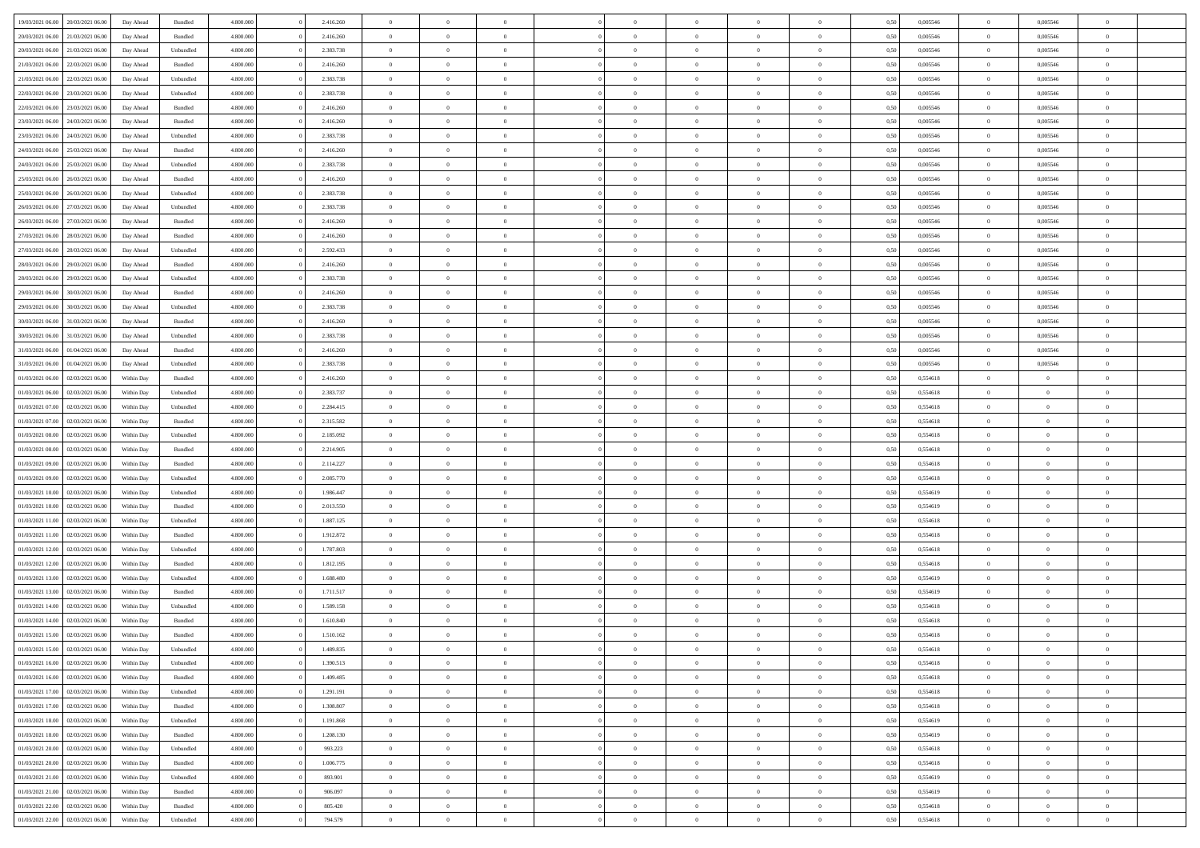| 19/03/2021 06:00                  | 20/03/2021 06:00 | Day Ahead  | Bundled   | 4.800.000 | 2.416.260 | $\overline{0}$ | $\overline{0}$ |                |                | $\theta$       | $\theta$       | $\overline{0}$ | 0,50 | 0,005546 | $\bf{0}$          | 0,005546       | $\overline{0}$ |  |
|-----------------------------------|------------------|------------|-----------|-----------|-----------|----------------|----------------|----------------|----------------|----------------|----------------|----------------|------|----------|-------------------|----------------|----------------|--|
|                                   |                  |            |           |           |           | $\overline{0}$ | $\overline{0}$ | $\overline{0}$ | $\Omega$       | $\bf{0}$       |                |                |      |          | $\bf{0}$          |                | $\overline{0}$ |  |
| 20/03/2021 06:00                  | 21/03/2021 06.00 | Day Ahead  | Bundled   | 4.800.000 | 2.416.260 |                |                |                |                |                | $\overline{0}$ | $\bf{0}$       | 0,50 | 0,005546 |                   | 0,005546       |                |  |
| 20/03/2021 06:00                  | 21/03/2021 06:00 | Day Ahead  | Unbundled | 4.800,000 | 2.383.738 | $\overline{0}$ | $\overline{0}$ | $\overline{0}$ | $\overline{0}$ | $\bf{0}$       | $\overline{0}$ | $\mathbf{0}$   | 0.50 | 0.005546 | $\bf{0}$          | 0.005546       | $\bf{0}$       |  |
| 21/03/2021 06:00                  | 22/03/2021 06:00 | Day Ahead  | Bundled   | 4.800.000 | 2.416.260 | $\overline{0}$ | $\overline{0}$ | $\overline{0}$ | $\overline{0}$ | $\bf{0}$       | $\overline{0}$ | $\theta$       | 0,50 | 0,005546 | $\,$ 0 $\,$       | 0,005546       | $\overline{0}$ |  |
| 21/03/2021 06:00                  | 22/03/2021 06.0  | Day Ahead  | Unbundled | 4.800.000 | 2.383.738 | $\overline{0}$ | $\overline{0}$ | $\Omega$       |                | $\bf{0}$       | $\overline{0}$ | $\bf{0}$       | 0,50 | 0,005546 | $\bf{0}$          | 0,005546       | $\overline{0}$ |  |
| 22/03/2021 06:00                  | 23/03/2021 06:00 | Day Ahead  | Unbundled | 4.800,000 | 2.383.738 | $\overline{0}$ | $\overline{0}$ | $\Omega$       | $\Omega$       | $\bf{0}$       | $\overline{0}$ | $\bf{0}$       | 0.50 | 0.005546 | $\bf{0}$          | 0.005546       | $\bf{0}$       |  |
| 22/03/2021 06:00                  | 23/03/2021 06:00 | Day Ahead  | Bundled   | 4.800.000 | 2.416.260 | $\overline{0}$ | $\overline{0}$ | $\overline{0}$ | $\overline{0}$ | $\bf{0}$       | $\overline{0}$ | $\bf{0}$       | 0,50 | 0,005546 | $\,$ 0 $\,$       | 0,005546       | $\overline{0}$ |  |
| 23/03/2021 06:00                  | 24/03/2021 06.00 | Day Ahead  | Bundled   | 4.800.000 | 2.416.260 | $\overline{0}$ | $\overline{0}$ | $\Omega$       |                | $\bf{0}$       | $\overline{0}$ | $\bf{0}$       | 0,50 | 0,005546 | $\bf{0}$          | 0,005546       | $\bf{0}$       |  |
| 23/03/2021 06:00                  | 24/03/2021 06:00 | Day Ahead  | Unbundled | 4.800,000 | 2.383.738 | $\overline{0}$ | $\overline{0}$ | $\overline{0}$ | $\overline{0}$ | $\overline{0}$ | $\overline{0}$ | $\bf{0}$       | 0.50 | 0.005546 | $\bf{0}$          | 0.005546       | $\bf{0}$       |  |
| 24/03/2021 06:00                  | 25/03/2021 06.00 | Day Ahead  | Bundled   | 4.800.000 | 2.416.260 | $\overline{0}$ | $\overline{0}$ | $\overline{0}$ | $\overline{0}$ | $\bf{0}$       | $\overline{0}$ | $\bf{0}$       | 0,50 | 0,005546 | $\,$ 0 $\,$       | 0,005546       | $\overline{0}$ |  |
|                                   |                  |            |           |           |           |                |                |                |                |                |                |                |      |          |                   |                |                |  |
| 24/03/2021 06.00                  | 25/03/2021 06.0  | Day Ahead  | Unbundled | 4.800.000 | 2.383.738 | $\overline{0}$ | $\overline{0}$ | $\overline{0}$ |                | $\bf{0}$       | $\overline{0}$ | $\bf{0}$       | 0,50 | 0,005546 | $\bf{0}$          | 0,005546       | $\bf{0}$       |  |
| 25/03/2021 06:00                  | 26/03/2021 06:00 | Day Ahead  | Bundled   | 4.800,000 | 2.416.260 | $\overline{0}$ | $\overline{0}$ | $\overline{0}$ | $\overline{0}$ | $\bf{0}$       | $\overline{0}$ | $\mathbf{0}$   | 0.50 | 0.005546 | $\bf{0}$          | 0.005546       | $\bf{0}$       |  |
| 25/03/2021 06:00                  | 26/03/2021 06:00 | Day Ahead  | Unbundled | 4.800.000 | 2.383.738 | $\overline{0}$ | $\overline{0}$ | $\overline{0}$ | $\overline{0}$ | $\bf{0}$       | $\overline{0}$ | $\theta$       | 0,50 | 0,005546 | $\,$ 0 $\,$       | 0,005546       | $\overline{0}$ |  |
| 26/03/2021 06.00                  | 27/03/2021 06.00 | Day Ahead  | Unbundled | 4.800.000 | 2.383.738 | $\overline{0}$ | $\overline{0}$ | $\overline{0}$ |                | $\bf{0}$       | $\overline{0}$ | $\bf{0}$       | 0,50 | 0,005546 | $\bf{0}$          | 0,005546       | $\overline{0}$ |  |
| 26/03/2021 06:00                  | 27/03/2021 06:00 | Day Ahead  | Bundled   | 4.800,000 | 2.416.260 | $\overline{0}$ | $\overline{0}$ | $\Omega$       | $\Omega$       | $\overline{0}$ | $\overline{0}$ | $\mathbf{0}$   | 0.50 | 0.005546 | $\bf{0}$          | 0.005546       | $\bf{0}$       |  |
| 27/03/2021 06:00                  | 28/03/2021 06:00 | Day Ahead  | Bundled   | 4.800.000 | 2.416.260 | $\overline{0}$ | $\overline{0}$ | $\overline{0}$ | $\overline{0}$ | $\bf{0}$       | $\overline{0}$ | $\bf{0}$       | 0,50 | 0,005546 | $\,$ 0 $\,$       | 0,005546       | $\overline{0}$ |  |
| 27/03/2021 06:00                  | 28/03/2021 06.0  | Day Ahead  | Unbundled | 4.800.000 | 2.592.433 | $\overline{0}$ | $\overline{0}$ | $\overline{0}$ |                | $\bf{0}$       | $\overline{0}$ | $\bf{0}$       | 0,50 | 0,005546 | $\bf{0}$          | 0,005546       | $\overline{0}$ |  |
| 28/03/2021 06:00                  | 29/03/2021 06:00 | Day Ahead  | Bundled   | 4.800,000 | 2.416.260 | $\overline{0}$ | $\overline{0}$ | $\overline{0}$ | $\overline{0}$ | $\bf{0}$       | $\overline{0}$ | $\bf{0}$       | 0.50 | 0.005546 | $\bf{0}$          | 0.005546       | $\bf{0}$       |  |
| 28/03/2021 06:00                  | 29/03/2021 06:00 | Day Ahead  | Unbundled | 4.800.000 | 2.383.738 | $\overline{0}$ | $\overline{0}$ | $\overline{0}$ | $\overline{0}$ | $\bf{0}$       | $\overline{0}$ | $\bf{0}$       | 0,50 | 0,005546 | $\,$ 0 $\,$       | 0,005546       | $\overline{0}$ |  |
| 29/03/2021 06:00                  | 30/03/2021 06.00 | Day Ahead  | Bundled   | 4.800.000 | 2.416.260 | $\overline{0}$ | $\bf{0}$       | $\overline{0}$ |                | $\bf{0}$       | $\overline{0}$ | $\bf{0}$       | 0,50 | 0,005546 | $\bf{0}$          | 0,005546       | $\bf{0}$       |  |
|                                   | 30/03/2021 06:00 |            |           | 4.800,000 | 2.383.738 |                | $\overline{0}$ | $\overline{0}$ | $\overline{0}$ | $\bf{0}$       |                | $\mathbf{0}$   | 0.50 | 0.005546 |                   | 0.005546       |                |  |
| 29/03/2021 06:00                  |                  | Day Ahead  | Unbundled |           |           | $\overline{0}$ |                |                |                |                | $\overline{0}$ |                |      |          | $\bf{0}$          |                | $\bf{0}$       |  |
| 30/03/2021 06:00                  | 31/03/2021 06:00 | Day Ahead  | Bundled   | 4.800.000 | 2.416.260 | $\overline{0}$ | $\overline{0}$ | $\overline{0}$ | $\overline{0}$ | $\bf{0}$       | $\overline{0}$ | $\theta$       | 0,50 | 0,005546 | $\,$ 0 $\,$       | 0,005546       | $\overline{0}$ |  |
| 30/03/2021 06:00                  | 31/03/2021 06.00 | Day Ahead  | Unbundled | 4.800.000 | 2.383.738 | $\overline{0}$ | $\overline{0}$ | $\overline{0}$ |                | $\bf{0}$       | $\overline{0}$ | $\bf{0}$       | 0,50 | 0,005546 | $\bf{0}$          | 0,005546       | $\overline{0}$ |  |
| 31/03/2021 06:00                  | 01/04/2021 06:00 | Day Ahead  | Bundled   | 4.800,000 | 2.416.260 | $\overline{0}$ | $\overline{0}$ | $\Omega$       | $\Omega$       | $\overline{0}$ | $\overline{0}$ | $\bf{0}$       | 0.50 | 0.005546 | $\bf{0}$          | 0.005546       | $\bf{0}$       |  |
| 31/03/2021 06:00                  | 01/04/2021 06.00 | Day Ahead  | Unbundled | 4.800.000 | 2.383.738 | $\overline{0}$ | $\overline{0}$ | $\overline{0}$ | $\overline{0}$ | $\bf{0}$       | $\overline{0}$ | $\bf{0}$       | 0,50 | 0,005546 | $\,$ 0 $\,$       | 0,005546       | $\overline{0}$ |  |
| 01/03/2021 06:00                  | 02/03/2021 06.00 | Within Day | Bundled   | 4.800.000 | 2.416.260 | $\overline{0}$ | $\overline{0}$ | $\overline{0}$ |                | $\bf{0}$       | $\overline{0}$ | $\bf{0}$       | 0,50 | 0,554618 | $\bf{0}$          | $\overline{0}$ | $\bf{0}$       |  |
| 01/03/2021 06:00                  | 02/03/2021 06:00 | Within Day | Unbundled | 4.800,000 | 2.383.737 | $\overline{0}$ | $\overline{0}$ | $\overline{0}$ | $\overline{0}$ | $\bf{0}$       | $\overline{0}$ | $\bf{0}$       | 0.50 | 0.554618 | $\bf{0}$          | $\overline{0}$ | $\bf{0}$       |  |
| 01/03/2021 07:00                  | 02/03/2021 06:00 | Within Day | Unbundled | 4.800.000 | 2.284.415 | $\overline{0}$ | $\overline{0}$ | $\overline{0}$ | $\overline{0}$ | $\bf{0}$       | $\overline{0}$ | $\bf{0}$       | 0,50 | 0,554618 | $\,$ 0 $\,$       | $\overline{0}$ | $\overline{0}$ |  |
| 01/03/2021 07:00                  | 02/03/2021 06.00 | Within Day | Bundled   | 4.800.000 | 2.315.582 | $\overline{0}$ | $\bf{0}$       | $\overline{0}$ | $\overline{0}$ | $\bf{0}$       | $\overline{0}$ | $\bf{0}$       | 0,50 | 0,554618 | $\bf{0}$          | $\overline{0}$ | $\bf{0}$       |  |
| 01/03/2021 08:00                  | 02/03/2021 06:00 | Within Day | Unbundled | 4.800,000 | 2.185.092 | $\overline{0}$ | $\overline{0}$ | $\overline{0}$ | $\overline{0}$ | $\bf{0}$       | $\overline{0}$ | $\mathbf{0}$   | 0.50 | 0.554618 | $\bf{0}$          | $\overline{0}$ | $\bf{0}$       |  |
| 01/03/2021 08:00                  | 02/03/2021 06:00 | Within Dav | Bundled   | 4.800.000 | 2.214.905 | $\overline{0}$ | $\overline{0}$ | $\overline{0}$ | $\Omega$       | $\overline{0}$ | $\overline{0}$ | $\bf{0}$       | 0,50 | 0.554618 | $\mathbf{0}$      | $\overline{0}$ | $\overline{0}$ |  |
|                                   |                  |            |           |           |           | $\overline{0}$ | $\overline{0}$ | $\overline{0}$ |                | $\bf{0}$       |                | $\bf{0}$       |      |          | $\bf{0}$          | $\overline{0}$ | $\bf{0}$       |  |
| 01/03/2021 09:00                  | 02/03/2021 06.0  | Within Day | Bundled   | 4.800.000 | 2.114.227 |                |                |                |                |                | $\overline{0}$ |                | 0,50 | 0,554618 |                   |                |                |  |
| 01/03/2021 09:00                  | 02/03/2021 06:00 | Within Day | Unbundled | 4.800,000 | 2.085.770 | $\overline{0}$ | $\overline{0}$ | $\overline{0}$ | $\Omega$       | $\bf{0}$       | $\overline{0}$ | $\bf{0}$       | 0.50 | 0.554618 | $\bf{0}$          | $\overline{0}$ | $\bf{0}$       |  |
| 01/03/2021 10:00                  | 02/03/2021 06:00 | Within Dav | Unbundled | 4.800.000 | 1.986.447 | $\overline{0}$ | $\overline{0}$ | $\theta$       | $\Omega$       | $\overline{0}$ | $\overline{0}$ | $\bf{0}$       | 0,50 | 0,554619 | $\mathbf{0}$      | $\overline{0}$ | $\overline{0}$ |  |
| 01/03/2021 10:00                  | 02/03/2021 06.00 | Within Day | Bundled   | 4.800.000 | 2.013.550 | $\overline{0}$ | $\overline{0}$ | $\overline{0}$ |                | $\bf{0}$       | $\overline{0}$ | $\bf{0}$       | 0,50 | 0,554619 | $\bf{0}$          | $\overline{0}$ | $\bf{0}$       |  |
| 01/03/2021 11:00                  | 02/03/2021 06:00 | Within Day | Unbundled | 4.800,000 | 1.887.125 | $\overline{0}$ | $\overline{0}$ | $\overline{0}$ | $\overline{0}$ | $\bf{0}$       | $\overline{0}$ | $\bf{0}$       | 0.50 | 0.554618 | $\bf{0}$          | $\overline{0}$ | $\bf{0}$       |  |
| 01/03/2021 11:00                  | 02/03/2021 06:00 | Within Dav | Bundled   | 4.800.000 | 1.912.872 | $\overline{0}$ | $\overline{0}$ | $\overline{0}$ | $\Omega$       | $\overline{0}$ | $\overline{0}$ | $\bf{0}$       | 0,50 | 0.554618 | $\mathbf{0}$      | $\overline{0}$ | $\overline{0}$ |  |
| 01/03/2021 12:00                  | 02/03/2021 06.00 | Within Day | Unbundled | 4.800.000 | 1.787.803 | $\overline{0}$ | $\overline{0}$ | $\overline{0}$ | $\overline{0}$ | $\bf{0}$       | $\overline{0}$ | $\bf{0}$       | 0,50 | 0,554618 | $\bf{0}$          | $\overline{0}$ | $\bf{0}$       |  |
| 01/03/2021 12:00                  | 02/03/2021 06:00 | Within Day | Bundled   | 4.800,000 | 1.812.195 | $\overline{0}$ | $\overline{0}$ | $\overline{0}$ | $\overline{0}$ | $\bf{0}$       | $\overline{0}$ | $\mathbf{0}$   | 0.50 | 0.554618 | $\bf{0}$          | $\overline{0}$ | $\bf{0}$       |  |
| 01/03/2021 13:00                  | 02/03/2021 06:00 | Within Dav | Unbundled | 4.800.000 | 1.688.480 | $\overline{0}$ | $\overline{0}$ | $\theta$       | $\Omega$       | $\overline{0}$ | $\overline{0}$ | $\bf{0}$       | 0,50 | 0.554619 | $\mathbf{0}$      | $\overline{0}$ | $\overline{0}$ |  |
| 01/03/2021 13:00                  | 02/03/2021 06.0  | Within Day | Bundled   | 4.800.000 | 1.711.517 | $\overline{0}$ | $\bf{0}$       | $\overline{0}$ | $\Omega$       | $\bf{0}$       | $\overline{0}$ | $\bf{0}$       | 0,50 | 0,554619 | $\bf{0}$          | $\overline{0}$ | $\bf{0}$       |  |
| 01/03/2021 14:00                  | 02/03/2021 06:00 | Within Day | Unbundled | 4.800,000 | 1.589.158 | $\overline{0}$ | $\overline{0}$ | $\Omega$       | $\Omega$       | $\overline{0}$ | $\overline{0}$ | $\theta$       | 0.50 | 0.554618 | $\bf{0}$          | $\overline{0}$ | $\bf{0}$       |  |
| 01/03/2021 14:00                  | 02/03/2021 06:00 | Within Dav | Bundled   | 4.800.000 | 1.610.840 | $\Omega$       | $\Omega$       | $\theta$       | $\Omega$       | $\overline{0}$ | $\overline{0}$ | $\theta$       | 0.50 | 0,554618 | $\mathbf{0}$      | $\overline{0}$ | $\overline{0}$ |  |
| 01/03/2021 15:00                  | 02/03/2021 06:00 | Within Day | Bundled   | 4.800.000 | 1.510.162 | $\overline{0}$ | $\bf{0}$       | $\overline{0}$ | $\overline{0}$ | $\bf{0}$       | $\overline{0}$ | $\bf{0}$       | 0,50 | 0,554618 | $\bf{0}$          | $\overline{0}$ | $\,$ 0         |  |
|                                   |                  |            |           |           |           |                |                |                |                |                |                |                |      |          |                   |                |                |  |
| 01/03/2021 15:00                  | 02/03/2021 06:00 | Within Day | Unbundled | 4.800.000 | 1.489.835 | $\bf{0}$       | $\Omega$       |                |                |                |                |                | 0,50 | 0,554618 | $\Omega$          | $\Omega$       |                |  |
| 01/03/2021 16:00                  | 02/03/2021 06:00 | Within Day | Unbundled | 4.800.000 | 1.390.513 | $\overline{0}$ | $\overline{0}$ | $\overline{0}$ | $\Omega$       | $\overline{0}$ | $\overline{0}$ | $\overline{0}$ | 0,50 | 0,554618 | $\overline{0}$    | $\theta$       | $\bf{0}$       |  |
| 01/03/2021 16:00                  | 02/03/2021 06:00 | Within Day | Bundled   | 4.800.000 | 1.409.485 | $\overline{0}$ | $\overline{0}$ | $\overline{0}$ | $\overline{0}$ | $\overline{0}$ | $\overline{0}$ | $\bf{0}$       | 0,50 | 0,554618 | $\bf{0}$          | $\bf{0}$       | $\bf{0}$       |  |
| 01/03/2021 17:00                  | 02/03/2021 06:00 | Within Day | Unbundled | 4.800.000 | 1.291.191 | $\overline{0}$ | $\overline{0}$ | $\overline{0}$ | $\overline{0}$ | $\bf{0}$       | $\overline{0}$ | $\bf{0}$       | 0.50 | 0.554618 | $\hspace{0.1mm}0$ | $\overline{0}$ | $\,$ 0 $\,$    |  |
| 01/03/2021 17:00                  | 02/03/2021 06:00 | Within Day | Bundled   | 4.800.000 | 1.308.807 | $\overline{0}$ | $\overline{0}$ | $\overline{0}$ | $\overline{0}$ | $\overline{0}$ | $\overline{0}$ | $\mathbf{0}$   | 0,50 | 0,554618 | $\overline{0}$    | $\overline{0}$ | $\bf{0}$       |  |
| 01/03/2021 18:00                  | 02/03/2021 06:00 | Within Day | Unbundled | 4.800.000 | 1.191.868 | $\overline{0}$ | $\overline{0}$ | $\overline{0}$ | $\overline{0}$ | $\bf{0}$       | $\overline{0}$ | $\bf{0}$       | 0,50 | 0,554619 | $\,$ 0 $\,$       | $\bf{0}$       | $\bf{0}$       |  |
| 01/03/2021 18:00                  | 02/03/2021 06:00 | Within Day | Bundled   | 4.800.000 | 1.208.130 | $\overline{0}$ | $\overline{0}$ | $\overline{0}$ | $\overline{0}$ | $\,$ 0         | $\overline{0}$ | $\mathbf{0}$   | 0.50 | 0.554619 | $\,$ 0 $\,$       | $\bf{0}$       | $\bf{0}$       |  |
| 01/03/2021 20:00                  | 02/03/2021 06:00 | Within Day | Unbundled | 4.800.000 | 993.223   | $\overline{0}$ | $\overline{0}$ | $\overline{0}$ | $\overline{0}$ | $\overline{0}$ | $\overline{0}$ | $\overline{0}$ | 0,50 | 0,554618 | $\overline{0}$    | $\overline{0}$ | $\bf{0}$       |  |
| 01/03/2021 20:00                  | 02/03/2021 06:00 | Within Day | Bundled   | 4.800.000 | 1.006.775 | $\overline{0}$ | $\overline{0}$ | $\overline{0}$ | $\overline{0}$ | $\,$ 0         | $\overline{0}$ | $\bf{0}$       | 0,50 | 0,554618 | $\,$ 0 $\,$       | $\overline{0}$ | $\bf{0}$       |  |
| 01/03/2021 21:00                  | 02/03/2021 06:00 | Within Day | Unbundled | 4.800.000 | 893.901   | $\overline{0}$ | $\overline{0}$ | $\overline{0}$ | $\overline{0}$ | $\,$ 0 $\,$    | $\overline{0}$ | $\overline{0}$ | 0.50 | 0.554619 | $\hspace{.1in}0$  | $\,$ 0 $\,$    | $\bf{0}$       |  |
|                                   | 02/03/2021 06:00 | Within Day | Bundled   | 4.800.000 | 906.097   | $\overline{0}$ | $\overline{0}$ | $\overline{0}$ | $\overline{0}$ | $\overline{0}$ | $\overline{0}$ | $\overline{0}$ | 0,50 | 0,554619 | $\overline{0}$    | $\theta$       | $\bf{0}$       |  |
| 01/03/2021 21:00                  |                  |            |           |           |           |                |                |                |                |                |                |                |      |          |                   |                |                |  |
| 01/03/2021 22.00                  | 02/03/2021 06.00 | Within Day | Bundled   | 4.800.000 | 805.420   | $\overline{0}$ | $\bf{0}$       | $\overline{0}$ | $\overline{0}$ | $\bf{0}$       | $\overline{0}$ | $\bf{0}$       | 0,50 | 0,554618 | $\bf{0}$          | $\bf{0}$       | $\bf{0}$       |  |
| 01/03/2021 22:00 02/03/2021 06:00 |                  | Within Day | Unbundled | 4.800.000 | 794.579   | $\,$ 0 $\,$    | $\overline{0}$ | $\overline{0}$ | $\overline{0}$ | $\,$ 0 $\,$    | $\,$ 0 $\,$    | $\mathbf{0}$   | 0,50 | 0,554618 | $\,$ 0 $\,$       | $\overline{0}$ | $\,$ 0 $\,$    |  |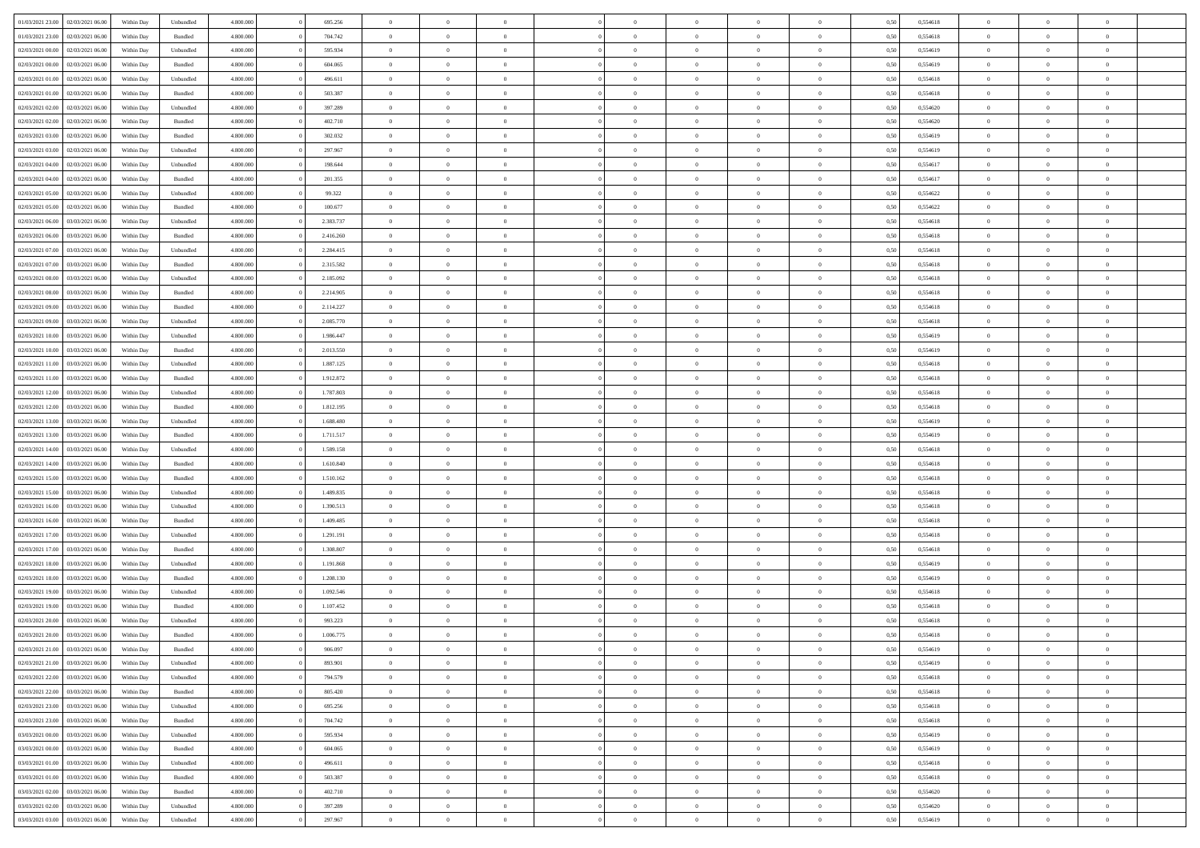| 01/03/2021 23:00                  | 02/03/2021 06:00 | Within Day | Unbundled          | 4.800.000 | 695.256   | $\overline{0}$ | $\Omega$       |                | $\Omega$       | $\Omega$       | $\Omega$       | $\theta$       | 0,50 | 0,554618 | $\theta$       | $\theta$       | $\theta$       |  |
|-----------------------------------|------------------|------------|--------------------|-----------|-----------|----------------|----------------|----------------|----------------|----------------|----------------|----------------|------|----------|----------------|----------------|----------------|--|
|                                   |                  |            |                    |           |           |                |                |                |                |                |                |                |      |          |                |                |                |  |
| 01/03/2021 23:00                  | 02/03/2021 06:00 | Within Day | Bundled            | 4.800.000 | 704.742   | $\overline{0}$ | $\theta$       | $\overline{0}$ | $\overline{0}$ | $\bf{0}$       | $\overline{0}$ | $\bf{0}$       | 0,50 | 0,554618 | $\theta$       | $\theta$       | $\overline{0}$ |  |
| 02/03/2021 00:00                  | 02/03/2021 06:00 | Within Day | Unbundled          | 4.800.000 | 595.934   | $\overline{0}$ | $\overline{0}$ | $\overline{0}$ | $\overline{0}$ | $\bf{0}$       | $\overline{0}$ | $\bf{0}$       | 0,50 | 0,554619 | $\bf{0}$       | $\overline{0}$ | $\overline{0}$ |  |
| 02/03/2021 00:00                  | 02/03/2021 06:00 | Within Dav | Bundled            | 4.800.000 | 604.065   | $\overline{0}$ | $\overline{0}$ | $\overline{0}$ | $\overline{0}$ | $\bf{0}$       | $\overline{0}$ | $\overline{0}$ | 0.50 | 0.554619 | $\theta$       | $\theta$       | $\overline{0}$ |  |
| 02/03/2021 01:00                  | 02/03/2021 06:00 | Within Day | Unbundled          | 4.800.000 | 496.611   | $\overline{0}$ | $\theta$       | $\overline{0}$ | $\overline{0}$ | $\bf{0}$       | $\overline{0}$ | $\bf{0}$       | 0,50 | 0,554618 | $\theta$       | $\theta$       | $\overline{0}$ |  |
|                                   |                  |            |                    |           |           |                |                |                |                |                |                |                |      |          |                |                |                |  |
| 02/03/2021 01:00                  | 02/03/2021 06:00 | Within Day | Bundled            | 4.800.000 | 503.387   | $\overline{0}$ | $\bf{0}$       | $\overline{0}$ | $\bf{0}$       | $\overline{0}$ | $\overline{0}$ | $\mathbf{0}$   | 0,50 | 0,554618 | $\overline{0}$ | $\overline{0}$ | $\bf{0}$       |  |
| 02/03/2021 02:00                  | 02/03/2021 06:00 | Within Dav | Unbundled          | 4.800.000 | 397.289   | $\overline{0}$ | $\overline{0}$ | $\overline{0}$ | $\overline{0}$ | $\overline{0}$ | $\overline{0}$ | $\overline{0}$ | 0.50 | 0,554620 | $\theta$       | $\overline{0}$ | $\overline{0}$ |  |
| 02/03/2021 02:00                  | 02/03/2021 06:00 | Within Day | Bundled            | 4.800.000 | 402.710   | $\overline{0}$ | $\theta$       | $\overline{0}$ | $\overline{0}$ | $\bf{0}$       | $\overline{0}$ | $\bf{0}$       | 0,50 | 0,554620 | $\theta$       | $\theta$       | $\overline{0}$ |  |
| 02/03/2021 03:00                  | 02/03/2021 06:00 | Within Day | Bundled            | 4.800.000 | 302.032   | $\overline{0}$ | $\overline{0}$ | $\overline{0}$ | $\bf{0}$       | $\bf{0}$       | $\bf{0}$       | $\bf{0}$       | 0,50 | 0,554619 | $\,0\,$        | $\overline{0}$ | $\overline{0}$ |  |
| 02/03/2021 03:00                  | 02/03/2021 06:00 | Within Dav | Unbundled          | 4.800.000 | 297.967   | $\overline{0}$ | $\overline{0}$ | $\overline{0}$ | $\overline{0}$ | $\overline{0}$ | $\overline{0}$ | $\overline{0}$ | 0.50 | 0.554619 | $\theta$       | $\overline{0}$ | $\overline{0}$ |  |
| 02/03/2021 04:00                  | 02/03/2021 06:00 | Within Day | Unbundled          | 4.800.000 | 198.644   | $\overline{0}$ | $\theta$       | $\overline{0}$ | $\overline{0}$ | $\bf{0}$       | $\overline{0}$ | $\bf{0}$       | 0,50 | 0,554617 | $\,$ 0 $\,$    | $\theta$       | $\overline{0}$ |  |
|                                   |                  |            |                    |           |           |                |                |                |                |                |                |                |      |          |                |                |                |  |
| 02/03/2021 04:00                  | 02/03/2021 06:00 | Within Day | Bundled            | 4.800.000 | 201.355   | $\overline{0}$ | $\overline{0}$ | $\overline{0}$ | $\bf{0}$       | $\bf{0}$       | $\bf{0}$       | $\bf{0}$       | 0,50 | 0,554617 | $\overline{0}$ | $\overline{0}$ | $\overline{0}$ |  |
| 02/03/2021 05:00                  | 02/03/2021 06:00 | Within Day | Unbundled          | 4.800.000 | 99.322    | $\overline{0}$ | $\overline{0}$ | $\overline{0}$ | $\overline{0}$ | $\bf{0}$       | $\overline{0}$ | $\overline{0}$ | 0.50 | 0.554622 | $\theta$       | $\theta$       | $\overline{0}$ |  |
| 02/03/2021 05:00                  | 02/03/2021 06:00 | Within Day | Bundled            | 4.800.000 | 100.677   | $\overline{0}$ | $\theta$       | $\overline{0}$ | $\overline{0}$ | $\bf{0}$       | $\overline{0}$ | $\bf{0}$       | 0,50 | 0,554622 | $\theta$       | $\theta$       | $\overline{0}$ |  |
| 02/03/2021 06:00                  | 03/03/2021 06:00 | Within Day | Unbundled          | 4.800.000 | 2.383.737 | $\overline{0}$ | $\overline{0}$ | $\overline{0}$ | $\bf{0}$       | $\overline{0}$ | $\overline{0}$ | $\mathbf{0}$   | 0,50 | 0,554618 | $\overline{0}$ | $\overline{0}$ | $\bf{0}$       |  |
| 02/03/2021 06:00                  | 03/03/2021 06:00 | Within Dav | Bundled            | 4.800.000 | 2.416.260 | $\overline{0}$ | $\overline{0}$ | $\overline{0}$ | $\overline{0}$ | $\overline{0}$ | $\overline{0}$ | $\overline{0}$ | 0.50 | 0.554618 | $\theta$       | $\overline{0}$ | $\overline{0}$ |  |
| 02/03/2021 07:00                  | 03/03/2021 06:00 | Within Day | Unbundled          | 4.800.000 | 2.284.415 | $\overline{0}$ | $\theta$       | $\overline{0}$ | $\overline{0}$ | $\bf{0}$       | $\overline{0}$ | $\bf{0}$       | 0,50 | 0,554618 | $\theta$       | $\theta$       | $\overline{0}$ |  |
| 02/03/2021 07:00                  | 03/03/2021 06:00 | Within Day | Bundled            | 4.800.000 | 2.315.582 | $\overline{0}$ | $\overline{0}$ | $\overline{0}$ | $\bf{0}$       | $\bf{0}$       | $\bf{0}$       | $\bf{0}$       | 0,50 | 0,554618 | $\,0\,$        | $\overline{0}$ | $\overline{0}$ |  |
| 02/03/2021 08:00                  | 03/03/2021 06:00 |            | Unbundled          | 4.800.000 | 2.185.092 | $\overline{0}$ | $\overline{0}$ | $\overline{0}$ | $\overline{0}$ | $\overline{0}$ | $\overline{0}$ | $\overline{0}$ | 0.50 | 0.554618 | $\theta$       | $\overline{0}$ | $\overline{0}$ |  |
|                                   |                  | Within Day |                    |           |           |                |                |                |                |                |                |                |      |          |                |                |                |  |
| 02/03/2021 08:00                  | 03/03/2021 06:00 | Within Day | Bundled            | 4.800.000 | 2.214.905 | $\overline{0}$ | $\theta$       | $\overline{0}$ | $\overline{0}$ | $\bf{0}$       | $\overline{0}$ | $\bf{0}$       | 0,50 | 0,554618 | $\,$ 0 $\,$    | $\theta$       | $\overline{0}$ |  |
| 02/03/2021 09:00                  | 03/03/2021 06:00 | Within Day | Bundled            | 4.800.000 | 2.114.227 | $\overline{0}$ | $\overline{0}$ | $\overline{0}$ | $\bf{0}$       | $\bf{0}$       | $\bf{0}$       | $\bf{0}$       | 0,50 | 0,554618 | $\bf{0}$       | $\overline{0}$ | $\overline{0}$ |  |
| 02/03/2021 09:00                  | 03/03/2021 06:00 | Within Day | Unbundled          | 4.800.000 | 2.085.770 | $\overline{0}$ | $\overline{0}$ | $\overline{0}$ | $\overline{0}$ | $\bf{0}$       | $\overline{0}$ | $\overline{0}$ | 0.50 | 0.554618 | $\theta$       | $\theta$       | $\overline{0}$ |  |
| 02/03/2021 10:00                  | 03/03/2021 06:00 | Within Day | Unbundled          | 4.800.000 | 1.986.447 | $\overline{0}$ | $\theta$       | $\overline{0}$ | $\overline{0}$ | $\bf{0}$       | $\overline{0}$ | $\bf{0}$       | 0,50 | 0,554619 | $\theta$       | $\overline{0}$ | $\overline{0}$ |  |
| 02/03/2021 10:00                  | 03/03/2021 06:00 | Within Day | Bundled            | 4.800.000 | 2.013.550 | $\overline{0}$ | $\bf{0}$       | $\overline{0}$ | $\bf{0}$       | $\overline{0}$ | $\overline{0}$ | $\mathbf{0}$   | 0,50 | 0,554619 | $\overline{0}$ | $\overline{0}$ | $\bf{0}$       |  |
| 02/03/2021 11:00                  | 03/03/2021 06:00 | Within Dav | Unbundled          | 4.800.000 | 1.887.125 | $\overline{0}$ | $\overline{0}$ | $\overline{0}$ | $\overline{0}$ | $\overline{0}$ | $\overline{0}$ | $\overline{0}$ | 0.50 | 0.554618 | $\theta$       | $\overline{0}$ | $\overline{0}$ |  |
|                                   |                  |            |                    |           |           |                |                |                |                |                |                |                |      |          |                |                |                |  |
| 02/03/2021 11:00                  | 03/03/2021 06:00 | Within Day | Bundled            | 4.800.000 | 1.912.872 | $\overline{0}$ | $\theta$       | $\overline{0}$ | $\overline{0}$ | $\bf{0}$       | $\overline{0}$ | $\bf{0}$       | 0,50 | 0,554618 | $\theta$       | $\theta$       | $\overline{0}$ |  |
| 02/03/2021 12:00                  | 03/03/2021 06:00 | Within Day | Unbundled          | 4.800.000 | 1.787.803 | $\overline{0}$ | $\overline{0}$ | $\overline{0}$ | $\bf{0}$       | $\bf{0}$       | $\bf{0}$       | $\bf{0}$       | 0,50 | 0,554618 | $\,0\,$        | $\overline{0}$ | $\overline{0}$ |  |
| 02/03/2021 12:00                  | 03/03/2021 06:00 | Within Day | Bundled            | 4.800.000 | 1.812.195 | $\overline{0}$ | $\overline{0}$ | $\overline{0}$ | $\overline{0}$ | $\overline{0}$ | $\overline{0}$ | $\overline{0}$ | 0.50 | 0.554618 | $\theta$       | $\overline{0}$ | $\overline{0}$ |  |
| 02/03/2021 13:00                  | 03/03/2021 06:00 | Within Day | Unbundled          | 4.800.000 | 1.688.480 | $\overline{0}$ | $\theta$       | $\overline{0}$ | $\overline{0}$ | $\bf{0}$       | $\overline{0}$ | $\bf{0}$       | 0,50 | 0,554619 | $\,$ 0 $\,$    | $\overline{0}$ | $\overline{0}$ |  |
| 02/03/2021 13:00                  | 03/03/2021 06:00 | Within Day | Bundled            | 4.800.000 | 1.711.517 | $\overline{0}$ | $\overline{0}$ | $\overline{0}$ | $\bf{0}$       | $\bf{0}$       | $\bf{0}$       | $\bf{0}$       | 0,50 | 0,554619 | $\bf{0}$       | $\overline{0}$ | $\overline{0}$ |  |
| 02/03/2021 14:00                  | 03/03/2021 06:00 | Within Day | Unbundled          | 4.800.000 | 1.589.158 | $\overline{0}$ | $\Omega$       | $\Omega$       | $\Omega$       | $\Omega$       | $\overline{0}$ | $\overline{0}$ | 0,50 | 0,554618 | $\,0\,$        | $\theta$       | $\theta$       |  |
| 02/03/2021 14:00                  | 03/03/2021 06:00 | Within Day | Bundled            | 4.800.000 | 1.610.840 | $\overline{0}$ | $\theta$       | $\overline{0}$ | $\overline{0}$ | $\bf{0}$       | $\overline{0}$ | $\bf{0}$       | 0,50 | 0,554618 | $\theta$       | $\theta$       | $\overline{0}$ |  |
|                                   |                  |            |                    |           |           |                |                |                |                |                |                |                |      |          |                |                |                |  |
| 02/03/2021 15:00                  | 03/03/2021 06:00 | Within Day | Bundled            | 4.800.000 | 1.510.162 | $\overline{0}$ | $\overline{0}$ | $\overline{0}$ | $\bf{0}$       | $\bf{0}$       | $\overline{0}$ | $\mathbf{0}$   | 0,50 | 0,554618 | $\bf{0}$       | $\overline{0}$ | $\bf{0}$       |  |
| 02/03/2021 15:00                  | 03/03/2021 06:00 | Within Day | Unbundled          | 4.800,000 | 1.489.835 | $\overline{0}$ | $\Omega$       | $\Omega$       | $\Omega$       | $\bf{0}$       | $\overline{0}$ | $\overline{0}$ | 0.50 | 0.554618 | $\theta$       | $\theta$       | $\theta$       |  |
| 02/03/2021 16:00                  | 03/03/2021 06:00 | Within Day | Unbundled          | 4.800.000 | 1.390.513 | $\overline{0}$ | $\theta$       | $\overline{0}$ | $\overline{0}$ | $\bf{0}$       | $\overline{0}$ | $\bf{0}$       | 0,50 | 0,554618 | $\theta$       | $\theta$       | $\overline{0}$ |  |
| 02/03/2021 16:00                  | 03/03/2021 06:00 | Within Day | Bundled            | 4.800.000 | 1.409.485 | $\overline{0}$ | $\overline{0}$ | $\overline{0}$ | $\bf{0}$       | $\bf{0}$       | $\bf{0}$       | $\bf{0}$       | 0,50 | 0,554618 | $\,0\,$        | $\overline{0}$ | $\overline{0}$ |  |
| 02/03/2021 17:00                  | 03/03/2021 06:00 | Within Day | Unbundled          | 4.800,000 | 1.291.191 | $\overline{0}$ | $\Omega$       | $\Omega$       | $\Omega$       | $\theta$       | $\theta$       | $\overline{0}$ | 0.50 | 0.554618 | $\theta$       | $\theta$       | $\theta$       |  |
| 02/03/2021 17:00                  | 03/03/2021 06:00 | Within Day | Bundled            | 4.800.000 | 1.308.807 | $\overline{0}$ | $\theta$       | $\overline{0}$ | $\overline{0}$ | $\bf{0}$       | $\overline{0}$ | $\bf{0}$       | 0,50 | 0,554618 | $\,$ 0 $\,$    | $\overline{0}$ | $\overline{0}$ |  |
|                                   |                  |            |                    |           |           |                | $\overline{0}$ |                |                | $\bf{0}$       |                |                |      |          |                | $\overline{0}$ | $\overline{0}$ |  |
| 02/03/2021 18:00                  | 03/03/2021 06:00 | Within Day | Unbundled          | 4.800.000 | 1.191.868 | $\overline{0}$ |                | $\overline{0}$ | $\bf{0}$       |                | $\bf{0}$       | $\bf{0}$       | 0,50 | 0,554619 | $\overline{0}$ |                |                |  |
| 02/03/2021 18:00                  | 03/03/2021 06:00 | Within Day | Bundled            | 4.800,000 | 1.208.130 | $\overline{0}$ | $\Omega$       | $\Omega$       | $\Omega$       | $\overline{0}$ | $\overline{0}$ | $\overline{0}$ | 0,50 | 0,554619 | $\,0\,$        | $\theta$       | $\theta$       |  |
| 02/03/2021 19:00                  | 03/03/2021 06:00 | Within Day | Unbundled          | 4.800.000 | 1.092.546 | $\overline{0}$ | $\theta$       | $\overline{0}$ | $\overline{0}$ | $\bf{0}$       | $\overline{0}$ | $\bf{0}$       | 0,50 | 0,554618 | $\,$ 0 $\,$    | $\overline{0}$ | $\overline{0}$ |  |
| 02/03/2021 19:00                  | 03/03/2021 06:00 | Within Day | Bundled            | 4.800.000 | 1.107.452 | $\overline{0}$ | $\overline{0}$ | $\overline{0}$ | $\bf{0}$       | $\bf{0}$       | $\bf{0}$       | $\mathbf{0}$   | 0,50 | 0,554618 | $\overline{0}$ | $\overline{0}$ | $\bf{0}$       |  |
| 02/03/2021 20:00                  | 03/03/2021 06:00 | Within Day | Unbundled          | 4.800,000 | 993.223   | $\overline{0}$ | $\Omega$       | $\Omega$       | $\Omega$       | $\Omega$       | $\Omega$       | $\overline{0}$ | 0.50 | 0.554618 | $\theta$       | $\theta$       | $\theta$       |  |
| 02/03/2021 20:00                  | 03/03/2021 06:00 | Within Day | Bundled            | 4.800.000 | 1.006.775 | $\overline{0}$ | $\overline{0}$ | $\overline{0}$ | $\bf{0}$       | $\,$ 0         | $\bf{0}$       | $\bf{0}$       | 0,50 | 0,554618 | $\,0\,$        | $\,$ 0 $\,$    | $\overline{0}$ |  |
| 02/03/2021 21:00 03/03/2021 06:00 |                  | Within Day | $\mathbf B$ undled | 4.800.000 | 906.097   | $\bf{0}$       | $\bf{0}$       |                |                |                |                |                | 0,50 | 0,554619 | $\bf{0}$       | $\overline{0}$ |                |  |
| 02/03/2021 21:00                  | 03/03/2021 06:00 | Within Day | Unbundled          | 4.800.000 | 893,901   | $\overline{0}$ | $\overline{0}$ | $\overline{0}$ | $\Omega$       | $\overline{0}$ | $\overline{0}$ | $\overline{0}$ | 0,50 | 0.554619 | $\theta$       | $\theta$       | $\theta$       |  |
|                                   |                  |            |                    |           |           |                | $\bf{0}$       |                |                | $\,$ 0 $\,$    |                |                |      |          | $\,$ 0 $\,$    | $\,$ 0 $\,$    | $\,$ 0         |  |
| 02/03/2021 22.00                  | 03/03/2021 06:00 | Within Day | Unbundled          | 4.800.000 | 794.579   | $\overline{0}$ |                | $\overline{0}$ | $\bf{0}$       |                | $\overline{0}$ | $\,$ 0 $\,$    | 0,50 | 0,554618 |                |                |                |  |
| 02/03/2021 22.00                  | 03/03/2021 06:00 | Within Day | Bundled            | 4.800.000 | 805.420   | $\overline{0}$ | $\overline{0}$ | $\overline{0}$ | $\overline{0}$ | $\overline{0}$ | $\overline{0}$ | $\mathbf{0}$   | 0,50 | 0,554618 | $\overline{0}$ | $\overline{0}$ | $\overline{0}$ |  |
| 02/03/2021 23:00                  | 03/03/2021 06:00 | Within Day | Unbundled          | 4.800,000 | 695.256   | $\overline{0}$ | $\overline{0}$ | $\overline{0}$ | $\Omega$       | $\overline{0}$ | $\overline{0}$ | $\overline{0}$ | 0,50 | 0,554618 | $\overline{0}$ | $\overline{0}$ | $\overline{0}$ |  |
| 02/03/2021 23:00                  | 03/03/2021 06:00 | Within Day | Bundled            | 4.800.000 | 704.742   | $\overline{0}$ | $\,$ 0         | $\overline{0}$ | $\bf{0}$       | $\,$ 0 $\,$    | $\overline{0}$ | $\mathbf{0}$   | 0,50 | 0,554618 | $\,$ 0 $\,$    | $\overline{0}$ | $\,$ 0         |  |
| 03/03/2021 00:00                  | 03/03/2021 06:00 | Within Day | Unbundled          | 4.800.000 | 595.934   | $\overline{0}$ | $\overline{0}$ | $\overline{0}$ | $\overline{0}$ | $\overline{0}$ | $\overline{0}$ | $\mathbf{0}$   | 0,50 | 0,554619 | $\overline{0}$ | $\overline{0}$ | $\overline{0}$ |  |
| 03/03/2021 00:00                  | 03/03/2021 06:00 | Within Day | Bundled            | 4.800.000 | 604.065   | $\overline{0}$ | $\overline{0}$ | $\overline{0}$ | $\overline{0}$ | $\overline{0}$ | $\overline{0}$ | $\overline{0}$ | 0.50 | 0,554619 | $\overline{0}$ | $\theta$       | $\overline{0}$ |  |
| 03/03/2021 01:00                  | 03/03/2021 06:00 | Within Day | Unbundled          | 4.800.000 | 496.611   | $\overline{0}$ | $\,$ 0         | $\overline{0}$ | $\bf{0}$       | $\bf{0}$       | $\bf{0}$       | $\bf{0}$       | 0,50 | 0,554618 | $\,$ 0 $\,$    | $\overline{0}$ | $\overline{0}$ |  |
|                                   |                  |            |                    |           |           |                |                |                |                |                |                |                |      |          |                |                |                |  |
| 03/03/2021 01:00                  | 03/03/2021 06:00 | Within Day | Bundled            | 4.800.000 | 503.387   | $\overline{0}$ | $\overline{0}$ | $\overline{0}$ | $\overline{0}$ | $\overline{0}$ | $\overline{0}$ | $\mathbf{0}$   | 0,50 | 0,554618 | $\overline{0}$ | $\overline{0}$ | $\bf{0}$       |  |
| 03/03/2021 02:00                  | 03/03/2021 06:00 | Within Day | Bundled            | 4.800,000 | 402.710   | $\overline{0}$ | $\overline{0}$ | $\overline{0}$ | $\Omega$       | $\overline{0}$ | $\overline{0}$ | $\overline{0}$ | 0.50 | 0,554620 | $\overline{0}$ | $\overline{0}$ | $\overline{0}$ |  |
| 03/03/2021 02:00                  | 03/03/2021 06:00 | Within Day | Unbundled          | 4.800.000 | 397.289   | $\overline{0}$ | $\bf{0}$       | $\overline{0}$ | $\bf{0}$       | $\bf{0}$       | $\bf{0}$       | $\mathbf{0}$   | 0,50 | 0,554620 | $\,$ 0 $\,$    | $\,$ 0 $\,$    | $\bf{0}$       |  |
| 03/03/2021 03:00                  | 03/03/2021 06:00 | Within Day | Unbundled          | 4.800.000 | 297.967   | $\overline{0}$ | $\overline{0}$ | $\overline{0}$ | $\overline{0}$ | $\overline{0}$ | $\bf{0}$       | $\mathbf{0}$   | 0,50 | 0,554619 | $\overline{0}$ | $\bf{0}$       | $\overline{0}$ |  |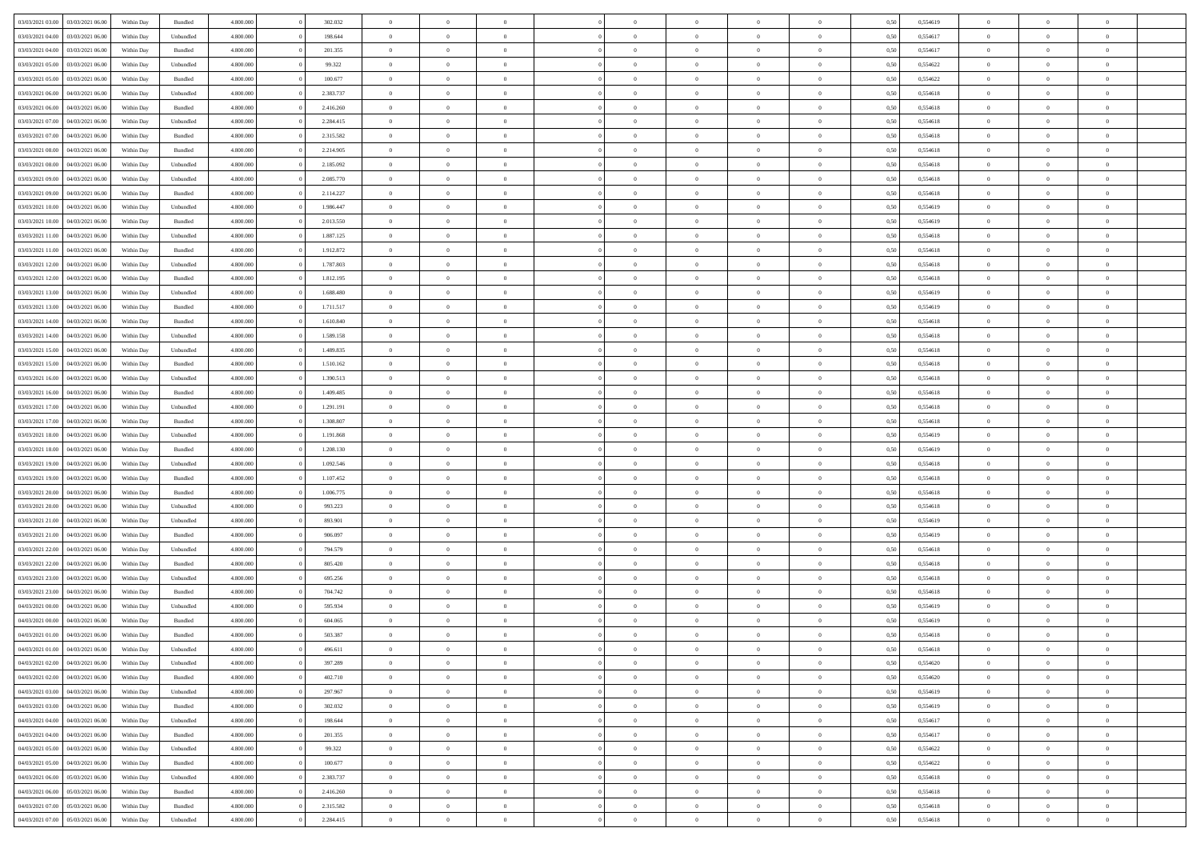| 03/03/2021 03:00                  | 03/03/2021 06:00 | Within Day | Bundled   | 4.800.000 | 302.032   | $\overline{0}$ | $\Omega$       |                | $\Omega$       | $\Omega$       | $\theta$       | $\theta$       | 0,50 | 0,554619 | $\theta$       | $\theta$       | $\theta$       |  |
|-----------------------------------|------------------|------------|-----------|-----------|-----------|----------------|----------------|----------------|----------------|----------------|----------------|----------------|------|----------|----------------|----------------|----------------|--|
|                                   |                  |            |           |           |           |                |                |                |                |                |                |                |      |          |                |                |                |  |
| 03/03/2021 04:00                  | 03/03/2021 06:00 | Within Day | Unbundled | 4.800.000 | 198.644   | $\overline{0}$ | $\theta$       | $\overline{0}$ | $\overline{0}$ | $\bf{0}$       | $\overline{0}$ | $\overline{0}$ | 0,50 | 0,554617 | $\theta$       | $\theta$       | $\overline{0}$ |  |
| 03/03/2021 04:00                  | 03/03/2021 06:00 | Within Day | Bundled   | 4.800.000 | 201.355   | $\overline{0}$ | $\overline{0}$ | $\overline{0}$ | $\bf{0}$       | $\bf{0}$       | $\bf{0}$       | $\bf{0}$       | 0,50 | 0,554617 | $\bf{0}$       | $\overline{0}$ | $\overline{0}$ |  |
| 03/03/2021 05:00                  | 03/03/2021 06:00 | Within Dav | Unbundled | 4.800.000 | 99.322    | $\overline{0}$ | $\overline{0}$ | $\overline{0}$ | $\overline{0}$ | $\bf{0}$       | $\overline{0}$ | $\overline{0}$ | 0.50 | 0.554622 | $\theta$       | $\theta$       | $\overline{0}$ |  |
| 03/03/2021 05:00                  | 03/03/2021 06:00 | Within Day | Bundled   | 4.800.000 | 100.677   | $\overline{0}$ | $\theta$       | $\overline{0}$ | $\overline{0}$ | $\bf{0}$       | $\overline{0}$ | $\bf{0}$       | 0,50 | 0,554622 | $\theta$       | $\theta$       | $\overline{0}$ |  |
| 03/03/2021 06:00                  | 04/03/2021 06:00 | Within Day | Unbundled | 4.800.000 | 2.383.737 | $\overline{0}$ | $\bf{0}$       | $\overline{0}$ | $\bf{0}$       | $\overline{0}$ | $\overline{0}$ | $\mathbf{0}$   | 0,50 | 0,554618 | $\overline{0}$ | $\overline{0}$ | $\bf{0}$       |  |
|                                   |                  |            |           |           |           |                |                |                |                |                |                |                |      |          |                |                |                |  |
| 03/03/2021 06:00                  | 04/03/2021 06:00 | Within Dav | Bundled   | 4.800.000 | 2.416.260 | $\overline{0}$ | $\overline{0}$ | $\overline{0}$ | $\overline{0}$ | $\overline{0}$ | $\overline{0}$ | $\overline{0}$ | 0.50 | 0,554618 | $\theta$       | $\overline{0}$ | $\overline{0}$ |  |
| 03/03/2021 07:00                  | 04/03/2021 06:00 | Within Day | Unbundled | 4.800.000 | 2.284.415 | $\overline{0}$ | $\theta$       | $\overline{0}$ | $\overline{0}$ | $\bf{0}$       | $\overline{0}$ | $\bf{0}$       | 0,50 | 0,554618 | $\theta$       | $\theta$       | $\overline{0}$ |  |
| 03/03/2021 07:00                  | 04/03/2021 06:00 | Within Day | Bundled   | 4.800.000 | 2.315.582 | $\overline{0}$ | $\overline{0}$ | $\overline{0}$ | $\bf{0}$       | $\bf{0}$       | $\bf{0}$       | $\bf{0}$       | 0,50 | 0,554618 | $\,0\,$        | $\overline{0}$ | $\overline{0}$ |  |
| 03/03/2021 08:00                  | 04/03/2021 06:00 | Within Dav | Bundled   | 4.800.000 | 2.214.905 | $\overline{0}$ | $\overline{0}$ | $\overline{0}$ | $\overline{0}$ | $\overline{0}$ | $\overline{0}$ | $\overline{0}$ | 0.50 | 0.554618 | $\theta$       | $\overline{0}$ | $\overline{0}$ |  |
| 03/03/2021 08:00                  | 04/03/2021 06:00 | Within Day | Unbundled | 4.800.000 | 2.185.092 | $\overline{0}$ | $\theta$       | $\overline{0}$ | $\overline{0}$ | $\bf{0}$       | $\overline{0}$ | $\bf{0}$       | 0,50 | 0,554618 | $\theta$       | $\theta$       | $\overline{0}$ |  |
| 03/03/2021 09:00                  | 04/03/2021 06:00 | Within Day | Unbundled | 4.800.000 | 2.085.770 | $\overline{0}$ | $\overline{0}$ | $\overline{0}$ | $\bf{0}$       | $\bf{0}$       | $\bf{0}$       | $\bf{0}$       | 0,50 | 0,554618 | $\overline{0}$ | $\overline{0}$ | $\overline{0}$ |  |
| 03/03/2021 09:00                  | 04/03/2021 06:00 | Within Day | Bundled   | 4.800.000 | 2.114.227 | $\overline{0}$ | $\overline{0}$ | $\overline{0}$ | $\overline{0}$ | $\bf{0}$       | $\overline{0}$ | $\overline{0}$ | 0.50 | 0.554618 | $\theta$       | $\theta$       | $\overline{0}$ |  |
|                                   |                  |            |           |           |           |                |                |                |                |                |                |                |      |          |                |                |                |  |
| 03/03/2021 10:00                  | 04/03/2021 06:00 | Within Day | Unbundled | 4.800.000 | 1.986.447 | $\overline{0}$ | $\theta$       | $\overline{0}$ | $\overline{0}$ | $\bf{0}$       | $\overline{0}$ | $\overline{0}$ | 0,50 | 0,554619 | $\theta$       | $\theta$       | $\overline{0}$ |  |
| 03/03/2021 10:00                  | 04/03/2021 06:00 | Within Day | Bundled   | 4.800.000 | 2.013.550 | $\overline{0}$ | $\bf{0}$       | $\overline{0}$ | $\bf{0}$       | $\overline{0}$ | $\overline{0}$ | $\mathbf{0}$   | 0,50 | 0,554619 | $\overline{0}$ | $\overline{0}$ | $\bf{0}$       |  |
| 03/03/2021 11:00                  | 04/03/2021 06:00 | Within Dav | Unbundled | 4.800.000 | 1.887.125 | $\overline{0}$ | $\overline{0}$ | $\overline{0}$ | $\overline{0}$ | $\overline{0}$ | $\overline{0}$ | $\overline{0}$ | 0.50 | 0.554618 | $\theta$       | $\overline{0}$ | $\overline{0}$ |  |
| 03/03/2021 11:00                  | 04/03/2021 06:00 | Within Day | Bundled   | 4.800.000 | 1.912.872 | $\overline{0}$ | $\theta$       | $\overline{0}$ | $\overline{0}$ | $\bf{0}$       | $\overline{0}$ | $\bf{0}$       | 0,50 | 0,554618 | $\theta$       | $\theta$       | $\overline{0}$ |  |
| 03/03/2021 12:00                  | 04/03/2021 06:00 | Within Day | Unbundled | 4.800.000 | 1.787.803 | $\overline{0}$ | $\overline{0}$ | $\overline{0}$ | $\bf{0}$       | $\bf{0}$       | $\bf{0}$       | $\bf{0}$       | 0,50 | 0,554618 | $\,0\,$        | $\overline{0}$ | $\overline{0}$ |  |
| 03/03/2021 12:00                  | 04/03/2021 06:00 | Within Day | Bundled   | 4.800.000 | 1.812.195 | $\overline{0}$ | $\overline{0}$ | $\overline{0}$ | $\overline{0}$ | $\overline{0}$ | $\overline{0}$ | $\overline{0}$ | 0.50 | 0.554618 | $\theta$       | $\overline{0}$ | $\overline{0}$ |  |
|                                   |                  |            |           |           |           |                |                |                |                |                |                |                |      |          |                |                |                |  |
| 03/03/2021 13:00                  | 04/03/2021 06:00 | Within Day | Unbundled | 4.800.000 | 1.688.480 | $\overline{0}$ | $\theta$       | $\overline{0}$ | $\overline{0}$ | $\bf{0}$       | $\overline{0}$ | $\bf{0}$       | 0,50 | 0,554619 | $\,$ 0 $\,$    | $\theta$       | $\overline{0}$ |  |
| 03/03/2021 13:00                  | 04/03/2021 06:00 | Within Day | Bundled   | 4.800.000 | 1.711.517 | $\overline{0}$ | $\overline{0}$ | $\overline{0}$ | $\bf{0}$       | $\bf{0}$       | $\bf{0}$       | $\bf{0}$       | 0,50 | 0,554619 | $\,0\,$        | $\overline{0}$ | $\overline{0}$ |  |
| 03/03/2021 14:00                  | 04/03/2021 06:00 | Within Day | Bundled   | 4.800.000 | 1.610.840 | $\overline{0}$ | $\overline{0}$ | $\overline{0}$ | $\overline{0}$ | $\bf{0}$       | $\overline{0}$ | $\overline{0}$ | 0.50 | 0.554618 | $\theta$       | $\theta$       | $\overline{0}$ |  |
| 03/03/2021 14:00                  | 04/03/2021 06:00 | Within Day | Unbundled | 4.800.000 | 1.589.158 | $\overline{0}$ | $\theta$       | $\overline{0}$ | $\overline{0}$ | $\bf{0}$       | $\overline{0}$ | $\bf{0}$       | 0,50 | 0,554618 | $\theta$       | $\overline{0}$ | $\overline{0}$ |  |
| 03/03/2021 15:00                  | 04/03/2021 06:00 | Within Day | Unbundled | 4.800.000 | 1.489.835 | $\overline{0}$ | $\bf{0}$       | $\overline{0}$ | $\bf{0}$       | $\overline{0}$ | $\overline{0}$ | $\mathbf{0}$   | 0,50 | 0,554618 | $\overline{0}$ | $\overline{0}$ | $\bf{0}$       |  |
| 03/03/2021 15:00                  | 04/03/2021 06:00 | Within Dav | Bundled   | 4.800.000 | 1.510.162 | $\overline{0}$ | $\overline{0}$ | $\overline{0}$ | $\overline{0}$ | $\overline{0}$ | $\overline{0}$ | $\overline{0}$ | 0.50 | 0.554618 | $\theta$       | $\overline{0}$ | $\overline{0}$ |  |
|                                   |                  |            |           |           |           |                |                |                |                |                |                |                |      |          |                |                |                |  |
| 03/03/2021 16:00                  | 04/03/2021 06:00 | Within Day | Unbundled | 4.800.000 | 1.390.513 | $\overline{0}$ | $\theta$       | $\overline{0}$ | $\overline{0}$ | $\bf{0}$       | $\overline{0}$ | $\bf{0}$       | 0,50 | 0,554618 | $\theta$       | $\theta$       | $\overline{0}$ |  |
| 03/03/2021 16:00                  | 04/03/2021 06:00 | Within Day | Bundled   | 4.800.000 | 1.409.485 | $\overline{0}$ | $\overline{0}$ | $\overline{0}$ | $\bf{0}$       | $\bf{0}$       | $\bf{0}$       | $\bf{0}$       | 0,50 | 0,554618 | $\,0\,$        | $\overline{0}$ | $\overline{0}$ |  |
| 03/03/2021 17:00                  | 04/03/2021 06:00 | Within Day | Unbundled | 4.800.000 | 1.291.191 | $\overline{0}$ | $\overline{0}$ | $\overline{0}$ | $\overline{0}$ | $\overline{0}$ | $\overline{0}$ | $\overline{0}$ | 0.50 | 0.554618 | $\theta$       | $\overline{0}$ | $\overline{0}$ |  |
| 03/03/2021 17:00                  | 04/03/2021 06:00 | Within Day | Bundled   | 4.800.000 | 1.308.807 | $\overline{0}$ | $\theta$       | $\overline{0}$ | $\overline{0}$ | $\bf{0}$       | $\overline{0}$ | $\bf{0}$       | 0,50 | 0,554618 | $\,$ 0 $\,$    | $\overline{0}$ | $\overline{0}$ |  |
| 03/03/2021 18:00                  | 04/03/2021 06:00 | Within Day | Unbundled | 4.800.000 | 1.191.868 | $\overline{0}$ | $\overline{0}$ | $\overline{0}$ | $\bf{0}$       | $\bf{0}$       | $\bf{0}$       | $\bf{0}$       | 0,50 | 0,554619 | $\bf{0}$       | $\overline{0}$ | $\overline{0}$ |  |
| 03/03/2021 18:00                  | 04/03/2021 06:00 | Within Day | Bundled   | 4.800,000 | 1.208.130 | $\overline{0}$ | $\Omega$       | $\Omega$       | $\Omega$       | $\Omega$       | $\Omega$       | $\overline{0}$ | 0,50 | 0,554619 | $\,0\,$        | $\theta$       | $\theta$       |  |
| 03/03/2021 19:00                  | 04/03/2021 06:00 | Within Day | Unbundled | 4.800.000 | 1.092.546 | $\overline{0}$ | $\theta$       | $\overline{0}$ | $\overline{0}$ | $\bf{0}$       | $\overline{0}$ | $\bf{0}$       | 0,50 | 0,554618 | $\theta$       | $\theta$       | $\overline{0}$ |  |
|                                   |                  |            |           |           |           |                |                |                |                |                |                |                |      |          |                |                |                |  |
| 03/03/2021 19:00                  | 04/03/2021 06:00 | Within Day | Bundled   | 4.800.000 | 1.107.452 | $\overline{0}$ | $\overline{0}$ | $\overline{0}$ | $\bf{0}$       | $\bf{0}$       | $\overline{0}$ | $\mathbf{0}$   | 0,50 | 0,554618 | $\overline{0}$ | $\overline{0}$ | $\bf{0}$       |  |
| 03/03/2021 20:00                  | 04/03/2021 06:00 | Within Day | Bundled   | 4.800,000 | 1.006.775 | $\overline{0}$ | $\Omega$       | $\Omega$       | $\Omega$       | $\bf{0}$       | $\overline{0}$ | $\overline{0}$ | 0.50 | 0.554618 | $\theta$       | $\theta$       | $\theta$       |  |
| 03/03/2021 20:00                  | 04/03/2021 06:00 | Within Day | Unbundled | 4.800.000 | 993.223   | $\overline{0}$ | $\theta$       | $\overline{0}$ | $\overline{0}$ | $\bf{0}$       | $\overline{0}$ | $\bf{0}$       | 0,50 | 0,554618 | $\theta$       | $\theta$       | $\overline{0}$ |  |
| 03/03/2021 21:00                  | 04/03/2021 06:00 | Within Day | Unbundled | 4.800.000 | 893.901   | $\overline{0}$ | $\overline{0}$ | $\overline{0}$ | $\bf{0}$       | $\bf{0}$       | $\bf{0}$       | $\bf{0}$       | 0,50 | 0,554619 | $\,0\,$        | $\overline{0}$ | $\overline{0}$ |  |
| 03/03/2021 21:00                  | 04/03/2021 06:00 | Within Day | Bundled   | 4.800,000 | 906,097   | $\overline{0}$ | $\Omega$       | $\Omega$       | $\Omega$       | $\theta$       | $\theta$       | $\overline{0}$ | 0.50 | 0.554619 | $\theta$       | $\theta$       | $\theta$       |  |
| 03/03/2021 22:00                  | 04/03/2021 06:00 | Within Day | Unbundled | 4.800.000 | 794.579   | $\overline{0}$ | $\theta$       | $\overline{0}$ | $\overline{0}$ | $\bf{0}$       | $\overline{0}$ | $\bf{0}$       | 0,50 | 0,554618 | $\,$ 0 $\,$    | $\overline{0}$ | $\overline{0}$ |  |
| 03/03/2021 22.00                  | 04/03/2021 06:00 | Within Day | Bundled   | 4.800.000 | 805.420   | $\overline{0}$ | $\overline{0}$ | $\overline{0}$ | $\bf{0}$       | $\bf{0}$       | $\bf{0}$       | $\bf{0}$       | 0,50 | 0,554618 | $\bf{0}$       | $\overline{0}$ | $\overline{0}$ |  |
|                                   |                  |            |           |           |           |                |                |                |                |                |                |                |      |          |                |                |                |  |
| 03/03/2021 23:00                  | 04/03/2021 06:00 | Within Day | Unbundled | 4.800,000 | 695.256   | $\overline{0}$ | $\Omega$       | $\Omega$       | $\Omega$       | $\Omega$       | $\overline{0}$ | $\overline{0}$ | 0,50 | 0,554618 | $\,0\,$        | $\theta$       | $\theta$       |  |
| 03/03/2021 23:00                  | 04/03/2021 06:00 | Within Day | Bundled   | 4.800.000 | 704.742   | $\overline{0}$ | $\theta$       | $\overline{0}$ | $\overline{0}$ | $\bf{0}$       | $\overline{0}$ | $\bf{0}$       | 0,50 | 0,554618 | $\,$ 0 $\,$    | $\overline{0}$ | $\overline{0}$ |  |
| 04/03/2021 00:00                  | 04/03/2021 06:00 | Within Day | Unbundled | 4.800.000 | 595.934   | $\overline{0}$ | $\overline{0}$ | $\overline{0}$ | $\bf{0}$       | $\bf{0}$       | $\bf{0}$       | $\mathbf{0}$   | 0,50 | 0,554619 | $\overline{0}$ | $\overline{0}$ | $\bf{0}$       |  |
| 04/03/2021 00:00                  | 04/03/2021 06:00 | Within Day | Bundled   | 4.800,000 | 604,065   | $\overline{0}$ | $\Omega$       | $\Omega$       | $\Omega$       | $\Omega$       | $\Omega$       | $\overline{0}$ | 0.50 | 0.554619 | $\theta$       | $\theta$       | $\theta$       |  |
| 04/03/2021 01:00                  | 04/03/2021 06:00 | Within Day | Bundled   | 4.800.000 | 503.387   | $\overline{0}$ | $\overline{0}$ | $\overline{0}$ | $\bf{0}$       | $\,$ 0         | $\bf{0}$       | $\bf{0}$       | 0,50 | 0,554618 | $\,0\,$        | $\,0\,$        | $\overline{0}$ |  |
| 04/03/2021 01:00 04/03/2021 06:00 |                  | Within Day | Unbundled | 4.800.000 | 496.611   | $\bf{0}$       | $\bf{0}$       |                |                |                |                |                | 0,50 | 0,554618 | $\bf{0}$       | $\overline{0}$ |                |  |
|                                   |                  |            |           |           |           |                |                |                | $\Omega$       |                |                |                |      |          | $\theta$       |                | $\Omega$       |  |
| 04/03/2021 02:00                  | 04/03/2021 06:00 | Within Day | Unbundled | 4.800.000 | 397.289   | $\overline{0}$ | $\overline{0}$ | $\overline{0}$ |                | $\overline{0}$ | $\overline{0}$ | $\overline{0}$ | 0.50 | 0.554620 |                | $\theta$       |                |  |
| 04/03/2021 02:00                  | 04/03/2021 06:00 | Within Day | Bundled   | 4.800.000 | 402.710   | $\overline{0}$ | $\,$ 0         | $\overline{0}$ | $\overline{0}$ | $\,$ 0 $\,$    | $\overline{0}$ | $\,$ 0 $\,$    | 0,50 | 0,554620 | $\,$ 0 $\,$    | $\,$ 0 $\,$    | $\,$ 0         |  |
| 04/03/2021 03:00                  | 04/03/2021 06:00 | Within Day | Unbundled | 4.800.000 | 297.967   | $\overline{0}$ | $\overline{0}$ | $\overline{0}$ | $\overline{0}$ | $\overline{0}$ | $\overline{0}$ | $\mathbf{0}$   | 0,50 | 0,554619 | $\overline{0}$ | $\bf{0}$       | $\overline{0}$ |  |
| 04/03/2021 03:00                  | 04/03/2021 06:00 | Within Day | Bundled   | 4.800,000 | 302.032   | $\overline{0}$ | $\overline{0}$ | $\overline{0}$ | $\Omega$       | $\overline{0}$ | $\overline{0}$ | $\overline{0}$ | 0,50 | 0,554619 | $\overline{0}$ | $\theta$       | $\overline{0}$ |  |
| 04/03/2021 04:00                  | 04/03/2021 06:00 | Within Day | Unbundled | 4.800.000 | 198.644   | $\overline{0}$ | $\,$ 0         | $\overline{0}$ | $\overline{0}$ | $\,$ 0 $\,$    | $\overline{0}$ | $\mathbf{0}$   | 0,50 | 0,554617 | $\,$ 0 $\,$    | $\overline{0}$ | $\overline{0}$ |  |
| 04/03/2021 04:00                  | 04/03/2021 06:00 | Within Day | Bundled   | 4.800.000 | 201.355   | $\overline{0}$ | $\overline{0}$ | $\overline{0}$ | $\overline{0}$ | $\overline{0}$ | $\overline{0}$ | $\mathbf{0}$   | 0,50 | 0,554617 | $\overline{0}$ | $\overline{0}$ | $\bf{0}$       |  |
|                                   | 04/03/2021 06:00 |            |           | 4.800,000 |           | $\overline{0}$ | $\overline{0}$ | $\overline{0}$ | $\overline{0}$ | $\overline{0}$ | $\overline{0}$ |                | 0.50 |          | $\overline{0}$ | $\theta$       | $\overline{0}$ |  |
| 04/03/2021 05:00                  |                  | Within Day | Unbundled |           | 99.322    |                |                |                |                |                |                | $\bf{0}$       |      | 0,554622 |                |                |                |  |
| 04/03/2021 05:00                  | 04/03/2021 06:00 | Within Day | Bundled   | 4.800.000 | 100.677   | $\overline{0}$ | $\,$ 0         | $\overline{0}$ | $\overline{0}$ | $\bf{0}$       | $\overline{0}$ | $\bf{0}$       | 0,50 | 0,554622 | $\,$ 0 $\,$    | $\overline{0}$ | $\overline{0}$ |  |
| 04/03/2021 06.00                  | 05/03/2021 06:00 | Within Day | Unbundled | 4.800.000 | 2.383.737 | $\overline{0}$ | $\bf{0}$       | $\overline{0}$ | $\overline{0}$ | $\overline{0}$ | $\overline{0}$ | $\mathbf{0}$   | 0,50 | 0,554618 | $\overline{0}$ | $\overline{0}$ | $\bf{0}$       |  |
| 04/03/2021 06:00                  | 05/03/2021 06:00 | Within Day | Bundled   | 4.800,000 | 2.416.260 | $\overline{0}$ | $\overline{0}$ | $\overline{0}$ | $\Omega$       | $\overline{0}$ | $\overline{0}$ | $\overline{0}$ | 0.50 | 0,554618 | $\overline{0}$ | $\overline{0}$ | $\overline{0}$ |  |
| 04/03/2021 07:00                  | 05/03/2021 06:00 | Within Day | Bundled   | 4.800.000 | 2.315.582 | $\overline{0}$ | $\bf{0}$       | $\overline{0}$ | $\overline{0}$ | $\bf{0}$       | $\bf{0}$       | $\mathbf{0}$   | 0,50 | 0,554618 | $\,$ 0 $\,$    | $\,$ 0 $\,$    | $\bf{0}$       |  |
| 04/03/2021 07:00                  | 05/03/2021 06:00 | Within Day | Unbundled | 4.800.000 | 2.284.415 | $\overline{0}$ | $\bf{0}$       | $\overline{0}$ | $\bf{0}$       | $\bf{0}$       | $\bf{0}$       | $\bf{0}$       | 0,50 | 0,554618 | $\overline{0}$ | $\overline{0}$ | $\bf{0}$       |  |
|                                   |                  |            |           |           |           |                |                |                |                |                |                |                |      |          |                |                |                |  |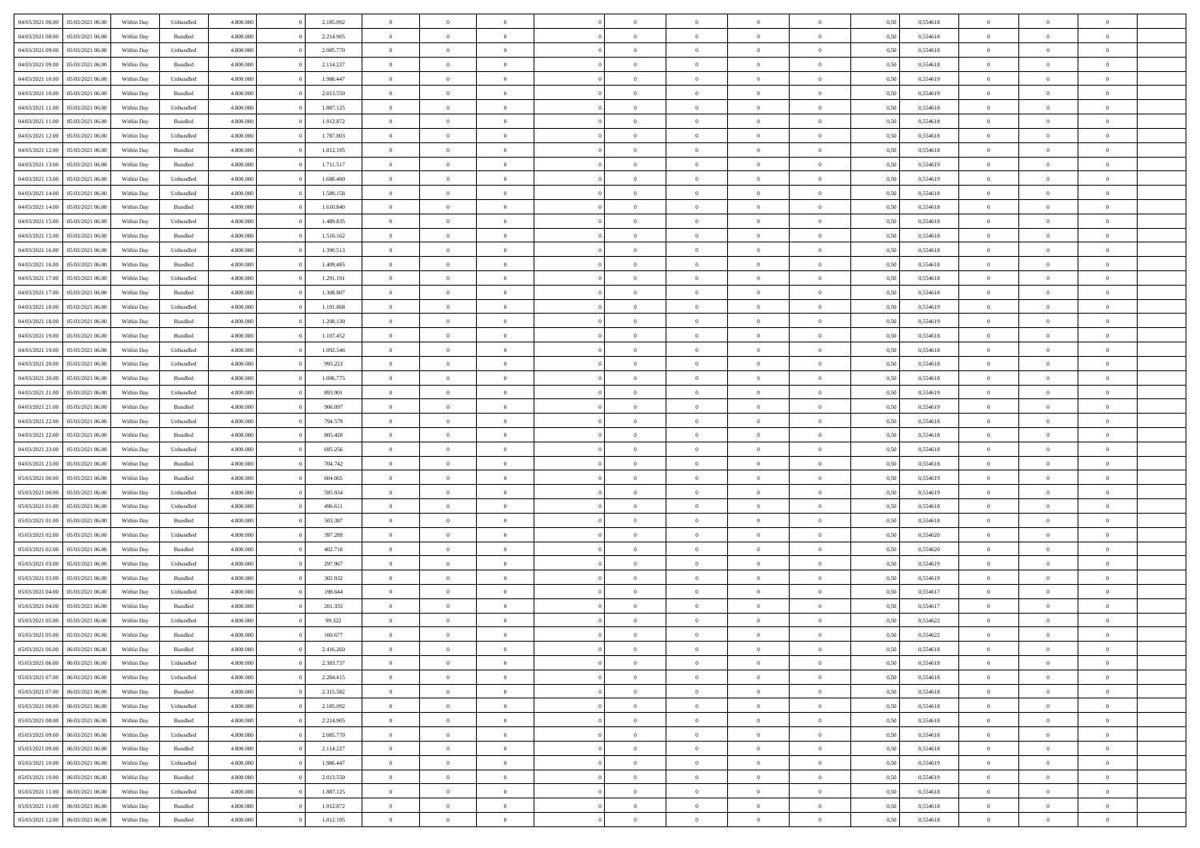| 04/03/2021 08:00                  | 05/03/2021 06:00 | Within Day | Unbundled          | 4.800.000 | 2.185.092 | $\overline{0}$ | $\Omega$       |                | $\Omega$       | $\Omega$       | $\theta$       | $\theta$       | 0,50 | 0,554618 | $\theta$       | $\theta$       | $\theta$       |  |
|-----------------------------------|------------------|------------|--------------------|-----------|-----------|----------------|----------------|----------------|----------------|----------------|----------------|----------------|------|----------|----------------|----------------|----------------|--|
|                                   |                  |            |                    |           |           |                |                |                |                |                |                |                |      |          |                |                |                |  |
| 04/03/2021 08:00                  | 05/03/2021 06:00 | Within Day | Bundled            | 4.800.000 | 2.214.905 | $\overline{0}$ | $\theta$       | $\overline{0}$ | $\overline{0}$ | $\bf{0}$       | $\overline{0}$ | $\overline{0}$ | 0,50 | 0,554618 | $\theta$       | $\theta$       | $\overline{0}$ |  |
| 04/03/2021 09:00                  | 05/03/2021 06:00 | Within Day | Unbundled          | 4.800.000 | 2.085.770 | $\overline{0}$ | $\overline{0}$ | $\overline{0}$ | $\bf{0}$       | $\bf{0}$       | $\bf{0}$       | $\bf{0}$       | 0,50 | 0,554618 | $\overline{0}$ | $\overline{0}$ | $\overline{0}$ |  |
| 04/03/2021 09:00                  | 05/03/2021 06:00 | Within Dav | Bundled            | 4.800.000 | 2.114.227 | $\overline{0}$ | $\overline{0}$ | $\overline{0}$ | $\overline{0}$ | $\bf{0}$       | $\overline{0}$ | $\overline{0}$ | 0.50 | 0.554618 | $\theta$       | $\theta$       | $\overline{0}$ |  |
| 04/03/2021 10:00                  | 05/03/2021 06:00 | Within Day | Unbundled          | 4.800.000 | 1.986.447 | $\overline{0}$ | $\theta$       | $\overline{0}$ | $\overline{0}$ | $\bf{0}$       | $\overline{0}$ | $\bf{0}$       | 0,50 | 0,554619 | $\theta$       | $\theta$       | $\overline{0}$ |  |
|                                   |                  |            |                    |           |           |                |                |                |                |                |                |                |      |          |                |                |                |  |
| 04/03/2021 10:00                  | 05/03/2021 06:00 | Within Day | Bundled            | 4.800.000 | 2.013.550 | $\overline{0}$ | $\bf{0}$       | $\overline{0}$ | $\bf{0}$       | $\overline{0}$ | $\overline{0}$ | $\mathbf{0}$   | 0,50 | 0,554619 | $\overline{0}$ | $\overline{0}$ | $\bf{0}$       |  |
| 04/03/2021 11:00                  | 05/03/2021 06:00 | Within Dav | Unbundled          | 4.800.000 | 1.887.125 | $\overline{0}$ | $\overline{0}$ | $\overline{0}$ | $\overline{0}$ | $\overline{0}$ | $\overline{0}$ | $\overline{0}$ | 0.50 | 0,554618 | $\theta$       | $\overline{0}$ | $\overline{0}$ |  |
| 04/03/2021 11:00                  | 05/03/2021 06:00 | Within Day | Bundled            | 4.800.000 | 1.912.872 | $\overline{0}$ | $\theta$       | $\overline{0}$ | $\overline{0}$ | $\bf{0}$       | $\overline{0}$ | $\bf{0}$       | 0,50 | 0,554618 | $\theta$       | $\theta$       | $\overline{0}$ |  |
| 04/03/2021 12:00                  | 05/03/2021 06:00 | Within Day | Unbundled          | 4.800.000 | 1.787.803 | $\overline{0}$ | $\overline{0}$ | $\overline{0}$ | $\bf{0}$       | $\bf{0}$       | $\bf{0}$       | $\bf{0}$       | 0,50 | 0,554618 | $\,0\,$        | $\overline{0}$ | $\overline{0}$ |  |
| 04/03/2021 12:00                  | 05/03/2021 06:00 | Within Dav | Bundled            | 4.800.000 | 1.812.195 | $\overline{0}$ | $\overline{0}$ | $\overline{0}$ | $\overline{0}$ | $\overline{0}$ | $\overline{0}$ | $\overline{0}$ | 0.50 | 0.554618 | $\theta$       | $\overline{0}$ | $\overline{0}$ |  |
| 04/03/2021 13:00                  | 05/03/2021 06:00 | Within Day | Bundled            | 4.800.000 | 1.711.517 | $\overline{0}$ | $\theta$       | $\overline{0}$ | $\overline{0}$ | $\bf{0}$       | $\overline{0}$ | $\bf{0}$       | 0,50 | 0,554619 | $\theta$       | $\theta$       | $\overline{0}$ |  |
|                                   |                  |            |                    |           |           |                |                |                |                |                |                |                |      |          |                |                |                |  |
| 04/03/2021 13:00                  | 05/03/2021 06:00 | Within Day | Unbundled          | 4.800.000 | 1.688.480 | $\overline{0}$ | $\overline{0}$ | $\overline{0}$ | $\bf{0}$       | $\bf{0}$       | $\bf{0}$       | $\bf{0}$       | 0,50 | 0,554619 | $\overline{0}$ | $\overline{0}$ | $\overline{0}$ |  |
| 04/03/2021 14:00                  | 05/03/2021 06:00 | Within Day | Unbundled          | 4.800.000 | 1.589.158 | $\overline{0}$ | $\overline{0}$ | $\overline{0}$ | $\overline{0}$ | $\bf{0}$       | $\overline{0}$ | $\overline{0}$ | 0.50 | 0.554618 | $\theta$       | $\theta$       | $\overline{0}$ |  |
| 04/03/2021 14:00                  | 05/03/2021 06:00 | Within Day | Bundled            | 4.800.000 | 1.610.840 | $\overline{0}$ | $\theta$       | $\overline{0}$ | $\overline{0}$ | $\bf{0}$       | $\overline{0}$ | $\overline{0}$ | 0,50 | 0,554618 | $\theta$       | $\theta$       | $\overline{0}$ |  |
| 04/03/2021 15:00                  | 05/03/2021 06:00 | Within Day | Unbundled          | 4.800.000 | 1.489.835 | $\overline{0}$ | $\overline{0}$ | $\overline{0}$ | $\bf{0}$       | $\overline{0}$ | $\overline{0}$ | $\mathbf{0}$   | 0,50 | 0,554618 | $\overline{0}$ | $\overline{0}$ | $\bf{0}$       |  |
| 04/03/2021 15:00                  | 05/03/2021 06:00 | Within Dav | Bundled            | 4.800.000 | 1.510.162 | $\overline{0}$ | $\overline{0}$ | $\overline{0}$ | $\overline{0}$ | $\overline{0}$ | $\overline{0}$ | $\overline{0}$ | 0.50 | 0.554618 | $\theta$       | $\overline{0}$ | $\overline{0}$ |  |
| 04/03/2021 16:00                  | 05/03/2021 06:00 | Within Day | Unbundled          | 4.800.000 | 1.390.513 | $\overline{0}$ | $\theta$       | $\overline{0}$ | $\overline{0}$ | $\bf{0}$       | $\overline{0}$ | $\bf{0}$       | 0,50 | 0,554618 | $\theta$       | $\theta$       | $\overline{0}$ |  |
| 04/03/2021 16:00                  | 05/03/2021 06:00 | Within Day | Bundled            | 4.800.000 | 1.409.485 | $\overline{0}$ | $\overline{0}$ | $\overline{0}$ | $\bf{0}$       | $\bf{0}$       | $\bf{0}$       | $\bf{0}$       | 0,50 | 0,554618 | $\,0\,$        | $\overline{0}$ | $\overline{0}$ |  |
| 04/03/2021 17:00                  | 05/03/2021 06:00 |            | Unbundled          | 4.800.000 | 1.291.191 | $\overline{0}$ | $\overline{0}$ | $\overline{0}$ | $\overline{0}$ | $\overline{0}$ | $\overline{0}$ | $\overline{0}$ | 0.50 | 0,554618 | $\theta$       | $\overline{0}$ | $\overline{0}$ |  |
|                                   |                  | Within Day |                    |           |           |                |                |                |                |                |                |                |      |          |                |                |                |  |
| 04/03/2021 17:00                  | 05/03/2021 06:00 | Within Day | Bundled            | 4.800.000 | 1.308.807 | $\overline{0}$ | $\theta$       | $\overline{0}$ | $\overline{0}$ | $\bf{0}$       | $\overline{0}$ | $\bf{0}$       | 0,50 | 0,554618 | $\,$ 0 $\,$    | $\theta$       | $\overline{0}$ |  |
| 04/03/2021 18:00                  | 05/03/2021 06:00 | Within Day | Unbundled          | 4.800.000 | 1.191.868 | $\overline{0}$ | $\overline{0}$ | $\overline{0}$ | $\bf{0}$       | $\bf{0}$       | $\bf{0}$       | $\bf{0}$       | 0,50 | 0,554619 | $\bf{0}$       | $\overline{0}$ | $\overline{0}$ |  |
| 04/03/2021 18:00                  | 05/03/2021 06:00 | Within Day | Bundled            | 4.800.000 | 1.208.130 | $\overline{0}$ | $\overline{0}$ | $\overline{0}$ | $\overline{0}$ | $\bf{0}$       | $\overline{0}$ | $\overline{0}$ | 0.50 | 0.554619 | $\theta$       | $\overline{0}$ | $\overline{0}$ |  |
| 04/03/2021 19:00                  | 05/03/2021 06:00 | Within Day | Bundled            | 4.800.000 | 1.107.452 | $\overline{0}$ | $\theta$       | $\overline{0}$ | $\overline{0}$ | $\bf{0}$       | $\overline{0}$ | $\bf{0}$       | 0,50 | 0,554618 | $\theta$       | $\overline{0}$ | $\overline{0}$ |  |
| 04/03/2021 19:00                  | 05/03/2021 06:00 | Within Day | Unbundled          | 4.800.000 | 1.092.546 | $\overline{0}$ | $\bf{0}$       | $\overline{0}$ | $\bf{0}$       | $\overline{0}$ | $\overline{0}$ | $\mathbf{0}$   | 0,50 | 0,554618 | $\overline{0}$ | $\overline{0}$ | $\bf{0}$       |  |
| 04/03/2021 20:00                  | 05/03/2021 06:00 | Within Dav | Unbundled          | 4.800.000 | 993.223   | $\overline{0}$ | $\overline{0}$ | $\overline{0}$ | $\overline{0}$ | $\overline{0}$ | $\overline{0}$ | $\overline{0}$ | 0.50 | 0.554618 | $\theta$       | $\overline{0}$ | $\overline{0}$ |  |
|                                   |                  |            |                    |           |           |                |                |                |                |                |                |                |      |          |                |                |                |  |
| 04/03/2021 20.00                  | 05/03/2021 06:00 | Within Day | Bundled            | 4.800.000 | 1.006.775 | $\overline{0}$ | $\theta$       | $\overline{0}$ | $\overline{0}$ | $\bf{0}$       | $\overline{0}$ | $\bf{0}$       | 0,50 | 0,554618 | $\theta$       | $\theta$       | $\overline{0}$ |  |
| 04/03/2021 21.00                  | 05/03/2021 06:00 | Within Day | Unbundled          | 4.800.000 | 893.901   | $\overline{0}$ | $\overline{0}$ | $\overline{0}$ | $\bf{0}$       | $\bf{0}$       | $\bf{0}$       | $\bf{0}$       | 0,50 | 0,554619 | $\,0\,$        | $\overline{0}$ | $\overline{0}$ |  |
| 04/03/2021 21:00                  | 05/03/2021 06:00 | Within Day | Bundled            | 4.800.000 | 906.097   | $\overline{0}$ | $\overline{0}$ | $\overline{0}$ | $\overline{0}$ | $\overline{0}$ | $\overline{0}$ | $\overline{0}$ | 0.50 | 0.554619 | $\theta$       | $\overline{0}$ | $\overline{0}$ |  |
| 04/03/2021 22.00                  | 05/03/2021 06:00 | Within Day | Unbundled          | 4.800.000 | 794.579   | $\overline{0}$ | $\theta$       | $\overline{0}$ | $\overline{0}$ | $\bf{0}$       | $\overline{0}$ | $\bf{0}$       | 0,50 | 0,554618 | $\,$ 0 $\,$    | $\overline{0}$ | $\overline{0}$ |  |
| 04/03/2021 22.00                  | 05/03/2021 06:00 | Within Day | Bundled            | 4.800.000 | 805.420   | $\overline{0}$ | $\overline{0}$ | $\overline{0}$ | $\bf{0}$       | $\bf{0}$       | $\bf{0}$       | $\bf{0}$       | 0,50 | 0,554618 | $\overline{0}$ | $\overline{0}$ | $\overline{0}$ |  |
| 04/03/2021 23:00                  | 05/03/2021 06:00 | Within Day | Unbundled          | 4.800,000 | 695.256   | $\overline{0}$ | $\Omega$       | $\Omega$       | $\Omega$       | $\Omega$       | $\Omega$       | $\overline{0}$ | 0,50 | 0,554618 | $\,0\,$        | $\theta$       | $\theta$       |  |
| 04/03/2021 23:00                  | 05/03/2021 06:00 | Within Day | Bundled            | 4.800.000 | 704.742   | $\overline{0}$ | $\theta$       | $\overline{0}$ | $\overline{0}$ | $\bf{0}$       | $\overline{0}$ | $\bf{0}$       | 0,50 | 0,554618 | $\theta$       | $\theta$       | $\overline{0}$ |  |
|                                   |                  |            |                    |           |           |                |                |                |                |                |                |                |      |          |                |                |                |  |
| 05/03/2021 00:00                  | 05/03/2021 06:00 | Within Day | Bundled            | 4.800.000 | 604.065   | $\overline{0}$ | $\overline{0}$ | $\overline{0}$ | $\overline{0}$ | $\bf{0}$       | $\overline{0}$ | $\mathbf{0}$   | 0,50 | 0,554619 | $\overline{0}$ | $\overline{0}$ | $\bf{0}$       |  |
| 05/03/2021 00:00                  | 05/03/2021 06:00 | Within Day | Unbundled          | 4.800,000 | 595.934   | $\overline{0}$ | $\Omega$       | $\Omega$       | $\Omega$       | $\bf{0}$       | $\overline{0}$ | $\overline{0}$ | 0.50 | 0.554619 | $\theta$       | $\theta$       | $\theta$       |  |
| 05/03/2021 01:00                  | 05/03/2021 06:00 | Within Day | Unbundled          | 4.800.000 | 496.611   | $\overline{0}$ | $\theta$       | $\overline{0}$ | $\overline{0}$ | $\bf{0}$       | $\overline{0}$ | $\bf{0}$       | 0,50 | 0,554618 | $\theta$       | $\theta$       | $\overline{0}$ |  |
| 05/03/2021 01:00                  | 05/03/2021 06:00 | Within Day | Bundled            | 4.800.000 | 503.387   | $\overline{0}$ | $\overline{0}$ | $\overline{0}$ | $\overline{0}$ | $\bf{0}$       | $\overline{0}$ | $\bf{0}$       | 0,50 | 0,554618 | $\,0\,$        | $\overline{0}$ | $\overline{0}$ |  |
| 05/03/2021 02:00                  | 05/03/2021 06:00 | Within Day | Unbundled          | 4.800,000 | 397.289   | $\overline{0}$ | $\Omega$       | $\Omega$       | $\Omega$       | $\theta$       | $\theta$       | $\overline{0}$ | 0.50 | 0.554620 | $\theta$       | $\theta$       | $\theta$       |  |
| 05/03/2021 02:00                  | 05/03/2021 06:00 | Within Day | Bundled            | 4.800.000 | 402.710   | $\overline{0}$ | $\theta$       | $\overline{0}$ | $\overline{0}$ | $\bf{0}$       | $\overline{0}$ | $\bf{0}$       | 0,50 | 0,554620 | $\,$ 0 $\,$    | $\overline{0}$ | $\overline{0}$ |  |
|                                   |                  |            |                    |           |           |                | $\overline{0}$ |                |                | $\bf{0}$       |                |                |      |          |                | $\overline{0}$ | $\overline{0}$ |  |
| 05/03/2021 03:00                  | 05/03/2021 06:00 | Within Day | Unbundled          | 4.800.000 | 297.967   | $\overline{0}$ |                | $\overline{0}$ | $\overline{0}$ |                | $\overline{0}$ | $\bf{0}$       | 0,50 | 0,554619 | $\overline{0}$ |                |                |  |
| 05/03/2021 03:00                  | 05/03/2021 06:00 | Within Day | Bundled            | 4.800,000 | 302.032   | $\overline{0}$ | $\Omega$       | $\Omega$       | $\Omega$       | $\Omega$       | $\overline{0}$ | $\overline{0}$ | 0,50 | 0,554619 | $\,0\,$        | $\theta$       | $\theta$       |  |
| 05/03/2021 04:00                  | 05/03/2021 06:00 | Within Day | Unbundled          | 4.800.000 | 198.644   | $\overline{0}$ | $\theta$       | $\overline{0}$ | $\overline{0}$ | $\bf{0}$       | $\overline{0}$ | $\bf{0}$       | 0,50 | 0,554617 | $\,$ 0 $\,$    | $\overline{0}$ | $\overline{0}$ |  |
| 05/03/2021 04:00                  | 05/03/2021 06:00 | Within Day | Bundled            | 4.800.000 | 201.355   | $\overline{0}$ | $\overline{0}$ | $\overline{0}$ | $\overline{0}$ | $\bf{0}$       | $\overline{0}$ | $\mathbf{0}$   | 0,50 | 0,554617 | $\overline{0}$ | $\overline{0}$ | $\bf{0}$       |  |
| 05/03/2021 05:00                  | 05/03/2021 06:00 | Within Day | Unbundled          | 4.800,000 | 99.322    | $\overline{0}$ | $\Omega$       | $\Omega$       | $\Omega$       | $\Omega$       | $\Omega$       | $\overline{0}$ | 0.50 | 0.554622 | $\theta$       | $\theta$       | $\theta$       |  |
| 05/03/2021 05:00                  | 05/03/2021 06:00 | Within Day | Bundled            | 4.800.000 | 100.677   | $\overline{0}$ | $\overline{0}$ | $\overline{0}$ | $\bf{0}$       | $\,$ 0         | $\overline{0}$ | $\bf{0}$       | 0,50 | 0,554622 | $\,0\,$        | $\,$ 0 $\,$    | $\overline{0}$ |  |
| 05/03/2021 06:00 06/03/2021 06:00 |                  | Within Day | $\mathbf B$ undled | 4.800.000 | 2.416.260 | $\bf{0}$       | $\bf{0}$       |                |                |                |                |                | 0,50 | 0,554618 | $\bf{0}$       | $\overline{0}$ |                |  |
| 05/03/2021 06:00                  | 06/03/2021 06:00 | Within Day | Unbundled          | 4.800.000 | 2.383.737 | $\overline{0}$ | $\overline{0}$ | $\overline{0}$ | $\Omega$       | $\overline{0}$ | $\overline{0}$ | $\overline{0}$ | 0.50 | 0.554618 | $\theta$       | $\theta$       | $\theta$       |  |
|                                   |                  |            |                    |           |           |                |                |                |                |                |                |                |      |          |                |                |                |  |
| 05/03/2021 07:00                  | 06/03/2021 06:00 | Within Day | Unbundled          | 4.800.000 | 2.284.415 | $\overline{0}$ | $\,$ 0         | $\overline{0}$ | $\overline{0}$ | $\,$ 0 $\,$    | $\overline{0}$ | $\mathbf{0}$   | 0,50 | 0,554618 | $\,$ 0 $\,$    | $\,$ 0 $\,$    | $\,$ 0         |  |
| 05/03/2021 07:00                  | 06/03/2021 06:00 | Within Day | Bundled            | 4.800.000 | 2.315.582 | $\overline{0}$ | $\overline{0}$ | $\overline{0}$ | $\overline{0}$ | $\overline{0}$ | $\overline{0}$ | $\mathbf{0}$   | 0,50 | 0,554618 | $\overline{0}$ | $\bf{0}$       | $\bf{0}$       |  |
| 05/03/2021 08:00                  | 06/03/2021 06:00 | Within Day | Unbundled          | 4.800,000 | 2.185.092 | $\overline{0}$ | $\overline{0}$ | $\overline{0}$ | $\Omega$       | $\overline{0}$ | $\overline{0}$ | $\bf{0}$       | 0,50 | 0,554618 | $\overline{0}$ | $\theta$       | $\overline{0}$ |  |
| 05/03/2021 08:00                  | 06/03/2021 06:00 | Within Day | Bundled            | 4.800.000 | 2.214.905 | $\overline{0}$ | $\,$ 0         | $\overline{0}$ | $\overline{0}$ | $\,$ 0 $\,$    | $\overline{0}$ | $\mathbf{0}$   | 0,50 | 0,554618 | $\,$ 0 $\,$    | $\overline{0}$ | $\overline{0}$ |  |
| 05/03/2021 09:00                  | 06/03/2021 06:00 | Within Day | Unbundled          | 4.800.000 | 2.085.770 | $\overline{0}$ | $\overline{0}$ | $\overline{0}$ | $\overline{0}$ | $\overline{0}$ | $\overline{0}$ | $\mathbf{0}$   | 0,50 | 0,554618 | $\overline{0}$ | $\overline{0}$ | $\bf{0}$       |  |
| 05/03/2021 09:00                  | 06/03/2021 06:00 | Within Day | Bundled            | 4.800.000 | 2.114.227 | $\overline{0}$ | $\overline{0}$ | $\overline{0}$ | $\Omega$       | $\overline{0}$ | $\overline{0}$ | $\bf{0}$       | 0.50 | 0,554618 | $\overline{0}$ | $\theta$       | $\overline{0}$ |  |
| 05/03/2021 10:00                  | 06/03/2021 06:00 | Within Day | Unbundled          | 4.800.000 | 1.986.447 | $\overline{0}$ | $\,$ 0         | $\overline{0}$ | $\bf{0}$       | $\bf{0}$       | $\bf{0}$       | $\bf{0}$       | 0,50 | 0,554619 | $\,$ 0 $\,$    | $\overline{0}$ | $\overline{0}$ |  |
|                                   |                  |            |                    |           |           |                |                |                |                |                |                |                |      |          |                |                |                |  |
| 05/03/2021 10:00                  | 06/03/2021 06:00 | Within Day | Bundled            | 4.800.000 | 2.013.550 | $\overline{0}$ | $\bf{0}$       | $\overline{0}$ | $\overline{0}$ | $\overline{0}$ | $\overline{0}$ | $\mathbf{0}$   | 0,50 | 0,554619 | $\overline{0}$ | $\overline{0}$ | $\bf{0}$       |  |
| 05/03/2021 11:00                  | 06/03/2021 06:00 | Within Day | Unbundled          | 4.800,000 | 1.887.125 | $\overline{0}$ | $\overline{0}$ | $\overline{0}$ | $\Omega$       | $\overline{0}$ | $\overline{0}$ | $\bf{0}$       | 0.50 | 0,554618 | $\overline{0}$ | $\theta$       | $\overline{0}$ |  |
| 05/03/2021 11:00                  | 06/03/2021 06:00 | Within Day | Bundled            | 4.800.000 | 1.912.872 | $\overline{0}$ | $\bf{0}$       | $\overline{0}$ | $\overline{0}$ | $\bf{0}$       | $\bf{0}$       | $\mathbf{0}$   | 0,50 | 0,554618 | $\,$ 0 $\,$    | $\,$ 0 $\,$    | $\bf{0}$       |  |
| 05/03/2021 12:00                  | 06/03/2021 06:00 | Within Day | Bundled            | 4.800.000 | 1.812.195 | $\overline{0}$ | $\overline{0}$ | $\overline{0}$ | $\overline{0}$ | $\bf{0}$       | $\bf{0}$       | $\mathbf{0}$   | 0,50 | 0,554618 | $\overline{0}$ | $\bf{0}$       | $\bf{0}$       |  |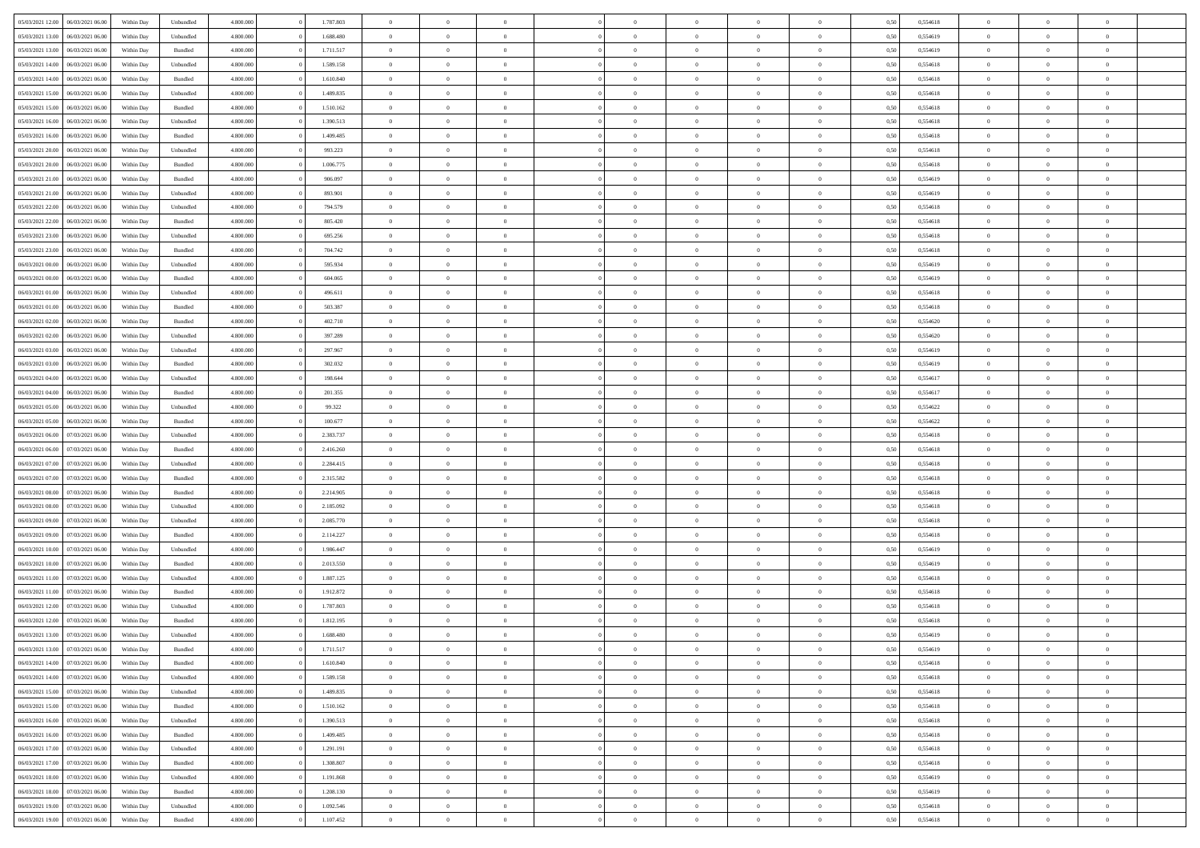| 05/03/2021 12:00                  | 06/03/2021 06:00 | Within Day | Unbundled          | 4.800.000 | 1.787.803 | $\overline{0}$ | $\Omega$       |                | $\Omega$       | $\Omega$       | $\theta$       | $\theta$       | 0,50 | 0,554618 | $\theta$       | $\theta$       | $\theta$       |  |
|-----------------------------------|------------------|------------|--------------------|-----------|-----------|----------------|----------------|----------------|----------------|----------------|----------------|----------------|------|----------|----------------|----------------|----------------|--|
| 05/03/2021 13:00                  | 06/03/2021 06:00 | Within Day | Unbundled          | 4.800.000 | 1.688.480 | $\overline{0}$ | $\theta$       | $\overline{0}$ | $\overline{0}$ | $\bf{0}$       | $\overline{0}$ | $\bf{0}$       | 0,50 | 0,554619 | $\theta$       | $\theta$       | $\overline{0}$ |  |
| 05/03/2021 13:00                  | 06/03/2021 06:00 | Within Day | Bundled            | 4.800.000 | 1.711.517 | $\overline{0}$ | $\overline{0}$ | $\overline{0}$ | $\bf{0}$       | $\bf{0}$       | $\bf{0}$       | $\bf{0}$       | 0,50 | 0,554619 | $\overline{0}$ | $\overline{0}$ | $\overline{0}$ |  |
|                                   |                  |            |                    |           |           |                |                |                |                |                |                |                |      |          |                |                |                |  |
| 05/03/2021 14:00                  | 06/03/2021 06:00 | Within Dav | Unbundled          | 4.800.000 | 1.589.158 | $\overline{0}$ | $\overline{0}$ | $\overline{0}$ | $\overline{0}$ | $\bf{0}$       | $\overline{0}$ | $\overline{0}$ | 0.50 | 0.554618 | $\theta$       | $\theta$       | $\overline{0}$ |  |
| 05/03/2021 14:00                  | 06/03/2021 06:00 | Within Day | Bundled            | 4.800.000 | 1.610.840 | $\overline{0}$ | $\theta$       | $\overline{0}$ | $\overline{0}$ | $\bf{0}$       | $\overline{0}$ | $\bf{0}$       | 0,50 | 0,554618 | $\theta$       | $\theta$       | $\overline{0}$ |  |
| 05/03/2021 15:00                  | 06/03/2021 06:00 | Within Day | Unbundled          | 4.800.000 | 1.489.835 | $\overline{0}$ | $\bf{0}$       | $\overline{0}$ | $\bf{0}$       | $\overline{0}$ | $\overline{0}$ | $\mathbf{0}$   | 0,50 | 0,554618 | $\overline{0}$ | $\overline{0}$ | $\bf{0}$       |  |
| 05/03/2021 15:00                  | 06/03/2021 06:00 | Within Dav | Bundled            | 4.800.000 | 1.510.162 | $\overline{0}$ | $\overline{0}$ | $\overline{0}$ | $\overline{0}$ | $\overline{0}$ | $\overline{0}$ | $\overline{0}$ | 0.50 | 0,554618 | $\theta$       | $\overline{0}$ | $\overline{0}$ |  |
|                                   |                  |            |                    |           |           |                |                |                |                |                |                |                |      |          |                |                |                |  |
| 05/03/2021 16:00                  | 06/03/2021 06:00 | Within Day | Unbundled          | 4.800.000 | 1.390.513 | $\overline{0}$ | $\theta$       | $\overline{0}$ | $\overline{0}$ | $\bf{0}$       | $\overline{0}$ | $\bf{0}$       | 0,50 | 0,554618 | $\theta$       | $\theta$       | $\overline{0}$ |  |
| 05/03/2021 16:00                  | 06/03/2021 06:00 | Within Day | Bundled            | 4.800.000 | 1.409.485 | $\overline{0}$ | $\overline{0}$ | $\overline{0}$ | $\bf{0}$       | $\bf{0}$       | $\bf{0}$       | $\bf{0}$       | 0,50 | 0,554618 | $\,0\,$        | $\overline{0}$ | $\overline{0}$ |  |
| 05/03/2021 20:00                  | 06/03/2021 06:00 | Within Dav | Unbundled          | 4.800.000 | 993.223   | $\overline{0}$ | $\overline{0}$ | $\overline{0}$ | $\overline{0}$ | $\overline{0}$ | $\overline{0}$ | $\overline{0}$ | 0.50 | 0.554618 | $\theta$       | $\overline{0}$ | $\overline{0}$ |  |
|                                   |                  |            |                    |           |           |                |                |                |                |                |                |                |      |          |                |                |                |  |
| 05/03/2021 20:00                  | 06/03/2021 06:00 | Within Day | Bundled            | 4.800.000 | 1.006.775 | $\overline{0}$ | $\theta$       | $\overline{0}$ | $\overline{0}$ | $\bf{0}$       | $\overline{0}$ | $\bf{0}$       | 0,50 | 0,554618 | $\,$ 0 $\,$    | $\theta$       | $\overline{0}$ |  |
| 05/03/2021 21.00                  | 06/03/2021 06:00 | Within Day | Bundled            | 4.800.000 | 906.097   | $\overline{0}$ | $\overline{0}$ | $\overline{0}$ | $\bf{0}$       | $\bf{0}$       | $\bf{0}$       | $\bf{0}$       | 0,50 | 0,554619 | $\overline{0}$ | $\overline{0}$ | $\overline{0}$ |  |
| 05/03/2021 21:00                  | 06/03/2021 06:00 | Within Day | Unbundled          | 4.800.000 | 893,901   | $\overline{0}$ | $\overline{0}$ | $\overline{0}$ | $\overline{0}$ | $\bf{0}$       | $\overline{0}$ | $\overline{0}$ | 0.50 | 0.554619 | $\theta$       | $\theta$       | $\overline{0}$ |  |
| 05/03/2021 22.00                  | 06/03/2021 06:00 | Within Day | Unbundled          | 4.800.000 | 794.579   | $\overline{0}$ | $\theta$       | $\overline{0}$ | $\overline{0}$ | $\bf{0}$       | $\overline{0}$ | $\bf{0}$       | 0,50 | 0,554618 | $\theta$       | $\theta$       | $\overline{0}$ |  |
|                                   |                  |            |                    |           |           |                |                |                |                |                |                |                |      |          |                |                |                |  |
| 05/03/2021 22.00                  | 06/03/2021 06:00 | Within Day | Bundled            | 4.800.000 | 805.420   | $\overline{0}$ | $\bf{0}$       | $\overline{0}$ | $\bf{0}$       | $\overline{0}$ | $\overline{0}$ | $\mathbf{0}$   | 0,50 | 0,554618 | $\bf{0}$       | $\overline{0}$ | $\bf{0}$       |  |
| 05/03/2021 23:00                  | 06/03/2021 06:00 | Within Dav | Unbundled          | 4.800.000 | 695.256   | $\overline{0}$ | $\overline{0}$ | $\overline{0}$ | $\overline{0}$ | $\overline{0}$ | $\overline{0}$ | $\overline{0}$ | 0.50 | 0.554618 | $\theta$       | $\overline{0}$ | $\overline{0}$ |  |
| 05/03/2021 23:00                  | 06/03/2021 06:00 | Within Day | Bundled            | 4.800.000 | 704.742   | $\overline{0}$ | $\theta$       | $\overline{0}$ | $\overline{0}$ | $\bf{0}$       | $\overline{0}$ | $\bf{0}$       | 0,50 | 0,554618 | $\theta$       | $\theta$       | $\overline{0}$ |  |
|                                   |                  |            |                    |           |           |                |                |                |                |                |                |                |      |          |                |                |                |  |
| 06/03/2021 00:00                  | 06/03/2021 06:00 | Within Day | Unbundled          | 4.800.000 | 595.934   | $\overline{0}$ | $\overline{0}$ | $\overline{0}$ | $\overline{0}$ | $\bf{0}$       | $\overline{0}$ | $\bf{0}$       | 0,50 | 0,554619 | $\,0\,$        | $\overline{0}$ | $\overline{0}$ |  |
| 06/03/2021 00:00                  | 06/03/2021 06:00 | Within Day | Bundled            | 4.800.000 | 604.065   | $\overline{0}$ | $\overline{0}$ | $\overline{0}$ | $\overline{0}$ | $\overline{0}$ | $\overline{0}$ | $\overline{0}$ | 0.50 | 0.554619 | $\theta$       | $\overline{0}$ | $\overline{0}$ |  |
| 06/03/2021 01:00                  | 06/03/2021 06:00 | Within Day | Unbundled          | 4.800.000 | 496.611   | $\overline{0}$ | $\theta$       | $\overline{0}$ | $\overline{0}$ | $\bf{0}$       | $\overline{0}$ | $\bf{0}$       | 0,50 | 0,554618 | $\,$ 0 $\,$    | $\theta$       | $\overline{0}$ |  |
| 06/03/2021 01:00                  | 06/03/2021 06:00 | Within Day | Bundled            | 4.800.000 | 503.387   | $\overline{0}$ | $\overline{0}$ | $\overline{0}$ | $\overline{0}$ | $\bf{0}$       | $\overline{0}$ | $\bf{0}$       | 0,50 | 0,554618 | $\bf{0}$       | $\overline{0}$ | $\overline{0}$ |  |
| 06/03/2021 02:00                  | 06/03/2021 06:00 |            | Bundled            | 4.800.000 | 402.710   | $\overline{0}$ | $\overline{0}$ | $\overline{0}$ |                | $\bf{0}$       | $\overline{0}$ |                | 0.50 | 0.554620 | $\theta$       | $\overline{0}$ | $\overline{0}$ |  |
|                                   |                  | Within Day |                    |           |           |                |                |                | $\overline{0}$ |                |                | $\overline{0}$ |      |          |                |                |                |  |
| 06/03/2021 02:00                  | 06/03/2021 06:00 | Within Day | Unbundled          | 4.800.000 | 397.289   | $\overline{0}$ | $\theta$       | $\overline{0}$ | $\overline{0}$ | $\bf{0}$       | $\overline{0}$ | $\bf{0}$       | 0,50 | 0,554620 | $\,$ 0 $\,$    | $\overline{0}$ | $\overline{0}$ |  |
| 06/03/2021 03:00                  | 06/03/2021 06:00 | Within Day | Unbundled          | 4.800.000 | 297.967   | $\overline{0}$ | $\bf{0}$       | $\overline{0}$ | $\overline{0}$ | $\overline{0}$ | $\overline{0}$ | $\mathbf{0}$   | 0,50 | 0,554619 | $\bf{0}$       | $\overline{0}$ | $\bf{0}$       |  |
| 06/03/2021 03:00                  | 06/03/2021 06:00 | Within Dav | Bundled            | 4.800.000 | 302.032   | $\overline{0}$ | $\overline{0}$ | $\overline{0}$ | $\overline{0}$ | $\overline{0}$ | $\overline{0}$ | $\overline{0}$ | 0.50 | 0.554619 | $\theta$       | $\overline{0}$ | $\overline{0}$ |  |
|                                   |                  |            |                    |           |           |                |                |                |                |                |                |                |      |          |                |                |                |  |
| 06/03/2021 04:00                  | 06/03/2021 06:00 | Within Day | Unbundled          | 4.800.000 | 198.644   | $\overline{0}$ | $\theta$       | $\overline{0}$ | $\overline{0}$ | $\bf{0}$       | $\overline{0}$ | $\bf{0}$       | 0,50 | 0,554617 | $\theta$       | $\theta$       | $\overline{0}$ |  |
| 06/03/2021 04:00                  | 06/03/2021 06:00 | Within Day | Bundled            | 4.800.000 | 201.355   | $\overline{0}$ | $\overline{0}$ | $\overline{0}$ | $\overline{0}$ | $\bf{0}$       | $\overline{0}$ | $\bf{0}$       | 0,50 | 0,554617 | $\,0\,$        | $\overline{0}$ | $\overline{0}$ |  |
| 06/03/2021 05:00                  | 06/03/2021 06:00 | Within Day | Unbundled          | 4.800.000 | 99.322    | $\overline{0}$ | $\overline{0}$ | $\overline{0}$ | $\overline{0}$ | $\overline{0}$ | $\overline{0}$ | $\overline{0}$ | 0.50 | 0,554622 | $\theta$       | $\overline{0}$ | $\overline{0}$ |  |
| 06/03/2021 05:00                  | 06/03/2021 06:00 | Within Day | Bundled            | 4.800.000 | 100.677   | $\overline{0}$ | $\theta$       | $\overline{0}$ | $\overline{0}$ | $\bf{0}$       | $\overline{0}$ | $\bf{0}$       | 0,50 | 0,554622 | $\,$ 0 $\,$    | $\overline{0}$ | $\overline{0}$ |  |
|                                   |                  |            |                    |           |           |                |                |                |                |                |                |                |      |          |                |                |                |  |
| 06/03/2021 06:00                  | 07/03/2021 06:00 | Within Day | Unbundled          | 4.800.000 | 2.383.737 | $\overline{0}$ | $\overline{0}$ | $\overline{0}$ | $\overline{0}$ | $\bf{0}$       | $\overline{0}$ | $\bf{0}$       | 0,50 | 0,554618 | $\bf{0}$       | $\overline{0}$ | $\overline{0}$ |  |
| 06/03/2021 06:00                  | 07/03/2021 06:00 | Within Day | Bundled            | 4.800,000 | 2.416.260 | $\overline{0}$ | $\Omega$       | $\Omega$       | $\Omega$       | $\Omega$       | $\Omega$       | $\overline{0}$ | 0,50 | 0,554618 | $\,0\,$        | $\theta$       | $\theta$       |  |
| 06/03/2021 07:00                  | 07/03/2021 06:00 | Within Day | Unbundled          | 4.800.000 | 2.284.415 | $\overline{0}$ | $\theta$       | $\overline{0}$ | $\overline{0}$ | $\bf{0}$       | $\overline{0}$ | $\bf{0}$       | 0,50 | 0,554618 | $\theta$       | $\theta$       | $\overline{0}$ |  |
| 06/03/2021 07:00                  | 07/03/2021 06:00 | Within Day | Bundled            | 4.800.000 | 2.315.582 | $\overline{0}$ | $\overline{0}$ | $\overline{0}$ | $\overline{0}$ | $\bf{0}$       | $\overline{0}$ | $\mathbf{0}$   | 0,50 | 0,554618 | $\bf{0}$       | $\overline{0}$ | $\bf{0}$       |  |
|                                   |                  |            |                    |           |           |                |                |                |                |                |                |                |      |          |                |                |                |  |
| 06/03/2021 08:00                  | 07/03/2021 06:00 | Within Day | Bundled            | 4.800,000 | 2.214.905 | $\overline{0}$ | $\Omega$       | $\Omega$       | $\Omega$       | $\bf{0}$       | $\overline{0}$ | $\overline{0}$ | 0.50 | 0.554618 | $\theta$       | $\theta$       | $\theta$       |  |
| 06/03/2021 08:00                  | 07/03/2021 06:00 | Within Day | Unbundled          | 4.800.000 | 2.185.092 | $\overline{0}$ | $\theta$       | $\overline{0}$ | $\overline{0}$ | $\bf{0}$       | $\overline{0}$ | $\bf{0}$       | 0,50 | 0,554618 | $\theta$       | $\theta$       | $\overline{0}$ |  |
| 06/03/2021 09:00                  | 07/03/2021 06:00 | Within Day | Unbundled          | 4.800.000 | 2.085.770 | $\overline{0}$ | $\overline{0}$ | $\overline{0}$ | $\overline{0}$ | $\bf{0}$       | $\bf{0}$       | $\bf{0}$       | 0,50 | 0,554618 | $\,0\,$        | $\overline{0}$ | $\overline{0}$ |  |
| 06/03/2021 09:00                  | 07/03/2021 06:00 | Within Day | Bundled            | 4.800,000 | 2.114.227 | $\overline{0}$ | $\Omega$       | $\Omega$       | $\Omega$       | $\theta$       | $\theta$       | $\overline{0}$ | 0.50 | 0.554618 | $\theta$       | $\theta$       | $\theta$       |  |
|                                   |                  |            |                    |           |           |                |                |                |                |                |                |                |      |          |                |                |                |  |
| 06/03/2021 10:00                  | 07/03/2021 06:00 | Within Day | Unbundled          | 4.800.000 | 1.986.447 | $\overline{0}$ | $\theta$       | $\overline{0}$ | $\overline{0}$ | $\bf{0}$       | $\overline{0}$ | $\bf{0}$       | 0,50 | 0,554619 | $\,$ 0 $\,$    | $\overline{0}$ | $\overline{0}$ |  |
| 06/03/2021 10:00                  | 07/03/2021 06:00 | Within Day | Bundled            | 4.800.000 | 2.013.550 | $\overline{0}$ | $\overline{0}$ | $\overline{0}$ | $\bf{0}$       | $\bf{0}$       | $\bf{0}$       | $\bf{0}$       | 0,50 | 0,554619 | $\overline{0}$ | $\overline{0}$ | $\overline{0}$ |  |
| 06/03/2021 11:00                  | 07/03/2021 06:00 | Within Day | Unbundled          | 4.800,000 | 1.887.125 | $\overline{0}$ | $\Omega$       | $\overline{0}$ | $\Omega$       | $\Omega$       | $\overline{0}$ | $\overline{0}$ | 0,50 | 0,554618 | $\,0\,$        | $\theta$       | $\theta$       |  |
| 06/03/2021 11:00                  | 07/03/2021 06:00 | Within Day | Bundled            | 4.800.000 | 1.912.872 | $\overline{0}$ | $\theta$       | $\overline{0}$ | $\overline{0}$ | $\bf{0}$       | $\overline{0}$ | $\bf{0}$       | 0,50 | 0,554618 | $\,$ 0 $\,$    | $\overline{0}$ | $\overline{0}$ |  |
|                                   |                  |            |                    |           |           |                |                |                |                |                |                |                |      |          |                |                |                |  |
| 06/03/2021 12:00                  | 07/03/2021 06:00 | Within Day | Unbundled          | 4.800.000 | 1.787.803 | $\overline{0}$ | $\overline{0}$ | $\overline{0}$ | $\bf{0}$       | $\bf{0}$       | $\bf{0}$       | $\mathbf{0}$   | 0,50 | 0,554618 | $\overline{0}$ | $\overline{0}$ | $\bf{0}$       |  |
| 06/03/2021 12:00                  | 07/03/2021 06:00 | Within Day | Bundled            | 4.800,000 | 1.812.195 | $\overline{0}$ | $\Omega$       | $\Omega$       | $\Omega$       | $\Omega$       | $\Omega$       | $\overline{0}$ | 0.50 | 0.554618 | $\theta$       | $\theta$       | $\theta$       |  |
| 06/03/2021 13:00                  | 07/03/2021 06:00 | Within Day | Unbundled          | 4.800.000 | 1.688.480 | $\overline{0}$ | $\overline{0}$ | $\overline{0}$ | $\bf{0}$       | $\,$ 0         | $\bf{0}$       | $\bf{0}$       | 0,50 | 0,554619 | $\,0\,$        | $\overline{0}$ | $\overline{0}$ |  |
| 06/03/2021 13:00 07/03/2021 06:00 |                  | Within Day | $\mathbf B$ undled | 4.800.000 | 1.711.517 | $\bf{0}$       | $\bf{0}$       |                |                |                |                |                | 0,50 | 0,554619 | $\bf{0}$       | $\overline{0}$ |                |  |
|                                   |                  |            |                    |           |           |                |                |                |                |                |                |                |      |          |                |                |                |  |
| 06/03/2021 14:00                  | 07/03/2021 06:00 | Within Day | Bundled            | 4.800.000 | 1.610.840 | $\overline{0}$ | $\overline{0}$ | $\overline{0}$ | $\Omega$       | $\overline{0}$ | $\overline{0}$ | $\overline{0}$ | 0.50 | 0.554618 | $\theta$       | $\theta$       | $\theta$       |  |
| 06/03/2021 14:00                  | 07/03/2021 06:00 | Within Day | Unbundled          | 4.800.000 | 1.589.158 | $\overline{0}$ | $\,$ 0         | $\overline{0}$ | $\overline{0}$ | $\,$ 0 $\,$    | $\overline{0}$ | $\mathbf{0}$   | 0,50 | 0,554618 | $\,$ 0 $\,$    | $\,$ 0 $\,$    | $\,$ 0         |  |
| 06/03/2021 15:00                  | 07/03/2021 06:00 | Within Day | Unbundled          | 4.800.000 | 1.489.835 | $\overline{0}$ | $\overline{0}$ | $\overline{0}$ | $\overline{0}$ | $\overline{0}$ | $\overline{0}$ | $\mathbf{0}$   | 0,50 | 0,554618 | $\overline{0}$ | $\bf{0}$       | $\bf{0}$       |  |
| 06/03/2021 15:00                  | 07/03/2021 06:00 | Within Day | Bundled            | 4.800,000 | 1.510.162 | $\overline{0}$ | $\overline{0}$ | $\overline{0}$ | $\Omega$       | $\overline{0}$ | $\overline{0}$ | $\bf{0}$       | 0,50 | 0,554618 | $\overline{0}$ | $\theta$       | $\overline{0}$ |  |
|                                   |                  |            |                    |           |           |                |                |                |                |                |                |                |      |          |                |                |                |  |
| 06/03/2021 16:00                  | 07/03/2021 06:00 | Within Day | Unbundled          | 4.800.000 | 1.390.513 | $\overline{0}$ | $\,$ 0         | $\overline{0}$ | $\overline{0}$ | $\,$ 0 $\,$    | $\overline{0}$ | $\mathbf{0}$   | 0,50 | 0,554618 | $\,$ 0 $\,$    | $\overline{0}$ | $\overline{0}$ |  |
| 06/03/2021 16:00                  | 07/03/2021 06:00 | Within Day | Bundled            | 4.800.000 | 1.409.485 | $\overline{0}$ | $\overline{0}$ | $\overline{0}$ | $\overline{0}$ | $\overline{0}$ | $\overline{0}$ | $\mathbf{0}$   | 0,50 | 0,554618 | $\overline{0}$ | $\overline{0}$ | $\bf{0}$       |  |
| 06/03/2021 17:00                  | 07/03/2021 06:00 | Within Day | Unbundled          | 4.800,000 | 1.291.191 | $\overline{0}$ | $\overline{0}$ | $\overline{0}$ | $\Omega$       | $\overline{0}$ | $\overline{0}$ | $\bf{0}$       | 0.50 | 0,554618 | $\overline{0}$ | $\theta$       | $\overline{0}$ |  |
| 06/03/2021 17:00                  | 07/03/2021 06:00 | Within Day | Bundled            | 4.800.000 | 1.308.807 | $\overline{0}$ | $\,$ 0         | $\overline{0}$ | $\overline{0}$ | $\bf{0}$       | $\overline{0}$ | $\bf{0}$       | 0,50 | 0,554618 | $\,$ 0 $\,$    | $\overline{0}$ | $\overline{0}$ |  |
|                                   |                  |            |                    |           |           |                |                |                |                |                |                |                |      |          |                |                |                |  |
| 06/03/2021 18:00                  | 07/03/2021 06:00 | Within Day | Unbundled          | 4.800.000 | 1.191.868 | $\overline{0}$ | $\bf{0}$       | $\overline{0}$ | $\overline{0}$ | $\overline{0}$ | $\overline{0}$ | $\mathbf{0}$   | 0,50 | 0,554619 | $\overline{0}$ | $\overline{0}$ | $\bf{0}$       |  |
| 06/03/2021 18:00                  | 07/03/2021 06:00 | Within Day | Bundled            | 4.800,000 | 1.208.130 | $\overline{0}$ | $\overline{0}$ | $\overline{0}$ | $\Omega$       | $\overline{0}$ | $\overline{0}$ | $\bf{0}$       | 0.50 | 0,554619 | $\overline{0}$ | $\overline{0}$ | $\overline{0}$ |  |
| 06/03/2021 19:00                  | 07/03/2021 06:00 | Within Day | Unbundled          | 4.800.000 | 1.092.546 | $\overline{0}$ | $\bf{0}$       | $\overline{0}$ | $\overline{0}$ | $\bf{0}$       | $\bf{0}$       | $\bf{0}$       | 0,50 | 0,554618 | $\,$ 0 $\,$    | $\,$ 0 $\,$    | $\bf{0}$       |  |
| 06/03/2021 19:00                  | 07/03/2021 06:00 | Within Day | Bundled            | 4.800.000 | 1.107.452 | $\overline{0}$ | $\bf{0}$       | $\overline{0}$ | $\bf{0}$       | $\bf{0}$       | $\bf{0}$       | $\bf{0}$       | 0,50 | 0,554618 | $\overline{0}$ | $\overline{0}$ | $\bf{0}$       |  |
|                                   |                  |            |                    |           |           |                |                |                |                |                |                |                |      |          |                |                |                |  |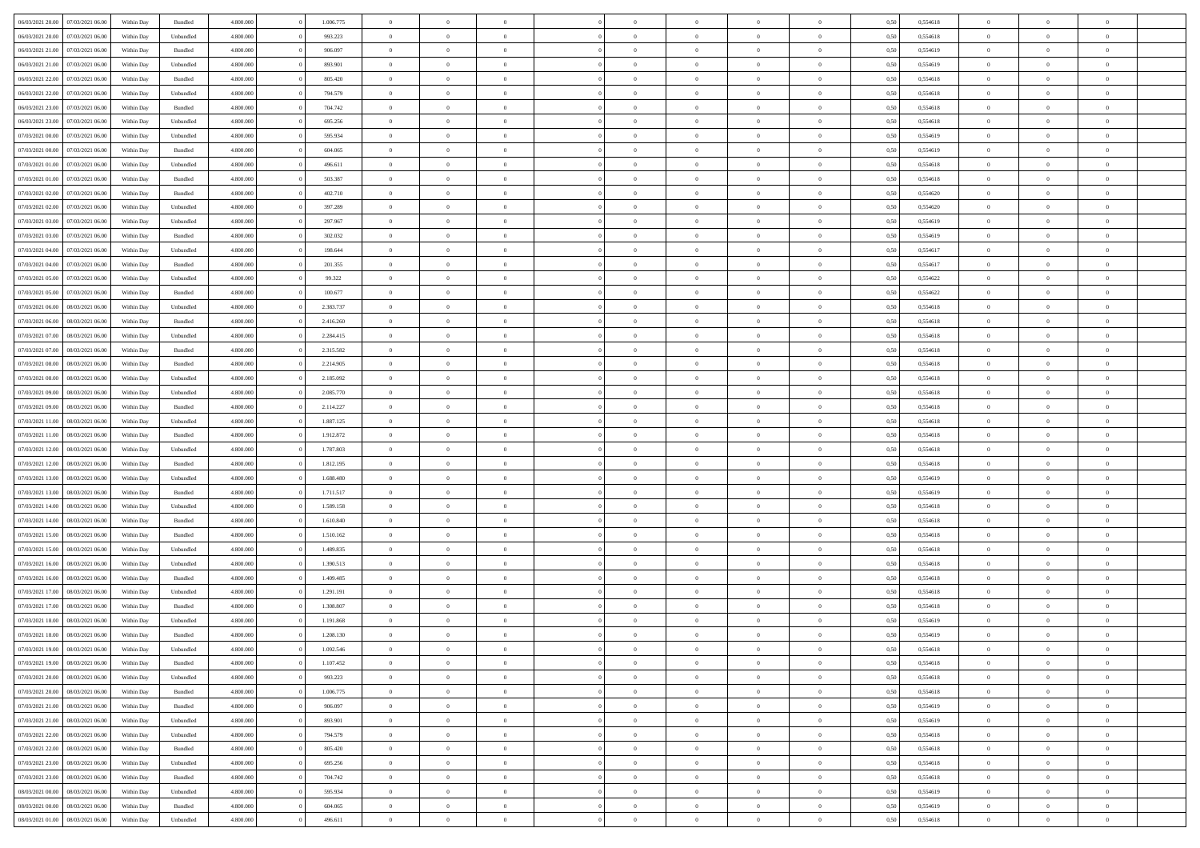| 06/03/2021 20:00                  | 07/03/2021 06:00 | Within Day | Bundled   | 4.800.000 | 1.006.775 | $\overline{0}$ | $\Omega$       |                | $\Omega$       | $\Omega$       | $\theta$       | $\theta$       | 0,50 | 0,554618 | $\theta$       | $\theta$       | $\theta$       |  |
|-----------------------------------|------------------|------------|-----------|-----------|-----------|----------------|----------------|----------------|----------------|----------------|----------------|----------------|------|----------|----------------|----------------|----------------|--|
|                                   |                  |            |           |           |           |                |                |                |                |                |                |                |      |          |                |                |                |  |
| 06/03/2021 20:00                  | 07/03/2021 06:00 | Within Day | Unbundled | 4.800.000 | 993.223   | $\overline{0}$ | $\theta$       | $\overline{0}$ | $\overline{0}$ | $\bf{0}$       | $\overline{0}$ | $\overline{0}$ | 0,50 | 0,554618 | $\theta$       | $\theta$       | $\overline{0}$ |  |
| 06/03/2021 21.00                  | 07/03/2021 06:00 | Within Day | Bundled   | 4.800.000 | 906.097   | $\overline{0}$ | $\bf{0}$       | $\overline{0}$ | $\bf{0}$       | $\bf{0}$       | $\bf{0}$       | $\bf{0}$       | 0,50 | 0,554619 | $\overline{0}$ | $\overline{0}$ | $\overline{0}$ |  |
|                                   |                  |            |           |           |           |                |                |                |                |                |                |                |      |          | $\theta$       |                |                |  |
| 06/03/2021 21:00                  | 07/03/2021 06:00 | Within Dav | Unbundled | 4.800.000 | 893.901   | $\overline{0}$ | $\overline{0}$ | $\overline{0}$ | $\overline{0}$ | $\bf{0}$       | $\overline{0}$ | $\overline{0}$ | 0.50 | 0.554619 |                | $\theta$       | $\overline{0}$ |  |
| 06/03/2021 22:00                  | 07/03/2021 06:00 | Within Day | Bundled   | 4.800.000 | 805.420   | $\overline{0}$ | $\theta$       | $\overline{0}$ | $\overline{0}$ | $\bf{0}$       | $\overline{0}$ | $\bf{0}$       | 0,50 | 0,554618 | $\theta$       | $\theta$       | $\overline{0}$ |  |
| 06/03/2021 22.00                  | 07/03/2021 06:00 | Within Day | Unbundled | 4.800.000 | 794.579   | $\overline{0}$ | $\bf{0}$       | $\overline{0}$ | $\bf{0}$       | $\overline{0}$ | $\overline{0}$ | $\mathbf{0}$   | 0,50 | 0,554618 | $\overline{0}$ | $\overline{0}$ | $\bf{0}$       |  |
| 06/03/2021 23:00                  | 07/03/2021 06:00 | Within Dav | Bundled   | 4.800.000 | 704.742   | $\overline{0}$ | $\overline{0}$ | $\overline{0}$ | $\overline{0}$ | $\overline{0}$ | $\overline{0}$ | $\overline{0}$ | 0.50 | 0,554618 | $\theta$       | $\overline{0}$ | $\overline{0}$ |  |
|                                   |                  |            |           |           |           |                |                |                |                |                |                |                |      |          |                |                |                |  |
| 06/03/2021 23:00                  | 07/03/2021 06:00 | Within Day | Unbundled | 4.800.000 | 695.256   | $\overline{0}$ | $\theta$       | $\overline{0}$ | $\overline{0}$ | $\bf{0}$       | $\overline{0}$ | $\bf{0}$       | 0,50 | 0,554618 | $\theta$       | $\theta$       | $\overline{0}$ |  |
| 07/03/2021 00:00                  | 07/03/2021 06:00 | Within Day | Unbundled | 4.800.000 | 595.934   | $\overline{0}$ | $\overline{0}$ | $\overline{0}$ | $\bf{0}$       | $\bf{0}$       | $\bf{0}$       | $\bf{0}$       | 0,50 | 0,554619 | $\,0\,$        | $\overline{0}$ | $\overline{0}$ |  |
| 07/03/2021 00:00                  | 07/03/2021 06:00 | Within Dav | Bundled   | 4.800.000 | 604.065   | $\overline{0}$ | $\overline{0}$ | $\overline{0}$ | $\overline{0}$ | $\overline{0}$ | $\overline{0}$ | $\overline{0}$ | 0.50 | 0.554619 | $\theta$       | $\overline{0}$ | $\overline{0}$ |  |
|                                   |                  |            |           |           |           |                |                |                |                |                |                |                |      |          |                |                |                |  |
| 07/03/2021 01:00                  | 07/03/2021 06:00 | Within Day | Unbundled | 4.800.000 | 496.611   | $\overline{0}$ | $\theta$       | $\overline{0}$ | $\overline{0}$ | $\bf{0}$       | $\overline{0}$ | $\bf{0}$       | 0,50 | 0,554618 | $\theta$       | $\theta$       | $\overline{0}$ |  |
| 07/03/2021 01:00                  | 07/03/2021 06:00 | Within Day | Bundled   | 4.800.000 | 503.387   | $\overline{0}$ | $\overline{0}$ | $\overline{0}$ | $\bf{0}$       | $\bf{0}$       | $\bf{0}$       | $\bf{0}$       | 0,50 | 0,554618 | $\overline{0}$ | $\overline{0}$ | $\overline{0}$ |  |
| 07/03/2021 02:00                  | 07/03/2021 06:00 | Within Day | Bundled   | 4.800.000 | 402.710   | $\overline{0}$ | $\overline{0}$ | $\overline{0}$ | $\overline{0}$ | $\bf{0}$       | $\overline{0}$ | $\overline{0}$ | 0.50 | 0.554620 | $\theta$       | $\theta$       | $\overline{0}$ |  |
| 07/03/2021 02.00                  | 07/03/2021 06:00 | Within Day | Unbundled | 4.800.000 | 397.289   | $\overline{0}$ | $\theta$       | $\overline{0}$ | $\overline{0}$ | $\bf{0}$       | $\overline{0}$ | $\overline{0}$ | 0,50 | 0,554620 | $\theta$       | $\overline{0}$ | $\overline{0}$ |  |
|                                   |                  |            |           |           |           |                |                |                |                |                |                |                |      |          |                |                |                |  |
| 07/03/2021 03:00                  | 07/03/2021 06:00 | Within Day | Unbundled | 4.800.000 | 297.967   | $\overline{0}$ | $\overline{0}$ | $\overline{0}$ | $\bf{0}$       | $\overline{0}$ | $\overline{0}$ | $\mathbf{0}$   | 0,50 | 0,554619 | $\overline{0}$ | $\overline{0}$ | $\bf{0}$       |  |
| 07/03/2021 03:00                  | 07/03/2021 06:00 | Within Dav | Bundled   | 4.800.000 | 302.032   | $\overline{0}$ | $\overline{0}$ | $\overline{0}$ | $\overline{0}$ | $\overline{0}$ | $\overline{0}$ | $\overline{0}$ | 0.50 | 0.554619 | $\theta$       | $\overline{0}$ | $\overline{0}$ |  |
| 07/03/2021 04:00                  | 07/03/2021 06:00 | Within Day | Unbundled | 4.800.000 | 198.644   | $\overline{0}$ | $\theta$       | $\overline{0}$ | $\overline{0}$ | $\bf{0}$       | $\overline{0}$ | $\bf{0}$       | 0,50 | 0,554617 | $\theta$       | $\theta$       | $\overline{0}$ |  |
|                                   |                  |            |           |           |           |                |                |                |                |                |                |                |      |          |                |                |                |  |
| 07/03/2021 04:00                  | 07/03/2021 06:00 | Within Day | Bundled   | 4.800.000 | 201.355   | $\overline{0}$ | $\overline{0}$ | $\overline{0}$ | $\bf{0}$       | $\bf{0}$       | $\bf{0}$       | $\bf{0}$       | 0,50 | 0,554617 | $\,0\,$        | $\overline{0}$ | $\overline{0}$ |  |
| 07/03/2021 05:00                  | 07/03/2021 06:00 | Within Day | Unbundled | 4.800.000 | 99.322    | $\overline{0}$ | $\overline{0}$ | $\overline{0}$ | $\overline{0}$ | $\overline{0}$ | $\overline{0}$ | $\overline{0}$ | 0.50 | 0,554622 | $\theta$       | $\overline{0}$ | $\overline{0}$ |  |
| 07/03/2021 05:00                  | 07/03/2021 06:00 | Within Day | Bundled   | 4.800.000 | 100.677   | $\overline{0}$ | $\theta$       | $\overline{0}$ | $\overline{0}$ | $\bf{0}$       | $\overline{0}$ | $\bf{0}$       | 0,50 | 0,554622 | $\,$ 0 $\,$    | $\theta$       | $\overline{0}$ |  |
| 07/03/2021 06:00                  | 08/03/2021 06:00 | Within Day | Unbundled | 4.800.000 | 2.383.737 | $\overline{0}$ | $\overline{0}$ | $\overline{0}$ | $\bf{0}$       | $\bf{0}$       | $\bf{0}$       | $\bf{0}$       | 0,50 | 0,554618 | $\,0\,$        | $\overline{0}$ | $\overline{0}$ |  |
|                                   |                  |            |           |           |           |                |                |                |                |                |                |                |      |          |                |                |                |  |
| 07/03/2021 06:00                  | 08/03/2021 06:00 | Within Day | Bundled   | 4.800.000 | 2.416.260 | $\overline{0}$ | $\overline{0}$ | $\overline{0}$ | $\overline{0}$ | $\bf{0}$       | $\overline{0}$ | $\overline{0}$ | 0.50 | 0.554618 | $\theta$       | $\overline{0}$ | $\overline{0}$ |  |
| 07/03/2021 07:00                  | 08/03/2021 06:00 | Within Day | Unbundled | 4.800.000 | 2.284.415 | $\overline{0}$ | $\theta$       | $\overline{0}$ | $\overline{0}$ | $\bf{0}$       | $\overline{0}$ | $\bf{0}$       | 0,50 | 0,554618 | $\theta$       | $\overline{0}$ | $\overline{0}$ |  |
| 07/03/2021 07:00                  | 08/03/2021 06:00 | Within Day | Bundled   | 4.800.000 | 2.315.582 | $\overline{0}$ | $\bf{0}$       | $\overline{0}$ | $\bf{0}$       | $\overline{0}$ | $\overline{0}$ | $\mathbf{0}$   | 0,50 | 0,554618 | $\overline{0}$ | $\overline{0}$ | $\bf{0}$       |  |
| 07/03/2021 08:00                  | 08/03/2021 06:00 | Within Dav | Bundled   | 4.800.000 | 2.214.905 | $\overline{0}$ | $\overline{0}$ | $\overline{0}$ | $\overline{0}$ | $\overline{0}$ | $\overline{0}$ | $\overline{0}$ | 0.50 | 0.554618 | $\theta$       | $\overline{0}$ | $\overline{0}$ |  |
|                                   |                  |            |           |           |           |                |                |                |                |                |                |                |      |          |                |                |                |  |
| 07/03/2021 08:00                  | 08/03/2021 06:00 | Within Day | Unbundled | 4.800.000 | 2.185.092 | $\overline{0}$ | $\theta$       | $\overline{0}$ | $\overline{0}$ | $\bf{0}$       | $\overline{0}$ | $\bf{0}$       | 0,50 | 0,554618 | $\theta$       | $\theta$       | $\overline{0}$ |  |
| 07/03/2021 09:00                  | 08/03/2021 06:00 | Within Day | Unbundled | 4.800.000 | 2.085.770 | $\overline{0}$ | $\overline{0}$ | $\overline{0}$ | $\bf{0}$       | $\bf{0}$       | $\bf{0}$       | $\bf{0}$       | 0,50 | 0,554618 | $\,0\,$        | $\overline{0}$ | $\overline{0}$ |  |
| 07/03/2021 09:00                  | 08/03/2021 06:00 | Within Day | Bundled   | 4.800.000 | 2.114.227 | $\overline{0}$ | $\overline{0}$ | $\overline{0}$ | $\overline{0}$ | $\overline{0}$ | $\overline{0}$ | $\overline{0}$ | 0.50 | 0.554618 | $\theta$       | $\overline{0}$ | $\overline{0}$ |  |
| 07/03/2021 11:00                  | 08/03/2021 06:00 | Within Day | Unbundled | 4.800.000 | 1.887.125 | $\overline{0}$ | $\theta$       | $\overline{0}$ | $\overline{0}$ | $\bf{0}$       | $\overline{0}$ | $\bf{0}$       | 0,50 | 0,554618 | $\,$ 0 $\,$    | $\overline{0}$ | $\overline{0}$ |  |
|                                   |                  |            |           |           |           |                |                |                |                |                |                |                |      |          |                |                |                |  |
| 07/03/2021 11:00                  | 08/03/2021 06:00 | Within Day | Bundled   | 4.800.000 | 1.912.872 | $\overline{0}$ | $\overline{0}$ | $\overline{0}$ | $\bf{0}$       | $\bf{0}$       | $\bf{0}$       | $\bf{0}$       | 0,50 | 0,554618 | $\overline{0}$ | $\overline{0}$ | $\overline{0}$ |  |
| 07/03/2021 12:00                  | 08/03/2021 06:00 | Within Day | Unbundled | 4.800.000 | 1.787.803 | $\overline{0}$ | $\Omega$       | $\Omega$       | $\Omega$       | $\Omega$       | $\Omega$       | $\overline{0}$ | 0,50 | 0,554618 | $\,0\,$        | $\theta$       | $\theta$       |  |
| 07/03/2021 12:00                  | 08/03/2021 06:00 | Within Day | Bundled   | 4.800.000 | 1.812.195 | $\overline{0}$ | $\theta$       | $\overline{0}$ | $\overline{0}$ | $\bf{0}$       | $\overline{0}$ | $\bf{0}$       | 0,50 | 0,554618 | $\theta$       | $\theta$       | $\overline{0}$ |  |
| 07/03/2021 13:00                  | 08/03/2021 06:00 | Within Day | Unbundled | 4.800.000 | 1.688.480 | $\overline{0}$ | $\overline{0}$ | $\overline{0}$ | $\bf{0}$       | $\bf{0}$       | $\overline{0}$ | $\mathbf{0}$   | 0,50 | 0,554619 | $\overline{0}$ | $\overline{0}$ | $\bf{0}$       |  |
|                                   |                  |            |           |           |           |                |                |                |                |                |                |                |      |          |                |                |                |  |
| 07/03/2021 13:00                  | 08/03/2021 06:00 | Within Day | Bundled   | 4.800,000 | 1.711.517 | $\overline{0}$ | $\Omega$       | $\Omega$       | $\Omega$       | $\bf{0}$       | $\overline{0}$ | $\overline{0}$ | 0.50 | 0.554619 | $\theta$       | $\theta$       | $\theta$       |  |
| 07/03/2021 14:00                  | 08/03/2021 06:00 | Within Day | Unbundled | 4.800.000 | 1.589.158 | $\overline{0}$ | $\theta$       | $\overline{0}$ | $\overline{0}$ | $\bf{0}$       | $\overline{0}$ | $\bf{0}$       | 0,50 | 0,554618 | $\theta$       | $\theta$       | $\overline{0}$ |  |
| 07/03/2021 14:00                  | 08/03/2021 06:00 | Within Day | Bundled   | 4.800.000 | 1.610.840 | $\overline{0}$ | $\overline{0}$ | $\overline{0}$ | $\overline{0}$ | $\bf{0}$       | $\overline{0}$ | $\bf{0}$       | 0,50 | 0,554618 | $\,0\,$        | $\overline{0}$ | $\overline{0}$ |  |
| 07/03/2021 15:00                  | 08/03/2021 06:00 | Within Day | Bundled   | 4.800,000 | 1.510.162 | $\overline{0}$ | $\Omega$       | $\Omega$       | $\Omega$       | $\theta$       | $\theta$       | $\overline{0}$ | 0.50 | 0.554618 | $\theta$       | $\theta$       | $\theta$       |  |
|                                   |                  |            |           |           |           |                |                |                |                |                |                |                |      |          |                |                |                |  |
| 07/03/2021 15:00                  | 08/03/2021 06:00 | Within Day | Unbundled | 4.800.000 | 1.489.835 | $\overline{0}$ | $\theta$       | $\overline{0}$ | $\overline{0}$ | $\bf{0}$       | $\overline{0}$ | $\bf{0}$       | 0,50 | 0,554618 | $\,$ 0 $\,$    | $\overline{0}$ | $\overline{0}$ |  |
| 07/03/2021 16:00                  | 08/03/2021 06:00 | Within Day | Unbundled | 4.800.000 | 1.390.513 | $\overline{0}$ | $\overline{0}$ | $\overline{0}$ | $\overline{0}$ | $\bf{0}$       | $\overline{0}$ | $\bf{0}$       | 0,50 | 0,554618 | $\bf{0}$       | $\overline{0}$ | $\overline{0}$ |  |
| 07/03/2021 16:00                  | 08/03/2021 06:00 | Within Day | Bundled   | 4.800,000 | 1.409.485 | $\overline{0}$ | $\Omega$       | $\Omega$       | $\Omega$       | $\Omega$       | $\overline{0}$ | $\overline{0}$ | 0,50 | 0,554618 | $\,0\,$        | $\theta$       | $\theta$       |  |
| 07/03/2021 17:00                  | 08/03/2021 06:00 | Within Day | Unbundled | 4.800.000 | 1.291.191 | $\overline{0}$ | $\theta$       | $\overline{0}$ | $\overline{0}$ | $\bf{0}$       | $\overline{0}$ | $\bf{0}$       | 0,50 | 0,554618 | $\,$ 0 $\,$    | $\overline{0}$ | $\overline{0}$ |  |
|                                   |                  |            |           |           |           |                |                |                |                |                |                |                |      |          |                |                |                |  |
| 07/03/2021 17:00                  | 08/03/2021 06:00 | Within Day | Bundled   | 4.800.000 | 1.308.807 | $\overline{0}$ | $\overline{0}$ | $\overline{0}$ | $\overline{0}$ | $\bf{0}$       | $\bf{0}$       | $\mathbf{0}$   | 0,50 | 0,554618 | $\overline{0}$ | $\overline{0}$ | $\bf{0}$       |  |
| 07/03/2021 18:00                  | 08/03/2021 06:00 | Within Day | Unbundled | 4.800,000 | 1.191.868 | $\overline{0}$ | $\Omega$       | $\Omega$       | $\Omega$       | $\Omega$       | $\Omega$       | $\overline{0}$ | 0.50 | 0.554619 | $\theta$       | $\theta$       | $\theta$       |  |
| 07/03/2021 18:00                  | 08/03/2021 06:00 | Within Day | Bundled   | 4.800.000 | 1.208.130 | $\overline{0}$ | $\overline{0}$ | $\overline{0}$ | $\bf{0}$       | $\,$ 0         | $\bf{0}$       | $\bf{0}$       | 0,50 | 0,554619 | $\,0\,$        | $\,$ 0 $\,$    | $\overline{0}$ |  |
| 07/03/2021 19:00 08/03/2021 06:00 |                  | Within Day | Unbundled | 4.800.000 |           |                |                |                |                |                |                |                |      |          |                |                |                |  |
|                                   |                  |            |           |           | 1.092.546 | $\bf{0}$       | $\bf{0}$       |                |                |                |                |                | 0,50 | 0,554618 | $\bf{0}$       | $\overline{0}$ |                |  |
| 07/03/2021 19:00                  | 08/03/2021 06:00 | Within Day | Bundled   | 4.800.000 | 1.107.452 | $\overline{0}$ | $\overline{0}$ | $\overline{0}$ | $\Omega$       | $\overline{0}$ | $\overline{0}$ | $\overline{0}$ | 0,50 | 0.554618 | $\theta$       | $\theta$       | $\theta$       |  |
| 07/03/2021 20:00                  | 08/03/2021 06:00 | Within Day | Unbundled | 4.800.000 | 993.223   | $\overline{0}$ | $\bf{0}$       | $\overline{0}$ | $\bf{0}$       | $\,$ 0 $\,$    | $\overline{0}$ | $\,$ 0 $\,$    | 0,50 | 0,554618 | $\,$ 0 $\,$    | $\,$ 0 $\,$    | $\,$ 0         |  |
| 07/03/2021 20:00                  | 08/03/2021 06:00 | Within Day | Bundled   | 4.800.000 | 1.006.775 | $\overline{0}$ | $\overline{0}$ | $\overline{0}$ | $\overline{0}$ | $\overline{0}$ | $\overline{0}$ | $\mathbf{0}$   | 0,50 | 0,554618 | $\overline{0}$ | $\overline{0}$ | $\overline{0}$ |  |
|                                   |                  |            |           |           |           |                |                |                |                |                |                |                |      |          |                |                |                |  |
| 07/03/2021 21:00                  | 08/03/2021 06:00 | Within Day | Bundled   | 4.800,000 | 906,097   | $\overline{0}$ | $\overline{0}$ | $\overline{0}$ | $\Omega$       | $\overline{0}$ | $\overline{0}$ | $\overline{0}$ | 0,50 | 0,554619 | $\overline{0}$ | $\overline{0}$ | $\overline{0}$ |  |
| 07/03/2021 21:00                  | 08/03/2021 06:00 | Within Day | Unbundled | 4.800.000 | 893.901   | $\overline{0}$ | $\,$ 0         | $\overline{0}$ | $\bf{0}$       | $\,$ 0 $\,$    | $\overline{0}$ | $\mathbf{0}$   | 0,50 | 0,554619 | $\,$ 0 $\,$    | $\overline{0}$ | $\,$ 0         |  |
| 07/03/2021 22.00                  | 08/03/2021 06:00 | Within Day | Unbundled | 4.800.000 | 794.579   | $\overline{0}$ | $\overline{0}$ | $\overline{0}$ | $\overline{0}$ | $\overline{0}$ | $\overline{0}$ | $\mathbf{0}$   | 0,50 | 0,554618 | $\overline{0}$ | $\overline{0}$ | $\overline{0}$ |  |
| 07/03/2021 22.00                  | 08/03/2021 06:00 | Within Day | Bundled   | 4.800,000 | 805.420   | $\overline{0}$ | $\overline{0}$ | $\overline{0}$ | $\overline{0}$ | $\overline{0}$ | $\overline{0}$ | $\overline{0}$ | 0.50 | 0,554618 | $\overline{0}$ | $\theta$       | $\overline{0}$ |  |
|                                   |                  |            |           |           |           |                |                |                |                |                |                |                |      |          |                |                |                |  |
| 07/03/2021 23:00                  | 08/03/2021 06:00 | Within Day | Unbundled | 4.800.000 | 695.256   | $\overline{0}$ | $\,$ 0         | $\overline{0}$ | $\bf{0}$       | $\bf{0}$       | $\bf{0}$       | $\bf{0}$       | 0,50 | 0,554618 | $\,$ 0 $\,$    | $\overline{0}$ | $\overline{0}$ |  |
| 07/03/2021 23:00                  | 08/03/2021 06:00 | Within Day | Bundled   | 4.800.000 | 704.742   | $\overline{0}$ | $\overline{0}$ | $\overline{0}$ | $\overline{0}$ | $\overline{0}$ | $\overline{0}$ | $\mathbf{0}$   | 0,50 | 0,554618 | $\overline{0}$ | $\overline{0}$ | $\bf{0}$       |  |
| 08/03/2021 00:00                  | 08/03/2021 06:00 | Within Day | Unbundled | 4.800,000 | 595.934   | $\overline{0}$ | $\overline{0}$ | $\overline{0}$ | $\Omega$       | $\overline{0}$ | $\overline{0}$ | $\overline{0}$ | 0.50 | 0,554619 | $\overline{0}$ | $\overline{0}$ | $\overline{0}$ |  |
| 08/03/2021 00:00                  | 08/03/2021 06:00 | Within Day | Bundled   | 4.800.000 | 604.065   | $\overline{0}$ | $\bf{0}$       | $\overline{0}$ | $\bf{0}$       | $\bf{0}$       | $\bf{0}$       | $\mathbf{0}$   | 0,50 | 0,554619 | $\,$ 0 $\,$    | $\,$ 0 $\,$    | $\bf{0}$       |  |
|                                   |                  |            |           |           |           |                |                |                |                |                |                |                |      |          |                |                |                |  |
| 08/03/2021 01:00                  | 08/03/2021 06:00 | Within Day | Unbundled | 4.800.000 | 496.611   | $\overline{0}$ | $\overline{0}$ | $\overline{0}$ | $\overline{0}$ | $\overline{0}$ | $\bf{0}$       | $\mathbf{0}$   | 0,50 | 0,554618 | $\overline{0}$ | $\bf{0}$       | $\overline{0}$ |  |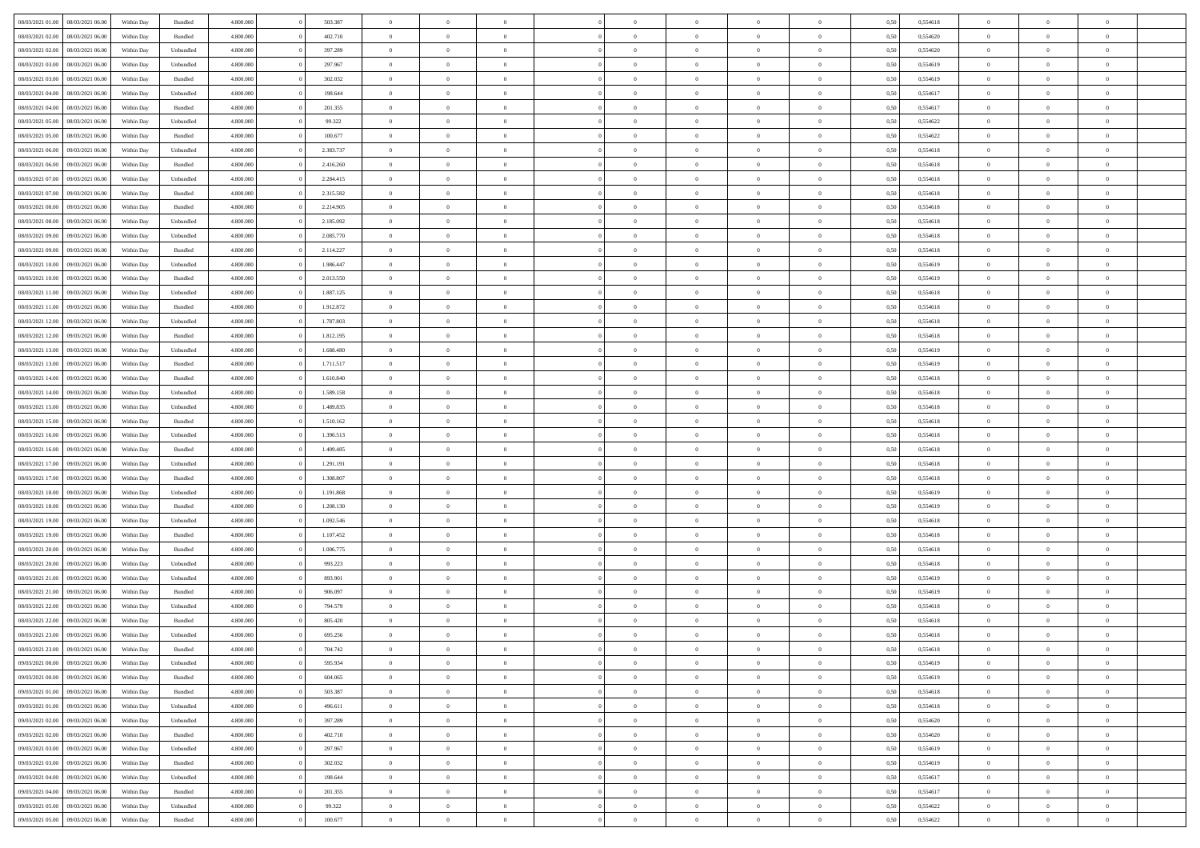| 08/03/2021 01:00                  | 08/03/2021 06:00 | Within Day | Bundled            | 4.800.000 | 503.387   | $\overline{0}$ | $\Omega$       |                | $\Omega$       | $\Omega$       | $\Omega$       | $\theta$       | 0,50 | 0,554618 | $\theta$       | $\theta$       | $\theta$       |  |
|-----------------------------------|------------------|------------|--------------------|-----------|-----------|----------------|----------------|----------------|----------------|----------------|----------------|----------------|------|----------|----------------|----------------|----------------|--|
|                                   |                  |            |                    |           |           |                |                |                |                |                |                |                |      |          |                |                |                |  |
| 08/03/2021 02:00                  | 08/03/2021 06:00 | Within Day | Bundled            | 4.800.000 | 402.710   | $\overline{0}$ | $\theta$       | $\overline{0}$ | $\overline{0}$ | $\bf{0}$       | $\overline{0}$ | $\overline{0}$ | 0,50 | 0,554620 | $\theta$       | $\theta$       | $\overline{0}$ |  |
| 08/03/2021 02:00                  | 08/03/2021 06:00 | Within Day | Unbundled          | 4.800.000 | 397.289   | $\overline{0}$ | $\overline{0}$ | $\overline{0}$ | $\bf{0}$       | $\bf{0}$       | $\bf{0}$       | $\bf{0}$       | 0,50 | 0,554620 | $\overline{0}$ | $\overline{0}$ | $\overline{0}$ |  |
| 08/03/2021 03:00                  | 08/03/2021 06:00 | Within Dav | Unbundled          | 4.800.000 | 297.967   | $\overline{0}$ | $\overline{0}$ | $\overline{0}$ | $\overline{0}$ | $\bf{0}$       | $\overline{0}$ | $\overline{0}$ | 0.50 | 0.554619 | $\theta$       | $\theta$       | $\overline{0}$ |  |
| 08/03/2021 03:00                  | 08/03/2021 06:00 | Within Day | Bundled            | 4.800.000 | 302.032   | $\overline{0}$ | $\theta$       | $\overline{0}$ | $\overline{0}$ | $\bf{0}$       | $\overline{0}$ | $\bf{0}$       | 0,50 | 0,554619 | $\theta$       | $\theta$       | $\overline{0}$ |  |
|                                   |                  |            |                    |           |           |                |                |                |                |                |                |                |      |          |                |                |                |  |
| 08/03/2021 04:00                  | 08/03/2021 06:00 | Within Day | Unbundled          | 4.800.000 | 198.644   | $\overline{0}$ | $\bf{0}$       | $\overline{0}$ | $\bf{0}$       | $\overline{0}$ | $\overline{0}$ | $\mathbf{0}$   | 0,50 | 0,554617 | $\bf{0}$       | $\overline{0}$ | $\bf{0}$       |  |
| 08/03/2021 04:00                  | 08/03/2021 06:00 | Within Dav | Bundled            | 4.800.000 | 201.355   | $\overline{0}$ | $\overline{0}$ | $\overline{0}$ | $\overline{0}$ | $\overline{0}$ | $\overline{0}$ | $\overline{0}$ | 0.50 | 0,554617 | $\theta$       | $\overline{0}$ | $\overline{0}$ |  |
| 08/03/2021 05:00                  | 08/03/2021 06:00 | Within Day | Unbundled          | 4.800.000 | 99.322    | $\overline{0}$ | $\theta$       | $\overline{0}$ | $\overline{0}$ | $\bf{0}$       | $\overline{0}$ | $\bf{0}$       | 0,50 | 0,554622 | $\theta$       | $\theta$       | $\overline{0}$ |  |
| 08/03/2021 05:00                  | 08/03/2021 06:00 | Within Day | Bundled            | 4.800.000 | 100.677   | $\overline{0}$ | $\overline{0}$ | $\overline{0}$ | $\overline{0}$ | $\bf{0}$       | $\overline{0}$ | $\bf{0}$       | 0,50 | 0,554622 | $\,0\,$        | $\overline{0}$ | $\overline{0}$ |  |
| 08/03/2021 06:00                  | 09/03/2021 06:00 | Within Dav | Unbundled          | 4.800.000 | 2.383.737 | $\overline{0}$ | $\overline{0}$ | $\overline{0}$ | $\overline{0}$ | $\overline{0}$ | $\overline{0}$ | $\overline{0}$ | 0.50 | 0.554618 | $\theta$       | $\overline{0}$ | $\overline{0}$ |  |
| 08/03/2021 06:00                  | 09/03/2021 06:00 | Within Day | Bundled            | 4.800.000 | 2.416.260 | $\overline{0}$ | $\theta$       | $\overline{0}$ | $\overline{0}$ | $\bf{0}$       | $\overline{0}$ | $\bf{0}$       | 0,50 | 0,554618 | $\theta$       | $\theta$       | $\overline{0}$ |  |
|                                   |                  |            |                    |           |           |                |                |                |                |                |                |                |      |          |                |                |                |  |
| 08/03/2021 07:00                  | 09/03/2021 06:00 | Within Day | Unbundled          | 4.800.000 | 2.284.415 | $\overline{0}$ | $\overline{0}$ | $\overline{0}$ | $\overline{0}$ | $\bf{0}$       | $\overline{0}$ | $\bf{0}$       | 0,50 | 0,554618 | $\bf{0}$       | $\overline{0}$ | $\overline{0}$ |  |
| 08/03/2021 07:00                  | 09/03/2021 06:00 | Within Day | Bundled            | 4.800.000 | 2.315.582 | $\overline{0}$ | $\overline{0}$ | $\overline{0}$ | $\overline{0}$ | $\bf{0}$       | $\overline{0}$ | $\overline{0}$ | 0.50 | 0.554618 | $\theta$       | $\theta$       | $\overline{0}$ |  |
| 08/03/2021 08:00                  | 09/03/2021 06:00 | Within Day | Bundled            | 4.800.000 | 2.214.905 | $\overline{0}$ | $\theta$       | $\overline{0}$ | $\overline{0}$ | $\bf{0}$       | $\overline{0}$ | $\overline{0}$ | 0,50 | 0,554618 | $\theta$       | $\theta$       | $\overline{0}$ |  |
| 08/03/2021 08:00                  | 09/03/2021 06:00 | Within Day | Unbundled          | 4.800.000 | 2.185.092 | $\overline{0}$ | $\bf{0}$       | $\overline{0}$ | $\overline{0}$ | $\overline{0}$ | $\overline{0}$ | $\mathbf{0}$   | 0,50 | 0,554618 | $\bf{0}$       | $\overline{0}$ | $\bf{0}$       |  |
| 08/03/2021 09:00                  | 09/03/2021 06:00 | Within Dav | Unbundled          | 4.800.000 | 2.085.770 | $\overline{0}$ | $\overline{0}$ | $\overline{0}$ | $\overline{0}$ | $\overline{0}$ | $\overline{0}$ | $\overline{0}$ | 0.50 | 0.554618 | $\theta$       | $\overline{0}$ | $\overline{0}$ |  |
| 08/03/2021 09:00                  | 09/03/2021 06:00 | Within Day | Bundled            | 4.800.000 | 2.114.227 | $\overline{0}$ | $\theta$       | $\overline{0}$ | $\overline{0}$ | $\bf{0}$       | $\overline{0}$ | $\bf{0}$       | 0,50 | 0,554618 | $\theta$       | $\theta$       | $\overline{0}$ |  |
| 08/03/2021 10:00                  | 09/03/2021 06:00 | Within Day | Unbundled          | 4.800.000 | 1.986.447 | $\overline{0}$ | $\overline{0}$ | $\overline{0}$ | $\bf{0}$       | $\bf{0}$       | $\bf{0}$       | $\bf{0}$       | 0,50 | 0,554619 | $\,0\,$        | $\overline{0}$ | $\overline{0}$ |  |
| 08/03/2021 10:00                  | 09/03/2021 06:00 |            | Bundled            | 4.800.000 | 2.013.550 | $\overline{0}$ | $\overline{0}$ | $\overline{0}$ | $\overline{0}$ | $\overline{0}$ | $\overline{0}$ | $\overline{0}$ | 0.50 | 0,554619 | $\theta$       | $\overline{0}$ | $\overline{0}$ |  |
|                                   |                  | Within Day |                    |           |           |                |                |                |                |                |                |                |      |          |                |                |                |  |
| 08/03/2021 11:00                  | 09/03/2021 06:00 | Within Day | Unbundled          | 4.800.000 | 1.887.125 | $\overline{0}$ | $\theta$       | $\overline{0}$ | $\overline{0}$ | $\bf{0}$       | $\overline{0}$ | $\bf{0}$       | 0,50 | 0,554618 | $\,$ 0 $\,$    | $\theta$       | $\overline{0}$ |  |
| 08/03/2021 11:00                  | 09/03/2021 06:00 | Within Day | Bundled            | 4.800.000 | 1.912.872 | $\overline{0}$ | $\overline{0}$ | $\overline{0}$ | $\bf{0}$       | $\bf{0}$       | $\bf{0}$       | $\bf{0}$       | 0,50 | 0,554618 | $\,0\,$        | $\overline{0}$ | $\overline{0}$ |  |
| 08/03/2021 12:00                  | 09/03/2021 06:00 | Within Day | Unbundled          | 4.800.000 | 1.787.803 | $\overline{0}$ | $\overline{0}$ | $\overline{0}$ | $\overline{0}$ | $\bf{0}$       | $\overline{0}$ | $\overline{0}$ | 0.50 | 0.554618 | $\theta$       | $\theta$       | $\overline{0}$ |  |
| 08/03/2021 12:00                  | 09/03/2021 06:00 | Within Day | Bundled            | 4.800.000 | 1.812.195 | $\overline{0}$ | $\theta$       | $\overline{0}$ | $\overline{0}$ | $\bf{0}$       | $\overline{0}$ | $\bf{0}$       | 0,50 | 0,554618 | $\theta$       | $\overline{0}$ | $\overline{0}$ |  |
| 08/03/2021 13:00                  | 09/03/2021 06:00 | Within Day | Unbundled          | 4.800.000 | 1.688.480 | $\overline{0}$ | $\bf{0}$       | $\overline{0}$ | $\bf{0}$       | $\overline{0}$ | $\overline{0}$ | $\mathbf{0}$   | 0,50 | 0,554619 | $\overline{0}$ | $\overline{0}$ | $\bf{0}$       |  |
| 08/03/2021 13:00                  | 09/03/2021 06:00 | Within Dav | Bundled            | 4.800.000 | 1.711.517 | $\overline{0}$ | $\overline{0}$ | $\overline{0}$ | $\overline{0}$ | $\overline{0}$ | $\overline{0}$ | $\overline{0}$ | 0.50 | 0,554619 | $\theta$       | $\overline{0}$ | $\overline{0}$ |  |
| 08/03/2021 14:00                  | 09/03/2021 06:00 | Within Day | Bundled            | 4.800.000 | 1.610.840 | $\overline{0}$ | $\theta$       | $\overline{0}$ | $\overline{0}$ | $\bf{0}$       | $\overline{0}$ | $\bf{0}$       | 0,50 | 0,554618 | $\theta$       | $\theta$       | $\overline{0}$ |  |
|                                   |                  |            |                    |           |           |                |                |                |                |                |                |                |      |          |                |                |                |  |
| 08/03/2021 14:00                  | 09/03/2021 06:00 | Within Day | Unbundled          | 4.800.000 | 1.589.158 | $\overline{0}$ | $\overline{0}$ | $\overline{0}$ | $\bf{0}$       | $\bf{0}$       | $\bf{0}$       | $\bf{0}$       | 0,50 | 0,554618 | $\,0\,$        | $\overline{0}$ | $\overline{0}$ |  |
| 08/03/2021 15:00                  | 09/03/2021 06:00 | Within Day | Unbundled          | 4.800.000 | 1.489.835 | $\overline{0}$ | $\overline{0}$ | $\overline{0}$ | $\overline{0}$ | $\overline{0}$ | $\overline{0}$ | $\overline{0}$ | 0.50 | 0.554618 | $\theta$       | $\overline{0}$ | $\overline{0}$ |  |
| 08/03/2021 15:00                  | 09/03/2021 06:00 | Within Day | Bundled            | 4.800.000 | 1.510.162 | $\overline{0}$ | $\theta$       | $\overline{0}$ | $\overline{0}$ | $\bf{0}$       | $\overline{0}$ | $\bf{0}$       | 0,50 | 0,554618 | $\,$ 0 $\,$    | $\overline{0}$ | $\overline{0}$ |  |
| 08/03/2021 16:00                  | 09/03/2021 06:00 | Within Day | Unbundled          | 4.800.000 | 1.390.513 | $\overline{0}$ | $\overline{0}$ | $\overline{0}$ | $\bf{0}$       | $\bf{0}$       | $\bf{0}$       | $\bf{0}$       | 0,50 | 0,554618 | $\bf{0}$       | $\overline{0}$ | $\overline{0}$ |  |
| 08/03/2021 16:00                  | 09/03/2021 06:00 | Within Day | Bundled            | 4.800,000 | 1.409.485 | $\overline{0}$ | $\Omega$       | $\Omega$       | $\Omega$       | $\Omega$       | $\Omega$       | $\overline{0}$ | 0,50 | 0,554618 | $\,0\,$        | $\theta$       | $\theta$       |  |
| 08/03/2021 17:00                  | 09/03/2021 06:00 | Within Day | Unbundled          | 4.800.000 | 1.291.191 | $\overline{0}$ | $\theta$       | $\overline{0}$ | $\overline{0}$ | $\bf{0}$       | $\overline{0}$ | $\bf{0}$       | 0,50 | 0,554618 | $\theta$       | $\theta$       | $\overline{0}$ |  |
| 08/03/2021 17:00                  | 09/03/2021 06:00 | Within Day | Bundled            | 4.800.000 | 1.308.807 | $\overline{0}$ | $\overline{0}$ | $\overline{0}$ | $\overline{0}$ | $\bf{0}$       | $\overline{0}$ | $\mathbf{0}$   | 0,50 | 0,554618 | $\overline{0}$ | $\overline{0}$ | $\bf{0}$       |  |
|                                   |                  |            |                    |           |           |                |                |                |                |                |                |                |      |          |                |                |                |  |
| 08/03/2021 18:00                  | 09/03/2021 06:00 | Within Day | Unbundled          | 4.800,000 | 1.191.868 | $\overline{0}$ | $\Omega$       | $\Omega$       | $\Omega$       | $\bf{0}$       | $\overline{0}$ | $\overline{0}$ | 0.50 | 0.554619 | $\theta$       | $\theta$       | $\theta$       |  |
| 08/03/2021 18:00                  | 09/03/2021 06:00 | Within Day | Bundled            | 4.800.000 | 1.208.130 | $\overline{0}$ | $\theta$       | $\overline{0}$ | $\overline{0}$ | $\bf{0}$       | $\overline{0}$ | $\bf{0}$       | 0,50 | 0,554619 | $\theta$       | $\theta$       | $\overline{0}$ |  |
| 08/03/2021 19:00                  | 09/03/2021 06:00 | Within Day | Unbundled          | 4.800.000 | 1.092.546 | $\overline{0}$ | $\overline{0}$ | $\overline{0}$ | $\overline{0}$ | $\bf{0}$       | $\overline{0}$ | $\bf{0}$       | 0,50 | 0,554618 | $\,0\,$        | $\overline{0}$ | $\overline{0}$ |  |
| 08/03/2021 19:00                  | 09/03/2021 06:00 | Within Day | Bundled            | 4.800,000 | 1.107.452 | $\overline{0}$ | $\Omega$       | $\Omega$       | $\Omega$       | $\theta$       | $\theta$       | $\overline{0}$ | 0.50 | 0.554618 | $\theta$       | $\theta$       | $\theta$       |  |
| 08/03/2021 20:00                  | 09/03/2021 06:00 | Within Day | Bundled            | 4.800.000 | 1.006.775 | $\overline{0}$ | $\theta$       | $\overline{0}$ | $\overline{0}$ | $\bf{0}$       | $\overline{0}$ | $\bf{0}$       | 0,50 | 0,554618 | $\,$ 0 $\,$    | $\overline{0}$ | $\overline{0}$ |  |
| 08/03/2021 20:00                  | 09/03/2021 06:00 | Within Day | Unbundled          | 4.800.000 | 993.223   | $\overline{0}$ | $\overline{0}$ | $\overline{0}$ | $\overline{0}$ | $\bf{0}$       | $\overline{0}$ | $\bf{0}$       | 0,50 | 0,554618 | $\bf{0}$       | $\overline{0}$ | $\overline{0}$ |  |
| 08/03/2021 21:00                  | 09/03/2021 06:00 | Within Day | Unbundled          | 4.800,000 | 893.901   | $\overline{0}$ | $\Omega$       | $\Omega$       | $\Omega$       | $\Omega$       | $\overline{0}$ | $\overline{0}$ | 0,50 | 0,554619 | $\,0\,$        | $\theta$       | $\theta$       |  |
|                                   |                  |            |                    |           |           |                |                |                |                |                |                |                |      |          |                |                |                |  |
| 08/03/2021 21:00                  | 09/03/2021 06:00 | Within Day | Bundled            | 4.800.000 | 906.097   | $\overline{0}$ | $\theta$       | $\overline{0}$ | $\overline{0}$ | $\bf{0}$       | $\overline{0}$ | $\bf{0}$       | 0,50 | 0,554619 | $\,$ 0 $\,$    | $\overline{0}$ | $\overline{0}$ |  |
| 08/03/2021 22.00                  | 09/03/2021 06:00 | Within Day | Unbundled          | 4.800.000 | 794.579   | $\overline{0}$ | $\overline{0}$ | $\overline{0}$ | $\overline{0}$ | $\bf{0}$       | $\overline{0}$ | $\mathbf{0}$   | 0,50 | 0,554618 | $\overline{0}$ | $\overline{0}$ | $\bf{0}$       |  |
| 08/03/2021 22.00                  | 09/03/2021 06:00 | Within Day | Bundled            | 4.800,000 | 805.420   | $\overline{0}$ | $\Omega$       | $\Omega$       | $\Omega$       | $\Omega$       | $\Omega$       | $\overline{0}$ | 0.50 | 0.554618 | $\theta$       | $\theta$       | $\theta$       |  |
| 08/03/2021 23:00                  | 09/03/2021 06:00 | Within Day | Unbundled          | 4.800.000 | 695.256   | $\overline{0}$ | $\overline{0}$ | $\overline{0}$ | $\bf{0}$       | $\,$ 0         | $\overline{0}$ | $\bf{0}$       | 0,50 | 0,554618 | $\,0\,$        | $\,$ 0 $\,$    | $\overline{0}$ |  |
| 08/03/2021 23:00 09/03/2021 06:00 |                  | Within Day | $\mathbf B$ undled | 4.800.000 | 704.742   | $\bf{0}$       | $\bf{0}$       |                |                |                |                |                | 0,50 | 0,554618 | $\bf{0}$       | $\overline{0}$ |                |  |
| 09/03/2021 00:00                  | 09/03/2021 06:00 | Within Day | Unbundled          | 4.800.000 | 595.934   | $\overline{0}$ | $\overline{0}$ | $\overline{0}$ | $\Omega$       | $\overline{0}$ | $\overline{0}$ | $\overline{0}$ | 0,50 | 0.554619 | $\theta$       | $\theta$       | $\theta$       |  |
| 09/03/2021 00:00                  | 09/03/2021 06:00 | Within Day | Bundled            | 4.800.000 | 604.065   | $\overline{0}$ | $\bf{0}$       | $\overline{0}$ | $\overline{0}$ | $\,$ 0 $\,$    | $\overline{0}$ | $\,$ 0 $\,$    | 0,50 | 0,554619 | $\,$ 0 $\,$    | $\,$ 0 $\,$    | $\,$ 0         |  |
| 09/03/2021 01:00                  | 09/03/2021 06:00 | Within Day | Bundled            | 4.800.000 | 503.387   | $\overline{0}$ | $\overline{0}$ | $\overline{0}$ | $\overline{0}$ | $\overline{0}$ | $\overline{0}$ | $\mathbf{0}$   | 0,50 | 0,554618 | $\overline{0}$ | $\overline{0}$ | $\overline{0}$ |  |
|                                   |                  |            |                    |           |           |                |                |                |                |                |                |                |      |          |                |                |                |  |
| 09/03/2021 01:00                  | 09/03/2021 06:00 | Within Day | Unbundled          | 4.800,000 | 496.611   | $\overline{0}$ | $\overline{0}$ | $\overline{0}$ | $\Omega$       | $\overline{0}$ | $\overline{0}$ | $\overline{0}$ | 0,50 | 0,554618 | $\overline{0}$ | $\overline{0}$ | $\overline{0}$ |  |
| 09/03/2021 02:00                  | 09/03/2021 06:00 | Within Day | Unbundled          | 4.800.000 | 397.289   | $\overline{0}$ | $\,$ 0         | $\overline{0}$ | $\overline{0}$ | $\,$ 0 $\,$    | $\overline{0}$ | $\mathbf{0}$   | 0,50 | 0,554620 | $\,$ 0 $\,$    | $\overline{0}$ | $\,$ 0         |  |
| 09/03/2021 02:00                  | 09/03/2021 06:00 | Within Day | Bundled            | 4.800.000 | 402.710   | $\overline{0}$ | $\overline{0}$ | $\overline{0}$ | $\overline{0}$ | $\overline{0}$ | $\overline{0}$ | $\mathbf{0}$   | 0,50 | 0,554620 | $\overline{0}$ | $\overline{0}$ | $\overline{0}$ |  |
| 09/03/2021 03:00                  | 09/03/2021 06:00 | Within Day | Unbundled          | 4.800,000 | 297.967   | $\overline{0}$ | $\overline{0}$ | $\overline{0}$ | $\overline{0}$ | $\overline{0}$ | $\overline{0}$ | $\overline{0}$ | 0.50 | 0,554619 | $\overline{0}$ | $\theta$       | $\overline{0}$ |  |
| 09/03/2021 03:00                  | 09/03/2021 06:00 | Within Day | Bundled            | 4.800.000 | 302.032   | $\overline{0}$ | $\,$ 0         | $\overline{0}$ | $\overline{0}$ | $\bf{0}$       | $\overline{0}$ | $\bf{0}$       | 0,50 | 0,554619 | $\,$ 0 $\,$    | $\overline{0}$ | $\overline{0}$ |  |
| 09/03/2021 04:00                  | 09/03/2021 06:00 | Within Day | Unbundled          | 4.800.000 | 198.644   | $\overline{0}$ | $\overline{0}$ | $\overline{0}$ | $\overline{0}$ | $\overline{0}$ | $\overline{0}$ | $\mathbf{0}$   | 0,50 | 0,554617 | $\overline{0}$ | $\overline{0}$ | $\bf{0}$       |  |
| 09/03/2021 04:00                  | 09/03/2021 06:00 | Within Day | Bundled            | 4.800,000 | 201.355   | $\overline{0}$ | $\overline{0}$ | $\overline{0}$ | $\Omega$       | $\overline{0}$ | $\overline{0}$ | $\overline{0}$ | 0.50 | 0,554617 | $\overline{0}$ | $\overline{0}$ | $\overline{0}$ |  |
| 09/03/2021 05:00                  | 09/03/2021 06:00 | Within Day | Unbundled          | 4.800.000 | 99.322    | $\overline{0}$ | $\bf{0}$       | $\overline{0}$ | $\bf{0}$       | $\bf{0}$       | $\bf{0}$       | $\mathbf{0}$   | 0,50 | 0,554622 | $\,$ 0 $\,$    | $\,$ 0 $\,$    | $\bf{0}$       |  |
|                                   |                  |            |                    |           |           |                |                |                |                |                |                |                |      |          |                |                |                |  |
| 09/03/2021 05:00                  | 09/03/2021 06:00 | Within Day | Bundled            | 4.800.000 | 100.677   | $\overline{0}$ | $\overline{0}$ | $\overline{0}$ | $\overline{0}$ | $\overline{0}$ | $\bf{0}$       | $\mathbf{0}$   | 0,50 | 0,554622 | $\overline{0}$ | $\bf{0}$       | $\overline{0}$ |  |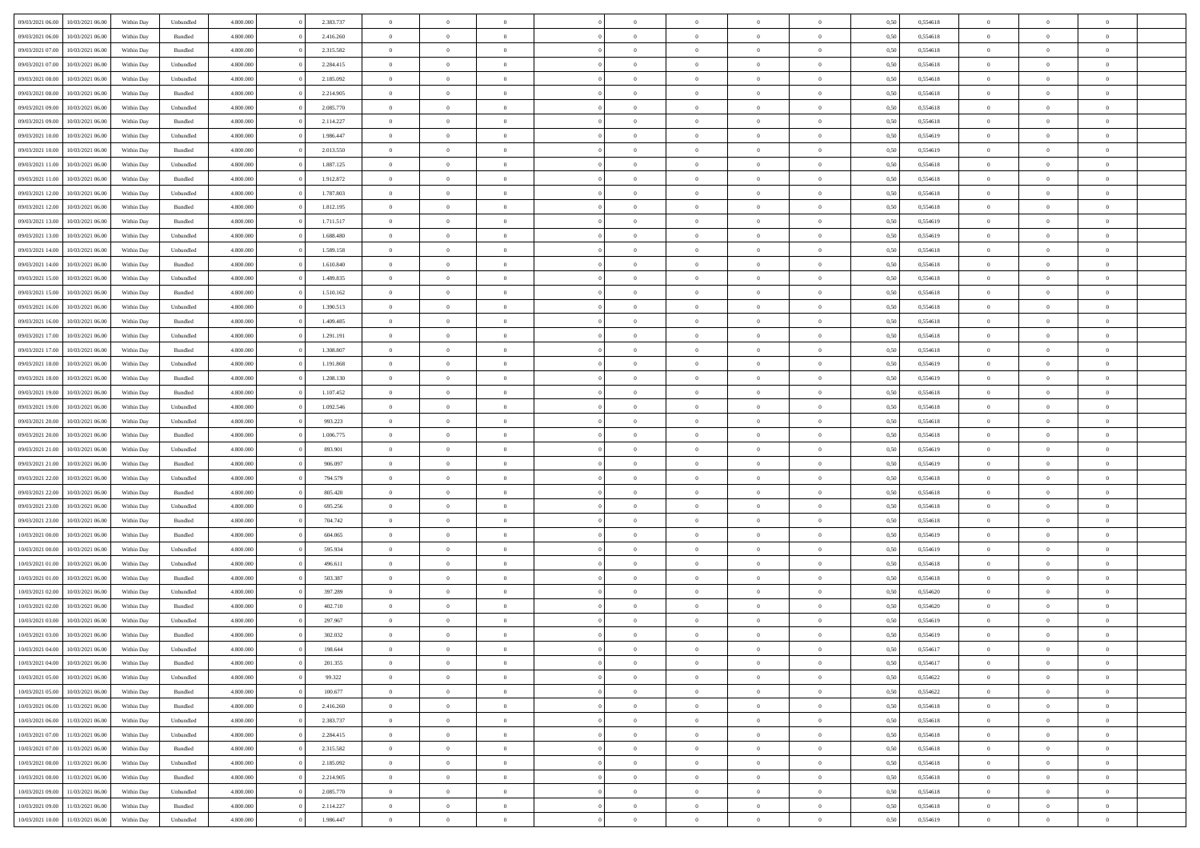| 09/03/2021 06:00 | 10/03/2021 06:00 | Within Day | Unbundled | 4.800.000 | 2.383.737 | $\overline{0}$ | $\Omega$       |                | $\Omega$       | $\Omega$       | $\Omega$       | $\theta$       | 0,50 | 0,554618 | $\theta$       | $\theta$       | $\theta$       |  |
|------------------|------------------|------------|-----------|-----------|-----------|----------------|----------------|----------------|----------------|----------------|----------------|----------------|------|----------|----------------|----------------|----------------|--|
|                  |                  |            |           |           |           |                |                |                |                |                |                |                |      |          |                |                |                |  |
| 09/03/2021 06:00 | 10/03/2021 06:00 | Within Day | Bundled   | 4.800.000 | 2.416.260 | $\overline{0}$ | $\theta$       | $\overline{0}$ | $\overline{0}$ | $\bf{0}$       | $\overline{0}$ | $\overline{0}$ | 0,50 | 0,554618 | $\theta$       | $\theta$       | $\overline{0}$ |  |
| 09/03/2021 07:00 | 10/03/2021 06:00 | Within Day | Bundled   | 4.800.000 | 2.315.582 | $\overline{0}$ | $\overline{0}$ | $\overline{0}$ | $\bf{0}$       | $\bf{0}$       | $\bf{0}$       | $\bf{0}$       | 0,50 | 0,554618 | $\bf{0}$       | $\overline{0}$ | $\overline{0}$ |  |
| 09/03/2021 07:00 | 10/03/2021 06:00 | Within Dav | Unbundled | 4.800.000 | 2.284.415 | $\overline{0}$ | $\overline{0}$ | $\overline{0}$ | $\overline{0}$ | $\bf{0}$       | $\overline{0}$ | $\overline{0}$ | 0.50 | 0.554618 | $\theta$       | $\theta$       | $\overline{0}$ |  |
| 09/03/2021 08:00 | 10/03/2021 06:00 | Within Day | Unbundled | 4.800.000 | 2.185.092 | $\overline{0}$ | $\theta$       | $\overline{0}$ | $\overline{0}$ | $\bf{0}$       | $\overline{0}$ | $\bf{0}$       | 0,50 | 0,554618 | $\theta$       | $\theta$       | $\overline{0}$ |  |
| 09/03/2021 08:00 | 10/03/2021 06:00 | Within Day | Bundled   | 4.800.000 | 2.214.905 | $\overline{0}$ | $\bf{0}$       | $\overline{0}$ | $\bf{0}$       | $\overline{0}$ | $\overline{0}$ | $\mathbf{0}$   | 0,50 | 0,554618 | $\bf{0}$       | $\overline{0}$ | $\bf{0}$       |  |
| 09/03/2021 09:00 | 10/03/2021 06:00 | Within Dav | Unbundled | 4.800.000 | 2.085.770 | $\overline{0}$ | $\overline{0}$ | $\overline{0}$ | $\overline{0}$ | $\overline{0}$ | $\overline{0}$ | $\overline{0}$ | 0.50 | 0,554618 | $\theta$       | $\overline{0}$ | $\overline{0}$ |  |
|                  |                  |            |           |           |           |                |                |                |                |                |                |                |      |          |                |                |                |  |
| 09/03/2021 09:00 | 10/03/2021 06:00 | Within Day | Bundled   | 4.800.000 | 2.114.227 | $\overline{0}$ | $\theta$       | $\overline{0}$ | $\overline{0}$ | $\bf{0}$       | $\overline{0}$ | $\bf{0}$       | 0,50 | 0,554618 | $\theta$       | $\theta$       | $\overline{0}$ |  |
| 09/03/2021 10:00 | 10/03/2021 06:00 | Within Day | Unbundled | 4.800.000 | 1.986.447 | $\overline{0}$ | $\overline{0}$ | $\overline{0}$ | $\bf{0}$       | $\bf{0}$       | $\bf{0}$       | $\bf{0}$       | 0,50 | 0,554619 | $\,0\,$        | $\overline{0}$ | $\overline{0}$ |  |
| 09/03/2021 10:00 | 10/03/2021 06:00 | Within Dav | Bundled   | 4.800.000 | 2.013.550 | $\overline{0}$ | $\overline{0}$ | $\overline{0}$ | $\overline{0}$ | $\overline{0}$ | $\overline{0}$ | $\overline{0}$ | 0.50 | 0.554619 | $\theta$       | $\overline{0}$ | $\overline{0}$ |  |
| 09/03/2021 11:00 | 10/03/2021 06:00 | Within Day | Unbundled | 4.800.000 | 1.887.125 | $\overline{0}$ | $\theta$       | $\overline{0}$ | $\overline{0}$ | $\bf{0}$       | $\overline{0}$ | $\bf{0}$       | 0,50 | 0,554618 | $\theta$       | $\theta$       | $\overline{0}$ |  |
| 09/03/2021 11:00 | 10/03/2021 06:00 | Within Day | Bundled   | 4.800.000 | 1.912.872 | $\overline{0}$ | $\overline{0}$ | $\overline{0}$ | $\bf{0}$       | $\bf{0}$       | $\bf{0}$       | $\bf{0}$       | 0,50 | 0,554618 | $\bf{0}$       | $\overline{0}$ | $\overline{0}$ |  |
| 09/03/2021 12:00 | 10/03/2021 06:00 | Within Day | Unbundled | 4.800.000 | 1.787.803 | $\overline{0}$ | $\overline{0}$ | $\overline{0}$ | $\overline{0}$ | $\bf{0}$       | $\overline{0}$ | $\overline{0}$ | 0.50 | 0.554618 | $\theta$       | $\theta$       | $\overline{0}$ |  |
|                  |                  |            |           |           |           |                |                |                |                |                |                |                |      |          |                |                |                |  |
| 09/03/2021 12:00 | 10/03/2021 06:00 | Within Day | Bundled   | 4.800.000 | 1.812.195 | $\overline{0}$ | $\theta$       | $\overline{0}$ | $\overline{0}$ | $\bf{0}$       | $\overline{0}$ | $\overline{0}$ | 0,50 | 0,554618 | $\theta$       | $\theta$       | $\overline{0}$ |  |
| 09/03/2021 13:00 | 10/03/2021 06:00 | Within Day | Bundled   | 4.800.000 | 1.711.517 | $\overline{0}$ | $\bf{0}$       | $\overline{0}$ | $\bf{0}$       | $\overline{0}$ | $\overline{0}$ | $\mathbf{0}$   | 0,50 | 0,554619 | $\overline{0}$ | $\overline{0}$ | $\bf{0}$       |  |
| 09/03/2021 13:00 | 10/03/2021 06:00 | Within Dav | Unbundled | 4.800.000 | 1.688.480 | $\overline{0}$ | $\overline{0}$ | $\overline{0}$ | $\overline{0}$ | $\overline{0}$ | $\overline{0}$ | $\overline{0}$ | 0.50 | 0.554619 | $\theta$       | $\overline{0}$ | $\overline{0}$ |  |
| 09/03/2021 14:00 | 10/03/2021 06:00 | Within Day | Unbundled | 4.800.000 | 1.589.158 | $\overline{0}$ | $\theta$       | $\overline{0}$ | $\overline{0}$ | $\bf{0}$       | $\overline{0}$ | $\bf{0}$       | 0,50 | 0,554618 | $\theta$       | $\theta$       | $\overline{0}$ |  |
| 09/03/2021 14:00 | 10/03/2021 06:00 | Within Day | Bundled   | 4.800.000 | 1.610.840 | $\overline{0}$ | $\overline{0}$ | $\overline{0}$ | $\overline{0}$ | $\bf{0}$       | $\overline{0}$ | $\bf{0}$       | 0,50 | 0,554618 | $\,0\,$        | $\overline{0}$ | $\overline{0}$ |  |
| 09/03/2021 15:00 | 10/03/2021 06:00 | Within Day | Unbundled | 4.800.000 | 1.489.835 | $\overline{0}$ | $\overline{0}$ | $\overline{0}$ | $\overline{0}$ | $\overline{0}$ | $\overline{0}$ | $\overline{0}$ | 0.50 | 0.554618 | $\theta$       | $\overline{0}$ | $\overline{0}$ |  |
| 09/03/2021 15:00 | 10/03/2021 06:00 | Within Day | Bundled   | 4.800.000 | 1.510.162 | $\overline{0}$ | $\theta$       | $\overline{0}$ | $\overline{0}$ | $\bf{0}$       | $\overline{0}$ | $\bf{0}$       | 0,50 | 0,554618 | $\,$ 0 $\,$    | $\theta$       | $\overline{0}$ |  |
|                  |                  |            |           |           |           |                |                |                |                |                |                |                |      |          |                |                |                |  |
| 09/03/2021 16:00 | 10/03/2021 06:00 | Within Day | Unbundled | 4.800.000 | 1.390.513 | $\overline{0}$ | $\overline{0}$ | $\overline{0}$ | $\overline{0}$ | $\bf{0}$       | $\overline{0}$ | $\bf{0}$       | 0,50 | 0,554618 | $\,0\,$        | $\overline{0}$ | $\overline{0}$ |  |
| 09/03/2021 16:00 | 10/03/2021 06:00 | Within Day | Bundled   | 4.800.000 | 1.409.485 | $\overline{0}$ | $\overline{0}$ | $\overline{0}$ | $\overline{0}$ | $\bf{0}$       | $\overline{0}$ | $\overline{0}$ | 0.50 | 0.554618 | $\theta$       | $\theta$       | $\overline{0}$ |  |
| 09/03/2021 17:00 | 10/03/2021 06:00 | Within Day | Unbundled | 4.800.000 | 1.291.191 | $\overline{0}$ | $\theta$       | $\overline{0}$ | $\overline{0}$ | $\bf{0}$       | $\overline{0}$ | $\bf{0}$       | 0,50 | 0,554618 | $\theta$       | $\overline{0}$ | $\overline{0}$ |  |
| 09/03/2021 17:00 | 10/03/2021 06:00 | Within Day | Bundled   | 4.800.000 | 1.308.807 | $\overline{0}$ | $\bf{0}$       | $\overline{0}$ | $\overline{0}$ | $\overline{0}$ | $\overline{0}$ | $\mathbf{0}$   | 0,50 | 0,554618 | $\overline{0}$ | $\overline{0}$ | $\bf{0}$       |  |
| 09/03/2021 18:00 | 10/03/2021 06:00 | Within Dav | Unbundled | 4.800.000 | 1.191.868 | $\overline{0}$ | $\overline{0}$ | $\overline{0}$ | $\overline{0}$ | $\overline{0}$ | $\overline{0}$ | $\overline{0}$ | 0.50 | 0,554619 | $\theta$       | $\overline{0}$ | $\overline{0}$ |  |
| 09/03/2021 18:00 | 10/03/2021 06:00 | Within Day | Bundled   | 4.800.000 | 1.208.130 | $\overline{0}$ | $\theta$       | $\overline{0}$ | $\overline{0}$ | $\bf{0}$       | $\overline{0}$ | $\bf{0}$       | 0,50 | 0,554619 | $\theta$       | $\theta$       | $\overline{0}$ |  |
|                  |                  |            |           |           |           |                |                |                |                |                |                |                |      |          |                |                |                |  |
| 09/03/2021 19:00 | 10/03/2021 06:00 | Within Day | Bundled   | 4.800.000 | 1.107.452 | $\overline{0}$ | $\overline{0}$ | $\overline{0}$ | $\overline{0}$ | $\bf{0}$       | $\overline{0}$ | $\bf{0}$       | 0,50 | 0,554618 | $\,0\,$        | $\overline{0}$ | $\overline{0}$ |  |
| 09/03/2021 19:00 | 10/03/2021 06:00 | Within Day | Unbundled | 4.800.000 | 1.092.546 | $\overline{0}$ | $\overline{0}$ | $\overline{0}$ | $\overline{0}$ | $\overline{0}$ | $\overline{0}$ | $\overline{0}$ | 0.50 | 0.554618 | $\theta$       | $\overline{0}$ | $\overline{0}$ |  |
| 09/03/2021 20:00 | 10/03/2021 06:00 | Within Day | Unbundled | 4.800.000 | 993.223   | $\overline{0}$ | $\theta$       | $\overline{0}$ | $\overline{0}$ | $\bf{0}$       | $\overline{0}$ | $\bf{0}$       | 0,50 | 0,554618 | $\,$ 0 $\,$    | $\overline{0}$ | $\overline{0}$ |  |
| 09/03/2021 20.00 | 10/03/2021 06:00 | Within Day | Bundled   | 4.800.000 | 1.006.775 | $\overline{0}$ | $\overline{0}$ | $\overline{0}$ | $\overline{0}$ | $\bf{0}$       | $\overline{0}$ | $\bf{0}$       | 0,50 | 0,554618 | $\overline{0}$ | $\overline{0}$ | $\overline{0}$ |  |
| 09/03/2021 21:00 | 10/03/2021 06:00 | Within Day | Unbundled | 4.800.000 | 893.901   | $\overline{0}$ | $\Omega$       | $\Omega$       | $\Omega$       | $\Omega$       | $\Omega$       | $\overline{0}$ | 0,50 | 0,554619 | $\,0\,$        | $\theta$       | $\theta$       |  |
| 09/03/2021 21:00 | 10/03/2021 06:00 | Within Day | Bundled   | 4.800.000 | 906.097   | $\overline{0}$ | $\theta$       | $\overline{0}$ | $\overline{0}$ | $\bf{0}$       | $\overline{0}$ | $\bf{0}$       | 0,50 | 0,554619 | $\theta$       | $\theta$       | $\overline{0}$ |  |
| 09/03/2021 22.00 | 10/03/2021 06:00 | Within Day | Unbundled | 4.800.000 | 794.579   | $\overline{0}$ | $\overline{0}$ | $\overline{0}$ | $\overline{0}$ | $\bf{0}$       | $\overline{0}$ | $\mathbf{0}$   | 0,50 | 0,554618 | $\overline{0}$ | $\overline{0}$ | $\bf{0}$       |  |
|                  |                  |            |           |           |           |                |                |                |                |                |                |                |      |          |                |                |                |  |
| 09/03/2021 22.00 | 10/03/2021 06:00 | Within Day | Bundled   | 4.800,000 | 805.420   | $\overline{0}$ | $\Omega$       | $\Omega$       | $\Omega$       | $\bf{0}$       | $\overline{0}$ | $\overline{0}$ | 0.50 | 0.554618 | $\theta$       | $\theta$       | $\theta$       |  |
| 09/03/2021 23:00 | 10/03/2021 06:00 | Within Day | Unbundled | 4.800.000 | 695.256   | $\overline{0}$ | $\theta$       | $\overline{0}$ | $\overline{0}$ | $\bf{0}$       | $\overline{0}$ | $\bf{0}$       | 0,50 | 0,554618 | $\theta$       | $\theta$       | $\overline{0}$ |  |
| 09/03/2021 23.00 | 10/03/2021 06:00 | Within Day | Bundled   | 4.800.000 | 704.742   | $\overline{0}$ | $\overline{0}$ | $\overline{0}$ | $\overline{0}$ | $\bf{0}$       | $\overline{0}$ | $\bf{0}$       | 0,50 | 0,554618 | $\,0\,$        | $\overline{0}$ | $\overline{0}$ |  |
| 10/03/2021 00:00 | 10/03/2021 06:00 | Within Day | Bundled   | 4.800,000 | 604,065   | $\overline{0}$ | $\Omega$       | $\Omega$       | $\Omega$       | $\theta$       | $\theta$       | $\overline{0}$ | 0.50 | 0.554619 | $\theta$       | $\theta$       | $\theta$       |  |
| 10/03/2021 00:00 | 10/03/2021 06:00 | Within Day | Unbundled | 4.800.000 | 595.934   | $\overline{0}$ | $\theta$       | $\overline{0}$ | $\overline{0}$ | $\bf{0}$       | $\overline{0}$ | $\bf{0}$       | 0,50 | 0,554619 | $\,$ 0 $\,$    | $\overline{0}$ | $\overline{0}$ |  |
| 10/03/2021 01:00 | 10/03/2021 06:00 | Within Day | Unbundled | 4.800.000 | 496.611   | $\overline{0}$ | $\overline{0}$ | $\overline{0}$ | $\overline{0}$ | $\bf{0}$       | $\overline{0}$ | $\bf{0}$       | 0,50 | 0,554618 | $\bf{0}$       | $\overline{0}$ | $\overline{0}$ |  |
| 10/03/2021 01:00 | 10/03/2021 06:00 | Within Day | Bundled   | 4.800,000 | 503.387   | $\overline{0}$ | $\Omega$       | $\Omega$       | $\Omega$       | $\Omega$       | $\overline{0}$ | $\overline{0}$ | 0,50 | 0,554618 | $\,0\,$        | $\theta$       | $\theta$       |  |
|                  |                  |            |           |           |           |                |                |                |                |                |                |                |      |          |                |                |                |  |
| 10/03/2021 02:00 | 10/03/2021 06:00 | Within Day | Unbundled | 4.800.000 | 397.289   | $\overline{0}$ | $\theta$       | $\overline{0}$ | $\overline{0}$ | $\bf{0}$       | $\overline{0}$ | $\bf{0}$       | 0,50 | 0,554620 | $\,$ 0 $\,$    | $\overline{0}$ | $\overline{0}$ |  |
| 10/03/2021 02:00 | 10/03/2021 06:00 | Within Day | Bundled   | 4.800.000 | 402.710   | $\overline{0}$ | $\overline{0}$ | $\overline{0}$ | $\overline{0}$ | $\bf{0}$       | $\overline{0}$ | $\mathbf{0}$   | 0,50 | 0,554620 | $\bf{0}$       | $\overline{0}$ | $\bf{0}$       |  |
| 10/03/2021 03:00 | 10/03/2021 06:00 | Within Day | Unbundled | 4.800,000 | 297.967   | $\overline{0}$ | $\Omega$       | $\Omega$       | $\Omega$       | $\Omega$       | $\Omega$       | $\overline{0}$ | 0.50 | 0.554619 | $\theta$       | $\theta$       | $\theta$       |  |
| 10/03/2021 03:00 | 10/03/2021 06:00 | Within Day | Bundled   | 4.800.000 | 302.032   | $\overline{0}$ | $\overline{0}$ | $\overline{0}$ | $\bf{0}$       | $\,$ 0         | $\overline{0}$ | $\bf{0}$       | 0,50 | 0,554619 | $\,0\,$        | $\overline{0}$ | $\overline{0}$ |  |
| 10/03/2021 04:00 | 10/03/2021 06:00 | Within Day | Unbundled | 4.800.000 | 198.644   | $\bf{0}$       | $\bf{0}$       |                |                |                |                |                | 0,50 | 0,554617 | $\bf{0}$       | $\overline{0}$ |                |  |
| 10/03/2021 04:00 | 10/03/2021 06:00 | Within Day | Bundled   | 4.800.000 | 201.355   | $\overline{0}$ | $\overline{0}$ | $\overline{0}$ | $\Omega$       | $\overline{0}$ | $\overline{0}$ | $\overline{0}$ | 0,50 | 0.554617 | $\theta$       | $\theta$       | $\Omega$       |  |
| 10/03/2021 05:00 | 10/03/2021 06:00 | Within Day | Unbundled | 4.800.000 | 99.322    | $\overline{0}$ | $\,$ 0         | $\overline{0}$ | $\bf{0}$       | $\,$ 0 $\,$    | $\overline{0}$ | $\mathbf{0}$   | 0,50 | 0,554622 | $\,$ 0 $\,$    | $\,$ 0 $\,$    | $\,$ 0         |  |
|                  |                  |            |           |           |           |                |                |                |                |                |                |                |      |          |                |                |                |  |
| 10/03/2021 05:00 | 10/03/2021 06:00 | Within Day | Bundled   | 4.800.000 | 100.677   | $\overline{0}$ | $\overline{0}$ | $\overline{0}$ | $\overline{0}$ | $\overline{0}$ | $\overline{0}$ | $\mathbf{0}$   | 0,50 | 0,554622 | $\overline{0}$ | $\bf{0}$       | $\bf{0}$       |  |
| 10/03/2021 06:00 | 11/03/2021 06:00 | Within Day | Bundled   | 4.800,000 | 2.416.260 | $\overline{0}$ | $\overline{0}$ | $\overline{0}$ | $\Omega$       | $\overline{0}$ | $\overline{0}$ | $\overline{0}$ | 0,50 | 0,554618 | $\overline{0}$ | $\theta$       | $\overline{0}$ |  |
| 10/03/2021 06:00 | 11/03/2021 06:00 | Within Day | Unbundled | 4.800.000 | 2.383.737 | $\overline{0}$ | $\,$ 0         | $\overline{0}$ | $\overline{0}$ | $\,$ 0 $\,$    | $\overline{0}$ | $\mathbf{0}$   | 0,50 | 0,554618 | $\,$ 0 $\,$    | $\overline{0}$ | $\overline{0}$ |  |
| 10/03/2021 07:00 | 11/03/2021 06:00 | Within Day | Unbundled | 4.800.000 | 2.284.415 | $\overline{0}$ | $\overline{0}$ | $\overline{0}$ | $\overline{0}$ | $\overline{0}$ | $\overline{0}$ | $\mathbf{0}$   | 0,50 | 0,554618 | $\overline{0}$ | $\overline{0}$ | $\bf{0}$       |  |
| 10/03/2021 07:00 | 11/03/2021 06:00 | Within Day | Bundled   | 4.800.000 | 2.315.582 | $\overline{0}$ | $\overline{0}$ | $\overline{0}$ | $\Omega$       | $\overline{0}$ | $\overline{0}$ | $\bf{0}$       | 0.50 | 0,554618 | $\overline{0}$ | $\theta$       | $\overline{0}$ |  |
| 10/03/2021 08:00 | 11/03/2021 06:00 | Within Day | Unbundled | 4.800.000 | 2.185.092 | $\overline{0}$ | $\,$ 0         | $\overline{0}$ | $\bf{0}$       | $\bf{0}$       | $\bf{0}$       | $\bf{0}$       | 0,50 | 0,554618 | $\,$ 0 $\,$    | $\overline{0}$ | $\overline{0}$ |  |
| 10/03/2021 08:00 | 11/03/2021 06:00 | Within Day | Bundled   | 4.800.000 | 2.214.905 | $\overline{0}$ | $\bf{0}$       | $\overline{0}$ | $\overline{0}$ | $\overline{0}$ | $\overline{0}$ | $\mathbf{0}$   | 0,50 | 0,554618 | $\overline{0}$ | $\overline{0}$ | $\bf{0}$       |  |
|                  |                  |            |           |           |           |                |                |                |                |                |                |                |      |          |                |                |                |  |
| 10/03/2021 09:00 | 11/03/2021 06:00 | Within Day | Unbundled | 4.800,000 | 2.085.770 | $\overline{0}$ | $\overline{0}$ | $\overline{0}$ | $\Omega$       | $\overline{0}$ | $\overline{0}$ | $\bf{0}$       | 0.50 | 0,554618 | $\overline{0}$ | $\theta$       | $\overline{0}$ |  |
| 10/03/2021 09:00 | 11/03/2021 06:00 | Within Day | Bundled   | 4.800.000 | 2.114.227 | $\overline{0}$ | $\bf{0}$       | $\overline{0}$ | $\overline{0}$ | $\bf{0}$       | $\bf{0}$       | $\mathbf{0}$   | 0,50 | 0,554618 | $\,$ 0 $\,$    | $\,$ 0 $\,$    | $\bf{0}$       |  |
| 10/03/2021 10:00 | 11/03/2021 06:00 | Within Day | Unbundled | 4.800.000 | 1.986.447 | $\overline{0}$ | $\overline{0}$ | $\overline{0}$ | $\overline{0}$ | $\bf{0}$       | $\bf{0}$       | $\mathbf{0}$   | 0,50 | 0,554619 | $\overline{0}$ | $\bf{0}$       | $\bf{0}$       |  |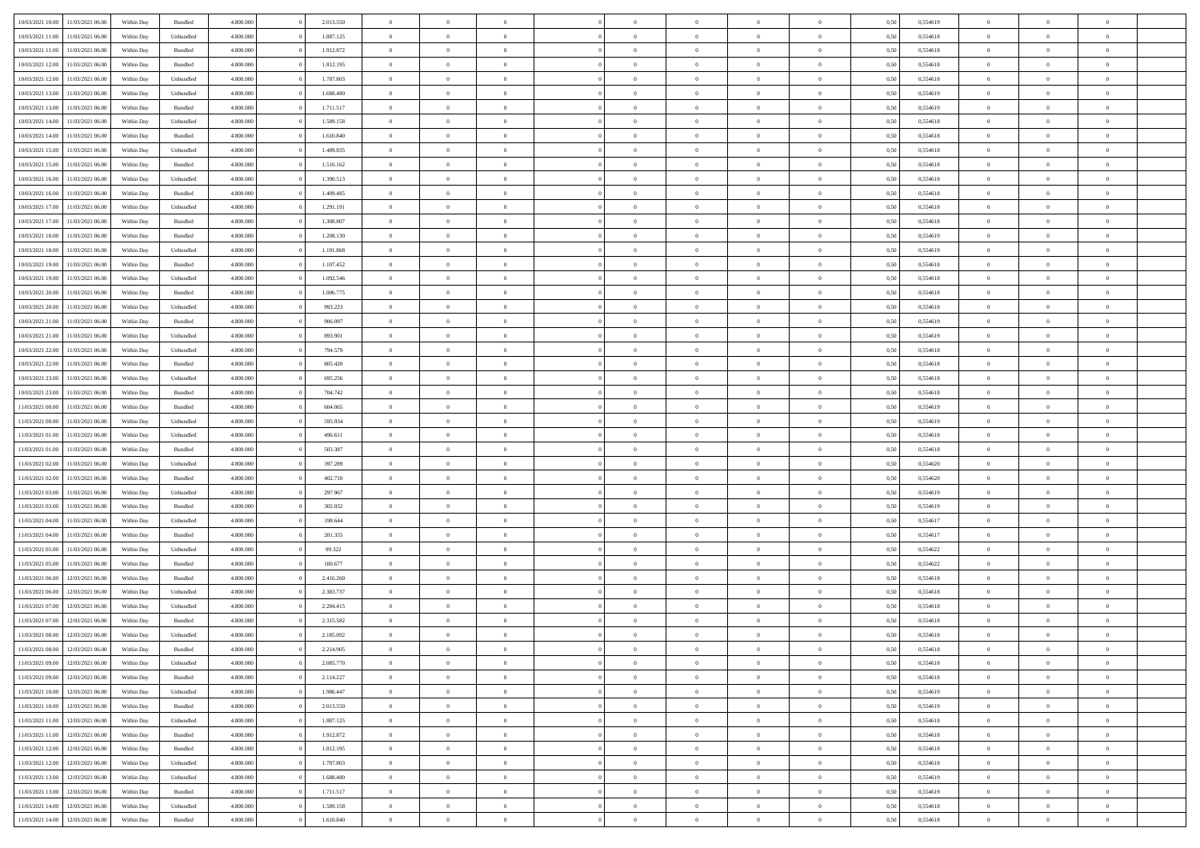| 10/03/2021 10:00                  | 11/03/2021 06:00                  | Within Day | Bundled            | 4.800.000 | 2.013.550 | $\overline{0}$ | $\Omega$       |                | $\Omega$       | $\Omega$       | $\theta$       | $\theta$       | 0,50 | 0,554619 | $\theta$       | $\theta$       | $\theta$       |  |
|-----------------------------------|-----------------------------------|------------|--------------------|-----------|-----------|----------------|----------------|----------------|----------------|----------------|----------------|----------------|------|----------|----------------|----------------|----------------|--|
|                                   |                                   |            |                    |           |           |                |                |                |                |                |                |                |      |          |                |                |                |  |
| 10/03/2021 11:00                  | 11/03/2021 06:00                  | Within Day | Unbundled          | 4.800.000 | 1.887.125 | $\overline{0}$ | $\theta$       | $\overline{0}$ | $\overline{0}$ | $\bf{0}$       | $\overline{0}$ | $\bf{0}$       | 0,50 | 0,554618 | $\theta$       | $\overline{0}$ | $\overline{0}$ |  |
| 10/03/2021 11:00                  | 11/03/2021 06:00                  | Within Day | Bundled            | 4.800.000 | 1.912.872 | $\overline{0}$ | $\overline{0}$ | $\overline{0}$ | $\bf{0}$       | $\bf{0}$       | $\bf{0}$       | $\bf{0}$       | 0,50 | 0,554618 | $\overline{0}$ | $\overline{0}$ | $\overline{0}$ |  |
| 10/03/2021 12:00                  | 11/03/2021 06:00                  | Within Dav | Bundled            | 4.800.000 | 1.812.195 | $\overline{0}$ | $\overline{0}$ | $\overline{0}$ | $\overline{0}$ | $\bf{0}$       | $\overline{0}$ | $\overline{0}$ | 0.50 | 0.554618 | $\theta$       | $\theta$       | $\overline{0}$ |  |
| 10/03/2021 12:00                  | 11/03/2021 06:00                  | Within Day | Unbundled          | 4.800.000 | 1.787.803 | $\overline{0}$ | $\theta$       | $\overline{0}$ | $\overline{0}$ | $\bf{0}$       | $\overline{0}$ | $\bf{0}$       | 0,50 | 0,554618 | $\theta$       | $\overline{0}$ | $\overline{0}$ |  |
|                                   |                                   |            |                    |           |           |                |                |                |                |                |                |                |      |          |                |                |                |  |
| 10/03/2021 13:00                  | 11/03/2021 06:00                  | Within Day | Unbundled          | 4.800.000 | 1.688.480 | $\overline{0}$ | $\bf{0}$       | $\overline{0}$ | $\bf{0}$       | $\overline{0}$ | $\overline{0}$ | $\mathbf{0}$   | 0,50 | 0,554619 | $\overline{0}$ | $\overline{0}$ | $\bf{0}$       |  |
| 10/03/2021 13:00                  | 11/03/2021 06:00                  | Within Dav | Bundled            | 4.800.000 | 1.711.517 | $\overline{0}$ | $\overline{0}$ | $\overline{0}$ | $\overline{0}$ | $\overline{0}$ | $\overline{0}$ | $\overline{0}$ | 0.50 | 0,554619 | $\theta$       | $\overline{0}$ | $\overline{0}$ |  |
| 10/03/2021 14:00                  | 11/03/2021 06:00                  | Within Day | Unbundled          | 4.800.000 | 1.589.158 | $\overline{0}$ | $\theta$       | $\overline{0}$ | $\overline{0}$ | $\bf{0}$       | $\overline{0}$ | $\bf{0}$       | 0,50 | 0,554618 | $\theta$       | $\theta$       | $\overline{0}$ |  |
| 10/03/2021 14:00                  | 11/03/2021 06:00                  | Within Day | Bundled            | 4.800.000 | 1.610.840 | $\overline{0}$ | $\overline{0}$ | $\overline{0}$ | $\bf{0}$       | $\bf{0}$       | $\bf{0}$       | $\bf{0}$       | 0,50 | 0,554618 | $\,0\,$        | $\overline{0}$ | $\overline{0}$ |  |
| 10/03/2021 15:00                  | 11/03/2021 06:00                  | Within Dav | Unbundled          | 4.800.000 | 1.489.835 | $\overline{0}$ | $\overline{0}$ | $\overline{0}$ | $\overline{0}$ | $\overline{0}$ | $\overline{0}$ | $\overline{0}$ | 0.50 | 0.554618 | $\theta$       | $\overline{0}$ | $\overline{0}$ |  |
| 10/03/2021 15:00                  | 11/03/2021 06:00                  | Within Day | Bundled            | 4.800.000 | 1.510.162 | $\overline{0}$ | $\theta$       | $\overline{0}$ | $\overline{0}$ | $\bf{0}$       | $\overline{0}$ | $\bf{0}$       | 0,50 | 0,554618 | $\,$ 0 $\,$    | $\overline{0}$ | $\overline{0}$ |  |
|                                   |                                   |            |                    |           |           |                |                |                |                |                |                |                |      |          |                |                |                |  |
| 10/03/2021 16:00                  | 11/03/2021 06:00                  | Within Day | Unbundled          | 4.800.000 | 1.390.513 | $\overline{0}$ | $\overline{0}$ | $\overline{0}$ | $\bf{0}$       | $\bf{0}$       | $\bf{0}$       | $\bf{0}$       | 0,50 | 0,554618 | $\overline{0}$ | $\overline{0}$ | $\overline{0}$ |  |
| 10/03/2021 16:00                  | 11/03/2021 06:00                  | Within Day | Bundled            | 4.800.000 | 1.409.485 | $\overline{0}$ | $\overline{0}$ | $\overline{0}$ | $\overline{0}$ | $\bf{0}$       | $\overline{0}$ | $\overline{0}$ | 0.50 | 0.554618 | $\theta$       | $\theta$       | $\overline{0}$ |  |
| 10/03/2021 17:00                  | 11/03/2021 06:00                  | Within Day | Unbundled          | 4.800.000 | 1.291.191 | $\overline{0}$ | $\theta$       | $\overline{0}$ | $\overline{0}$ | $\bf{0}$       | $\overline{0}$ | $\overline{0}$ | 0,50 | 0,554618 | $\theta$       | $\overline{0}$ | $\overline{0}$ |  |
| 10/03/2021 17:00                  | 11/03/2021 06:00                  | Within Day | Bundled            | 4.800.000 | 1.308.807 | $\overline{0}$ | $\overline{0}$ | $\overline{0}$ | $\bf{0}$       | $\overline{0}$ | $\overline{0}$ | $\mathbf{0}$   | 0,50 | 0,554618 | $\overline{0}$ | $\overline{0}$ | $\bf{0}$       |  |
| 10/03/2021 18:00                  | 11/03/2021 06:00                  | Within Dav | Bundled            | 4.800.000 | 1.208.130 | $\overline{0}$ | $\overline{0}$ | $\overline{0}$ | $\overline{0}$ | $\overline{0}$ | $\overline{0}$ | $\overline{0}$ | 0.50 | 0.554619 | $\theta$       | $\overline{0}$ | $\overline{0}$ |  |
| 10/03/2021 18:00                  | 11/03/2021 06:00                  | Within Day | Unbundled          | 4.800.000 | 1.191.868 | $\overline{0}$ | $\theta$       | $\overline{0}$ | $\overline{0}$ | $\bf{0}$       | $\overline{0}$ | $\bf{0}$       | 0,50 | 0,554619 | $\theta$       | $\theta$       | $\overline{0}$ |  |
| 10/03/2021 19:00                  | 11/03/2021 06:00                  | Within Day | Bundled            | 4.800.000 | 1.107.452 | $\overline{0}$ | $\overline{0}$ | $\overline{0}$ | $\overline{0}$ | $\bf{0}$       | $\overline{0}$ | $\bf{0}$       | 0,50 | 0,554618 | $\,0\,$        | $\overline{0}$ | $\overline{0}$ |  |
| 10/03/2021 19:00                  | 11/03/2021 06:00                  |            | Unbundled          | 4.800.000 | 1.092.546 | $\overline{0}$ | $\overline{0}$ | $\overline{0}$ | $\overline{0}$ | $\overline{0}$ | $\overline{0}$ | $\overline{0}$ | 0.50 | 0.554618 | $\theta$       | $\overline{0}$ | $\overline{0}$ |  |
|                                   |                                   | Within Day |                    |           |           | $\overline{0}$ |                |                |                |                |                |                |      |          |                |                |                |  |
| 10/03/2021 20:00                  | 11/03/2021 06:00                  | Within Day | Bundled            | 4.800.000 | 1.006.775 |                | $\theta$       | $\overline{0}$ | $\overline{0}$ | $\bf{0}$       | $\overline{0}$ | $\bf{0}$       | 0,50 | 0,554618 | $\,$ 0 $\,$    | $\theta$       | $\overline{0}$ |  |
| 10/03/2021 20:00                  | 11/03/2021 06:00                  | Within Day | Unbundled          | 4.800.000 | 993.223   | $\overline{0}$ | $\overline{0}$ | $\overline{0}$ | $\overline{0}$ | $\bf{0}$       | $\overline{0}$ | $\bf{0}$       | 0,50 | 0,554618 | $\bf{0}$       | $\overline{0}$ | $\overline{0}$ |  |
| 10/03/2021 21:00                  | 11/03/2021 06:00                  | Within Day | Bundled            | 4.800.000 | 906,097   | $\overline{0}$ | $\overline{0}$ | $\overline{0}$ | $\overline{0}$ | $\bf{0}$       | $\overline{0}$ | $\overline{0}$ | 0.50 | 0.554619 | $\theta$       | $\overline{0}$ | $\overline{0}$ |  |
| 10/03/2021 21:00                  | 11/03/2021 06:00                  | Within Day | Unbundled          | 4.800.000 | 893.901   | $\overline{0}$ | $\theta$       | $\overline{0}$ | $\overline{0}$ | $\bf{0}$       | $\overline{0}$ | $\bf{0}$       | 0,50 | 0,554619 | $\,$ 0 $\,$    | $\overline{0}$ | $\overline{0}$ |  |
| 10/03/2021 22:00                  | 11/03/2021 06:00                  | Within Day | Unbundled          | 4.800.000 | 794.579   | $\overline{0}$ | $\bf{0}$       | $\overline{0}$ | $\overline{0}$ | $\overline{0}$ | $\overline{0}$ | $\mathbf{0}$   | 0,50 | 0,554618 | $\overline{0}$ | $\overline{0}$ | $\bf{0}$       |  |
| 10/03/2021 22.00                  | 11/03/2021 06:00                  | Within Dav | Bundled            | 4.800.000 | 805.420   | $\overline{0}$ | $\overline{0}$ | $\overline{0}$ | $\overline{0}$ | $\overline{0}$ | $\overline{0}$ | $\overline{0}$ | 0.50 | 0.554618 | $\overline{0}$ | $\overline{0}$ | $\overline{0}$ |  |
| 10/03/2021 23:00                  | 11/03/2021 06:00                  | Within Day | Unbundled          | 4.800.000 | 695.256   | $\overline{0}$ | $\theta$       | $\overline{0}$ | $\overline{0}$ | $\bf{0}$       | $\overline{0}$ | $\bf{0}$       | 0,50 | 0,554618 | $\theta$       | $\theta$       | $\overline{0}$ |  |
|                                   |                                   |            |                    |           |           |                |                |                |                |                |                |                |      |          |                |                |                |  |
| 10/03/2021 23:00                  | 11/03/2021 06:00                  | Within Day | Bundled            | 4.800.000 | 704.742   | $\overline{0}$ | $\overline{0}$ | $\overline{0}$ | $\overline{0}$ | $\bf{0}$       | $\overline{0}$ | $\bf{0}$       | 0,50 | 0,554618 | $\,0\,$        | $\overline{0}$ | $\overline{0}$ |  |
| 11/03/2021 00:00                  | 11/03/2021 06:00                  | Within Day | Bundled            | 4.800.000 | 604.065   | $\overline{0}$ | $\overline{0}$ | $\overline{0}$ | $\overline{0}$ | $\overline{0}$ | $\overline{0}$ | $\overline{0}$ | 0.50 | 0.554619 | $\theta$       | $\overline{0}$ | $\overline{0}$ |  |
| 11/03/2021 00:00                  | 11/03/2021 06:00                  | Within Day | Unbundled          | 4.800.000 | 595.934   | $\overline{0}$ | $\theta$       | $\overline{0}$ | $\overline{0}$ | $\bf{0}$       | $\overline{0}$ | $\bf{0}$       | 0,50 | 0,554619 | $\,$ 0 $\,$    | $\overline{0}$ | $\overline{0}$ |  |
| 11/03/2021 01:00                  | 11/03/2021 06:00                  | Within Day | Unbundled          | 4.800.000 | 496.611   | $\overline{0}$ | $\overline{0}$ | $\overline{0}$ | $\overline{0}$ | $\bf{0}$       | $\overline{0}$ | $\bf{0}$       | 0,50 | 0,554618 | $\overline{0}$ | $\overline{0}$ | $\overline{0}$ |  |
| 11/03/2021 01:00                  | 11/03/2021 06.00                  | Within Day | Bundled            | 4.800,000 | 503.387   | $\overline{0}$ | $\Omega$       | $\Omega$       | $\Omega$       | $\Omega$       | $\Omega$       | $\overline{0}$ | 0,50 | 0,554618 | $\,0\,$        | $\theta$       | $\theta$       |  |
| 11/03/2021 02:00                  | 11/03/2021 06:00                  | Within Day | Unbundled          | 4.800.000 | 397.289   | $\overline{0}$ | $\theta$       | $\overline{0}$ | $\overline{0}$ | $\bf{0}$       | $\overline{0}$ | $\bf{0}$       | 0,50 | 0,554620 | $\theta$       | $\theta$       | $\overline{0}$ |  |
| 11/03/2021 02:00                  | 11/03/2021 06:00                  | Within Day | Bundled            | 4.800.000 | 402.710   | $\overline{0}$ | $\overline{0}$ | $\overline{0}$ | $\overline{0}$ | $\bf{0}$       | $\overline{0}$ | $\mathbf{0}$   | 0,50 | 0,554620 | $\overline{0}$ | $\overline{0}$ | $\bf{0}$       |  |
| 11/03/2021 03:00                  | 11/03/2021 06:00                  |            |                    | 4.800,000 |           | $\overline{0}$ | $\Omega$       | $\Omega$       | $\Omega$       | $\bf{0}$       | $\overline{0}$ | $\overline{0}$ | 0.50 | 0.554619 | $\theta$       | $\theta$       | $\theta$       |  |
|                                   |                                   | Within Day | Unbundled          |           | 297.967   |                |                |                |                |                |                |                |      |          |                |                |                |  |
| 11/03/2021 03:00                  | 11/03/2021 06:00                  | Within Day | Bundled            | 4.800.000 | 302.032   | $\overline{0}$ | $\theta$       | $\overline{0}$ | $\overline{0}$ | $\bf{0}$       | $\overline{0}$ | $\bf{0}$       | 0,50 | 0,554619 | $\,$ 0 $\,$    | $\theta$       | $\overline{0}$ |  |
| 11/03/2021 04:00                  | 11/03/2021 06:00                  | Within Day | Unbundled          | 4.800.000 | 198.644   | $\overline{0}$ | $\overline{0}$ | $\overline{0}$ | $\bf{0}$       | $\bf{0}$       | $\bf{0}$       | $\bf{0}$       | 0,50 | 0,554617 | $\bf{0}$       | $\overline{0}$ | $\overline{0}$ |  |
| 11/03/2021 04:00                  | 11/03/2021 06:00                  | Within Day | Bundled            | 4.800,000 | 201.355   | $\overline{0}$ | $\Omega$       | $\Omega$       | $\Omega$       | $\theta$       | $\theta$       | $\overline{0}$ | 0.50 | 0.554617 | $\theta$       | $\theta$       | $\theta$       |  |
| 11/03/2021 05:00                  | 11/03/2021 06:00                  | Within Day | Unbundled          | 4.800.000 | 99.322    | $\overline{0}$ | $\theta$       | $\overline{0}$ | $\overline{0}$ | $\bf{0}$       | $\overline{0}$ | $\bf{0}$       | 0,50 | 0,554622 | $\,$ 0 $\,$    | $\overline{0}$ | $\overline{0}$ |  |
| 11/03/2021 05:00                  | 11/03/2021 06:00                  | Within Day | Bundled            | 4.800.000 | 100.677   | $\overline{0}$ | $\overline{0}$ | $\overline{0}$ | $\bf{0}$       | $\bf{0}$       | $\bf{0}$       | $\bf{0}$       | 0,50 | 0,554622 | $\bf{0}$       | $\overline{0}$ | $\overline{0}$ |  |
| 11/03/2021 06:00                  | 12/03/2021 06:00                  | Within Day | Bundled            | 4.800,000 | 2.416.260 | $\overline{0}$ | $\Omega$       | $\Omega$       | $\Omega$       | $\Omega$       | $\overline{0}$ | $\overline{0}$ | 0,50 | 0,554618 | $\,0\,$        | $\theta$       | $\theta$       |  |
| 11/03/2021 06:00                  | 12/03/2021 06:00                  | Within Day | Unbundled          | 4.800.000 | 2.383.737 | $\overline{0}$ | $\theta$       | $\overline{0}$ | $\overline{0}$ | $\bf{0}$       | $\overline{0}$ | $\bf{0}$       | 0,50 | 0,554618 | $\,$ 0 $\,$    | $\overline{0}$ | $\overline{0}$ |  |
|                                   |                                   |            |                    |           |           |                |                |                |                |                |                |                |      |          |                |                |                |  |
| 11/03/2021 07:00                  | 12/03/2021 06:00                  | Within Day | Unbundled          | 4.800.000 | 2.284.415 | $\overline{0}$ | $\overline{0}$ | $\overline{0}$ | $\bf{0}$       | $\bf{0}$       | $\bf{0}$       | $\mathbf{0}$   | 0,50 | 0,554618 | $\bf{0}$       | $\overline{0}$ | $\bf{0}$       |  |
| 11/03/2021 07:00                  | 12/03/2021 06:00                  | Within Day | Bundled            | 4.800,000 | 2.315.582 | $\overline{0}$ | $\Omega$       | $\Omega$       | $\Omega$       | $\Omega$       | $\Omega$       | $\overline{0}$ | 0.50 | 0.554618 | $\theta$       | $\theta$       | $\theta$       |  |
| 11/03/2021 08:00                  | 12/03/2021 06:00                  | Within Day | Unbundled          | 4.800.000 | 2.185.092 | $\overline{0}$ | $\overline{0}$ | $\overline{0}$ | $\bf{0}$       | $\,$ 0         | $\bf{0}$       | $\bf{0}$       | 0,50 | 0,554618 | $\,0\,$        | $\,0\,$        | $\overline{0}$ |  |
|                                   | 11/03/2021 08:00 12/03/2021 06:00 | Within Day | $\mathbf B$ undled | 4.800.000 | 2.214.905 | $\bf{0}$       | $\bf{0}$       |                |                |                |                |                | 0,50 | 0,554618 | $\bf{0}$       | $\overline{0}$ |                |  |
| 11/03/2021 09:00                  | 12/03/2021 06:00                  | Within Day | Unbundled          | 4.800.000 | 2.085.770 | $\overline{0}$ | $\overline{0}$ | $\overline{0}$ | $\Omega$       | $\overline{0}$ | $\overline{0}$ | $\overline{0}$ | 0.50 | 0.554618 | $\theta$       | $\theta$       | $\theta$       |  |
| 11/03/2021 09:00                  | 12/03/2021 06:00                  | Within Day | Bundled            | 4.800.000 | 2.114.227 | $\overline{0}$ | $\,$ 0         | $\overline{0}$ | $\bf{0}$       | $\,$ 0 $\,$    | $\overline{0}$ | $\mathbf{0}$   | 0,50 | 0,554618 | $\,$ 0 $\,$    | $\,$ 0 $\,$    | $\,$ 0         |  |
| 11/03/2021 10:00                  | 12/03/2021 06:00                  | Within Day | Unbundled          | 4.800.000 | 1.986.447 | $\overline{0}$ | $\overline{0}$ | $\overline{0}$ | $\overline{0}$ | $\overline{0}$ | $\overline{0}$ | $\mathbf{0}$   | 0,50 | 0,554619 | $\overline{0}$ | $\bf{0}$       | $\bf{0}$       |  |
| 11/03/2021 10:00                  | 12/03/2021 06:00                  | Within Day | Bundled            | 4.800,000 | 2.013.550 | $\overline{0}$ | $\overline{0}$ | $\overline{0}$ | $\Omega$       | $\overline{0}$ | $\overline{0}$ | $\bf{0}$       | 0,50 | 0,554619 | $\overline{0}$ | $\theta$       | $\overline{0}$ |  |
| 11/03/2021 11:00                  | 12/03/2021 06:00                  | Within Day | Unbundled          | 4.800.000 | 1.887.125 | $\overline{0}$ | $\,$ 0         | $\overline{0}$ | $\overline{0}$ | $\,$ 0 $\,$    | $\overline{0}$ | $\mathbf{0}$   | 0,50 | 0,554618 | $\,$ 0 $\,$    | $\overline{0}$ | $\overline{0}$ |  |
|                                   |                                   |            |                    |           |           |                |                |                |                |                |                |                |      |          |                |                |                |  |
| 11/03/2021 11:00                  | 12/03/2021 06:00                  | Within Day | Bundled            | 4.800.000 | 1.912.872 | $\overline{0}$ | $\overline{0}$ | $\overline{0}$ | $\overline{0}$ | $\overline{0}$ | $\overline{0}$ | $\mathbf{0}$   | 0,50 | 0,554618 | $\overline{0}$ | $\overline{0}$ | $\bf{0}$       |  |
| 11/03/2021 12:00                  | 12/03/2021 06:00                  | Within Day | Bundled            | 4.800,000 | 1.812.195 | $\overline{0}$ | $\overline{0}$ | $\overline{0}$ | $\Omega$       | $\overline{0}$ | $\overline{0}$ | $\bf{0}$       | 0.50 | 0,554618 | $\overline{0}$ | $\theta$       | $\overline{0}$ |  |
| 11/03/2021 12:00                  | 12/03/2021 06:00                  | Within Day | Unbundled          | 4.800.000 | 1.787.803 | $\overline{0}$ | $\,$ 0         | $\overline{0}$ | $\bf{0}$       | $\bf{0}$       | $\bf{0}$       | $\bf{0}$       | 0,50 | 0,554618 | $\,$ 0 $\,$    | $\overline{0}$ | $\overline{0}$ |  |
| 11/03/2021 13:00                  | 12/03/2021 06:00                  | Within Day | Unbundled          | 4.800.000 | 1.688.480 | $\overline{0}$ | $\bf{0}$       | $\overline{0}$ | $\overline{0}$ | $\overline{0}$ | $\overline{0}$ | $\mathbf{0}$   | 0,50 | 0,554619 | $\overline{0}$ | $\overline{0}$ | $\bf{0}$       |  |
| 11/03/2021 13:00                  | 12/03/2021 06:00                  | Within Day | Bundled            | 4.800,000 | 1.711.517 | $\overline{0}$ | $\overline{0}$ | $\overline{0}$ | $\Omega$       | $\overline{0}$ | $\overline{0}$ | $\bf{0}$       | 0.50 | 0,554619 | $\overline{0}$ | $\theta$       | $\overline{0}$ |  |
| 11/03/2021 14:00                  | 12/03/2021 06:00                  | Within Day | Unbundled          | 4.800.000 | 1.589.158 | $\overline{0}$ | $\bf{0}$       | $\overline{0}$ | $\overline{0}$ | $\bf{0}$       | $\bf{0}$       | $\mathbf{0}$   | 0,50 | 0,554618 | $\,$ 0 $\,$    | $\,$ 0 $\,$    | $\bf{0}$       |  |
| 11/03/2021 14:00 12/03/2021 06:00 |                                   | Within Day | Bundled            | 4.800.000 | 1.610.840 | $\overline{0}$ | $\overline{0}$ | $\overline{0}$ | $\overline{0}$ | $\bf{0}$       | $\bf{0}$       | $\mathbf{0}$   | 0,50 | 0,554618 | $\overline{0}$ | $\bf{0}$       | $\bf{0}$       |  |
|                                   |                                   |            |                    |           |           |                |                |                |                |                |                |                |      |          |                |                |                |  |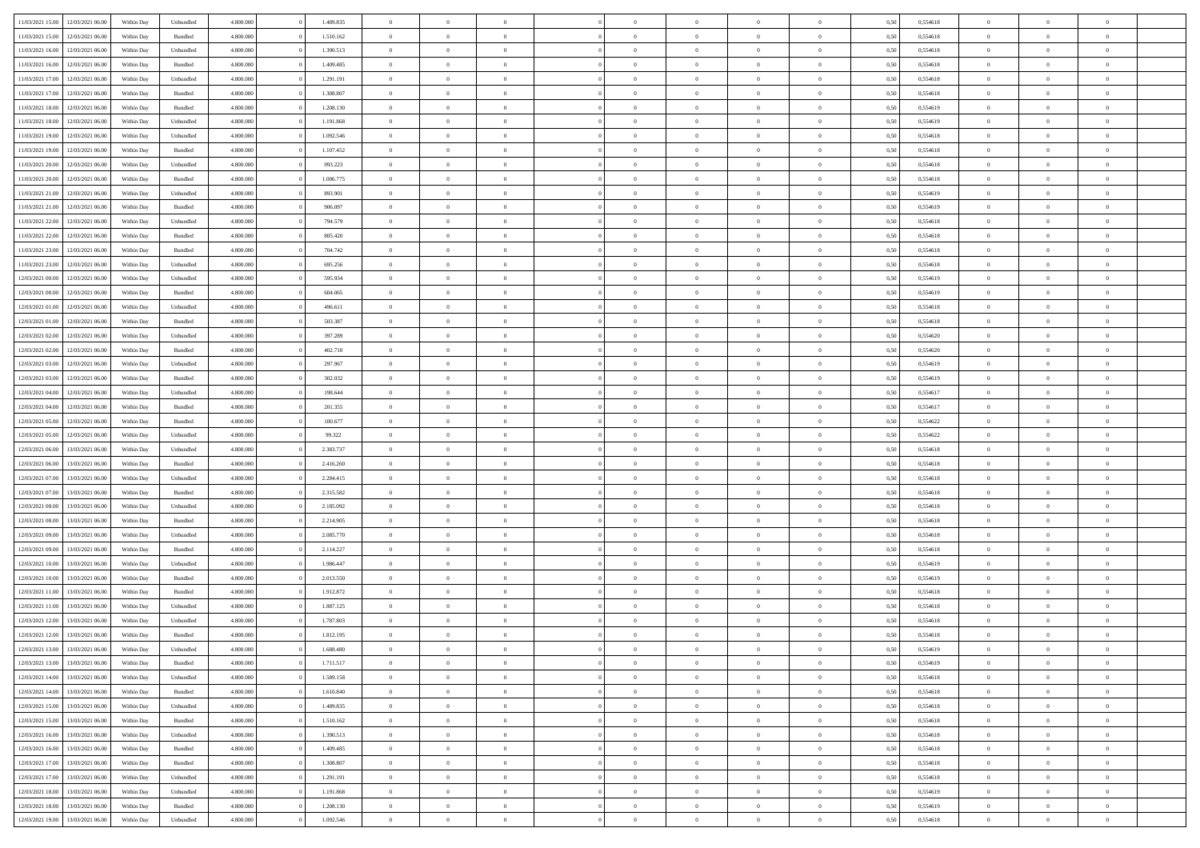| 11/03/2021 15:00 | 12/03/2021 06:00                  | Within Day | Unbundled | 4.800.000 | 1.489.835 | $\overline{0}$ | $\Omega$       |                | $\Omega$       | $\Omega$       | $\theta$       | $\theta$       | 0,50 | 0,554618 | $\theta$       | $\theta$       | $\theta$       |  |
|------------------|-----------------------------------|------------|-----------|-----------|-----------|----------------|----------------|----------------|----------------|----------------|----------------|----------------|------|----------|----------------|----------------|----------------|--|
|                  |                                   |            |           |           |           |                |                |                |                |                |                |                |      |          |                |                |                |  |
| 11/03/2021 15:00 | 12/03/2021 06:00                  | Within Day | Bundled   | 4.800.000 | 1.510.162 | $\overline{0}$ | $\theta$       | $\overline{0}$ | $\overline{0}$ | $\bf{0}$       | $\overline{0}$ | $\bf{0}$       | 0,50 | 0,554618 | $\theta$       | $\overline{0}$ | $\overline{0}$ |  |
| 11/03/2021 16:00 | 12/03/2021 06:00                  | Within Day | Unbundled | 4.800.000 | 1.390.513 | $\overline{0}$ | $\overline{0}$ | $\overline{0}$ | $\bf{0}$       | $\bf{0}$       | $\bf{0}$       | $\bf{0}$       | 0,50 | 0,554618 | $\overline{0}$ | $\overline{0}$ | $\overline{0}$ |  |
| 11/03/2021 16:00 | 12/03/2021 06:00                  | Within Dav | Bundled   | 4.800.000 | 1.409.485 | $\overline{0}$ | $\overline{0}$ | $\overline{0}$ | $\overline{0}$ | $\bf{0}$       | $\overline{0}$ | $\overline{0}$ | 0.50 | 0.554618 | $\theta$       | $\theta$       | $\overline{0}$ |  |
| 11/03/2021 17:00 | 12/03/2021 06:00                  | Within Day | Unbundled | 4.800.000 | 1.291.191 | $\overline{0}$ | $\theta$       | $\overline{0}$ | $\overline{0}$ | $\bf{0}$       | $\overline{0}$ | $\bf{0}$       | 0,50 | 0,554618 | $\theta$       | $\theta$       | $\overline{0}$ |  |
| 11/03/2021 17:00 | 12/03/2021 06:00                  | Within Day | Bundled   | 4.800.000 | 1.308.807 | $\overline{0}$ | $\bf{0}$       | $\overline{0}$ | $\bf{0}$       | $\overline{0}$ | $\overline{0}$ | $\mathbf{0}$   | 0,50 | 0,554618 | $\overline{0}$ | $\overline{0}$ | $\bf{0}$       |  |
| 11/03/2021 18:00 | 12/03/2021 06:00                  | Within Dav | Bundled   | 4.800.000 | 1.208.130 | $\overline{0}$ | $\overline{0}$ | $\overline{0}$ | $\overline{0}$ | $\overline{0}$ | $\overline{0}$ | $\overline{0}$ | 0.50 | 0,554619 | $\theta$       | $\overline{0}$ | $\overline{0}$ |  |
|                  |                                   |            |           |           |           |                |                |                |                |                |                |                |      |          |                |                |                |  |
| 11/03/2021 18:00 | 12/03/2021 06:00                  | Within Day | Unbundled | 4.800.000 | 1.191.868 | $\overline{0}$ | $\theta$       | $\overline{0}$ | $\overline{0}$ | $\bf{0}$       | $\overline{0}$ | $\bf{0}$       | 0,50 | 0,554619 | $\theta$       | $\theta$       | $\overline{0}$ |  |
| 11/03/2021 19:00 | 12/03/2021 06:00                  | Within Day | Unbundled | 4.800.000 | 1.092.546 | $\overline{0}$ | $\overline{0}$ | $\overline{0}$ | $\bf{0}$       | $\bf{0}$       | $\bf{0}$       | $\bf{0}$       | 0,50 | 0,554618 | $\,0\,$        | $\overline{0}$ | $\overline{0}$ |  |
| 11/03/2021 19:00 | 12/03/2021 06:00                  | Within Dav | Bundled   | 4.800.000 | 1.107.452 | $\overline{0}$ | $\overline{0}$ | $\overline{0}$ | $\overline{0}$ | $\overline{0}$ | $\overline{0}$ | $\overline{0}$ | 0.50 | 0.554618 | $\theta$       | $\overline{0}$ | $\overline{0}$ |  |
| 11/03/2021 20:00 | 12/03/2021 06:00                  | Within Day | Unbundled | 4.800.000 | 993.223   | $\overline{0}$ | $\theta$       | $\overline{0}$ | $\overline{0}$ | $\bf{0}$       | $\overline{0}$ | $\bf{0}$       | 0,50 | 0,554618 | $\,$ 0 $\,$    | $\overline{0}$ | $\overline{0}$ |  |
| 11/03/2021 20:00 | 12/03/2021 06:00                  | Within Day | Bundled   | 4.800.000 | 1.006.775 | $\overline{0}$ | $\overline{0}$ | $\overline{0}$ | $\bf{0}$       | $\bf{0}$       | $\bf{0}$       | $\bf{0}$       | 0,50 | 0,554618 | $\overline{0}$ | $\overline{0}$ | $\overline{0}$ |  |
| 11/03/2021 21:00 | 12/03/2021 06:00                  | Within Day | Unbundled | 4.800.000 | 893.901   | $\overline{0}$ | $\overline{0}$ | $\overline{0}$ | $\overline{0}$ | $\bf{0}$       | $\overline{0}$ | $\overline{0}$ | 0.50 | 0.554619 | $\theta$       | $\theta$       | $\overline{0}$ |  |
| 11/03/2021 21:00 | 12/03/2021 06:00                  | Within Day | Bundled   | 4.800.000 | 906.097   | $\overline{0}$ | $\theta$       | $\overline{0}$ | $\overline{0}$ | $\bf{0}$       | $\overline{0}$ | $\bf{0}$       | 0,50 | 0,554619 | $\theta$       | $\overline{0}$ | $\overline{0}$ |  |
|                  |                                   |            |           |           |           |                |                |                |                |                |                |                |      |          |                |                |                |  |
| 11/03/2021 22.00 | 12/03/2021 06:00                  | Within Day | Unbundled | 4.800.000 | 794.579   | $\overline{0}$ | $\overline{0}$ | $\overline{0}$ | $\bf{0}$       | $\overline{0}$ | $\overline{0}$ | $\mathbf{0}$   | 0,50 | 0,554618 | $\overline{0}$ | $\overline{0}$ | $\bf{0}$       |  |
| 11/03/2021 22:00 | 12/03/2021 06:00                  | Within Dav | Bundled   | 4.800.000 | 805.420   | $\overline{0}$ | $\overline{0}$ | $\overline{0}$ | $\overline{0}$ | $\overline{0}$ | $\overline{0}$ | $\overline{0}$ | 0.50 | 0.554618 | $\theta$       | $\overline{0}$ | $\overline{0}$ |  |
| 11/03/2021 23:00 | 12/03/2021 06:00                  | Within Day | Bundled   | 4.800.000 | 704.742   | $\overline{0}$ | $\theta$       | $\overline{0}$ | $\overline{0}$ | $\bf{0}$       | $\overline{0}$ | $\bf{0}$       | 0,50 | 0,554618 | $\theta$       | $\theta$       | $\overline{0}$ |  |
| 11/03/2021 23.00 | 12/03/2021 06:00                  | Within Day | Unbundled | 4.800.000 | 695.256   | $\overline{0}$ | $\overline{0}$ | $\overline{0}$ | $\bf{0}$       | $\bf{0}$       | $\bf{0}$       | $\bf{0}$       | 0,50 | 0,554618 | $\,0\,$        | $\overline{0}$ | $\overline{0}$ |  |
| 12/03/2021 00:00 | 12/03/2021 06:00                  | Within Day | Unbundled | 4.800.000 | 595.934   | $\overline{0}$ | $\overline{0}$ | $\overline{0}$ | $\overline{0}$ | $\overline{0}$ | $\overline{0}$ | $\overline{0}$ | 0.50 | 0,554619 | $\theta$       | $\overline{0}$ | $\overline{0}$ |  |
| 12/03/2021 00:00 | 12/03/2021 06:00                  | Within Day | Bundled   | 4.800.000 | 604.065   | $\overline{0}$ | $\theta$       | $\overline{0}$ | $\overline{0}$ | $\bf{0}$       | $\overline{0}$ | $\bf{0}$       | 0,50 | 0,554619 | $\,$ 0 $\,$    | $\theta$       | $\overline{0}$ |  |
| 12/03/2021 01:00 | 12/03/2021 06:00                  | Within Day | Unbundled | 4.800.000 | 496.611   | $\overline{0}$ | $\overline{0}$ | $\overline{0}$ | $\bf{0}$       | $\bf{0}$       | $\bf{0}$       | $\bf{0}$       | 0,50 | 0,554618 | $\bf{0}$       | $\overline{0}$ | $\overline{0}$ |  |
|                  |                                   |            |           |           |           |                |                |                |                |                |                |                |      |          | $\theta$       |                |                |  |
| 12/03/2021 01:00 | 12/03/2021 06:00                  | Within Day | Bundled   | 4.800.000 | 503.387   | $\overline{0}$ | $\overline{0}$ | $\overline{0}$ | $\overline{0}$ | $\bf{0}$       | $\overline{0}$ | $\overline{0}$ | 0.50 | 0.554618 |                | $\theta$       | $\overline{0}$ |  |
| 12/03/2021 02:00 | 12/03/2021 06:00                  | Within Day | Unbundled | 4.800.000 | 397.289   | $\overline{0}$ | $\theta$       | $\overline{0}$ | $\overline{0}$ | $\bf{0}$       | $\overline{0}$ | $\bf{0}$       | 0,50 | 0,554620 | $\,$ 0 $\,$    | $\overline{0}$ | $\overline{0}$ |  |
| 12/03/2021 02:00 | 12/03/2021 06:00                  | Within Day | Bundled   | 4.800.000 | 402.710   | $\overline{0}$ | $\bf{0}$       | $\overline{0}$ | $\bf{0}$       | $\overline{0}$ | $\overline{0}$ | $\mathbf{0}$   | 0,50 | 0,554620 | $\bf{0}$       | $\overline{0}$ | $\bf{0}$       |  |
| 12/03/2021 03:00 | 12/03/2021 06:00                  | Within Dav | Unbundled | 4.800.000 | 297.967   | $\overline{0}$ | $\overline{0}$ | $\overline{0}$ | $\overline{0}$ | $\overline{0}$ | $\overline{0}$ | $\overline{0}$ | 0.50 | 0.554619 | $\theta$       | $\overline{0}$ | $\overline{0}$ |  |
| 12/03/2021 03:00 | 12/03/2021 06:00                  | Within Day | Bundled   | 4.800.000 | 302.032   | $\overline{0}$ | $\theta$       | $\overline{0}$ | $\overline{0}$ | $\bf{0}$       | $\overline{0}$ | $\bf{0}$       | 0,50 | 0,554619 | $\theta$       | $\theta$       | $\overline{0}$ |  |
| 12/03/2021 04:00 | 12/03/2021 06:00                  | Within Day | Unbundled | 4.800.000 | 198.644   | $\overline{0}$ | $\overline{0}$ | $\overline{0}$ | $\bf{0}$       | $\bf{0}$       | $\bf{0}$       | $\bf{0}$       | 0,50 | 0,554617 | $\,0\,$        | $\overline{0}$ | $\overline{0}$ |  |
| 12/03/2021 04:00 | 12/03/2021 06:00                  | Within Day | Bundled   | 4.800.000 | 201.355   | $\overline{0}$ | $\overline{0}$ | $\overline{0}$ | $\overline{0}$ | $\overline{0}$ | $\overline{0}$ | $\overline{0}$ | 0.50 | 0,554617 | $\theta$       | $\overline{0}$ | $\overline{0}$ |  |
|                  |                                   |            |           |           |           | $\overline{0}$ |                |                |                |                |                |                |      |          |                |                |                |  |
| 12/03/2021 05:00 | 12/03/2021 06:00                  | Within Day | Bundled   | 4.800.000 | 100.677   |                | $\theta$       | $\overline{0}$ | $\overline{0}$ | $\bf{0}$       | $\overline{0}$ | $\bf{0}$       | 0,50 | 0,554622 | $\,$ 0 $\,$    | $\overline{0}$ | $\overline{0}$ |  |
| 12/03/2021 05:00 | 12/03/2021 06:00                  | Within Day | Unbundled | 4.800.000 | 99.322    | $\overline{0}$ | $\overline{0}$ | $\overline{0}$ | $\bf{0}$       | $\bf{0}$       | $\bf{0}$       | $\bf{0}$       | 0,50 | 0,554622 | $\bf{0}$       | $\overline{0}$ | $\overline{0}$ |  |
| 12/03/2021 06:00 | 13/03/2021 06:00                  | Within Day | Unbundled | 4.800.000 | 2.383.737 | $\overline{0}$ | $\Omega$       | $\Omega$       | $\Omega$       | $\Omega$       | $\Omega$       | $\overline{0}$ | 0,50 | 0,554618 | $\,0\,$        | $\theta$       | $\theta$       |  |
| 12/03/2021 06:00 | 13/03/2021 06:00                  | Within Day | Bundled   | 4.800.000 | 2.416.260 | $\overline{0}$ | $\theta$       | $\overline{0}$ | $\overline{0}$ | $\bf{0}$       | $\overline{0}$ | $\bf{0}$       | 0,50 | 0,554618 | $\theta$       | $\theta$       | $\overline{0}$ |  |
| 12/03/2021 07:00 | 13/03/2021 06:00                  | Within Day | Unbundled | 4.800.000 | 2.284.415 | $\overline{0}$ | $\overline{0}$ | $\overline{0}$ | $\bf{0}$       | $\bf{0}$       | $\overline{0}$ | $\mathbf{0}$   | 0,50 | 0,554618 | $\bf{0}$       | $\overline{0}$ | $\bf{0}$       |  |
| 12/03/2021 07:00 | 13/03/2021 06:00                  | Within Day | Bundled   | 4.800,000 | 2.315.582 | $\overline{0}$ | $\Omega$       | $\Omega$       | $\Omega$       | $\bf{0}$       | $\overline{0}$ | $\overline{0}$ | 0.50 | 0.554618 | $\theta$       | $\theta$       | $\theta$       |  |
| 12/03/2021 08:00 | 13/03/2021 06:00                  | Within Day | Unbundled | 4.800.000 | 2.185.092 | $\overline{0}$ | $\theta$       | $\overline{0}$ | $\overline{0}$ | $\bf{0}$       | $\overline{0}$ | $\bf{0}$       | 0,50 | 0,554618 | $\,$ 0 $\,$    | $\theta$       | $\overline{0}$ |  |
| 12/03/2021 08:00 | 13/03/2021 06:00                  | Within Day | Bundled   | 4.800.000 | 2.214.905 | $\overline{0}$ | $\overline{0}$ | $\overline{0}$ | $\bf{0}$       | $\bf{0}$       | $\bf{0}$       | $\bf{0}$       | 0,50 | 0,554618 | $\,0\,$        | $\overline{0}$ | $\overline{0}$ |  |
|                  |                                   |            |           |           |           |                |                |                |                |                |                |                |      |          |                |                |                |  |
| 12/03/2021 09:00 | 13/03/2021 06:00                  | Within Day | Unbundled | 4.800,000 | 2.085.770 | $\overline{0}$ | $\Omega$       | $\Omega$       | $\Omega$       | $\theta$       | $\theta$       | $\overline{0}$ | 0.50 | 0.554618 | $\theta$       | $\theta$       | $\theta$       |  |
| 12/03/2021 09:00 | 13/03/2021 06:00                  | Within Day | Bundled   | 4.800.000 | 2.114.227 | $\overline{0}$ | $\theta$       | $\overline{0}$ | $\overline{0}$ | $\bf{0}$       | $\overline{0}$ | $\bf{0}$       | 0,50 | 0,554618 | $\,$ 0 $\,$    | $\overline{0}$ | $\overline{0}$ |  |
| 12/03/2021 10:00 | 13/03/2021 06:00                  | Within Day | Unbundled | 4.800.000 | 1.986.447 | $\overline{0}$ | $\overline{0}$ | $\overline{0}$ | $\bf{0}$       | $\bf{0}$       | $\bf{0}$       | $\bf{0}$       | 0,50 | 0,554619 | $\overline{0}$ | $\overline{0}$ | $\overline{0}$ |  |
| 12/03/2021 10:00 | 13/03/2021 06:00                  | Within Day | Bundled   | 4.800,000 | 2.013.550 | $\overline{0}$ | $\Omega$       | $\overline{0}$ | $\Omega$       | $\Omega$       | $\overline{0}$ | $\overline{0}$ | 0,50 | 0,554619 | $\,0\,$        | $\theta$       | $\theta$       |  |
| 12/03/2021 11:00 | 13/03/2021 06:00                  | Within Day | Bundled   | 4.800.000 | 1.912.872 | $\overline{0}$ | $\theta$       | $\overline{0}$ | $\overline{0}$ | $\bf{0}$       | $\overline{0}$ | $\bf{0}$       | 0,50 | 0,554618 | $\,$ 0 $\,$    | $\overline{0}$ | $\overline{0}$ |  |
| 12/03/2021 11:00 | 13/03/2021 06:00                  | Within Day | Unbundled | 4.800.000 | 1.887.125 | $\overline{0}$ | $\overline{0}$ | $\overline{0}$ | $\bf{0}$       | $\bf{0}$       | $\bf{0}$       | $\mathbf{0}$   | 0,50 | 0,554618 | $\overline{0}$ | $\overline{0}$ | $\bf{0}$       |  |
| 12/03/2021 12:00 | 13/03/2021 06:00                  | Within Day | Unbundled | 4.800,000 | 1.787.803 | $\overline{0}$ | $\Omega$       | $\Omega$       | $\Omega$       | $\Omega$       | $\Omega$       | $\overline{0}$ | 0.50 | 0.554618 | $\theta$       | $\theta$       | $\theta$       |  |
| 12/03/2021 12:00 | 13/03/2021 06:00                  | Within Day | Bundled   | 4.800.000 | 1.812.195 | $\overline{0}$ | $\overline{0}$ | $\overline{0}$ | $\bf{0}$       | $\,$ 0         | $\bf{0}$       | $\bf{0}$       | 0,50 | 0,554618 | $\,0\,$        | $\overline{0}$ | $\overline{0}$ |  |
|                  |                                   |            |           |           |           |                |                |                |                |                |                |                |      |          |                |                |                |  |
|                  | 12/03/2021 13:00 13/03/2021 06:00 | Within Day | Unbundled | 4.800.000 | 1.688.480 | $\bf{0}$       | $\bf{0}$       |                |                |                |                |                | 0,50 | 0,554619 | $\bf{0}$       | $\overline{0}$ |                |  |
| 12/03/2021 13:00 | 13/03/2021 06:00                  | Within Day | Bundled   | 4.800.000 | 1.711.517 | $\overline{0}$ | $\overline{0}$ | $\overline{0}$ | $\Omega$       | $\overline{0}$ | $\overline{0}$ | $\overline{0}$ | 0,50 | 0.554619 | $\theta$       | $\theta$       | $\theta$       |  |
| 12/03/2021 14:00 | 13/03/2021 06:00                  | Within Day | Unbundled | 4.800.000 | 1.589.158 | $\overline{0}$ | $\,$ 0         | $\overline{0}$ | $\bf{0}$       | $\,$ 0 $\,$    | $\overline{0}$ | $\mathbf{0}$   | 0,50 | 0,554618 | $\,$ 0 $\,$    | $\,$ 0 $\,$    | $\,$ 0         |  |
| 12/03/2021 14:00 | 13/03/2021 06:00                  | Within Day | Bundled   | 4.800.000 | 1.610.840 | $\overline{0}$ | $\overline{0}$ | $\overline{0}$ | $\overline{0}$ | $\overline{0}$ | $\overline{0}$ | $\mathbf{0}$   | 0,50 | 0,554618 | $\overline{0}$ | $\bf{0}$       | $\bf{0}$       |  |
| 12/03/2021 15:00 | 13/03/2021 06:00                  | Within Day | Unbundled | 4.800,000 | 1.489.835 | $\overline{0}$ | $\overline{0}$ | $\overline{0}$ | $\Omega$       | $\overline{0}$ | $\overline{0}$ | $\bf{0}$       | 0,50 | 0,554618 | $\overline{0}$ | $\theta$       | $\overline{0}$ |  |
| 12/03/2021 15:00 | 13/03/2021 06:00                  | Within Day | Bundled   | 4.800.000 | 1.510.162 | $\overline{0}$ | $\,$ 0         | $\overline{0}$ | $\overline{0}$ | $\,$ 0 $\,$    | $\overline{0}$ | $\mathbf{0}$   | 0,50 | 0,554618 | $\,$ 0 $\,$    | $\overline{0}$ | $\overline{0}$ |  |
| 12/03/2021 16:00 | 13/03/2021 06:00                  | Within Day | Unbundled | 4.800.000 | 1.390.513 | $\overline{0}$ | $\overline{0}$ | $\overline{0}$ | $\overline{0}$ | $\overline{0}$ | $\overline{0}$ | $\mathbf{0}$   | 0,50 | 0,554618 | $\overline{0}$ | $\overline{0}$ | $\bf{0}$       |  |
| 12/03/2021 16:00 | 13/03/2021 06:00                  | Within Day | Bundled   | 4.800.000 | 1.409.485 | $\overline{0}$ | $\overline{0}$ | $\overline{0}$ | $\Omega$       | $\overline{0}$ | $\overline{0}$ | $\bf{0}$       | 0.50 | 0,554618 | $\overline{0}$ | $\theta$       | $\overline{0}$ |  |
|                  |                                   |            |           |           |           |                |                |                |                |                |                |                |      |          |                |                |                |  |
| 12/03/2021 17:00 | 13/03/2021 06:00                  | Within Day | Bundled   | 4.800.000 | 1.308.807 | $\overline{0}$ | $\,$ 0         | $\overline{0}$ | $\bf{0}$       | $\bf{0}$       | $\bf{0}$       | $\bf{0}$       | 0,50 | 0,554618 | $\,$ 0 $\,$    | $\overline{0}$ | $\overline{0}$ |  |
| 12/03/2021 17:00 | 13/03/2021 06:00                  | Within Day | Unbundled | 4.800.000 | 1.291.191 | $\overline{0}$ | $\bf{0}$       | $\overline{0}$ | $\overline{0}$ | $\overline{0}$ | $\overline{0}$ | $\mathbf{0}$   | 0,50 | 0,554618 | $\overline{0}$ | $\overline{0}$ | $\bf{0}$       |  |
| 12/03/2021 18:00 | 13/03/2021 06:00                  | Within Day | Unbundled | 4.800,000 | 1.191.868 | $\overline{0}$ | $\overline{0}$ | $\overline{0}$ | $\Omega$       | $\overline{0}$ | $\overline{0}$ | $\bf{0}$       | 0.50 | 0,554619 | $\overline{0}$ | $\overline{0}$ | $\overline{0}$ |  |
| 12/03/2021 18:00 | 13/03/2021 06:00                  | Within Day | Bundled   | 4.800.000 | 1.208.130 | $\overline{0}$ | $\bf{0}$       | $\overline{0}$ | $\bf{0}$       | $\bf{0}$       | $\bf{0}$       | $\mathbf{0}$   | 0,50 | 0,554619 | $\,$ 0 $\,$    | $\,$ 0 $\,$    | $\bf{0}$       |  |
|                  | 12/03/2021 19:00 13/03/2021 06:00 | Within Day | Unbundled | 4.800.000 | 1.092.546 | $\overline{0}$ | $\overline{0}$ | $\overline{0}$ | $\overline{0}$ | $\overline{0}$ | $\bf{0}$       | $\mathbf{0}$   | 0,50 | 0,554618 | $\overline{0}$ | $\bf{0}$       | $\bf{0}$       |  |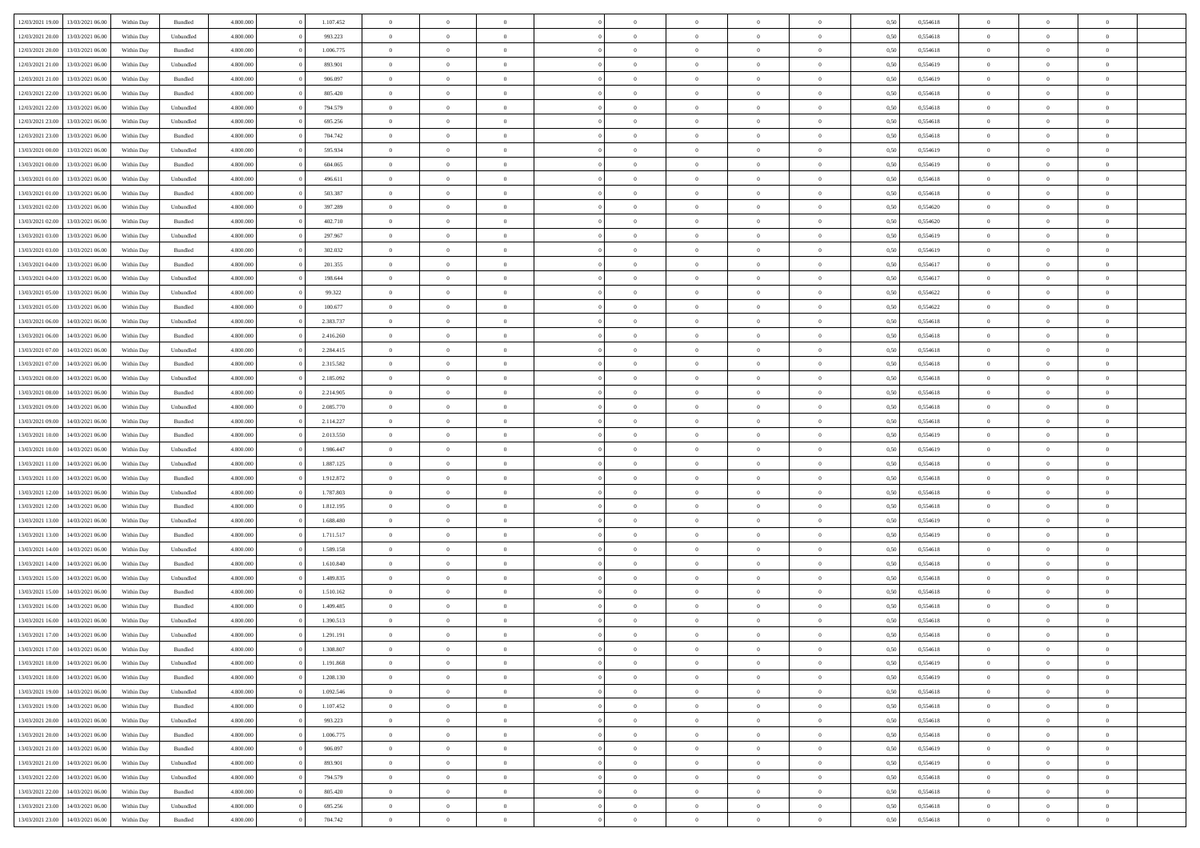| 12/03/2021 19:00                  | 13/03/2021 06:00 | Within Day | Bundled            | 4.800.000 | 1.107.452 | $\overline{0}$ | $\Omega$       |                | $\Omega$       | $\Omega$       | $\theta$       | $\theta$       | 0,50 | 0,554618 | $\theta$       | $\theta$       | $\theta$       |  |
|-----------------------------------|------------------|------------|--------------------|-----------|-----------|----------------|----------------|----------------|----------------|----------------|----------------|----------------|------|----------|----------------|----------------|----------------|--|
|                                   |                  |            |                    |           |           |                |                |                |                |                |                |                |      |          |                |                |                |  |
| 12/03/2021 20:00                  | 13/03/2021 06:00 | Within Day | Unbundled          | 4.800.000 | 993.223   | $\overline{0}$ | $\theta$       | $\overline{0}$ | $\overline{0}$ | $\bf{0}$       | $\overline{0}$ | $\bf{0}$       | 0,50 | 0,554618 | $\theta$       | $\theta$       | $\overline{0}$ |  |
| 12/03/2021 20:00                  | 13/03/2021 06:00 | Within Day | Bundled            | 4.800.000 | 1.006.775 | $\overline{0}$ | $\overline{0}$ | $\overline{0}$ | $\bf{0}$       | $\bf{0}$       | $\bf{0}$       | $\bf{0}$       | 0,50 | 0,554618 | $\overline{0}$ | $\overline{0}$ | $\overline{0}$ |  |
| 12/03/2021 21:00                  | 13/03/2021 06:00 | Within Dav | Unbundled          | 4.800.000 | 893.901   | $\overline{0}$ | $\overline{0}$ | $\overline{0}$ | $\overline{0}$ | $\bf{0}$       | $\overline{0}$ | $\overline{0}$ | 0.50 | 0.554619 | $\theta$       | $\theta$       | $\overline{0}$ |  |
| 12/03/2021 21:00                  | 13/03/2021 06:00 | Within Day | Bundled            | 4.800.000 | 906.097   | $\overline{0}$ | $\theta$       | $\overline{0}$ | $\overline{0}$ | $\bf{0}$       | $\overline{0}$ | $\bf{0}$       | 0,50 | 0,554619 | $\theta$       | $\theta$       | $\overline{0}$ |  |
|                                   |                  |            |                    |           |           |                |                |                |                |                |                |                |      |          |                |                |                |  |
| 12/03/2021 22:00                  | 13/03/2021 06:00 | Within Day | Bundled            | 4.800.000 | 805.420   | $\overline{0}$ | $\bf{0}$       | $\overline{0}$ | $\bf{0}$       | $\overline{0}$ | $\overline{0}$ | $\mathbf{0}$   | 0,50 | 0,554618 | $\overline{0}$ | $\overline{0}$ | $\bf{0}$       |  |
| 12/03/2021 22:00                  | 13/03/2021 06:00 | Within Dav | Unbundled          | 4.800.000 | 794.579   | $\overline{0}$ | $\overline{0}$ | $\overline{0}$ | $\overline{0}$ | $\overline{0}$ | $\overline{0}$ | $\overline{0}$ | 0.50 | 0,554618 | $\theta$       | $\overline{0}$ | $\overline{0}$ |  |
| 12/03/2021 23:00                  | 13/03/2021 06:00 | Within Day | Unbundled          | 4.800.000 | 695.256   | $\overline{0}$ | $\theta$       | $\overline{0}$ | $\overline{0}$ | $\bf{0}$       | $\overline{0}$ | $\bf{0}$       | 0,50 | 0,554618 | $\theta$       | $\theta$       | $\overline{0}$ |  |
| 12/03/2021 23:00                  | 13/03/2021 06:00 | Within Day | Bundled            | 4.800.000 | 704.742   | $\overline{0}$ | $\overline{0}$ | $\overline{0}$ | $\bf{0}$       | $\bf{0}$       | $\bf{0}$       | $\bf{0}$       | 0,50 | 0,554618 | $\,0\,$        | $\overline{0}$ | $\overline{0}$ |  |
| 13/03/2021 00:00                  | 13/03/2021 06:00 | Within Dav | Unbundled          | 4.800.000 | 595.934   | $\overline{0}$ | $\overline{0}$ | $\overline{0}$ | $\overline{0}$ | $\overline{0}$ | $\overline{0}$ | $\overline{0}$ | 0.50 | 0.554619 | $\theta$       | $\overline{0}$ | $\overline{0}$ |  |
| 13/03/2021 00:00                  | 13/03/2021 06:00 | Within Day | Bundled            | 4.800.000 | 604.065   | $\overline{0}$ | $\theta$       | $\overline{0}$ | $\overline{0}$ | $\bf{0}$       | $\overline{0}$ | $\bf{0}$       | 0,50 | 0,554619 | $\,$ 0 $\,$    | $\theta$       | $\overline{0}$ |  |
|                                   |                  |            |                    |           |           |                |                |                |                |                |                |                |      |          |                |                |                |  |
| 13/03/2021 01:00                  | 13/03/2021 06:00 | Within Day | Unbundled          | 4.800.000 | 496.611   | $\overline{0}$ | $\overline{0}$ | $\overline{0}$ | $\bf{0}$       | $\bf{0}$       | $\bf{0}$       | $\bf{0}$       | 0,50 | 0,554618 | $\overline{0}$ | $\overline{0}$ | $\overline{0}$ |  |
| 13/03/2021 01:00                  | 13/03/2021 06:00 | Within Day | Bundled            | 4.800.000 | 503.387   | $\overline{0}$ | $\overline{0}$ | $\overline{0}$ | $\overline{0}$ | $\bf{0}$       | $\overline{0}$ | $\overline{0}$ | 0.50 | 0.554618 | $\theta$       | $\theta$       | $\overline{0}$ |  |
| 13/03/2021 02:00                  | 13/03/2021 06:00 | Within Day | Unbundled          | 4.800.000 | 397.289   | $\overline{0}$ | $\theta$       | $\overline{0}$ | $\overline{0}$ | $\bf{0}$       | $\overline{0}$ | $\bf{0}$       | 0,50 | 0,554620 | $\theta$       | $\overline{0}$ | $\overline{0}$ |  |
| 13/03/2021 02:00                  | 13/03/2021 06:00 | Within Day | Bundled            | 4.800.000 | 402.710   | $\overline{0}$ | $\bf{0}$       | $\overline{0}$ | $\bf{0}$       | $\overline{0}$ | $\overline{0}$ | $\mathbf{0}$   | 0,50 | 0,554620 | $\overline{0}$ | $\overline{0}$ | $\bf{0}$       |  |
| 13/03/2021 03:00                  | 13/03/2021 06:00 | Within Dav | Unbundled          | 4.800.000 | 297.967   | $\overline{0}$ | $\overline{0}$ | $\overline{0}$ | $\overline{0}$ | $\overline{0}$ | $\overline{0}$ | $\overline{0}$ | 0.50 | 0.554619 | $\theta$       | $\overline{0}$ | $\overline{0}$ |  |
| 13/03/2021 03:00                  | 13/03/2021 06:00 | Within Day | Bundled            | 4.800.000 | 302.032   | $\overline{0}$ | $\theta$       | $\overline{0}$ | $\overline{0}$ | $\bf{0}$       | $\overline{0}$ | $\bf{0}$       | 0,50 | 0,554619 | $\theta$       | $\theta$       | $\overline{0}$ |  |
|                                   |                  |            |                    |           |           |                | $\overline{0}$ |                |                | $\bf{0}$       |                |                |      |          | $\,0\,$        | $\overline{0}$ | $\overline{0}$ |  |
| 13/03/2021 04:00                  | 13/03/2021 06:00 | Within Day | Bundled            | 4.800.000 | 201.355   | $\overline{0}$ |                | $\overline{0}$ | $\bf{0}$       |                | $\bf{0}$       | $\bf{0}$       | 0,50 | 0,554617 |                |                |                |  |
| 13/03/2021 04:00                  | 13/03/2021 06:00 | Within Day | Unbundled          | 4.800.000 | 198.644   | $\overline{0}$ | $\overline{0}$ | $\overline{0}$ | $\overline{0}$ | $\overline{0}$ | $\overline{0}$ | $\overline{0}$ | 0.50 | 0,554617 | $\theta$       | $\overline{0}$ | $\overline{0}$ |  |
| 13/03/2021 05:00                  | 13/03/2021 06:00 | Within Day | Unbundled          | 4.800.000 | 99.322    | $\overline{0}$ | $\theta$       | $\overline{0}$ | $\overline{0}$ | $\bf{0}$       | $\overline{0}$ | $\bf{0}$       | 0,50 | 0,554622 | $\,$ 0 $\,$    | $\theta$       | $\overline{0}$ |  |
| 13/03/2021 05:00                  | 13/03/2021 06:00 | Within Day | Bundled            | 4.800.000 | 100.677   | $\overline{0}$ | $\overline{0}$ | $\overline{0}$ | $\bf{0}$       | $\bf{0}$       | $\bf{0}$       | $\bf{0}$       | 0,50 | 0,554622 | $\,0\,$        | $\overline{0}$ | $\overline{0}$ |  |
| 13/03/2021 06:00                  | 14/03/2021 06:00 | Within Day | Unbundled          | 4.800.000 | 2.383.737 | $\overline{0}$ | $\overline{0}$ | $\overline{0}$ | $\overline{0}$ | $\bf{0}$       | $\overline{0}$ | $\overline{0}$ | 0.50 | 0.554618 | $\theta$       | $\theta$       | $\overline{0}$ |  |
| 13/03/2021 06:00                  | 14/03/2021 06:00 | Within Day | Bundled            | 4.800.000 | 2.416.260 | $\overline{0}$ | $\theta$       | $\overline{0}$ | $\overline{0}$ | $\bf{0}$       | $\overline{0}$ | $\bf{0}$       | 0,50 | 0,554618 | $\theta$       | $\overline{0}$ | $\overline{0}$ |  |
| 13/03/2021 07:00                  | 14/03/2021 06:00 | Within Day | Unbundled          | 4.800.000 | 2.284.415 | $\overline{0}$ | $\bf{0}$       | $\overline{0}$ | $\bf{0}$       | $\overline{0}$ | $\overline{0}$ | $\mathbf{0}$   | 0,50 | 0,554618 | $\overline{0}$ | $\overline{0}$ | $\bf{0}$       |  |
| 13/03/2021 07:00                  | 14/03/2021 06:00 | Within Dav | Bundled            | 4.800.000 | 2.315.582 | $\overline{0}$ | $\overline{0}$ | $\overline{0}$ | $\overline{0}$ | $\overline{0}$ | $\overline{0}$ | $\overline{0}$ | 0.50 | 0.554618 | $\theta$       | $\overline{0}$ | $\overline{0}$ |  |
|                                   |                  |            |                    |           |           |                |                |                |                |                |                |                |      |          |                |                |                |  |
| 13/03/2021 08:00                  | 14/03/2021 06:00 | Within Day | Unbundled          | 4.800.000 | 2.185.092 | $\overline{0}$ | $\theta$       | $\overline{0}$ | $\overline{0}$ | $\bf{0}$       | $\overline{0}$ | $\bf{0}$       | 0,50 | 0,554618 | $\theta$       | $\theta$       | $\overline{0}$ |  |
| 13/03/2021 08:00                  | 14/03/2021 06:00 | Within Day | Bundled            | 4.800.000 | 2.214.905 | $\overline{0}$ | $\overline{0}$ | $\overline{0}$ | $\bf{0}$       | $\bf{0}$       | $\bf{0}$       | $\bf{0}$       | 0,50 | 0,554618 | $\,0\,$        | $\overline{0}$ | $\overline{0}$ |  |
| 13/03/2021 09:00                  | 14/03/2021 06:00 | Within Day | Unbundled          | 4.800.000 | 2.085.770 | $\overline{0}$ | $\overline{0}$ | $\overline{0}$ | $\overline{0}$ | $\overline{0}$ | $\overline{0}$ | $\overline{0}$ | 0.50 | 0.554618 | $\theta$       | $\overline{0}$ | $\overline{0}$ |  |
| 13/03/2021 09:00                  | 14/03/2021 06:00 | Within Day | Bundled            | 4.800.000 | 2.114.227 | $\overline{0}$ | $\theta$       | $\overline{0}$ | $\overline{0}$ | $\bf{0}$       | $\overline{0}$ | $\bf{0}$       | 0,50 | 0,554618 | $\,$ 0 $\,$    | $\overline{0}$ | $\overline{0}$ |  |
| 13/03/2021 10:00                  | 14/03/2021 06:00 | Within Day | Bundled            | 4.800.000 | 2.013.550 | $\overline{0}$ | $\overline{0}$ | $\overline{0}$ | $\bf{0}$       | $\bf{0}$       | $\bf{0}$       | $\bf{0}$       | 0,50 | 0,554619 | $\bf{0}$       | $\overline{0}$ | $\overline{0}$ |  |
| 13/03/2021 10:00                  | 14/03/2021 06:00 | Within Day | Unbundled          | 4.800,000 | 1.986.447 | $\overline{0}$ | $\Omega$       | $\Omega$       | $\Omega$       | $\Omega$       | $\Omega$       | $\overline{0}$ | 0,50 | 0,554619 | $\,0\,$        | $\theta$       | $\theta$       |  |
|                                   |                  |            |                    |           |           | $\overline{0}$ | $\theta$       |                |                |                |                |                |      |          | $\theta$       |                |                |  |
| 13/03/2021 11:00                  | 14/03/2021 06:00 | Within Day | Unbundled          | 4.800.000 | 1.887.125 |                |                | $\overline{0}$ | $\overline{0}$ | $\bf{0}$       | $\overline{0}$ | $\bf{0}$       | 0,50 | 0,554618 |                | $\theta$       | $\overline{0}$ |  |
| 13/03/2021 11:00                  | 14/03/2021 06:00 | Within Day | Bundled            | 4.800.000 | 1.912.872 | $\overline{0}$ | $\overline{0}$ | $\overline{0}$ | $\bf{0}$       | $\bf{0}$       | $\overline{0}$ | $\mathbf{0}$   | 0,50 | 0,554618 | $\bf{0}$       | $\overline{0}$ | $\bf{0}$       |  |
| 13/03/2021 12:00                  | 14/03/2021 06:00 | Within Day | Unbundled          | 4.800,000 | 1.787.803 | $\overline{0}$ | $\Omega$       | $\Omega$       | $\Omega$       | $\bf{0}$       | $\overline{0}$ | $\overline{0}$ | 0.50 | 0.554618 | $\theta$       | $\theta$       | $\theta$       |  |
| 13/03/2021 12:00                  | 14/03/2021 06:00 | Within Day | Bundled            | 4.800.000 | 1.812.195 | $\overline{0}$ | $\theta$       | $\overline{0}$ | $\overline{0}$ | $\bf{0}$       | $\overline{0}$ | $\bf{0}$       | 0,50 | 0,554618 | $\theta$       | $\theta$       | $\overline{0}$ |  |
| 13/03/2021 13:00                  | 14/03/2021 06:00 | Within Day | Unbundled          | 4.800.000 | 1.688.480 | $\overline{0}$ | $\overline{0}$ | $\overline{0}$ | $\bf{0}$       | $\bf{0}$       | $\bf{0}$       | $\bf{0}$       | 0,50 | 0,554619 | $\,0\,$        | $\overline{0}$ | $\overline{0}$ |  |
| 13/03/2021 13:00                  | 14/03/2021 06:00 | Within Day | Bundled            | 4.800,000 | 1.711.517 | $\overline{0}$ | $\Omega$       | $\Omega$       | $\Omega$       | $\theta$       | $\theta$       | $\overline{0}$ | 0.50 | 0.554619 | $\theta$       | $\theta$       | $\theta$       |  |
| 13/03/2021 14:00                  | 14/03/2021 06:00 | Within Day | Unbundled          | 4.800.000 | 1.589.158 | $\overline{0}$ | $\theta$       | $\overline{0}$ | $\overline{0}$ | $\bf{0}$       | $\overline{0}$ | $\bf{0}$       | 0,50 | 0,554618 | $\,$ 0 $\,$    | $\overline{0}$ | $\overline{0}$ |  |
|                                   |                  |            |                    |           |           |                |                |                |                |                |                |                |      |          |                |                |                |  |
| 13/03/2021 14:00                  | 14/03/2021 06:00 | Within Day | Bundled            | 4.800.000 | 1.610.840 | $\overline{0}$ | $\overline{0}$ | $\overline{0}$ | $\bf{0}$       | $\bf{0}$       | $\bf{0}$       | $\bf{0}$       | 0,50 | 0,554618 | $\bf{0}$       | $\overline{0}$ | $\overline{0}$ |  |
| 13/03/2021 15:00                  | 14/03/2021 06:00 | Within Day | Unbundled          | 4.800,000 | 1.489.835 | $\overline{0}$ | $\Omega$       | $\overline{0}$ | $\Omega$       | $\Omega$       | $\overline{0}$ | $\overline{0}$ | 0,50 | 0,554618 | $\,0\,$        | $\theta$       | $\theta$       |  |
| 13/03/2021 15:00                  | 14/03/2021 06:00 | Within Day | Bundled            | 4.800.000 | 1.510.162 | $\overline{0}$ | $\theta$       | $\overline{0}$ | $\overline{0}$ | $\bf{0}$       | $\overline{0}$ | $\bf{0}$       | 0,50 | 0,554618 | $\,$ 0 $\,$    | $\overline{0}$ | $\overline{0}$ |  |
| 13/03/2021 16:00                  | 14/03/2021 06:00 | Within Day | Bundled            | 4.800.000 | 1.409.485 | $\overline{0}$ | $\overline{0}$ | $\overline{0}$ | $\bf{0}$       | $\bf{0}$       | $\bf{0}$       | $\mathbf{0}$   | 0,50 | 0,554618 | $\bf{0}$       | $\overline{0}$ | $\bf{0}$       |  |
| 13/03/2021 16:00                  | 14/03/2021 06:00 | Within Day | Unbundled          | 4.800,000 | 1.390.513 | $\overline{0}$ | $\Omega$       | $\Omega$       | $\Omega$       | $\Omega$       | $\Omega$       | $\overline{0}$ | 0.50 | 0.554618 | $\theta$       | $\theta$       | $\theta$       |  |
| 13/03/2021 17:00                  | 14/03/2021 06:00 | Within Day | Unbundled          | 4.800.000 | 1.291.191 | $\overline{0}$ | $\overline{0}$ | $\overline{0}$ | $\bf{0}$       | $\,$ 0         | $\bf{0}$       | $\bf{0}$       | 0,50 | 0,554618 | $\,0\,$        | $\overline{0}$ | $\overline{0}$ |  |
| 13/03/2021 17:00 14/03/2021 06:00 |                  | Within Day | $\mathbf B$ undled | 4.800.000 | 1.308.807 | $\bf{0}$       | $\bf{0}$       |                |                |                |                |                | 0,50 | 0,554618 | $\bf{0}$       | $\overline{0}$ |                |  |
|                                   |                  |            |                    |           |           |                |                |                |                |                |                |                |      |          |                |                |                |  |
| 13/03/2021 18:00                  | 14/03/2021 06:00 | Within Day | Unbundled          | 4.800.000 | 1.191.868 | $\overline{0}$ | $\overline{0}$ | $\overline{0}$ | $\Omega$       | $\overline{0}$ | $\overline{0}$ | $\overline{0}$ | 0,50 | 0.554619 | $\theta$       | $\theta$       | $\theta$       |  |
| 13/03/2021 18:00                  | 14/03/2021 06:00 | Within Day | Bundled            | 4.800.000 | 1.208.130 | $\overline{0}$ | $\,$ 0         | $\overline{0}$ | $\bf{0}$       | $\,$ 0 $\,$    | $\overline{0}$ | $\,$ 0 $\,$    | 0,50 | 0,554619 | $\,$ 0 $\,$    | $\,$ 0 $\,$    | $\,$ 0         |  |
| 13/03/2021 19:00                  | 14/03/2021 06:00 | Within Day | Unbundled          | 4.800.000 | 1.092.546 | $\overline{0}$ | $\overline{0}$ | $\overline{0}$ | $\overline{0}$ | $\overline{0}$ | $\overline{0}$ | $\mathbf{0}$   | 0,50 | 0,554618 | $\overline{0}$ | $\bf{0}$       | $\bf{0}$       |  |
| 13/03/2021 19:00                  | 14/03/2021 06:00 | Within Day | $\mathbf B$ undled | 4.800,000 | 1.107.452 | $\overline{0}$ | $\overline{0}$ | $\overline{0}$ | $\Omega$       | $\overline{0}$ | $\overline{0}$ | $\overline{0}$ | 0,50 | 0,554618 | $\overline{0}$ | $\,$ 0 $\,$    | $\overline{0}$ |  |
| 13/03/2021 20:00                  | 14/03/2021 06:00 | Within Day | Unbundled          | 4.800.000 | 993.223   | $\overline{0}$ | $\,$ 0         | $\overline{0}$ | $\bf{0}$       | $\,$ 0 $\,$    | $\overline{0}$ | $\mathbf{0}$   | 0,50 | 0,554618 | $\,$ 0 $\,$    | $\overline{0}$ | $\overline{0}$ |  |
| 13/03/2021 20:00                  | 14/03/2021 06:00 | Within Day | Bundled            | 4.800.000 | 1.006.775 | $\overline{0}$ | $\overline{0}$ | $\overline{0}$ | $\overline{0}$ | $\overline{0}$ | $\overline{0}$ | $\mathbf{0}$   | 0,50 | 0,554618 | $\overline{0}$ | $\overline{0}$ | $\bf{0}$       |  |
| 13/03/2021 21:00                  | 14/03/2021 06:00 | Within Day | Bundled            | 4.800,000 | 906,097   | $\overline{0}$ | $\overline{0}$ | $\overline{0}$ | $\overline{0}$ | $\overline{0}$ | $\overline{0}$ | $\bf{0}$       | 0.50 | 0,554619 | $\overline{0}$ | $\theta$       | $\overline{0}$ |  |
|                                   |                  |            |                    |           |           |                |                |                |                |                |                |                |      |          |                |                |                |  |
| 13/03/2021 21:00                  | 14/03/2021 06:00 | Within Day | Unbundled          | 4.800.000 | 893.901   | $\overline{0}$ | $\,$ 0         | $\overline{0}$ | $\bf{0}$       | $\bf{0}$       | $\bf{0}$       | $\bf{0}$       | 0,50 | 0,554619 | $\,$ 0 $\,$    | $\overline{0}$ | $\overline{0}$ |  |
| 13/03/2021 22:00                  | 14/03/2021 06:00 | Within Day | Unbundled          | 4.800.000 | 794.579   | $\overline{0}$ | $\bf{0}$       | $\overline{0}$ | $\overline{0}$ | $\overline{0}$ | $\overline{0}$ | $\mathbf{0}$   | 0,50 | 0,554618 | $\overline{0}$ | $\overline{0}$ | $\bf{0}$       |  |
| 13/03/2021 22:00                  | 14/03/2021 06:00 | Within Day | Bundled            | 4.800,000 | 805.420   | $\overline{0}$ | $\overline{0}$ | $\overline{0}$ | $\Omega$       | $\overline{0}$ | $\overline{0}$ | $\overline{0}$ | 0.50 | 0,554618 | $\overline{0}$ | $\overline{0}$ | $\overline{0}$ |  |
| 13/03/2021 23:00                  | 14/03/2021 06:00 | Within Day | Unbundled          | 4.800.000 | 695.256   | $\overline{0}$ | $\bf{0}$       | $\overline{0}$ | $\bf{0}$       | $\bf{0}$       | $\bf{0}$       | $\mathbf{0}$   | 0,50 | 0,554618 | $\,$ 0 $\,$    | $\,$ 0 $\,$    | $\bf{0}$       |  |
| 13/03/2021 23:00                  | 14/03/2021 06:00 | Within Day | Bundled            | 4.800.000 | 704.742   | $\overline{0}$ | $\overline{0}$ | $\overline{0}$ | $\overline{0}$ | $\overline{0}$ | $\bf{0}$       | $\mathbf{0}$   | 0,50 | 0,554618 | $\overline{0}$ | $\bf{0}$       | $\overline{0}$ |  |
|                                   |                  |            |                    |           |           |                |                |                |                |                |                |                |      |          |                |                |                |  |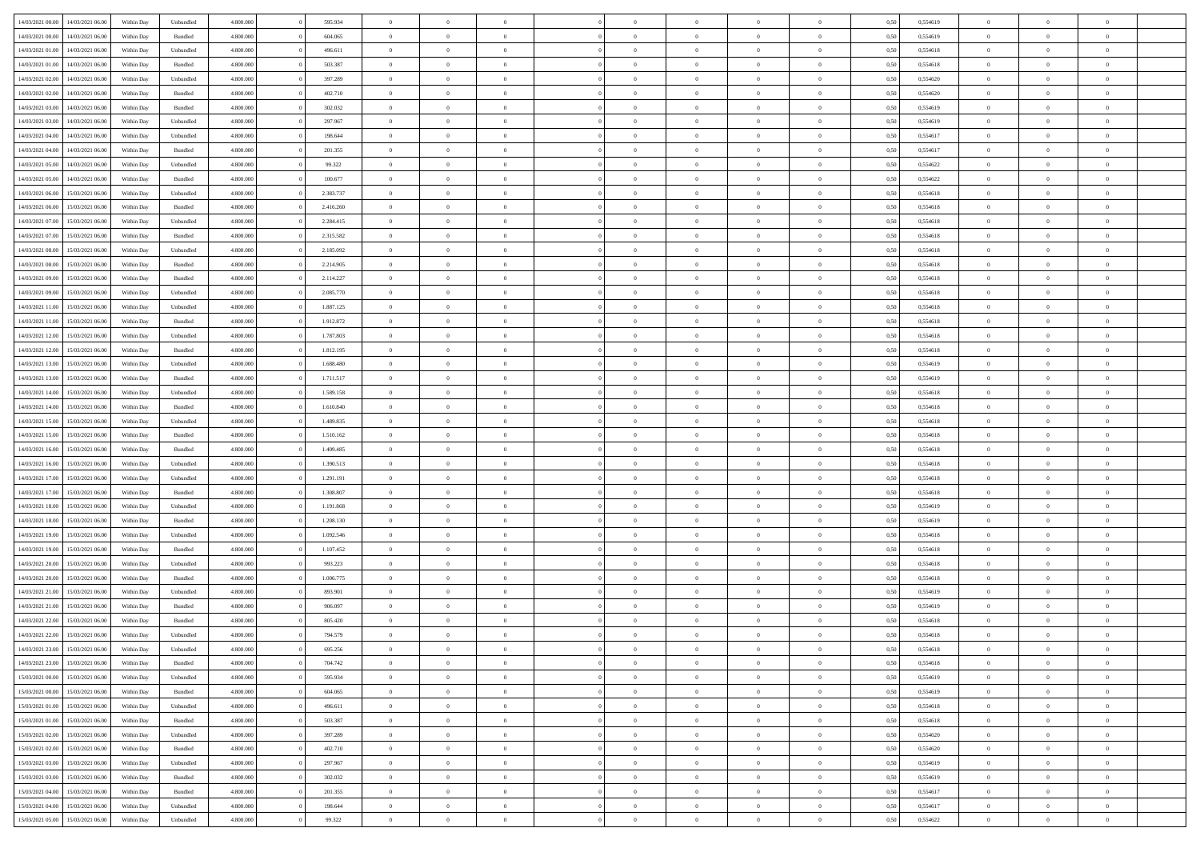|                  |                                   |            |           |           |           | $\overline{0}$ | $\Omega$       |                |                | $\Omega$       | $\theta$       | $\theta$       |      |          | $\theta$       |                | $\theta$       |  |
|------------------|-----------------------------------|------------|-----------|-----------|-----------|----------------|----------------|----------------|----------------|----------------|----------------|----------------|------|----------|----------------|----------------|----------------|--|
| 14/03/2021 00:00 | 14/03/2021 06:00                  | Within Dav | Unbundled | 4.800.000 | 595.934   |                |                |                | $\Omega$       |                |                |                | 0,50 | 0,554619 |                | $\theta$       |                |  |
| 14/03/2021 00:00 | 14/03/2021 06:00                  | Within Day | Bundled   | 4.800.000 | 604.065   | $\overline{0}$ | $\theta$       | $\overline{0}$ | $\overline{0}$ | $\bf{0}$       | $\overline{0}$ | $\overline{0}$ | 0,50 | 0,554619 | $\theta$       | $\overline{0}$ | $\overline{0}$ |  |
| 14/03/2021 01:00 | 14/03/2021 06:00                  | Within Day | Unbundled | 4.800.000 | 496.611   | $\overline{0}$ | $\overline{0}$ | $\overline{0}$ | $\bf{0}$       | $\bf{0}$       | $\bf{0}$       | $\bf{0}$       | 0,50 | 0,554618 | $\overline{0}$ | $\overline{0}$ | $\overline{0}$ |  |
| 14/03/2021 01:00 | 14/03/2021 06:00                  | Within Dav | Bundled   | 4.800.000 | 503.387   | $\overline{0}$ | $\overline{0}$ | $\overline{0}$ | $\overline{0}$ | $\bf{0}$       | $\overline{0}$ | $\overline{0}$ | 0.50 | 0.554618 | $\theta$       | $\theta$       | $\overline{0}$ |  |
|                  |                                   |            |           |           |           |                |                |                |                |                |                |                |      |          |                |                |                |  |
| 14/03/2021 02:00 | 14/03/2021 06:00                  | Within Day | Unbundled | 4.800.000 | 397.289   | $\overline{0}$ | $\theta$       | $\overline{0}$ | $\overline{0}$ | $\bf{0}$       | $\overline{0}$ | $\bf{0}$       | 0,50 | 0,554620 | $\theta$       | $\theta$       | $\overline{0}$ |  |
| 14/03/2021 02:00 | 14/03/2021 06:00                  | Within Day | Bundled   | 4.800.000 | 402.710   | $\overline{0}$ | $\bf{0}$       | $\overline{0}$ | $\bf{0}$       | $\overline{0}$ | $\overline{0}$ | $\mathbf{0}$   | 0,50 | 0,554620 | $\overline{0}$ | $\overline{0}$ | $\bf{0}$       |  |
| 14/03/2021 03:00 | 14/03/2021 06:00                  | Within Dav | Bundled   | 4.800.000 | 302.032   | $\overline{0}$ | $\overline{0}$ | $\overline{0}$ | $\overline{0}$ | $\overline{0}$ | $\overline{0}$ | $\overline{0}$ | 0.50 | 0,554619 | $\theta$       | $\overline{0}$ | $\overline{0}$ |  |
| 14/03/2021 03:00 | 14/03/2021 06:00                  | Within Day | Unbundled | 4.800.000 | 297.967   | $\overline{0}$ | $\theta$       | $\overline{0}$ | $\overline{0}$ | $\bf{0}$       | $\overline{0}$ | $\bf{0}$       | 0,50 | 0,554619 | $\theta$       | $\theta$       | $\overline{0}$ |  |
| 14/03/2021 04:00 | 14/03/2021 06:00                  | Within Day | Unbundled | 4.800.000 | 198.644   | $\overline{0}$ | $\overline{0}$ | $\overline{0}$ | $\bf{0}$       | $\bf{0}$       | $\bf{0}$       | $\bf{0}$       | 0,50 | 0,554617 | $\,0\,$        | $\overline{0}$ | $\overline{0}$ |  |
| 14/03/2021 04:00 | 14/03/2021 06:00                  | Within Dav | Bundled   | 4.800.000 | 201.355   | $\overline{0}$ | $\overline{0}$ | $\overline{0}$ | $\overline{0}$ | $\overline{0}$ | $\overline{0}$ | $\overline{0}$ | 0.50 | 0,554617 | $\theta$       | $\overline{0}$ | $\overline{0}$ |  |
|                  |                                   |            |           |           |           |                |                |                |                |                |                |                |      |          |                |                |                |  |
| 14/03/2021 05:00 | 14/03/2021 06:00                  | Within Day | Unbundled | 4.800.000 | 99.322    | $\overline{0}$ | $\theta$       | $\overline{0}$ | $\overline{0}$ | $\bf{0}$       | $\overline{0}$ | $\bf{0}$       | 0,50 | 0,554622 | $\,$ 0 $\,$    | $\overline{0}$ | $\overline{0}$ |  |
| 14/03/2021 05:00 | 14/03/2021 06:00                  | Within Day | Bundled   | 4.800.000 | 100.677   | $\overline{0}$ | $\overline{0}$ | $\overline{0}$ | $\bf{0}$       | $\bf{0}$       | $\bf{0}$       | $\bf{0}$       | 0,50 | 0,554622 | $\bf{0}$       | $\overline{0}$ | $\overline{0}$ |  |
| 14/03/2021 06:00 | 15/03/2021 06:00                  | Within Day | Unbundled | 4.800.000 | 2.383.737 | $\overline{0}$ | $\overline{0}$ | $\overline{0}$ | $\overline{0}$ | $\bf{0}$       | $\overline{0}$ | $\overline{0}$ | 0.50 | 0.554618 | $\theta$       | $\theta$       | $\overline{0}$ |  |
| 14/03/2021 06:00 | 15/03/2021 06:00                  | Within Day | Bundled   | 4.800.000 | 2.416.260 | $\overline{0}$ | $\theta$       | $\overline{0}$ | $\overline{0}$ | $\bf{0}$       | $\overline{0}$ | $\overline{0}$ | 0,50 | 0,554618 | $\theta$       | $\overline{0}$ | $\overline{0}$ |  |
| 14/03/2021 07:00 | 15/03/2021 06:00                  | Within Day | Unbundled | 4.800.000 | 2.284.415 | $\overline{0}$ | $\overline{0}$ | $\overline{0}$ | $\bf{0}$       | $\overline{0}$ | $\overline{0}$ | $\mathbf{0}$   | 0,50 | 0,554618 | $\bf{0}$       | $\overline{0}$ | $\bf{0}$       |  |
|                  |                                   |            |           |           |           |                |                |                |                |                |                |                |      |          |                |                |                |  |
| 14/03/2021 07:00 | 15/03/2021 06:00                  | Within Dav | Bundled   | 4.800.000 | 2.315.582 | $\overline{0}$ | $\overline{0}$ | $\overline{0}$ | $\overline{0}$ | $\overline{0}$ | $\overline{0}$ | $\overline{0}$ | 0.50 | 0.554618 | $\theta$       | $\overline{0}$ | $\overline{0}$ |  |
| 14/03/2021 08:00 | 15/03/2021 06:00                  | Within Day | Unbundled | 4.800.000 | 2.185.092 | $\overline{0}$ | $\theta$       | $\overline{0}$ | $\overline{0}$ | $\bf{0}$       | $\overline{0}$ | $\bf{0}$       | 0,50 | 0,554618 | $\theta$       | $\theta$       | $\overline{0}$ |  |
| 14/03/2021 08:00 | 15/03/2021 06:00                  | Within Day | Bundled   | 4.800.000 | 2.214.905 | $\overline{0}$ | $\overline{0}$ | $\overline{0}$ | $\bf{0}$       | $\bf{0}$       | $\bf{0}$       | $\bf{0}$       | 0,50 | 0,554618 | $\,0\,$        | $\overline{0}$ | $\overline{0}$ |  |
| 14/03/2021 09:00 | 15/03/2021 06:00                  | Within Day | Bundled   | 4.800.000 | 2.114.227 | $\overline{0}$ | $\overline{0}$ | $\overline{0}$ | $\overline{0}$ | $\overline{0}$ | $\overline{0}$ | $\overline{0}$ | 0.50 | 0,554618 | $\theta$       | $\overline{0}$ | $\overline{0}$ |  |
| 14/03/2021 09:00 | 15/03/2021 06:00                  | Within Day | Unbundled | 4.800.000 | 2.085.770 | $\overline{0}$ | $\theta$       | $\overline{0}$ | $\overline{0}$ | $\bf{0}$       | $\overline{0}$ | $\bf{0}$       | 0,50 | 0,554618 | $\,$ 0 $\,$    | $\theta$       | $\overline{0}$ |  |
| 14/03/2021 11:00 | 15/03/2021 06:00                  | Within Day | Unbundled | 4.800.000 | 1.887.125 | $\overline{0}$ | $\overline{0}$ | $\overline{0}$ | $\bf{0}$       | $\bf{0}$       | $\bf{0}$       | $\bf{0}$       | 0,50 | 0,554618 | $\bf{0}$       | $\overline{0}$ | $\overline{0}$ |  |
|                  |                                   |            |           |           |           |                |                |                |                |                |                |                |      |          | $\theta$       |                |                |  |
| 14/03/2021 11:00 | 15/03/2021 06:00                  | Within Day | Bundled   | 4.800.000 | 1.912.872 | $\overline{0}$ | $\overline{0}$ | $\overline{0}$ | $\overline{0}$ | $\bf{0}$       | $\overline{0}$ | $\overline{0}$ | 0.50 | 0.554618 |                | $\theta$       | $\overline{0}$ |  |
| 14/03/2021 12:00 | 15/03/2021 06:00                  | Within Day | Unbundled | 4.800.000 | 1.787.803 | $\overline{0}$ | $\theta$       | $\overline{0}$ | $\overline{0}$ | $\bf{0}$       | $\overline{0}$ | $\bf{0}$       | 0,50 | 0,554618 | $\,$ 0 $\,$    | $\overline{0}$ | $\overline{0}$ |  |
| 14/03/2021 12:00 | 15/03/2021 06:00                  | Within Day | Bundled   | 4.800.000 | 1.812.195 | $\overline{0}$ | $\bf{0}$       | $\overline{0}$ | $\bf{0}$       | $\overline{0}$ | $\overline{0}$ | $\mathbf{0}$   | 0,50 | 0,554618 | $\bf{0}$       | $\overline{0}$ | $\bf{0}$       |  |
| 14/03/2021 13:00 | 15/03/2021 06:00                  | Within Dav | Unbundled | 4.800.000 | 1.688.480 | $\overline{0}$ | $\overline{0}$ | $\overline{0}$ | $\overline{0}$ | $\overline{0}$ | $\overline{0}$ | $\overline{0}$ | 0.50 | 0,554619 | $\theta$       | $\overline{0}$ | $\overline{0}$ |  |
| 14/03/2021 13:00 | 15/03/2021 06:00                  | Within Day | Bundled   | 4.800.000 | 1.711.517 | $\overline{0}$ | $\theta$       | $\overline{0}$ | $\overline{0}$ | $\bf{0}$       | $\overline{0}$ | $\bf{0}$       | 0,50 | 0,554619 | $\theta$       | $\theta$       | $\overline{0}$ |  |
| 14/03/2021 14:00 | 15/03/2021 06:00                  | Within Day | Unbundled | 4.800.000 | 1.589.158 | $\overline{0}$ | $\overline{0}$ | $\overline{0}$ | $\bf{0}$       | $\bf{0}$       | $\bf{0}$       | $\bf{0}$       | 0,50 | 0,554618 | $\,0\,$        | $\overline{0}$ | $\overline{0}$ |  |
| 14/03/2021 14:00 | 15/03/2021 06:00                  |            | Bundled   | 4.800.000 | 1.610.840 | $\overline{0}$ | $\overline{0}$ | $\overline{0}$ | $\overline{0}$ | $\overline{0}$ | $\overline{0}$ | $\overline{0}$ | 0.50 | 0.554618 | $\theta$       | $\overline{0}$ | $\overline{0}$ |  |
|                  |                                   | Within Day |           |           |           |                |                |                |                |                |                |                |      |          |                |                |                |  |
| 14/03/2021 15:00 | 15/03/2021 06:00                  | Within Day | Unbundled | 4.800.000 | 1.489.835 | $\overline{0}$ | $\theta$       | $\overline{0}$ | $\overline{0}$ | $\bf{0}$       | $\overline{0}$ | $\bf{0}$       | 0,50 | 0,554618 | $\,$ 0 $\,$    | $\overline{0}$ | $\overline{0}$ |  |
| 14/03/2021 15:00 | 15/03/2021 06:00                  | Within Day | Bundled   | 4.800.000 | 1.510.162 | $\overline{0}$ | $\overline{0}$ | $\overline{0}$ | $\bf{0}$       | $\bf{0}$       | $\bf{0}$       | $\bf{0}$       | 0,50 | 0,554618 | $\overline{0}$ | $\overline{0}$ | $\overline{0}$ |  |
| 14/03/2021 16:00 | 15/03/2021 06:00                  | Within Day | Bundled   | 4.800,000 | 1.409.485 | $\overline{0}$ | $\Omega$       | $\Omega$       | $\Omega$       | $\Omega$       | $\Omega$       | $\overline{0}$ | 0,50 | 0,554618 | $\,0\,$        | $\theta$       | $\theta$       |  |
| 14/03/2021 16:00 | 15/03/2021 06:00                  | Within Day | Unbundled | 4.800.000 | 1.390.513 | $\overline{0}$ | $\theta$       | $\overline{0}$ | $\overline{0}$ | $\bf{0}$       | $\overline{0}$ | $\bf{0}$       | 0,50 | 0,554618 | $\theta$       | $\theta$       | $\overline{0}$ |  |
| 14/03/2021 17:00 | 15/03/2021 06:00                  | Within Day | Unbundled | 4.800.000 | 1.291.191 | $\overline{0}$ | $\overline{0}$ | $\overline{0}$ | $\bf{0}$       | $\bf{0}$       | $\overline{0}$ | $\mathbf{0}$   | 0,50 | 0,554618 | $\overline{0}$ | $\overline{0}$ | $\bf{0}$       |  |
| 14/03/2021 17:00 | 15/03/2021 06:00                  | Within Day | Bundled   | 4.800,000 | 1.308.807 | $\overline{0}$ | $\Omega$       | $\Omega$       | $\Omega$       | $\bf{0}$       | $\overline{0}$ | $\overline{0}$ | 0.50 | 0.554618 | $\theta$       | $\theta$       | $\theta$       |  |
|                  |                                   |            |           |           |           |                |                |                |                |                |                |                |      |          |                |                |                |  |
| 14/03/2021 18:00 | 15/03/2021 06:00                  | Within Day | Unbundled | 4.800.000 | 1.191.868 | $\overline{0}$ | $\theta$       | $\overline{0}$ | $\overline{0}$ | $\bf{0}$       | $\overline{0}$ | $\bf{0}$       | 0,50 | 0,554619 | $\,$ 0 $\,$    | $\theta$       | $\overline{0}$ |  |
| 14/03/2021 18:00 | 15/03/2021 06:00                  | Within Day | Bundled   | 4.800.000 | 1.208.130 | $\overline{0}$ | $\overline{0}$ | $\overline{0}$ | $\bf{0}$       | $\bf{0}$       | $\bf{0}$       | $\bf{0}$       | 0,50 | 0,554619 | $\bf{0}$       | $\overline{0}$ | $\overline{0}$ |  |
| 14/03/2021 19:00 | 15/03/2021 06:00                  | Within Day | Unbundled | 4.800,000 | 1.092.546 | $\overline{0}$ | $\Omega$       | $\Omega$       | $\Omega$       | $\theta$       | $\theta$       | $\overline{0}$ | 0.50 | 0.554618 | $\theta$       | $\theta$       | $\theta$       |  |
| 14/03/2021 19:00 | 15/03/2021 06:00                  | Within Day | Bundled   | 4.800.000 | 1.107.452 | $\overline{0}$ | $\theta$       | $\overline{0}$ | $\overline{0}$ | $\bf{0}$       | $\overline{0}$ | $\bf{0}$       | 0,50 | 0,554618 | $\,$ 0 $\,$    | $\overline{0}$ | $\overline{0}$ |  |
| 14/03/2021 20:00 | 15/03/2021 06:00                  | Within Day | Unbundled | 4.800.000 | 993.223   | $\overline{0}$ | $\overline{0}$ | $\overline{0}$ | $\bf{0}$       | $\bf{0}$       | $\bf{0}$       | $\bf{0}$       | 0,50 | 0,554618 | $\bf{0}$       | $\overline{0}$ | $\overline{0}$ |  |
| 14/03/2021 20:00 | 15/03/2021 06:00                  | Within Day |           | 4.800,000 | 1.006.775 | $\overline{0}$ | $\Omega$       | $\Omega$       | $\Omega$       | $\Omega$       | $\overline{0}$ | $\overline{0}$ | 0,50 | 0,554618 | $\,0\,$        | $\theta$       | $\theta$       |  |
|                  |                                   |            | Bundled   |           |           |                | $\theta$       |                |                |                |                |                |      |          |                |                |                |  |
| 14/03/2021 21:00 | 15/03/2021 06:00                  | Within Day | Unbundled | 4.800.000 | 893.901   | $\overline{0}$ |                | $\overline{0}$ | $\overline{0}$ | $\bf{0}$       | $\overline{0}$ | $\bf{0}$       | 0,50 | 0,554619 | $\,$ 0 $\,$    | $\overline{0}$ | $\overline{0}$ |  |
| 14/03/2021 21.00 | 15/03/2021 06:00                  | Within Day | Bundled   | 4.800.000 | 906.097   | $\overline{0}$ | $\overline{0}$ | $\overline{0}$ | $\bf{0}$       | $\bf{0}$       | $\bf{0}$       | $\mathbf{0}$   | 0,50 | 0,554619 | $\bf{0}$       | $\overline{0}$ | $\bf{0}$       |  |
| 14/03/2021 22.00 | 15/03/2021 06:00                  | Within Day | Bundled   | 4.800,000 | 805.420   | $\overline{0}$ | $\Omega$       | $\Omega$       | $\Omega$       | $\Omega$       | $\Omega$       | $\overline{0}$ | 0.50 | 0.554618 | $\theta$       | $\theta$       | $\theta$       |  |
| 14/03/2021 22.00 | 15/03/2021 06:00                  | Within Day | Unbundled | 4.800.000 | 794.579   | $\overline{0}$ | $\overline{0}$ | $\overline{0}$ | $\bf{0}$       | $\,$ 0         | $\bf{0}$       | $\bf{0}$       | 0,50 | 0,554618 | $\,0\,$        | $\overline{0}$ | $\overline{0}$ |  |
| 14/03/2021 23:00 | 15/03/2021 06:00                  | Within Day | Unbundled | 4.800.000 | 695.256   | $\bf{0}$       | $\bf{0}$       |                |                |                |                |                | 0,50 | 0,554618 | $\bf{0}$       | $\overline{0}$ |                |  |
| 14/03/2021 23:00 | 15/03/2021 06:00                  | Within Day | Bundled   | 4.800.000 | 704.742   | $\overline{0}$ | $\overline{0}$ | $\overline{0}$ | $\Omega$       | $\overline{0}$ | $\overline{0}$ | $\overline{0}$ | 0,50 | 0.554618 | $\theta$       | $\theta$       | $\theta$       |  |
|                  |                                   |            |           |           |           |                | $\bf{0}$       |                |                | $\,$ 0 $\,$    |                |                |      |          | $\,$ 0 $\,$    | $\,$ 0 $\,$    | $\,$ 0         |  |
| 15/03/2021 00:00 | 15/03/2021 06:00                  | Within Day | Unbundled | 4.800.000 | 595.934   | $\overline{0}$ |                | $\overline{0}$ | $\bf{0}$       |                | $\overline{0}$ | $\,$ 0 $\,$    | 0,50 | 0,554619 |                |                |                |  |
| 15/03/2021 00:00 | 15/03/2021 06:00                  | Within Day | Bundled   | 4.800.000 | 604.065   | $\overline{0}$ | $\overline{0}$ | $\overline{0}$ | $\overline{0}$ | $\overline{0}$ | $\overline{0}$ | $\mathbf{0}$   | 0,50 | 0,554619 | $\overline{0}$ | $\overline{0}$ | $\overline{0}$ |  |
| 15/03/2021 01:00 | 15/03/2021 06:00                  | Within Day | Unbundled | 4.800,000 | 496.611   | $\overline{0}$ | $\overline{0}$ | $\overline{0}$ | $\Omega$       | $\overline{0}$ | $\overline{0}$ | $\overline{0}$ | 0,50 | 0,554618 | $\overline{0}$ | $\overline{0}$ | $\overline{0}$ |  |
| 15/03/2021 01:00 | 15/03/2021 06:00                  | Within Day | Bundled   | 4.800.000 | 503.387   | $\overline{0}$ | $\,$ 0         | $\overline{0}$ | $\bf{0}$       | $\,$ 0 $\,$    | $\overline{0}$ | $\mathbf{0}$   | 0,50 | 0,554618 | $\,$ 0 $\,$    | $\overline{0}$ | $\,$ 0         |  |
| 15/03/2021 02:00 | 15/03/2021 06:00                  | Within Day | Unbundled | 4.800.000 | 397.289   | $\overline{0}$ | $\overline{0}$ | $\overline{0}$ | $\overline{0}$ | $\overline{0}$ | $\overline{0}$ | $\mathbf{0}$   | 0,50 | 0,554620 | $\overline{0}$ | $\overline{0}$ | $\overline{0}$ |  |
| 15/03/2021 02:00 | 15/03/2021 06:00                  | Within Day | Bundled   | 4.800.000 | 402.710   | $\overline{0}$ | $\overline{0}$ | $\overline{0}$ | $\overline{0}$ | $\overline{0}$ | $\overline{0}$ | $\bf{0}$       | 0.50 | 0,554620 | $\overline{0}$ | $\theta$       | $\overline{0}$ |  |
| 15/03/2021 03:00 | 15/03/2021 06:00                  | Within Day | Unbundled | 4.800.000 | 297.967   | $\overline{0}$ | $\,$ 0         | $\overline{0}$ | $\bf{0}$       | $\bf{0}$       | $\bf{0}$       | $\bf{0}$       | 0,50 | 0,554619 | $\,$ 0 $\,$    | $\overline{0}$ | $\overline{0}$ |  |
|                  |                                   |            |           |           |           |                |                |                |                |                |                |                |      |          |                |                |                |  |
| 15/03/2021 03:00 | 15/03/2021 06:00                  | Within Day | Bundled   | 4.800.000 | 302.032   | $\overline{0}$ | $\overline{0}$ | $\overline{0}$ | $\overline{0}$ | $\overline{0}$ | $\overline{0}$ | $\mathbf{0}$   | 0,50 | 0,554619 | $\overline{0}$ | $\overline{0}$ | $\bf{0}$       |  |
| 15/03/2021 04:00 | 15/03/2021 06:00                  | Within Day | Bundled   | 4.800,000 | 201.355   | $\overline{0}$ | $\overline{0}$ | $\overline{0}$ | $\Omega$       | $\overline{0}$ | $\overline{0}$ | $\overline{0}$ | 0.50 | 0,554617 | $\overline{0}$ | $\overline{0}$ | $\overline{0}$ |  |
| 15/03/2021 04:00 | 15/03/2021 06:00                  | Within Day | Unbundled | 4.800.000 | 198.644   | $\overline{0}$ | $\bf{0}$       | $\overline{0}$ | $\bf{0}$       | $\bf{0}$       | $\bf{0}$       | $\mathbf{0}$   | 0,50 | 0,554617 | $\,$ 0 $\,$    | $\,$ 0 $\,$    | $\bf{0}$       |  |
|                  | 15/03/2021 05:00 15/03/2021 06:00 | Within Day | Unbundled | 4.800.000 | 99.322    | $\overline{0}$ | $\overline{0}$ | $\overline{0}$ | $\overline{0}$ | $\overline{0}$ | $\bf{0}$       | $\mathbf{0}$   | 0,50 | 0,554622 | $\overline{0}$ | $\bf{0}$       | $\overline{0}$ |  |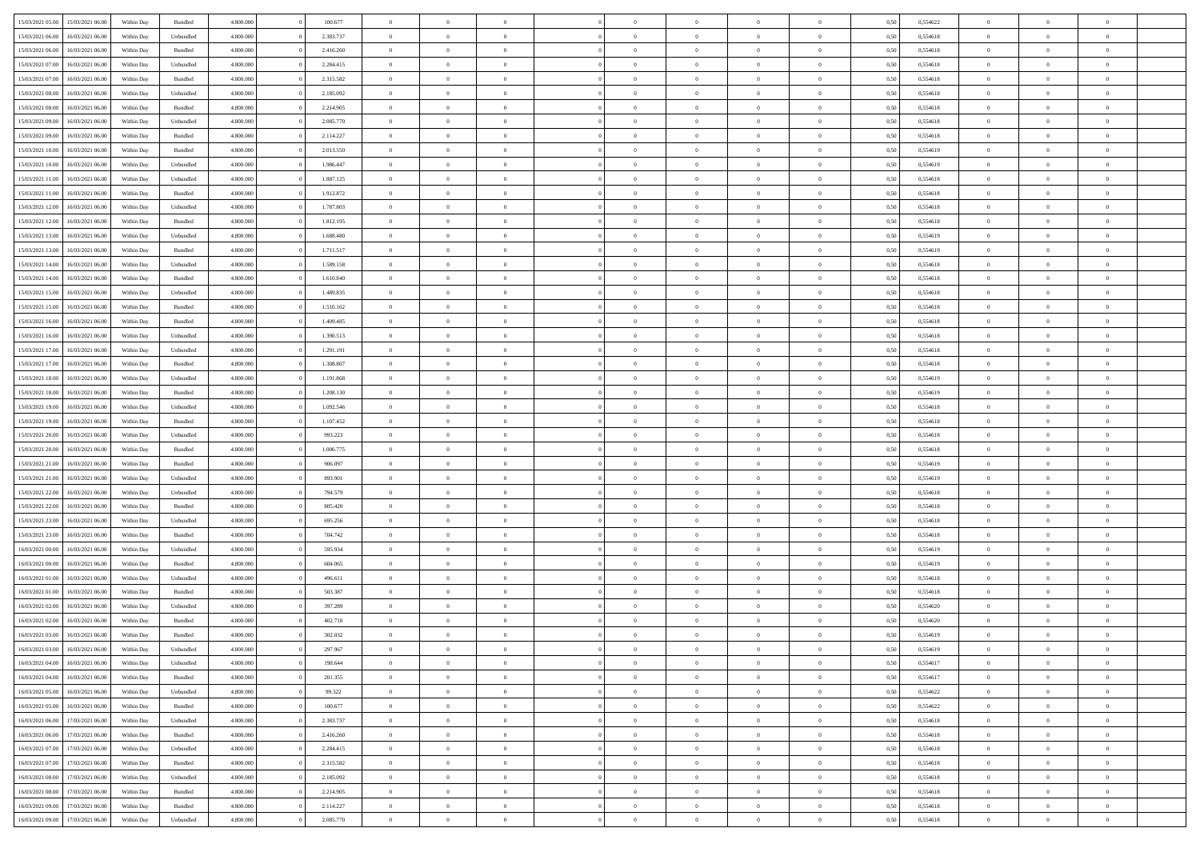| 15/03/2021 05:00                  | 15/03/2021 06:00 | Within Day | Bundled   | 4.800.000 | 100.677   | $\overline{0}$ | $\Omega$       |                | $\Omega$       | $\Omega$       | $\theta$       | $\theta$       | 0,50 | 0,554622 | $\theta$       | $\theta$       | $\overline{0}$ |  |
|-----------------------------------|------------------|------------|-----------|-----------|-----------|----------------|----------------|----------------|----------------|----------------|----------------|----------------|------|----------|----------------|----------------|----------------|--|
|                                   |                  |            |           |           |           |                |                |                |                |                |                |                |      |          |                |                |                |  |
| 15/03/2021 06:00                  | 16/03/2021 06:00 | Within Day | Unbundled | 4.800.000 | 2.383.737 | $\overline{0}$ | $\theta$       | $\overline{0}$ | $\overline{0}$ | $\bf{0}$       | $\overline{0}$ | $\bf{0}$       | 0,50 | 0,554618 | $\theta$       | $\overline{0}$ | $\overline{0}$ |  |
| 15/03/2021 06:00                  | 16/03/2021 06:00 | Within Day | Bundled   | 4.800.000 | 2.416.260 | $\overline{0}$ | $\bf{0}$       | $\overline{0}$ | $\bf{0}$       | $\bf{0}$       | $\bf{0}$       | $\bf{0}$       | 0,50 | 0,554618 | $\bf{0}$       | $\overline{0}$ | $\overline{0}$ |  |
| 15/03/2021 07:00                  | 16/03/2021 06:00 | Within Dav | Unbundled | 4.800.000 | 2.284.415 | $\overline{0}$ | $\overline{0}$ | $\overline{0}$ | $\overline{0}$ | $\bf{0}$       | $\overline{0}$ | $\overline{0}$ | 0.50 | 0.554618 | $\theta$       | $\theta$       | $\overline{0}$ |  |
| 15/03/2021 07:00                  | 16/03/2021 06:00 | Within Day | Bundled   | 4.800.000 | 2.315.582 | $\overline{0}$ | $\theta$       | $\overline{0}$ | $\overline{0}$ | $\bf{0}$       | $\overline{0}$ | $\bf{0}$       | 0,50 | 0,554618 | $\theta$       | $\overline{0}$ | $\overline{0}$ |  |
|                                   |                  |            |           |           |           |                |                |                |                |                |                |                |      |          |                |                |                |  |
| 15/03/2021 08:00                  | 16/03/2021 06:00 | Within Day | Unbundled | 4.800.000 | 2.185.092 | $\overline{0}$ | $\overline{0}$ | $\overline{0}$ | $\bf{0}$       | $\overline{0}$ | $\overline{0}$ | $\mathbf{0}$   | 0,50 | 0,554618 | $\overline{0}$ | $\overline{0}$ | $\bf{0}$       |  |
| 15/03/2021 08:00                  | 16/03/2021 06:00 | Within Dav | Bundled   | 4.800.000 | 2.214.905 | $\overline{0}$ | $\overline{0}$ | $\overline{0}$ | $\overline{0}$ | $\overline{0}$ | $\overline{0}$ | $\overline{0}$ | 0.50 | 0,554618 | $\theta$       | $\overline{0}$ | $\overline{0}$ |  |
| 15/03/2021 09:00                  | 16/03/2021 06:00 | Within Day | Unbundled | 4.800.000 | 2.085.770 | $\overline{0}$ | $\theta$       | $\overline{0}$ | $\overline{0}$ | $\bf{0}$       | $\overline{0}$ | $\bf{0}$       | 0,50 | 0,554618 | $\theta$       | $\theta$       | $\overline{0}$ |  |
| 15/03/2021 09:00                  | 16/03/2021 06:00 | Within Day | Bundled   | 4.800.000 | 2.114.227 | $\overline{0}$ | $\overline{0}$ | $\overline{0}$ | $\bf{0}$       | $\bf{0}$       | $\bf{0}$       | $\bf{0}$       | 0,50 | 0,554618 | $\,0\,$        | $\overline{0}$ | $\overline{0}$ |  |
| 15/03/2021 10:00                  | 16/03/2021 06:00 | Within Dav | Bundled   | 4.800.000 | 2.013.550 | $\overline{0}$ | $\overline{0}$ | $\overline{0}$ | $\overline{0}$ | $\overline{0}$ | $\overline{0}$ | $\overline{0}$ | 0.50 | 0.554619 | $\theta$       | $\overline{0}$ | $\overline{0}$ |  |
| 15/03/2021 10:00                  | 16/03/2021 06:00 | Within Day | Unbundled | 4.800.000 | 1.986.447 | $\overline{0}$ | $\theta$       | $\overline{0}$ | $\overline{0}$ | $\bf{0}$       | $\overline{0}$ | $\bf{0}$       | 0,50 | 0,554619 | $\,$ 0 $\,$    | $\overline{0}$ | $\overline{0}$ |  |
|                                   |                  |            |           |           |           |                |                |                |                |                |                |                |      |          |                |                |                |  |
| 15/03/2021 11:00                  | 16/03/2021 06:00 | Within Day | Unbundled | 4.800.000 | 1.887.125 | $\overline{0}$ | $\overline{0}$ | $\overline{0}$ | $\bf{0}$       | $\bf{0}$       | $\bf{0}$       | $\bf{0}$       | 0,50 | 0,554618 | $\overline{0}$ | $\overline{0}$ | $\bf{0}$       |  |
| 15/03/2021 11:00                  | 16/03/2021 06:00 | Within Day | Bundled   | 4.800.000 | 1.912.872 | $\overline{0}$ | $\overline{0}$ | $\overline{0}$ | $\overline{0}$ | $\bf{0}$       | $\overline{0}$ | $\overline{0}$ | 0.50 | 0.554618 | $\theta$       | $\theta$       | $\overline{0}$ |  |
| 15/03/2021 12:00                  | 16/03/2021 06:00 | Within Day | Unbundled | 4.800.000 | 1.787.803 | $\overline{0}$ | $\theta$       | $\overline{0}$ | $\overline{0}$ | $\bf{0}$       | $\overline{0}$ | $\overline{0}$ | 0,50 | 0,554618 | $\theta$       | $\overline{0}$ | $\overline{0}$ |  |
| 15/03/2021 12:00                  | 16/03/2021 06:00 | Within Day | Bundled   | 4.800.000 | 1.812.195 | $\overline{0}$ | $\overline{0}$ | $\overline{0}$ | $\bf{0}$       | $\overline{0}$ | $\overline{0}$ | $\mathbf{0}$   | 0,50 | 0,554618 | $\overline{0}$ | $\overline{0}$ | $\bf{0}$       |  |
| 15/03/2021 13:00                  | 16/03/2021 06:00 | Within Dav | Unbundled | 4.800.000 | 1.688.480 | $\overline{0}$ | $\overline{0}$ | $\overline{0}$ | $\overline{0}$ | $\overline{0}$ | $\overline{0}$ | $\overline{0}$ | 0.50 | 0.554619 | $\theta$       | $\overline{0}$ | $\overline{0}$ |  |
| 15/03/2021 13:00                  | 16/03/2021 06:00 | Within Day | Bundled   | 4.800.000 | 1.711.517 | $\overline{0}$ | $\theta$       | $\overline{0}$ | $\overline{0}$ | $\bf{0}$       | $\overline{0}$ | $\bf{0}$       | 0,50 | 0,554619 | $\theta$       | $\theta$       | $\overline{0}$ |  |
| 15/03/2021 14:00                  | 16/03/2021 06:00 | Within Day | Unbundled | 4.800.000 | 1.589.158 | $\overline{0}$ | $\overline{0}$ | $\overline{0}$ | $\bf{0}$       | $\bf{0}$       | $\bf{0}$       | $\bf{0}$       | 0,50 | 0,554618 | $\bf{0}$       | $\overline{0}$ | $\overline{0}$ |  |
| 15/03/2021 14:00                  | 16/03/2021 06:00 |            | Bundled   | 4.800.000 | 1.610.840 | $\overline{0}$ | $\overline{0}$ | $\overline{0}$ | $\overline{0}$ | $\overline{0}$ | $\overline{0}$ | $\overline{0}$ | 0.50 | 0,554618 | $\theta$       | $\overline{0}$ | $\overline{0}$ |  |
|                                   |                  | Within Day |           |           |           |                |                |                |                |                |                |                |      |          |                |                |                |  |
| 15/03/2021 15:00                  | 16/03/2021 06:00 | Within Day | Unbundled | 4.800.000 | 1.489.835 | $\overline{0}$ | $\theta$       | $\overline{0}$ | $\overline{0}$ | $\bf{0}$       | $\overline{0}$ | $\bf{0}$       | 0,50 | 0,554618 | $\,$ 0 $\,$    | $\overline{0}$ | $\overline{0}$ |  |
| 15/03/2021 15:00                  | 16/03/2021 06:00 | Within Day | Bundled   | 4.800.000 | 1.510.162 | $\overline{0}$ | $\overline{0}$ | $\overline{0}$ | $\bf{0}$       | $\bf{0}$       | $\bf{0}$       | $\bf{0}$       | 0,50 | 0,554618 | $\bf{0}$       | $\overline{0}$ | $\bf{0}$       |  |
| 15/03/2021 16:00                  | 16/03/2021 06:00 | Within Day | Bundled   | 4.800.000 | 1.409.485 | $\overline{0}$ | $\overline{0}$ | $\overline{0}$ | $\overline{0}$ | $\bf{0}$       | $\overline{0}$ | $\overline{0}$ | 0.50 | 0.554618 | $\theta$       | $\overline{0}$ | $\overline{0}$ |  |
| 15/03/2021 16:00                  | 16/03/2021 06:00 | Within Day | Unbundled | 4.800.000 | 1.390.513 | $\overline{0}$ | $\theta$       | $\overline{0}$ | $\overline{0}$ | $\bf{0}$       | $\overline{0}$ | $\bf{0}$       | 0,50 | 0,554618 | $\theta$       | $\overline{0}$ | $\overline{0}$ |  |
| 15/03/2021 17:00                  | 16/03/2021 06:00 | Within Day | Unbundled | 4.800.000 | 1.291.191 | $\overline{0}$ | $\overline{0}$ | $\overline{0}$ | $\bf{0}$       | $\overline{0}$ | $\overline{0}$ | $\mathbf{0}$   | 0,50 | 0,554618 | $\overline{0}$ | $\overline{0}$ | $\bf{0}$       |  |
| 15/03/2021 17:00                  | 16/03/2021 06:00 | Within Dav | Bundled   | 4.800.000 | 1.308.807 | $\overline{0}$ | $\overline{0}$ | $\overline{0}$ | $\overline{0}$ | $\overline{0}$ | $\overline{0}$ | $\overline{0}$ | 0.50 | 0,554618 | $\theta$       | $\overline{0}$ | $\overline{0}$ |  |
|                                   |                  |            |           |           |           |                |                |                |                |                |                |                |      |          |                |                |                |  |
| 15/03/2021 18:00                  | 16/03/2021 06:00 | Within Day | Unbundled | 4.800.000 | 1.191.868 | $\overline{0}$ | $\theta$       | $\overline{0}$ | $\overline{0}$ | $\bf{0}$       | $\overline{0}$ | $\bf{0}$       | 0,50 | 0,554619 | $\theta$       | $\theta$       | $\overline{0}$ |  |
| 15/03/2021 18:00                  | 16/03/2021 06:00 | Within Day | Bundled   | 4.800.000 | 1.208.130 | $\overline{0}$ | $\overline{0}$ | $\overline{0}$ | $\bf{0}$       | $\bf{0}$       | $\bf{0}$       | $\bf{0}$       | 0,50 | 0,554619 | $\,0\,$        | $\overline{0}$ | $\overline{0}$ |  |
| 15/03/2021 19:00                  | 16/03/2021 06:00 | Within Day | Unbundled | 4.800.000 | 1.092.546 | $\overline{0}$ | $\overline{0}$ | $\overline{0}$ | $\overline{0}$ | $\overline{0}$ | $\overline{0}$ | $\overline{0}$ | 0.50 | 0.554618 | $\theta$       | $\overline{0}$ | $\overline{0}$ |  |
| 15/03/2021 19:00                  | 16/03/2021 06:00 | Within Day | Bundled   | 4.800.000 | 1.107.452 | $\overline{0}$ | $\theta$       | $\overline{0}$ | $\overline{0}$ | $\bf{0}$       | $\overline{0}$ | $\bf{0}$       | 0,50 | 0,554618 | $\,$ 0 $\,$    | $\overline{0}$ | $\overline{0}$ |  |
| 15/03/2021 20:00                  | 16/03/2021 06:00 | Within Day | Unbundled | 4.800.000 | 993.223   | $\overline{0}$ | $\overline{0}$ | $\overline{0}$ | $\bf{0}$       | $\bf{0}$       | $\bf{0}$       | $\bf{0}$       | 0,50 | 0,554618 | $\bf{0}$       | $\overline{0}$ | $\bf{0}$       |  |
| 15/03/2021 20:00                  | 16/03/2021 06:00 | Within Day | Bundled   | 4.800,000 | 1.006.775 | $\overline{0}$ | $\Omega$       | $\Omega$       | $\Omega$       | $\Omega$       | $\Omega$       | $\overline{0}$ | 0,50 | 0,554618 | $\,0\,$        | $\theta$       | $\theta$       |  |
|                                   |                  |            |           |           |           | $\overline{0}$ | $\theta$       | $\overline{0}$ | $\overline{0}$ | $\bf{0}$       | $\overline{0}$ |                |      |          | $\theta$       | $\overline{0}$ | $\overline{0}$ |  |
| 15/03/2021 21:00                  | 16/03/2021 06:00 | Within Day | Bundled   | 4.800.000 | 906.097   |                |                |                |                |                |                | $\bf{0}$       | 0,50 | 0,554619 |                |                |                |  |
| 15/03/2021 21.00                  | 16/03/2021 06:00 | Within Day | Unbundled | 4.800.000 | 893.901   | $\overline{0}$ | $\overline{0}$ | $\overline{0}$ | $\bf{0}$       | $\overline{0}$ | $\overline{0}$ | $\mathbf{0}$   | 0,50 | 0,554619 | $\bf{0}$       | $\overline{0}$ | $\bf{0}$       |  |
| 15/03/2021 22.00                  | 16/03/2021 06:00 | Within Day | Unbundled | 4.800,000 | 794.579   | $\overline{0}$ | $\Omega$       | $\Omega$       | $\Omega$       | $\bf{0}$       | $\overline{0}$ | $\overline{0}$ | 0.50 | 0.554618 | $\theta$       | $\theta$       | $\theta$       |  |
| 15/03/2021 22:00                  | 16/03/2021 06:00 | Within Day | Bundled   | 4.800.000 | 805.420   | $\overline{0}$ | $\theta$       | $\overline{0}$ | $\overline{0}$ | $\bf{0}$       | $\overline{0}$ | $\bf{0}$       | 0,50 | 0,554618 | $\theta$       | $\overline{0}$ | $\overline{0}$ |  |
| 15/03/2021 23:00                  | 16/03/2021 06:00 | Within Day | Unbundled | 4.800.000 | 695.256   | $\overline{0}$ | $\overline{0}$ | $\overline{0}$ | $\bf{0}$       | $\bf{0}$       | $\bf{0}$       | $\bf{0}$       | 0,50 | 0,554618 | $\bf{0}$       | $\overline{0}$ | $\bf{0}$       |  |
| 15/03/2021 23:00                  | 16/03/2021 06:00 | Within Day | Bundled   | 4.800,000 | 704.742   | $\overline{0}$ | $\Omega$       | $\Omega$       | $\Omega$       | $\theta$       | $\theta$       | $\overline{0}$ | 0.50 | 0.554618 | $\theta$       | $\theta$       | $\theta$       |  |
| 16/03/2021 00:00                  | 16/03/2021 06:00 | Within Day | Unbundled | 4.800.000 | 595.934   | $\overline{0}$ | $\theta$       | $\overline{0}$ | $\overline{0}$ | $\bf{0}$       | $\overline{0}$ | $\bf{0}$       | 0,50 | 0,554619 | $\,$ 0 $\,$    | $\overline{0}$ | $\overline{0}$ |  |
|                                   |                  |            |           |           |           |                |                |                |                |                |                |                |      |          |                |                |                |  |
| 16/03/2021 00:00                  | 16/03/2021 06:00 | Within Day | Bundled   | 4.800.000 | 604.065   | $\overline{0}$ | $\bf{0}$       | $\overline{0}$ | $\bf{0}$       | $\bf{0}$       | $\bf{0}$       | $\bf{0}$       | 0,50 | 0,554619 | $\bf{0}$       | $\overline{0}$ | $\bf{0}$       |  |
| 16/03/2021 01:00                  | 16/03/2021 06:00 | Within Day | Unbundled | 4.800,000 | 496.611   | $\overline{0}$ | $\Omega$       | $\Omega$       | $\Omega$       | $\overline{0}$ | $\overline{0}$ | $\overline{0}$ | 0,50 | 0,554618 | $\,0\,$        | $\theta$       | $\theta$       |  |
| 16/03/2021 01:00                  | 16/03/2021 06:00 | Within Day | Bundled   | 4.800.000 | 503.387   | $\overline{0}$ | $\overline{0}$ | $\overline{0}$ | $\overline{0}$ | $\bf{0}$       | $\overline{0}$ | $\bf{0}$       | 0,50 | 0,554618 | $\,$ 0 $\,$    | $\overline{0}$ | $\overline{0}$ |  |
| 16/03/2021 02:00                  | 16/03/2021 06:00 | Within Day | Unbundled | 4.800.000 | 397.289   | $\overline{0}$ | $\overline{0}$ | $\overline{0}$ | $\bf{0}$       | $\bf{0}$       | $\bf{0}$       | $\mathbf{0}$   | 0,50 | 0,554620 | $\overline{0}$ | $\overline{0}$ | $\bf{0}$       |  |
| 16/03/2021 02:00                  | 16/03/2021 06:00 | Within Day | Bundled   | 4.800,000 | 402.710   | $\overline{0}$ | $\Omega$       | $\Omega$       | $\Omega$       | $\Omega$       | $\Omega$       | $\overline{0}$ | 0.50 | 0.554620 | $\theta$       | $\theta$       | $\theta$       |  |
| 16/03/2021 03:00                  | 16/03/2021 06:00 | Within Day | Bundled   | 4.800.000 | 302.032   | $\overline{0}$ | $\overline{0}$ | $\overline{0}$ | $\bf{0}$       | $\,$ 0         | $\bf{0}$       | $\bf{0}$       | 0,50 | 0,554619 | $\,0\,$        | $\,$ 0 $\,$    | $\overline{0}$ |  |
| 16/03/2021 03:00                  | 16/03/2021 06:00 | Within Day | Unbundled | 4.800.000 | 297.967   | $\bf{0}$       | $\bf{0}$       |                |                | $\bf{0}$       |                |                | 0,50 | 0,554619 | $\bf{0}$       | $\overline{0}$ |                |  |
| 16/03/2021 04:00                  | 16/03/2021 06:00 |            |           | 4.800.000 | 198,644   | $\overline{0}$ | $\overline{0}$ | $\overline{0}$ | $\Omega$       | $\overline{0}$ | $\overline{0}$ | $\overline{0}$ | 0.50 | 0.554617 | $\theta$       | $\theta$       | $\Omega$       |  |
|                                   |                  | Within Day | Unbundled |           |           |                |                |                |                |                |                |                |      |          |                |                |                |  |
| 16/03/2021 04:00                  | 16/03/2021 06:00 | Within Day | Bundled   | 4.800.000 | 201.355   | $\overline{0}$ | $\,$ 0         | $\overline{0}$ | $\bf{0}$       | $\,$ 0 $\,$    | $\overline{0}$ | $\mathbf{0}$   | 0,50 | 0,554617 | $\,$ 0 $\,$    | $\,$ 0 $\,$    | $\,$ 0         |  |
| 16/03/2021 05:00                  | 16/03/2021 06:00 | Within Day | Unbundled | 4.800.000 | 99.322    | $\overline{0}$ | $\overline{0}$ | $\overline{0}$ | $\overline{0}$ | $\overline{0}$ | $\overline{0}$ | $\mathbf{0}$   | 0,50 | 0,554622 | $\overline{0}$ | $\bf{0}$       | $\bf{0}$       |  |
| 16/03/2021 05:00                  | 16/03/2021 06:00 | Within Day | Bundled   | 4.800,000 | 100.677   | $\overline{0}$ | $\overline{0}$ | $\overline{0}$ | $\Omega$       | $\overline{0}$ | $\overline{0}$ | $\overline{0}$ | 0,50 | 0,554622 | $\overline{0}$ | $\theta$       | $\overline{0}$ |  |
| 16/03/2021 06:00                  | 17/03/2021 06:00 | Within Day | Unbundled | 4.800.000 | 2.383.737 | $\overline{0}$ | $\,$ 0         | $\overline{0}$ | $\overline{0}$ | $\,$ 0 $\,$    | $\overline{0}$ | $\mathbf{0}$   | 0,50 | 0,554618 | $\,$ 0 $\,$    | $\overline{0}$ | $\overline{0}$ |  |
| 16/03/2021 06:00                  | 17/03/2021 06:00 | Within Day | Bundled   | 4.800.000 | 2.416.260 | $\overline{0}$ | $\overline{0}$ | $\overline{0}$ | $\overline{0}$ | $\overline{0}$ | $\overline{0}$ | $\mathbf{0}$   | 0,50 | 0,554618 | $\overline{0}$ | $\overline{0}$ | $\bf{0}$       |  |
| 16/03/2021 07:00                  | 17/03/2021 06:00 | Within Day | Unbundled | 4.800,000 | 2.284.415 | $\overline{0}$ | $\overline{0}$ | $\overline{0}$ | $\Omega$       | $\overline{0}$ | $\overline{0}$ | $\bf{0}$       | 0.50 | 0,554618 | $\overline{0}$ | $\theta$       | $\overline{0}$ |  |
| 16/03/2021 07:00                  | 17/03/2021 06:00 | Within Day | Bundled   | 4.800.000 | 2.315.582 | $\overline{0}$ | $\,$ 0         | $\overline{0}$ | $\bf{0}$       | $\bf{0}$       | $\bf{0}$       | $\bf{0}$       | 0,50 | 0,554618 | $\,$ 0 $\,$    | $\overline{0}$ | $\overline{0}$ |  |
|                                   |                  |            |           |           |           |                |                |                |                |                |                |                |      |          |                |                |                |  |
| 16/03/2021 08:00                  | 17/03/2021 06:00 | Within Day | Unbundled | 4.800.000 | 2.185.092 | $\overline{0}$ | $\bf{0}$       | $\overline{0}$ | $\overline{0}$ | $\overline{0}$ | $\overline{0}$ | $\mathbf{0}$   | 0,50 | 0,554618 | $\overline{0}$ | $\overline{0}$ | $\bf{0}$       |  |
| 16/03/2021 08:00                  | 17/03/2021 06:00 | Within Day | Bundled   | 4.800,000 | 2.214.905 | $\overline{0}$ | $\overline{0}$ | $\overline{0}$ | $\Omega$       | $\overline{0}$ | $\overline{0}$ | $\bf{0}$       | 0.50 | 0,554618 | $\overline{0}$ | $\theta$       | $\overline{0}$ |  |
| 16/03/2021 09:00                  | 17/03/2021 06:00 | Within Day | Bundled   | 4.800.000 | 2.114.227 | $\overline{0}$ | $\bf{0}$       | $\overline{0}$ | $\overline{0}$ | $\bf{0}$       | $\bf{0}$       | $\mathbf{0}$   | 0,50 | 0,554618 | $\,$ 0 $\,$    | $\,$ 0 $\,$    | $\bf{0}$       |  |
| 16/03/2021 09:00 17/03/2021 06:00 |                  | Within Day | Unbundled | 4.800.000 | 2.085.770 | $\overline{0}$ | $\overline{0}$ | $\overline{0}$ | $\overline{0}$ | $\bf{0}$       | $\bf{0}$       | $\mathbf{0}$   | 0,50 | 0,554618 | $\overline{0}$ | $\bf{0}$       | $\bf{0}$       |  |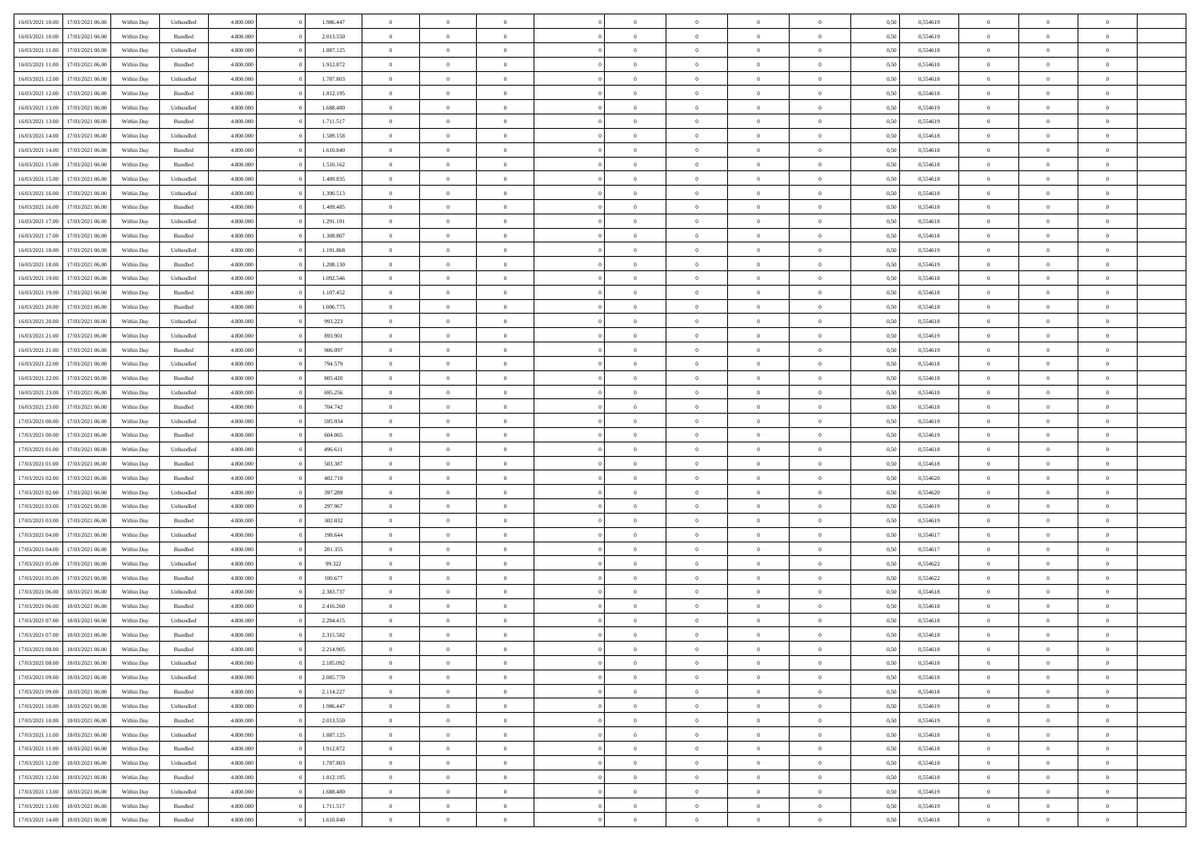| 16/03/2021 10:00 | 17/03/2021 06:00 | Within Day | Unbundled          | 4.800.000 | 1.986.447 | $\overline{0}$ | $\Omega$       |                | $\Omega$       | $\Omega$       | $\theta$       | $\theta$       | 0,50 | 0,554619 | $\theta$       | $\theta$       | $\theta$       |  |
|------------------|------------------|------------|--------------------|-----------|-----------|----------------|----------------|----------------|----------------|----------------|----------------|----------------|------|----------|----------------|----------------|----------------|--|
|                  |                  |            |                    |           |           |                |                |                |                |                |                |                |      |          |                |                |                |  |
| 16/03/2021 10:00 | 17/03/2021 06:00 | Within Day | Bundled            | 4.800.000 | 2.013.550 | $\overline{0}$ | $\theta$       | $\overline{0}$ | $\overline{0}$ | $\bf{0}$       | $\overline{0}$ | $\overline{0}$ | 0,50 | 0,554619 | $\theta$       | $\overline{0}$ | $\overline{0}$ |  |
| 16/03/2021 11:00 | 17/03/2021 06:00 | Within Day | Unbundled          | 4.800.000 | 1.887.125 | $\overline{0}$ | $\overline{0}$ | $\overline{0}$ | $\bf{0}$       | $\bf{0}$       | $\bf{0}$       | $\bf{0}$       | 0,50 | 0,554618 | $\bf{0}$       | $\overline{0}$ | $\overline{0}$ |  |
| 16/03/2021 11:00 | 17/03/2021 06:00 | Within Dav | Bundled            | 4.800.000 | 1.912.872 | $\overline{0}$ | $\overline{0}$ | $\overline{0}$ | $\overline{0}$ | $\bf{0}$       | $\overline{0}$ | $\overline{0}$ | 0.50 | 0.554618 | $\theta$       | $\theta$       | $\overline{0}$ |  |
|                  |                  |            |                    |           |           |                |                |                |                |                |                |                |      |          |                |                |                |  |
| 16/03/2021 12:00 | 17/03/2021 06:00 | Within Day | Unbundled          | 4.800.000 | 1.787.803 | $\overline{0}$ | $\theta$       | $\overline{0}$ | $\overline{0}$ | $\bf{0}$       | $\overline{0}$ | $\bf{0}$       | 0,50 | 0,554618 | $\theta$       | $\theta$       | $\overline{0}$ |  |
| 16/03/2021 12:00 | 17/03/2021 06:00 | Within Day | Bundled            | 4.800.000 | 1.812.195 | $\overline{0}$ | $\bf{0}$       | $\overline{0}$ | $\bf{0}$       | $\overline{0}$ | $\overline{0}$ | $\mathbf{0}$   | 0,50 | 0,554618 | $\bf{0}$       | $\overline{0}$ | $\bf{0}$       |  |
| 16/03/2021 13:00 | 17/03/2021 06:00 | Within Dav | Unbundled          | 4.800.000 | 1.688.480 | $\overline{0}$ | $\overline{0}$ | $\overline{0}$ | $\overline{0}$ | $\overline{0}$ | $\overline{0}$ | $\overline{0}$ | 0.50 | 0,554619 | $\theta$       | $\overline{0}$ | $\overline{0}$ |  |
| 16/03/2021 13:00 | 17/03/2021 06:00 | Within Day | Bundled            | 4.800.000 | 1.711.517 | $\overline{0}$ | $\theta$       | $\overline{0}$ | $\overline{0}$ | $\bf{0}$       | $\overline{0}$ | $\bf{0}$       | 0,50 | 0,554619 | $\theta$       | $\theta$       | $\overline{0}$ |  |
|                  |                  |            |                    |           |           |                | $\overline{0}$ |                |                | $\bf{0}$       |                |                |      |          | $\,0\,$        | $\overline{0}$ | $\overline{0}$ |  |
| 16/03/2021 14:00 | 17/03/2021 06:00 | Within Day | Unbundled          | 4.800.000 | 1.589.158 | $\overline{0}$ |                | $\overline{0}$ | $\bf{0}$       |                | $\bf{0}$       | $\bf{0}$       | 0,50 | 0,554618 |                |                |                |  |
| 16/03/2021 14:00 | 17/03/2021 06:00 | Within Dav | Bundled            | 4.800.000 | 1.610.840 | $\overline{0}$ | $\overline{0}$ | $\overline{0}$ | $\overline{0}$ | $\overline{0}$ | $\overline{0}$ | $\overline{0}$ | 0.50 | 0.554618 | $\theta$       | $\overline{0}$ | $\overline{0}$ |  |
| 16/03/2021 15:00 | 17/03/2021 06:00 | Within Day | Bundled            | 4.800.000 | 1.510.162 | $\overline{0}$ | $\theta$       | $\overline{0}$ | $\overline{0}$ | $\bf{0}$       | $\overline{0}$ | $\bf{0}$       | 0,50 | 0,554618 | $\,$ 0 $\,$    | $\overline{0}$ | $\overline{0}$ |  |
| 16/03/2021 15:00 | 17/03/2021 06:00 | Within Day | Unbundled          | 4.800.000 | 1.489.835 | $\overline{0}$ | $\overline{0}$ | $\overline{0}$ | $\bf{0}$       | $\bf{0}$       | $\bf{0}$       | $\bf{0}$       | 0,50 | 0,554618 | $\bf{0}$       | $\overline{0}$ | $\overline{0}$ |  |
| 16/03/2021 16:00 | 17/03/2021 06:00 | Within Day | Unbundled          | 4.800.000 | 1.390.513 | $\overline{0}$ | $\overline{0}$ | $\overline{0}$ | $\overline{0}$ | $\bf{0}$       | $\overline{0}$ | $\overline{0}$ | 0.50 | 0.554618 | $\theta$       | $\theta$       | $\overline{0}$ |  |
|                  |                  |            |                    |           |           |                |                |                |                |                |                |                |      |          |                |                |                |  |
| 16/03/2021 16:00 | 17/03/2021 06:00 | Within Day | Bundled            | 4.800.000 | 1.409.485 | $\overline{0}$ | $\theta$       | $\overline{0}$ | $\overline{0}$ | $\bf{0}$       | $\overline{0}$ | $\overline{0}$ | 0,50 | 0,554618 | $\theta$       | $\overline{0}$ | $\overline{0}$ |  |
| 16/03/2021 17:00 | 17/03/2021 06:00 | Within Day | Unbundled          | 4.800.000 | 1.291.191 | $\overline{0}$ | $\overline{0}$ | $\overline{0}$ | $\bf{0}$       | $\overline{0}$ | $\overline{0}$ | $\mathbf{0}$   | 0,50 | 0,554618 | $\bf{0}$       | $\overline{0}$ | $\bf{0}$       |  |
| 16/03/2021 17:00 | 17/03/2021 06:00 | Within Dav | Bundled            | 4.800.000 | 1.308.807 | $\overline{0}$ | $\overline{0}$ | $\overline{0}$ | $\overline{0}$ | $\overline{0}$ | $\overline{0}$ | $\overline{0}$ | 0.50 | 0.554618 | $\theta$       | $\overline{0}$ | $\overline{0}$ |  |
| 16/03/2021 18:00 | 17/03/2021 06:00 | Within Day | Unbundled          | 4.800.000 | 1.191.868 | $\overline{0}$ | $\theta$       | $\overline{0}$ | $\overline{0}$ | $\bf{0}$       | $\overline{0}$ | $\bf{0}$       | 0,50 | 0,554619 | $\theta$       | $\theta$       | $\overline{0}$ |  |
|                  |                  |            |                    |           |           |                |                |                |                |                |                |                |      |          |                |                |                |  |
| 16/03/2021 18:00 | 17/03/2021 06:00 | Within Day | Bundled            | 4.800.000 | 1.208.130 | $\overline{0}$ | $\overline{0}$ | $\overline{0}$ | $\bf{0}$       | $\bf{0}$       | $\bf{0}$       | $\bf{0}$       | 0,50 | 0,554619 | $\,0\,$        | $\overline{0}$ | $\overline{0}$ |  |
| 16/03/2021 19:00 | 17/03/2021 06:00 | Within Day | Unbundled          | 4.800.000 | 1.092.546 | $\overline{0}$ | $\overline{0}$ | $\overline{0}$ | $\overline{0}$ | $\overline{0}$ | $\overline{0}$ | $\overline{0}$ | 0.50 | 0,554618 | $\theta$       | $\overline{0}$ | $\overline{0}$ |  |
| 16/03/2021 19:00 | 17/03/2021 06:00 | Within Day | Bundled            | 4.800.000 | 1.107.452 | $\overline{0}$ | $\theta$       | $\overline{0}$ | $\overline{0}$ | $\bf{0}$       | $\overline{0}$ | $\bf{0}$       | 0,50 | 0,554618 | $\,$ 0 $\,$    | $\theta$       | $\overline{0}$ |  |
| 16/03/2021 20:00 | 17/03/2021 06:00 | Within Day | Bundled            | 4.800.000 | 1.006.775 | $\overline{0}$ | $\overline{0}$ | $\overline{0}$ | $\bf{0}$       | $\bf{0}$       | $\bf{0}$       | $\bf{0}$       | 0,50 | 0,554618 | $\bf{0}$       | $\overline{0}$ | $\overline{0}$ |  |
| 16/03/2021 20:00 | 17/03/2021 06:00 | Within Day | Unbundled          | 4.800.000 | 993.223   | $\overline{0}$ | $\overline{0}$ | $\overline{0}$ | $\overline{0}$ | $\bf{0}$       | $\overline{0}$ | $\overline{0}$ | 0.50 | 0.554618 | $\theta$       | $\overline{0}$ | $\overline{0}$ |  |
|                  |                  |            |                    |           |           |                |                |                |                |                |                |                |      |          |                |                |                |  |
| 16/03/2021 21:00 | 17/03/2021 06:00 | Within Day | Unbundled          | 4.800.000 | 893.901   | $\overline{0}$ | $\theta$       | $\overline{0}$ | $\overline{0}$ | $\bf{0}$       | $\overline{0}$ | $\bf{0}$       | 0,50 | 0,554619 | $\,$ 0 $\,$    | $\overline{0}$ | $\overline{0}$ |  |
| 16/03/2021 21.00 | 17/03/2021 06:00 | Within Day | Bundled            | 4.800.000 | 906.097   | $\overline{0}$ | $\bf{0}$       | $\overline{0}$ | $\bf{0}$       | $\overline{0}$ | $\overline{0}$ | $\mathbf{0}$   | 0,50 | 0,554619 | $\bf{0}$       | $\overline{0}$ | $\bf{0}$       |  |
| 16/03/2021 22:00 | 17/03/2021 06:00 | Within Dav | Unbundled          | 4.800.000 | 794.579   | $\overline{0}$ | $\overline{0}$ | $\overline{0}$ | $\overline{0}$ | $\overline{0}$ | $\overline{0}$ | $\overline{0}$ | 0.50 | 0.554618 | $\theta$       | $\overline{0}$ | $\overline{0}$ |  |
| 16/03/2021 22:00 | 17/03/2021 06:00 | Within Day | Bundled            | 4.800.000 | 805.420   | $\overline{0}$ | $\theta$       | $\overline{0}$ | $\overline{0}$ | $\bf{0}$       | $\overline{0}$ | $\bf{0}$       | 0,50 | 0,554618 | $\theta$       | $\theta$       | $\overline{0}$ |  |
|                  |                  |            |                    |           |           |                |                |                |                |                |                |                |      |          |                |                |                |  |
| 16/03/2021 23:00 | 17/03/2021 06:00 | Within Day | Unbundled          | 4.800.000 | 695.256   | $\overline{0}$ | $\overline{0}$ | $\overline{0}$ | $\bf{0}$       | $\bf{0}$       | $\bf{0}$       | $\bf{0}$       | 0,50 | 0,554618 | $\,0\,$        | $\overline{0}$ | $\overline{0}$ |  |
| 16/03/2021 23:00 | 17/03/2021 06:00 | Within Day | Bundled            | 4.800.000 | 704.742   | $\overline{0}$ | $\overline{0}$ | $\overline{0}$ | $\overline{0}$ | $\overline{0}$ | $\overline{0}$ | $\overline{0}$ | 0.50 | 0.554618 | $\theta$       | $\overline{0}$ | $\overline{0}$ |  |
| 17/03/2021 00:00 | 17/03/2021 06:00 | Within Day | Unbundled          | 4.800.000 | 595.934   | $\overline{0}$ | $\theta$       | $\overline{0}$ | $\overline{0}$ | $\bf{0}$       | $\overline{0}$ | $\bf{0}$       | 0,50 | 0,554619 | $\,$ 0 $\,$    | $\overline{0}$ | $\overline{0}$ |  |
| 17/03/2021 00:00 | 17/03/2021 06:00 | Within Day | Bundled            | 4.800.000 | 604.065   | $\overline{0}$ | $\overline{0}$ | $\overline{0}$ | $\bf{0}$       | $\bf{0}$       | $\bf{0}$       | $\bf{0}$       | 0,50 | 0,554619 | $\bf{0}$       | $\overline{0}$ | $\overline{0}$ |  |
| 17/03/2021 01:00 | 17/03/2021 06:00 | Within Day | Unbundled          | 4.800,000 | 496.611   | $\overline{0}$ | $\Omega$       | $\Omega$       | $\Omega$       | $\Omega$       | $\Omega$       | $\overline{0}$ | 0,50 | 0,554618 | $\,0\,$        | $\theta$       | $\theta$       |  |
|                  |                  |            |                    |           |           |                |                |                |                |                |                |                |      |          |                |                |                |  |
| 17/03/2021 01:00 | 17/03/2021 06:00 | Within Day | Bundled            | 4.800.000 | 503.387   | $\overline{0}$ | $\theta$       | $\overline{0}$ | $\overline{0}$ | $\bf{0}$       | $\overline{0}$ | $\bf{0}$       | 0,50 | 0,554618 | $\theta$       | $\theta$       | $\overline{0}$ |  |
| 17/03/2021 02:00 | 17/03/2021 06:00 | Within Day | Bundled            | 4.800.000 | 402.710   | $\overline{0}$ | $\overline{0}$ | $\overline{0}$ | $\bf{0}$       | $\bf{0}$       | $\overline{0}$ | $\mathbf{0}$   | 0,50 | 0,554620 | $\bf{0}$       | $\overline{0}$ | $\bf{0}$       |  |
| 17/03/2021 02:00 | 17/03/2021 06:00 | Within Day | Unbundled          | 4.800,000 | 397.289   | $\overline{0}$ | $\Omega$       | $\Omega$       | $\Omega$       | $\bf{0}$       | $\overline{0}$ | $\overline{0}$ | 0.50 | 0,554620 | $\theta$       | $\theta$       | $\theta$       |  |
| 17/03/2021 03:00 | 17/03/2021 06:00 | Within Day | Unbundled          | 4.800.000 | 297.967   | $\overline{0}$ | $\theta$       | $\overline{0}$ | $\overline{0}$ | $\bf{0}$       | $\overline{0}$ | $\bf{0}$       | 0,50 | 0,554619 | $\,$ 0 $\,$    | $\theta$       | $\overline{0}$ |  |
|                  |                  |            |                    |           |           |                | $\overline{0}$ |                |                | $\bf{0}$       |                |                |      |          | $\bf{0}$       | $\overline{0}$ | $\overline{0}$ |  |
| 17/03/2021 03:00 | 17/03/2021 06:00 | Within Day | Bundled            | 4.800.000 | 302.032   | $\overline{0}$ |                | $\overline{0}$ | $\bf{0}$       |                | $\bf{0}$       | $\bf{0}$       | 0,50 | 0,554619 |                |                |                |  |
| 17/03/2021 04:00 | 17/03/2021 06:00 | Within Day | Unbundled          | 4.800,000 | 198,644   | $\overline{0}$ | $\Omega$       | $\Omega$       | $\Omega$       | $\theta$       | $\theta$       | $\overline{0}$ | 0.50 | 0.554617 | $\theta$       | $\theta$       | $\theta$       |  |
| 17/03/2021 04:00 | 17/03/2021 06:00 | Within Day | Bundled            | 4.800.000 | 201.355   | $\overline{0}$ | $\theta$       | $\overline{0}$ | $\overline{0}$ | $\bf{0}$       | $\overline{0}$ | $\bf{0}$       | 0,50 | 0,554617 | $\,$ 0 $\,$    | $\overline{0}$ | $\overline{0}$ |  |
| 17/03/2021 05:00 | 17/03/2021 06:00 | Within Day | Unbundled          | 4.800.000 | 99.322    | $\overline{0}$ | $\overline{0}$ | $\overline{0}$ | $\bf{0}$       | $\bf{0}$       | $\bf{0}$       | $\bf{0}$       | 0,50 | 0,554622 | $\overline{0}$ | $\overline{0}$ | $\overline{0}$ |  |
| 17/03/2021 05:00 | 17/03/2021 06:00 | Within Day | Bundled            | 4.800,000 | 100,677   | $\overline{0}$ | $\Omega$       | $\Omega$       | $\Omega$       | $\Omega$       | $\overline{0}$ | $\overline{0}$ | 0.50 | 0,554622 | $\,0\,$        | $\theta$       | $\theta$       |  |
| 17/03/2021 06:00 | 18/03/2021 06:00 |            |                    | 4.800.000 | 2.383.737 | $\overline{0}$ | $\theta$       | $\overline{0}$ | $\overline{0}$ | $\bf{0}$       | $\overline{0}$ |                |      | 0,554618 | $\,$ 0 $\,$    | $\overline{0}$ | $\overline{0}$ |  |
|                  |                  | Within Day | Unbundled          |           |           |                |                |                |                |                |                | $\bf{0}$       | 0,50 |          |                |                |                |  |
| 17/03/2021 06:00 | 18/03/2021 06:00 | Within Day | Bundled            | 4.800.000 | 2.416.260 | $\overline{0}$ | $\overline{0}$ | $\overline{0}$ | $\bf{0}$       | $\bf{0}$       | $\bf{0}$       | $\mathbf{0}$   | 0,50 | 0,554618 | $\overline{0}$ | $\overline{0}$ | $\bf{0}$       |  |
| 17/03/2021 07:00 | 18/03/2021 06:00 | Within Day | Unbundled          | 4.800,000 | 2.284.415 | $\overline{0}$ | $\Omega$       | $\Omega$       | $\Omega$       | $\Omega$       | $\Omega$       | $\overline{0}$ | 0.50 | 0.554618 | $\theta$       | $\theta$       | $\theta$       |  |
| 17/03/2021 07:00 | 18/03/2021 06:00 | Within Day | Bundled            | 4.800.000 | 2.315.582 | $\overline{0}$ | $\overline{0}$ | $\overline{0}$ | $\bf{0}$       | $\,$ 0         | $\bf{0}$       | $\bf{0}$       | 0,50 | 0,554618 | $\,0\,$        | $\overline{0}$ | $\overline{0}$ |  |
| 17/03/2021 08:00 | 18/03/2021 06:00 | Within Day | $\mathbf B$ undled | 4.800.000 | 2.214.905 | $\bf{0}$       | $\bf{0}$       |                |                |                |                |                | 0,50 | 0,554618 | $\bf{0}$       | $\overline{0}$ |                |  |
|                  |                  |            |                    |           |           |                |                |                |                |                |                |                |      |          |                |                |                |  |
| 17/03/2021 08:00 | 18/03/2021 06:00 | Within Day | Unbundled          | 4.800.000 | 2.185.092 | $\overline{0}$ | $\overline{0}$ | $\overline{0}$ | $\Omega$       | $\overline{0}$ | $\overline{0}$ | $\overline{0}$ | 0,50 | 0.554618 | $\theta$       | $\theta$       | $\theta$       |  |
| 17/03/2021 09:00 | 18/03/2021 06:00 | Within Day | Unbundled          | 4.800.000 | 2.085.770 | $\overline{0}$ | $\,$ 0         | $\overline{0}$ | $\bf{0}$       | $\,$ 0 $\,$    | $\overline{0}$ | $\mathbf{0}$   | 0,50 | 0,554618 | $\,$ 0 $\,$    | $\,$ 0 $\,$    | $\,$ 0         |  |
| 17/03/2021 09:00 | 18/03/2021 06:00 | Within Day | Bundled            | 4.800.000 | 2.114.227 | $\overline{0}$ | $\overline{0}$ | $\overline{0}$ | $\overline{0}$ | $\overline{0}$ | $\overline{0}$ | $\mathbf{0}$   | 0,50 | 0,554618 | $\overline{0}$ | $\bf{0}$       | $\bf{0}$       |  |
| 17/03/2021 10:00 | 18/03/2021 06:00 | Within Day | Unbundled          | 4.800,000 | 1.986.447 | $\overline{0}$ | $\overline{0}$ | $\overline{0}$ | $\Omega$       | $\overline{0}$ | $\overline{0}$ | $\overline{0}$ | 0,50 | 0,554619 | $\overline{0}$ | $\theta$       | $\overline{0}$ |  |
| 17/03/2021 10:00 | 18/03/2021 06:00 | Within Day | Bundled            | 4.800.000 | 2.013.550 | $\overline{0}$ | $\,$ 0         | $\overline{0}$ | $\overline{0}$ | $\,$ 0 $\,$    | $\overline{0}$ | $\mathbf{0}$   | 0,50 | 0,554619 | $\,$ 0 $\,$    | $\overline{0}$ | $\overline{0}$ |  |
|                  |                  |            |                    |           |           |                |                |                |                |                |                |                |      |          |                |                |                |  |
| 17/03/2021 11:00 | 18/03/2021 06:00 | Within Day | Unbundled          | 4.800.000 | 1.887.125 | $\overline{0}$ | $\overline{0}$ | $\overline{0}$ | $\overline{0}$ | $\overline{0}$ | $\overline{0}$ | $\mathbf{0}$   | 0,50 | 0,554618 | $\overline{0}$ | $\overline{0}$ | $\bf{0}$       |  |
| 17/03/2021 11:00 | 18/03/2021 06:00 | Within Day | Bundled            | 4.800.000 | 1.912.872 | $\overline{0}$ | $\overline{0}$ | $\overline{0}$ | $\Omega$       | $\overline{0}$ | $\overline{0}$ | $\bf{0}$       | 0.50 | 0,554618 | $\overline{0}$ | $\theta$       | $\overline{0}$ |  |
| 17/03/2021 12:00 | 18/03/2021 06:00 | Within Day | Unbundled          | 4.800.000 | 1.787.803 | $\overline{0}$ | $\,$ 0         | $\overline{0}$ | $\bf{0}$       | $\bf{0}$       | $\bf{0}$       | $\bf{0}$       | 0,50 | 0,554618 | $\,$ 0 $\,$    | $\overline{0}$ | $\overline{0}$ |  |
| 17/03/2021 12:00 | 18/03/2021 06:00 | Within Day | Bundled            | 4.800.000 | 1.812.195 | $\overline{0}$ | $\bf{0}$       | $\overline{0}$ | $\overline{0}$ | $\overline{0}$ | $\overline{0}$ | $\mathbf{0}$   | 0,50 | 0,554618 | $\overline{0}$ | $\overline{0}$ | $\bf{0}$       |  |
|                  |                  |            |                    |           |           |                |                |                |                |                |                |                |      |          |                |                |                |  |
| 17/03/2021 13:00 | 18/03/2021 06:00 | Within Day | Unbundled          | 4.800,000 | 1.688.480 | $\overline{0}$ | $\overline{0}$ | $\overline{0}$ | $\Omega$       | $\overline{0}$ | $\overline{0}$ | $\bf{0}$       | 0.50 | 0,554619 | $\overline{0}$ | $\overline{0}$ | $\overline{0}$ |  |
| 17/03/2021 13:00 | 18/03/2021 06:00 | Within Day | Bundled            | 4.800.000 | 1.711.517 | $\overline{0}$ | $\bf{0}$       | $\overline{0}$ | $\bf{0}$       | $\bf{0}$       | $\bf{0}$       | $\mathbf{0}$   | 0,50 | 0,554619 | $\,$ 0 $\,$    | $\,$ 0 $\,$    | $\bf{0}$       |  |
| 17/03/2021 14:00 | 18/03/2021 06:00 | Within Day | Bundled            | 4.800.000 | 1.610.840 | $\overline{0}$ | $\overline{0}$ | $\overline{0}$ | $\overline{0}$ | $\overline{0}$ | $\bf{0}$       | $\mathbf{0}$   | 0,50 | 0,554618 | $\overline{0}$ | $\bf{0}$       | $\bf{0}$       |  |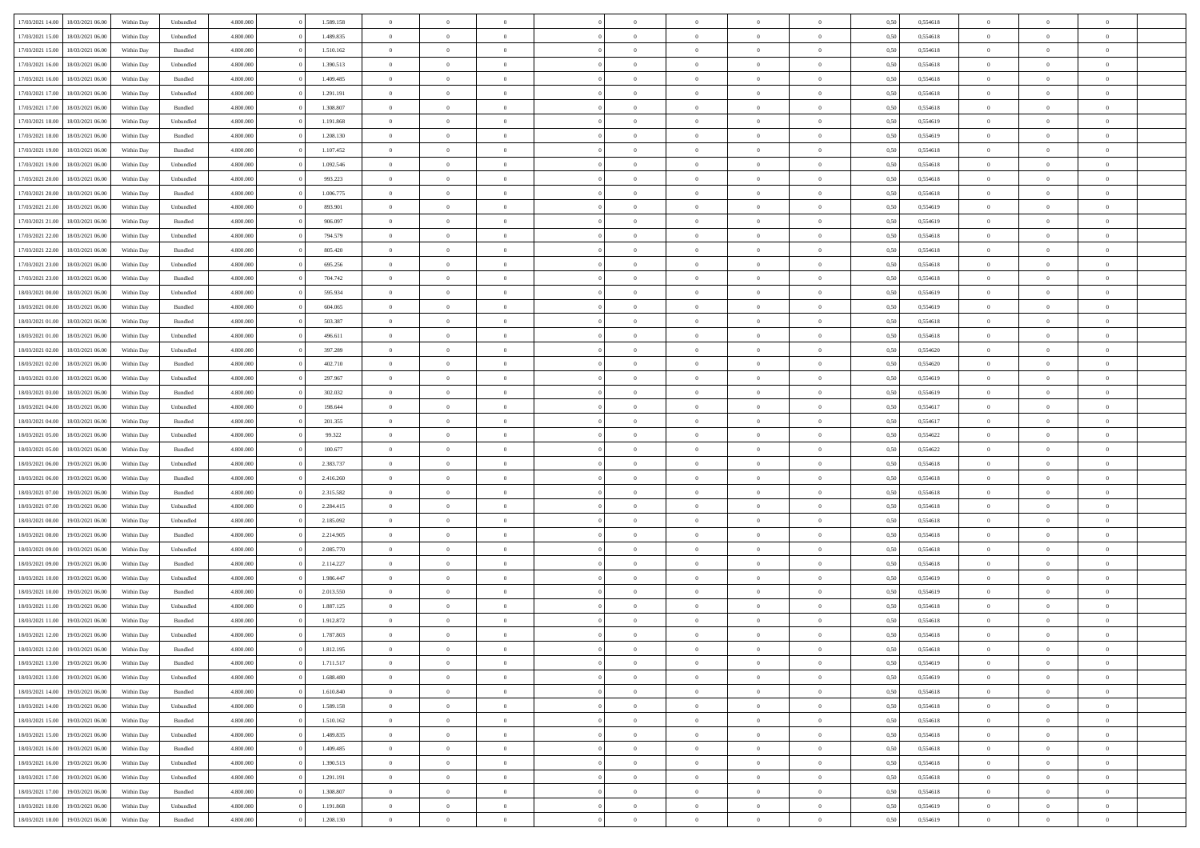| 17/03/2021 14:00 | 18/03/2021 06:00 | Within Day | Unbundled          | 4.800.000 | 1.589.158 | $\overline{0}$ | $\Omega$       |                | $\Omega$       | $\Omega$       | $\theta$       | $\theta$       | 0,50 | 0,554618 | $\theta$       | $\theta$       | $\theta$       |  |
|------------------|------------------|------------|--------------------|-----------|-----------|----------------|----------------|----------------|----------------|----------------|----------------|----------------|------|----------|----------------|----------------|----------------|--|
|                  |                  |            |                    |           |           |                |                |                |                |                |                |                |      |          |                |                |                |  |
| 17/03/2021 15:00 | 18/03/2021 06:00 | Within Day | Unbundled          | 4.800.000 | 1.489.835 | $\overline{0}$ | $\theta$       | $\overline{0}$ | $\overline{0}$ | $\bf{0}$       | $\overline{0}$ | $\bf{0}$       | 0,50 | 0,554618 | $\theta$       | $\overline{0}$ | $\overline{0}$ |  |
| 17/03/2021 15:00 | 18/03/2021 06:00 | Within Day | Bundled            | 4.800.000 | 1.510.162 | $\overline{0}$ | $\overline{0}$ | $\overline{0}$ | $\bf{0}$       | $\bf{0}$       | $\bf{0}$       | $\bf{0}$       | 0,50 | 0,554618 | $\bf{0}$       | $\overline{0}$ | $\overline{0}$ |  |
| 17/03/2021 16:00 | 18/03/2021 06:00 | Within Dav | Unbundled          | 4.800.000 | 1.390.513 | $\overline{0}$ | $\overline{0}$ | $\overline{0}$ | $\overline{0}$ | $\bf{0}$       | $\overline{0}$ | $\overline{0}$ | 0.50 | 0.554618 | $\theta$       | $\theta$       | $\overline{0}$ |  |
| 17/03/2021 16:00 | 18/03/2021 06:00 | Within Day | Bundled            | 4.800.000 | 1.409.485 | $\overline{0}$ | $\theta$       | $\overline{0}$ | $\overline{0}$ | $\bf{0}$       | $\overline{0}$ | $\bf{0}$       | 0,50 | 0,554618 | $\theta$       | $\theta$       | $\overline{0}$ |  |
|                  |                  |            |                    |           |           |                |                |                |                |                |                |                |      |          |                |                |                |  |
| 17/03/2021 17:00 | 18/03/2021 06:00 | Within Day | Unbundled          | 4.800.000 | 1.291.191 | $\overline{0}$ | $\bf{0}$       | $\overline{0}$ | $\bf{0}$       | $\overline{0}$ | $\overline{0}$ | $\mathbf{0}$   | 0,50 | 0,554618 | $\bf{0}$       | $\overline{0}$ | $\bf{0}$       |  |
| 17/03/2021 17:00 | 18/03/2021 06:00 | Within Dav | Bundled            | 4.800.000 | 1.308.807 | $\overline{0}$ | $\overline{0}$ | $\overline{0}$ | $\overline{0}$ | $\overline{0}$ | $\overline{0}$ | $\overline{0}$ | 0.50 | 0,554618 | $\theta$       | $\overline{0}$ | $\overline{0}$ |  |
| 17/03/2021 18:00 | 18/03/2021 06:00 | Within Day | Unbundled          | 4.800.000 | 1.191.868 | $\overline{0}$ | $\theta$       | $\overline{0}$ | $\overline{0}$ | $\bf{0}$       | $\overline{0}$ | $\bf{0}$       | 0,50 | 0,554619 | $\theta$       | $\theta$       | $\overline{0}$ |  |
| 17/03/2021 18:00 | 18/03/2021 06:00 | Within Day | Bundled            | 4.800.000 | 1.208.130 | $\overline{0}$ | $\overline{0}$ | $\overline{0}$ | $\bf{0}$       | $\bf{0}$       | $\bf{0}$       | $\bf{0}$       | 0,50 | 0,554619 | $\,0\,$        | $\overline{0}$ | $\overline{0}$ |  |
| 17/03/2021 19:00 | 18/03/2021 06:00 | Within Dav | Bundled            | 4.800.000 | 1.107.452 | $\overline{0}$ | $\overline{0}$ | $\overline{0}$ | $\overline{0}$ | $\overline{0}$ | $\overline{0}$ | $\overline{0}$ | 0.50 | 0.554618 | $\theta$       | $\overline{0}$ | $\overline{0}$ |  |
| 17/03/2021 19:00 | 18/03/2021 06:00 | Within Day | Unbundled          | 4.800.000 | 1.092.546 | $\overline{0}$ | $\theta$       | $\overline{0}$ | $\overline{0}$ | $\bf{0}$       | $\overline{0}$ | $\bf{0}$       | 0,50 | 0,554618 | $\,$ 0 $\,$    | $\theta$       | $\overline{0}$ |  |
|                  |                  |            |                    |           |           |                |                |                |                |                |                |                |      |          |                |                |                |  |
| 17/03/2021 20.00 | 18/03/2021 06:00 | Within Day | Unbundled          | 4.800.000 | 993.223   | $\overline{0}$ | $\overline{0}$ | $\overline{0}$ | $\bf{0}$       | $\bf{0}$       | $\bf{0}$       | $\bf{0}$       | 0,50 | 0,554618 | $\bf{0}$       | $\overline{0}$ | $\overline{0}$ |  |
| 17/03/2021 20:00 | 18/03/2021 06:00 | Within Day | Bundled            | 4.800.000 | 1.006.775 | $\overline{0}$ | $\overline{0}$ | $\overline{0}$ | $\overline{0}$ | $\bf{0}$       | $\overline{0}$ | $\overline{0}$ | 0.50 | 0.554618 | $\theta$       | $\theta$       | $\overline{0}$ |  |
| 17/03/2021 21:00 | 18/03/2021 06:00 | Within Day | Unbundled          | 4.800.000 | 893.901   | $\overline{0}$ | $\theta$       | $\overline{0}$ | $\overline{0}$ | $\bf{0}$       | $\overline{0}$ | $\bf{0}$       | 0,50 | 0,554619 | $\theta$       | $\overline{0}$ | $\overline{0}$ |  |
| 17/03/2021 21.00 | 18/03/2021 06:00 | Within Day | Bundled            | 4.800.000 | 906.097   | $\overline{0}$ | $\bf{0}$       | $\overline{0}$ | $\bf{0}$       | $\overline{0}$ | $\overline{0}$ | $\mathbf{0}$   | 0,50 | 0,554619 | $\bf{0}$       | $\overline{0}$ | $\bf{0}$       |  |
| 17/03/2021 22:00 | 18/03/2021 06:00 | Within Dav | Unbundled          | 4.800.000 | 794.579   | $\overline{0}$ | $\overline{0}$ | $\overline{0}$ | $\overline{0}$ | $\overline{0}$ | $\overline{0}$ | $\overline{0}$ | 0.50 | 0.554618 | $\theta$       | $\overline{0}$ | $\overline{0}$ |  |
| 17/03/2021 22:00 | 18/03/2021 06:00 | Within Day | Bundled            | 4.800.000 | 805.420   | $\overline{0}$ | $\theta$       | $\overline{0}$ | $\overline{0}$ | $\bf{0}$       | $\overline{0}$ | $\bf{0}$       | 0,50 | 0,554618 | $\theta$       | $\theta$       | $\overline{0}$ |  |
| 17/03/2021 23:00 | 18/03/2021 06:00 | Within Day | Unbundled          | 4.800.000 | 695.256   | $\overline{0}$ | $\overline{0}$ | $\overline{0}$ | $\bf{0}$       | $\bf{0}$       | $\bf{0}$       | $\bf{0}$       | 0,50 | 0,554618 | $\,0\,$        | $\overline{0}$ | $\overline{0}$ |  |
|                  | 18/03/2021 06:00 |            | Bundled            | 4.800.000 | 704.742   | $\overline{0}$ | $\overline{0}$ | $\overline{0}$ | $\overline{0}$ | $\overline{0}$ | $\overline{0}$ | $\overline{0}$ | 0.50 | 0.554618 | $\theta$       | $\overline{0}$ | $\overline{0}$ |  |
| 17/03/2021 23:00 |                  | Within Day |                    |           |           |                |                |                |                |                |                |                |      |          |                |                |                |  |
| 18/03/2021 00:00 | 18/03/2021 06:00 | Within Day | Unbundled          | 4.800.000 | 595.934   | $\overline{0}$ | $\theta$       | $\overline{0}$ | $\overline{0}$ | $\bf{0}$       | $\overline{0}$ | $\bf{0}$       | 0,50 | 0,554619 | $\,$ 0 $\,$    | $\theta$       | $\overline{0}$ |  |
| 18/03/2021 00:00 | 18/03/2021 06:00 | Within Day | Bundled            | 4.800.000 | 604.065   | $\overline{0}$ | $\overline{0}$ | $\overline{0}$ | $\bf{0}$       | $\bf{0}$       | $\bf{0}$       | $\bf{0}$       | 0,50 | 0,554619 | $\bf{0}$       | $\overline{0}$ | $\overline{0}$ |  |
| 18/03/2021 01:00 | 18/03/2021 06:00 | Within Day | Bundled            | 4.800.000 | 503.387   | $\overline{0}$ | $\overline{0}$ | $\overline{0}$ | $\overline{0}$ | $\bf{0}$       | $\overline{0}$ | $\overline{0}$ | 0.50 | 0.554618 | $\theta$       | $\theta$       | $\overline{0}$ |  |
| 18/03/2021 01:00 | 18/03/2021 06:00 | Within Day | Unbundled          | 4.800.000 | 496.611   | $\overline{0}$ | $\theta$       | $\overline{0}$ | $\overline{0}$ | $\bf{0}$       | $\overline{0}$ | $\bf{0}$       | 0,50 | 0,554618 | $\,$ 0 $\,$    | $\overline{0}$ | $\overline{0}$ |  |
| 18/03/2021 02:00 | 18/03/2021 06:00 | Within Day | Unbundled          | 4.800.000 | 397.289   | $\overline{0}$ | $\bf{0}$       | $\overline{0}$ | $\bf{0}$       | $\overline{0}$ | $\overline{0}$ | $\mathbf{0}$   | 0,50 | 0,554620 | $\bf{0}$       | $\overline{0}$ | $\bf{0}$       |  |
| 18/03/2021 02:00 | 18/03/2021 06:00 | Within Dav | Bundled            | 4.800.000 | 402.710   | $\overline{0}$ | $\overline{0}$ | $\overline{0}$ | $\overline{0}$ | $\overline{0}$ | $\overline{0}$ | $\overline{0}$ | 0.50 | 0,554620 | $\theta$       | $\overline{0}$ | $\overline{0}$ |  |
|                  |                  |            |                    |           |           |                |                |                |                |                |                |                |      |          |                |                |                |  |
| 18/03/2021 03:00 | 18/03/2021 06:00 | Within Day | Unbundled          | 4.800.000 | 297.967   | $\overline{0}$ | $\theta$       | $\overline{0}$ | $\overline{0}$ | $\bf{0}$       | $\overline{0}$ | $\bf{0}$       | 0,50 | 0,554619 | $\theta$       | $\theta$       | $\overline{0}$ |  |
| 18/03/2021 03:00 | 18/03/2021 06:00 | Within Day | Bundled            | 4.800.000 | 302.032   | $\overline{0}$ | $\overline{0}$ | $\overline{0}$ | $\bf{0}$       | $\bf{0}$       | $\bf{0}$       | $\bf{0}$       | 0,50 | 0,554619 | $\,0\,$        | $\overline{0}$ | $\overline{0}$ |  |
| 18/03/2021 04:00 | 18/03/2021 06:00 | Within Day | Unbundled          | 4.800.000 | 198.644   | $\overline{0}$ | $\overline{0}$ | $\overline{0}$ | $\overline{0}$ | $\overline{0}$ | $\overline{0}$ | $\overline{0}$ | 0.50 | 0,554617 | $\theta$       | $\overline{0}$ | $\overline{0}$ |  |
| 18/03/2021 04:00 | 18/03/2021 06:00 | Within Day | Bundled            | 4.800.000 | 201.355   | $\overline{0}$ | $\theta$       | $\overline{0}$ | $\overline{0}$ | $\bf{0}$       | $\overline{0}$ | $\bf{0}$       | 0,50 | 0,554617 | $\,$ 0 $\,$    | $\overline{0}$ | $\overline{0}$ |  |
| 18/03/2021 05:00 | 18/03/2021 06:00 | Within Day | Unbundled          | 4.800.000 | 99.322    | $\overline{0}$ | $\overline{0}$ | $\overline{0}$ | $\bf{0}$       | $\bf{0}$       | $\bf{0}$       | $\bf{0}$       | 0,50 | 0,554622 | $\bf{0}$       | $\overline{0}$ | $\overline{0}$ |  |
| 18/03/2021 05:00 | 18/03/2021 06:00 | Within Day | Bundled            | 4.800,000 | 100,677   | $\overline{0}$ | $\Omega$       | $\Omega$       | $\Omega$       | $\Omega$       | $\Omega$       | $\overline{0}$ | 0,50 | 0,554622 | $\,0\,$        | $\theta$       | $\theta$       |  |
| 18/03/2021 06:00 | 19/03/2021 06:00 | Within Day | Unbundled          | 4.800.000 | 2.383.737 | $\overline{0}$ | $\theta$       | $\overline{0}$ | $\overline{0}$ | $\bf{0}$       | $\overline{0}$ | $\bf{0}$       | 0,50 | 0,554618 | $\theta$       | $\theta$       | $\overline{0}$ |  |
|                  |                  |            |                    |           |           |                |                |                |                |                |                |                |      |          |                |                |                |  |
| 18/03/2021 06:00 | 19/03/2021 06:00 | Within Day | Bundled            | 4.800.000 | 2.416.260 | $\overline{0}$ | $\overline{0}$ | $\overline{0}$ | $\bf{0}$       | $\bf{0}$       | $\overline{0}$ | $\mathbf{0}$   | 0,50 | 0,554618 | $\bf{0}$       | $\overline{0}$ | $\bf{0}$       |  |
| 18/03/2021 07:00 | 19/03/2021 06:00 | Within Day | Bundled            | 4.800,000 | 2.315.582 | $\overline{0}$ | $\Omega$       | $\Omega$       | $\Omega$       | $\bf{0}$       | $\overline{0}$ | $\overline{0}$ | 0.50 | 0.554618 | $\theta$       | $\theta$       | $\theta$       |  |
| 18/03/2021 07:00 | 19/03/2021 06:00 | Within Day | Unbundled          | 4.800.000 | 2.284.415 | $\overline{0}$ | $\theta$       | $\overline{0}$ | $\overline{0}$ | $\bf{0}$       | $\overline{0}$ | $\bf{0}$       | 0,50 | 0,554618 | $\,$ 0 $\,$    | $\theta$       | $\overline{0}$ |  |
| 18/03/2021 08:00 | 19/03/2021 06:00 | Within Day | Unbundled          | 4.800.000 | 2.185.092 | $\overline{0}$ | $\overline{0}$ | $\overline{0}$ | $\bf{0}$       | $\bf{0}$       | $\bf{0}$       | $\bf{0}$       | 0,50 | 0,554618 | $\,0\,$        | $\overline{0}$ | $\overline{0}$ |  |
| 18/03/2021 08:00 | 19/03/2021 06:00 | Within Day | Bundled            | 4.800,000 | 2.214.905 | $\overline{0}$ | $\Omega$       | $\Omega$       | $\Omega$       | $\theta$       | $\theta$       | $\overline{0}$ | 0.50 | 0.554618 | $\theta$       | $\theta$       | $\theta$       |  |
| 18/03/2021 09:00 | 19/03/2021 06:00 | Within Day | Unbundled          | 4.800.000 | 2.085.770 | $\overline{0}$ | $\theta$       | $\overline{0}$ | $\overline{0}$ | $\bf{0}$       | $\overline{0}$ | $\bf{0}$       | 0,50 | 0,554618 | $\,$ 0 $\,$    | $\overline{0}$ | $\overline{0}$ |  |
|                  |                  |            |                    |           |           |                | $\overline{0}$ |                |                | $\bf{0}$       |                |                |      |          |                | $\overline{0}$ | $\overline{0}$ |  |
| 18/03/2021 09:00 | 19/03/2021 06:00 | Within Day | Bundled            | 4.800.000 | 2.114.227 | $\overline{0}$ |                | $\overline{0}$ | $\bf{0}$       |                | $\bf{0}$       | $\bf{0}$       | 0,50 | 0,554618 | $\bf{0}$       |                |                |  |
| 18/03/2021 10:00 | 19/03/2021 06:00 | Within Day | Unbundled          | 4.800,000 | 1.986.447 | $\overline{0}$ | $\Omega$       | $\Omega$       | $\Omega$       | $\Omega$       | $\overline{0}$ | $\overline{0}$ | 0,50 | 0,554619 | $\,0\,$        | $\theta$       | $\theta$       |  |
| 18/03/2021 10:00 | 19/03/2021 06:00 | Within Day | Bundled            | 4.800.000 | 2.013.550 | $\overline{0}$ | $\theta$       | $\overline{0}$ | $\overline{0}$ | $\bf{0}$       | $\overline{0}$ | $\bf{0}$       | 0,50 | 0,554619 | $\,$ 0 $\,$    | $\overline{0}$ | $\overline{0}$ |  |
| 18/03/2021 11:00 | 19/03/2021 06:00 | Within Day | Unbundled          | 4.800.000 | 1.887.125 | $\overline{0}$ | $\overline{0}$ | $\overline{0}$ | $\bf{0}$       | $\bf{0}$       | $\bf{0}$       | $\mathbf{0}$   | 0,50 | 0,554618 | $\overline{0}$ | $\overline{0}$ | $\bf{0}$       |  |
| 18/03/2021 11:00 | 19/03/2021 06:00 | Within Day | Bundled            | 4.800,000 | 1.912.872 | $\overline{0}$ | $\Omega$       | $\Omega$       | $\Omega$       | $\Omega$       | $\Omega$       | $\overline{0}$ | 0.50 | 0.554618 | $\theta$       | $\theta$       | $\theta$       |  |
| 18/03/2021 12:00 | 19/03/2021 06:00 | Within Day | Unbundled          | 4.800.000 | 1.787.803 | $\overline{0}$ | $\overline{0}$ | $\overline{0}$ | $\bf{0}$       | $\,$ 0         | $\bf{0}$       | $\bf{0}$       | 0,50 | 0,554618 | $\,0\,$        | $\overline{0}$ | $\overline{0}$ |  |
| 18/03/2021 12:00 | 19/03/2021 06:00 | Within Day | $\mathbf B$ undled | 4.800.000 | 1.812.195 | $\bf{0}$       | $\bf{0}$       |                |                |                |                |                | 0,50 | 0,554618 | $\bf{0}$       | $\overline{0}$ |                |  |
| 18/03/2021 13:00 | 19/03/2021 06:00 | Within Day | Bundled            | 4.800.000 | 1.711.517 | $\overline{0}$ | $\overline{0}$ | $\overline{0}$ | $\Omega$       | $\overline{0}$ | $\overline{0}$ | $\overline{0}$ | 0.50 | 0.554619 | $\theta$       | $\theta$       | $\theta$       |  |
|                  |                  |            |                    |           |           |                |                |                |                |                |                |                |      |          |                |                |                |  |
| 18/03/2021 13:00 | 19/03/2021 06:00 | Within Day | Unbundled          | 4.800.000 | 1.688.480 | $\overline{0}$ | $\,$ 0         | $\overline{0}$ | $\bf{0}$       | $\,$ 0 $\,$    | $\overline{0}$ | $\mathbf{0}$   | 0,50 | 0,554619 | $\,$ 0 $\,$    | $\,$ 0 $\,$    | $\,$ 0         |  |
| 18/03/2021 14:00 | 19/03/2021 06:00 | Within Day | Bundled            | 4.800.000 | 1.610.840 | $\overline{0}$ | $\overline{0}$ | $\overline{0}$ | $\overline{0}$ | $\overline{0}$ | $\overline{0}$ | $\mathbf{0}$   | 0,50 | 0,554618 | $\overline{0}$ | $\bf{0}$       | $\bf{0}$       |  |
| 18/03/2021 14:00 | 19/03/2021 06:00 | Within Day | Unbundled          | 4.800,000 | 1.589.158 | $\overline{0}$ | $\overline{0}$ | $\overline{0}$ | $\Omega$       | $\overline{0}$ | $\overline{0}$ | $\bf{0}$       | 0,50 | 0,554618 | $\overline{0}$ | $\theta$       | $\overline{0}$ |  |
| 18/03/2021 15:00 | 19/03/2021 06:00 | Within Day | Bundled            | 4.800.000 | 1.510.162 | $\overline{0}$ | $\,$ 0         | $\overline{0}$ | $\overline{0}$ | $\,$ 0 $\,$    | $\overline{0}$ | $\bf{0}$       | 0,50 | 0,554618 | $\,$ 0 $\,$    | $\overline{0}$ | $\overline{0}$ |  |
| 18/03/2021 15:00 | 19/03/2021 06:00 | Within Day | Unbundled          | 4.800.000 | 1.489.835 | $\overline{0}$ | $\overline{0}$ | $\overline{0}$ | $\overline{0}$ | $\overline{0}$ | $\overline{0}$ | $\mathbf{0}$   | 0,50 | 0,554618 | $\overline{0}$ | $\overline{0}$ | $\bf{0}$       |  |
| 18/03/2021 16:00 | 19/03/2021 06:00 | Within Day | Bundled            | 4.800.000 | 1.409.485 | $\overline{0}$ | $\overline{0}$ | $\overline{0}$ | $\Omega$       | $\overline{0}$ | $\overline{0}$ | $\bf{0}$       | 0.50 | 0,554618 | $\overline{0}$ | $\theta$       | $\overline{0}$ |  |
| 18/03/2021 16:00 | 19/03/2021 06:00 | Within Day | Unbundled          | 4.800.000 | 1.390.513 | $\overline{0}$ | $\,$ 0         | $\overline{0}$ | $\bf{0}$       | $\bf{0}$       | $\bf{0}$       | $\bf{0}$       | 0,50 | 0,554618 | $\,$ 0 $\,$    | $\overline{0}$ | $\overline{0}$ |  |
|                  |                  |            |                    |           |           |                |                |                |                |                |                |                |      |          |                |                |                |  |
| 18/03/2021 17:00 | 19/03/2021 06:00 | Within Day | Unbundled          | 4.800.000 | 1.291.191 | $\overline{0}$ | $\bf{0}$       | $\overline{0}$ | $\overline{0}$ | $\overline{0}$ | $\overline{0}$ | $\mathbf{0}$   | 0,50 | 0,554618 | $\overline{0}$ | $\overline{0}$ | $\bf{0}$       |  |
| 18/03/2021 17:00 | 19/03/2021 06:00 | Within Day | Bundled            | 4.800,000 | 1.308.807 | $\overline{0}$ | $\overline{0}$ | $\overline{0}$ | $\Omega$       | $\overline{0}$ | $\overline{0}$ | $\bf{0}$       | 0.50 | 0,554618 | $\overline{0}$ | $\overline{0}$ | $\overline{0}$ |  |
| 18/03/2021 18:00 | 19/03/2021 06:00 | Within Day | Unbundled          | 4.800.000 | 1.191.868 | $\overline{0}$ | $\bf{0}$       | $\overline{0}$ | $\bf{0}$       | $\bf{0}$       | $\bf{0}$       | $\mathbf{0}$   | 0,50 | 0,554619 | $\,$ 0 $\,$    | $\,$ 0 $\,$    | $\bf{0}$       |  |
| 18/03/2021 18:00 | 19/03/2021 06:00 | Within Day | Bundled            | 4.800.000 | 1.208.130 | $\overline{0}$ | $\overline{0}$ | $\overline{0}$ | $\overline{0}$ | $\bf{0}$       | $\bf{0}$       | $\mathbf{0}$   | 0,50 | 0,554619 | $\overline{0}$ | $\bf{0}$       | $\bf{0}$       |  |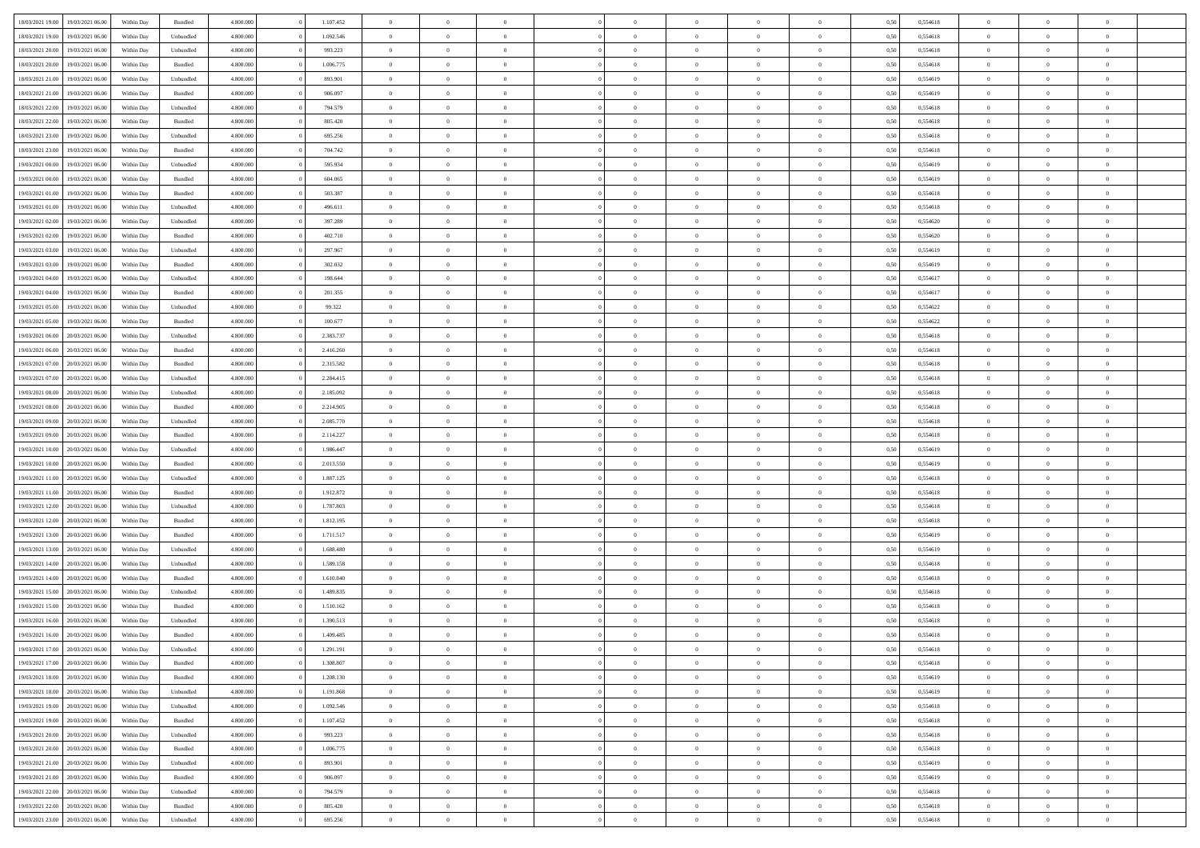| 18/03/2021 19:00                  | 19/03/2021 06:00 | Within Day | Bundled                     | 4.800.000 | 1.107.452 | $\overline{0}$             | $\theta$       |                | $\overline{0}$ | $\bf{0}$       | $\overline{0}$ | $\theta$       | 0,50 | 0,554618 | $\theta$       | $\theta$       | $\theta$       |  |
|-----------------------------------|------------------|------------|-----------------------------|-----------|-----------|----------------------------|----------------|----------------|----------------|----------------|----------------|----------------|------|----------|----------------|----------------|----------------|--|
| 18/03/2021 19:00                  | 19/03/2021 06:00 | Within Day | Unbundled                   | 4.800.000 | 1.092.546 | $\overline{0}$             | $\overline{0}$ | $\overline{0}$ | $\overline{0}$ | $\bf{0}$       | $\bf{0}$       | $\bf{0}$       | 0,50 | 0,554618 | $\,$ 0 $\,$    | $\overline{0}$ | $\overline{0}$ |  |
|                                   |                  |            |                             |           |           |                            |                |                |                |                |                |                |      |          |                |                |                |  |
| 18/03/2021 20:00                  | 19/03/2021 06:00 | Within Day | Unbundled                   | 4.800,000 | 993.223   | $\overline{0}$             | $\overline{0}$ | $\overline{0}$ | $\overline{0}$ | $\bf{0}$       | $\overline{0}$ | $\mathbf{0}$   | 0,50 | 0,554618 | $\bf{0}$       | $\overline{0}$ | $\bf{0}$       |  |
| 18/03/2021 20:00                  | 19/03/2021 06:00 | Within Day | Bundled                     | 4.800.000 | 1.006.775 | $\overline{0}$             | $\overline{0}$ | $\overline{0}$ | $\overline{0}$ | $\,0\,$        | $\overline{0}$ | $\overline{0}$ | 0,50 | 0,554618 | $\,$ 0 $\,$    | $\overline{0}$ | $\overline{0}$ |  |
| 18/03/2021 21:00                  | 19/03/2021 06.00 | Within Day | Unbundled                   | 4.800.000 | 893.901   | $\overline{0}$             | $\overline{0}$ | $\overline{0}$ | $\overline{0}$ | $\,$ 0         | $\overline{0}$ | $\bf{0}$       | 0,50 | 0,554619 | $\,$ 0 $\,$    | $\overline{0}$ | $\overline{0}$ |  |
| 18/03/2021 21:00                  | 19/03/2021 06:00 | Within Day | Bundled                     | 4.800,000 | 906,097   | $\overline{0}$             | $\overline{0}$ | $\overline{0}$ | $\overline{0}$ | $\bf{0}$       | $\overline{0}$ | $\bf{0}$       | 0.50 | 0.554619 | $\,0\,$        | $\overline{0}$ | $\overline{0}$ |  |
| 18/03/2021 22:00                  | 19/03/2021 06:00 | Within Day | Unbundled                   | 4.800.000 | 794.579   | $\overline{0}$             | $\overline{0}$ | $\overline{0}$ | $\overline{0}$ | $\bf{0}$       | $\overline{0}$ | $\bf{0}$       | 0,50 | 0,554618 | $\,$ 0 $\,$    | $\overline{0}$ | $\overline{0}$ |  |
| 18/03/2021 22:00                  | 19/03/2021 06.00 | Within Day | Bundled                     | 4.800.000 | 805.420   | $\overline{0}$             | $\overline{0}$ | $\overline{0}$ | $\overline{0}$ | $\,$ 0         | $\bf{0}$       | $\bf{0}$       | 0,50 | 0,554618 | $\,$ 0 $\,$    | $\overline{0}$ | $\overline{0}$ |  |
| 18/03/2021 23:00                  | 19/03/2021 06:00 | Within Day | Unbundled                   | 4.800,000 | 695.256   | $\overline{0}$             | $\overline{0}$ | $\overline{0}$ | $\overline{0}$ | $\bf{0}$       | $\overline{0}$ | $\bf{0}$       | 0.50 | 0.554618 | $\bf{0}$       | $\overline{0}$ | $\bf{0}$       |  |
| 18/03/2021 23:00                  | 19/03/2021 06:00 | Within Day | Bundled                     | 4.800.000 | 704.742   | $\overline{0}$             | $\overline{0}$ | $\overline{0}$ | $\overline{0}$ | $\bf{0}$       | $\overline{0}$ | $\bf{0}$       | 0,50 | 0,554618 | $\,$ 0 $\,$    | $\overline{0}$ | $\overline{0}$ |  |
| 19/03/2021 00:00                  | 19/03/2021 06.00 | Within Day | Unbundled                   | 4.800.000 | 595.934   | $\bf{0}$                   | $\overline{0}$ | $\overline{0}$ | $\overline{0}$ | $\,$ 0         | $\bf{0}$       | $\bf{0}$       | 0,50 | 0,554619 | $\,$ 0 $\,$    | $\overline{0}$ | $\overline{0}$ |  |
| 19/03/2021 00:00                  | 19/03/2021 06:00 | Within Day | Bundled                     | 4.800,000 | 604.065   | $\overline{0}$             | $\overline{0}$ | $\overline{0}$ | $\overline{0}$ | $\bf{0}$       | $\overline{0}$ | $\mathbf{0}$   | 0.50 | 0.554619 | $\overline{0}$ | $\,$ 0 $\,$    | $\bf{0}$       |  |
| 19/03/2021 01:00                  | 19/03/2021 06:00 | Within Day | Bundled                     | 4.800.000 | 503.387   | $\overline{0}$             | $\overline{0}$ | $\overline{0}$ | $\overline{0}$ | $\bf{0}$       | $\overline{0}$ | $\overline{0}$ | 0,50 | 0,554618 | $\,$ 0 $\,$    | $\overline{0}$ | $\overline{0}$ |  |
| 19/03/2021 01:00                  | 19/03/2021 06.00 | Within Day | Unbundled                   | 4.800.000 | 496.611   | $\overline{0}$             | $\theta$       | $\overline{0}$ | $\overline{0}$ | $\,$ 0         | $\bf{0}$       | $\bf{0}$       | 0,50 | 0,554618 | $\,$ 0 $\,$    | $\overline{0}$ | $\overline{0}$ |  |
| 19/03/2021 02:00                  | 19/03/2021 06:00 | Within Day | Unbundled                   | 4.800,000 | 397.289   | $\overline{0}$             | $\overline{0}$ | $\overline{0}$ | $\overline{0}$ | $\bf{0}$       | $\overline{0}$ | $\bf{0}$       | 0.50 | 0.554620 | $\,0\,$        | $\theta$       | $\overline{0}$ |  |
|                                   |                  |            |                             |           |           |                            |                |                |                |                |                |                |      |          |                |                |                |  |
| 19/03/2021 02:00                  | 19/03/2021 06:00 | Within Day | Bundled                     | 4.800.000 | 402.710   | $\overline{0}$             | $\overline{0}$ | $\overline{0}$ | $\overline{0}$ | $\bf{0}$       | $\overline{0}$ | $\bf{0}$       | 0,50 | 0,554620 | $\,$ 0 $\,$    | $\theta$       | $\overline{0}$ |  |
| 19/03/2021 03:00                  | 19/03/2021 06.00 | Within Day | Unbundled                   | 4.800.000 | 297.967   | $\overline{0}$             | $\overline{0}$ | $\overline{0}$ | $\overline{0}$ | $\,$ 0         | $\bf{0}$       | $\bf{0}$       | 0,50 | 0,554619 | $\,$ 0 $\,$    | $\overline{0}$ | $\overline{0}$ |  |
| 19/03/2021 03:00                  | 19/03/2021 06:00 | Within Day | Bundled                     | 4.800,000 | 302.032   | $\overline{0}$             | $\overline{0}$ | $\overline{0}$ | $\overline{0}$ | $\bf{0}$       | $\overline{0}$ | $\mathbf{0}$   | 0.50 | 0.554619 | $\bf{0}$       | $\overline{0}$ | $\bf{0}$       |  |
| 19/03/2021 04:00                  | 19/03/2021 06:00 | Within Day | Unbundled                   | 4.800.000 | 198.644   | $\overline{0}$             | $\overline{0}$ | $\overline{0}$ | $\overline{0}$ | $\bf{0}$       | $\overline{0}$ | $\bf{0}$       | 0,50 | 0,554617 | $\,$ 0 $\,$    | $\overline{0}$ | $\overline{0}$ |  |
| 19/03/2021 04:00                  | 19/03/2021 06.00 | Within Day | Bundled                     | 4.800.000 | 201.355   | $\overline{0}$             | $\overline{0}$ | $\overline{0}$ | $\overline{0}$ | $\bf{0}$       | $\bf{0}$       | $\bf{0}$       | 0,50 | 0,554617 | $\,$ 0 $\,$    | $\overline{0}$ | $\overline{0}$ |  |
| 19/03/2021 05:00                  | 19/03/2021 06:00 | Within Day | Unbundled                   | 4.800,000 | 99.322    | $\overline{0}$             | $\overline{0}$ | $\overline{0}$ | $\overline{0}$ | $\bf{0}$       | $\overline{0}$ | $\mathbf{0}$   | 0.50 | 0.554622 | $\,$ 0 $\,$    | $\,$ 0 $\,$    | $\overline{0}$ |  |
| 19/03/2021 05:00                  | 19/03/2021 06:00 | Within Day | Bundled                     | 4.800.000 | 100.677   | $\overline{0}$             | $\overline{0}$ | $\overline{0}$ | $\overline{0}$ | $\bf{0}$       | $\overline{0}$ | $\overline{0}$ | 0,50 | 0,554622 | $\,$ 0 $\,$    | $\overline{0}$ | $\overline{0}$ |  |
| 19/03/2021 06:00                  | 20/03/2021 06:00 | Within Day | Unbundled                   | 4.800.000 | 2.383.737 | $\overline{0}$             | $\overline{0}$ | $\overline{0}$ | $\overline{0}$ | $\,$ 0         | $\overline{0}$ | $\bf{0}$       | 0,50 | 0,554618 | $\,$ 0 $\,$    | $\overline{0}$ | $\overline{0}$ |  |
| 19/03/2021 06:00                  | 20/03/2021 06:00 | Within Day | Bundled                     | 4.800,000 | 2.416.260 | $\overline{0}$             | $\overline{0}$ | $\overline{0}$ | $\overline{0}$ | $\bf{0}$       | $\overline{0}$ | $\bf{0}$       | 0.50 | 0.554618 | $\,0\,$        | $\overline{0}$ | $\overline{0}$ |  |
| 19/03/2021 07:00                  | 20/03/2021 06:00 | Within Day | Bundled                     | 4.800.000 | 2.315.582 | $\overline{0}$             | $\overline{0}$ | $\overline{0}$ | $\overline{0}$ | $\bf{0}$       | $\overline{0}$ | $\bf{0}$       | 0,50 | 0,554618 | $\,$ 0 $\,$    | $\theta$       | $\overline{0}$ |  |
| 19/03/2021 07:00                  | 20/03/2021 06:00 | Within Day | Unbundled                   | 4.800.000 | 2.284.415 | $\overline{0}$             | $\theta$       | $\overline{0}$ | $\overline{0}$ | $\,$ 0         | $\overline{0}$ | $\bf{0}$       | 0,50 | 0,554618 | $\,$ 0 $\,$    | $\overline{0}$ | $\overline{0}$ |  |
| 19/03/2021 08:00                  | 20/03/2021 06:00 | Within Day | Unbundled                   | 4.800,000 | 2.185.092 | $\overline{0}$             | $\overline{0}$ | $\overline{0}$ | $\overline{0}$ | $\bf{0}$       | $\overline{0}$ | $\bf{0}$       | 0.50 | 0.554618 | $\bf{0}$       | $\overline{0}$ | $\bf{0}$       |  |
| 19/03/2021 08:00                  | 20/03/2021 06:00 | Within Day | Bundled                     | 4.800.000 | 2.214.905 | $\overline{0}$             | $\overline{0}$ | $\overline{0}$ | $\overline{0}$ | $\bf{0}$       | $\overline{0}$ | $\bf{0}$       | 0,50 | 0,554618 | $\,$ 0 $\,$    | $\overline{0}$ | $\overline{0}$ |  |
| 19/03/2021 09:00                  | 20/03/2021 06:00 | Within Day | Unbundled                   | 4.800.000 | 2.085.770 | $\bf{0}$                   | $\overline{0}$ | $\overline{0}$ | $\overline{0}$ | $\bf{0}$       | $\overline{0}$ | $\bf{0}$       | 0,50 | 0,554618 | $\,$ 0 $\,$    | $\overline{0}$ | $\overline{0}$ |  |
|                                   |                  |            |                             |           |           |                            |                |                |                |                |                |                |      |          |                |                |                |  |
| 19/03/2021 09:00                  | 20/03/2021 06:00 | Within Day | Bundled                     | 4.800,000 | 2.114.227 | $\overline{0}$             | $\overline{0}$ | $\overline{0}$ | $\overline{0}$ | $\bf{0}$       | $\overline{0}$ | $\mathbf{0}$   | 0.50 | 0.554618 | $\overline{0}$ | $\,$ 0 $\,$    | $\bf{0}$       |  |
| 19/03/2021 10:00                  | 20/03/2021 06:00 | Within Dav | Unbundled                   | 4.800.000 | 1.986.447 | $\overline{0}$             | $\overline{0}$ | $\overline{0}$ | $\overline{0}$ | $\overline{0}$ | $\overline{0}$ | $\overline{0}$ | 0.50 | 0,554619 | $\theta$       | $\overline{0}$ | $\overline{0}$ |  |
| 19/03/2021 10:00                  | 20/03/2021 06:00 | Within Day | Bundled                     | 4.800.000 | 2.013.550 | $\overline{0}$             | $\overline{0}$ | $\overline{0}$ | $\overline{0}$ | $\,$ 0         | $\overline{0}$ | $\bf{0}$       | 0,50 | 0,554619 | $\,$ 0 $\,$    | $\overline{0}$ | $\overline{0}$ |  |
| 19/03/2021 11:00                  | 20/03/2021 06:00 | Within Day | Unbundled                   | 4.800,000 | 1.887.125 | $\overline{0}$             | $\overline{0}$ | $\overline{0}$ | $\overline{0}$ | $\bf{0}$       | $\overline{0}$ | $\bf{0}$       | 0.50 | 0.554618 | $\,0\,$        | $\theta$       | $\overline{0}$ |  |
| 19/03/2021 11:00                  | 20/03/2021 06:00 | Within Dav | Bundled                     | 4.800.000 | 1.912.872 | $\overline{0}$             | $\overline{0}$ | $\Omega$       | $\overline{0}$ | $\mathbf{0}$   | $\overline{0}$ | $\overline{0}$ | 0,50 | 0,554618 | $\theta$       | $\overline{0}$ | $\overline{0}$ |  |
| 19/03/2021 12:00                  | 20/03/2021 06:00 | Within Day | Unbundled                   | 4.800.000 | 1.787.803 | $\overline{0}$             | $\overline{0}$ | $\overline{0}$ | $\overline{0}$ | $\,$ 0         | $\overline{0}$ | $\bf{0}$       | 0,50 | 0,554618 | $\,$ 0 $\,$    | $\overline{0}$ | $\overline{0}$ |  |
| 19/03/2021 12:00                  | 20/03/2021 06:00 | Within Day | Bundled                     | 4.800,000 | 1.812.195 | $\overline{0}$             | $\overline{0}$ | $\overline{0}$ | $\overline{0}$ | $\bf{0}$       | $\overline{0}$ | $\mathbf{0}$   | 0.50 | 0.554618 | $\bf{0}$       | $\overline{0}$ | $\bf{0}$       |  |
| 19/03/2021 13:00                  | 20/03/2021 06:00 | Within Dav | Bundled                     | 4.800.000 | 1.711.517 | $\overline{0}$             | $\overline{0}$ | $\overline{0}$ | $\overline{0}$ | $\overline{0}$ | $\overline{0}$ | $\overline{0}$ | 0,50 | 0,554619 | $\theta$       | $\overline{0}$ | $\overline{0}$ |  |
| 19/03/2021 13:00                  | 20/03/2021 06:00 | Within Day | Unbundled                   | 4.800.000 | 1.688.480 | $\overline{0}$             | $\overline{0}$ | $\overline{0}$ | $\bf{0}$       | $\bf{0}$       | $\overline{0}$ | $\bf{0}$       | 0,50 | 0,554619 | $\,$ 0 $\,$    | $\overline{0}$ | $\overline{0}$ |  |
| 19/03/2021 14:00                  | 20/03/2021 06:00 | Within Day | Unbundled                   | 4.800,000 | 1.589.158 | $\overline{0}$             | $\overline{0}$ | $\overline{0}$ | $\overline{0}$ | $\bf{0}$       | $\overline{0}$ | $\mathbf{0}$   | 0.50 | 0.554618 | $\overline{0}$ | $\,$ 0 $\,$    | $\bf{0}$       |  |
| 19/03/2021 14:00                  | 20/03/2021 06:00 | Within Dav | Bundled                     | 4.800.000 | 1.610.840 | $\overline{0}$             | $\overline{0}$ | $\Omega$       | $\overline{0}$ | $\overline{0}$ | $\overline{0}$ | $\overline{0}$ | 0,50 | 0,554618 | $\theta$       | $\overline{0}$ | $\overline{0}$ |  |
| 19/03/2021 15:00                  | 20/03/2021 06:00 | Within Day | Unbundled                   | 4.800.000 | 1.489.835 | $\overline{0}$             | $\overline{0}$ | $\overline{0}$ | $\overline{0}$ | $\bf{0}$       | $\overline{0}$ | $\bf{0}$       | 0,50 | 0,554618 | $\,$ 0 $\,$    | $\overline{0}$ | $\overline{0}$ |  |
| 19/03/2021 15:00                  | 20/03/2021 06:00 | Within Day | Bundled                     | 4.800,000 | 1.510.162 | $\overline{0}$             | $\overline{0}$ | $\overline{0}$ | $\overline{0}$ | $\bf{0}$       | $\Omega$       | $\bf{0}$       | 0.50 | 0.554618 | $\,0\,$        | $\theta$       | $\overline{0}$ |  |
| 19/03/2021 16:00                  | 20/03/2021 06:00 | Within Dav | Unbundled                   | 4.800.000 | 1.390.513 | $\overline{0}$             | $\theta$       | $\Omega$       | $\overline{0}$ | $\bf{0}$       | $\overline{0}$ | $\overline{0}$ | 0.50 | 0,554618 | $\theta$       | $\overline{0}$ | $\overline{0}$ |  |
| 19/03/2021 16:00                  | 20/03/2021 06:00 | Within Day | Bundled                     | 4.800.000 | 1.409.485 | $\overline{0}$             | $\overline{0}$ | $\overline{0}$ | $\bf{0}$       | $\,$ 0         | $\overline{0}$ | $\bf{0}$       | 0,50 | 0,554618 | $\,$ 0 $\,$    | $\overline{0}$ | $\overline{0}$ |  |
| 19/03/2021 17:00 20/03/2021 06:00 |                  | Within Day | $\ensuremath{\mathsf{Unb}}$ | 4.800.000 | 1.291.191 |                            | $\theta$       |                | $^{\circ}$     | $\bf{0}$       |                |                | 0,50 | 0,554618 | $\bf{0}$       | $\theta$       |                |  |
| 19/03/2021 17:00                  | 20/03/2021 06:00 | Within Day | Bundled                     | 4.800.000 | 1.308.807 | $\bf{0}$<br>$\overline{0}$ | $\overline{0}$ | $\overline{0}$ | $\overline{0}$ | $\overline{0}$ | $\overline{0}$ | $\mathbf{0}$   | 0,50 | 0,554618 | $\theta$       | $\overline{0}$ | $\overline{0}$ |  |
|                                   |                  |            |                             |           |           |                            |                |                |                |                |                |                |      |          |                |                |                |  |
| 19/03/2021 18:00                  | 20/03/2021 06:00 | Within Day | Bundled                     | 4.800.000 | 1.208.130 | $\overline{0}$             | $\overline{0}$ | $\overline{0}$ | $\bf{0}$       | $\overline{0}$ | $\overline{0}$ | $\bf{0}$       | 0,50 | 0,554619 | $\overline{0}$ | $\overline{0}$ | $\bf{0}$       |  |
| 19/03/2021 18:00                  | 20/03/2021 06:00 | Within Day | Unbundled                   | 4.800.000 | 1.191.868 | $\overline{0}$             | $\overline{0}$ | $\overline{0}$ | $\overline{0}$ | $\overline{0}$ | $\overline{0}$ | $\mathbf{0}$   | 0.50 | 0.554619 | $\overline{0}$ | $\bf{0}$       | $\bf{0}$       |  |
| 19/03/2021 19:00                  | 20/03/2021 06:00 | Within Day | Unbundled                   | 4.800.000 | 1.092.546 | $\overline{0}$             | $\overline{0}$ | $\overline{0}$ | $\overline{0}$ | $\overline{0}$ | $\overline{0}$ | $\mathbf{0}$   | 0,50 | 0,554618 | $\overline{0}$ | $\theta$       | $\overline{0}$ |  |
| 19/03/2021 19:00                  | 20/03/2021 06:00 | Within Day | Bundled                     | 4.800.000 | 1.107.452 | $\overline{0}$             | $\overline{0}$ | $\overline{0}$ | $\overline{0}$ | $\bf{0}$       | $\bf{0}$       | $\bf{0}$       | 0,50 | 0,554618 | $\bf{0}$       | $\overline{0}$ | $\overline{0}$ |  |
| 19/03/2021 20:00                  | 20/03/2021 06:00 | Within Day | Unbundled                   | 4.800,000 | 993.223   | $\overline{0}$             | $\overline{0}$ | $\overline{0}$ | $\overline{0}$ | $\bf{0}$       | $\overline{0}$ | $\mathbf{0}$   | 0.50 | 0.554618 | $\,$ 0 $\,$    | $\overline{0}$ | $\overline{0}$ |  |
| 19/03/2021 20:00                  | 20/03/2021 06:00 | Within Day | Bundled                     | 4.800.000 | 1.006.775 | $\overline{0}$             | $\overline{0}$ | $\overline{0}$ | $\overline{0}$ | $\overline{0}$ | $\overline{0}$ | $\overline{0}$ | 0,50 | 0,554618 | $\overline{0}$ | $\overline{0}$ | $\overline{0}$ |  |
| 19/03/2021 21:00                  | 20/03/2021 06:00 | Within Day | Unbundled                   | 4.800.000 | 893.901   | $\overline{0}$             | $\,$ 0         | $\overline{0}$ | $\bf{0}$       | $\overline{0}$ | $\overline{0}$ | $\bf{0}$       | 0,50 | 0,554619 | $\,$ 0 $\,$    | $\overline{0}$ | $\overline{0}$ |  |
| 19/03/2021 21:00                  | 20/03/2021 06:00 | Within Day | Bundled                     | 4.800,000 | 906.097   | $\overline{0}$             | $\overline{0}$ | $\overline{0}$ | $\overline{0}$ | $\bf{0}$       | $\overline{0}$ | $\mathbf{0}$   | 0.50 | 0.554619 | $\mathbf{0}$   | $\bf{0}$       | $\bf{0}$       |  |
| 19/03/2021 22.00                  | 20/03/2021 06:00 | Within Day | Unbundled                   | 4.800.000 | 794.579   | $\overline{0}$             | $\overline{0}$ | $\overline{0}$ | $\overline{0}$ | $\overline{0}$ | $\overline{0}$ | $\overline{0}$ | 0,50 | 0,554618 | $\overline{0}$ | $\overline{0}$ | $\overline{0}$ |  |
| 19/03/2021 22:00                  | 20/03/2021 06:00 | Within Day | Bundled                     | 4.800.000 | 805.420   | $\overline{0}$             | $\bf{0}$       | $\overline{0}$ | $\bf{0}$       | $\bf{0}$       | $\bf{0}$       | $\bf{0}$       | 0,50 | 0,554618 | $\overline{0}$ | $\overline{0}$ | $\bf{0}$       |  |
| 19/03/2021 23:00 20/03/2021 06:00 |                  | Within Day | Unbundled                   | 4.800.000 | 695.256   | $\,$ 0 $\,$                | $\,$ 0 $\,$    | $\overline{0}$ | $\overline{0}$ | $\,$ 0 $\,$    | $\,$ 0 $\,$    | $\,$ 0 $\,$    | 0,50 | 0,554618 | $\overline{0}$ | $\,$ 0 $\,$    | $\,$ 0 $\,$    |  |
|                                   |                  |            |                             |           |           |                            |                |                |                |                |                |                |      |          |                |                |                |  |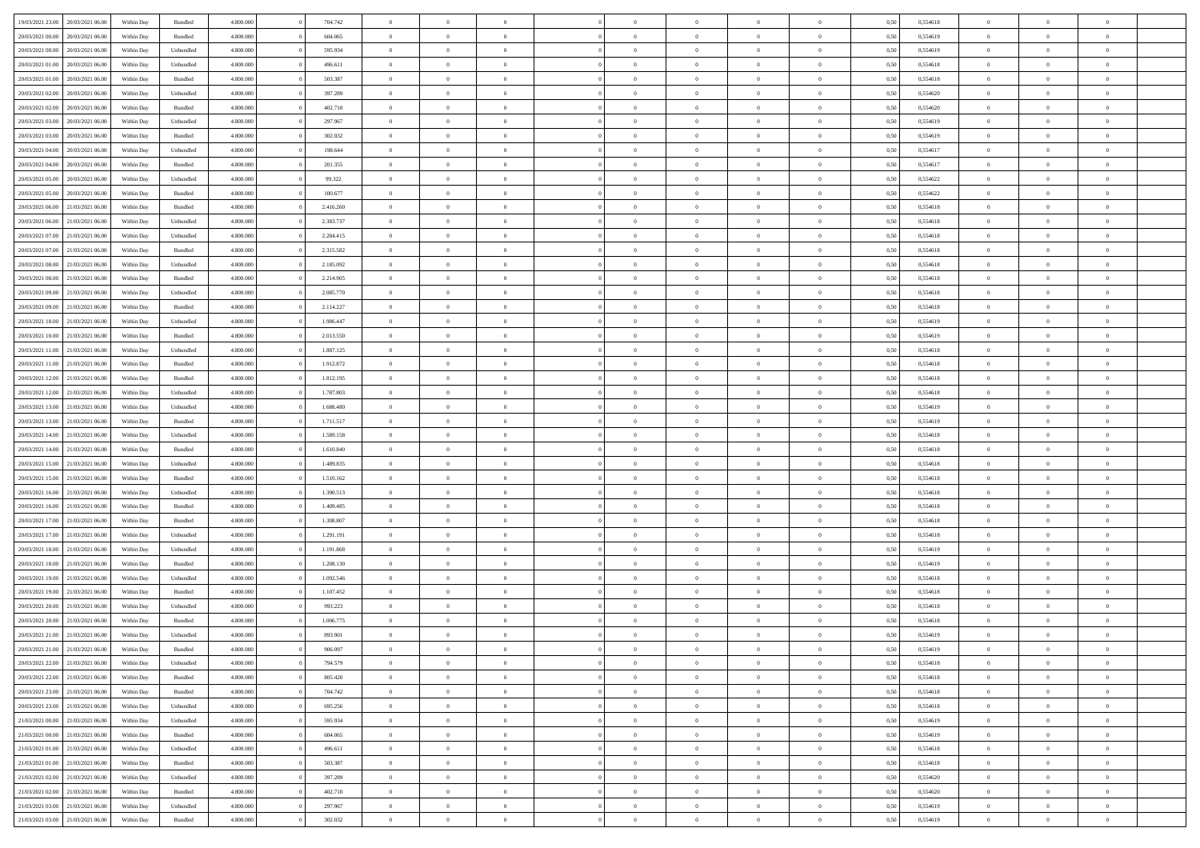| 19/03/2021 23:00                  | 20/03/2021 06:00 | Within Day | Bundled            | 4.800.000 | 704.742   | $\overline{0}$ | $\Omega$       |                | $\Omega$       | $\Omega$       | $\Omega$       | $\theta$       | 0,50 | 0,554618 | $\theta$       | $\theta$       | $\theta$       |  |
|-----------------------------------|------------------|------------|--------------------|-----------|-----------|----------------|----------------|----------------|----------------|----------------|----------------|----------------|------|----------|----------------|----------------|----------------|--|
|                                   |                  |            |                    |           |           |                |                |                |                |                |                |                |      |          |                |                |                |  |
| 20/03/2021 00:00                  | 20/03/2021 06:00 | Within Day | Bundled            | 4.800.000 | 604.065   | $\overline{0}$ | $\theta$       | $\overline{0}$ | $\overline{0}$ | $\bf{0}$       | $\overline{0}$ | $\overline{0}$ | 0,50 | 0,554619 | $\theta$       | $\theta$       | $\overline{0}$ |  |
| 20/03/2021 00:00                  | 20/03/2021 06:00 | Within Day | Unbundled          | 4.800.000 | 595.934   | $\overline{0}$ | $\overline{0}$ | $\overline{0}$ | $\bf{0}$       | $\bf{0}$       | $\bf{0}$       | $\bf{0}$       | 0,50 | 0,554619 | $\overline{0}$ | $\overline{0}$ | $\overline{0}$ |  |
| 20/03/2021 01:00                  | 20/03/2021 06:00 | Within Dav | Unbundled          | 4.800.000 | 496.611   | $\overline{0}$ | $\overline{0}$ | $\overline{0}$ | $\overline{0}$ | $\bf{0}$       | $\overline{0}$ | $\overline{0}$ | 0.50 | 0.554618 | $\theta$       | $\theta$       | $\overline{0}$ |  |
| 20/03/2021 01:00                  | 20/03/2021 06:00 | Within Day | Bundled            | 4.800.000 | 503.387   | $\overline{0}$ | $\theta$       | $\overline{0}$ | $\overline{0}$ | $\bf{0}$       | $\overline{0}$ | $\bf{0}$       | 0,50 | 0,554618 | $\theta$       | $\theta$       | $\overline{0}$ |  |
|                                   |                  |            |                    |           |           |                |                |                |                |                |                |                |      |          |                |                |                |  |
| 20/03/2021 02:00                  | 20/03/2021 06:00 | Within Day | Unbundled          | 4.800.000 | 397.289   | $\overline{0}$ | $\bf{0}$       | $\overline{0}$ | $\overline{0}$ | $\overline{0}$ | $\overline{0}$ | $\mathbf{0}$   | 0,50 | 0,554620 | $\bf{0}$       | $\overline{0}$ | $\bf{0}$       |  |
| 20/03/2021 02:00                  | 20/03/2021 06:00 | Within Dav | Bundled            | 4.800.000 | 402.710   | $\overline{0}$ | $\overline{0}$ | $\overline{0}$ | $\overline{0}$ | $\overline{0}$ | $\overline{0}$ | $\overline{0}$ | 0.50 | 0,554620 | $\theta$       | $\overline{0}$ | $\overline{0}$ |  |
| 20/03/2021 03:00                  | 20/03/2021 06:00 | Within Day | Unbundled          | 4.800.000 | 297.967   | $\overline{0}$ | $\theta$       | $\overline{0}$ | $\overline{0}$ | $\bf{0}$       | $\overline{0}$ | $\bf{0}$       | 0,50 | 0,554619 | $\theta$       | $\theta$       | $\overline{0}$ |  |
| 20/03/2021 03:00                  | 20/03/2021 06:00 | Within Day | Bundled            | 4.800.000 | 302.032   | $\overline{0}$ | $\overline{0}$ | $\overline{0}$ | $\overline{0}$ | $\bf{0}$       | $\overline{0}$ | $\bf{0}$       | 0,50 | 0,554619 | $\,0\,$        | $\overline{0}$ | $\overline{0}$ |  |
| 20/03/2021 04:00                  | 20/03/2021 06:00 | Within Dav | Unbundled          | 4.800.000 | 198.644   | $\overline{0}$ | $\overline{0}$ | $\overline{0}$ | $\overline{0}$ | $\overline{0}$ | $\overline{0}$ | $\overline{0}$ | 0.50 | 0,554617 | $\theta$       | $\overline{0}$ | $\overline{0}$ |  |
| 20/03/2021 04:00                  | 20/03/2021 06:00 | Within Day | Bundled            | 4.800.000 | 201.355   | $\overline{0}$ | $\theta$       | $\overline{0}$ | $\overline{0}$ | $\bf{0}$       | $\overline{0}$ | $\bf{0}$       | 0,50 | 0,554617 | $\theta$       | $\theta$       | $\overline{0}$ |  |
|                                   |                  |            |                    |           |           |                |                |                |                |                |                |                |      |          |                |                |                |  |
| 20/03/2021 05:00                  | 20/03/2021 06:00 | Within Day | Unbundled          | 4.800.000 | 99.322    | $\overline{0}$ | $\overline{0}$ | $\overline{0}$ | $\overline{0}$ | $\bf{0}$       | $\overline{0}$ | $\bf{0}$       | 0,50 | 0,554622 | $\bf{0}$       | $\overline{0}$ | $\overline{0}$ |  |
| 20/03/2021 05:00                  | 20/03/2021 06:00 | Within Day | Bundled            | 4.800.000 | 100.677   | $\overline{0}$ | $\overline{0}$ | $\overline{0}$ | $\overline{0}$ | $\bf{0}$       | $\overline{0}$ | $\overline{0}$ | 0.50 | 0.554622 | $\theta$       | $\theta$       | $\overline{0}$ |  |
| 20/03/2021 06:00                  | 21/03/2021 06:00 | Within Day | Bundled            | 4.800.000 | 2.416.260 | $\overline{0}$ | $\theta$       | $\overline{0}$ | $\overline{0}$ | $\bf{0}$       | $\overline{0}$ | $\overline{0}$ | 0,50 | 0,554618 | $\theta$       | $\theta$       | $\overline{0}$ |  |
| 20/03/2021 06:00                  | 21/03/2021 06:00 | Within Day | Unbundled          | 4.800.000 | 2.383.737 | $\overline{0}$ | $\bf{0}$       | $\overline{0}$ | $\bf{0}$       | $\overline{0}$ | $\overline{0}$ | $\mathbf{0}$   | 0,50 | 0,554618 | $\overline{0}$ | $\overline{0}$ | $\bf{0}$       |  |
| 20/03/2021 07:00                  | 21/03/2021 06:00 | Within Dav | Unbundled          | 4.800.000 | 2.284.415 | $\overline{0}$ | $\overline{0}$ | $\overline{0}$ | $\overline{0}$ | $\overline{0}$ | $\overline{0}$ | $\overline{0}$ | 0.50 | 0.554618 | $\theta$       | $\overline{0}$ | $\overline{0}$ |  |
| 20/03/2021 07:00                  | 21/03/2021 06:00 | Within Day | Bundled            | 4.800.000 | 2.315.582 | $\overline{0}$ | $\theta$       | $\overline{0}$ | $\overline{0}$ | $\bf{0}$       | $\overline{0}$ | $\bf{0}$       | 0,50 | 0,554618 | $\theta$       | $\theta$       | $\overline{0}$ |  |
| 20/03/2021 08:00                  | 21/03/2021 06:00 | Within Day | Unbundled          | 4.800.000 | 2.185.092 | $\overline{0}$ | $\overline{0}$ | $\overline{0}$ | $\bf{0}$       | $\bf{0}$       | $\bf{0}$       | $\bf{0}$       | 0,50 | 0,554618 | $\,0\,$        | $\overline{0}$ | $\overline{0}$ |  |
| 20/03/2021 08:00                  | 21/03/2021 06:00 |            | Bundled            | 4.800.000 | 2.214.905 | $\overline{0}$ | $\overline{0}$ | $\overline{0}$ | $\overline{0}$ | $\overline{0}$ | $\overline{0}$ | $\overline{0}$ | 0.50 | 0.554618 | $\theta$       | $\overline{0}$ | $\overline{0}$ |  |
|                                   |                  | Within Day |                    |           |           |                |                |                |                |                |                |                |      |          |                |                |                |  |
| 20/03/2021 09:00                  | 21/03/2021 06:00 | Within Day | Unbundled          | 4.800.000 | 2.085.770 | $\overline{0}$ | $\theta$       | $\overline{0}$ | $\overline{0}$ | $\bf{0}$       | $\overline{0}$ | $\bf{0}$       | 0,50 | 0,554618 | $\,$ 0 $\,$    | $\theta$       | $\overline{0}$ |  |
| 20/03/2021 09:00                  | 21/03/2021 06:00 | Within Day | Bundled            | 4.800.000 | 2.114.227 | $\overline{0}$ | $\overline{0}$ | $\overline{0}$ | $\bf{0}$       | $\bf{0}$       | $\bf{0}$       | $\bf{0}$       | 0,50 | 0,554618 | $\bf{0}$       | $\overline{0}$ | $\overline{0}$ |  |
| 20/03/2021 10:00                  | 21/03/2021 06:00 | Within Day | Unbundled          | 4.800.000 | 1.986.447 | $\overline{0}$ | $\overline{0}$ | $\overline{0}$ | $\overline{0}$ | $\bf{0}$       | $\overline{0}$ | $\overline{0}$ | 0.50 | 0.554619 | $\theta$       | $\theta$       | $\overline{0}$ |  |
| 20/03/2021 10:00                  | 21/03/2021 06:00 | Within Day | Bundled            | 4.800.000 | 2.013.550 | $\overline{0}$ | $\theta$       | $\overline{0}$ | $\overline{0}$ | $\bf{0}$       | $\overline{0}$ | $\bf{0}$       | 0,50 | 0,554619 | $\theta$       | $\overline{0}$ | $\overline{0}$ |  |
| 20/03/2021 11:00                  | 21/03/2021 06:00 | Within Day | Unbundled          | 4.800.000 | 1.887.125 | $\overline{0}$ | $\bf{0}$       | $\overline{0}$ | $\bf{0}$       | $\overline{0}$ | $\overline{0}$ | $\mathbf{0}$   | 0,50 | 0,554618 | $\overline{0}$ | $\overline{0}$ | $\bf{0}$       |  |
| 20/03/2021 11:00                  | 21/03/2021 06:00 | Within Dav | Bundled            | 4.800.000 | 1.912.872 | $\overline{0}$ | $\overline{0}$ | $\overline{0}$ | $\overline{0}$ | $\overline{0}$ | $\overline{0}$ | $\overline{0}$ | 0.50 | 0.554618 | $\theta$       | $\overline{0}$ | $\overline{0}$ |  |
|                                   |                  |            |                    |           |           |                |                |                |                |                |                |                |      |          |                |                |                |  |
| 20/03/2021 12:00                  | 21/03/2021 06:00 | Within Day | Bundled            | 4.800.000 | 1.812.195 | $\overline{0}$ | $\theta$       | $\overline{0}$ | $\overline{0}$ | $\bf{0}$       | $\overline{0}$ | $\bf{0}$       | 0,50 | 0,554618 | $\theta$       | $\theta$       | $\overline{0}$ |  |
| 20/03/2021 12:00                  | 21/03/2021 06:00 | Within Day | Unbundled          | 4.800.000 | 1.787.803 | $\overline{0}$ | $\overline{0}$ | $\overline{0}$ | $\bf{0}$       | $\bf{0}$       | $\bf{0}$       | $\bf{0}$       | 0,50 | 0,554618 | $\,0\,$        | $\overline{0}$ | $\overline{0}$ |  |
| 20/03/2021 13:00                  | 21/03/2021 06:00 | Within Day | Unbundled          | 4.800.000 | 1.688.480 | $\overline{0}$ | $\overline{0}$ | $\overline{0}$ | $\overline{0}$ | $\overline{0}$ | $\overline{0}$ | $\overline{0}$ | 0.50 | 0.554619 | $\theta$       | $\overline{0}$ | $\overline{0}$ |  |
| 20/03/2021 13:00                  | 21/03/2021 06:00 | Within Day | Bundled            | 4.800.000 | 1.711.517 | $\overline{0}$ | $\theta$       | $\overline{0}$ | $\overline{0}$ | $\bf{0}$       | $\overline{0}$ | $\bf{0}$       | 0,50 | 0,554619 | $\,$ 0 $\,$    | $\overline{0}$ | $\overline{0}$ |  |
| 20/03/2021 14:00                  | 21/03/2021 06:00 | Within Day | Unbundled          | 4.800.000 | 1.589.158 | $\overline{0}$ | $\overline{0}$ | $\overline{0}$ | $\bf{0}$       | $\bf{0}$       | $\bf{0}$       | $\bf{0}$       | 0,50 | 0,554618 | $\overline{0}$ | $\overline{0}$ | $\overline{0}$ |  |
| 20/03/2021 14:00                  | 21/03/2021 06:00 | Within Day | Bundled            | 4.800,000 | 1.610.840 | $\overline{0}$ | $\Omega$       | $\Omega$       | $\Omega$       | $\Omega$       | $\Omega$       | $\overline{0}$ | 0,50 | 0,554618 | $\,0\,$        | $\Omega$       | $\theta$       |  |
| 20/03/2021 15:00                  | 21/03/2021 06:00 | Within Day | Unbundled          | 4.800.000 | 1.489.835 | $\overline{0}$ | $\theta$       | $\overline{0}$ | $\overline{0}$ | $\bf{0}$       | $\overline{0}$ | $\bf{0}$       | 0,50 | 0,554618 | $\theta$       | $\theta$       | $\overline{0}$ |  |
|                                   |                  |            |                    |           |           |                |                |                |                |                |                |                |      |          |                |                |                |  |
| 20/03/2021 15:00                  | 21/03/2021 06:00 | Within Day | Bundled            | 4.800.000 | 1.510.162 | $\overline{0}$ | $\bf{0}$       | $\overline{0}$ | $\bf{0}$       | $\bf{0}$       | $\overline{0}$ | $\mathbf{0}$   | 0,50 | 0,554618 | $\overline{0}$ | $\overline{0}$ | $\bf{0}$       |  |
| 20/03/2021 16:00                  | 21/03/2021 06:00 | Within Day | Unbundled          | 4.800,000 | 1.390.513 | $\overline{0}$ | $\Omega$       | $\Omega$       | $\Omega$       | $\bf{0}$       | $\Omega$       | $\overline{0}$ | 0.50 | 0.554618 | $\theta$       | $\theta$       | $\theta$       |  |
| 20/03/2021 16:00                  | 21/03/2021 06:00 | Within Day | Bundled            | 4.800.000 | 1.409.485 | $\overline{0}$ | $\theta$       | $\overline{0}$ | $\overline{0}$ | $\bf{0}$       | $\overline{0}$ | $\bf{0}$       | 0,50 | 0,554618 | $\theta$       | $\theta$       | $\overline{0}$ |  |
| 20/03/2021 17:00                  | 21/03/2021 06:00 | Within Day | Bundled            | 4.800.000 | 1.308.807 | $\overline{0}$ | $\overline{0}$ | $\overline{0}$ | $\bf{0}$       | $\bf{0}$       | $\bf{0}$       | $\bf{0}$       | 0,50 | 0,554618 | $\,0\,$        | $\overline{0}$ | $\overline{0}$ |  |
| 20/03/2021 17:00                  | 21/03/2021 06:00 | Within Day | Unbundled          | 4.800,000 | 1.291.191 | $\overline{0}$ | $\Omega$       | $\Omega$       | $\Omega$       | $\Omega$       | $\theta$       | $\overline{0}$ | 0.50 | 0.554618 | $\theta$       | $\theta$       | $\theta$       |  |
| 20/03/2021 18:00                  | 21/03/2021 06:00 | Within Day | Unbundled          | 4.800.000 | 1.191.868 | $\overline{0}$ | $\theta$       | $\overline{0}$ | $\overline{0}$ | $\bf{0}$       | $\overline{0}$ | $\bf{0}$       | 0,50 | 0,554619 | $\,$ 0 $\,$    | $\overline{0}$ | $\overline{0}$ |  |
|                                   |                  |            |                    |           |           |                | $\overline{0}$ |                |                | $\bf{0}$       |                |                |      |          |                | $\overline{0}$ | $\overline{0}$ |  |
| 20/03/2021 18:00                  | 21/03/2021 06:00 | Within Day | Bundled            | 4.800.000 | 1.208.130 | $\overline{0}$ |                | $\overline{0}$ | $\bf{0}$       |                | $\bf{0}$       | $\bf{0}$       | 0,50 | 0,554619 | $\bf{0}$       |                |                |  |
| 20/03/2021 19:00                  | 21/03/2021 06:00 | Within Day | Unbundled          | 4.800,000 | 1.092.546 | $\overline{0}$ | $\Omega$       | $\Omega$       | $\Omega$       | $\Omega$       | $\overline{0}$ | $\overline{0}$ | 0,50 | 0,554618 | $\,0\,$        | $\theta$       | $\theta$       |  |
| 20/03/2021 19:00                  | 21/03/2021 06:00 | Within Day | Bundled            | 4.800.000 | 1.107.452 | $\overline{0}$ | $\theta$       | $\overline{0}$ | $\overline{0}$ | $\bf{0}$       | $\overline{0}$ | $\bf{0}$       | 0,50 | 0,554618 | $\,$ 0 $\,$    | $\overline{0}$ | $\overline{0}$ |  |
| 20/03/2021 20:00                  | 21/03/2021 06:00 | Within Day | Unbundled          | 4.800.000 | 993.223   | $\overline{0}$ | $\overline{0}$ | $\overline{0}$ | $\overline{0}$ | $\bf{0}$       | $\overline{0}$ | $\mathbf{0}$   | 0,50 | 0,554618 | $\bf{0}$       | $\overline{0}$ | $\bf{0}$       |  |
| 20/03/2021 20:00                  | 21/03/2021 06:00 | Within Day | Bundled            | 4.800,000 | 1,006,775 | $\overline{0}$ | $\Omega$       | $\Omega$       | $\Omega$       | $\Omega$       | $\Omega$       | $\overline{0}$ | 0.50 | 0.554618 | $\theta$       | $\Omega$       | $\theta$       |  |
| 20/03/2021 21:00                  | 21/03/2021 06:00 | Within Day | Unbundled          | 4.800.000 | 893.901   | $\overline{0}$ | $\overline{0}$ | $\overline{0}$ | $\bf{0}$       | $\,$ 0         | $\overline{0}$ | $\bf{0}$       | 0,50 | 0,554619 | $\,0\,$        | $\overline{0}$ | $\overline{0}$ |  |
| 20/03/2021 21:00 21/03/2021 06:00 |                  | Within Day | $\mathbf B$ undled | 4.800.000 | 906.097   | $\bf{0}$       | $\bf{0}$       |                |                |                |                |                | 0,50 | 0,554619 | $\bf{0}$       | $\overline{0}$ |                |  |
| 20/03/2021 22:00                  | 21/03/2021 06:00 | Within Day | Unbundled          | 4.800.000 | 794.579   | $\overline{0}$ | $\overline{0}$ | $\overline{0}$ | $\Omega$       | $\overline{0}$ | $\overline{0}$ | $\overline{0}$ | 0,50 | 0.554618 | $\theta$       | $\theta$       | $\theta$       |  |
|                                   |                  |            |                    |           |           |                | $\bf{0}$       |                |                | $\,$ 0 $\,$    |                |                |      |          | $\,$ 0 $\,$    | $\,$ 0 $\,$    | $\,$ 0         |  |
| 20/03/2021 22:00                  | 21/03/2021 06:00 | Within Day | Bundled            | 4.800.000 | 805.420   | $\overline{0}$ |                | $\overline{0}$ | $\overline{0}$ |                | $\overline{0}$ | $\,$ 0 $\,$    | 0,50 | 0,554618 |                |                |                |  |
| 20/03/2021 23:00                  | 21/03/2021 06:00 | Within Day | Bundled            | 4.800.000 | 704.742   | $\overline{0}$ | $\overline{0}$ | $\overline{0}$ | $\overline{0}$ | $\overline{0}$ | $\overline{0}$ | $\mathbf{0}$   | 0,50 | 0,554618 | $\overline{0}$ | $\bf{0}$       | $\overline{0}$ |  |
| 20/03/2021 23:00                  | 21/03/2021 06:00 | Within Day | Unbundled          | 4.800,000 | 695.256   | $\overline{0}$ | $\overline{0}$ | $\overline{0}$ | $\Omega$       | $\overline{0}$ | $\overline{0}$ | $\overline{0}$ | 0,50 | 0,554618 | $\overline{0}$ | $\,$ 0 $\,$    | $\overline{0}$ |  |
| 21/03/2021 00:00                  | 21/03/2021 06:00 | Within Day | Unbundled          | 4.800.000 | 595.934   | $\overline{0}$ | $\,$ 0         | $\overline{0}$ | $\overline{0}$ | $\,$ 0 $\,$    | $\overline{0}$ | $\mathbf{0}$   | 0,50 | 0,554619 | $\,$ 0 $\,$    | $\overline{0}$ | $\,$ 0         |  |
| 21/03/2021 00:00                  | 21/03/2021 06:00 | Within Day | Bundled            | 4.800.000 | 604.065   | $\overline{0}$ | $\overline{0}$ | $\overline{0}$ | $\overline{0}$ | $\overline{0}$ | $\overline{0}$ | $\mathbf{0}$   | 0,50 | 0,554619 | $\overline{0}$ | $\overline{0}$ | $\overline{0}$ |  |
| 21/03/2021 01:00                  | 21/03/2021 06:00 | Within Day | Unbundled          | 4.800,000 | 496.611   | $\overline{0}$ | $\overline{0}$ | $\overline{0}$ | $\overline{0}$ | $\overline{0}$ | $\overline{0}$ | $\overline{0}$ | 0.50 | 0,554618 | $\overline{0}$ | $\theta$       | $\overline{0}$ |  |
| 21/03/2021 01:00                  | 21/03/2021 06:00 | Within Day | Bundled            | 4.800.000 | 503.387   | $\overline{0}$ | $\,$ 0         | $\overline{0}$ | $\overline{0}$ | $\bf{0}$       | $\overline{0}$ | $\bf{0}$       | 0,50 | 0,554618 | $\,$ 0 $\,$    | $\overline{0}$ | $\overline{0}$ |  |
|                                   |                  |            |                    |           |           |                |                |                |                |                |                |                |      |          |                |                |                |  |
| 21/03/2021 02:00                  | 21/03/2021 06:00 | Within Day | Unbundled          | 4.800.000 | 397.289   | $\overline{0}$ | $\bf{0}$       | $\overline{0}$ | $\overline{0}$ | $\overline{0}$ | $\overline{0}$ | $\mathbf{0}$   | 0,50 | 0,554620 | $\overline{0}$ | $\overline{0}$ | $\bf{0}$       |  |
| 21/03/2021 02:00                  | 21/03/2021 06:00 | Within Day | Bundled            | 4.800,000 | 402.710   | $\overline{0}$ | $\overline{0}$ | $\overline{0}$ | $\Omega$       | $\overline{0}$ | $\overline{0}$ | $\overline{0}$ | 0.50 | 0,554620 | $\overline{0}$ | $\overline{0}$ | $\overline{0}$ |  |
| 21/03/2021 03:00                  | 21/03/2021 06:00 | Within Day | Unbundled          | 4.800.000 | 297.967   | $\overline{0}$ | $\bf{0}$       | $\overline{0}$ | $\bf{0}$       | $\bf{0}$       | $\overline{0}$ | $\mathbf{0}$   | 0,50 | 0,554619 | $\,$ 0 $\,$    | $\,$ 0 $\,$    | $\bf{0}$       |  |
| 21/03/2021 03:00 21/03/2021 06:00 |                  | Within Day | Bundled            | 4.800.000 | 302.032   | $\overline{0}$ | $\overline{0}$ | $\overline{0}$ | $\overline{0}$ | $\overline{0}$ | $\overline{0}$ | $\mathbf{0}$   | 0,50 | 0,554619 | $\overline{0}$ | $\bf{0}$       | $\overline{0}$ |  |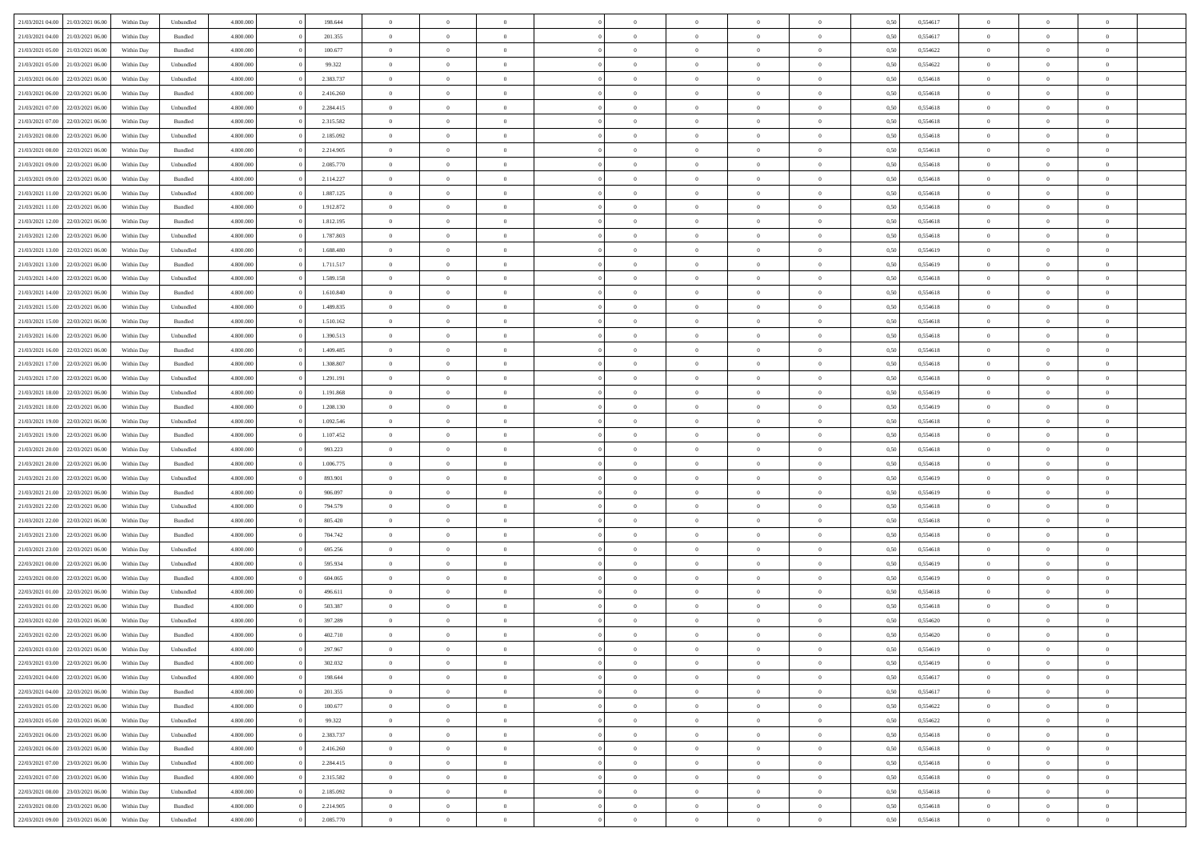| 21/03/2021 04:00                  | 21/03/2021 06:00 | Within Dav | Unbundled | 4.800.000 | 198.644   | $\overline{0}$ | $\Omega$       |                | $\Omega$       | $\Omega$       | $\Omega$       | $\theta$       | 0,50 | 0,554617 | $\theta$       | $\theta$       | $\theta$       |  |
|-----------------------------------|------------------|------------|-----------|-----------|-----------|----------------|----------------|----------------|----------------|----------------|----------------|----------------|------|----------|----------------|----------------|----------------|--|
|                                   |                  |            |           |           |           |                |                |                |                |                |                |                |      |          |                |                |                |  |
| 21/03/2021 04:00                  | 21/03/2021 06:00 | Within Day | Bundled   | 4.800.000 | 201.355   | $\overline{0}$ | $\theta$       | $\overline{0}$ | $\overline{0}$ | $\bf{0}$       | $\overline{0}$ | $\overline{0}$ | 0,50 | 0,554617 | $\theta$       | $\theta$       | $\overline{0}$ |  |
| 21/03/2021 05:00                  | 21/03/2021 06:00 | Within Day | Bundled   | 4.800.000 | 100.677   | $\overline{0}$ | $\overline{0}$ | $\overline{0}$ | $\overline{0}$ | $\bf{0}$       | $\overline{0}$ | $\bf{0}$       | 0,50 | 0,554622 | $\bf{0}$       | $\overline{0}$ | $\overline{0}$ |  |
| 21/03/2021 05:00                  | 21/03/2021 06:00 | Within Dav | Unbundled | 4.800.000 | 99.322    | $\overline{0}$ | $\theta$       | $\overline{0}$ | $\overline{0}$ | $\bf{0}$       | $\overline{0}$ | $\overline{0}$ | 0.50 | 0.554622 | $\theta$       | $\theta$       | $\overline{0}$ |  |
| 21/03/2021 06:00                  | 22/03/2021 06:00 | Within Day | Unbundled | 4.800.000 | 2.383.737 | $\overline{0}$ | $\theta$       | $\overline{0}$ | $\overline{0}$ | $\bf{0}$       | $\overline{0}$ | $\bf{0}$       | 0,50 | 0,554618 | $\theta$       | $\theta$       | $\overline{0}$ |  |
|                                   |                  |            |           |           |           |                |                |                |                |                |                |                |      |          |                |                |                |  |
| 21/03/2021 06:00                  | 22/03/2021 06:00 | Within Day | Bundled   | 4.800.000 | 2.416.260 | $\overline{0}$ | $\bf{0}$       | $\overline{0}$ | $\overline{0}$ | $\overline{0}$ | $\overline{0}$ | $\mathbf{0}$   | 0,50 | 0,554618 | $\bf{0}$       | $\overline{0}$ | $\bf{0}$       |  |
| 21/03/2021 07:00                  | 22/03/2021 06:00 | Within Dav | Unbundled | 4.800.000 | 2.284.415 | $\overline{0}$ | $\overline{0}$ | $\overline{0}$ | $\overline{0}$ | $\bf{0}$       | $\overline{0}$ | $\overline{0}$ | 0.50 | 0.554618 | $\theta$       | $\overline{0}$ | $\overline{0}$ |  |
| 21/03/2021 07:00                  | 22/03/2021 06:00 | Within Day | Bundled   | 4.800.000 | 2.315.582 | $\overline{0}$ | $\theta$       | $\overline{0}$ | $\overline{0}$ | $\bf{0}$       | $\overline{0}$ | $\bf{0}$       | 0,50 | 0,554618 | $\theta$       | $\theta$       | $\overline{0}$ |  |
| 21/03/2021 08:00                  | 22/03/2021 06:00 | Within Day | Unbundled | 4.800.000 | 2.185.092 | $\overline{0}$ | $\overline{0}$ | $\overline{0}$ | $\overline{0}$ | $\bf{0}$       | $\overline{0}$ | $\bf{0}$       | 0,50 | 0,554618 | $\,0\,$        | $\overline{0}$ | $\overline{0}$ |  |
| 21/03/2021 08:00                  | 22/03/2021 06:00 | Within Dav | Bundled   | 4.800.000 | 2.214.905 | $\overline{0}$ | $\overline{0}$ | $\overline{0}$ | $\overline{0}$ | $\overline{0}$ | $\overline{0}$ | $\overline{0}$ | 0.50 | 0.554618 | $\theta$       | $\overline{0}$ | $\overline{0}$ |  |
| 21/03/2021 09:00                  | 22/03/2021 06:00 | Within Day | Unbundled | 4.800.000 | 2.085.770 | $\overline{0}$ | $\theta$       | $\overline{0}$ | $\overline{0}$ | $\bf{0}$       | $\overline{0}$ | $\bf{0}$       | 0,50 | 0,554618 | $\theta$       | $\theta$       | $\overline{0}$ |  |
|                                   |                  |            |           |           |           |                |                |                |                |                |                |                |      |          |                |                |                |  |
| 21/03/2021 09:00                  | 22/03/2021 06:00 | Within Day | Bundled   | 4.800.000 | 2.114.227 | $\overline{0}$ | $\overline{0}$ | $\overline{0}$ | $\overline{0}$ | $\bf{0}$       | $\overline{0}$ | $\bf{0}$       | 0,50 | 0,554618 | $\bf{0}$       | $\overline{0}$ | $\overline{0}$ |  |
| 21/03/2021 11:00                  | 22/03/2021 06:00 | Within Day | Unbundled | 4.800.000 | 1.887.125 | $\overline{0}$ | $\overline{0}$ | $\overline{0}$ | $\overline{0}$ | $\bf{0}$       | $\overline{0}$ | $\overline{0}$ | 0.50 | 0.554618 | $\theta$       | $\theta$       | $\overline{0}$ |  |
| 21/03/2021 11:00                  | 22/03/2021 06:00 | Within Day | Bundled   | 4.800.000 | 1.912.872 | $\overline{0}$ | $\theta$       | $\overline{0}$ | $\overline{0}$ | $\bf{0}$       | $\overline{0}$ | $\overline{0}$ | 0,50 | 0,554618 | $\theta$       | $\theta$       | $\overline{0}$ |  |
| 21/03/2021 12:00                  | 22/03/2021 06:00 | Within Day | Bundled   | 4.800.000 | 1.812.195 | $\overline{0}$ | $\bf{0}$       | $\overline{0}$ | $\bf{0}$       | $\overline{0}$ | $\overline{0}$ | $\mathbf{0}$   | 0,50 | 0,554618 | $\overline{0}$ | $\overline{0}$ | $\bf{0}$       |  |
| 21/03/2021 12:00                  | 22/03/2021 06:00 | Within Dav | Unbundled | 4.800.000 | 1.787.803 | $\overline{0}$ | $\overline{0}$ | $\overline{0}$ | $\overline{0}$ | $\overline{0}$ | $\overline{0}$ | $\overline{0}$ | 0.50 | 0.554618 | $\theta$       | $\overline{0}$ | $\overline{0}$ |  |
| 21/03/2021 13:00                  | 22/03/2021 06:00 | Within Day | Unbundled | 4.800.000 | 1.688.480 | $\overline{0}$ | $\theta$       | $\overline{0}$ | $\overline{0}$ | $\bf{0}$       | $\overline{0}$ | $\bf{0}$       | 0,50 | 0,554619 | $\theta$       | $\theta$       | $\overline{0}$ |  |
| 21/03/2021 13:00                  | 22/03/2021 06:00 | Within Day | Bundled   | 4.800.000 | 1.711.517 | $\overline{0}$ | $\overline{0}$ | $\overline{0}$ | $\bf{0}$       | $\bf{0}$       | $\bf{0}$       | $\bf{0}$       | 0,50 | 0,554619 | $\,0\,$        | $\overline{0}$ | $\overline{0}$ |  |
|                                   |                  |            |           |           |           |                | $\overline{0}$ |                |                | $\overline{0}$ |                |                |      |          | $\theta$       | $\overline{0}$ | $\overline{0}$ |  |
| 21/03/2021 14:00                  | 22/03/2021 06:00 | Within Day | Unbundled | 4.800.000 | 1.589.158 | $\overline{0}$ |                | $\overline{0}$ | $\overline{0}$ |                | $\overline{0}$ | $\overline{0}$ | 0.50 | 0.554618 |                |                |                |  |
| 21/03/2021 14:00                  | 22/03/2021 06:00 | Within Day | Bundled   | 4.800.000 | 1.610.840 | $\overline{0}$ | $\theta$       | $\overline{0}$ | $\overline{0}$ | $\bf{0}$       | $\overline{0}$ | $\bf{0}$       | 0,50 | 0,554618 | $\theta$       | $\theta$       | $\overline{0}$ |  |
| 21/03/2021 15:00                  | 22/03/2021 06:00 | Within Day | Unbundled | 4.800.000 | 1.489.835 | $\overline{0}$ | $\overline{0}$ | $\overline{0}$ | $\bf{0}$       | $\bf{0}$       | $\bf{0}$       | $\bf{0}$       | 0,50 | 0,554618 | $\,0\,$        | $\overline{0}$ | $\overline{0}$ |  |
| 21/03/2021 15:00                  | 22/03/2021 06:00 | Within Day | Bundled   | 4.800.000 | 1.510.162 | $\overline{0}$ | $\overline{0}$ | $\overline{0}$ | $\overline{0}$ | $\bf{0}$       | $\overline{0}$ | $\overline{0}$ | 0.50 | 0.554618 | $\theta$       | $\theta$       | $\overline{0}$ |  |
| 21/03/2021 16:00                  | 22/03/2021 06:00 | Within Day | Unbundled | 4.800.000 | 1.390.513 | $\overline{0}$ | $\theta$       | $\overline{0}$ | $\overline{0}$ | $\bf{0}$       | $\overline{0}$ | $\bf{0}$       | 0,50 | 0,554618 | $\theta$       | $\overline{0}$ | $\overline{0}$ |  |
| 21/03/2021 16:00                  | 22/03/2021 06:00 | Within Day | Bundled   | 4.800.000 | 1.409.485 | $\overline{0}$ | $\bf{0}$       | $\overline{0}$ | $\bf{0}$       | $\overline{0}$ | $\overline{0}$ | $\mathbf{0}$   | 0,50 | 0,554618 | $\overline{0}$ | $\overline{0}$ | $\bf{0}$       |  |
| 21/03/2021 17:00                  | 22/03/2021 06:00 | Within Dav | Bundled   | 4.800.000 | 1.308.807 | $\overline{0}$ | $\overline{0}$ | $\overline{0}$ | $\overline{0}$ | $\overline{0}$ | $\overline{0}$ | $\overline{0}$ | 0.50 | 0.554618 | $\theta$       | $\theta$       | $\overline{0}$ |  |
|                                   |                  |            |           |           |           |                |                |                |                |                |                |                |      |          |                |                |                |  |
| 21/03/2021 17:00                  | 22/03/2021 06:00 | Within Day | Unbundled | 4.800.000 | 1.291.191 | $\overline{0}$ | $\theta$       | $\overline{0}$ | $\overline{0}$ | $\bf{0}$       | $\overline{0}$ | $\bf{0}$       | 0,50 | 0,554618 | $\theta$       | $\theta$       | $\overline{0}$ |  |
| 21/03/2021 18:00                  | 22/03/2021 06:00 | Within Day | Unbundled | 4.800.000 | 1.191.868 | $\overline{0}$ | $\overline{0}$ | $\overline{0}$ | $\bf{0}$       | $\bf{0}$       | $\bf{0}$       | $\bf{0}$       | 0,50 | 0,554619 | $\,0\,$        | $\overline{0}$ | $\overline{0}$ |  |
| 21/03/2021 18:00                  | 22/03/2021 06:00 | Within Day | Bundled   | 4.800.000 | 1.208.130 | $\overline{0}$ | $\overline{0}$ | $\overline{0}$ | $\overline{0}$ | $\overline{0}$ | $\overline{0}$ | $\overline{0}$ | 0.50 | 0.554619 | $\theta$       | $\overline{0}$ | $\overline{0}$ |  |
| 21/03/2021 19:00                  | 22/03/2021 06:00 | Within Day | Unbundled | 4.800.000 | 1.092.546 | $\overline{0}$ | $\theta$       | $\overline{0}$ | $\overline{0}$ | $\bf{0}$       | $\overline{0}$ | $\bf{0}$       | 0,50 | 0,554618 | $\,$ 0 $\,$    | $\theta$       | $\overline{0}$ |  |
| 21/03/2021 19:00                  | 22/03/2021 06:00 | Within Day | Bundled   | 4.800.000 | 1.107.452 | $\overline{0}$ | $\overline{0}$ | $\overline{0}$ | $\bf{0}$       | $\bf{0}$       | $\bf{0}$       | $\bf{0}$       | 0,50 | 0,554618 | $\overline{0}$ | $\overline{0}$ | $\overline{0}$ |  |
| 21/03/2021 20:00                  | 22/03/2021 06:00 | Within Day | Unbundled | 4.800.000 | 993.223   | $\overline{0}$ | $\Omega$       | $\Omega$       | $\Omega$       | $\Omega$       | $\Omega$       | $\overline{0}$ | 0,50 | 0,554618 | $\,0\,$        | $\Omega$       | $\theta$       |  |
| 21/03/2021 20:00                  | 22/03/2021 06:00 | Within Day | Bundled   | 4.800.000 | 1.006.775 | $\overline{0}$ | $\theta$       | $\overline{0}$ | $\overline{0}$ | $\bf{0}$       | $\overline{0}$ | $\bf{0}$       | 0,50 | 0,554618 | $\theta$       | $\theta$       | $\overline{0}$ |  |
|                                   |                  |            |           |           |           |                |                |                |                |                |                |                |      |          |                |                |                |  |
| 21/03/2021 21:00                  | 22/03/2021 06:00 | Within Day | Unbundled | 4.800.000 | 893.901   | $\overline{0}$ | $\bf{0}$       | $\overline{0}$ | $\bf{0}$       | $\bf{0}$       | $\overline{0}$ | $\mathbf{0}$   | 0,50 | 0,554619 | $\overline{0}$ | $\overline{0}$ | $\bf{0}$       |  |
| 21/03/2021 21:00                  | 22/03/2021 06:00 | Within Day | Bundled   | 4.800,000 | 906,097   | $\overline{0}$ | $\Omega$       | $\Omega$       | $\Omega$       | $\bf{0}$       | $\overline{0}$ | $\overline{0}$ | 0.50 | 0.554619 | $\theta$       | $\theta$       | $\theta$       |  |
| 21/03/2021 22.00                  | 22/03/2021 06:00 | Within Day | Unbundled | 4.800.000 | 794.579   | $\overline{0}$ | $\theta$       | $\overline{0}$ | $\overline{0}$ | $\bf{0}$       | $\overline{0}$ | $\bf{0}$       | 0,50 | 0,554618 | $\theta$       | $\theta$       | $\overline{0}$ |  |
| 21/03/2021 22:00                  | 22/03/2021 06:00 | Within Day | Bundled   | 4.800.000 | 805.420   | $\overline{0}$ | $\overline{0}$ | $\overline{0}$ | $\bf{0}$       | $\bf{0}$       | $\bf{0}$       | $\bf{0}$       | 0,50 | 0,554618 | $\,0\,$        | $\overline{0}$ | $\overline{0}$ |  |
| 21/03/2021 23:00                  | 22/03/2021 06:00 | Within Day | Bundled   | 4.800,000 | 704.742   | $\overline{0}$ | $\Omega$       | $\Omega$       | $\Omega$       | $\Omega$       | $\theta$       | $\overline{0}$ | 0.50 | 0.554618 | $\theta$       | $\theta$       | $\theta$       |  |
| 21/03/2021 23:00                  | 22/03/2021 06:00 | Within Day | Unbundled | 4.800.000 | 695.256   | $\overline{0}$ | $\theta$       | $\overline{0}$ | $\overline{0}$ | $\bf{0}$       | $\overline{0}$ | $\bf{0}$       | 0,50 | 0,554618 | $\,$ 0 $\,$    | $\overline{0}$ | $\overline{0}$ |  |
|                                   |                  |            |           |           |           |                | $\overline{0}$ |                |                | $\bf{0}$       |                |                |      |          |                | $\overline{0}$ | $\overline{0}$ |  |
| 22/03/2021 00:00                  | 22/03/2021 06:00 | Within Day | Unbundled | 4.800.000 | 595.934   | $\overline{0}$ |                | $\overline{0}$ | $\overline{0}$ |                | $\overline{0}$ | $\bf{0}$       | 0,50 | 0,554619 | $\bf{0}$       |                |                |  |
| 22/03/2021 00:00                  | 22/03/2021 06:00 | Within Day | Bundled   | 4.800,000 | 604,065   | $\overline{0}$ | $\Omega$       | $\Omega$       | $\Omega$       | $\Omega$       | $\overline{0}$ | $\overline{0}$ | 0,50 | 0,554619 | $\,0\,$        | $\theta$       | $\theta$       |  |
| 22/03/2021 01:00                  | 22/03/2021 06:00 | Within Day | Unbundled | 4.800.000 | 496.611   | $\overline{0}$ | $\theta$       | $\overline{0}$ | $\overline{0}$ | $\bf{0}$       | $\overline{0}$ | $\bf{0}$       | 0,50 | 0,554618 | $\,$ 0 $\,$    | $\overline{0}$ | $\overline{0}$ |  |
| 22/03/2021 01:00                  | 22/03/2021 06:00 | Within Day | Bundled   | 4.800.000 | 503.387   | $\overline{0}$ | $\overline{0}$ | $\overline{0}$ | $\overline{0}$ | $\bf{0}$       | $\overline{0}$ | $\mathbf{0}$   | 0,50 | 0,554618 | $\bf{0}$       | $\overline{0}$ | $\bf{0}$       |  |
| 22/03/2021 02:00                  | 22/03/2021 06:00 | Within Day | Unbundled | 4.800,000 | 397.289   | $\overline{0}$ | $\Omega$       | $\Omega$       | $\Omega$       | $\Omega$       | $\Omega$       | $\overline{0}$ | 0.50 | 0.554620 | $\theta$       | $\theta$       | $\theta$       |  |
| 22/03/2021 02:00                  | 22/03/2021 06:00 | Within Day | Bundled   | 4.800.000 | 402.710   | $\overline{0}$ | $\overline{0}$ | $\overline{0}$ | $\bf{0}$       | $\,$ 0         | $\overline{0}$ | $\bf{0}$       | 0,50 | 0,554620 | $\,0\,$        | $\overline{0}$ | $\overline{0}$ |  |
| 22/03/2021 03:00 22/03/2021 06:00 |                  | Within Day | Unbundled | 4.800.000 | 297.967   | $\bf{0}$       | $\bf{0}$       |                |                |                |                |                | 0,50 | 0,554619 | $\bf{0}$       | $\overline{0}$ |                |  |
| 22/03/2021 03:00                  | 22/03/2021 06:00 |            | Bundled   | 4.800.000 | 302.032   | $\overline{0}$ | $\overline{0}$ | $\overline{0}$ | $\Omega$       | $\overline{0}$ | $\overline{0}$ | $\overline{0}$ | 0.50 | 0.554619 | $\theta$       | $\theta$       | $\theta$       |  |
|                                   |                  | Within Day |           |           |           |                |                |                |                |                |                |                |      |          |                |                |                |  |
| 22/03/2021 04:00                  | 22/03/2021 06:00 | Within Day | Unbundled | 4.800.000 | 198.644   | $\overline{0}$ | $\,$ 0         | $\overline{0}$ | $\overline{0}$ | $\,$ 0 $\,$    | $\overline{0}$ | $\mathbf{0}$   | 0,50 | 0,554617 | $\,$ 0 $\,$    | $\,$ 0 $\,$    | $\,$ 0         |  |
| 22/03/2021 04:00                  | 22/03/2021 06:00 | Within Day | Bundled   | 4.800.000 | 201.355   | $\overline{0}$ | $\overline{0}$ | $\overline{0}$ | $\overline{0}$ | $\overline{0}$ | $\overline{0}$ | $\mathbf{0}$   | 0,50 | 0,554617 | $\overline{0}$ | $\bf{0}$       | $\bf{0}$       |  |
| 22/03/2021 05:00                  | 22/03/2021 06:00 | Within Day | Bundled   | 4.800,000 | 100,677   | $\overline{0}$ | $\overline{0}$ | $\overline{0}$ | $\Omega$       | $\overline{0}$ | $\overline{0}$ | $\overline{0}$ | 0,50 | 0,554622 | $\overline{0}$ | $\theta$       | $\overline{0}$ |  |
| 22/03/2021 05:00                  | 22/03/2021 06:00 | Within Day | Unbundled | 4.800.000 | 99.322    | $\overline{0}$ | $\,$ 0         | $\overline{0}$ | $\overline{0}$ | $\,$ 0 $\,$    | $\overline{0}$ | $\mathbf{0}$   | 0,50 | 0,554622 | $\,$ 0 $\,$    | $\overline{0}$ | $\overline{0}$ |  |
| 22/03/2021 06:00                  | 23/03/2021 06:00 | Within Day | Unbundled | 4.800.000 | 2.383.737 | $\overline{0}$ | $\overline{0}$ | $\overline{0}$ | $\overline{0}$ | $\overline{0}$ | $\overline{0}$ | $\mathbf{0}$   | 0,50 | 0,554618 | $\overline{0}$ | $\overline{0}$ | $\bf{0}$       |  |
| 22/03/2021 06:00                  | 23/03/2021 06:00 | Within Day | Bundled   | 4.800.000 | 2.416.260 | $\overline{0}$ | $\overline{0}$ | $\overline{0}$ | $\Omega$       | $\overline{0}$ | $\overline{0}$ | $\bf{0}$       | 0.50 | 0,554618 | $\overline{0}$ | $\theta$       | $\overline{0}$ |  |
| 22/03/2021 07:00                  | 23/03/2021 06:00 | Within Day | Unbundled | 4.800.000 | 2.284.415 | $\overline{0}$ | $\,$ 0         | $\overline{0}$ | $\overline{0}$ | $\bf{0}$       | $\overline{0}$ | $\bf{0}$       | 0,50 | 0,554618 | $\,$ 0 $\,$    | $\overline{0}$ | $\overline{0}$ |  |
|                                   |                  |            |           |           |           |                |                |                |                |                |                |                |      |          |                |                |                |  |
| 22/03/2021 07:00                  | 23/03/2021 06:00 | Within Day | Bundled   | 4.800.000 | 2.315.582 | $\overline{0}$ | $\bf{0}$       | $\overline{0}$ | $\overline{0}$ | $\overline{0}$ | $\overline{0}$ | $\mathbf{0}$   | 0,50 | 0,554618 | $\overline{0}$ | $\overline{0}$ | $\bf{0}$       |  |
| 22/03/2021 08:00                  | 23/03/2021 06:00 | Within Day | Unbundled | 4.800,000 | 2.185.092 | $\overline{0}$ | $\overline{0}$ | $\overline{0}$ | $\Omega$       | $\overline{0}$ | $\overline{0}$ | $\bf{0}$       | 0.50 | 0,554618 | $\overline{0}$ | $\overline{0}$ | $\overline{0}$ |  |
| 22/03/2021 08:00                  | 23/03/2021 06:00 | Within Day | Bundled   | 4.800.000 | 2.214.905 | $\overline{0}$ | $\bf{0}$       | $\overline{0}$ | $\overline{0}$ | $\bf{0}$       | $\overline{0}$ | $\mathbf{0}$   | 0,50 | 0,554618 | $\,$ 0 $\,$    | $\,$ 0 $\,$    | $\bf{0}$       |  |
| 22/03/2021 09:00 23/03/2021 06:00 |                  | Within Day | Unbundled | 4.800.000 | 2.085.770 | $\overline{0}$ | $\overline{0}$ | $\overline{0}$ | $\overline{0}$ | $\overline{0}$ | $\overline{0}$ | $\mathbf{0}$   | 0,50 | 0,554618 | $\overline{0}$ | $\bf{0}$       | $\bf{0}$       |  |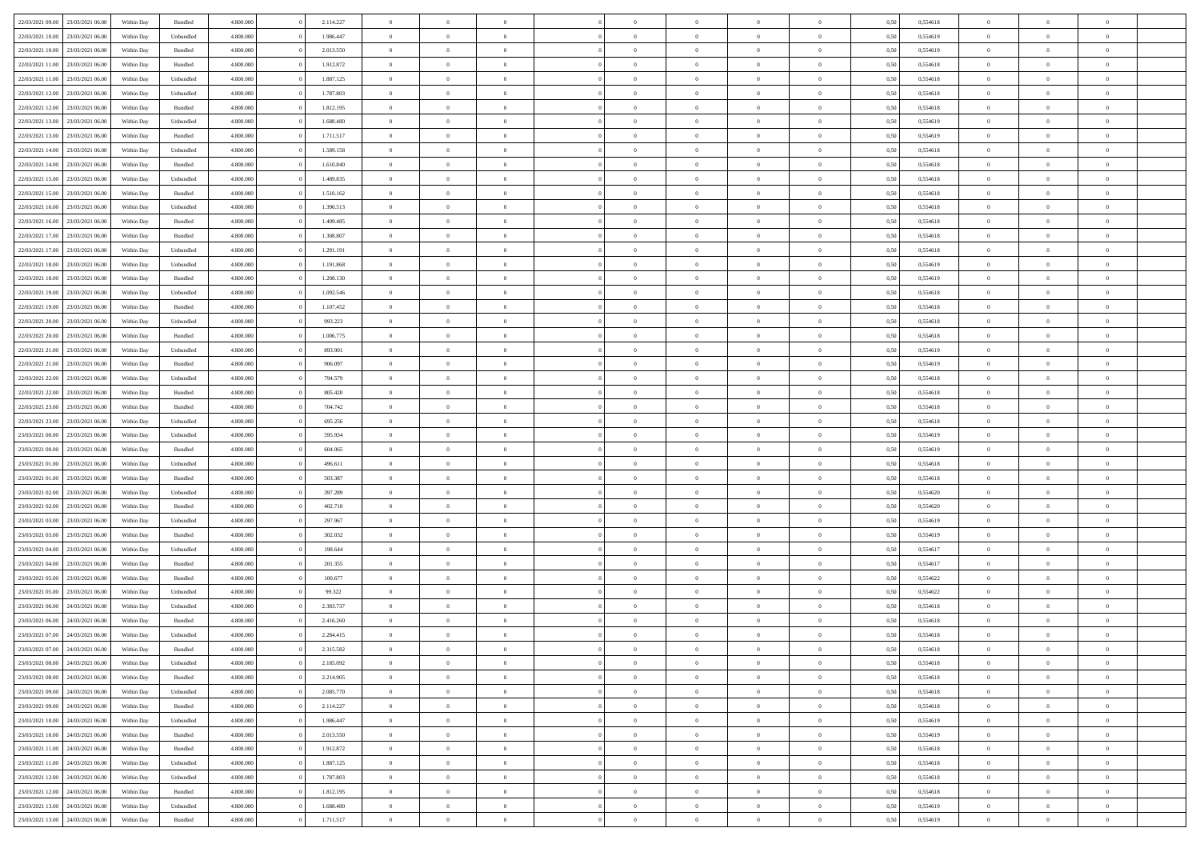| 22/03/2021 09:00                  | 23/03/2021 06:00 | Within Day | Bundled            | 4.800.000 | 2.114.227 | $\overline{0}$ | $\Omega$       |                | $\Omega$       | $\Omega$       | $\Omega$       | $\theta$       | 0,50 | 0,554618 | $\theta$       | $\theta$       | $\theta$       |  |
|-----------------------------------|------------------|------------|--------------------|-----------|-----------|----------------|----------------|----------------|----------------|----------------|----------------|----------------|------|----------|----------------|----------------|----------------|--|
|                                   |                  |            |                    |           |           |                |                |                |                |                |                |                |      |          |                |                |                |  |
| 22/03/2021 10:00                  | 23/03/2021 06:00 | Within Day | Unbundled          | 4.800.000 | 1.986.447 | $\overline{0}$ | $\theta$       | $\overline{0}$ | $\overline{0}$ | $\bf{0}$       | $\overline{0}$ | $\overline{0}$ | 0,50 | 0,554619 | $\theta$       | $\theta$       | $\overline{0}$ |  |
| 22/03/2021 10:00                  | 23/03/2021 06:00 | Within Day | Bundled            | 4.800.000 | 2.013.550 | $\overline{0}$ | $\overline{0}$ | $\overline{0}$ | $\overline{0}$ | $\bf{0}$       | $\overline{0}$ | $\bf{0}$       | 0,50 | 0,554619 | $\overline{0}$ | $\overline{0}$ | $\overline{0}$ |  |
| 22/03/2021 11:00                  | 23/03/2021 06:00 | Within Dav | Bundled            | 4.800.000 | 1.912.872 | $\overline{0}$ | $\overline{0}$ | $\overline{0}$ | $\overline{0}$ | $\bf{0}$       | $\overline{0}$ | $\overline{0}$ | 0.50 | 0.554618 | $\theta$       | $\theta$       | $\overline{0}$ |  |
| 22/03/2021 11:00                  | 23/03/2021 06:00 | Within Day | Unbundled          | 4.800.000 | 1.887.125 | $\overline{0}$ | $\theta$       | $\overline{0}$ | $\overline{0}$ | $\bf{0}$       | $\overline{0}$ | $\bf{0}$       | 0,50 | 0,554618 | $\theta$       | $\theta$       | $\overline{0}$ |  |
|                                   |                  |            |                    |           |           |                |                |                |                |                |                |                |      |          |                |                |                |  |
| 22/03/2021 12:00                  | 23/03/2021 06:00 | Within Day | Unbundled          | 4.800.000 | 1.787.803 | $\overline{0}$ | $\bf{0}$       | $\overline{0}$ | $\bf{0}$       | $\overline{0}$ | $\overline{0}$ | $\mathbf{0}$   | 0,50 | 0,554618 | $\overline{0}$ | $\overline{0}$ | $\bf{0}$       |  |
| 22/03/2021 12:00                  | 23/03/2021 06:00 | Within Dav | Bundled            | 4.800.000 | 1.812.195 | $\overline{0}$ | $\overline{0}$ | $\overline{0}$ | $\overline{0}$ | $\overline{0}$ | $\overline{0}$ | $\overline{0}$ | 0.50 | 0,554618 | $\theta$       | $\overline{0}$ | $\overline{0}$ |  |
| 22/03/2021 13:00                  | 23/03/2021 06:00 | Within Day | Unbundled          | 4.800.000 | 1.688.480 | $\overline{0}$ | $\theta$       | $\overline{0}$ | $\overline{0}$ | $\bf{0}$       | $\overline{0}$ | $\bf{0}$       | 0,50 | 0,554619 | $\theta$       | $\theta$       | $\overline{0}$ |  |
| $22/03/2021\ 13.00$               | 23/03/2021 06:00 | Within Day | Bundled            | 4.800.000 | 1.711.517 | $\overline{0}$ | $\overline{0}$ | $\overline{0}$ | $\bf{0}$       | $\bf{0}$       | $\bf{0}$       | $\bf{0}$       | 0,50 | 0,554619 | $\,0\,$        | $\overline{0}$ | $\overline{0}$ |  |
| 22/03/2021 14:00                  | 23/03/2021 06:00 | Within Dav | Unbundled          | 4.800.000 | 1.589.158 | $\overline{0}$ | $\overline{0}$ | $\overline{0}$ | $\overline{0}$ | $\overline{0}$ | $\overline{0}$ | $\overline{0}$ | 0.50 | 0.554618 | $\theta$       | $\overline{0}$ | $\overline{0}$ |  |
| 22/03/2021 14:00                  | 23/03/2021 06:00 | Within Day | Bundled            | 4.800.000 | 1.610.840 | $\overline{0}$ | $\theta$       | $\overline{0}$ | $\overline{0}$ | $\bf{0}$       | $\overline{0}$ | $\bf{0}$       | 0,50 | 0,554618 | $\theta$       | $\theta$       | $\overline{0}$ |  |
| 22/03/2021 15:00                  | 23/03/2021 06:00 | Within Day | Unbundled          | 4.800.000 | 1.489.835 | $\overline{0}$ | $\overline{0}$ | $\overline{0}$ | $\bf{0}$       | $\bf{0}$       | $\bf{0}$       | $\bf{0}$       | 0,50 | 0,554618 | $\overline{0}$ | $\overline{0}$ | $\overline{0}$ |  |
|                                   |                  |            |                    |           |           |                |                |                |                |                |                |                |      |          |                |                |                |  |
| 22/03/2021 15:00                  | 23/03/2021 06:00 | Within Day | Bundled            | 4.800.000 | 1.510.162 | $\overline{0}$ | $\overline{0}$ | $\overline{0}$ | $\overline{0}$ | $\bf{0}$       | $\overline{0}$ | $\overline{0}$ | 0.50 | 0.554618 | $\theta$       | $\theta$       | $\overline{0}$ |  |
| 22/03/2021 16:00                  | 23/03/2021 06:00 | Within Day | Unbundled          | 4.800.000 | 1.390.513 | $\overline{0}$ | $\theta$       | $\overline{0}$ | $\overline{0}$ | $\bf{0}$       | $\overline{0}$ | $\overline{0}$ | 0,50 | 0,554618 | $\theta$       | $\theta$       | $\overline{0}$ |  |
| 22/03/2021 16:00                  | 23/03/2021 06:00 | Within Day | Bundled            | 4.800.000 | 1.409.485 | $\overline{0}$ | $\bf{0}$       | $\overline{0}$ | $\bf{0}$       | $\overline{0}$ | $\overline{0}$ | $\mathbf{0}$   | 0,50 | 0,554618 | $\bf{0}$       | $\overline{0}$ | $\bf{0}$       |  |
| 22/03/2021 17:00                  | 23/03/2021 06:00 | Within Dav | Bundled            | 4.800.000 | 1.308.807 | $\overline{0}$ | $\overline{0}$ | $\overline{0}$ | $\overline{0}$ | $\overline{0}$ | $\overline{0}$ | $\overline{0}$ | 0.50 | 0.554618 | $\theta$       | $\overline{0}$ | $\overline{0}$ |  |
| 22/03/2021 17:00                  | 23/03/2021 06:00 | Within Day | Unbundled          | 4.800.000 | 1.291.191 | $\overline{0}$ | $\theta$       | $\overline{0}$ | $\overline{0}$ | $\bf{0}$       | $\overline{0}$ | $\bf{0}$       | 0,50 | 0,554618 | $\theta$       | $\theta$       | $\overline{0}$ |  |
| 22/03/2021 18:00                  | 23/03/2021 06:00 | Within Day | Unbundled          | 4.800.000 | 1.191.868 | $\overline{0}$ | $\overline{0}$ | $\overline{0}$ | $\overline{0}$ | $\bf{0}$       | $\overline{0}$ | $\bf{0}$       | 0,50 | 0,554619 | $\,0\,$        | $\overline{0}$ | $\overline{0}$ |  |
| 22/03/2021 18:00                  | 23/03/2021 06:00 | Within Day | Bundled            | 4.800.000 | 1.208.130 | $\overline{0}$ | $\overline{0}$ | $\overline{0}$ | $\overline{0}$ | $\overline{0}$ | $\overline{0}$ | $\overline{0}$ | 0.50 | 0,554619 | $\theta$       | $\overline{0}$ | $\overline{0}$ |  |
|                                   |                  |            |                    |           |           |                |                |                |                |                |                |                |      |          |                |                |                |  |
| 22/03/2021 19:00                  | 23/03/2021 06:00 | Within Day | Unbundled          | 4.800.000 | 1.092.546 | $\overline{0}$ | $\theta$       | $\overline{0}$ | $\overline{0}$ | $\bf{0}$       | $\overline{0}$ | $\bf{0}$       | 0,50 | 0,554618 | $\,$ 0 $\,$    | $\theta$       | $\overline{0}$ |  |
| 22/03/2021 19:00                  | 23/03/2021 06:00 | Within Day | Bundled            | 4.800.000 | 1.107.452 | $\overline{0}$ | $\overline{0}$ | $\overline{0}$ | $\overline{0}$ | $\bf{0}$       | $\overline{0}$ | $\bf{0}$       | 0,50 | 0,554618 | $\bf{0}$       | $\overline{0}$ | $\overline{0}$ |  |
| 22/03/2021 20:00                  | 23/03/2021 06:00 | Within Day | Unbundled          | 4.800.000 | 993.223   | $\overline{0}$ | $\overline{0}$ | $\overline{0}$ | $\overline{0}$ | $\bf{0}$       | $\overline{0}$ | $\overline{0}$ | 0.50 | 0.554618 | $\theta$       | $\theta$       | $\overline{0}$ |  |
| 22/03/2021 20:00                  | 23/03/2021 06:00 | Within Day | Bundled            | 4.800.000 | 1.006.775 | $\overline{0}$ | $\theta$       | $\overline{0}$ | $\overline{0}$ | $\bf{0}$       | $\overline{0}$ | $\bf{0}$       | 0,50 | 0,554618 | $\theta$       | $\overline{0}$ | $\overline{0}$ |  |
| 22/03/2021 21:00                  | 23/03/2021 06:00 | Within Day | Unbundled          | 4.800.000 | 893.901   | $\overline{0}$ | $\bf{0}$       | $\overline{0}$ | $\overline{0}$ | $\overline{0}$ | $\overline{0}$ | $\mathbf{0}$   | 0,50 | 0,554619 | $\bf{0}$       | $\overline{0}$ | $\bf{0}$       |  |
| 22/03/2021 21:00                  | 23/03/2021 06:00 | Within Dav | Bundled            | 4.800.000 | 906.097   | $\overline{0}$ | $\overline{0}$ | $\overline{0}$ | $\overline{0}$ | $\overline{0}$ | $\overline{0}$ | $\overline{0}$ | 0.50 | 0,554619 | $\theta$       | $\overline{0}$ | $\overline{0}$ |  |
| 22/03/2021 22:00                  | 23/03/2021 06:00 |            |                    | 4.800.000 | 794.579   | $\overline{0}$ | $\theta$       | $\overline{0}$ | $\overline{0}$ | $\bf{0}$       | $\overline{0}$ |                |      | 0,554618 | $\theta$       | $\theta$       | $\overline{0}$ |  |
|                                   |                  | Within Day | Unbundled          |           |           |                |                |                |                |                |                | $\bf{0}$       | 0,50 |          |                |                |                |  |
| 22/03/2021 22:00                  | 23/03/2021 06:00 | Within Day | Bundled            | 4.800.000 | 805.420   | $\overline{0}$ | $\overline{0}$ | $\overline{0}$ | $\overline{0}$ | $\bf{0}$       | $\overline{0}$ | $\bf{0}$       | 0,50 | 0,554618 | $\,0\,$        | $\overline{0}$ | $\overline{0}$ |  |
| 22/03/2021 23:00                  | 23/03/2021 06:00 | Within Day | Bundled            | 4.800.000 | 704.742   | $\overline{0}$ | $\overline{0}$ | $\overline{0}$ | $\overline{0}$ | $\overline{0}$ | $\overline{0}$ | $\overline{0}$ | 0.50 | 0.554618 | $\theta$       | $\overline{0}$ | $\overline{0}$ |  |
| 22/03/2021 23:00                  | 23/03/2021 06:00 | Within Day | Unbundled          | 4.800.000 | 695.256   | $\overline{0}$ | $\theta$       | $\overline{0}$ | $\overline{0}$ | $\bf{0}$       | $\overline{0}$ | $\bf{0}$       | 0,50 | 0,554618 | $\,$ 0 $\,$    | $\overline{0}$ | $\overline{0}$ |  |
| 23/03/2021 00:00                  | 23/03/2021 06:00 | Within Day | Unbundled          | 4.800.000 | 595.934   | $\overline{0}$ | $\overline{0}$ | $\overline{0}$ | $\overline{0}$ | $\bf{0}$       | $\overline{0}$ | $\bf{0}$       | 0,50 | 0,554619 | $\bf{0}$       | $\overline{0}$ | $\overline{0}$ |  |
| 23/03/2021 00:00                  | 23/03/2021 06:00 | Within Day | Bundled            | 4.800,000 | 604,065   | $\overline{0}$ | $\Omega$       | $\Omega$       | $\Omega$       | $\Omega$       | $\Omega$       | $\overline{0}$ | 0,50 | 0,554619 | $\,0\,$        | $\theta$       | $\theta$       |  |
| 23/03/2021 01:00                  | 23/03/2021 06:00 | Within Day | Unbundled          | 4.800.000 | 496.611   | $\overline{0}$ | $\theta$       | $\overline{0}$ | $\overline{0}$ | $\bf{0}$       | $\overline{0}$ | $\bf{0}$       | 0,50 | 0,554618 | $\theta$       | $\theta$       | $\overline{0}$ |  |
|                                   |                  |            |                    |           |           |                |                |                |                |                |                |                |      |          |                |                |                |  |
| 23/03/2021 01:00                  | 23/03/2021 06:00 | Within Day | Bundled            | 4.800.000 | 503.387   | $\overline{0}$ | $\overline{0}$ | $\overline{0}$ | $\overline{0}$ | $\bf{0}$       | $\overline{0}$ | $\mathbf{0}$   | 0,50 | 0,554618 | $\bf{0}$       | $\overline{0}$ | $\bf{0}$       |  |
| 23/03/2021 02:00                  | 23/03/2021 06:00 | Within Day | Unbundled          | 4.800,000 | 397.289   | $\overline{0}$ | $\Omega$       | $\Omega$       | $\Omega$       | $\bf{0}$       | $\overline{0}$ | $\overline{0}$ | 0.50 | 0.554620 | $\theta$       | $\theta$       | $\theta$       |  |
| 23/03/2021 02:00                  | 23/03/2021 06:00 | Within Day | Bundled            | 4.800.000 | 402.710   | $\overline{0}$ | $\theta$       | $\overline{0}$ | $\overline{0}$ | $\bf{0}$       | $\overline{0}$ | $\bf{0}$       | 0,50 | 0,554620 | $\,$ 0 $\,$    | $\theta$       | $\overline{0}$ |  |
| 23/03/2021 03:00                  | 23/03/2021 06:00 | Within Day | Unbundled          | 4.800.000 | 297.967   | $\overline{0}$ | $\overline{0}$ | $\overline{0}$ | $\bf{0}$       | $\bf{0}$       | $\bf{0}$       | $\bf{0}$       | 0,50 | 0,554619 | $\,0\,$        | $\overline{0}$ | $\overline{0}$ |  |
| 23/03/2021 03:00                  | 23/03/2021 06:00 | Within Day | Bundled            | 4.800,000 | 302.032   | $\overline{0}$ | $\Omega$       | $\Omega$       | $\Omega$       | $\theta$       | $\theta$       | $\overline{0}$ | 0.50 | 0.554619 | $\theta$       | $\theta$       | $\theta$       |  |
| 23/03/2021 04:00                  | 23/03/2021 06:00 | Within Day | Unbundled          | 4.800.000 | 198.644   | $\overline{0}$ | $\theta$       | $\overline{0}$ | $\overline{0}$ | $\bf{0}$       | $\overline{0}$ | $\bf{0}$       | 0,50 | 0,554617 | $\,$ 0 $\,$    | $\overline{0}$ | $\overline{0}$ |  |
| 23/03/2021 04:00                  | 23/03/2021 06:00 | Within Day | Bundled            | 4.800.000 | 201.355   | $\overline{0}$ | $\overline{0}$ | $\overline{0}$ | $\bf{0}$       | $\bf{0}$       | $\bf{0}$       | $\bf{0}$       | 0,50 | 0,554617 | $\bf{0}$       | $\overline{0}$ | $\overline{0}$ |  |
|                                   |                  |            |                    |           |           |                |                |                |                |                |                |                |      |          |                |                |                |  |
| 23/03/2021 05:00                  | 23/03/2021 06:00 | Within Day | Bundled            | 4.800,000 | 100,677   | $\overline{0}$ | $\Omega$       | $\Omega$       | $\Omega$       | $\Omega$       | $\overline{0}$ | $\overline{0}$ | 0.50 | 0,554622 | $\,0\,$        | $\theta$       | $\theta$       |  |
| 23/03/2021 05:00                  | 23/03/2021 06:00 | Within Day | Unbundled          | 4.800.000 | 99.322    | $\overline{0}$ | $\theta$       | $\overline{0}$ | $\overline{0}$ | $\bf{0}$       | $\overline{0}$ | $\bf{0}$       | 0,50 | 0,554622 | $\,$ 0 $\,$    | $\overline{0}$ | $\overline{0}$ |  |
| 23/03/2021 06:00                  | 24/03/2021 06:00 | Within Day | Unbundled          | 4.800.000 | 2.383.737 | $\overline{0}$ | $\overline{0}$ | $\overline{0}$ | $\bf{0}$       | $\bf{0}$       | $\bf{0}$       | $\mathbf{0}$   | 0,50 | 0,554618 | $\bf{0}$       | $\overline{0}$ | $\bf{0}$       |  |
| 23/03/2021 06:00                  | 24/03/2021 06:00 | Within Day | Bundled            | 4.800,000 | 2.416.260 | $\overline{0}$ | $\Omega$       | $\Omega$       | $\Omega$       | $\Omega$       | $\Omega$       | $\overline{0}$ | 0.50 | 0.554618 | $\theta$       | $\theta$       | $\theta$       |  |
| 23/03/2021 07:00                  | 24/03/2021 06:00 | Within Day | Unbundled          | 4.800.000 | 2.284.415 | $\overline{0}$ | $\,$ 0 $\,$    | $\overline{0}$ | $\bf{0}$       | $\,$ 0         | $\bf{0}$       | $\bf{0}$       | 0,50 | 0,554618 | $\,0\,$        | $\overline{0}$ | $\overline{0}$ |  |
| 23/03/2021 07:00 24/03/2021 06:00 |                  | Within Day | $\mathbf B$ undled | 4.800.000 | 2.315.582 | $\bf{0}$       | $\bf{0}$       |                |                |                |                |                | 0,50 | 0,554618 | $\bf{0}$       | $\overline{0}$ |                |  |
| 23/03/2021 08:00                  | 24/03/2021 06:00 | Within Day | Unbundled          | 4.800.000 | 2.185.092 | $\overline{0}$ | $\overline{0}$ | $\overline{0}$ | $\Omega$       | $\overline{0}$ | $\overline{0}$ | $\overline{0}$ | 0,50 | 0.554618 | $\theta$       | $\theta$       | $\theta$       |  |
| 23/03/2021 08:00                  | 24/03/2021 06.00 |            | Bundled            | 4.800.000 | 2.214.905 | $\overline{0}$ | $\,$ 0         | $\overline{0}$ |                | $\,$ 0 $\,$    | $\overline{0}$ |                |      | 0,554618 | $\,$ 0 $\,$    | $\,$ 0 $\,$    | $\,$ 0         |  |
|                                   |                  | Within Day |                    |           |           |                |                |                | $\bf{0}$       |                |                | $\mathbf{0}$   | 0,50 |          |                |                |                |  |
| 23/03/2021 09:00                  | 24/03/2021 06:00 | Within Day | Unbundled          | 4.800.000 | 2.085.770 | $\overline{0}$ | $\overline{0}$ | $\overline{0}$ | $\overline{0}$ | $\overline{0}$ | $\overline{0}$ | $\mathbf{0}$   | 0,50 | 0,554618 | $\overline{0}$ | $\bf{0}$       | $\bf{0}$       |  |
| 23/03/2021 09:00                  | 24/03/2021 06:00 | Within Day | $\mathbf B$ undled | 4.800,000 | 2.114.227 | $\overline{0}$ | $\overline{0}$ | $\overline{0}$ | $\Omega$       | $\overline{0}$ | $\overline{0}$ | $\bf{0}$       | 0,50 | 0,554618 | $\overline{0}$ | $\theta$       | $\overline{0}$ |  |
| 23/03/2021 10:00                  | 24/03/2021 06.00 | Within Day | Unbundled          | 4.800.000 | 1.986.447 | $\overline{0}$ | $\,$ 0         | $\overline{0}$ | $\overline{0}$ | $\overline{0}$ | $\overline{0}$ | $\bf{0}$       | 0,50 | 0,554619 | $\,$ 0 $\,$    | $\overline{0}$ | $\overline{0}$ |  |
| 23/03/2021 10:00                  | 24/03/2021 06:00 | Within Day | Bundled            | 4.800.000 | 2.013.550 | $\overline{0}$ | $\overline{0}$ | $\overline{0}$ | $\overline{0}$ | $\overline{0}$ | $\overline{0}$ | $\mathbf{0}$   | 0,50 | 0,554619 | $\overline{0}$ | $\overline{0}$ | $\bf{0}$       |  |
| 23/03/2021 11:00                  | 24/03/2021 06:00 | Within Day | Bundled            | 4.800,000 | 1.912.872 | $\overline{0}$ | $\overline{0}$ | $\overline{0}$ | $\Omega$       | $\overline{0}$ | $\overline{0}$ | $\bf{0}$       | 0.50 | 0,554618 | $\overline{0}$ | $\theta$       | $\overline{0}$ |  |
| 23/03/2021 11:00                  | 24/03/2021 06.00 | Within Day | Unbundled          | 4.800.000 | 1.887.125 | $\overline{0}$ | $\,$ 0         | $\overline{0}$ | $\bf{0}$       | $\bf{0}$       | $\bf{0}$       | $\bf{0}$       | 0,50 | 0,554618 | $\,$ 0 $\,$    | $\overline{0}$ | $\overline{0}$ |  |
|                                   |                  |            |                    |           |           |                |                |                |                |                |                |                |      |          |                |                |                |  |
| 23/03/2021 12:00                  | 24/03/2021 06:00 | Within Day | Unbundled          | 4.800.000 | 1.787.803 | $\overline{0}$ | $\bf{0}$       | $\overline{0}$ | $\overline{0}$ | $\overline{0}$ | $\overline{0}$ | $\mathbf{0}$   | 0,50 | 0,554618 | $\overline{0}$ | $\overline{0}$ | $\bf{0}$       |  |
| 23/03/2021 12:00                  | 24/03/2021 06:00 | Within Day | Bundled            | 4.800,000 | 1.812.195 | $\overline{0}$ | $\overline{0}$ | $\overline{0}$ | $\Omega$       | $\overline{0}$ | $\overline{0}$ | $\bf{0}$       | 0.50 | 0,554618 | $\overline{0}$ | $\theta$       | $\overline{0}$ |  |
| 23/03/2021 13:00                  | 24/03/2021 06.00 | Within Day | Unbundled          | 4.800.000 | 1.688.480 | $\overline{0}$ | $\bf{0}$       | $\overline{0}$ | $\overline{0}$ | $\bf{0}$       | $\bf{0}$       | $\bf{0}$       | 0,50 | 0,554619 | $\,$ 0 $\,$    | $\,$ 0 $\,$    | $\bf{0}$       |  |
| 23/03/2021 13:00 24/03/2021 06:00 |                  | Within Day | Bundled            | 4.800.000 | 1.711.517 | $\overline{0}$ | $\bf{0}$       | $\overline{0}$ | $\bf{0}$       | $\bf{0}$       | $\bf{0}$       | $\bf{0}$       | 0,50 | 0,554619 | $\overline{0}$ | $\overline{0}$ | $\bf{0}$       |  |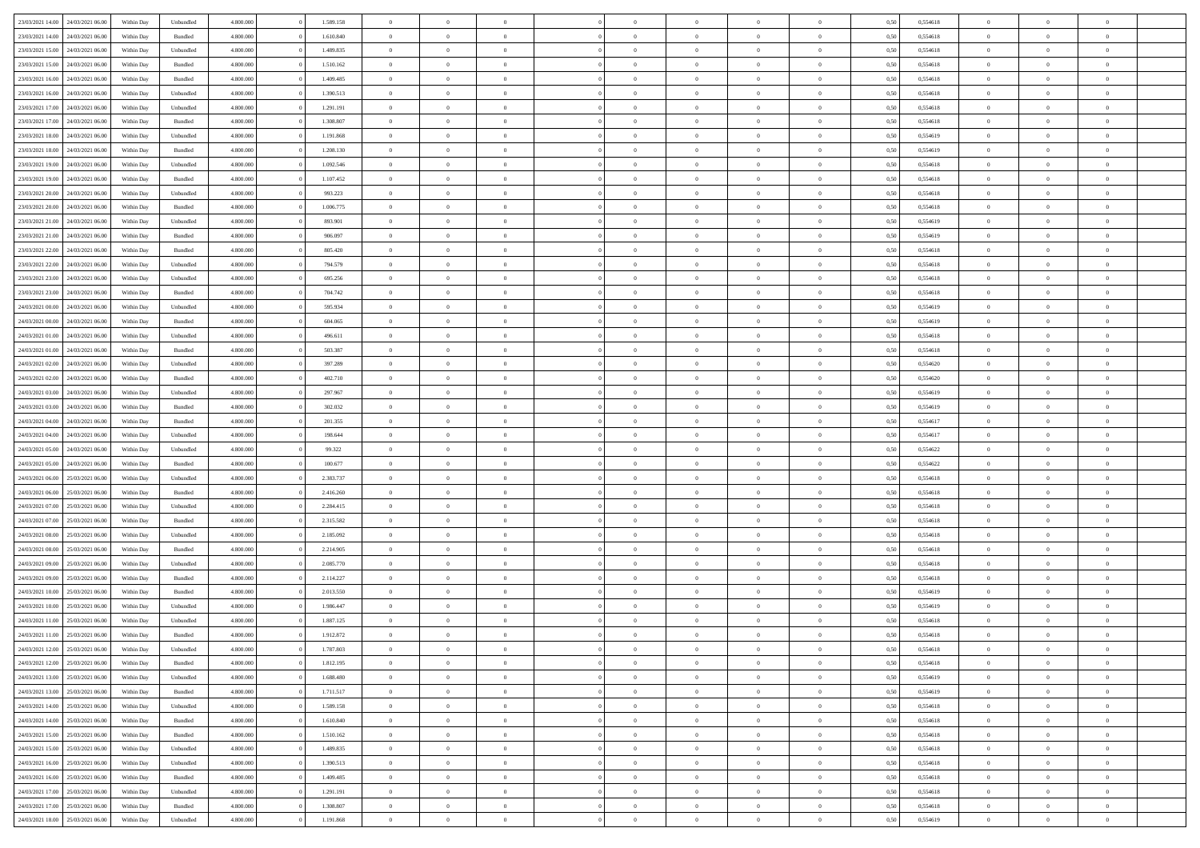| 23/03/2021 14:00                  | 24/03/2021 06:00 | Within Dav | Unbundled | 4.800.000 | 1.589.158 | $\overline{0}$ | $\Omega$       |                | $\Omega$       | $\Omega$       | $\Omega$       | $\theta$       | 0,50 | 0,554618 | $\theta$       | $\theta$       | $\theta$       |  |
|-----------------------------------|------------------|------------|-----------|-----------|-----------|----------------|----------------|----------------|----------------|----------------|----------------|----------------|------|----------|----------------|----------------|----------------|--|
|                                   |                  |            |           |           |           |                |                |                |                |                |                |                |      |          |                |                |                |  |
| 23/03/2021 14:00                  | 24/03/2021 06.00 | Within Day | Bundled   | 4.800.000 | 1.610.840 | $\overline{0}$ | $\theta$       | $\overline{0}$ | $\overline{0}$ | $\bf{0}$       | $\overline{0}$ | $\bf{0}$       | 0,50 | 0,554618 | $\theta$       | $\theta$       | $\overline{0}$ |  |
| 23/03/2021 15:00                  | 24/03/2021 06:00 | Within Day | Unbundled | 4.800.000 | 1.489.835 | $\overline{0}$ | $\overline{0}$ | $\overline{0}$ | $\bf{0}$       | $\bf{0}$       | $\overline{0}$ | $\bf{0}$       | 0,50 | 0,554618 | $\bf{0}$       | $\overline{0}$ | $\overline{0}$ |  |
| 23/03/2021 15:00                  | 24/03/2021 06:00 | Within Dav | Bundled   | 4.800.000 | 1.510.162 | $\overline{0}$ | $\overline{0}$ | $\overline{0}$ | $\overline{0}$ | $\bf{0}$       | $\overline{0}$ | $\overline{0}$ | 0.50 | 0.554618 | $\theta$       | $\theta$       | $\overline{0}$ |  |
| 23/03/2021 16:00                  | 24/03/2021 06.00 | Within Day | Bundled   | 4.800.000 | 1.409.485 | $\overline{0}$ | $\theta$       | $\overline{0}$ | $\overline{0}$ | $\bf{0}$       | $\overline{0}$ | $\bf{0}$       | 0,50 | 0,554618 | $\theta$       | $\theta$       | $\overline{0}$ |  |
| 23/03/2021 16:00                  | 24/03/2021 06:00 | Within Day | Unbundled | 4.800.000 | 1.390.513 | $\overline{0}$ | $\bf{0}$       | $\overline{0}$ | $\overline{0}$ | $\overline{0}$ | $\overline{0}$ | $\mathbf{0}$   | 0,50 | 0,554618 | $\bf{0}$       | $\overline{0}$ | $\bf{0}$       |  |
| 23/03/2021 17:00                  | 24/03/2021 06:00 | Within Dav | Unbundled | 4.800.000 | 1.291.191 | $\overline{0}$ | $\overline{0}$ | $\overline{0}$ | $\overline{0}$ | $\overline{0}$ | $\overline{0}$ | $\overline{0}$ | 0.50 | 0.554618 | $\theta$       | $\overline{0}$ | $\overline{0}$ |  |
|                                   |                  |            |           |           |           |                |                |                |                |                |                |                |      |          |                |                |                |  |
| 23/03/2021 17:00                  | 24/03/2021 06.00 | Within Day | Bundled   | 4.800.000 | 1.308.807 | $\overline{0}$ | $\theta$       | $\overline{0}$ | $\overline{0}$ | $\bf{0}$       | $\overline{0}$ | $\bf{0}$       | 0,50 | 0,554618 | $\theta$       | $\theta$       | $\overline{0}$ |  |
| 23/03/2021 18:00                  | 24/03/2021 06:00 | Within Day | Unbundled | 4.800.000 | 1.191.868 | $\overline{0}$ | $\overline{0}$ | $\overline{0}$ | $\overline{0}$ | $\bf{0}$       | $\overline{0}$ | $\bf{0}$       | 0,50 | 0,554619 | $\,0\,$        | $\overline{0}$ | $\overline{0}$ |  |
| 23/03/2021 18:00                  | 24/03/2021 06:00 | Within Dav | Bundled   | 4.800.000 | 1.208.130 | $\overline{0}$ | $\overline{0}$ | $\overline{0}$ | $\overline{0}$ | $\overline{0}$ | $\overline{0}$ | $\overline{0}$ | 0.50 | 0.554619 | $\theta$       | $\overline{0}$ | $\overline{0}$ |  |
| 23/03/2021 19:00                  | 24/03/2021 06.00 | Within Day | Unbundled | 4.800.000 | 1.092.546 | $\overline{0}$ | $\theta$       | $\overline{0}$ | $\overline{0}$ | $\bf{0}$       | $\overline{0}$ | $\bf{0}$       | 0,50 | 0,554618 | $\,$ 0 $\,$    | $\overline{0}$ | $\overline{0}$ |  |
| 23/03/2021 19:00                  | 24/03/2021 06:00 | Within Day | Bundled   | 4.800.000 | 1.107.452 | $\overline{0}$ | $\overline{0}$ | $\overline{0}$ | $\overline{0}$ | $\bf{0}$       | $\overline{0}$ | $\bf{0}$       | 0,50 | 0,554618 | $\overline{0}$ | $\overline{0}$ | $\overline{0}$ |  |
| 23/03/2021 20:00                  | 24/03/2021 06:00 | Within Day | Unbundled | 4.800.000 | 993.223   | $\overline{0}$ | $\overline{0}$ | $\overline{0}$ | $\overline{0}$ | $\bf{0}$       | $\overline{0}$ | $\overline{0}$ | 0.50 | 0.554618 | $\theta$       | $\theta$       | $\overline{0}$ |  |
| 23/03/2021 20:00                  | 24/03/2021 06.00 | Within Day | Bundled   | 4.800.000 | 1.006.775 | $\overline{0}$ | $\theta$       | $\overline{0}$ | $\overline{0}$ | $\bf{0}$       | $\overline{0}$ | $\bf{0}$       | 0,50 | 0,554618 | $\theta$       | $\theta$       | $\overline{0}$ |  |
|                                   |                  |            |           |           |           |                |                |                |                |                |                |                |      |          |                |                |                |  |
| 23/03/2021 21:00                  | 24/03/2021 06:00 | Within Day | Unbundled | 4.800.000 | 893.901   | $\overline{0}$ | $\overline{0}$ | $\overline{0}$ | $\overline{0}$ | $\overline{0}$ | $\overline{0}$ | $\mathbf{0}$   | 0,50 | 0,554619 | $\overline{0}$ | $\overline{0}$ | $\bf{0}$       |  |
| 23/03/2021 21:00                  | 24/03/2021 06:00 | Within Dav | Bundled   | 4.800.000 | 906.097   | $\overline{0}$ | $\overline{0}$ | $\overline{0}$ | $\overline{0}$ | $\overline{0}$ | $\overline{0}$ | $\overline{0}$ | 0.50 | 0.554619 | $\theta$       | $\overline{0}$ | $\overline{0}$ |  |
| 23/03/2021 22:00                  | 24/03/2021 06.00 | Within Day | Bundled   | 4.800.000 | 805.420   | $\overline{0}$ | $\theta$       | $\overline{0}$ | $\overline{0}$ | $\bf{0}$       | $\overline{0}$ | $\bf{0}$       | 0,50 | 0,554618 | $\theta$       | $\theta$       | $\overline{0}$ |  |
| 23/03/2021 22:00                  | 24/03/2021 06:00 | Within Day | Unbundled | 4.800.000 | 794.579   | $\overline{0}$ | $\overline{0}$ | $\overline{0}$ | $\overline{0}$ | $\bf{0}$       | $\overline{0}$ | $\bf{0}$       | 0,50 | 0,554618 | $\,0\,$        | $\overline{0}$ | $\overline{0}$ |  |
| 23/03/2021 23:00                  | 24/03/2021 06:00 | Within Day | Unbundled | 4.800.000 | 695.256   | $\overline{0}$ | $\overline{0}$ | $\overline{0}$ | $\overline{0}$ | $\overline{0}$ | $\overline{0}$ | $\overline{0}$ | 0.50 | 0,554618 | $\theta$       | $\overline{0}$ | $\overline{0}$ |  |
| 23/03/2021 23:00                  | 24/03/2021 06.00 | Within Day | Bundled   | 4.800.000 | 704.742   | $\overline{0}$ | $\theta$       | $\overline{0}$ | $\overline{0}$ | $\bf{0}$       | $\overline{0}$ | $\bf{0}$       | 0,50 | 0,554618 | $\,$ 0 $\,$    | $\theta$       | $\overline{0}$ |  |
| 24/03/2021 00:00                  | 24/03/2021 06:00 | Within Day | Unbundled | 4.800.000 | 595.934   | $\overline{0}$ | $\overline{0}$ | $\overline{0}$ | $\overline{0}$ | $\bf{0}$       | $\overline{0}$ | $\bf{0}$       | 0,50 | 0,554619 | $\bf{0}$       | $\overline{0}$ | $\overline{0}$ |  |
|                                   |                  |            |           |           |           |                |                |                |                |                |                |                |      |          | $\theta$       |                |                |  |
| 24/03/2021 00:00                  | 24/03/2021 06:00 | Within Day | Bundled   | 4.800.000 | 604.065   | $\overline{0}$ | $\overline{0}$ | $\overline{0}$ | $\overline{0}$ | $\bf{0}$       | $\overline{0}$ | $\overline{0}$ | 0.50 | 0.554619 |                | $\theta$       | $\overline{0}$ |  |
| 24/03/2021 01:00                  | 24/03/2021 06.00 | Within Day | Unbundled | 4.800.000 | 496.611   | $\overline{0}$ | $\theta$       | $\overline{0}$ | $\overline{0}$ | $\bf{0}$       | $\overline{0}$ | $\bf{0}$       | 0,50 | 0,554618 | $\theta$       | $\overline{0}$ | $\overline{0}$ |  |
| 24/03/2021 01:00                  | 24/03/2021 06:00 | Within Day | Bundled   | 4.800.000 | 503.387   | $\overline{0}$ | $\bf{0}$       | $\overline{0}$ | $\overline{0}$ | $\overline{0}$ | $\overline{0}$ | $\mathbf{0}$   | 0,50 | 0,554618 | $\overline{0}$ | $\overline{0}$ | $\bf{0}$       |  |
| 24/03/2021 02:00                  | 24/03/2021 06:00 | Within Dav | Unbundled | 4.800.000 | 397.289   | $\overline{0}$ | $\overline{0}$ | $\overline{0}$ | $\overline{0}$ | $\overline{0}$ | $\overline{0}$ | $\overline{0}$ | 0.50 | 0,554620 | $\theta$       | $\overline{0}$ | $\overline{0}$ |  |
| 24/03/2021 02:00                  | 24/03/2021 06.00 | Within Day | Bundled   | 4.800.000 | 402.710   | $\overline{0}$ | $\theta$       | $\overline{0}$ | $\overline{0}$ | $\bf{0}$       | $\overline{0}$ | $\bf{0}$       | 0,50 | 0,554620 | $\theta$       | $\theta$       | $\overline{0}$ |  |
| 24/03/2021 03:00                  | 24/03/2021 06:00 | Within Day | Unbundled | 4.800.000 | 297.967   | $\overline{0}$ | $\overline{0}$ | $\overline{0}$ | $\overline{0}$ | $\bf{0}$       | $\overline{0}$ | $\bf{0}$       | 0,50 | 0,554619 | $\,0\,$        | $\overline{0}$ | $\overline{0}$ |  |
| 24/03/2021 03:00                  | 24/03/2021 06:00 | Within Day | Bundled   | 4.800.000 | 302.032   | $\overline{0}$ | $\overline{0}$ | $\overline{0}$ | $\overline{0}$ | $\overline{0}$ | $\overline{0}$ | $\overline{0}$ | 0.50 | 0.554619 | $\theta$       | $\overline{0}$ | $\overline{0}$ |  |
|                                   |                  |            |           |           |           |                |                |                |                |                |                |                |      |          |                |                |                |  |
| 24/03/2021 04:00                  | 24/03/2021 06.00 | Within Day | Bundled   | 4.800.000 | 201.355   | $\overline{0}$ | $\theta$       | $\overline{0}$ | $\overline{0}$ | $\bf{0}$       | $\overline{0}$ | $\bf{0}$       | 0,50 | 0,554617 | $\,$ 0 $\,$    | $\overline{0}$ | $\overline{0}$ |  |
| 24/03/2021 04:00                  | 24/03/2021 06:00 | Within Day | Unbundled | 4.800.000 | 198.644   | $\overline{0}$ | $\overline{0}$ | $\overline{0}$ | $\overline{0}$ | $\bf{0}$       | $\overline{0}$ | $\bf{0}$       | 0,50 | 0,554617 | $\overline{0}$ | $\overline{0}$ | $\overline{0}$ |  |
| 24/03/2021 05:00                  | 24/03/2021 06.00 | Within Day | Unbundled | 4.800.000 | 99.322    | $\overline{0}$ | $\Omega$       | $\Omega$       | $\Omega$       | $\Omega$       | $\overline{0}$ | $\overline{0}$ | 0,50 | 0,554622 | $\,0\,$        | $\theta$       | $\theta$       |  |
| 24/03/2021 05:00                  | 24/03/2021 06.00 | Within Day | Bundled   | 4.800.000 | 100.677   | $\overline{0}$ | $\theta$       | $\overline{0}$ | $\overline{0}$ | $\bf{0}$       | $\overline{0}$ | $\bf{0}$       | 0,50 | 0,554622 | $\theta$       | $\theta$       | $\overline{0}$ |  |
| 24/03/2021 06:00                  | 25/03/2021 06:00 | Within Day | Unbundled | 4.800.000 | 2.383.737 | $\overline{0}$ | $\overline{0}$ | $\overline{0}$ | $\bf{0}$       | $\bf{0}$       | $\overline{0}$ | $\mathbf{0}$   | 0,50 | 0,554618 | $\overline{0}$ | $\overline{0}$ | $\bf{0}$       |  |
| 24/03/2021 06:00                  | 25/03/2021 06:00 | Within Day | Bundled   | 4.800,000 | 2.416.260 | $\overline{0}$ | $\Omega$       | $\Omega$       | $\Omega$       | $\bf{0}$       | $\overline{0}$ | $\overline{0}$ | 0.50 | 0.554618 | $\theta$       | $\theta$       | $\theta$       |  |
| 24/03/2021 07:00                  | 25/03/2021 06.00 | Within Day | Unbundled | 4.800.000 | 2.284.415 | $\overline{0}$ | $\theta$       | $\overline{0}$ | $\overline{0}$ | $\bf{0}$       | $\overline{0}$ | $\bf{0}$       | 0,50 | 0,554618 | $\,$ 0 $\,$    | $\theta$       | $\overline{0}$ |  |
| 24/03/2021 07:00                  | 25/03/2021 06:00 | Within Day | Bundled   | 4.800.000 | 2.315.582 | $\overline{0}$ | $\overline{0}$ | $\overline{0}$ | $\bf{0}$       | $\bf{0}$       | $\bf{0}$       | $\bf{0}$       | 0,50 | 0,554618 | $\,0\,$        | $\overline{0}$ | $\overline{0}$ |  |
|                                   |                  |            |           |           |           |                |                |                |                |                |                |                |      |          |                |                |                |  |
| 24/03/2021 08:00                  | 25/03/2021 06:00 | Within Day | Unbundled | 4.800,000 | 2.185.092 | $\overline{0}$ | $\Omega$       | $\Omega$       | $\Omega$       | $\theta$       | $\theta$       | $\overline{0}$ | 0.50 | 0.554618 | $\theta$       | $\theta$       | $\theta$       |  |
| 24/03/2021 08:00                  | 25/03/2021 06:00 | Within Day | Bundled   | 4.800.000 | 2.214.905 | $\overline{0}$ | $\theta$       | $\overline{0}$ | $\overline{0}$ | $\bf{0}$       | $\overline{0}$ | $\bf{0}$       | 0,50 | 0,554618 | $\,$ 0 $\,$    | $\overline{0}$ | $\overline{0}$ |  |
| 24/03/2021 09:00                  | 25/03/2021 06:00 | Within Day | Unbundled | 4.800.000 | 2.085.770 | $\overline{0}$ | $\overline{0}$ | $\overline{0}$ | $\bf{0}$       | $\bf{0}$       | $\bf{0}$       | $\bf{0}$       | 0,50 | 0,554618 | $\overline{0}$ | $\overline{0}$ | $\overline{0}$ |  |
| 24/03/2021 09:00                  | 25/03/2021 06:00 | Within Day | Bundled   | 4.800,000 | 2.114.227 | $\overline{0}$ | $\Omega$       | $\overline{0}$ | $\Omega$       | $\Omega$       | $\overline{0}$ | $\overline{0}$ | 0,50 | 0,554618 | $\,0\,$        | $\theta$       | $\theta$       |  |
| 24/03/2021 10:00                  | 25/03/2021 06:00 | Within Day | Bundled   | 4.800.000 | 2.013.550 | $\overline{0}$ | $\theta$       | $\overline{0}$ | $\overline{0}$ | $\bf{0}$       | $\overline{0}$ | $\bf{0}$       | 0,50 | 0,554619 | $\,$ 0 $\,$    | $\overline{0}$ | $\overline{0}$ |  |
| 24/03/2021 10:00                  | 25/03/2021 06:00 | Within Day | Unbundled | 4.800.000 | 1.986.447 | $\overline{0}$ | $\overline{0}$ | $\overline{0}$ | $\bf{0}$       | $\bf{0}$       | $\bf{0}$       | $\mathbf{0}$   | 0,50 | 0,554619 | $\overline{0}$ | $\overline{0}$ | $\bf{0}$       |  |
| 24/03/2021 11:00                  | 25/03/2021 06:00 | Within Day | Unbundled | 4.800,000 | 1.887.125 | $\overline{0}$ | $\Omega$       | $\Omega$       | $\Omega$       | $\Omega$       | $\Omega$       | $\overline{0}$ | 0.50 | 0.554618 | $\theta$       | $\theta$       | $\theta$       |  |
| 24/03/2021 11:00                  | 25/03/2021 06:00 | Within Day | Bundled   | 4.800.000 | 1.912.872 | $\overline{0}$ | $\,$ 0 $\,$    | $\overline{0}$ | $\bf{0}$       | $\,$ 0         | $\bf{0}$       | $\bf{0}$       | 0,50 | 0,554618 | $\,0\,$        | $\overline{0}$ | $\overline{0}$ |  |
| 24/03/2021 12:00 25/03/2021 06:00 |                  | Within Day | Unbundled | 4.800.000 |           |                |                |                |                |                |                |                |      |          |                |                |                |  |
|                                   |                  |            |           |           | 1.787.803 | $\bf{0}$       | $\bf{0}$       |                |                |                |                |                | 0,50 | 0,554618 | $\bf{0}$       | $\overline{0}$ |                |  |
| 24/03/2021 12:00                  | 25/03/2021 06:00 | Within Day | Bundled   | 4.800.000 | 1.812.195 | $\overline{0}$ | $\overline{0}$ | $\overline{0}$ | $\Omega$       | $\overline{0}$ | $\overline{0}$ | $\overline{0}$ | 0.50 | 0.554618 | $\theta$       | $\theta$       | $\theta$       |  |
| 24/03/2021 13:00                  | 25/03/2021 06.00 | Within Day | Unbundled | 4.800.000 | 1.688.480 | $\overline{0}$ | $\,$ 0         | $\overline{0}$ | $\bf{0}$       | $\,$ 0 $\,$    | $\overline{0}$ | $\mathbf{0}$   | 0,50 | 0,554619 | $\,$ 0 $\,$    | $\,$ 0 $\,$    | $\,$ 0         |  |
| 24/03/2021 13:00                  | 25/03/2021 06:00 | Within Day | Bundled   | 4.800.000 | 1.711.517 | $\overline{0}$ | $\overline{0}$ | $\overline{0}$ | $\overline{0}$ | $\overline{0}$ | $\overline{0}$ | $\mathbf{0}$   | 0,50 | 0,554619 | $\overline{0}$ | $\bf{0}$       | $\bf{0}$       |  |
| 24/03/2021 14:00                  | 25/03/2021 06:00 | Within Day | Unbundled | 4.800,000 | 1.589.158 | $\overline{0}$ | $\overline{0}$ | $\overline{0}$ | $\Omega$       | $\overline{0}$ | $\overline{0}$ | $\bf{0}$       | 0,50 | 0,554618 | $\overline{0}$ | $\theta$       | $\overline{0}$ |  |
| 24/03/2021 14:00                  | 25/03/2021 06.00 | Within Day | Bundled   | 4.800.000 | 1.610.840 | $\overline{0}$ | $\,$ 0         | $\overline{0}$ | $\overline{0}$ | $\,$ 0 $\,$    | $\overline{0}$ | $\bf{0}$       | 0,50 | 0,554618 | $\,$ 0 $\,$    | $\overline{0}$ | $\overline{0}$ |  |
| 24/03/2021 15:00                  | 25/03/2021 06:00 | Within Day | Bundled   | 4.800.000 | 1.510.162 | $\overline{0}$ | $\overline{0}$ | $\overline{0}$ | $\overline{0}$ | $\overline{0}$ | $\overline{0}$ | $\mathbf{0}$   | 0,50 | 0,554618 | $\overline{0}$ | $\overline{0}$ | $\bf{0}$       |  |
| 24/03/2021 15:00                  | 25/03/2021 06:00 | Within Day | Unbundled | 4.800,000 | 1.489.835 | $\overline{0}$ | $\overline{0}$ | $\overline{0}$ | $\Omega$       | $\overline{0}$ | $\overline{0}$ | $\bf{0}$       | 0.50 | 0,554618 | $\overline{0}$ | $\theta$       | $\overline{0}$ |  |
|                                   |                  |            |           |           |           |                |                |                |                |                |                |                |      |          |                |                |                |  |
| 24/03/2021 16:00                  | 25/03/2021 06.00 | Within Day | Unbundled | 4.800.000 | 1.390.513 | $\overline{0}$ | $\,$ 0         | $\overline{0}$ | $\bf{0}$       | $\bf{0}$       | $\bf{0}$       | $\bf{0}$       | 0,50 | 0,554618 | $\,$ 0 $\,$    | $\overline{0}$ | $\overline{0}$ |  |
| 24/03/2021 16:00                  | 25/03/2021 06:00 | Within Day | Bundled   | 4.800.000 | 1.409.485 | $\overline{0}$ | $\bf{0}$       | $\overline{0}$ | $\overline{0}$ | $\overline{0}$ | $\overline{0}$ | $\mathbf{0}$   | 0,50 | 0,554618 | $\overline{0}$ | $\overline{0}$ | $\bf{0}$       |  |
| 24/03/2021 17:00                  | 25/03/2021 06:00 | Within Day | Unbundled | 4.800,000 | 1.291.191 | $\overline{0}$ | $\overline{0}$ | $\overline{0}$ | $\Omega$       | $\overline{0}$ | $\overline{0}$ | $\bf{0}$       | 0.50 | 0,554618 | $\overline{0}$ | $\overline{0}$ | $\overline{0}$ |  |
| 24/03/2021 17:00                  | 25/03/2021 06.00 | Within Day | Bundled   | 4.800.000 | 1.308.807 | $\overline{0}$ | $\bf{0}$       | $\overline{0}$ | $\overline{0}$ | $\bf{0}$       | $\overline{0}$ | $\mathbf{0}$   | 0,50 | 0,554618 | $\,$ 0 $\,$    | $\,$ 0 $\,$    | $\bf{0}$       |  |
| 24/03/2021 18:00 25/03/2021 06:00 |                  | Within Day | Unbundled | 4.800.000 | 1.191.868 | $\overline{0}$ | $\overline{0}$ | $\overline{0}$ | $\overline{0}$ | $\bf{0}$       | $\overline{0}$ | $\mathbf{0}$   | 0,50 | 0,554619 | $\overline{0}$ | $\bf{0}$       | $\bf{0}$       |  |
|                                   |                  |            |           |           |           |                |                |                |                |                |                |                |      |          |                |                |                |  |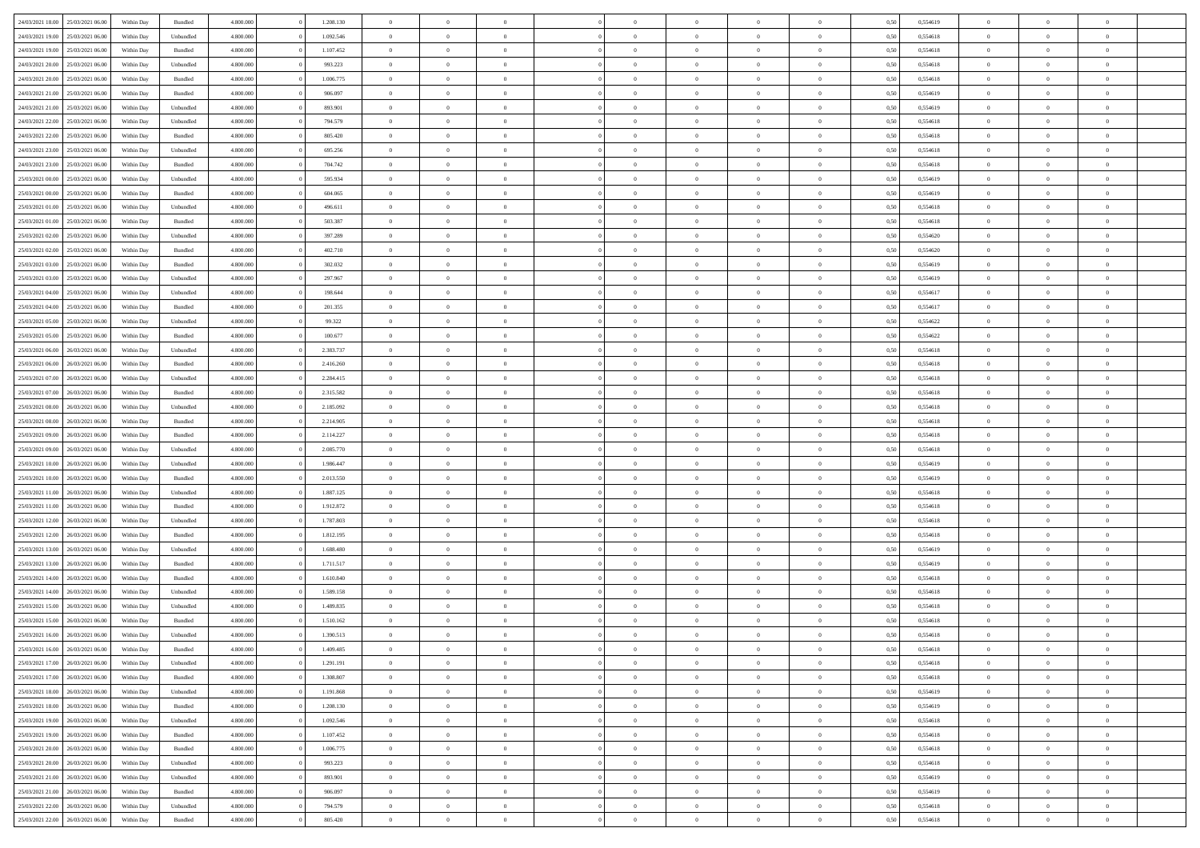| 24/03/2021 18:00 | 25/03/2021 06:00 | Within Day | Bundled            | 4.800.000 | 1.208.130 | $\overline{0}$ | $\Omega$       |                | $\Omega$       | $\Omega$       | $\Omega$       | $\theta$       | 0,50 | 0,554619 | $\theta$       | $\theta$       | $\theta$       |  |
|------------------|------------------|------------|--------------------|-----------|-----------|----------------|----------------|----------------|----------------|----------------|----------------|----------------|------|----------|----------------|----------------|----------------|--|
|                  |                  |            |                    |           |           |                |                |                |                |                |                |                |      |          |                |                |                |  |
| 24/03/2021 19:00 | 25/03/2021 06:00 | Within Day | Unbundled          | 4.800.000 | 1.092.546 | $\overline{0}$ | $\theta$       | $\overline{0}$ | $\overline{0}$ | $\bf{0}$       | $\overline{0}$ | $\bf{0}$       | 0,50 | 0,554618 | $\theta$       | $\theta$       | $\overline{0}$ |  |
| 24/03/2021 19:00 | 25/03/2021 06:00 | Within Day | Bundled            | 4.800.000 | 1.107.452 | $\overline{0}$ | $\overline{0}$ | $\overline{0}$ | $\overline{0}$ | $\bf{0}$       | $\overline{0}$ | $\bf{0}$       | 0,50 | 0,554618 | $\overline{0}$ | $\overline{0}$ | $\overline{0}$ |  |
| 24/03/2021 20:00 | 25/03/2021 06:00 | Within Dav | Unbundled          | 4.800.000 | 993.223   | $\overline{0}$ | $\overline{0}$ | $\overline{0}$ | $\overline{0}$ | $\bf{0}$       | $\overline{0}$ | $\overline{0}$ | 0.50 | 0.554618 | $\theta$       | $\theta$       | $\overline{0}$ |  |
|                  |                  |            |                    |           |           | $\overline{0}$ | $\theta$       | $\overline{0}$ |                | $\bf{0}$       | $\overline{0}$ |                |      |          | $\theta$       | $\theta$       | $\overline{0}$ |  |
| 24/03/2021 20:00 | 25/03/2021 06:00 | Within Day | Bundled            | 4.800.000 | 1.006.775 |                |                |                | $\overline{0}$ |                |                | $\bf{0}$       | 0,50 | 0,554618 |                |                |                |  |
| 24/03/2021 21:00 | 25/03/2021 06:00 | Within Day | Bundled            | 4.800.000 | 906.097   | $\overline{0}$ | $\bf{0}$       | $\overline{0}$ | $\overline{0}$ | $\overline{0}$ | $\overline{0}$ | $\mathbf{0}$   | 0,50 | 0,554619 | $\overline{0}$ | $\overline{0}$ | $\bf{0}$       |  |
| 24/03/2021 21:00 | 25/03/2021 06:00 | Within Dav | Unbundled          | 4.800.000 | 893.901   | $\overline{0}$ | $\overline{0}$ | $\overline{0}$ | $\overline{0}$ | $\overline{0}$ | $\overline{0}$ | $\overline{0}$ | 0.50 | 0,554619 | $\theta$       | $\overline{0}$ | $\overline{0}$ |  |
| 24/03/2021 22.00 | 25/03/2021 06:00 | Within Day | Unbundled          | 4.800.000 | 794.579   | $\overline{0}$ | $\theta$       | $\overline{0}$ | $\overline{0}$ | $\bf{0}$       | $\overline{0}$ | $\bf{0}$       | 0,50 | 0,554618 | $\theta$       | $\theta$       | $\overline{0}$ |  |
| 24/03/2021 22:00 | 25/03/2021 06:00 | Within Day | Bundled            | 4.800.000 | 805.420   | $\overline{0}$ | $\overline{0}$ | $\overline{0}$ | $\overline{0}$ | $\bf{0}$       | $\overline{0}$ | $\bf{0}$       | 0,50 | 0,554618 | $\,0\,$        | $\overline{0}$ | $\overline{0}$ |  |
|                  |                  |            |                    |           |           |                | $\overline{0}$ |                |                | $\overline{0}$ |                |                |      |          | $\theta$       | $\overline{0}$ | $\overline{0}$ |  |
| 24/03/2021 23:00 | 25/03/2021 06:00 | Within Dav | Unbundled          | 4.800.000 | 695.256   | $\overline{0}$ |                | $\overline{0}$ | $\overline{0}$ |                | $\overline{0}$ | $\overline{0}$ | 0.50 | 0.554618 |                |                |                |  |
| 24/03/2021 23:00 | 25/03/2021 06:00 | Within Day | Bundled            | 4.800.000 | 704.742   | $\overline{0}$ | $\theta$       | $\overline{0}$ | $\overline{0}$ | $\bf{0}$       | $\overline{0}$ | $\bf{0}$       | 0,50 | 0,554618 | $\theta$       | $\theta$       | $\overline{0}$ |  |
| 25/03/2021 00:00 | 25/03/2021 06:00 | Within Day | Unbundled          | 4.800.000 | 595.934   | $\overline{0}$ | $\overline{0}$ | $\overline{0}$ | $\overline{0}$ | $\bf{0}$       | $\overline{0}$ | $\bf{0}$       | 0,50 | 0,554619 | $\overline{0}$ | $\overline{0}$ | $\overline{0}$ |  |
| 25/03/2021 00:00 | 25/03/2021 06:00 | Within Day | Bundled            | 4.800.000 | 604.065   | $\overline{0}$ | $\overline{0}$ | $\overline{0}$ | $\overline{0}$ | $\bf{0}$       | $\overline{0}$ | $\overline{0}$ | 0.50 | 0.554619 | $\theta$       | $\theta$       | $\overline{0}$ |  |
| 25/03/2021 01:00 | 25/03/2021 06:00 | Within Day | Unbundled          | 4.800.000 | 496.611   | $\overline{0}$ | $\theta$       | $\overline{0}$ | $\overline{0}$ | $\bf{0}$       | $\overline{0}$ | $\bf{0}$       | 0,50 | 0,554618 | $\theta$       | $\theta$       | $\overline{0}$ |  |
|                  |                  |            |                    |           |           |                |                |                |                |                |                |                |      |          |                |                |                |  |
| 25/03/2021 01:00 | 25/03/2021 06:00 | Within Day | Bundled            | 4.800.000 | 503.387   | $\overline{0}$ | $\overline{0}$ | $\overline{0}$ | $\overline{0}$ | $\overline{0}$ | $\overline{0}$ | $\mathbf{0}$   | 0,50 | 0,554618 | $\overline{0}$ | $\overline{0}$ | $\bf{0}$       |  |
| 25/03/2021 02:00 | 25/03/2021 06:00 | Within Dav | Unbundled          | 4.800.000 | 397.289   | $\overline{0}$ | $\overline{0}$ | $\overline{0}$ | $\overline{0}$ | $\overline{0}$ | $\overline{0}$ | $\overline{0}$ | 0.50 | 0,554620 | $\theta$       | $\overline{0}$ | $\overline{0}$ |  |
| 25/03/2021 02:00 | 25/03/2021 06.00 | Within Day | Bundled            | 4.800.000 | 402.710   | $\overline{0}$ | $\theta$       | $\overline{0}$ | $\overline{0}$ | $\bf{0}$       | $\overline{0}$ | $\bf{0}$       | 0,50 | 0,554620 | $\theta$       | $\theta$       | $\overline{0}$ |  |
| 25/03/2021 03:00 | 25/03/2021 06:00 | Within Day | Bundled            | 4.800.000 | 302.032   | $\overline{0}$ | $\overline{0}$ | $\overline{0}$ | $\bf{0}$       | $\bf{0}$       | $\bf{0}$       | $\bf{0}$       | 0,50 | 0,554619 | $\,0\,$        | $\overline{0}$ | $\overline{0}$ |  |
| 25/03/2021 03:00 | 25/03/2021 06:00 | Within Day | Unbundled          | 4.800.000 | 297.967   | $\overline{0}$ | $\overline{0}$ | $\overline{0}$ | $\overline{0}$ | $\overline{0}$ | $\overline{0}$ | $\overline{0}$ | 0.50 | 0.554619 | $\theta$       | $\overline{0}$ | $\overline{0}$ |  |
| 25/03/2021 04:00 | 25/03/2021 06:00 | Within Day | Unbundled          | 4.800.000 | 198.644   | $\overline{0}$ | $\theta$       | $\overline{0}$ | $\overline{0}$ | $\bf{0}$       | $\overline{0}$ | $\bf{0}$       | 0,50 | 0,554617 | $\,$ 0 $\,$    | $\theta$       | $\overline{0}$ |  |
|                  |                  |            |                    |           |           |                |                |                |                |                |                |                |      |          |                |                |                |  |
| 25/03/2021 04:00 | 25/03/2021 06:00 | Within Day | Bundled            | 4.800.000 | 201.355   | $\overline{0}$ | $\overline{0}$ | $\overline{0}$ | $\bf{0}$       | $\bf{0}$       | $\bf{0}$       | $\bf{0}$       | 0,50 | 0,554617 | $\bf{0}$       | $\overline{0}$ | $\overline{0}$ |  |
| 25/03/2021 05:00 | 25/03/2021 06:00 | Within Day | Unbundled          | 4.800.000 | 99.322    | $\overline{0}$ | $\overline{0}$ | $\overline{0}$ | $\overline{0}$ | $\bf{0}$       | $\overline{0}$ | $\overline{0}$ | 0.50 | 0.554622 | $\theta$       | $\theta$       | $\overline{0}$ |  |
| 25/03/2021 05:00 | 25/03/2021 06:00 | Within Day | Bundled            | 4.800.000 | 100.677   | $\overline{0}$ | $\theta$       | $\overline{0}$ | $\overline{0}$ | $\bf{0}$       | $\overline{0}$ | $\bf{0}$       | 0,50 | 0,554622 | $\,$ 0 $\,$    | $\overline{0}$ | $\overline{0}$ |  |
| 25/03/2021 06:00 | 26/03/2021 06:00 | Within Day | Unbundled          | 4.800.000 | 2.383.737 | $\overline{0}$ | $\bf{0}$       | $\overline{0}$ | $\bf{0}$       | $\overline{0}$ | $\overline{0}$ | $\mathbf{0}$   | 0,50 | 0,554618 | $\overline{0}$ | $\overline{0}$ | $\bf{0}$       |  |
| 25/03/2021 06:00 | 26/03/2021 06:00 | Within Dav | Bundled            | 4.800.000 | 2.416.260 | $\overline{0}$ | $\overline{0}$ | $\overline{0}$ | $\overline{0}$ | $\overline{0}$ | $\overline{0}$ | $\overline{0}$ | 0.50 | 0.554618 | $\theta$       | $\overline{0}$ | $\overline{0}$ |  |
| 25/03/2021 07:00 | 26/03/2021 06:00 | Within Day | Unbundled          | 4.800.000 | 2.284.415 | $\overline{0}$ | $\theta$       | $\overline{0}$ | $\overline{0}$ | $\bf{0}$       | $\overline{0}$ | $\bf{0}$       | 0,50 | 0,554618 | $\theta$       | $\theta$       | $\overline{0}$ |  |
| 25/03/2021 07:00 | 26/03/2021 06:00 | Within Day | Bundled            | 4.800.000 | 2.315.582 | $\overline{0}$ | $\overline{0}$ | $\overline{0}$ | $\bf{0}$       | $\bf{0}$       | $\bf{0}$       | $\bf{0}$       | 0,50 | 0,554618 | $\,0\,$        | $\overline{0}$ | $\overline{0}$ |  |
|                  |                  |            |                    |           |           |                | $\overline{0}$ |                |                | $\overline{0}$ |                |                |      |          | $\theta$       | $\overline{0}$ | $\overline{0}$ |  |
| 25/03/2021 08:00 | 26/03/2021 06:00 | Within Day | Unbundled          | 4.800.000 | 2.185.092 | $\overline{0}$ |                | $\overline{0}$ | $\overline{0}$ |                | $\overline{0}$ | $\overline{0}$ | 0.50 | 0.554618 |                |                |                |  |
| 25/03/2021 08:00 | 26/03/2021 06:00 | Within Day | Bundled            | 4.800.000 | 2.214.905 | $\overline{0}$ | $\theta$       | $\overline{0}$ | $\overline{0}$ | $\bf{0}$       | $\overline{0}$ | $\bf{0}$       | 0,50 | 0,554618 | $\,$ 0 $\,$    | $\overline{0}$ | $\overline{0}$ |  |
| 25/03/2021 09:00 | 26/03/2021 06:00 | Within Day | Bundled            | 4.800.000 | 2.114.227 | $\overline{0}$ | $\overline{0}$ | $\overline{0}$ | $\bf{0}$       | $\bf{0}$       | $\bf{0}$       | $\bf{0}$       | 0,50 | 0,554618 | $\overline{0}$ | $\overline{0}$ | $\overline{0}$ |  |
| 25/03/2021 09:00 | 26/03/2021 06:00 | Within Day | Unbundled          | 4.800.000 | 2.085.770 | $\overline{0}$ | $\Omega$       | $\Omega$       | $\Omega$       | $\Omega$       | $\Omega$       | $\overline{0}$ | 0,50 | 0,554618 | $\,0\,$        | $\theta$       | $\theta$       |  |
| 25/03/2021 10:00 | 26/03/2021 06:00 | Within Day | Unbundled          | 4.800.000 | 1.986.447 | $\overline{0}$ | $\theta$       | $\overline{0}$ | $\overline{0}$ | $\bf{0}$       | $\overline{0}$ | $\bf{0}$       | 0,50 | 0,554619 | $\theta$       | $\theta$       | $\overline{0}$ |  |
| 25/03/2021 10:00 | 26/03/2021 06:00 | Within Day | Bundled            | 4.800.000 | 2.013.550 | $\overline{0}$ | $\overline{0}$ | $\overline{0}$ | $\bf{0}$       | $\bf{0}$       | $\overline{0}$ | $\mathbf{0}$   | 0,50 | 0,554619 | $\overline{0}$ | $\overline{0}$ | $\bf{0}$       |  |
| 25/03/2021 11:00 | 26/03/2021 06:00 | Within Day | Unbundled          | 4.800,000 | 1.887.125 | $\overline{0}$ | $\Omega$       | $\Omega$       | $\Omega$       | $\bf{0}$       | $\overline{0}$ | $\overline{0}$ | 0.50 | 0.554618 | $\theta$       | $\theta$       | $\theta$       |  |
|                  |                  |            |                    |           |           |                |                |                |                |                |                |                |      |          |                |                |                |  |
| 25/03/2021 11:00 | 26/03/2021 06:00 | Within Day | Bundled            | 4.800.000 | 1.912.872 | $\overline{0}$ | $\theta$       | $\overline{0}$ | $\overline{0}$ | $\bf{0}$       | $\overline{0}$ | $\bf{0}$       | 0,50 | 0,554618 | $\theta$       | $\theta$       | $\overline{0}$ |  |
| 25/03/2021 12:00 | 26/03/2021 06:00 | Within Day | Unbundled          | 4.800.000 | 1.787.803 | $\overline{0}$ | $\overline{0}$ | $\overline{0}$ | $\bf{0}$       | $\bf{0}$       | $\bf{0}$       | $\bf{0}$       | 0,50 | 0,554618 | $\,0\,$        | $\overline{0}$ | $\overline{0}$ |  |
| 25/03/2021 12:00 | 26/03/2021 06:00 | Within Day | Bundled            | 4.800,000 | 1.812.195 | $\overline{0}$ | $\Omega$       | $\Omega$       | $\Omega$       | $\theta$       | $\theta$       | $\overline{0}$ | 0.50 | 0.554618 | $\theta$       | $\theta$       | $\theta$       |  |
| 25/03/2021 13:00 | 26/03/2021 06:00 | Within Day | Unbundled          | 4.800.000 | 1.688.480 | $\overline{0}$ | $\theta$       | $\overline{0}$ | $\overline{0}$ | $\bf{0}$       | $\overline{0}$ | $\bf{0}$       | 0,50 | 0,554619 | $\,$ 0 $\,$    | $\overline{0}$ | $\overline{0}$ |  |
| 25/03/2021 13:00 | 26/03/2021 06:00 | Within Day | Bundled            | 4.800.000 | 1.711.517 | $\overline{0}$ | $\overline{0}$ | $\overline{0}$ | $\bf{0}$       | $\bf{0}$       | $\bf{0}$       | $\bf{0}$       | 0,50 | 0,554619 | $\overline{0}$ | $\overline{0}$ | $\overline{0}$ |  |
| 25/03/2021 14:00 | 26/03/2021 06:00 | Within Day | Bundled            | 4.800,000 | 1.610.840 | $\overline{0}$ | $\Omega$       | $\overline{0}$ | $\Omega$       | $\Omega$       | $\overline{0}$ | $\overline{0}$ | 0,50 | 0,554618 | $\,0\,$        | $\theta$       | $\theta$       |  |
|                  |                  |            |                    |           |           |                |                |                |                |                |                |                |      |          |                |                |                |  |
| 25/03/2021 14:00 | 26/03/2021 06:00 | Within Day | Unbundled          | 4.800.000 | 1.589.158 | $\overline{0}$ | $\theta$       | $\overline{0}$ | $\overline{0}$ | $\bf{0}$       | $\overline{0}$ | $\bf{0}$       | 0,50 | 0,554618 | $\,$ 0 $\,$    | $\overline{0}$ | $\overline{0}$ |  |
| 25/03/2021 15:00 | 26/03/2021 06:00 | Within Day | Unbundled          | 4.800.000 | 1.489.835 | $\overline{0}$ | $\overline{0}$ | $\overline{0}$ | $\overline{0}$ | $\bf{0}$       | $\overline{0}$ | $\mathbf{0}$   | 0,50 | 0,554618 | $\overline{0}$ | $\overline{0}$ | $\bf{0}$       |  |
| 25/03/2021 15:00 | 26/03/2021 06:00 | Within Day | Bundled            | 4.800,000 | 1.510.162 | $\overline{0}$ | $\Omega$       | $\Omega$       | $\Omega$       | $\Omega$       | $\Omega$       | $\overline{0}$ | 0.50 | 0.554618 | $\theta$       | $\theta$       | $\theta$       |  |
| 25/03/2021 16:00 | 26/03/2021 06:00 | Within Day | Unbundled          | 4.800.000 | 1.390.513 | $\overline{0}$ | $\,$ 0 $\,$    | $\overline{0}$ | $\bf{0}$       | $\,$ 0         | $\overline{0}$ | $\bf{0}$       | 0,50 | 0,554618 | $\,0\,$        | $\overline{0}$ | $\overline{0}$ |  |
| 25/03/2021 16:00 | 26/03/2021 06:00 | Within Day | $\mathbf B$ undled | 4.800.000 | 1.409.485 | $\bf{0}$       | $\bf{0}$       |                |                |                |                |                | 0,50 | 0,554618 | $\bf{0}$       | $\overline{0}$ |                |  |
| 25/03/2021 17:00 | 26/03/2021 06:00 | Within Day | Unbundled          | 4.800.000 | 1.291.191 | $\overline{0}$ | $\overline{0}$ | $\overline{0}$ | $\Omega$       | $\overline{0}$ | $\overline{0}$ | $\overline{0}$ | 0.50 | 0.554618 | $\theta$       | $\theta$       | $\theta$       |  |
| 25/03/2021 17:00 | 26/03/2021 06:00 | Within Day | Bundled            | 4.800.000 | 1.308.807 | $\overline{0}$ | $\,$ 0         | $\overline{0}$ | $\overline{0}$ | $\,$ 0 $\,$    | $\overline{0}$ | $\mathbf{0}$   | 0,50 | 0,554618 | $\,$ 0 $\,$    | $\,$ 0 $\,$    | $\,$ 0         |  |
|                  |                  |            |                    |           |           |                |                |                |                |                |                |                |      |          |                |                |                |  |
| 25/03/2021 18:00 | 26/03/2021 06:00 | Within Day | Unbundled          | 4.800.000 | 1.191.868 | $\overline{0}$ | $\overline{0}$ | $\overline{0}$ | $\overline{0}$ | $\overline{0}$ | $\overline{0}$ | $\mathbf{0}$   | 0,50 | 0,554619 | $\overline{0}$ | $\bf{0}$       | $\overline{0}$ |  |
| 25/03/2021 18:00 | 26/03/2021 06:00 | Within Day | Bundled            | 4.800,000 | 1.208.130 | $\overline{0}$ | $\overline{0}$ | $\overline{0}$ | $\Omega$       | $\overline{0}$ | $\overline{0}$ | $\overline{0}$ | 0,50 | 0,554619 | $\overline{0}$ | $\theta$       | $\overline{0}$ |  |
| 25/03/2021 19:00 | 26/03/2021 06:00 | Within Day | Unbundled          | 4.800.000 | 1.092.546 | $\overline{0}$ | $\,$ 0         | $\overline{0}$ | $\overline{0}$ | $\,$ 0 $\,$    | $\overline{0}$ | $\mathbf{0}$   | 0,50 | 0,554618 | $\,$ 0 $\,$    | $\overline{0}$ | $\overline{0}$ |  |
| 25/03/2021 19:00 | 26/03/2021 06:00 | Within Day | Bundled            | 4.800.000 | 1.107.452 | $\overline{0}$ | $\overline{0}$ | $\overline{0}$ | $\overline{0}$ | $\overline{0}$ | $\overline{0}$ | $\mathbf{0}$   | 0,50 | 0,554618 | $\overline{0}$ | $\overline{0}$ | $\overline{0}$ |  |
| 25/03/2021 20:00 | 26/03/2021 06:00 | Within Day | Bundled            | 4.800,000 | 1.006.775 | $\overline{0}$ | $\overline{0}$ | $\overline{0}$ | $\overline{0}$ | $\overline{0}$ | $\overline{0}$ | $\bf{0}$       | 0.50 | 0,554618 | $\overline{0}$ | $\theta$       | $\overline{0}$ |  |
| 25/03/2021 20:00 | 26/03/2021 06:00 | Within Day | Unbundled          | 4.800.000 | 993.223   | $\overline{0}$ | $\,$ 0         | $\overline{0}$ | $\overline{0}$ | $\bf{0}$       | $\overline{0}$ | $\bf{0}$       | 0,50 | 0,554618 | $\,$ 0 $\,$    | $\overline{0}$ | $\overline{0}$ |  |
| 25/03/2021 21:00 | 26/03/2021 06:00 | Within Day | Unbundled          | 4.800.000 | 893.901   | $\overline{0}$ | $\bf{0}$       | $\overline{0}$ | $\overline{0}$ | $\overline{0}$ | $\overline{0}$ | $\mathbf{0}$   | 0,50 | 0,554619 | $\overline{0}$ | $\overline{0}$ | $\bf{0}$       |  |
|                  |                  |            |                    |           |           |                |                |                |                |                |                |                |      |          |                |                |                |  |
| 25/03/2021 21:00 | 26/03/2021 06:00 | Within Day | Bundled            | 4.800,000 | 906,097   | $\overline{0}$ | $\overline{0}$ | $\overline{0}$ | $\Omega$       | $\overline{0}$ | $\overline{0}$ | $\overline{0}$ | 0.50 | 0,554619 | $\overline{0}$ | $\overline{0}$ | $\overline{0}$ |  |
| 25/03/2021 22:00 | 26/03/2021 06:00 | Within Day | Unbundled          | 4.800.000 | 794.579   | $\overline{0}$ | $\bf{0}$       | $\overline{0}$ | $\bf{0}$       | $\bf{0}$       | $\overline{0}$ | $\mathbf{0}$   | 0,50 | 0,554618 | $\,$ 0 $\,$    | $\,$ 0 $\,$    | $\bf{0}$       |  |
| 25/03/2021 22:00 | 26/03/2021 06:00 | Within Day | Bundled            | 4.800.000 | 805.420   | $\overline{0}$ | $\overline{0}$ | $\overline{0}$ | $\overline{0}$ | $\overline{0}$ | $\overline{0}$ | $\mathbf{0}$   | 0,50 | 0,554618 | $\overline{0}$ | $\bf{0}$       | $\overline{0}$ |  |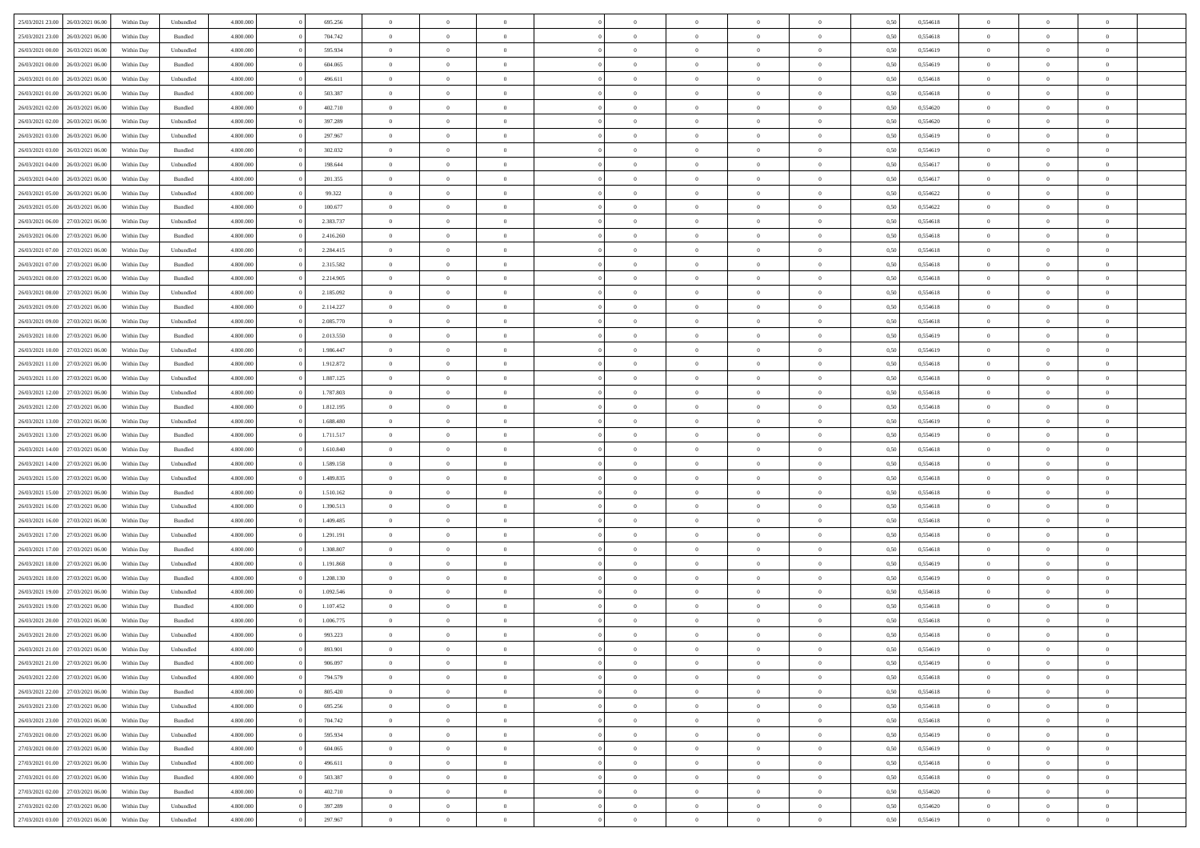| 25/03/2021 23:00                  | 26/03/2021 06:00 | Within Dav | Unbundled | 4.800.000 | 695.256   | $\overline{0}$ | $\Omega$       |                | $\Omega$       | $\Omega$       | $\Omega$       | $\theta$       | 0,50 | 0,554618 | $\theta$       | $\theta$       | $\theta$       |  |
|-----------------------------------|------------------|------------|-----------|-----------|-----------|----------------|----------------|----------------|----------------|----------------|----------------|----------------|------|----------|----------------|----------------|----------------|--|
|                                   |                  |            |           |           |           |                |                |                |                |                |                |                |      |          |                |                |                |  |
| 25/03/2021 23:00                  | 26/03/2021 06:00 | Within Day | Bundled   | 4.800.000 | 704.742   | $\overline{0}$ | $\theta$       | $\overline{0}$ | $\overline{0}$ | $\bf{0}$       | $\overline{0}$ | $\overline{0}$ | 0,50 | 0,554618 | $\theta$       | $\theta$       | $\overline{0}$ |  |
| 26/03/2021 00:00                  | 26/03/2021 06:00 | Within Day | Unbundled | 4.800.000 | 595.934   | $\overline{0}$ | $\overline{0}$ | $\overline{0}$ | $\overline{0}$ | $\bf{0}$       | $\bf{0}$       | $\bf{0}$       | 0,50 | 0,554619 | $\bf{0}$       | $\overline{0}$ | $\overline{0}$ |  |
| 26/03/2021 00:00                  | 26/03/2021 06:00 | Within Dav | Bundled   | 4.800.000 | 604.065   | $\overline{0}$ | $\overline{0}$ | $\overline{0}$ | $\overline{0}$ | $\bf{0}$       | $\overline{0}$ | $\overline{0}$ | 0.50 | 0.554619 | $\theta$       | $\theta$       | $\overline{0}$ |  |
| 26/03/2021 01:00                  | 26/03/2021 06:00 | Within Day | Unbundled | 4.800.000 | 496.611   | $\overline{0}$ | $\theta$       | $\overline{0}$ | $\overline{0}$ | $\bf{0}$       | $\overline{0}$ | $\bf{0}$       | 0,50 | 0,554618 | $\theta$       | $\theta$       | $\overline{0}$ |  |
|                                   |                  |            |           |           |           |                |                |                |                |                |                |                |      |          |                |                |                |  |
| 26/03/2021 01:00                  | 26/03/2021 06:00 | Within Day | Bundled   | 4.800.000 | 503.387   | $\overline{0}$ | $\bf{0}$       | $\overline{0}$ | $\bf{0}$       | $\overline{0}$ | $\overline{0}$ | $\mathbf{0}$   | 0,50 | 0,554618 | $\bf{0}$       | $\overline{0}$ | $\bf{0}$       |  |
| 26/03/2021 02:00                  | 26/03/2021 06:00 | Within Dav | Bundled   | 4.800.000 | 402.710   | $\overline{0}$ | $\overline{0}$ | $\overline{0}$ | $\overline{0}$ | $\overline{0}$ | $\overline{0}$ | $\overline{0}$ | 0.50 | 0,554620 | $\theta$       | $\overline{0}$ | $\overline{0}$ |  |
| 26/03/2021 02:00                  | 26/03/2021 06:00 | Within Day | Unbundled | 4.800.000 | 397.289   | $\overline{0}$ | $\theta$       | $\overline{0}$ | $\overline{0}$ | $\bf{0}$       | $\overline{0}$ | $\bf{0}$       | 0,50 | 0,554620 | $\theta$       | $\theta$       | $\overline{0}$ |  |
| 26/03/2021 03:00                  | 26/03/2021 06:00 | Within Day | Unbundled | 4.800.000 | 297.967   | $\overline{0}$ | $\overline{0}$ | $\overline{0}$ | $\bf{0}$       | $\bf{0}$       | $\bf{0}$       | $\bf{0}$       | 0,50 | 0,554619 | $\,0\,$        | $\overline{0}$ | $\overline{0}$ |  |
| 26/03/2021 03:00                  | 26/03/2021 06:00 | Within Dav | Bundled   | 4.800.000 | 302.032   | $\overline{0}$ | $\overline{0}$ | $\overline{0}$ | $\overline{0}$ | $\overline{0}$ | $\overline{0}$ | $\overline{0}$ | 0.50 | 0.554619 | $\theta$       | $\overline{0}$ | $\overline{0}$ |  |
| 26/03/2021 04:00                  | 26/03/2021 06:00 | Within Day | Unbundled | 4.800.000 | 198.644   | $\overline{0}$ | $\theta$       | $\overline{0}$ | $\overline{0}$ | $\bf{0}$       | $\overline{0}$ | $\bf{0}$       | 0,50 | 0,554617 | $\theta$       | $\theta$       | $\overline{0}$ |  |
|                                   |                  |            |           |           |           |                |                |                |                |                |                |                |      |          |                |                |                |  |
| 26/03/2021 04:00                  | 26/03/2021 06:00 | Within Day | Bundled   | 4.800.000 | 201.355   | $\overline{0}$ | $\overline{0}$ | $\overline{0}$ | $\bf{0}$       | $\bf{0}$       | $\bf{0}$       | $\bf{0}$       | 0,50 | 0,554617 | $\overline{0}$ | $\overline{0}$ | $\overline{0}$ |  |
| 26/03/2021 05:00                  | 26/03/2021 06:00 | Within Day | Unbundled | 4.800.000 | 99.322    | $\overline{0}$ | $\overline{0}$ | $\overline{0}$ | $\overline{0}$ | $\bf{0}$       | $\overline{0}$ | $\overline{0}$ | 0.50 | 0.554622 | $\theta$       | $\theta$       | $\overline{0}$ |  |
| 26/03/2021 05:00                  | 26/03/2021 06:00 | Within Day | Bundled   | 4.800.000 | 100.677   | $\overline{0}$ | $\theta$       | $\overline{0}$ | $\overline{0}$ | $\bf{0}$       | $\overline{0}$ | $\overline{0}$ | 0,50 | 0,554622 | $\theta$       | $\theta$       | $\overline{0}$ |  |
| 26/03/2021 06:00                  | 27/03/2021 06:00 | Within Day | Unbundled | 4.800.000 | 2.383.737 | $\overline{0}$ | $\overline{0}$ | $\overline{0}$ | $\bf{0}$       | $\overline{0}$ | $\overline{0}$ | $\mathbf{0}$   | 0,50 | 0,554618 | $\overline{0}$ | $\overline{0}$ | $\bf{0}$       |  |
| 26/03/2021 06:00                  | 27/03/2021 06:00 | Within Dav | Bundled   | 4.800.000 | 2.416.260 | $\overline{0}$ | $\overline{0}$ | $\overline{0}$ | $\overline{0}$ | $\overline{0}$ | $\overline{0}$ | $\overline{0}$ | 0.50 | 0.554618 | $\theta$       | $\overline{0}$ | $\overline{0}$ |  |
| 26/03/2021 07:00                  | 27/03/2021 06:00 | Within Day | Unbundled | 4.800.000 | 2.284.415 | $\overline{0}$ | $\theta$       | $\overline{0}$ | $\overline{0}$ | $\bf{0}$       | $\overline{0}$ | $\bf{0}$       | 0,50 | 0,554618 | $\theta$       | $\theta$       | $\overline{0}$ |  |
| 26/03/2021 07:00                  | 27/03/2021 06:00 | Within Day | Bundled   | 4.800.000 | 2.315.582 | $\overline{0}$ | $\overline{0}$ | $\overline{0}$ | $\bf{0}$       | $\bf{0}$       | $\bf{0}$       | $\bf{0}$       | 0,50 | 0,554618 | $\,0\,$        | $\overline{0}$ | $\overline{0}$ |  |
| 26/03/2021 08:00                  | 27/03/2021 06:00 | Within Day | Bundled   | 4.800.000 | 2.214.905 | $\overline{0}$ | $\overline{0}$ | $\overline{0}$ | $\overline{0}$ | $\overline{0}$ | $\overline{0}$ | $\overline{0}$ | 0.50 | 0,554618 | $\theta$       | $\overline{0}$ | $\overline{0}$ |  |
|                                   |                  |            |           |           |           |                |                |                |                |                |                |                |      |          |                |                |                |  |
| 26/03/2021 08:00                  | 27/03/2021 06.00 | Within Day | Unbundled | 4.800.000 | 2.185.092 | $\overline{0}$ | $\theta$       | $\overline{0}$ | $\overline{0}$ | $\bf{0}$       | $\overline{0}$ | $\bf{0}$       | 0,50 | 0,554618 | $\,$ 0 $\,$    | $\theta$       | $\overline{0}$ |  |
| 26/03/2021 09:00                  | 27/03/2021 06:00 | Within Day | Bundled   | 4.800.000 | 2.114.227 | $\overline{0}$ | $\overline{0}$ | $\overline{0}$ | $\bf{0}$       | $\bf{0}$       | $\bf{0}$       | $\bf{0}$       | 0,50 | 0,554618 | $\bf{0}$       | $\overline{0}$ | $\overline{0}$ |  |
| 26/03/2021 09:00                  | 27/03/2021 06:00 | Within Day | Unbundled | 4.800.000 | 2.085.770 | $\overline{0}$ | $\overline{0}$ | $\overline{0}$ | $\overline{0}$ | $\bf{0}$       | $\overline{0}$ | $\overline{0}$ | 0.50 | 0.554618 | $\theta$       | $\theta$       | $\overline{0}$ |  |
| 26/03/2021 10:00                  | 27/03/2021 06.00 | Within Day | Bundled   | 4.800.000 | 2.013.550 | $\overline{0}$ | $\theta$       | $\overline{0}$ | $\overline{0}$ | $\bf{0}$       | $\overline{0}$ | $\bf{0}$       | 0,50 | 0,554619 | $\theta$       | $\overline{0}$ | $\overline{0}$ |  |
| 26/03/2021 10:00                  | 27/03/2021 06:00 | Within Day | Unbundled | 4.800.000 | 1.986.447 | $\overline{0}$ | $\bf{0}$       | $\overline{0}$ | $\overline{0}$ | $\overline{0}$ | $\overline{0}$ | $\mathbf{0}$   | 0,50 | 0,554619 | $\bf{0}$       | $\overline{0}$ | $\bf{0}$       |  |
| 26/03/2021 11:00                  | 27/03/2021 06:00 | Within Dav | Bundled   | 4.800.000 | 1.912.872 | $\overline{0}$ | $\overline{0}$ | $\overline{0}$ | $\overline{0}$ | $\overline{0}$ | $\overline{0}$ | $\overline{0}$ | 0.50 | 0.554618 | $\theta$       | $\overline{0}$ | $\overline{0}$ |  |
| 26/03/2021 11:00                  | 27/03/2021 06:00 | Within Day | Unbundled | 4.800.000 | 1.887.125 | $\overline{0}$ | $\theta$       | $\overline{0}$ | $\overline{0}$ | $\bf{0}$       | $\overline{0}$ | $\bf{0}$       | 0,50 | 0,554618 | $\theta$       | $\theta$       | $\overline{0}$ |  |
|                                   |                  |            |           |           |           |                |                |                |                |                |                |                |      |          |                |                |                |  |
| 26/03/2021 12:00                  | 27/03/2021 06:00 | Within Day | Unbundled | 4.800.000 | 1.787.803 | $\overline{0}$ | $\overline{0}$ | $\overline{0}$ | $\overline{0}$ | $\bf{0}$       | $\overline{0}$ | $\bf{0}$       | 0,50 | 0,554618 | $\,0\,$        | $\overline{0}$ | $\overline{0}$ |  |
| 26/03/2021 12:00                  | 27/03/2021 06:00 | Within Day | Bundled   | 4.800.000 | 1.812.195 | $\overline{0}$ | $\overline{0}$ | $\overline{0}$ | $\overline{0}$ | $\overline{0}$ | $\overline{0}$ | $\overline{0}$ | 0.50 | 0.554618 | $\theta$       | $\overline{0}$ | $\overline{0}$ |  |
| 26/03/2021 13:00                  | 27/03/2021 06:00 | Within Day | Unbundled | 4.800.000 | 1.688.480 | $\overline{0}$ | $\theta$       | $\overline{0}$ | $\overline{0}$ | $\bf{0}$       | $\overline{0}$ | $\bf{0}$       | 0,50 | 0,554619 | $\,$ 0 $\,$    | $\overline{0}$ | $\overline{0}$ |  |
| 26/03/2021 13:00                  | 27/03/2021 06:00 | Within Day | Bundled   | 4.800.000 | 1.711.517 | $\overline{0}$ | $\overline{0}$ | $\overline{0}$ | $\overline{0}$ | $\bf{0}$       | $\overline{0}$ | $\bf{0}$       | 0,50 | 0,554619 | $\bf{0}$       | $\overline{0}$ | $\overline{0}$ |  |
| 26/03/2021 14:00                  | 27/03/2021 06:00 | Within Day | Bundled   | 4.800,000 | 1.610.840 | $\overline{0}$ | $\Omega$       | $\Omega$       | $\Omega$       | $\Omega$       | $\Omega$       | $\overline{0}$ | 0,50 | 0,554618 | $\,0\,$        | $\theta$       | $\theta$       |  |
| 26/03/2021 14:00                  | 27/03/2021 06.00 | Within Day | Unbundled | 4.800.000 | 1.589.158 | $\overline{0}$ | $\theta$       | $\overline{0}$ | $\overline{0}$ | $\bf{0}$       | $\overline{0}$ | $\bf{0}$       | 0,50 | 0,554618 | $\theta$       | $\theta$       | $\overline{0}$ |  |
| 26/03/2021 15:00                  | 27/03/2021 06:00 | Within Day | Unbundled | 4.800.000 | 1.489.835 | $\overline{0}$ | $\bf{0}$       | $\overline{0}$ | $\overline{0}$ | $\bf{0}$       | $\overline{0}$ | $\mathbf{0}$   | 0,50 | 0,554618 | $\bf{0}$       | $\overline{0}$ | $\bf{0}$       |  |
|                                   |                  |            |           |           |           |                |                |                |                |                |                |                |      |          |                |                |                |  |
| 26/03/2021 15:00                  | 27/03/2021 06:00 | Within Day | Bundled   | 4.800,000 | 1.510.162 | $\overline{0}$ | $\Omega$       | $\Omega$       | $\Omega$       | $\bf{0}$       | $\overline{0}$ | $\overline{0}$ | 0.50 | 0.554618 | $\theta$       | $\theta$       | $\theta$       |  |
| 26/03/2021 16:00                  | 27/03/2021 06:00 | Within Day | Unbundled | 4.800.000 | 1.390.513 | $\overline{0}$ | $\theta$       | $\overline{0}$ | $\overline{0}$ | $\bf{0}$       | $\overline{0}$ | $\bf{0}$       | 0,50 | 0,554618 | $\theta$       | $\theta$       | $\overline{0}$ |  |
| 26/03/2021 16:00                  | 27/03/2021 06:00 | Within Day | Bundled   | 4.800.000 | 1.409.485 | $\overline{0}$ | $\overline{0}$ | $\overline{0}$ | $\overline{0}$ | $\bf{0}$       | $\overline{0}$ | $\bf{0}$       | 0,50 | 0,554618 | $\,0\,$        | $\overline{0}$ | $\overline{0}$ |  |
| 26/03/2021 17:00                  | 27/03/2021 06:00 | Within Day | Unbundled | 4.800,000 | 1.291.191 | $\overline{0}$ | $\Omega$       | $\Omega$       | $\Omega$       | $\theta$       | $\theta$       | $\overline{0}$ | 0.50 | 0.554618 | $\theta$       | $\theta$       | $\theta$       |  |
| 26/03/2021 17:00                  | 27/03/2021 06:00 | Within Day | Bundled   | 4.800.000 | 1.308.807 | $\overline{0}$ | $\theta$       | $\overline{0}$ | $\overline{0}$ | $\bf{0}$       | $\overline{0}$ | $\bf{0}$       | 0,50 | 0,554618 | $\,$ 0 $\,$    | $\overline{0}$ | $\overline{0}$ |  |
| 26/03/2021 18:00                  | 27/03/2021 06:00 | Within Day | Unbundled | 4.800.000 | 1.191.868 | $\overline{0}$ | $\overline{0}$ | $\overline{0}$ | $\overline{0}$ | $\bf{0}$       | $\overline{0}$ | $\bf{0}$       | 0,50 | 0,554619 | $\bf{0}$       | $\overline{0}$ | $\overline{0}$ |  |
| 26/03/2021 18:00                  | 27/03/2021 06:00 |            |           | 4.800,000 | 1.208.130 | $\overline{0}$ | $\Omega$       | $\Omega$       | $\Omega$       | $\Omega$       | $\overline{0}$ | $\overline{0}$ | 0,50 | 0,554619 | $\,0\,$        | $\theta$       | $\theta$       |  |
|                                   |                  | Within Day | Bundled   |           |           |                | $\theta$       |                |                |                |                |                |      |          |                | $\overline{0}$ |                |  |
| 26/03/2021 19:00                  | 27/03/2021 06.00 | Within Day | Unbundled | 4.800.000 | 1.092.546 | $\overline{0}$ |                | $\overline{0}$ | $\overline{0}$ | $\bf{0}$       | $\overline{0}$ | $\bf{0}$       | 0,50 | 0,554618 | $\,$ 0 $\,$    |                | $\overline{0}$ |  |
| 26/03/2021 19:00                  | 27/03/2021 06:00 | Within Day | Bundled   | 4.800.000 | 1.107.452 | $\overline{0}$ | $\overline{0}$ | $\overline{0}$ | $\overline{0}$ | $\bf{0}$       | $\overline{0}$ | $\mathbf{0}$   | 0,50 | 0,554618 | $\bf{0}$       | $\overline{0}$ | $\bf{0}$       |  |
| 26/03/2021 20:00                  | 27/03/2021 06:00 | Within Day | Bundled   | 4.800,000 | 1.006.775 | $\overline{0}$ | $\Omega$       | $\Omega$       | $\Omega$       | $\Omega$       | $\Omega$       | $\overline{0}$ | 0.50 | 0.554618 | $\theta$       | $\theta$       | $\theta$       |  |
| 26/03/2021 20:00                  | 27/03/2021 06:00 | Within Day | Unbundled | 4.800.000 | 993.223   | $\overline{0}$ | $\overline{0}$ | $\overline{0}$ | $\bf{0}$       | $\,$ 0         | $\overline{0}$ | $\bf{0}$       | 0,50 | 0,554618 | $\,0\,$        | $\overline{0}$ | $\overline{0}$ |  |
| 26/03/2021 21:00                  | 27/03/2021 06:00 | Within Day | Unbundled | 4.800.000 | 893.901   | $\bf{0}$       | $\bf{0}$       |                |                |                |                |                | 0,50 | 0,554619 | $\bf{0}$       | $\overline{0}$ |                |  |
| 26/03/2021 21:00                  | 27/03/2021 06:00 | Within Day | Bundled   | 4.800.000 | 906 097   | $\overline{0}$ | $\overline{0}$ | $\overline{0}$ | $\Omega$       | $\overline{0}$ | $\overline{0}$ | $\overline{0}$ | 0,50 | 0.554619 | $\theta$       | $\theta$       | $\theta$       |  |
| 26/03/2021 22.00                  | 27/03/2021 06:00 | Within Day | Unbundled | 4.800.000 | 794.579   | $\overline{0}$ | $\bf{0}$       | $\overline{0}$ | $\overline{0}$ | $\,$ 0 $\,$    | $\overline{0}$ | $\,$ 0 $\,$    | 0,50 | 0,554618 | $\,$ 0 $\,$    | $\,$ 0 $\,$    | $\,$ 0         |  |
| 26/03/2021 22.00                  | 27/03/2021 06:00 | Within Day | Bundled   | 4.800.000 | 805.420   | $\overline{0}$ | $\overline{0}$ | $\overline{0}$ | $\overline{0}$ | $\overline{0}$ | $\overline{0}$ | $\mathbf{0}$   | 0,50 | 0,554618 | $\overline{0}$ | $\overline{0}$ | $\overline{0}$ |  |
|                                   |                  |            |           |           |           |                |                |                |                |                |                |                |      |          |                |                |                |  |
| 26/03/2021 23:00                  | 27/03/2021 06:00 | Within Day | Unbundled | 4.800,000 | 695.256   | $\overline{0}$ | $\overline{0}$ | $\overline{0}$ | $\Omega$       | $\overline{0}$ | $\overline{0}$ | $\overline{0}$ | 0,50 | 0,554618 | $\overline{0}$ | $\theta$       | $\overline{0}$ |  |
| 26/03/2021 23:00                  | 27/03/2021 06:00 | Within Day | Bundled   | 4.800.000 | 704.742   | $\overline{0}$ | $\,$ 0         | $\overline{0}$ | $\bf{0}$       | $\,$ 0 $\,$    | $\overline{0}$ | $\mathbf{0}$   | 0,50 | 0,554618 | $\,$ 0 $\,$    | $\overline{0}$ | $\,$ 0         |  |
| 27/03/2021 00:00                  | 27/03/2021 06:00 | Within Day | Unbundled | 4.800.000 | 595.934   | $\overline{0}$ | $\overline{0}$ | $\overline{0}$ | $\overline{0}$ | $\overline{0}$ | $\overline{0}$ | $\mathbf{0}$   | 0,50 | 0,554619 | $\overline{0}$ | $\overline{0}$ | $\overline{0}$ |  |
| 27/03/2021 00:00                  | 27/03/2021 06:00 | Within Day | Bundled   | 4.800,000 | 604.065   | $\overline{0}$ | $\overline{0}$ | $\overline{0}$ | $\overline{0}$ | $\overline{0}$ | $\overline{0}$ | $\overline{0}$ | 0.50 | 0,554619 | $\overline{0}$ | $\theta$       | $\overline{0}$ |  |
| 27/03/2021 01:00                  | 27/03/2021 06:00 | Within Day | Unbundled | 4.800.000 | 496.611   | $\overline{0}$ | $\,$ 0         | $\overline{0}$ | $\bf{0}$       | $\bf{0}$       | $\bf{0}$       | $\bf{0}$       | 0,50 | 0,554618 | $\,$ 0 $\,$    | $\overline{0}$ | $\overline{0}$ |  |
| 27/03/2021 01:00                  | 27/03/2021 06:00 | Within Day | Bundled   | 4.800.000 | 503.387   | $\overline{0}$ | $\bf{0}$       | $\overline{0}$ | $\overline{0}$ | $\overline{0}$ | $\overline{0}$ | $\mathbf{0}$   | 0,50 | 0,554618 | $\overline{0}$ | $\overline{0}$ | $\bf{0}$       |  |
| 27/03/2021 02:00                  | 27/03/2021 06:00 | Within Day | Bundled   | 4.800,000 | 402.710   | $\overline{0}$ | $\overline{0}$ | $\overline{0}$ | $\Omega$       | $\overline{0}$ | $\overline{0}$ | $\overline{0}$ | 0.50 | 0,554620 | $\overline{0}$ | $\overline{0}$ | $\overline{0}$ |  |
| 27/03/2021 02:00                  | 27/03/2021 06:00 | Within Day | Unbundled | 4.800.000 | 397.289   | $\overline{0}$ | $\bf{0}$       | $\overline{0}$ | $\bf{0}$       | $\bf{0}$       | $\bf{0}$       | $\mathbf{0}$   | 0,50 | 0,554620 | $\,$ 0 $\,$    | $\,$ 0 $\,$    | $\bf{0}$       |  |
|                                   |                  |            |           |           |           |                |                |                |                |                |                |                |      |          |                |                |                |  |
| 27/03/2021 03:00 27/03/2021 06:00 |                  | Within Day | Unbundled | 4.800.000 | 297.967   | $\overline{0}$ | $\overline{0}$ | $\overline{0}$ | $\overline{0}$ | $\overline{0}$ | $\bf{0}$       | $\mathbf{0}$   | 0,50 | 0,554619 | $\overline{0}$ | $\bf{0}$       | $\overline{0}$ |  |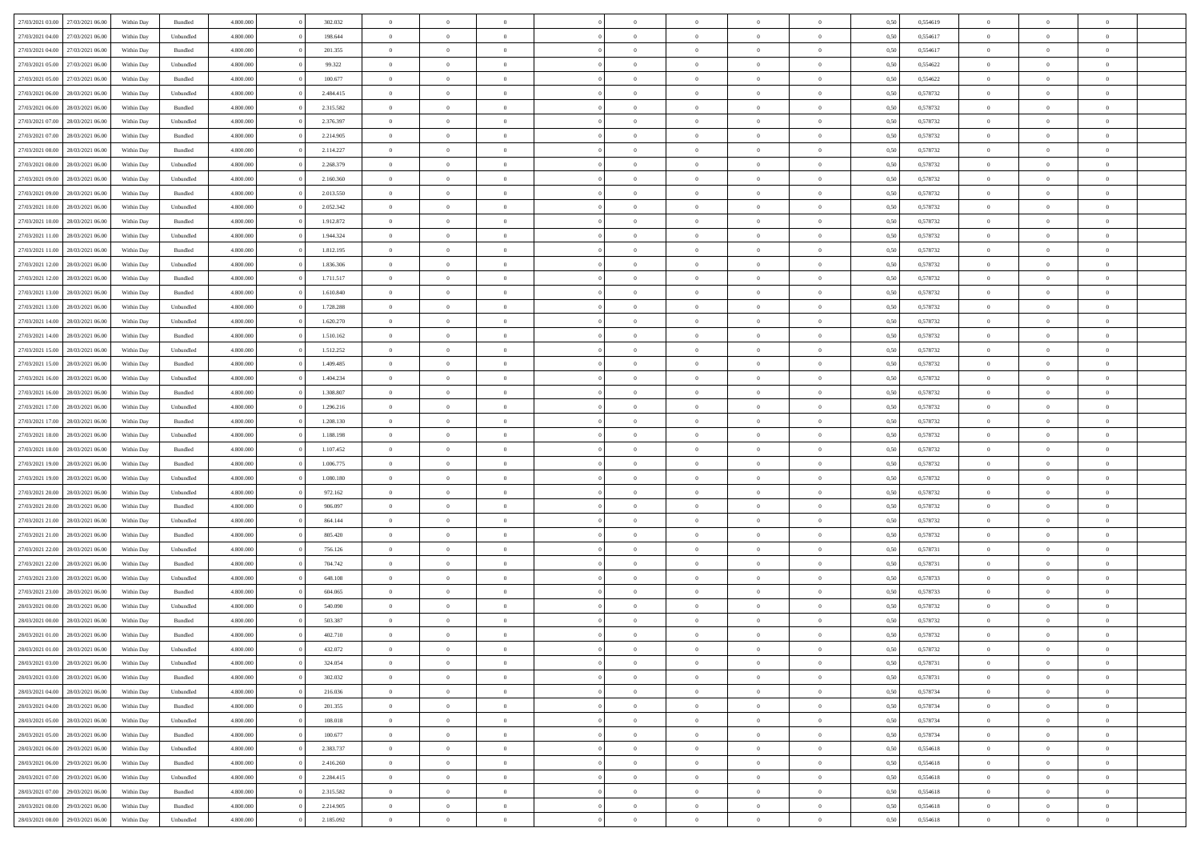| 27/03/2021 03:00 | 27/03/2021 06:00 | Within Day | Bundled   | 4.800.000 | 302.032   | $\overline{0}$ | $\Omega$       |                | $\Omega$       | $\Omega$       | $\Omega$       | $\theta$       | 0,50 | 0,554619 | $\theta$       | $\theta$       | $\theta$       |  |
|------------------|------------------|------------|-----------|-----------|-----------|----------------|----------------|----------------|----------------|----------------|----------------|----------------|------|----------|----------------|----------------|----------------|--|
|                  |                  |            |           |           |           |                |                |                |                |                |                |                |      |          |                |                |                |  |
| 27/03/2021 04:00 | 27/03/2021 06.00 | Within Day | Unbundled | 4.800.000 | 198.644   | $\overline{0}$ | $\theta$       | $\overline{0}$ | $\overline{0}$ | $\bf{0}$       | $\overline{0}$ | $\overline{0}$ | 0,50 | 0,554617 | $\theta$       | $\theta$       | $\overline{0}$ |  |
| 27/03/2021 04:00 | 27/03/2021 06:00 | Within Day | Bundled   | 4.800.000 | 201.355   | $\overline{0}$ | $\overline{0}$ | $\overline{0}$ | $\bf{0}$       | $\bf{0}$       | $\bf{0}$       | $\bf{0}$       | 0,50 | 0,554617 | $\overline{0}$ | $\overline{0}$ | $\overline{0}$ |  |
| 27/03/2021 05:00 | 27/03/2021 06:00 | Within Dav | Unbundled | 4.800.000 | 99.322    | $\overline{0}$ | $\overline{0}$ | $\overline{0}$ | $\overline{0}$ | $\bf{0}$       | $\overline{0}$ | $\overline{0}$ | 0.50 | 0.554622 | $\theta$       | $\theta$       | $\overline{0}$ |  |
| 27/03/2021 05:00 | 27/03/2021 06.00 | Within Day | Bundled   | 4.800.000 | 100.677   | $\overline{0}$ | $\theta$       | $\overline{0}$ | $\overline{0}$ | $\bf{0}$       | $\overline{0}$ | $\bf{0}$       | 0,50 | 0,554622 | $\theta$       | $\theta$       | $\overline{0}$ |  |
|                  |                  |            |           |           |           |                |                |                |                |                |                |                |      |          |                |                |                |  |
| 27/03/2021 06:00 | 28/03/2021 06:00 | Within Day | Unbundled | 4.800.000 | 2.484.415 | $\overline{0}$ | $\bf{0}$       | $\overline{0}$ | $\bf{0}$       | $\overline{0}$ | $\overline{0}$ | $\mathbf{0}$   | 0,50 | 0,578732 | $\overline{0}$ | $\overline{0}$ | $\bf{0}$       |  |
| 27/03/2021 06:00 | 28/03/2021 06:00 | Within Dav | Bundled   | 4.800.000 | 2.315.582 | $\overline{0}$ | $\overline{0}$ | $\overline{0}$ | $\overline{0}$ | $\overline{0}$ | $\overline{0}$ | $\overline{0}$ | 0.50 | 0,578732 | $\theta$       | $\overline{0}$ | $\overline{0}$ |  |
| 27/03/2021 07:00 | 28/03/2021 06:00 | Within Day | Unbundled | 4.800.000 | 2.376.397 | $\overline{0}$ | $\theta$       | $\overline{0}$ | $\overline{0}$ | $\bf{0}$       | $\overline{0}$ | $\bf{0}$       | 0,50 | 0,578732 | $\theta$       | $\theta$       | $\overline{0}$ |  |
| 27/03/2021 07:00 | 28/03/2021 06:00 | Within Day | Bundled   | 4.800.000 | 2.214.905 | $\overline{0}$ | $\overline{0}$ | $\overline{0}$ | $\bf{0}$       | $\bf{0}$       | $\bf{0}$       | $\bf{0}$       | 0,50 | 0,578732 | $\,0\,$        | $\overline{0}$ | $\overline{0}$ |  |
| 27/03/2021 08:00 | 28/03/2021 06:00 | Within Dav | Bundled   | 4.800.000 | 2.114.227 | $\overline{0}$ | $\overline{0}$ | $\overline{0}$ | $\overline{0}$ | $\overline{0}$ | $\overline{0}$ | $\overline{0}$ | 0.50 | 0,578732 | $\theta$       | $\overline{0}$ | $\overline{0}$ |  |
| 27/03/2021 08:00 | 28/03/2021 06:00 | Within Day | Unbundled | 4.800.000 | 2.268.379 | $\overline{0}$ | $\theta$       | $\overline{0}$ | $\overline{0}$ | $\bf{0}$       | $\overline{0}$ | $\bf{0}$       | 0,50 | 0,578732 | $\,$ 0 $\,$    | $\theta$       | $\overline{0}$ |  |
|                  |                  |            |           |           |           |                |                |                |                |                |                |                |      |          |                |                |                |  |
| 27/03/2021 09:00 | 28/03/2021 06:00 | Within Day | Unbundled | 4.800.000 | 2.160.360 | $\overline{0}$ | $\overline{0}$ | $\overline{0}$ | $\bf{0}$       | $\bf{0}$       | $\bf{0}$       | $\bf{0}$       | 0,50 | 0,578732 | $\overline{0}$ | $\overline{0}$ | $\overline{0}$ |  |
| 27/03/2021 09:00 | 28/03/2021 06:00 | Within Day | Bundled   | 4.800.000 | 2.013.550 | $\overline{0}$ | $\overline{0}$ | $\overline{0}$ | $\overline{0}$ | $\bf{0}$       | $\overline{0}$ | $\overline{0}$ | 0.50 | 0,578732 | $\theta$       | $\theta$       | $\overline{0}$ |  |
| 27/03/2021 10:00 | 28/03/2021 06:00 | Within Day | Unbundled | 4.800.000 | 2.052.342 | $\overline{0}$ | $\theta$       | $\overline{0}$ | $\overline{0}$ | $\bf{0}$       | $\overline{0}$ | $\overline{0}$ | 0,50 | 0,578732 | $\theta$       | $\theta$       | $\overline{0}$ |  |
| 27/03/2021 10:00 | 28/03/2021 06:00 | Within Day | Bundled   | 4.800.000 | 1.912.872 | $\overline{0}$ | $\bf{0}$       | $\overline{0}$ | $\bf{0}$       | $\overline{0}$ | $\overline{0}$ | $\mathbf{0}$   | 0,50 | 0,578732 | $\overline{0}$ | $\overline{0}$ | $\bf{0}$       |  |
| 27/03/2021 11:00 | 28/03/2021 06:00 | Within Dav | Unbundled | 4.800.000 | 1.944.324 | $\overline{0}$ | $\overline{0}$ | $\overline{0}$ | $\overline{0}$ | $\overline{0}$ | $\overline{0}$ | $\overline{0}$ | 0.50 | 0,578732 | $\theta$       | $\overline{0}$ | $\overline{0}$ |  |
| 27/03/2021 11:00 | 28/03/2021 06:00 | Within Day | Bundled   | 4.800.000 | 1.812.195 | $\overline{0}$ | $\theta$       | $\overline{0}$ | $\overline{0}$ | $\bf{0}$       | $\overline{0}$ | $\bf{0}$       | 0,50 | 0,578732 | $\theta$       | $\theta$       | $\overline{0}$ |  |
| 27/03/2021 12:00 | 28/03/2021 06:00 | Within Day | Unbundled | 4.800.000 | 1.836.306 | $\overline{0}$ | $\overline{0}$ | $\overline{0}$ | $\bf{0}$       | $\bf{0}$       | $\bf{0}$       | $\bf{0}$       | 0,50 | 0,578732 | $\,0\,$        | $\overline{0}$ | $\overline{0}$ |  |
| 27/03/2021 12:00 | 28/03/2021 06:00 | Within Day | Bundled   | 4.800.000 | 1.711.517 | $\overline{0}$ | $\overline{0}$ | $\overline{0}$ | $\overline{0}$ | $\overline{0}$ | $\overline{0}$ | $\overline{0}$ | 0.50 | 0,578732 | $\theta$       | $\overline{0}$ | $\overline{0}$ |  |
|                  |                  |            |           |           |           |                |                |                |                |                |                |                |      |          |                |                |                |  |
| 27/03/2021 13:00 | 28/03/2021 06:00 | Within Day | Bundled   | 4.800.000 | 1.610.840 | $\overline{0}$ | $\theta$       | $\overline{0}$ | $\overline{0}$ | $\bf{0}$       | $\overline{0}$ | $\bf{0}$       | 0,50 | 0,578732 | $\theta$       | $\theta$       | $\overline{0}$ |  |
| 27/03/2021 13:00 | 28/03/2021 06:00 | Within Day | Unbundled | 4.800.000 | 1.728.288 | $\overline{0}$ | $\overline{0}$ | $\overline{0}$ | $\bf{0}$       | $\bf{0}$       | $\bf{0}$       | $\bf{0}$       | 0,50 | 0,578732 | $\,0\,$        | $\overline{0}$ | $\overline{0}$ |  |
| 27/03/2021 14:00 | 28/03/2021 06:00 | Within Day | Unbundled | 4.800.000 | 1.620.270 | $\overline{0}$ | $\overline{0}$ | $\overline{0}$ | $\overline{0}$ | $\bf{0}$       | $\overline{0}$ | $\overline{0}$ | 0.50 | 0,578732 | $\theta$       | $\theta$       | $\overline{0}$ |  |
| 27/03/2021 14:00 | 28/03/2021 06:00 | Within Day | Bundled   | 4.800.000 | 1.510.162 | $\overline{0}$ | $\theta$       | $\overline{0}$ | $\overline{0}$ | $\bf{0}$       | $\overline{0}$ | $\bf{0}$       | 0,50 | 0,578732 | $\,$ 0 $\,$    | $\overline{0}$ | $\overline{0}$ |  |
| 27/03/2021 15:00 | 28/03/2021 06:00 | Within Day | Unbundled | 4.800.000 | 1.512.252 | $\overline{0}$ | $\bf{0}$       | $\overline{0}$ | $\bf{0}$       | $\overline{0}$ | $\overline{0}$ | $\mathbf{0}$   | 0,50 | 0,578732 | $\bf{0}$       | $\overline{0}$ | $\bf{0}$       |  |
| 27/03/2021 15:00 | 28/03/2021 06:00 | Within Dav | Bundled   | 4.800.000 | 1.409.485 | $\overline{0}$ | $\overline{0}$ | $\overline{0}$ | $\overline{0}$ | $\overline{0}$ | $\overline{0}$ | $\overline{0}$ | 0.50 | 0,578732 | $\theta$       | $\overline{0}$ | $\overline{0}$ |  |
| 27/03/2021 16:00 | 28/03/2021 06:00 |            |           | 4.800.000 | 1.404.234 | $\overline{0}$ | $\theta$       | $\overline{0}$ | $\overline{0}$ | $\bf{0}$       | $\overline{0}$ |                |      | 0,578732 | $\theta$       | $\theta$       | $\overline{0}$ |  |
|                  |                  | Within Day | Unbundled |           |           |                |                |                |                |                |                | $\bf{0}$       | 0,50 |          |                |                |                |  |
| 27/03/2021 16:00 | 28/03/2021 06:00 | Within Day | Bundled   | 4.800.000 | 1.308.807 | $\overline{0}$ | $\overline{0}$ | $\overline{0}$ | $\bf{0}$       | $\bf{0}$       | $\bf{0}$       | $\bf{0}$       | 0,50 | 0,578732 | $\,0\,$        | $\overline{0}$ | $\overline{0}$ |  |
| 27/03/2021 17:00 | 28/03/2021 06:00 | Within Day | Unbundled | 4.800.000 | 1.296.216 | $\overline{0}$ | $\overline{0}$ | $\overline{0}$ | $\overline{0}$ | $\overline{0}$ | $\overline{0}$ | $\overline{0}$ | 0.50 | 0,578732 | $\theta$       | $\overline{0}$ | $\overline{0}$ |  |
| 27/03/2021 17:00 | 28/03/2021 06:00 | Within Day | Bundled   | 4.800.000 | 1.208.130 | $\overline{0}$ | $\theta$       | $\overline{0}$ | $\overline{0}$ | $\bf{0}$       | $\overline{0}$ | $\bf{0}$       | 0,50 | 0,578732 | $\,$ 0 $\,$    | $\theta$       | $\overline{0}$ |  |
| 27/03/2021 18:00 | 28/03/2021 06:00 | Within Day | Unbundled | 4.800.000 | 1.188.198 | $\overline{0}$ | $\overline{0}$ | $\overline{0}$ | $\bf{0}$       | $\bf{0}$       | $\bf{0}$       | $\bf{0}$       | 0,50 | 0,578732 | $\bf{0}$       | $\overline{0}$ | $\overline{0}$ |  |
| 27/03/2021 18:00 | 28/03/2021 06:00 | Within Day | Bundled   | 4.800,000 | 1.107.452 | $\overline{0}$ | $\Omega$       | $\Omega$       | $\Omega$       | $\Omega$       | $\Omega$       | $\overline{0}$ | 0,50 | 0,578732 | $\,0\,$        | $\theta$       | $\theta$       |  |
| 27/03/2021 19:00 | 28/03/2021 06:00 | Within Day | Bundled   | 4.800.000 | 1.006.775 | $\overline{0}$ | $\theta$       | $\overline{0}$ | $\overline{0}$ | $\bf{0}$       | $\overline{0}$ | $\bf{0}$       | 0,50 | 0,578732 | $\theta$       | $\theta$       | $\overline{0}$ |  |
|                  |                  |            |           |           |           |                |                |                |                |                |                |                |      |          |                |                |                |  |
| 27/03/2021 19:00 | 28/03/2021 06:00 | Within Day | Unbundled | 4.800.000 | 1.080.180 | $\overline{0}$ | $\overline{0}$ | $\overline{0}$ | $\bf{0}$       | $\bf{0}$       | $\overline{0}$ | $\mathbf{0}$   | 0,50 | 0,578732 | $\bf{0}$       | $\overline{0}$ | $\bf{0}$       |  |
| 27/03/2021 20:00 | 28/03/2021 06:00 | Within Day | Unbundled | 4.800,000 | 972.162   | $\overline{0}$ | $\Omega$       | $\Omega$       | $\Omega$       | $\bf{0}$       | $\overline{0}$ | $\overline{0}$ | 0.50 | 0,578732 | $\,0\,$        | $\theta$       | $\theta$       |  |
| 27/03/2021 20:00 | 28/03/2021 06:00 | Within Day | Bundled   | 4.800.000 | 906.097   | $\overline{0}$ | $\theta$       | $\overline{0}$ | $\overline{0}$ | $\bf{0}$       | $\overline{0}$ | $\bf{0}$       | 0,50 | 0,578732 | $\theta$       | $\theta$       | $\overline{0}$ |  |
| 27/03/2021 21:00 | 28/03/2021 06:00 | Within Day | Unbundled | 4.800.000 | 864.144   | $\overline{0}$ | $\overline{0}$ | $\overline{0}$ | $\bf{0}$       | $\bf{0}$       | $\bf{0}$       | $\bf{0}$       | 0,50 | 0,578732 | $\,0\,$        | $\overline{0}$ | $\overline{0}$ |  |
| 27/03/2021 21:00 | 28/03/2021 06:00 | Within Day | Bundled   | 4.800,000 | 805.420   | $\overline{0}$ | $\Omega$       | $\Omega$       | $\Omega$       | $\theta$       | $\theta$       | $\overline{0}$ | 0.50 | 0,578732 | $\theta$       | $\theta$       | $\theta$       |  |
| 27/03/2021 22.00 | 28/03/2021 06:00 | Within Day | Unbundled | 4.800.000 | 756.126   | $\overline{0}$ | $\theta$       | $\overline{0}$ | $\overline{0}$ | $\bf{0}$       | $\overline{0}$ | $\bf{0}$       | 0,50 | 0,578731 | $\,$ 0 $\,$    | $\overline{0}$ | $\overline{0}$ |  |
| 27/03/2021 22:00 | 28/03/2021 06:00 | Within Day | Bundled   | 4.800.000 | 704.742   | $\overline{0}$ | $\overline{0}$ | $\overline{0}$ | $\bf{0}$       | $\bf{0}$       | $\bf{0}$       | $\bf{0}$       | 0,50 | 0,578731 | $\overline{0}$ | $\overline{0}$ | $\overline{0}$ |  |
|                  |                  |            |           |           |           |                |                |                |                |                |                |                |      |          |                |                |                |  |
| 27/03/2021 23:00 | 28/03/2021 06:00 | Within Day | Unbundled | 4.800,000 | 648,108   | $\overline{0}$ | $\Omega$       | $\Omega$       | $\Omega$       | $\Omega$       | $\overline{0}$ | $\overline{0}$ | 0,50 | 0,578733 | $\,0\,$        | $\theta$       | $\theta$       |  |
| 27/03/2021 23:00 | 28/03/2021 06:00 | Within Day | Bundled   | 4.800.000 | 604.065   | $\overline{0}$ | $\theta$       | $\overline{0}$ | $\overline{0}$ | $\bf{0}$       | $\overline{0}$ | $\bf{0}$       | 0,50 | 0,578733 | $\,$ 0 $\,$    | $\overline{0}$ | $\overline{0}$ |  |
| 28/03/2021 00:00 | 28/03/2021 06:00 | Within Day | Unbundled | 4.800.000 | 540.090   | $\overline{0}$ | $\overline{0}$ | $\overline{0}$ | $\bf{0}$       | $\bf{0}$       | $\bf{0}$       | $\mathbf{0}$   | 0,50 | 0,578732 | $\overline{0}$ | $\overline{0}$ | $\bf{0}$       |  |
| 28/03/2021 00:00 | 28/03/2021 06:00 | Within Day | Bundled   | 4.800,000 | 503,387   | $\overline{0}$ | $\Omega$       | $\Omega$       | $\Omega$       | $\Omega$       | $\Omega$       | $\overline{0}$ | 0.50 | 0,578732 | $\theta$       | $\theta$       | $\theta$       |  |
| 28/03/2021 01:00 | 28/03/2021 06:00 | Within Day | Bundled   | 4.800.000 | 402.710   | $\overline{0}$ | $\overline{0}$ | $\overline{0}$ | $\bf{0}$       | $\,$ 0         | $\bf{0}$       | $\bf{0}$       | 0,50 | 0,578732 | $\,0\,$        | $\,$ 0 $\,$    | $\overline{0}$ |  |
| 28/03/2021 01:00 | 28/03/2021 06:00 | Within Day | Unbundled | 4.800.000 | 432.072   | $\bf{0}$       | $\bf{0}$       |                |                |                |                |                | 0,50 | 0,578732 | $\bf{0}$       | $\overline{0}$ |                |  |
| 28/03/2021 03:00 | 28/03/2021 06:00 | Within Day | Unbundled | 4.800.000 | 324,054   | $\overline{0}$ | $\overline{0}$ | $\overline{0}$ | $\Omega$       | $\overline{0}$ | $\overline{0}$ | $\overline{0}$ | 0,50 | 0,578731 | $\theta$       | $\theta$       | $\theta$       |  |
| 28/03/2021 03:00 | 28/03/2021 06:00 | Within Day | Bundled   | 4.800.000 | 302.032   | $\overline{0}$ | $\,$ 0         | $\overline{0}$ | $\bf{0}$       | $\,$ 0 $\,$    | $\overline{0}$ | $\mathbf{0}$   | 0,50 | 0,578731 | $\,$ 0 $\,$    | $\,$ 0 $\,$    | $\,$ 0         |  |
|                  |                  |            |           |           |           |                |                |                |                |                |                |                |      |          |                |                |                |  |
| 28/03/2021 04:00 | 28/03/2021 06:00 | Within Day | Unbundled | 4.800.000 | 216.036   | $\overline{0}$ | $\overline{0}$ | $\overline{0}$ | $\overline{0}$ | $\overline{0}$ | $\overline{0}$ | $\mathbf{0}$   | 0,50 | 0,578734 | $\overline{0}$ | $\bf{0}$       | $\bf{0}$       |  |
| 28/03/2021 04:00 | 28/03/2021 06:00 | Within Day | Bundled   | 4.800,000 | 201.355   | $\overline{0}$ | $\overline{0}$ | $\overline{0}$ | $\Omega$       | $\overline{0}$ | $\overline{0}$ | $\overline{0}$ | 0,50 | 0,578734 | $\overline{0}$ | $\theta$       | $\overline{0}$ |  |
| 28/03/2021 05:00 | 28/03/2021 06:00 | Within Day | Unbundled | 4.800.000 | 108.018   | $\overline{0}$ | $\,$ 0         | $\overline{0}$ | $\overline{0}$ | $\,$ 0 $\,$    | $\overline{0}$ | $\mathbf{0}$   | 0,50 | 0,578734 | $\,$ 0 $\,$    | $\overline{0}$ | $\overline{0}$ |  |
| 28/03/2021 05:00 | 28/03/2021 06:00 | Within Day | Bundled   | 4.800.000 | 100.677   | $\overline{0}$ | $\overline{0}$ | $\overline{0}$ | $\overline{0}$ | $\overline{0}$ | $\overline{0}$ | $\mathbf{0}$   | 0,50 | 0,578734 | $\overline{0}$ | $\overline{0}$ | $\bf{0}$       |  |
| 28/03/2021 06:00 | 29/03/2021 06:00 | Within Day | Unbundled | 4.800,000 | 2.383.737 | $\overline{0}$ | $\overline{0}$ | $\overline{0}$ | $\Omega$       | $\overline{0}$ | $\overline{0}$ | $\bf{0}$       | 0.50 | 0,554618 | $\overline{0}$ | $\theta$       | $\overline{0}$ |  |
| 28/03/2021 06:00 | 29/03/2021 06:00 | Within Day | Bundled   | 4.800.000 | 2.416.260 | $\overline{0}$ | $\,$ 0         | $\overline{0}$ | $\bf{0}$       | $\bf{0}$       | $\bf{0}$       | $\bf{0}$       | 0,50 | 0,554618 | $\,$ 0 $\,$    | $\overline{0}$ | $\overline{0}$ |  |
| 28/03/2021 07:00 | 29/03/2021 06:00 | Within Day | Unbundled | 4.800.000 | 2.284.415 | $\overline{0}$ | $\bf{0}$       | $\overline{0}$ | $\overline{0}$ | $\overline{0}$ | $\overline{0}$ | $\mathbf{0}$   | 0,50 | 0,554618 | $\overline{0}$ | $\overline{0}$ | $\bf{0}$       |  |
|                  |                  |            |           |           |           |                |                |                |                |                |                |                |      |          |                |                |                |  |
| 28/03/2021 07:00 | 29/03/2021 06:00 | Within Day | Bundled   | 4.800,000 | 2.315.582 | $\overline{0}$ | $\overline{0}$ | $\overline{0}$ | $\Omega$       | $\overline{0}$ | $\overline{0}$ | $\bf{0}$       | 0.50 | 0,554618 | $\overline{0}$ | $\overline{0}$ | $\overline{0}$ |  |
| 28/03/2021 08:00 | 29/03/2021 06:00 | Within Day | Bundled   | 4.800.000 | 2.214.905 | $\overline{0}$ | $\bf{0}$       | $\overline{0}$ | $\overline{0}$ | $\bf{0}$       | $\bf{0}$       | $\mathbf{0}$   | 0,50 | 0,554618 | $\,$ 0 $\,$    | $\,$ 0 $\,$    | $\bf{0}$       |  |
| 28/03/2021 08:00 | 29/03/2021 06:00 | Within Day | Unbundled | 4.800.000 | 2.185.092 | $\overline{0}$ | $\overline{0}$ | $\overline{0}$ | $\overline{0}$ | $\bf{0}$       | $\bf{0}$       | $\mathbf{0}$   | 0,50 | 0,554618 | $\overline{0}$ | $\bf{0}$       | $\bf{0}$       |  |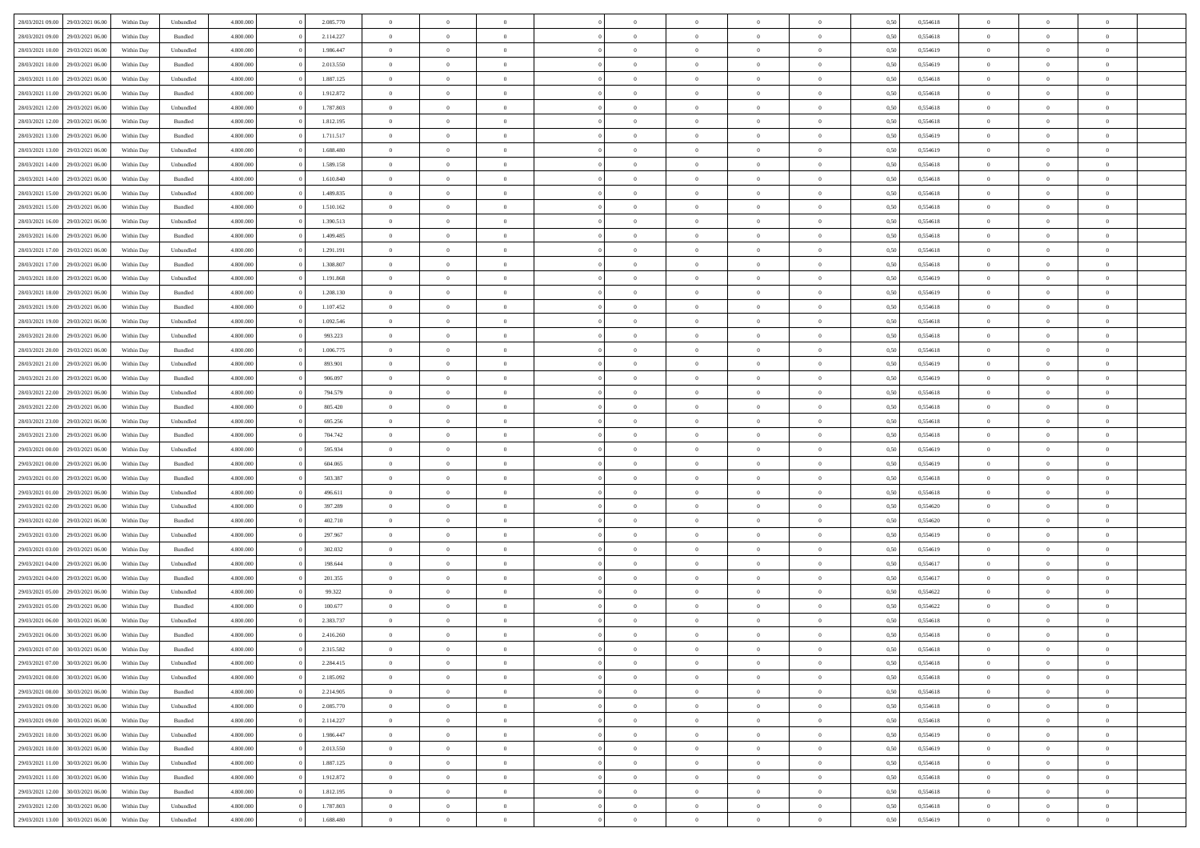|                  |                  |            |                    |           |           | $\overline{0}$ | $\Omega$       |                |                | $\Omega$       | $\Omega$       | $\theta$       |      |          | $\theta$       |                | $\theta$       |  |
|------------------|------------------|------------|--------------------|-----------|-----------|----------------|----------------|----------------|----------------|----------------|----------------|----------------|------|----------|----------------|----------------|----------------|--|
| 28/03/2021 09:00 | 29/03/2021 06:00 | Within Day | Unbundled          | 4.800.000 | 2.085.770 |                |                |                | $\Omega$       |                |                |                | 0,50 | 0,554618 |                | $\theta$       |                |  |
| 28/03/2021 09:00 | 29/03/2021 06:00 | Within Day | Bundled            | 4.800.000 | 2.114.227 | $\overline{0}$ | $\theta$       | $\overline{0}$ | $\overline{0}$ | $\bf{0}$       | $\overline{0}$ | $\overline{0}$ | 0,50 | 0,554618 | $\theta$       | $\theta$       | $\overline{0}$ |  |
| 28/03/2021 10:00 | 29/03/2021 06:00 | Within Day | Unbundled          | 4.800.000 | 1.986.447 | $\overline{0}$ | $\overline{0}$ | $\overline{0}$ | $\bf{0}$       | $\bf{0}$       | $\bf{0}$       | $\bf{0}$       | 0,50 | 0,554619 | $\overline{0}$ | $\overline{0}$ | $\overline{0}$ |  |
| 28/03/2021 10:00 | 29/03/2021 06:00 | Within Dav | Bundled            | 4.800.000 | 2.013.550 | $\overline{0}$ | $\overline{0}$ | $\overline{0}$ | $\overline{0}$ | $\bf{0}$       | $\overline{0}$ | $\overline{0}$ | 0.50 | 0.554619 | $\theta$       | $\theta$       | $\overline{0}$ |  |
|                  |                  |            |                    |           |           |                |                |                |                |                |                |                |      |          |                |                |                |  |
| 28/03/2021 11:00 | 29/03/2021 06:00 | Within Day | Unbundled          | 4.800.000 | 1.887.125 | $\overline{0}$ | $\theta$       | $\overline{0}$ | $\overline{0}$ | $\bf{0}$       | $\overline{0}$ | $\bf{0}$       | 0,50 | 0,554618 | $\theta$       | $\theta$       | $\overline{0}$ |  |
| 28/03/2021 11:00 | 29/03/2021 06:00 | Within Day | Bundled            | 4.800.000 | 1.912.872 | $\overline{0}$ | $\bf{0}$       | $\overline{0}$ | $\bf{0}$       | $\overline{0}$ | $\overline{0}$ | $\mathbf{0}$   | 0,50 | 0,554618 | $\bf{0}$       | $\overline{0}$ | $\bf{0}$       |  |
| 28/03/2021 12:00 | 29/03/2021 06:00 | Within Dav | Unbundled          | 4.800.000 | 1.787.803 | $\overline{0}$ | $\overline{0}$ | $\overline{0}$ | $\overline{0}$ | $\overline{0}$ | $\overline{0}$ | $\overline{0}$ | 0.50 | 0,554618 | $\theta$       | $\overline{0}$ | $\overline{0}$ |  |
| 28/03/2021 12:00 | 29/03/2021 06:00 | Within Day | Bundled            | 4.800.000 | 1.812.195 | $\overline{0}$ | $\theta$       | $\overline{0}$ | $\overline{0}$ | $\bf{0}$       | $\overline{0}$ | $\bf{0}$       | 0,50 | 0,554618 | $\theta$       | $\theta$       | $\overline{0}$ |  |
|                  |                  |            |                    |           |           |                | $\overline{0}$ |                |                | $\bf{0}$       |                |                |      |          | $\,0\,$        | $\overline{0}$ | $\overline{0}$ |  |
| 28/03/2021 13:00 | 29/03/2021 06:00 | Within Day | Bundled            | 4.800.000 | 1.711.517 | $\overline{0}$ |                | $\overline{0}$ | $\bf{0}$       |                | $\bf{0}$       | $\bf{0}$       | 0,50 | 0,554619 |                |                |                |  |
| 28/03/2021 13:00 | 29/03/2021 06:00 | Within Dav | Unbundled          | 4.800.000 | 1.688.480 | $\overline{0}$ | $\overline{0}$ | $\overline{0}$ | $\overline{0}$ | $\overline{0}$ | $\overline{0}$ | $\overline{0}$ | 0.50 | 0.554619 | $\theta$       | $\overline{0}$ | $\overline{0}$ |  |
| 28/03/2021 14:00 | 29/03/2021 06:00 | Within Day | Unbundled          | 4.800.000 | 1.589.158 | $\overline{0}$ | $\theta$       | $\overline{0}$ | $\overline{0}$ | $\bf{0}$       | $\overline{0}$ | $\bf{0}$       | 0,50 | 0,554618 | $\theta$       | $\theta$       | $\overline{0}$ |  |
| 28/03/2021 14:00 | 29/03/2021 06:00 | Within Day | Bundled            | 4.800.000 | 1.610.840 | $\overline{0}$ | $\overline{0}$ | $\overline{0}$ | $\bf{0}$       | $\bf{0}$       | $\bf{0}$       | $\bf{0}$       | 0,50 | 0,554618 | $\bf{0}$       | $\overline{0}$ | $\overline{0}$ |  |
| 28/03/2021 15:00 | 29/03/2021 06:00 | Within Dav | Unbundled          | 4.800.000 | 1.489.835 | $\overline{0}$ | $\overline{0}$ | $\overline{0}$ | $\overline{0}$ | $\bf{0}$       | $\overline{0}$ | $\overline{0}$ | 0.50 | 0.554618 | $\theta$       | $\theta$       | $\overline{0}$ |  |
|                  |                  |            |                    |           |           | $\overline{0}$ | $\theta$       |                |                |                |                |                |      |          | $\theta$       |                |                |  |
| 28/03/2021 15:00 | 29/03/2021 06:00 | Within Day | Bundled            | 4.800.000 | 1.510.162 |                |                | $\overline{0}$ | $\overline{0}$ | $\bf{0}$       | $\overline{0}$ | $\overline{0}$ | 0,50 | 0,554618 |                | $\theta$       | $\overline{0}$ |  |
| 28/03/2021 16:00 | 29/03/2021 06:00 | Within Day | Unbundled          | 4.800.000 | 1.390.513 | $\overline{0}$ | $\bf{0}$       | $\overline{0}$ | $\bf{0}$       | $\overline{0}$ | $\overline{0}$ | $\mathbf{0}$   | 0,50 | 0,554618 | $\bf{0}$       | $\overline{0}$ | $\bf{0}$       |  |
| 28/03/2021 16:00 | 29/03/2021 06:00 | Within Dav | Bundled            | 4.800.000 | 1.409.485 | $\overline{0}$ | $\overline{0}$ | $\overline{0}$ | $\overline{0}$ | $\overline{0}$ | $\overline{0}$ | $\overline{0}$ | 0.50 | 0.554618 | $\theta$       | $\overline{0}$ | $\overline{0}$ |  |
| 28/03/2021 17:00 | 29/03/2021 06:00 | Within Day | Unbundled          | 4.800.000 | 1.291.191 | $\overline{0}$ | $\theta$       | $\overline{0}$ | $\overline{0}$ | $\bf{0}$       | $\overline{0}$ | $\bf{0}$       | 0,50 | 0,554618 | $\theta$       | $\theta$       | $\overline{0}$ |  |
| 28/03/2021 17:00 | 29/03/2021 06:00 | Within Day | Bundled            | 4.800.000 | 1.308.807 | $\overline{0}$ | $\overline{0}$ | $\overline{0}$ | $\bf{0}$       | $\bf{0}$       | $\bf{0}$       | $\bf{0}$       | 0,50 | 0,554618 | $\,0\,$        | $\overline{0}$ | $\overline{0}$ |  |
|                  |                  |            |                    |           |           |                |                |                |                |                |                |                |      |          |                |                |                |  |
| 28/03/2021 18:00 | 29/03/2021 06:00 | Within Dav | Unbundled          | 4.800.000 | 1.191.868 | $\overline{0}$ | $\overline{0}$ | $\overline{0}$ | $\overline{0}$ | $\overline{0}$ | $\overline{0}$ | $\overline{0}$ | 0.50 | 0,554619 | $\theta$       | $\overline{0}$ | $\overline{0}$ |  |
| 28/03/2021 18:00 | 29/03/2021 06:00 | Within Day | Bundled            | 4.800.000 | 1.208.130 | $\overline{0}$ | $\theta$       | $\overline{0}$ | $\overline{0}$ | $\bf{0}$       | $\overline{0}$ | $\bf{0}$       | 0,50 | 0,554619 | $\,$ 0 $\,$    | $\theta$       | $\overline{0}$ |  |
| 28/03/2021 19:00 | 29/03/2021 06:00 | Within Day | Bundled            | 4.800.000 | 1.107.452 | $\overline{0}$ | $\overline{0}$ | $\overline{0}$ | $\bf{0}$       | $\bf{0}$       | $\bf{0}$       | $\bf{0}$       | 0,50 | 0,554618 | $\bf{0}$       | $\overline{0}$ | $\overline{0}$ |  |
| 28/03/2021 19:00 | 29/03/2021 06:00 | Within Day | Unbundled          | 4.800.000 | 1.092.546 | $\overline{0}$ | $\overline{0}$ | $\overline{0}$ | $\overline{0}$ | $\bf{0}$       | $\overline{0}$ | $\overline{0}$ | 0.50 | 0.554618 | $\theta$       | $\theta$       | $\overline{0}$ |  |
|                  |                  |            |                    |           |           |                |                |                |                |                |                |                |      |          |                |                |                |  |
| 28/03/2021 20:00 | 29/03/2021 06:00 | Within Day | Unbundled          | 4.800.000 | 993.223   | $\overline{0}$ | $\theta$       | $\overline{0}$ | $\overline{0}$ | $\bf{0}$       | $\overline{0}$ | $\bf{0}$       | 0,50 | 0,554618 | $\theta$       | $\overline{0}$ | $\overline{0}$ |  |
| 28/03/2021 20:00 | 29/03/2021 06:00 | Within Day | Bundled            | 4.800.000 | 1.006.775 | $\overline{0}$ | $\bf{0}$       | $\overline{0}$ | $\overline{0}$ | $\overline{0}$ | $\overline{0}$ | $\mathbf{0}$   | 0,50 | 0,554618 | $\bf{0}$       | $\overline{0}$ | $\bf{0}$       |  |
| 28/03/2021 21:00 | 29/03/2021 06:00 | Within Dav | Unbundled          | 4.800.000 | 893.901   | $\overline{0}$ | $\overline{0}$ | $\overline{0}$ | $\overline{0}$ | $\overline{0}$ | $\overline{0}$ | $\overline{0}$ | 0.50 | 0,554619 | $\theta$       | $\overline{0}$ | $\overline{0}$ |  |
| 28/03/2021 21:00 | 29/03/2021 06:00 | Within Day | Bundled            | 4.800.000 | 906.097   | $\overline{0}$ | $\theta$       | $\overline{0}$ | $\overline{0}$ | $\bf{0}$       | $\overline{0}$ | $\bf{0}$       | 0,50 | 0,554619 | $\theta$       | $\theta$       | $\overline{0}$ |  |
| 28/03/2021 22.00 | 29/03/2021 06:00 | Within Day | Unbundled          | 4.800.000 | 794.579   | $\overline{0}$ | $\overline{0}$ | $\overline{0}$ | $\overline{0}$ | $\bf{0}$       | $\overline{0}$ | $\bf{0}$       | 0,50 | 0,554618 | $\,0\,$        | $\overline{0}$ | $\overline{0}$ |  |
|                  |                  |            |                    |           |           |                |                |                |                |                |                |                |      |          |                |                |                |  |
| 28/03/2021 22:00 | 29/03/2021 06:00 | Within Day | Bundled            | 4.800.000 | 805.420   | $\overline{0}$ | $\overline{0}$ | $\overline{0}$ | $\overline{0}$ | $\overline{0}$ | $\overline{0}$ | $\overline{0}$ | 0.50 | 0.554618 | $\theta$       | $\overline{0}$ | $\overline{0}$ |  |
| 28/03/2021 23:00 | 29/03/2021 06:00 | Within Day | Unbundled          | 4.800.000 | 695.256   | $\overline{0}$ | $\theta$       | $\overline{0}$ | $\overline{0}$ | $\bf{0}$       | $\overline{0}$ | $\bf{0}$       | 0,50 | 0,554618 | $\,$ 0 $\,$    | $\overline{0}$ | $\overline{0}$ |  |
| 28/03/2021 23:00 | 29/03/2021 06:00 | Within Day | Bundled            | 4.800.000 | 704.742   | $\overline{0}$ | $\overline{0}$ | $\overline{0}$ | $\overline{0}$ | $\bf{0}$       | $\overline{0}$ | $\bf{0}$       | 0,50 | 0,554618 | $\bf{0}$       | $\overline{0}$ | $\overline{0}$ |  |
| 29/03/2021 00:00 | 29/03/2021 06:00 | Within Day | Unbundled          | 4.800,000 | 595.934   | $\overline{0}$ | $\Omega$       | $\Omega$       | $\Omega$       | $\Omega$       | $\Omega$       | $\overline{0}$ | 0,50 | 0,554619 | $\,0\,$        | $\Omega$       | $\theta$       |  |
| 29/03/2021 00:00 | 29/03/2021 06:00 | Within Day | Bundled            | 4.800.000 | 604.065   | $\overline{0}$ | $\theta$       | $\overline{0}$ | $\overline{0}$ | $\bf{0}$       | $\overline{0}$ | $\bf{0}$       | 0,50 | 0,554619 | $\theta$       | $\theta$       | $\overline{0}$ |  |
|                  |                  |            |                    |           |           |                |                |                |                |                |                |                |      |          |                |                |                |  |
| 29/03/2021 01:00 | 29/03/2021 06:00 | Within Day | Bundled            | 4.800.000 | 503.387   | $\overline{0}$ | $\overline{0}$ | $\overline{0}$ | $\bf{0}$       | $\bf{0}$       | $\overline{0}$ | $\mathbf{0}$   | 0,50 | 0,554618 | $\overline{0}$ | $\overline{0}$ | $\bf{0}$       |  |
| 29/03/2021 01:00 | 29/03/2021 06:00 | Within Day | Unbundled          | 4.800,000 | 496.611   | $\overline{0}$ | $\Omega$       | $\Omega$       | $\Omega$       | $\bf{0}$       | $\Omega$       | $\overline{0}$ | 0.50 | 0.554618 | $\theta$       | $\theta$       | $\theta$       |  |
| 29/03/2021 02:00 | 29/03/2021 06:00 | Within Day | Unbundled          | 4.800.000 | 397.289   | $\overline{0}$ | $\theta$       | $\overline{0}$ | $\overline{0}$ | $\bf{0}$       | $\overline{0}$ | $\bf{0}$       | 0,50 | 0,554620 | $\,$ 0 $\,$    | $\theta$       | $\overline{0}$ |  |
| 29/03/2021 02:00 | 29/03/2021 06:00 | Within Day | Bundled            | 4.800.000 | 402.710   | $\overline{0}$ | $\overline{0}$ | $\overline{0}$ | $\bf{0}$       | $\bf{0}$       | $\bf{0}$       | $\bf{0}$       | 0,50 | 0,554620 | $\bf{0}$       | $\overline{0}$ | $\overline{0}$ |  |
|                  |                  |            |                    |           |           |                |                |                |                |                |                |                |      |          |                |                |                |  |
| 29/03/2021 03:00 | 29/03/2021 06:00 | Within Day | Unbundled          | 4.800,000 | 297.967   | $\overline{0}$ | $\Omega$       | $\Omega$       | $\Omega$       | $\theta$       | $\theta$       | $\overline{0}$ | 0.50 | 0.554619 | $\theta$       | $\theta$       | $\theta$       |  |
| 29/03/2021 03:00 | 29/03/2021 06:00 | Within Day | Bundled            | 4.800.000 | 302.032   | $\overline{0}$ | $\theta$       | $\overline{0}$ | $\overline{0}$ | $\bf{0}$       | $\overline{0}$ | $\bf{0}$       | 0,50 | 0,554619 | $\,$ 0 $\,$    | $\overline{0}$ | $\overline{0}$ |  |
| 29/03/2021 04:00 | 29/03/2021 06:00 | Within Day | Unbundled          | 4.800.000 | 198.644   | $\overline{0}$ | $\overline{0}$ | $\overline{0}$ | $\bf{0}$       | $\bf{0}$       | $\bf{0}$       | $\bf{0}$       | 0,50 | 0,554617 | $\overline{0}$ | $\overline{0}$ | $\overline{0}$ |  |
| 29/03/2021 04:00 | 29/03/2021 06:00 | Within Day | Bundled            | 4.800,000 | 201.355   | $\overline{0}$ | $\Omega$       | $\Omega$       | $\Omega$       | $\Omega$       | $\overline{0}$ | $\overline{0}$ | 0,50 | 0,554617 | $\,0\,$        | $\theta$       | $\theta$       |  |
| 29/03/2021 05:00 | 29/03/2021 06:00 | Within Day | Unbundled          | 4.800.000 | 99.322    | $\overline{0}$ | $\theta$       | $\overline{0}$ | $\overline{0}$ | $\bf{0}$       | $\overline{0}$ | $\bf{0}$       | 0,50 | 0,554622 | $\,$ 0 $\,$    | $\overline{0}$ | $\overline{0}$ |  |
|                  |                  |            |                    |           |           |                |                |                |                |                |                |                |      |          |                |                |                |  |
| 29/03/2021 05:00 | 29/03/2021 06:00 | Within Day | Bundled            | 4.800.000 | 100.677   | $\overline{0}$ | $\overline{0}$ | $\overline{0}$ | $\bf{0}$       | $\bf{0}$       | $\bf{0}$       | $\mathbf{0}$   | 0,50 | 0,554622 | $\overline{0}$ | $\overline{0}$ | $\bf{0}$       |  |
| 29/03/2021 06:00 | 30/03/2021 06:00 | Within Day | Unbundled          | 4.800,000 | 2.383.737 | $\overline{0}$ | $\Omega$       | $\Omega$       | $\Omega$       | $\Omega$       | $\Omega$       | $\overline{0}$ | 0.50 | 0.554618 | $\theta$       | $\Omega$       | $\theta$       |  |
| 29/03/2021 06:00 | 30/03/2021 06:00 | Within Day | Bundled            | 4.800.000 | 2.416.260 | $\overline{0}$ | $\overline{0}$ | $\overline{0}$ | $\bf{0}$       | $\,$ 0         | $\overline{0}$ | $\bf{0}$       | 0,50 | 0,554618 | $\,0\,$        | $\,$ 0 $\,$    | $\overline{0}$ |  |
| 29/03/2021 07:00 | 30/03/2021 06:00 | Within Day | $\mathbf B$ undled | 4.800.000 | 2.315.582 | $\bf{0}$       | $\bf{0}$       |                |                |                |                |                | 0,50 | 0,554618 | $\bf{0}$       | $\overline{0}$ |                |  |
| 29/03/2021 07:00 | 30/03/2021 06:00 | Within Day | Unbundled          | 4.800.000 | 2.284.415 | $\overline{0}$ | $\overline{0}$ | $\overline{0}$ | $\Omega$       | $\overline{0}$ | $\overline{0}$ | $\overline{0}$ | 0.50 | 0.554618 | $\theta$       | $\theta$       | $\theta$       |  |
|                  |                  |            |                    |           |           |                |                |                |                |                |                |                |      |          |                |                |                |  |
| 29/03/2021 08:00 | 30/03/2021 06:00 | Within Day | Unbundled          | 4.800.000 | 2.185.092 | $\overline{0}$ | $\,$ 0         | $\overline{0}$ | $\overline{0}$ | $\,$ 0 $\,$    | $\overline{0}$ | $\mathbf{0}$   | 0,50 | 0,554618 | $\,$ 0 $\,$    | $\,$ 0 $\,$    | $\,$ 0         |  |
| 29/03/2021 08:00 | 30/03/2021 06:00 | Within Day | Bundled            | 4.800.000 | 2.214.905 | $\overline{0}$ | $\overline{0}$ | $\overline{0}$ | $\overline{0}$ | $\overline{0}$ | $\overline{0}$ | $\mathbf{0}$   | 0,50 | 0,554618 | $\overline{0}$ | $\bf{0}$       | $\bf{0}$       |  |
| 29/03/2021 09:00 | 30/03/2021 06:00 | Within Day | Unbundled          | 4.800,000 | 2.085.770 | $\overline{0}$ | $\overline{0}$ | $\overline{0}$ | $\Omega$       | $\overline{0}$ | $\overline{0}$ | $\bf{0}$       | 0,50 | 0,554618 | $\overline{0}$ | $\theta$       | $\overline{0}$ |  |
| 29/03/2021 09:00 | 30/03/2021 06:00 | Within Day | Bundled            | 4.800.000 | 2.114.227 | $\overline{0}$ | $\,$ 0         | $\overline{0}$ | $\overline{0}$ | $\,$ 0 $\,$    | $\overline{0}$ | $\bf{0}$       | 0,50 | 0,554618 | $\,$ 0 $\,$    | $\overline{0}$ | $\overline{0}$ |  |
|                  |                  |            |                    |           |           |                |                |                |                |                |                |                |      |          |                |                |                |  |
| 29/03/2021 10:00 | 30/03/2021 06:00 | Within Day | Unbundled          | 4.800.000 | 1.986.447 | $\overline{0}$ | $\overline{0}$ | $\overline{0}$ | $\overline{0}$ | $\overline{0}$ | $\overline{0}$ | $\mathbf{0}$   | 0,50 | 0,554619 | $\overline{0}$ | $\overline{0}$ | $\bf{0}$       |  |
| 29/03/2021 10:00 | 30/03/2021 06:00 | Within Day | Bundled            | 4.800.000 | 2.013.550 | $\overline{0}$ | $\overline{0}$ | $\overline{0}$ | $\Omega$       | $\overline{0}$ | $\overline{0}$ | $\bf{0}$       | 0.50 | 0,554619 | $\overline{0}$ | $\theta$       | $\overline{0}$ |  |
| 29/03/2021 11:00 | 30/03/2021 06:00 | Within Day | Unbundled          | 4.800.000 | 1.887.125 | $\overline{0}$ | $\,$ 0         | $\overline{0}$ | $\overline{0}$ | $\bf{0}$       | $\overline{0}$ | $\bf{0}$       | 0,50 | 0,554618 | $\,$ 0 $\,$    | $\overline{0}$ | $\overline{0}$ |  |
| 29/03/2021 11:00 | 30/03/2021 06:00 | Within Day | Bundled            | 4.800.000 | 1.912.872 | $\overline{0}$ | $\bf{0}$       | $\overline{0}$ | $\overline{0}$ | $\overline{0}$ | $\overline{0}$ | $\mathbf{0}$   | 0,50 | 0,554618 | $\overline{0}$ | $\overline{0}$ | $\bf{0}$       |  |
| 29/03/2021 12:00 | 30/03/2021 06:00 | Within Day | Bundled            | 4.800,000 | 1.812.195 | $\overline{0}$ | $\overline{0}$ | $\overline{0}$ | $\Omega$       | $\overline{0}$ | $\overline{0}$ | $\bf{0}$       | 0.50 | 0,554618 | $\overline{0}$ | $\theta$       | $\overline{0}$ |  |
|                  |                  |            |                    |           |           |                |                |                |                |                |                |                |      |          |                |                |                |  |
| 29/03/2021 12:00 | 30/03/2021 06:00 | Within Day | Unbundled          | 4.800.000 | 1.787.803 | $\overline{0}$ | $\bf{0}$       | $\overline{0}$ | $\overline{0}$ | $\bf{0}$       | $\overline{0}$ | $\mathbf{0}$   | 0,50 | 0,554618 | $\,$ 0 $\,$    | $\,$ 0 $\,$    | $\bf{0}$       |  |
| 29/03/2021 13:00 | 30/03/2021 06:00 | Within Day | Unbundled          | 4.800.000 | 1.688.480 | $\overline{0}$ | $\overline{0}$ | $\overline{0}$ | $\overline{0}$ | $\bf{0}$       | $\overline{0}$ | $\mathbf{0}$   | 0,50 | 0,554619 | $\overline{0}$ | $\bf{0}$       | $\bf{0}$       |  |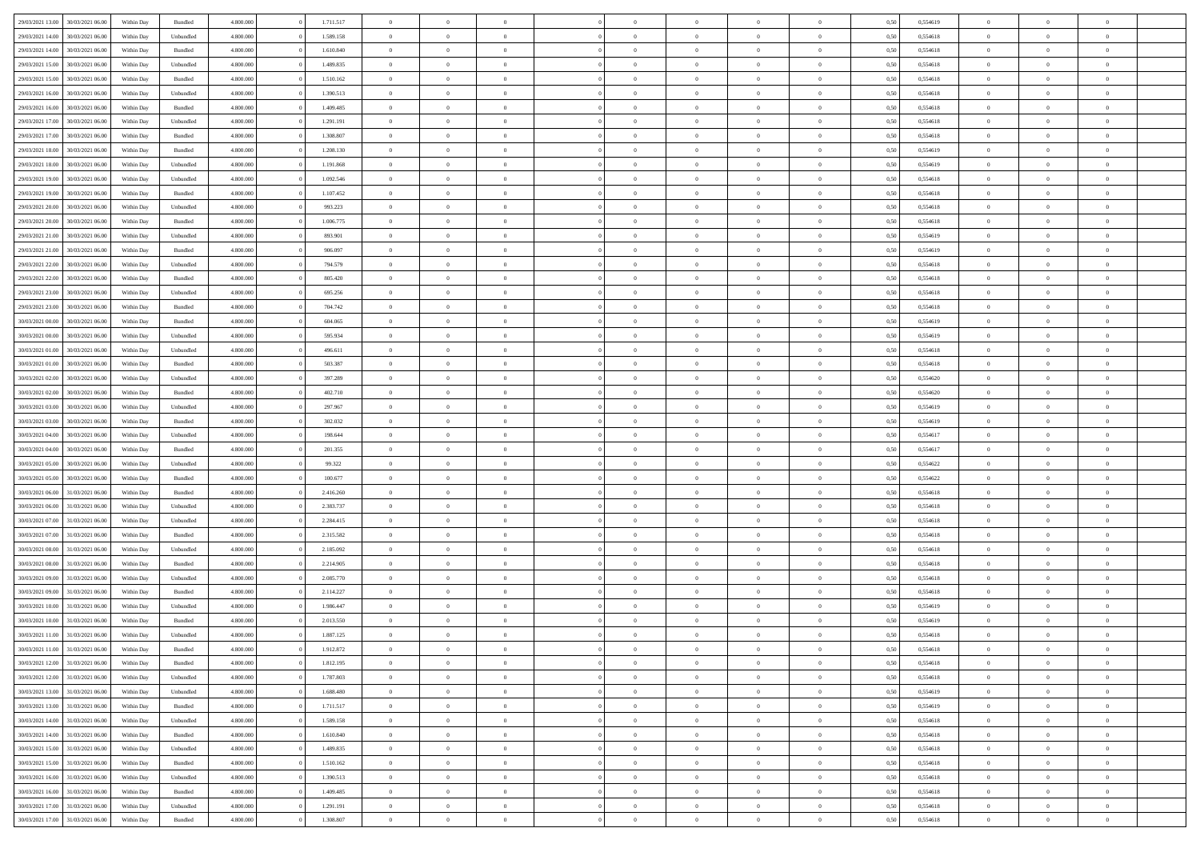| 29/03/2021 13:00                  | 30/03/2021 06:00 | Within Day | Bundled            | 4.800.000 | 1.711.517 | $\overline{0}$ | $\Omega$       |                | $\Omega$       | $\Omega$       | $\Omega$       | $\theta$       | 0,50 | 0,554619 | $\theta$       | $\theta$       | $\theta$       |  |
|-----------------------------------|------------------|------------|--------------------|-----------|-----------|----------------|----------------|----------------|----------------|----------------|----------------|----------------|------|----------|----------------|----------------|----------------|--|
|                                   |                  |            |                    |           |           |                |                |                |                |                |                |                |      |          |                |                |                |  |
| 29/03/2021 14:00                  | 30/03/2021 06:00 | Within Day | Unbundled          | 4.800.000 | 1.589.158 | $\overline{0}$ | $\theta$       | $\overline{0}$ | $\overline{0}$ | $\bf{0}$       | $\overline{0}$ | $\bf{0}$       | 0,50 | 0,554618 | $\theta$       | $\theta$       | $\overline{0}$ |  |
| 29/03/2021 14:00                  | 30/03/2021 06:00 | Within Day | Bundled            | 4.800.000 | 1.610.840 | $\overline{0}$ | $\overline{0}$ | $\overline{0}$ | $\overline{0}$ | $\bf{0}$       | $\overline{0}$ | $\bf{0}$       | 0,50 | 0,554618 | $\overline{0}$ | $\overline{0}$ | $\overline{0}$ |  |
| 29/03/2021 15:00                  | 30/03/2021 06:00 | Within Dav | Unbundled          | 4.800.000 | 1.489.835 | $\overline{0}$ | $\overline{0}$ | $\overline{0}$ | $\overline{0}$ | $\bf{0}$       | $\overline{0}$ | $\overline{0}$ | 0.50 | 0.554618 | $\theta$       | $\theta$       | $\overline{0}$ |  |
| 29/03/2021 15:00                  | 30/03/2021 06:00 | Within Day | Bundled            | 4.800.000 | 1.510.162 | $\overline{0}$ | $\theta$       | $\overline{0}$ | $\overline{0}$ | $\bf{0}$       | $\overline{0}$ | $\bf{0}$       | 0,50 | 0,554618 | $\theta$       | $\theta$       | $\overline{0}$ |  |
| 29/03/2021 16:00                  | 30/03/2021 06:00 | Within Day | Unbundled          | 4.800.000 | 1.390.513 | $\overline{0}$ | $\bf{0}$       | $\overline{0}$ | $\bf{0}$       | $\overline{0}$ | $\overline{0}$ | $\mathbf{0}$   | 0,50 | 0,554618 | $\overline{0}$ | $\overline{0}$ | $\bf{0}$       |  |
| 29/03/2021 16:00                  | 30/03/2021 06:00 | Within Dav | Bundled            | 4.800.000 | 1.409.485 | $\overline{0}$ | $\overline{0}$ | $\overline{0}$ | $\overline{0}$ | $\overline{0}$ | $\overline{0}$ | $\overline{0}$ | 0.50 | 0,554618 | $\theta$       | $\overline{0}$ | $\overline{0}$ |  |
|                                   |                  |            |                    |           |           |                |                |                |                |                |                |                |      |          |                |                |                |  |
| 29/03/2021 17:00                  | 30/03/2021 06:00 | Within Day | Unbundled          | 4.800.000 | 1.291.191 | $\overline{0}$ | $\theta$       | $\overline{0}$ | $\overline{0}$ | $\bf{0}$       | $\overline{0}$ | $\bf{0}$       | 0,50 | 0,554618 | $\theta$       | $\theta$       | $\overline{0}$ |  |
| 29/03/2021 17:00                  | 30/03/2021 06:00 | Within Day | Bundled            | 4.800.000 | 1.308.807 | $\overline{0}$ | $\overline{0}$ | $\overline{0}$ | $\bf{0}$       | $\bf{0}$       | $\bf{0}$       | $\bf{0}$       | 0,50 | 0,554618 | $\,0\,$        | $\overline{0}$ | $\overline{0}$ |  |
| 29/03/2021 18:00                  | 30/03/2021 06:00 | Within Dav | Bundled            | 4.800.000 | 1.208.130 | $\overline{0}$ | $\overline{0}$ | $\overline{0}$ | $\overline{0}$ | $\overline{0}$ | $\overline{0}$ | $\overline{0}$ | 0.50 | 0.554619 | $\theta$       | $\overline{0}$ | $\overline{0}$ |  |
| 29/03/2021 18:00                  | 30/03/2021 06:00 | Within Day | Unbundled          | 4.800.000 | 1.191.868 | $\overline{0}$ | $\theta$       | $\overline{0}$ | $\overline{0}$ | $\bf{0}$       | $\overline{0}$ | $\bf{0}$       | 0,50 | 0,554619 | $\,$ 0 $\,$    | $\overline{0}$ | $\overline{0}$ |  |
| 29/03/2021 19:00                  | 30/03/2021 06:00 | Within Day | Unbundled          | 4.800.000 | 1.092.546 | $\overline{0}$ | $\overline{0}$ | $\overline{0}$ | $\bf{0}$       | $\bf{0}$       | $\bf{0}$       | $\bf{0}$       | 0,50 | 0,554618 | $\overline{0}$ | $\overline{0}$ | $\overline{0}$ |  |
| 29/03/2021 19:00                  | 30/03/2021 06:00 | Within Day | Bundled            | 4.800.000 | 1.107.452 | $\overline{0}$ | $\overline{0}$ | $\overline{0}$ | $\overline{0}$ | $\bf{0}$       | $\overline{0}$ | $\overline{0}$ | 0.50 | 0.554618 | $\theta$       | $\theta$       | $\overline{0}$ |  |
| 29/03/2021 20:00                  | 30/03/2021 06:00 | Within Day | Unbundled          | 4.800.000 | 993.223   | $\overline{0}$ | $\theta$       | $\overline{0}$ | $\overline{0}$ | $\bf{0}$       | $\overline{0}$ | $\overline{0}$ | 0,50 | 0,554618 | $\theta$       | $\theta$       | $\overline{0}$ |  |
|                                   |                  |            |                    |           |           |                |                |                |                |                |                |                |      |          |                |                |                |  |
| 29/03/2021 20:00                  | 30/03/2021 06:00 | Within Day | Bundled            | 4.800.000 | 1.006.775 | $\overline{0}$ | $\overline{0}$ | $\overline{0}$ | $\bf{0}$       | $\overline{0}$ | $\overline{0}$ | $\mathbf{0}$   | 0,50 | 0,554618 | $\overline{0}$ | $\overline{0}$ | $\bf{0}$       |  |
| 29/03/2021 21:00                  | 30/03/2021 06:00 | Within Dav | Unbundled          | 4.800.000 | 893.901   | $\overline{0}$ | $\overline{0}$ | $\overline{0}$ | $\overline{0}$ | $\overline{0}$ | $\overline{0}$ | $\overline{0}$ | 0.50 | 0.554619 | $\theta$       | $\overline{0}$ | $\overline{0}$ |  |
| 29/03/2021 21:00                  | 30/03/2021 06:00 | Within Day | Bundled            | 4.800.000 | 906.097   | $\overline{0}$ | $\theta$       | $\overline{0}$ | $\overline{0}$ | $\bf{0}$       | $\overline{0}$ | $\bf{0}$       | 0,50 | 0,554619 | $\theta$       | $\theta$       | $\overline{0}$ |  |
| 29/03/2021 22.00                  | 30/03/2021 06:00 | Within Day | Unbundled          | 4.800.000 | 794.579   | $\overline{0}$ | $\overline{0}$ | $\overline{0}$ | $\overline{0}$ | $\bf{0}$       | $\overline{0}$ | $\bf{0}$       | 0,50 | 0,554618 | $\,0\,$        | $\overline{0}$ | $\overline{0}$ |  |
| 29/03/2021 22.00                  | 30/03/2021 06:00 | Within Day | Bundled            | 4.800.000 | 805.420   | $\overline{0}$ | $\overline{0}$ | $\overline{0}$ | $\overline{0}$ | $\overline{0}$ | $\overline{0}$ | $\overline{0}$ | 0.50 | 0.554618 | $\theta$       | $\overline{0}$ | $\overline{0}$ |  |
| 29/03/2021 23:00                  | 30/03/2021 06:00 | Within Day | Unbundled          | 4.800.000 | 695.256   | $\overline{0}$ | $\theta$       | $\overline{0}$ | $\overline{0}$ | $\bf{0}$       | $\overline{0}$ | $\bf{0}$       | 0,50 | 0,554618 | $\,$ 0 $\,$    | $\theta$       | $\overline{0}$ |  |
| 29/03/2021 23:00                  | 30/03/2021 06:00 | Within Day | Bundled            | 4.800.000 | 704.742   | $\overline{0}$ | $\overline{0}$ | $\overline{0}$ | $\overline{0}$ | $\bf{0}$       | $\overline{0}$ | $\bf{0}$       | 0,50 | 0,554618 | $\bf{0}$       | $\overline{0}$ | $\overline{0}$ |  |
|                                   |                  |            |                    |           |           |                |                |                |                |                |                |                |      |          | $\theta$       |                |                |  |
| 30/03/2021 00:00                  | 30/03/2021 06:00 | Within Day | Bundled            | 4.800.000 | 604.065   | $\overline{0}$ | $\overline{0}$ | $\overline{0}$ | $\overline{0}$ | $\bf{0}$       | $\overline{0}$ | $\overline{0}$ | 0.50 | 0.554619 |                | $\theta$       | $\overline{0}$ |  |
| 30/03/2021 00:00                  | 30/03/2021 06:00 | Within Day | Unbundled          | 4.800.000 | 595.934   | $\overline{0}$ | $\theta$       | $\overline{0}$ | $\overline{0}$ | $\bf{0}$       | $\overline{0}$ | $\bf{0}$       | 0,50 | 0,554619 | $\theta$       | $\overline{0}$ | $\overline{0}$ |  |
| 30/03/2021 01:00                  | 30/03/2021 06:00 | Within Day | Unbundled          | 4.800.000 | 496.611   | $\overline{0}$ | $\bf{0}$       | $\overline{0}$ | $\overline{0}$ | $\overline{0}$ | $\overline{0}$ | $\mathbf{0}$   | 0,50 | 0,554618 | $\overline{0}$ | $\overline{0}$ | $\bf{0}$       |  |
| 30/03/2021 01:00                  | 30/03/2021 06:00 | Within Dav | Bundled            | 4.800.000 | 503.387   | $\overline{0}$ | $\overline{0}$ | $\overline{0}$ | $\overline{0}$ | $\overline{0}$ | $\overline{0}$ | $\overline{0}$ | 0.50 | 0.554618 | $\theta$       | $\overline{0}$ | $\overline{0}$ |  |
| 30/03/2021 02:00                  | 30/03/2021 06:00 | Within Day | Unbundled          | 4.800.000 | 397.289   | $\overline{0}$ | $\theta$       | $\overline{0}$ | $\overline{0}$ | $\bf{0}$       | $\overline{0}$ | $\bf{0}$       | 0,50 | 0,554620 | $\theta$       | $\theta$       | $\overline{0}$ |  |
| 30/03/2021 02:00                  | 30/03/2021 06:00 | Within Day | Bundled            | 4.800.000 | 402.710   | $\overline{0}$ | $\overline{0}$ | $\overline{0}$ | $\overline{0}$ | $\bf{0}$       | $\overline{0}$ | $\bf{0}$       | 0,50 | 0,554620 | $\,0\,$        | $\overline{0}$ | $\overline{0}$ |  |
| 30/03/2021 03:00                  | 30/03/2021 06:00 | Within Day | Unbundled          | 4.800.000 | 297.967   | $\overline{0}$ | $\overline{0}$ | $\overline{0}$ | $\overline{0}$ | $\overline{0}$ | $\overline{0}$ | $\overline{0}$ | 0.50 | 0.554619 | $\theta$       | $\overline{0}$ | $\overline{0}$ |  |
|                                   |                  |            |                    |           |           | $\overline{0}$ |                |                |                |                |                |                |      |          |                |                |                |  |
| 30/03/2021 03:00                  | 30/03/2021 06:00 | Within Day | Bundled            | 4.800.000 | 302.032   |                | $\theta$       | $\overline{0}$ | $\overline{0}$ | $\bf{0}$       | $\overline{0}$ | $\bf{0}$       | 0,50 | 0,554619 | $\,$ 0 $\,$    | $\overline{0}$ | $\overline{0}$ |  |
| 30/03/2021 04:00                  | 30/03/2021 06:00 | Within Day | Unbundled          | 4.800.000 | 198.644   | $\overline{0}$ | $\overline{0}$ | $\overline{0}$ | $\overline{0}$ | $\bf{0}$       | $\overline{0}$ | $\bf{0}$       | 0,50 | 0,554617 | $\overline{0}$ | $\overline{0}$ | $\overline{0}$ |  |
| 30/03/2021 04:00                  | 30/03/2021 06:00 | Within Day | Bundled            | 4.800,000 | 201.355   | $\overline{0}$ | $\Omega$       | $\Omega$       | $\Omega$       | $\Omega$       | $\Omega$       | $\overline{0}$ | 0,50 | 0,554617 | $\,0\,$        | $\theta$       | $\theta$       |  |
| 30/03/2021 05:00                  | 30/03/2021 06:00 | Within Day | Unbundled          | 4.800.000 | 99.322    | $\overline{0}$ | $\theta$       | $\overline{0}$ | $\overline{0}$ | $\bf{0}$       | $\overline{0}$ | $\bf{0}$       | 0,50 | 0,554622 | $\theta$       | $\theta$       | $\overline{0}$ |  |
| 30/03/2021 05:00                  | 30/03/2021 06:00 | Within Day | Bundled            | 4.800.000 | 100.677   | $\overline{0}$ | $\overline{0}$ | $\overline{0}$ | $\overline{0}$ | $\bf{0}$       | $\overline{0}$ | $\mathbf{0}$   | 0,50 | 0,554622 | $\overline{0}$ | $\overline{0}$ | $\bf{0}$       |  |
| 30/03/2021 06:00                  | 31/03/2021 06:00 | Within Day | Bundled            | 4.800,000 | 2.416.260 | $\overline{0}$ | $\Omega$       | $\Omega$       | $\Omega$       | $\bf{0}$       | $\overline{0}$ | $\overline{0}$ | 0.50 | 0.554618 | $\theta$       | $\theta$       | $\theta$       |  |
| 30/03/2021 06:00                  | 31/03/2021 06:00 | Within Day | Unbundled          | 4.800.000 | 2.383.737 | $\overline{0}$ | $\theta$       | $\overline{0}$ | $\overline{0}$ | $\bf{0}$       | $\overline{0}$ | $\bf{0}$       | 0,50 | 0,554618 | $\theta$       | $\theta$       | $\overline{0}$ |  |
| 30/03/2021 07:00                  | 31/03/2021 06:00 | Within Day | Unbundled          | 4.800.000 | 2.284.415 | $\overline{0}$ | $\overline{0}$ | $\overline{0}$ | $\overline{0}$ | $\bf{0}$       | $\bf{0}$       | $\bf{0}$       | 0,50 | 0,554618 | $\,0\,$        | $\overline{0}$ | $\overline{0}$ |  |
|                                   |                  |            |                    |           |           |                |                |                |                |                |                |                |      |          |                |                |                |  |
| 30/03/2021 07:00                  | 31/03/2021 06:00 | Within Day | Bundled            | 4.800,000 | 2.315.582 | $\overline{0}$ | $\Omega$       | $\Omega$       | $\Omega$       | $\theta$       | $\theta$       | $\overline{0}$ | 0.50 | 0.554618 | $\theta$       | $\theta$       | $\theta$       |  |
| 30/03/2021 08:00                  | 31/03/2021 06:00 | Within Day | Unbundled          | 4.800.000 | 2.185.092 | $\overline{0}$ | $\theta$       | $\overline{0}$ | $\overline{0}$ | $\bf{0}$       | $\overline{0}$ | $\bf{0}$       | 0,50 | 0,554618 | $\,$ 0 $\,$    | $\overline{0}$ | $\overline{0}$ |  |
| 30/03/2021 08:00                  | 31/03/2021 06:00 | Within Day | Bundled            | 4.800.000 | 2.214.905 | $\overline{0}$ | $\overline{0}$ | $\overline{0}$ | $\bf{0}$       | $\bf{0}$       | $\bf{0}$       | $\bf{0}$       | 0,50 | 0,554618 | $\bf{0}$       | $\overline{0}$ | $\overline{0}$ |  |
| 30/03/2021 09:00                  | 31/03/2021 06:00 | Within Day | Unbundled          | 4.800,000 | 2.085.770 | $\overline{0}$ | $\Omega$       | $\Omega$       | $\Omega$       | $\Omega$       | $\overline{0}$ | $\overline{0}$ | 0,50 | 0,554618 | $\,0\,$        | $\theta$       | $\theta$       |  |
| 30/03/2021 09:00                  | 31/03/2021 06:00 | Within Day | Bundled            | 4.800.000 | 2.114.227 | $\overline{0}$ | $\theta$       | $\overline{0}$ | $\overline{0}$ | $\bf{0}$       | $\overline{0}$ | $\bf{0}$       | 0,50 | 0,554618 | $\,$ 0 $\,$    | $\overline{0}$ | $\overline{0}$ |  |
| 30/03/2021 10:00                  | 31/03/2021 06:00 | Within Day | Unbundled          | 4.800.000 | 1.986.447 | $\overline{0}$ | $\overline{0}$ | $\overline{0}$ | $\bf{0}$       | $\bf{0}$       | $\bf{0}$       | $\mathbf{0}$   | 0,50 | 0,554619 | $\bf{0}$       | $\overline{0}$ | $\bf{0}$       |  |
| 30/03/2021 10:00                  | 31/03/2021 06:00 | Within Day | Bundled            | 4.800,000 | 2.013.550 | $\overline{0}$ | $\Omega$       | $\Omega$       | $\Omega$       | $\Omega$       | $\Omega$       | $\overline{0}$ | 0.50 | 0.554619 | $\theta$       | $\theta$       | $\theta$       |  |
| 30/03/2021 11:00                  | 31/03/2021 06:00 | Within Day | Unbundled          | 4.800.000 | 1.887.125 | $\overline{0}$ | $\overline{0}$ | $\overline{0}$ | $\bf{0}$       | $\,$ 0         | $\bf{0}$       | $\bf{0}$       | 0,50 | 0,554618 | $\,0\,$        | $\overline{0}$ | $\overline{0}$ |  |
|                                   |                  |            |                    |           |           |                |                |                |                |                |                |                |      |          |                |                |                |  |
| 30/03/2021 11:00 31/03/2021 06:00 |                  | Within Day | $\mathbf B$ undled | 4.800.000 | 1.912.872 | $\bf{0}$       | $\bf{0}$       |                |                |                |                |                | 0,50 | 0,554618 | $\bf{0}$       | $\overline{0}$ |                |  |
| 30/03/2021 12:00                  | 31/03/2021 06:00 | Within Day | Bundled            | 4.800.000 | 1.812.195 | $\overline{0}$ | $\overline{0}$ | $\overline{0}$ | $\Omega$       | $\overline{0}$ | $\overline{0}$ | $\overline{0}$ | 0.50 | 0.554618 | $\theta$       | $\theta$       | $\theta$       |  |
| 30/03/2021 12:00                  | 31/03/2021 06:00 | Within Day | Unbundled          | 4.800.000 | 1.787.803 | $\overline{0}$ | $\,$ 0         | $\overline{0}$ | $\bf{0}$       | $\,$ 0 $\,$    | $\overline{0}$ | $\mathbf{0}$   | 0,50 | 0,554618 | $\,$ 0 $\,$    | $\,$ 0 $\,$    | $\,$ 0         |  |
| 30/03/2021 13:00                  | 31/03/2021 06:00 | Within Day | Unbundled          | 4.800.000 | 1.688.480 | $\overline{0}$ | $\overline{0}$ | $\overline{0}$ | $\overline{0}$ | $\overline{0}$ | $\overline{0}$ | $\mathbf{0}$   | 0,50 | 0,554619 | $\overline{0}$ | $\bf{0}$       | $\bf{0}$       |  |
| 30/03/2021 13:00                  | 31/03/2021 06:00 | Within Day | Bundled            | 4.800,000 | 1.711.517 | $\overline{0}$ | $\overline{0}$ | $\overline{0}$ | $\Omega$       | $\overline{0}$ | $\overline{0}$ | $\bf{0}$       | 0,50 | 0,554619 | $\overline{0}$ | $\theta$       | $\overline{0}$ |  |
| 30/03/2021 14:00                  | 31/03/2021 06:00 | Within Day | Unbundled          | 4.800.000 | 1.589.158 | $\overline{0}$ | $\,$ 0         | $\overline{0}$ | $\overline{0}$ | $\,$ 0 $\,$    | $\overline{0}$ | $\mathbf{0}$   | 0,50 | 0,554618 | $\,$ 0 $\,$    | $\overline{0}$ | $\overline{0}$ |  |
| 30/03/2021 14:00                  | 31/03/2021 06:00 | Within Day | Bundled            | 4.800.000 | 1.610.840 | $\overline{0}$ | $\overline{0}$ | $\overline{0}$ | $\overline{0}$ | $\overline{0}$ | $\overline{0}$ | $\mathbf{0}$   | 0,50 | 0,554618 | $\overline{0}$ | $\overline{0}$ | $\bf{0}$       |  |
|                                   |                  |            |                    |           |           |                |                |                |                |                |                |                |      |          |                |                |                |  |
| 30/03/2021 15:00                  | 31/03/2021 06:00 | Within Day | Unbundled          | 4.800,000 | 1.489.835 | $\overline{0}$ | $\overline{0}$ | $\overline{0}$ | $\Omega$       | $\overline{0}$ | $\overline{0}$ | $\bf{0}$       | 0.50 | 0,554618 | $\overline{0}$ | $\theta$       | $\overline{0}$ |  |
| 30/03/2021 15:00                  | 31/03/2021 06:00 | Within Day | Bundled            | 4.800.000 | 1.510.162 | $\overline{0}$ | $\,$ 0         | $\overline{0}$ | $\bf{0}$       | $\bf{0}$       | $\bf{0}$       | $\bf{0}$       | 0,50 | 0,554618 | $\,$ 0 $\,$    | $\overline{0}$ | $\overline{0}$ |  |
| 30/03/2021 16:00                  | 31/03/2021 06:00 | Within Day | Unbundled          | 4.800.000 | 1.390.513 | $\overline{0}$ | $\bf{0}$       | $\overline{0}$ | $\overline{0}$ | $\overline{0}$ | $\overline{0}$ | $\mathbf{0}$   | 0,50 | 0,554618 | $\overline{0}$ | $\overline{0}$ | $\bf{0}$       |  |
| 30/03/2021 16:00                  | 31/03/2021 06:00 | Within Day | Bundled            | 4.800,000 | 1.409.485 | $\overline{0}$ | $\overline{0}$ | $\overline{0}$ | $\Omega$       | $\overline{0}$ | $\overline{0}$ | $\bf{0}$       | 0.50 | 0,554618 | $\overline{0}$ | $\overline{0}$ | $\overline{0}$ |  |
| 30/03/2021 17:00                  | 31/03/2021 06:00 | Within Day | Unbundled          | 4.800.000 | 1.291.191 | $\overline{0}$ | $\bf{0}$       | $\overline{0}$ | $\bf{0}$       | $\bf{0}$       | $\bf{0}$       | $\mathbf{0}$   | 0,50 | 0,554618 | $\,$ 0 $\,$    | $\,$ 0 $\,$    | $\bf{0}$       |  |
| 30/03/2021 17:00                  | 31/03/2021 06:00 | Within Day | Bundled            | 4.800.000 | 1.308.807 | $\overline{0}$ | $\overline{0}$ | $\overline{0}$ | $\overline{0}$ | $\bf{0}$       | $\bf{0}$       | $\mathbf{0}$   | 0,50 | 0,554618 | $\overline{0}$ | $\bf{0}$       | $\bf{0}$       |  |
|                                   |                  |            |                    |           |           |                |                |                |                |                |                |                |      |          |                |                |                |  |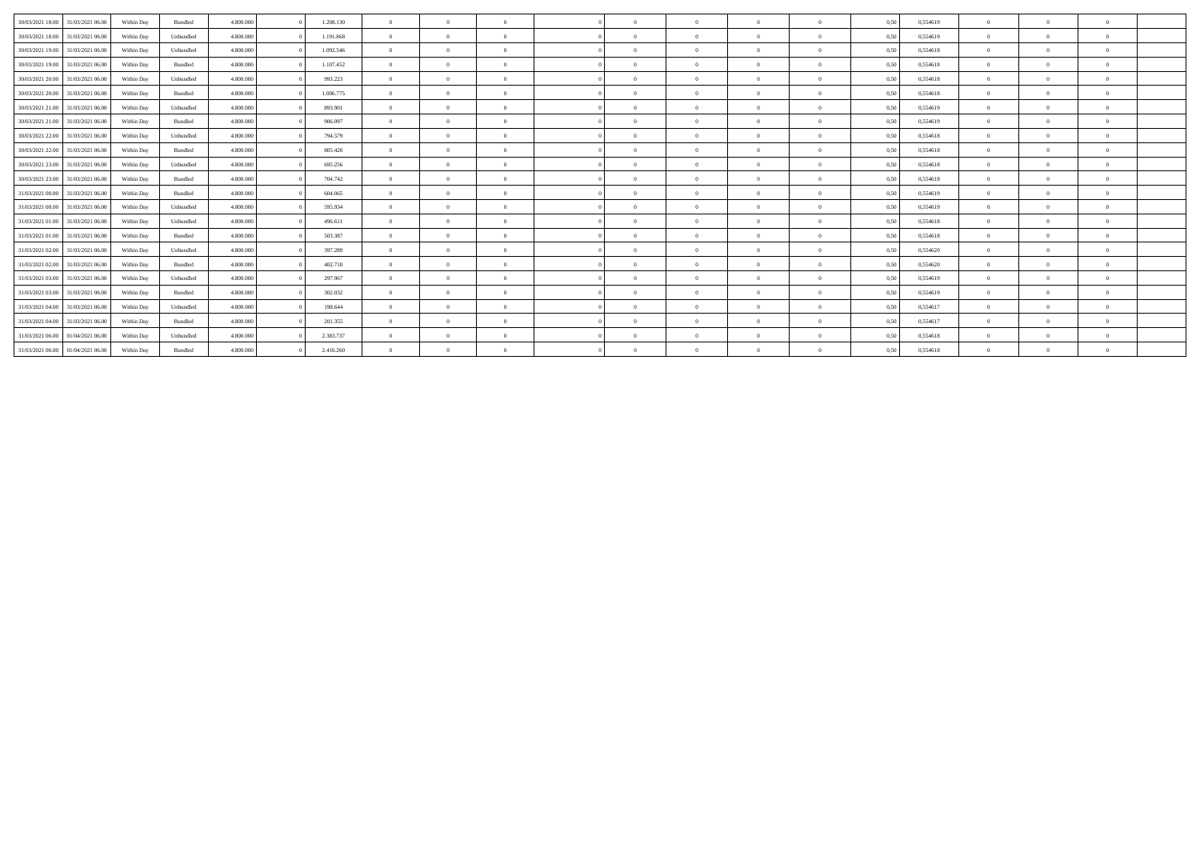| 30/03/2021 18:00<br>31/03/2021 06:00 | Within Day | Bundled   | 4.800.000 | 1.208.130 | $\overline{0}$ | $\Omega$       | $\overline{0}$ | $\Omega$   | $\Omega$ | $\Omega$       | $\mathbf{a}$ | 0,50 | 0,554619 | $\Omega$       |              |  |
|--------------------------------------|------------|-----------|-----------|-----------|----------------|----------------|----------------|------------|----------|----------------|--------------|------|----------|----------------|--------------|--|
| 30/03/2021 18:00 31/03/2021 06:00    | Within Day | Unbundled | 4.800,000 | 1.191.868 | $\overline{0}$ | $\Omega$       | $\Omega$       | $\Omega$   |          | $\Omega$       | $\mathbf{a}$ | 0,50 | 0,554619 | $\Omega$       |              |  |
| 30/03/2021 19:00<br>31/03/2021 06:00 | Within Day | Unbundled | 4.800,000 | 1.092.546 | $\overline{0}$ | $\Omega$       | $\Omega$       | $\Omega$   | $\Omega$ | $\Omega$       | $\mathbf{a}$ | 0.50 | 0.554618 | $\Omega$       | $\theta$     |  |
| 30/03/2021 19:00<br>31/03/2021 06:00 | Within Day | Bundled   | 4.800,000 | 1.107.452 | $\overline{0}$ | $\Omega$       | $\Omega$       | $\Omega$   | $\Omega$ | $\Omega$       | $\Omega$     | 0,50 | 0,554618 | $\Omega$       | $\theta$     |  |
| 30/03/2021 20:00<br>31/03/2021 06:00 | Within Day | Unbundled | 4.800.000 | 993.223   | $\overline{0}$ | $\Omega$       | $\Omega$       | $\Omega$   |          | $\Omega$       | $\mathbf{a}$ | 0,50 | 0,554618 | $\Omega$       |              |  |
| 30/03/2021 20:00<br>31/03/2021 06:00 | Within Day | Bundled   | 4.800,000 | 1.006.775 | $\Omega$       | $\Omega$       | $\Omega$       | $\Omega$   |          | $\Omega$       | $\Omega$     | 0,50 | 0.554618 | $\Omega$       |              |  |
| 30/03/2021 21:00<br>31/03/2021 06:00 | Within Day | Unbundled | 4.800,000 | 893.901   | $\overline{0}$ | $\Omega$       | $\Omega$       | $\Omega$   |          | $\Omega$       | $\mathbf{a}$ | 0,50 | 0,554619 | $\Omega$       |              |  |
| 30/03/2021 21.00<br>31/03/2021 06:00 | Within Day | Bundled   | 4.800.000 | 906.097   | $\Omega$       | $\Omega$       | $\Omega$       | $\Omega$   | $\Omega$ | $\Omega$       | $\Omega$     | 0,50 | 0,554619 | $\Omega$       |              |  |
| 30/03/2021 22:00<br>31/03/2021 06:00 | Within Day | Unbundled | 4.800.000 | 794.579   | $\overline{0}$ | $\overline{0}$ | $\overline{0}$ | $\Omega$   | $\Omega$ | $\Omega$       | $\Omega$     | 0,50 | 0,554618 | $^{\circ}$     |              |  |
| 30/03/2021 22.00<br>31/03/2021 06:00 | Within Day | Bundled   | 4.800,000 | 805.420   | $\Omega$       | $\Omega$       | $\Omega$       | $\Omega$   | $\Omega$ | $\Omega$       | $\Omega$     | 0,50 | 0,554618 | $\Omega$       |              |  |
| 30/03/2021 23:00<br>31/03/2021 06:00 | Within Day | Unbundled | 4.800.000 | 695.256   | $\Omega$       | $\Omega$       | $\overline{0}$ | $\Omega$   |          | $\Omega$       | $\Omega$     | 0,50 | 0,554618 | $^{\circ}$     |              |  |
| 30/03/2021 23:00<br>31/03/2021 06:00 | Within Day | Bundled   | 4.800.000 | 704.742   | $\Omega$       | $\Omega$       | $\Omega$       | $\Omega$   | $\Omega$ | $\Omega$       | $\Omega$     | 0.50 | 0,554618 | $\Omega$       | $\theta$     |  |
| 31/03/2021 00:00<br>31/03/2021 06:00 | Within Day | Bundled   | 4.800.000 | 604.065   | $\overline{0}$ | $\Omega$       | $\overline{0}$ | $\Omega$   | $\Omega$ | $\overline{0}$ | $\theta$     | 0,50 | 0,554619 | $^{\circ}$     | $\mathbf{a}$ |  |
| 31/03/2021 00:00<br>31/03/2021 06:00 | Within Day | Unbundled | 4.800.000 | 595.934   | $\Omega$       | $\Omega$       | $\Omega$       | $\sqrt{2}$ | $\Omega$ | $\Omega$       | $\Omega$     | 0.50 | 0.554619 | $\Omega$       |              |  |
| 31/03/2021 01:00 31/03/2021 06:00    | Within Day | Unbundled | 4.800,000 | 496.611   | $\Omega$       | $\Omega$       | $\Omega$       | $\Omega$   |          | $\Omega$       | $\Omega$     | 0.50 | 0,554618 | $^{\circ}$     |              |  |
| 31/03/2021 01:00 31/03/2021 06:00    | Within Day | Bundled   | 4.800.000 | 503.387   | $\Omega$       | $\Omega$       | $\Omega$       | $\Omega$   | $\Omega$ | $\Omega$       | $\Omega$     | 0.50 | 0.554618 | $^{\circ}$     |              |  |
| 31/03/2021 02:00 31/03/2021 06:00    | Within Day | Unbundled | 4.800.000 | 397.289   | $\Omega$       | $\Omega$       | $\Omega$       | $\Omega$   | $\Omega$ | $\Omega$       | $\Omega$     | 0,50 | 0,554620 | $\Omega$       |              |  |
| 31/03/2021 02:00 31/03/2021 06:00    | Within Day | Bundled   | 4.800.000 | 402.710   | $\overline{0}$ | $\Omega$       | $\Omega$       | $\Omega$   | $\Omega$ | $\Omega$       | $\Omega$     | 0.50 | 0.554620 | $\Omega$       |              |  |
| 31/03/2021 03:00 31/03/2021 06:00    | Within Day | Unbundled | 4.800.000 | 297.967   | $\overline{0}$ | $\overline{0}$ | $\Omega$       | $\Omega$   | $\Omega$ | $\Omega$       | $\Omega$     | 0,50 | 0,554619 | $\overline{0}$ |              |  |
| 31/03/2021 03:00<br>31/03/2021 06:00 | Within Day | Bundled   | 4.800.000 | 302.032   | $\Omega$       | $\Omega$       | $\Omega$       | $\Omega$   | $\Omega$ | $\Omega$       | $\Omega$     | 0.50 | 0.554619 | $\Omega$       |              |  |
| 31/03/2021 04:00<br>31/03/2021 06:00 | Within Day | Unbundled | 4.800,000 | 198,644   | $\overline{0}$ | $\Omega$       | $\Omega$       | $\Omega$   | $\Omega$ | $\Omega$       | $\theta$     | 0.50 | 0.554617 | $\Omega$       |              |  |
| 31/03/2021 04:00<br>31/03/2021 06:00 | Within Day | Bundled   | 4.800,000 | 201.355   | $\overline{0}$ | $\Omega$       | $\Omega$       | $\Omega$   | $\Omega$ | $\Omega$       | $\mathbf{a}$ | 0.50 | 0.554617 | $\Omega$       |              |  |
| 31/03/2021 06:00<br>01/04/2021 06:00 | Within Day | Unbundled | 4.800,000 | 2.383.737 | $\overline{0}$ | $\Omega$       | $\overline{0}$ | $\Omega$   | $\Omega$ | $\Omega$       | $\mathbf{a}$ | 0,50 | 0,554618 | $\Omega$       |              |  |
| 31/03/2021 06:00 01/04/2021 06:00    | Within Day | Bundled   | 4.800,000 | 2.416.260 | $\overline{0}$ | $\Omega$       | $\Omega$       | $\Omega$   |          |                | $\Omega$     | 0.50 | 0.554618 | $\Omega$       |              |  |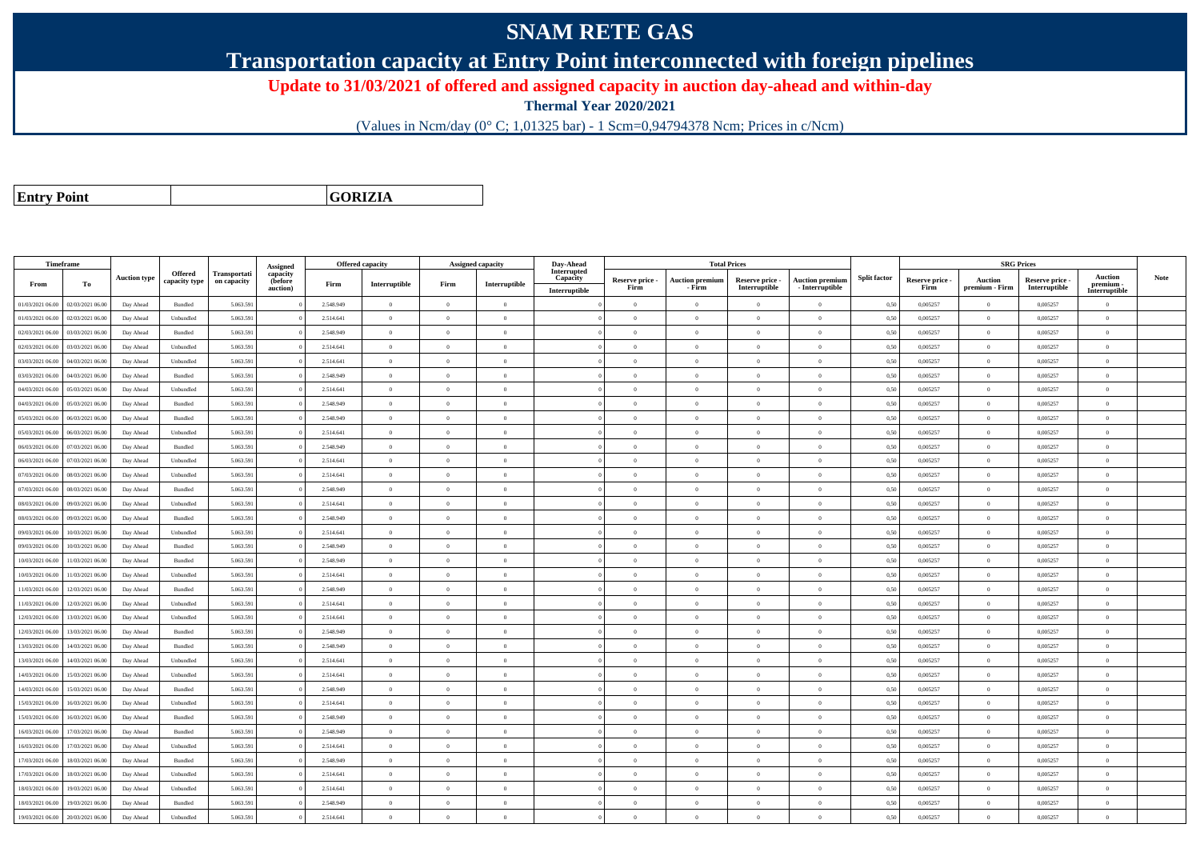## **SNAM RETE GAS**

**Transportation capacity at Entry Point interconnected with foreign pipelines**

**Update to 31/03/2021 of offered and assigned capacity in auction day-ahead and within-day**

**Thermal Year 2020/2021**

(Values in Ncm/day (0° C; 1,01325 bar) - 1 Scm=0,94794378 Ncm; Prices in c/Ncm)

**Entry Point**

**GORIZIA**

| <b>SRG Prices</b><br>Timeframe<br>Offered capacity<br><b>Total Prices</b><br><b>Assigned capacity</b><br>Interrupted<br><b>Offered</b><br>Transportati<br>capacity<br>Auction<br><b>Split factor</b><br><b>Note</b><br><b>Auction type</b><br>Capacity<br>Reserve price -<br>Auction premium<br>Reserve price -<br><b>Auction premium</b><br>Reserve price -<br><b>Auction</b><br>Reserve price -<br>capacity type<br>on capacity<br>(before<br>Interruptible<br>From<br>То<br>Firm<br>Interruptible<br>Firm<br>premium -<br>Interruptible<br>- Interruptible<br>Firm<br>- Firm<br>Firm<br>premium - Firm<br>Interruptible<br>auction)<br>Interruptible<br>$\label{thm:inter}$ Interruptible<br>01/03/2021 06:00<br>02/03/2021 06:00<br>5.063.591<br>2.548.949<br>$\overline{0}$<br>0,50<br>0,005257<br>0.005257<br>Day Ahead<br>Bundled<br>$\overline{0}$<br>$\overline{0}$<br>$\Omega$<br>$\theta$<br>$\theta$<br>$\Omega$<br>$\Omega$<br>$\bf{0}$<br>01/03/2021 06.00<br>02/03/2021 06.00<br>Day Ahead<br>Unbundled<br>5.063.591<br>2.514.641<br>$\overline{0}$<br>$\overline{0}$<br>$\theta$<br>$\theta$<br>$\bf{0}$<br>0,50<br>0,005257<br>$\theta$<br>0,005257<br>$\overline{0}$<br>$\theta$<br>$\overline{0}$<br>02/03/2021 06:00<br>03/03/2021 06:00<br>Bundled<br>5.063.591<br>2.548.949<br>$\overline{0}$<br>$\theta$<br>$\theta$<br>0,50<br>0,005257<br>$\Omega$<br>0,005257<br>Day Ahead<br>$\theta$<br>$\Omega$<br>$\theta$<br>$\theta$<br>$\Omega$<br>2.514.641<br>$\overline{0}$<br>$\overline{0}$<br>0,005257<br>$\mathbf{0}$<br>0,005257<br>02/03/2021 06.00<br>03/03/2021 06:00<br>Unbundled<br>5.063.591<br>$\overline{0}$<br>$\Omega$<br>$\theta$<br>$\theta$<br>0,50<br>Day Ahead<br>$\Omega$<br>$\overline{0}$<br>03/03/2021 06:00<br>04/03/2021 06:00<br>Day Ahead<br>Unbundled<br>5.063.591<br>2.514.641<br>$\overline{0}$<br>$\Omega$<br>$\Omega$<br>$\theta$<br>$\bf{0}$<br>0,50<br>0,005257<br>$\theta$<br>0,005257<br>$\theta$<br>$\theta$<br>$\overline{0}$<br>$\overline{0}$<br>$\overline{0}$<br>0.005257<br>$\theta$<br>0.005257<br>03/03/2021 06:00<br>04/03/2021 06:00<br>Bundled<br>5.063.591<br>2.548.949<br>$\Omega$<br>$\Omega$<br>Day Ahead<br>$\theta$<br>$\theta$<br>$\theta$<br>0.50<br>$\theta$<br>5.063.591<br>2.514.641<br>$\overline{0}$<br>$\,$ 0<br>0,005257<br>$\,$ 0 $\,$<br>0,005257<br>04/03/2021 06.00<br>05/03/2021 06.00<br>Day Ahead<br>Unbundled<br>$\overline{0}$<br>$\bf{0}$<br>$\theta$<br>$\theta$<br>$\theta$<br>0,50<br>$\overline{0}$<br>5.063.591<br>$\overline{0}$<br>$\theta$<br>0,005257<br>04/03/2021 06:00<br>05/03/2021 06.00<br>Day Ahead<br>Bundled<br>2.548.949<br>$\overline{0}$<br>$\overline{0}$<br>$\theta$<br>$\theta$<br>$\theta$<br>$\bf{0}$<br>0,50<br>0,005257<br>$\overline{0}$<br>05/03/2021 06.00<br>5.063.591<br>2.548.949<br>$\overline{0}$<br>0,50<br>0,005257<br>$\theta$<br>0,005257<br>06/03/2021 06:00<br>Day Ahead<br>Bundled<br>$\Omega$<br>$\bf{0}$<br>$\Omega$<br>$\Omega$<br>$\mathbf{a}$<br>$\Omega$<br>$\theta$<br>05/03/2021 06:00<br>06/03/2021 06:00<br>5.063.591<br>2.514.641<br>$\overline{0}$<br>0,005257<br>$\theta$<br>0,005257<br>Day Ahead<br>Unbundled<br>$\theta$<br>$\Omega$<br>$\theta$<br>$\Omega$<br>$\Omega$<br>$\Omega$<br>0,50<br>$\theta$<br>06/03/2021 06:00<br>07/03/2021 06:00<br>Day Ahead<br><b>Bundled</b><br>5.063.591<br>2.548.949<br>$\overline{0}$<br>$\overline{0}$<br>$\Omega$<br>$\theta$<br>$\theta$<br>$\overline{0}$<br>$\theta$<br>0,50<br>0,005257<br>$\theta$<br>0,005257<br>$\theta$<br>$\overline{0}$<br>$\overline{0}$<br>$\theta$<br>06/03/2021 06:00<br>07/03/2021 06:00<br>Day Ahead<br>Unbundled<br>5.063.591<br>2.514.641<br>$\overline{0}$<br>$\overline{0}$<br>$\theta$<br>$\theta$<br>$\overline{0}$<br>0,50<br>0,005257<br>0,005257<br>$\overline{0}$<br>07/03/2021 06:00<br>08/03/2021 06:00<br>Day Ahead<br>Unbundled<br>5.063.591<br>2.514.641<br>$\overline{0}$<br>$\Omega$<br>$\Omega$<br>$\theta$<br>$\theta$<br>0.50<br>0.005257<br>$\theta$<br>0.005257<br>$\overline{0}$<br>$\Omega$<br>$\Omega$<br>5.063.591<br>$\overline{0}$<br>$\theta$<br>$\overline{0}$<br>0.005257<br>$\overline{0}$<br>0.005257<br>07/03/2021 06:00<br>08/03/2021 06:00<br>Bundled<br>2.548.949<br>$\overline{0}$<br>$\overline{0}$<br>$\theta$<br>$\theta$<br>0,50<br>$\overline{0}$<br>Day Ahead<br>08/03/2021 06:00<br>09/03/2021 06:00<br>Day Ahead<br>Unbundled<br>5.063.591<br>2.514.641<br>$\overline{0}$<br>$\overline{0}$<br>$\theta$<br>$\theta$<br>$\bf{0}$<br>0,50<br>0,005257<br>$\theta$<br>0,005257<br>$\overline{0}$<br>$\theta$<br>$\overline{0}$<br>08/03/2021 06:00<br>09/03/2021 06:00<br>5.063.591<br>2.548.949<br>$\overline{0}$<br>0,005257<br>$\theta$<br>0,005257<br>Day Ahead<br><b>Bundled</b><br>$\theta$<br>$\Omega$<br>$\Omega$<br>$\Omega$<br>0,50<br>$\mathbf{a}$<br>$\Omega$<br>$\theta$<br>$\overline{0}$<br>$\theta$<br>$\mathbf{0}$<br>10/03/2021 06:00<br>Unbundled<br>5.063.591<br>2.514.641<br>$\Omega$<br>$\Omega$<br>$\theta$<br>0,50<br>0,005257<br>0,005257<br>09/03/2021 06:00<br>Day Ahead<br>$\theta$<br>$\Omega$<br>$\theta$<br>09/03/2021 06:00<br>10/03/2021 06:00<br>Bundled<br>5.063.591<br>2.548.949<br>$\overline{0}$<br>$\Omega$<br>$\theta$<br>$\bf{0}$<br>0,50<br>0,005257<br>$\theta$<br>0,005257<br>Day Ahead<br>$\theta$<br>$\theta$<br>$\theta$<br>$\overline{0}$<br>$\overline{0}$<br>0,005257<br>$\,$ 0 $\,$<br>0.005257<br>0/03/2021 06:00<br>11/03/2021 06:00<br>Bundled<br>5.063.591<br>2.548.949<br>$\Omega$<br>$\theta$<br>$\overline{0}$<br>0,50<br>Day Ahead<br>$\overline{0}$<br>$\theta$<br>$\overline{0}$<br>$\theta$<br>5.063.591<br>2.514.641<br>$\overline{0}$<br>0,005257<br>$\theta$<br>0,005257<br>10/03/2021 06:00<br>11/03/2021 06.00<br>Day Ahead<br>Unbundled<br>$\overline{0}$<br>$\Omega$<br>$\Omega$<br>$\theta$<br>$\Omega$<br>$\bf{0}$<br>0,50<br>$\theta$<br>5.063.591<br>$\overline{0}$<br>$\theta$<br>0.005257<br>11/03/2021 06:00<br>12/03/2021 06:00<br>Day Ahead<br>Bundled<br>2.548.949<br>$\overline{0}$<br>$\overline{0}$<br>$\theta$<br>$\theta$<br>$\overline{0}$<br>$\bf{0}$<br>0.50<br>0.005257<br>$\overline{0}$<br>5.063.591<br>11/03/2021 06:00<br>12/03/2021 06:00<br>Unbundled<br>2.514.641<br>$\overline{0}$<br>$\bf{0}$<br>0,50<br>0,005257<br>$\theta$<br>0,005257<br>Day Ahead<br>$\Omega$<br>$\Omega$<br>$\Omega$<br>$\mathbf{a}$<br>$\Omega$<br>$\theta$<br>$\overline{0}$<br>12/03/2021 06:00<br>13/03/2021 06.00<br>Day Ahead<br>Unbundled<br>5.063.591<br>2.514.641<br>$\overline{0}$<br>$\overline{0}$<br>$\theta$<br>$\theta$<br>$\overline{0}$<br>$\bf{0}$<br>0,50<br>0,005257<br>$\theta$<br>0,005257<br>$\overline{0}$<br>12/03/2021 06:00<br>13/03/2021 06:00<br><b>Bundled</b><br>5.063.591<br>2.548.949<br>$\overline{0}$<br>$\Omega$<br>$\theta$<br>$\theta$<br>0,50<br>0,005257<br>$\Omega$<br>0,005257<br>Day Ahead<br>$\theta$<br>$\theta$<br>$\theta$<br>$\theta$<br>$\overline{0}$<br>$\overline{0}$<br>$\theta$<br>13/03/2021 06.00<br>14/03/2021 06:00<br>Day Ahead<br>Bundled<br>5.063.591<br>2.548.949<br>$\overline{0}$<br>$\overline{0}$<br>$\overline{0}$<br>$\theta$<br>$\overline{0}$<br>0,50<br>0,005257<br>0,005257<br>$\overline{0}$<br>13/03/2021 06:00<br>14/03/2021 06:00<br>Unbundled<br>5.063.591<br>2.514.641<br>$\overline{0}$<br>$\theta$<br>0,50<br>0,005257<br>$\theta$<br>0,005257<br>Day Ahead<br>$\theta$<br>$\Omega$<br>$\Omega$<br>$\Omega$<br>$\bf{0}$<br>$\theta$<br>$\overline{0}$<br>$\bf{0}$<br>$\theta$<br>0.005257<br>14/03/2021 06:00<br>15/03/2021 06:00<br>5.063.591<br>2.514.641<br>$\overline{0}$<br>$\Omega$<br>$\theta$<br>$\theta$<br>$\overline{0}$<br>0,50<br>0.005257<br>Day Ahead<br>Unbundled<br>$\theta$<br>14/03/2021 06.00<br>15/03/2021 06:00<br>Day Ahead<br>Bundled<br>5.063.591<br>2.548.949<br>$\overline{0}$<br>$\overline{0}$<br>$\theta$<br>$\theta$<br>$\bf{0}$<br>0,50<br>0,005257<br>$\theta$<br>0.005257<br>$\overline{0}$<br>$\theta$<br>$\overline{0}$<br>15/03/2021 06:00<br>16/03/2021 06:00<br>5.063.591<br>$\overline{0}$<br>0,005257<br>$\theta$<br>0,005257<br>Day Ahead<br>Unbundled<br>2.514.641<br>$\theta$<br>$\Omega$<br>$\theta$<br>$\bf{0}$<br>0,50<br>$\theta$<br>$\Omega$<br>5.063.591<br>2.548.949<br>$\overline{0}$<br>$\theta$<br>$\overline{0}$<br>0,005257<br>$\theta$<br>0,005257<br>15/03/2021 06:00<br>16/03/2021 06:00<br>Day Ahead<br>Bundled<br>$\overline{0}$<br>$\Omega$<br>$\theta$<br>$\Omega$<br>0,50<br>$\bf{0}$<br>16/03/2021 06:00<br>17/03/2021 06:00<br>Bundled<br>5.063.591<br>2.548.949<br>$\overline{0}$<br>$\bf{0}$<br>0,50<br>0,005257<br>$\theta$<br>0,005257<br>Day Ahead<br>$\theta$<br>$\Omega$<br>$\Omega$<br>$\theta$<br>$\overline{0}$<br>$\overline{0}$<br>$\overline{0}$<br>$\theta$<br>16/03/2021 06:00<br>17/03/2021 06:00<br>Day Ahead<br>Unbundled<br>5.063.591<br>2.514.641<br>$\overline{0}$<br>$\Omega$<br>$\Omega$<br>$\theta$<br>$\theta$<br>0.50<br>0.005257<br>0.005257<br>$\theta$<br>$\theta$<br>5.063.591<br>2.548.949<br>$\overline{0}$<br>$\bf{0}$<br>$\theta$<br>0,005257<br>17/03/2021 06:00<br>18/03/2021 06:00<br>Day Ahead<br>Bundled<br>$\overline{0}$<br>$\Omega$<br>$\theta$<br>$\theta$<br>$\Omega$<br>0,50<br>0,005257<br>$\overline{0}$<br>17/03/2021 06:00<br>18/03/2021 06:00<br>Day Ahead<br>Unbundled<br>5.063.591<br>2.514.641<br>$\overline{0}$<br>$\Omega$<br>$\Omega$<br>$\theta$<br>$\theta$<br>$\Omega$<br>$\theta$<br>0,50<br>0,005257<br>$\Omega$<br>0.005257<br>$\theta$<br>19/03/2021 06:00<br>5.063.591<br>2.514.641<br>$\overline{0}$<br>$\bf{0}$<br>0,50<br>0,005257<br>$\theta$<br>0,005257<br>18/03/2021 06:00<br>Unbundled<br>$\theta$<br>$\Omega$<br>$\Omega$<br>Day Ahead<br>$\theta$<br>$\Omega$<br>$\theta$<br>18/03/2021 06:00<br>19/03/2021 06.00<br>Day Ahead<br>Bundled<br>5.063.591<br>2.548.949<br>$\overline{0}$<br>$\overline{0}$<br>$\theta$<br>$\theta$<br>$\bf{0}$<br>0,50<br>0,005257<br>$\theta$<br>0,005257<br>$\Omega$<br>$\overline{0}$<br>$\overline{0}$ |                  |                  |           |           |           |          |           |                |          |          | Day-Ahead |          |          |          |          |      |          |          |          |          |  |
|------------------------------------------------------------------------------------------------------------------------------------------------------------------------------------------------------------------------------------------------------------------------------------------------------------------------------------------------------------------------------------------------------------------------------------------------------------------------------------------------------------------------------------------------------------------------------------------------------------------------------------------------------------------------------------------------------------------------------------------------------------------------------------------------------------------------------------------------------------------------------------------------------------------------------------------------------------------------------------------------------------------------------------------------------------------------------------------------------------------------------------------------------------------------------------------------------------------------------------------------------------------------------------------------------------------------------------------------------------------------------------------------------------------------------------------------------------------------------------------------------------------------------------------------------------------------------------------------------------------------------------------------------------------------------------------------------------------------------------------------------------------------------------------------------------------------------------------------------------------------------------------------------------------------------------------------------------------------------------------------------------------------------------------------------------------------------------------------------------------------------------------------------------------------------------------------------------------------------------------------------------------------------------------------------------------------------------------------------------------------------------------------------------------------------------------------------------------------------------------------------------------------------------------------------------------------------------------------------------------------------------------------------------------------------------------------------------------------------------------------------------------------------------------------------------------------------------------------------------------------------------------------------------------------------------------------------------------------------------------------------------------------------------------------------------------------------------------------------------------------------------------------------------------------------------------------------------------------------------------------------------------------------------------------------------------------------------------------------------------------------------------------------------------------------------------------------------------------------------------------------------------------------------------------------------------------------------------------------------------------------------------------------------------------------------------------------------------------------------------------------------------------------------------------------------------------------------------------------------------------------------------------------------------------------------------------------------------------------------------------------------------------------------------------------------------------------------------------------------------------------------------------------------------------------------------------------------------------------------------------------------------------------------------------------------------------------------------------------------------------------------------------------------------------------------------------------------------------------------------------------------------------------------------------------------------------------------------------------------------------------------------------------------------------------------------------------------------------------------------------------------------------------------------------------------------------------------------------------------------------------------------------------------------------------------------------------------------------------------------------------------------------------------------------------------------------------------------------------------------------------------------------------------------------------------------------------------------------------------------------------------------------------------------------------------------------------------------------------------------------------------------------------------------------------------------------------------------------------------------------------------------------------------------------------------------------------------------------------------------------------------------------------------------------------------------------------------------------------------------------------------------------------------------------------------------------------------------------------------------------------------------------------------------------------------------------------------------------------------------------------------------------------------------------------------------------------------------------------------------------------------------------------------------------------------------------------------------------------------------------------------------------------------------------------------------------------------------------------------------------------------------------------------------------------------------------------------------------------------------------------------------------------------------------------------------------------------------------------------------------------------------------------------------------------------------------------------------------------------------------------------------------------------------------------------------------------------------------------------------------------------------------------------------------------------------------------------------------------------------------------------------------------------------------------------------------------------------------------------------------------------------------------------------------------------------------------------------------------------------------------------------------------------------------------------------------------------------------------------------------------------------------------------------------------------------------------------------------------------------------------------------------------------------------------------------------------------------------------------------------------------------------------------------------------------------------------------------------------------------------------------------------------------------------------------------------------------------------------------------------------------------------------------------------------------------------------------------------------------------------------------------------------------------------------------------------------------------------------------------------------------------------------------------------------------------------------------------------------------------------------------------------------------------------------------------------------------------------------------------------------------------------------------------------------------------------------------------------------------------------------------------------------------------------------------------------------------------------------------------------------------------------------------------------------------------------------------------------------------------------------------------------------------------------------------------------------------------------------------------------------------------------------------------------------------------------------------------------------------------------------------------------------------------------------------------------------------------------------------------------------------------------------------------------------------------------------------------------------------------------------------------------------------------------------------------------------------------------------------------------------------------------------------------------------------------------------------------------------------------------------------------------------------------------------------------------------------------------------------------------------------------------------------------------------------------------------------------------------------------------------------------------------------------------------------------------------------------------------------------------------------------------------------------------------------------------------------------------------------------------------------------------|------------------|------------------|-----------|-----------|-----------|----------|-----------|----------------|----------|----------|-----------|----------|----------|----------|----------|------|----------|----------|----------|----------|--|
|                                                                                                                                                                                                                                                                                                                                                                                                                                                                                                                                                                                                                                                                                                                                                                                                                                                                                                                                                                                                                                                                                                                                                                                                                                                                                                                                                                                                                                                                                                                                                                                                                                                                                                                                                                                                                                                                                                                                                                                                                                                                                                                                                                                                                                                                                                                                                                                                                                                                                                                                                                                                                                                                                                                                                                                                                                                                                                                                                                                                                                                                                                                                                                                                                                                                                                                                                                                                                                                                                                                                                                                                                                                                                                                                                                                                                                                                                                                                                                                                                                                                                                                                                                                                                                                                                                                                                                                                                                                                                                                                                                                                                                                                                                                                                                                                                                                                                                                                                                                                                                                                                                                                                                                                                                                                                                                                                                                                                                                                                                                                                                                                                                                                                                                                                                                                                                                                                                                                                                                                                                                                                                                                                                                                                                                                                                                                                                                                                                                                                                                                                                                                                                                                                                                                                                                                                                                                                                                                                                                                                                                                                                                                                                                                                                                                                                                                                                                                                                                                                                                                                                                                                                                                                                                                                                                                                                                                                                                                                                                                                                                                                                                                                                                                                                                                                                                                                                                                                                                                                                                                                                                                                                                                                                                                                                                                                                                                                                                                                                                                                                                                                                                                                                                                                                                                                                                                                                                                                                                                                                                                                                                                                                                                                                                                                                                                                                                                                                                                                                                                                        |                  |                  |           |           |           | Assigned |           |                |          |          |           |          |          |          |          |      |          |          |          |          |  |
|                                                                                                                                                                                                                                                                                                                                                                                                                                                                                                                                                                                                                                                                                                                                                                                                                                                                                                                                                                                                                                                                                                                                                                                                                                                                                                                                                                                                                                                                                                                                                                                                                                                                                                                                                                                                                                                                                                                                                                                                                                                                                                                                                                                                                                                                                                                                                                                                                                                                                                                                                                                                                                                                                                                                                                                                                                                                                                                                                                                                                                                                                                                                                                                                                                                                                                                                                                                                                                                                                                                                                                                                                                                                                                                                                                                                                                                                                                                                                                                                                                                                                                                                                                                                                                                                                                                                                                                                                                                                                                                                                                                                                                                                                                                                                                                                                                                                                                                                                                                                                                                                                                                                                                                                                                                                                                                                                                                                                                                                                                                                                                                                                                                                                                                                                                                                                                                                                                                                                                                                                                                                                                                                                                                                                                                                                                                                                                                                                                                                                                                                                                                                                                                                                                                                                                                                                                                                                                                                                                                                                                                                                                                                                                                                                                                                                                                                                                                                                                                                                                                                                                                                                                                                                                                                                                                                                                                                                                                                                                                                                                                                                                                                                                                                                                                                                                                                                                                                                                                                                                                                                                                                                                                                                                                                                                                                                                                                                                                                                                                                                                                                                                                                                                                                                                                                                                                                                                                                                                                                                                                                                                                                                                                                                                                                                                                                                                                                                                                                                                                                                        |                  |                  |           |           |           |          |           |                |          |          |           |          |          |          |          |      |          |          |          |          |  |
|                                                                                                                                                                                                                                                                                                                                                                                                                                                                                                                                                                                                                                                                                                                                                                                                                                                                                                                                                                                                                                                                                                                                                                                                                                                                                                                                                                                                                                                                                                                                                                                                                                                                                                                                                                                                                                                                                                                                                                                                                                                                                                                                                                                                                                                                                                                                                                                                                                                                                                                                                                                                                                                                                                                                                                                                                                                                                                                                                                                                                                                                                                                                                                                                                                                                                                                                                                                                                                                                                                                                                                                                                                                                                                                                                                                                                                                                                                                                                                                                                                                                                                                                                                                                                                                                                                                                                                                                                                                                                                                                                                                                                                                                                                                                                                                                                                                                                                                                                                                                                                                                                                                                                                                                                                                                                                                                                                                                                                                                                                                                                                                                                                                                                                                                                                                                                                                                                                                                                                                                                                                                                                                                                                                                                                                                                                                                                                                                                                                                                                                                                                                                                                                                                                                                                                                                                                                                                                                                                                                                                                                                                                                                                                                                                                                                                                                                                                                                                                                                                                                                                                                                                                                                                                                                                                                                                                                                                                                                                                                                                                                                                                                                                                                                                                                                                                                                                                                                                                                                                                                                                                                                                                                                                                                                                                                                                                                                                                                                                                                                                                                                                                                                                                                                                                                                                                                                                                                                                                                                                                                                                                                                                                                                                                                                                                                                                                                                                                                                                                                                                        |                  |                  |           |           |           |          |           |                |          |          |           |          |          |          |          |      |          |          |          |          |  |
|                                                                                                                                                                                                                                                                                                                                                                                                                                                                                                                                                                                                                                                                                                                                                                                                                                                                                                                                                                                                                                                                                                                                                                                                                                                                                                                                                                                                                                                                                                                                                                                                                                                                                                                                                                                                                                                                                                                                                                                                                                                                                                                                                                                                                                                                                                                                                                                                                                                                                                                                                                                                                                                                                                                                                                                                                                                                                                                                                                                                                                                                                                                                                                                                                                                                                                                                                                                                                                                                                                                                                                                                                                                                                                                                                                                                                                                                                                                                                                                                                                                                                                                                                                                                                                                                                                                                                                                                                                                                                                                                                                                                                                                                                                                                                                                                                                                                                                                                                                                                                                                                                                                                                                                                                                                                                                                                                                                                                                                                                                                                                                                                                                                                                                                                                                                                                                                                                                                                                                                                                                                                                                                                                                                                                                                                                                                                                                                                                                                                                                                                                                                                                                                                                                                                                                                                                                                                                                                                                                                                                                                                                                                                                                                                                                                                                                                                                                                                                                                                                                                                                                                                                                                                                                                                                                                                                                                                                                                                                                                                                                                                                                                                                                                                                                                                                                                                                                                                                                                                                                                                                                                                                                                                                                                                                                                                                                                                                                                                                                                                                                                                                                                                                                                                                                                                                                                                                                                                                                                                                                                                                                                                                                                                                                                                                                                                                                                                                                                                                                                                                        |                  |                  |           |           |           |          |           |                |          |          |           |          |          |          |          |      |          |          |          |          |  |
|                                                                                                                                                                                                                                                                                                                                                                                                                                                                                                                                                                                                                                                                                                                                                                                                                                                                                                                                                                                                                                                                                                                                                                                                                                                                                                                                                                                                                                                                                                                                                                                                                                                                                                                                                                                                                                                                                                                                                                                                                                                                                                                                                                                                                                                                                                                                                                                                                                                                                                                                                                                                                                                                                                                                                                                                                                                                                                                                                                                                                                                                                                                                                                                                                                                                                                                                                                                                                                                                                                                                                                                                                                                                                                                                                                                                                                                                                                                                                                                                                                                                                                                                                                                                                                                                                                                                                                                                                                                                                                                                                                                                                                                                                                                                                                                                                                                                                                                                                                                                                                                                                                                                                                                                                                                                                                                                                                                                                                                                                                                                                                                                                                                                                                                                                                                                                                                                                                                                                                                                                                                                                                                                                                                                                                                                                                                                                                                                                                                                                                                                                                                                                                                                                                                                                                                                                                                                                                                                                                                                                                                                                                                                                                                                                                                                                                                                                                                                                                                                                                                                                                                                                                                                                                                                                                                                                                                                                                                                                                                                                                                                                                                                                                                                                                                                                                                                                                                                                                                                                                                                                                                                                                                                                                                                                                                                                                                                                                                                                                                                                                                                                                                                                                                                                                                                                                                                                                                                                                                                                                                                                                                                                                                                                                                                                                                                                                                                                                                                                                                                                        |                  |                  |           |           |           |          |           |                |          |          |           |          |          |          |          |      |          |          |          |          |  |
|                                                                                                                                                                                                                                                                                                                                                                                                                                                                                                                                                                                                                                                                                                                                                                                                                                                                                                                                                                                                                                                                                                                                                                                                                                                                                                                                                                                                                                                                                                                                                                                                                                                                                                                                                                                                                                                                                                                                                                                                                                                                                                                                                                                                                                                                                                                                                                                                                                                                                                                                                                                                                                                                                                                                                                                                                                                                                                                                                                                                                                                                                                                                                                                                                                                                                                                                                                                                                                                                                                                                                                                                                                                                                                                                                                                                                                                                                                                                                                                                                                                                                                                                                                                                                                                                                                                                                                                                                                                                                                                                                                                                                                                                                                                                                                                                                                                                                                                                                                                                                                                                                                                                                                                                                                                                                                                                                                                                                                                                                                                                                                                                                                                                                                                                                                                                                                                                                                                                                                                                                                                                                                                                                                                                                                                                                                                                                                                                                                                                                                                                                                                                                                                                                                                                                                                                                                                                                                                                                                                                                                                                                                                                                                                                                                                                                                                                                                                                                                                                                                                                                                                                                                                                                                                                                                                                                                                                                                                                                                                                                                                                                                                                                                                                                                                                                                                                                                                                                                                                                                                                                                                                                                                                                                                                                                                                                                                                                                                                                                                                                                                                                                                                                                                                                                                                                                                                                                                                                                                                                                                                                                                                                                                                                                                                                                                                                                                                                                                                                                                                                        |                  |                  |           |           |           |          |           |                |          |          |           |          |          |          |          |      |          |          |          |          |  |
|                                                                                                                                                                                                                                                                                                                                                                                                                                                                                                                                                                                                                                                                                                                                                                                                                                                                                                                                                                                                                                                                                                                                                                                                                                                                                                                                                                                                                                                                                                                                                                                                                                                                                                                                                                                                                                                                                                                                                                                                                                                                                                                                                                                                                                                                                                                                                                                                                                                                                                                                                                                                                                                                                                                                                                                                                                                                                                                                                                                                                                                                                                                                                                                                                                                                                                                                                                                                                                                                                                                                                                                                                                                                                                                                                                                                                                                                                                                                                                                                                                                                                                                                                                                                                                                                                                                                                                                                                                                                                                                                                                                                                                                                                                                                                                                                                                                                                                                                                                                                                                                                                                                                                                                                                                                                                                                                                                                                                                                                                                                                                                                                                                                                                                                                                                                                                                                                                                                                                                                                                                                                                                                                                                                                                                                                                                                                                                                                                                                                                                                                                                                                                                                                                                                                                                                                                                                                                                                                                                                                                                                                                                                                                                                                                                                                                                                                                                                                                                                                                                                                                                                                                                                                                                                                                                                                                                                                                                                                                                                                                                                                                                                                                                                                                                                                                                                                                                                                                                                                                                                                                                                                                                                                                                                                                                                                                                                                                                                                                                                                                                                                                                                                                                                                                                                                                                                                                                                                                                                                                                                                                                                                                                                                                                                                                                                                                                                                                                                                                                                                                        |                  |                  |           |           |           |          |           |                |          |          |           |          |          |          |          |      |          |          |          |          |  |
|                                                                                                                                                                                                                                                                                                                                                                                                                                                                                                                                                                                                                                                                                                                                                                                                                                                                                                                                                                                                                                                                                                                                                                                                                                                                                                                                                                                                                                                                                                                                                                                                                                                                                                                                                                                                                                                                                                                                                                                                                                                                                                                                                                                                                                                                                                                                                                                                                                                                                                                                                                                                                                                                                                                                                                                                                                                                                                                                                                                                                                                                                                                                                                                                                                                                                                                                                                                                                                                                                                                                                                                                                                                                                                                                                                                                                                                                                                                                                                                                                                                                                                                                                                                                                                                                                                                                                                                                                                                                                                                                                                                                                                                                                                                                                                                                                                                                                                                                                                                                                                                                                                                                                                                                                                                                                                                                                                                                                                                                                                                                                                                                                                                                                                                                                                                                                                                                                                                                                                                                                                                                                                                                                                                                                                                                                                                                                                                                                                                                                                                                                                                                                                                                                                                                                                                                                                                                                                                                                                                                                                                                                                                                                                                                                                                                                                                                                                                                                                                                                                                                                                                                                                                                                                                                                                                                                                                                                                                                                                                                                                                                                                                                                                                                                                                                                                                                                                                                                                                                                                                                                                                                                                                                                                                                                                                                                                                                                                                                                                                                                                                                                                                                                                                                                                                                                                                                                                                                                                                                                                                                                                                                                                                                                                                                                                                                                                                                                                                                                                                                                        |                  |                  |           |           |           |          |           |                |          |          |           |          |          |          |          |      |          |          |          |          |  |
|                                                                                                                                                                                                                                                                                                                                                                                                                                                                                                                                                                                                                                                                                                                                                                                                                                                                                                                                                                                                                                                                                                                                                                                                                                                                                                                                                                                                                                                                                                                                                                                                                                                                                                                                                                                                                                                                                                                                                                                                                                                                                                                                                                                                                                                                                                                                                                                                                                                                                                                                                                                                                                                                                                                                                                                                                                                                                                                                                                                                                                                                                                                                                                                                                                                                                                                                                                                                                                                                                                                                                                                                                                                                                                                                                                                                                                                                                                                                                                                                                                                                                                                                                                                                                                                                                                                                                                                                                                                                                                                                                                                                                                                                                                                                                                                                                                                                                                                                                                                                                                                                                                                                                                                                                                                                                                                                                                                                                                                                                                                                                                                                                                                                                                                                                                                                                                                                                                                                                                                                                                                                                                                                                                                                                                                                                                                                                                                                                                                                                                                                                                                                                                                                                                                                                                                                                                                                                                                                                                                                                                                                                                                                                                                                                                                                                                                                                                                                                                                                                                                                                                                                                                                                                                                                                                                                                                                                                                                                                                                                                                                                                                                                                                                                                                                                                                                                                                                                                                                                                                                                                                                                                                                                                                                                                                                                                                                                                                                                                                                                                                                                                                                                                                                                                                                                                                                                                                                                                                                                                                                                                                                                                                                                                                                                                                                                                                                                                                                                                                                                                        |                  |                  |           |           |           |          |           |                |          |          |           |          |          |          |          |      |          |          |          |          |  |
|                                                                                                                                                                                                                                                                                                                                                                                                                                                                                                                                                                                                                                                                                                                                                                                                                                                                                                                                                                                                                                                                                                                                                                                                                                                                                                                                                                                                                                                                                                                                                                                                                                                                                                                                                                                                                                                                                                                                                                                                                                                                                                                                                                                                                                                                                                                                                                                                                                                                                                                                                                                                                                                                                                                                                                                                                                                                                                                                                                                                                                                                                                                                                                                                                                                                                                                                                                                                                                                                                                                                                                                                                                                                                                                                                                                                                                                                                                                                                                                                                                                                                                                                                                                                                                                                                                                                                                                                                                                                                                                                                                                                                                                                                                                                                                                                                                                                                                                                                                                                                                                                                                                                                                                                                                                                                                                                                                                                                                                                                                                                                                                                                                                                                                                                                                                                                                                                                                                                                                                                                                                                                                                                                                                                                                                                                                                                                                                                                                                                                                                                                                                                                                                                                                                                                                                                                                                                                                                                                                                                                                                                                                                                                                                                                                                                                                                                                                                                                                                                                                                                                                                                                                                                                                                                                                                                                                                                                                                                                                                                                                                                                                                                                                                                                                                                                                                                                                                                                                                                                                                                                                                                                                                                                                                                                                                                                                                                                                                                                                                                                                                                                                                                                                                                                                                                                                                                                                                                                                                                                                                                                                                                                                                                                                                                                                                                                                                                                                                                                                                                                        |                  |                  |           |           |           |          |           |                |          |          |           |          |          |          |          |      |          |          |          |          |  |
|                                                                                                                                                                                                                                                                                                                                                                                                                                                                                                                                                                                                                                                                                                                                                                                                                                                                                                                                                                                                                                                                                                                                                                                                                                                                                                                                                                                                                                                                                                                                                                                                                                                                                                                                                                                                                                                                                                                                                                                                                                                                                                                                                                                                                                                                                                                                                                                                                                                                                                                                                                                                                                                                                                                                                                                                                                                                                                                                                                                                                                                                                                                                                                                                                                                                                                                                                                                                                                                                                                                                                                                                                                                                                                                                                                                                                                                                                                                                                                                                                                                                                                                                                                                                                                                                                                                                                                                                                                                                                                                                                                                                                                                                                                                                                                                                                                                                                                                                                                                                                                                                                                                                                                                                                                                                                                                                                                                                                                                                                                                                                                                                                                                                                                                                                                                                                                                                                                                                                                                                                                                                                                                                                                                                                                                                                                                                                                                                                                                                                                                                                                                                                                                                                                                                                                                                                                                                                                                                                                                                                                                                                                                                                                                                                                                                                                                                                                                                                                                                                                                                                                                                                                                                                                                                                                                                                                                                                                                                                                                                                                                                                                                                                                                                                                                                                                                                                                                                                                                                                                                                                                                                                                                                                                                                                                                                                                                                                                                                                                                                                                                                                                                                                                                                                                                                                                                                                                                                                                                                                                                                                                                                                                                                                                                                                                                                                                                                                                                                                                                                                        |                  |                  |           |           |           |          |           |                |          |          |           |          |          |          |          |      |          |          |          |          |  |
|                                                                                                                                                                                                                                                                                                                                                                                                                                                                                                                                                                                                                                                                                                                                                                                                                                                                                                                                                                                                                                                                                                                                                                                                                                                                                                                                                                                                                                                                                                                                                                                                                                                                                                                                                                                                                                                                                                                                                                                                                                                                                                                                                                                                                                                                                                                                                                                                                                                                                                                                                                                                                                                                                                                                                                                                                                                                                                                                                                                                                                                                                                                                                                                                                                                                                                                                                                                                                                                                                                                                                                                                                                                                                                                                                                                                                                                                                                                                                                                                                                                                                                                                                                                                                                                                                                                                                                                                                                                                                                                                                                                                                                                                                                                                                                                                                                                                                                                                                                                                                                                                                                                                                                                                                                                                                                                                                                                                                                                                                                                                                                                                                                                                                                                                                                                                                                                                                                                                                                                                                                                                                                                                                                                                                                                                                                                                                                                                                                                                                                                                                                                                                                                                                                                                                                                                                                                                                                                                                                                                                                                                                                                                                                                                                                                                                                                                                                                                                                                                                                                                                                                                                                                                                                                                                                                                                                                                                                                                                                                                                                                                                                                                                                                                                                                                                                                                                                                                                                                                                                                                                                                                                                                                                                                                                                                                                                                                                                                                                                                                                                                                                                                                                                                                                                                                                                                                                                                                                                                                                                                                                                                                                                                                                                                                                                                                                                                                                                                                                                                                                        |                  |                  |           |           |           |          |           |                |          |          |           |          |          |          |          |      |          |          |          |          |  |
|                                                                                                                                                                                                                                                                                                                                                                                                                                                                                                                                                                                                                                                                                                                                                                                                                                                                                                                                                                                                                                                                                                                                                                                                                                                                                                                                                                                                                                                                                                                                                                                                                                                                                                                                                                                                                                                                                                                                                                                                                                                                                                                                                                                                                                                                                                                                                                                                                                                                                                                                                                                                                                                                                                                                                                                                                                                                                                                                                                                                                                                                                                                                                                                                                                                                                                                                                                                                                                                                                                                                                                                                                                                                                                                                                                                                                                                                                                                                                                                                                                                                                                                                                                                                                                                                                                                                                                                                                                                                                                                                                                                                                                                                                                                                                                                                                                                                                                                                                                                                                                                                                                                                                                                                                                                                                                                                                                                                                                                                                                                                                                                                                                                                                                                                                                                                                                                                                                                                                                                                                                                                                                                                                                                                                                                                                                                                                                                                                                                                                                                                                                                                                                                                                                                                                                                                                                                                                                                                                                                                                                                                                                                                                                                                                                                                                                                                                                                                                                                                                                                                                                                                                                                                                                                                                                                                                                                                                                                                                                                                                                                                                                                                                                                                                                                                                                                                                                                                                                                                                                                                                                                                                                                                                                                                                                                                                                                                                                                                                                                                                                                                                                                                                                                                                                                                                                                                                                                                                                                                                                                                                                                                                                                                                                                                                                                                                                                                                                                                                                                                                        |                  |                  |           |           |           |          |           |                |          |          |           |          |          |          |          |      |          |          |          |          |  |
|                                                                                                                                                                                                                                                                                                                                                                                                                                                                                                                                                                                                                                                                                                                                                                                                                                                                                                                                                                                                                                                                                                                                                                                                                                                                                                                                                                                                                                                                                                                                                                                                                                                                                                                                                                                                                                                                                                                                                                                                                                                                                                                                                                                                                                                                                                                                                                                                                                                                                                                                                                                                                                                                                                                                                                                                                                                                                                                                                                                                                                                                                                                                                                                                                                                                                                                                                                                                                                                                                                                                                                                                                                                                                                                                                                                                                                                                                                                                                                                                                                                                                                                                                                                                                                                                                                                                                                                                                                                                                                                                                                                                                                                                                                                                                                                                                                                                                                                                                                                                                                                                                                                                                                                                                                                                                                                                                                                                                                                                                                                                                                                                                                                                                                                                                                                                                                                                                                                                                                                                                                                                                                                                                                                                                                                                                                                                                                                                                                                                                                                                                                                                                                                                                                                                                                                                                                                                                                                                                                                                                                                                                                                                                                                                                                                                                                                                                                                                                                                                                                                                                                                                                                                                                                                                                                                                                                                                                                                                                                                                                                                                                                                                                                                                                                                                                                                                                                                                                                                                                                                                                                                                                                                                                                                                                                                                                                                                                                                                                                                                                                                                                                                                                                                                                                                                                                                                                                                                                                                                                                                                                                                                                                                                                                                                                                                                                                                                                                                                                                                                                        |                  |                  |           |           |           |          |           |                |          |          |           |          |          |          |          |      |          |          |          |          |  |
|                                                                                                                                                                                                                                                                                                                                                                                                                                                                                                                                                                                                                                                                                                                                                                                                                                                                                                                                                                                                                                                                                                                                                                                                                                                                                                                                                                                                                                                                                                                                                                                                                                                                                                                                                                                                                                                                                                                                                                                                                                                                                                                                                                                                                                                                                                                                                                                                                                                                                                                                                                                                                                                                                                                                                                                                                                                                                                                                                                                                                                                                                                                                                                                                                                                                                                                                                                                                                                                                                                                                                                                                                                                                                                                                                                                                                                                                                                                                                                                                                                                                                                                                                                                                                                                                                                                                                                                                                                                                                                                                                                                                                                                                                                                                                                                                                                                                                                                                                                                                                                                                                                                                                                                                                                                                                                                                                                                                                                                                                                                                                                                                                                                                                                                                                                                                                                                                                                                                                                                                                                                                                                                                                                                                                                                                                                                                                                                                                                                                                                                                                                                                                                                                                                                                                                                                                                                                                                                                                                                                                                                                                                                                                                                                                                                                                                                                                                                                                                                                                                                                                                                                                                                                                                                                                                                                                                                                                                                                                                                                                                                                                                                                                                                                                                                                                                                                                                                                                                                                                                                                                                                                                                                                                                                                                                                                                                                                                                                                                                                                                                                                                                                                                                                                                                                                                                                                                                                                                                                                                                                                                                                                                                                                                                                                                                                                                                                                                                                                                                                                                        |                  |                  |           |           |           |          |           |                |          |          |           |          |          |          |          |      |          |          |          |          |  |
|                                                                                                                                                                                                                                                                                                                                                                                                                                                                                                                                                                                                                                                                                                                                                                                                                                                                                                                                                                                                                                                                                                                                                                                                                                                                                                                                                                                                                                                                                                                                                                                                                                                                                                                                                                                                                                                                                                                                                                                                                                                                                                                                                                                                                                                                                                                                                                                                                                                                                                                                                                                                                                                                                                                                                                                                                                                                                                                                                                                                                                                                                                                                                                                                                                                                                                                                                                                                                                                                                                                                                                                                                                                                                                                                                                                                                                                                                                                                                                                                                                                                                                                                                                                                                                                                                                                                                                                                                                                                                                                                                                                                                                                                                                                                                                                                                                                                                                                                                                                                                                                                                                                                                                                                                                                                                                                                                                                                                                                                                                                                                                                                                                                                                                                                                                                                                                                                                                                                                                                                                                                                                                                                                                                                                                                                                                                                                                                                                                                                                                                                                                                                                                                                                                                                                                                                                                                                                                                                                                                                                                                                                                                                                                                                                                                                                                                                                                                                                                                                                                                                                                                                                                                                                                                                                                                                                                                                                                                                                                                                                                                                                                                                                                                                                                                                                                                                                                                                                                                                                                                                                                                                                                                                                                                                                                                                                                                                                                                                                                                                                                                                                                                                                                                                                                                                                                                                                                                                                                                                                                                                                                                                                                                                                                                                                                                                                                                                                                                                                                                                                        |                  |                  |           |           |           |          |           |                |          |          |           |          |          |          |          |      |          |          |          |          |  |
|                                                                                                                                                                                                                                                                                                                                                                                                                                                                                                                                                                                                                                                                                                                                                                                                                                                                                                                                                                                                                                                                                                                                                                                                                                                                                                                                                                                                                                                                                                                                                                                                                                                                                                                                                                                                                                                                                                                                                                                                                                                                                                                                                                                                                                                                                                                                                                                                                                                                                                                                                                                                                                                                                                                                                                                                                                                                                                                                                                                                                                                                                                                                                                                                                                                                                                                                                                                                                                                                                                                                                                                                                                                                                                                                                                                                                                                                                                                                                                                                                                                                                                                                                                                                                                                                                                                                                                                                                                                                                                                                                                                                                                                                                                                                                                                                                                                                                                                                                                                                                                                                                                                                                                                                                                                                                                                                                                                                                                                                                                                                                                                                                                                                                                                                                                                                                                                                                                                                                                                                                                                                                                                                                                                                                                                                                                                                                                                                                                                                                                                                                                                                                                                                                                                                                                                                                                                                                                                                                                                                                                                                                                                                                                                                                                                                                                                                                                                                                                                                                                                                                                                                                                                                                                                                                                                                                                                                                                                                                                                                                                                                                                                                                                                                                                                                                                                                                                                                                                                                                                                                                                                                                                                                                                                                                                                                                                                                                                                                                                                                                                                                                                                                                                                                                                                                                                                                                                                                                                                                                                                                                                                                                                                                                                                                                                                                                                                                                                                                                                                                                        |                  |                  |           |           |           |          |           |                |          |          |           |          |          |          |          |      |          |          |          |          |  |
|                                                                                                                                                                                                                                                                                                                                                                                                                                                                                                                                                                                                                                                                                                                                                                                                                                                                                                                                                                                                                                                                                                                                                                                                                                                                                                                                                                                                                                                                                                                                                                                                                                                                                                                                                                                                                                                                                                                                                                                                                                                                                                                                                                                                                                                                                                                                                                                                                                                                                                                                                                                                                                                                                                                                                                                                                                                                                                                                                                                                                                                                                                                                                                                                                                                                                                                                                                                                                                                                                                                                                                                                                                                                                                                                                                                                                                                                                                                                                                                                                                                                                                                                                                                                                                                                                                                                                                                                                                                                                                                                                                                                                                                                                                                                                                                                                                                                                                                                                                                                                                                                                                                                                                                                                                                                                                                                                                                                                                                                                                                                                                                                                                                                                                                                                                                                                                                                                                                                                                                                                                                                                                                                                                                                                                                                                                                                                                                                                                                                                                                                                                                                                                                                                                                                                                                                                                                                                                                                                                                                                                                                                                                                                                                                                                                                                                                                                                                                                                                                                                                                                                                                                                                                                                                                                                                                                                                                                                                                                                                                                                                                                                                                                                                                                                                                                                                                                                                                                                                                                                                                                                                                                                                                                                                                                                                                                                                                                                                                                                                                                                                                                                                                                                                                                                                                                                                                                                                                                                                                                                                                                                                                                                                                                                                                                                                                                                                                                                                                                                                                                        |                  |                  |           |           |           |          |           |                |          |          |           |          |          |          |          |      |          |          |          |          |  |
|                                                                                                                                                                                                                                                                                                                                                                                                                                                                                                                                                                                                                                                                                                                                                                                                                                                                                                                                                                                                                                                                                                                                                                                                                                                                                                                                                                                                                                                                                                                                                                                                                                                                                                                                                                                                                                                                                                                                                                                                                                                                                                                                                                                                                                                                                                                                                                                                                                                                                                                                                                                                                                                                                                                                                                                                                                                                                                                                                                                                                                                                                                                                                                                                                                                                                                                                                                                                                                                                                                                                                                                                                                                                                                                                                                                                                                                                                                                                                                                                                                                                                                                                                                                                                                                                                                                                                                                                                                                                                                                                                                                                                                                                                                                                                                                                                                                                                                                                                                                                                                                                                                                                                                                                                                                                                                                                                                                                                                                                                                                                                                                                                                                                                                                                                                                                                                                                                                                                                                                                                                                                                                                                                                                                                                                                                                                                                                                                                                                                                                                                                                                                                                                                                                                                                                                                                                                                                                                                                                                                                                                                                                                                                                                                                                                                                                                                                                                                                                                                                                                                                                                                                                                                                                                                                                                                                                                                                                                                                                                                                                                                                                                                                                                                                                                                                                                                                                                                                                                                                                                                                                                                                                                                                                                                                                                                                                                                                                                                                                                                                                                                                                                                                                                                                                                                                                                                                                                                                                                                                                                                                                                                                                                                                                                                                                                                                                                                                                                                                                                                                        |                  |                  |           |           |           |          |           |                |          |          |           |          |          |          |          |      |          |          |          |          |  |
|                                                                                                                                                                                                                                                                                                                                                                                                                                                                                                                                                                                                                                                                                                                                                                                                                                                                                                                                                                                                                                                                                                                                                                                                                                                                                                                                                                                                                                                                                                                                                                                                                                                                                                                                                                                                                                                                                                                                                                                                                                                                                                                                                                                                                                                                                                                                                                                                                                                                                                                                                                                                                                                                                                                                                                                                                                                                                                                                                                                                                                                                                                                                                                                                                                                                                                                                                                                                                                                                                                                                                                                                                                                                                                                                                                                                                                                                                                                                                                                                                                                                                                                                                                                                                                                                                                                                                                                                                                                                                                                                                                                                                                                                                                                                                                                                                                                                                                                                                                                                                                                                                                                                                                                                                                                                                                                                                                                                                                                                                                                                                                                                                                                                                                                                                                                                                                                                                                                                                                                                                                                                                                                                                                                                                                                                                                                                                                                                                                                                                                                                                                                                                                                                                                                                                                                                                                                                                                                                                                                                                                                                                                                                                                                                                                                                                                                                                                                                                                                                                                                                                                                                                                                                                                                                                                                                                                                                                                                                                                                                                                                                                                                                                                                                                                                                                                                                                                                                                                                                                                                                                                                                                                                                                                                                                                                                                                                                                                                                                                                                                                                                                                                                                                                                                                                                                                                                                                                                                                                                                                                                                                                                                                                                                                                                                                                                                                                                                                                                                                                                                        |                  |                  |           |           |           |          |           |                |          |          |           |          |          |          |          |      |          |          |          |          |  |
|                                                                                                                                                                                                                                                                                                                                                                                                                                                                                                                                                                                                                                                                                                                                                                                                                                                                                                                                                                                                                                                                                                                                                                                                                                                                                                                                                                                                                                                                                                                                                                                                                                                                                                                                                                                                                                                                                                                                                                                                                                                                                                                                                                                                                                                                                                                                                                                                                                                                                                                                                                                                                                                                                                                                                                                                                                                                                                                                                                                                                                                                                                                                                                                                                                                                                                                                                                                                                                                                                                                                                                                                                                                                                                                                                                                                                                                                                                                                                                                                                                                                                                                                                                                                                                                                                                                                                                                                                                                                                                                                                                                                                                                                                                                                                                                                                                                                                                                                                                                                                                                                                                                                                                                                                                                                                                                                                                                                                                                                                                                                                                                                                                                                                                                                                                                                                                                                                                                                                                                                                                                                                                                                                                                                                                                                                                                                                                                                                                                                                                                                                                                                                                                                                                                                                                                                                                                                                                                                                                                                                                                                                                                                                                                                                                                                                                                                                                                                                                                                                                                                                                                                                                                                                                                                                                                                                                                                                                                                                                                                                                                                                                                                                                                                                                                                                                                                                                                                                                                                                                                                                                                                                                                                                                                                                                                                                                                                                                                                                                                                                                                                                                                                                                                                                                                                                                                                                                                                                                                                                                                                                                                                                                                                                                                                                                                                                                                                                                                                                                                                                        |                  |                  |           |           |           |          |           |                |          |          |           |          |          |          |          |      |          |          |          |          |  |
|                                                                                                                                                                                                                                                                                                                                                                                                                                                                                                                                                                                                                                                                                                                                                                                                                                                                                                                                                                                                                                                                                                                                                                                                                                                                                                                                                                                                                                                                                                                                                                                                                                                                                                                                                                                                                                                                                                                                                                                                                                                                                                                                                                                                                                                                                                                                                                                                                                                                                                                                                                                                                                                                                                                                                                                                                                                                                                                                                                                                                                                                                                                                                                                                                                                                                                                                                                                                                                                                                                                                                                                                                                                                                                                                                                                                                                                                                                                                                                                                                                                                                                                                                                                                                                                                                                                                                                                                                                                                                                                                                                                                                                                                                                                                                                                                                                                                                                                                                                                                                                                                                                                                                                                                                                                                                                                                                                                                                                                                                                                                                                                                                                                                                                                                                                                                                                                                                                                                                                                                                                                                                                                                                                                                                                                                                                                                                                                                                                                                                                                                                                                                                                                                                                                                                                                                                                                                                                                                                                                                                                                                                                                                                                                                                                                                                                                                                                                                                                                                                                                                                                                                                                                                                                                                                                                                                                                                                                                                                                                                                                                                                                                                                                                                                                                                                                                                                                                                                                                                                                                                                                                                                                                                                                                                                                                                                                                                                                                                                                                                                                                                                                                                                                                                                                                                                                                                                                                                                                                                                                                                                                                                                                                                                                                                                                                                                                                                                                                                                                                                                        |                  |                  |           |           |           |          |           |                |          |          |           |          |          |          |          |      |          |          |          |          |  |
|                                                                                                                                                                                                                                                                                                                                                                                                                                                                                                                                                                                                                                                                                                                                                                                                                                                                                                                                                                                                                                                                                                                                                                                                                                                                                                                                                                                                                                                                                                                                                                                                                                                                                                                                                                                                                                                                                                                                                                                                                                                                                                                                                                                                                                                                                                                                                                                                                                                                                                                                                                                                                                                                                                                                                                                                                                                                                                                                                                                                                                                                                                                                                                                                                                                                                                                                                                                                                                                                                                                                                                                                                                                                                                                                                                                                                                                                                                                                                                                                                                                                                                                                                                                                                                                                                                                                                                                                                                                                                                                                                                                                                                                                                                                                                                                                                                                                                                                                                                                                                                                                                                                                                                                                                                                                                                                                                                                                                                                                                                                                                                                                                                                                                                                                                                                                                                                                                                                                                                                                                                                                                                                                                                                                                                                                                                                                                                                                                                                                                                                                                                                                                                                                                                                                                                                                                                                                                                                                                                                                                                                                                                                                                                                                                                                                                                                                                                                                                                                                                                                                                                                                                                                                                                                                                                                                                                                                                                                                                                                                                                                                                                                                                                                                                                                                                                                                                                                                                                                                                                                                                                                                                                                                                                                                                                                                                                                                                                                                                                                                                                                                                                                                                                                                                                                                                                                                                                                                                                                                                                                                                                                                                                                                                                                                                                                                                                                                                                                                                                                                                        |                  |                  |           |           |           |          |           |                |          |          |           |          |          |          |          |      |          |          |          |          |  |
|                                                                                                                                                                                                                                                                                                                                                                                                                                                                                                                                                                                                                                                                                                                                                                                                                                                                                                                                                                                                                                                                                                                                                                                                                                                                                                                                                                                                                                                                                                                                                                                                                                                                                                                                                                                                                                                                                                                                                                                                                                                                                                                                                                                                                                                                                                                                                                                                                                                                                                                                                                                                                                                                                                                                                                                                                                                                                                                                                                                                                                                                                                                                                                                                                                                                                                                                                                                                                                                                                                                                                                                                                                                                                                                                                                                                                                                                                                                                                                                                                                                                                                                                                                                                                                                                                                                                                                                                                                                                                                                                                                                                                                                                                                                                                                                                                                                                                                                                                                                                                                                                                                                                                                                                                                                                                                                                                                                                                                                                                                                                                                                                                                                                                                                                                                                                                                                                                                                                                                                                                                                                                                                                                                                                                                                                                                                                                                                                                                                                                                                                                                                                                                                                                                                                                                                                                                                                                                                                                                                                                                                                                                                                                                                                                                                                                                                                                                                                                                                                                                                                                                                                                                                                                                                                                                                                                                                                                                                                                                                                                                                                                                                                                                                                                                                                                                                                                                                                                                                                                                                                                                                                                                                                                                                                                                                                                                                                                                                                                                                                                                                                                                                                                                                                                                                                                                                                                                                                                                                                                                                                                                                                                                                                                                                                                                                                                                                                                                                                                                                                                        |                  |                  |           |           |           |          |           |                |          |          |           |          |          |          |          |      |          |          |          |          |  |
|                                                                                                                                                                                                                                                                                                                                                                                                                                                                                                                                                                                                                                                                                                                                                                                                                                                                                                                                                                                                                                                                                                                                                                                                                                                                                                                                                                                                                                                                                                                                                                                                                                                                                                                                                                                                                                                                                                                                                                                                                                                                                                                                                                                                                                                                                                                                                                                                                                                                                                                                                                                                                                                                                                                                                                                                                                                                                                                                                                                                                                                                                                                                                                                                                                                                                                                                                                                                                                                                                                                                                                                                                                                                                                                                                                                                                                                                                                                                                                                                                                                                                                                                                                                                                                                                                                                                                                                                                                                                                                                                                                                                                                                                                                                                                                                                                                                                                                                                                                                                                                                                                                                                                                                                                                                                                                                                                                                                                                                                                                                                                                                                                                                                                                                                                                                                                                                                                                                                                                                                                                                                                                                                                                                                                                                                                                                                                                                                                                                                                                                                                                                                                                                                                                                                                                                                                                                                                                                                                                                                                                                                                                                                                                                                                                                                                                                                                                                                                                                                                                                                                                                                                                                                                                                                                                                                                                                                                                                                                                                                                                                                                                                                                                                                                                                                                                                                                                                                                                                                                                                                                                                                                                                                                                                                                                                                                                                                                                                                                                                                                                                                                                                                                                                                                                                                                                                                                                                                                                                                                                                                                                                                                                                                                                                                                                                                                                                                                                                                                                                                                        |                  |                  |           |           |           |          |           |                |          |          |           |          |          |          |          |      |          |          |          |          |  |
|                                                                                                                                                                                                                                                                                                                                                                                                                                                                                                                                                                                                                                                                                                                                                                                                                                                                                                                                                                                                                                                                                                                                                                                                                                                                                                                                                                                                                                                                                                                                                                                                                                                                                                                                                                                                                                                                                                                                                                                                                                                                                                                                                                                                                                                                                                                                                                                                                                                                                                                                                                                                                                                                                                                                                                                                                                                                                                                                                                                                                                                                                                                                                                                                                                                                                                                                                                                                                                                                                                                                                                                                                                                                                                                                                                                                                                                                                                                                                                                                                                                                                                                                                                                                                                                                                                                                                                                                                                                                                                                                                                                                                                                                                                                                                                                                                                                                                                                                                                                                                                                                                                                                                                                                                                                                                                                                                                                                                                                                                                                                                                                                                                                                                                                                                                                                                                                                                                                                                                                                                                                                                                                                                                                                                                                                                                                                                                                                                                                                                                                                                                                                                                                                                                                                                                                                                                                                                                                                                                                                                                                                                                                                                                                                                                                                                                                                                                                                                                                                                                                                                                                                                                                                                                                                                                                                                                                                                                                                                                                                                                                                                                                                                                                                                                                                                                                                                                                                                                                                                                                                                                                                                                                                                                                                                                                                                                                                                                                                                                                                                                                                                                                                                                                                                                                                                                                                                                                                                                                                                                                                                                                                                                                                                                                                                                                                                                                                                                                                                                                                                        |                  |                  |           |           |           |          |           |                |          |          |           |          |          |          |          |      |          |          |          |          |  |
|                                                                                                                                                                                                                                                                                                                                                                                                                                                                                                                                                                                                                                                                                                                                                                                                                                                                                                                                                                                                                                                                                                                                                                                                                                                                                                                                                                                                                                                                                                                                                                                                                                                                                                                                                                                                                                                                                                                                                                                                                                                                                                                                                                                                                                                                                                                                                                                                                                                                                                                                                                                                                                                                                                                                                                                                                                                                                                                                                                                                                                                                                                                                                                                                                                                                                                                                                                                                                                                                                                                                                                                                                                                                                                                                                                                                                                                                                                                                                                                                                                                                                                                                                                                                                                                                                                                                                                                                                                                                                                                                                                                                                                                                                                                                                                                                                                                                                                                                                                                                                                                                                                                                                                                                                                                                                                                                                                                                                                                                                                                                                                                                                                                                                                                                                                                                                                                                                                                                                                                                                                                                                                                                                                                                                                                                                                                                                                                                                                                                                                                                                                                                                                                                                                                                                                                                                                                                                                                                                                                                                                                                                                                                                                                                                                                                                                                                                                                                                                                                                                                                                                                                                                                                                                                                                                                                                                                                                                                                                                                                                                                                                                                                                                                                                                                                                                                                                                                                                                                                                                                                                                                                                                                                                                                                                                                                                                                                                                                                                                                                                                                                                                                                                                                                                                                                                                                                                                                                                                                                                                                                                                                                                                                                                                                                                                                                                                                                                                                                                                                                                        |                  |                  |           |           |           |          |           |                |          |          |           |          |          |          |          |      |          |          |          |          |  |
|                                                                                                                                                                                                                                                                                                                                                                                                                                                                                                                                                                                                                                                                                                                                                                                                                                                                                                                                                                                                                                                                                                                                                                                                                                                                                                                                                                                                                                                                                                                                                                                                                                                                                                                                                                                                                                                                                                                                                                                                                                                                                                                                                                                                                                                                                                                                                                                                                                                                                                                                                                                                                                                                                                                                                                                                                                                                                                                                                                                                                                                                                                                                                                                                                                                                                                                                                                                                                                                                                                                                                                                                                                                                                                                                                                                                                                                                                                                                                                                                                                                                                                                                                                                                                                                                                                                                                                                                                                                                                                                                                                                                                                                                                                                                                                                                                                                                                                                                                                                                                                                                                                                                                                                                                                                                                                                                                                                                                                                                                                                                                                                                                                                                                                                                                                                                                                                                                                                                                                                                                                                                                                                                                                                                                                                                                                                                                                                                                                                                                                                                                                                                                                                                                                                                                                                                                                                                                                                                                                                                                                                                                                                                                                                                                                                                                                                                                                                                                                                                                                                                                                                                                                                                                                                                                                                                                                                                                                                                                                                                                                                                                                                                                                                                                                                                                                                                                                                                                                                                                                                                                                                                                                                                                                                                                                                                                                                                                                                                                                                                                                                                                                                                                                                                                                                                                                                                                                                                                                                                                                                                                                                                                                                                                                                                                                                                                                                                                                                                                                                                                        |                  |                  |           |           |           |          |           |                |          |          |           |          |          |          |          |      |          |          |          |          |  |
|                                                                                                                                                                                                                                                                                                                                                                                                                                                                                                                                                                                                                                                                                                                                                                                                                                                                                                                                                                                                                                                                                                                                                                                                                                                                                                                                                                                                                                                                                                                                                                                                                                                                                                                                                                                                                                                                                                                                                                                                                                                                                                                                                                                                                                                                                                                                                                                                                                                                                                                                                                                                                                                                                                                                                                                                                                                                                                                                                                                                                                                                                                                                                                                                                                                                                                                                                                                                                                                                                                                                                                                                                                                                                                                                                                                                                                                                                                                                                                                                                                                                                                                                                                                                                                                                                                                                                                                                                                                                                                                                                                                                                                                                                                                                                                                                                                                                                                                                                                                                                                                                                                                                                                                                                                                                                                                                                                                                                                                                                                                                                                                                                                                                                                                                                                                                                                                                                                                                                                                                                                                                                                                                                                                                                                                                                                                                                                                                                                                                                                                                                                                                                                                                                                                                                                                                                                                                                                                                                                                                                                                                                                                                                                                                                                                                                                                                                                                                                                                                                                                                                                                                                                                                                                                                                                                                                                                                                                                                                                                                                                                                                                                                                                                                                                                                                                                                                                                                                                                                                                                                                                                                                                                                                                                                                                                                                                                                                                                                                                                                                                                                                                                                                                                                                                                                                                                                                                                                                                                                                                                                                                                                                                                                                                                                                                                                                                                                                                                                                                                                                        |                  |                  |           |           |           |          |           |                |          |          |           |          |          |          |          |      |          |          |          |          |  |
|                                                                                                                                                                                                                                                                                                                                                                                                                                                                                                                                                                                                                                                                                                                                                                                                                                                                                                                                                                                                                                                                                                                                                                                                                                                                                                                                                                                                                                                                                                                                                                                                                                                                                                                                                                                                                                                                                                                                                                                                                                                                                                                                                                                                                                                                                                                                                                                                                                                                                                                                                                                                                                                                                                                                                                                                                                                                                                                                                                                                                                                                                                                                                                                                                                                                                                                                                                                                                                                                                                                                                                                                                                                                                                                                                                                                                                                                                                                                                                                                                                                                                                                                                                                                                                                                                                                                                                                                                                                                                                                                                                                                                                                                                                                                                                                                                                                                                                                                                                                                                                                                                                                                                                                                                                                                                                                                                                                                                                                                                                                                                                                                                                                                                                                                                                                                                                                                                                                                                                                                                                                                                                                                                                                                                                                                                                                                                                                                                                                                                                                                                                                                                                                                                                                                                                                                                                                                                                                                                                                                                                                                                                                                                                                                                                                                                                                                                                                                                                                                                                                                                                                                                                                                                                                                                                                                                                                                                                                                                                                                                                                                                                                                                                                                                                                                                                                                                                                                                                                                                                                                                                                                                                                                                                                                                                                                                                                                                                                                                                                                                                                                                                                                                                                                                                                                                                                                                                                                                                                                                                                                                                                                                                                                                                                                                                                                                                                                                                                                                                                                                        |                  |                  |           |           |           |          |           |                |          |          |           |          |          |          |          |      |          |          |          |          |  |
|                                                                                                                                                                                                                                                                                                                                                                                                                                                                                                                                                                                                                                                                                                                                                                                                                                                                                                                                                                                                                                                                                                                                                                                                                                                                                                                                                                                                                                                                                                                                                                                                                                                                                                                                                                                                                                                                                                                                                                                                                                                                                                                                                                                                                                                                                                                                                                                                                                                                                                                                                                                                                                                                                                                                                                                                                                                                                                                                                                                                                                                                                                                                                                                                                                                                                                                                                                                                                                                                                                                                                                                                                                                                                                                                                                                                                                                                                                                                                                                                                                                                                                                                                                                                                                                                                                                                                                                                                                                                                                                                                                                                                                                                                                                                                                                                                                                                                                                                                                                                                                                                                                                                                                                                                                                                                                                                                                                                                                                                                                                                                                                                                                                                                                                                                                                                                                                                                                                                                                                                                                                                                                                                                                                                                                                                                                                                                                                                                                                                                                                                                                                                                                                                                                                                                                                                                                                                                                                                                                                                                                                                                                                                                                                                                                                                                                                                                                                                                                                                                                                                                                                                                                                                                                                                                                                                                                                                                                                                                                                                                                                                                                                                                                                                                                                                                                                                                                                                                                                                                                                                                                                                                                                                                                                                                                                                                                                                                                                                                                                                                                                                                                                                                                                                                                                                                                                                                                                                                                                                                                                                                                                                                                                                                                                                                                                                                                                                                                                                                                                                                        |                  |                  |           |           |           |          |           |                |          |          |           |          |          |          |          |      |          |          |          |          |  |
|                                                                                                                                                                                                                                                                                                                                                                                                                                                                                                                                                                                                                                                                                                                                                                                                                                                                                                                                                                                                                                                                                                                                                                                                                                                                                                                                                                                                                                                                                                                                                                                                                                                                                                                                                                                                                                                                                                                                                                                                                                                                                                                                                                                                                                                                                                                                                                                                                                                                                                                                                                                                                                                                                                                                                                                                                                                                                                                                                                                                                                                                                                                                                                                                                                                                                                                                                                                                                                                                                                                                                                                                                                                                                                                                                                                                                                                                                                                                                                                                                                                                                                                                                                                                                                                                                                                                                                                                                                                                                                                                                                                                                                                                                                                                                                                                                                                                                                                                                                                                                                                                                                                                                                                                                                                                                                                                                                                                                                                                                                                                                                                                                                                                                                                                                                                                                                                                                                                                                                                                                                                                                                                                                                                                                                                                                                                                                                                                                                                                                                                                                                                                                                                                                                                                                                                                                                                                                                                                                                                                                                                                                                                                                                                                                                                                                                                                                                                                                                                                                                                                                                                                                                                                                                                                                                                                                                                                                                                                                                                                                                                                                                                                                                                                                                                                                                                                                                                                                                                                                                                                                                                                                                                                                                                                                                                                                                                                                                                                                                                                                                                                                                                                                                                                                                                                                                                                                                                                                                                                                                                                                                                                                                                                                                                                                                                                                                                                                                                                                                                                                        |                  |                  |           |           |           |          |           |                |          |          |           |          |          |          |          |      |          |          |          |          |  |
|                                                                                                                                                                                                                                                                                                                                                                                                                                                                                                                                                                                                                                                                                                                                                                                                                                                                                                                                                                                                                                                                                                                                                                                                                                                                                                                                                                                                                                                                                                                                                                                                                                                                                                                                                                                                                                                                                                                                                                                                                                                                                                                                                                                                                                                                                                                                                                                                                                                                                                                                                                                                                                                                                                                                                                                                                                                                                                                                                                                                                                                                                                                                                                                                                                                                                                                                                                                                                                                                                                                                                                                                                                                                                                                                                                                                                                                                                                                                                                                                                                                                                                                                                                                                                                                                                                                                                                                                                                                                                                                                                                                                                                                                                                                                                                                                                                                                                                                                                                                                                                                                                                                                                                                                                                                                                                                                                                                                                                                                                                                                                                                                                                                                                                                                                                                                                                                                                                                                                                                                                                                                                                                                                                                                                                                                                                                                                                                                                                                                                                                                                                                                                                                                                                                                                                                                                                                                                                                                                                                                                                                                                                                                                                                                                                                                                                                                                                                                                                                                                                                                                                                                                                                                                                                                                                                                                                                                                                                                                                                                                                                                                                                                                                                                                                                                                                                                                                                                                                                                                                                                                                                                                                                                                                                                                                                                                                                                                                                                                                                                                                                                                                                                                                                                                                                                                                                                                                                                                                                                                                                                                                                                                                                                                                                                                                                                                                                                                                                                                                                                                        |                  |                  |           |           |           |          |           |                |          |          |           |          |          |          |          |      |          |          |          |          |  |
|                                                                                                                                                                                                                                                                                                                                                                                                                                                                                                                                                                                                                                                                                                                                                                                                                                                                                                                                                                                                                                                                                                                                                                                                                                                                                                                                                                                                                                                                                                                                                                                                                                                                                                                                                                                                                                                                                                                                                                                                                                                                                                                                                                                                                                                                                                                                                                                                                                                                                                                                                                                                                                                                                                                                                                                                                                                                                                                                                                                                                                                                                                                                                                                                                                                                                                                                                                                                                                                                                                                                                                                                                                                                                                                                                                                                                                                                                                                                                                                                                                                                                                                                                                                                                                                                                                                                                                                                                                                                                                                                                                                                                                                                                                                                                                                                                                                                                                                                                                                                                                                                                                                                                                                                                                                                                                                                                                                                                                                                                                                                                                                                                                                                                                                                                                                                                                                                                                                                                                                                                                                                                                                                                                                                                                                                                                                                                                                                                                                                                                                                                                                                                                                                                                                                                                                                                                                                                                                                                                                                                                                                                                                                                                                                                                                                                                                                                                                                                                                                                                                                                                                                                                                                                                                                                                                                                                                                                                                                                                                                                                                                                                                                                                                                                                                                                                                                                                                                                                                                                                                                                                                                                                                                                                                                                                                                                                                                                                                                                                                                                                                                                                                                                                                                                                                                                                                                                                                                                                                                                                                                                                                                                                                                                                                                                                                                                                                                                                                                                                                                                        |                  |                  |           |           |           |          |           |                |          |          |           |          |          |          |          |      |          |          |          |          |  |
|                                                                                                                                                                                                                                                                                                                                                                                                                                                                                                                                                                                                                                                                                                                                                                                                                                                                                                                                                                                                                                                                                                                                                                                                                                                                                                                                                                                                                                                                                                                                                                                                                                                                                                                                                                                                                                                                                                                                                                                                                                                                                                                                                                                                                                                                                                                                                                                                                                                                                                                                                                                                                                                                                                                                                                                                                                                                                                                                                                                                                                                                                                                                                                                                                                                                                                                                                                                                                                                                                                                                                                                                                                                                                                                                                                                                                                                                                                                                                                                                                                                                                                                                                                                                                                                                                                                                                                                                                                                                                                                                                                                                                                                                                                                                                                                                                                                                                                                                                                                                                                                                                                                                                                                                                                                                                                                                                                                                                                                                                                                                                                                                                                                                                                                                                                                                                                                                                                                                                                                                                                                                                                                                                                                                                                                                                                                                                                                                                                                                                                                                                                                                                                                                                                                                                                                                                                                                                                                                                                                                                                                                                                                                                                                                                                                                                                                                                                                                                                                                                                                                                                                                                                                                                                                                                                                                                                                                                                                                                                                                                                                                                                                                                                                                                                                                                                                                                                                                                                                                                                                                                                                                                                                                                                                                                                                                                                                                                                                                                                                                                                                                                                                                                                                                                                                                                                                                                                                                                                                                                                                                                                                                                                                                                                                                                                                                                                                                                                                                                                                                                        |                  |                  |           |           |           |          |           |                |          |          |           |          |          |          |          |      |          |          |          |          |  |
|                                                                                                                                                                                                                                                                                                                                                                                                                                                                                                                                                                                                                                                                                                                                                                                                                                                                                                                                                                                                                                                                                                                                                                                                                                                                                                                                                                                                                                                                                                                                                                                                                                                                                                                                                                                                                                                                                                                                                                                                                                                                                                                                                                                                                                                                                                                                                                                                                                                                                                                                                                                                                                                                                                                                                                                                                                                                                                                                                                                                                                                                                                                                                                                                                                                                                                                                                                                                                                                                                                                                                                                                                                                                                                                                                                                                                                                                                                                                                                                                                                                                                                                                                                                                                                                                                                                                                                                                                                                                                                                                                                                                                                                                                                                                                                                                                                                                                                                                                                                                                                                                                                                                                                                                                                                                                                                                                                                                                                                                                                                                                                                                                                                                                                                                                                                                                                                                                                                                                                                                                                                                                                                                                                                                                                                                                                                                                                                                                                                                                                                                                                                                                                                                                                                                                                                                                                                                                                                                                                                                                                                                                                                                                                                                                                                                                                                                                                                                                                                                                                                                                                                                                                                                                                                                                                                                                                                                                                                                                                                                                                                                                                                                                                                                                                                                                                                                                                                                                                                                                                                                                                                                                                                                                                                                                                                                                                                                                                                                                                                                                                                                                                                                                                                                                                                                                                                                                                                                                                                                                                                                                                                                                                                                                                                                                                                                                                                                                                                                                                                                                        |                  |                  |           |           |           |          |           |                |          |          |           |          |          |          |          |      |          |          |          |          |  |
|                                                                                                                                                                                                                                                                                                                                                                                                                                                                                                                                                                                                                                                                                                                                                                                                                                                                                                                                                                                                                                                                                                                                                                                                                                                                                                                                                                                                                                                                                                                                                                                                                                                                                                                                                                                                                                                                                                                                                                                                                                                                                                                                                                                                                                                                                                                                                                                                                                                                                                                                                                                                                                                                                                                                                                                                                                                                                                                                                                                                                                                                                                                                                                                                                                                                                                                                                                                                                                                                                                                                                                                                                                                                                                                                                                                                                                                                                                                                                                                                                                                                                                                                                                                                                                                                                                                                                                                                                                                                                                                                                                                                                                                                                                                                                                                                                                                                                                                                                                                                                                                                                                                                                                                                                                                                                                                                                                                                                                                                                                                                                                                                                                                                                                                                                                                                                                                                                                                                                                                                                                                                                                                                                                                                                                                                                                                                                                                                                                                                                                                                                                                                                                                                                                                                                                                                                                                                                                                                                                                                                                                                                                                                                                                                                                                                                                                                                                                                                                                                                                                                                                                                                                                                                                                                                                                                                                                                                                                                                                                                                                                                                                                                                                                                                                                                                                                                                                                                                                                                                                                                                                                                                                                                                                                                                                                                                                                                                                                                                                                                                                                                                                                                                                                                                                                                                                                                                                                                                                                                                                                                                                                                                                                                                                                                                                                                                                                                                                                                                                                                                        |                  |                  |           |           |           |          |           |                |          |          |           |          |          |          |          |      |          |          |          |          |  |
|                                                                                                                                                                                                                                                                                                                                                                                                                                                                                                                                                                                                                                                                                                                                                                                                                                                                                                                                                                                                                                                                                                                                                                                                                                                                                                                                                                                                                                                                                                                                                                                                                                                                                                                                                                                                                                                                                                                                                                                                                                                                                                                                                                                                                                                                                                                                                                                                                                                                                                                                                                                                                                                                                                                                                                                                                                                                                                                                                                                                                                                                                                                                                                                                                                                                                                                                                                                                                                                                                                                                                                                                                                                                                                                                                                                                                                                                                                                                                                                                                                                                                                                                                                                                                                                                                                                                                                                                                                                                                                                                                                                                                                                                                                                                                                                                                                                                                                                                                                                                                                                                                                                                                                                                                                                                                                                                                                                                                                                                                                                                                                                                                                                                                                                                                                                                                                                                                                                                                                                                                                                                                                                                                                                                                                                                                                                                                                                                                                                                                                                                                                                                                                                                                                                                                                                                                                                                                                                                                                                                                                                                                                                                                                                                                                                                                                                                                                                                                                                                                                                                                                                                                                                                                                                                                                                                                                                                                                                                                                                                                                                                                                                                                                                                                                                                                                                                                                                                                                                                                                                                                                                                                                                                                                                                                                                                                                                                                                                                                                                                                                                                                                                                                                                                                                                                                                                                                                                                                                                                                                                                                                                                                                                                                                                                                                                                                                                                                                                                                                                                                        |                  |                  |           |           |           |          |           |                |          |          |           |          |          |          |          |      |          |          |          |          |  |
|                                                                                                                                                                                                                                                                                                                                                                                                                                                                                                                                                                                                                                                                                                                                                                                                                                                                                                                                                                                                                                                                                                                                                                                                                                                                                                                                                                                                                                                                                                                                                                                                                                                                                                                                                                                                                                                                                                                                                                                                                                                                                                                                                                                                                                                                                                                                                                                                                                                                                                                                                                                                                                                                                                                                                                                                                                                                                                                                                                                                                                                                                                                                                                                                                                                                                                                                                                                                                                                                                                                                                                                                                                                                                                                                                                                                                                                                                                                                                                                                                                                                                                                                                                                                                                                                                                                                                                                                                                                                                                                                                                                                                                                                                                                                                                                                                                                                                                                                                                                                                                                                                                                                                                                                                                                                                                                                                                                                                                                                                                                                                                                                                                                                                                                                                                                                                                                                                                                                                                                                                                                                                                                                                                                                                                                                                                                                                                                                                                                                                                                                                                                                                                                                                                                                                                                                                                                                                                                                                                                                                                                                                                                                                                                                                                                                                                                                                                                                                                                                                                                                                                                                                                                                                                                                                                                                                                                                                                                                                                                                                                                                                                                                                                                                                                                                                                                                                                                                                                                                                                                                                                                                                                                                                                                                                                                                                                                                                                                                                                                                                                                                                                                                                                                                                                                                                                                                                                                                                                                                                                                                                                                                                                                                                                                                                                                                                                                                                                                                                                                                                        | 19/03/2021 06:00 | 20/03/2021 06:00 | Day Ahead | Unbundled | 5.063.591 |          | 2.514.641 | $\overline{0}$ | $\Omega$ | $\theta$ |           | $\theta$ | $\theta$ | $\Omega$ | $\theta$ | 0,50 | 0,005257 | $\theta$ | 0,005257 | $\bf{0}$ |  |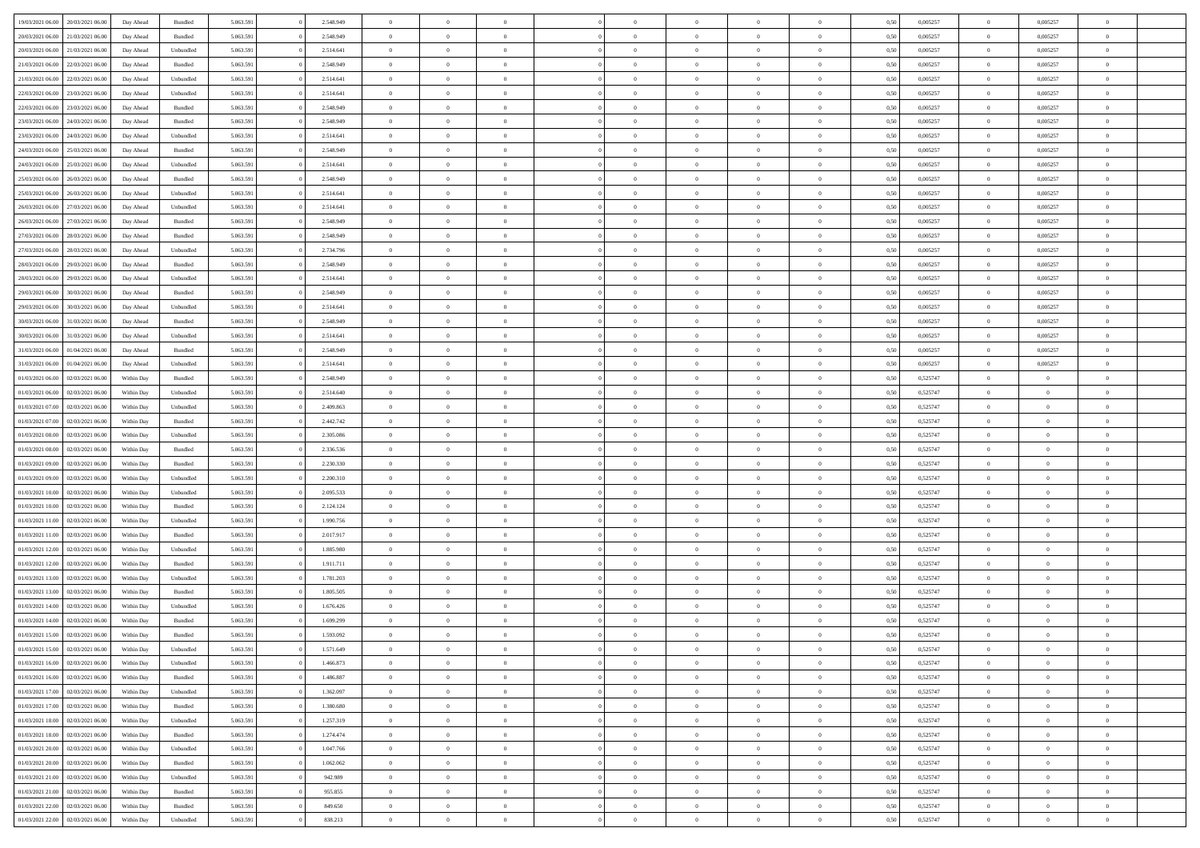| 19/03/2021 06:00 | 20/03/2021 06:00 | Day Ahead  | Bundled            | 5.063.591 | 2.548.949 | $\overline{0}$ | $\Omega$       |                |                | $\theta$       | $\Omega$       | $\Omega$       | 0,50 | 0,005257 | $\mathbf{0}$   | 0,005257       | $\Omega$       |  |
|------------------|------------------|------------|--------------------|-----------|-----------|----------------|----------------|----------------|----------------|----------------|----------------|----------------|------|----------|----------------|----------------|----------------|--|
| 20/03/2021 06:00 | 21/03/2021 06:00 | Day Ahead  | Bundled            | 5.063.591 | 2.548.949 | $\overline{0}$ | $\overline{0}$ | $\overline{0}$ |                | $\overline{0}$ | $\overline{0}$ | $\theta$       | 0,50 | 0,005257 | $\bf{0}$       | 0,005257       | $\bf{0}$       |  |
| 20/03/2021 06:00 | 21/03/2021 06:00 | Day Ahead  | Unbundled          | 5.063.591 | 2.514.641 | $\overline{0}$ | $\bf{0}$       | $\overline{0}$ | $\overline{0}$ | $\bf{0}$       | $\overline{0}$ | $\bf{0}$       | 0,50 | 0,005257 | $\bf{0}$       | 0,005257       | $\bf{0}$       |  |
| 21/03/2021 06:00 | 22/03/2021 06:00 | Day Ahead  | Bundled            | 5.063.591 | 2.548.949 | $\overline{0}$ | $\overline{0}$ | $\overline{0}$ | $^{\circ}$     | $\overline{0}$ | $\overline{0}$ | $\bf{0}$       | 0.50 | 0,005257 | $\mathbf{0}$   | 0.005257       | $\overline{0}$ |  |
|                  |                  |            |                    |           |           |                |                |                |                |                |                |                |      |          |                |                |                |  |
| 21/03/2021 06:00 | 22/03/2021 06:00 | Day Ahead  | Unbundled          | 5.063.591 | 2.514.641 | $\overline{0}$ | $\overline{0}$ | $\overline{0}$ |                | $\overline{0}$ | $\overline{0}$ | $\theta$       | 0,50 | 0,005257 | $\bf{0}$       | 0,005257       | $\overline{0}$ |  |
| 22/03/2021 06:00 | 23/03/2021 06:00 | Day Ahead  | Unbundled          | 5.063.591 | 2.514.641 | $\overline{0}$ | $\bf{0}$       | $\overline{0}$ | $\overline{0}$ | $\bf{0}$       | $\overline{0}$ | $\bf{0}$       | 0,50 | 0,005257 | $\bf{0}$       | 0,005257       | $\bf{0}$       |  |
| 22/03/2021 06:00 | 23/03/2021 06:00 | Day Ahead  | Bundled            | 5.063.591 | 2.548.949 | $\overline{0}$ | $\overline{0}$ | $\overline{0}$ | $\Omega$       | $\overline{0}$ | $\overline{0}$ | $\overline{0}$ | 0,50 | 0,005257 | $\mathbf{0}$   | 0,005257       | $\overline{0}$ |  |
| 23/03/2021 06:00 | 24/03/2021 06.00 | Day Ahead  | Bundled            | 5.063.591 | 2.548.949 | $\overline{0}$ | $\overline{0}$ | $\overline{0}$ |                | $\overline{0}$ | $\overline{0}$ | $\theta$       | 0,50 | 0,005257 | $\bf{0}$       | 0,005257       | $\overline{0}$ |  |
| 23/03/2021 06:00 | 24/03/2021 06:00 | Day Ahead  | Unbundled          | 5.063.591 | 2.514.641 | $\overline{0}$ | $\overline{0}$ | $\overline{0}$ | $\overline{0}$ | $\bf{0}$       | $\overline{0}$ | $\bf{0}$       | 0,50 | 0,005257 | $\bf{0}$       | 0,005257       | $\bf{0}$       |  |
|                  |                  |            |                    |           |           |                |                |                |                |                |                |                |      |          |                |                |                |  |
| 24/03/2021 06:00 | 25/03/2021 06:00 | Day Ahead  | Bundled            | 5.063.591 | 2.548.949 | $\overline{0}$ | $\overline{0}$ | $\overline{0}$ | $\Omega$       | $\overline{0}$ | $\overline{0}$ | $\overline{0}$ | 0,50 | 0,005257 | $\mathbf{0}$   | 0,005257       | $\overline{0}$ |  |
| 24/03/2021 06:00 | 25/03/2021 06:00 | Day Ahead  | Unbundled          | 5.063.591 | 2.514.641 | $\overline{0}$ | $\overline{0}$ | $\overline{0}$ | $\overline{0}$ | $\overline{0}$ | $\overline{0}$ | $\theta$       | 0,50 | 0,005257 | $\bf{0}$       | 0,005257       | $\overline{0}$ |  |
| 25/03/2021 06:00 | 26/03/2021 06:00 | Day Ahead  | Bundled            | 5.063.591 | 2.548.949 | $\overline{0}$ | $\bf{0}$       | $\overline{0}$ | $\overline{0}$ | $\bf{0}$       | $\overline{0}$ | $\bf{0}$       | 0,50 | 0,005257 | $\bf{0}$       | 0,005257       | $\bf{0}$       |  |
| 25/03/2021 06:00 | 26/03/2021 06:00 | Day Ahead  | Unbundled          | 5.063.591 | 2.514.641 | $\overline{0}$ | $\overline{0}$ | $\overline{0}$ | $^{\circ}$     | $\overline{0}$ | $\overline{0}$ | $\bf{0}$       | 0.50 | 0.005257 | $\mathbf{0}$   | 0.005257       | $\overline{0}$ |  |
| 26/03/2021 06:00 | 27/03/2021 06.00 | Day Ahead  | Unbundled          | 5.063.591 | 2.514.641 | $\overline{0}$ | $\overline{0}$ | $\overline{0}$ |                | $\overline{0}$ | $\overline{0}$ | $\theta$       | 0,50 | 0,005257 | $\bf{0}$       | 0,005257       | $\overline{0}$ |  |
|                  |                  |            |                    |           |           |                |                |                |                |                |                |                |      |          |                |                |                |  |
| 26/03/2021 06:00 | 27/03/2021 06:00 | Day Ahead  | Bundled            | 5.063.591 | 2.548.949 | $\overline{0}$ | $\bf{0}$       | $\overline{0}$ | $\overline{0}$ | $\bf{0}$       | $\overline{0}$ | $\bf{0}$       | 0,50 | 0,005257 | $\bf{0}$       | 0,005257       | $\bf{0}$       |  |
| 27/03/2021 06:00 | 28/03/2021 06:00 | Day Ahead  | Bundled            | 5.063.591 | 2.548.949 | $\overline{0}$ | $\overline{0}$ | $\overline{0}$ | $\Omega$       | $\overline{0}$ | $\overline{0}$ | $\overline{0}$ | 0,50 | 0,005257 | $\overline{0}$ | 0,005257       | $\overline{0}$ |  |
| 27/03/2021 06:00 | 28/03/2021 06:00 | Day Ahead  | Unbundled          | 5.063.591 | 2.734.796 | $\overline{0}$ | $\overline{0}$ | $\overline{0}$ |                | $\overline{0}$ | $\overline{0}$ | $\theta$       | 0,50 | 0,005257 | $\bf{0}$       | 0,005257       | $\overline{0}$ |  |
| 28/03/2021 06:00 | 29/03/2021 06:00 | Day Ahead  | Bundled            | 5.063.591 | 2.548.949 | $\overline{0}$ | $\overline{0}$ | $\overline{0}$ | $\overline{0}$ | $\bf{0}$       | $\overline{0}$ | $\bf{0}$       | 0,50 | 0,005257 | $\bf{0}$       | 0,005257       | $\bf{0}$       |  |
| 28/03/2021 06:00 | 29/03/2021 06:00 | Day Ahead  | Unbundled          | 5.063.591 | 2.514.641 | $\overline{0}$ | $\overline{0}$ | $\overline{0}$ | $\Omega$       | $\overline{0}$ | $\overline{0}$ | $\overline{0}$ | 0.50 | 0,005257 | $\mathbf{0}$   | 0,005257       | $\overline{0}$ |  |
| 29/03/2021 06:00 | 30/03/2021 06:00 | Day Ahead  | Bundled            | 5.063.591 | 2.548.949 | $\overline{0}$ | $\overline{0}$ | $\overline{0}$ | $\overline{0}$ | $\overline{0}$ | $\overline{0}$ | $\theta$       | 0,50 | 0,005257 | $\bf{0}$       | 0,005257       | $\overline{0}$ |  |
|                  |                  |            |                    |           |           |                |                |                |                |                |                |                |      |          |                |                |                |  |
| 29/03/2021 06:00 | 30/03/2021 06.00 | Day Ahead  | Unbundled          | 5.063.591 | 2.514.641 | $\overline{0}$ | $\overline{0}$ | $\overline{0}$ | $\overline{0}$ | $\bf{0}$       | $\overline{0}$ | $\bf{0}$       | 0,50 | 0,005257 | $\bf{0}$       | 0,005257       | $\bf{0}$       |  |
| 30/03/2021 06:00 | 31/03/2021 06:00 | Day Ahead  | Bundled            | 5.063.591 | 2.548.949 | $\overline{0}$ | $\overline{0}$ | $\overline{0}$ | $^{\circ}$     | $\overline{0}$ | $\overline{0}$ | $\bf{0}$       | 0.50 | 0,005257 | $\mathbf{0}$   | 0.005257       | $\overline{0}$ |  |
| 30/03/2021 06:00 | 31/03/2021 06:00 | Day Ahead  | Unbundled          | 5.063.591 | 2.514.641 | $\overline{0}$ | $\overline{0}$ | $\overline{0}$ |                | $\overline{0}$ | $\overline{0}$ | $\theta$       | 0,50 | 0,005257 | $\bf{0}$       | 0,005257       | $\overline{0}$ |  |
| 31/03/2021 06:00 | 01/04/2021 06.00 | Day Ahead  | Bundled            | 5.063.591 | 2.548.949 | $\overline{0}$ | $\bf{0}$       | $\overline{0}$ | $\overline{0}$ | $\bf{0}$       | $\overline{0}$ | $\bf{0}$       | 0,50 | 0,005257 | $\bf{0}$       | 0,005257       | $\bf{0}$       |  |
| 31/03/2021 06:00 | 01/04/2021 06:00 | Day Ahead  | Unbundled          | 5.063.591 | 2.514.641 | $\overline{0}$ | $\overline{0}$ | $\overline{0}$ | $\Omega$       | $\overline{0}$ | $\overline{0}$ | $\overline{0}$ | 0,50 | 0,005257 | $\mathbf{0}$   | 0,005257       | $\overline{0}$ |  |
| 01/03/2021 06:00 | 02/03/2021 06:00 | Within Day | Bundled            | 5.063.591 | 2.548.949 | $\overline{0}$ | $\overline{0}$ | $\overline{0}$ |                | $\overline{0}$ | $\overline{0}$ | $\theta$       | 0,50 | 0,525747 | $\bf{0}$       | $\overline{0}$ | $\bf{0}$       |  |
| 01/03/2021 06:00 | 02/03/2021 06:00 | Within Day | Unbundled          | 5.063.591 | 2.514.640 | $\overline{0}$ | $\overline{0}$ | $\overline{0}$ | $\overline{0}$ | $\bf{0}$       | $\overline{0}$ | $\bf{0}$       | 0,50 | 0,525747 | $\bf{0}$       | $\overline{0}$ | $\bf{0}$       |  |
|                  |                  |            |                    |           |           |                |                |                |                |                |                |                |      |          |                |                |                |  |
| 01/03/2021 07:00 | 02/03/2021 06:00 | Within Dav | Unbundled          | 5.063.591 | 2.409.863 | $\overline{0}$ | $\overline{0}$ | $\overline{0}$ | $\Omega$       | $\overline{0}$ | $\overline{0}$ | $\overline{0}$ | 0.50 | 0,525747 | $\mathbf{0}$   | $\overline{0}$ | $\overline{0}$ |  |
| 01/03/2021 07:00 | 02/03/2021 06:00 | Within Day | Bundled            | 5.063.591 | 2.442.742 | $\overline{0}$ | $\overline{0}$ | $\overline{0}$ | $\overline{0}$ | $\overline{0}$ | $\overline{0}$ | $\theta$       | 0,50 | 0,525747 | $\bf{0}$       | $\overline{0}$ | $\bf{0}$       |  |
| 01/03/2021 08:00 | 02/03/2021 06:00 | Within Day | Unbundled          | 5.063.591 | 2.305.086 | $\overline{0}$ | $\overline{0}$ | $\overline{0}$ | $\overline{0}$ | $\bf{0}$       | $\overline{0}$ | $\bf{0}$       | 0,50 | 0,525747 | $\bf{0}$       | $\bf{0}$       | $\bf{0}$       |  |
| 01/03/2021 08:00 | 02/03/2021 06:00 | Within Day | Bundled            | 5.063.591 | 2.336.536 | $\overline{0}$ | $\Omega$       | $\Omega$       | $\sqrt{2}$     | $\theta$       | $\overline{0}$ | $\mathbf{0}$   | 0.50 | 0,525747 | $\bf{0}$       | $\Omega$       | $\Omega$       |  |
| 01/03/2021 09:00 | 02/03/2021 06:00 | Within Day | Bundled            | 5.063.591 | 2.230.330 | $\overline{0}$ | $\overline{0}$ | $\overline{0}$ |                | $\overline{0}$ | $\overline{0}$ | $\theta$       | 0,50 | 0,525747 | $\bf{0}$       | $\overline{0}$ | $\overline{0}$ |  |
| 01/03/2021 09:00 | 02/03/2021 06:00 | Within Day | Unbundled          | 5.063.591 | 2.200.310 | $\overline{0}$ | $\bf{0}$       | $\overline{0}$ | $\overline{0}$ | $\bf{0}$       | $\overline{0}$ | $\bf{0}$       | 0,50 | 0,525747 | $\bf{0}$       | $\bf{0}$       | $\bf{0}$       |  |
| 01/03/2021 10:00 | 02/03/2021 06:00 |            |                    |           | 2.095.533 | $\overline{0}$ | $\Omega$       | $\Omega$       | $\Omega$       | $\theta$       | $\overline{0}$ | $\mathbf{0}$   | 0.50 |          | $\mathbf{0}$   | $\overline{0}$ | $\theta$       |  |
|                  |                  | Within Day | Unbundled          | 5.063.591 |           |                |                |                |                |                |                |                |      | 0,525747 |                |                |                |  |
| 01/03/2021 10:00 | 02/03/2021 06:00 | Within Day | Bundled            | 5.063.591 | 2.124.124 | $\overline{0}$ | $\overline{0}$ | $\overline{0}$ | $\overline{0}$ | $\overline{0}$ | $\overline{0}$ | $\theta$       | 0,50 | 0,525747 | $\bf{0}$       | $\overline{0}$ | $\bf{0}$       |  |
| 01/03/2021 11:00 | 02/03/2021 06:00 | Within Day | Unbundled          | 5.063.591 | 1.990.756 | $\overline{0}$ | $\overline{0}$ | $\overline{0}$ | $\overline{0}$ | $\bf{0}$       | $\overline{0}$ | $\bf{0}$       | 0,50 | 0,525747 | $\bf{0}$       | $\overline{0}$ | $\bf{0}$       |  |
| 01/03/2021 11:00 | 02/03/2021 06:00 | Within Day | Bundled            | 5.063.591 | 2.017.917 | $\overline{0}$ | $\Omega$       | $\Omega$       | $\Omega$       | $\theta$       | $\overline{0}$ | $\mathbf{0}$   | 0.50 | 0,525747 | $\mathbf{0}$   | $\Omega$       | $\theta$       |  |
| 01/03/2021 12:00 | 02/03/2021 06:00 | Within Day | Unbundled          | 5.063.591 | 1.885.980 | $\overline{0}$ | $\overline{0}$ | $\overline{0}$ | $\overline{0}$ | $\overline{0}$ | $\overline{0}$ | $\theta$       | 0,50 | 0,525747 | $\,$ 0 $\,$    | $\overline{0}$ | $\bf{0}$       |  |
| 01/03/2021 12:00 | 02/03/2021 06:00 | Within Day | Bundled            | 5.063.591 | 1.911.711 | $\overline{0}$ | $\bf{0}$       | $\overline{0}$ | $\overline{0}$ | $\bf{0}$       | $\overline{0}$ | $\bf{0}$       | 0,50 | 0,525747 | $\bf{0}$       | $\bf{0}$       | $\bf{0}$       |  |
| 01/03/2021 13:00 | 02/03/2021 06:00 | Within Day | Unbundled          | 5.063.591 | 1.781.203 | $\overline{0}$ | $\Omega$       | $\Omega$       | $\sqrt{2}$     | $\theta$       | $\overline{0}$ | $\theta$       | 0.50 | 0,525747 | $\bf{0}$       | $\overline{0}$ | $\Omega$       |  |
|                  |                  |            |                    |           |           |                |                |                |                |                |                |                |      |          |                |                |                |  |
| 01/03/2021 13:00 | 02/03/2021 06:00 | Within Day | Bundled            | 5.063.591 | 1.805.505 | $\overline{0}$ | $\overline{0}$ | $\overline{0}$ | $\overline{0}$ | $\overline{0}$ | $\overline{0}$ | $\theta$       | 0,50 | 0,525747 | $\,$ 0 $\,$    | $\overline{0}$ | $\overline{0}$ |  |
| 01/03/2021 14:00 | 02/03/2021 06.00 | Within Day | Unbundled          | 5.063.591 | 1.676.426 | $\overline{0}$ | $\bf{0}$       | $\overline{0}$ | $\overline{0}$ | $\bf{0}$       | $\overline{0}$ | $\bf{0}$       | 0,50 | 0,525747 | $\bf{0}$       | $\bf{0}$       | $\bf{0}$       |  |
| 01/03/2021 14:00 | 02/03/2021 06:00 | Within Day | Bundled            | 5.063.591 | 1.699.299 | $\Omega$       | $\Omega$       | $\Omega$       | $\sqrt{2}$     | $\Omega$       | $\overline{0}$ | $\theta$       | 0.50 | 0,525747 | $\overline{0}$ | $\Omega$       | $\theta$       |  |
| 01/03/2021 15:00 | 02/03/2021 06:00 | Within Day | Bundled            | 5.063.591 | 1.593.092 | $\overline{0}$ | $\bf{0}$       | $\overline{0}$ | $\overline{0}$ | $\bf{0}$       | $\overline{0}$ | $\bf{0}$       | 0,50 | 0,525747 | $\bf{0}$       | $\bf{0}$       | $\bf{0}$       |  |
| 01/03/2021 15:00 | 02/03/2021 06:00 | Within Day | Unbundled          | 5.063.591 | 1.571.649 | $\bf{0}$       |                |                |                |                |                |                | 0,50 | 0,525747 | $\theta$       |                |                |  |
| 01/03/2021 16:00 | 02/03/2021 06:00 | Within Day | Unbundled          | 5.063.591 | 1.466.873 | $\overline{0}$ | $\overline{0}$ | $\Omega$       | $\Omega$       | $\overline{0}$ | $\overline{0}$ | $\theta$       | 0.50 | 0,525747 | $\overline{0}$ | $\overline{0}$ | $\overline{0}$ |  |
| 01/03/2021 16:00 | 02/03/2021 06:00 | Within Day | Bundled            | 5.063.591 | 1.486.887 | $\overline{0}$ | $\,$ 0 $\,$    | $\overline{0}$ | $\overline{0}$ | $\,$ 0         | $\overline{0}$ | $\bf{0}$       | 0,50 | 0,525747 | $\bf{0}$       | $\,$ 0 $\,$    | $\bf{0}$       |  |
|                  |                  |            |                    |           |           |                |                |                |                |                |                |                |      |          |                |                |                |  |
| 01/03/2021 17:00 | 02/03/2021 06:00 | Within Day | Unbundled          | 5.063.591 | 1.362.097 | $\overline{0}$ | $\overline{0}$ | $\overline{0}$ | $\overline{0}$ | $\overline{0}$ | $\overline{0}$ | $\bf{0}$       | 0,50 | 0,525747 | $\overline{0}$ | $\overline{0}$ | $\bf{0}$       |  |
| 01/03/2021 17:00 | 02/03/2021 06:00 | Within Day | $\mathbf B$ undled | 5.063.591 | 1.380.680 | $\overline{0}$ | $\overline{0}$ | $\overline{0}$ | $\Omega$       | $\overline{0}$ | $\overline{0}$ | $\mathbf{0}$   | 0.50 | 0,525747 | $\,$ 0 $\,$    | $\bf{0}$       | $\bf{0}$       |  |
| 01/03/2021 18:00 | 02/03/2021 06:00 | Within Day | Unbundled          | 5.063.591 | 1.257.319 | $\overline{0}$ | $\,$ 0 $\,$    | $\overline{0}$ | $\overline{0}$ | $\,$ 0         | $\overline{0}$ | $\bf{0}$       | 0,50 | 0,525747 | $\bf{0}$       | $\overline{0}$ | $\bf{0}$       |  |
| 01/03/2021 18:00 | 02/03/2021 06:00 | Within Day | Bundled            | 5.063.591 | 1.274.474 | $\overline{0}$ | $\overline{0}$ | $\overline{0}$ | $\overline{0}$ | $\overline{0}$ | $\overline{0}$ | $\bf{0}$       | 0,50 | 0,525747 | $\overline{0}$ | $\overline{0}$ | $\bf{0}$       |  |
| 01/03/2021 20:00 | 02/03/2021 06:00 | Within Day | Unbundled          | 5.063.591 | 1.047.766 | $\overline{0}$ | $\overline{0}$ | $\overline{0}$ | $\Omega$       | $\overline{0}$ | $\overline{0}$ | $\mathbf{0}$   | 0.50 | 0,525747 | $\overline{0}$ | $\bf{0}$       | $\overline{0}$ |  |
| 01/03/2021 20:00 | 02/03/2021 06:00 | Within Day | Bundled            | 5.063.591 | 1.062.062 | $\overline{0}$ | $\overline{0}$ | $\overline{0}$ | $\overline{0}$ | $\bf{0}$       | $\overline{0}$ | $\bf{0}$       | 0,50 | 0,525747 | $\,0\,$        | $\bf{0}$       | $\bf{0}$       |  |
| 01/03/2021 21:00 |                  |            |                    |           |           |                |                |                |                |                |                |                |      |          |                | $\bf{0}$       |                |  |
|                  | 02/03/2021 06:00 | Within Day | Unbundled          | 5.063.591 | 942.989   | $\overline{0}$ | $\overline{0}$ | $\overline{0}$ | $\overline{0}$ | $\bf{0}$       | $\overline{0}$ | $\bf{0}$       | 0,50 | 0,525747 | $\overline{0}$ |                | $\bf{0}$       |  |
| 01/03/2021 21:00 | 02/03/2021 06:00 | Within Day | Bundled            | 5.063.591 | 955.855   | $\overline{0}$ | $\overline{0}$ | $\overline{0}$ | $\Omega$       | $\overline{0}$ | $\overline{0}$ | $\mathbf{0}$   | 0.50 | 0,525747 | $\bf{0}$       | $\overline{0}$ | $\overline{0}$ |  |
| 01/03/2021 22.00 | 02/03/2021 06:00 | Within Day | Bundled            | 5.063.591 | 849.650   | $\overline{0}$ | $\,$ 0 $\,$    | $\overline{0}$ | $\overline{0}$ | $\,$ 0 $\,$    | $\overline{0}$ | $\bf{0}$       | 0,50 | 0,525747 | $\,0\,$        | $\,$ 0 $\,$    | $\bf{0}$       |  |
| 01/03/2021 22:00 | 02/03/2021 06:00 | Within Day | Unbundled          | 5.063.591 | 838.213   | $\overline{0}$ | $\overline{0}$ | $\overline{0}$ | $\overline{0}$ | $\bf{0}$       | $\overline{0}$ | $\bf{0}$       | 0,50 | 0,525747 | $\overline{0}$ | $\overline{0}$ | $\bf{0}$       |  |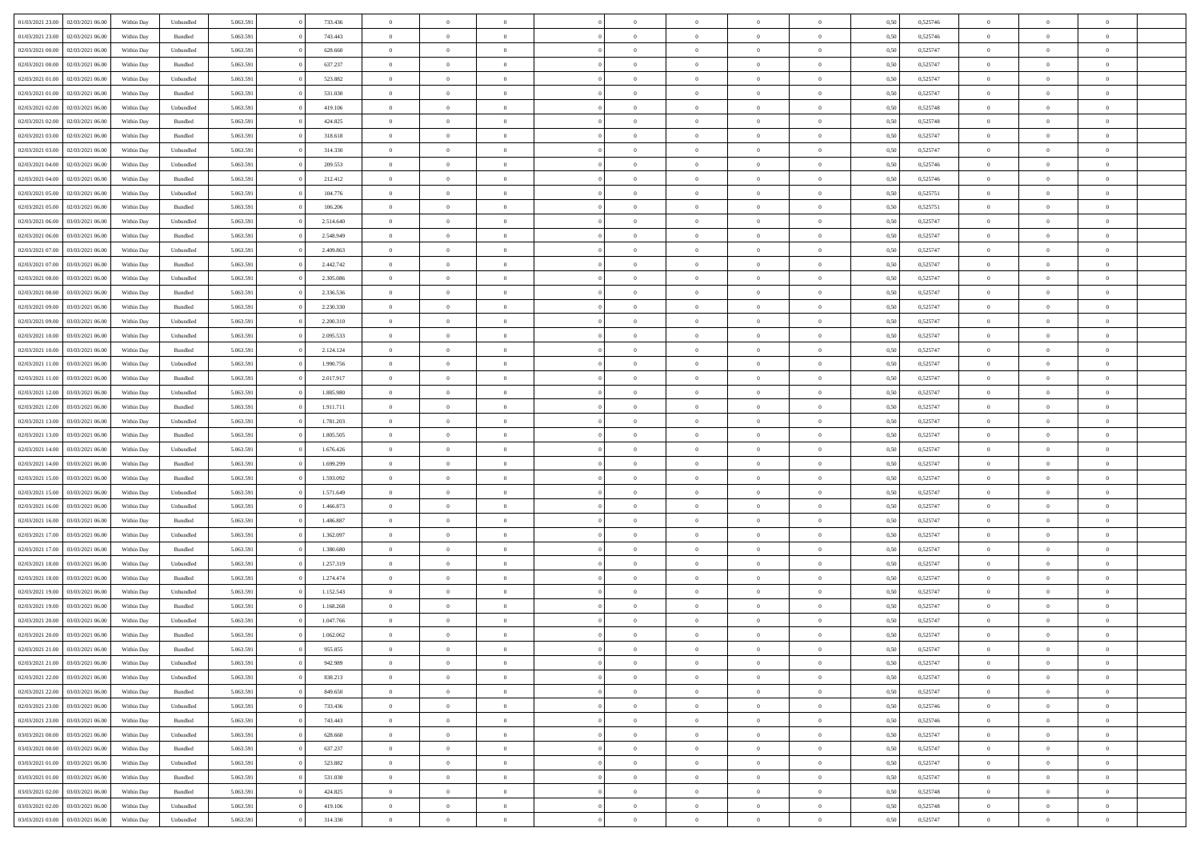|                  |                  |            |                    |           |           | $\overline{0}$ |                |                |                | $\Omega$       | $\theta$       | $\theta$       |      |          | $\theta$       | $\overline{0}$ |                |  |
|------------------|------------------|------------|--------------------|-----------|-----------|----------------|----------------|----------------|----------------|----------------|----------------|----------------|------|----------|----------------|----------------|----------------|--|
| 01/03/2021 23:00 | 02/03/2021 06:00 | Within Day | Unbundled          | 5.063.591 | 733.436   |                | $\theta$       |                | $\Omega$       |                |                |                | 0.50 | 0,525746 |                |                | $\overline{0}$ |  |
| 01/03/2021 23:00 | 02/03/2021 06:00 | Within Day | Bundled            | 5.063.591 | 743.443   | $\overline{0}$ | $\theta$       | $\overline{0}$ | $\overline{0}$ | $\bf{0}$       | $\overline{0}$ | $\bf{0}$       | 0,50 | 0,525746 | $\theta$       | $\overline{0}$ | $\overline{0}$ |  |
| 02/03/2021 00:00 | 02/03/2021 06:00 | Within Day | Unbundled          | 5.063.591 | 628.660   | $\overline{0}$ | $\bf{0}$       | $\overline{0}$ | $\overline{0}$ | $\bf{0}$       | $\overline{0}$ | $\mathbf{0}$   | 0,50 | 0,525747 | $\bf{0}$       | $\overline{0}$ | $\overline{0}$ |  |
| 02/03/2021 00:00 | 02/03/2021 06:00 | Within Dav | Bundled            | 5.063.591 | 637.237   | $\overline{0}$ | $\overline{0}$ | $\overline{0}$ | $\overline{0}$ | $\bf{0}$       | $\overline{0}$ | $\overline{0}$ | 0.50 | 0,525747 | $\theta$       | $\theta$       | $\overline{0}$ |  |
|                  |                  |            |                    |           |           |                |                |                |                |                |                |                |      |          |                |                |                |  |
| 02/03/2021 01:00 | 02/03/2021 06:00 | Within Day | Unbundled          | 5.063.591 | 523.882   | $\overline{0}$ | $\theta$       | $\overline{0}$ | $\overline{0}$ | $\bf{0}$       | $\overline{0}$ | $\bf{0}$       | 0,50 | 0,525747 | $\theta$       | $\overline{0}$ | $\overline{0}$ |  |
| 02/03/2021 01:00 | 02/03/2021 06:00 | Within Day | Bundled            | 5.063.591 | 531.030   | $\overline{0}$ | $\overline{0}$ | $\overline{0}$ | $\overline{0}$ | $\overline{0}$ | $\overline{0}$ | $\mathbf{0}$   | 0,50 | 0,525747 | $\bf{0}$       | $\overline{0}$ | $\bf{0}$       |  |
| 02/03/2021 02:00 | 02/03/2021 06:00 | Within Dav | Unbundled          | 5.063.591 | 419.106   | $\overline{0}$ | $\overline{0}$ | $\overline{0}$ | $\overline{0}$ | $\overline{0}$ | $\overline{0}$ | $\overline{0}$ | 0.50 | 0,525748 | $\theta$       | $\overline{0}$ | $\overline{0}$ |  |
| 02/03/2021 02:00 | 02/03/2021 06:00 | Within Day | Bundled            | 5.063.591 | 424.825   | $\overline{0}$ | $\theta$       | $\overline{0}$ | $\overline{0}$ | $\bf{0}$       | $\overline{0}$ | $\bf{0}$       | 0,50 | 0,525748 | $\theta$       | $\theta$       | $\overline{0}$ |  |
| 02/03/2021 03:00 | 02/03/2021 06:00 | Within Day | Bundled            | 5.063.591 | 318.618   | $\overline{0}$ | $\overline{0}$ | $\overline{0}$ | $\bf{0}$       | $\bf{0}$       | $\bf{0}$       | $\bf{0}$       | 0,50 | 0,525747 | $\,0\,$        | $\overline{0}$ | $\overline{0}$ |  |
|                  |                  |            |                    |           |           |                | $\overline{0}$ |                |                | $\overline{0}$ |                |                |      |          | $\theta$       | $\overline{0}$ | $\overline{0}$ |  |
| 02/03/2021 03:00 | 02/03/2021 06:00 | Within Dav | Unbundled          | 5.063.591 | 314.330   | $\overline{0}$ |                | $\overline{0}$ | $\overline{0}$ |                | $\overline{0}$ | $\overline{0}$ | 0.50 | 0,525747 |                |                |                |  |
| 02/03/2021 04:00 | 02/03/2021 06:00 | Within Day | Unbundled          | 5.063.591 | 209.553   | $\overline{0}$ | $\theta$       | $\overline{0}$ | $\overline{0}$ | $\bf{0}$       | $\overline{0}$ | $\bf{0}$       | 0,50 | 0,525746 | $\,$ 0 $\,$    | $\overline{0}$ | $\overline{0}$ |  |
| 02/03/2021 04:00 | 02/03/2021 06:00 | Within Day | Bundled            | 5.063.591 | 212.412   | $\overline{0}$ | $\bf{0}$       | $\overline{0}$ | $\bf{0}$       | $\bf{0}$       | $\bf{0}$       | $\bf{0}$       | 0,50 | 0,525746 | $\overline{0}$ | $\overline{0}$ | $\bf{0}$       |  |
| 02/03/2021 05:00 | 02/03/2021 06:00 | Within Dav | Unbundled          | 5.063.591 | 104.776   | $\overline{0}$ | $\overline{0}$ | $\overline{0}$ | $\overline{0}$ | $\bf{0}$       | $\overline{0}$ | $\overline{0}$ | 0.50 | 0,525751 | $\theta$       | $\theta$       | $\overline{0}$ |  |
| 02/03/2021 05:00 | 02/03/2021 06:00 | Within Day | Bundled            | 5.063.591 | 106.206   | $\overline{0}$ | $\theta$       | $\overline{0}$ | $\overline{0}$ | $\bf{0}$       | $\overline{0}$ | $\bf{0}$       | 0,50 | 0,525751 | $\theta$       | $\overline{0}$ | $\overline{0}$ |  |
|                  |                  |            |                    |           |           |                |                |                |                |                |                |                |      |          |                |                |                |  |
| 02/03/2021 06:00 | 03/03/2021 06:00 | Within Day | Unbundled          | 5.063.591 | 2.514.640 | $\overline{0}$ | $\overline{0}$ | $\overline{0}$ | $\bf{0}$       | $\overline{0}$ | $\overline{0}$ | $\mathbf{0}$   | 0,50 | 0,525747 | $\overline{0}$ | $\overline{0}$ | $\bf{0}$       |  |
| 02/03/2021 06:00 | 03/03/2021 06:00 | Within Dav | Bundled            | 5.063.591 | 2.548.949 | $\overline{0}$ | $\overline{0}$ | $\overline{0}$ | $\overline{0}$ | $\overline{0}$ | $\overline{0}$ | $\overline{0}$ | 0.50 | 0,525747 | $\theta$       | $\overline{0}$ | $\overline{0}$ |  |
| 02/03/2021 07:00 | 03/03/2021 06:00 | Within Day | Unbundled          | 5.063.591 | 2.409.863 | $\overline{0}$ | $\theta$       | $\overline{0}$ | $\overline{0}$ | $\bf{0}$       | $\overline{0}$ | $\bf{0}$       | 0,50 | 0,525747 | $\theta$       | $\theta$       | $\overline{0}$ |  |
| 02/03/2021 07:00 | 03/03/2021 06:00 | Within Day | Bundled            | 5.063.591 | 2.442.742 | $\overline{0}$ | $\overline{0}$ | $\overline{0}$ | $\bf{0}$       | $\bf{0}$       | $\overline{0}$ | $\bf{0}$       | 0,50 | 0,525747 | $\,0\,$        | $\overline{0}$ | $\overline{0}$ |  |
| 02/03/2021 08:00 | 03/03/2021 06:00 | Within Day | Unbundled          | 5.063.591 | 2.305.086 | $\overline{0}$ | $\overline{0}$ | $\overline{0}$ | $\overline{0}$ | $\overline{0}$ | $\overline{0}$ | $\overline{0}$ | 0.50 | 0,525747 | $\theta$       | $\overline{0}$ | $\overline{0}$ |  |
| 02/03/2021 08:00 | 03/03/2021 06:00 | Within Day | Bundled            | 5.063.591 | 2.336.536 | $\overline{0}$ | $\theta$       | $\overline{0}$ | $\overline{0}$ | $\bf{0}$       | $\overline{0}$ | $\bf{0}$       | 0,50 | 0,525747 | $\,$ 0 $\,$    | $\overline{0}$ | $\overline{0}$ |  |
| 02/03/2021 09:00 | 03/03/2021 06:00 | Within Day | Bundled            | 5.063.591 | 2.230.330 | $\overline{0}$ | $\overline{0}$ | $\overline{0}$ | $\overline{0}$ | $\bf{0}$       | $\overline{0}$ | $\bf{0}$       | 0,50 | 0,525747 | $\,0\,$        | $\overline{0}$ | $\bf{0}$       |  |
|                  |                  |            |                    |           |           |                |                |                |                |                |                |                |      |          |                |                |                |  |
| 02/03/2021 09:00 | 03/03/2021 06:00 | Within Day | Unbundled          | 5.063.591 | 2.200.310 | $\overline{0}$ | $\overline{0}$ | $\overline{0}$ | $\overline{0}$ | $\bf{0}$       | $\overline{0}$ | $\overline{0}$ | 0.50 | 0,525747 | $\theta$       | $\overline{0}$ | $\overline{0}$ |  |
| 02/03/2021 10:00 | 03/03/2021 06:00 | Within Day | Unbundled          | 5.063.591 | 2.095.533 | $\overline{0}$ | $\theta$       | $\overline{0}$ | $\overline{0}$ | $\bf{0}$       | $\overline{0}$ | $\bf{0}$       | 0,50 | 0,525747 | $\,$ 0 $\,$    | $\overline{0}$ | $\overline{0}$ |  |
| 02/03/2021 10:00 | 03/03/2021 06:00 | Within Day | Bundled            | 5.063.591 | 2.124.124 | $\overline{0}$ | $\overline{0}$ | $\overline{0}$ | $\overline{0}$ | $\overline{0}$ | $\overline{0}$ | $\mathbf{0}$   | 0,50 | 0,525747 | $\bf{0}$       | $\overline{0}$ | $\bf{0}$       |  |
| 02/03/2021 11:00 | 03/03/2021 06:00 | Within Dav | Unbundled          | 5.063.591 | 1.990.756 | $\overline{0}$ | $\overline{0}$ | $\overline{0}$ | $\overline{0}$ | $\overline{0}$ | $\overline{0}$ | $\overline{0}$ | 0.50 | 0,525747 | $\theta$       | $\overline{0}$ | $\overline{0}$ |  |
| 02/03/2021 11:00 | 03/03/2021 06:00 | Within Day | Bundled            | 5.063.591 | 2.017.917 | $\overline{0}$ | $\theta$       | $\overline{0}$ | $\overline{0}$ | $\bf{0}$       | $\overline{0}$ | $\bf{0}$       | 0,50 | 0,525747 | $\theta$       | $\theta$       | $\overline{0}$ |  |
| 02/03/2021 12:00 | 03/03/2021 06:00 | Within Day | Unbundled          | 5.063.591 | 1.885.980 | $\overline{0}$ | $\overline{0}$ | $\overline{0}$ | $\overline{0}$ | $\bf{0}$       | $\overline{0}$ | $\bf{0}$       | 0,50 | 0,525747 | $\,0\,$        | $\overline{0}$ | $\overline{0}$ |  |
| 02/03/2021 12:00 | 03/03/2021 06:00 |            | Bundled            | 5.063.591 | 1.911.711 | $\overline{0}$ | $\overline{0}$ | $\overline{0}$ | $\overline{0}$ | $\overline{0}$ | $\overline{0}$ | $\overline{0}$ | 0.50 | 0,525747 | $\theta$       | $\overline{0}$ | $\overline{0}$ |  |
|                  |                  | Within Day |                    |           |           |                |                |                |                |                |                |                |      |          |                |                |                |  |
| 02/03/2021 13:00 | 03/03/2021 06:00 | Within Day | Unbundled          | 5.063.591 | 1.781.203 | $\overline{0}$ | $\theta$       | $\overline{0}$ | $\overline{0}$ | $\bf{0}$       | $\overline{0}$ | $\bf{0}$       | 0,50 | 0,525747 | $\,$ 0 $\,$    | $\overline{0}$ | $\overline{0}$ |  |
| 02/03/2021 13:00 | 03/03/2021 06:00 | Within Day | Bundled            | 5.063.591 | 1.805.505 | $\overline{0}$ | $\overline{0}$ | $\overline{0}$ | $\overline{0}$ | $\bf{0}$       | $\overline{0}$ | $\bf{0}$       | 0,50 | 0,525747 | $\bf{0}$       | $\overline{0}$ | $\bf{0}$       |  |
| 02/03/2021 14:00 | 03/03/2021 06:00 | Within Day | Unbundled          | 5.063.591 | 1.676.426 | $\overline{0}$ | $\Omega$       | $\Omega$       | $\Omega$       | $\Omega$       | $\overline{0}$ | $\overline{0}$ | 0,50 | 0,525747 | $\,0\,$        | $\theta$       | $\theta$       |  |
| 02/03/2021 14:00 | 03/03/2021 06:00 | Within Day | Bundled            | 5.063.591 | 1.699.299 | $\overline{0}$ | $\theta$       | $\overline{0}$ | $\overline{0}$ | $\bf{0}$       | $\overline{0}$ | $\bf{0}$       | 0,50 | 0,525747 | $\theta$       | $\overline{0}$ | $\overline{0}$ |  |
| 02/03/2021 15:00 | 03/03/2021 06:00 | Within Day | Bundled            | 5.063.591 | 1.593.092 | $\overline{0}$ | $\overline{0}$ | $\overline{0}$ | $\overline{0}$ | $\overline{0}$ | $\overline{0}$ | $\mathbf{0}$   | 0,50 | 0,525747 | $\bf{0}$       | $\overline{0}$ | $\bf{0}$       |  |
| 02/03/2021 15:00 | 03/03/2021 06:00 | Within Day | Unbundled          | 5.063.591 | 1.571.649 | $\overline{0}$ | $\Omega$       | $\Omega$       | $\Omega$       | $\bf{0}$       | $\overline{0}$ | $\overline{0}$ | 0.50 | 0,525747 | $\,0\,$        | $\theta$       | $\theta$       |  |
| 02/03/2021 16:00 | 03/03/2021 06:00 | Within Day | Unbundled          | 5.063.591 | 1.466.873 | $\overline{0}$ | $\theta$       | $\overline{0}$ | $\overline{0}$ | $\bf{0}$       | $\overline{0}$ | $\bf{0}$       | 0,50 | 0,525747 | $\,$ 0 $\,$    | $\overline{0}$ | $\overline{0}$ |  |
|                  |                  |            |                    |           |           |                |                |                |                |                |                |                |      |          |                |                |                |  |
| 02/03/2021 16:00 | 03/03/2021 06:00 | Within Day | Bundled            | 5.063.591 | 1.486.887 | $\overline{0}$ | $\overline{0}$ | $\overline{0}$ | $\overline{0}$ | $\bf{0}$       | $\overline{0}$ | $\bf{0}$       | 0,50 | 0,525747 | $\bf{0}$       | $\overline{0}$ | $\bf{0}$       |  |
| 02/03/2021 17:00 | 03/03/2021 06:00 | Within Day | Unbundled          | 5.063.591 | 1.362.097 | $\overline{0}$ | $\Omega$       | $\Omega$       | $\Omega$       | $\theta$       | $\overline{0}$ | $\overline{0}$ | 0.50 | 0,525747 | $\,$ 0 $\,$    | $\theta$       | $\theta$       |  |
| 02/03/2021 17:00 | 03/03/2021 06:00 | Within Day | Bundled            | 5.063.591 | 1.380.680 | $\overline{0}$ | $\theta$       | $\overline{0}$ | $\overline{0}$ | $\bf{0}$       | $\overline{0}$ | $\bf{0}$       | 0,50 | 0,525747 | $\,$ 0 $\,$    | $\overline{0}$ | $\overline{0}$ |  |
| 02/03/2021 18:00 | 03/03/2021 06:00 | Within Day | Unbundled          | 5.063.591 | 1.257.319 | $\overline{0}$ | $\bf{0}$       | $\overline{0}$ | $\overline{0}$ | $\bf{0}$       | $\overline{0}$ | $\bf{0}$       | 0,50 | 0,525747 | $\bf{0}$       | $\overline{0}$ | $\bf{0}$       |  |
| 02/03/2021 18:00 | 03/03/2021 06:00 | Within Day | Bundled            | 5.063.591 | 1.274.474 | $\overline{0}$ | $\Omega$       | $\overline{0}$ | $\Omega$       | $\overline{0}$ | $\overline{0}$ | $\overline{0}$ | 0,50 | 0,525747 | $\,0\,$        | $\theta$       | $\theta$       |  |
| 02/03/2021 19:00 | 03/03/2021 06:00 | Within Day | Unbundled          | 5.063.591 | 1.152.543 | $\overline{0}$ | $\overline{0}$ | $\overline{0}$ | $\overline{0}$ | $\bf{0}$       | $\overline{0}$ | $\bf{0}$       | 0,50 | 0,525747 | $\,$ 0 $\,$    | $\overline{0}$ | $\overline{0}$ |  |
|                  |                  |            |                    |           |           |                |                |                |                |                |                |                |      |          |                |                |                |  |
| 02/03/2021 19:00 | 03/03/2021 06:00 | Within Day | Bundled            | 5.063.591 | 1.168.268 | $\overline{0}$ | $\overline{0}$ | $\overline{0}$ | $\overline{0}$ | $\bf{0}$       | $\overline{0}$ | $\mathbf{0}$   | 0,50 | 0,525747 | $\bf{0}$       | $\overline{0}$ | $\bf{0}$       |  |
| 02/03/2021 20:00 | 03/03/2021 06:00 | Within Day | Unbundled          | 5.063.591 | 1.047.766 | $\overline{0}$ | $\Omega$       | $\Omega$       | $\Omega$       | $\Omega$       | $\Omega$       | $\overline{0}$ | 0.50 | 0,525747 | $\theta$       | $\theta$       | $\theta$       |  |
| 02/03/2021 20:00 | 03/03/2021 06:00 | Within Day | Bundled            | 5.063.591 | 1.062.062 | $\overline{0}$ | $\overline{0}$ | $\overline{0}$ | $\bf{0}$       | $\,$ 0         | $\overline{0}$ | $\bf{0}$       | 0,50 | 0,525747 | $\,0\,$        | $\,$ 0 $\,$    | $\overline{0}$ |  |
| 02/03/2021 21:00 | 03/03/2021 06:00 | Within Day | $\mathbf B$ undled | 5.063.591 | 955.855   | $\bf{0}$       | $\bf{0}$       |                |                |                |                |                | 0,50 | 0,525747 | $\bf{0}$       | $\overline{0}$ |                |  |
| 02/03/2021 21:00 | 03/03/2021 06:00 | Within Day | Unbundled          | 5.063.591 | 942.989   | $\overline{0}$ | $\overline{0}$ | $\overline{0}$ | $\Omega$       | $\overline{0}$ | $\overline{0}$ | $\overline{0}$ | 0,50 | 0,525747 | $\theta$       | $\theta$       | $\theta$       |  |
| 02/03/2021 22.00 | 03/03/2021 06:00 | Within Day | Unbundled          | 5.063.591 | 838.213   | $\overline{0}$ | $\bf{0}$       | $\overline{0}$ | $\overline{0}$ | $\,$ 0 $\,$    | $\overline{0}$ | $\,$ 0 $\,$    | 0,50 | 0,525747 | $\,$ 0 $\,$    | $\,$ 0 $\,$    | $\,$ 0         |  |
| 02/03/2021 22.00 | 03/03/2021 06:00 | Within Day | Bundled            | 5.063.591 | 849.650   | $\overline{0}$ | $\overline{0}$ | $\overline{0}$ | $\overline{0}$ | $\overline{0}$ | $\overline{0}$ | $\mathbf{0}$   | 0,50 | 0,525747 | $\overline{0}$ | $\bf{0}$       | $\overline{0}$ |  |
|                  |                  |            |                    |           |           |                |                |                |                |                |                |                |      |          |                |                |                |  |
| 02/03/2021 23:00 | 03/03/2021 06:00 | Within Day | Unbundled          | 5.063.591 | 733.436   | $\overline{0}$ | $\overline{0}$ | $\overline{0}$ | $\Omega$       | $\overline{0}$ | $\overline{0}$ | $\overline{0}$ | 0,50 | 0,525746 | $\overline{0}$ | $\theta$       | $\overline{0}$ |  |
| 02/03/2021 23:00 | 03/03/2021 06:00 | Within Day | Bundled            | 5.063.591 | 743.443   | $\overline{0}$ | $\,$ 0         | $\overline{0}$ | $\overline{0}$ | $\,$ 0 $\,$    | $\overline{0}$ | $\mathbf{0}$   | 0,50 | 0,525746 | $\,$ 0 $\,$    | $\overline{0}$ | $\overline{0}$ |  |
| 03/03/2021 00:00 | 03/03/2021 06:00 | Within Day | Unbundled          | 5.063.591 | 628.660   | $\overline{0}$ | $\overline{0}$ | $\overline{0}$ | $\overline{0}$ | $\overline{0}$ | $\overline{0}$ | $\mathbf{0}$   | 0,50 | 0,525747 | $\overline{0}$ | $\overline{0}$ | $\overline{0}$ |  |
| 03/03/2021 00:00 | 03/03/2021 06:00 | Within Day | Bundled            | 5.063.591 | 637.237   | $\overline{0}$ | $\overline{0}$ | $\overline{0}$ | $\overline{0}$ | $\overline{0}$ | $\overline{0}$ | $\bf{0}$       | 0.50 | 0,525747 | $\overline{0}$ | $\theta$       | $\overline{0}$ |  |
| 03/03/2021 01:00 | 03/03/2021 06:00 | Within Day | Unbundled          | 5.063.591 | 523.882   | $\overline{0}$ | $\,$ 0         | $\overline{0}$ | $\overline{0}$ | $\bf{0}$       | $\overline{0}$ | $\bf{0}$       | 0,50 | 0,525747 | $\,$ 0 $\,$    | $\overline{0}$ | $\overline{0}$ |  |
| 03/03/2021 01:00 | 03/03/2021 06:00 | Within Day | Bundled            | 5.063.591 | 531.030   | $\overline{0}$ | $\bf{0}$       | $\overline{0}$ | $\overline{0}$ | $\overline{0}$ | $\overline{0}$ | $\mathbf{0}$   | 0,50 | 0,525747 | $\overline{0}$ | $\overline{0}$ | $\bf{0}$       |  |
| 03/03/2021 02:00 | 03/03/2021 06:00 | Within Day | Bundled            | 5.063.591 | 424.825   | $\overline{0}$ | $\overline{0}$ | $\overline{0}$ | $\Omega$       | $\overline{0}$ | $\overline{0}$ | $\overline{0}$ | 0.50 | 0,525748 | $\overline{0}$ | $\overline{0}$ | $\overline{0}$ |  |
|                  |                  |            |                    |           |           |                |                |                |                |                |                |                |      |          |                |                |                |  |
| 03/03/2021 02:00 | 03/03/2021 06:00 | Within Day | Unbundled          | 5.063.591 | 419.106   | $\overline{0}$ | $\bf{0}$       | $\overline{0}$ | $\bf{0}$       | $\bf{0}$       | $\overline{0}$ | $\mathbf{0}$   | 0,50 | 0,525748 | $\,$ 0 $\,$    | $\,$ 0 $\,$    | $\bf{0}$       |  |
| 03/03/2021 03:00 | 03/03/2021 06:00 | Within Day | Unbundled          | 5.063.591 | 314.330   | $\overline{0}$ | $\overline{0}$ | $\overline{0}$ | $\overline{0}$ | $\overline{0}$ | $\overline{0}$ | $\mathbf{0}$   | 0,50 | 0,525747 | $\overline{0}$ | $\bf{0}$       | $\overline{0}$ |  |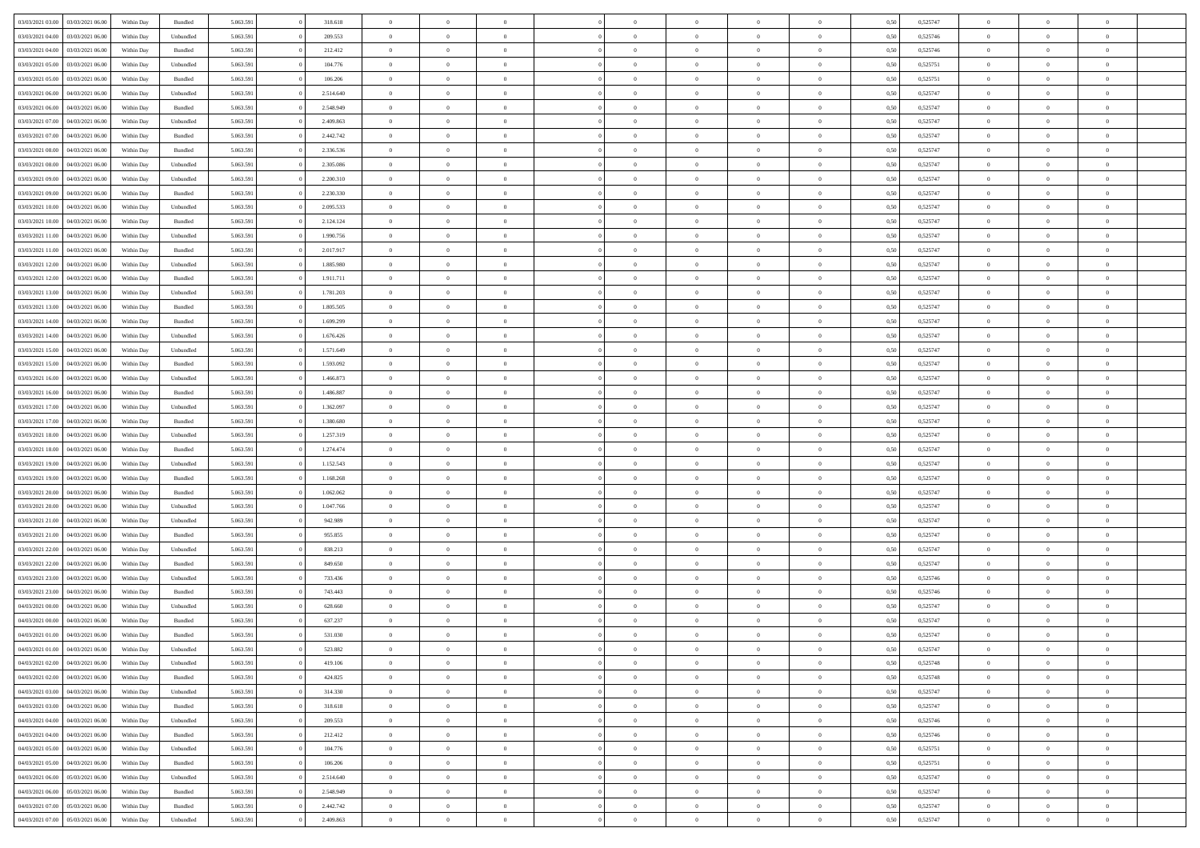| 03/03/2021 03:00 | 03/03/2021 06:00                  | Within Day | Bundled   | 5.063.591 | 318.618   | $\overline{0}$ | $\theta$       |                | $\Omega$       | $\Omega$       | $\Omega$       | $\theta$       | 0.50 | 0,525747 | $\theta$       | $\theta$       | $\theta$       |  |
|------------------|-----------------------------------|------------|-----------|-----------|-----------|----------------|----------------|----------------|----------------|----------------|----------------|----------------|------|----------|----------------|----------------|----------------|--|
|                  |                                   |            |           |           |           |                |                |                |                |                |                |                |      |          |                |                |                |  |
| 03/03/2021 04:00 | 03/03/2021 06:00                  | Within Day | Unbundled | 5.063.591 | 209.553   | $\overline{0}$ | $\theta$       | $\overline{0}$ | $\overline{0}$ | $\bf{0}$       | $\overline{0}$ | $\overline{0}$ | 0,50 | 0,525746 | $\theta$       | $\overline{0}$ | $\overline{0}$ |  |
| 03/03/2021 04:00 | 03/03/2021 06:00                  | Within Day | Bundled   | 5.063.591 | 212.412   | $\overline{0}$ | $\overline{0}$ | $\overline{0}$ | $\overline{0}$ | $\bf{0}$       | $\overline{0}$ | $\bf{0}$       | 0,50 | 0,525746 | $\bf{0}$       | $\overline{0}$ | $\overline{0}$ |  |
| 03/03/2021 05:00 | 03/03/2021 06:00                  | Within Dav | Unbundled | 5.063.591 | 104.776   | $\overline{0}$ | $\overline{0}$ | $\overline{0}$ | $\overline{0}$ | $\bf{0}$       | $\overline{0}$ | $\overline{0}$ | 0.50 | 0,525751 | $\theta$       | $\theta$       | $\overline{0}$ |  |
| 03/03/2021 05:00 | 03/03/2021 06:00                  | Within Day | Bundled   | 5.063.591 | 106.206   | $\overline{0}$ | $\theta$       | $\overline{0}$ | $\overline{0}$ | $\bf{0}$       | $\overline{0}$ | $\bf{0}$       | 0,50 | 0,525751 | $\theta$       | $\theta$       | $\overline{0}$ |  |
| 03/03/2021 06:00 | 04/03/2021 06:00                  | Within Day | Unbundled | 5.063.591 | 2.514.640 | $\overline{0}$ | $\bf{0}$       | $\overline{0}$ | $\overline{0}$ | $\overline{0}$ | $\overline{0}$ | $\mathbf{0}$   | 0,50 | 0,525747 | $\overline{0}$ | $\overline{0}$ | $\bf{0}$       |  |
|                  |                                   |            |           |           |           |                |                |                |                | $\overline{0}$ |                |                |      |          | $\theta$       | $\overline{0}$ | $\overline{0}$ |  |
| 03/03/2021 06:00 | 04/03/2021 06:00                  | Within Dav | Bundled   | 5.063.591 | 2.548.949 | $\overline{0}$ | $\overline{0}$ | $\overline{0}$ | $\overline{0}$ |                | $\overline{0}$ | $\overline{0}$ | 0.50 | 0,525747 |                |                |                |  |
| 03/03/2021 07:00 | 04/03/2021 06:00                  | Within Day | Unbundled | 5.063.591 | 2.409.863 | $\overline{0}$ | $\theta$       | $\overline{0}$ | $\overline{0}$ | $\bf{0}$       | $\overline{0}$ | $\bf{0}$       | 0,50 | 0,525747 | $\theta$       | $\theta$       | $\overline{0}$ |  |
| 03/03/2021 07:00 | 04/03/2021 06:00                  | Within Day | Bundled   | 5.063.591 | 2.442.742 | $\overline{0}$ | $\overline{0}$ | $\overline{0}$ | $\overline{0}$ | $\bf{0}$       | $\overline{0}$ | $\bf{0}$       | 0,50 | 0,525747 | $\,0\,$        | $\overline{0}$ | $\overline{0}$ |  |
| 03/03/2021 08:00 | 04/03/2021 06:00                  | Within Dav | Bundled   | 5.063.591 | 2.336.536 | $\overline{0}$ | $\overline{0}$ | $\overline{0}$ | $\overline{0}$ | $\overline{0}$ | $\overline{0}$ | $\overline{0}$ | 0.50 | 0,525747 | $\theta$       | $\overline{0}$ | $\overline{0}$ |  |
| 03/03/2021 08:00 | 04/03/2021 06:00                  | Within Day | Unbundled | 5.063.591 | 2.305.086 | $\overline{0}$ | $\theta$       | $\overline{0}$ | $\overline{0}$ | $\bf{0}$       | $\overline{0}$ | $\bf{0}$       | 0,50 | 0,525747 | $\,$ 0 $\,$    | $\overline{0}$ | $\overline{0}$ |  |
| 03/03/2021 09:00 | 04/03/2021 06:00                  | Within Day | Unbundled | 5.063.591 | 2.200.310 | $\overline{0}$ | $\overline{0}$ | $\overline{0}$ | $\overline{0}$ | $\bf{0}$       | $\overline{0}$ | $\bf{0}$       | 0,50 | 0,525747 | $\bf{0}$       | $\overline{0}$ | $\overline{0}$ |  |
| 03/03/2021 09:00 | 04/03/2021 06:00                  | Within Day | Bundled   | 5.063.591 | 2.230.330 | $\overline{0}$ | $\overline{0}$ | $\overline{0}$ | $\overline{0}$ | $\bf{0}$       | $\overline{0}$ | $\overline{0}$ | 0.50 | 0,525747 | $\theta$       | $\theta$       | $\overline{0}$ |  |
|                  |                                   |            |           |           |           | $\overline{0}$ | $\theta$       | $\overline{0}$ |                | $\bf{0}$       | $\overline{0}$ | $\overline{0}$ |      |          | $\theta$       | $\theta$       | $\overline{0}$ |  |
| 03/03/2021 10:00 | 04/03/2021 06:00                  | Within Day | Unbundled | 5.063.591 | 2.095.533 |                |                |                | $\overline{0}$ |                |                |                | 0,50 | 0,525747 |                |                |                |  |
| 03/03/2021 10:00 | 04/03/2021 06:00                  | Within Day | Bundled   | 5.063.591 | 2.124.124 | $\overline{0}$ | $\bf{0}$       | $\overline{0}$ | $\overline{0}$ | $\overline{0}$ | $\overline{0}$ | $\mathbf{0}$   | 0,50 | 0,525747 | $\overline{0}$ | $\overline{0}$ | $\bf{0}$       |  |
| 03/03/2021 11:00 | 04/03/2021 06:00                  | Within Dav | Unbundled | 5.063.591 | 1.990.756 | $\overline{0}$ | $\overline{0}$ | $\overline{0}$ | $\overline{0}$ | $\overline{0}$ | $\overline{0}$ | $\overline{0}$ | 0.50 | 0,525747 | $\theta$       | $\overline{0}$ | $\overline{0}$ |  |
| 03/03/2021 11:00 | 04/03/2021 06:00                  | Within Day | Bundled   | 5.063.591 | 2.017.917 | $\overline{0}$ | $\theta$       | $\overline{0}$ | $\overline{0}$ | $\bf{0}$       | $\overline{0}$ | $\bf{0}$       | 0,50 | 0,525747 | $\theta$       | $\theta$       | $\overline{0}$ |  |
| 03/03/2021 12:00 | 04/03/2021 06:00                  | Within Day | Unbundled | 5.063.591 | 1.885.980 | $\overline{0}$ | $\overline{0}$ | $\overline{0}$ | $\overline{0}$ | $\bf{0}$       | $\overline{0}$ | $\bf{0}$       | 0,50 | 0,525747 | $\,0\,$        | $\overline{0}$ | $\overline{0}$ |  |
| 03/03/2021 12:00 | 04/03/2021 06:00                  | Within Day | Bundled   | 5.063.591 | 1.911.711 | $\overline{0}$ | $\overline{0}$ | $\overline{0}$ | $\overline{0}$ | $\overline{0}$ | $\overline{0}$ | $\overline{0}$ | 0.50 | 0,525747 | $\theta$       | $\overline{0}$ | $\overline{0}$ |  |
| 03/03/2021 13:00 | 04/03/2021 06:00                  | Within Day | Unbundled | 5.063.591 | 1.781.203 | $\overline{0}$ | $\theta$       | $\overline{0}$ | $\overline{0}$ | $\bf{0}$       | $\overline{0}$ | $\bf{0}$       | 0,50 | 0,525747 | $\theta$       | $\theta$       | $\overline{0}$ |  |
|                  |                                   |            |           |           |           |                | $\overline{0}$ |                |                | $\bf{0}$       |                |                |      |          | $\,0\,$        | $\overline{0}$ | $\overline{0}$ |  |
| 03/03/2021 13:00 | 04/03/2021 06:00                  | Within Day | Bundled   | 5.063.591 | 1.805.505 | $\overline{0}$ |                | $\overline{0}$ | $\bf{0}$       |                | $\bf{0}$       | $\bf{0}$       | 0,50 | 0,525747 |                |                |                |  |
| 03/03/2021 14:00 | 04/03/2021 06:00                  | Within Day | Bundled   | 5.063.591 | 1.699.299 | $\overline{0}$ | $\overline{0}$ | $\overline{0}$ | $\overline{0}$ | $\bf{0}$       | $\overline{0}$ | $\overline{0}$ | 0.50 | 0,525747 | $\theta$       | $\theta$       | $\overline{0}$ |  |
| 03/03/2021 14:00 | 04/03/2021 06:00                  | Within Day | Unbundled | 5.063.591 | 1.676.426 | $\overline{0}$ | $\theta$       | $\overline{0}$ | $\overline{0}$ | $\bf{0}$       | $\overline{0}$ | $\bf{0}$       | 0,50 | 0,525747 | $\theta$       | $\overline{0}$ | $\overline{0}$ |  |
| 03/03/2021 15:00 | 04/03/2021 06:00                  | Within Day | Unbundled | 5.063.591 | 1.571.649 | $\overline{0}$ | $\bf{0}$       | $\overline{0}$ | $\bf{0}$       | $\overline{0}$ | $\overline{0}$ | $\mathbf{0}$   | 0,50 | 0,525747 | $\bf{0}$       | $\overline{0}$ | $\bf{0}$       |  |
| 03/03/2021 15:00 | 04/03/2021 06:00                  | Within Dav | Bundled   | 5.063.591 | 1.593.092 | $\overline{0}$ | $\overline{0}$ | $\overline{0}$ | $\overline{0}$ | $\overline{0}$ | $\overline{0}$ | $\overline{0}$ | 0.50 | 0,525747 | $\theta$       | $\overline{0}$ | $\overline{0}$ |  |
| 03/03/2021 16:00 | 04/03/2021 06:00                  | Within Day | Unbundled | 5.063.591 | 1.466.873 | $\overline{0}$ | $\theta$       | $\overline{0}$ | $\overline{0}$ | $\bf{0}$       | $\overline{0}$ | $\bf{0}$       | 0,50 | 0,525747 | $\theta$       | $\theta$       | $\overline{0}$ |  |
| 03/03/2021 16:00 | 04/03/2021 06:00                  | Within Day | Bundled   | 5.063.591 | 1.486.887 | $\overline{0}$ | $\overline{0}$ | $\overline{0}$ | $\bf{0}$       | $\bf{0}$       | $\bf{0}$       | $\bf{0}$       | 0,50 | 0,525747 | $\,0\,$        | $\overline{0}$ | $\overline{0}$ |  |
| 03/03/2021 17:00 | 04/03/2021 06:00                  | Within Day | Unbundled | 5.063.591 | 1.362.097 | $\overline{0}$ | $\overline{0}$ | $\overline{0}$ | $\overline{0}$ | $\overline{0}$ | $\overline{0}$ | $\overline{0}$ | 0.50 | 0,525747 | $\theta$       | $\overline{0}$ | $\overline{0}$ |  |
|                  |                                   |            |           |           |           |                |                |                |                |                |                |                |      |          |                |                |                |  |
| 03/03/2021 17:00 | 04/03/2021 06:00                  | Within Day | Bundled   | 5.063.591 | 1.380.680 | $\overline{0}$ | $\theta$       | $\overline{0}$ | $\overline{0}$ | $\bf{0}$       | $\overline{0}$ | $\bf{0}$       | 0,50 | 0,525747 | $\,$ 0 $\,$    | $\theta$       | $\overline{0}$ |  |
| 03/03/2021 18:00 | 04/03/2021 06:00                  | Within Day | Unbundled | 5.063.591 | 1.257.319 | $\overline{0}$ | $\overline{0}$ | $\overline{0}$ | $\bf{0}$       | $\bf{0}$       | $\bf{0}$       | $\bf{0}$       | 0,50 | 0,525747 | $\bf{0}$       | $\overline{0}$ | $\overline{0}$ |  |
| 03/03/2021 18:00 | 04/03/2021 06:00                  | Within Day | Bundled   | 5.063.591 | 1.274.474 | $\overline{0}$ | $\Omega$       | $\Omega$       | $\Omega$       | $\Omega$       | $\overline{0}$ | $\overline{0}$ | 0,50 | 0,525747 | $\,0\,$        | $\theta$       | $\theta$       |  |
| 03/03/2021 19:00 | 04/03/2021 06:00                  | Within Day | Unbundled | 5.063.591 | 1.152.543 | $\overline{0}$ | $\theta$       | $\overline{0}$ | $\overline{0}$ | $\bf{0}$       | $\overline{0}$ | $\bf{0}$       | 0,50 | 0,525747 | $\theta$       | $\theta$       | $\overline{0}$ |  |
| 03/03/2021 19:00 | 04/03/2021 06:00                  | Within Day | Bundled   | 5.063.591 | 1.168.268 | $\overline{0}$ | $\overline{0}$ | $\overline{0}$ | $\bf{0}$       | $\bf{0}$       | $\overline{0}$ | $\mathbf{0}$   | 0,50 | 0,525747 | $\bf{0}$       | $\overline{0}$ | $\bf{0}$       |  |
| 03/03/2021 20:00 | 04/03/2021 06:00                  | Within Day | Bundled   | 5.063.591 | 1.062.062 | $\overline{0}$ | $\Omega$       | $\Omega$       | $\Omega$       | $\bf{0}$       | $\overline{0}$ | $\overline{0}$ | 0.50 | 0,525747 | $\,0\,$        | $\theta$       | $\theta$       |  |
| 03/03/2021 20:00 | 04/03/2021 06:00                  | Within Day | Unbundled | 5.063.591 | 1.047.766 | $\overline{0}$ | $\theta$       | $\overline{0}$ | $\overline{0}$ | $\bf{0}$       | $\overline{0}$ | $\bf{0}$       | 0,50 | 0,525747 | $\theta$       | $\theta$       | $\overline{0}$ |  |
| 03/03/2021 21:00 | 04/03/2021 06:00                  | Within Day | Unbundled | 5.063.591 | 942.989   | $\overline{0}$ | $\overline{0}$ | $\overline{0}$ | $\bf{0}$       | $\bf{0}$       | $\bf{0}$       | $\bf{0}$       | 0,50 | 0,525747 | $\,0\,$        | $\overline{0}$ | $\overline{0}$ |  |
|                  |                                   |            |           |           |           |                |                |                |                |                |                |                |      |          |                |                |                |  |
| 03/03/2021 21:00 | 04/03/2021 06:00                  | Within Day | Bundled   | 5.063.591 | 955,855   | $\overline{0}$ | $\Omega$       | $\Omega$       | $\Omega$       | $\theta$       | $\theta$       | $\overline{0}$ | 0.50 | 0,525747 | $\theta$       | $\theta$       | $\theta$       |  |
| 03/03/2021 22:00 | 04/03/2021 06:00                  | Within Day | Unbundled | 5.063.591 | 838.213   | $\overline{0}$ | $\theta$       | $\overline{0}$ | $\overline{0}$ | $\bf{0}$       | $\overline{0}$ | $\bf{0}$       | 0,50 | 0,525747 | $\,$ 0 $\,$    | $\overline{0}$ | $\overline{0}$ |  |
| 03/03/2021 22.00 | 04/03/2021 06:00                  | Within Day | Bundled   | 5.063.591 | 849.650   | $\overline{0}$ | $\overline{0}$ | $\overline{0}$ | $\overline{0}$ | $\bf{0}$       | $\overline{0}$ | $\bf{0}$       | 0,50 | 0,525747 | $\bf{0}$       | $\overline{0}$ | $\overline{0}$ |  |
| 03/03/2021 23:00 | 04/03/2021 06:00                  | Within Day | Unbundled | 5.063.591 | 733.436   | $\overline{0}$ | $\Omega$       | $\Omega$       | $\Omega$       | $\Omega$       | $\overline{0}$ | $\overline{0}$ | 0,50 | 0,525746 | $\,0\,$        | $\theta$       | $\theta$       |  |
| 03/03/2021 23:00 | 04/03/2021 06:00                  | Within Day | Bundled   | 5.063.591 | 743.443   | $\overline{0}$ | $\theta$       | $\overline{0}$ | $\overline{0}$ | $\bf{0}$       | $\overline{0}$ | $\bf{0}$       | 0,50 | 0,525746 | $\,$ 0 $\,$    | $\overline{0}$ | $\overline{0}$ |  |
| 04/03/2021 00:00 | 04/03/2021 06:00                  | Within Day | Unbundled | 5.063.591 | 628.660   | $\overline{0}$ | $\overline{0}$ | $\overline{0}$ | $\overline{0}$ | $\bf{0}$       | $\overline{0}$ | $\mathbf{0}$   | 0,50 | 0,525747 | $\bf{0}$       | $\overline{0}$ | $\bf{0}$       |  |
| 04/03/2021 00:00 | 04/03/2021 06:00                  | Within Day | Bundled   | 5.063.591 | 637.237   | $\overline{0}$ | $\Omega$       | $\Omega$       | $\Omega$       | $\Omega$       | $\Omega$       | $\overline{0}$ | 0.50 | 0,525747 | $\theta$       | $\theta$       | $\theta$       |  |
| 04/03/2021 01:00 | 04/03/2021 06:00                  | Within Day | Bundled   | 5.063.591 | 531.030   | $\overline{0}$ | $\overline{0}$ | $\overline{0}$ | $\bf{0}$       | $\,$ 0         | $\overline{0}$ | $\bf{0}$       | 0,50 | 0,525747 | $\,0\,$        | $\overline{0}$ | $\overline{0}$ |  |
|                  | 04/03/2021 01:00 04/03/2021 06:00 | Within Day | Unbundled | 5.063.591 | 523.882   | $\bf{0}$       | $\bf{0}$       |                |                |                |                |                | 0,50 | 0,525747 | $\bf{0}$       | $\overline{0}$ |                |  |
|                  |                                   |            |           |           |           |                |                |                |                |                |                |                |      |          |                |                |                |  |
| 04/03/2021 02:00 | 04/03/2021 06:00                  | Within Day | Unbundled | 5.063.591 | 419.106   | $\overline{0}$ | $\overline{0}$ | $\overline{0}$ | $\Omega$       | $\overline{0}$ | $\overline{0}$ | $\overline{0}$ | 0,50 | 0,525748 | $\theta$       | $\theta$       | $\Omega$       |  |
| 04/03/2021 02:00 | 04/03/2021 06:00                  | Within Day | Bundled   | 5.063.591 | 424.825   | $\overline{0}$ | $\,$ 0         | $\overline{0}$ | $\overline{0}$ | $\,$ 0 $\,$    | $\overline{0}$ | $\,$ 0 $\,$    | 0,50 | 0,525748 | $\,$ 0 $\,$    | $\,$ 0 $\,$    | $\,$ 0         |  |
| 04/03/2021 03:00 | 04/03/2021 06:00                  | Within Day | Unbundled | 5.063.591 | 314.330   | $\overline{0}$ | $\overline{0}$ | $\overline{0}$ | $\overline{0}$ | $\overline{0}$ | $\overline{0}$ | $\mathbf{0}$   | 0,50 | 0,525747 | $\overline{0}$ | $\bf{0}$       | $\bf{0}$       |  |
| 04/03/2021 03:00 | 04/03/2021 06:00                  | Within Day | Bundled   | 5.063.591 | 318.618   | $\overline{0}$ | $\overline{0}$ | $\overline{0}$ | $\Omega$       | $\overline{0}$ | $\overline{0}$ | $\overline{0}$ | 0,50 | 0,525747 | $\overline{0}$ | $\theta$       | $\overline{0}$ |  |
| 04/03/2021 04:00 | 04/03/2021 06:00                  | Within Day | Unbundled | 5.063.591 | 209.553   | $\overline{0}$ | $\,$ 0         | $\overline{0}$ | $\overline{0}$ | $\,$ 0 $\,$    | $\overline{0}$ | $\mathbf{0}$   | 0,50 | 0,525746 | $\,$ 0 $\,$    | $\overline{0}$ | $\overline{0}$ |  |
| 04/03/2021 04:00 | 04/03/2021 06:00                  | Within Day | Bundled   | 5.063.591 | 212.412   | $\overline{0}$ | $\overline{0}$ | $\overline{0}$ | $\overline{0}$ | $\overline{0}$ | $\overline{0}$ | $\mathbf{0}$   | 0,50 | 0,525746 | $\overline{0}$ | $\overline{0}$ | $\bf{0}$       |  |
| 04/03/2021 05:00 | 04/03/2021 06:00                  | Within Day | Unbundled | 5.063.591 | 104,776   | $\overline{0}$ | $\overline{0}$ | $\overline{0}$ | $\Omega$       | $\overline{0}$ | $\overline{0}$ | $\bf{0}$       | 0.50 | 0,525751 | $\overline{0}$ | $\theta$       | $\overline{0}$ |  |
|                  |                                   |            |           |           |           |                |                |                |                |                |                |                |      |          |                |                |                |  |
| 04/03/2021 05:00 | 04/03/2021 06:00                  | Within Day | Bundled   | 5.063.591 | 106.206   | $\overline{0}$ | $\,$ 0         | $\overline{0}$ | $\overline{0}$ | $\bf{0}$       | $\overline{0}$ | $\bf{0}$       | 0,50 | 0,525751 | $\,$ 0 $\,$    | $\overline{0}$ | $\overline{0}$ |  |
| 04/03/2021 06.00 | 05/03/2021 06:00                  | Within Day | Unbundled | 5.063.591 | 2.514.640 | $\overline{0}$ | $\bf{0}$       | $\overline{0}$ | $\overline{0}$ | $\overline{0}$ | $\overline{0}$ | $\mathbf{0}$   | 0,50 | 0,525747 | $\overline{0}$ | $\overline{0}$ | $\bf{0}$       |  |
| 04/03/2021 06:00 | 05/03/2021 06:00                  | Within Day | Bundled   | 5.063.591 | 2.548.949 | $\overline{0}$ | $\overline{0}$ | $\overline{0}$ | $\Omega$       | $\overline{0}$ | $\overline{0}$ | $\overline{0}$ | 0.50 | 0,525747 | $\overline{0}$ | $\overline{0}$ | $\overline{0}$ |  |
| 04/03/2021 07:00 | 05/03/2021 06:00                  | Within Day | Bundled   | 5.063.591 | 2.442.742 | $\overline{0}$ | $\bf{0}$       | $\overline{0}$ | $\bf{0}$       | $\bf{0}$       | $\overline{0}$ | $\mathbf{0}$   | 0,50 | 0,525747 | $\,$ 0 $\,$    | $\,$ 0 $\,$    | $\bf{0}$       |  |
| 04/03/2021 07:00 | 05/03/2021 06:00                  | Within Day | Unbundled | 5.063.591 | 2.409.863 | $\overline{0}$ | $\overline{0}$ | $\overline{0}$ | $\overline{0}$ | $\bf{0}$       | $\overline{0}$ | $\mathbf{0}$   | 0,50 | 0,525747 | $\overline{0}$ | $\bf{0}$       | $\bf{0}$       |  |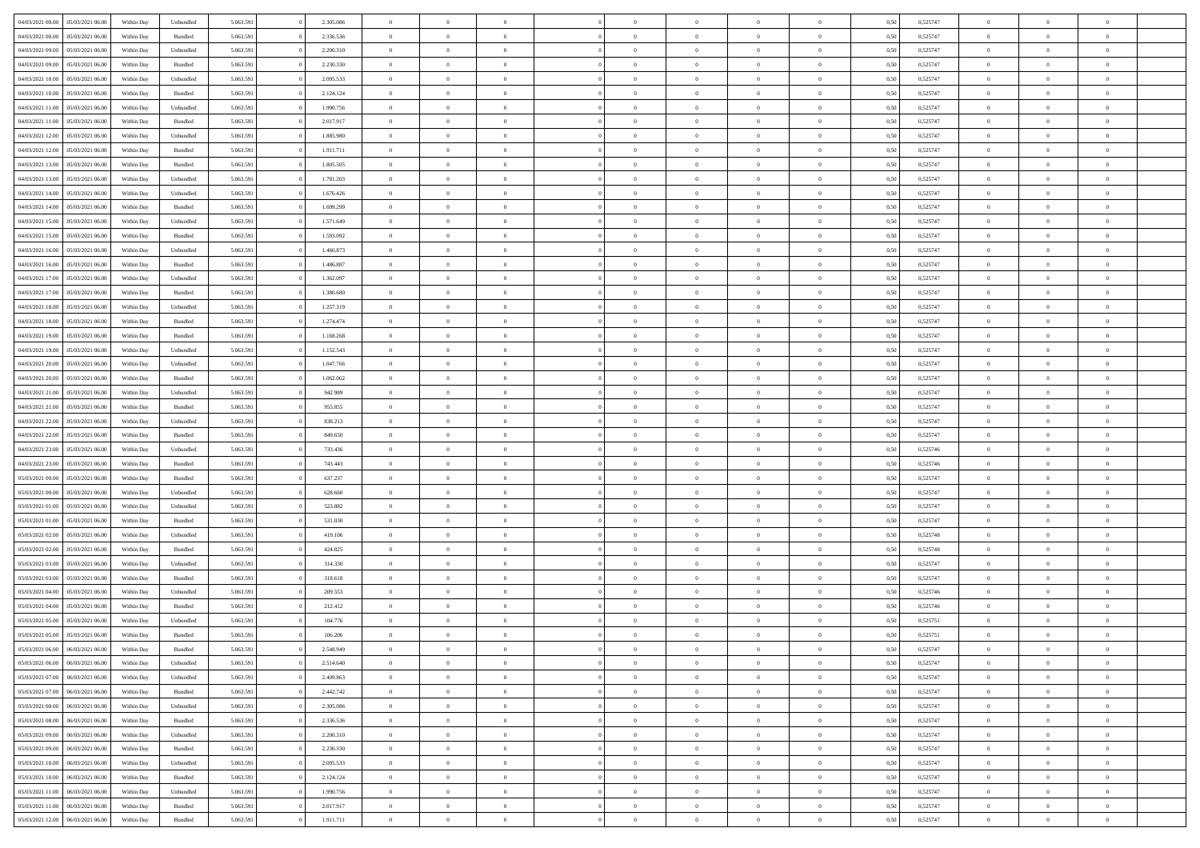| 04/03/2021 08:00                  | 05/03/2021 06:00 | Within Day | Unbundled          | 5.063.591 | 2.305.086 | $\overline{0}$ | $\theta$       |                | $\Omega$       | $\Omega$       | $\overline{0}$ | $\theta$       | 0.50 | 0,525747 | $\theta$       | $\overline{0}$ | $\overline{0}$ |  |
|-----------------------------------|------------------|------------|--------------------|-----------|-----------|----------------|----------------|----------------|----------------|----------------|----------------|----------------|------|----------|----------------|----------------|----------------|--|
|                                   |                  |            |                    |           |           |                |                |                |                |                |                |                |      |          |                |                |                |  |
| 04/03/2021 08:00                  | 05/03/2021 06:00 | Within Day | Bundled            | 5.063.591 | 2.336.536 | $\overline{0}$ | $\theta$       | $\overline{0}$ | $\overline{0}$ | $\bf{0}$       | $\overline{0}$ | $\overline{0}$ | 0,50 | 0,525747 | $\theta$       | $\overline{0}$ | $\overline{0}$ |  |
| 04/03/2021 09:00                  | 05/03/2021 06:00 | Within Day | Unbundled          | 5.063.591 | 2.200.310 | $\overline{0}$ | $\bf{0}$       | $\overline{0}$ | $\overline{0}$ | $\bf{0}$       | $\overline{0}$ | $\mathbf{0}$   | 0,50 | 0,525747 | $\bf{0}$       | $\overline{0}$ | $\bf{0}$       |  |
| 04/03/2021 09:00                  | 05/03/2021 06:00 | Within Dav | Bundled            | 5.063.591 | 2.230.330 | $\overline{0}$ | $\overline{0}$ | $\overline{0}$ | $\overline{0}$ | $\bf{0}$       | $\overline{0}$ | $\overline{0}$ | 0.50 | 0,525747 | $\theta$       | $\theta$       | $\overline{0}$ |  |
| 04/03/2021 10:00                  | 05/03/2021 06:00 | Within Day | Unbundled          | 5.063.591 | 2.095.533 | $\overline{0}$ | $\theta$       | $\overline{0}$ | $\overline{0}$ | $\bf{0}$       | $\overline{0}$ | $\bf{0}$       | 0,50 | 0,525747 | $\theta$       | $\overline{0}$ | $\overline{0}$ |  |
|                                   |                  |            |                    |           |           |                |                |                |                |                |                |                |      |          |                |                |                |  |
| 04/03/2021 10:00                  | 05/03/2021 06:00 | Within Day | Bundled            | 5.063.591 | 2.124.124 | $\overline{0}$ | $\overline{0}$ | $\overline{0}$ | $\overline{0}$ | $\overline{0}$ | $\overline{0}$ | $\mathbf{0}$   | 0,50 | 0,525747 | $\bf{0}$       | $\overline{0}$ | $\bf{0}$       |  |
| 04/03/2021 11:00                  | 05/03/2021 06:00 | Within Dav | Unbundled          | 5.063.591 | 1.990.756 | $\overline{0}$ | $\overline{0}$ | $\overline{0}$ | $\overline{0}$ | $\overline{0}$ | $\overline{0}$ | $\overline{0}$ | 0.50 | 0,525747 | $\theta$       | $\overline{0}$ | $\overline{0}$ |  |
| 04/03/2021 11:00                  | 05/03/2021 06:00 | Within Day | Bundled            | 5.063.591 | 2.017.917 | $\overline{0}$ | $\theta$       | $\overline{0}$ | $\overline{0}$ | $\bf{0}$       | $\overline{0}$ | $\bf{0}$       | 0,50 | 0,525747 | $\theta$       | $\theta$       | $\overline{0}$ |  |
| 04/03/2021 12:00                  | 05/03/2021 06:00 | Within Day | Unbundled          | 5.063.591 | 1.885.980 | $\overline{0}$ | $\overline{0}$ | $\overline{0}$ | $\overline{0}$ | $\bf{0}$       | $\overline{0}$ | $\bf{0}$       | 0,50 | 0,525747 | $\,0\,$        | $\overline{0}$ | $\overline{0}$ |  |
| 04/03/2021 12:00                  | 05/03/2021 06:00 | Within Dav | Bundled            | 5.063.591 | 1.911.711 | $\overline{0}$ | $\overline{0}$ | $\overline{0}$ | $\overline{0}$ | $\overline{0}$ | $\overline{0}$ | $\overline{0}$ | 0.50 | 0,525747 | $\theta$       | $\overline{0}$ | $\overline{0}$ |  |
| 04/03/2021 13:00                  | 05/03/2021 06:00 | Within Day | Bundled            | 5.063.591 | 1.805.505 | $\overline{0}$ | $\theta$       | $\overline{0}$ | $\overline{0}$ | $\bf{0}$       | $\overline{0}$ | $\bf{0}$       | 0,50 | 0,525747 | $\,$ 0 $\,$    | $\overline{0}$ | $\overline{0}$ |  |
| 04/03/2021 13:00                  | 05/03/2021 06:00 | Within Day | Unbundled          | 5.063.591 | 1.781.203 | $\overline{0}$ | $\bf{0}$       | $\overline{0}$ | $\overline{0}$ | $\bf{0}$       | $\overline{0}$ | $\mathbf{0}$   | 0,50 | 0,525747 | $\bf{0}$       | $\overline{0}$ | $\bf{0}$       |  |
| 04/03/2021 14:00                  | 05/03/2021 06:00 | Within Dav | Unbundled          | 5.063.591 | 1.676.426 | $\overline{0}$ | $\overline{0}$ | $\overline{0}$ | $\overline{0}$ | $\bf{0}$       | $\overline{0}$ | $\overline{0}$ | 0.50 | 0,525747 | $\theta$       | $\theta$       | $\overline{0}$ |  |
|                                   |                  |            |                    |           |           |                |                |                |                |                |                |                |      |          |                |                |                |  |
| 04/03/2021 14:00                  | 05/03/2021 06:00 | Within Day | Bundled            | 5.063.591 | 1.699.299 | $\overline{0}$ | $\theta$       | $\overline{0}$ | $\overline{0}$ | $\bf{0}$       | $\overline{0}$ | $\overline{0}$ | 0,50 | 0,525747 | $\theta$       | $\overline{0}$ | $\overline{0}$ |  |
| 04/03/2021 15:00                  | 05/03/2021 06:00 | Within Day | Unbundled          | 5.063.591 | 1.571.649 | $\overline{0}$ | $\overline{0}$ | $\overline{0}$ | $\overline{0}$ | $\overline{0}$ | $\overline{0}$ | $\mathbf{0}$   | 0,50 | 0,525747 | $\bf{0}$       | $\overline{0}$ | $\bf{0}$       |  |
| 04/03/2021 15:00                  | 05/03/2021 06:00 | Within Dav | Bundled            | 5.063.591 | 1.593.092 | $\overline{0}$ | $\overline{0}$ | $\overline{0}$ | $\overline{0}$ | $\overline{0}$ | $\overline{0}$ | $\overline{0}$ | 0.50 | 0,525747 | $\theta$       | $\overline{0}$ | $\overline{0}$ |  |
| 04/03/2021 16:00                  | 05/03/2021 06:00 | Within Day | Unbundled          | 5.063.591 | 1.466.873 | $\overline{0}$ | $\theta$       | $\overline{0}$ | $\overline{0}$ | $\bf{0}$       | $\overline{0}$ | $\bf{0}$       | 0,50 | 0,525747 | $\theta$       | $\theta$       | $\overline{0}$ |  |
| 04/03/2021 16:00                  | 05/03/2021 06:00 | Within Day | Bundled            | 5.063.591 | 1.486.887 | $\overline{0}$ | $\overline{0}$ | $\overline{0}$ | $\overline{0}$ | $\bf{0}$       | $\overline{0}$ | $\bf{0}$       | 0,50 | 0,525747 | $\bf{0}$       | $\overline{0}$ | $\overline{0}$ |  |
| 04/03/2021 17:00                  | 05/03/2021 06:00 | Within Dav | Unbundled          | 5.063.591 | 1.362.097 | $\overline{0}$ | $\overline{0}$ | $\overline{0}$ | $\overline{0}$ | $\overline{0}$ | $\overline{0}$ | $\overline{0}$ | 0.50 | 0,525747 | $\theta$       | $\overline{0}$ | $\overline{0}$ |  |
| 04/03/2021 17:00                  | 05/03/2021 06:00 | Within Day | Bundled            | 5.063.591 | 1.380.680 | $\overline{0}$ | $\theta$       | $\overline{0}$ | $\overline{0}$ | $\bf{0}$       | $\overline{0}$ | $\bf{0}$       | 0,50 | 0,525747 | $\,$ 0 $\,$    | $\overline{0}$ | $\overline{0}$ |  |
| 04/03/2021 18:00                  | 05/03/2021 06:00 | Within Day | Unbundled          | 5.063.591 | 1.257.319 | $\overline{0}$ | $\overline{0}$ | $\overline{0}$ | $\overline{0}$ | $\bf{0}$       | $\overline{0}$ | $\bf{0}$       | 0,50 | 0,525747 | $\bf{0}$       | $\overline{0}$ | $\bf{0}$       |  |
|                                   |                  |            |                    |           |           |                |                |                |                |                |                |                |      |          | $\theta$       |                |                |  |
| 04/03/2021 18:00                  | 05/03/2021 06:00 | Within Dav | Bundled            | 5.063.591 | 1.274.474 | $\overline{0}$ | $\overline{0}$ | $\overline{0}$ | $\overline{0}$ | $\bf{0}$       | $\overline{0}$ | $\overline{0}$ | 0.50 | 0,525747 |                | $\overline{0}$ | $\overline{0}$ |  |
| 04/03/2021 19:00                  | 05/03/2021 06:00 | Within Day | Bundled            | 5.063.591 | 1.168.268 | $\overline{0}$ | $\theta$       | $\overline{0}$ | $\overline{0}$ | $\bf{0}$       | $\overline{0}$ | $\bf{0}$       | 0,50 | 0,525747 | $\,$ 0 $\,$    | $\overline{0}$ | $\overline{0}$ |  |
| 04/03/2021 19:00                  | 05/03/2021 06:00 | Within Day | Unbundled          | 5.063.591 | 1.152.543 | $\overline{0}$ | $\overline{0}$ | $\overline{0}$ | $\bf{0}$       | $\overline{0}$ | $\overline{0}$ | $\mathbf{0}$   | 0,50 | 0,525747 | $\overline{0}$ | $\overline{0}$ | $\bf{0}$       |  |
| 04/03/2021 20:00                  | 05/03/2021 06:00 | Within Dav | Unbundled          | 5.063.591 | 1.047.766 | $\overline{0}$ | $\overline{0}$ | $\overline{0}$ | $\overline{0}$ | $\overline{0}$ | $\overline{0}$ | $\overline{0}$ | 0.50 | 0,525747 | $\theta$       | $\overline{0}$ | $\overline{0}$ |  |
| 04/03/2021 20:00                  | 05/03/2021 06:00 | Within Day | Bundled            | 5.063.591 | 1.062.062 | $\overline{0}$ | $\theta$       | $\overline{0}$ | $\overline{0}$ | $\bf{0}$       | $\overline{0}$ | $\bf{0}$       | 0,50 | 0,525747 | $\theta$       | $\theta$       | $\overline{0}$ |  |
| 04/03/2021 21.00                  | 05/03/2021 06:00 | Within Day | Unbundled          | 5.063.591 | 942.989   | $\overline{0}$ | $\overline{0}$ | $\overline{0}$ | $\bf{0}$       | $\bf{0}$       | $\bf{0}$       | $\bf{0}$       | 0,50 | 0,525747 | $\,0\,$        | $\overline{0}$ | $\overline{0}$ |  |
| 04/03/2021 21:00                  | 05/03/2021 06:00 | Within Day | Bundled            | 5.063.591 | 955.855   | $\overline{0}$ | $\overline{0}$ | $\overline{0}$ | $\overline{0}$ | $\overline{0}$ | $\overline{0}$ | $\overline{0}$ | 0.50 | 0,525747 | $\theta$       | $\overline{0}$ | $\overline{0}$ |  |
| 04/03/2021 22.00                  | 05/03/2021 06:00 | Within Day | Unbundled          | 5.063.591 | 838.213   | $\overline{0}$ | $\theta$       | $\overline{0}$ | $\overline{0}$ | $\bf{0}$       | $\overline{0}$ | $\bf{0}$       | 0,50 | 0,525747 | $\,$ 0 $\,$    | $\overline{0}$ | $\overline{0}$ |  |
|                                   |                  |            |                    |           |           |                |                |                |                |                |                |                |      |          |                |                |                |  |
| 04/03/2021 22.00                  | 05/03/2021 06:00 | Within Day | Bundled            | 5.063.591 | 849.650   | $\overline{0}$ | $\overline{0}$ | $\overline{0}$ | $\bf{0}$       | $\bf{0}$       | $\bf{0}$       | $\bf{0}$       | 0,50 | 0,525747 | $\bf{0}$       | $\overline{0}$ | $\bf{0}$       |  |
| 04/03/2021 23:00                  | 05/03/2021 06:00 | Within Day | Unbundled          | 5.063.591 | 733.436   | $\overline{0}$ | $\Omega$       | $\Omega$       | $\Omega$       | $\Omega$       | $\Omega$       | $\overline{0}$ | 0,50 | 0,525746 | $\,0\,$        | $\theta$       | $\theta$       |  |
| 04/03/2021 23:00                  | 05/03/2021 06:00 | Within Day | Bundled            | 5.063.591 | 743.443   | $\overline{0}$ | $\theta$       | $\overline{0}$ | $\overline{0}$ | $\bf{0}$       | $\overline{0}$ | $\bf{0}$       | 0,50 | 0,525746 | $\theta$       | $\overline{0}$ | $\overline{0}$ |  |
| 05/03/2021 00:00                  | 05/03/2021 06:00 | Within Day | Bundled            | 5.063.591 | 637.237   | $\overline{0}$ | $\overline{0}$ | $\overline{0}$ | $\bf{0}$       | $\overline{0}$ | $\overline{0}$ | $\mathbf{0}$   | 0,50 | 0,525747 | $\bf{0}$       | $\overline{0}$ | $\bf{0}$       |  |
| 05/03/2021 00:00                  | 05/03/2021 06:00 | Within Day | Unbundled          | 5.063.591 | 628,660   | $\overline{0}$ | $\Omega$       | $\Omega$       | $\Omega$       | $\bf{0}$       | $\overline{0}$ | $\overline{0}$ | 0.50 | 0,525747 | $\,0\,$        | $\theta$       | $\theta$       |  |
| 05/03/2021 01:00                  | 05/03/2021 06:00 | Within Day | Unbundled          | 5.063.591 | 523.882   | $\overline{0}$ | $\theta$       | $\overline{0}$ | $\overline{0}$ | $\bf{0}$       | $\overline{0}$ | $\bf{0}$       | 0,50 | 0,525747 | $\theta$       | $\overline{0}$ | $\overline{0}$ |  |
| 05/03/2021 01:00                  | 05/03/2021 06:00 | Within Day | Bundled            | 5.063.591 | 531.030   | $\overline{0}$ | $\overline{0}$ | $\overline{0}$ | $\bf{0}$       | $\bf{0}$       | $\bf{0}$       | $\bf{0}$       | 0,50 | 0,525747 | $\bf{0}$       | $\overline{0}$ | $\bf{0}$       |  |
| 05/03/2021 02:00                  | 05/03/2021 06:00 | Within Day | Unbundled          | 5.063.591 | 419,106   | $\overline{0}$ | $\Omega$       | $\Omega$       | $\Omega$       | $\theta$       | $\theta$       | $\overline{0}$ | 0.50 | 0,525748 | $\theta$       | $\theta$       | $\theta$       |  |
|                                   |                  |            |                    |           |           | $\overline{0}$ | $\overline{0}$ |                |                |                |                |                |      |          |                |                |                |  |
| 05/03/2021 02:00                  | 05/03/2021 06:00 | Within Day | Bundled            | 5.063.591 | 424.825   |                |                | $\overline{0}$ | $\overline{0}$ | $\bf{0}$       | $\overline{0}$ | $\bf{0}$       | 0,50 | 0,525748 | $\,$ 0 $\,$    | $\overline{0}$ | $\overline{0}$ |  |
| 05/03/2021 03:00                  | 05/03/2021 06:00 | Within Day | Unbundled          | 5.063.591 | 314.330   | $\overline{0}$ | $\overline{0}$ | $\overline{0}$ | $\overline{0}$ | $\bf{0}$       | $\overline{0}$ | $\bf{0}$       | 0,50 | 0,525747 | $\bf{0}$       | $\overline{0}$ | $\bf{0}$       |  |
| 05/03/2021 03:00                  | 05/03/2021 06:00 | Within Day | Bundled            | 5.063.591 | 318.618   | $\overline{0}$ | $\Omega$       | $\Omega$       | $\Omega$       | $\overline{0}$ | $\overline{0}$ | $\overline{0}$ | 0,50 | 0,525747 | $\,0\,$        | $\theta$       | $\theta$       |  |
| 05/03/2021 04:00                  | 05/03/2021 06:00 | Within Day | Unbundled          | 5.063.591 | 209.553   | $\overline{0}$ | $\overline{0}$ | $\overline{0}$ | $\overline{0}$ | $\bf{0}$       | $\overline{0}$ | $\bf{0}$       | 0,50 | 0,525746 | $\,$ 0 $\,$    | $\overline{0}$ | $\overline{0}$ |  |
| 05/03/2021 04:00                  | 05/03/2021 06:00 | Within Day | Bundled            | 5.063.591 | 212.412   | $\overline{0}$ | $\overline{0}$ | $\overline{0}$ | $\overline{0}$ | $\bf{0}$       | $\overline{0}$ | $\mathbf{0}$   | 0,50 | 0,525746 | $\bf{0}$       | $\overline{0}$ | $\bf{0}$       |  |
| 05/03/2021 05:00                  | 05/03/2021 06:00 | Within Day | Unbundled          | 5.063.591 | 104,776   | $\overline{0}$ | $\Omega$       | $\Omega$       | $\Omega$       | $\Omega$       | $\Omega$       | $\overline{0}$ | 0.50 | 0,525751 | $\theta$       | $\theta$       | $\theta$       |  |
| 05/03/2021 05:00                  | 05/03/2021 06:00 | Within Day | Bundled            | 5.063.591 | 106.206   | $\overline{0}$ | $\overline{0}$ | $\overline{0}$ | $\bf{0}$       | $\,$ 0         | $\overline{0}$ | $\bf{0}$       | 0,50 | 0,525751 | $\,0\,$        | $\,0\,$        | $\overline{0}$ |  |
| 05/03/2021 06:00 06/03/2021 06:00 |                  | Within Day | $\mathbf B$ undled | 5.063.591 | 2.548.949 | $\bf{0}$       | $\bf{0}$       |                |                |                |                |                | 0,50 | 0,525747 | $\bf{0}$       | $\overline{0}$ |                |  |
| 05/03/2021 06:00                  | 06/03/2021 06:00 | Within Day | Unbundled          | 5.063.591 | 2.514.640 | $\overline{0}$ | $\overline{0}$ | $\overline{0}$ | $\Omega$       | $\theta$       | $\overline{0}$ | $\overline{0}$ | 0,50 | 0,525747 | $\theta$       | $\theta$       | $\theta$       |  |
|                                   |                  |            |                    |           |           |                |                |                |                |                |                |                |      |          |                |                |                |  |
| 05/03/2021 07:00                  | 06/03/2021 06:00 | Within Day | Unbundled          | 5.063.591 | 2.409.863 | $\overline{0}$ | $\,$ 0         | $\overline{0}$ | $\overline{0}$ | $\,$ 0 $\,$    | $\overline{0}$ | $\mathbf{0}$   | 0,50 | 0,525747 | $\,$ 0 $\,$    | $\,$ 0 $\,$    | $\,$ 0         |  |
| 05/03/2021 07:00                  | 06/03/2021 06:00 | Within Day | Bundled            | 5.063.591 | 2.442.742 | $\overline{0}$ | $\overline{0}$ | $\overline{0}$ | $\overline{0}$ | $\overline{0}$ | $\overline{0}$ | $\mathbf{0}$   | 0,50 | 0,525747 | $\overline{0}$ | $\bf{0}$       | $\bf{0}$       |  |
| 05/03/2021 08:00                  | 06/03/2021 06:00 | Within Day | Unbundled          | 5.063.591 | 2.305.086 | $\overline{0}$ | $\theta$       | $\overline{0}$ | $\Omega$       | $\overline{0}$ | $\overline{0}$ | $\bf{0}$       | 0,50 | 0,525747 | $\overline{0}$ | $\theta$       | $\overline{0}$ |  |
| 05/03/2021 08:00                  | 06/03/2021 06:00 | Within Day | Bundled            | 5.063.591 | 2.336.536 | $\overline{0}$ | $\,$ 0         | $\overline{0}$ | $\overline{0}$ | $\overline{0}$ | $\overline{0}$ | $\bf{0}$       | 0,50 | 0,525747 | $\,$ 0 $\,$    | $\overline{0}$ | $\overline{0}$ |  |
| 05/03/2021 09:00                  | 06/03/2021 06:00 | Within Day | Unbundled          | 5.063.591 | 2.200.310 | $\overline{0}$ | $\overline{0}$ | $\overline{0}$ | $\overline{0}$ | $\overline{0}$ | $\overline{0}$ | $\mathbf{0}$   | 0,50 | 0,525747 | $\overline{0}$ | $\bf{0}$       | $\bf{0}$       |  |
| 05/03/2021 09:00                  | 06/03/2021 06:00 | Within Day | Bundled            | 5.063.591 | 2.230.330 | $\overline{0}$ | $\overline{0}$ | $\overline{0}$ | $\Omega$       | $\overline{0}$ | $\overline{0}$ | $\bf{0}$       | 0.50 | 0,525747 | $\overline{0}$ | $\theta$       | $\overline{0}$ |  |
| 05/03/2021 10:00                  | 06/03/2021 06:00 | Within Day | Unbundled          | 5.063.591 | 2.095.533 | $\overline{0}$ | $\,$ 0         | $\overline{0}$ | $\overline{0}$ | $\bf{0}$       | $\overline{0}$ | $\bf{0}$       | 0,50 | 0,525747 | $\,$ 0 $\,$    | $\overline{0}$ | $\overline{0}$ |  |
| 05/03/2021 10:00                  | 06/03/2021 06:00 | Within Day | Bundled            | 5.063.591 | 2.124.124 | $\overline{0}$ | $\bf{0}$       | $\overline{0}$ | $\overline{0}$ | $\overline{0}$ | $\overline{0}$ | $\mathbf{0}$   | 0,50 | 0,525747 | $\overline{0}$ | $\overline{0}$ | $\bf{0}$       |  |
|                                   |                  |            |                    |           |           |                |                |                |                |                |                |                |      |          |                |                |                |  |
| 05/03/2021 11:00                  | 06/03/2021 06:00 | Within Day | Unbundled          | 5.063.591 | 1.990.756 | $\overline{0}$ | $\overline{0}$ | $\overline{0}$ | $\Omega$       | $\overline{0}$ | $\overline{0}$ | $\bf{0}$       | 0.50 | 0,525747 | $\overline{0}$ | $\overline{0}$ | $\overline{0}$ |  |
| 05/03/2021 11:00                  | 06/03/2021 06:00 | Within Day | Bundled            | 5.063.591 | 2.017.917 | $\overline{0}$ | $\bf{0}$       | $\overline{0}$ | $\overline{0}$ | $\bf{0}$       | $\overline{0}$ | $\mathbf{0}$   | 0,50 | 0,525747 | $\,$ 0 $\,$    | $\,$ 0 $\,$    | $\bf{0}$       |  |
| 05/03/2021 12:00                  | 06/03/2021 06:00 | Within Day | Bundled            | 5.063.591 | 1.911.711 | $\overline{0}$ | $\overline{0}$ | $\overline{0}$ | $\overline{0}$ | $\bf{0}$       | $\bf{0}$       | $\mathbf{0}$   | 0,50 | 0,525747 | $\overline{0}$ | $\bf{0}$       | $\bf{0}$       |  |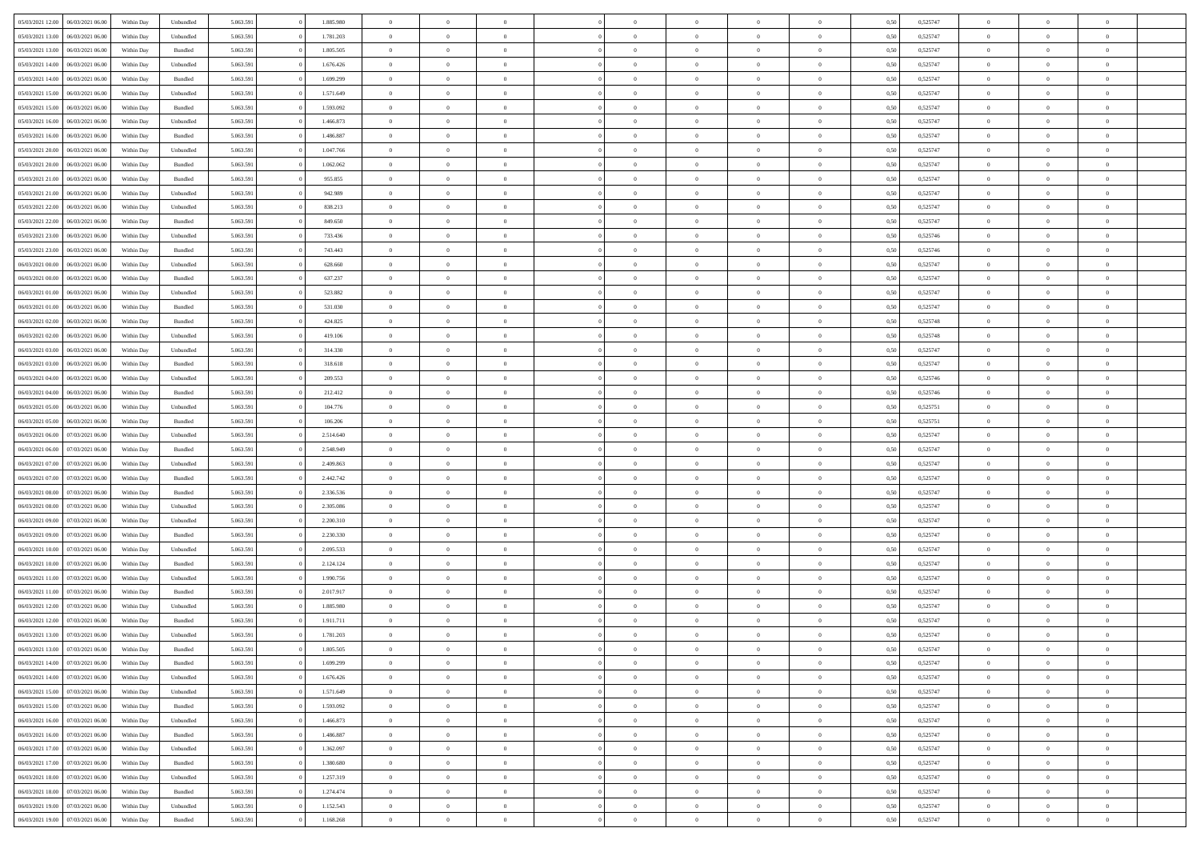| 05/03/2021 12:00 | 06/03/2021 06:00 | Within Day | Unbundled          | 5.063.591 | 1.885.980 | $\overline{0}$ | $\theta$       |                | $\Omega$       | $\Omega$       | $\theta$       | $\theta$       | 0.50 | 0,525747 | $\theta$       | $\overline{0}$ | $\overline{0}$ |  |
|------------------|------------------|------------|--------------------|-----------|-----------|----------------|----------------|----------------|----------------|----------------|----------------|----------------|------|----------|----------------|----------------|----------------|--|
|                  |                  |            |                    |           |           |                |                |                |                |                |                |                |      |          |                |                |                |  |
| 05/03/2021 13:00 | 06/03/2021 06:00 | Within Day | Unbundled          | 5.063.591 | 1.781.203 | $\overline{0}$ | $\theta$       | $\overline{0}$ | $\overline{0}$ | $\bf{0}$       | $\overline{0}$ | $\bf{0}$       | 0,50 | 0,525747 | $\theta$       | $\overline{0}$ | $\overline{0}$ |  |
| 05/03/2021 13:00 | 06/03/2021 06:00 | Within Day | Bundled            | 5.063.591 | 1.805.505 | $\overline{0}$ | $\bf{0}$       | $\overline{0}$ | $\bf{0}$       | $\bf{0}$       | $\bf{0}$       | $\mathbf{0}$   | 0,50 | 0,525747 | $\overline{0}$ | $\overline{0}$ | $\overline{0}$ |  |
| 05/03/2021 14:00 | 06/03/2021 06:00 | Within Dav | Unbundled          | 5.063.591 | 1.676.426 | $\overline{0}$ | $\overline{0}$ | $\overline{0}$ | $\overline{0}$ | $\bf{0}$       | $\overline{0}$ | $\overline{0}$ | 0.50 | 0,525747 | $\theta$       | $\theta$       | $\overline{0}$ |  |
| 05/03/2021 14:00 | 06/03/2021 06:00 | Within Day | Bundled            | 5.063.591 | 1.699.299 | $\overline{0}$ | $\theta$       | $\overline{0}$ | $\overline{0}$ | $\bf{0}$       | $\overline{0}$ | $\bf{0}$       | 0,50 | 0,525747 | $\theta$       | $\overline{0}$ | $\overline{0}$ |  |
| 05/03/2021 15:00 | 06/03/2021 06:00 | Within Day | Unbundled          | 5.063.591 | 1.571.649 | $\overline{0}$ | $\overline{0}$ | $\overline{0}$ | $\bf{0}$       | $\overline{0}$ | $\overline{0}$ | $\mathbf{0}$   | 0,50 | 0,525747 | $\overline{0}$ | $\overline{0}$ | $\bf{0}$       |  |
|                  |                  |            |                    |           |           |                | $\overline{0}$ |                |                | $\overline{0}$ |                |                |      |          | $\theta$       | $\overline{0}$ | $\overline{0}$ |  |
| 05/03/2021 15:00 | 06/03/2021 06:00 | Within Dav | Bundled            | 5.063.591 | 1.593.092 | $\overline{0}$ |                | $\overline{0}$ | $\overline{0}$ |                | $\overline{0}$ | $\overline{0}$ | 0.50 | 0,525747 |                |                |                |  |
| 05/03/2021 16:00 | 06/03/2021 06:00 | Within Day | Unbundled          | 5.063.591 | 1.466.873 | $\overline{0}$ | $\theta$       | $\overline{0}$ | $\overline{0}$ | $\bf{0}$       | $\overline{0}$ | $\bf{0}$       | 0,50 | 0,525747 | $\theta$       | $\theta$       | $\overline{0}$ |  |
| 05/03/2021 16:00 | 06/03/2021 06:00 | Within Day | Bundled            | 5.063.591 | 1.486.887 | $\overline{0}$ | $\overline{0}$ | $\overline{0}$ | $\bf{0}$       | $\bf{0}$       | $\bf{0}$       | $\bf{0}$       | 0,50 | 0,525747 | $\,0\,$        | $\overline{0}$ | $\overline{0}$ |  |
| 05/03/2021 20:00 | 06/03/2021 06:00 | Within Dav | Unbundled          | 5.063.591 | 1.047.766 | $\overline{0}$ | $\overline{0}$ | $\overline{0}$ | $\overline{0}$ | $\overline{0}$ | $\overline{0}$ | $\overline{0}$ | 0.50 | 0,525747 | $\theta$       | $\overline{0}$ | $\overline{0}$ |  |
| 05/03/2021 20:00 | 06/03/2021 06:00 | Within Day | Bundled            | 5.063.591 | 1.062.062 | $\overline{0}$ | $\theta$       | $\overline{0}$ | $\overline{0}$ | $\bf{0}$       | $\overline{0}$ | $\bf{0}$       | 0,50 | 0,525747 | $\,$ 0 $\,$    | $\overline{0}$ | $\overline{0}$ |  |
| 05/03/2021 21.00 | 06/03/2021 06:00 | Within Day | Bundled            | 5.063.591 | 955.855   | $\overline{0}$ | $\bf{0}$       | $\overline{0}$ | $\bf{0}$       | $\bf{0}$       | $\bf{0}$       | $\mathbf{0}$   | 0,50 | 0,525747 | $\bf{0}$       | $\overline{0}$ | $\bf{0}$       |  |
| 05/03/2021 21:00 | 06/03/2021 06:00 | Within Day | Unbundled          | 5.063.591 | 942.989   | $\overline{0}$ | $\overline{0}$ | $\overline{0}$ | $\overline{0}$ | $\bf{0}$       | $\overline{0}$ | $\overline{0}$ | 0.50 | 0,525747 | $\theta$       | $\theta$       | $\overline{0}$ |  |
| 05/03/2021 22.00 | 06/03/2021 06:00 |            |                    | 5.063.591 | 838.213   | $\overline{0}$ | $\theta$       | $\overline{0}$ | $\overline{0}$ | $\bf{0}$       | $\overline{0}$ |                |      | 0,525747 | $\theta$       | $\overline{0}$ | $\overline{0}$ |  |
|                  |                  | Within Day | Unbundled          |           |           |                |                |                |                |                |                | $\bf{0}$       | 0,50 |          |                |                |                |  |
| 05/03/2021 22.00 | 06/03/2021 06:00 | Within Day | Bundled            | 5.063.591 | 849.650   | $\overline{0}$ | $\overline{0}$ | $\overline{0}$ | $\bf{0}$       | $\overline{0}$ | $\overline{0}$ | $\mathbf{0}$   | 0,50 | 0,525747 | $\bf{0}$       | $\overline{0}$ | $\bf{0}$       |  |
| 05/03/2021 23:00 | 06/03/2021 06:00 | Within Dav | Unbundled          | 5.063.591 | 733.436   | $\overline{0}$ | $\overline{0}$ | $\overline{0}$ | $\overline{0}$ | $\overline{0}$ | $\overline{0}$ | $\overline{0}$ | 0.50 | 0,525746 | $\theta$       | $\overline{0}$ | $\overline{0}$ |  |
| 05/03/2021 23:00 | 06/03/2021 06:00 | Within Day | Bundled            | 5.063.591 | 743.443   | $\overline{0}$ | $\theta$       | $\overline{0}$ | $\overline{0}$ | $\bf{0}$       | $\overline{0}$ | $\bf{0}$       | 0,50 | 0,525746 | $\theta$       | $\theta$       | $\overline{0}$ |  |
| 06/03/2021 00:00 | 06/03/2021 06:00 | Within Day | Unbundled          | 5.063.591 | 628.660   | $\overline{0}$ | $\overline{0}$ | $\overline{0}$ | $\bf{0}$       | $\bf{0}$       | $\bf{0}$       | $\bf{0}$       | 0,50 | 0,525747 | $\,0\,$        | $\overline{0}$ | $\overline{0}$ |  |
| 06/03/2021 00:00 | 06/03/2021 06:00 | Within Day | Bundled            | 5.063.591 | 637.237   | $\overline{0}$ | $\overline{0}$ | $\overline{0}$ | $\overline{0}$ | $\overline{0}$ | $\overline{0}$ | $\overline{0}$ | 0.50 | 0,525747 | $\theta$       | $\overline{0}$ | $\overline{0}$ |  |
| 06/03/2021 01:00 | 06/03/2021 06:00 | Within Day | Unbundled          | 5.063.591 | 523.882   | $\overline{0}$ | $\theta$       | $\overline{0}$ | $\overline{0}$ | $\bf{0}$       | $\overline{0}$ | $\bf{0}$       | 0,50 | 0,525747 | $\,$ 0 $\,$    | $\overline{0}$ | $\overline{0}$ |  |
| 06/03/2021 01:00 | 06/03/2021 06:00 | Within Day | Bundled            | 5.063.591 | 531.030   | $\overline{0}$ | $\overline{0}$ | $\overline{0}$ | $\bf{0}$       | $\bf{0}$       | $\bf{0}$       | $\bf{0}$       | 0,50 | 0,525747 | $\,0\,$        | $\overline{0}$ | $\bf{0}$       |  |
| 06/03/2021 02:00 | 06/03/2021 06:00 | Within Day | Bundled            | 5.063.591 | 424.825   | $\overline{0}$ | $\overline{0}$ | $\overline{0}$ | $\overline{0}$ | $\overline{0}$ | $\overline{0}$ | $\overline{0}$ | 0.50 | 0,525748 | $\theta$       | $\overline{0}$ | $\overline{0}$ |  |
|                  |                  |            |                    |           |           |                |                |                |                |                |                |                |      |          |                |                |                |  |
| 06/03/2021 02:00 | 06/03/2021 06:00 | Within Day | Unbundled          | 5.063.591 | 419.106   | $\overline{0}$ | $\theta$       | $\overline{0}$ | $\overline{0}$ | $\bf{0}$       | $\overline{0}$ | $\bf{0}$       | 0,50 | 0,525748 | $\,$ 0 $\,$    | $\overline{0}$ | $\overline{0}$ |  |
| 06/03/2021 03:00 | 06/03/2021 06:00 | Within Day | Unbundled          | 5.063.591 | 314.330   | $\overline{0}$ | $\overline{0}$ | $\overline{0}$ | $\bf{0}$       | $\overline{0}$ | $\overline{0}$ | $\mathbf{0}$   | 0,50 | 0,525747 | $\bf{0}$       | $\overline{0}$ | $\bf{0}$       |  |
| 06/03/2021 03:00 | 06/03/2021 06:00 | Within Dav | Bundled            | 5.063.591 | 318.618   | $\overline{0}$ | $\overline{0}$ | $\overline{0}$ | $\overline{0}$ | $\overline{0}$ | $\overline{0}$ | $\overline{0}$ | 0.50 | 0,525747 | $\theta$       | $\overline{0}$ | $\overline{0}$ |  |
| 06/03/2021 04:00 | 06/03/2021 06:00 | Within Day | Unbundled          | 5.063.591 | 209.553   | $\overline{0}$ | $\theta$       | $\overline{0}$ | $\overline{0}$ | $\bf{0}$       | $\overline{0}$ | $\bf{0}$       | 0,50 | 0,525746 | $\theta$       | $\theta$       | $\overline{0}$ |  |
| 06/03/2021 04:00 | 06/03/2021 06:00 | Within Day | Bundled            | 5.063.591 | 212.412   | $\overline{0}$ | $\overline{0}$ | $\overline{0}$ | $\bf{0}$       | $\bf{0}$       | $\bf{0}$       | $\bf{0}$       | 0,50 | 0,525746 | $\,0\,$        | $\overline{0}$ | $\overline{0}$ |  |
| 06/03/2021 05:00 | 06/03/2021 06:00 | Within Day | Unbundled          | 5.063.591 | 104.776   | $\overline{0}$ | $\overline{0}$ | $\overline{0}$ | $\overline{0}$ | $\overline{0}$ | $\overline{0}$ | $\overline{0}$ | 0.50 | 0,525751 | $\theta$       | $\overline{0}$ | $\overline{0}$ |  |
| 06/03/2021 05:00 | 06/03/2021 06:00 | Within Day | Bundled            | 5.063.591 | 106.206   | $\overline{0}$ | $\theta$       | $\overline{0}$ | $\overline{0}$ | $\bf{0}$       | $\overline{0}$ | $\bf{0}$       | 0,50 | 0,525751 | $\,$ 0 $\,$    | $\overline{0}$ | $\overline{0}$ |  |
|                  |                  |            |                    |           |           |                |                |                |                |                |                |                |      |          |                |                |                |  |
| 06/03/2021 06:00 | 07/03/2021 06:00 | Within Day | Unbundled          | 5.063.591 | 2.514.640 | $\overline{0}$ | $\overline{0}$ | $\overline{0}$ | $\bf{0}$       | $\bf{0}$       | $\bf{0}$       | $\bf{0}$       | 0,50 | 0,525747 | $\bf{0}$       | $\overline{0}$ | $\bf{0}$       |  |
| 06/03/2021 06:00 | 07/03/2021 06:00 | Within Day | Bundled            | 5.063.591 | 2.548.949 | $\overline{0}$ | $\Omega$       | $\Omega$       | $\Omega$       | $\Omega$       | $\overline{0}$ | $\overline{0}$ | 0,50 | 0,525747 | $\,0\,$        | $\theta$       | $\theta$       |  |
| 06/03/2021 07:00 | 07/03/2021 06:00 | Within Day | Unbundled          | 5.063.591 | 2.409.863 | $\overline{0}$ | $\theta$       | $\overline{0}$ | $\overline{0}$ | $\bf{0}$       | $\overline{0}$ | $\bf{0}$       | 0,50 | 0,525747 | $\theta$       | $\overline{0}$ | $\overline{0}$ |  |
| 06/03/2021 07:00 | 07/03/2021 06:00 | Within Day | Bundled            | 5.063.591 | 2.442.742 | $\overline{0}$ | $\overline{0}$ | $\overline{0}$ | $\bf{0}$       | $\overline{0}$ | $\overline{0}$ | $\mathbf{0}$   | 0,50 | 0,525747 | $\bf{0}$       | $\overline{0}$ | $\bf{0}$       |  |
| 06/03/2021 08:00 | 07/03/2021 06:00 | Within Day | Bundled            | 5.063.591 | 2.336.536 | $\overline{0}$ | $\Omega$       | $\Omega$       | $\Omega$       | $\overline{0}$ | $\overline{0}$ | $\overline{0}$ | 0.50 | 0,525747 | $\,0\,$        | $\theta$       | $\theta$       |  |
| 06/03/2021 08:00 | 07/03/2021 06:00 | Within Day | Unbundled          | 5.063.591 | 2.305.086 | $\overline{0}$ | $\theta$       | $\overline{0}$ | $\overline{0}$ | $\bf{0}$       | $\overline{0}$ | $\bf{0}$       | 0,50 | 0,525747 | $\,$ 0 $\,$    | $\overline{0}$ | $\overline{0}$ |  |
| 06/03/2021 09:00 | 07/03/2021 06:00 | Within Day | Unbundled          | 5.063.591 | 2.200.310 | $\overline{0}$ | $\overline{0}$ | $\overline{0}$ | $\bf{0}$       | $\bf{0}$       | $\bf{0}$       | $\bf{0}$       | 0,50 | 0,525747 | $\bf{0}$       | $\overline{0}$ | $\bf{0}$       |  |
| 06/03/2021 09:00 | 07/03/2021 06:00 | Within Day | Bundled            | 5.063.591 | 2.230.330 | $\overline{0}$ | $\Omega$       | $\Omega$       | $\Omega$       | $\overline{0}$ | $\overline{0}$ | $\overline{0}$ | 0.50 | 0,525747 | $\,$ 0 $\,$    | $\theta$       | $\theta$       |  |
| 06/03/2021 10:00 | 07/03/2021 06:00 |            |                    | 5.063.591 | 2.095.533 | $\overline{0}$ | $\theta$       | $\overline{0}$ | $\overline{0}$ | $\bf{0}$       | $\overline{0}$ |                |      | 0,525747 | $\,$ 0 $\,$    | $\overline{0}$ | $\overline{0}$ |  |
|                  |                  | Within Day | Unbundled          |           |           |                |                |                |                |                |                | $\bf{0}$       | 0,50 |          |                |                |                |  |
| 06/03/2021 10:00 | 07/03/2021 06:00 | Within Day | Bundled            | 5.063.591 | 2.124.124 | $\overline{0}$ | $\overline{0}$ | $\overline{0}$ | $\bf{0}$       | $\bf{0}$       | $\bf{0}$       | $\mathbf{0}$   | 0,50 | 0,525747 | $\bf{0}$       | $\overline{0}$ | $\bf{0}$       |  |
| 06/03/2021 11:00 | 07/03/2021 06:00 | Within Day | Unbundled          | 5.063.591 | 1.990.756 | $\overline{0}$ | $\Omega$       | $\overline{0}$ | $\Omega$       | $\overline{0}$ | $\overline{0}$ | $\overline{0}$ | 0,50 | 0,525747 | $\,0\,$        | $\theta$       | $\theta$       |  |
| 06/03/2021 11:00 | 07/03/2021 06:00 | Within Day | Bundled            | 5.063.591 | 2.017.917 | $\overline{0}$ | $\overline{0}$ | $\overline{0}$ | $\overline{0}$ | $\,$ 0         | $\overline{0}$ | $\bf{0}$       | 0,50 | 0,525747 | $\,$ 0 $\,$    | $\overline{0}$ | $\overline{0}$ |  |
| 06/03/2021 12:00 | 07/03/2021 06:00 | Within Day | Unbundled          | 5.063.591 | 1.885.980 | $\overline{0}$ | $\overline{0}$ | $\overline{0}$ | $\bf{0}$       | $\bf{0}$       | $\overline{0}$ | $\mathbf{0}$   | 0,50 | 0,525747 | $\overline{0}$ | $\overline{0}$ | $\bf{0}$       |  |
| 06/03/2021 12:00 | 07/03/2021 06:00 | Within Day | Bundled            | 5.063.591 | 1.911.711 | $\overline{0}$ | $\Omega$       | $\Omega$       | $\Omega$       | $\Omega$       | $\Omega$       | $\overline{0}$ | 0.50 | 0,525747 | $\theta$       | $\theta$       | $\theta$       |  |
| 06/03/2021 13:00 | 07/03/2021 06:00 | Within Day | Unbundled          | 5.063.591 | 1.781.203 | $\overline{0}$ | $\overline{0}$ | $\bf{0}$       | $\bf{0}$       | $\,$ 0         | $\bf{0}$       | $\bf{0}$       | 0,50 | 0,525747 | $\,0\,$        | $\,$ 0 $\,$    | $\overline{0}$ |  |
| 06/03/2021 13:00 | 07/03/2021 06:00 | Within Day | $\mathbf B$ undled | 5.063.591 | 1.805.505 | $\bf{0}$       | $\bf{0}$       |                |                |                |                |                | 0,50 | 0,525747 | $\bf{0}$       | $\overline{0}$ |                |  |
| 06/03/2021 14:00 | 07/03/2021 06:00 | Within Day | Bundled            | 5.063.591 | 1.699.299 | $\overline{0}$ | $\overline{0}$ | $\overline{0}$ | $\Omega$       | $\overline{0}$ | $\overline{0}$ | $\overline{0}$ | 0,50 | 0,525747 | $\theta$       | $\theta$       | $\theta$       |  |
|                  |                  |            |                    |           |           |                |                |                |                |                |                |                |      |          |                |                |                |  |
| 06/03/2021 14:00 | 07/03/2021 06:00 | Within Day | Unbundled          | 5.063.591 | 1.676.426 | $\overline{0}$ | $\,$ 0         | $\overline{0}$ | $\bf{0}$       | $\,$ 0 $\,$    | $\overline{0}$ | $\mathbf{0}$   | 0,50 | 0,525747 | $\,$ 0 $\,$    | $\,$ 0 $\,$    | $\,$ 0         |  |
| 06/03/2021 15:00 | 07/03/2021 06:00 | Within Day | Unbundled          | 5.063.591 | 1.571.649 | $\overline{0}$ | $\overline{0}$ | $\overline{0}$ | $\overline{0}$ | $\overline{0}$ | $\overline{0}$ | $\mathbf{0}$   | 0,50 | 0,525747 | $\overline{0}$ | $\bf{0}$       | $\bf{0}$       |  |
| 06/03/2021 15:00 | 07/03/2021 06:00 | Within Day | $\mathbf B$ undled | 5.063.591 | 1.593.092 | $\overline{0}$ | $\overline{0}$ | $\overline{0}$ | $\Omega$       | $\overline{0}$ | $\overline{0}$ | $\overline{0}$ | 0,50 | 0,525747 | $\overline{0}$ | $\theta$       | $\overline{0}$ |  |
| 06/03/2021 16:00 | 07/03/2021 06:00 | Within Day | Unbundled          | 5.063.591 | 1.466.873 | $\overline{0}$ | $\,$ 0         | $\overline{0}$ | $\overline{0}$ | $\,$ 0 $\,$    | $\overline{0}$ | $\mathbf{0}$   | 0,50 | 0,525747 | $\,$ 0 $\,$    | $\overline{0}$ | $\overline{0}$ |  |
| 06/03/2021 16:00 | 07/03/2021 06:00 | Within Day | Bundled            | 5.063.591 | 1.486.887 | $\overline{0}$ | $\overline{0}$ | $\overline{0}$ | $\overline{0}$ | $\overline{0}$ | $\overline{0}$ | $\mathbf{0}$   | 0,50 | 0,525747 | $\overline{0}$ | $\overline{0}$ | $\bf{0}$       |  |
| 06/03/2021 17:00 | 07/03/2021 06:00 | Within Day | Unbundled          | 5.063.591 | 1.362.097 | $\overline{0}$ | $\overline{0}$ | $\overline{0}$ | $\Omega$       | $\overline{0}$ | $\overline{0}$ | $\bf{0}$       | 0.50 | 0,525747 | $\overline{0}$ | $\theta$       | $\overline{0}$ |  |
| 06/03/2021 17:00 | 07/03/2021 06:00 | Within Day | Bundled            | 5.063.591 | 1.380.680 | $\overline{0}$ | $\,$ 0         | $\overline{0}$ | $\bf{0}$       | $\bf{0}$       | $\bf{0}$       | $\bf{0}$       | 0,50 | 0,525747 | $\,$ 0 $\,$    | $\overline{0}$ | $\overline{0}$ |  |
| 06/03/2021 18:00 | 07/03/2021 06:00 | Within Day | Unbundled          | 5.063.591 | 1.257.319 | $\overline{0}$ | $\bf{0}$       | $\overline{0}$ | $\overline{0}$ | $\overline{0}$ | $\overline{0}$ | $\mathbf{0}$   | 0,50 | 0,525747 | $\overline{0}$ | $\overline{0}$ | $\bf{0}$       |  |
|                  |                  |            |                    |           |           |                |                |                |                |                |                |                |      |          |                |                |                |  |
| 06/03/2021 18:00 | 07/03/2021 06:00 | Within Day | Bundled            | 5.063.591 | 1.274.474 | $\overline{0}$ | $\overline{0}$ | $\overline{0}$ | $\Omega$       | $\overline{0}$ | $\overline{0}$ | $\bf{0}$       | 0.50 | 0,525747 | $\overline{0}$ | $\theta$       | $\overline{0}$ |  |
| 06/03/2021 19:00 | 07/03/2021 06:00 | Within Day | Unbundled          | 5.063.591 | 1.152.543 | $\overline{0}$ | $\bf{0}$       | $\overline{0}$ | $\overline{0}$ | $\bf{0}$       | $\bf{0}$       | $\mathbf{0}$   | 0,50 | 0,525747 | $\,$ 0 $\,$    | $\,$ 0 $\,$    | $\bf{0}$       |  |
| 06/03/2021 19:00 | 07/03/2021 06:00 | Within Day | Bundled            | 5.063.591 | 1.168.268 | $\overline{0}$ | $\overline{0}$ | $\overline{0}$ | $\overline{0}$ | $\bf{0}$       | $\bf{0}$       | $\mathbf{0}$   | 0,50 | 0,525747 | $\overline{0}$ | $\bf{0}$       | $\bf{0}$       |  |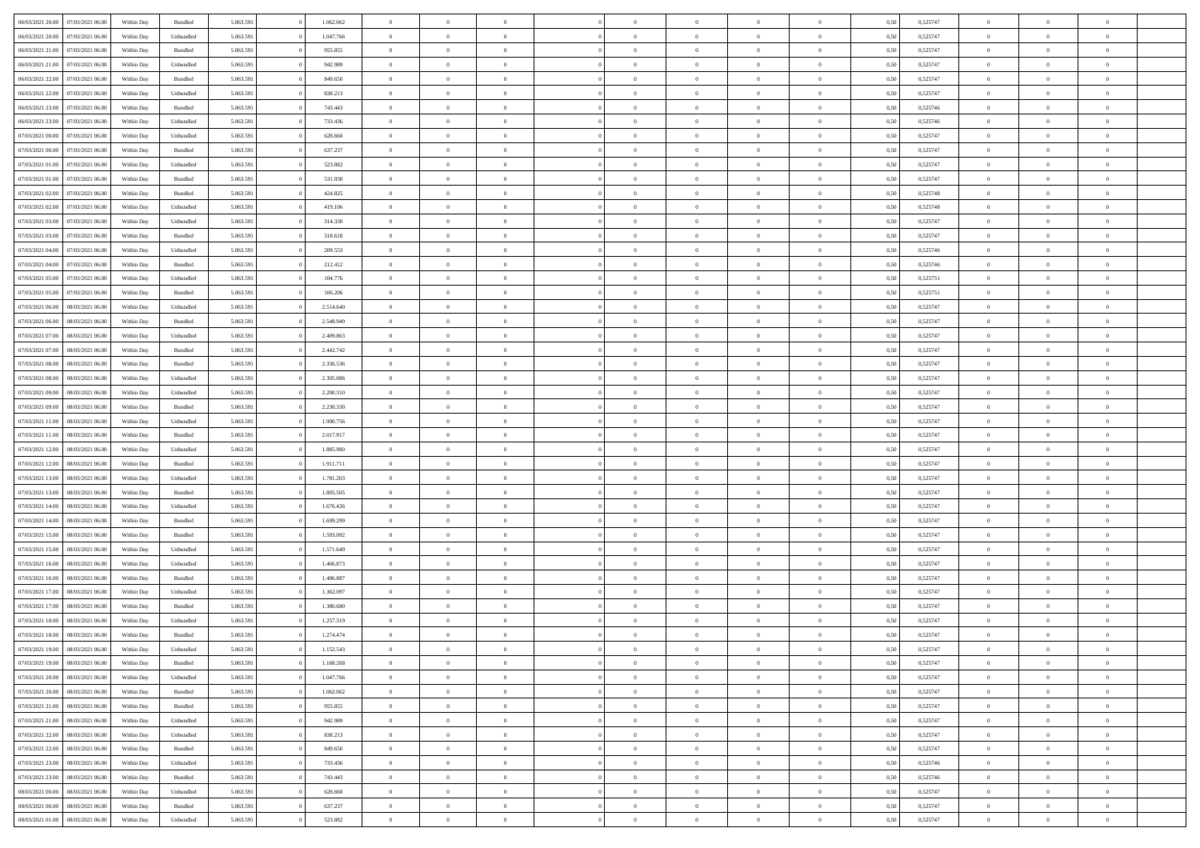| 06/03/2021 20:00                  | 07/03/2021 06:00 | Within Day | Bundled   | 5.063.591 | 1.062.062 | $\overline{0}$ | $\theta$       |                | $\Omega$       | $\Omega$       | $\overline{0}$ | $\theta$       | 0.50 | 0,525747 | $\theta$       | $\overline{0}$ | $\overline{0}$ |  |
|-----------------------------------|------------------|------------|-----------|-----------|-----------|----------------|----------------|----------------|----------------|----------------|----------------|----------------|------|----------|----------------|----------------|----------------|--|
|                                   |                  |            |           |           |           |                |                |                |                |                |                |                |      |          |                |                |                |  |
| 06/03/2021 20:00                  | 07/03/2021 06:00 | Within Day | Unbundled | 5.063.591 | 1.047.766 | $\overline{0}$ | $\overline{0}$ | $\overline{0}$ | $\overline{0}$ | $\bf{0}$       | $\overline{0}$ | $\overline{0}$ | 0,50 | 0,525747 | $\theta$       | $\overline{0}$ | $\overline{0}$ |  |
| 06/03/2021 21.00                  | 07/03/2021 06:00 | Within Day | Bundled   | 5.063.591 | 955.855   | $\overline{0}$ | $\bf{0}$       | $\overline{0}$ | $\bf{0}$       | $\bf{0}$       | $\bf{0}$       | $\mathbf{0}$   | 0,50 | 0,525747 | $\overline{0}$ | $\overline{0}$ | $\overline{0}$ |  |
| 06/03/2021 21:00                  | 07/03/2021 06:00 | Within Dav | Unbundled | 5.063.591 | 942.989   | $\overline{0}$ | $\overline{0}$ | $\overline{0}$ | $\overline{0}$ | $\bf{0}$       | $\overline{0}$ | $\overline{0}$ | 0.50 | 0,525747 | $\theta$       | $\theta$       | $\overline{0}$ |  |
|                                   |                  |            |           |           |           |                |                |                |                |                |                |                |      |          |                |                |                |  |
| 06/03/2021 22.00                  | 07/03/2021 06:00 | Within Day | Bundled   | 5.063.591 | 849.650   | $\overline{0}$ | $\theta$       | $\overline{0}$ | $\overline{0}$ | $\bf{0}$       | $\overline{0}$ | $\bf{0}$       | 0,50 | 0,525747 | $\theta$       | $\overline{0}$ | $\overline{0}$ |  |
| 06/03/2021 22.00                  | 07/03/2021 06:00 | Within Day | Unbundled | 5.063.591 | 838.213   | $\overline{0}$ | $\overline{0}$ | $\overline{0}$ | $\bf{0}$       | $\overline{0}$ | $\overline{0}$ | $\mathbf{0}$   | 0,50 | 0,525747 | $\bf{0}$       | $\overline{0}$ | $\bf{0}$       |  |
| 06/03/2021 23:00                  | 07/03/2021 06:00 | Within Dav | Bundled   | 5.063.591 | 743.443   | $\overline{0}$ | $\overline{0}$ | $\overline{0}$ | $\overline{0}$ | $\overline{0}$ | $\overline{0}$ | $\overline{0}$ | 0.50 | 0,525746 | $\theta$       | $\overline{0}$ | $\overline{0}$ |  |
| 06/03/2021 23:00                  | 07/03/2021 06:00 | Within Day | Unbundled | 5.063.591 | 733.436   | $\overline{0}$ | $\theta$       | $\overline{0}$ | $\overline{0}$ | $\bf{0}$       | $\overline{0}$ | $\bf{0}$       | 0,50 | 0,525746 | $\theta$       | $\theta$       | $\overline{0}$ |  |
| 07/03/2021 00:00                  | 07/03/2021 06:00 | Within Day | Unbundled | 5.063.591 | 628.660   | $\overline{0}$ | $\overline{0}$ | $\overline{0}$ | $\bf{0}$       | $\bf{0}$       | $\bf{0}$       | $\bf{0}$       | 0,50 | 0,525747 | $\,0\,$        | $\overline{0}$ | $\overline{0}$ |  |
|                                   |                  |            |           |           |           |                |                |                |                |                |                |                |      |          |                |                |                |  |
| 07/03/2021 00:00                  | 07/03/2021 06:00 | Within Dav | Bundled   | 5.063.591 | 637.237   | $\overline{0}$ | $\overline{0}$ | $\overline{0}$ | $\overline{0}$ | $\overline{0}$ | $\overline{0}$ | $\overline{0}$ | 0.50 | 0,525747 | $\theta$       | $\overline{0}$ | $\overline{0}$ |  |
| 07/03/2021 01:00                  | 07/03/2021 06:00 | Within Day | Unbundled | 5.063.591 | 523.882   | $\overline{0}$ | $\theta$       | $\overline{0}$ | $\overline{0}$ | $\bf{0}$       | $\overline{0}$ | $\bf{0}$       | 0,50 | 0,525747 | $\,$ 0 $\,$    | $\overline{0}$ | $\overline{0}$ |  |
| 07/03/2021 01:00                  | 07/03/2021 06:00 | Within Day | Bundled   | 5.063.591 | 531.030   | $\overline{0}$ | $\bf{0}$       | $\overline{0}$ | $\bf{0}$       | $\bf{0}$       | $\bf{0}$       | $\bf{0}$       | 0,50 | 0,525747 | $\bf{0}$       | $\overline{0}$ | $\bf{0}$       |  |
| 07/03/2021 02:00                  | 07/03/2021 06:00 | Within Dav | Bundled   | 5.063.591 | 424.825   | $\overline{0}$ | $\overline{0}$ | $\overline{0}$ | $\overline{0}$ | $\bf{0}$       | $\overline{0}$ | $\overline{0}$ | 0.50 | 0,525748 | $\theta$       | $\theta$       | $\overline{0}$ |  |
| 07/03/2021 02.00                  | 07/03/2021 06:00 | Within Day | Unbundled | 5.063.591 | 419.106   | $\overline{0}$ | $\theta$       | $\overline{0}$ | $\overline{0}$ | $\bf{0}$       | $\overline{0}$ | $\overline{0}$ | 0,50 | 0,525748 | $\theta$       | $\overline{0}$ | $\overline{0}$ |  |
|                                   |                  |            |           |           |           |                |                |                |                |                |                |                |      |          |                |                |                |  |
| 07/03/2021 03:00                  | 07/03/2021 06:00 | Within Day | Unbundled | 5.063.591 | 314.330   | $\overline{0}$ | $\overline{0}$ | $\overline{0}$ | $\bf{0}$       | $\overline{0}$ | $\overline{0}$ | $\mathbf{0}$   | 0,50 | 0,525747 | $\bf{0}$       | $\overline{0}$ | $\bf{0}$       |  |
| 07/03/2021 03:00                  | 07/03/2021 06:00 | Within Dav | Bundled   | 5.063.591 | 318.618   | $\overline{0}$ | $\overline{0}$ | $\overline{0}$ | $\overline{0}$ | $\overline{0}$ | $\overline{0}$ | $\overline{0}$ | 0.50 | 0,525747 | $\theta$       | $\overline{0}$ | $\overline{0}$ |  |
| 07/03/2021 04:00                  | 07/03/2021 06:00 | Within Day | Unbundled | 5.063.591 | 209.553   | $\overline{0}$ | $\theta$       | $\overline{0}$ | $\overline{0}$ | $\bf{0}$       | $\overline{0}$ | $\bf{0}$       | 0,50 | 0,525746 | $\theta$       | $\theta$       | $\overline{0}$ |  |
| 07/03/2021 04:00                  | 07/03/2021 06:00 | Within Day | Bundled   | 5.063.591 | 212.412   | $\overline{0}$ | $\overline{0}$ | $\overline{0}$ | $\bf{0}$       | $\bf{0}$       | $\bf{0}$       | $\bf{0}$       | 0,50 | 0,525746 | $\bf{0}$       | $\overline{0}$ | $\overline{0}$ |  |
| 07/03/2021 05:00                  | 07/03/2021 06:00 | Within Dav | Unbundled | 5.063.591 | 104.776   | $\overline{0}$ | $\overline{0}$ | $\overline{0}$ | $\overline{0}$ | $\overline{0}$ | $\overline{0}$ | $\overline{0}$ | 0.50 | 0,525751 | $\theta$       | $\overline{0}$ | $\overline{0}$ |  |
|                                   |                  |            |           |           |           |                |                |                |                |                |                |                |      |          |                |                |                |  |
| 07/03/2021 05:00                  | 07/03/2021 06:00 | Within Day | Bundled   | 5.063.591 | 106.206   | $\overline{0}$ | $\theta$       | $\overline{0}$ | $\overline{0}$ | $\bf{0}$       | $\overline{0}$ | $\bf{0}$       | 0,50 | 0,525751 | $\,$ 0 $\,$    | $\overline{0}$ | $\overline{0}$ |  |
| 07/03/2021 06:00                  | 08/03/2021 06:00 | Within Day | Unbundled | 5.063.591 | 2.514.640 | $\overline{0}$ | $\overline{0}$ | $\overline{0}$ | $\bf{0}$       | $\bf{0}$       | $\bf{0}$       | $\bf{0}$       | 0,50 | 0,525747 | $\,0\,$        | $\overline{0}$ | $\bf{0}$       |  |
| 07/03/2021 06:00                  | 08/03/2021 06:00 | Within Day | Bundled   | 5.063.591 | 2.548.949 | $\overline{0}$ | $\overline{0}$ | $\overline{0}$ | $\overline{0}$ | $\bf{0}$       | $\overline{0}$ | $\overline{0}$ | 0.50 | 0,525747 | $\theta$       | $\overline{0}$ | $\overline{0}$ |  |
| 07/03/2021 07:00                  | 08/03/2021 06:00 | Within Day | Unbundled | 5.063.591 | 2.409.863 | $\overline{0}$ | $\theta$       | $\overline{0}$ | $\overline{0}$ | $\bf{0}$       | $\overline{0}$ | $\bf{0}$       | 0,50 | 0,525747 | $\,$ 0 $\,$    | $\overline{0}$ | $\overline{0}$ |  |
| 07/03/2021 07:00                  | 08/03/2021 06:00 | Within Day | Bundled   | 5.063.591 | 2.442.742 | $\overline{0}$ | $\overline{0}$ | $\overline{0}$ | $\bf{0}$       | $\overline{0}$ | $\overline{0}$ | $\mathbf{0}$   | 0,50 | 0,525747 | $\bf{0}$       | $\overline{0}$ | $\bf{0}$       |  |
|                                   |                  |            |           |           |           |                |                |                |                |                |                |                |      |          |                |                |                |  |
| 07/03/2021 08:00                  | 08/03/2021 06:00 | Within Dav | Bundled   | 5.063.591 | 2.336.536 | $\overline{0}$ | $\overline{0}$ | $\overline{0}$ | $\overline{0}$ | $\overline{0}$ | $\overline{0}$ | $\overline{0}$ | 0.50 | 0,525747 | $\theta$       | $\overline{0}$ | $\overline{0}$ |  |
| 07/03/2021 08:00                  | 08/03/2021 06:00 | Within Day | Unbundled | 5.063.591 | 2.305.086 | $\overline{0}$ | $\theta$       | $\overline{0}$ | $\overline{0}$ | $\bf{0}$       | $\overline{0}$ | $\bf{0}$       | 0,50 | 0,525747 | $\theta$       | $\theta$       | $\overline{0}$ |  |
| 07/03/2021 09:00                  | 08/03/2021 06:00 | Within Day | Unbundled | 5.063.591 | 2.200.310 | $\overline{0}$ | $\overline{0}$ | $\overline{0}$ | $\bf{0}$       | $\bf{0}$       | $\bf{0}$       | $\bf{0}$       | 0,50 | 0,525747 | $\,0\,$        | $\overline{0}$ | $\overline{0}$ |  |
| 07/03/2021 09:00                  | 08/03/2021 06:00 | Within Day | Bundled   | 5.063.591 | 2.230.330 | $\overline{0}$ | $\overline{0}$ | $\overline{0}$ | $\overline{0}$ | $\overline{0}$ | $\overline{0}$ | $\overline{0}$ | 0.50 | 0,525747 | $\theta$       | $\overline{0}$ | $\overline{0}$ |  |
| 07/03/2021 11:00                  | 08/03/2021 06:00 | Within Day | Unbundled | 5.063.591 | 1.990.756 | $\overline{0}$ | $\theta$       | $\overline{0}$ | $\overline{0}$ | $\bf{0}$       | $\overline{0}$ | $\bf{0}$       | 0,50 | 0,525747 | $\,$ 0 $\,$    | $\overline{0}$ | $\overline{0}$ |  |
| 07/03/2021 11:00                  | 08/03/2021 06:00 | Within Day | Bundled   | 5.063.591 | 2.017.917 | $\overline{0}$ | $\overline{0}$ | $\overline{0}$ | $\bf{0}$       | $\bf{0}$       | $\bf{0}$       | $\bf{0}$       | 0,50 | 0,525747 | $\bf{0}$       | $\overline{0}$ | $\bf{0}$       |  |
|                                   |                  |            |           |           | 1.885.980 | $\overline{0}$ | $\Omega$       | $\Omega$       | $\Omega$       | $\Omega$       | $\Omega$       | $\overline{0}$ |      |          | $\,0\,$        | $\theta$       | $\theta$       |  |
| 07/03/2021 12:00                  | 08/03/2021 06:00 | Within Day | Unbundled | 5.063.591 |           |                |                |                |                |                |                |                | 0,50 | 0,525747 |                |                |                |  |
| 07/03/2021 12:00                  | 08/03/2021 06:00 | Within Day | Bundled   | 5.063.591 | 1.911.711 | $\overline{0}$ | $\theta$       | $\overline{0}$ | $\overline{0}$ | $\bf{0}$       | $\overline{0}$ | $\bf{0}$       | 0,50 | 0,525747 | $\theta$       | $\overline{0}$ | $\overline{0}$ |  |
| 07/03/2021 13:00                  | 08/03/2021 06:00 | Within Day | Unbundled | 5.063.591 | 1.781.203 | $\overline{0}$ | $\overline{0}$ | $\overline{0}$ | $\bf{0}$       | $\overline{0}$ | $\overline{0}$ | $\mathbf{0}$   | 0,50 | 0,525747 | $\bf{0}$       | $\overline{0}$ | $\bf{0}$       |  |
| 07/03/2021 13:00                  | 08/03/2021 06:00 | Within Day | Bundled   | 5.063.591 | 1.805.505 | $\overline{0}$ | $\Omega$       | $\Omega$       | $\Omega$       | $\bf{0}$       | $\overline{0}$ | $\overline{0}$ | 0.50 | 0,525747 | $\,0\,$        | $\theta$       | $\theta$       |  |
| 07/03/2021 14:00                  | 08/03/2021 06:00 | Within Day | Unbundled | 5.063.591 | 1.676.426 | $\overline{0}$ | $\theta$       | $\overline{0}$ | $\overline{0}$ | $\bf{0}$       | $\overline{0}$ | $\bf{0}$       | 0,50 | 0,525747 | $\,$ 0 $\,$    | $\overline{0}$ | $\overline{0}$ |  |
| 07/03/2021 14:00                  | 08/03/2021 06:00 | Within Day | Bundled   | 5.063.591 | 1.699.299 | $\overline{0}$ | $\overline{0}$ | $\overline{0}$ | $\bf{0}$       | $\bf{0}$       | $\bf{0}$       | $\bf{0}$       | 0,50 | 0,525747 | $\bf{0}$       | $\overline{0}$ | $\bf{0}$       |  |
|                                   |                  |            |           |           |           |                |                |                |                |                |                |                |      |          |                |                |                |  |
| 07/03/2021 15:00                  | 08/03/2021 06:00 | Within Day | Bundled   | 5.063.591 | 1.593.092 | $\overline{0}$ | $\Omega$       | $\Omega$       | $\Omega$       | $\theta$       | $\theta$       | $\overline{0}$ | 0.50 | 0,525747 | $\,$ 0 $\,$    | $\theta$       | $\theta$       |  |
| 07/03/2021 15:00                  | 08/03/2021 06:00 | Within Day | Unbundled | 5.063.591 | 1.571.649 | $\overline{0}$ | $\theta$       | $\overline{0}$ | $\overline{0}$ | $\bf{0}$       | $\overline{0}$ | $\bf{0}$       | 0,50 | 0,525747 | $\,$ 0 $\,$    | $\overline{0}$ | $\overline{0}$ |  |
| 07/03/2021 16:00                  | 08/03/2021 06:00 | Within Day | Unbundled | 5.063.591 | 1.466.873 | $\overline{0}$ | $\overline{0}$ | $\overline{0}$ | $\bf{0}$       | $\bf{0}$       | $\bf{0}$       | $\bf{0}$       | 0,50 | 0,525747 | $\overline{0}$ | $\overline{0}$ | $\bf{0}$       |  |
| 07/03/2021 16:00                  | 08/03/2021 06:00 | Within Day | Bundled   | 5.063.591 | 1.486.887 | $\overline{0}$ | $\Omega$       | $\Omega$       | $\Omega$       | $\overline{0}$ | $\overline{0}$ | $\overline{0}$ | 0,50 | 0,525747 | $\,0\,$        | $\theta$       | $\theta$       |  |
| 07/03/2021 17:00                  | 08/03/2021 06:00 | Within Day | Unbundled | 5.063.591 | 1.362.097 | $\overline{0}$ | $\overline{0}$ | $\overline{0}$ | $\overline{0}$ | $\bf{0}$       | $\overline{0}$ | $\bf{0}$       | 0,50 | 0,525747 | $\,$ 0 $\,$    | $\overline{0}$ | $\overline{0}$ |  |
| 07/03/2021 17:00                  | 08/03/2021 06:00 | Within Day | Bundled   | 5.063.591 | 1.380.680 | $\overline{0}$ | $\overline{0}$ | $\overline{0}$ | $\bf{0}$       | $\bf{0}$       | $\bf{0}$       | $\mathbf{0}$   | 0,50 | 0,525747 | $\overline{0}$ | $\overline{0}$ | $\bf{0}$       |  |
|                                   |                  |            |           |           |           |                |                |                |                |                |                |                |      |          |                |                |                |  |
| 07/03/2021 18:00                  | 08/03/2021 06:00 | Within Day | Unbundled | 5.063.591 | 1.257.319 | $\overline{0}$ | $\Omega$       | $\Omega$       | $\Omega$       | $\Omega$       | $\Omega$       | $\overline{0}$ | 0.50 | 0,525747 | $\theta$       | $\theta$       | $\theta$       |  |
| 07/03/2021 18:00                  | 08/03/2021 06:00 | Within Day | Bundled   | 5.063.591 | 1.274.474 | $\overline{0}$ | $\overline{0}$ | $\overline{0}$ | $\bf{0}$       | $\,$ 0         | $\bf{0}$       | $\bf{0}$       | 0,50 | 0,525747 | $\,0\,$        | $\,$ 0 $\,$    | $\overline{0}$ |  |
| 07/03/2021 19:00 08/03/2021 06:00 |                  | Within Day | Unbundled | 5.063.591 | 1.152.543 | $\bf{0}$       | $\bf{0}$       |                |                |                |                |                | 0,50 | 0,525747 | $\bf{0}$       | $\overline{0}$ |                |  |
| 07/03/2021 19:00                  | 08/03/2021 06:00 | Within Day | Bundled   | 5.063.591 | 1.168.268 | $\overline{0}$ | $\overline{0}$ | $\overline{0}$ | $\Omega$       | $\overline{0}$ | $\overline{0}$ | $\overline{0}$ | 0,50 | 0,525747 | $\theta$       | $\theta$       | $\theta$       |  |
| 07/03/2021 20:00                  | 08/03/2021 06:00 | Within Day | Unbundled | 5.063.591 | 1.047.766 | $\overline{0}$ | $\bf{0}$       | $\overline{0}$ | $\bf{0}$       | $\,$ 0 $\,$    | $\overline{0}$ | $\,$ 0 $\,$    | 0,50 | 0,525747 | $\,$ 0 $\,$    | $\,$ 0 $\,$    | $\,$ 0         |  |
| 07/03/2021 20:00                  | 08/03/2021 06:00 | Within Day | Bundled   | 5.063.591 | 1.062.062 | $\overline{0}$ | $\overline{0}$ | $\overline{0}$ | $\overline{0}$ | $\overline{0}$ | $\overline{0}$ | $\mathbf{0}$   | 0,50 | 0,525747 | $\overline{0}$ | $\bf{0}$       | $\overline{0}$ |  |
|                                   |                  |            |           |           |           |                |                |                |                |                |                |                |      |          |                |                |                |  |
| 07/03/2021 21:00                  | 08/03/2021 06:00 | Within Day | Bundled   | 5.063.591 | 955.855   | $\overline{0}$ | $\overline{0}$ | $\overline{0}$ | $\Omega$       | $\overline{0}$ | $\overline{0}$ | $\overline{0}$ | 0,50 | 0,525747 | $\overline{0}$ | $\theta$       | $\overline{0}$ |  |
| 07/03/2021 21:00                  | 08/03/2021 06:00 | Within Day | Unbundled | 5.063.591 | 942.989   | $\overline{0}$ | $\,$ 0         | $\overline{0}$ | $\overline{0}$ | $\,$ 0 $\,$    | $\overline{0}$ | $\mathbf{0}$   | 0,50 | 0,525747 | $\,$ 0 $\,$    | $\overline{0}$ | $\overline{0}$ |  |
| 07/03/2021 22.00                  | 08/03/2021 06:00 | Within Day | Unbundled | 5.063.591 | 838.213   | $\overline{0}$ | $\overline{0}$ | $\overline{0}$ | $\overline{0}$ | $\overline{0}$ | $\overline{0}$ | $\mathbf{0}$   | 0,50 | 0,525747 | $\overline{0}$ | $\overline{0}$ | $\bf{0}$       |  |
| 07/03/2021 22.00                  | 08/03/2021 06:00 | Within Day | Bundled   | 5.063.591 | 849.650   | $\overline{0}$ | $\overline{0}$ | $\overline{0}$ | $\overline{0}$ | $\overline{0}$ | $\overline{0}$ | $\bf{0}$       | 0.50 | 0,525747 | $\overline{0}$ | $\theta$       | $\overline{0}$ |  |
| 07/03/2021 23:00                  | 08/03/2021 06:00 | Within Day | Unbundled | 5.063.591 | 733.436   | $\overline{0}$ | $\,$ 0         | $\overline{0}$ | $\bf{0}$       | $\bf{0}$       | $\bf{0}$       | $\bf{0}$       | 0,50 | 0,525746 | $\,$ 0 $\,$    | $\overline{0}$ | $\overline{0}$ |  |
|                                   |                  |            |           |           |           |                |                |                |                |                |                |                |      |          |                |                |                |  |
| 07/03/2021 23:00                  | 08/03/2021 06:00 | Within Day | Bundled   | 5.063.591 | 743.443   | $\overline{0}$ | $\bf{0}$       | $\overline{0}$ | $\overline{0}$ | $\overline{0}$ | $\overline{0}$ | $\mathbf{0}$   | 0,50 | 0,525746 | $\overline{0}$ | $\overline{0}$ | $\bf{0}$       |  |
| 08/03/2021 00:00                  | 08/03/2021 06:00 | Within Day | Unbundled | 5.063.591 | 628.660   | $\overline{0}$ | $\overline{0}$ | $\overline{0}$ | $\Omega$       | $\overline{0}$ | $\overline{0}$ | $\overline{0}$ | 0.50 | 0,525747 | $\overline{0}$ | $\overline{0}$ | $\overline{0}$ |  |
| 08/03/2021 00:00                  | 08/03/2021 06:00 | Within Day | Bundled   | 5.063.591 | 637.237   | $\overline{0}$ | $\bf{0}$       | $\overline{0}$ | $\bf{0}$       | $\bf{0}$       | $\bf{0}$       | $\mathbf{0}$   | 0,50 | 0,525747 | $\,$ 0 $\,$    | $\,$ 0 $\,$    | $\bf{0}$       |  |
| 08/03/2021 01:00                  | 08/03/2021 06:00 | Within Day | Unbundled | 5.063.591 | 523.882   | $\overline{0}$ | $\overline{0}$ | $\overline{0}$ | $\overline{0}$ | $\overline{0}$ | $\bf{0}$       | $\mathbf{0}$   | 0,50 | 0,525747 | $\overline{0}$ | $\bf{0}$       | $\overline{0}$ |  |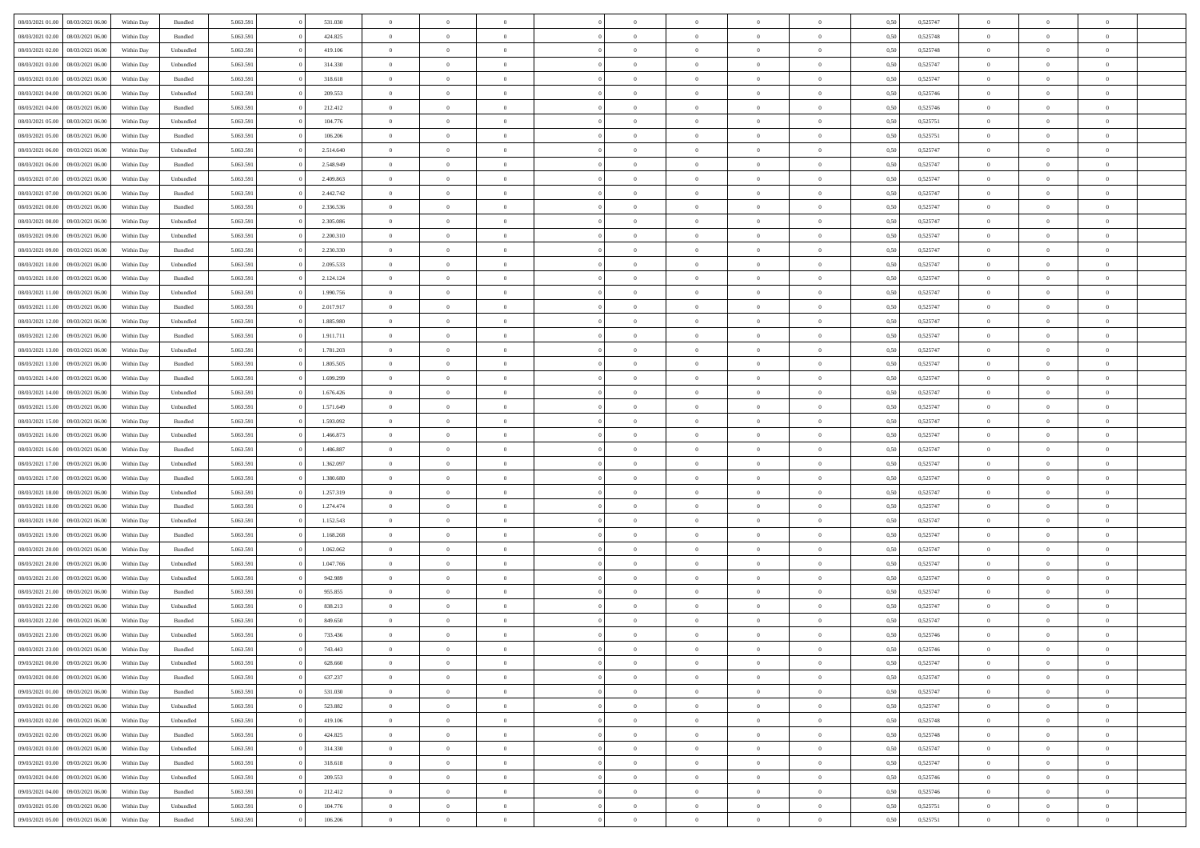| 08/03/2021 01:00                  | 08/03/2021 06:00 | Within Day | Bundled            | 5.063.591 | 531.030   | $\overline{0}$ | $\theta$       |                | $\Omega$       | $\Omega$       | $\Omega$       | $\theta$       | 0.50 | 0,525747 | $\theta$       | $\theta$       | $\theta$       |  |
|-----------------------------------|------------------|------------|--------------------|-----------|-----------|----------------|----------------|----------------|----------------|----------------|----------------|----------------|------|----------|----------------|----------------|----------------|--|
|                                   |                  |            |                    |           |           |                |                |                |                |                |                |                |      |          |                |                |                |  |
| 08/03/2021 02:00                  | 08/03/2021 06:00 | Within Day | Bundled            | 5.063.591 | 424.825   | $\overline{0}$ | $\theta$       | $\overline{0}$ | $\overline{0}$ | $\bf{0}$       | $\overline{0}$ | $\overline{0}$ | 0,50 | 0,525748 | $\theta$       | $\overline{0}$ | $\overline{0}$ |  |
| 08/03/2021 02:00                  | 08/03/2021 06:00 | Within Day | Unbundled          | 5.063.591 | 419.106   | $\overline{0}$ | $\overline{0}$ | $\overline{0}$ | $\bf{0}$       | $\bf{0}$       | $\bf{0}$       | $\bf{0}$       | 0,50 | 0,525748 | $\bf{0}$       | $\overline{0}$ | $\overline{0}$ |  |
| 08/03/2021 03:00                  | 08/03/2021 06:00 | Within Dav | Unbundled          | 5.063.591 | 314.330   | $\overline{0}$ | $\overline{0}$ | $\overline{0}$ | $\overline{0}$ | $\bf{0}$       | $\overline{0}$ | $\overline{0}$ | 0.50 | 0,525747 | $\theta$       | $\theta$       | $\overline{0}$ |  |
|                                   |                  |            |                    |           |           |                |                |                |                |                |                |                |      |          |                |                |                |  |
| 08/03/2021 03:00                  | 08/03/2021 06:00 | Within Day | Bundled            | 5.063.591 | 318.618   | $\overline{0}$ | $\theta$       | $\overline{0}$ | $\overline{0}$ | $\bf{0}$       | $\overline{0}$ | $\bf{0}$       | 0,50 | 0,525747 | $\theta$       | $\overline{0}$ | $\overline{0}$ |  |
| 08/03/2021 04:00                  | 08/03/2021 06:00 | Within Day | Unbundled          | 5.063.591 | 209.553   | $\overline{0}$ | $\bf{0}$       | $\overline{0}$ | $\bf{0}$       | $\overline{0}$ | $\overline{0}$ | $\mathbf{0}$   | 0,50 | 0,525746 | $\bf{0}$       | $\overline{0}$ | $\bf{0}$       |  |
| 08/03/2021 04:00                  | 08/03/2021 06:00 | Within Dav | Bundled            | 5.063.591 | 212.412   | $\overline{0}$ | $\overline{0}$ | $\overline{0}$ | $\overline{0}$ | $\overline{0}$ | $\overline{0}$ | $\overline{0}$ | 0.50 | 0,525746 | $\theta$       | $\overline{0}$ | $\overline{0}$ |  |
| 08/03/2021 05:00                  | 08/03/2021 06:00 | Within Day | Unbundled          | 5.063.591 | 104.776   | $\overline{0}$ | $\theta$       | $\overline{0}$ | $\overline{0}$ | $\bf{0}$       | $\overline{0}$ | $\bf{0}$       | 0,50 | 0,525751 | $\theta$       | $\theta$       | $\overline{0}$ |  |
|                                   |                  |            |                    |           |           |                | $\overline{0}$ |                |                | $\bf{0}$       |                |                |      |          | $\,0\,$        | $\overline{0}$ | $\overline{0}$ |  |
| 08/03/2021 05:00                  | 08/03/2021 06:00 | Within Day | Bundled            | 5.063.591 | 106.206   | $\overline{0}$ |                | $\overline{0}$ | $\bf{0}$       |                | $\bf{0}$       | $\bf{0}$       | 0,50 | 0,525751 |                |                |                |  |
| 08/03/2021 06:00                  | 09/03/2021 06:00 | Within Dav | Unbundled          | 5.063.591 | 2.514.640 | $\overline{0}$ | $\overline{0}$ | $\overline{0}$ | $\overline{0}$ | $\overline{0}$ | $\overline{0}$ | $\overline{0}$ | 0.50 | 0,525747 | $\theta$       | $\overline{0}$ | $\overline{0}$ |  |
| 08/03/2021 06:00                  | 09/03/2021 06:00 | Within Day | Bundled            | 5.063.591 | 2.548.949 | $\overline{0}$ | $\theta$       | $\overline{0}$ | $\overline{0}$ | $\bf{0}$       | $\overline{0}$ | $\bf{0}$       | 0,50 | 0,525747 | $\,$ 0 $\,$    | $\overline{0}$ | $\overline{0}$ |  |
| 08/03/2021 07:00                  | 09/03/2021 06:00 | Within Day | Unbundled          | 5.063.591 | 2.409.863 | $\overline{0}$ | $\overline{0}$ | $\overline{0}$ | $\bf{0}$       | $\bf{0}$       | $\bf{0}$       | $\bf{0}$       | 0,50 | 0,525747 | $\bf{0}$       | $\overline{0}$ | $\overline{0}$ |  |
| 08/03/2021 07:00                  | 09/03/2021 06:00 | Within Dav | Bundled            | 5.063.591 | 2.442.742 | $\overline{0}$ | $\overline{0}$ | $\overline{0}$ | $\overline{0}$ | $\bf{0}$       | $\overline{0}$ | $\overline{0}$ | 0.50 | 0,525747 | $\theta$       | $\theta$       | $\overline{0}$ |  |
|                                   |                  |            |                    |           |           | $\overline{0}$ | $\theta$       | $\overline{0}$ |                | $\bf{0}$       | $\overline{0}$ | $\overline{0}$ |      |          | $\theta$       | $\theta$       | $\overline{0}$ |  |
| 08/03/2021 08:00                  | 09/03/2021 06:00 | Within Day | Bundled            | 5.063.591 | 2.336.536 |                |                |                | $\overline{0}$ |                |                |                | 0,50 | 0,525747 |                |                |                |  |
| 08/03/2021 08:00                  | 09/03/2021 06:00 | Within Day | Unbundled          | 5.063.591 | 2.305.086 | $\overline{0}$ | $\bf{0}$       | $\overline{0}$ | $\bf{0}$       | $\overline{0}$ | $\overline{0}$ | $\mathbf{0}$   | 0,50 | 0,525747 | $\bf{0}$       | $\overline{0}$ | $\bf{0}$       |  |
| 08/03/2021 09:00                  | 09/03/2021 06:00 | Within Dav | Unbundled          | 5.063.591 | 2.200.310 | $\overline{0}$ | $\overline{0}$ | $\overline{0}$ | $\overline{0}$ | $\overline{0}$ | $\overline{0}$ | $\overline{0}$ | 0.50 | 0,525747 | $\theta$       | $\overline{0}$ | $\overline{0}$ |  |
| 08/03/2021 09:00                  | 09/03/2021 06:00 | Within Day | Bundled            | 5.063.591 | 2.230.330 | $\overline{0}$ | $\theta$       | $\overline{0}$ | $\overline{0}$ | $\bf{0}$       | $\overline{0}$ | $\bf{0}$       | 0,50 | 0,525747 | $\theta$       | $\theta$       | $\overline{0}$ |  |
| 08/03/2021 10:00                  | 09/03/2021 06:00 | Within Day | Unbundled          | 5.063.591 | 2.095.533 | $\overline{0}$ | $\overline{0}$ | $\overline{0}$ | $\bf{0}$       | $\bf{0}$       | $\bf{0}$       | $\bf{0}$       | 0,50 | 0,525747 | $\,0\,$        | $\overline{0}$ | $\overline{0}$ |  |
|                                   |                  |            |                    |           |           |                |                |                |                |                |                |                |      |          |                |                |                |  |
| 08/03/2021 10:00                  | 09/03/2021 06:00 | Within Day | Bundled            | 5.063.591 | 2.124.124 | $\overline{0}$ | $\overline{0}$ | $\overline{0}$ | $\overline{0}$ | $\overline{0}$ | $\overline{0}$ | $\overline{0}$ | 0.50 | 0,525747 | $\theta$       | $\overline{0}$ | $\overline{0}$ |  |
| 08/03/2021 11:00                  | 09/03/2021 06:00 | Within Day | Unbundled          | 5.063.591 | 1.990.756 | $\overline{0}$ | $\theta$       | $\overline{0}$ | $\overline{0}$ | $\bf{0}$       | $\overline{0}$ | $\bf{0}$       | 0,50 | 0,525747 | $\theta$       | $\theta$       | $\overline{0}$ |  |
| 08/03/2021 11:00                  | 09/03/2021 06:00 | Within Day | Bundled            | 5.063.591 | 2.017.917 | $\overline{0}$ | $\overline{0}$ | $\overline{0}$ | $\bf{0}$       | $\bf{0}$       | $\bf{0}$       | $\bf{0}$       | 0,50 | 0,525747 | $\,0\,$        | $\overline{0}$ | $\overline{0}$ |  |
| 08/03/2021 12:00                  | 09/03/2021 06:00 | Within Day | Unbundled          | 5.063.591 | 1.885.980 | $\overline{0}$ | $\overline{0}$ | $\overline{0}$ | $\overline{0}$ | $\bf{0}$       | $\overline{0}$ | $\overline{0}$ | 0.50 | 0,525747 | $\theta$       | $\theta$       | $\overline{0}$ |  |
| 08/03/2021 12:00                  | 09/03/2021 06:00 | Within Day | Bundled            | 5.063.591 | 1.911.711 | $\overline{0}$ | $\theta$       | $\overline{0}$ | $\overline{0}$ | $\bf{0}$       | $\overline{0}$ | $\bf{0}$       | 0,50 | 0,525747 | $\theta$       | $\overline{0}$ | $\overline{0}$ |  |
|                                   |                  |            |                    |           |           |                |                |                |                |                |                |                |      |          |                |                |                |  |
| 08/03/2021 13:00                  | 09/03/2021 06:00 | Within Day | Unbundled          | 5.063.591 | 1.781.203 | $\overline{0}$ | $\bf{0}$       | $\overline{0}$ | $\bf{0}$       | $\overline{0}$ | $\overline{0}$ | $\mathbf{0}$   | 0,50 | 0,525747 | $\bf{0}$       | $\overline{0}$ | $\bf{0}$       |  |
| 08/03/2021 13:00                  | 09/03/2021 06:00 | Within Dav | Bundled            | 5.063.591 | 1.805.505 | $\overline{0}$ | $\overline{0}$ | $\overline{0}$ | $\overline{0}$ | $\overline{0}$ | $\overline{0}$ | $\overline{0}$ | 0.50 | 0,525747 | $\theta$       | $\overline{0}$ | $\overline{0}$ |  |
| 08/03/2021 14:00                  | 09/03/2021 06:00 | Within Day | Bundled            | 5.063.591 | 1.699.299 | $\overline{0}$ | $\theta$       | $\overline{0}$ | $\overline{0}$ | $\bf{0}$       | $\overline{0}$ | $\bf{0}$       | 0,50 | 0,525747 | $\theta$       | $\theta$       | $\overline{0}$ |  |
| 08/03/2021 14:00                  | 09/03/2021 06:00 | Within Day | Unbundled          | 5.063.591 | 1.676.426 | $\overline{0}$ | $\overline{0}$ | $\overline{0}$ | $\bf{0}$       | $\bf{0}$       | $\bf{0}$       | $\bf{0}$       | 0,50 | 0,525747 | $\,0\,$        | $\overline{0}$ | $\overline{0}$ |  |
| 08/03/2021 15:00                  | 09/03/2021 06:00 | Within Day | Unbundled          | 5.063.591 | 1.571.649 | $\overline{0}$ | $\overline{0}$ | $\overline{0}$ | $\overline{0}$ | $\overline{0}$ | $\overline{0}$ | $\overline{0}$ | 0.50 | 0,525747 | $\theta$       | $\overline{0}$ | $\overline{0}$ |  |
|                                   |                  |            |                    |           |           |                |                |                |                |                |                |                |      |          |                |                |                |  |
| 08/03/2021 15:00                  | 09/03/2021 06:00 | Within Day | Bundled            | 5.063.591 | 1.593.092 | $\overline{0}$ | $\theta$       | $\overline{0}$ | $\overline{0}$ | $\bf{0}$       | $\overline{0}$ | $\bf{0}$       | 0,50 | 0,525747 | $\,$ 0 $\,$    | $\theta$       | $\overline{0}$ |  |
| 08/03/2021 16:00                  | 09/03/2021 06:00 | Within Day | Unbundled          | 5.063.591 | 1.466.873 | $\overline{0}$ | $\overline{0}$ | $\overline{0}$ | $\bf{0}$       | $\bf{0}$       | $\bf{0}$       | $\bf{0}$       | 0,50 | 0,525747 | $\bf{0}$       | $\overline{0}$ | $\overline{0}$ |  |
| 08/03/2021 16:00                  | 09/03/2021 06:00 | Within Day | Bundled            | 5.063.591 | 1.486.887 | $\overline{0}$ | $\Omega$       | $\Omega$       | $\Omega$       | $\Omega$       | $\Omega$       | $\overline{0}$ | 0,50 | 0,525747 | $\,0\,$        | $\theta$       | $\theta$       |  |
| 08/03/2021 17:00                  | 09/03/2021 06:00 | Within Day | Unbundled          | 5.063.591 | 1.362.097 | $\overline{0}$ | $\theta$       | $\overline{0}$ | $\overline{0}$ | $\bf{0}$       | $\overline{0}$ | $\bf{0}$       | 0,50 | 0,525747 | $\theta$       | $\theta$       | $\overline{0}$ |  |
|                                   |                  |            |                    |           |           |                |                |                |                | $\bf{0}$       |                |                |      |          |                | $\overline{0}$ | $\bf{0}$       |  |
| 08/03/2021 17:00                  | 09/03/2021 06:00 | Within Day | Bundled            | 5.063.591 | 1.380.680 | $\overline{0}$ | $\overline{0}$ | $\overline{0}$ | $\bf{0}$       |                | $\overline{0}$ | $\mathbf{0}$   | 0,50 | 0,525747 | $\bf{0}$       |                |                |  |
| 08/03/2021 18:00                  | 09/03/2021 06:00 | Within Day | Unbundled          | 5.063.591 | 1.257.319 | $\overline{0}$ | $\Omega$       | $\Omega$       | $\Omega$       | $\bf{0}$       | $\overline{0}$ | $\overline{0}$ | 0.50 | 0,525747 | $\,0\,$        | $\theta$       | $\theta$       |  |
| 08/03/2021 18:00                  | 09/03/2021 06:00 | Within Day | Bundled            | 5.063.591 | 1.274.474 | $\overline{0}$ | $\theta$       | $\overline{0}$ | $\overline{0}$ | $\bf{0}$       | $\overline{0}$ | $\bf{0}$       | 0,50 | 0,525747 | $\theta$       | $\theta$       | $\overline{0}$ |  |
| 08/03/2021 19:00                  | 09/03/2021 06:00 | Within Day | Unbundled          | 5.063.591 | 1.152.543 | $\overline{0}$ | $\overline{0}$ | $\overline{0}$ | $\bf{0}$       | $\bf{0}$       | $\bf{0}$       | $\bf{0}$       | 0,50 | 0,525747 | $\,0\,$        | $\overline{0}$ | $\overline{0}$ |  |
| 08/03/2021 19:00                  | 09/03/2021 06:00 | Within Day | Bundled            | 5.063.591 | 1.168.268 | $\overline{0}$ | $\Omega$       | $\Omega$       | $\Omega$       | $\theta$       | $\theta$       | $\overline{0}$ | 0.50 | 0,525747 | $\theta$       | $\theta$       | $\theta$       |  |
| 08/03/2021 20:00                  | 09/03/2021 06:00 | Within Day | Bundled            | 5.063.591 | 1.062.062 | $\overline{0}$ | $\theta$       | $\overline{0}$ | $\overline{0}$ | $\bf{0}$       | $\overline{0}$ | $\bf{0}$       | 0,50 | 0,525747 | $\,$ 0 $\,$    | $\overline{0}$ | $\overline{0}$ |  |
|                                   |                  |            |                    |           |           |                |                |                |                |                |                |                |      |          |                |                |                |  |
| 08/03/2021 20:00                  | 09/03/2021 06:00 | Within Day | Unbundled          | 5.063.591 | 1.047.766 | $\overline{0}$ | $\overline{0}$ | $\overline{0}$ | $\bf{0}$       | $\bf{0}$       | $\bf{0}$       | $\bf{0}$       | 0,50 | 0,525747 | $\overline{0}$ | $\overline{0}$ | $\overline{0}$ |  |
| 08/03/2021 21:00                  | 09/03/2021 06:00 | Within Day | Unbundled          | 5.063.591 | 942.989   | $\overline{0}$ | $\Omega$       | $\Omega$       | $\Omega$       | $\Omega$       | $\overline{0}$ | $\overline{0}$ | 0,50 | 0,525747 | $\,0\,$        | $\theta$       | $\theta$       |  |
| 08/03/2021 21:00                  | 09/03/2021 06:00 | Within Day | Bundled            | 5.063.591 | 955.855   | $\overline{0}$ | $\theta$       | $\overline{0}$ | $\overline{0}$ | $\bf{0}$       | $\overline{0}$ | $\bf{0}$       | 0,50 | 0,525747 | $\,$ 0 $\,$    | $\overline{0}$ | $\overline{0}$ |  |
| 08/03/2021 22.00                  | 09/03/2021 06:00 | Within Day | Unbundled          | 5.063.591 | 838.213   | $\overline{0}$ | $\overline{0}$ | $\overline{0}$ | $\bf{0}$       | $\bf{0}$       | $\bf{0}$       | $\mathbf{0}$   | 0,50 | 0,525747 | $\overline{0}$ | $\overline{0}$ | $\bf{0}$       |  |
| 08/03/2021 22.00                  | 09/03/2021 06:00 | Within Day | Bundled            | 5.063.591 | 849,650   | $\overline{0}$ | $\Omega$       | $\Omega$       | $\Omega$       | $\Omega$       | $\Omega$       | $\overline{0}$ | 0.50 | 0,525747 | $\theta$       | $\theta$       | $\theta$       |  |
|                                   |                  |            |                    |           |           |                |                |                |                |                |                |                |      |          |                |                |                |  |
| 08/03/2021 23:00                  | 09/03/2021 06:00 | Within Day | Unbundled          | 5.063.591 | 733.436   | $\overline{0}$ | $\overline{0}$ | $\overline{0}$ | $\bf{0}$       | $\,$ 0         | $\bf{0}$       | $\bf{0}$       | 0,50 | 0,525746 | $\,0\,$        | $\overline{0}$ | $\overline{0}$ |  |
| 08/03/2021 23:00 09/03/2021 06:00 |                  | Within Day | $\mathbf B$ undled | 5.063.591 | 743.443   | $\bf{0}$       | $\bf{0}$       |                |                |                |                |                | 0,50 | 0,525746 | $\bf{0}$       | $\overline{0}$ |                |  |
| 09/03/2021 00:00                  | 09/03/2021 06:00 | Within Day | Unbundled          | 5.063.591 | 628,660   | $\overline{0}$ | $\overline{0}$ | $\overline{0}$ | $\Omega$       | $\overline{0}$ | $\overline{0}$ | $\overline{0}$ | 0,50 | 0,525747 | $\theta$       | $\theta$       | $\theta$       |  |
| 09/03/2021 00:00                  | 09/03/2021 06:00 | Within Day | Bundled            | 5.063.591 | 637.237   | $\overline{0}$ | $\bf{0}$       | $\overline{0}$ | $\bf{0}$       | $\,$ 0 $\,$    | $\overline{0}$ | $\,$ 0 $\,$    | 0,50 | 0,525747 | $\,$ 0 $\,$    | $\,$ 0 $\,$    | $\,$ 0         |  |
| 09/03/2021 01:00                  | 09/03/2021 06:00 | Within Day | Bundled            | 5.063.591 | 531.030   | $\overline{0}$ | $\overline{0}$ | $\overline{0}$ | $\overline{0}$ | $\overline{0}$ | $\overline{0}$ | $\mathbf{0}$   | 0,50 | 0,525747 | $\overline{0}$ | $\overline{0}$ | $\overline{0}$ |  |
|                                   |                  |            |                    |           |           |                |                |                |                |                |                |                |      |          |                |                |                |  |
| 09/03/2021 01:00                  | 09/03/2021 06:00 | Within Day | Unbundled          | 5.063.591 | 523.882   | $\overline{0}$ | $\overline{0}$ | $\overline{0}$ | $\Omega$       | $\overline{0}$ | $\overline{0}$ | $\overline{0}$ | 0,50 | 0,525747 | $\overline{0}$ | $\theta$       | $\overline{0}$ |  |
| 09/03/2021 02:00                  | 09/03/2021 06:00 | Within Day | Unbundled          | 5.063.591 | 419.106   | $\overline{0}$ | $\,$ 0         | $\overline{0}$ | $\bf{0}$       | $\,$ 0 $\,$    | $\overline{0}$ | $\,$ 0 $\,$    | 0,50 | 0,525748 | $\,$ 0 $\,$    | $\overline{0}$ | $\,$ 0         |  |
| 09/03/2021 02:00                  | 09/03/2021 06:00 | Within Day | Bundled            | 5.063.591 | 424.825   | $\overline{0}$ | $\overline{0}$ | $\overline{0}$ | $\overline{0}$ | $\overline{0}$ | $\overline{0}$ | $\mathbf{0}$   | 0,50 | 0,525748 | $\overline{0}$ | $\overline{0}$ | $\overline{0}$ |  |
| 09/03/2021 03:00                  | 09/03/2021 06:00 | Within Day | Unbundled          | 5.063.591 | 314.330   | $\overline{0}$ | $\overline{0}$ | $\overline{0}$ | $\overline{0}$ | $\overline{0}$ | $\overline{0}$ | $\bf{0}$       | 0.50 | 0,525747 | $\overline{0}$ | $\theta$       | $\overline{0}$ |  |
| 09/03/2021 03:00                  | 09/03/2021 06:00 | Within Day | Bundled            | 5.063.591 | 318.618   | $\overline{0}$ | $\,$ 0         | $\overline{0}$ | $\bf{0}$       | $\bf{0}$       | $\bf{0}$       | $\bf{0}$       | 0,50 | 0,525747 | $\,$ 0 $\,$    | $\overline{0}$ | $\overline{0}$ |  |
|                                   |                  |            |                    |           |           |                |                |                |                |                |                |                |      |          |                |                |                |  |
| 09/03/2021 04:00                  | 09/03/2021 06:00 | Within Day | Unbundled          | 5.063.591 | 209.553   | $\overline{0}$ | $\bf{0}$       | $\overline{0}$ | $\overline{0}$ | $\overline{0}$ | $\overline{0}$ | $\mathbf{0}$   | 0,50 | 0,525746 | $\overline{0}$ | $\overline{0}$ | $\bf{0}$       |  |
| 09/03/2021 04:00                  | 09/03/2021 06:00 | Within Day | Bundled            | 5.063.591 | 212.412   | $\overline{0}$ | $\overline{0}$ | $\overline{0}$ | $\Omega$       | $\overline{0}$ | $\overline{0}$ | $\overline{0}$ | 0.50 | 0,525746 | $\overline{0}$ | $\overline{0}$ | $\overline{0}$ |  |
| 09/03/2021 05:00                  | 09/03/2021 06:00 | Within Day | Unbundled          | 5.063.591 | 104.776   | $\overline{0}$ | $\bf{0}$       | $\overline{0}$ | $\bf{0}$       | $\bf{0}$       | $\bf{0}$       | $\mathbf{0}$   | 0,50 | 0,525751 | $\,$ 0 $\,$    | $\,$ 0 $\,$    | $\bf{0}$       |  |
| 09/03/2021 05:00                  | 09/03/2021 06:00 | Within Day | Bundled            | 5.063.591 | 106.206   | $\overline{0}$ | $\overline{0}$ | $\overline{0}$ | $\overline{0}$ | $\overline{0}$ | $\bf{0}$       | $\mathbf{0}$   | 0,50 | 0,525751 | $\overline{0}$ | $\bf{0}$       | $\overline{0}$ |  |
|                                   |                  |            |                    |           |           |                |                |                |                |                |                |                |      |          |                |                |                |  |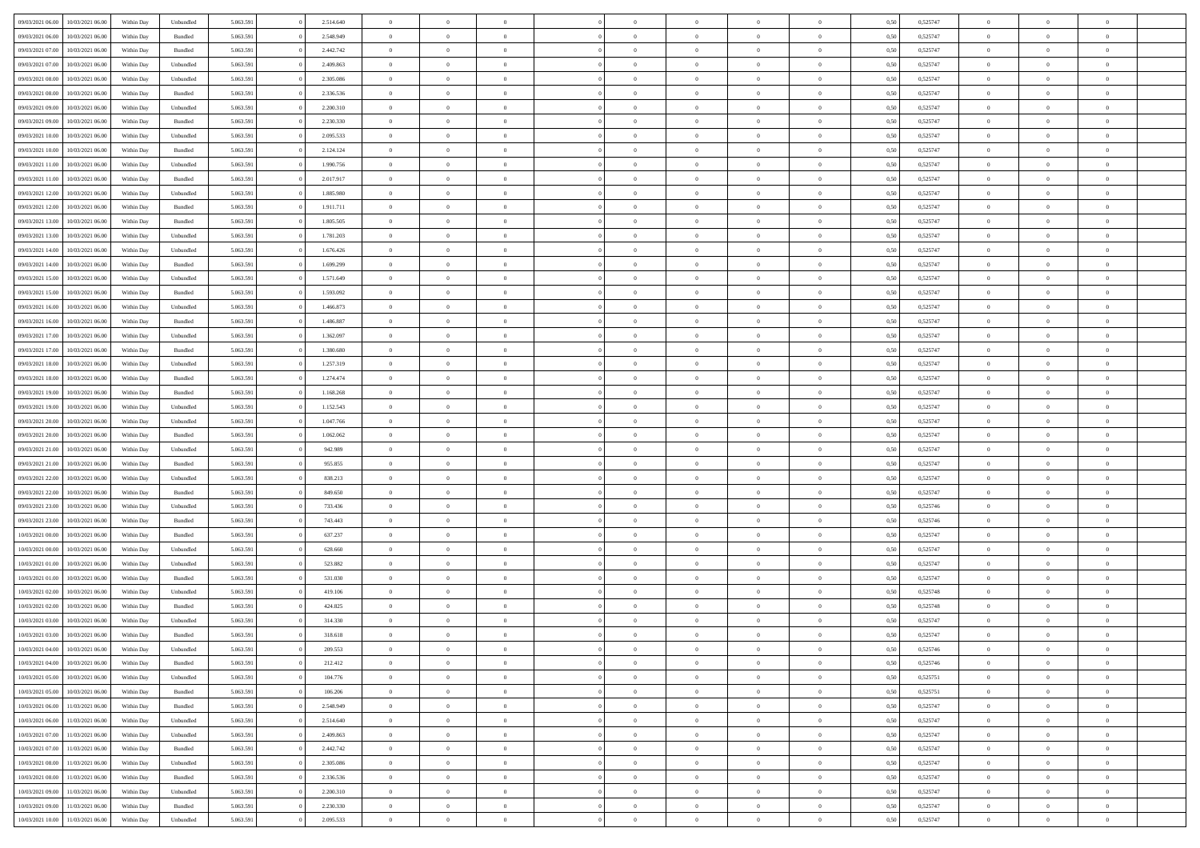| 09/03/2021 06:00 | 10/03/2021 06:00 | Within Day | Unbundled | 5.063.591 | 2.514.640 | $\overline{0}$ | $\theta$       |                | $\Omega$       | $\Omega$       | $\theta$       | $\theta$       | 0.50 | 0,525747 | $\theta$       | $\overline{0}$ | $\overline{0}$ |  |
|------------------|------------------|------------|-----------|-----------|-----------|----------------|----------------|----------------|----------------|----------------|----------------|----------------|------|----------|----------------|----------------|----------------|--|
|                  |                  |            |           |           |           |                |                |                |                |                |                |                |      |          |                |                |                |  |
| 09/03/2021 06:00 | 10/03/2021 06:00 | Within Day | Bundled   | 5.063.591 | 2.548.949 | $\overline{0}$ | $\theta$       | $\overline{0}$ | $\overline{0}$ | $\bf{0}$       | $\overline{0}$ | $\bf{0}$       | 0,50 | 0,525747 | $\theta$       | $\overline{0}$ | $\overline{0}$ |  |
| 09/03/2021 07:00 | 10/03/2021 06:00 | Within Day | Bundled   | 5.063.591 | 2.442.742 | $\overline{0}$ | $\bf{0}$       | $\overline{0}$ | $\bf{0}$       | $\bf{0}$       | $\bf{0}$       | $\mathbf{0}$   | 0,50 | 0,525747 | $\bf{0}$       | $\overline{0}$ | $\overline{0}$ |  |
| 09/03/2021 07:00 | 10/03/2021 06:00 | Within Dav | Unbundled | 5.063.591 | 2.409.863 | $\overline{0}$ | $\overline{0}$ | $\overline{0}$ | $\overline{0}$ | $\bf{0}$       | $\overline{0}$ | $\overline{0}$ | 0.50 | 0,525747 | $\theta$       | $\theta$       | $\overline{0}$ |  |
| 09/03/2021 08:00 | 10/03/2021 06:00 | Within Day | Unbundled | 5.063.591 | 2.305.086 | $\overline{0}$ | $\theta$       | $\overline{0}$ | $\overline{0}$ | $\bf{0}$       | $\overline{0}$ | $\bf{0}$       | 0,50 | 0,525747 | $\theta$       | $\overline{0}$ | $\overline{0}$ |  |
| 09/03/2021 08:00 | 10/03/2021 06:00 | Within Day | Bundled   | 5.063.591 | 2.336.536 | $\overline{0}$ | $\overline{0}$ | $\overline{0}$ | $\bf{0}$       | $\overline{0}$ | $\overline{0}$ | $\mathbf{0}$   | 0,50 | 0,525747 | $\bf{0}$       | $\overline{0}$ | $\bf{0}$       |  |
| 09/03/2021 09:00 | 10/03/2021 06:00 | Within Dav | Unbundled | 5.063.591 | 2.200.310 | $\overline{0}$ | $\overline{0}$ | $\overline{0}$ | $\overline{0}$ | $\overline{0}$ | $\overline{0}$ | $\overline{0}$ | 0.50 | 0,525747 | $\theta$       | $\overline{0}$ | $\overline{0}$ |  |
|                  |                  |            |           |           |           |                |                |                |                |                |                |                |      |          |                |                |                |  |
| 09/03/2021 09:00 | 10/03/2021 06:00 | Within Day | Bundled   | 5.063.591 | 2.230.330 | $\overline{0}$ | $\theta$       | $\overline{0}$ | $\overline{0}$ | $\bf{0}$       | $\overline{0}$ | $\bf{0}$       | 0,50 | 0,525747 | $\theta$       | $\theta$       | $\overline{0}$ |  |
| 09/03/2021 10:00 | 10/03/2021 06:00 | Within Day | Unbundled | 5.063.591 | 2.095.533 | $\overline{0}$ | $\overline{0}$ | $\overline{0}$ | $\bf{0}$       | $\bf{0}$       | $\bf{0}$       | $\bf{0}$       | 0,50 | 0,525747 | $\,0\,$        | $\overline{0}$ | $\overline{0}$ |  |
| 09/03/2021 10:00 | 10/03/2021 06:00 | Within Dav | Bundled   | 5.063.591 | 2.124.124 | $\overline{0}$ | $\overline{0}$ | $\overline{0}$ | $\overline{0}$ | $\overline{0}$ | $\overline{0}$ | $\overline{0}$ | 0.50 | 0,525747 | $\theta$       | $\overline{0}$ | $\overline{0}$ |  |
| 09/03/2021 11:00 | 10/03/2021 06:00 | Within Day | Unbundled | 5.063.591 | 1.990.756 | $\overline{0}$ | $\theta$       | $\overline{0}$ | $\overline{0}$ | $\bf{0}$       | $\overline{0}$ | $\bf{0}$       | 0,50 | 0,525747 | $\,$ 0 $\,$    | $\overline{0}$ | $\overline{0}$ |  |
| 09/03/2021 11:00 | 10/03/2021 06:00 | Within Day | Bundled   | 5.063.591 | 2.017.917 | $\overline{0}$ | $\overline{0}$ | $\overline{0}$ | $\bf{0}$       | $\bf{0}$       | $\bf{0}$       | $\bf{0}$       | 0,50 | 0,525747 | $\bf{0}$       | $\overline{0}$ | $\bf{0}$       |  |
| 09/03/2021 12:00 | 10/03/2021 06:00 | Within Day | Unbundled | 5.063.591 | 1.885.980 | $\overline{0}$ | $\overline{0}$ | $\overline{0}$ | $\overline{0}$ | $\bf{0}$       | $\overline{0}$ | $\overline{0}$ | 0.50 | 0,525747 | $\theta$       | $\theta$       | $\overline{0}$ |  |
| 09/03/2021 12:00 | 10/03/2021 06:00 | Within Day | Bundled   | 5.063.591 | 1.911.711 | $\overline{0}$ | $\theta$       | $\overline{0}$ | $\overline{0}$ | $\bf{0}$       | $\overline{0}$ | $\bf{0}$       | 0,50 | 0,525747 | $\theta$       | $\overline{0}$ | $\overline{0}$ |  |
|                  |                  |            |           |           |           |                |                |                |                |                |                |                |      |          |                |                |                |  |
| 09/03/2021 13:00 | 10/03/2021 06:00 | Within Day | Bundled   | 5.063.591 | 1.805.505 | $\overline{0}$ | $\overline{0}$ | $\overline{0}$ | $\bf{0}$       | $\overline{0}$ | $\overline{0}$ | $\mathbf{0}$   | 0,50 | 0,525747 | $\bf{0}$       | $\overline{0}$ | $\bf{0}$       |  |
| 09/03/2021 13:00 | 10/03/2021 06:00 | Within Dav | Unbundled | 5.063.591 | 1.781.203 | $\overline{0}$ | $\overline{0}$ | $\overline{0}$ | $\overline{0}$ | $\overline{0}$ | $\overline{0}$ | $\overline{0}$ | 0.50 | 0,525747 | $\theta$       | $\overline{0}$ | $\overline{0}$ |  |
| 09/03/2021 14:00 | 10/03/2021 06:00 | Within Day | Unbundled | 5.063.591 | 1.676.426 | $\overline{0}$ | $\theta$       | $\overline{0}$ | $\overline{0}$ | $\bf{0}$       | $\overline{0}$ | $\bf{0}$       | 0,50 | 0,525747 | $\theta$       | $\theta$       | $\overline{0}$ |  |
| 09/03/2021 14:00 | 10/03/2021 06:00 | Within Day | Bundled   | 5.063.591 | 1.699.299 | $\overline{0}$ | $\overline{0}$ | $\overline{0}$ | $\bf{0}$       | $\bf{0}$       | $\bf{0}$       | $\bf{0}$       | 0,50 | 0,525747 | $\,0\,$        | $\overline{0}$ | $\overline{0}$ |  |
| 09/03/2021 15:00 | 10/03/2021 06:00 | Within Day | Unbundled | 5.063.591 | 1.571.649 | $\overline{0}$ | $\overline{0}$ | $\overline{0}$ | $\overline{0}$ | $\overline{0}$ | $\overline{0}$ | $\overline{0}$ | 0.50 | 0,525747 | $\theta$       | $\overline{0}$ | $\overline{0}$ |  |
| 09/03/2021 15:00 | 10/03/2021 06:00 | Within Day | Bundled   | 5.063.591 | 1.593.092 | $\overline{0}$ | $\theta$       | $\overline{0}$ | $\overline{0}$ | $\bf{0}$       | $\overline{0}$ | $\bf{0}$       | 0,50 | 0,525747 | $\,$ 0 $\,$    | $\overline{0}$ | $\overline{0}$ |  |
| 09/03/2021 16:00 | 10/03/2021 06:00 | Within Day | Unbundled | 5.063.591 | 1.466.873 | $\overline{0}$ | $\overline{0}$ | $\overline{0}$ | $\bf{0}$       | $\bf{0}$       | $\bf{0}$       | $\bf{0}$       | 0,50 | 0,525747 | $\,0\,$        | $\overline{0}$ | $\bf{0}$       |  |
| 09/03/2021 16:00 | 10/03/2021 06:00 | Within Day | Bundled   | 5.063.591 | 1.486.887 | $\overline{0}$ | $\overline{0}$ | $\overline{0}$ | $\overline{0}$ | $\bf{0}$       | $\overline{0}$ | $\overline{0}$ | 0.50 | 0,525747 | $\theta$       | $\overline{0}$ | $\overline{0}$ |  |
|                  |                  |            |           |           |           |                |                |                |                |                |                |                |      |          |                |                |                |  |
| 09/03/2021 17:00 | 10/03/2021 06:00 | Within Day | Unbundled | 5.063.591 | 1.362.097 | $\overline{0}$ | $\theta$       | $\overline{0}$ | $\overline{0}$ | $\bf{0}$       | $\overline{0}$ | $\bf{0}$       | 0,50 | 0,525747 | $\,$ 0 $\,$    | $\overline{0}$ | $\overline{0}$ |  |
| 09/03/2021 17:00 | 10/03/2021 06:00 | Within Day | Bundled   | 5.063.591 | 1.380.680 | $\overline{0}$ | $\overline{0}$ | $\overline{0}$ | $\bf{0}$       | $\overline{0}$ | $\overline{0}$ | $\mathbf{0}$   | 0,50 | 0,525747 | $\bf{0}$       | $\overline{0}$ | $\bf{0}$       |  |
| 09/03/2021 18:00 | 10/03/2021 06:00 | Within Dav | Unbundled | 5.063.591 | 1.257.319 | $\overline{0}$ | $\overline{0}$ | $\overline{0}$ | $\overline{0}$ | $\overline{0}$ | $\overline{0}$ | $\overline{0}$ | 0.50 | 0,525747 | $\theta$       | $\overline{0}$ | $\overline{0}$ |  |
| 09/03/2021 18:00 | 10/03/2021 06:00 | Within Day | Bundled   | 5.063.591 | 1.274.474 | $\overline{0}$ | $\theta$       | $\overline{0}$ | $\overline{0}$ | $\bf{0}$       | $\overline{0}$ | $\bf{0}$       | 0,50 | 0,525747 | $\theta$       | $\theta$       | $\overline{0}$ |  |
| 09/03/2021 19:00 | 10/03/2021 06:00 | Within Day | Bundled   | 5.063.591 | 1.168.268 | $\overline{0}$ | $\overline{0}$ | $\overline{0}$ | $\bf{0}$       | $\bf{0}$       | $\bf{0}$       | $\bf{0}$       | 0,50 | 0,525747 | $\,0\,$        | $\overline{0}$ | $\overline{0}$ |  |
| 09/03/2021 19:00 | 10/03/2021 06:00 | Within Day | Unbundled | 5.063.591 | 1.152.543 | $\overline{0}$ | $\overline{0}$ | $\overline{0}$ | $\overline{0}$ | $\overline{0}$ | $\overline{0}$ | $\overline{0}$ | 0.50 | 0,525747 | $\theta$       | $\overline{0}$ | $\overline{0}$ |  |
| 09/03/2021 20:00 | 10/03/2021 06:00 | Within Day | Unbundled | 5.063.591 | 1.047.766 | $\overline{0}$ | $\theta$       | $\overline{0}$ | $\overline{0}$ | $\bf{0}$       | $\overline{0}$ | $\bf{0}$       | 0,50 | 0,525747 | $\,$ 0 $\,$    | $\overline{0}$ | $\overline{0}$ |  |
|                  |                  |            |           |           |           |                |                |                |                |                |                |                |      |          |                |                |                |  |
| 09/03/2021 20.00 | 10/03/2021 06:00 | Within Day | Bundled   | 5.063.591 | 1.062.062 | $\overline{0}$ | $\overline{0}$ | $\overline{0}$ | $\bf{0}$       | $\bf{0}$       | $\bf{0}$       | $\bf{0}$       | 0,50 | 0,525747 | $\overline{0}$ | $\overline{0}$ | $\bf{0}$       |  |
| 09/03/2021 21:00 | 10/03/2021 06:00 | Within Day | Unbundled | 5.063.591 | 942.989   | $\overline{0}$ | $\Omega$       | $\Omega$       | $\Omega$       | $\Omega$       | $\overline{0}$ | $\overline{0}$ | 0,50 | 0,525747 | $\,0\,$        | $\theta$       | $\theta$       |  |
| 09/03/2021 21:00 | 10/03/2021 06:00 | Within Day | Bundled   | 5.063.591 | 955.855   | $\overline{0}$ | $\theta$       | $\overline{0}$ | $\overline{0}$ | $\bf{0}$       | $\overline{0}$ | $\bf{0}$       | 0,50 | 0,525747 | $\theta$       | $\overline{0}$ | $\overline{0}$ |  |
| 09/03/2021 22.00 | 10/03/2021 06:00 | Within Day | Unbundled | 5.063.591 | 838.213   | $\overline{0}$ | $\overline{0}$ | $\overline{0}$ | $\bf{0}$       | $\overline{0}$ | $\overline{0}$ | $\mathbf{0}$   | 0,50 | 0,525747 | $\overline{0}$ | $\overline{0}$ | $\bf{0}$       |  |
| 09/03/2021 22.00 | 10/03/2021 06:00 | Within Day | Bundled   | 5.063.591 | 849,650   | $\overline{0}$ | $\Omega$       | $\Omega$       | $\Omega$       | $\bf{0}$       | $\overline{0}$ | $\overline{0}$ | 0.50 | 0,525747 | $\,0\,$        | $\theta$       | $\theta$       |  |
| 09/03/2021 23:00 | 10/03/2021 06:00 | Within Day | Unbundled | 5.063.591 | 733.436   | $\overline{0}$ | $\theta$       | $\overline{0}$ | $\overline{0}$ | $\bf{0}$       | $\overline{0}$ | $\bf{0}$       | 0,50 | 0,525746 | $\,$ 0 $\,$    | $\overline{0}$ | $\overline{0}$ |  |
| 09/03/2021 23.00 | 10/03/2021 06:00 | Within Day | Bundled   | 5.063.591 | 743.443   | $\overline{0}$ | $\overline{0}$ | $\overline{0}$ | $\bf{0}$       | $\bf{0}$       | $\overline{0}$ | $\bf{0}$       | 0,50 | 0,525746 | $\bf{0}$       | $\overline{0}$ | $\bf{0}$       |  |
| 10/03/2021 00:00 | 10/03/2021 06:00 | Within Day | Bundled   | 5.063.591 | 637.237   | $\overline{0}$ | $\Omega$       | $\Omega$       | $\Omega$       | $\theta$       | $\overline{0}$ | $\overline{0}$ | 0.50 | 0,525747 | $\theta$       | $\theta$       | $\theta$       |  |
| 10/03/2021 00:00 | 10/03/2021 06:00 |            |           | 5.063.591 | 628.660   | $\overline{0}$ | $\theta$       | $\overline{0}$ | $\overline{0}$ | $\bf{0}$       | $\overline{0}$ |                |      | 0,525747 | $\,$ 0 $\,$    | $\overline{0}$ | $\overline{0}$ |  |
|                  |                  | Within Day | Unbundled |           |           |                |                |                |                |                |                | $\bf{0}$       | 0,50 |          |                |                |                |  |
| 10/03/2021 01:00 | 10/03/2021 06:00 | Within Day | Unbundled | 5.063.591 | 523.882   | $\overline{0}$ | $\bf{0}$       | $\overline{0}$ | $\overline{0}$ | $\bf{0}$       | $\overline{0}$ | $\bf{0}$       | 0,50 | 0,525747 | $\overline{0}$ | $\overline{0}$ | $\bf{0}$       |  |
| 10/03/2021 01:00 | 10/03/2021 06:00 | Within Day | Bundled   | 5.063.591 | 531.030   | $\overline{0}$ | $\Omega$       | $\Omega$       | $\Omega$       | $\overline{0}$ | $\overline{0}$ | $\overline{0}$ | 0,50 | 0,525747 | $\,0\,$        | $\theta$       | $\theta$       |  |
| 10/03/2021 02:00 | 10/03/2021 06:00 | Within Day | Unbundled | 5.063.591 | 419.106   | $\overline{0}$ | $\theta$       | $\overline{0}$ | $\overline{0}$ | $\bf{0}$       | $\overline{0}$ | $\bf{0}$       | 0,50 | 0,525748 | $\,$ 0 $\,$    | $\overline{0}$ | $\overline{0}$ |  |
| 10/03/2021 02:00 | 10/03/2021 06:00 | Within Day | Bundled   | 5.063.591 | 424.825   | $\overline{0}$ | $\overline{0}$ | $\overline{0}$ | $\overline{0}$ | $\bf{0}$       | $\overline{0}$ | $\mathbf{0}$   | 0,50 | 0,525748 | $\overline{0}$ | $\overline{0}$ | $\bf{0}$       |  |
| 10/03/2021 03:00 | 10/03/2021 06:00 | Within Day | Unbundled | 5.063.591 | 314.330   | $\overline{0}$ | $\Omega$       | $\Omega$       | $\Omega$       | $\Omega$       | $\Omega$       | $\overline{0}$ | 0.50 | 0,525747 | $\theta$       | $\theta$       | $\theta$       |  |
| 10/03/2021 03:00 | 10/03/2021 06:00 | Within Day | Bundled   | 5.063.591 | 318.618   | $\overline{0}$ | $\overline{0}$ | $\overline{0}$ | $\bf{0}$       | $\,$ 0         | $\overline{0}$ | $\bf{0}$       | 0,50 | 0,525747 | $\,0\,$        | $\,$ 0 $\,$    | $\overline{0}$ |  |
| 10/03/2021 04:00 | 10/03/2021 06:00 | Within Day | Unbundled | 5.063.591 | 209.553   | $\bf{0}$       | $\bf{0}$       |                |                |                |                |                | 0,50 | 0,525746 | $\bf{0}$       | $\overline{0}$ |                |  |
|                  |                  |            |           |           |           |                |                |                |                |                |                |                |      |          |                |                | $\theta$       |  |
| 10/03/2021 04:00 | 10/03/2021 06:00 | Within Day | Bundled   | 5.063.591 | 212.412   | $\overline{0}$ | $\overline{0}$ | $\overline{0}$ | $\Omega$       | $\overline{0}$ | $\overline{0}$ | $\overline{0}$ | 0,50 | 0,525746 | $\theta$       | $\theta$       |                |  |
| 10/03/2021 05:00 | 10/03/2021 06:00 | Within Day | Unbundled | 5.063.591 | 104.776   | $\overline{0}$ | $\,$ 0         | $\overline{0}$ | $\overline{0}$ | $\,$ 0 $\,$    | $\overline{0}$ | $\mathbf{0}$   | 0,50 | 0,525751 | $\,$ 0 $\,$    | $\,$ 0 $\,$    | $\,$ 0         |  |
| 10/03/2021 05:00 | 10/03/2021 06:00 | Within Day | Bundled   | 5.063.591 | 106.206   | $\overline{0}$ | $\overline{0}$ | $\overline{0}$ | $\overline{0}$ | $\overline{0}$ | $\overline{0}$ | $\mathbf{0}$   | 0,50 | 0,525751 | $\overline{0}$ | $\bf{0}$       | $\bf{0}$       |  |
| 10/03/2021 06:00 | 11/03/2021 06:00 | Within Day | Bundled   | 5.063.591 | 2.548.949 | $\overline{0}$ | $\theta$       | $\overline{0}$ | $\Omega$       | $\overline{0}$ | $\overline{0}$ | $\bf{0}$       | 0,50 | 0,525747 | $\overline{0}$ | $\theta$       | $\overline{0}$ |  |
| 10/03/2021 06:00 | 11/03/2021 06:00 | Within Day | Unbundled | 5.063.591 | 2.514.640 | $\overline{0}$ | $\,$ 0         | $\overline{0}$ | $\overline{0}$ | $\overline{0}$ | $\overline{0}$ | $\bf{0}$       | 0,50 | 0,525747 | $\,$ 0 $\,$    | $\overline{0}$ | $\overline{0}$ |  |
| 10/03/2021 07:00 | 11/03/2021 06:00 | Within Day | Unbundled | 5.063.591 | 2.409.863 | $\overline{0}$ | $\overline{0}$ | $\overline{0}$ | $\overline{0}$ | $\overline{0}$ | $\overline{0}$ | $\mathbf{0}$   | 0,50 | 0,525747 | $\overline{0}$ | $\bf{0}$       | $\bf{0}$       |  |
| 10/03/2021 07:00 | 11/03/2021 06:00 | Within Day | Bundled   | 5.063.591 | 2.442.742 | $\overline{0}$ | $\overline{0}$ | $\overline{0}$ | $\Omega$       | $\overline{0}$ | $\overline{0}$ | $\bf{0}$       | 0.50 | 0,525747 | $\overline{0}$ | $\theta$       | $\overline{0}$ |  |
| 10/03/2021 08:00 | 11/03/2021 06:00 | Within Day | Unbundled | 5.063.591 | 2.305.086 | $\overline{0}$ | $\,$ 0         | $\overline{0}$ | $\bf{0}$       | $\bf{0}$       | $\bf{0}$       | $\bf{0}$       | 0,50 | 0,525747 | $\,$ 0 $\,$    | $\overline{0}$ | $\overline{0}$ |  |
|                  |                  |            |           |           |           |                |                |                |                |                |                |                |      |          |                |                |                |  |
| 10/03/2021 08:00 | 11/03/2021 06:00 | Within Day | Bundled   | 5.063.591 | 2.336.536 | $\overline{0}$ | $\bf{0}$       | $\overline{0}$ | $\overline{0}$ | $\overline{0}$ | $\overline{0}$ | $\mathbf{0}$   | 0,50 | 0,525747 | $\overline{0}$ | $\overline{0}$ | $\bf{0}$       |  |
| 10/03/2021 09:00 | 11/03/2021 06:00 | Within Day | Unbundled | 5.063.591 | 2.200.310 | $\overline{0}$ | $\overline{0}$ | $\overline{0}$ | $\Omega$       | $\overline{0}$ | $\overline{0}$ | $\bf{0}$       | 0.50 | 0,525747 | $\overline{0}$ | $\theta$       | $\overline{0}$ |  |
| 10/03/2021 09:00 | 11/03/2021 06:00 | Within Day | Bundled   | 5.063.591 | 2.230.330 | $\overline{0}$ | $\bf{0}$       | $\overline{0}$ | $\overline{0}$ | $\bf{0}$       | $\bf{0}$       | $\mathbf{0}$   | 0,50 | 0,525747 | $\,$ 0 $\,$    | $\,$ 0 $\,$    | $\bf{0}$       |  |
| 10/03/2021 10:00 | 11/03/2021 06:00 | Within Day | Unbundled | 5.063.591 | 2.095.533 | $\overline{0}$ | $\overline{0}$ | $\overline{0}$ | $\overline{0}$ | $\bf{0}$       | $\bf{0}$       | $\mathbf{0}$   | 0,50 | 0,525747 | $\overline{0}$ | $\bf{0}$       | $\bf{0}$       |  |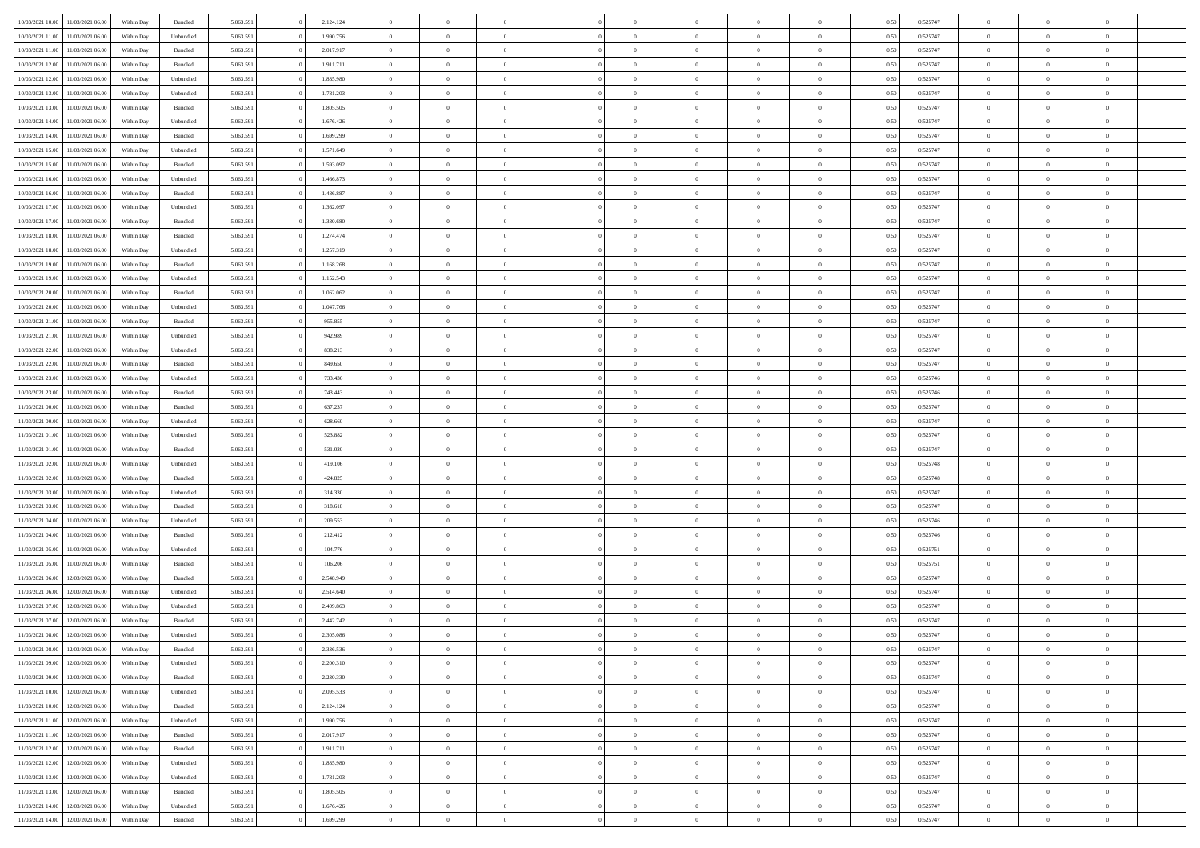| 10/03/2021 10:00                  | 11/03/2021 06:00 | Within Day | Bundled            | 5.063.591 | 2.124.124 | $\overline{0}$ | $\theta$       |                | $\Omega$       | $\Omega$       | $\overline{0}$ | $\theta$       | 0.50 | 0,525747 | $\theta$       | $\overline{0}$ | $\overline{0}$ |  |
|-----------------------------------|------------------|------------|--------------------|-----------|-----------|----------------|----------------|----------------|----------------|----------------|----------------|----------------|------|----------|----------------|----------------|----------------|--|
|                                   |                  |            |                    |           |           |                |                |                |                |                |                |                |      |          |                |                |                |  |
| 10/03/2021 11:00                  | 11/03/2021 06:00 | Within Day | Unbundled          | 5.063.591 | 1.990.756 | $\overline{0}$ | $\theta$       | $\overline{0}$ | $\overline{0}$ | $\bf{0}$       | $\overline{0}$ | $\bf{0}$       | 0,50 | 0,525747 | $\theta$       | $\overline{0}$ | $\overline{0}$ |  |
| 10/03/2021 11:00                  | 11/03/2021 06:00 | Within Day | Bundled            | 5.063.591 | 2.017.917 | $\overline{0}$ | $\bf{0}$       | $\overline{0}$ | $\bf{0}$       | $\bf{0}$       | $\bf{0}$       | $\mathbf{0}$   | 0,50 | 0,525747 | $\overline{0}$ | $\overline{0}$ | $\overline{0}$ |  |
| 10/03/2021 12:00                  | 11/03/2021 06:00 | Within Dav | Bundled            | 5.063.591 | 1.911.711 | $\overline{0}$ | $\overline{0}$ | $\overline{0}$ | $\overline{0}$ | $\bf{0}$       | $\overline{0}$ | $\overline{0}$ | 0.50 | 0,525747 | $\theta$       | $\overline{0}$ | $\overline{0}$ |  |
|                                   |                  |            |                    |           |           | $\overline{0}$ | $\theta$       | $\overline{0}$ | $\overline{0}$ | $\bf{0}$       | $\overline{0}$ |                |      |          | $\theta$       | $\overline{0}$ | $\overline{0}$ |  |
| 10/03/2021 12:00                  | 11/03/2021 06:00 | Within Day | Unbundled          | 5.063.591 | 1.885.980 |                |                |                |                |                |                | $\bf{0}$       | 0,50 | 0,525747 |                |                |                |  |
| 10/03/2021 13:00                  | 11/03/2021 06:00 | Within Day | Unbundled          | 5.063.591 | 1.781.203 | $\overline{0}$ | $\overline{0}$ | $\overline{0}$ | $\bf{0}$       | $\overline{0}$ | $\overline{0}$ | $\mathbf{0}$   | 0,50 | 0,525747 | $\overline{0}$ | $\overline{0}$ | $\bf{0}$       |  |
| 10/03/2021 13:00                  | 11/03/2021 06:00 | Within Dav | Bundled            | 5.063.591 | 1.805.505 | $\overline{0}$ | $\overline{0}$ | $\overline{0}$ | $\overline{0}$ | $\overline{0}$ | $\overline{0}$ | $\overline{0}$ | 0.50 | 0,525747 | $\theta$       | $\overline{0}$ | $\overline{0}$ |  |
| 10/03/2021 14:00                  | 11/03/2021 06:00 | Within Day | Unbundled          | 5.063.591 | 1.676.426 | $\overline{0}$ | $\theta$       | $\overline{0}$ | $\overline{0}$ | $\bf{0}$       | $\overline{0}$ | $\bf{0}$       | 0,50 | 0,525747 | $\theta$       | $\theta$       | $\overline{0}$ |  |
| 10/03/2021 14:00                  | 11/03/2021 06:00 | Within Day | Bundled            | 5.063.591 | 1.699.299 | $\overline{0}$ | $\overline{0}$ | $\overline{0}$ | $\bf{0}$       | $\bf{0}$       | $\bf{0}$       | $\bf{0}$       | 0,50 | 0,525747 | $\,0\,$        | $\overline{0}$ | $\overline{0}$ |  |
| 10/03/2021 15:00                  | 11/03/2021 06:00 | Within Dav | Unbundled          | 5.063.591 | 1.571.649 | $\overline{0}$ | $\overline{0}$ | $\overline{0}$ | $\overline{0}$ | $\overline{0}$ | $\overline{0}$ | $\overline{0}$ | 0.50 | 0,525747 | $\theta$       | $\overline{0}$ | $\overline{0}$ |  |
|                                   |                  |            |                    |           |           |                |                |                |                |                |                |                |      |          |                |                |                |  |
| 10/03/2021 15:00                  | 11/03/2021 06:00 | Within Day | Bundled            | 5.063.591 | 1.593.092 | $\overline{0}$ | $\theta$       | $\overline{0}$ | $\overline{0}$ | $\bf{0}$       | $\overline{0}$ | $\bf{0}$       | 0,50 | 0,525747 | $\,$ 0 $\,$    | $\overline{0}$ | $\overline{0}$ |  |
| 10/03/2021 16:00                  | 11/03/2021 06:00 | Within Day | Unbundled          | 5.063.591 | 1.466.873 | $\overline{0}$ | $\bf{0}$       | $\overline{0}$ | $\bf{0}$       | $\bf{0}$       | $\bf{0}$       | $\mathbf{0}$   | 0,50 | 0,525747 | $\overline{0}$ | $\overline{0}$ | $\bf{0}$       |  |
| 10/03/2021 16:00                  | 11/03/2021 06:00 | Within Day | Bundled            | 5.063.591 | 1.486.887 | $\overline{0}$ | $\overline{0}$ | $\overline{0}$ | $\overline{0}$ | $\overline{0}$ | $\overline{0}$ | $\overline{0}$ | 0.50 | 0,525747 | $\theta$       | $\theta$       | $\overline{0}$ |  |
| 10/03/2021 17:00                  | 11/03/2021 06:00 | Within Day | Unbundled          | 5.063.591 | 1.362.097 | $\overline{0}$ | $\theta$       | $\overline{0}$ | $\overline{0}$ | $\bf{0}$       | $\overline{0}$ | $\bf{0}$       | 0,50 | 0,525747 | $\theta$       | $\overline{0}$ | $\overline{0}$ |  |
| 10/03/2021 17:00                  | 11/03/2021 06:00 | Within Day | Bundled            | 5.063.591 | 1.380.680 | $\overline{0}$ | $\overline{0}$ | $\overline{0}$ | $\overline{0}$ | $\overline{0}$ | $\overline{0}$ | $\mathbf{0}$   | 0,50 | 0,525747 | $\bf{0}$       | $\overline{0}$ | $\bf{0}$       |  |
|                                   |                  |            |                    |           |           |                |                |                |                |                |                |                |      |          |                |                |                |  |
| 10/03/2021 18:00                  | 11/03/2021 06:00 | Within Dav | Bundled            | 5.063.591 | 1.274.474 | $\overline{0}$ | $\overline{0}$ | $\overline{0}$ | $\overline{0}$ | $\overline{0}$ | $\overline{0}$ | $\overline{0}$ | 0.50 | 0,525747 | $\theta$       | $\overline{0}$ | $\overline{0}$ |  |
| 10/03/2021 18:00                  | 11/03/2021 06:00 | Within Day | Unbundled          | 5.063.591 | 1.257.319 | $\overline{0}$ | $\theta$       | $\overline{0}$ | $\overline{0}$ | $\bf{0}$       | $\overline{0}$ | $\bf{0}$       | 0,50 | 0,525747 | $\theta$       | $\theta$       | $\overline{0}$ |  |
| 10/03/2021 19:00                  | 11/03/2021 06:00 | Within Day | Bundled            | 5.063.591 | 1.168.268 | $\overline{0}$ | $\overline{0}$ | $\overline{0}$ | $\overline{0}$ | $\bf{0}$       | $\overline{0}$ | $\bf{0}$       | 0,50 | 0,525747 | $\bf{0}$       | $\overline{0}$ | $\overline{0}$ |  |
| 10/03/2021 19:00                  | 11/03/2021 06:00 | Within Day | Unbundled          | 5.063.591 | 1.152.543 | $\overline{0}$ | $\overline{0}$ | $\overline{0}$ | $\overline{0}$ | $\overline{0}$ | $\overline{0}$ | $\overline{0}$ | 0.50 | 0,525747 | $\theta$       | $\overline{0}$ | $\overline{0}$ |  |
| 10/03/2021 20:00                  | 11/03/2021 06:00 | Within Day | Bundled            | 5.063.591 | 1.062.062 | $\overline{0}$ | $\theta$       | $\overline{0}$ | $\overline{0}$ | $\bf{0}$       | $\overline{0}$ | $\bf{0}$       | 0,50 | 0,525747 | $\,$ 0 $\,$    | $\overline{0}$ | $\overline{0}$ |  |
| 10/03/2021 20:00                  | 11/03/2021 06:00 | Within Day | Unbundled          | 5.063.591 | 1.047.766 | $\overline{0}$ | $\overline{0}$ | $\overline{0}$ | $\overline{0}$ | $\bf{0}$       | $\overline{0}$ | $\bf{0}$       | 0,50 | 0,525747 | $\bf{0}$       | $\overline{0}$ | $\bf{0}$       |  |
|                                   |                  |            |                    |           |           |                |                |                |                |                |                |                |      |          |                |                |                |  |
| 10/03/2021 21:00                  | 11/03/2021 06:00 | Within Day | Bundled            | 5.063.591 | 955.855   | $\overline{0}$ | $\overline{0}$ | $\overline{0}$ | $\overline{0}$ | $\bf{0}$       | $\overline{0}$ | $\overline{0}$ | 0.50 | 0,525747 | $\theta$       | $\overline{0}$ | $\overline{0}$ |  |
| 10/03/2021 21:00                  | 11/03/2021 06:00 | Within Day | Unbundled          | 5.063.591 | 942.989   | $\overline{0}$ | $\theta$       | $\overline{0}$ | $\overline{0}$ | $\bf{0}$       | $\overline{0}$ | $\bf{0}$       | 0,50 | 0,525747 | $\,$ 0 $\,$    | $\overline{0}$ | $\overline{0}$ |  |
| 10/03/2021 22:00                  | 11/03/2021 06:00 | Within Day | Unbundled          | 5.063.591 | 838.213   | $\overline{0}$ | $\overline{0}$ | $\overline{0}$ | $\overline{0}$ | $\overline{0}$ | $\overline{0}$ | $\mathbf{0}$   | 0,50 | 0,525747 | $\overline{0}$ | $\overline{0}$ | $\bf{0}$       |  |
| 10/03/2021 22.00                  | 11/03/2021 06:00 | Within Dav | Bundled            | 5.063.591 | 849.650   | $\overline{0}$ | $\overline{0}$ | $\overline{0}$ | $\overline{0}$ | $\overline{0}$ | $\overline{0}$ | $\overline{0}$ | 0.50 | 0,525747 | $\theta$       | $\overline{0}$ | $\overline{0}$ |  |
| 10/03/2021 23:00                  | 11/03/2021 06:00 | Within Day | Unbundled          | 5.063.591 | 733.436   | $\overline{0}$ | $\theta$       | $\overline{0}$ | $\overline{0}$ | $\bf{0}$       | $\overline{0}$ | $\bf{0}$       | 0,50 | 0,525746 | $\theta$       | $\theta$       | $\overline{0}$ |  |
| 10/03/2021 23:00                  | 11/03/2021 06:00 | Within Day | Bundled            | 5.063.591 | 743.443   | $\overline{0}$ | $\overline{0}$ | $\overline{0}$ | $\overline{0}$ | $\bf{0}$       | $\overline{0}$ | $\bf{0}$       | 0,50 | 0,525746 | $\,0\,$        | $\overline{0}$ | $\overline{0}$ |  |
|                                   | 11/03/2021 06:00 |            | Bundled            | 5.063.591 | 637.237   | $\overline{0}$ | $\overline{0}$ | $\overline{0}$ | $\overline{0}$ | $\overline{0}$ | $\overline{0}$ | $\overline{0}$ | 0.50 | 0,525747 | $\theta$       | $\overline{0}$ | $\overline{0}$ |  |
| 11/03/2021 00:00                  |                  | Within Day |                    |           |           |                |                |                |                |                |                |                |      |          |                |                |                |  |
| 11/03/2021 00:00                  | 11/03/2021 06:00 | Within Day | Unbundled          | 5.063.591 | 628.660   | $\overline{0}$ | $\theta$       | $\overline{0}$ | $\overline{0}$ | $\bf{0}$       | $\overline{0}$ | $\bf{0}$       | 0,50 | 0,525747 | $\,$ 0 $\,$    | $\overline{0}$ | $\overline{0}$ |  |
| 11/03/2021 01:00                  | 11/03/2021 06:00 | Within Day | Unbundled          | 5.063.591 | 523.882   | $\overline{0}$ | $\overline{0}$ | $\overline{0}$ | $\overline{0}$ | $\bf{0}$       | $\overline{0}$ | $\bf{0}$       | 0,50 | 0,525747 | $\overline{0}$ | $\overline{0}$ | $\bf{0}$       |  |
| 11/03/2021 01:00                  | 11/03/2021 06.00 | Within Day | Bundled            | 5.063.591 | 531.030   | $\overline{0}$ | $\Omega$       | $\Omega$       | $\Omega$       | $\Omega$       | $\overline{0}$ | $\overline{0}$ | 0,50 | 0,525747 | $\,0\,$        | $\theta$       | $\theta$       |  |
| 11/03/2021 02:00                  | 11/03/2021 06:00 | Within Day | Unbundled          | 5.063.591 | 419.106   | $\overline{0}$ | $\theta$       | $\overline{0}$ | $\overline{0}$ | $\bf{0}$       | $\overline{0}$ | $\bf{0}$       | 0,50 | 0,525748 | $\,$ 0 $\,$    | $\overline{0}$ | $\overline{0}$ |  |
| 11/03/2021 02:00                  | 11/03/2021 06:00 | Within Day | Bundled            | 5.063.591 | 424.825   | $\overline{0}$ | $\overline{0}$ | $\overline{0}$ | $\overline{0}$ | $\overline{0}$ | $\overline{0}$ | $\mathbf{0}$   | 0,50 | 0,525748 | $\overline{0}$ | $\overline{0}$ | $\bf{0}$       |  |
| 11/03/2021 03:00                  | 11/03/2021 06:00 | Within Day | Unbundled          | 5.063.591 | 314.330   | $\overline{0}$ | $\Omega$       | $\Omega$       | $\Omega$       | $\bf{0}$       | $\overline{0}$ | $\overline{0}$ | 0.50 | 0,525747 | $\,0\,$        | $\theta$       | $\theta$       |  |
|                                   |                  |            |                    |           |           |                |                |                |                |                |                |                |      |          |                |                |                |  |
| 11/03/2021 03:00                  | 11/03/2021 06:00 | Within Day | Bundled            | 5.063.591 | 318.618   | $\overline{0}$ | $\theta$       | $\overline{0}$ | $\overline{0}$ | $\bf{0}$       | $\overline{0}$ | $\bf{0}$       | 0,50 | 0,525747 | $\,$ 0 $\,$    | $\overline{0}$ | $\overline{0}$ |  |
| 11/03/2021 04:00                  | 11/03/2021 06:00 | Within Day | Unbundled          | 5.063.591 | 209.553   | $\overline{0}$ | $\overline{0}$ | $\overline{0}$ | $\overline{0}$ | $\bf{0}$       | $\overline{0}$ | $\bf{0}$       | 0,50 | 0,525746 | $\bf{0}$       | $\overline{0}$ | $\bf{0}$       |  |
| 11/03/2021 04:00                  | 11/03/2021 06:00 | Within Day | Bundled            | 5.063.591 | 212.412   | $\overline{0}$ | $\Omega$       | $\Omega$       | $\Omega$       | $\theta$       | $\overline{0}$ | $\overline{0}$ | 0.50 | 0,525746 | $\,$ 0 $\,$    | $\theta$       | $\theta$       |  |
| 11/03/2021 05:00                  | 11/03/2021 06:00 | Within Day | Unbundled          | 5.063.591 | 104.776   | $\overline{0}$ | $\overline{0}$ | $\overline{0}$ | $\overline{0}$ | $\bf{0}$       | $\overline{0}$ | $\bf{0}$       | 0,50 | 0,525751 | $\,$ 0 $\,$    | $\overline{0}$ | $\overline{0}$ |  |
| 11/03/2021 05:00                  | 11/03/2021 06:00 | Within Day | Bundled            | 5.063.591 | 106.206   | $\overline{0}$ | $\overline{0}$ | $\overline{0}$ | $\bf{0}$       | $\bf{0}$       | $\bf{0}$       | $\bf{0}$       | 0,50 | 0,525751 | $\overline{0}$ | $\overline{0}$ | $\bf{0}$       |  |
| 11/03/2021 06:00                  | 12/03/2021 06:00 | Within Day | Bundled            | 5.063.591 | 2.548.949 | $\overline{0}$ | $\Omega$       | $\overline{0}$ | $\Omega$       | $\bf{0}$       | $\overline{0}$ | $\overline{0}$ | 0,50 | 0,525747 | $\,0\,$        | $\theta$       | $\theta$       |  |
|                                   |                  |            |                    |           |           | $\overline{0}$ | $\overline{0}$ | $\overline{0}$ | $\overline{0}$ |                | $\overline{0}$ |                |      |          | $\,$ 0 $\,$    | $\overline{0}$ | $\overline{0}$ |  |
| 11/03/2021 06:00                  | 12/03/2021 06:00 | Within Day | Unbundled          | 5.063.591 | 2.514.640 |                |                |                |                | $\,$ 0         |                | $\bf{0}$       | 0,50 | 0,525747 |                |                |                |  |
| 11/03/2021 07:00                  | 12/03/2021 06:00 | Within Day | Unbundled          | 5.063.591 | 2.409.863 | $\overline{0}$ | $\overline{0}$ | $\overline{0}$ | $\bf{0}$       | $\bf{0}$       | $\overline{0}$ | $\mathbf{0}$   | 0,50 | 0,525747 | $\overline{0}$ | $\overline{0}$ | $\bf{0}$       |  |
| 11/03/2021 07:00                  | 12/03/2021 06:00 | Within Day | Bundled            | 5.063.591 | 2.442.742 | $\overline{0}$ | $\Omega$       | $\Omega$       | $\Omega$       | $\Omega$       | $\Omega$       | $\overline{0}$ | 0.50 | 0,525747 | $\theta$       | $\theta$       | $\theta$       |  |
| 11/03/2021 08:00                  | 12/03/2021 06:00 | Within Day | Unbundled          | 5.063.591 | 2.305.086 | $\overline{0}$ | $\overline{0}$ | $\overline{0}$ | $\bf{0}$       | $\,$ 0         | $\bf{0}$       | $\bf{0}$       | 0,50 | 0,525747 | $\,0\,$        | $\,$ 0 $\,$    | $\overline{0}$ |  |
| 11/03/2021 08:00                  | 12/03/2021 06:00 | Within Day | $\mathbf B$ undled | 5.063.591 | 2.336.536 | $\bf{0}$       | $\bf{0}$       |                |                |                |                |                | 0,50 | 0,525747 | $\bf{0}$       | $\overline{0}$ |                |  |
| 11/03/2021 09:00                  | 12/03/2021 06:00 | Within Day | Unbundled          | 5.063.591 | 2.200.310 | $\overline{0}$ | $\Omega$       | $\Omega$       | $\Omega$       | $\theta$       | $\overline{0}$ | $\overline{0}$ | 0,50 | 0,525747 | $\theta$       | $\theta$       | $\theta$       |  |
| 11/03/2021 09:00                  | 12/03/2021 06:00 | Within Day | Bundled            | 5.063.591 | 2.230.330 | $\overline{0}$ | $\,$ 0         | $\overline{0}$ | $\overline{0}$ | $\,$ 0 $\,$    | $\overline{0}$ | $\mathbf{0}$   | 0,50 | 0,525747 | $\,$ 0 $\,$    | $\,$ 0 $\,$    | $\,$ 0         |  |
|                                   |                  |            |                    |           |           |                |                |                |                |                |                |                |      |          |                |                |                |  |
| 11/03/2021 10:00                  | 12/03/2021 06:00 | Within Day | Unbundled          | 5.063.591 | 2.095.533 | $\overline{0}$ | $\overline{0}$ | $\overline{0}$ | $\overline{0}$ | $\overline{0}$ | $\overline{0}$ | $\mathbf{0}$   | 0,50 | 0,525747 | $\overline{0}$ | $\bf{0}$       | $\bf{0}$       |  |
| 11/03/2021 10:00                  | 12/03/2021 06:00 | Within Day | Bundled            | 5.063.591 | 2.124.124 | $\overline{0}$ | $\overline{0}$ | $\overline{0}$ | $\Omega$       | $\overline{0}$ | $\overline{0}$ | $\bf{0}$       | 0,50 | 0,525747 | $\overline{0}$ | $\theta$       | $\overline{0}$ |  |
| 11/03/2021 11:00                  | 12/03/2021 06:00 | Within Day | Unbundled          | 5.063.591 | 1.990.756 | $\overline{0}$ | $\,$ 0         | $\overline{0}$ | $\overline{0}$ | $\overline{0}$ | $\overline{0}$ | $\bf{0}$       | 0,50 | 0,525747 | $\,$ 0 $\,$    | $\overline{0}$ | $\overline{0}$ |  |
| 11/03/2021 11:00                  | 12/03/2021 06:00 | Within Day | Bundled            | 5.063.591 | 2.017.917 | $\overline{0}$ | $\overline{0}$ | $\overline{0}$ | $\overline{0}$ | $\overline{0}$ | $\overline{0}$ | $\mathbf{0}$   | 0,50 | 0,525747 | $\overline{0}$ | $\overline{0}$ | $\bf{0}$       |  |
| 11/03/2021 12:00                  | 12/03/2021 06:00 | Within Day | Bundled            | 5.063.591 | 1.911.711 | $\overline{0}$ | $\overline{0}$ | $\overline{0}$ | $\Omega$       | $\overline{0}$ | $\overline{0}$ | $\bf{0}$       | 0.50 | 0,525747 | $\overline{0}$ | $\theta$       | $\overline{0}$ |  |
| 11/03/2021 12:00                  | 12/03/2021 06:00 | Within Day | Unbundled          | 5.063.591 | 1.885.980 | $\overline{0}$ | $\,$ 0         | $\overline{0}$ | $\overline{0}$ | $\bf{0}$       | $\overline{0}$ | $\bf{0}$       | 0,50 | 0,525747 | $\,$ 0 $\,$    | $\overline{0}$ | $\overline{0}$ |  |
| 11/03/2021 13:00                  | 12/03/2021 06:00 | Within Day | Unbundled          | 5.063.591 | 1.781.203 | $\overline{0}$ | $\bf{0}$       | $\overline{0}$ | $\overline{0}$ | $\overline{0}$ | $\overline{0}$ | $\mathbf{0}$   | 0,50 | 0,525747 | $\overline{0}$ | $\overline{0}$ | $\bf{0}$       |  |
|                                   |                  |            |                    |           |           |                |                |                |                |                |                |                |      |          |                |                |                |  |
| 11/03/2021 13:00                  | 12/03/2021 06:00 | Within Day | Bundled            | 5.063.591 | 1.805.505 | $\overline{0}$ | $\overline{0}$ | $\overline{0}$ | $\Omega$       | $\overline{0}$ | $\overline{0}$ | $\bf{0}$       | 0.50 | 0,525747 | $\overline{0}$ | $\theta$       | $\overline{0}$ |  |
| 11/03/2021 14:00                  | 12/03/2021 06:00 | Within Day | Unbundled          | 5.063.591 | 1.676.426 | $\overline{0}$ | $\bf{0}$       | $\overline{0}$ | $\overline{0}$ | $\bf{0}$       | $\overline{0}$ | $\mathbf{0}$   | 0,50 | 0,525747 | $\,$ 0 $\,$    | $\,$ 0 $\,$    | $\bf{0}$       |  |
| 11/03/2021 14:00 12/03/2021 06:00 |                  | Within Day | Bundled            | 5.063.591 | 1.699.299 | $\overline{0}$ | $\overline{0}$ | $\overline{0}$ | $\overline{0}$ | $\bf{0}$       | $\overline{0}$ | $\mathbf{0}$   | 0,50 | 0,525747 | $\overline{0}$ | $\bf{0}$       | $\bf{0}$       |  |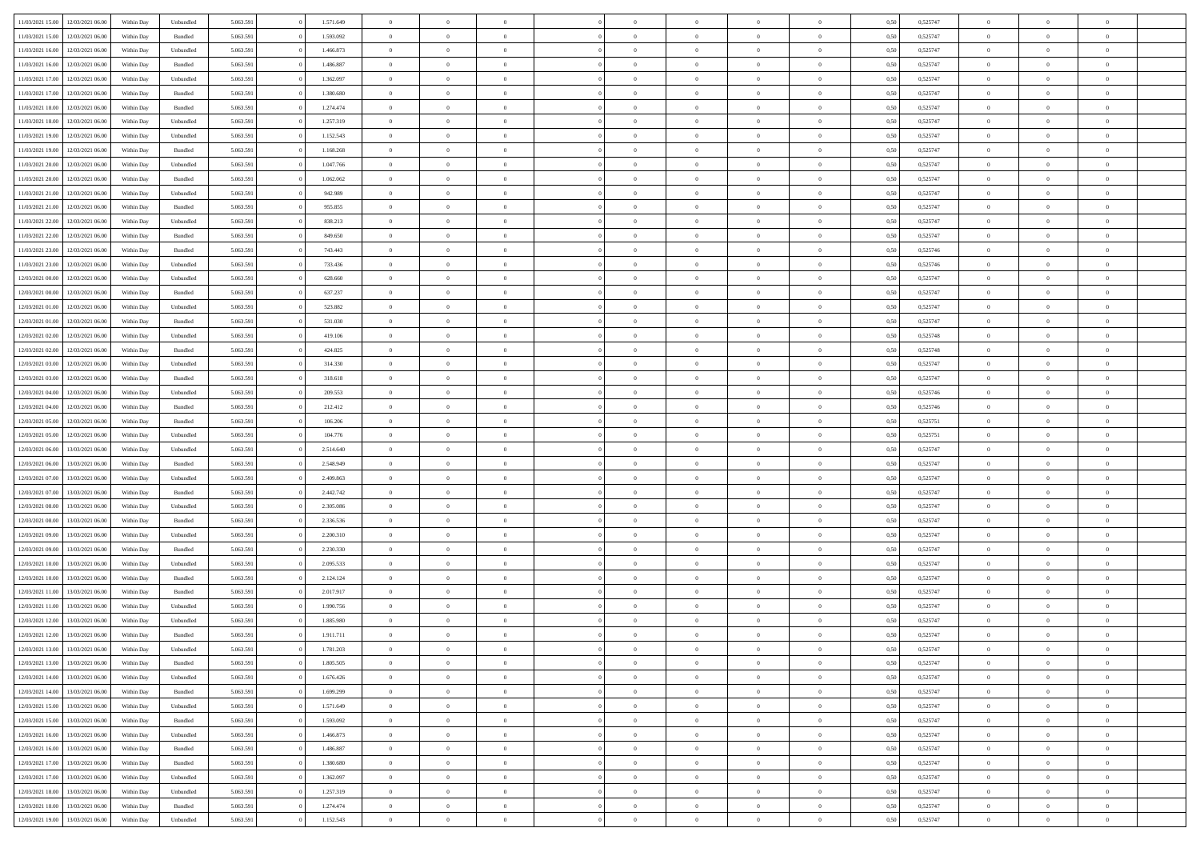| 11/03/2021 15:00                  | 12/03/2021 06:00 | Within Day | Unbundled | 5.063.591 | 1.571.649 | $\overline{0}$ | $\theta$       |                | $\Omega$       | $\Omega$       | $\overline{0}$ | $\theta$       | 0.50 | 0,525747 | $\theta$       | $\overline{0}$ | $\overline{0}$ |  |
|-----------------------------------|------------------|------------|-----------|-----------|-----------|----------------|----------------|----------------|----------------|----------------|----------------|----------------|------|----------|----------------|----------------|----------------|--|
|                                   |                  |            |           |           |           |                |                |                |                |                |                |                |      |          |                |                |                |  |
| 11/03/2021 15:00                  | 12/03/2021 06:00 | Within Day | Bundled   | 5.063.591 | 1.593.092 | $\overline{0}$ | $\theta$       | $\overline{0}$ | $\overline{0}$ | $\bf{0}$       | $\overline{0}$ | $\bf{0}$       | 0,50 | 0,525747 | $\theta$       | $\overline{0}$ | $\overline{0}$ |  |
| 11/03/2021 16:00                  | 12/03/2021 06:00 | Within Day | Unbundled | 5.063.591 | 1.466.873 | $\overline{0}$ | $\bf{0}$       | $\overline{0}$ | $\overline{0}$ | $\bf{0}$       | $\overline{0}$ | $\mathbf{0}$   | 0,50 | 0,525747 | $\overline{0}$ | $\overline{0}$ | $\overline{0}$ |  |
| 11/03/2021 16:00                  | 12/03/2021 06:00 | Within Dav | Bundled   | 5.063.591 | 1.486.887 | $\overline{0}$ | $\overline{0}$ | $\overline{0}$ | $\overline{0}$ | $\bf{0}$       | $\overline{0}$ | $\overline{0}$ | 0.50 | 0,525747 | $\theta$       | $\theta$       | $\overline{0}$ |  |
| 11/03/2021 17:00                  | 12/03/2021 06:00 | Within Day | Unbundled | 5.063.591 | 1.362.097 | $\overline{0}$ | $\theta$       | $\overline{0}$ | $\overline{0}$ | $\bf{0}$       | $\overline{0}$ | $\bf{0}$       | 0,50 | 0,525747 | $\theta$       | $\overline{0}$ | $\overline{0}$ |  |
| 11/03/2021 17:00                  | 12/03/2021 06:00 | Within Day | Bundled   | 5.063.591 | 1.380.680 | $\overline{0}$ | $\overline{0}$ | $\overline{0}$ | $\bf{0}$       | $\overline{0}$ | $\overline{0}$ | $\mathbf{0}$   | 0,50 | 0,525747 | $\overline{0}$ | $\overline{0}$ | $\bf{0}$       |  |
|                                   |                  |            |           |           |           |                | $\overline{0}$ |                |                | $\overline{0}$ |                |                |      |          | $\theta$       | $\overline{0}$ | $\overline{0}$ |  |
| 11/03/2021 18:00                  | 12/03/2021 06:00 | Within Dav | Bundled   | 5.063.591 | 1.274.474 | $\overline{0}$ |                | $\overline{0}$ | $\overline{0}$ |                | $\overline{0}$ | $\overline{0}$ | 0.50 | 0,525747 |                |                |                |  |
| 11/03/2021 18:00                  | 12/03/2021 06:00 | Within Day | Unbundled | 5.063.591 | 1.257.319 | $\overline{0}$ | $\theta$       | $\overline{0}$ | $\overline{0}$ | $\bf{0}$       | $\overline{0}$ | $\bf{0}$       | 0,50 | 0,525747 | $\theta$       | $\theta$       | $\overline{0}$ |  |
| 11/03/2021 19:00                  | 12/03/2021 06:00 | Within Day | Unbundled | 5.063.591 | 1.152.543 | $\overline{0}$ | $\overline{0}$ | $\overline{0}$ | $\bf{0}$       | $\bf{0}$       | $\bf{0}$       | $\bf{0}$       | 0,50 | 0,525747 | $\,0\,$        | $\overline{0}$ | $\overline{0}$ |  |
| 11/03/2021 19:00                  | 12/03/2021 06:00 | Within Dav | Bundled   | 5.063.591 | 1.168.268 | $\overline{0}$ | $\overline{0}$ | $\overline{0}$ | $\overline{0}$ | $\overline{0}$ | $\overline{0}$ | $\overline{0}$ | 0.50 | 0,525747 | $\theta$       | $\overline{0}$ | $\overline{0}$ |  |
| 11/03/2021 20:00                  | 12/03/2021 06:00 | Within Day | Unbundled | 5.063.591 | 1.047.766 | $\overline{0}$ | $\theta$       | $\overline{0}$ | $\overline{0}$ | $\bf{0}$       | $\overline{0}$ | $\bf{0}$       | 0,50 | 0,525747 | $\,$ 0 $\,$    | $\overline{0}$ | $\overline{0}$ |  |
| 11/03/2021 20.00                  | 12/03/2021 06:00 | Within Day | Bundled   | 5.063.591 | 1.062.062 | $\overline{0}$ | $\bf{0}$       | $\overline{0}$ | $\bf{0}$       | $\bf{0}$       | $\bf{0}$       | $\mathbf{0}$   | 0,50 | 0,525747 | $\overline{0}$ | $\overline{0}$ | $\bf{0}$       |  |
| 11/03/2021 21:00                  | 12/03/2021 06:00 | Within Dav | Unbundled | 5.063.591 | 942.989   | $\overline{0}$ | $\overline{0}$ | $\overline{0}$ | $\overline{0}$ | $\bf{0}$       | $\overline{0}$ | $\overline{0}$ | 0.50 | 0,525747 | $\theta$       | $\theta$       | $\overline{0}$ |  |
|                                   |                  |            |           |           |           | $\overline{0}$ | $\theta$       | $\overline{0}$ | $\overline{0}$ | $\bf{0}$       | $\overline{0}$ |                |      |          | $\theta$       | $\overline{0}$ | $\overline{0}$ |  |
| 11/03/2021 21:00                  | 12/03/2021 06:00 | Within Day | Bundled   | 5.063.591 | 955.855   |                |                |                |                |                |                | $\bf{0}$       | 0,50 | 0,525747 |                |                |                |  |
| 11/03/2021 22.00                  | 12/03/2021 06:00 | Within Day | Unbundled | 5.063.591 | 838.213   | $\overline{0}$ | $\overline{0}$ | $\overline{0}$ | $\bf{0}$       | $\overline{0}$ | $\overline{0}$ | $\mathbf{0}$   | 0,50 | 0,525747 | $\overline{0}$ | $\overline{0}$ | $\bf{0}$       |  |
| 11/03/2021 22:00                  | 12/03/2021 06:00 | Within Dav | Bundled   | 5.063.591 | 849.650   | $\overline{0}$ | $\overline{0}$ | $\overline{0}$ | $\overline{0}$ | $\overline{0}$ | $\overline{0}$ | $\overline{0}$ | 0.50 | 0,525747 | $\theta$       | $\overline{0}$ | $\overline{0}$ |  |
| 11/03/2021 23:00                  | 12/03/2021 06:00 | Within Day | Bundled   | 5.063.591 | 743.443   | $\overline{0}$ | $\theta$       | $\overline{0}$ | $\overline{0}$ | $\bf{0}$       | $\overline{0}$ | $\bf{0}$       | 0,50 | 0,525746 | $\theta$       | $\theta$       | $\overline{0}$ |  |
| 11/03/2021 23.00                  | 12/03/2021 06:00 | Within Day | Unbundled | 5.063.591 | 733.436   | $\overline{0}$ | $\overline{0}$ | $\overline{0}$ | $\bf{0}$       | $\bf{0}$       | $\bf{0}$       | $\bf{0}$       | 0,50 | 0,525746 | $\bf{0}$       | $\overline{0}$ | $\overline{0}$ |  |
| 12/03/2021 00:00                  | 12/03/2021 06:00 | Within Day | Unbundled | 5.063.591 | 628.660   | $\overline{0}$ | $\overline{0}$ | $\overline{0}$ | $\overline{0}$ | $\overline{0}$ | $\overline{0}$ | $\overline{0}$ | 0.50 | 0,525747 | $\theta$       | $\overline{0}$ | $\overline{0}$ |  |
| 12/03/2021 00:00                  | 12/03/2021 06:00 | Within Day | Bundled   | 5.063.591 | 637.237   | $\overline{0}$ | $\theta$       | $\overline{0}$ | $\overline{0}$ | $\bf{0}$       | $\overline{0}$ | $\bf{0}$       | 0,50 | 0,525747 | $\,$ 0 $\,$    | $\overline{0}$ | $\overline{0}$ |  |
|                                   |                  |            |           |           |           |                |                |                |                |                |                |                |      |          |                |                |                |  |
| 12/03/2021 01:00                  | 12/03/2021 06:00 | Within Day | Unbundled | 5.063.591 | 523.882   | $\overline{0}$ | $\overline{0}$ | $\overline{0}$ | $\bf{0}$       | $\bf{0}$       | $\bf{0}$       | $\bf{0}$       | 0,50 | 0,525747 | $\overline{0}$ | $\overline{0}$ | $\bf{0}$       |  |
| 12/03/2021 01:00                  | 12/03/2021 06:00 | Within Day | Bundled   | 5.063.591 | 531.030   | $\overline{0}$ | $\overline{0}$ | $\overline{0}$ | $\overline{0}$ | $\bf{0}$       | $\overline{0}$ | $\overline{0}$ | 0.50 | 0,525747 | $\theta$       | $\overline{0}$ | $\overline{0}$ |  |
| 12/03/2021 02:00                  | 12/03/2021 06:00 | Within Day | Unbundled | 5.063.591 | 419.106   | $\overline{0}$ | $\theta$       | $\overline{0}$ | $\overline{0}$ | $\bf{0}$       | $\overline{0}$ | $\bf{0}$       | 0,50 | 0,525748 | $\,$ 0 $\,$    | $\overline{0}$ | $\overline{0}$ |  |
| 12/03/2021 02:00                  | 12/03/2021 06:00 | Within Day | Bundled   | 5.063.591 | 424.825   | $\overline{0}$ | $\overline{0}$ | $\overline{0}$ | $\bf{0}$       | $\overline{0}$ | $\overline{0}$ | $\mathbf{0}$   | 0,50 | 0,525748 | $\overline{0}$ | $\overline{0}$ | $\bf{0}$       |  |
| 12/03/2021 03:00                  | 12/03/2021 06:00 | Within Dav | Unbundled | 5.063.591 | 314.330   | $\overline{0}$ | $\overline{0}$ | $\overline{0}$ | $\overline{0}$ | $\overline{0}$ | $\overline{0}$ | $\overline{0}$ | 0.50 | 0,525747 | $\theta$       | $\overline{0}$ | $\overline{0}$ |  |
| 12/03/2021 03:00                  | 12/03/2021 06:00 | Within Day | Bundled   | 5.063.591 | 318.618   | $\overline{0}$ | $\theta$       | $\overline{0}$ | $\overline{0}$ | $\bf{0}$       | $\overline{0}$ | $\bf{0}$       | 0,50 | 0,525747 | $\theta$       | $\theta$       | $\overline{0}$ |  |
| 12/03/2021 04:00                  | 12/03/2021 06:00 | Within Day | Unbundled | 5.063.591 | 209.553   | $\overline{0}$ | $\overline{0}$ | $\overline{0}$ | $\bf{0}$       | $\bf{0}$       | $\bf{0}$       | $\bf{0}$       | 0,50 | 0,525746 | $\,0\,$        | $\overline{0}$ | $\overline{0}$ |  |
| 12/03/2021 04:00                  | 12/03/2021 06:00 |            | Bundled   | 5.063.591 | 212.412   | $\overline{0}$ | $\overline{0}$ | $\overline{0}$ | $\overline{0}$ | $\overline{0}$ | $\overline{0}$ | $\overline{0}$ | 0.50 | 0,525746 | $\theta$       | $\overline{0}$ | $\overline{0}$ |  |
|                                   |                  | Within Day |           |           |           |                |                |                |                |                |                |                |      |          |                |                |                |  |
| 12/03/2021 05:00                  | 12/03/2021 06:00 | Within Day | Bundled   | 5.063.591 | 106.206   | $\overline{0}$ | $\theta$       | $\overline{0}$ | $\overline{0}$ | $\bf{0}$       | $\overline{0}$ | $\bf{0}$       | 0,50 | 0,525751 | $\,$ 0 $\,$    | $\overline{0}$ | $\overline{0}$ |  |
| 12/03/2021 05:00                  | 12/03/2021 06:00 | Within Day | Unbundled | 5.063.591 | 104.776   | $\overline{0}$ | $\overline{0}$ | $\overline{0}$ | $\bf{0}$       | $\bf{0}$       | $\bf{0}$       | $\bf{0}$       | 0,50 | 0,525751 | $\overline{0}$ | $\overline{0}$ | $\bf{0}$       |  |
| 12/03/2021 06:00                  | 13/03/2021 06:00 | Within Day | Unbundled | 5.063.591 | 2.514.640 | $\overline{0}$ | $\Omega$       | $\Omega$       | $\Omega$       | $\Omega$       | $\overline{0}$ | $\overline{0}$ | 0,50 | 0,525747 | $\,0\,$        | $\theta$       | $\theta$       |  |
| 12/03/2021 06:00                  | 13/03/2021 06:00 | Within Day | Bundled   | 5.063.591 | 2.548.949 | $\overline{0}$ | $\theta$       | $\overline{0}$ | $\overline{0}$ | $\bf{0}$       | $\overline{0}$ | $\bf{0}$       | 0,50 | 0,525747 | $\theta$       | $\overline{0}$ | $\overline{0}$ |  |
| 12/03/2021 07:00                  | 13/03/2021 06:00 | Within Day | Unbundled | 5.063.591 | 2.409.863 | $\overline{0}$ | $\overline{0}$ | $\overline{0}$ | $\bf{0}$       | $\overline{0}$ | $\overline{0}$ | $\mathbf{0}$   | 0,50 | 0,525747 | $\overline{0}$ | $\overline{0}$ | $\bf{0}$       |  |
| 12/03/2021 07:00                  | 13/03/2021 06:00 | Within Day | Bundled   | 5.063.591 | 2.442.742 | $\overline{0}$ | $\Omega$       | $\Omega$       | $\Omega$       | $\bf{0}$       | $\overline{0}$ | $\overline{0}$ | 0.50 | 0,525747 | $\,0\,$        | $\theta$       | $\theta$       |  |
| 12/03/2021 08:00                  | 13/03/2021 06:00 | Within Day | Unbundled | 5.063.591 | 2.305.086 | $\overline{0}$ | $\theta$       | $\overline{0}$ | $\overline{0}$ | $\bf{0}$       | $\overline{0}$ | $\bf{0}$       | 0,50 | 0,525747 | $\,$ 0 $\,$    | $\overline{0}$ | $\overline{0}$ |  |
|                                   |                  |            |           |           |           |                |                |                |                |                |                |                |      |          |                |                |                |  |
| 12/03/2021 08:00                  | 13/03/2021 06:00 | Within Day | Bundled   | 5.063.591 | 2.336.536 | $\overline{0}$ | $\overline{0}$ | $\overline{0}$ | $\bf{0}$       | $\bf{0}$       | $\bf{0}$       | $\bf{0}$       | 0,50 | 0,525747 | $\bf{0}$       | $\overline{0}$ | $\bf{0}$       |  |
| 12/03/2021 09:00                  | 13/03/2021 06:00 | Within Day | Unbundled | 5.063.591 | 2.200.310 | $\overline{0}$ | $\Omega$       | $\Omega$       | $\Omega$       | $\overline{0}$ | $\overline{0}$ | $\overline{0}$ | 0.50 | 0,525747 | $\,$ 0 $\,$    | $\theta$       | $\theta$       |  |
| 12/03/2021 09:00                  | 13/03/2021 06:00 | Within Day | Bundled   | 5.063.591 | 2.230.330 | $\overline{0}$ | $\theta$       | $\overline{0}$ | $\overline{0}$ | $\bf{0}$       | $\overline{0}$ | $\bf{0}$       | 0,50 | 0,525747 | $\,$ 0 $\,$    | $\overline{0}$ | $\overline{0}$ |  |
| 12/03/2021 10:00                  | 13/03/2021 06:00 | Within Day | Unbundled | 5.063.591 | 2.095.533 | $\overline{0}$ | $\bf{0}$       | $\overline{0}$ | $\bf{0}$       | $\bf{0}$       | $\bf{0}$       | $\bf{0}$       | 0,50 | 0,525747 | $\overline{0}$ | $\overline{0}$ | $\bf{0}$       |  |
| 12/03/2021 10:00                  | 13/03/2021 06:00 | Within Day | Bundled   | 5.063.591 | 2.124.124 | $\overline{0}$ | $\Omega$       | $\overline{0}$ | $\Omega$       | $\bf{0}$       | $\overline{0}$ | $\overline{0}$ | 0,50 | 0,525747 | $\,0\,$        | $\theta$       | $\theta$       |  |
| 12/03/2021 11:00                  | 13/03/2021 06:00 | Within Day | Bundled   | 5.063.591 | 2.017.917 | $\overline{0}$ | $\overline{0}$ | $\overline{0}$ | $\overline{0}$ | $\,$ 0         | $\overline{0}$ | $\bf{0}$       | 0,50 | 0,525747 | $\,$ 0 $\,$    | $\overline{0}$ | $\overline{0}$ |  |
| 12/03/2021 11:00                  | 13/03/2021 06:00 | Within Day | Unbundled | 5.063.591 | 1.990.756 | $\overline{0}$ | $\overline{0}$ | $\overline{0}$ | $\bf{0}$       | $\bf{0}$       | $\bf{0}$       | $\mathbf{0}$   | 0,50 | 0,525747 | $\overline{0}$ | $\overline{0}$ | $\bf{0}$       |  |
| 12/03/2021 12:00                  | 13/03/2021 06:00 |            | Unbundled | 5.063.591 | 1.885.980 | $\overline{0}$ | $\Omega$       | $\Omega$       | $\Omega$       | $\Omega$       | $\Omega$       | $\overline{0}$ | 0.50 | 0,525747 | $\theta$       | $\theta$       | $\theta$       |  |
|                                   |                  | Within Day |           |           |           |                |                |                |                |                |                |                |      |          |                |                |                |  |
| 12/03/2021 12:00                  | 13/03/2021 06:00 | Within Day | Bundled   | 5.063.591 | 1.911.711 | $\overline{0}$ | $\overline{0}$ | $\overline{0}$ | $\bf{0}$       | $\,$ 0         | $\bf{0}$       | $\bf{0}$       | 0,50 | 0,525747 | $\,0\,$        | $\,$ 0 $\,$    | $\overline{0}$ |  |
| 12/03/2021 13:00 13/03/2021 06:00 |                  | Within Day | Unbundled | 5.063.591 | 1.781.203 | $\bf{0}$       | $\bf{0}$       |                |                |                |                |                | 0,50 | 0,525747 | $\bf{0}$       | $\overline{0}$ |                |  |
| 12/03/2021 13:00                  | 13/03/2021 06:00 | Within Day | Bundled   | 5.063.591 | 1.805.505 | $\overline{0}$ | $\overline{0}$ | $\overline{0}$ | $\Omega$       | $\theta$       | $\overline{0}$ | $\overline{0}$ | 0,50 | 0,525747 | $\theta$       | $\theta$       | $\theta$       |  |
| 12/03/2021 14:00                  | 13/03/2021 06:00 | Within Day | Unbundled | 5.063.591 | 1.676.426 | $\overline{0}$ | $\,$ 0         | $\overline{0}$ | $\bf{0}$       | $\,$ 0 $\,$    | $\overline{0}$ | $\mathbf{0}$   | 0,50 | 0,525747 | $\,$ 0 $\,$    | $\,$ 0 $\,$    | $\,$ 0         |  |
| 12/03/2021 14:00                  | 13/03/2021 06:00 | Within Day | Bundled   | 5.063.591 | 1.699.299 | $\overline{0}$ | $\overline{0}$ | $\overline{0}$ | $\overline{0}$ | $\overline{0}$ | $\overline{0}$ | $\mathbf{0}$   | 0,50 | 0,525747 | $\overline{0}$ | $\bf{0}$       | $\bf{0}$       |  |
| 12/03/2021 15:00                  | 13/03/2021 06:00 | Within Day | Unbundled | 5.063.591 | 1.571.649 | $\overline{0}$ | $\overline{0}$ | $\overline{0}$ | $\Omega$       | $\overline{0}$ | $\overline{0}$ | $\bf{0}$       | 0,50 | 0,525747 | $\overline{0}$ | $\theta$       | $\overline{0}$ |  |
| 12/03/2021 15:00                  | 13/03/2021 06:00 | Within Day | Bundled   | 5.063.591 | 1.593.092 | $\overline{0}$ | $\,$ 0         | $\overline{0}$ | $\overline{0}$ | $\overline{0}$ | $\overline{0}$ | $\bf{0}$       | 0,50 | 0,525747 | $\,$ 0 $\,$    | $\overline{0}$ | $\overline{0}$ |  |
|                                   |                  |            |           |           |           |                |                |                |                |                |                |                |      |          |                |                |                |  |
| 12/03/2021 16:00                  | 13/03/2021 06:00 | Within Day | Unbundled | 5.063.591 | 1.466.873 | $\overline{0}$ | $\overline{0}$ | $\overline{0}$ | $\overline{0}$ | $\overline{0}$ | $\overline{0}$ | $\mathbf{0}$   | 0,50 | 0,525747 | $\overline{0}$ | $\overline{0}$ | $\bf{0}$       |  |
| 12/03/2021 16:00                  | 13/03/2021 06:00 | Within Day | Bundled   | 5.063.591 | 1.486.887 | $\overline{0}$ | $\overline{0}$ | $\overline{0}$ | $\Omega$       | $\overline{0}$ | $\overline{0}$ | $\bf{0}$       | 0.50 | 0,525747 | $\overline{0}$ | $\theta$       | $\overline{0}$ |  |
| 12/03/2021 17:00                  | 13/03/2021 06:00 | Within Day | Bundled   | 5.063.591 | 1.380.680 | $\overline{0}$ | $\,$ 0         | $\overline{0}$ | $\bf{0}$       | $\bf{0}$       | $\bf{0}$       | $\bf{0}$       | 0,50 | 0,525747 | $\,$ 0 $\,$    | $\overline{0}$ | $\overline{0}$ |  |
| 12/03/2021 17:00                  | 13/03/2021 06:00 | Within Day | Unbundled | 5.063.591 | 1.362.097 | $\overline{0}$ | $\bf{0}$       | $\overline{0}$ | $\overline{0}$ | $\overline{0}$ | $\overline{0}$ | $\mathbf{0}$   | 0,50 | 0,525747 | $\overline{0}$ | $\overline{0}$ | $\bf{0}$       |  |
| 12/03/2021 18:00                  | 13/03/2021 06:00 | Within Day | Unbundled | 5.063.591 | 1.257.319 | $\overline{0}$ | $\overline{0}$ | $\overline{0}$ | $\Omega$       | $\overline{0}$ | $\overline{0}$ | $\bf{0}$       | 0.50 | 0,525747 | $\overline{0}$ | $\theta$       | $\overline{0}$ |  |
| 12/03/2021 18:00                  | 13/03/2021 06:00 | Within Day | Bundled   | 5.063.591 | 1.274.474 | $\overline{0}$ | $\bf{0}$       | $\overline{0}$ | $\overline{0}$ | $\bf{0}$       | $\bf{0}$       | $\mathbf{0}$   | 0,50 | 0,525747 | $\,$ 0 $\,$    | $\,$ 0 $\,$    | $\bf{0}$       |  |
| 12/03/2021 19:00 13/03/2021 06:00 |                  | Within Day | Unbundled | 5.063.591 | 1.152.543 | $\overline{0}$ | $\overline{0}$ | $\overline{0}$ | $\overline{0}$ | $\bf{0}$       | $\bf{0}$       | $\mathbf{0}$   | 0,50 | 0,525747 | $\overline{0}$ | $\bf{0}$       | $\bf{0}$       |  |
|                                   |                  |            |           |           |           |                |                |                |                |                |                |                |      |          |                |                |                |  |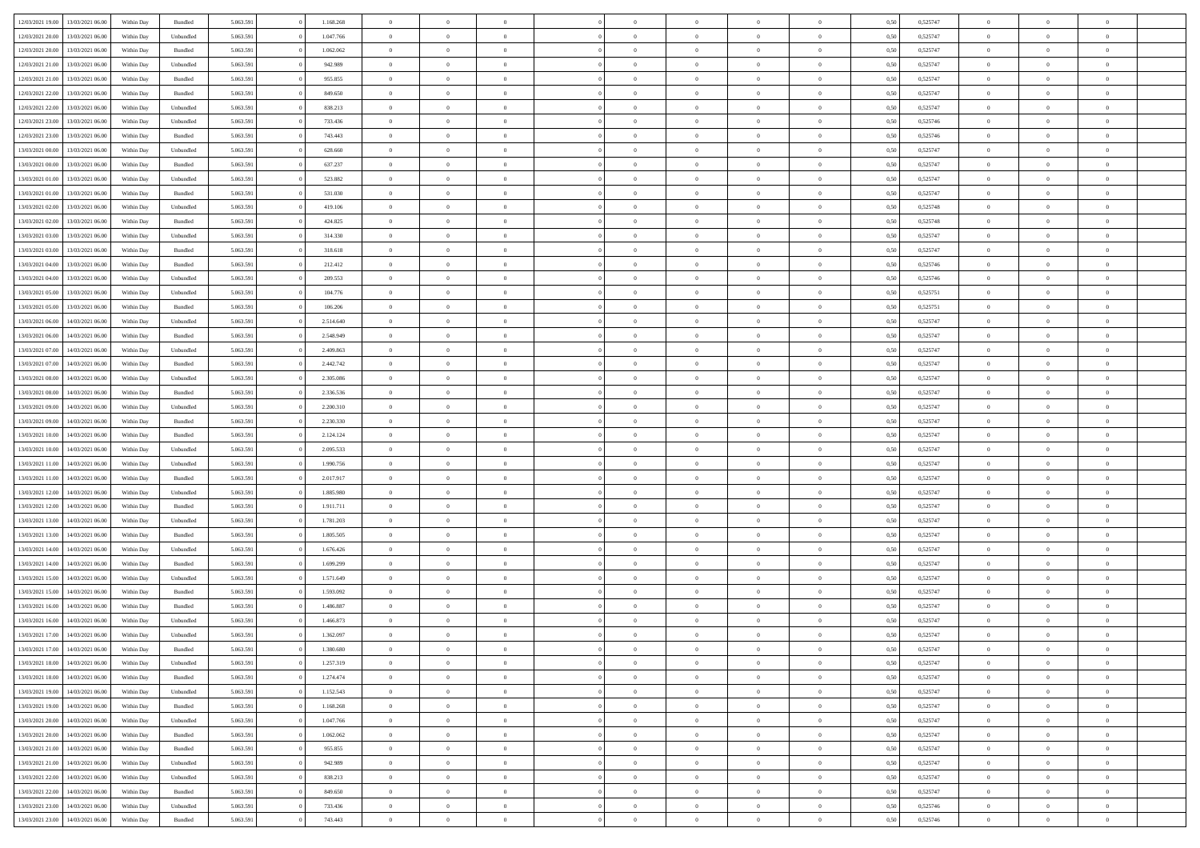| 12/03/2021 19:00 | 13/03/2021 06:00 | Within Day | Bundled            | 5.063.591 | 1.168.268 | $\overline{0}$ | $\theta$       |                | $\Omega$       | $\Omega$       | $\overline{0}$ | $\theta$       | 0.50 | 0,525747 | $\theta$       | $\overline{0}$ | $\overline{0}$ |  |
|------------------|------------------|------------|--------------------|-----------|-----------|----------------|----------------|----------------|----------------|----------------|----------------|----------------|------|----------|----------------|----------------|----------------|--|
|                  |                  |            |                    |           |           |                |                |                |                |                |                |                |      |          |                |                |                |  |
| 12/03/2021 20:00 | 13/03/2021 06:00 | Within Day | Unbundled          | 5.063.591 | 1.047.766 | $\overline{0}$ | $\theta$       | $\overline{0}$ | $\overline{0}$ | $\bf{0}$       | $\overline{0}$ | $\,$ 0 $\,$    | 0,50 | 0,525747 | $\theta$       | $\overline{0}$ | $\overline{0}$ |  |
| 12/03/2021 20:00 | 13/03/2021 06:00 | Within Day | Bundled            | 5.063.591 | 1.062.062 | $\overline{0}$ | $\bf{0}$       | $\overline{0}$ | $\bf{0}$       | $\bf{0}$       | $\bf{0}$       | $\mathbf{0}$   | 0,50 | 0,525747 | $\overline{0}$ | $\overline{0}$ | $\overline{0}$ |  |
| 12/03/2021 21:00 | 13/03/2021 06:00 | Within Dav | Unbundled          | 5.063.591 | 942.989   | $\overline{0}$ | $\overline{0}$ | $\overline{0}$ | $\overline{0}$ | $\bf{0}$       | $\overline{0}$ | $\overline{0}$ | 0.50 | 0,525747 | $\theta$       | $\theta$       | $\overline{0}$ |  |
| 12/03/2021 21:00 | 13/03/2021 06:00 | Within Day | Bundled            | 5.063.591 | 955.855   | $\overline{0}$ | $\theta$       | $\overline{0}$ | $\overline{0}$ | $\bf{0}$       | $\overline{0}$ | $\bf{0}$       | 0,50 | 0,525747 | $\theta$       | $\overline{0}$ | $\overline{0}$ |  |
| 12/03/2021 22:00 | 13/03/2021 06:00 | Within Day | Bundled            | 5.063.591 | 849.650   | $\overline{0}$ | $\overline{0}$ | $\overline{0}$ | $\overline{0}$ | $\overline{0}$ | $\overline{0}$ | $\mathbf{0}$   | 0,50 | 0,525747 | $\overline{0}$ | $\overline{0}$ | $\bf{0}$       |  |
|                  |                  |            |                    |           |           |                | $\overline{0}$ |                |                | $\overline{0}$ |                |                |      |          | $\theta$       | $\overline{0}$ | $\overline{0}$ |  |
| 12/03/2021 22:00 | 13/03/2021 06:00 | Within Dav | Unbundled          | 5.063.591 | 838.213   | $\overline{0}$ |                | $\overline{0}$ | $\overline{0}$ |                | $\overline{0}$ | $\overline{0}$ | 0.50 | 0,525747 |                |                |                |  |
| 12/03/2021 23:00 | 13/03/2021 06:00 | Within Day | Unbundled          | 5.063.591 | 733.436   | $\overline{0}$ | $\theta$       | $\overline{0}$ | $\overline{0}$ | $\bf{0}$       | $\overline{0}$ | $\bf{0}$       | 0,50 | 0,525746 | $\theta$       | $\theta$       | $\overline{0}$ |  |
| 12/03/2021 23:00 | 13/03/2021 06:00 | Within Day | Bundled            | 5.063.591 | 743.443   | $\overline{0}$ | $\overline{0}$ | $\overline{0}$ | $\overline{0}$ | $\bf{0}$       | $\overline{0}$ | $\bf{0}$       | 0,50 | 0,525746 | $\,0\,$        | $\overline{0}$ | $\overline{0}$ |  |
| 13/03/2021 00:00 | 13/03/2021 06:00 | Within Dav | Unbundled          | 5.063.591 | 628.660   | $\overline{0}$ | $\overline{0}$ | $\overline{0}$ | $\overline{0}$ | $\overline{0}$ | $\overline{0}$ | $\overline{0}$ | 0.50 | 0,525747 | $\theta$       | $\overline{0}$ | $\overline{0}$ |  |
| 13/03/2021 00:00 | 13/03/2021 06:00 | Within Day | Bundled            | 5.063.591 | 637.237   | $\overline{0}$ | $\theta$       | $\overline{0}$ | $\overline{0}$ | $\bf{0}$       | $\overline{0}$ | $\bf{0}$       | 0,50 | 0,525747 | $\,$ 0 $\,$    | $\overline{0}$ | $\overline{0}$ |  |
| 13/03/2021 01:00 | 13/03/2021 06:00 | Within Day | Unbundled          | 5.063.591 | 523.882   | $\overline{0}$ | $\bf{0}$       | $\overline{0}$ | $\overline{0}$ | $\bf{0}$       | $\overline{0}$ | $\mathbf{0}$   | 0,50 | 0,525747 | $\overline{0}$ | $\overline{0}$ | $\bf{0}$       |  |
| 13/03/2021 01:00 | 13/03/2021 06:00 | Within Day | Bundled            | 5.063.591 | 531.030   | $\overline{0}$ | $\overline{0}$ | $\overline{0}$ | $\overline{0}$ | $\bf{0}$       | $\overline{0}$ | $\overline{0}$ | 0.50 | 0,525747 | $\theta$       | $\theta$       | $\overline{0}$ |  |
|                  |                  |            |                    |           |           | $\overline{0}$ | $\theta$       | $\overline{0}$ | $\overline{0}$ | $\bf{0}$       | $\overline{0}$ |                |      |          | $\theta$       | $\overline{0}$ | $\overline{0}$ |  |
| 13/03/2021 02:00 | 13/03/2021 06:00 | Within Day | Unbundled          | 5.063.591 | 419.106   |                |                |                |                |                |                | $\bf{0}$       | 0,50 | 0,525748 |                |                |                |  |
| 13/03/2021 02:00 | 13/03/2021 06:00 | Within Day | Bundled            | 5.063.591 | 424.825   | $\overline{0}$ | $\overline{0}$ | $\overline{0}$ | $\overline{0}$ | $\overline{0}$ | $\overline{0}$ | $\mathbf{0}$   | 0,50 | 0,525748 | $\overline{0}$ | $\overline{0}$ | $\bf{0}$       |  |
| 13/03/2021 03:00 | 13/03/2021 06:00 | Within Dav | Unbundled          | 5.063.591 | 314.330   | $\overline{0}$ | $\overline{0}$ | $\overline{0}$ | $\overline{0}$ | $\overline{0}$ | $\overline{0}$ | $\overline{0}$ | 0.50 | 0,525747 | $\theta$       | $\overline{0}$ | $\overline{0}$ |  |
| 13/03/2021 03:00 | 13/03/2021 06:00 | Within Day | Bundled            | 5.063.591 | 318.618   | $\overline{0}$ | $\theta$       | $\overline{0}$ | $\overline{0}$ | $\bf{0}$       | $\overline{0}$ | $\bf{0}$       | 0,50 | 0,525747 | $\theta$       | $\theta$       | $\overline{0}$ |  |
| 13/03/2021 04:00 | 13/03/2021 06:00 | Within Day | Bundled            | 5.063.591 | 212.412   | $\overline{0}$ | $\overline{0}$ | $\overline{0}$ | $\overline{0}$ | $\bf{0}$       | $\overline{0}$ | $\bf{0}$       | 0,50 | 0,525746 | $\bf{0}$       | $\overline{0}$ | $\overline{0}$ |  |
| 13/03/2021 04:00 | 13/03/2021 06:00 | Within Day | Unbundled          | 5.063.591 | 209.553   | $\overline{0}$ | $\overline{0}$ | $\overline{0}$ | $\overline{0}$ | $\overline{0}$ | $\overline{0}$ | $\overline{0}$ | 0.50 | 0,525746 | $\theta$       | $\overline{0}$ | $\overline{0}$ |  |
| 13/03/2021 05:00 | 13/03/2021 06:00 | Within Day | Unbundled          | 5.063.591 | 104.776   | $\overline{0}$ | $\theta$       | $\overline{0}$ | $\overline{0}$ | $\bf{0}$       | $\overline{0}$ | $\bf{0}$       | 0,50 | 0,525751 | $\,$ 0 $\,$    | $\overline{0}$ | $\overline{0}$ |  |
|                  |                  |            |                    |           |           |                | $\overline{0}$ |                |                | $\bf{0}$       |                |                |      |          |                | $\overline{0}$ | $\bf{0}$       |  |
| 13/03/2021 05:00 | 13/03/2021 06:00 | Within Day | Bundled            | 5.063.591 | 106.206   | $\overline{0}$ |                | $\overline{0}$ | $\overline{0}$ |                | $\overline{0}$ | $\bf{0}$       | 0,50 | 0,525751 | $\overline{0}$ |                |                |  |
| 13/03/2021 06:00 | 14/03/2021 06:00 | Within Day | Unbundled          | 5.063.591 | 2.514.640 | $\overline{0}$ | $\overline{0}$ | $\overline{0}$ | $\overline{0}$ | $\bf{0}$       | $\overline{0}$ | $\overline{0}$ | 0.50 | 0,525747 | $\theta$       | $\overline{0}$ | $\overline{0}$ |  |
| 13/03/2021 06:00 | 14/03/2021 06:00 | Within Day | Bundled            | 5.063.591 | 2.548.949 | $\overline{0}$ | $\theta$       | $\overline{0}$ | $\overline{0}$ | $\bf{0}$       | $\overline{0}$ | $\bf{0}$       | 0,50 | 0,525747 | $\,$ 0 $\,$    | $\overline{0}$ | $\overline{0}$ |  |
| 13/03/2021 07:00 | 14/03/2021 06:00 | Within Day | Unbundled          | 5.063.591 | 2.409.863 | $\overline{0}$ | $\overline{0}$ | $\overline{0}$ | $\bf{0}$       | $\overline{0}$ | $\overline{0}$ | $\mathbf{0}$   | 0,50 | 0,525747 | $\overline{0}$ | $\overline{0}$ | $\bf{0}$       |  |
| 13/03/2021 07:00 | 14/03/2021 06:00 | Within Dav | Bundled            | 5.063.591 | 2.442.742 | $\overline{0}$ | $\overline{0}$ | $\overline{0}$ | $\overline{0}$ | $\overline{0}$ | $\overline{0}$ | $\overline{0}$ | 0.50 | 0,525747 | $\theta$       | $\overline{0}$ | $\overline{0}$ |  |
| 13/03/2021 08:00 | 14/03/2021 06:00 | Within Day | Unbundled          | 5.063.591 | 2.305.086 | $\overline{0}$ | $\theta$       | $\overline{0}$ | $\overline{0}$ | $\bf{0}$       | $\overline{0}$ | $\bf{0}$       | 0,50 | 0,525747 | $\theta$       | $\theta$       | $\overline{0}$ |  |
| 13/03/2021 08:00 | 14/03/2021 06:00 | Within Day | Bundled            | 5.063.591 | 2.336.536 | $\overline{0}$ | $\overline{0}$ | $\overline{0}$ | $\bf{0}$       | $\bf{0}$       | $\bf{0}$       | $\bf{0}$       | 0,50 | 0,525747 | $\,0\,$        | $\overline{0}$ | $\overline{0}$ |  |
| 13/03/2021 09:00 | 14/03/2021 06:00 | Within Day | Unbundled          | 5.063.591 | 2.200.310 | $\overline{0}$ | $\overline{0}$ | $\overline{0}$ | $\overline{0}$ | $\overline{0}$ | $\overline{0}$ | $\overline{0}$ | 0.50 | 0,525747 | $\theta$       | $\overline{0}$ | $\overline{0}$ |  |
|                  |                  |            |                    |           |           |                |                |                |                |                |                |                |      |          |                |                |                |  |
| 13/03/2021 09:00 | 14/03/2021 06:00 | Within Day | Bundled            | 5.063.591 | 2.230.330 | $\overline{0}$ | $\theta$       | $\overline{0}$ | $\overline{0}$ | $\bf{0}$       | $\overline{0}$ | $\bf{0}$       | 0,50 | 0,525747 | $\,$ 0 $\,$    | $\overline{0}$ | $\overline{0}$ |  |
| 13/03/2021 10:00 | 14/03/2021 06:00 | Within Day | Bundled            | 5.063.591 | 2.124.124 | $\overline{0}$ | $\overline{0}$ | $\overline{0}$ | $\bf{0}$       | $\bf{0}$       | $\bf{0}$       | $\bf{0}$       | 0,50 | 0,525747 | $\overline{0}$ | $\overline{0}$ | $\bf{0}$       |  |
| 13/03/2021 10:00 | 14/03/2021 06:00 | Within Day | Unbundled          | 5.063.591 | 2.095.533 | $\overline{0}$ | $\Omega$       | $\Omega$       | $\Omega$       | $\Omega$       | $\overline{0}$ | $\overline{0}$ | 0,50 | 0,525747 | $\,0\,$        | $\theta$       | $\theta$       |  |
| 13/03/2021 11:00 | 14/03/2021 06:00 | Within Day | Unbundled          | 5.063.591 | 1.990.756 | $\overline{0}$ | $\theta$       | $\overline{0}$ | $\overline{0}$ | $\bf{0}$       | $\overline{0}$ | $\bf{0}$       | 0,50 | 0,525747 | $\theta$       | $\overline{0}$ | $\overline{0}$ |  |
| 13/03/2021 11:00 | 14/03/2021 06:00 | Within Day | Bundled            | 5.063.591 | 2.017.917 | $\overline{0}$ | $\overline{0}$ | $\overline{0}$ | $\bf{0}$       | $\overline{0}$ | $\overline{0}$ | $\mathbf{0}$   | 0,50 | 0,525747 | $\overline{0}$ | $\overline{0}$ | $\bf{0}$       |  |
| 13/03/2021 12:00 | 14/03/2021 06:00 | Within Day | Unbundled          | 5.063.591 | 1.885.980 | $\overline{0}$ | $\Omega$       | $\Omega$       | $\Omega$       | $\overline{0}$ | $\overline{0}$ | $\overline{0}$ | 0.50 | 0,525747 | $\,0\,$        | $\theta$       | $\theta$       |  |
| 13/03/2021 12:00 | 14/03/2021 06:00 | Within Day | Bundled            | 5.063.591 | 1.911.711 | $\overline{0}$ | $\theta$       | $\overline{0}$ | $\overline{0}$ | $\bf{0}$       | $\overline{0}$ | $\bf{0}$       | 0,50 | 0,525747 | $\,$ 0 $\,$    | $\overline{0}$ | $\overline{0}$ |  |
| 13/03/2021 13:00 | 14/03/2021 06:00 | Within Day | Unbundled          | 5.063.591 | 1.781.203 | $\overline{0}$ | $\overline{0}$ | $\overline{0}$ | $\bf{0}$       | $\bf{0}$       | $\bf{0}$       | $\bf{0}$       | 0,50 | 0,525747 | $\bf{0}$       | $\overline{0}$ | $\bf{0}$       |  |
|                  |                  |            |                    |           |           |                |                |                |                |                |                |                |      |          |                |                |                |  |
| 13/03/2021 13:00 | 14/03/2021 06:00 | Within Day | Bundled            | 5.063.591 | 1.805.505 | $\overline{0}$ | $\Omega$       | $\Omega$       | $\Omega$       | $\overline{0}$ | $\overline{0}$ | $\overline{0}$ | 0.50 | 0,525747 | $\,$ 0 $\,$    | $\theta$       | $\theta$       |  |
| 13/03/2021 14:00 | 14/03/2021 06:00 | Within Day | Unbundled          | 5.063.591 | 1.676.426 | $\overline{0}$ | $\theta$       | $\overline{0}$ | $\overline{0}$ | $\bf{0}$       | $\overline{0}$ | $\bf{0}$       | 0,50 | 0,525747 | $\,$ 0 $\,$    | $\overline{0}$ | $\overline{0}$ |  |
| 13/03/2021 14:00 | 14/03/2021 06:00 | Within Day | Bundled            | 5.063.591 | 1.699.299 | $\overline{0}$ | $\bf{0}$       | $\overline{0}$ | $\bf{0}$       | $\bf{0}$       | $\bf{0}$       | $\mathbf{0}$   | 0,50 | 0,525747 | $\overline{0}$ | $\overline{0}$ | $\bf{0}$       |  |
| 13/03/2021 15:00 | 14/03/2021 06:00 | Within Day | Unbundled          | 5.063.591 | 1.571.649 | $\overline{0}$ | $\Omega$       | $\overline{0}$ | $\Omega$       | $\bf{0}$       | $\overline{0}$ | $\overline{0}$ | 0,50 | 0,525747 | $\,0\,$        | $\theta$       | $\theta$       |  |
| 13/03/2021 15:00 | 14/03/2021 06:00 | Within Day | Bundled            | 5.063.591 | 1.593.092 | $\overline{0}$ | $\overline{0}$ | $\overline{0}$ | $\overline{0}$ | $\,$ 0         | $\overline{0}$ | $\bf{0}$       | 0,50 | 0,525747 | $\,$ 0 $\,$    | $\overline{0}$ | $\overline{0}$ |  |
| 13/03/2021 16:00 | 14/03/2021 06:00 | Within Day | Bundled            | 5.063.591 | 1.486.887 | $\overline{0}$ | $\overline{0}$ | $\overline{0}$ | $\bf{0}$       | $\bf{0}$       | $\overline{0}$ | $\mathbf{0}$   | 0,50 | 0,525747 | $\overline{0}$ | $\overline{0}$ | $\bf{0}$       |  |
| 13/03/2021 16:00 | 14/03/2021 06:00 | Within Day | Unbundled          | 5.063.591 | 1.466.873 | $\overline{0}$ | $\Omega$       | $\Omega$       | $\Omega$       | $\Omega$       | $\Omega$       | $\overline{0}$ | 0.50 | 0,525747 | $\theta$       | $\theta$       | $\theta$       |  |
| 13/03/2021 17:00 | 14/03/2021 06:00 | Within Day | Unbundled          | 5.063.591 | 1.362.097 | $\overline{0}$ | $\overline{0}$ | $\overline{0}$ | $\bf{0}$       | $\,$ 0         | $\bf{0}$       | $\bf{0}$       | 0,50 | 0,525747 | $\,0\,$        | $\,$ 0 $\,$    | $\overline{0}$ |  |
| 13/03/2021 17:00 | 14/03/2021 06:00 | Within Day | $\mathbf B$ undled | 5.063.591 | 1.380.680 | $\bf{0}$       | $\bf{0}$       |                |                |                |                |                | 0,50 | 0,525747 | $\bf{0}$       | $\overline{0}$ |                |  |
|                  |                  |            |                    |           |           |                |                |                |                |                |                |                |      |          |                |                |                |  |
| 13/03/2021 18:00 | 14/03/2021 06:00 | Within Day | Unbundled          | 5.063.591 | 1.257.319 | $\overline{0}$ | $\overline{0}$ | $\overline{0}$ | $\Omega$       | $\theta$       | $\overline{0}$ | $\overline{0}$ | 0,50 | 0,525747 | $\theta$       | $\theta$       | $\Omega$       |  |
| 13/03/2021 18:00 | 14/03/2021 06:00 | Within Day | Bundled            | 5.063.591 | 1.274.474 | $\overline{0}$ | $\,$ 0         | $\overline{0}$ | $\bf{0}$       | $\,$ 0 $\,$    | $\overline{0}$ | $\,$ 0 $\,$    | 0,50 | 0,525747 | $\,$ 0 $\,$    | $\,$ 0 $\,$    | $\,$ 0         |  |
| 13/03/2021 19:00 | 14/03/2021 06:00 | Within Day | Unbundled          | 5.063.591 | 1.152.543 | $\overline{0}$ | $\overline{0}$ | $\overline{0}$ | $\overline{0}$ | $\overline{0}$ | $\overline{0}$ | $\mathbf{0}$   | 0,50 | 0,525747 | $\overline{0}$ | $\bf{0}$       | $\bf{0}$       |  |
| 13/03/2021 19:00 | 14/03/2021 06:00 | Within Day | $\mathbf B$ undled | 5.063.591 | 1.168.268 | $\overline{0}$ | $\overline{0}$ | $\overline{0}$ | $\Omega$       | $\overline{0}$ | $\overline{0}$ | $\overline{0}$ | 0,50 | 0,525747 | $\overline{0}$ | $\theta$       | $\overline{0}$ |  |
| 13/03/2021 20:00 | 14/03/2021 06:00 | Within Day | Unbundled          | 5.063.591 | 1.047.766 | $\overline{0}$ | $\,$ 0         | $\overline{0}$ | $\overline{0}$ | $\,$ 0 $\,$    | $\overline{0}$ | $\mathbf{0}$   | 0,50 | 0,525747 | $\,$ 0 $\,$    | $\overline{0}$ | $\overline{0}$ |  |
| 13/03/2021 20:00 | 14/03/2021 06:00 | Within Day | Bundled            | 5.063.591 | 1.062.062 | $\overline{0}$ | $\overline{0}$ | $\overline{0}$ | $\overline{0}$ | $\overline{0}$ | $\overline{0}$ | $\mathbf{0}$   | 0,50 | 0,525747 | $\overline{0}$ | $\overline{0}$ | $\bf{0}$       |  |
| 13/03/2021 21:00 | 14/03/2021 06:00 | Within Day | Bundled            | 5.063.591 | 955.855   | $\overline{0}$ | $\overline{0}$ | $\overline{0}$ | $\Omega$       | $\overline{0}$ | $\overline{0}$ | $\bf{0}$       | 0.50 | 0,525747 | $\overline{0}$ | $\theta$       | $\overline{0}$ |  |
|                  |                  |            |                    |           |           |                |                |                |                |                |                |                |      |          |                |                |                |  |
| 13/03/2021 21:00 | 14/03/2021 06:00 | Within Day | Unbundled          | 5.063.591 | 942.989   | $\overline{0}$ | $\,$ 0         | $\overline{0}$ | $\bf{0}$       | $\bf{0}$       | $\bf{0}$       | $\bf{0}$       | 0,50 | 0,525747 | $\,$ 0 $\,$    | $\overline{0}$ | $\overline{0}$ |  |
| 13/03/2021 22:00 | 14/03/2021 06:00 | Within Day | Unbundled          | 5.063.591 | 838.213   | $\overline{0}$ | $\bf{0}$       | $\overline{0}$ | $\overline{0}$ | $\overline{0}$ | $\overline{0}$ | $\mathbf{0}$   | 0,50 | 0,525747 | $\overline{0}$ | $\overline{0}$ | $\bf{0}$       |  |
| 13/03/2021 22:00 | 14/03/2021 06:00 | Within Day | Bundled            | 5.063.591 | 849.650   | $\overline{0}$ | $\overline{0}$ | $\overline{0}$ | $\Omega$       | $\overline{0}$ | $\overline{0}$ | $\bf{0}$       | 0.50 | 0,525747 | $\overline{0}$ | $\overline{0}$ | $\overline{0}$ |  |
| 13/03/2021 23:00 | 14/03/2021 06:00 | Within Day | Unbundled          | 5.063.591 | 733.436   | $\overline{0}$ | $\bf{0}$       | $\overline{0}$ | $\bf{0}$       | $\bf{0}$       | $\bf{0}$       | $\mathbf{0}$   | 0,50 | 0,525746 | $\,$ 0 $\,$    | $\,$ 0 $\,$    | $\bf{0}$       |  |
| 13/03/2021 23:00 | 14/03/2021 06:00 | Within Day | Bundled            | 5.063.591 | 743.443   | $\overline{0}$ | $\overline{0}$ | $\overline{0}$ | $\overline{0}$ | $\bf{0}$       | $\bf{0}$       | $\mathbf{0}$   | 0,50 | 0,525746 | $\overline{0}$ | $\bf{0}$       | $\bf{0}$       |  |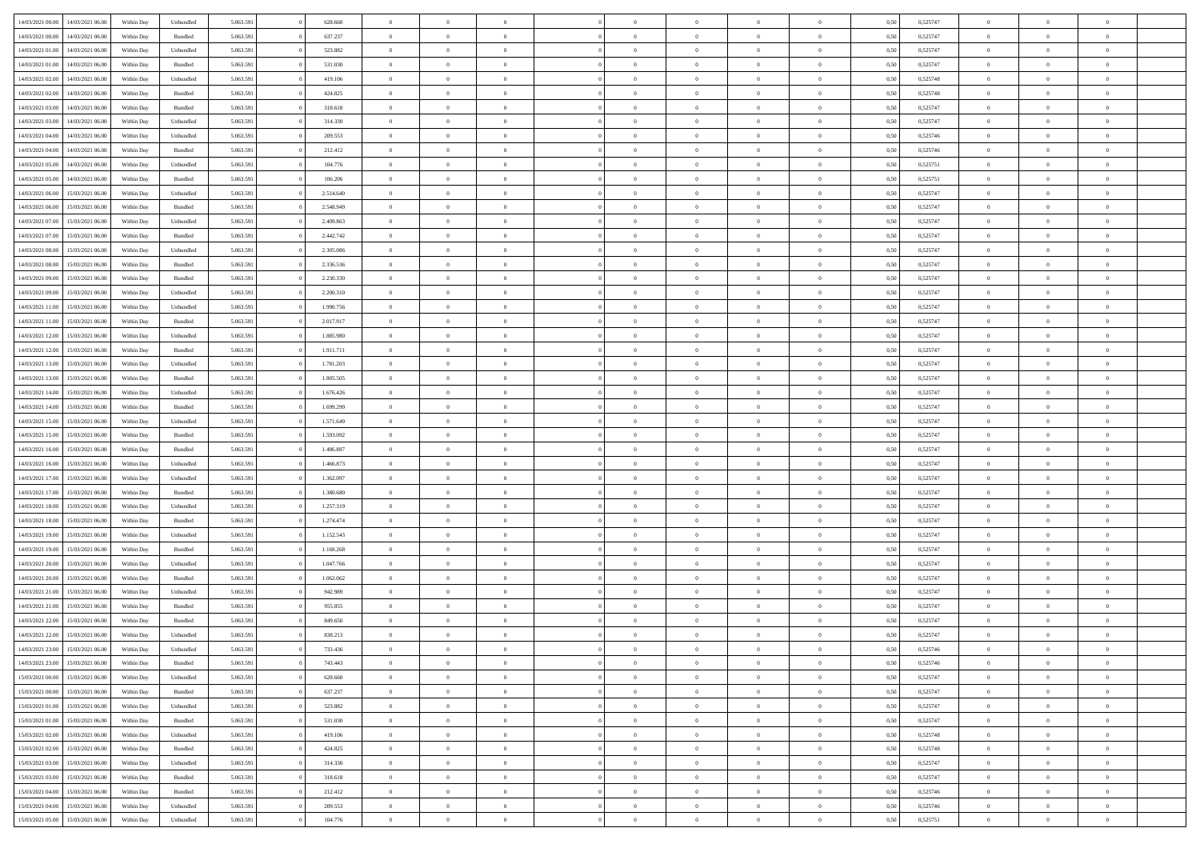| 14/03/2021 00:00 | 14/03/2021 06:00 | Within Day | Unbundled | 5.063.591 | 628.660   | $\overline{0}$ | $\theta$       |                | $\Omega$       | $\Omega$       | $\overline{0}$ | $\theta$       | 0.50 | 0,525747 | $\theta$       | $\overline{0}$ | $\overline{0}$ |  |
|------------------|------------------|------------|-----------|-----------|-----------|----------------|----------------|----------------|----------------|----------------|----------------|----------------|------|----------|----------------|----------------|----------------|--|
| 14/03/2021 00:00 | 14/03/2021 06:00 | Within Day | Bundled   | 5.063.591 | 637.237   | $\overline{0}$ | $\overline{0}$ | $\overline{0}$ | $\overline{0}$ | $\bf{0}$       | $\overline{0}$ | $\bf{0}$       | 0,50 | 0,525747 | $\theta$       | $\overline{0}$ | $\overline{0}$ |  |
| 14/03/2021 01:00 | 14/03/2021 06:00 | Within Day | Unbundled | 5.063.591 | 523.882   | $\overline{0}$ | $\bf{0}$       | $\overline{0}$ | $\bf{0}$       | $\bf{0}$       | $\bf{0}$       | $\mathbf{0}$   | 0,50 | 0,525747 | $\overline{0}$ | $\overline{0}$ | $\overline{0}$ |  |
| 14/03/2021 01:00 | 14/03/2021 06:00 | Within Dav | Bundled   | 5.063.591 | 531.030   | $\overline{0}$ | $\overline{0}$ | $\overline{0}$ | $\overline{0}$ | $\bf{0}$       | $\overline{0}$ | $\overline{0}$ | 0.50 | 0,525747 | $\theta$       | $\theta$       | $\overline{0}$ |  |
|                  |                  |            |           |           |           |                |                |                |                |                |                |                |      |          |                |                |                |  |
| 14/03/2021 02:00 | 14/03/2021 06:00 | Within Day | Unbundled | 5.063.591 | 419.106   | $\overline{0}$ | $\theta$       | $\overline{0}$ | $\overline{0}$ | $\bf{0}$       | $\overline{0}$ | $\bf{0}$       | 0,50 | 0,525748 | $\theta$       | $\overline{0}$ | $\overline{0}$ |  |
| 14/03/2021 02:00 | 14/03/2021 06:00 | Within Day | Bundled   | 5.063.591 | 424.825   | $\overline{0}$ | $\overline{0}$ | $\overline{0}$ | $\bf{0}$       | $\overline{0}$ | $\overline{0}$ | $\mathbf{0}$   | 0,50 | 0,525748 | $\overline{0}$ | $\overline{0}$ | $\bf{0}$       |  |
| 14/03/2021 03:00 | 14/03/2021 06:00 | Within Dav | Bundled   | 5.063.591 | 318.618   | $\overline{0}$ | $\overline{0}$ | $\overline{0}$ | $\overline{0}$ | $\overline{0}$ | $\overline{0}$ | $\overline{0}$ | 0.50 | 0,525747 | $\theta$       | $\overline{0}$ | $\overline{0}$ |  |
| 14/03/2021 03:00 | 14/03/2021 06:00 | Within Day | Unbundled | 5.063.591 | 314.330   | $\overline{0}$ | $\theta$       | $\overline{0}$ | $\overline{0}$ | $\bf{0}$       | $\overline{0}$ | $\bf{0}$       | 0,50 | 0,525747 | $\theta$       | $\theta$       | $\overline{0}$ |  |
| 14/03/2021 04:00 | 14/03/2021 06:00 | Within Day | Unbundled | 5.063.591 | 209.553   | $\overline{0}$ | $\overline{0}$ | $\overline{0}$ | $\bf{0}$       | $\bf{0}$       | $\bf{0}$       | $\bf{0}$       | 0,50 | 0,525746 | $\,0\,$        | $\overline{0}$ | $\overline{0}$ |  |
| 14/03/2021 04:00 | 14/03/2021 06:00 | Within Dav | Bundled   | 5.063.591 | 212.412   | $\overline{0}$ | $\overline{0}$ | $\overline{0}$ | $\overline{0}$ | $\overline{0}$ | $\overline{0}$ | $\overline{0}$ | 0.50 | 0,525746 | $\theta$       | $\overline{0}$ | $\overline{0}$ |  |
|                  |                  |            |           |           |           |                |                |                |                |                |                |                |      |          |                |                |                |  |
| 14/03/2021 05:00 | 14/03/2021 06:00 | Within Day | Unbundled | 5.063.591 | 104.776   | $\overline{0}$ | $\theta$       | $\overline{0}$ | $\overline{0}$ | $\bf{0}$       | $\overline{0}$ | $\bf{0}$       | 0,50 | 0,525751 | $\,$ 0 $\,$    | $\overline{0}$ | $\overline{0}$ |  |
| 14/03/2021 05:00 | 14/03/2021 06:00 | Within Day | Bundled   | 5.063.591 | 106.206   | $\overline{0}$ | $\bf{0}$       | $\overline{0}$ | $\bf{0}$       | $\bf{0}$       | $\bf{0}$       | $\mathbf{0}$   | 0,50 | 0,525751 | $\overline{0}$ | $\overline{0}$ | $\bf{0}$       |  |
| 14/03/2021 06:00 | 15/03/2021 06:00 | Within Day | Unbundled | 5.063.591 | 2.514.640 | $\overline{0}$ | $\overline{0}$ | $\overline{0}$ | $\overline{0}$ | $\bf{0}$       | $\overline{0}$ | $\overline{0}$ | 0.50 | 0,525747 | $\theta$       | $\theta$       | $\overline{0}$ |  |
| 14/03/2021 06:00 | 15/03/2021 06:00 | Within Day | Bundled   | 5.063.591 | 2.548.949 | $\overline{0}$ | $\theta$       | $\overline{0}$ | $\overline{0}$ | $\bf{0}$       | $\overline{0}$ | $\bf{0}$       | 0,50 | 0,525747 | $\theta$       | $\overline{0}$ | $\overline{0}$ |  |
| 14/03/2021 07:00 | 15/03/2021 06:00 | Within Day | Unbundled | 5.063.591 | 2.409.863 | $\overline{0}$ | $\overline{0}$ | $\overline{0}$ | $\bf{0}$       | $\overline{0}$ | $\overline{0}$ | $\mathbf{0}$   | 0,50 | 0,525747 | $\overline{0}$ | $\overline{0}$ | $\bf{0}$       |  |
| 14/03/2021 07:00 | 15/03/2021 06:00 | Within Dav | Bundled   | 5.063.591 | 2.442.742 | $\overline{0}$ | $\overline{0}$ | $\overline{0}$ | $\overline{0}$ | $\overline{0}$ | $\overline{0}$ | $\overline{0}$ | 0.50 | 0,525747 | $\theta$       | $\overline{0}$ | $\overline{0}$ |  |
|                  |                  |            |           |           |           |                |                |                |                |                |                |                |      |          |                |                |                |  |
| 14/03/2021 08:00 | 15/03/2021 06:00 | Within Day | Unbundled | 5.063.591 | 2.305.086 | $\overline{0}$ | $\theta$       | $\overline{0}$ | $\overline{0}$ | $\bf{0}$       | $\overline{0}$ | $\bf{0}$       | 0,50 | 0,525747 | $\theta$       | $\theta$       | $\overline{0}$ |  |
| 14/03/2021 08:00 | 15/03/2021 06:00 | Within Day | Bundled   | 5.063.591 | 2.336.536 | $\overline{0}$ | $\overline{0}$ | $\overline{0}$ | $\bf{0}$       | $\bf{0}$       | $\bf{0}$       | $\bf{0}$       | 0,50 | 0,525747 | $\bf{0}$       | $\overline{0}$ | $\overline{0}$ |  |
| 14/03/2021 09:00 | 15/03/2021 06:00 | Within Day | Bundled   | 5.063.591 | 2.230.330 | $\overline{0}$ | $\overline{0}$ | $\overline{0}$ | $\overline{0}$ | $\overline{0}$ | $\overline{0}$ | $\overline{0}$ | 0.50 | 0,525747 | $\theta$       | $\overline{0}$ | $\overline{0}$ |  |
| 14/03/2021 09:00 | 15/03/2021 06:00 | Within Day | Unbundled | 5.063.591 | 2.200.310 | $\overline{0}$ | $\theta$       | $\overline{0}$ | $\overline{0}$ | $\bf{0}$       | $\overline{0}$ | $\bf{0}$       | 0,50 | 0,525747 | $\,$ 0 $\,$    | $\overline{0}$ | $\overline{0}$ |  |
| 14/03/2021 11:00 | 15/03/2021 06:00 | Within Day | Unbundled | 5.063.591 | 1.990.756 | $\overline{0}$ | $\overline{0}$ | $\overline{0}$ | $\bf{0}$       | $\bf{0}$       | $\bf{0}$       | $\bf{0}$       | 0,50 | 0,525747 | $\,0\,$        | $\overline{0}$ | $\bf{0}$       |  |
| 14/03/2021 11:00 | 15/03/2021 06:00 | Within Day | Bundled   | 5.063.591 | 2.017.917 | $\overline{0}$ | $\overline{0}$ | $\overline{0}$ | $\overline{0}$ | $\bf{0}$       | $\overline{0}$ | $\overline{0}$ | 0.50 | 0,525747 | $\theta$       | $\overline{0}$ | $\overline{0}$ |  |
|                  |                  |            |           |           |           |                |                |                |                |                |                |                |      |          |                |                |                |  |
| 14/03/2021 12:00 | 15/03/2021 06:00 | Within Day | Unbundled | 5.063.591 | 1.885.980 | $\overline{0}$ | $\theta$       | $\overline{0}$ | $\overline{0}$ | $\bf{0}$       | $\overline{0}$ | $\bf{0}$       | 0,50 | 0,525747 | $\,$ 0 $\,$    | $\overline{0}$ | $\overline{0}$ |  |
| 14/03/2021 12:00 | 15/03/2021 06:00 | Within Day | Bundled   | 5.063.591 | 1.911.711 | $\overline{0}$ | $\overline{0}$ | $\overline{0}$ | $\overline{0}$ | $\overline{0}$ | $\overline{0}$ | $\mathbf{0}$   | 0,50 | 0,525747 | $\overline{0}$ | $\overline{0}$ | $\bf{0}$       |  |
| 14/03/2021 13:00 | 15/03/2021 06:00 | Within Dav | Unbundled | 5.063.591 | 1.781.203 | $\overline{0}$ | $\overline{0}$ | $\overline{0}$ | $\overline{0}$ | $\overline{0}$ | $\overline{0}$ | $\overline{0}$ | 0.50 | 0,525747 | $\theta$       | $\overline{0}$ | $\overline{0}$ |  |
| 14/03/2021 13:00 | 15/03/2021 06:00 | Within Day | Bundled   | 5.063.591 | 1.805.505 | $\overline{0}$ | $\theta$       | $\overline{0}$ | $\overline{0}$ | $\bf{0}$       | $\overline{0}$ | $\bf{0}$       | 0,50 | 0,525747 | $\theta$       | $\theta$       | $\overline{0}$ |  |
| 14/03/2021 14:00 | 15/03/2021 06:00 | Within Day | Unbundled | 5.063.591 | 1.676.426 | $\overline{0}$ | $\overline{0}$ | $\overline{0}$ | $\overline{0}$ | $\bf{0}$       | $\overline{0}$ | $\bf{0}$       | 0,50 | 0,525747 | $\,0\,$        | $\overline{0}$ | $\overline{0}$ |  |
| 14/03/2021 14:00 | 15/03/2021 06:00 | Within Day | Bundled   | 5.063.591 | 1.699.299 | $\overline{0}$ | $\overline{0}$ | $\overline{0}$ | $\overline{0}$ | $\overline{0}$ | $\overline{0}$ | $\overline{0}$ | 0.50 | 0,525747 | $\theta$       | $\overline{0}$ | $\overline{0}$ |  |
| 14/03/2021 15:00 | 15/03/2021 06:00 | Within Day | Unbundled | 5.063.591 | 1.571.649 | $\overline{0}$ | $\theta$       | $\overline{0}$ | $\overline{0}$ | $\bf{0}$       | $\overline{0}$ | $\bf{0}$       | 0,50 | 0,525747 | $\,$ 0 $\,$    | $\overline{0}$ | $\overline{0}$ |  |
|                  |                  |            |           |           |           |                |                |                |                |                |                |                |      |          |                |                |                |  |
| 14/03/2021 15:00 | 15/03/2021 06:00 | Within Day | Bundled   | 5.063.591 | 1.593.092 | $\overline{0}$ | $\overline{0}$ | $\overline{0}$ | $\overline{0}$ | $\bf{0}$       | $\overline{0}$ | $\bf{0}$       | 0,50 | 0,525747 | $\overline{0}$ | $\overline{0}$ | $\bf{0}$       |  |
| 14/03/2021 16:00 | 15/03/2021 06:00 | Within Day | Bundled   | 5.063.591 | 1.486.887 | $\overline{0}$ | $\Omega$       | $\Omega$       | $\Omega$       | $\Omega$       | $\overline{0}$ | $\overline{0}$ | 0,50 | 0,525747 | $\,0\,$        | $\theta$       | $\theta$       |  |
| 14/03/2021 16:00 | 15/03/2021 06:00 | Within Day | Unbundled | 5.063.591 | 1.466.873 | $\overline{0}$ | $\theta$       | $\overline{0}$ | $\overline{0}$ | $\bf{0}$       | $\overline{0}$ | $\bf{0}$       | 0,50 | 0,525747 | $\theta$       | $\overline{0}$ | $\overline{0}$ |  |
| 14/03/2021 17:00 | 15/03/2021 06:00 | Within Day | Unbundled | 5.063.591 | 1.362.097 | $\overline{0}$ | $\overline{0}$ | $\overline{0}$ | $\overline{0}$ | $\overline{0}$ | $\overline{0}$ | $\mathbf{0}$   | 0,50 | 0,525747 | $\overline{0}$ | $\overline{0}$ | $\bf{0}$       |  |
| 14/03/2021 17:00 | 15/03/2021 06:00 | Within Day | Bundled   | 5.063.591 | 1.380,680 | $\overline{0}$ | $\Omega$       | $\Omega$       | $\Omega$       | $\bf{0}$       | $\overline{0}$ | $\overline{0}$ | 0.50 | 0,525747 | $\,0\,$        | $\theta$       | $\theta$       |  |
| 14/03/2021 18:00 | 15/03/2021 06:00 | Within Day | Unbundled | 5.063.591 | 1.257.319 | $\overline{0}$ | $\theta$       | $\overline{0}$ | $\overline{0}$ | $\bf{0}$       | $\overline{0}$ | $\bf{0}$       | 0,50 | 0,525747 | $\,$ 0 $\,$    | $\overline{0}$ | $\overline{0}$ |  |
|                  |                  |            |           |           |           |                |                |                |                |                |                |                |      |          |                |                |                |  |
| 14/03/2021 18:00 | 15/03/2021 06:00 | Within Day | Bundled   | 5.063.591 | 1.274.474 | $\overline{0}$ | $\overline{0}$ | $\overline{0}$ | $\overline{0}$ | $\bf{0}$       | $\overline{0}$ | $\bf{0}$       | 0,50 | 0,525747 | $\bf{0}$       | $\overline{0}$ | $\bf{0}$       |  |
| 14/03/2021 19:00 | 15/03/2021 06:00 | Within Day | Unbundled | 5.063.591 | 1.152.543 | $\overline{0}$ | $\Omega$       | $\Omega$       | $\Omega$       | $\theta$       | $\overline{0}$ | $\overline{0}$ | 0.50 | 0,525747 | $\,$ 0 $\,$    | $\theta$       | $\theta$       |  |
| 14/03/2021 19:00 | 15/03/2021 06:00 | Within Day | Bundled   | 5.063.591 | 1.168.268 | $\overline{0}$ | $\theta$       | $\overline{0}$ | $\overline{0}$ | $\bf{0}$       | $\overline{0}$ | $\bf{0}$       | 0,50 | 0,525747 | $\,$ 0 $\,$    | $\overline{0}$ | $\overline{0}$ |  |
| 14/03/2021 20:00 | 15/03/2021 06:00 | Within Day | Unbundled | 5.063.591 | 1.047.766 | $\overline{0}$ | $\bf{0}$       | $\overline{0}$ | $\overline{0}$ | $\bf{0}$       | $\overline{0}$ | $\bf{0}$       | 0,50 | 0,525747 | $\overline{0}$ | $\overline{0}$ | $\bf{0}$       |  |
| 14/03/2021 20:00 | 15/03/2021 06:00 | Within Day | Bundled   | 5.063.591 | 1.062.062 | $\overline{0}$ | $\Omega$       | $\overline{0}$ | $\Omega$       | $\overline{0}$ | $\overline{0}$ | $\overline{0}$ | 0,50 | 0,525747 | $\,0\,$        | $\theta$       | $\theta$       |  |
| 14/03/2021 21:00 | 15/03/2021 06:00 | Within Day | Unbundled | 5.063.591 | 942.989   | $\overline{0}$ | $\overline{0}$ | $\overline{0}$ | $\overline{0}$ | $\,$ 0         | $\overline{0}$ | $\bf{0}$       | 0,50 | 0,525747 | $\,$ 0 $\,$    | $\overline{0}$ | $\overline{0}$ |  |
| 14/03/2021 21.00 | 15/03/2021 06:00 | Within Day | Bundled   | 5.063.591 | 955.855   | $\overline{0}$ | $\overline{0}$ | $\overline{0}$ | $\bf{0}$       | $\bf{0}$       | $\bf{0}$       | $\mathbf{0}$   | 0,50 | 0,525747 | $\overline{0}$ | $\overline{0}$ | $\bf{0}$       |  |
| 14/03/2021 22.00 | 15/03/2021 06:00 |            | Bundled   | 5.063.591 | 849,650   | $\overline{0}$ | $\Omega$       | $\Omega$       | $\Omega$       | $\Omega$       | $\Omega$       | $\overline{0}$ | 0.50 | 0,525747 | $\theta$       | $\theta$       | $\theta$       |  |
|                  |                  | Within Day |           |           |           |                |                |                |                |                |                |                |      |          |                |                |                |  |
| 14/03/2021 22.00 | 15/03/2021 06:00 | Within Day | Unbundled | 5.063.591 | 838.213   | $\overline{0}$ | $\overline{0}$ | $\overline{0}$ | $\bf{0}$       | $\,$ 0         | $\bf{0}$       | $\bf{0}$       | 0,50 | 0,525747 | $\,0\,$        | $\,$ 0 $\,$    | $\overline{0}$ |  |
| 14/03/2021 23:00 | 15/03/2021 06:00 | Within Day | Unbundled | 5.063.591 | 733.436   | $\bf{0}$       | $\bf{0}$       |                |                | $\bf{0}$       |                |                | 0,50 | 0,525746 | $\bf{0}$       | $\overline{0}$ |                |  |
| 14/03/2021 23:00 | 15/03/2021 06:00 | Within Day | Bundled   | 5.063.591 | 743,443   | $\overline{0}$ | $\overline{0}$ | $\overline{0}$ | $\Omega$       | $\overline{0}$ | $\overline{0}$ | $\overline{0}$ | 0,50 | 0,525746 | $\theta$       | $\theta$       | $\Omega$       |  |
| 15/03/2021 00:00 | 15/03/2021 06:00 | Within Day | Unbundled | 5.063.591 | 628.660   | $\overline{0}$ | $\,$ 0         | $\overline{0}$ | $\bf{0}$       | $\,$ 0 $\,$    | $\overline{0}$ | $\,$ 0 $\,$    | 0,50 | 0,525747 | $\,$ 0 $\,$    | $\,$ 0 $\,$    | $\,$ 0         |  |
| 15/03/2021 00:00 | 15/03/2021 06:00 | Within Day | Bundled   | 5.063.591 | 637.237   | $\overline{0}$ | $\overline{0}$ | $\overline{0}$ | $\overline{0}$ | $\overline{0}$ | $\overline{0}$ | $\mathbf{0}$   | 0,50 | 0,525747 | $\overline{0}$ | $\bf{0}$       | $\bf{0}$       |  |
| 15/03/2021 01:00 | 15/03/2021 06:00 | Within Day | Unbundled | 5.063.591 | 523.882   | $\overline{0}$ | $\overline{0}$ | $\overline{0}$ | $\Omega$       | $\overline{0}$ | $\overline{0}$ | $\overline{0}$ | 0,50 | 0,525747 | $\overline{0}$ | $\theta$       | $\overline{0}$ |  |
| 15/03/2021 01:00 | 15/03/2021 06:00 | Within Day | Bundled   | 5.063.591 | 531.030   | $\overline{0}$ | $\,$ 0         | $\overline{0}$ | $\overline{0}$ | $\,$ 0 $\,$    | $\overline{0}$ | $\mathbf{0}$   | 0,50 | 0,525747 | $\,$ 0 $\,$    | $\overline{0}$ | $\overline{0}$ |  |
|                  |                  |            |           |           |           |                |                |                |                |                |                |                |      |          |                |                |                |  |
| 15/03/2021 02:00 | 15/03/2021 06:00 | Within Day | Unbundled | 5.063.591 | 419.106   | $\overline{0}$ | $\overline{0}$ | $\overline{0}$ | $\overline{0}$ | $\overline{0}$ | $\overline{0}$ | $\mathbf{0}$   | 0,50 | 0,525748 | $\overline{0}$ | $\overline{0}$ | $\bf{0}$       |  |
| 15/03/2021 02:00 | 15/03/2021 06:00 | Within Day | Bundled   | 5.063.591 | 424.825   | $\overline{0}$ | $\overline{0}$ | $\overline{0}$ | $\Omega$       | $\overline{0}$ | $\overline{0}$ | $\bf{0}$       | 0.50 | 0,525748 | $\overline{0}$ | $\theta$       | $\overline{0}$ |  |
| 15/03/2021 03:00 | 15/03/2021 06:00 | Within Day | Unbundled | 5.063.591 | 314.330   | $\overline{0}$ | $\,$ 0         | $\overline{0}$ | $\bf{0}$       | $\bf{0}$       | $\bf{0}$       | $\bf{0}$       | 0,50 | 0,525747 | $\,$ 0 $\,$    | $\overline{0}$ | $\overline{0}$ |  |
| 15/03/2021 03:00 | 15/03/2021 06:00 | Within Day | Bundled   | 5.063.591 | 318.618   | $\overline{0}$ | $\bf{0}$       | $\overline{0}$ | $\overline{0}$ | $\overline{0}$ | $\overline{0}$ | $\mathbf{0}$   | 0,50 | 0,525747 | $\overline{0}$ | $\overline{0}$ | $\bf{0}$       |  |
| 15/03/2021 04:00 | 15/03/2021 06:00 | Within Day | Bundled   | 5.063.591 | 212.412   | $\overline{0}$ | $\overline{0}$ | $\overline{0}$ | $\Omega$       | $\overline{0}$ | $\overline{0}$ | $\bf{0}$       | 0.50 | 0,525746 | $\overline{0}$ | $\overline{0}$ | $\overline{0}$ |  |
| 15/03/2021 04:00 | 15/03/2021 06:00 | Within Day | Unbundled | 5.063.591 | 209.553   | $\overline{0}$ | $\bf{0}$       | $\overline{0}$ | $\bf{0}$       | $\bf{0}$       | $\bf{0}$       | $\mathbf{0}$   | 0,50 | 0,525746 | $\,$ 0 $\,$    | $\,$ 0 $\,$    | $\bf{0}$       |  |
|                  |                  |            |           |           |           |                |                |                |                |                |                |                |      |          |                |                |                |  |
| 15/03/2021 05:00 | 15/03/2021 06:00 | Within Day | Unbundled | 5.063.591 | 104.776   | $\overline{0}$ | $\overline{0}$ | $\overline{0}$ | $\overline{0}$ | $\overline{0}$ | $\bf{0}$       | $\mathbf{0}$   | 0,50 | 0,525751 | $\overline{0}$ | $\bf{0}$       | $\bf{0}$       |  |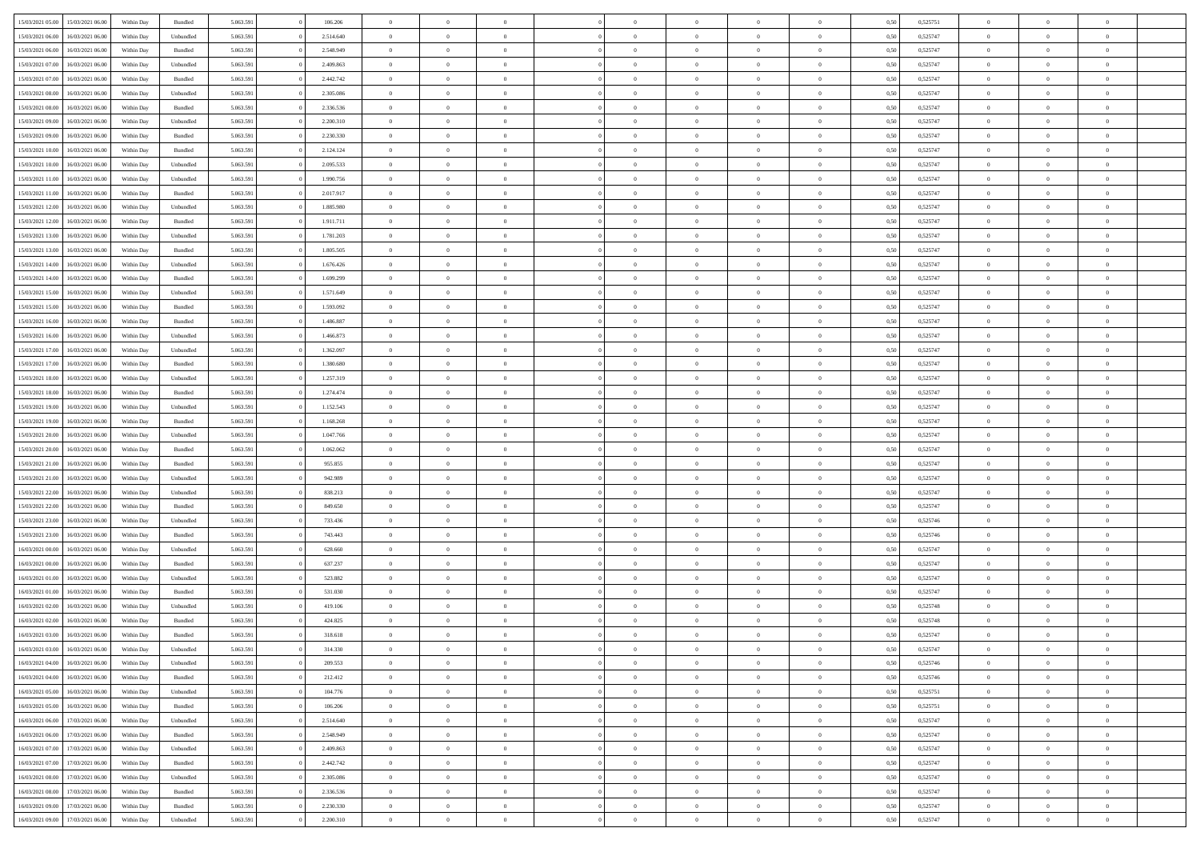| 15/03/2021 05:00 | 15/03/2021 06:00 | Within Day | Bundled   | 5.063.591 | 106.206   | $\overline{0}$ | $\theta$       |                | $\Omega$       | $\Omega$       | $\Omega$       | $\theta$       | 0.50 | 0,525751 | $\theta$       | $\overline{0}$ | $\theta$       |  |
|------------------|------------------|------------|-----------|-----------|-----------|----------------|----------------|----------------|----------------|----------------|----------------|----------------|------|----------|----------------|----------------|----------------|--|
|                  |                  |            |           |           |           |                |                |                |                |                |                |                |      |          |                |                |                |  |
| 15/03/2021 06:00 | 16/03/2021 06:00 | Within Day | Unbundled | 5.063.591 | 2.514.640 | $\overline{0}$ | $\theta$       | $\overline{0}$ | $\overline{0}$ | $\bf{0}$       | $\overline{0}$ | $\overline{0}$ | 0,50 | 0,525747 | $\theta$       | $\overline{0}$ | $\overline{0}$ |  |
| 15/03/2021 06:00 | 16/03/2021 06:00 | Within Day | Bundled   | 5.063.591 | 2.548.949 | $\overline{0}$ | $\overline{0}$ | $\overline{0}$ | $\bf{0}$       | $\bf{0}$       | $\bf{0}$       | $\bf{0}$       | 0,50 | 0,525747 | $\bf{0}$       | $\overline{0}$ | $\overline{0}$ |  |
| 15/03/2021 07:00 | 16/03/2021 06:00 | Within Dav | Unbundled | 5.063.591 | 2.409.863 | $\overline{0}$ | $\overline{0}$ | $\overline{0}$ | $\overline{0}$ | $\bf{0}$       | $\overline{0}$ | $\overline{0}$ | 0.50 | 0,525747 | $\theta$       | $\theta$       | $\overline{0}$ |  |
| 15/03/2021 07:00 | 16/03/2021 06:00 | Within Day | Bundled   | 5.063.591 | 2.442.742 | $\overline{0}$ | $\theta$       | $\overline{0}$ | $\overline{0}$ | $\bf{0}$       | $\overline{0}$ | $\bf{0}$       | 0,50 | 0,525747 | $\theta$       | $\theta$       | $\overline{0}$ |  |
| 15/03/2021 08:00 | 16/03/2021 06:00 | Within Day | Unbundled | 5.063.591 | 2.305.086 | $\overline{0}$ | $\bf{0}$       | $\overline{0}$ | $\bf{0}$       | $\overline{0}$ | $\overline{0}$ | $\mathbf{0}$   | 0,50 | 0,525747 | $\overline{0}$ | $\overline{0}$ | $\bf{0}$       |  |
| 15/03/2021 08:00 | 16/03/2021 06:00 | Within Dav | Bundled   | 5.063.591 | 2.336.536 | $\overline{0}$ | $\overline{0}$ | $\overline{0}$ | $\overline{0}$ | $\bf{0}$       | $\overline{0}$ | $\overline{0}$ | 0.50 | 0,525747 | $\theta$       | $\overline{0}$ | $\overline{0}$ |  |
|                  |                  |            |           |           |           |                |                |                |                |                |                |                |      |          |                |                |                |  |
| 15/03/2021 09:00 | 16/03/2021 06:00 | Within Day | Unbundled | 5.063.591 | 2.200.310 | $\overline{0}$ | $\theta$       | $\overline{0}$ | $\overline{0}$ | $\bf{0}$       | $\overline{0}$ | $\bf{0}$       | 0,50 | 0,525747 | $\theta$       | $\theta$       | $\overline{0}$ |  |
| 15/03/2021 09:00 | 16/03/2021 06:00 | Within Day | Bundled   | 5.063.591 | 2.230.330 | $\overline{0}$ | $\overline{0}$ | $\overline{0}$ | $\bf{0}$       | $\bf{0}$       | $\bf{0}$       | $\bf{0}$       | 0,50 | 0,525747 | $\,0\,$        | $\overline{0}$ | $\overline{0}$ |  |
| 15/03/2021 10:00 | 16/03/2021 06:00 | Within Dav | Bundled   | 5.063.591 | 2.124.124 | $\overline{0}$ | $\overline{0}$ | $\overline{0}$ | $\overline{0}$ | $\overline{0}$ | $\overline{0}$ | $\overline{0}$ | 0.50 | 0,525747 | $\theta$       | $\overline{0}$ | $\overline{0}$ |  |
| 15/03/2021 10:00 | 16/03/2021 06:00 | Within Day | Unbundled | 5.063.591 | 2.095.533 | $\overline{0}$ | $\theta$       | $\overline{0}$ | $\overline{0}$ | $\bf{0}$       | $\overline{0}$ | $\bf{0}$       | 0,50 | 0,525747 | $\,$ 0 $\,$    | $\overline{0}$ | $\overline{0}$ |  |
| 15/03/2021 11:00 | 16/03/2021 06:00 | Within Day | Unbundled | 5.063.591 | 1.990.756 | $\overline{0}$ | $\overline{0}$ | $\overline{0}$ | $\bf{0}$       | $\bf{0}$       | $\bf{0}$       | $\bf{0}$       | 0,50 | 0,525747 | $\bf{0}$       | $\overline{0}$ | $\overline{0}$ |  |
| 15/03/2021 11:00 | 16/03/2021 06:00 | Within Day | Bundled   | 5.063.591 | 2.017.917 | $\overline{0}$ | $\overline{0}$ | $\overline{0}$ | $\overline{0}$ | $\bf{0}$       | $\overline{0}$ | $\overline{0}$ | 0.50 | 0,525747 | $\theta$       | $\theta$       | $\overline{0}$ |  |
| 15/03/2021 12:00 | 16/03/2021 06:00 | Within Day | Unbundled | 5.063.591 | 1.885.980 | $\overline{0}$ | $\theta$       | $\overline{0}$ | $\overline{0}$ | $\bf{0}$       | $\overline{0}$ | $\overline{0}$ | 0,50 | 0,525747 | $\theta$       | $\theta$       | $\overline{0}$ |  |
|                  |                  |            |           |           |           |                |                |                |                |                |                |                |      |          |                |                |                |  |
| 15/03/2021 12:00 | 16/03/2021 06:00 | Within Day | Bundled   | 5.063.591 | 1.911.711 | $\overline{0}$ | $\bf{0}$       | $\overline{0}$ | $\bf{0}$       | $\overline{0}$ | $\overline{0}$ | $\mathbf{0}$   | 0,50 | 0,525747 | $\overline{0}$ | $\overline{0}$ | $\bf{0}$       |  |
| 15/03/2021 13:00 | 16/03/2021 06:00 | Within Dav | Unbundled | 5.063.591 | 1.781.203 | $\overline{0}$ | $\overline{0}$ | $\overline{0}$ | $\overline{0}$ | $\overline{0}$ | $\overline{0}$ | $\overline{0}$ | 0.50 | 0,525747 | $\theta$       | $\overline{0}$ | $\overline{0}$ |  |
| 15/03/2021 13:00 | 16/03/2021 06:00 | Within Day | Bundled   | 5.063.591 | 1.805.505 | $\overline{0}$ | $\theta$       | $\overline{0}$ | $\overline{0}$ | $\bf{0}$       | $\overline{0}$ | $\bf{0}$       | 0,50 | 0,525747 | $\theta$       | $\theta$       | $\overline{0}$ |  |
| 15/03/2021 14:00 | 16/03/2021 06:00 | Within Day | Unbundled | 5.063.591 | 1.676.426 | $\overline{0}$ | $\overline{0}$ | $\overline{0}$ | $\bf{0}$       | $\bf{0}$       | $\bf{0}$       | $\bf{0}$       | 0,50 | 0,525747 | $\,0\,$        | $\overline{0}$ | $\overline{0}$ |  |
| 15/03/2021 14:00 | 16/03/2021 06:00 | Within Day | Bundled   | 5.063.591 | 1.699.299 | $\overline{0}$ | $\overline{0}$ | $\overline{0}$ | $\overline{0}$ | $\overline{0}$ | $\overline{0}$ | $\overline{0}$ | 0.50 | 0,525747 | $\theta$       | $\overline{0}$ | $\overline{0}$ |  |
| 15/03/2021 15:00 | 16/03/2021 06:00 | Within Day | Unbundled | 5.063.591 | 1.571.649 | $\overline{0}$ | $\theta$       | $\overline{0}$ | $\overline{0}$ | $\bf{0}$       | $\overline{0}$ | $\bf{0}$       | 0,50 | 0,525747 | $\theta$       | $\theta$       | $\overline{0}$ |  |
| 15/03/2021 15:00 | 16/03/2021 06:00 | Within Day | Bundled   | 5.063.591 | 1.593.092 | $\overline{0}$ | $\overline{0}$ | $\overline{0}$ | $\bf{0}$       | $\bf{0}$       | $\bf{0}$       | $\bf{0}$       | 0,50 | 0,525747 | $\,0\,$        | $\overline{0}$ | $\overline{0}$ |  |
| 15/03/2021 16:00 | 16/03/2021 06:00 | Within Day | Bundled   | 5.063.591 | 1.486.887 | $\overline{0}$ | $\overline{0}$ | $\overline{0}$ | $\overline{0}$ | $\bf{0}$       | $\overline{0}$ | $\overline{0}$ | 0.50 | 0,525747 | $\theta$       | $\theta$       | $\overline{0}$ |  |
| 15/03/2021 16:00 | 16/03/2021 06:00 | Within Day | Unbundled | 5.063.591 | 1.466.873 | $\overline{0}$ | $\theta$       | $\overline{0}$ | $\overline{0}$ | $\bf{0}$       | $\overline{0}$ | $\bf{0}$       | 0,50 | 0,525747 | $\theta$       | $\overline{0}$ | $\overline{0}$ |  |
|                  |                  |            |           |           |           |                |                |                |                |                |                |                |      |          |                |                |                |  |
| 15/03/2021 17:00 | 16/03/2021 06:00 | Within Day | Unbundled | 5.063.591 | 1.362.097 | $\overline{0}$ | $\bf{0}$       | $\overline{0}$ | $\bf{0}$       | $\overline{0}$ | $\overline{0}$ | $\mathbf{0}$   | 0,50 | 0,525747 | $\overline{0}$ | $\overline{0}$ | $\bf{0}$       |  |
| 15/03/2021 17:00 | 16/03/2021 06:00 | Within Dav | Bundled   | 5.063.591 | 1.380.680 | $\overline{0}$ | $\overline{0}$ | $\overline{0}$ | $\overline{0}$ | $\overline{0}$ | $\overline{0}$ | $\overline{0}$ | 0.50 | 0,525747 | $\theta$       | $\overline{0}$ | $\overline{0}$ |  |
| 15/03/2021 18:00 | 16/03/2021 06:00 | Within Day | Unbundled | 5.063.591 | 1.257.319 | $\overline{0}$ | $\theta$       | $\overline{0}$ | $\overline{0}$ | $\bf{0}$       | $\overline{0}$ | $\bf{0}$       | 0,50 | 0,525747 | $\theta$       | $\theta$       | $\overline{0}$ |  |
| 15/03/2021 18:00 | 16/03/2021 06:00 | Within Day | Bundled   | 5.063.591 | 1.274.474 | $\overline{0}$ | $\overline{0}$ | $\overline{0}$ | $\bf{0}$       | $\bf{0}$       | $\bf{0}$       | $\bf{0}$       | 0,50 | 0,525747 | $\,0\,$        | $\overline{0}$ | $\overline{0}$ |  |
| 15/03/2021 19:00 | 16/03/2021 06:00 | Within Day | Unbundled | 5.063.591 | 1.152.543 | $\overline{0}$ | $\overline{0}$ | $\overline{0}$ | $\overline{0}$ | $\overline{0}$ | $\overline{0}$ | $\overline{0}$ | 0.50 | 0,525747 | $\theta$       | $\overline{0}$ | $\overline{0}$ |  |
| 15/03/2021 19:00 | 16/03/2021 06:00 | Within Day | Bundled   | 5.063.591 | 1.168.268 | $\overline{0}$ | $\theta$       | $\overline{0}$ | $\overline{0}$ | $\bf{0}$       | $\overline{0}$ | $\bf{0}$       | 0,50 | 0,525747 | $\,$ 0 $\,$    | $\theta$       | $\overline{0}$ |  |
| 15/03/2021 20:00 | 16/03/2021 06:00 | Within Day | Unbundled | 5.063.591 | 1.047.766 | $\overline{0}$ | $\overline{0}$ | $\overline{0}$ | $\bf{0}$       | $\bf{0}$       | $\bf{0}$       | $\bf{0}$       | 0,50 | 0,525747 | $\bf{0}$       | $\overline{0}$ | $\overline{0}$ |  |
| 15/03/2021 20:00 | 16/03/2021 06:00 | Within Day | Bundled   | 5.063.591 | 1.062.062 | $\overline{0}$ | $\Omega$       | $\Omega$       | $\Omega$       | $\Omega$       | $\Omega$       | $\overline{0}$ | 0,50 | 0,525747 | $\,0\,$        | $\Omega$       | $\theta$       |  |
| 15/03/2021 21:00 | 16/03/2021 06:00 | Within Day | Bundled   | 5.063.591 | 955.855   | $\overline{0}$ | $\theta$       | $\overline{0}$ | $\overline{0}$ | $\bf{0}$       | $\overline{0}$ | $\bf{0}$       | 0,50 | 0,525747 | $\theta$       | $\theta$       | $\overline{0}$ |  |
|                  |                  |            |           |           |           |                |                |                |                |                |                |                |      |          |                |                |                |  |
| 15/03/2021 21.00 | 16/03/2021 06:00 | Within Day | Unbundled | 5.063.591 | 942.989   | $\overline{0}$ | $\overline{0}$ | $\overline{0}$ | $\bf{0}$       | $\bf{0}$       | $\overline{0}$ | $\mathbf{0}$   | 0,50 | 0,525747 | $\overline{0}$ | $\overline{0}$ | $\bf{0}$       |  |
| 15/03/2021 22.00 | 16/03/2021 06:00 | Within Day | Unbundled | 5.063.591 | 838.213   | $\overline{0}$ | $\Omega$       | $\Omega$       | $\Omega$       | $\Omega$       | $\overline{0}$ | $\overline{0}$ | 0.50 | 0,525747 | $\theta$       | $\theta$       | $\theta$       |  |
| 15/03/2021 22:00 | 16/03/2021 06:00 | Within Day | Bundled   | 5.063.591 | 849.650   | $\overline{0}$ | $\theta$       | $\overline{0}$ | $\overline{0}$ | $\bf{0}$       | $\overline{0}$ | $\bf{0}$       | 0,50 | 0,525747 | $\theta$       | $\theta$       | $\overline{0}$ |  |
| 15/03/2021 23:00 | 16/03/2021 06:00 | Within Day | Unbundled | 5.063.591 | 733.436   | $\overline{0}$ | $\overline{0}$ | $\overline{0}$ | $\bf{0}$       | $\bf{0}$       | $\bf{0}$       | $\bf{0}$       | 0,50 | 0,525746 | $\,0\,$        | $\overline{0}$ | $\overline{0}$ |  |
| 15/03/2021 23:00 | 16/03/2021 06:00 | Within Day | Bundled   | 5.063.591 | 743.443   | $\overline{0}$ | $\Omega$       | $\Omega$       | $\Omega$       | $\Omega$       | $\theta$       | $\overline{0}$ | 0.50 | 0,525746 | $\theta$       | $\theta$       | $\theta$       |  |
| 16/03/2021 00:00 | 16/03/2021 06:00 | Within Day | Unbundled | 5.063.591 | 628.660   | $\overline{0}$ | $\theta$       | $\overline{0}$ | $\overline{0}$ | $\bf{0}$       | $\overline{0}$ | $\bf{0}$       | 0,50 | 0,525747 | $\,$ 0 $\,$    | $\overline{0}$ | $\overline{0}$ |  |
| 16/03/2021 00:00 | 16/03/2021 06:00 | Within Day | Bundled   | 5.063.591 | 637.237   | $\overline{0}$ | $\overline{0}$ | $\overline{0}$ | $\bf{0}$       | $\bf{0}$       | $\bf{0}$       | $\bf{0}$       | 0,50 | 0,525747 | $\bf{0}$       | $\overline{0}$ | $\overline{0}$ |  |
| 16/03/2021 01:00 | 16/03/2021 06:00 | Within Day | Unbundled | 5.063.591 | 523.882   | $\overline{0}$ | $\Omega$       | $\Omega$       | $\Omega$       | $\Omega$       | $\overline{0}$ | $\overline{0}$ | 0,50 | 0,525747 | $\,0\,$        | $\theta$       | $\theta$       |  |
| 16/03/2021 01:00 | 16/03/2021 06:00 | Within Day |           | 5.063.591 | 531.030   | $\overline{0}$ | $\theta$       | $\overline{0}$ | $\overline{0}$ | $\bf{0}$       | $\overline{0}$ |                |      | 0,525747 | $\,$ 0 $\,$    | $\overline{0}$ | $\overline{0}$ |  |
|                  |                  |            | Bundled   |           |           |                |                |                |                |                |                | $\bf{0}$       | 0,50 |          |                |                |                |  |
| 16/03/2021 02:00 | 16/03/2021 06:00 | Within Day | Unbundled | 5.063.591 | 419.106   | $\overline{0}$ | $\overline{0}$ | $\overline{0}$ | $\bf{0}$       | $\bf{0}$       | $\bf{0}$       | $\mathbf{0}$   | 0,50 | 0,525748 | $\bf{0}$       | $\overline{0}$ | $\bf{0}$       |  |
| 16/03/2021 02:00 | 16/03/2021 06:00 | Within Day | Bundled   | 5.063.591 | 424.825   | $\overline{0}$ | $\Omega$       | $\Omega$       | $\Omega$       | $\Omega$       | $\Omega$       | $\overline{0}$ | 0.50 | 0,525748 | $\theta$       | $\theta$       | $\theta$       |  |
| 16/03/2021 03:00 | 16/03/2021 06:00 | Within Day | Bundled   | 5.063.591 | 318.618   | $\overline{0}$ | $\,$ 0 $\,$    | $\overline{0}$ | $\bf{0}$       | $\,$ 0         | $\bf{0}$       | $\bf{0}$       | 0,50 | 0,525747 | $\,0\,$        | $\overline{0}$ | $\overline{0}$ |  |
| 16/03/2021 03:00 | 16/03/2021 06:00 | Within Day | Unbundled | 5.063.591 | 314.330   | $\bf{0}$       | $\bf{0}$       |                |                |                |                |                | 0,50 | 0,525747 | $\bf{0}$       | $\overline{0}$ |                |  |
| 16/03/2021 04:00 | 16/03/2021 06:00 | Within Day | Unbundled | 5.063.591 | 209,553   | $\overline{0}$ | $\overline{0}$ | $\overline{0}$ | $\Omega$       | $\overline{0}$ | $\overline{0}$ | $\overline{0}$ | 0,50 | 0,525746 | $\theta$       | $\theta$       | $\theta$       |  |
| 16/03/2021 04:00 | 16/03/2021 06:00 | Within Day | Bundled   | 5.063.591 | 212.412   | $\overline{0}$ | $\,$ 0         | $\overline{0}$ | $\bf{0}$       | $\,$ 0 $\,$    | $\overline{0}$ | $\mathbf{0}$   | 0,50 | 0,525746 | $\,$ 0 $\,$    | $\,$ 0 $\,$    | $\,$ 0         |  |
| 16/03/2021 05:00 | 16/03/2021 06:00 | Within Day | Unbundled | 5.063.591 | 104.776   | $\overline{0}$ | $\overline{0}$ | $\overline{0}$ | $\overline{0}$ | $\overline{0}$ | $\overline{0}$ | $\mathbf{0}$   | 0,50 | 0,525751 | $\overline{0}$ | $\bf{0}$       | $\bf{0}$       |  |
| 16/03/2021 05:00 | 16/03/2021 06:00 | Within Day | Bundled   | 5.063.591 | 106.206   | $\overline{0}$ | $\overline{0}$ | $\overline{0}$ | $\Omega$       | $\overline{0}$ | $\overline{0}$ | $\bf{0}$       | 0,50 | 0,525751 | $\overline{0}$ | $\theta$       | $\overline{0}$ |  |
| 16/03/2021 06:00 | 17/03/2021 06:00 | Within Day | Unbundled | 5.063.591 | 2.514.640 | $\overline{0}$ | $\,$ 0         | $\overline{0}$ | $\overline{0}$ | $\overline{0}$ | $\overline{0}$ | $\bf{0}$       | 0,50 | 0,525747 | $\,$ 0 $\,$    | $\overline{0}$ | $\overline{0}$ |  |
|                  |                  |            |           |           |           |                |                |                |                |                |                |                |      |          |                |                |                |  |
| 16/03/2021 06:00 | 17/03/2021 06:00 | Within Day | Bundled   | 5.063.591 | 2.548.949 | $\overline{0}$ | $\overline{0}$ | $\overline{0}$ | $\overline{0}$ | $\overline{0}$ | $\overline{0}$ | $\mathbf{0}$   | 0,50 | 0,525747 | $\overline{0}$ | $\overline{0}$ | $\bf{0}$       |  |
| 16/03/2021 07:00 | 17/03/2021 06:00 | Within Day | Unbundled | 5.063.591 | 2.409.863 | $\overline{0}$ | $\overline{0}$ | $\overline{0}$ | $\Omega$       | $\overline{0}$ | $\overline{0}$ | $\bf{0}$       | 0.50 | 0,525747 | $\overline{0}$ | $\theta$       | $\overline{0}$ |  |
| 16/03/2021 07:00 | 17/03/2021 06:00 | Within Day | Bundled   | 5.063.591 | 2.442.742 | $\overline{0}$ | $\,$ 0         | $\overline{0}$ | $\overline{0}$ | $\bf{0}$       | $\overline{0}$ | $\bf{0}$       | 0,50 | 0,525747 | $\,$ 0 $\,$    | $\overline{0}$ | $\overline{0}$ |  |
| 16/03/2021 08:00 | 17/03/2021 06:00 | Within Day | Unbundled | 5.063.591 | 2.305.086 | $\overline{0}$ | $\bf{0}$       | $\overline{0}$ | $\overline{0}$ | $\overline{0}$ | $\overline{0}$ | $\mathbf{0}$   | 0,50 | 0,525747 | $\overline{0}$ | $\overline{0}$ | $\bf{0}$       |  |
| 16/03/2021 08:00 | 17/03/2021 06:00 | Within Day | Bundled   | 5.063.591 | 2.336.536 | $\overline{0}$ | $\overline{0}$ | $\overline{0}$ | $\Omega$       | $\overline{0}$ | $\overline{0}$ | $\bf{0}$       | 0.50 | 0,525747 | $\overline{0}$ | $\overline{0}$ | $\overline{0}$ |  |
| 16/03/2021 09:00 | 17/03/2021 06:00 | Within Day | Bundled   | 5.063.591 | 2.230.330 | $\overline{0}$ | $\bf{0}$       | $\overline{0}$ | $\overline{0}$ | $\bf{0}$       | $\overline{0}$ | $\mathbf{0}$   | 0,50 | 0,525747 | $\,$ 0 $\,$    | $\,$ 0 $\,$    | $\bf{0}$       |  |
| 16/03/2021 09:00 | 17/03/2021 06:00 | Within Day | Unbundled | 5.063.591 | 2.200.310 | $\overline{0}$ | $\overline{0}$ | $\overline{0}$ | $\overline{0}$ | $\bf{0}$       | $\overline{0}$ | $\mathbf{0}$   | 0,50 | 0,525747 | $\overline{0}$ | $\bf{0}$       | $\bf{0}$       |  |
|                  |                  |            |           |           |           |                |                |                |                |                |                |                |      |          |                |                |                |  |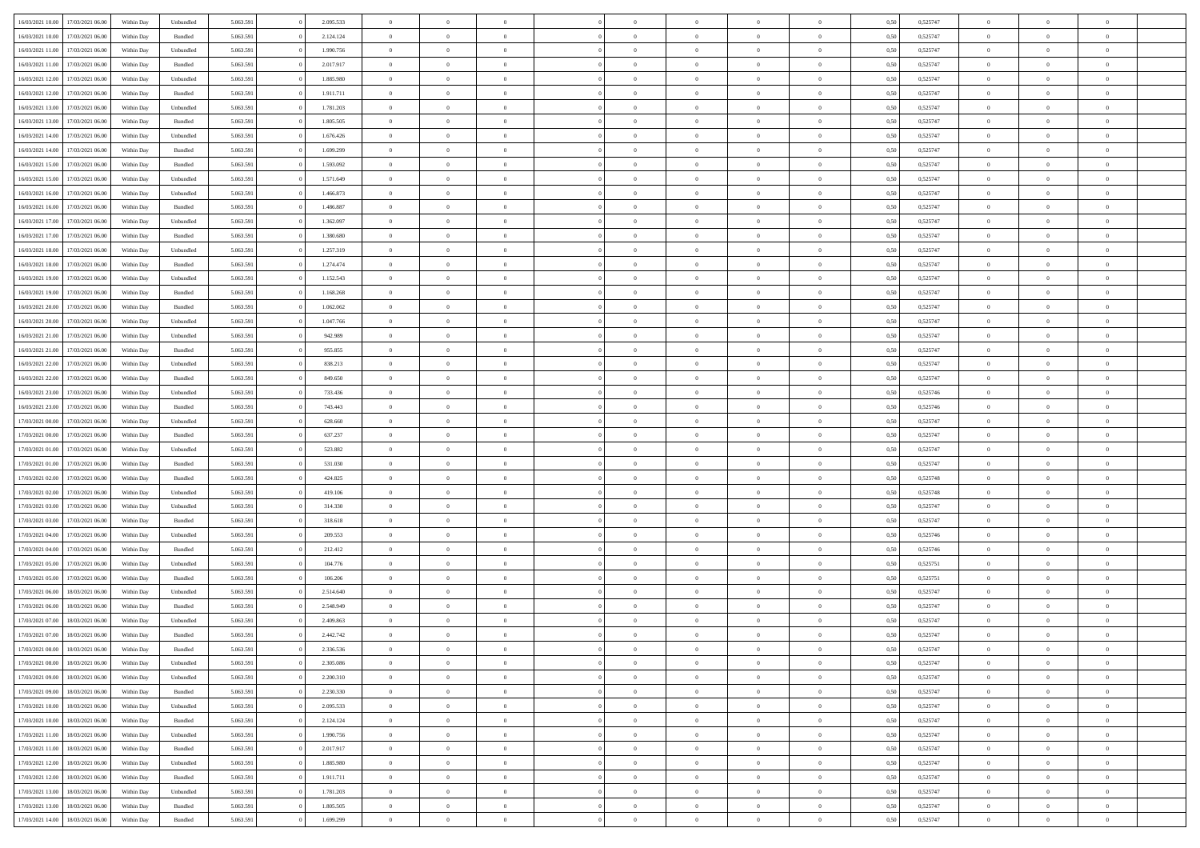|                  |                  |            |                    |           |           |                |                |                |                | $\Omega$       | $\theta$       | $\theta$       |      |          | $\theta$       | $\overline{0}$ |                |  |
|------------------|------------------|------------|--------------------|-----------|-----------|----------------|----------------|----------------|----------------|----------------|----------------|----------------|------|----------|----------------|----------------|----------------|--|
| 16/03/2021 10:00 | 17/03/2021 06:00 | Within Day | Unbundled          | 5.063.591 | 2.095.533 | $\overline{0}$ | $\theta$       |                | $\Omega$       |                |                |                | 0.50 | 0,525747 |                |                | $\overline{0}$ |  |
| 16/03/2021 10:00 | 17/03/2021 06:00 | Within Day | Bundled            | 5.063.591 | 2.124.124 | $\overline{0}$ | $\theta$       | $\overline{0}$ | $\overline{0}$ | $\bf{0}$       | $\overline{0}$ | $\bf{0}$       | 0,50 | 0,525747 | $\theta$       | $\overline{0}$ | $\overline{0}$ |  |
| 16/03/2021 11:00 | 17/03/2021 06:00 | Within Day | Unbundled          | 5.063.591 | 1.990.756 | $\overline{0}$ | $\bf{0}$       | $\overline{0}$ | $\overline{0}$ | $\bf{0}$       | $\overline{0}$ | $\mathbf{0}$   | 0,50 | 0,525747 | $\bf{0}$       | $\overline{0}$ | $\overline{0}$ |  |
| 16/03/2021 11:00 | 17/03/2021 06:00 | Within Dav | Bundled            | 5.063.591 | 2.017.917 | $\overline{0}$ | $\overline{0}$ | $\overline{0}$ | $\overline{0}$ | $\bf{0}$       | $\overline{0}$ | $\overline{0}$ | 0.50 | 0,525747 | $\theta$       | $\theta$       | $\overline{0}$ |  |
| 16/03/2021 12:00 | 17/03/2021 06:00 | Within Day | Unbundled          | 5.063.591 | 1.885.980 | $\overline{0}$ | $\theta$       | $\overline{0}$ | $\overline{0}$ | $\bf{0}$       | $\overline{0}$ | $\bf{0}$       | 0,50 | 0,525747 | $\theta$       | $\overline{0}$ | $\overline{0}$ |  |
|                  |                  |            |                    |           |           |                |                |                |                |                |                |                |      |          |                |                |                |  |
| 16/03/2021 12:00 | 17/03/2021 06:00 | Within Day | Bundled            | 5.063.591 | 1.911.711 | $\overline{0}$ | $\overline{0}$ | $\overline{0}$ | $\overline{0}$ | $\overline{0}$ | $\overline{0}$ | $\mathbf{0}$   | 0,50 | 0,525747 | $\bf{0}$       | $\overline{0}$ | $\bf{0}$       |  |
| 16/03/2021 13:00 | 17/03/2021 06:00 | Within Dav | Unbundled          | 5.063.591 | 1.781.203 | $\overline{0}$ | $\overline{0}$ | $\overline{0}$ | $\overline{0}$ | $\overline{0}$ | $\overline{0}$ | $\overline{0}$ | 0.50 | 0,525747 | $\theta$       | $\overline{0}$ | $\overline{0}$ |  |
| 16/03/2021 13:00 | 17/03/2021 06:00 | Within Day | Bundled            | 5.063.591 | 1.805.505 | $\overline{0}$ | $\theta$       | $\overline{0}$ | $\overline{0}$ | $\bf{0}$       | $\overline{0}$ | $\bf{0}$       | 0,50 | 0,525747 | $\theta$       | $\theta$       | $\overline{0}$ |  |
| 16/03/2021 14:00 | 17/03/2021 06:00 | Within Day | Unbundled          | 5.063.591 | 1.676.426 | $\overline{0}$ | $\overline{0}$ | $\overline{0}$ | $\overline{0}$ | $\bf{0}$       | $\overline{0}$ | $\bf{0}$       | 0,50 | 0,525747 | $\,0\,$        | $\overline{0}$ | $\overline{0}$ |  |
| 16/03/2021 14:00 | 17/03/2021 06:00 | Within Dav | Bundled            | 5.063.591 | 1.699.299 | $\overline{0}$ | $\overline{0}$ | $\overline{0}$ | $\overline{0}$ | $\overline{0}$ | $\overline{0}$ | $\overline{0}$ | 0.50 | 0,525747 | $\theta$       | $\overline{0}$ | $\overline{0}$ |  |
| 16/03/2021 15:00 | 17/03/2021 06:00 | Within Day | Bundled            | 5.063.591 | 1.593.092 | $\overline{0}$ | $\theta$       | $\overline{0}$ | $\overline{0}$ | $\bf{0}$       | $\overline{0}$ | $\bf{0}$       | 0,50 | 0,525747 | $\,$ 0 $\,$    | $\overline{0}$ | $\overline{0}$ |  |
| 16/03/2021 15:00 | 17/03/2021 06:00 | Within Day | Unbundled          | 5.063.591 | 1.571.649 | $\overline{0}$ | $\bf{0}$       | $\overline{0}$ | $\overline{0}$ | $\bf{0}$       | $\overline{0}$ | $\mathbf{0}$   | 0,50 | 0,525747 | $\bf{0}$       | $\overline{0}$ | $\bf{0}$       |  |
| 16/03/2021 16:00 | 17/03/2021 06:00 | Within Dav | Unbundled          | 5.063.591 | 1.466.873 | $\overline{0}$ | $\overline{0}$ | $\overline{0}$ | $\overline{0}$ | $\bf{0}$       | $\overline{0}$ | $\overline{0}$ | 0.50 | 0,525747 | $\theta$       | $\theta$       | $\overline{0}$ |  |
|                  |                  |            |                    |           |           |                |                |                |                |                |                |                |      |          |                |                |                |  |
| 16/03/2021 16:00 | 17/03/2021 06:00 | Within Day | Bundled            | 5.063.591 | 1.486.887 | $\overline{0}$ | $\theta$       | $\overline{0}$ | $\overline{0}$ | $\bf{0}$       | $\overline{0}$ | $\bf{0}$       | 0,50 | 0,525747 | $\theta$       | $\overline{0}$ | $\overline{0}$ |  |
| 16/03/2021 17:00 | 17/03/2021 06:00 | Within Day | Unbundled          | 5.063.591 | 1.362.097 | $\overline{0}$ | $\overline{0}$ | $\overline{0}$ | $\bf{0}$       | $\overline{0}$ | $\overline{0}$ | $\mathbf{0}$   | 0,50 | 0,525747 | $\bf{0}$       | $\overline{0}$ | $\bf{0}$       |  |
| 16/03/2021 17:00 | 17/03/2021 06:00 | Within Dav | Bundled            | 5.063.591 | 1.380.680 | $\overline{0}$ | $\overline{0}$ | $\overline{0}$ | $\overline{0}$ | $\overline{0}$ | $\overline{0}$ | $\overline{0}$ | 0.50 | 0,525747 | $\theta$       | $\overline{0}$ | $\overline{0}$ |  |
| 16/03/2021 18:00 | 17/03/2021 06:00 | Within Day | Unbundled          | 5.063.591 | 1.257.319 | $\overline{0}$ | $\theta$       | $\overline{0}$ | $\overline{0}$ | $\bf{0}$       | $\overline{0}$ | $\bf{0}$       | 0,50 | 0,525747 | $\theta$       | $\theta$       | $\overline{0}$ |  |
| 16/03/2021 18:00 | 17/03/2021 06:00 | Within Day | Bundled            | 5.063.591 | 1.274.474 | $\overline{0}$ | $\overline{0}$ | $\overline{0}$ | $\bf{0}$       | $\bf{0}$       | $\bf{0}$       | $\bf{0}$       | 0,50 | 0,525747 | $\,0\,$        | $\overline{0}$ | $\overline{0}$ |  |
| 16/03/2021 19:00 | 17/03/2021 06:00 | Within Day | Unbundled          | 5.063.591 | 1.152.543 | $\overline{0}$ | $\overline{0}$ | $\overline{0}$ | $\overline{0}$ | $\overline{0}$ | $\overline{0}$ | $\overline{0}$ | 0.50 | 0,525747 | $\theta$       | $\overline{0}$ | $\overline{0}$ |  |
| 16/03/2021 19:00 | 17/03/2021 06:00 |            | Bundled            | 5.063.591 | 1.168.268 | $\overline{0}$ | $\theta$       | $\overline{0}$ | $\overline{0}$ | $\bf{0}$       | $\overline{0}$ |                |      | 0,525747 | $\,$ 0 $\,$    | $\overline{0}$ | $\overline{0}$ |  |
|                  |                  | Within Day |                    |           |           |                |                |                |                |                |                | $\bf{0}$       | 0,50 |          |                |                |                |  |
| 16/03/2021 20:00 | 17/03/2021 06:00 | Within Day | Bundled            | 5.063.591 | 1.062.062 | $\overline{0}$ | $\overline{0}$ | $\overline{0}$ | $\bf{0}$       | $\bf{0}$       | $\bf{0}$       | $\bf{0}$       | 0,50 | 0,525747 | $\,0\,$        | $\overline{0}$ | $\bf{0}$       |  |
| 16/03/2021 20:00 | 17/03/2021 06:00 | Within Day | Unbundled          | 5.063.591 | 1.047.766 | $\overline{0}$ | $\overline{0}$ | $\overline{0}$ | $\overline{0}$ | $\bf{0}$       | $\overline{0}$ | $\overline{0}$ | 0.50 | 0,525747 | $\theta$       | $\overline{0}$ | $\overline{0}$ |  |
| 16/03/2021 21:00 | 17/03/2021 06:00 | Within Day | Unbundled          | 5.063.591 | 942.989   | $\overline{0}$ | $\theta$       | $\overline{0}$ | $\overline{0}$ | $\bf{0}$       | $\overline{0}$ | $\bf{0}$       | 0,50 | 0,525747 | $\,$ 0 $\,$    | $\overline{0}$ | $\overline{0}$ |  |
| 16/03/2021 21.00 | 17/03/2021 06:00 | Within Day | Bundled            | 5.063.591 | 955.855   | $\overline{0}$ | $\overline{0}$ | $\overline{0}$ | $\bf{0}$       | $\overline{0}$ | $\overline{0}$ | $\mathbf{0}$   | 0,50 | 0,525747 | $\bf{0}$       | $\overline{0}$ | $\bf{0}$       |  |
| 16/03/2021 22:00 | 17/03/2021 06:00 | Within Dav | Unbundled          | 5.063.591 | 838.213   | $\overline{0}$ | $\overline{0}$ | $\overline{0}$ | $\overline{0}$ | $\overline{0}$ | $\overline{0}$ | $\overline{0}$ | 0.50 | 0,525747 | $\theta$       | $\overline{0}$ | $\overline{0}$ |  |
| 16/03/2021 22:00 | 17/03/2021 06:00 | Within Day | Bundled            | 5.063.591 | 849.650   | $\overline{0}$ | $\theta$       | $\overline{0}$ | $\overline{0}$ | $\bf{0}$       | $\overline{0}$ | $\bf{0}$       | 0,50 | 0,525747 | $\theta$       | $\theta$       | $\overline{0}$ |  |
|                  |                  |            |                    |           |           |                |                |                |                |                |                |                |      |          |                |                |                |  |
| 16/03/2021 23:00 | 17/03/2021 06:00 | Within Day | Unbundled          | 5.063.591 | 733.436   | $\overline{0}$ | $\overline{0}$ | $\overline{0}$ | $\bf{0}$       | $\bf{0}$       | $\bf{0}$       | $\bf{0}$       | 0,50 | 0,525746 | $\,0\,$        | $\overline{0}$ | $\overline{0}$ |  |
| 16/03/2021 23:00 | 17/03/2021 06:00 | Within Day | Bundled            | 5.063.591 | 743.443   | $\overline{0}$ | $\overline{0}$ | $\overline{0}$ | $\overline{0}$ | $\overline{0}$ | $\overline{0}$ | $\overline{0}$ | 0.50 | 0,525746 | $\theta$       | $\overline{0}$ | $\overline{0}$ |  |
| 17/03/2021 00:00 | 17/03/2021 06:00 | Within Day | Unbundled          | 5.063.591 | 628.660   | $\overline{0}$ | $\theta$       | $\overline{0}$ | $\overline{0}$ | $\bf{0}$       | $\overline{0}$ | $\bf{0}$       | 0,50 | 0,525747 | $\,$ 0 $\,$    | $\overline{0}$ | $\overline{0}$ |  |
| 17/03/2021 00:00 | 17/03/2021 06:00 | Within Day | Bundled            | 5.063.591 | 637.237   | $\overline{0}$ | $\bf{0}$       | $\overline{0}$ | $\bf{0}$       | $\bf{0}$       | $\bf{0}$       | $\bf{0}$       | 0,50 | 0,525747 | $\overline{0}$ | $\overline{0}$ | $\bf{0}$       |  |
| 17/03/2021 01:00 | 17/03/2021 06:00 | Within Day | Unbundled          | 5.063.591 | 523.882   | $\overline{0}$ | $\Omega$       | $\Omega$       | $\Omega$       | $\Omega$       | $\overline{0}$ | $\overline{0}$ | 0,50 | 0,525747 | $\,0\,$        | $\theta$       | $\theta$       |  |
| 17/03/2021 01:00 | 17/03/2021 06:00 | Within Day | Bundled            | 5.063.591 | 531.030   | $\overline{0}$ | $\theta$       | $\overline{0}$ | $\overline{0}$ | $\bf{0}$       | $\overline{0}$ | $\bf{0}$       | 0,50 | 0,525747 | $\theta$       | $\overline{0}$ | $\overline{0}$ |  |
| 17/03/2021 02:00 | 17/03/2021 06:00 | Within Day | Bundled            | 5.063.591 | 424.825   | $\overline{0}$ | $\overline{0}$ | $\overline{0}$ | $\bf{0}$       | $\overline{0}$ | $\overline{0}$ | $\mathbf{0}$   | 0,50 | 0,525748 | $\overline{0}$ | $\overline{0}$ | $\bf{0}$       |  |
| 17/03/2021 02:00 | 17/03/2021 06:00 |            | Unbundled          | 5.063.591 | 419,106   | $\overline{0}$ | $\Omega$       | $\Omega$       | $\Omega$       | $\bf{0}$       | $\overline{0}$ | $\overline{0}$ | 0.50 | 0,525748 | $\,0\,$        | $\theta$       | $\theta$       |  |
|                  |                  | Within Day |                    |           |           |                |                |                |                |                |                |                |      |          |                |                |                |  |
| 17/03/2021 03:00 | 17/03/2021 06:00 | Within Day | Unbundled          | 5.063.591 | 314.330   | $\overline{0}$ | $\theta$       | $\overline{0}$ | $\overline{0}$ | $\bf{0}$       | $\overline{0}$ | $\bf{0}$       | 0,50 | 0,525747 | $\,$ 0 $\,$    | $\overline{0}$ | $\overline{0}$ |  |
| 17/03/2021 03:00 | 17/03/2021 06:00 | Within Day | Bundled            | 5.063.591 | 318.618   | $\overline{0}$ | $\overline{0}$ | $\overline{0}$ | $\bf{0}$       | $\bf{0}$       | $\bf{0}$       | $\bf{0}$       | 0,50 | 0,525747 | $\bf{0}$       | $\overline{0}$ | $\bf{0}$       |  |
| 17/03/2021 04:00 | 17/03/2021 06:00 | Within Day | Unbundled          | 5.063.591 | 209,553   | $\overline{0}$ | $\Omega$       | $\Omega$       | $\Omega$       | $\theta$       | $\overline{0}$ | $\overline{0}$ | 0.50 | 0,525746 | $\,$ 0 $\,$    | $\theta$       | $\theta$       |  |
| 17/03/2021 04:00 | 17/03/2021 06:00 | Within Day | Bundled            | 5.063.591 | 212.412   | $\overline{0}$ | $\overline{0}$ | $\overline{0}$ | $\overline{0}$ | $\bf{0}$       | $\overline{0}$ | $\bf{0}$       | 0,50 | 0,525746 | $\,$ 0 $\,$    | $\overline{0}$ | $\overline{0}$ |  |
| 17/03/2021 05:00 | 17/03/2021 06:00 | Within Day | Unbundled          | 5.063.591 | 104.776   | $\overline{0}$ | $\overline{0}$ | $\overline{0}$ | $\bf{0}$       | $\bf{0}$       | $\bf{0}$       | $\bf{0}$       | 0,50 | 0,525751 | $\bf{0}$       | $\overline{0}$ | $\bf{0}$       |  |
| 17/03/2021 05:00 | 17/03/2021 06:00 | Within Day | Bundled            | 5.063.591 | 106.206   | $\overline{0}$ | $\Omega$       | $\overline{0}$ | $\Omega$       | $\bf{0}$       | $\overline{0}$ | $\overline{0}$ | 0,50 | 0,525751 | $\,0\,$        | $\theta$       | $\theta$       |  |
| 17/03/2021 06:00 | 18/03/2021 06:00 | Within Day | Unbundled          | 5.063.591 | 2.514.640 | $\overline{0}$ | $\overline{0}$ | $\overline{0}$ | $\overline{0}$ | $\,$ 0         | $\overline{0}$ | $\bf{0}$       | 0,50 | 0,525747 | $\,$ 0 $\,$    | $\overline{0}$ | $\overline{0}$ |  |
| 17/03/2021 06:00 | 18/03/2021 06:00 | Within Day | Bundled            | 5.063.591 | 2.548.949 | $\overline{0}$ | $\overline{0}$ | $\overline{0}$ | $\bf{0}$       | $\bf{0}$       | $\bf{0}$       | $\mathbf{0}$   | 0,50 | 0,525747 | $\bf{0}$       | $\overline{0}$ | $\bf{0}$       |  |
|                  |                  |            |                    |           |           |                |                |                |                |                |                |                |      |          |                |                |                |  |
| 17/03/2021 07:00 | 18/03/2021 06:00 | Within Day | Unbundled          | 5.063.591 | 2.409.863 | $\overline{0}$ | $\Omega$       | $\Omega$       | $\Omega$       | $\Omega$       | $\Omega$       | $\overline{0}$ | 0.50 | 0,525747 | $\theta$       | $\theta$       | $\theta$       |  |
| 17/03/2021 07:00 | 18/03/2021 06:00 | Within Day | Bundled            | 5.063.591 | 2.442.742 | $\overline{0}$ | $\overline{0}$ | $\overline{0}$ | $\bf{0}$       | $\,$ 0         | $\bf{0}$       | $\bf{0}$       | 0,50 | 0,525747 | $\,0\,$        | $\,0\,$        | $\overline{0}$ |  |
| 17/03/2021 08:00 | 18/03/2021 06:00 | Within Day | $\mathbf B$ undled | 5.063.591 | 2.336.536 | $\bf{0}$       | $\bf{0}$       |                |                |                |                |                | 0,50 | 0,525747 | $\bf{0}$       | $\overline{0}$ |                |  |
| 17/03/2021 08:00 | 18/03/2021 06:00 | Within Day | Unbundled          | 5.063.591 | 2.305.086 | $\overline{0}$ | $\overline{0}$ | $\overline{0}$ | $\Omega$       | $\overline{0}$ | $\overline{0}$ | $\overline{0}$ | 0,50 | 0,525747 | $\theta$       | $\theta$       | $\theta$       |  |
| 17/03/2021 09:00 | 18/03/2021 06:00 | Within Day | Unbundled          | 5.063.591 | 2.200.310 | $\overline{0}$ | $\,$ 0         | $\overline{0}$ | $\bf{0}$       | $\,$ 0 $\,$    | $\overline{0}$ | $\mathbf{0}$   | 0,50 | 0,525747 | $\,$ 0 $\,$    | $\,$ 0 $\,$    | $\,$ 0         |  |
| 17/03/2021 09:00 | 18/03/2021 06:00 | Within Day | Bundled            | 5.063.591 | 2.230.330 | $\overline{0}$ | $\overline{0}$ | $\overline{0}$ | $\overline{0}$ | $\overline{0}$ | $\overline{0}$ | $\mathbf{0}$   | 0,50 | 0,525747 | $\overline{0}$ | $\bf{0}$       | $\bf{0}$       |  |
| 17/03/2021 10:00 | 18/03/2021 06:00 | Within Day | Unbundled          | 5.063.591 | 2.095.533 | $\overline{0}$ | $\overline{0}$ | $\overline{0}$ | $\Omega$       | $\overline{0}$ | $\overline{0}$ | $\bf{0}$       | 0,50 | 0,525747 | $\overline{0}$ | $\theta$       | $\overline{0}$ |  |
| 17/03/2021 10:00 | 18/03/2021 06:00 | Within Day | Bundled            | 5.063.591 | 2.124.124 | $\overline{0}$ | $\,$ 0         | $\overline{0}$ | $\overline{0}$ | $\overline{0}$ | $\overline{0}$ | $\bf{0}$       | 0,50 | 0,525747 | $\,$ 0 $\,$    | $\overline{0}$ | $\overline{0}$ |  |
|                  |                  |            |                    |           |           |                |                |                |                |                |                |                |      |          |                |                |                |  |
| 17/03/2021 11:00 | 18/03/2021 06:00 | Within Day | Unbundled          | 5.063.591 | 1.990.756 | $\overline{0}$ | $\overline{0}$ | $\overline{0}$ | $\overline{0}$ | $\overline{0}$ | $\overline{0}$ | $\mathbf{0}$   | 0,50 | 0,525747 | $\overline{0}$ | $\overline{0}$ | $\bf{0}$       |  |
| 17/03/2021 11:00 | 18/03/2021 06:00 | Within Day | Bundled            | 5.063.591 | 2.017.917 | $\overline{0}$ | $\overline{0}$ | $\overline{0}$ | $\Omega$       | $\overline{0}$ | $\overline{0}$ | $\bf{0}$       | 0.50 | 0,525747 | $\overline{0}$ | $\theta$       | $\overline{0}$ |  |
| 17/03/2021 12:00 | 18/03/2021 06:00 | Within Day | Unbundled          | 5.063.591 | 1.885.980 | $\overline{0}$ | $\,$ 0         | $\overline{0}$ | $\bf{0}$       | $\bf{0}$       | $\bf{0}$       | $\bf{0}$       | 0,50 | 0,525747 | $\,$ 0 $\,$    | $\overline{0}$ | $\overline{0}$ |  |
| 17/03/2021 12:00 | 18/03/2021 06:00 | Within Day | Bundled            | 5.063.591 | 1.911.711 | $\overline{0}$ | $\bf{0}$       | $\overline{0}$ | $\overline{0}$ | $\overline{0}$ | $\overline{0}$ | $\mathbf{0}$   | 0,50 | 0,525747 | $\overline{0}$ | $\overline{0}$ | $\bf{0}$       |  |
| 17/03/2021 13:00 | 18/03/2021 06:00 | Within Day | Unbundled          | 5.063.591 | 1.781.203 | $\overline{0}$ | $\overline{0}$ | $\overline{0}$ | $\Omega$       | $\overline{0}$ | $\overline{0}$ | $\bf{0}$       | 0.50 | 0,525747 | $\overline{0}$ | $\theta$       | $\overline{0}$ |  |
| 17/03/2021 13:00 | 18/03/2021 06:00 | Within Day | Bundled            | 5.063.591 | 1.805.505 | $\overline{0}$ | $\bf{0}$       | $\overline{0}$ | $\overline{0}$ | $\bf{0}$       | $\bf{0}$       | $\mathbf{0}$   | 0,50 | 0,525747 | $\,$ 0 $\,$    | $\,$ 0 $\,$    | $\bf{0}$       |  |
|                  |                  |            |                    |           |           |                |                |                |                |                |                |                |      |          |                |                |                |  |
| 17/03/2021 14:00 | 18/03/2021 06:00 | Within Day | Bundled            | 5.063.591 | 1.699.299 | $\overline{0}$ | $\overline{0}$ | $\overline{0}$ | $\overline{0}$ | $\bf{0}$       | $\bf{0}$       | $\mathbf{0}$   | 0,50 | 0,525747 | $\overline{0}$ | $\bf{0}$       | $\bf{0}$       |  |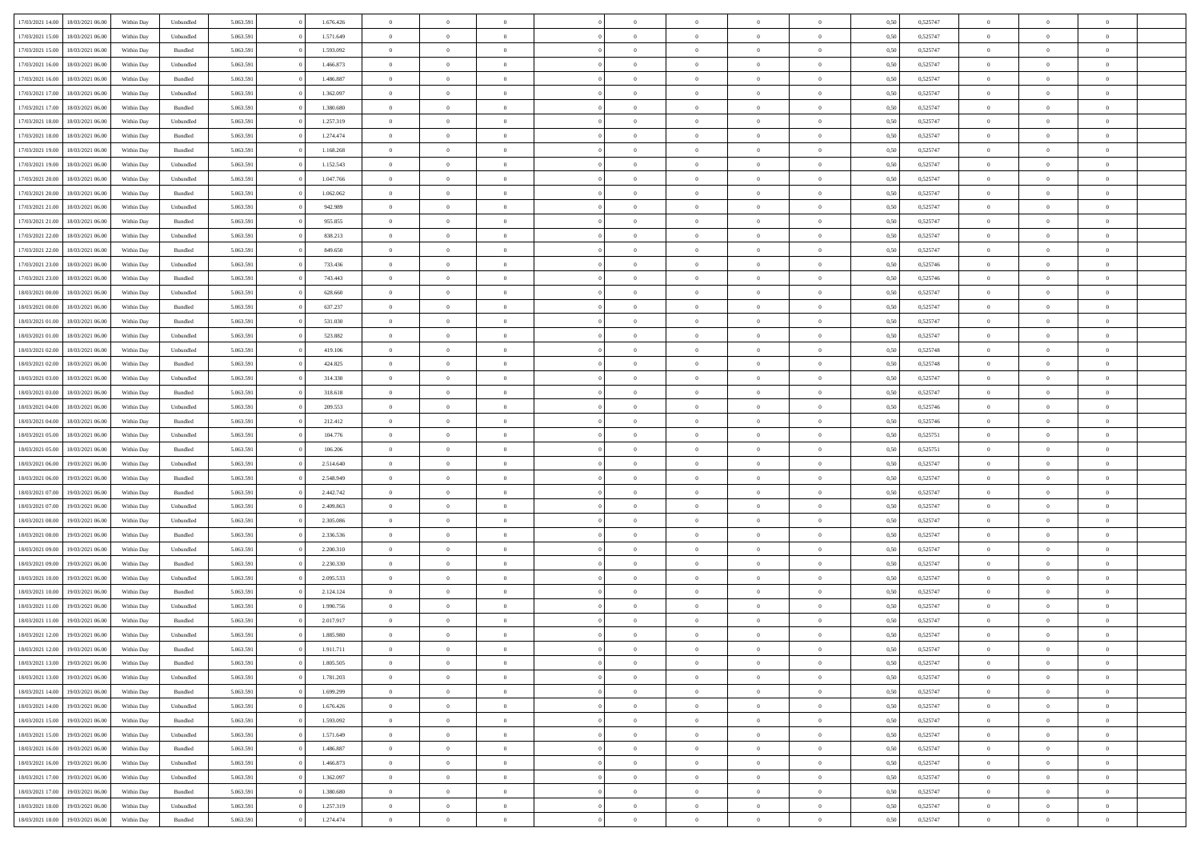| 17/03/2021 14:00 | 18/03/2021 06:00 | Within Day | Unbundled          | 5.063.591 | 1.676.426 | $\overline{0}$ | $\theta$       |                | $\Omega$       | $\Omega$       | $\overline{0}$ | $\theta$       | 0.50 | 0,525747 | $\theta$       | $\overline{0}$ | $\overline{0}$ |  |
|------------------|------------------|------------|--------------------|-----------|-----------|----------------|----------------|----------------|----------------|----------------|----------------|----------------|------|----------|----------------|----------------|----------------|--|
|                  |                  |            |                    |           |           |                |                |                |                |                |                |                |      |          |                |                |                |  |
| 17/03/2021 15:00 | 18/03/2021 06:00 | Within Day | Unbundled          | 5.063.591 | 1.571.649 | $\overline{0}$ | $\theta$       | $\overline{0}$ | $\overline{0}$ | $\bf{0}$       | $\overline{0}$ | $\bf{0}$       | 0,50 | 0,525747 | $\theta$       | $\overline{0}$ | $\overline{0}$ |  |
| 17/03/2021 15:00 | 18/03/2021 06:00 | Within Day | Bundled            | 5.063.591 | 1.593.092 | $\overline{0}$ | $\bf{0}$       | $\overline{0}$ | $\bf{0}$       | $\bf{0}$       | $\bf{0}$       | $\mathbf{0}$   | 0,50 | 0,525747 | $\overline{0}$ | $\overline{0}$ | $\overline{0}$ |  |
| 17/03/2021 16:00 | 18/03/2021 06:00 | Within Dav | Unbundled          | 5.063.591 | 1.466.873 | $\overline{0}$ | $\overline{0}$ | $\overline{0}$ | $\overline{0}$ | $\bf{0}$       | $\overline{0}$ | $\overline{0}$ | 0.50 | 0,525747 | $\theta$       | $\theta$       | $\overline{0}$ |  |
|                  |                  |            |                    |           |           |                |                |                |                |                |                |                |      |          |                |                |                |  |
| 17/03/2021 16:00 | 18/03/2021 06:00 | Within Day | Bundled            | 5.063.591 | 1.486.887 | $\overline{0}$ | $\theta$       | $\overline{0}$ | $\overline{0}$ | $\bf{0}$       | $\overline{0}$ | $\bf{0}$       | 0,50 | 0,525747 | $\theta$       | $\overline{0}$ | $\overline{0}$ |  |
| 17/03/2021 17:00 | 18/03/2021 06:00 | Within Day | Unbundled          | 5.063.591 | 1.362.097 | $\overline{0}$ | $\overline{0}$ | $\overline{0}$ | $\bf{0}$       | $\overline{0}$ | $\overline{0}$ | $\mathbf{0}$   | 0,50 | 0,525747 | $\overline{0}$ | $\overline{0}$ | $\bf{0}$       |  |
| 17/03/2021 17:00 | 18/03/2021 06:00 | Within Dav | Bundled            | 5.063.591 | 1.380.680 | $\overline{0}$ | $\overline{0}$ | $\overline{0}$ | $\overline{0}$ | $\overline{0}$ | $\overline{0}$ | $\overline{0}$ | 0.50 | 0,525747 | $\theta$       | $\overline{0}$ | $\overline{0}$ |  |
| 17/03/2021 18:00 | 18/03/2021 06:00 | Within Day | Unbundled          | 5.063.591 | 1.257.319 | $\overline{0}$ | $\theta$       | $\overline{0}$ | $\overline{0}$ | $\bf{0}$       | $\overline{0}$ | $\bf{0}$       | 0,50 | 0,525747 | $\theta$       | $\theta$       | $\overline{0}$ |  |
| 17/03/2021 18:00 | 18/03/2021 06:00 | Within Day | Bundled            | 5.063.591 | 1.274.474 | $\overline{0}$ | $\overline{0}$ | $\overline{0}$ | $\bf{0}$       | $\bf{0}$       | $\bf{0}$       | $\bf{0}$       | 0,50 | 0,525747 | $\,0\,$        | $\overline{0}$ | $\overline{0}$ |  |
|                  |                  |            |                    |           |           |                |                |                |                |                |                |                |      |          |                |                |                |  |
| 17/03/2021 19:00 | 18/03/2021 06:00 | Within Dav | Bundled            | 5.063.591 | 1.168.268 | $\overline{0}$ | $\overline{0}$ | $\overline{0}$ | $\overline{0}$ | $\overline{0}$ | $\overline{0}$ | $\overline{0}$ | 0.50 | 0,525747 | $\theta$       | $\overline{0}$ | $\overline{0}$ |  |
| 17/03/2021 19:00 | 18/03/2021 06:00 | Within Day | Unbundled          | 5.063.591 | 1.152.543 | $\overline{0}$ | $\theta$       | $\overline{0}$ | $\overline{0}$ | $\bf{0}$       | $\overline{0}$ | $\bf{0}$       | 0,50 | 0,525747 | $\,$ 0 $\,$    | $\overline{0}$ | $\overline{0}$ |  |
| 17/03/2021 20.00 | 18/03/2021 06:00 | Within Day | Unbundled          | 5.063.591 | 1.047.766 | $\overline{0}$ | $\bf{0}$       | $\overline{0}$ | $\bf{0}$       | $\bf{0}$       | $\bf{0}$       | $\mathbf{0}$   | 0,50 | 0,525747 | $\overline{0}$ | $\overline{0}$ | $\bf{0}$       |  |
| 17/03/2021 20:00 | 18/03/2021 06:00 | Within Day | Bundled            | 5.063.591 | 1.062.062 | $\overline{0}$ | $\overline{0}$ | $\overline{0}$ | $\overline{0}$ | $\bf{0}$       | $\overline{0}$ | $\overline{0}$ | 0.50 | 0,525747 | $\theta$       | $\theta$       | $\overline{0}$ |  |
| 17/03/2021 21:00 | 18/03/2021 06:00 | Within Day | Unbundled          | 5.063.591 | 942.989   | $\overline{0}$ | $\theta$       | $\overline{0}$ | $\overline{0}$ | $\bf{0}$       | $\overline{0}$ | $\bf{0}$       | 0,50 | 0,525747 | $\theta$       | $\overline{0}$ | $\overline{0}$ |  |
|                  |                  |            |                    |           |           |                |                |                |                |                |                |                |      |          |                |                |                |  |
| 17/03/2021 21.00 | 18/03/2021 06:00 | Within Day | Bundled            | 5.063.591 | 955.855   | $\overline{0}$ | $\overline{0}$ | $\overline{0}$ | $\bf{0}$       | $\overline{0}$ | $\overline{0}$ | $\mathbf{0}$   | 0,50 | 0,525747 | $\overline{0}$ | $\overline{0}$ | $\bf{0}$       |  |
| 17/03/2021 22:00 | 18/03/2021 06:00 | Within Dav | Unbundled          | 5.063.591 | 838.213   | $\overline{0}$ | $\overline{0}$ | $\overline{0}$ | $\overline{0}$ | $\overline{0}$ | $\overline{0}$ | $\overline{0}$ | 0.50 | 0,525747 | $\theta$       | $\overline{0}$ | $\overline{0}$ |  |
| 17/03/2021 22:00 | 18/03/2021 06:00 | Within Day | Bundled            | 5.063.591 | 849.650   | $\overline{0}$ | $\theta$       | $\overline{0}$ | $\overline{0}$ | $\bf{0}$       | $\overline{0}$ | $\bf{0}$       | 0,50 | 0,525747 | $\theta$       | $\theta$       | $\overline{0}$ |  |
| 17/03/2021 23:00 | 18/03/2021 06:00 | Within Day | Unbundled          | 5.063.591 | 733.436   | $\overline{0}$ | $\overline{0}$ | $\overline{0}$ | $\bf{0}$       | $\bf{0}$       | $\bf{0}$       | $\bf{0}$       | 0,50 | 0,525746 | $\bf{0}$       | $\overline{0}$ | $\overline{0}$ |  |
| 17/03/2021 23:00 | 18/03/2021 06:00 | Within Day | Bundled            | 5.063.591 | 743.443   | $\overline{0}$ | $\overline{0}$ | $\overline{0}$ | $\overline{0}$ | $\overline{0}$ | $\overline{0}$ | $\overline{0}$ | 0.50 | 0,525746 | $\theta$       | $\overline{0}$ | $\overline{0}$ |  |
|                  |                  |            |                    |           |           |                |                |                |                |                |                |                |      |          |                |                |                |  |
| 18/03/2021 00:00 | 18/03/2021 06:00 | Within Day | Unbundled          | 5.063.591 | 628.660   | $\overline{0}$ | $\theta$       | $\overline{0}$ | $\overline{0}$ | $\bf{0}$       | $\overline{0}$ | $\bf{0}$       | 0,50 | 0,525747 | $\,$ 0 $\,$    | $\overline{0}$ | $\overline{0}$ |  |
| 18/03/2021 00:00 | 18/03/2021 06:00 | Within Day | Bundled            | 5.063.591 | 637.237   | $\overline{0}$ | $\overline{0}$ | $\overline{0}$ | $\bf{0}$       | $\bf{0}$       | $\bf{0}$       | $\bf{0}$       | 0,50 | 0,525747 | $\overline{0}$ | $\overline{0}$ | $\bf{0}$       |  |
| 18/03/2021 01:00 | 18/03/2021 06:00 | Within Day | Bundled            | 5.063.591 | 531.030   | $\overline{0}$ | $\overline{0}$ | $\overline{0}$ | $\overline{0}$ | $\bf{0}$       | $\overline{0}$ | $\overline{0}$ | 0.50 | 0,525747 | $\theta$       | $\overline{0}$ | $\overline{0}$ |  |
| 18/03/2021 01:00 | 18/03/2021 06:00 | Within Day | Unbundled          | 5.063.591 | 523.882   | $\overline{0}$ | $\theta$       | $\overline{0}$ | $\overline{0}$ | $\bf{0}$       | $\overline{0}$ | $\bf{0}$       | 0,50 | 0,525747 | $\,$ 0 $\,$    | $\overline{0}$ | $\overline{0}$ |  |
| 18/03/2021 02:00 | 18/03/2021 06:00 | Within Day | Unbundled          | 5.063.591 | 419.106   | $\overline{0}$ | $\overline{0}$ | $\overline{0}$ | $\bf{0}$       | $\overline{0}$ | $\overline{0}$ | $\mathbf{0}$   | 0,50 | 0,525748 | $\overline{0}$ | $\overline{0}$ | $\bf{0}$       |  |
|                  |                  |            |                    |           |           |                |                |                |                |                |                |                |      |          |                |                |                |  |
| 18/03/2021 02:00 | 18/03/2021 06:00 | Within Dav | Bundled            | 5.063.591 | 424.825   | $\overline{0}$ | $\overline{0}$ | $\overline{0}$ | $\overline{0}$ | $\overline{0}$ | $\overline{0}$ | $\overline{0}$ | 0.50 | 0,525748 | $\theta$       | $\overline{0}$ | $\overline{0}$ |  |
| 18/03/2021 03:00 | 18/03/2021 06:00 | Within Day | Unbundled          | 5.063.591 | 314.330   | $\overline{0}$ | $\theta$       | $\overline{0}$ | $\overline{0}$ | $\bf{0}$       | $\overline{0}$ | $\bf{0}$       | 0,50 | 0,525747 | $\theta$       | $\theta$       | $\overline{0}$ |  |
| 18/03/2021 03:00 | 18/03/2021 06:00 | Within Day | Bundled            | 5.063.591 | 318.618   | $\overline{0}$ | $\overline{0}$ | $\overline{0}$ | $\bf{0}$       | $\bf{0}$       | $\bf{0}$       | $\bf{0}$       | 0,50 | 0,525747 | $\,0\,$        | $\overline{0}$ | $\overline{0}$ |  |
| 18/03/2021 04:00 | 18/03/2021 06:00 | Within Day | Unbundled          | 5.063.591 | 209.553   | $\overline{0}$ | $\overline{0}$ | $\overline{0}$ | $\overline{0}$ | $\overline{0}$ | $\overline{0}$ | $\overline{0}$ | 0.50 | 0,525746 | $\theta$       | $\overline{0}$ | $\overline{0}$ |  |
| 18/03/2021 04:00 | 18/03/2021 06:00 | Within Day | Bundled            | 5.063.591 | 212.412   | $\overline{0}$ | $\theta$       | $\overline{0}$ | $\overline{0}$ | $\bf{0}$       | $\overline{0}$ | $\bf{0}$       | 0,50 | 0,525746 | $\,$ 0 $\,$    | $\overline{0}$ | $\overline{0}$ |  |
| 18/03/2021 05:00 | 18/03/2021 06:00 | Within Day | Unbundled          | 5.063.591 | 104.776   | $\overline{0}$ | $\bf{0}$       | $\overline{0}$ | $\bf{0}$       | $\bf{0}$       | $\bf{0}$       | $\bf{0}$       | 0,50 | 0,525751 | $\bf{0}$       | $\overline{0}$ | $\bf{0}$       |  |
|                  |                  |            |                    |           |           |                |                |                |                |                |                |                |      |          |                |                |                |  |
| 18/03/2021 05:00 | 18/03/2021 06:00 | Within Day | Bundled            | 5.063.591 | 106.206   | $\overline{0}$ | $\Omega$       | $\Omega$       | $\Omega$       | $\Omega$       | $\overline{0}$ | $\overline{0}$ | 0,50 | 0,525751 | $\,0\,$        | $\theta$       | $\theta$       |  |
| 18/03/2021 06:00 | 19/03/2021 06:00 | Within Day | Unbundled          | 5.063.591 | 2.514.640 | $\overline{0}$ | $\theta$       | $\overline{0}$ | $\overline{0}$ | $\bf{0}$       | $\overline{0}$ | $\bf{0}$       | 0,50 | 0,525747 | $\theta$       | $\overline{0}$ | $\overline{0}$ |  |
| 18/03/2021 06:00 | 19/03/2021 06:00 | Within Day | Bundled            | 5.063.591 | 2.548.949 | $\overline{0}$ | $\overline{0}$ | $\overline{0}$ | $\bf{0}$       | $\overline{0}$ | $\overline{0}$ | $\mathbf{0}$   | 0,50 | 0,525747 | $\bf{0}$       | $\overline{0}$ | $\bf{0}$       |  |
| 18/03/2021 07:00 | 19/03/2021 06:00 | Within Day | Bundled            | 5.063.591 | 2.442.742 | $\overline{0}$ | $\Omega$       | $\Omega$       | $\Omega$       | $\bf{0}$       | $\overline{0}$ | $\overline{0}$ | 0.50 | 0,525747 | $\,0\,$        | $\theta$       | $\theta$       |  |
| 18/03/2021 07:00 | 19/03/2021 06:00 | Within Day | Unbundled          | 5.063.591 | 2.409.863 | $\overline{0}$ | $\theta$       | $\overline{0}$ | $\overline{0}$ | $\bf{0}$       | $\overline{0}$ | $\bf{0}$       | 0,50 | 0,525747 | $\,$ 0 $\,$    | $\overline{0}$ | $\overline{0}$ |  |
| 18/03/2021 08:00 | 19/03/2021 06:00 | Within Day | Unbundled          | 5.063.591 | 2.305.086 | $\overline{0}$ | $\overline{0}$ | $\overline{0}$ | $\bf{0}$       | $\bf{0}$       | $\bf{0}$       | $\bf{0}$       | 0,50 | 0,525747 | $\bf{0}$       | $\overline{0}$ | $\bf{0}$       |  |
|                  |                  |            |                    |           |           |                |                |                |                |                |                |                |      |          |                |                |                |  |
| 18/03/2021 08:00 | 19/03/2021 06:00 | Within Day | Bundled            | 5.063.591 | 2.336.536 | $\overline{0}$ | $\Omega$       | $\Omega$       | $\Omega$       | $\theta$       | $\overline{0}$ | $\overline{0}$ | 0.50 | 0,525747 | $\,$ 0 $\,$    | $\theta$       | $\theta$       |  |
| 18/03/2021 09:00 | 19/03/2021 06:00 | Within Day | Unbundled          | 5.063.591 | 2.200.310 | $\overline{0}$ | $\theta$       | $\overline{0}$ | $\overline{0}$ | $\bf{0}$       | $\overline{0}$ | $\bf{0}$       | 0,50 | 0,525747 | $\,$ 0 $\,$    | $\overline{0}$ | $\overline{0}$ |  |
| 18/03/2021 09:00 | 19/03/2021 06:00 | Within Day | Bundled            | 5.063.591 | 2.230.330 | $\overline{0}$ | $\bf{0}$       | $\overline{0}$ | $\bf{0}$       | $\bf{0}$       | $\bf{0}$       | $\bf{0}$       | 0,50 | 0,525747 | $\bf{0}$       | $\overline{0}$ | $\bf{0}$       |  |
| 18/03/2021 10:00 | 19/03/2021 06:00 | Within Day | Unbundled          | 5.063.591 | 2.095.533 | $\overline{0}$ | $\Omega$       | $\overline{0}$ | $\Omega$       | $\overline{0}$ | $\overline{0}$ | $\overline{0}$ | 0,50 | 0,525747 | $\,0\,$        | $\theta$       | $\theta$       |  |
| 18/03/2021 10:00 | 19/03/2021 06:00 | Within Day | Bundled            | 5.063.591 | 2.124.124 | $\overline{0}$ | $\overline{0}$ | $\overline{0}$ | $\overline{0}$ | $\,$ 0         | $\overline{0}$ | $\bf{0}$       | 0,50 | 0,525747 | $\,$ 0 $\,$    | $\overline{0}$ | $\overline{0}$ |  |
|                  |                  |            |                    |           |           |                |                |                |                | $\bf{0}$       |                |                |      |          |                | $\overline{0}$ | $\bf{0}$       |  |
| 18/03/2021 11:00 | 19/03/2021 06:00 | Within Day | Unbundled          | 5.063.591 | 1.990.756 | $\overline{0}$ | $\overline{0}$ | $\overline{0}$ | $\bf{0}$       |                | $\bf{0}$       | $\mathbf{0}$   | 0,50 | 0,525747 | $\overline{0}$ |                |                |  |
| 18/03/2021 11:00 | 19/03/2021 06:00 | Within Day | Bundled            | 5.063.591 | 2.017.917 | $\overline{0}$ | $\Omega$       | $\Omega$       | $\Omega$       | $\Omega$       | $\Omega$       | $\overline{0}$ | 0.50 | 0,525747 | $\theta$       | $\theta$       | $\theta$       |  |
| 18/03/2021 12:00 | 19/03/2021 06:00 | Within Day | Unbundled          | 5.063.591 | 1.885.980 | $\overline{0}$ | $\overline{0}$ | $\overline{0}$ | $\bf{0}$       | $\,$ 0         | $\bf{0}$       | $\bf{0}$       | 0,50 | 0,525747 | $\,0\,$        | $\,$ 0 $\,$    | $\overline{0}$ |  |
| 18/03/2021 12:00 | 19/03/2021 06:00 | Within Day | $\mathbf B$ undled | 5.063.591 | 1.911.711 | $\bf{0}$       | $\bf{0}$       |                |                |                |                |                | 0,50 | 0,525747 | $\bf{0}$       | $\overline{0}$ |                |  |
| 18/03/2021 13:00 | 19/03/2021 06:00 | Within Day | Bundled            | 5.063.591 | 1.805.505 | $\overline{0}$ | $\Omega$       | $\Omega$       | $\Omega$       | $\overline{0}$ | $\overline{0}$ | $\overline{0}$ | 0,50 | 0,525747 | $\theta$       | $\theta$       | $\theta$       |  |
| 18/03/2021 13:00 | 19/03/2021 06:00 | Within Day | Unbundled          | 5.063.591 | 1.781.203 | $\overline{0}$ | $\,$ 0         | $\overline{0}$ | $\bf{0}$       | $\,$ 0 $\,$    | $\overline{0}$ | $\mathbf{0}$   | 0,50 | 0,525747 | $\,$ 0 $\,$    | $\,$ 0 $\,$    | $\,$ 0         |  |
| 18/03/2021 14:00 | 19/03/2021 06:00 | Within Day | Bundled            | 5.063.591 | 1.699.299 | $\overline{0}$ | $\overline{0}$ | $\overline{0}$ | $\overline{0}$ | $\overline{0}$ | $\overline{0}$ | $\mathbf{0}$   | 0,50 | 0,525747 | $\overline{0}$ | $\bf{0}$       | $\bf{0}$       |  |
|                  |                  |            |                    |           |           |                |                |                |                |                |                |                |      |          |                |                |                |  |
| 18/03/2021 14:00 | 19/03/2021 06:00 | Within Day | Unbundled          | 5.063.591 | 1.676.426 | $\overline{0}$ | $\overline{0}$ | $\overline{0}$ | $\Omega$       | $\overline{0}$ | $\overline{0}$ | $\bf{0}$       | 0,50 | 0,525747 | $\overline{0}$ | $\theta$       | $\overline{0}$ |  |
| 18/03/2021 15:00 | 19/03/2021 06:00 | Within Day | Bundled            | 5.063.591 | 1.593.092 | $\overline{0}$ | $\,$ 0         | $\overline{0}$ | $\overline{0}$ | $\overline{0}$ | $\overline{0}$ | $\bf{0}$       | 0,50 | 0,525747 | $\,$ 0 $\,$    | $\overline{0}$ | $\overline{0}$ |  |
| 18/03/2021 15:00 | 19/03/2021 06:00 | Within Day | Unbundled          | 5.063.591 | 1.571.649 | $\overline{0}$ | $\overline{0}$ | $\overline{0}$ | $\overline{0}$ | $\overline{0}$ | $\overline{0}$ | $\mathbf{0}$   | 0,50 | 0,525747 | $\overline{0}$ | $\overline{0}$ | $\bf{0}$       |  |
| 18/03/2021 16:00 | 19/03/2021 06:00 | Within Day | Bundled            | 5.063.591 | 1.486.887 | $\overline{0}$ | $\overline{0}$ | $\overline{0}$ | $\Omega$       | $\overline{0}$ | $\overline{0}$ | $\bf{0}$       | 0.50 | 0,525747 | $\overline{0}$ | $\theta$       | $\overline{0}$ |  |
| 18/03/2021 16:00 | 19/03/2021 06:00 | Within Day | Unbundled          | 5.063.591 | 1.466.873 | $\overline{0}$ | $\,$ 0         | $\overline{0}$ | $\bf{0}$       | $\bf{0}$       | $\bf{0}$       | $\bf{0}$       | 0,50 | 0,525747 | $\,$ 0 $\,$    | $\overline{0}$ | $\overline{0}$ |  |
|                  |                  |            |                    |           |           |                |                |                |                |                |                |                |      |          |                |                |                |  |
| 18/03/2021 17:00 | 19/03/2021 06:00 | Within Day | Unbundled          | 5.063.591 | 1.362.097 | $\overline{0}$ | $\bf{0}$       | $\overline{0}$ | $\overline{0}$ | $\overline{0}$ | $\overline{0}$ | $\mathbf{0}$   | 0,50 | 0,525747 | $\overline{0}$ | $\overline{0}$ | $\bf{0}$       |  |
| 18/03/2021 17:00 | 19/03/2021 06:00 | Within Day | Bundled            | 5.063.591 | 1.380.680 | $\overline{0}$ | $\overline{0}$ | $\overline{0}$ | $\Omega$       | $\overline{0}$ | $\overline{0}$ | $\bf{0}$       | 0.50 | 0,525747 | $\overline{0}$ | $\theta$       | $\overline{0}$ |  |
| 18/03/2021 18:00 | 19/03/2021 06:00 | Within Day | Unbundled          | 5.063.591 | 1.257.319 | $\overline{0}$ | $\bf{0}$       | $\overline{0}$ | $\overline{0}$ | $\bf{0}$       | $\bf{0}$       | $\mathbf{0}$   | 0,50 | 0,525747 | $\,$ 0 $\,$    | $\,$ 0 $\,$    | $\bf{0}$       |  |
| 18/03/2021 18:00 | 19/03/2021 06:00 | Within Day | Bundled            | 5.063.591 | 1.274.474 | $\overline{0}$ | $\overline{0}$ | $\overline{0}$ | $\overline{0}$ | $\bf{0}$       | $\bf{0}$       | $\mathbf{0}$   | 0,50 | 0,525747 | $\overline{0}$ | $\bf{0}$       | $\bf{0}$       |  |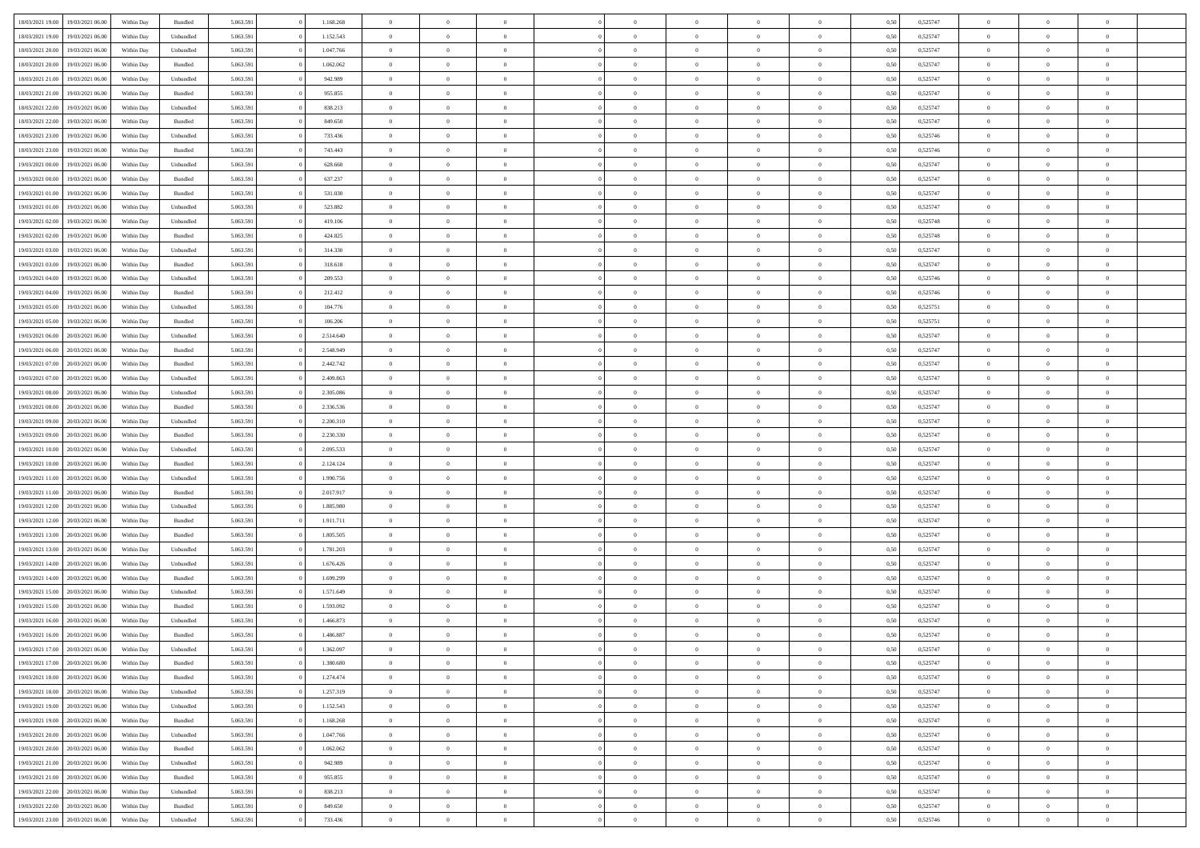| 18/03/2021 19:00                  | 19/03/2021 06:00 | Within Day | Bundled                     | 5.063.591 | 1.168.268 | $\overline{0}$ | $\theta$       |                | $\overline{0}$ | $\bf{0}$       | $\overline{0}$ | $\theta$       | 0,50 | 0,525747 | $\theta$       | $\theta$       | $\theta$       |  |
|-----------------------------------|------------------|------------|-----------------------------|-----------|-----------|----------------|----------------|----------------|----------------|----------------|----------------|----------------|------|----------|----------------|----------------|----------------|--|
|                                   |                  |            |                             |           |           | $\overline{0}$ |                | $\overline{0}$ |                |                |                |                |      |          |                |                | $\overline{0}$ |  |
| 18/03/2021 19:00                  | 19/03/2021 06.0  | Within Day | Unbundled                   | 5.063.591 | 1.152.543 |                | $\overline{0}$ |                | $\overline{0}$ | $\bf{0}$       | $\bf{0}$       | $\bf{0}$       | 0,50 | 0,525747 | $\,$ 0 $\,$    | $\overline{0}$ |                |  |
| 18/03/2021 20:00                  | 19/03/2021 06:00 | Within Day | Unbundled                   | 5.063.591 | 1.047.766 | $\overline{0}$ | $\overline{0}$ | $\overline{0}$ | $\overline{0}$ | $\bf{0}$       | $\overline{0}$ | $\mathbf{0}$   | 0.50 | 0,525747 | $\overline{0}$ | $\overline{0}$ | $\bf{0}$       |  |
| 18/03/2021 20:00                  | 19/03/2021 06:00 | Within Day | Bundled                     | 5.063.591 | 1.062.062 | $\overline{0}$ | $\overline{0}$ | $\overline{0}$ | $\overline{0}$ | $\,0\,$        | $\overline{0}$ | $\overline{0}$ | 0,50 | 0,525747 | $\,$ 0 $\,$    | $\overline{0}$ | $\overline{0}$ |  |
| 18/03/2021 21:00                  | 19/03/2021 06.00 | Within Day | Unbundled                   | 5.063.591 | 942.989   | $\overline{0}$ | $\theta$       | $\overline{0}$ | $\overline{0}$ | $\,$ 0         | $\overline{0}$ | $\bf{0}$       | 0,50 | 0,525747 | $\,$ 0 $\,$    | $\overline{0}$ | $\overline{0}$ |  |
| 18/03/2021 21:00                  | 19/03/2021 06:00 | Within Day | Bundled                     | 5.063.591 | 955.855   | $\overline{0}$ | $\overline{0}$ | $\overline{0}$ | $\overline{0}$ | $\bf{0}$       | $\overline{0}$ | $\bf{0}$       | 0.50 | 0.525747 | $\,0\,$        | $\overline{0}$ | $\overline{0}$ |  |
| 18/03/2021 22:00                  | 19/03/2021 06:00 | Within Day | Unbundled                   | 5.063.591 | 838.213   | $\overline{0}$ | $\overline{0}$ | $\overline{0}$ | $\overline{0}$ | $\bf{0}$       | $\overline{0}$ | $\bf{0}$       | 0,50 | 0,525747 | $\,$ 0 $\,$    | $\overline{0}$ | $\overline{0}$ |  |
| 18/03/2021 22:00                  | 19/03/2021 06.00 | Within Day | Bundled                     | 5.063.591 | 849.650   | $\overline{0}$ | $\overline{0}$ | $\overline{0}$ | $\overline{0}$ | $\,$ 0         | $\bf{0}$       | $\bf{0}$       | 0,50 | 0,525747 | $\,$ 0 $\,$    | $\overline{0}$ | $\overline{0}$ |  |
| 18/03/2021 23:00                  | 19/03/2021 06:00 | Within Day | Unbundled                   | 5.063.591 | 733.436   | $\overline{0}$ | $\overline{0}$ | $\overline{0}$ | $\overline{0}$ | $\bf{0}$       | $\overline{0}$ | $\bf{0}$       | 0.50 | 0.525746 | $\bf{0}$       | $\overline{0}$ | $\bf{0}$       |  |
| 18/03/2021 23:00                  | 19/03/2021 06:00 | Within Day | Bundled                     | 5.063.591 | 743.443   | $\overline{0}$ | $\overline{0}$ | $\overline{0}$ | $\overline{0}$ | $\bf{0}$       | $\overline{0}$ | $\bf{0}$       | 0,50 | 0,525746 | $\,$ 0 $\,$    | $\overline{0}$ | $\overline{0}$ |  |
| 19/03/2021 00:00                  | 19/03/2021 06.00 | Within Day | Unbundled                   | 5.063.591 | 628.660   | $\bf{0}$       | $\overline{0}$ | $\overline{0}$ | $\overline{0}$ | $\,$ 0         | $\bf{0}$       | $\bf{0}$       | 0,50 | 0,525747 | $\,$ 0 $\,$    | $\overline{0}$ | $\overline{0}$ |  |
| 19/03/2021 00:00                  | 19/03/2021 06:00 | Within Day | Bundled                     | 5.063.591 | 637.237   | $\overline{0}$ | $\overline{0}$ | $\overline{0}$ | $\overline{0}$ | $\bf{0}$       | $\overline{0}$ | $\mathbf{0}$   | 0.50 | 0,525747 | $\overline{0}$ | $\,$ 0 $\,$    | $\bf{0}$       |  |
| 19/03/2021 01:00                  | 19/03/2021 06:00 |            |                             | 5.063.591 | 531.030   | $\overline{0}$ | $\overline{0}$ | $\overline{0}$ | $\overline{0}$ | $\bf{0}$       | $\overline{0}$ | $\overline{0}$ | 0,50 | 0,525747 | $\,$ 0 $\,$    | $\overline{0}$ | $\overline{0}$ |  |
|                                   |                  | Within Day | Bundled                     |           |           |                |                |                |                |                |                |                |      |          |                |                |                |  |
| 19/03/2021 01:00                  | 19/03/2021 06.00 | Within Day | Unbundled                   | 5.063.591 | 523.882   | $\overline{0}$ | $\theta$       | $\overline{0}$ | $\overline{0}$ | $\,$ 0         | $\bf{0}$       | $\bf{0}$       | 0,50 | 0,525747 | $\,$ 0 $\,$    | $\overline{0}$ | $\overline{0}$ |  |
| 19/03/2021 02:00                  | 19/03/2021 06:00 | Within Day | Unbundled                   | 5.063.591 | 419,106   | $\overline{0}$ | $\overline{0}$ | $\overline{0}$ | $\overline{0}$ | $\bf{0}$       | $\overline{0}$ | $\bf{0}$       | 0.50 | 0.525748 | $\,0\,$        | $\theta$       | $\overline{0}$ |  |
| 19/03/2021 02:00                  | 19/03/2021 06:00 | Within Day | Bundled                     | 5.063.591 | 424.825   | $\overline{0}$ | $\overline{0}$ | $\overline{0}$ | $\overline{0}$ | $\bf{0}$       | $\overline{0}$ | $\bf{0}$       | 0,50 | 0,525748 | $\,$ 0 $\,$    | $\theta$       | $\overline{0}$ |  |
| 19/03/2021 03:00                  | 19/03/2021 06.00 | Within Day | Unbundled                   | 5.063.591 | 314.330   | $\overline{0}$ | $\overline{0}$ | $\overline{0}$ | $\overline{0}$ | $\,$ 0         | $\bf{0}$       | $\bf{0}$       | 0,50 | 0,525747 | $\,$ 0 $\,$    | $\overline{0}$ | $\overline{0}$ |  |
| 19/03/2021 03:00                  | 19/03/2021 06:00 | Within Day | Bundled                     | 5.063.591 | 318,618   | $\overline{0}$ | $\overline{0}$ | $\overline{0}$ | $\overline{0}$ | $\bf{0}$       | $\overline{0}$ | $\mathbf{0}$   | 0.50 | 0.525747 | $\bf{0}$       | $\overline{0}$ | $\bf{0}$       |  |
| 19/03/2021 04:00                  | 19/03/2021 06:00 | Within Day | Unbundled                   | 5.063.591 | 209.553   | $\overline{0}$ | $\overline{0}$ | $\overline{0}$ | $\overline{0}$ | $\bf{0}$       | $\overline{0}$ | $\bf{0}$       | 0,50 | 0,525746 | $\,$ 0 $\,$    | $\overline{0}$ | $\overline{0}$ |  |
| 19/03/2021 04:00                  | 19/03/2021 06.00 | Within Day | Bundled                     | 5.063.591 | 212.412   | $\bf{0}$       | $\overline{0}$ | $\overline{0}$ | $\overline{0}$ | $\bf{0}$       | $\overline{0}$ | $\bf{0}$       | 0,50 | 0,525746 | $\,$ 0 $\,$    | $\overline{0}$ | $\overline{0}$ |  |
| 19/03/2021 05:00                  | 19/03/2021 06:00 | Within Day | Unbundled                   | 5.063.591 | 104.776   | $\overline{0}$ | $\overline{0}$ | $\overline{0}$ | $\overline{0}$ | $\bf{0}$       | $\overline{0}$ | $\mathbf{0}$   | 0.50 | 0,525751 | $\,$ 0 $\,$    | $\,$ 0 $\,$    | $\overline{0}$ |  |
| 19/03/2021 05:00                  | 19/03/2021 06:00 | Within Day | Bundled                     | 5.063.591 | 106.206   | $\overline{0}$ | $\overline{0}$ | $\overline{0}$ | $\overline{0}$ | $\bf{0}$       | $\overline{0}$ | $\overline{0}$ | 0,50 | 0,525751 | $\,$ 0 $\,$    | $\overline{0}$ | $\overline{0}$ |  |
| 19/03/2021 06:00                  | 20/03/2021 06:00 | Within Day | Unbundled                   | 5.063.591 | 2.514.640 | $\overline{0}$ | $\overline{0}$ | $\overline{0}$ | $\overline{0}$ | $\bf{0}$       | $\overline{0}$ | $\bf{0}$       | 0,50 | 0,525747 | $\,$ 0 $\,$    | $\overline{0}$ | $\overline{0}$ |  |
| 19/03/2021 06:00                  | 20/03/2021 06:00 | Within Day | Bundled                     | 5.063.591 | 2.548.949 | $\overline{0}$ | $\overline{0}$ | $\overline{0}$ | $\overline{0}$ | $\bf{0}$       | $\overline{0}$ | $\bf{0}$       | 0.50 | 0.525747 | $\,0\,$        | $\overline{0}$ | $\overline{0}$ |  |
| 19/03/2021 07:00                  | 20/03/2021 06:00 |            |                             | 5.063.591 | 2.442.742 | $\overline{0}$ | $\overline{0}$ | $\overline{0}$ | $\overline{0}$ | $\bf{0}$       | $\overline{0}$ |                |      | 0,525747 | $\,$ 0 $\,$    | $\theta$       | $\overline{0}$ |  |
|                                   |                  | Within Day | Bundled                     |           |           |                |                |                |                |                |                | $\bf{0}$       | 0,50 |          |                |                |                |  |
| 19/03/2021 07:00                  | 20/03/2021 06:00 | Within Day | Unbundled                   | 5.063.591 | 2.409.863 | $\overline{0}$ | $\theta$       | $\overline{0}$ | $\overline{0}$ | $\,$ 0         | $\overline{0}$ | $\bf{0}$       | 0,50 | 0,525747 | $\,$ 0 $\,$    | $\overline{0}$ | $\overline{0}$ |  |
| 19/03/2021 08:00                  | 20/03/2021 06:00 | Within Day | Unbundled                   | 5.063.591 | 2.305.086 | $\overline{0}$ | $\overline{0}$ | $\overline{0}$ | $\overline{0}$ | $\bf{0}$       | $\overline{0}$ | $\bf{0}$       | 0.50 | 0.525747 | $\bf{0}$       | $\overline{0}$ | $\bf{0}$       |  |
| 19/03/2021 08:00                  | 20/03/2021 06:00 | Within Day | Bundled                     | 5.063.591 | 2.336.536 | $\overline{0}$ | $\overline{0}$ | $\overline{0}$ | $\overline{0}$ | $\bf{0}$       | $\overline{0}$ | $\bf{0}$       | 0,50 | 0,525747 | $\,$ 0 $\,$    | $\overline{0}$ | $\overline{0}$ |  |
| 19/03/2021 09:00                  | 20/03/2021 06:00 | Within Day | Unbundled                   | 5.063.591 | 2.200.310 | $\bf{0}$       | $\overline{0}$ | $\overline{0}$ | $\overline{0}$ | $\bf{0}$       | $\overline{0}$ | $\bf{0}$       | 0,50 | 0,525747 | $\,$ 0 $\,$    | $\overline{0}$ | $\overline{0}$ |  |
| 19/03/2021 09:00                  | 20/03/2021 06:00 | Within Day | Bundled                     | 5.063.591 | 2.230.330 | $\overline{0}$ | $\overline{0}$ | $\overline{0}$ | $\overline{0}$ | $\bf{0}$       | $\overline{0}$ | $\mathbf{0}$   | 0.50 | 0,525747 | $\overline{0}$ | $\,$ 0 $\,$    | $\bf{0}$       |  |
| 19/03/2021 10:00                  | 20/03/2021 06:00 | Within Dav | Unbundled                   | 5.063.591 | 2.095.533 | $\overline{0}$ | $\overline{0}$ | $\overline{0}$ | $\overline{0}$ | $\overline{0}$ | $\overline{0}$ | $\overline{0}$ | 0,50 | 0,525747 | $\theta$       | $\overline{0}$ | $\overline{0}$ |  |
| 19/03/2021 10:00                  | 20/03/2021 06.0  | Within Day | Bundled                     | 5.063.591 | 2.124.124 | $\overline{0}$ | $\overline{0}$ | $\overline{0}$ | $\overline{0}$ | $\bf{0}$       | $\overline{0}$ | $\bf{0}$       | 0,50 | 0,525747 | $\,$ 0 $\,$    | $\overline{0}$ | $\overline{0}$ |  |
| 19/03/2021 11:00                  | 20/03/2021 06:00 | Within Day | Unbundled                   | 5.063.591 | 1.990.756 | $\overline{0}$ | $\overline{0}$ | $\overline{0}$ | $\overline{0}$ | $\bf{0}$       | $\overline{0}$ | $\bf{0}$       | 0.50 | 0.525747 | $\,0\,$        | $\theta$       | $\overline{0}$ |  |
| 19/03/2021 11:00                  | 20/03/2021 06:00 | Within Dav | Bundled                     | 5.063.591 | 2.017.917 | $\overline{0}$ | $\overline{0}$ | $\Omega$       | $\overline{0}$ | $\mathbf{0}$   | $\overline{0}$ | $\overline{0}$ | 0.50 | 0,525747 | $\theta$       | $\overline{0}$ | $\overline{0}$ |  |
| 19/03/2021 12:00                  | 20/03/2021 06:00 | Within Day | Unbundled                   | 5.063.591 | 1.885.980 | $\bf{0}$       | $\overline{0}$ | $\overline{0}$ | $\overline{0}$ | $\,$ 0         | $\overline{0}$ | $\bf{0}$       | 0,50 | 0,525747 | $\,$ 0 $\,$    | $\overline{0}$ | $\overline{0}$ |  |
| 19/03/2021 12:00                  | 20/03/2021 06:00 | Within Day | Bundled                     | 5.063.591 | 1.911.711 | $\overline{0}$ | $\overline{0}$ | $\overline{0}$ | $\overline{0}$ | $\bf{0}$       | $\overline{0}$ | $\mathbf{0}$   | 0.50 | 0.525747 | $\bf{0}$       | $\overline{0}$ | $\bf{0}$       |  |
| 19/03/2021 13:00                  | 20/03/2021 06:00 | Within Dav | Bundled                     | 5.063.591 | 1.805.505 | $\overline{0}$ | $\overline{0}$ | $\overline{0}$ | $\overline{0}$ | $\overline{0}$ | $\overline{0}$ | $\overline{0}$ | 0,50 | 0,525747 | $\theta$       | $\overline{0}$ | $\overline{0}$ |  |
|                                   |                  |            |                             |           |           |                |                |                |                |                |                |                |      |          |                |                |                |  |
| 19/03/2021 13:00                  | 20/03/2021 06.0  | Within Day | Unbundled                   | 5.063.591 | 1.781.203 | $\bf{0}$       | $\overline{0}$ | $\overline{0}$ | $\bf{0}$       | $\bf{0}$       | $\bf{0}$       | $\bf{0}$       | 0,50 | 0,525747 | $\,$ 0 $\,$    | $\overline{0}$ | $\overline{0}$ |  |
| 19/03/2021 14:00                  | 20/03/2021 06:00 | Within Day | Unbundled                   | 5.063.591 | 1.676.426 | $\overline{0}$ | $\overline{0}$ | $\overline{0}$ | $\overline{0}$ | $\bf{0}$       | $\overline{0}$ | $\mathbf{0}$   | 0.50 | 0,525747 | $\overline{0}$ | $\,$ 0 $\,$    | $\bf{0}$       |  |
| 19/03/2021 14:00                  | 20/03/2021 06:00 | Within Dav | Bundled                     | 5.063.591 | 1.699.299 | $\overline{0}$ | $\overline{0}$ | $\theta$       | $\overline{0}$ | $\overline{0}$ | $\overline{0}$ | $\overline{0}$ | 0.50 | 0,525747 | $\theta$       | $\overline{0}$ | $\overline{0}$ |  |
| 19/03/2021 15:00                  | 20/03/2021 06.0  | Within Day | Unbundled                   | 5.063.591 | 1.571.649 | $\overline{0}$ | $\overline{0}$ | $\overline{0}$ | $\overline{0}$ | $\bf{0}$       | $\overline{0}$ | $\bf{0}$       | 0,50 | 0,525747 | $\,$ 0 $\,$    | $\overline{0}$ | $\overline{0}$ |  |
| 19/03/2021 15:00                  | 20/03/2021 06:00 | Within Day | Bundled                     | 5.063.591 | 1.593.092 | $\overline{0}$ | $\overline{0}$ | $\overline{0}$ | $\overline{0}$ | $\bf{0}$       | $\Omega$       | $\overline{0}$ | 0.50 | 0,525747 | $\,0\,$        | $\theta$       | $\overline{0}$ |  |
| 19/03/2021 16:00                  | 20/03/2021 06:00 | Within Dav | Unbundled                   | 5.063.591 | 1.466.873 | $\overline{0}$ | $\theta$       | $\Omega$       | $\overline{0}$ | $\bf{0}$       | $\overline{0}$ | $\overline{0}$ | 0.50 | 0,525747 | $\theta$       | $\overline{0}$ | $\overline{0}$ |  |
| 19/03/2021 16:00                  | 20/03/2021 06:00 | Within Day | Bundled                     | 5.063.591 | 1.486.887 | $\bf{0}$       | $\overline{0}$ | $\overline{0}$ | $\bf{0}$       | $\,$ 0         | $\bf{0}$       | $\bf{0}$       | 0,50 | 0,525747 | $\,$ 0 $\,$    | $\overline{0}$ | $\overline{0}$ |  |
| 19/03/2021 17:00 20/03/2021 06:00 |                  | Within Day | $\ensuremath{\mathsf{Unb}}$ | 5.063.591 | 1.362.097 | $\bf{0}$       | $\theta$       |                | $^{\circ}$     | $\Omega$       |                |                | 0,50 | 0,525747 | $\bf{0}$       | $\theta$       |                |  |
| 19/03/2021 17:00                  | 20/03/2021 06:00 | Within Day | Bundled                     | 5.063.591 | 1.380.680 | $\overline{0}$ | $\overline{0}$ | $\overline{0}$ | $\overline{0}$ | $\overline{0}$ | $\overline{0}$ | $\mathbf{0}$   | 0,50 | 0,525747 | $\theta$       | $\overline{0}$ | $\overline{0}$ |  |
| 19/03/2021 18:00                  | 20/03/2021 06:00 | Within Day | Bundled                     | 5.063.591 | 1.274.474 | $\overline{0}$ | $\overline{0}$ | $\overline{0}$ | $\bf{0}$       | $\overline{0}$ | $\overline{0}$ | $\bf{0}$       | 0,50 | 0,525747 | $\bf{0}$       | $\overline{0}$ | $\bf{0}$       |  |
| 19/03/2021 18:00                  | 20/03/2021 06:00 | Within Day | Unbundled                   | 5.063.591 | 1.257.319 | $\overline{0}$ | $\overline{0}$ | $\overline{0}$ | $\overline{0}$ | $\overline{0}$ | $\overline{0}$ | $\mathbf{0}$   | 0.50 | 0,525747 | $\overline{0}$ | $\bf{0}$       | $\bf{0}$       |  |
| 19/03/2021 19:00                  | 20/03/2021 06:00 | Within Day | Unbundled                   | 5.063.591 | 1.152.543 | $\overline{0}$ | $\overline{0}$ | $\overline{0}$ | $\overline{0}$ | $\overline{0}$ | $\overline{0}$ | $\mathbf{0}$   | 0,50 | 0,525747 | $\overline{0}$ | $\theta$       | $\overline{0}$ |  |
| 19/03/2021 19:00                  | 20/03/2021 06:00 | Within Day | Bundled                     | 5.063.591 | 1.168.268 | $\overline{0}$ | $\overline{0}$ | $\overline{0}$ | $\overline{0}$ | $\bf{0}$       | $\bf{0}$       | $\bf{0}$       | 0,50 | 0,525747 | $\,$ 0 $\,$    | $\overline{0}$ | $\overline{0}$ |  |
|                                   | 20/03/2021 06:00 |            |                             |           | 1.047.766 |                | $\overline{0}$ | $\overline{0}$ |                |                | $\overline{0}$ |                | 0.50 | 0.525747 | $\,$ 0 $\,$    | $\theta$       | $\overline{0}$ |  |
| 19/03/2021 20:00                  |                  | Within Day | Unbundled                   | 5.063.591 |           | $\overline{0}$ |                |                | $\overline{0}$ | $\bf{0}$       |                | $\mathbf{0}$   |      |          |                |                |                |  |
| 19/03/2021 20:00                  | 20/03/2021 06:00 | Within Day | Bundled                     | 5.063.591 | 1.062.062 | $\overline{0}$ | $\overline{0}$ | $\overline{0}$ | $\overline{0}$ | $\overline{0}$ | $\overline{0}$ | $\overline{0}$ | 0,50 | 0,525747 | $\overline{0}$ | $\theta$       | $\overline{0}$ |  |
| 19/03/2021 21:00                  | 20/03/2021 06:00 | Within Day | Unbundled                   | 5.063.591 | 942.989   | $\overline{0}$ | $\,$ 0         | $\overline{0}$ | $\bf{0}$       | $\,$ 0 $\,$    | $\overline{0}$ | $\bf{0}$       | 0,50 | 0,525747 | $\,$ 0 $\,$    | $\overline{0}$ | $\overline{0}$ |  |
| 19/03/2021 21:00                  | 20/03/2021 06:00 | Within Day | Bundled                     | 5.063.591 | 955.855   | $\overline{0}$ | $\overline{0}$ | $\overline{0}$ | $\overline{0}$ | $\bf{0}$       | $\overline{0}$ | $\mathbf{0}$   | 0.50 | 0.525747 | $\mathbf{0}$   | $\bf{0}$       | $\overline{0}$ |  |
| 19/03/2021 22.00                  | 20/03/2021 06:00 | Within Day | Unbundled                   | 5.063.591 | 838.213   | $\overline{0}$ | $\overline{0}$ | $\overline{0}$ | $\overline{0}$ | $\overline{0}$ | $\overline{0}$ | $\overline{0}$ | 0,50 | 0,525747 | $\overline{0}$ | $\overline{0}$ | $\overline{0}$ |  |
| 19/03/2021 22.00                  | 20/03/2021 06:00 | Within Day | Bundled                     | 5.063.591 | 849.650   | $\overline{0}$ | $\bf{0}$       | $\overline{0}$ | $\bf{0}$       | $\bf{0}$       | $\bf{0}$       | $\bf{0}$       | 0,50 | 0,525747 | $\bf{0}$       | $\overline{0}$ | $\bf{0}$       |  |
| 19/03/2021 23:00 20/03/2021 06:00 |                  | Within Day | Unbundled                   | 5.063.591 | 733.436   | $\overline{0}$ | $\,$ 0 $\,$    | $\overline{0}$ | $\overline{0}$ | $\,$ 0 $\,$    | $\,$ 0 $\,$    | $\,$ 0 $\,$    | 0,50 | 0,525746 | $\overline{0}$ | $\,$ 0 $\,$    | $\,$ 0 $\,$    |  |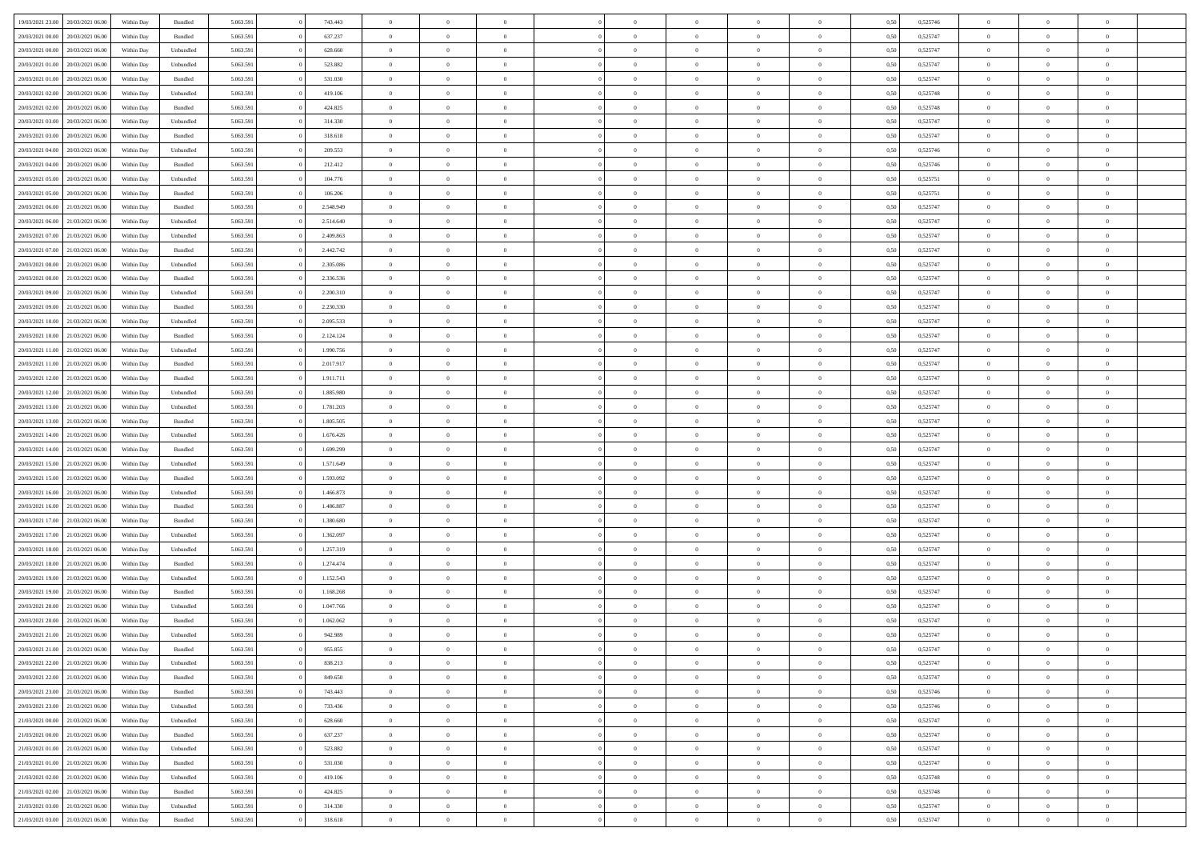| 19/03/2021 23:00                  | 20/03/2021 06:00 | Within Day | Bundled            | 5.063.591 | 743.443   | $\overline{0}$ | $\theta$       |                | $\Omega$       | $\Omega$       | $\theta$       | $\theta$       | 0.50 | 0,525746 | $\theta$       | $\overline{0}$ | $\theta$       |  |
|-----------------------------------|------------------|------------|--------------------|-----------|-----------|----------------|----------------|----------------|----------------|----------------|----------------|----------------|------|----------|----------------|----------------|----------------|--|
|                                   |                  |            |                    |           |           |                |                |                |                |                |                |                |      |          |                |                |                |  |
| 20/03/2021 00:00                  | 20/03/2021 06:00 | Within Day | Bundled            | 5.063.591 | 637.237   | $\overline{0}$ | $\theta$       | $\overline{0}$ | $\overline{0}$ | $\bf{0}$       | $\overline{0}$ | $\bf{0}$       | 0,50 | 0,525747 | $\theta$       | $\overline{0}$ | $\overline{0}$ |  |
| 20/03/2021 00:00                  | 20/03/2021 06:00 | Within Day | Unbundled          | 5.063.591 | 628.660   | $\overline{0}$ | $\bf{0}$       | $\overline{0}$ | $\bf{0}$       | $\bf{0}$       | $\bf{0}$       | $\mathbf{0}$   | 0,50 | 0,525747 | $\bf{0}$       | $\overline{0}$ | $\bf{0}$       |  |
| 20/03/2021 01:00                  | 20/03/2021 06:00 | Within Dav | Unbundled          | 5.063.591 | 523.882   | $\overline{0}$ | $\overline{0}$ | $\overline{0}$ | $\overline{0}$ | $\bf{0}$       | $\overline{0}$ | $\overline{0}$ | 0.50 | 0,525747 | $\theta$       | $\theta$       | $\overline{0}$ |  |
|                                   |                  |            |                    |           |           | $\overline{0}$ | $\theta$       | $\overline{0}$ | $\overline{0}$ | $\bf{0}$       | $\overline{0}$ |                |      |          | $\theta$       | $\overline{0}$ | $\overline{0}$ |  |
| 20/03/2021 01:00                  | 20/03/2021 06:00 | Within Day | Bundled            | 5.063.591 | 531.030   |                |                |                |                |                |                | $\bf{0}$       | 0,50 | 0,525747 |                |                |                |  |
| 20/03/2021 02:00                  | 20/03/2021 06:00 | Within Day | Unbundled          | 5.063.591 | 419.106   | $\overline{0}$ | $\overline{0}$ | $\overline{0}$ | $\bf{0}$       | $\overline{0}$ | $\overline{0}$ | $\mathbf{0}$   | 0,50 | 0,525748 | $\overline{0}$ | $\overline{0}$ | $\bf{0}$       |  |
| 20/03/2021 02:00                  | 20/03/2021 06:00 | Within Dav | Bundled            | 5.063.591 | 424.825   | $\overline{0}$ | $\overline{0}$ | $\overline{0}$ | $\overline{0}$ | $\overline{0}$ | $\overline{0}$ | $\overline{0}$ | 0.50 | 0,525748 | $\theta$       | $\overline{0}$ | $\overline{0}$ |  |
| 20/03/2021 03:00                  | 20/03/2021 06:00 | Within Day | Unbundled          | 5.063.591 | 314.330   | $\overline{0}$ | $\theta$       | $\overline{0}$ | $\overline{0}$ | $\bf{0}$       | $\overline{0}$ | $\bf{0}$       | 0,50 | 0,525747 | $\theta$       | $\theta$       | $\overline{0}$ |  |
| 20/03/2021 03:00                  | 20/03/2021 06:00 | Within Day | Bundled            | 5.063.591 | 318.618   | $\overline{0}$ | $\overline{0}$ | $\overline{0}$ | $\bf{0}$       | $\bf{0}$       | $\bf{0}$       | $\bf{0}$       | 0,50 | 0,525747 | $\,0\,$        | $\overline{0}$ | $\overline{0}$ |  |
|                                   |                  |            |                    |           |           |                | $\overline{0}$ |                |                | $\overline{0}$ |                |                |      |          | $\theta$       | $\overline{0}$ | $\overline{0}$ |  |
| 20/03/2021 04:00                  | 20/03/2021 06:00 | Within Dav | Unbundled          | 5.063.591 | 209.553   | $\overline{0}$ |                | $\overline{0}$ | $\overline{0}$ |                | $\overline{0}$ | $\overline{0}$ | 0.50 | 0,525746 |                |                |                |  |
| 20/03/2021 04:00                  | 20/03/2021 06:00 | Within Day | Bundled            | 5.063.591 | 212.412   | $\overline{0}$ | $\theta$       | $\overline{0}$ | $\overline{0}$ | $\bf{0}$       | $\overline{0}$ | $\bf{0}$       | 0,50 | 0,525746 | $\,$ 0 $\,$    | $\overline{0}$ | $\overline{0}$ |  |
| 20/03/2021 05:00                  | 20/03/2021 06:00 | Within Day | Unbundled          | 5.063.591 | 104.776   | $\overline{0}$ | $\bf{0}$       | $\overline{0}$ | $\bf{0}$       | $\bf{0}$       | $\bf{0}$       | $\bf{0}$       | 0,50 | 0,525751 | $\overline{0}$ | $\overline{0}$ | $\bf{0}$       |  |
| 20/03/2021 05:00                  | 20/03/2021 06:00 | Within Dav | Bundled            | 5.063.591 | 106.206   | $\overline{0}$ | $\overline{0}$ | $\overline{0}$ | $\overline{0}$ | $\bf{0}$       | $\overline{0}$ | $\overline{0}$ | 0.50 | 0,525751 | $\theta$       | $\theta$       | $\overline{0}$ |  |
| 20/03/2021 06:00                  | 21/03/2021 06:00 | Within Day | Bundled            | 5.063.591 | 2.548.949 | $\overline{0}$ | $\theta$       | $\overline{0}$ | $\overline{0}$ | $\bf{0}$       | $\overline{0}$ | $\overline{0}$ | 0,50 | 0,525747 | $\theta$       | $\overline{0}$ | $\overline{0}$ |  |
|                                   |                  |            |                    |           |           |                |                |                |                |                |                |                |      |          |                |                |                |  |
| 20/03/2021 06:00                  | 21/03/2021 06:00 | Within Day | Unbundled          | 5.063.591 | 2.514.640 | $\overline{0}$ | $\overline{0}$ | $\overline{0}$ | $\bf{0}$       | $\overline{0}$ | $\overline{0}$ | $\mathbf{0}$   | 0,50 | 0,525747 | $\overline{0}$ | $\overline{0}$ | $\bf{0}$       |  |
| 20/03/2021 07:00                  | 21/03/2021 06:00 | Within Dav | Unbundled          | 5.063.591 | 2.409.863 | $\overline{0}$ | $\overline{0}$ | $\overline{0}$ | $\overline{0}$ | $\overline{0}$ | $\overline{0}$ | $\overline{0}$ | 0.50 | 0,525747 | $\theta$       | $\overline{0}$ | $\overline{0}$ |  |
| 20/03/2021 07:00                  | 21/03/2021 06:00 | Within Day | Bundled            | 5.063.591 | 2.442.742 | $\overline{0}$ | $\theta$       | $\overline{0}$ | $\overline{0}$ | $\bf{0}$       | $\overline{0}$ | $\bf{0}$       | 0,50 | 0,525747 | $\theta$       | $\theta$       | $\overline{0}$ |  |
| 20/03/2021 08:00                  | 21/03/2021 06:00 | Within Day | Unbundled          | 5.063.591 | 2.305.086 | $\overline{0}$ | $\overline{0}$ | $\overline{0}$ | $\bf{0}$       | $\bf{0}$       | $\bf{0}$       | $\bf{0}$       | 0,50 | 0,525747 | $\bf{0}$       | $\overline{0}$ | $\overline{0}$ |  |
| 20/03/2021 08:00                  | 21/03/2021 06:00 | Within Dav | Bundled            | 5.063.591 | 2.336.536 | $\overline{0}$ | $\overline{0}$ | $\overline{0}$ | $\overline{0}$ | $\overline{0}$ | $\overline{0}$ | $\overline{0}$ | 0.50 | 0,525747 | $\theta$       | $\overline{0}$ | $\overline{0}$ |  |
| 20/03/2021 09:00                  | 21/03/2021 06:00 | Within Day | Unbundled          | 5.063.591 | 2.200.310 | $\overline{0}$ | $\theta$       | $\overline{0}$ | $\overline{0}$ | $\bf{0}$       | $\overline{0}$ | $\bf{0}$       | 0,50 | 0,525747 | $\,$ 0 $\,$    | $\overline{0}$ | $\overline{0}$ |  |
|                                   |                  |            |                    |           |           |                |                |                |                |                |                |                |      |          |                |                |                |  |
| 20/03/2021 09:00                  | 21/03/2021 06:00 | Within Day | Bundled            | 5.063.591 | 2.230.330 | $\overline{0}$ | $\overline{0}$ | $\overline{0}$ | $\bf{0}$       | $\bf{0}$       | $\bf{0}$       | $\bf{0}$       | 0,50 | 0,525747 | $\bf{0}$       | $\overline{0}$ | $\bf{0}$       |  |
| 20/03/2021 10:00                  | 21/03/2021 06:00 | Within Day | Unbundled          | 5.063.591 | 2.095.533 | $\overline{0}$ | $\overline{0}$ | $\overline{0}$ | $\overline{0}$ | $\bf{0}$       | $\overline{0}$ | $\overline{0}$ | 0.50 | 0,525747 | $\theta$       | $\overline{0}$ | $\overline{0}$ |  |
| 20/03/2021 10:00                  | 21/03/2021 06:00 | Within Day | Bundled            | 5.063.591 | 2.124.124 | $\overline{0}$ | $\theta$       | $\overline{0}$ | $\overline{0}$ | $\bf{0}$       | $\overline{0}$ | $\bf{0}$       | 0,50 | 0,525747 | $\,$ 0 $\,$    | $\overline{0}$ | $\overline{0}$ |  |
| 20/03/2021 11:00                  | 21/03/2021 06:00 | Within Day | Unbundled          | 5.063.591 | 1.990.756 | $\overline{0}$ | $\overline{0}$ | $\overline{0}$ | $\bf{0}$       | $\overline{0}$ | $\overline{0}$ | $\mathbf{0}$   | 0,50 | 0,525747 | $\bf{0}$       | $\overline{0}$ | $\bf{0}$       |  |
| 20/03/2021 11:00                  | 21/03/2021 06:00 | Within Dav | Bundled            | 5.063.591 | 2.017.917 | $\overline{0}$ | $\overline{0}$ | $\overline{0}$ | $\overline{0}$ | $\overline{0}$ | $\overline{0}$ | $\overline{0}$ | 0.50 | 0,525747 | $\theta$       | $\overline{0}$ | $\overline{0}$ |  |
| 20/03/2021 12:00                  | 21/03/2021 06:00 | Within Day | Bundled            | 5.063.591 | 1.911.711 | $\overline{0}$ | $\theta$       | $\overline{0}$ | $\overline{0}$ | $\bf{0}$       | $\overline{0}$ | $\bf{0}$       | 0,50 | 0,525747 | $\theta$       | $\theta$       | $\overline{0}$ |  |
| 20/03/2021 12:00                  | 21/03/2021 06:00 | Within Day | Unbundled          | 5.063.591 | 1.885.980 | $\overline{0}$ | $\overline{0}$ | $\overline{0}$ | $\bf{0}$       | $\bf{0}$       | $\bf{0}$       | $\bf{0}$       | 0,50 | 0,525747 | $\,0\,$        | $\overline{0}$ | $\overline{0}$ |  |
|                                   |                  |            |                    |           |           |                |                |                |                |                |                |                |      |          |                |                |                |  |
| 20/03/2021 13:00                  | 21/03/2021 06:00 | Within Day | Unbundled          | 5.063.591 | 1.781.203 | $\overline{0}$ | $\overline{0}$ | $\overline{0}$ | $\overline{0}$ | $\overline{0}$ | $\overline{0}$ | $\overline{0}$ | 0.50 | 0,525747 | $\theta$       | $\overline{0}$ | $\overline{0}$ |  |
| 20/03/2021 13:00                  | 21/03/2021 06:00 | Within Day | Bundled            | 5.063.591 | 1.805.505 | $\overline{0}$ | $\theta$       | $\overline{0}$ | $\overline{0}$ | $\bf{0}$       | $\overline{0}$ | $\bf{0}$       | 0,50 | 0,525747 | $\,$ 0 $\,$    | $\overline{0}$ | $\overline{0}$ |  |
| 20/03/2021 14:00                  | 21/03/2021 06:00 | Within Day | Unbundled          | 5.063.591 | 1.676.426 | $\overline{0}$ | $\overline{0}$ | $\overline{0}$ | $\overline{0}$ | $\bf{0}$       | $\overline{0}$ | $\bf{0}$       | 0,50 | 0,525747 | $\bf{0}$       | $\overline{0}$ | $\bf{0}$       |  |
| 20/03/2021 14:00                  | 21/03/2021 06:00 | Within Day | Bundled            | 5.063.591 | 1.699.299 | $\overline{0}$ | $\Omega$       | $\Omega$       | $\Omega$       | $\Omega$       | $\overline{0}$ | $\overline{0}$ | 0,50 | 0,525747 | $\,0\,$        | $\theta$       | $\theta$       |  |
| 20/03/2021 15:00                  | 21/03/2021 06:00 | Within Day | Unbundled          | 5.063.591 | 1.571.649 | $\overline{0}$ | $\theta$       | $\overline{0}$ | $\overline{0}$ | $\bf{0}$       | $\overline{0}$ | $\bf{0}$       | 0,50 | 0,525747 | $\theta$       | $\overline{0}$ | $\overline{0}$ |  |
| 20/03/2021 15:00                  | 21/03/2021 06:00 | Within Day | Bundled            | 5.063.591 | 1.593.092 | $\overline{0}$ | $\overline{0}$ | $\overline{0}$ | $\overline{0}$ | $\overline{0}$ | $\overline{0}$ | $\mathbf{0}$   | 0,50 | 0,525747 | $\bf{0}$       | $\overline{0}$ | $\bf{0}$       |  |
| 20/03/2021 16:00                  | 21/03/2021 06:00 |            | Unbundled          | 5.063.591 | 1.466.873 | $\overline{0}$ | $\Omega$       | $\Omega$       | $\Omega$       | $\bf{0}$       | $\overline{0}$ | $\overline{0}$ | 0.50 | 0,525747 | $\,0\,$        | $\theta$       | $\theta$       |  |
|                                   |                  | Within Day |                    |           |           |                |                |                |                |                |                |                |      |          |                |                |                |  |
| 20/03/2021 16:00                  | 21/03/2021 06:00 | Within Day | Bundled            | 5.063.591 | 1.486.887 | $\overline{0}$ | $\theta$       | $\overline{0}$ | $\overline{0}$ | $\bf{0}$       | $\overline{0}$ | $\bf{0}$       | 0,50 | 0,525747 | $\,$ 0 $\,$    | $\overline{0}$ | $\overline{0}$ |  |
| 20/03/2021 17:00                  | 21/03/2021 06:00 | Within Day | Bundled            | 5.063.591 | 1.380.680 | $\overline{0}$ | $\overline{0}$ | $\overline{0}$ | $\overline{0}$ | $\bf{0}$       | $\overline{0}$ | $\bf{0}$       | 0,50 | 0,525747 | $\bf{0}$       | $\overline{0}$ | $\bf{0}$       |  |
| 20/03/2021 17:00                  | 21/03/2021 06:00 | Within Day | Unbundled          | 5.063.591 | 1.362.097 | $\overline{0}$ | $\Omega$       | $\Omega$       | $\Omega$       | $\theta$       | $\theta$       | $\overline{0}$ | 0.50 | 0,525747 | $\,$ 0 $\,$    | $\theta$       | $\theta$       |  |
| 20/03/2021 18:00                  | 21/03/2021 06:00 | Within Day | Unbundled          | 5.063.591 | 1.257.319 | $\overline{0}$ | $\theta$       | $\overline{0}$ | $\overline{0}$ | $\bf{0}$       | $\overline{0}$ | $\bf{0}$       | 0,50 | 0,525747 | $\,$ 0 $\,$    | $\overline{0}$ | $\overline{0}$ |  |
| 20/03/2021 18:00                  | 21/03/2021 06:00 | Within Day | Bundled            | 5.063.591 | 1.274.474 | $\overline{0}$ | $\bf{0}$       | $\overline{0}$ | $\overline{0}$ | $\bf{0}$       | $\overline{0}$ | $\bf{0}$       | 0,50 | 0,525747 | $\bf{0}$       | $\overline{0}$ | $\bf{0}$       |  |
| 20/03/2021 19:00                  | 21/03/2021 06:00 | Within Day | Unbundled          | 5.063.591 | 1.152.543 | $\overline{0}$ | $\Omega$       | $\Omega$       | $\Omega$       | $\overline{0}$ | $\overline{0}$ | $\overline{0}$ | 0,50 | 0,525747 | $\,0\,$        | $\theta$       | $\theta$       |  |
|                                   |                  |            |                    |           |           | $\overline{0}$ | $\theta$       | $\overline{0}$ | $\overline{0}$ | $\bf{0}$       | $\overline{0}$ |                |      |          | $\,$ 0 $\,$    | $\overline{0}$ | $\overline{0}$ |  |
| 20/03/2021 19:00                  | 21/03/2021 06:00 | Within Day | Bundled            | 5.063.591 | 1.168.268 |                |                |                |                |                |                | $\bf{0}$       | 0,50 | 0,525747 |                |                |                |  |
| 20/03/2021 20:00                  | 21/03/2021 06:00 | Within Day | Unbundled          | 5.063.591 | 1.047.766 | $\overline{0}$ | $\overline{0}$ | $\overline{0}$ | $\overline{0}$ | $\bf{0}$       | $\overline{0}$ | $\mathbf{0}$   | 0,50 | 0,525747 | $\bf{0}$       | $\overline{0}$ | $\bf{0}$       |  |
| 20/03/2021 20:00                  | 21/03/2021 06:00 | Within Day | Bundled            | 5.063.591 | 1.062.062 | $\overline{0}$ | $\Omega$       | $\Omega$       | $\Omega$       | $\Omega$       | $\Omega$       | $\overline{0}$ | 0.50 | 0,525747 | $\theta$       | $\theta$       | $\theta$       |  |
| 20/03/2021 21:00                  | 21/03/2021 06:00 | Within Day | Unbundled          | 5.063.591 | 942.989   | $\overline{0}$ | $\overline{0}$ | $\overline{0}$ | $\bf{0}$       | $\,$ 0         | $\overline{0}$ | $\bf{0}$       | 0,50 | 0,525747 | $\,0\,$        | $\,$ 0 $\,$    | $\overline{0}$ |  |
| 20/03/2021 21:00                  | 21/03/2021 06:00 | Within Day | $\mathbf B$ undled | 5.063.591 | 955.855   | $\bf{0}$       | $\bf{0}$       |                |                |                |                |                | 0,50 | 0,525747 | $\bf{0}$       | $\overline{0}$ |                |  |
| 20/03/2021 22:00                  | 21/03/2021 06:00 | Within Day | Unbundled          | 5.063.591 | 838,213   | $\overline{0}$ | $\overline{0}$ | $\overline{0}$ | $\Omega$       | $\overline{0}$ | $\overline{0}$ | $\overline{0}$ | 0,50 | 0,525747 | $\theta$       | $\theta$       | $\theta$       |  |
| 20/03/2021 22:00                  | 21/03/2021 06:00 | Within Day | Bundled            | 5.063.591 | 849.650   | $\overline{0}$ | $\,$ 0         | $\overline{0}$ | $\overline{0}$ | $\,$ 0 $\,$    | $\overline{0}$ | $\,$ 0 $\,$    | 0,50 | 0,525747 | $\,$ 0 $\,$    | $\,$ 0 $\,$    | $\,$ 0         |  |
|                                   |                  |            |                    |           |           |                |                |                |                |                |                |                |      |          |                |                |                |  |
| 20/03/2021 23:00                  | 21/03/2021 06:00 | Within Day | Bundled            | 5.063.591 | 743.443   | $\overline{0}$ | $\overline{0}$ | $\overline{0}$ | $\overline{0}$ | $\overline{0}$ | $\overline{0}$ | $\mathbf{0}$   | 0,50 | 0,525746 | $\overline{0}$ | $\bf{0}$       | $\overline{0}$ |  |
| 20/03/2021 23:00                  | 21/03/2021 06:00 | Within Day | Unbundled          | 5.063.591 | 733.436   | $\overline{0}$ | $\overline{0}$ | $\overline{0}$ | $\Omega$       | $\overline{0}$ | $\overline{0}$ | $\overline{0}$ | 0,50 | 0,525746 | $\overline{0}$ | $\theta$       | $\overline{0}$ |  |
| 21/03/2021 00:00                  | 21/03/2021 06:00 | Within Day | Unbundled          | 5.063.591 | 628.660   | $\overline{0}$ | $\,$ 0         | $\overline{0}$ | $\overline{0}$ | $\,$ 0 $\,$    | $\overline{0}$ | $\mathbf{0}$   | 0,50 | 0,525747 | $\,$ 0 $\,$    | $\overline{0}$ | $\overline{0}$ |  |
| 21/03/2021 00:00                  | 21/03/2021 06:00 | Within Day | Bundled            | 5.063.591 | 637.237   | $\overline{0}$ | $\overline{0}$ | $\overline{0}$ | $\overline{0}$ | $\overline{0}$ | $\overline{0}$ | $\mathbf{0}$   | 0,50 | 0,525747 | $\overline{0}$ | $\overline{0}$ | $\overline{0}$ |  |
| 21/03/2021 01:00                  | 21/03/2021 06:00 | Within Day | Unbundled          | 5.063.591 | 523.882   | $\overline{0}$ | $\overline{0}$ | $\overline{0}$ | $\overline{0}$ | $\overline{0}$ | $\overline{0}$ | $\bf{0}$       | 0.50 | 0,525747 | $\overline{0}$ | $\theta$       | $\overline{0}$ |  |
| 21/03/2021 01:00                  | 21/03/2021 06:00 | Within Day | Bundled            | 5.063.591 | 531.030   | $\overline{0}$ | $\,$ 0         | $\overline{0}$ | $\overline{0}$ | $\bf{0}$       | $\overline{0}$ | $\bf{0}$       | 0,50 | 0,525747 | $\,$ 0 $\,$    | $\overline{0}$ | $\overline{0}$ |  |
|                                   |                  |            |                    |           |           |                |                |                |                |                |                |                |      |          |                |                |                |  |
| 21/03/2021 02:00                  | 21/03/2021 06:00 | Within Day | Unbundled          | 5.063.591 | 419.106   | $\overline{0}$ | $\bf{0}$       | $\overline{0}$ | $\overline{0}$ | $\overline{0}$ | $\overline{0}$ | $\mathbf{0}$   | 0,50 | 0,525748 | $\overline{0}$ | $\overline{0}$ | $\bf{0}$       |  |
| 21/03/2021 02:00                  | 21/03/2021 06:00 | Within Day | Bundled            | 5.063.591 | 424.825   | $\overline{0}$ | $\overline{0}$ | $\overline{0}$ | $\Omega$       | $\overline{0}$ | $\overline{0}$ | $\overline{0}$ | 0.50 | 0,525748 | $\overline{0}$ | $\overline{0}$ | $\overline{0}$ |  |
| 21/03/2021 03:00                  | 21/03/2021 06:00 | Within Day | Unbundled          | 5.063.591 | 314.330   | $\overline{0}$ | $\bf{0}$       | $\overline{0}$ | $\bf{0}$       | $\bf{0}$       | $\overline{0}$ | $\mathbf{0}$   | 0,50 | 0,525747 | $\,$ 0 $\,$    | $\,$ 0 $\,$    | $\bf{0}$       |  |
| 21/03/2021 03:00 21/03/2021 06:00 |                  | Within Day | Bundled            | 5.063.591 | 318.618   | $\overline{0}$ | $\overline{0}$ | $\overline{0}$ | $\overline{0}$ | $\overline{0}$ | $\overline{0}$ | $\mathbf{0}$   | 0,50 | 0,525747 | $\overline{0}$ | $\bf{0}$       | $\overline{0}$ |  |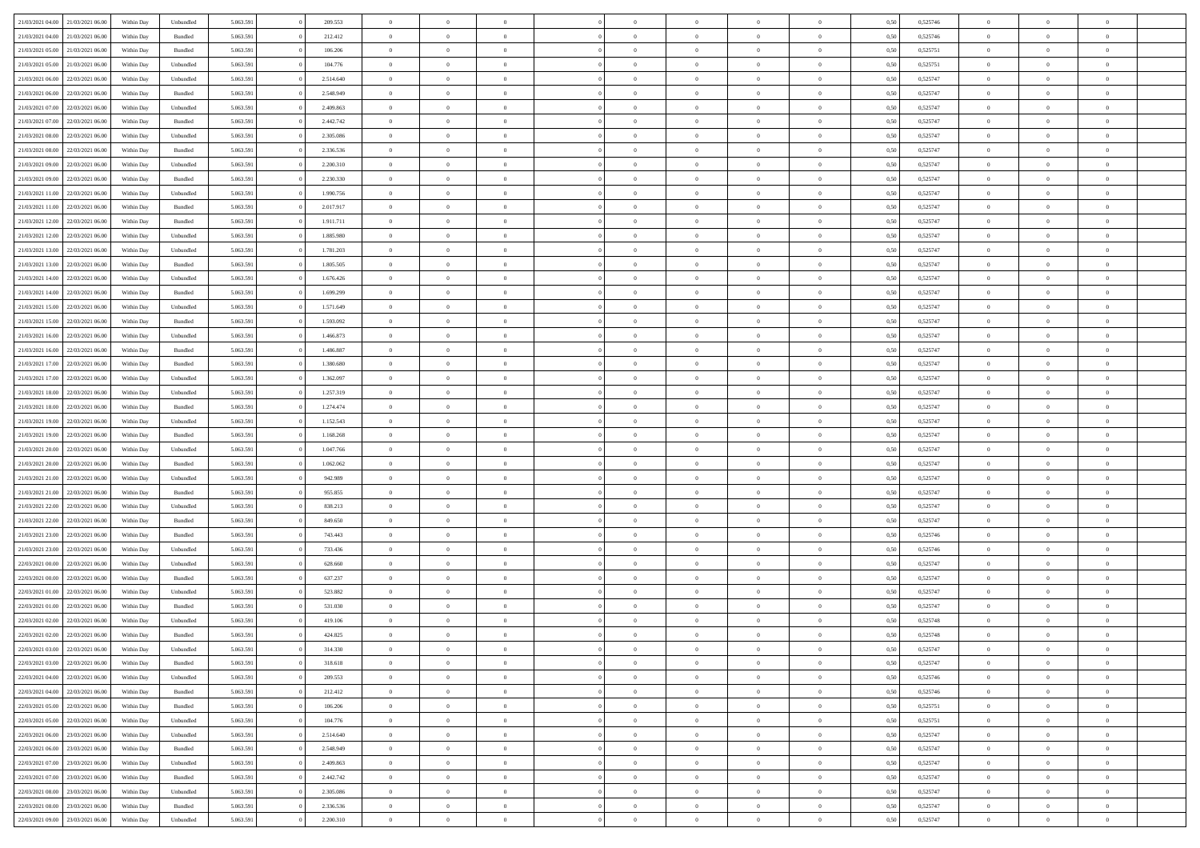| 21/03/2021 04:00                  | 21/03/2021 06:00 | Within Day | Unbundled | 5.063.591 | 209.553   | $\overline{0}$ | $\Omega$       |                | $\Omega$       | $\Omega$       | $\Omega$       | $\theta$       | 0.50 | 0,525746 | $\theta$       | $\theta$       | $\theta$       |  |
|-----------------------------------|------------------|------------|-----------|-----------|-----------|----------------|----------------|----------------|----------------|----------------|----------------|----------------|------|----------|----------------|----------------|----------------|--|
|                                   |                  |            |           |           |           |                |                |                |                |                |                |                |      |          |                |                |                |  |
| 21/03/2021 04:00                  | 21/03/2021 06:00 | Within Day | Bundled   | 5.063.591 | 212.412   | $\overline{0}$ | $\theta$       | $\overline{0}$ | $\overline{0}$ | $\bf{0}$       | $\overline{0}$ | $\overline{0}$ | 0,50 | 0,525746 | $\theta$       | $\overline{0}$ | $\overline{0}$ |  |
| 21/03/2021 05:00                  | 21/03/2021 06:00 | Within Day | Bundled   | 5.063.591 | 106.206   | $\overline{0}$ | $\overline{0}$ | $\overline{0}$ | $\overline{0}$ | $\bf{0}$       | $\overline{0}$ | $\bf{0}$       | 0,50 | 0,525751 | $\bf{0}$       | $\overline{0}$ | $\overline{0}$ |  |
| 21/03/2021 05:00                  | 21/03/2021 06:00 | Within Dav | Unbundled | 5.063.591 | 104.776   | $\overline{0}$ | $\theta$       | $\overline{0}$ | $\overline{0}$ | $\bf{0}$       | $\overline{0}$ | $\overline{0}$ | 0.50 | 0,525751 | $\theta$       | $\theta$       | $\overline{0}$ |  |
| 21/03/2021 06:00                  | 22/03/2021 06:00 | Within Day | Unbundled | 5.063.591 | 2.514.640 | $\overline{0}$ | $\theta$       | $\overline{0}$ | $\overline{0}$ | $\bf{0}$       | $\overline{0}$ | $\bf{0}$       | 0,50 | 0,525747 | $\theta$       | $\theta$       | $\overline{0}$ |  |
| 21/03/2021 06:00                  | 22/03/2021 06:00 | Within Day | Bundled   | 5.063.591 | 2.548.949 | $\overline{0}$ | $\bf{0}$       | $\overline{0}$ | $\bf{0}$       | $\overline{0}$ | $\overline{0}$ | $\mathbf{0}$   | 0,50 | 0,525747 | $\overline{0}$ | $\overline{0}$ | $\bf{0}$       |  |
| 21/03/2021 07:00                  | 22/03/2021 06:00 | Within Dav | Unbundled | 5.063.591 | 2.409.863 | $\overline{0}$ | $\overline{0}$ | $\overline{0}$ | $\overline{0}$ | $\bf{0}$       | $\overline{0}$ | $\overline{0}$ | 0.50 | 0,525747 | $\theta$       | $\overline{0}$ | $\overline{0}$ |  |
|                                   |                  |            |           |           |           |                |                |                |                |                |                |                |      |          |                |                |                |  |
| 21/03/2021 07:00                  | 22/03/2021 06:00 | Within Day | Bundled   | 5.063.591 | 2.442.742 | $\overline{0}$ | $\theta$       | $\overline{0}$ | $\overline{0}$ | $\bf{0}$       | $\overline{0}$ | $\bf{0}$       | 0,50 | 0,525747 | $\theta$       | $\theta$       | $\overline{0}$ |  |
| 21/03/2021 08:00                  | 22/03/2021 06:00 | Within Day | Unbundled | 5.063.591 | 2.305.086 | $\overline{0}$ | $\overline{0}$ | $\overline{0}$ | $\bf{0}$       | $\bf{0}$       | $\bf{0}$       | $\bf{0}$       | 0,50 | 0,525747 | $\,0\,$        | $\overline{0}$ | $\overline{0}$ |  |
| 21/03/2021 08:00                  | 22/03/2021 06:00 | Within Dav | Bundled   | 5.063.591 | 2.336.536 | $\overline{0}$ | $\overline{0}$ | $\overline{0}$ | $\overline{0}$ | $\overline{0}$ | $\overline{0}$ | $\overline{0}$ | 0.50 | 0,525747 | $\theta$       | $\overline{0}$ | $\overline{0}$ |  |
| 21/03/2021 09:00                  | 22/03/2021 06:00 | Within Day | Unbundled | 5.063.591 | 2.200.310 | $\overline{0}$ | $\theta$       | $\overline{0}$ | $\overline{0}$ | $\bf{0}$       | $\overline{0}$ | $\bf{0}$       | 0,50 | 0,525747 | $\theta$       | $\overline{0}$ | $\overline{0}$ |  |
| 21/03/2021 09:00                  | 22/03/2021 06:00 | Within Day | Bundled   | 5.063.591 | 2.230.330 | $\overline{0}$ | $\overline{0}$ | $\overline{0}$ | $\bf{0}$       | $\bf{0}$       | $\bf{0}$       | $\bf{0}$       | 0,50 | 0,525747 | $\bf{0}$       | $\overline{0}$ | $\overline{0}$ |  |
| 21/03/2021 11:00                  | 22/03/2021 06:00 | Within Dav | Unbundled | 5.063.591 | 1.990.756 | $\overline{0}$ | $\overline{0}$ | $\overline{0}$ | $\overline{0}$ | $\bf{0}$       | $\overline{0}$ | $\overline{0}$ | 0.50 | 0,525747 | $\theta$       | $\theta$       | $\overline{0}$ |  |
| 21/03/2021 11:00                  | 22/03/2021 06:00 | Within Day | Bundled   | 5.063.591 | 2.017.917 | $\overline{0}$ | $\theta$       | $\overline{0}$ | $\overline{0}$ | $\bf{0}$       | $\overline{0}$ | $\overline{0}$ | 0,50 | 0,525747 | $\theta$       | $\theta$       | $\overline{0}$ |  |
|                                   |                  |            |           |           |           |                |                |                |                |                |                |                |      |          |                |                |                |  |
| 21/03/2021 12:00                  | 22/03/2021 06:00 | Within Day | Bundled   | 5.063.591 | 1.911.711 | $\overline{0}$ | $\bf{0}$       | $\overline{0}$ | $\bf{0}$       | $\overline{0}$ | $\overline{0}$ | $\mathbf{0}$   | 0,50 | 0,525747 | $\overline{0}$ | $\overline{0}$ | $\bf{0}$       |  |
| 21/03/2021 12:00                  | 22/03/2021 06:00 | Within Dav | Unbundled | 5.063.591 | 1.885.980 | $\overline{0}$ | $\overline{0}$ | $\overline{0}$ | $\overline{0}$ | $\overline{0}$ | $\overline{0}$ | $\overline{0}$ | 0.50 | 0,525747 | $\theta$       | $\overline{0}$ | $\overline{0}$ |  |
| 21/03/2021 13:00                  | 22/03/2021 06:00 | Within Day | Unbundled | 5.063.591 | 1.781.203 | $\overline{0}$ | $\theta$       | $\overline{0}$ | $\overline{0}$ | $\bf{0}$       | $\overline{0}$ | $\bf{0}$       | 0,50 | 0,525747 | $\theta$       | $\theta$       | $\overline{0}$ |  |
| 21/03/2021 13:00                  | 22/03/2021 06:00 | Within Day | Bundled   | 5.063.591 | 1.805.505 | $\overline{0}$ | $\overline{0}$ | $\overline{0}$ | $\bf{0}$       | $\bf{0}$       | $\bf{0}$       | $\bf{0}$       | 0,50 | 0,525747 | $\,0\,$        | $\overline{0}$ | $\overline{0}$ |  |
| 21/03/2021 14:00                  | 22/03/2021 06:00 | Within Day | Unbundled | 5.063.591 | 1.676.426 | $\overline{0}$ | $\overline{0}$ | $\overline{0}$ | $\overline{0}$ | $\overline{0}$ | $\overline{0}$ | $\overline{0}$ | 0.50 | 0,525747 | $\theta$       | $\overline{0}$ | $\overline{0}$ |  |
| 21/03/2021 14:00                  | 22/03/2021 06:00 | Within Day | Bundled   | 5.063.591 | 1.699.299 | $\overline{0}$ | $\theta$       | $\overline{0}$ | $\overline{0}$ | $\bf{0}$       | $\overline{0}$ | $\bf{0}$       | 0,50 | 0,525747 | $\theta$       | $\theta$       | $\overline{0}$ |  |
| 21/03/2021 15:00                  | 22/03/2021 06:00 | Within Day | Unbundled | 5.063.591 | 1.571.649 | $\overline{0}$ | $\overline{0}$ | $\overline{0}$ | $\bf{0}$       | $\bf{0}$       | $\bf{0}$       | $\bf{0}$       | 0,50 | 0,525747 | $\,0\,$        | $\overline{0}$ | $\overline{0}$ |  |
| 21/03/2021 15:00                  | 22/03/2021 06:00 | Within Day | Bundled   | 5.063.591 | 1.593.092 | $\overline{0}$ | $\overline{0}$ | $\overline{0}$ | $\overline{0}$ | $\bf{0}$       | $\overline{0}$ | $\overline{0}$ | 0.50 | 0,525747 | $\theta$       | $\theta$       | $\overline{0}$ |  |
| 21/03/2021 16:00                  | 22/03/2021 06:00 | Within Day | Unbundled | 5.063.591 | 1.466.873 | $\overline{0}$ | $\theta$       | $\overline{0}$ | $\overline{0}$ | $\bf{0}$       | $\overline{0}$ | $\bf{0}$       | 0,50 | 0,525747 | $\theta$       | $\overline{0}$ | $\overline{0}$ |  |
|                                   |                  |            |           |           |           |                |                |                |                |                |                |                |      |          |                |                |                |  |
| 21/03/2021 16:00                  | 22/03/2021 06:00 | Within Day | Bundled   | 5.063.591 | 1.486.887 | $\overline{0}$ | $\bf{0}$       | $\overline{0}$ | $\bf{0}$       | $\overline{0}$ | $\overline{0}$ | $\mathbf{0}$   | 0,50 | 0,525747 | $\bf{0}$       | $\overline{0}$ | $\bf{0}$       |  |
| 21/03/2021 17:00                  | 22/03/2021 06:00 | Within Dav | Bundled   | 5.063.591 | 1.380.680 | $\overline{0}$ | $\overline{0}$ | $\overline{0}$ | $\overline{0}$ | $\overline{0}$ | $\overline{0}$ | $\overline{0}$ | 0.50 | 0,525747 | $\theta$       | $\overline{0}$ | $\overline{0}$ |  |
| 21/03/2021 17:00                  | 22/03/2021 06:00 | Within Day | Unbundled | 5.063.591 | 1.362.097 | $\overline{0}$ | $\theta$       | $\overline{0}$ | $\overline{0}$ | $\bf{0}$       | $\overline{0}$ | $\bf{0}$       | 0,50 | 0,525747 | $\theta$       | $\theta$       | $\overline{0}$ |  |
| 21/03/2021 18:00                  | 22/03/2021 06:00 | Within Day | Unbundled | 5.063.591 | 1.257.319 | $\overline{0}$ | $\overline{0}$ | $\overline{0}$ | $\bf{0}$       | $\bf{0}$       | $\bf{0}$       | $\bf{0}$       | 0,50 | 0,525747 | $\,0\,$        | $\overline{0}$ | $\overline{0}$ |  |
| 21/03/2021 18:00                  | 22/03/2021 06:00 | Within Day | Bundled   | 5.063.591 | 1.274.474 | $\overline{0}$ | $\overline{0}$ | $\overline{0}$ | $\overline{0}$ | $\overline{0}$ | $\overline{0}$ | $\overline{0}$ | 0.50 | 0,525747 | $\theta$       | $\overline{0}$ | $\overline{0}$ |  |
| 21/03/2021 19:00                  | 22/03/2021 06:00 | Within Day | Unbundled | 5.063.591 | 1.152.543 | $\overline{0}$ | $\theta$       | $\overline{0}$ | $\overline{0}$ | $\bf{0}$       | $\overline{0}$ | $\bf{0}$       | 0,50 | 0,525747 | $\,$ 0 $\,$    | $\theta$       | $\overline{0}$ |  |
| 21/03/2021 19:00                  | 22/03/2021 06:00 | Within Day | Bundled   | 5.063.591 | 1.168.268 | $\overline{0}$ | $\overline{0}$ | $\overline{0}$ | $\bf{0}$       | $\bf{0}$       | $\bf{0}$       | $\bf{0}$       | 0,50 | 0,525747 | $\bf{0}$       | $\overline{0}$ | $\overline{0}$ |  |
| 21/03/2021 20:00                  | 22/03/2021 06:00 | Within Day | Unbundled | 5.063.591 | 1.047.766 | $\overline{0}$ | $\Omega$       | $\Omega$       | $\Omega$       | $\Omega$       | $\Omega$       | $\overline{0}$ | 0,50 | 0,525747 | $\,0\,$        | $\Omega$       | $\theta$       |  |
| 21/03/2021 20:00                  | 22/03/2021 06:00 | Within Day | Bundled   | 5.063.591 | 1.062.062 | $\overline{0}$ | $\theta$       | $\overline{0}$ | $\overline{0}$ | $\bf{0}$       | $\overline{0}$ | $\bf{0}$       | 0,50 | 0,525747 | $\theta$       | $\theta$       | $\overline{0}$ |  |
|                                   |                  |            |           |           |           |                |                |                |                |                |                |                |      |          |                |                |                |  |
| 21/03/2021 21:00                  | 22/03/2021 06:00 | Within Day | Unbundled | 5.063.591 | 942.989   | $\overline{0}$ | $\overline{0}$ | $\overline{0}$ | $\bf{0}$       | $\bf{0}$       | $\overline{0}$ | $\mathbf{0}$   | 0,50 | 0,525747 | $\overline{0}$ | $\overline{0}$ | $\bf{0}$       |  |
| 21/03/2021 21:00                  | 22/03/2021 06:00 | Within Day | Bundled   | 5.063.591 | 955,855   | $\overline{0}$ | $\Omega$       | $\Omega$       | $\Omega$       | $\Omega$       | $\overline{0}$ | $\overline{0}$ | 0.50 | 0,525747 | $\,0\,$        | $\theta$       | $\theta$       |  |
| 21/03/2021 22:00                  | 22/03/2021 06:00 | Within Day | Unbundled | 5.063.591 | 838.213   | $\overline{0}$ | $\theta$       | $\overline{0}$ | $\overline{0}$ | $\bf{0}$       | $\overline{0}$ | $\bf{0}$       | 0,50 | 0,525747 | $\theta$       | $\theta$       | $\overline{0}$ |  |
| 21/03/2021 22:00                  | 22/03/2021 06:00 | Within Day | Bundled   | 5.063.591 | 849.650   | $\overline{0}$ | $\overline{0}$ | $\overline{0}$ | $\bf{0}$       | $\bf{0}$       | $\bf{0}$       | $\bf{0}$       | 0,50 | 0,525747 | $\,0\,$        | $\overline{0}$ | $\overline{0}$ |  |
| 21/03/2021 23:00                  | 22/03/2021 06:00 | Within Day | Bundled   | 5.063.591 | 743.443   | $\overline{0}$ | $\Omega$       | $\Omega$       | $\Omega$       | $\Omega$       | $\theta$       | $\overline{0}$ | 0.50 | 0,525746 | $\theta$       | $\theta$       | $\theta$       |  |
| 21/03/2021 23:00                  | 22/03/2021 06:00 | Within Day | Unbundled | 5.063.591 | 733.436   | $\overline{0}$ | $\theta$       | $\overline{0}$ | $\overline{0}$ | $\bf{0}$       | $\overline{0}$ | $\bf{0}$       | 0,50 | 0,525746 | $\,$ 0 $\,$    | $\theta$       | $\overline{0}$ |  |
| 22/03/2021 00:00                  | 22/03/2021 06:00 | Within Day | Unbundled | 5.063.591 | 628.660   | $\overline{0}$ | $\overline{0}$ | $\overline{0}$ | $\bf{0}$       | $\bf{0}$       | $\bf{0}$       | $\bf{0}$       | 0,50 | 0,525747 | $\overline{0}$ | $\overline{0}$ | $\overline{0}$ |  |
| 22/03/2021 00:00                  | 22/03/2021 06:00 | Within Day | Bundled   | 5.063.591 | 637.237   | $\overline{0}$ | $\Omega$       | $\Omega$       | $\Omega$       | $\Omega$       | $\overline{0}$ | $\overline{0}$ | 0,50 | 0,525747 | $\,0\,$        | $\theta$       | $\theta$       |  |
|                                   |                  |            |           |           |           |                | $\theta$       |                |                |                |                |                |      |          |                | $\overline{0}$ |                |  |
| 22/03/2021 01:00                  | 22/03/2021 06:00 | Within Day | Unbundled | 5.063.591 | 523.882   | $\overline{0}$ |                | $\overline{0}$ | $\overline{0}$ | $\bf{0}$       | $\overline{0}$ | $\bf{0}$       | 0,50 | 0,525747 | $\,$ 0 $\,$    |                | $\overline{0}$ |  |
| 22/03/2021 01:00                  | 22/03/2021 06:00 | Within Day | Bundled   | 5.063.591 | 531.030   | $\overline{0}$ | $\overline{0}$ | $\overline{0}$ | $\bf{0}$       | $\bf{0}$       | $\bf{0}$       | $\mathbf{0}$   | 0,50 | 0,525747 | $\overline{0}$ | $\overline{0}$ | $\bf{0}$       |  |
| 22/03/2021 02:00                  | 22/03/2021 06:00 | Within Day | Unbundled | 5.063.591 | 419,106   | $\overline{0}$ | $\Omega$       | $\Omega$       | $\Omega$       | $\Omega$       | $\Omega$       | $\overline{0}$ | 0.50 | 0,525748 | $\theta$       | $\theta$       | $\theta$       |  |
| 22/03/2021 02:00                  | 22/03/2021 06:00 | Within Day | Bundled   | 5.063.591 | 424.825   | $\overline{0}$ | $\,$ 0 $\,$    | $\overline{0}$ | $\bf{0}$       | $\,$ 0         | $\bf{0}$       | $\bf{0}$       | 0,50 | 0,525748 | $\,0\,$        | $\overline{0}$ | $\overline{0}$ |  |
| 22/03/2021 03:00 22/03/2021 06:00 |                  | Within Day | Unbundled | 5.063.591 | 314.330   | $\bf{0}$       | $\bf{0}$       |                |                |                |                |                | 0,50 | 0,525747 | $\bf{0}$       | $\overline{0}$ |                |  |
| 22/03/2021 03:00                  | 22/03/2021 06:00 | Within Day | Bundled   | 5.063.591 | 318,618   | $\overline{0}$ | $\overline{0}$ | $\overline{0}$ | $\Omega$       | $\overline{0}$ | $\overline{0}$ | $\overline{0}$ | 0,50 | 0,525747 | $\theta$       | $\theta$       | $\theta$       |  |
| 22/03/2021 04:00                  | 22/03/2021 06:00 | Within Day | Unbundled | 5.063.591 | 209.553   | $\overline{0}$ | $\,$ 0         | $\overline{0}$ | $\bf{0}$       | $\,$ 0 $\,$    | $\overline{0}$ | $\mathbf{0}$   | 0,50 | 0,525746 | $\,$ 0 $\,$    | $\,$ 0 $\,$    | $\,$ 0         |  |
| 22/03/2021 04:00                  | 22/03/2021 06:00 | Within Day | Bundled   | 5.063.591 | 212.412   | $\overline{0}$ | $\overline{0}$ | $\overline{0}$ | $\overline{0}$ | $\overline{0}$ | $\overline{0}$ | $\mathbf{0}$   | 0,50 | 0,525746 | $\overline{0}$ | $\bf{0}$       | $\bf{0}$       |  |
| 22/03/2021 05:00                  | 22/03/2021 06:00 | Within Day |           | 5.063.591 | 106.206   | $\overline{0}$ | $\overline{0}$ | $\overline{0}$ | $\Omega$       | $\overline{0}$ | $\overline{0}$ | $\overline{0}$ | 0,50 | 0,525751 | $\overline{0}$ | $\theta$       | $\overline{0}$ |  |
|                                   |                  |            | Bundled   |           |           |                |                |                |                |                |                |                |      |          |                |                |                |  |
| 22/03/2021 05:00                  | 22/03/2021 06:00 | Within Day | Unbundled | 5.063.591 | 104.776   | $\overline{0}$ | $\,$ 0         | $\overline{0}$ | $\overline{0}$ | $\,$ 0 $\,$    | $\overline{0}$ | $\mathbf{0}$   | 0,50 | 0,525751 | $\,$ 0 $\,$    | $\overline{0}$ | $\overline{0}$ |  |
| 22/03/2021 06:00                  | 23/03/2021 06:00 | Within Day | Unbundled | 5.063.591 | 2.514.640 | $\overline{0}$ | $\overline{0}$ | $\overline{0}$ | $\overline{0}$ | $\overline{0}$ | $\overline{0}$ | $\mathbf{0}$   | 0,50 | 0,525747 | $\overline{0}$ | $\bf{0}$       | $\bf{0}$       |  |
| 22/03/2021 06:00                  | 23/03/2021 06:00 | Within Day | Bundled   | 5.063.591 | 2.548.949 | $\overline{0}$ | $\overline{0}$ | $\overline{0}$ | $\Omega$       | $\overline{0}$ | $\overline{0}$ | $\bf{0}$       | 0.50 | 0,525747 | $\overline{0}$ | $\theta$       | $\overline{0}$ |  |
| 22/03/2021 07:00                  | 23/03/2021 06:00 | Within Day | Unbundled | 5.063.591 | 2.409.863 | $\overline{0}$ | $\,$ 0         | $\overline{0}$ | $\bf{0}$       | $\bf{0}$       | $\bf{0}$       | $\bf{0}$       | 0,50 | 0,525747 | $\,$ 0 $\,$    | $\overline{0}$ | $\overline{0}$ |  |
| 22/03/2021 07:00                  | 23/03/2021 06:00 | Within Day | Bundled   | 5.063.591 | 2.442.742 | $\overline{0}$ | $\bf{0}$       | $\overline{0}$ | $\overline{0}$ | $\overline{0}$ | $\overline{0}$ | $\mathbf{0}$   | 0,50 | 0,525747 | $\overline{0}$ | $\overline{0}$ | $\bf{0}$       |  |
| 22/03/2021 08:00                  | 23/03/2021 06:00 | Within Day | Unbundled | 5.063.591 | 2.305.086 | $\overline{0}$ | $\overline{0}$ | $\overline{0}$ | $\Omega$       | $\overline{0}$ | $\overline{0}$ | $\bf{0}$       | 0.50 | 0,525747 | $\overline{0}$ | $\theta$       | $\overline{0}$ |  |
| 22/03/2021 08:00                  | 23/03/2021 06:00 | Within Day | Bundled   | 5.063.591 | 2.336.536 | $\overline{0}$ | $\bf{0}$       | $\overline{0}$ | $\overline{0}$ | $\bf{0}$       | $\bf{0}$       | $\mathbf{0}$   | 0,50 | 0,525747 | $\,$ 0 $\,$    | $\,$ 0 $\,$    | $\bf{0}$       |  |
| 22/03/2021 09:00 23/03/2021 06:00 |                  | Within Day | Unbundled | 5.063.591 | 2.200.310 | $\overline{0}$ | $\overline{0}$ | $\overline{0}$ | $\overline{0}$ | $\bf{0}$       | $\overline{0}$ | $\mathbf{0}$   | 0,50 | 0,525747 | $\overline{0}$ | $\bf{0}$       | $\bf{0}$       |  |
|                                   |                  |            |           |           |           |                |                |                |                |                |                |                |      |          |                |                |                |  |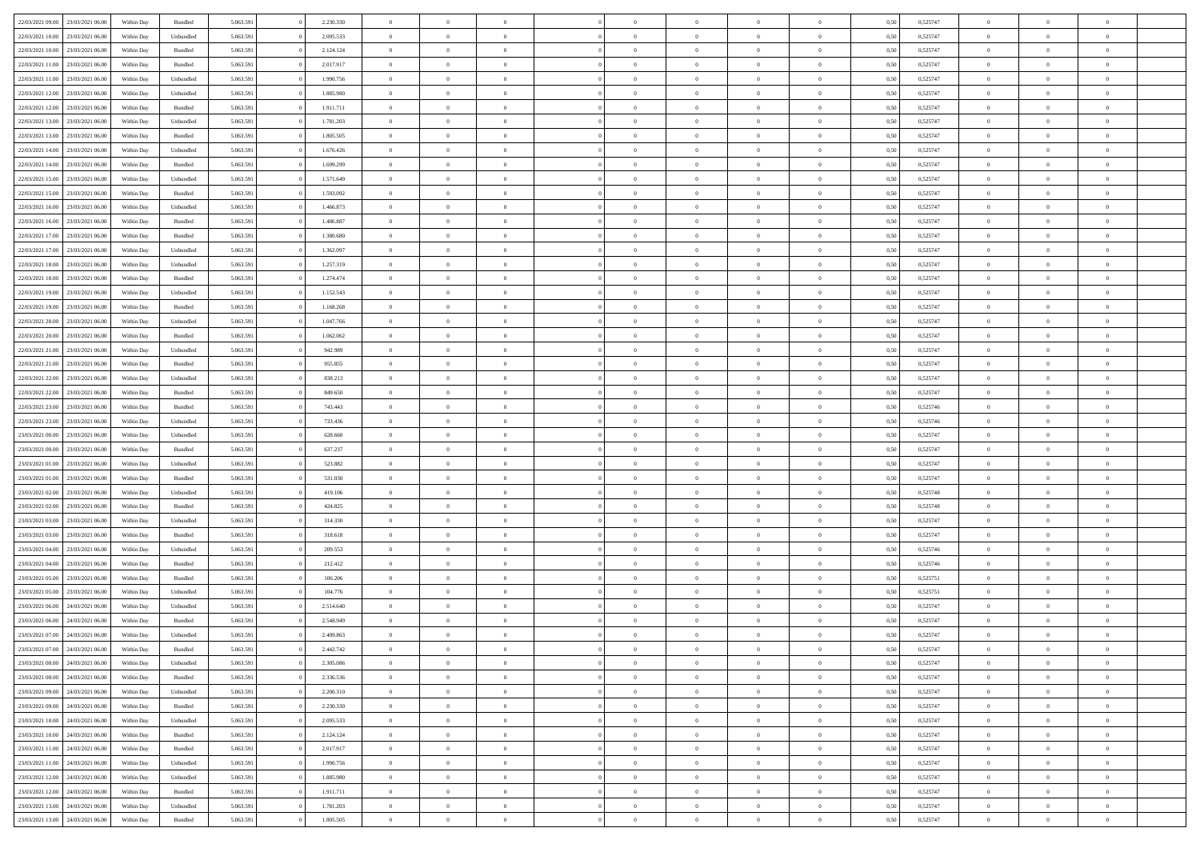| 22/03/2021 09:00                  | 23/03/2021 06:00 | Within Day | Bundled            | 5.063.591 | 2.230.330 | $\overline{0}$ | $\theta$       |                | $\Omega$       | $\Omega$       | $\theta$       | $\theta$       | 0.50 | 0,525747 | $\theta$       | $\overline{0}$ | $\theta$       |  |
|-----------------------------------|------------------|------------|--------------------|-----------|-----------|----------------|----------------|----------------|----------------|----------------|----------------|----------------|------|----------|----------------|----------------|----------------|--|
|                                   |                  |            |                    |           |           |                |                |                |                |                |                |                |      |          |                |                |                |  |
| 22/03/2021 10:00                  | 23/03/2021 06:00 | Within Day | Unbundled          | 5.063.591 | 2.095.533 | $\overline{0}$ | $\theta$       | $\overline{0}$ | $\overline{0}$ | $\bf{0}$       | $\overline{0}$ | $\bf{0}$       | 0,50 | 0,525747 | $\theta$       | $\overline{0}$ | $\overline{0}$ |  |
| 22/03/2021 10:00                  | 23/03/2021 06:00 | Within Day | Bundled            | 5.063.591 | 2.124.124 | $\overline{0}$ | $\bf{0}$       | $\overline{0}$ | $\overline{0}$ | $\bf{0}$       | $\overline{0}$ | $\mathbf{0}$   | 0,50 | 0,525747 | $\overline{0}$ | $\overline{0}$ | $\overline{0}$ |  |
| 22/03/2021 11:00                  | 23/03/2021 06:00 | Within Dav | Bundled            | 5.063.591 | 2.017.917 | $\overline{0}$ | $\overline{0}$ | $\overline{0}$ | $\overline{0}$ | $\bf{0}$       | $\overline{0}$ | $\overline{0}$ | 0.50 | 0,525747 | $\theta$       | $\theta$       | $\overline{0}$ |  |
|                                   |                  |            |                    |           |           |                |                |                |                |                |                |                |      |          |                |                |                |  |
| 22/03/2021 11:00                  | 23/03/2021 06:00 | Within Day | Unbundled          | 5.063.591 | 1.990.756 | $\overline{0}$ | $\theta$       | $\overline{0}$ | $\overline{0}$ | $\bf{0}$       | $\overline{0}$ | $\bf{0}$       | 0,50 | 0,525747 | $\theta$       | $\overline{0}$ | $\overline{0}$ |  |
| 22/03/2021 12:00                  | 23/03/2021 06:00 | Within Day | Unbundled          | 5.063.591 | 1.885.980 | $\overline{0}$ | $\overline{0}$ | $\overline{0}$ | $\overline{0}$ | $\overline{0}$ | $\overline{0}$ | $\mathbf{0}$   | 0,50 | 0,525747 | $\overline{0}$ | $\overline{0}$ | $\bf{0}$       |  |
| 22/03/2021 12:00                  | 23/03/2021 06:00 | Within Dav | Bundled            | 5.063.591 | 1.911.711 | $\overline{0}$ | $\overline{0}$ | $\overline{0}$ | $\overline{0}$ | $\overline{0}$ | $\overline{0}$ | $\overline{0}$ | 0.50 | 0,525747 | $\theta$       | $\overline{0}$ | $\overline{0}$ |  |
| 22/03/2021 13:00                  | 23/03/2021 06:00 | Within Day | Unbundled          | 5.063.591 | 1.781.203 | $\overline{0}$ | $\theta$       | $\overline{0}$ | $\overline{0}$ | $\bf{0}$       | $\overline{0}$ | $\bf{0}$       | 0,50 | 0,525747 | $\theta$       | $\theta$       | $\overline{0}$ |  |
| 22/03/2021 13:00                  | 23/03/2021 06:00 | Within Day | Bundled            | 5.063.591 | 1.805.505 | $\overline{0}$ | $\overline{0}$ | $\overline{0}$ | $\overline{0}$ | $\bf{0}$       | $\overline{0}$ | $\bf{0}$       | 0,50 | 0,525747 | $\,0\,$        | $\overline{0}$ | $\overline{0}$ |  |
|                                   |                  |            |                    |           |           |                |                |                |                |                |                |                |      |          |                |                |                |  |
| 22/03/2021 14:00                  | 23/03/2021 06:00 | Within Dav | Unbundled          | 5.063.591 | 1.676.426 | $\overline{0}$ | $\overline{0}$ | $\overline{0}$ | $\overline{0}$ | $\overline{0}$ | $\overline{0}$ | $\overline{0}$ | 0.50 | 0,525747 | $\theta$       | $\overline{0}$ | $\overline{0}$ |  |
| 22/03/2021 14:00                  | 23/03/2021 06:00 | Within Day | Bundled            | 5.063.591 | 1.699.299 | $\overline{0}$ | $\theta$       | $\overline{0}$ | $\overline{0}$ | $\bf{0}$       | $\overline{0}$ | $\bf{0}$       | 0,50 | 0,525747 | $\,$ 0 $\,$    | $\overline{0}$ | $\overline{0}$ |  |
| 22/03/2021 15:00                  | 23/03/2021 06:00 | Within Day | Unbundled          | 5.063.591 | 1.571.649 | $\overline{0}$ | $\bf{0}$       | $\overline{0}$ | $\overline{0}$ | $\bf{0}$       | $\overline{0}$ | $\mathbf{0}$   | 0,50 | 0,525747 | $\overline{0}$ | $\overline{0}$ | $\bf{0}$       |  |
| 22/03/2021 15:00                  | 23/03/2021 06:00 | Within Day | Bundled            | 5.063.591 | 1.593.092 | $\overline{0}$ | $\overline{0}$ | $\overline{0}$ | $\overline{0}$ | $\bf{0}$       | $\overline{0}$ | $\overline{0}$ | 0.50 | 0,525747 | $\theta$       | $\theta$       | $\overline{0}$ |  |
|                                   |                  |            |                    |           |           | $\overline{0}$ | $\theta$       | $\overline{0}$ | $\overline{0}$ | $\bf{0}$       | $\overline{0}$ |                |      |          | $\theta$       | $\overline{0}$ | $\overline{0}$ |  |
| 22/03/2021 16:00                  | 23/03/2021 06:00 | Within Day | Unbundled          | 5.063.591 | 1.466.873 |                |                |                |                |                |                | $\bf{0}$       | 0,50 | 0,525747 |                |                |                |  |
| 22/03/2021 16:00                  | 23/03/2021 06:00 | Within Day | Bundled            | 5.063.591 | 1.486.887 | $\overline{0}$ | $\overline{0}$ | $\overline{0}$ | $\overline{0}$ | $\overline{0}$ | $\overline{0}$ | $\mathbf{0}$   | 0,50 | 0,525747 | $\overline{0}$ | $\overline{0}$ | $\bf{0}$       |  |
| 22/03/2021 17:00                  | 23/03/2021 06:00 | Within Dav | Bundled            | 5.063.591 | 1.380.680 | $\overline{0}$ | $\overline{0}$ | $\overline{0}$ | $\overline{0}$ | $\overline{0}$ | $\overline{0}$ | $\overline{0}$ | 0.50 | 0,525747 | $\theta$       | $\overline{0}$ | $\overline{0}$ |  |
| 22/03/2021 17:00                  | 23/03/2021 06:00 | Within Day | Unbundled          | 5.063.591 | 1.362.097 | $\overline{0}$ | $\theta$       | $\overline{0}$ | $\overline{0}$ | $\bf{0}$       | $\overline{0}$ | $\bf{0}$       | 0,50 | 0,525747 | $\theta$       | $\theta$       | $\overline{0}$ |  |
| 22/03/2021 18:00                  | 23/03/2021 06:00 | Within Day | Unbundled          | 5.063.591 | 1.257.319 | $\overline{0}$ | $\overline{0}$ | $\overline{0}$ | $\bf{0}$       | $\bf{0}$       | $\bf{0}$       | $\bf{0}$       | 0,50 | 0,525747 | $\bf{0}$       | $\overline{0}$ | $\overline{0}$ |  |
|                                   |                  |            |                    |           |           |                |                |                |                |                |                |                |      |          |                |                |                |  |
| 22/03/2021 18:00                  | 23/03/2021 06:00 | Within Day | Bundled            | 5.063.591 | 1.274.474 | $\overline{0}$ | $\overline{0}$ | $\overline{0}$ | $\overline{0}$ | $\overline{0}$ | $\overline{0}$ | $\overline{0}$ | 0.50 | 0,525747 | $\theta$       | $\overline{0}$ | $\overline{0}$ |  |
| 22/03/2021 19:00                  | 23/03/2021 06:00 | Within Day | Unbundled          | 5.063.591 | 1.152.543 | $\overline{0}$ | $\theta$       | $\overline{0}$ | $\overline{0}$ | $\bf{0}$       | $\overline{0}$ | $\bf{0}$       | 0,50 | 0,525747 | $\,$ 0 $\,$    | $\overline{0}$ | $\overline{0}$ |  |
| 22/03/2021 19:00                  | 23/03/2021 06:00 | Within Day | Bundled            | 5.063.591 | 1.168.268 | $\overline{0}$ | $\overline{0}$ | $\overline{0}$ | $\bf{0}$       | $\bf{0}$       | $\bf{0}$       | $\bf{0}$       | 0,50 | 0,525747 | $\,0\,$        | $\overline{0}$ | $\bf{0}$       |  |
| 22/03/2021 20:00                  | 23/03/2021 06:00 | Within Day | Unbundled          | 5.063.591 | 1.047.766 | $\overline{0}$ | $\overline{0}$ | $\overline{0}$ | $\overline{0}$ | $\bf{0}$       | $\overline{0}$ | $\overline{0}$ | 0.50 | 0,525747 | $\theta$       | $\overline{0}$ | $\overline{0}$ |  |
| 22/03/2021 20:00                  | 23/03/2021 06:00 | Within Day | Bundled            | 5.063.591 | 1.062.062 | $\overline{0}$ | $\theta$       | $\overline{0}$ | $\overline{0}$ | $\bf{0}$       | $\overline{0}$ | $\bf{0}$       | 0,50 | 0,525747 | $\,$ 0 $\,$    | $\overline{0}$ | $\overline{0}$ |  |
|                                   |                  |            |                    |           |           |                |                |                |                |                |                |                |      |          |                |                |                |  |
| 22/03/2021 21:00                  | 23/03/2021 06:00 | Within Day | Unbundled          | 5.063.591 | 942.989   | $\overline{0}$ | $\overline{0}$ | $\overline{0}$ | $\bf{0}$       | $\overline{0}$ | $\overline{0}$ | $\mathbf{0}$   | 0,50 | 0,525747 | $\overline{0}$ | $\overline{0}$ | $\bf{0}$       |  |
| 22/03/2021 21:00                  | 23/03/2021 06:00 | Within Dav | Bundled            | 5.063.591 | 955.855   | $\overline{0}$ | $\overline{0}$ | $\overline{0}$ | $\overline{0}$ | $\overline{0}$ | $\overline{0}$ | $\overline{0}$ | 0.50 | 0,525747 | $\theta$       | $\overline{0}$ | $\overline{0}$ |  |
| 22/03/2021 22:00                  | 23/03/2021 06:00 | Within Day | Unbundled          | 5.063.591 | 838.213   | $\overline{0}$ | $\theta$       | $\overline{0}$ | $\overline{0}$ | $\bf{0}$       | $\overline{0}$ | $\bf{0}$       | 0,50 | 0,525747 | $\theta$       | $\theta$       | $\overline{0}$ |  |
| 22/03/2021 22:00                  | 23/03/2021 06:00 | Within Day | Bundled            | 5.063.591 | 849.650   | $\overline{0}$ | $\overline{0}$ | $\overline{0}$ | $\overline{0}$ | $\bf{0}$       | $\overline{0}$ | $\bf{0}$       | 0,50 | 0,525747 | $\,0\,$        | $\overline{0}$ | $\overline{0}$ |  |
|                                   | 23/03/2021 06:00 |            | Bundled            | 5.063.591 | 743.443   | $\overline{0}$ | $\overline{0}$ | $\overline{0}$ | $\overline{0}$ | $\overline{0}$ | $\overline{0}$ | $\overline{0}$ | 0.50 | 0,525746 | $\theta$       | $\overline{0}$ | $\overline{0}$ |  |
| 22/03/2021 23:00                  |                  | Within Day |                    |           |           |                |                |                |                |                |                |                |      |          |                |                |                |  |
| 22/03/2021 23:00                  | 23/03/2021 06:00 | Within Day | Unbundled          | 5.063.591 | 733.436   | $\overline{0}$ | $\theta$       | $\overline{0}$ | $\overline{0}$ | $\bf{0}$       | $\overline{0}$ | $\bf{0}$       | 0,50 | 0,525746 | $\,$ 0 $\,$    | $\overline{0}$ | $\overline{0}$ |  |
| 23/03/2021 00:00                  | 23/03/2021 06:00 | Within Day | Unbundled          | 5.063.591 | 628.660   | $\overline{0}$ | $\bf{0}$       | $\overline{0}$ | $\overline{0}$ | $\bf{0}$       | $\overline{0}$ | $\bf{0}$       | 0,50 | 0,525747 | $\overline{0}$ | $\overline{0}$ | $\bf{0}$       |  |
| 23/03/2021 00:00                  | 23/03/2021 06:00 | Within Day | Bundled            | 5.063.591 | 637.237   | $\overline{0}$ | $\Omega$       | $\Omega$       | $\Omega$       | $\Omega$       | $\overline{0}$ | $\overline{0}$ | 0,50 | 0,525747 | $\,0\,$        | $\theta$       | $\theta$       |  |
| 23/03/2021 01:00                  | 23/03/2021 06:00 | Within Day | Unbundled          | 5.063.591 | 523.882   | $\overline{0}$ | $\theta$       | $\overline{0}$ | $\overline{0}$ | $\bf{0}$       | $\overline{0}$ | $\bf{0}$       | 0,50 | 0,525747 | $\theta$       | $\overline{0}$ | $\overline{0}$ |  |
|                                   |                  |            |                    |           |           |                |                |                |                |                |                |                |      |          |                |                |                |  |
| 23/03/2021 01:00                  | 23/03/2021 06:00 | Within Day | Bundled            | 5.063.591 | 531.030   | $\overline{0}$ | $\overline{0}$ | $\overline{0}$ | $\overline{0}$ | $\overline{0}$ | $\overline{0}$ | $\mathbf{0}$   | 0,50 | 0,525747 | $\overline{0}$ | $\overline{0}$ | $\bf{0}$       |  |
| 23/03/2021 02:00                  | 23/03/2021 06:00 | Within Day | Unbundled          | 5.063.591 | 419,106   | $\overline{0}$ | $\Omega$       | $\Omega$       | $\Omega$       | $\bf{0}$       | $\overline{0}$ | $\overline{0}$ | 0.50 | 0,525748 | $\,0\,$        | $\theta$       | $\theta$       |  |
| 23/03/2021 02:00                  | 23/03/2021 06:00 | Within Day | Bundled            | 5.063.591 | 424.825   | $\overline{0}$ | $\theta$       | $\overline{0}$ | $\overline{0}$ | $\bf{0}$       | $\overline{0}$ | $\bf{0}$       | 0,50 | 0,525748 | $\,$ 0 $\,$    | $\overline{0}$ | $\overline{0}$ |  |
| 23/03/2021 03:00                  | 23/03/2021 06:00 | Within Day | Unbundled          | 5.063.591 | 314.330   | $\overline{0}$ | $\overline{0}$ | $\overline{0}$ | $\overline{0}$ | $\bf{0}$       | $\overline{0}$ | $\bf{0}$       | 0,50 | 0,525747 | $\bf{0}$       | $\overline{0}$ | $\bf{0}$       |  |
| 23/03/2021 03:00                  | 23/03/2021 06:00 | Within Day | Bundled            | 5.063.591 | 318.618   | $\overline{0}$ | $\Omega$       | $\Omega$       | $\Omega$       | $\theta$       | $\overline{0}$ | $\overline{0}$ | 0.50 | 0,525747 | $\,$ 0 $\,$    | $\theta$       | $\theta$       |  |
|                                   |                  |            |                    |           |           |                |                |                |                |                |                |                |      |          |                |                |                |  |
| 23/03/2021 04:00                  | 23/03/2021 06:00 | Within Day | Unbundled          | 5.063.591 | 209.553   | $\overline{0}$ | $\theta$       | $\overline{0}$ | $\overline{0}$ | $\bf{0}$       | $\overline{0}$ | $\bf{0}$       | 0,50 | 0,525746 | $\,$ 0 $\,$    | $\overline{0}$ | $\overline{0}$ |  |
| 23/03/2021 04:00                  | 23/03/2021 06:00 | Within Day | Bundled            | 5.063.591 | 212.412   | $\overline{0}$ | $\overline{0}$ | $\overline{0}$ | $\overline{0}$ | $\bf{0}$       | $\overline{0}$ | $\bf{0}$       | 0,50 | 0,525746 | $\overline{0}$ | $\overline{0}$ | $\bf{0}$       |  |
| 23/03/2021 05:00                  | 23/03/2021 06:00 | Within Day | Bundled            | 5.063.591 | 106.206   | $\overline{0}$ | $\Omega$       | $\overline{0}$ | $\Omega$       | $\overline{0}$ | $\overline{0}$ | $\overline{0}$ | 0,50 | 0,525751 | $\,0\,$        | $\theta$       | $\theta$       |  |
| 23/03/2021 05:00                  | 23/03/2021 06:00 | Within Day | Unbundled          | 5.063.591 | 104.776   | $\overline{0}$ | $\overline{0}$ | $\overline{0}$ | $\overline{0}$ | $\,$ 0         | $\overline{0}$ | $\bf{0}$       | 0,50 | 0,525751 | $\,$ 0 $\,$    | $\overline{0}$ | $\overline{0}$ |  |
| 23/03/2021 06:00                  | 24/03/2021 06:00 | Within Day | Unbundled          | 5.063.591 | 2.514.640 | $\overline{0}$ | $\overline{0}$ | $\overline{0}$ | $\bf{0}$       | $\bf{0}$       | $\bf{0}$       | $\mathbf{0}$   | 0,50 | 0,525747 | $\overline{0}$ | $\overline{0}$ | $\bf{0}$       |  |
|                                   |                  |            |                    |           |           |                |                |                |                |                |                |                |      |          |                |                |                |  |
| 23/03/2021 06:00                  | 24/03/2021 06:00 | Within Day | Bundled            | 5.063.591 | 2.548.949 | $\overline{0}$ | $\Omega$       | $\Omega$       | $\Omega$       | $\Omega$       | $\Omega$       | $\overline{0}$ | 0.50 | 0,525747 | $\theta$       | $\theta$       | $\theta$       |  |
| 23/03/2021 07:00                  | 24/03/2021 06:00 | Within Day | Unbundled          | 5.063.591 | 2.409.863 | $\overline{0}$ | $\overline{0}$ | $\overline{0}$ | $\bf{0}$       | $\,$ 0         | $\bf{0}$       | $\bf{0}$       | 0,50 | 0,525747 | $\,0\,$        | $\,$ 0 $\,$    | $\overline{0}$ |  |
| 23/03/2021 07:00 24/03/2021 06:00 |                  | Within Day | $\mathbf B$ undled | 5.063.591 | 2.442.742 | $\bf{0}$       | $\bf{0}$       |                |                |                |                |                | 0,50 | 0,525747 | $\bf{0}$       | $\overline{0}$ |                |  |
| 23/03/2021 08:00                  | 24/03/2021 06:00 | Within Day | Unbundled          | 5.063.591 | 2.305.086 | $\overline{0}$ | $\overline{0}$ | $\Omega$       | $\Omega$       | $\theta$       | $\overline{0}$ | $\overline{0}$ | 0,50 | 0,525747 | $\theta$       | $\theta$       | $\Omega$       |  |
| 23/03/2021 08:00                  | 24/03/2021 06.00 | Within Day | Bundled            | 5.063.591 | 2.336.536 | $\overline{0}$ | $\,$ 0         | $\overline{0}$ | $\bf{0}$       | $\,$ 0 $\,$    | $\overline{0}$ | $\mathbf{0}$   | 0,50 | 0,525747 | $\,$ 0 $\,$    | $\,$ 0 $\,$    | $\,$ 0         |  |
|                                   |                  |            |                    |           |           |                |                |                |                |                |                |                |      |          |                |                |                |  |
| 23/03/2021 09:00                  | 24/03/2021 06:00 | Within Day | Unbundled          | 5.063.591 | 2.200.310 | $\overline{0}$ | $\overline{0}$ | $\overline{0}$ | $\overline{0}$ | $\overline{0}$ | $\overline{0}$ | $\mathbf{0}$   | 0,50 | 0,525747 | $\overline{0}$ | $\bf{0}$       | $\bf{0}$       |  |
| 23/03/2021 09:00                  | 24/03/2021 06:00 | Within Day | $\mathbf B$ undled | 5.063.591 | 2.230.330 | $\overline{0}$ | $\overline{0}$ | $\overline{0}$ | $\Omega$       | $\overline{0}$ | $\overline{0}$ | $\bf{0}$       | 0,50 | 0,525747 | $\overline{0}$ | $\theta$       | $\overline{0}$ |  |
| 23/03/2021 10:00                  | 24/03/2021 06.00 | Within Day | Unbundled          | 5.063.591 | 2.095.533 | $\overline{0}$ | $\,$ 0         | $\overline{0}$ | $\overline{0}$ | $\overline{0}$ | $\overline{0}$ | $\bf{0}$       | 0,50 | 0,525747 | $\,$ 0 $\,$    | $\overline{0}$ | $\overline{0}$ |  |
| 23/03/2021 10:00                  | 24/03/2021 06:00 | Within Day | Bundled            | 5.063.591 | 2.124.124 | $\overline{0}$ | $\overline{0}$ | $\overline{0}$ | $\overline{0}$ | $\overline{0}$ | $\overline{0}$ | $\mathbf{0}$   | 0,50 | 0,525747 | $\overline{0}$ | $\overline{0}$ | $\bf{0}$       |  |
|                                   | 24/03/2021 06:00 |            |                    |           |           | $\overline{0}$ | $\overline{0}$ | $\overline{0}$ | $\Omega$       | $\overline{0}$ | $\overline{0}$ |                | 0.50 |          |                | $\theta$       | $\overline{0}$ |  |
| 23/03/2021 11:00                  |                  | Within Day | Bundled            | 5.063.591 | 2.017.917 |                |                |                |                |                |                | $\bf{0}$       |      | 0,525747 | $\overline{0}$ |                |                |  |
| 23/03/2021 11:00                  | 24/03/2021 06.00 | Within Day | Unbundled          | 5.063.591 | 1.990.756 | $\overline{0}$ | $\,$ 0         | $\overline{0}$ | $\bf{0}$       | $\bf{0}$       | $\bf{0}$       | $\bf{0}$       | 0,50 | 0,525747 | $\,$ 0 $\,$    | $\overline{0}$ | $\overline{0}$ |  |
| 23/03/2021 12:00                  | 24/03/2021 06:00 | Within Day | Unbundled          | 5.063.591 | 1.885.980 | $\overline{0}$ | $\bf{0}$       | $\overline{0}$ | $\overline{0}$ | $\overline{0}$ | $\bf{0}$       | $\mathbf{0}$   | 0,50 | 0,525747 | $\overline{0}$ | $\overline{0}$ | $\bf{0}$       |  |
| 23/03/2021 12:00                  | 24/03/2021 06:00 | Within Day | Bundled            | 5.063.591 | 1.911.711 | $\overline{0}$ | $\overline{0}$ | $\overline{0}$ | $\Omega$       | $\overline{0}$ | $\overline{0}$ | $\bf{0}$       | 0.50 | 0,525747 | $\overline{0}$ | $\theta$       | $\overline{0}$ |  |
| 23/03/2021 13:00                  | 24/03/2021 06.00 | Within Day | Unbundled          | 5.063.591 | 1.781.203 | $\overline{0}$ | $\bf{0}$       | $\overline{0}$ | $\overline{0}$ | $\bf{0}$       | $\bf{0}$       | $\mathbf{0}$   | 0,50 | 0,525747 | $\,$ 0 $\,$    | $\,$ 0 $\,$    | $\bf{0}$       |  |
|                                   |                  |            |                    |           |           |                |                |                |                |                |                |                |      |          |                |                |                |  |
| 23/03/2021 13:00 24/03/2021 06:00 |                  | Within Day | Bundled            | 5.063.591 | 1.805.505 | $\overline{0}$ | $\overline{0}$ | $\overline{0}$ | $\overline{0}$ | $\bf{0}$       | $\bf{0}$       | $\mathbf{0}$   | 0,50 | 0,525747 | $\overline{0}$ | $\bf{0}$       | $\bf{0}$       |  |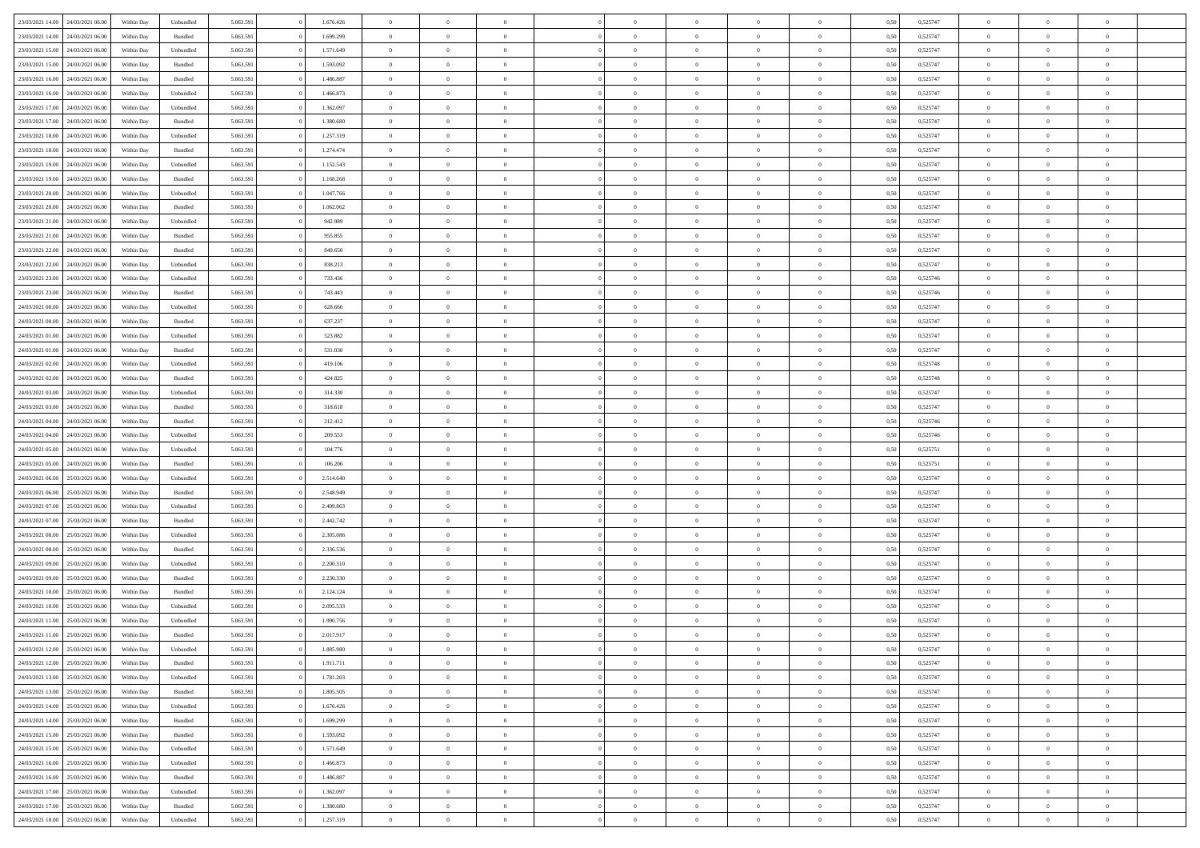| 23/03/2021 14:00                  | 24/03/2021 06:00 | Within Dav | Unbundled | 5.063.591 | 1.676.426 | $\overline{0}$ | $\theta$       |                | $\Omega$       | $\Omega$       | $\theta$       | $\theta$       | 0.50 | 0,525747 | $\theta$       | $\overline{0}$ | $\theta$       |  |
|-----------------------------------|------------------|------------|-----------|-----------|-----------|----------------|----------------|----------------|----------------|----------------|----------------|----------------|------|----------|----------------|----------------|----------------|--|
|                                   |                  |            |           |           |           |                |                |                |                |                |                |                |      |          |                |                |                |  |
| 23/03/2021 14:00                  | 24/03/2021 06.00 | Within Day | Bundled   | 5.063.591 | 1.699.299 | $\overline{0}$ | $\theta$       | $\overline{0}$ | $\overline{0}$ | $\bf{0}$       | $\overline{0}$ | $\bf{0}$       | 0,50 | 0,525747 | $\theta$       | $\overline{0}$ | $\overline{0}$ |  |
| 23/03/2021 15:00                  | 24/03/2021 06:00 | Within Day | Unbundled | 5.063.591 | 1.571.649 | $\overline{0}$ | $\bf{0}$       | $\overline{0}$ | $\bf{0}$       | $\bf{0}$       | $\bf{0}$       | $\mathbf{0}$   | 0,50 | 0,525747 | $\overline{0}$ | $\overline{0}$ | $\overline{0}$ |  |
| 23/03/2021 15:00                  | 24/03/2021 06:00 | Within Dav | Bundled   | 5.063.591 | 1.593.092 | $\overline{0}$ | $\overline{0}$ | $\overline{0}$ | $\overline{0}$ | $\bf{0}$       | $\overline{0}$ | $\overline{0}$ | 0.50 | 0,525747 | $\theta$       | $\theta$       | $\overline{0}$ |  |
|                                   |                  |            |           |           |           |                |                |                |                |                |                |                |      |          |                |                |                |  |
| 23/03/2021 16:00                  | 24/03/2021 06.00 | Within Day | Bundled   | 5.063.591 | 1.486.887 | $\overline{0}$ | $\theta$       | $\overline{0}$ | $\overline{0}$ | $\bf{0}$       | $\overline{0}$ | $\bf{0}$       | 0,50 | 0,525747 | $\theta$       | $\overline{0}$ | $\overline{0}$ |  |
| 23/03/2021 16:00                  | 24/03/2021 06:00 | Within Day | Unbundled | 5.063.591 | 1.466.873 | $\overline{0}$ | $\overline{0}$ | $\overline{0}$ | $\bf{0}$       | $\overline{0}$ | $\overline{0}$ | $\mathbf{0}$   | 0,50 | 0,525747 | $\overline{0}$ | $\overline{0}$ | $\bf{0}$       |  |
| 23/03/2021 17:00                  | 24/03/2021 06:00 | Within Dav | Unbundled | 5.063.591 | 1.362.097 | $\overline{0}$ | $\overline{0}$ | $\overline{0}$ | $\overline{0}$ | $\overline{0}$ | $\overline{0}$ | $\overline{0}$ | 0.50 | 0,525747 | $\theta$       | $\overline{0}$ | $\overline{0}$ |  |
| 23/03/2021 17:00                  | 24/03/2021 06.00 | Within Day | Bundled   | 5.063.591 | 1.380.680 | $\overline{0}$ | $\theta$       | $\overline{0}$ | $\overline{0}$ | $\bf{0}$       | $\overline{0}$ | $\bf{0}$       | 0,50 | 0,525747 | $\theta$       | $\theta$       | $\overline{0}$ |  |
| 23/03/2021 18:00                  |                  |            |           |           |           |                | $\overline{0}$ |                |                | $\bf{0}$       |                |                |      |          | $\,0\,$        | $\overline{0}$ | $\overline{0}$ |  |
|                                   | 24/03/2021 06:00 | Within Day | Unbundled | 5.063.591 | 1.257.319 | $\overline{0}$ |                | $\overline{0}$ | $\bf{0}$       |                | $\bf{0}$       | $\bf{0}$       | 0,50 | 0,525747 |                |                |                |  |
| 23/03/2021 18:00                  | 24/03/2021 06:00 | Within Dav | Bundled   | 5.063.591 | 1.274.474 | $\overline{0}$ | $\overline{0}$ | $\overline{0}$ | $\overline{0}$ | $\overline{0}$ | $\overline{0}$ | $\overline{0}$ | 0.50 | 0,525747 | $\theta$       | $\overline{0}$ | $\overline{0}$ |  |
| 23/03/2021 19:00                  | 24/03/2021 06.00 | Within Day | Unbundled | 5.063.591 | 1.152.543 | $\overline{0}$ | $\theta$       | $\overline{0}$ | $\overline{0}$ | $\bf{0}$       | $\overline{0}$ | $\bf{0}$       | 0,50 | 0,525747 | $\,$ 0 $\,$    | $\overline{0}$ | $\overline{0}$ |  |
| 23/03/2021 19:00                  | 24/03/2021 06:00 | Within Day | Bundled   | 5.063.591 | 1.168.268 | $\overline{0}$ | $\overline{0}$ | $\overline{0}$ | $\bf{0}$       | $\bf{0}$       | $\bf{0}$       | $\mathbf{0}$   | 0,50 | 0,525747 | $\overline{0}$ | $\overline{0}$ | $\bf{0}$       |  |
| 23/03/2021 20:00                  | 24/03/2021 06:00 | Within Day | Unbundled | 5.063.591 | 1.047.766 | $\overline{0}$ | $\overline{0}$ | $\overline{0}$ | $\overline{0}$ | $\bf{0}$       | $\overline{0}$ | $\overline{0}$ | 0.50 | 0,525747 | $\theta$       | $\theta$       | $\overline{0}$ |  |
|                                   |                  |            |           |           |           | $\overline{0}$ | $\theta$       | $\overline{0}$ | $\overline{0}$ | $\bf{0}$       | $\overline{0}$ |                |      |          | $\theta$       | $\overline{0}$ | $\overline{0}$ |  |
| 23/03/2021 20:00                  | 24/03/2021 06.00 | Within Day | Bundled   | 5.063.591 | 1.062.062 |                |                |                |                |                |                | $\bf{0}$       | 0,50 | 0,525747 |                |                |                |  |
| 23/03/2021 21:00                  | 24/03/2021 06:00 | Within Day | Unbundled | 5.063.591 | 942.989   | $\overline{0}$ | $\overline{0}$ | $\overline{0}$ | $\bf{0}$       | $\overline{0}$ | $\overline{0}$ | $\mathbf{0}$   | 0,50 | 0,525747 | $\overline{0}$ | $\overline{0}$ | $\bf{0}$       |  |
| 23/03/2021 21:00                  | 24/03/2021 06:00 | Within Dav | Bundled   | 5.063.591 | 955.855   | $\overline{0}$ | $\overline{0}$ | $\overline{0}$ | $\overline{0}$ | $\overline{0}$ | $\overline{0}$ | $\overline{0}$ | 0.50 | 0,525747 | $\theta$       | $\overline{0}$ | $\overline{0}$ |  |
| 23/03/2021 22:00                  | 24/03/2021 06.00 | Within Day | Bundled   | 5.063.591 | 849.650   | $\overline{0}$ | $\theta$       | $\overline{0}$ | $\overline{0}$ | $\bf{0}$       | $\overline{0}$ | $\bf{0}$       | 0,50 | 0,525747 | $\theta$       | $\theta$       | $\overline{0}$ |  |
| 23/03/2021 22:00                  | 24/03/2021 06:00 | Within Day | Unbundled | 5.063.591 | 838.213   | $\overline{0}$ | $\overline{0}$ | $\overline{0}$ | $\bf{0}$       | $\bf{0}$       | $\bf{0}$       | $\bf{0}$       | 0,50 | 0,525747 | $\,0\,$        | $\overline{0}$ | $\overline{0}$ |  |
|                                   |                  |            |           |           |           |                |                |                |                |                |                |                |      |          |                |                |                |  |
| 23/03/2021 23:00                  | 24/03/2021 06:00 | Within Day | Unbundled | 5.063.591 | 733.436   | $\overline{0}$ | $\overline{0}$ | $\overline{0}$ | $\overline{0}$ | $\overline{0}$ | $\overline{0}$ | $\overline{0}$ | 0.50 | 0,525746 | $\theta$       | $\overline{0}$ | $\overline{0}$ |  |
| 23/03/2021 23:00                  | 24/03/2021 06.00 | Within Day | Bundled   | 5.063.591 | 743.443   | $\overline{0}$ | $\theta$       | $\overline{0}$ | $\overline{0}$ | $\bf{0}$       | $\overline{0}$ | $\bf{0}$       | 0,50 | 0,525746 | $\,$ 0 $\,$    | $\overline{0}$ | $\overline{0}$ |  |
| 24/03/2021 00:00                  | 24/03/2021 06:00 | Within Day | Unbundled | 5.063.591 | 628.660   | $\overline{0}$ | $\overline{0}$ | $\overline{0}$ | $\bf{0}$       | $\bf{0}$       | $\bf{0}$       | $\bf{0}$       | 0,50 | 0,525747 | $\bf{0}$       | $\overline{0}$ | $\bf{0}$       |  |
| 24/03/2021 00:00                  | 24/03/2021 06:00 | Within Day | Bundled   | 5.063.591 | 637.237   | $\overline{0}$ | $\overline{0}$ | $\overline{0}$ | $\overline{0}$ | $\bf{0}$       | $\overline{0}$ | $\overline{0}$ | 0.50 | 0,525747 | $\theta$       | $\overline{0}$ | $\overline{0}$ |  |
| 24/03/2021 01:00                  | 24/03/2021 06.00 | Within Day | Unbundled | 5.063.591 | 523.882   | $\overline{0}$ | $\theta$       | $\overline{0}$ | $\overline{0}$ | $\bf{0}$       | $\overline{0}$ | $\bf{0}$       | 0,50 | 0,525747 | $\,$ 0 $\,$    | $\overline{0}$ | $\overline{0}$ |  |
|                                   |                  |            |           |           |           |                |                |                |                |                |                |                |      |          |                |                |                |  |
| 24/03/2021 01:00                  | 24/03/2021 06:00 | Within Day | Bundled   | 5.063.591 | 531.030   | $\overline{0}$ | $\overline{0}$ | $\overline{0}$ | $\bf{0}$       | $\overline{0}$ | $\overline{0}$ | $\mathbf{0}$   | 0,50 | 0,525747 | $\overline{0}$ | $\overline{0}$ | $\bf{0}$       |  |
| 24/03/2021 02:00                  | 24/03/2021 06:00 | Within Dav | Unbundled | 5.063.591 | 419.106   | $\overline{0}$ | $\overline{0}$ | $\overline{0}$ | $\overline{0}$ | $\overline{0}$ | $\overline{0}$ | $\overline{0}$ | 0.50 | 0,525748 | $\theta$       | $\overline{0}$ | $\overline{0}$ |  |
| 24/03/2021 02:00                  | 24/03/2021 06.00 | Within Day | Bundled   | 5.063.591 | 424.825   | $\overline{0}$ | $\theta$       | $\overline{0}$ | $\overline{0}$ | $\bf{0}$       | $\overline{0}$ | $\bf{0}$       | 0,50 | 0,525748 | $\theta$       | $\theta$       | $\overline{0}$ |  |
| 24/03/2021 03:00                  | 24/03/2021 06:00 | Within Day | Unbundled | 5.063.591 | 314.330   | $\overline{0}$ | $\overline{0}$ | $\overline{0}$ | $\bf{0}$       | $\bf{0}$       | $\bf{0}$       | $\bf{0}$       | 0,50 | 0,525747 | $\,0\,$        | $\overline{0}$ | $\overline{0}$ |  |
| 24/03/2021 03:00                  | 24/03/2021 06:00 | Within Day | Bundled   | 5.063.591 | 318.618   | $\overline{0}$ | $\overline{0}$ | $\overline{0}$ | $\overline{0}$ | $\overline{0}$ | $\overline{0}$ | $\overline{0}$ | 0.50 | 0,525747 | $\theta$       | $\overline{0}$ | $\overline{0}$ |  |
|                                   |                  |            |           |           |           |                |                |                |                |                |                |                |      |          |                |                |                |  |
| 24/03/2021 04:00                  | 24/03/2021 06.00 | Within Day | Bundled   | 5.063.591 | 212.412   | $\overline{0}$ | $\theta$       | $\overline{0}$ | $\overline{0}$ | $\bf{0}$       | $\overline{0}$ | $\bf{0}$       | 0,50 | 0,525746 | $\,$ 0 $\,$    | $\overline{0}$ | $\overline{0}$ |  |
| 24/03/2021 04:00                  | 24/03/2021 06:00 | Within Day | Unbundled | 5.063.591 | 209.553   | $\overline{0}$ | $\overline{0}$ | $\overline{0}$ | $\bf{0}$       | $\bf{0}$       | $\bf{0}$       | $\bf{0}$       | 0,50 | 0,525746 | $\overline{0}$ | $\overline{0}$ | $\bf{0}$       |  |
| 24/03/2021 05:00                  | 24/03/2021 06.00 | Within Day | Unbundled | 5.063.591 | 104,776   | $\overline{0}$ | $\Omega$       | $\Omega$       | $\Omega$       | $\Omega$       | $\overline{0}$ | $\overline{0}$ | 0,50 | 0,525751 | $\,0\,$        | $\theta$       | $\theta$       |  |
| 24/03/2021 05:00                  | 24/03/2021 06.00 | Within Day | Bundled   | 5.063.591 | 106.206   | $\overline{0}$ | $\theta$       | $\overline{0}$ | $\overline{0}$ | $\bf{0}$       | $\overline{0}$ | $\bf{0}$       | 0,50 | 0,525751 | $\theta$       | $\overline{0}$ | $\overline{0}$ |  |
| 24/03/2021 06:00                  | 25/03/2021 06:00 | Within Day | Unbundled | 5.063.591 | 2.514.640 | $\overline{0}$ | $\overline{0}$ | $\overline{0}$ | $\bf{0}$       | $\overline{0}$ | $\overline{0}$ | $\mathbf{0}$   | 0,50 | 0,525747 | $\overline{0}$ | $\overline{0}$ | $\bf{0}$       |  |
|                                   |                  |            |           |           |           |                |                |                |                |                |                |                |      |          |                |                |                |  |
| 24/03/2021 06:00                  | 25/03/2021 06:00 | Within Day | Bundled   | 5.063.591 | 2.548.949 | $\overline{0}$ | $\Omega$       | $\Omega$       | $\Omega$       | $\bf{0}$       | $\overline{0}$ | $\overline{0}$ | 0.50 | 0,525747 | $\,0\,$        | $\theta$       | $\theta$       |  |
| 24/03/2021 07:00                  | 25/03/2021 06.00 | Within Day | Unbundled | 5.063.591 | 2.409.863 | $\overline{0}$ | $\theta$       | $\overline{0}$ | $\overline{0}$ | $\bf{0}$       | $\overline{0}$ | $\bf{0}$       | 0,50 | 0,525747 | $\,$ 0 $\,$    | $\overline{0}$ | $\overline{0}$ |  |
| 24/03/2021 07:00                  | 25/03/2021 06:00 | Within Day | Bundled   | 5.063.591 | 2.442.742 | $\overline{0}$ | $\overline{0}$ | $\overline{0}$ | $\bf{0}$       | $\bf{0}$       | $\bf{0}$       | $\bf{0}$       | 0,50 | 0,525747 | $\bf{0}$       | $\overline{0}$ | $\bf{0}$       |  |
| 24/03/2021 08:00                  | 25/03/2021 06:00 | Within Day | Unbundled | 5.063.591 | 2.305.086 | $\overline{0}$ | $\Omega$       | $\Omega$       | $\Omega$       | $\overline{0}$ | $\overline{0}$ | $\overline{0}$ | 0.50 | 0,525747 | $\,$ 0 $\,$    | $\theta$       | $\theta$       |  |
| 24/03/2021 08:00                  | 25/03/2021 06:00 | Within Day | Bundled   | 5.063.591 | 2.336.536 | $\overline{0}$ | $\theta$       | $\overline{0}$ | $\overline{0}$ | $\bf{0}$       | $\overline{0}$ | $\bf{0}$       | 0,50 | 0,525747 | $\,$ 0 $\,$    | $\overline{0}$ | $\overline{0}$ |  |
|                                   |                  |            |           |           |           |                |                |                |                |                |                |                |      |          |                |                |                |  |
| 24/03/2021 09:00                  | 25/03/2021 06:00 | Within Day | Unbundled | 5.063.591 | 2.200.310 | $\overline{0}$ | $\bf{0}$       | $\overline{0}$ | $\bf{0}$       | $\bf{0}$       | $\bf{0}$       | $\bf{0}$       | 0,50 | 0,525747 | $\overline{0}$ | $\overline{0}$ | $\bf{0}$       |  |
| 24/03/2021 09:00                  | 25/03/2021 06:00 | Within Day | Bundled   | 5.063.591 | 2.230.330 | $\overline{0}$ | $\Omega$       | $\overline{0}$ | $\Omega$       | $\overline{0}$ | $\overline{0}$ | $\overline{0}$ | 0,50 | 0,525747 | $\,0\,$        | $\theta$       | $\theta$       |  |
| 24/03/2021 10:00                  | 25/03/2021 06:00 | Within Day | Bundled   | 5.063.591 | 2.124.124 | $\overline{0}$ | $\theta$       | $\overline{0}$ | $\overline{0}$ | $\,$ 0         | $\overline{0}$ | $\bf{0}$       | 0,50 | 0,525747 | $\,$ 0 $\,$    | $\overline{0}$ | $\overline{0}$ |  |
| 24/03/2021 10:00                  | 25/03/2021 06:00 | Within Day | Unbundled | 5.063.591 | 2.095.533 | $\overline{0}$ | $\overline{0}$ | $\overline{0}$ | $\overline{0}$ | $\bf{0}$       | $\overline{0}$ | $\mathbf{0}$   | 0,50 | 0,525747 | $\bf{0}$       | $\overline{0}$ | $\bf{0}$       |  |
| 24/03/2021 11:00                  | 25/03/2021 06:00 | Within Day | Unbundled | 5.063.591 | 1.990.756 | $\overline{0}$ | $\Omega$       | $\Omega$       | $\Omega$       | $\Omega$       | $\Omega$       | $\overline{0}$ | 0.50 | 0,525747 | $\theta$       | $\theta$       | $\theta$       |  |
| 24/03/2021 11:00                  | 25/03/2021 06:00 | Within Day | Bundled   | 5.063.591 | 2.017.917 | $\overline{0}$ | $\overline{0}$ | $\overline{0}$ | $\bf{0}$       | $\,$ 0         | $\overline{0}$ | $\bf{0}$       | 0,50 | 0,525747 | $\,0\,$        | $\,$ 0 $\,$    | $\overline{0}$ |  |
|                                   |                  |            |           |           |           |                |                |                |                |                |                |                |      |          |                |                |                |  |
| 24/03/2021 12:00                  | 25/03/2021 06:00 | Within Day | Unbundled | 5.063.591 | 1.885.980 | $\bf{0}$       | $\bf{0}$       |                |                |                |                |                | 0,50 | 0,525747 | $\bf{0}$       | $\overline{0}$ |                |  |
| 24/03/2021 12:00                  | 25/03/2021 06:00 | Within Day | Bundled   | 5.063.591 | 1.911.711 | $\overline{0}$ | $\Omega$       | $\Omega$       | $\Omega$       | $\overline{0}$ | $\overline{0}$ | $\overline{0}$ | 0.50 | 0,525747 | $\theta$       | $\theta$       | $\theta$       |  |
| 24/03/2021 13:00                  | 25/03/2021 06.00 | Within Day | Unbundled | 5.063.591 | 1.781.203 | $\overline{0}$ | $\,$ 0         | $\overline{0}$ | $\overline{0}$ | $\,$ 0 $\,$    | $\overline{0}$ | $\mathbf{0}$   | 0,50 | 0,525747 | $\,$ 0 $\,$    | $\,$ 0 $\,$    | $\,$ 0         |  |
| 24/03/2021 13:00                  | 25/03/2021 06:00 | Within Day | Bundled   | 5.063.591 | 1.805.505 | $\overline{0}$ | $\overline{0}$ | $\overline{0}$ | $\overline{0}$ | $\overline{0}$ | $\overline{0}$ | $\mathbf{0}$   | 0,50 | 0,525747 | $\overline{0}$ | $\bf{0}$       | $\bf{0}$       |  |
| 24/03/2021 14:00                  | 25/03/2021 06:00 |            |           |           | 1.676.426 | $\overline{0}$ | $\overline{0}$ | $\overline{0}$ | $\Omega$       | $\overline{0}$ | $\overline{0}$ |                |      | 0,525747 | $\overline{0}$ | $\theta$       | $\overline{0}$ |  |
|                                   |                  | Within Day | Unbundled | 5.063.591 |           |                |                |                |                |                |                | $\bf{0}$       | 0,50 |          |                |                |                |  |
| 24/03/2021 14:00                  | 25/03/2021 06.00 | Within Day | Bundled   | 5.063.591 | 1.699.299 | $\overline{0}$ | $\,$ 0         | $\overline{0}$ | $\overline{0}$ | $\,$ 0 $\,$    | $\overline{0}$ | $\mathbf{0}$   | 0,50 | 0,525747 | $\,$ 0 $\,$    | $\overline{0}$ | $\overline{0}$ |  |
| 24/03/2021 15:00                  | 25/03/2021 06:00 | Within Day | Bundled   | 5.063.591 | 1.593.092 | $\overline{0}$ | $\overline{0}$ | $\overline{0}$ | $\overline{0}$ | $\overline{0}$ | $\overline{0}$ | $\mathbf{0}$   | 0,50 | 0,525747 | $\overline{0}$ | $\overline{0}$ | $\bf{0}$       |  |
| 24/03/2021 15:00                  | 25/03/2021 06:00 | Within Day | Unbundled | 5.063.591 | 1.571.649 | $\overline{0}$ | $\overline{0}$ | $\overline{0}$ | $\Omega$       | $\overline{0}$ | $\overline{0}$ | $\bf{0}$       | 0.50 | 0,525747 | $\overline{0}$ | $\theta$       | $\overline{0}$ |  |
| 24/03/2021 16:00                  | 25/03/2021 06.00 | Within Day | Unbundled | 5.063.591 | 1.466.873 | $\overline{0}$ | $\,$ 0         | $\overline{0}$ | $\overline{0}$ | $\bf{0}$       | $\overline{0}$ | $\bf{0}$       | 0,50 | 0,525747 | $\,$ 0 $\,$    | $\overline{0}$ | $\overline{0}$ |  |
|                                   |                  |            |           |           |           |                |                |                |                |                |                |                |      |          |                |                |                |  |
| 24/03/2021 16:00                  | 25/03/2021 06:00 | Within Day | Bundled   | 5.063.591 | 1.486.887 | $\overline{0}$ | $\bf{0}$       | $\overline{0}$ | $\overline{0}$ | $\overline{0}$ | $\overline{0}$ | $\mathbf{0}$   | 0,50 | 0,525747 | $\overline{0}$ | $\overline{0}$ | $\bf{0}$       |  |
| 24/03/2021 17:00                  | 25/03/2021 06:00 | Within Day | Unbundled | 5.063.591 | 1.362.097 | $\overline{0}$ | $\overline{0}$ | $\overline{0}$ | $\Omega$       | $\overline{0}$ | $\overline{0}$ | $\bf{0}$       | 0.50 | 0,525747 | $\overline{0}$ | $\theta$       | $\overline{0}$ |  |
| 24/03/2021 17:00                  | 25/03/2021 06.00 | Within Day | Bundled   | 5.063.591 | 1.380.680 | $\overline{0}$ | $\bf{0}$       | $\overline{0}$ | $\overline{0}$ | $\bf{0}$       | $\overline{0}$ | $\mathbf{0}$   | 0,50 | 0,525747 | $\,$ 0 $\,$    | $\,$ 0 $\,$    | $\bf{0}$       |  |
| 24/03/2021 18:00 25/03/2021 06:00 |                  | Within Day | Unbundled | 5.063.591 | 1.257.319 | $\overline{0}$ | $\overline{0}$ | $\overline{0}$ | $\overline{0}$ | $\bf{0}$       | $\overline{0}$ | $\mathbf{0}$   | 0,50 | 0,525747 | $\overline{0}$ | $\bf{0}$       | $\bf{0}$       |  |
|                                   |                  |            |           |           |           |                |                |                |                |                |                |                |      |          |                |                |                |  |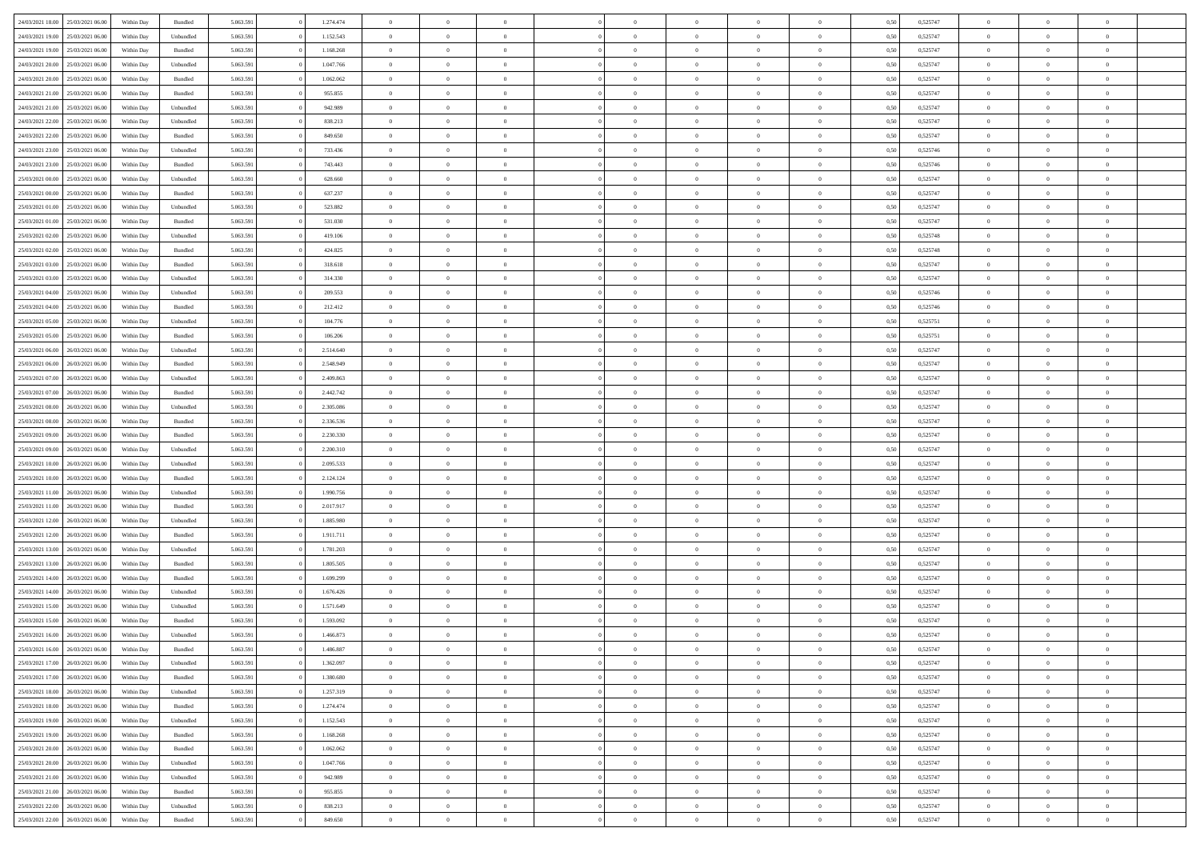| 24/03/2021 18:00                  | 25/03/2021 06:00 | Within Day | Bundled            | 5.063.591 | 1.274.474 | $\overline{0}$ | $\theta$       |                | $\overline{0}$ | $\bf{0}$       | $\overline{0}$ | $\theta$       | 0,50 | 0,525747 | $\theta$       | $\theta$       | $\overline{0}$ |  |
|-----------------------------------|------------------|------------|--------------------|-----------|-----------|----------------|----------------|----------------|----------------|----------------|----------------|----------------|------|----------|----------------|----------------|----------------|--|
|                                   |                  |            |                    |           |           | $\overline{0}$ | $\overline{0}$ |                |                |                |                |                |      |          |                |                | $\overline{0}$ |  |
| 24/03/2021 19:00                  | 25/03/2021 06.0  | Within Day | Unbundled          | 5.063.591 | 1.152.543 |                |                | $\overline{0}$ | $\overline{0}$ | $\,$ 0         | $\overline{0}$ | $\bf{0}$       | 0,50 | 0,525747 | $\,$ 0 $\,$    | $\overline{0}$ |                |  |
| 24/03/2021 19:00                  | 25/03/2021 06:00 | Within Day | Bundled            | 5.063.591 | 1.168.268 | $\overline{0}$ | $\overline{0}$ | $\overline{0}$ | $\overline{0}$ | $\bf{0}$       | $\overline{0}$ | $\overline{0}$ | 0.50 | 0,525747 | $\bf{0}$       | $\overline{0}$ | $\overline{0}$ |  |
| 24/03/2021 20:00                  | 25/03/2021 06.00 | Within Day | Unbundled          | 5.063.591 | 1.047.766 | $\overline{0}$ | $\overline{0}$ | $\overline{0}$ | $\overline{0}$ | $\bf{0}$       | $\overline{0}$ | $\overline{0}$ | 0,50 | 0,525747 | $\,$ 0 $\,$    | $\overline{0}$ | $\overline{0}$ |  |
| 24/03/2021 20:00                  | 25/03/2021 06.00 | Within Day | Bundled            | 5.063.591 | 1.062.062 | $\overline{0}$ | $\theta$       | $\overline{0}$ | $\overline{0}$ | $\overline{0}$ | $\overline{0}$ | $\bf{0}$       | 0,50 | 0,525747 | $\theta$       | $\overline{0}$ | $\overline{0}$ |  |
| 24/03/2021 21:00                  | 25/03/2021 06:00 | Within Day | Bundled            | 5.063.591 | 955,855   | $\overline{0}$ | $\overline{0}$ | $\overline{0}$ | $\overline{0}$ | $\bf{0}$       | $\overline{0}$ | $\overline{0}$ | 0.50 | 0.525747 | $\,0\,$        | $\theta$       | $\overline{0}$ |  |
| 24/03/2021 21:00                  | 25/03/2021 06.00 | Within Day | Unbundled          | 5.063.591 | 942.989   | $\overline{0}$ | $\overline{0}$ | $\overline{0}$ | $\overline{0}$ | $\,$ 0         | $\overline{0}$ | $\overline{0}$ | 0,50 | 0,525747 | $\,$ 0 $\,$    | $\theta$       | $\overline{0}$ |  |
| 24/03/2021 22.00                  | 25/03/2021 06.00 | Within Day | Unbundled          | 5.063.591 | 838.213   | $\overline{0}$ | $\theta$       | $\overline{0}$ | $\overline{0}$ | $\bf{0}$       | $\overline{0}$ | $\bf{0}$       | 0,50 | 0,525747 | $\,$ 0 $\,$    | $\overline{0}$ | $\overline{0}$ |  |
| 24/03/2021 22.00                  | 25/03/2021 06:00 | Within Day | Bundled            | 5.063.591 | 849,650   | $\overline{0}$ | $\overline{0}$ | $\overline{0}$ | $\overline{0}$ | $\bf{0}$       | $\overline{0}$ | $\bf{0}$       | 0.50 | 0.525747 | $\theta$       | $\theta$       | $\overline{0}$ |  |
| 24/03/2021 23:00                  | 25/03/2021 06:00 | Within Day | Unbundled          | 5.063.591 | 733.436   | $\overline{0}$ | $\overline{0}$ | $\overline{0}$ | $\overline{0}$ | $\,$ 0         | $\overline{0}$ | $\bf{0}$       | 0,50 | 0,525746 | $\,$ 0 $\,$    | $\overline{0}$ | $\overline{0}$ |  |
|                                   |                  |            |                    |           |           |                |                |                |                |                |                |                |      |          |                |                |                |  |
| 24/03/2021 23:00                  | 25/03/2021 06.00 | Within Day | Bundled            | 5.063.591 | 743.443   | $\overline{0}$ | $\theta$       | $\overline{0}$ | $\overline{0}$ | $\,$ 0         | $\overline{0}$ | $\bf{0}$       | 0,50 | 0,525746 | $\,$ 0 $\,$    | $\overline{0}$ | $\overline{0}$ |  |
| 25/03/2021 00:00                  | 25/03/2021 06:00 | Within Day | Unbundled          | 5.063.591 | 628.660   | $\overline{0}$ | $\overline{0}$ | $\overline{0}$ | $\overline{0}$ | $\bf{0}$       | $\overline{0}$ | $\mathbf{0}$   | 0.50 | 0,525747 | $\bf{0}$       | $\overline{0}$ | $\overline{0}$ |  |
| 25/03/2021 00:00                  | 25/03/2021 06.00 | Within Day | Bundled            | 5.063.591 | 637.237   | $\overline{0}$ | $\overline{0}$ | $\overline{0}$ | $\overline{0}$ | $\,$ 0         | $\overline{0}$ | $\theta$       | 0,50 | 0,525747 | $\,$ 0 $\,$    | $\overline{0}$ | $\overline{0}$ |  |
| 25/03/2021 01:00                  | 25/03/2021 06.00 | Within Day | Unbundled          | 5.063.591 | 523.882   | $\overline{0}$ | $\theta$       | $\overline{0}$ | $\overline{0}$ | $\overline{0}$ | $\overline{0}$ | $\bf{0}$       | 0,50 | 0,525747 | $\theta$       | $\overline{0}$ | $\overline{0}$ |  |
| 25/03/2021 01:00                  | 25/03/2021 06:00 | Within Day | Bundled            | 5.063.591 | 531.030   | $\overline{0}$ | $\overline{0}$ | $\overline{0}$ | $\overline{0}$ | $\bf{0}$       | $\overline{0}$ | $\overline{0}$ | 0.50 | 0.525747 | $\theta$       | $\theta$       | $\overline{0}$ |  |
| 25/03/2021 02:00                  | 25/03/2021 06.00 | Within Day | Unbundled          | 5.063.591 | 419.106   | $\overline{0}$ | $\overline{0}$ | $\overline{0}$ | $\overline{0}$ | $\,$ 0         | $\overline{0}$ | $\overline{0}$ | 0,50 | 0,525748 | $\,$ 0 $\,$    | $\theta$       | $\overline{0}$ |  |
| 25/03/2021 02:00                  | 25/03/2021 06.00 | Within Day | Bundled            | 5.063.591 | 424.825   | $\overline{0}$ | $\theta$       | $\overline{0}$ | $\overline{0}$ | $\bf{0}$       | $\overline{0}$ | $\bf{0}$       | 0,50 | 0,525748 | $\,$ 0 $\,$    | $\overline{0}$ | $\overline{0}$ |  |
| 25/03/2021 03:00                  | 25/03/2021 06:00 | Within Day | Bundled            | 5.063.591 | 318,618   | $\overline{0}$ | $\overline{0}$ | $\overline{0}$ | $\overline{0}$ | $\bf{0}$       | $\overline{0}$ | $\bf{0}$       | 0.50 | 0.525747 | $\,0\,$        | $\overline{0}$ | $\overline{0}$ |  |
| 25/03/2021 03:00                  | 25/03/2021 06.00 | Within Day | Unbundled          | 5.063.591 | 314.330   | $\overline{0}$ | $\overline{0}$ | $\overline{0}$ | $\overline{0}$ | $\,$ 0         | $\overline{0}$ | $\bf{0}$       | 0,50 | 0,525747 | $\,$ 0 $\,$    | $\overline{0}$ | $\overline{0}$ |  |
|                                   |                  |            |                    |           |           | $\overline{0}$ | $\theta$       | $\overline{0}$ | $\overline{0}$ | $\,$ 0         |                |                |      |          | $\,$ 0 $\,$    | $\overline{0}$ | $\overline{0}$ |  |
| 25/03/2021 04:00                  | 25/03/2021 06.00 | Within Day | Unbundled          | 5.063.591 | 209.553   |                |                |                |                |                | $\bf{0}$       | $\bf{0}$       | 0,50 | 0,525746 |                |                |                |  |
| 25/03/2021 04:00                  | 25/03/2021 06:00 | Within Day | Bundled            | 5.063.591 | 212.412   | $\overline{0}$ | $\overline{0}$ | $\overline{0}$ | $\overline{0}$ | $\bf{0}$       | $\overline{0}$ | $\mathbf{0}$   | 0.50 | 0,525746 | $\bf{0}$       | $\overline{0}$ | $\overline{0}$ |  |
| 25/03/2021 05:00                  | 25/03/2021 06.00 | Within Day | Unbundled          | 5.063.591 | 104.776   | $\overline{0}$ | $\overline{0}$ | $\overline{0}$ | $\overline{0}$ | $\bf{0}$       | $\overline{0}$ | $\overline{0}$ | 0,50 | 0,525751 | $\,$ 0 $\,$    | $\overline{0}$ | $\overline{0}$ |  |
| 25/03/2021 05:00                  | 25/03/2021 06.00 | Within Day | Bundled            | 5.063.591 | 106.206   | $\overline{0}$ | $\theta$       | $\overline{0}$ | $\overline{0}$ | $\bf{0}$       | $\overline{0}$ | $\bf{0}$       | 0,50 | 0,525751 | $\,$ 0 $\,$    | $\overline{0}$ | $\overline{0}$ |  |
| 25/03/2021 06:00                  | 26/03/2021 06:00 | Within Day | Unbundled          | 5.063.591 | 2.514.640 | $\overline{0}$ | $\overline{0}$ | $\overline{0}$ | $\overline{0}$ | $\bf{0}$       | $\theta$       | $\bf{0}$       | 0.50 | 0.525747 | $\,0\,$        | $\theta$       | $\overline{0}$ |  |
| 25/03/2021 06:00                  | 26/03/2021 06:00 | Within Day | Bundled            | 5.063.591 | 2.548.949 | $\overline{0}$ | $\theta$       | $\overline{0}$ | $\overline{0}$ | $\,$ 0         | $\overline{0}$ | $\overline{0}$ | 0,50 | 0,525747 | $\,$ 0 $\,$    | $\theta$       | $\overline{0}$ |  |
| 25/03/2021 07:00                  | 26/03/2021 06.00 | Within Day | Unbundled          | 5.063.591 | 2.409.863 | $\overline{0}$ | $\theta$       | $\overline{0}$ |                | $\bf{0}$       | $\overline{0}$ | $\bf{0}$       | 0,50 | 0,525747 | $\theta$       | $\overline{0}$ | $\overline{0}$ |  |
| 25/03/2021 07:00                  | 26/03/2021 06:00 | Within Day | Bundled            | 5.063.591 | 2.442.742 | $\overline{0}$ | $\overline{0}$ | $\overline{0}$ | $\overline{0}$ | $\bf{0}$       | $\overline{0}$ | $\bf{0}$       | 0.50 | 0.525747 | $\,0\,$        | $\overline{0}$ | $\overline{0}$ |  |
| 25/03/2021 08:00                  | 26/03/2021 06:00 | Within Day | Unbundled          | 5.063.591 | 2.305.086 | $\overline{0}$ | $\overline{0}$ | $\overline{0}$ | $\overline{0}$ | $\,$ 0         | $\overline{0}$ | $\bf{0}$       | 0,50 | 0,525747 | $\,$ 0 $\,$    | $\theta$       | $\overline{0}$ |  |
| 25/03/2021 08:00                  | 26/03/2021 06.00 | Within Day | Bundled            | 5.063.591 | 2.336.536 | $\overline{0}$ | $\theta$       | $\overline{0}$ | $\overline{0}$ | $\bf{0}$       | $\bf{0}$       | $\bf{0}$       | 0,50 | 0,525747 | $\,$ 0 $\,$    | $\overline{0}$ | $\overline{0}$ |  |
| 25/03/2021 09:00                  | 26/03/2021 06:00 | Within Day | Bundled            | 5.063.591 | 2.230.330 | $\overline{0}$ | $\overline{0}$ | $\overline{0}$ | $\overline{0}$ | $\bf{0}$       | $\overline{0}$ | $\mathbf{0}$   | 0.50 | 0,525747 | $\bf{0}$       | $\overline{0}$ | $\overline{0}$ |  |
| 25/03/2021 09:00                  | 26/03/2021 06:00 | Within Dav | Unbundled          | 5.063.591 | 2.200.310 | $\overline{0}$ | $\overline{0}$ | $\overline{0}$ | $\overline{0}$ | $\bf{0}$       | $\overline{0}$ | $\overline{0}$ | 0.50 | 0,525747 | $\theta$       | $\overline{0}$ | $\overline{0}$ |  |
|                                   |                  |            |                    |           |           |                |                |                |                |                |                |                |      |          |                |                |                |  |
| 25/03/2021 10:00                  | 26/03/2021 06.00 | Within Day | Unbundled          | 5.063.591 | 2.095.533 | $\overline{0}$ | $\theta$       | $\overline{0}$ | $\overline{0}$ | $\bf{0}$       | $\overline{0}$ | $\bf{0}$       | 0,50 | 0,525747 | $\,$ 0 $\,$    | $\overline{0}$ | $\overline{0}$ |  |
| 25/03/2021 10:00                  | 26/03/2021 06:00 | Within Day | Bundled            | 5.063.591 | 2.124.124 | $\overline{0}$ | $\overline{0}$ | $\overline{0}$ | $\overline{0}$ | $\,$ 0         | $\overline{0}$ | $\bf{0}$       | 0.50 | 0.525747 | $\theta$       | $\theta$       | $\overline{0}$ |  |
| 25/03/2021 11:00                  | 26/03/2021 06:00 | Within Dav | Unbundled          | 5.063.591 | 1.990.756 | $\overline{0}$ | $\theta$       | $\Omega$       | $\Omega$       | $\bf{0}$       | $\overline{0}$ | $\overline{0}$ | 0.50 | 0,525747 | $\theta$       | $\overline{0}$ | $\overline{0}$ |  |
| 25/03/2021 11:00                  | 26/03/2021 06.00 | Within Day | Bundled            | 5.063.591 | 2.017.917 | $\overline{0}$ | $\theta$       | $\overline{0}$ | $\overline{0}$ | $\,$ 0         | $\overline{0}$ | $\bf{0}$       | 0,50 | 0,525747 | $\,$ 0 $\,$    | $\overline{0}$ | $\overline{0}$ |  |
| 25/03/2021 12:00                  | 26/03/2021 06:00 | Within Day | Unbundled          | 5.063.591 | 1.885.980 | $\overline{0}$ | $\overline{0}$ | $\overline{0}$ | $\overline{0}$ | $\bf{0}$       | $\overline{0}$ | $\bf{0}$       | 0.50 | 0.525747 | $\,0\,$        | $\overline{0}$ | $\overline{0}$ |  |
| 25/03/2021 12:00                  | 26/03/2021 06:00 | Within Dav | Bundled            | 5.063.591 | 1.911.711 | $\overline{0}$ | $\overline{0}$ | $\overline{0}$ | $\overline{0}$ | $\overline{0}$ | $\overline{0}$ | $\overline{0}$ | 0.50 | 0,525747 | $\theta$       | $\overline{0}$ | $\overline{0}$ |  |
| 25/03/2021 13:00                  | 26/03/2021 06.0  | Within Day | Unbundled          | 5.063.591 | 1.781.203 | $\overline{0}$ | $\overline{0}$ | $\overline{0}$ | $\overline{0}$ | $\bf{0}$       | $\bf{0}$       | $\bf{0}$       | 0,50 | 0,525747 | $\,$ 0 $\,$    | $\overline{0}$ | $\overline{0}$ |  |
| 25/03/2021 13:00                  | 26/03/2021 06:00 | Within Day | Bundled            | 5.063.591 | 1.805.505 | $\overline{0}$ | $\overline{0}$ | $\overline{0}$ | $\overline{0}$ | $\bf{0}$       | $\overline{0}$ | $\mathbf{0}$   | 0.50 | 0,525747 | $\bf{0}$       | $\overline{0}$ | $\overline{0}$ |  |
| 25/03/2021 14:00                  | 26/03/2021 06:00 | Within Dav | Bundled            | 5.063.591 | 1.699.299 | $\overline{0}$ | $\overline{0}$ | $\Omega$       | $\overline{0}$ | $\bf{0}$       | $\overline{0}$ | $\overline{0}$ | 0.50 | 0,525747 | $\theta$       | $\overline{0}$ | $\overline{0}$ |  |
| 25/03/2021 14:00                  | 26/03/2021 06.0  | Within Day | Unbundled          | 5.063.591 | 1.676.426 | $\overline{0}$ | $\theta$       | $\overline{0}$ | $\overline{0}$ | $\bf{0}$       | $\overline{0}$ | $\bf{0}$       | 0,50 | 0,525747 | $\,$ 0 $\,$    | $\overline{0}$ | $\overline{0}$ |  |
| 25/03/2021 15:00                  | 26/03/2021 06:00 | Within Day | Unbundled          | 5.063.591 | 1.571.649 | $\overline{0}$ | $\theta$       | $\overline{0}$ | $\overline{0}$ | $\bf{0}$       | $\Omega$       | $\overline{0}$ | 0.50 | 0,525747 | $\,0\,$        | $\theta$       | $\theta$       |  |
|                                   |                  |            |                    |           |           |                | $\Omega$       | $\Omega$       |                |                |                |                |      |          | $\theta$       |                |                |  |
| 25/03/2021 15:00                  | 26/03/2021 06:00 | Within Dav | Bundled            | 5.063.591 | 1.593.092 | $\overline{0}$ |                |                | $\Omega$       | $\bf{0}$       | $\overline{0}$ | $\bf{0}$       | 0.50 | 0,525747 |                | $\theta$       | $\overline{0}$ |  |
| 25/03/2021 16:00                  | 26/03/2021 06:00 | Within Day | Unbundled          | 5.063.591 | 1.466.873 | $\overline{0}$ | $\,$ 0 $\,$    | $\overline{0}$ | $\overline{0}$ | $\,$ 0         | $\bf{0}$       | $\bf{0}$       | 0,50 | 0,525747 | $\,$ 0 $\,$    | $\overline{0}$ | $\overline{0}$ |  |
| 25/03/2021 16:00                  | 26/03/2021 06:00 | Within Day | $\mathbf B$ undled | 5.063.591 | 1.486.887 | $\bf{0}$       | $\theta$       |                |                |                |                |                | 0,50 | 0,525747 | $\theta$       | $\theta$       |                |  |
| 25/03/2021 17:00                  | 26/03/2021 06:00 | Within Day | Unbundled          | 5.063.591 | 1.362.097 | $\overline{0}$ | $\overline{0}$ | $\overline{0}$ | $\overline{0}$ | $\overline{0}$ | $\overline{0}$ | $\mathbf{0}$   | 0,50 | 0,525747 | $\theta$       | $\overline{0}$ | $\overline{0}$ |  |
| 25/03/2021 17:00                  | 26/03/2021 06:00 | Within Day | Bundled            | 5.063.591 | 1.380.680 | $\overline{0}$ | $\overline{0}$ | $\overline{0}$ | $\bf{0}$       | $\overline{0}$ | $\overline{0}$ | $\bf{0}$       | 0,50 | 0,525747 | $\overline{0}$ | $\overline{0}$ | $\bf{0}$       |  |
| 25/03/2021 18:00                  | 26/03/2021 06:00 | Within Day | Unbundled          | 5.063.591 | 1.257.319 | $\overline{0}$ | $\overline{0}$ | $\overline{0}$ | $\overline{0}$ | $\overline{0}$ | $\overline{0}$ | $\mathbf{0}$   | 0.50 | 0,525747 | $\overline{0}$ | $\bf{0}$       | $\bf{0}$       |  |
| 25/03/2021 18:00                  | 26/03/2021 06:00 | Within Day | Bundled            | 5.063.591 | 1.274.474 | $\overline{0}$ | $\overline{0}$ | $\overline{0}$ | $\overline{0}$ | $\overline{0}$ | $\overline{0}$ | $\mathbf{0}$   | 0,50 | 0,525747 | $\overline{0}$ | $\theta$       | $\overline{0}$ |  |
| 25/03/2021 19:00                  | 26/03/2021 06:00 | Within Day | Unbundled          | 5.063.591 | 1.152.543 | $\overline{0}$ | $\overline{0}$ | $\overline{0}$ | $\overline{0}$ | $\bf{0}$       | $\bf{0}$       | $\bf{0}$       | 0,50 | 0,525747 | $\,$ 0 $\,$    | $\overline{0}$ | $\overline{0}$ |  |
| 25/03/2021 19:00                  | 26/03/2021 06:00 | Within Day | Bundled            | 5.063.591 | 1.168.268 | $\overline{0}$ | $\overline{0}$ | $\overline{0}$ | $\overline{0}$ | $\bf{0}$       | $\overline{0}$ | $\mathbf{0}$   | 0.50 | 0.525747 | $\,$ 0 $\,$    | $\overline{0}$ | $\overline{0}$ |  |
| 25/03/2021 20:00                  | 26/03/2021 06:00 | Within Day | Bundled            | 5.063.591 | 1.062.062 | $\overline{0}$ | $\overline{0}$ | $\overline{0}$ | $\overline{0}$ | $\overline{0}$ | $\overline{0}$ | $\overline{0}$ | 0,50 | 0,525747 | $\overline{0}$ | $\theta$       | $\overline{0}$ |  |
| 25/03/2021 20:00                  | 26/03/2021 06:00 | Within Day | Unbundled          | 5.063.591 | 1.047.766 | $\overline{0}$ | $\,$ 0         | $\overline{0}$ | $\bf{0}$       | $\,$ 0 $\,$    | $\overline{0}$ | $\bf{0}$       | 0,50 | 0,525747 | $\,$ 0 $\,$    | $\overline{0}$ | $\overline{0}$ |  |
| 25/03/2021 21:00                  | 26/03/2021 06:00 | Within Day | Unbundled          | 5.063.591 | 942.989   | $\overline{0}$ | $\overline{0}$ | $\overline{0}$ | $\overline{0}$ | $\bf{0}$       | $\overline{0}$ | $\mathbf{0}$   | 0.50 | 0.525747 | $\mathbf{0}$   | $\bf{0}$       | $\bf{0}$       |  |
|                                   |                  |            |                    |           |           |                |                |                |                |                |                |                |      |          |                |                |                |  |
| 25/03/2021 21:00                  | 26/03/2021 06:00 | Within Day | Bundled            | 5.063.591 | 955.855   | $\overline{0}$ | $\overline{0}$ | $\overline{0}$ | $\overline{0}$ | $\overline{0}$ | $\overline{0}$ | $\overline{0}$ | 0,50 | 0,525747 | $\overline{0}$ | $\overline{0}$ | $\overline{0}$ |  |
| 25/03/2021 22:00                  | 26/03/2021 06:00 | Within Day | Unbundled          | 5.063.591 | 838.213   | $\overline{0}$ | $\bf{0}$       | $\overline{0}$ | $\bf{0}$       | $\bf{0}$       | $\bf{0}$       | $\bf{0}$       | 0,50 | 0,525747 | $\overline{0}$ | $\overline{0}$ | $\bf{0}$       |  |
| 25/03/2021 22:00 26/03/2021 06:00 |                  | Within Day | Bundled            | 5.063.591 | 849.650   | $\,$ 0 $\,$    | $\,$ 0 $\,$    | $\overline{0}$ | $\overline{0}$ | $\,$ 0 $\,$    | $\,$ 0 $\,$    | $\,$ 0 $\,$    | 0,50 | 0,525747 | $\mathbf{0}^-$ | $\,$ 0 $\,$    | $\,$ 0 $\,$    |  |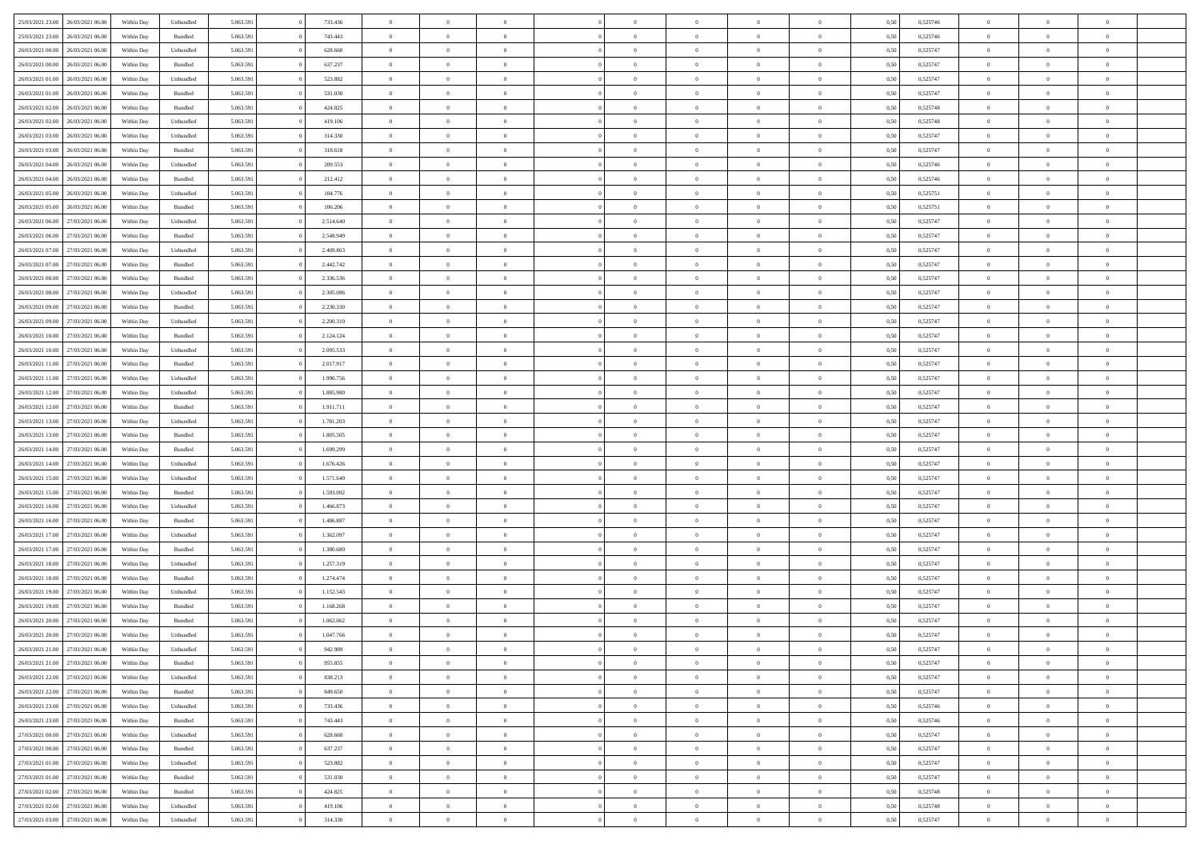|                                      |                  |            |           |           |           | $\overline{0}$ |                |                |                | $\Omega$       | $\theta$       | $\theta$       |      |          | $\theta$       | $\overline{0}$ | $\theta$       |  |
|--------------------------------------|------------------|------------|-----------|-----------|-----------|----------------|----------------|----------------|----------------|----------------|----------------|----------------|------|----------|----------------|----------------|----------------|--|
| 25/03/2021 23:00                     | 26/03/2021 06:00 | Within Day | Unbundled | 5.063.591 | 733.436   |                | $\theta$       |                | $\Omega$       |                |                |                | 0.50 | 0,525746 |                |                |                |  |
| 25/03/2021 23:00                     | 26/03/2021 06:00 | Within Day | Bundled   | 5.063.591 | 743.443   | $\overline{0}$ | $\theta$       | $\overline{0}$ | $\overline{0}$ | $\bf{0}$       | $\overline{0}$ | $\bf{0}$       | 0,50 | 0,525746 | $\theta$       | $\overline{0}$ | $\overline{0}$ |  |
| 26/03/2021 00:00                     | 26/03/2021 06:00 | Within Day | Unbundled | 5.063.591 | 628.660   | $\overline{0}$ | $\bf{0}$       | $\overline{0}$ | $\bf{0}$       | $\bf{0}$       | $\bf{0}$       | $\mathbf{0}$   | 0,50 | 0,525747 | $\overline{0}$ | $\overline{0}$ | $\overline{0}$ |  |
| 26/03/2021 00:00                     | 26/03/2021 06:00 | Within Dav | Bundled   | 5.063.591 | 637.237   | $\overline{0}$ | $\overline{0}$ | $\overline{0}$ | $\overline{0}$ | $\bf{0}$       | $\overline{0}$ | $\overline{0}$ | 0.50 | 0,525747 | $\theta$       | $\theta$       | $\overline{0}$ |  |
|                                      |                  |            |           |           |           | $\overline{0}$ | $\theta$       | $\overline{0}$ | $\overline{0}$ | $\bf{0}$       | $\overline{0}$ |                |      |          | $\theta$       | $\overline{0}$ | $\overline{0}$ |  |
| 26/03/2021 01:00                     | 26/03/2021 06:00 | Within Day | Unbundled | 5.063.591 | 523.882   |                |                |                |                |                |                | $\bf{0}$       | 0,50 | 0,525747 |                |                |                |  |
| 26/03/2021 01:00                     | 26/03/2021 06:00 | Within Day | Bundled   | 5.063.591 | 531.030   | $\overline{0}$ | $\overline{0}$ | $\overline{0}$ | $\bf{0}$       | $\overline{0}$ | $\overline{0}$ | $\mathbf{0}$   | 0,50 | 0,525747 | $\bf{0}$       | $\overline{0}$ | $\bf{0}$       |  |
| 26/03/2021 02:00                     | 26/03/2021 06:00 | Within Dav | Bundled   | 5.063.591 | 424.825   | $\overline{0}$ | $\overline{0}$ | $\overline{0}$ | $\overline{0}$ | $\overline{0}$ | $\overline{0}$ | $\overline{0}$ | 0.50 | 0,525748 | $\theta$       | $\overline{0}$ | $\overline{0}$ |  |
| 26/03/2021 02:00                     | 26/03/2021 06:00 | Within Day | Unbundled | 5.063.591 | 419.106   | $\overline{0}$ | $\theta$       | $\overline{0}$ | $\overline{0}$ | $\bf{0}$       | $\overline{0}$ | $\bf{0}$       | 0,50 | 0,525748 | $\theta$       | $\theta$       | $\overline{0}$ |  |
| 26/03/2021 03:00                     | 26/03/2021 06:00 | Within Day | Unbundled | 5.063.591 | 314.330   | $\overline{0}$ | $\overline{0}$ | $\overline{0}$ | $\bf{0}$       | $\bf{0}$       | $\bf{0}$       | $\bf{0}$       | 0,50 | 0,525747 | $\,0\,$        | $\overline{0}$ | $\overline{0}$ |  |
| 26/03/2021 03:00                     | 26/03/2021 06:00 | Within Dav | Bundled   | 5.063.591 | 318.618   | $\overline{0}$ | $\overline{0}$ | $\overline{0}$ | $\overline{0}$ | $\overline{0}$ | $\overline{0}$ | $\overline{0}$ | 0.50 | 0,525747 | $\theta$       | $\overline{0}$ | $\overline{0}$ |  |
|                                      |                  |            |           |           |           |                |                |                |                |                |                |                |      |          |                |                |                |  |
| 26/03/2021 04:00                     | 26/03/2021 06:00 | Within Day | Unbundled | 5.063.591 | 209.553   | $\overline{0}$ | $\theta$       | $\overline{0}$ | $\overline{0}$ | $\bf{0}$       | $\overline{0}$ | $\bf{0}$       | 0,50 | 0,525746 | $\,$ 0 $\,$    | $\overline{0}$ | $\overline{0}$ |  |
| 26/03/2021 04:00                     | 26/03/2021 06:00 | Within Day | Bundled   | 5.063.591 | 212.412   | $\overline{0}$ | $\overline{0}$ | $\overline{0}$ | $\bf{0}$       | $\bf{0}$       | $\bf{0}$       | $\bf{0}$       | 0,50 | 0,525746 | $\bf{0}$       | $\overline{0}$ | $\bf{0}$       |  |
| 26/03/2021 05:00                     | 26/03/2021 06:00 | Within Day | Unbundled | 5.063.591 | 104.776   | $\overline{0}$ | $\overline{0}$ | $\overline{0}$ | $\overline{0}$ | $\bf{0}$       | $\overline{0}$ | $\overline{0}$ | 0.50 | 0,525751 | $\theta$       | $\theta$       | $\overline{0}$ |  |
| 26/03/2021 05:00                     | 26/03/2021 06:00 | Within Day | Bundled   | 5.063.591 | 106.206   | $\overline{0}$ | $\theta$       | $\overline{0}$ | $\overline{0}$ | $\bf{0}$       | $\overline{0}$ | $\bf{0}$       | 0,50 | 0,525751 | $\theta$       | $\overline{0}$ | $\overline{0}$ |  |
|                                      |                  |            |           |           |           |                |                |                |                |                |                |                |      |          |                |                |                |  |
| 26/03/2021 06:00                     | 27/03/2021 06:00 | Within Day | Unbundled | 5.063.591 | 2.514.640 | $\overline{0}$ | $\overline{0}$ | $\overline{0}$ | $\bf{0}$       | $\overline{0}$ | $\overline{0}$ | $\mathbf{0}$   | 0,50 | 0,525747 | $\bf{0}$       | $\overline{0}$ | $\bf{0}$       |  |
| 26/03/2021 06:00                     | 27/03/2021 06:00 | Within Dav | Bundled   | 5.063.591 | 2.548.949 | $\overline{0}$ | $\overline{0}$ | $\overline{0}$ | $\overline{0}$ | $\overline{0}$ | $\overline{0}$ | $\overline{0}$ | 0.50 | 0,525747 | $\theta$       | $\overline{0}$ | $\overline{0}$ |  |
| 26/03/2021 07:00                     | 27/03/2021 06:00 | Within Day | Unbundled | 5.063.591 | 2.409.863 | $\overline{0}$ | $\theta$       | $\overline{0}$ | $\overline{0}$ | $\bf{0}$       | $\overline{0}$ | $\bf{0}$       | 0,50 | 0,525747 | $\theta$       | $\theta$       | $\overline{0}$ |  |
| 26/03/2021 07:00                     | 27/03/2021 06:00 | Within Day | Bundled   | 5.063.591 | 2.442.742 | $\overline{0}$ | $\overline{0}$ | $\overline{0}$ | $\bf{0}$       | $\bf{0}$       | $\bf{0}$       | $\bf{0}$       | 0,50 | 0,525747 | $\,0\,$        | $\overline{0}$ | $\overline{0}$ |  |
| 26/03/2021 08:00                     | 27/03/2021 06:00 | Within Day | Bundled   | 5.063.591 | 2.336.536 | $\overline{0}$ | $\overline{0}$ | $\overline{0}$ | $\overline{0}$ | $\overline{0}$ | $\overline{0}$ | $\overline{0}$ | 0.50 | 0,525747 | $\theta$       | $\overline{0}$ | $\overline{0}$ |  |
| 26/03/2021 08:00                     | 27/03/2021 06.00 | Within Day | Unbundled | 5.063.591 | 2.305.086 | $\overline{0}$ | $\theta$       | $\overline{0}$ | $\overline{0}$ | $\bf{0}$       | $\overline{0}$ | $\bf{0}$       | 0,50 | 0,525747 | $\theta$       | $\overline{0}$ | $\overline{0}$ |  |
|                                      |                  |            |           |           |           |                |                |                |                |                |                |                |      |          |                |                |                |  |
| 26/03/2021 09:00                     | 27/03/2021 06:00 | Within Day | Bundled   | 5.063.591 | 2.230.330 | $\overline{0}$ | $\overline{0}$ | $\overline{0}$ | $\bf{0}$       | $\bf{0}$       | $\bf{0}$       | $\bf{0}$       | 0,50 | 0,525747 | $\,0\,$        | $\overline{0}$ | $\bf{0}$       |  |
| 26/03/2021 09:00                     | 27/03/2021 06:00 | Within Day | Unbundled | 5.063.591 | 2.200.310 | $\overline{0}$ | $\overline{0}$ | $\overline{0}$ | $\overline{0}$ | $\bf{0}$       | $\overline{0}$ | $\overline{0}$ | 0.50 | 0,525747 | $\theta$       | $\overline{0}$ | $\overline{0}$ |  |
| 26/03/2021 10:00                     | 27/03/2021 06.00 | Within Day | Bundled   | 5.063.591 | 2.124.124 | $\overline{0}$ | $\theta$       | $\overline{0}$ | $\overline{0}$ | $\bf{0}$       | $\overline{0}$ | $\bf{0}$       | 0,50 | 0,525747 | $\,$ 0 $\,$    | $\overline{0}$ | $\overline{0}$ |  |
| 26/03/2021 10:00                     | 27/03/2021 06:00 | Within Day | Unbundled | 5.063.591 | 2.095.533 | $\overline{0}$ | $\overline{0}$ | $\overline{0}$ | $\bf{0}$       | $\overline{0}$ | $\overline{0}$ | $\mathbf{0}$   | 0,50 | 0,525747 | $\bf{0}$       | $\overline{0}$ | $\bf{0}$       |  |
| 26/03/2021 11:00                     | 27/03/2021 06:00 | Within Dav | Bundled   | 5.063.591 | 2.017.917 | $\overline{0}$ | $\overline{0}$ | $\overline{0}$ | $\overline{0}$ | $\overline{0}$ | $\overline{0}$ | $\overline{0}$ | 0.50 | 0,525747 | $\theta$       | $\overline{0}$ | $\overline{0}$ |  |
| 26/03/2021 11:00                     | 27/03/2021 06:00 | Within Day | Unbundled | 5.063.591 | 1.990.756 | $\overline{0}$ | $\theta$       | $\overline{0}$ | $\overline{0}$ | $\bf{0}$       | $\overline{0}$ | $\bf{0}$       | 0,50 | 0,525747 | $\theta$       | $\theta$       | $\overline{0}$ |  |
| 26/03/2021 12:00                     | 27/03/2021 06:00 | Within Day | Unbundled | 5.063.591 | 1.885.980 | $\overline{0}$ | $\overline{0}$ | $\overline{0}$ | $\bf{0}$       | $\bf{0}$       | $\bf{0}$       | $\bf{0}$       | 0,50 | 0,525747 | $\,0\,$        | $\overline{0}$ | $\overline{0}$ |  |
|                                      |                  |            |           |           |           |                |                |                |                |                |                |                |      |          |                |                |                |  |
| 26/03/2021 12:00                     | 27/03/2021 06:00 | Within Day | Bundled   | 5.063.591 | 1.911.711 | $\overline{0}$ | $\overline{0}$ | $\overline{0}$ | $\overline{0}$ | $\overline{0}$ | $\overline{0}$ | $\overline{0}$ | 0.50 | 0,525747 | $\theta$       | $\overline{0}$ | $\overline{0}$ |  |
| 26/03/2021 13:00                     | 27/03/2021 06:00 | Within Day | Unbundled | 5.063.591 | 1.781.203 | $\overline{0}$ | $\theta$       | $\overline{0}$ | $\overline{0}$ | $\bf{0}$       | $\overline{0}$ | $\bf{0}$       | 0,50 | 0,525747 | $\,$ 0 $\,$    | $\overline{0}$ | $\overline{0}$ |  |
| 26/03/2021 13:00                     | 27/03/2021 06:00 | Within Day | Bundled   | 5.063.591 | 1.805.505 | $\overline{0}$ | $\overline{0}$ | $\overline{0}$ | $\bf{0}$       | $\bf{0}$       | $\bf{0}$       | $\bf{0}$       | 0,50 | 0,525747 | $\bf{0}$       | $\overline{0}$ | $\bf{0}$       |  |
| 26/03/2021 14:00                     | 27/03/2021 06:00 | Within Day | Bundled   | 5.063.591 | 1.699.299 | $\overline{0}$ | $\Omega$       | $\Omega$       | $\Omega$       | $\Omega$       | $\overline{0}$ | $\overline{0}$ | 0,50 | 0,525747 | $\,0\,$        | $\theta$       | $\theta$       |  |
| 26/03/2021 14:00                     | 27/03/2021 06.00 | Within Day | Unbundled | 5.063.591 | 1.676.426 | $\overline{0}$ | $\theta$       | $\overline{0}$ | $\overline{0}$ | $\bf{0}$       | $\overline{0}$ | $\bf{0}$       | 0,50 | 0,525747 | $\theta$       | $\overline{0}$ | $\overline{0}$ |  |
| 26/03/2021 15:00                     | 27/03/2021 06:00 | Within Day | Unbundled | 5.063.591 | 1.571.649 | $\overline{0}$ | $\overline{0}$ | $\overline{0}$ | $\bf{0}$       | $\overline{0}$ | $\overline{0}$ | $\mathbf{0}$   | 0,50 | 0,525747 | $\bf{0}$       | $\overline{0}$ | $\bf{0}$       |  |
|                                      |                  |            |           |           |           |                |                |                |                |                |                |                |      |          |                |                |                |  |
| 26/03/2021 15:00                     | 27/03/2021 06:00 | Within Day | Bundled   | 5.063.591 | 1.593.092 | $\overline{0}$ | $\Omega$       | $\Omega$       | $\Omega$       | $\bf{0}$       | $\overline{0}$ | $\overline{0}$ | 0.50 | 0,525747 | $\,0\,$        | $\theta$       | $\theta$       |  |
| 26/03/2021 16:00                     | 27/03/2021 06:00 | Within Day | Unbundled | 5.063.591 | 1.466.873 | $\overline{0}$ | $\theta$       | $\overline{0}$ | $\overline{0}$ | $\bf{0}$       | $\overline{0}$ | $\bf{0}$       | 0,50 | 0,525747 | $\,$ 0 $\,$    | $\overline{0}$ | $\overline{0}$ |  |
| 26/03/2021 16:00                     | 27/03/2021 06:00 | Within Day | Bundled   | 5.063.591 | 1.486.887 | $\overline{0}$ | $\overline{0}$ | $\overline{0}$ | $\bf{0}$       | $\bf{0}$       | $\overline{0}$ | $\bf{0}$       | 0,50 | 0,525747 | $\bf{0}$       | $\overline{0}$ | $\bf{0}$       |  |
| 26/03/2021 17:00                     | 27/03/2021 06:00 | Within Day | Unbundled | 5.063.591 | 1.362.097 | $\overline{0}$ | $\Omega$       | $\Omega$       | $\Omega$       | $\theta$       | $\overline{0}$ | $\overline{0}$ | 0.50 | 0,525747 | $\,$ 0 $\,$    | $\theta$       | $\theta$       |  |
| 26/03/2021 17:00                     | 27/03/2021 06.00 | Within Day | Bundled   | 5.063.591 | 1.380.680 | $\overline{0}$ | $\theta$       | $\overline{0}$ | $\overline{0}$ | $\bf{0}$       | $\overline{0}$ | $\bf{0}$       | 0,50 | 0,525747 | $\,$ 0 $\,$    | $\overline{0}$ | $\overline{0}$ |  |
|                                      |                  |            |           |           |           |                | $\bf{0}$       |                |                | $\bf{0}$       |                |                |      |          |                | $\overline{0}$ | $\bf{0}$       |  |
| 26/03/2021 18:00                     | 27/03/2021 06:00 | Within Day | Unbundled | 5.063.591 | 1.257.319 | $\overline{0}$ |                | $\overline{0}$ | $\overline{0}$ |                | $\overline{0}$ | $\bf{0}$       | 0,50 | 0,525747 | $\bf{0}$       |                |                |  |
| 26/03/2021 18:00                     | 27/03/2021 06:00 | Within Day | Bundled   | 5.063.591 | 1.274.474 | $\overline{0}$ | $\Omega$       | $\Omega$       | $\Omega$       | $\overline{0}$ | $\overline{0}$ | $\overline{0}$ | 0,50 | 0,525747 | $\,0\,$        | $\theta$       | $\theta$       |  |
| 26/03/2021 19:00                     | 27/03/2021 06.00 | Within Day | Unbundled | 5.063.591 | 1.152.543 | $\overline{0}$ | $\theta$       | $\overline{0}$ | $\overline{0}$ | $\bf{0}$       | $\overline{0}$ | $\bf{0}$       | 0,50 | 0,525747 | $\,$ 0 $\,$    | $\overline{0}$ | $\overline{0}$ |  |
| 26/03/2021 19:00                     | 27/03/2021 06:00 | Within Day | Bundled   | 5.063.591 | 1.168.268 | $\overline{0}$ | $\overline{0}$ | $\overline{0}$ | $\overline{0}$ | $\bf{0}$       | $\overline{0}$ | $\mathbf{0}$   | 0,50 | 0,525747 | $\bf{0}$       | $\overline{0}$ | $\bf{0}$       |  |
| 26/03/2021 20:00                     | 27/03/2021 06:00 | Within Day | Bundled   | 5.063.591 | 1.062.062 | $\overline{0}$ | $\Omega$       | $\Omega$       | $\Omega$       | $\Omega$       | $\Omega$       | $\overline{0}$ | 0.50 | 0,525747 | $\theta$       | $\theta$       | $\theta$       |  |
| 26/03/2021 20:00                     | 27/03/2021 06:00 | Within Day | Unbundled | 5.063.591 | 1.047.766 | $\overline{0}$ | $\overline{0}$ | $\overline{0}$ | $\bf{0}$       | $\,$ 0         | $\bf{0}$       | $\bf{0}$       | 0,50 | 0,525747 | $\,0\,$        | $\,$ 0 $\,$    | $\overline{0}$ |  |
| 26/03/2021 21:00                     | 27/03/2021 06:00 | Within Day | Unbundled | 5.063.591 | 942.989   | $\bf{0}$       | $\bf{0}$       |                |                |                |                |                | 0,50 | 0,525747 | $\bf{0}$       | $\overline{0}$ |                |  |
|                                      |                  |            |           |           |           |                |                |                |                |                |                |                |      |          |                |                | $\theta$       |  |
| 26/03/2021 21:00<br>27/03/2021 06:00 |                  | Within Day | Bundled   | 5.063.591 | 955,855   | $\overline{0}$ | $\overline{0}$ | $\overline{0}$ | $\Omega$       | $\overline{0}$ | $\overline{0}$ | $\overline{0}$ | 0,50 | 0,525747 | $\theta$       | $\theta$       |                |  |
| 26/03/2021 22.00                     | 27/03/2021 06:00 | Within Day | Unbundled | 5.063.591 | 838.213   | $\overline{0}$ | $\,$ 0         | $\overline{0}$ | $\bf{0}$       | $\,$ 0 $\,$    | $\overline{0}$ | $\,$ 0 $\,$    | 0,50 | 0,525747 | $\,$ 0 $\,$    | $\,$ 0 $\,$    | $\,$ 0         |  |
| 26/03/2021 22.00                     | 27/03/2021 06:00 | Within Day | Bundled   | 5.063.591 | 849.650   | $\overline{0}$ | $\overline{0}$ | $\overline{0}$ | $\overline{0}$ | $\overline{0}$ | $\overline{0}$ | $\mathbf{0}$   | 0,50 | 0,525747 | $\overline{0}$ | $\bf{0}$       | $\overline{0}$ |  |
| 26/03/2021 23:00                     | 27/03/2021 06:00 | Within Day | Unbundled | 5.063.591 | 733.436   | $\overline{0}$ | $\overline{0}$ | $\overline{0}$ | $\Omega$       | $\overline{0}$ | $\overline{0}$ | $\overline{0}$ | 0,50 | 0,525746 | $\overline{0}$ | $\theta$       | $\overline{0}$ |  |
| 26/03/2021 23:00                     | 27/03/2021 06:00 | Within Day | Bundled   | 5.063.591 | 743.443   | $\overline{0}$ | $\,$ 0         | $\overline{0}$ | $\overline{0}$ | $\,$ 0 $\,$    | $\overline{0}$ | $\mathbf{0}$   | 0,50 | 0,525746 | $\,$ 0 $\,$    | $\overline{0}$ | $\overline{0}$ |  |
| 27/03/2021 00:00                     | 27/03/2021 06:00 | Within Day | Unbundled | 5.063.591 | 628.660   | $\overline{0}$ | $\overline{0}$ | $\overline{0}$ | $\overline{0}$ | $\overline{0}$ | $\overline{0}$ | $\mathbf{0}$   | 0,50 | 0,525747 | $\overline{0}$ | $\overline{0}$ | $\bf{0}$       |  |
| 27/03/2021 00:00                     | 27/03/2021 06:00 | Within Day | Bundled   | 5.063.591 | 637.237   | $\overline{0}$ | $\overline{0}$ | $\overline{0}$ | $\Omega$       | $\overline{0}$ | $\overline{0}$ | $\bf{0}$       | 0.50 | 0,525747 | $\overline{0}$ | $\theta$       | $\overline{0}$ |  |
|                                      |                  |            |           |           |           |                |                |                |                |                |                |                |      |          |                |                |                |  |
| 27/03/2021 01:00                     | 27/03/2021 06:00 | Within Day | Unbundled | 5.063.591 | 523.882   | $\overline{0}$ | $\,$ 0         | $\overline{0}$ | $\bf{0}$       | $\bf{0}$       | $\bf{0}$       | $\bf{0}$       | 0,50 | 0,525747 | $\,$ 0 $\,$    | $\overline{0}$ | $\overline{0}$ |  |
| 27/03/2021 01:00                     | 27/03/2021 06:00 | Within Day | Bundled   | 5.063.591 | 531.030   | $\overline{0}$ | $\bf{0}$       | $\overline{0}$ | $\overline{0}$ | $\overline{0}$ | $\overline{0}$ | $\mathbf{0}$   | 0,50 | 0,525747 | $\overline{0}$ | $\overline{0}$ | $\bf{0}$       |  |
| 27/03/2021 02:00                     | 27/03/2021 06:00 | Within Day | Bundled   | 5.063.591 | 424.825   | $\overline{0}$ | $\overline{0}$ | $\overline{0}$ | $\Omega$       | $\overline{0}$ | $\overline{0}$ | $\overline{0}$ | 0.50 | 0,525748 | $\overline{0}$ | $\overline{0}$ | $\overline{0}$ |  |
| 27/03/2021 02:00                     | 27/03/2021 06:00 | Within Day | Unbundled | 5.063.591 | 419.106   | $\overline{0}$ | $\bf{0}$       | $\overline{0}$ | $\bf{0}$       | $\bf{0}$       | $\bf{0}$       | $\mathbf{0}$   | 0,50 | 0,525748 | $\,$ 0 $\,$    | $\,$ 0 $\,$    | $\bf{0}$       |  |
| 27/03/2021 03:00 27/03/2021 06:00    |                  | Within Day | Unbundled | 5.063.591 | 314.330   | $\overline{0}$ | $\overline{0}$ | $\overline{0}$ | $\overline{0}$ | $\overline{0}$ | $\bf{0}$       | $\mathbf{0}$   | 0,50 | 0,525747 | $\overline{0}$ | $\bf{0}$       | $\overline{0}$ |  |
|                                      |                  |            |           |           |           |                |                |                |                |                |                |                |      |          |                |                |                |  |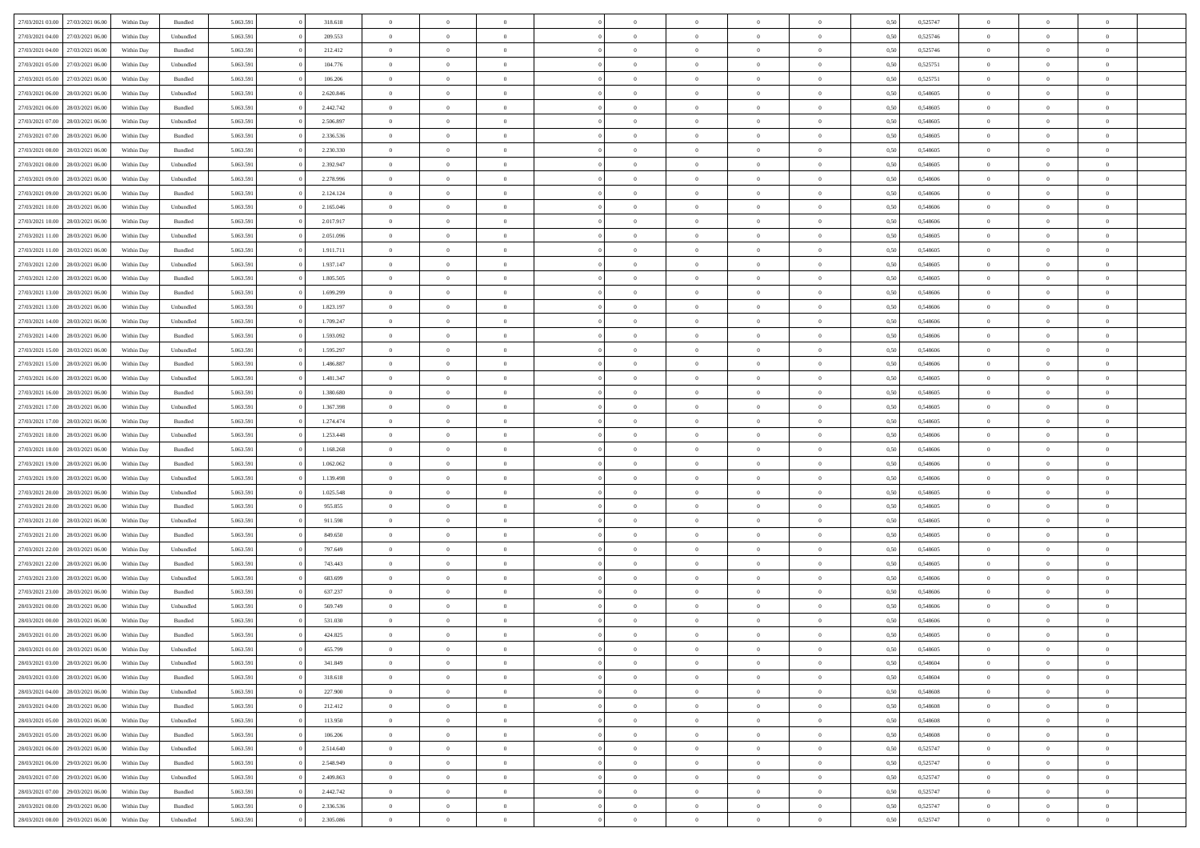| 27/03/2021 03:00 | 27/03/2021 06:00 | Within Day | Bundled   | 5.063.591 | 318.618   | $\overline{0}$ | $\theta$       |                | $\Omega$       | $\Omega$       | $\Omega$       | $\theta$       | 0.50 | 0,525747 | $\theta$       | $\theta$       | $\theta$       |  |
|------------------|------------------|------------|-----------|-----------|-----------|----------------|----------------|----------------|----------------|----------------|----------------|----------------|------|----------|----------------|----------------|----------------|--|
|                  |                  |            |           |           |           |                |                |                |                |                |                |                |      |          |                |                |                |  |
| 27/03/2021 04:00 | 27/03/2021 06.00 | Within Day | Unbundled | 5.063.591 | 209.553   | $\overline{0}$ | $\theta$       | $\overline{0}$ | $\overline{0}$ | $\bf{0}$       | $\overline{0}$ | $\overline{0}$ | 0,50 | 0,525746 | $\theta$       | $\overline{0}$ | $\overline{0}$ |  |
| 27/03/2021 04:00 | 27/03/2021 06:00 | Within Day | Bundled   | 5.063.591 | 212.412   | $\overline{0}$ | $\overline{0}$ | $\overline{0}$ | $\bf{0}$       | $\bf{0}$       | $\bf{0}$       | $\bf{0}$       | 0,50 | 0,525746 | $\bf{0}$       | $\overline{0}$ | $\overline{0}$ |  |
| 27/03/2021 05:00 | 27/03/2021 06:00 | Within Dav | Unbundled | 5.063.591 | 104.776   | $\overline{0}$ | $\overline{0}$ | $\overline{0}$ | $\overline{0}$ | $\bf{0}$       | $\overline{0}$ | $\overline{0}$ | 0.50 | 0,525751 | $\theta$       | $\theta$       | $\overline{0}$ |  |
|                  |                  |            |           |           |           |                |                |                |                |                |                |                |      |          |                |                |                |  |
| 27/03/2021 05:00 | 27/03/2021 06.00 | Within Day | Bundled   | 5.063.591 | 106.206   | $\overline{0}$ | $\theta$       | $\overline{0}$ | $\overline{0}$ | $\bf{0}$       | $\overline{0}$ | $\bf{0}$       | 0,50 | 0,525751 | $\theta$       | $\theta$       | $\overline{0}$ |  |
| 27/03/2021 06:00 | 28/03/2021 06:00 | Within Day | Unbundled | 5.063.591 | 2.620.846 | $\overline{0}$ | $\bf{0}$       | $\overline{0}$ | $\bf{0}$       | $\overline{0}$ | $\overline{0}$ | $\mathbf{0}$   | 0,50 | 0,548605 | $\bf{0}$       | $\overline{0}$ | $\bf{0}$       |  |
| 27/03/2021 06:00 | 28/03/2021 06:00 | Within Dav | Bundled   | 5.063.591 | 2.442.742 | $\overline{0}$ | $\overline{0}$ | $\overline{0}$ | $\overline{0}$ | $\overline{0}$ | $\overline{0}$ | $\overline{0}$ | 0.50 | 0.548605 | $\theta$       | $\overline{0}$ | $\overline{0}$ |  |
| 27/03/2021 07:00 | 28/03/2021 06:00 | Within Day | Unbundled | 5.063.591 | 2.506.897 | $\overline{0}$ | $\theta$       | $\overline{0}$ | $\overline{0}$ | $\bf{0}$       | $\overline{0}$ | $\bf{0}$       | 0,50 | 0,548605 | $\theta$       | $\theta$       | $\overline{0}$ |  |
|                  |                  |            |           |           |           |                | $\overline{0}$ |                |                | $\bf{0}$       |                |                |      |          | $\,0\,$        | $\overline{0}$ | $\overline{0}$ |  |
| 27/03/2021 07:00 | 28/03/2021 06:00 | Within Day | Bundled   | 5.063.591 | 2.336.536 | $\overline{0}$ |                | $\overline{0}$ | $\bf{0}$       |                | $\bf{0}$       | $\bf{0}$       | 0,50 | 0,548605 |                |                |                |  |
| 27/03/2021 08:00 | 28/03/2021 06:00 | Within Dav | Bundled   | 5.063.591 | 2.230.330 | $\overline{0}$ | $\overline{0}$ | $\overline{0}$ | $\overline{0}$ | $\overline{0}$ | $\overline{0}$ | $\overline{0}$ | 0.50 | 0.548605 | $\theta$       | $\overline{0}$ | $\overline{0}$ |  |
| 27/03/2021 08:00 | 28/03/2021 06:00 | Within Day | Unbundled | 5.063.591 | 2.392.947 | $\overline{0}$ | $\theta$       | $\overline{0}$ | $\overline{0}$ | $\bf{0}$       | $\overline{0}$ | $\bf{0}$       | 0,50 | 0,548605 | $\theta$       | $\theta$       | $\overline{0}$ |  |
| 27/03/2021 09:00 | 28/03/2021 06:00 | Within Day | Unbundled | 5.063.591 | 2.278.996 | $\overline{0}$ | $\overline{0}$ | $\overline{0}$ | $\bf{0}$       | $\bf{0}$       | $\bf{0}$       | $\bf{0}$       | 0,50 | 0,548606 | $\bf{0}$       | $\overline{0}$ | $\overline{0}$ |  |
| 27/03/2021 09:00 | 28/03/2021 06:00 | Within Day | Bundled   | 5.063.591 | 2.124.124 | $\overline{0}$ | $\overline{0}$ | $\overline{0}$ | $\overline{0}$ | $\bf{0}$       | $\overline{0}$ | $\overline{0}$ | 0.50 | 0.548606 | $\theta$       | $\theta$       | $\overline{0}$ |  |
|                  |                  |            |           |           |           | $\overline{0}$ | $\theta$       | $\overline{0}$ |                | $\bf{0}$       | $\overline{0}$ | $\overline{0}$ |      |          | $\theta$       | $\overline{0}$ | $\overline{0}$ |  |
| 27/03/2021 10:00 | 28/03/2021 06:00 | Within Day | Unbundled | 5.063.591 | 2.165.046 |                |                |                | $\overline{0}$ |                |                |                | 0,50 | 0,548606 |                |                |                |  |
| 27/03/2021 10:00 | 28/03/2021 06:00 | Within Day | Bundled   | 5.063.591 | 2.017.917 | $\overline{0}$ | $\bf{0}$       | $\overline{0}$ | $\bf{0}$       | $\overline{0}$ | $\overline{0}$ | $\mathbf{0}$   | 0,50 | 0,548606 | $\bf{0}$       | $\overline{0}$ | $\bf{0}$       |  |
| 27/03/2021 11:00 | 28/03/2021 06:00 | Within Dav | Unbundled | 5.063.591 | 2.051.096 | $\overline{0}$ | $\overline{0}$ | $\overline{0}$ | $\overline{0}$ | $\overline{0}$ | $\overline{0}$ | $\overline{0}$ | 0.50 | 0.548605 | $\theta$       | $\overline{0}$ | $\overline{0}$ |  |
| 27/03/2021 11:00 | 28/03/2021 06:00 | Within Day | Bundled   | 5.063.591 | 1.911.711 | $\overline{0}$ | $\theta$       | $\overline{0}$ | $\overline{0}$ | $\bf{0}$       | $\overline{0}$ | $\bf{0}$       | 0,50 | 0,548605 | $\theta$       | $\theta$       | $\overline{0}$ |  |
| 27/03/2021 12:00 | 28/03/2021 06:00 | Within Day | Unbundled | 5.063.591 | 1.937.147 | $\overline{0}$ | $\overline{0}$ | $\overline{0}$ | $\bf{0}$       | $\bf{0}$       | $\bf{0}$       | $\bf{0}$       | 0,50 | 0,548605 | $\,0\,$        | $\overline{0}$ | $\overline{0}$ |  |
|                  |                  |            |           |           |           |                |                |                |                |                |                |                |      |          |                |                |                |  |
| 27/03/2021 12:00 | 28/03/2021 06:00 | Within Day | Bundled   | 5.063.591 | 1.805.505 | $\overline{0}$ | $\overline{0}$ | $\overline{0}$ | $\overline{0}$ | $\overline{0}$ | $\overline{0}$ | $\overline{0}$ | 0.50 | 0.548605 | $\theta$       | $\overline{0}$ | $\overline{0}$ |  |
| 27/03/2021 13:00 | 28/03/2021 06:00 | Within Day | Bundled   | 5.063.591 | 1.699.299 | $\overline{0}$ | $\theta$       | $\overline{0}$ | $\overline{0}$ | $\bf{0}$       | $\overline{0}$ | $\bf{0}$       | 0,50 | 0,548606 | $\theta$       | $\theta$       | $\overline{0}$ |  |
| 27/03/2021 13:00 | 28/03/2021 06:00 | Within Day | Unbundled | 5.063.591 | 1.823.197 | $\overline{0}$ | $\overline{0}$ | $\overline{0}$ | $\bf{0}$       | $\bf{0}$       | $\bf{0}$       | $\bf{0}$       | 0,50 | 0,548606 | $\,0\,$        | $\overline{0}$ | $\overline{0}$ |  |
| 27/03/2021 14:00 | 28/03/2021 06:00 | Within Day | Unbundled | 5.063.591 | 1.709.247 | $\overline{0}$ | $\overline{0}$ | $\overline{0}$ | $\overline{0}$ | $\bf{0}$       | $\overline{0}$ | $\overline{0}$ | 0.50 | 0.548606 | $\theta$       | $\theta$       | $\overline{0}$ |  |
| 27/03/2021 14:00 | 28/03/2021 06:00 | Within Day | Bundled   | 5.063.591 | 1.593.092 | $\overline{0}$ | $\theta$       | $\overline{0}$ | $\overline{0}$ | $\bf{0}$       | $\overline{0}$ | $\bf{0}$       | 0,50 | 0,548606 | $\theta$       | $\overline{0}$ | $\overline{0}$ |  |
|                  |                  |            |           |           |           |                |                |                |                |                |                |                |      |          |                |                |                |  |
| 27/03/2021 15:00 | 28/03/2021 06:00 | Within Day | Unbundled | 5.063.591 | 1.595.297 | $\overline{0}$ | $\bf{0}$       | $\overline{0}$ | $\bf{0}$       | $\overline{0}$ | $\overline{0}$ | $\mathbf{0}$   | 0,50 | 0,548606 | $\overline{0}$ | $\overline{0}$ | $\bf{0}$       |  |
| 27/03/2021 15:00 | 28/03/2021 06:00 | Within Dav | Bundled   | 5.063.591 | 1.486.887 | $\overline{0}$ | $\overline{0}$ | $\overline{0}$ | $\overline{0}$ | $\overline{0}$ | $\overline{0}$ | $\overline{0}$ | 0.50 | 0.548606 | $\theta$       | $\overline{0}$ | $\overline{0}$ |  |
| 27/03/2021 16:00 | 28/03/2021 06:00 | Within Day | Unbundled | 5.063.591 | 1.481.347 | $\overline{0}$ | $\theta$       | $\overline{0}$ | $\overline{0}$ | $\bf{0}$       | $\overline{0}$ | $\bf{0}$       | 0,50 | 0,548605 | $\theta$       | $\theta$       | $\overline{0}$ |  |
| 27/03/2021 16:00 | 28/03/2021 06:00 | Within Day | Bundled   | 5.063.591 | 1.380.680 | $\overline{0}$ | $\overline{0}$ | $\overline{0}$ | $\bf{0}$       | $\bf{0}$       | $\bf{0}$       | $\bf{0}$       | 0,50 | 0,548605 | $\,0\,$        | $\overline{0}$ | $\overline{0}$ |  |
|                  | 28/03/2021 06:00 |            | Unbundled | 5.063.591 | 1.367.398 | $\overline{0}$ | $\overline{0}$ | $\overline{0}$ | $\overline{0}$ | $\overline{0}$ | $\overline{0}$ | $\overline{0}$ | 0.50 | 0.548605 | $\theta$       | $\overline{0}$ | $\overline{0}$ |  |
| 27/03/2021 17:00 |                  | Within Day |           |           |           |                |                |                |                |                |                |                |      |          |                |                |                |  |
| 27/03/2021 17:00 | 28/03/2021 06:00 | Within Day | Bundled   | 5.063.591 | 1.274.474 | $\overline{0}$ | $\theta$       | $\overline{0}$ | $\overline{0}$ | $\bf{0}$       | $\overline{0}$ | $\bf{0}$       | 0,50 | 0,548605 | $\,$ 0 $\,$    | $\theta$       | $\overline{0}$ |  |
| 27/03/2021 18:00 | 28/03/2021 06:00 | Within Day | Unbundled | 5.063.591 | 1.253.448 | $\overline{0}$ | $\overline{0}$ | $\overline{0}$ | $\bf{0}$       | $\bf{0}$       | $\bf{0}$       | $\bf{0}$       | 0,50 | 0,548606 | $\overline{0}$ | $\overline{0}$ | $\overline{0}$ |  |
| 27/03/2021 18:00 | 28/03/2021 06:00 | Within Day | Bundled   | 5.063.591 | 1.168.268 | $\overline{0}$ | $\Omega$       | $\Omega$       | $\Omega$       | $\Omega$       | $\Omega$       | $\overline{0}$ | 0,50 | 0.548606 | $\,0\,$        | $\theta$       | $\theta$       |  |
| 27/03/2021 19:00 | 28/03/2021 06:00 | Within Day | Bundled   | 5.063.591 | 1.062.062 | $\overline{0}$ | $\theta$       | $\overline{0}$ | $\overline{0}$ | $\bf{0}$       | $\overline{0}$ | $\bf{0}$       | 0,50 | 0,548606 | $\theta$       | $\theta$       | $\overline{0}$ |  |
|                  |                  |            |           |           |           |                |                |                |                |                |                |                |      |          |                |                |                |  |
| 27/03/2021 19:00 | 28/03/2021 06:00 | Within Day | Unbundled | 5.063.591 | 1.139.498 | $\overline{0}$ | $\overline{0}$ | $\overline{0}$ | $\overline{0}$ | $\bf{0}$       | $\overline{0}$ | $\mathbf{0}$   | 0,50 | 0,548606 | $\bf{0}$       | $\overline{0}$ | $\bf{0}$       |  |
| 27/03/2021 20:00 | 28/03/2021 06:00 | Within Day | Unbundled | 5.063.591 | 1.025.548 | $\overline{0}$ | $\Omega$       | $\Omega$       | $\Omega$       | $\bf{0}$       | $\overline{0}$ | $\overline{0}$ | 0.50 | 0.548605 | $\theta$       | $\theta$       | $\theta$       |  |
| 27/03/2021 20:00 | 28/03/2021 06:00 | Within Day | Bundled   | 5.063.591 | 955.855   | $\overline{0}$ | $\theta$       | $\overline{0}$ | $\overline{0}$ | $\bf{0}$       | $\overline{0}$ | $\bf{0}$       | 0,50 | 0,548605 | $\theta$       | $\theta$       | $\overline{0}$ |  |
| 27/03/2021 21:00 | 28/03/2021 06:00 | Within Day | Unbundled | 5.063.591 | 911.598   | $\overline{0}$ | $\overline{0}$ | $\overline{0}$ | $\overline{0}$ | $\bf{0}$       | $\overline{0}$ | $\bf{0}$       | 0,50 | 0,548605 | $\,0\,$        | $\overline{0}$ | $\overline{0}$ |  |
| 27/03/2021 21:00 | 28/03/2021 06:00 |            | Bundled   | 5.063.591 | 849,650   | $\overline{0}$ | $\Omega$       | $\Omega$       | $\Omega$       | $\theta$       | $\theta$       | $\overline{0}$ | 0.50 | 0.548605 | $\theta$       | $\theta$       | $\theta$       |  |
|                  |                  | Within Day |           |           |           |                |                |                |                |                |                |                |      |          |                |                |                |  |
| 27/03/2021 22.00 | 28/03/2021 06:00 | Within Day | Unbundled | 5.063.591 | 797.649   | $\overline{0}$ | $\theta$       | $\overline{0}$ | $\overline{0}$ | $\bf{0}$       | $\overline{0}$ | $\bf{0}$       | 0,50 | 0,548605 | $\,$ 0 $\,$    | $\overline{0}$ | $\overline{0}$ |  |
| 27/03/2021 22.00 | 28/03/2021 06:00 | Within Day | Bundled   | 5.063.591 | 743.443   | $\overline{0}$ | $\overline{0}$ | $\overline{0}$ | $\overline{0}$ | $\bf{0}$       | $\overline{0}$ | $\bf{0}$       | 0,50 | 0,548605 | $\bf{0}$       | $\overline{0}$ | $\overline{0}$ |  |
| 27/03/2021 23:00 | 28/03/2021 06:00 | Within Day | Unbundled | 5.063.591 | 683,699   | $\overline{0}$ | $\Omega$       | $\Omega$       | $\Omega$       | $\Omega$       | $\overline{0}$ | $\overline{0}$ | 0,50 | 0.548606 | $\,0\,$        | $\theta$       | $\theta$       |  |
| 27/03/2021 23:00 | 28/03/2021 06:00 | Within Day | Bundled   | 5.063.591 | 637.237   | $\overline{0}$ | $\theta$       | $\overline{0}$ | $\overline{0}$ | $\bf{0}$       | $\overline{0}$ | $\bf{0}$       | 0,50 | 0,548606 | $\,$ 0 $\,$    | $\overline{0}$ | $\overline{0}$ |  |
| 28/03/2021 00:00 | 28/03/2021 06:00 | Within Day | Unbundled | 5.063.591 | 569.749   | $\overline{0}$ | $\overline{0}$ | $\overline{0}$ | $\overline{0}$ | $\bf{0}$       | $\overline{0}$ | $\mathbf{0}$   | 0,50 | 0,548606 | $\bf{0}$       | $\overline{0}$ | $\bf{0}$       |  |
|                  |                  |            |           |           |           |                |                |                |                |                |                |                |      |          |                |                |                |  |
| 28/03/2021 00:00 | 28/03/2021 06:00 | Within Day | Bundled   | 5.063.591 | 531.030   | $\overline{0}$ | $\Omega$       | $\Omega$       | $\Omega$       | $\Omega$       | $\Omega$       | $\overline{0}$ | 0.50 | 0.548606 | $\theta$       | $\theta$       | $\theta$       |  |
| 28/03/2021 01:00 | 28/03/2021 06:00 | Within Day | Bundled   | 5.063.591 | 424.825   | $\overline{0}$ | $\overline{0}$ | $\overline{0}$ | $\bf{0}$       | $\,$ 0         | $\overline{0}$ | $\bf{0}$       | 0,50 | 0,548605 | $\,0\,$        | $\overline{0}$ | $\overline{0}$ |  |
| 28/03/2021 01:00 | 28/03/2021 06:00 | Within Day | Unbundled | 5.063.591 | 455.799   | $\bf{0}$       | $\bf{0}$       |                |                |                |                |                | 0,50 | 0,548605 | $\bf{0}$       | $\overline{0}$ |                |  |
| 28/03/2021 03:00 | 28/03/2021 06:00 | Within Day | Unbundled | 5.063.591 | 341.849   | $\overline{0}$ | $\overline{0}$ | $\overline{0}$ | $\Omega$       | $\overline{0}$ | $\overline{0}$ | $\overline{0}$ | 0.50 | 0.548604 | $\theta$       | $\theta$       | $\theta$       |  |
| 28/03/2021 03:00 | 28/03/2021 06:00 | Within Day | Bundled   | 5.063.591 | 318.618   | $\overline{0}$ | $\,$ 0         | $\overline{0}$ | $\overline{0}$ | $\,$ 0 $\,$    | $\overline{0}$ | $\mathbf{0}$   | 0,50 | 0,548604 | $\,$ 0 $\,$    | $\,$ 0 $\,$    | $\,$ 0         |  |
|                  |                  |            |           |           |           |                |                |                |                |                |                |                |      |          |                |                |                |  |
| 28/03/2021 04:00 | 28/03/2021 06:00 | Within Day | Unbundled | 5.063.591 | 227.900   | $\overline{0}$ | $\overline{0}$ | $\overline{0}$ | $\overline{0}$ | $\overline{0}$ | $\overline{0}$ | $\mathbf{0}$   | 0,50 | 0,548608 | $\overline{0}$ | $\bf{0}$       | $\bf{0}$       |  |
| 28/03/2021 04:00 | 28/03/2021 06:00 | Within Day | Bundled   | 5.063.591 | 212.412   | $\overline{0}$ | $\overline{0}$ | $\overline{0}$ | $\Omega$       | $\overline{0}$ | $\overline{0}$ | $\overline{0}$ | 0,50 | 0,548608 | $\overline{0}$ | $\theta$       | $\overline{0}$ |  |
| 28/03/2021 05:00 | 28/03/2021 06:00 | Within Day | Unbundled | 5.063.591 | 113.950   | $\overline{0}$ | $\,$ 0         | $\overline{0}$ | $\overline{0}$ | $\,$ 0 $\,$    | $\overline{0}$ | $\mathbf{0}$   | 0,50 | 0,548608 | $\,$ 0 $\,$    | $\overline{0}$ | $\overline{0}$ |  |
| 28/03/2021 05:00 | 28/03/2021 06:00 | Within Day | Bundled   | 5.063.591 | 106.206   | $\overline{0}$ | $\overline{0}$ | $\overline{0}$ | $\overline{0}$ | $\overline{0}$ | $\overline{0}$ | $\mathbf{0}$   | 0,50 | 0,548608 | $\overline{0}$ | $\overline{0}$ | $\bf{0}$       |  |
|                  | 29/03/2021 06:00 |            |           |           |           |                | $\overline{0}$ | $\overline{0}$ | $\Omega$       | $\overline{0}$ | $\overline{0}$ |                | 0.50 |          |                | $\theta$       | $\overline{0}$ |  |
| 28/03/2021 06:00 |                  | Within Day | Unbundled | 5.063.591 | 2.514.640 | $\overline{0}$ |                |                |                |                |                | $\bf{0}$       |      | 0,525747 | $\overline{0}$ |                |                |  |
| 28/03/2021 06:00 | 29/03/2021 06:00 | Within Day | Bundled   | 5.063.591 | 2.548.949 | $\overline{0}$ | $\,$ 0         | $\overline{0}$ | $\overline{0}$ | $\bf{0}$       | $\overline{0}$ | $\bf{0}$       | 0,50 | 0,525747 | $\,$ 0 $\,$    | $\overline{0}$ | $\overline{0}$ |  |
| 28/03/2021 07:00 | 29/03/2021 06:00 | Within Day | Unbundled | 5.063.591 | 2.409.863 | $\overline{0}$ | $\bf{0}$       | $\overline{0}$ | $\overline{0}$ | $\overline{0}$ | $\overline{0}$ | $\mathbf{0}$   | 0,50 | 0,525747 | $\overline{0}$ | $\overline{0}$ | $\bf{0}$       |  |
| 28/03/2021 07:00 | 29/03/2021 06:00 | Within Day | Bundled   | 5.063.591 | 2.442.742 | $\overline{0}$ | $\overline{0}$ | $\overline{0}$ | $\Omega$       | $\overline{0}$ | $\overline{0}$ | $\bf{0}$       | 0.50 | 0,525747 | $\overline{0}$ | $\overline{0}$ | $\overline{0}$ |  |
| 28/03/2021 08:00 | 29/03/2021 06:00 | Within Day | Bundled   | 5.063.591 | 2.336.536 | $\overline{0}$ | $\bf{0}$       | $\overline{0}$ | $\overline{0}$ | $\bf{0}$       | $\overline{0}$ | $\mathbf{0}$   | 0,50 | 0,525747 | $\,$ 0 $\,$    | $\,$ 0 $\,$    | $\bf{0}$       |  |
|                  |                  |            |           |           |           |                |                |                |                |                |                |                |      |          |                |                |                |  |
| 28/03/2021 08:00 | 29/03/2021 06:00 | Within Day | Unbundled | 5.063.591 | 2.305.086 | $\overline{0}$ | $\overline{0}$ | $\overline{0}$ | $\overline{0}$ | $\bf{0}$       | $\overline{0}$ | $\mathbf{0}$   | 0,50 | 0,525747 | $\overline{0}$ | $\bf{0}$       | $\bf{0}$       |  |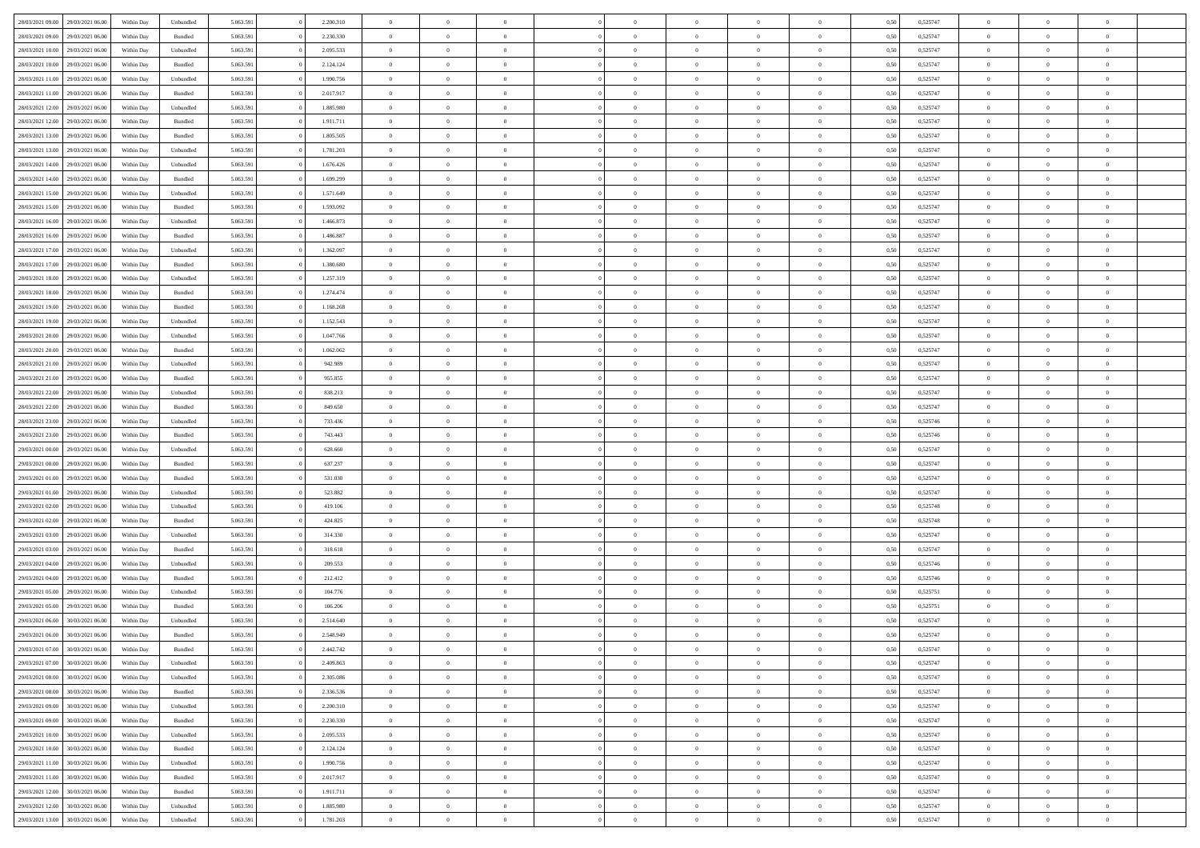| 28/03/2021 09:00 | 29/03/2021 06:00 | Within Day | Unbundled          | 5.063.591 | 2.200.310 | $\overline{0}$ | $\theta$       |                | $\Omega$       | $\Omega$       | $\theta$       | $\theta$       | 0.50 | 0,525747 | $\theta$       | $\overline{0}$ | $\overline{0}$ |  |
|------------------|------------------|------------|--------------------|-----------|-----------|----------------|----------------|----------------|----------------|----------------|----------------|----------------|------|----------|----------------|----------------|----------------|--|
|                  |                  |            |                    |           |           |                |                |                |                |                |                |                |      |          |                |                |                |  |
| 28/03/2021 09:00 | 29/03/2021 06:00 | Within Day | Bundled            | 5.063.591 | 2.230.330 | $\overline{0}$ | $\theta$       | $\overline{0}$ | $\overline{0}$ | $\bf{0}$       | $\overline{0}$ | $\bf{0}$       | 0,50 | 0,525747 | $\theta$       | $\overline{0}$ | $\overline{0}$ |  |
| 28/03/2021 10:00 | 29/03/2021 06:00 | Within Day | Unbundled          | 5.063.591 | 2.095.533 | $\overline{0}$ | $\bf{0}$       | $\overline{0}$ | $\overline{0}$ | $\bf{0}$       | $\bf{0}$       | $\mathbf{0}$   | 0,50 | 0,525747 | $\overline{0}$ | $\overline{0}$ | $\overline{0}$ |  |
| 28/03/2021 10:00 | 29/03/2021 06:00 | Within Dav | Bundled            | 5.063.591 | 2.124.124 | $\overline{0}$ | $\overline{0}$ | $\overline{0}$ | $\overline{0}$ | $\bf{0}$       | $\overline{0}$ | $\overline{0}$ | 0.50 | 0,525747 | $\theta$       | $\theta$       | $\overline{0}$ |  |
|                  |                  |            |                    |           |           |                |                |                |                |                |                |                |      |          |                |                |                |  |
| 28/03/2021 11:00 | 29/03/2021 06:00 | Within Day | Unbundled          | 5.063.591 | 1.990.756 | $\overline{0}$ | $\theta$       | $\overline{0}$ | $\overline{0}$ | $\bf{0}$       | $\overline{0}$ | $\bf{0}$       | 0,50 | 0,525747 | $\theta$       | $\overline{0}$ | $\overline{0}$ |  |
| 28/03/2021 11:00 | 29/03/2021 06:00 | Within Day | Bundled            | 5.063.591 | 2.017.917 | $\overline{0}$ | $\overline{0}$ | $\overline{0}$ | $\bf{0}$       | $\overline{0}$ | $\overline{0}$ | $\mathbf{0}$   | 0,50 | 0,525747 | $\overline{0}$ | $\overline{0}$ | $\bf{0}$       |  |
| 28/03/2021 12:00 | 29/03/2021 06:00 | Within Dav | Unbundled          | 5.063.591 | 1.885.980 | $\overline{0}$ | $\overline{0}$ | $\overline{0}$ | $\overline{0}$ | $\overline{0}$ | $\overline{0}$ | $\overline{0}$ | 0.50 | 0,525747 | $\theta$       | $\overline{0}$ | $\overline{0}$ |  |
| 28/03/2021 12:00 | 29/03/2021 06:00 | Within Day | Bundled            | 5.063.591 | 1.911.711 | $\overline{0}$ | $\theta$       | $\overline{0}$ | $\overline{0}$ | $\bf{0}$       | $\overline{0}$ | $\bf{0}$       | 0,50 | 0,525747 | $\theta$       | $\theta$       | $\overline{0}$ |  |
|                  |                  |            |                    |           |           |                | $\overline{0}$ |                |                | $\bf{0}$       |                |                |      |          | $\,0\,$        | $\overline{0}$ | $\overline{0}$ |  |
| 28/03/2021 13:00 | 29/03/2021 06:00 | Within Day | Bundled            | 5.063.591 | 1.805.505 | $\overline{0}$ |                | $\overline{0}$ | $\bf{0}$       |                | $\bf{0}$       | $\bf{0}$       | 0,50 | 0,525747 |                |                |                |  |
| 28/03/2021 13:00 | 29/03/2021 06:00 | Within Dav | Unbundled          | 5.063.591 | 1.781.203 | $\overline{0}$ | $\overline{0}$ | $\overline{0}$ | $\overline{0}$ | $\overline{0}$ | $\overline{0}$ | $\overline{0}$ | 0.50 | 0,525747 | $\theta$       | $\overline{0}$ | $\overline{0}$ |  |
| 28/03/2021 14:00 | 29/03/2021 06:00 | Within Day | Unbundled          | 5.063.591 | 1.676.426 | $\overline{0}$ | $\theta$       | $\overline{0}$ | $\overline{0}$ | $\bf{0}$       | $\overline{0}$ | $\bf{0}$       | 0,50 | 0,525747 | $\,$ 0 $\,$    | $\overline{0}$ | $\overline{0}$ |  |
| 28/03/2021 14:00 | 29/03/2021 06:00 | Within Day | Bundled            | 5.063.591 | 1.699.299 | $\overline{0}$ | $\bf{0}$       | $\overline{0}$ | $\bf{0}$       | $\bf{0}$       | $\bf{0}$       | $\mathbf{0}$   | 0,50 | 0,525747 | $\overline{0}$ | $\overline{0}$ | $\bf{0}$       |  |
| 28/03/2021 15:00 | 29/03/2021 06:00 | Within Dav | Unbundled          | 5.063.591 | 1.571.649 | $\overline{0}$ | $\overline{0}$ | $\overline{0}$ | $\overline{0}$ | $\bf{0}$       | $\overline{0}$ | $\overline{0}$ | 0.50 | 0,525747 | $\theta$       | $\theta$       | $\overline{0}$ |  |
|                  |                  |            |                    |           |           | $\overline{0}$ | $\theta$       |                |                | $\bf{0}$       |                |                |      |          | $\theta$       | $\overline{0}$ |                |  |
| 28/03/2021 15:00 | 29/03/2021 06:00 | Within Day | Bundled            | 5.063.591 | 1.593.092 |                |                | $\overline{0}$ | $\overline{0}$ |                | $\overline{0}$ | $\overline{0}$ | 0,50 | 0,525747 |                |                | $\overline{0}$ |  |
| 28/03/2021 16:00 | 29/03/2021 06:00 | Within Day | Unbundled          | 5.063.591 | 1.466.873 | $\overline{0}$ | $\overline{0}$ | $\overline{0}$ | $\bf{0}$       | $\overline{0}$ | $\overline{0}$ | $\mathbf{0}$   | 0,50 | 0,525747 | $\overline{0}$ | $\overline{0}$ | $\bf{0}$       |  |
| 28/03/2021 16:00 | 29/03/2021 06:00 | Within Dav | Bundled            | 5.063.591 | 1.486.887 | $\overline{0}$ | $\overline{0}$ | $\overline{0}$ | $\overline{0}$ | $\overline{0}$ | $\overline{0}$ | $\overline{0}$ | 0.50 | 0,525747 | $\theta$       | $\overline{0}$ | $\overline{0}$ |  |
| 28/03/2021 17:00 | 29/03/2021 06:00 | Within Day | Unbundled          | 5.063.591 | 1.362.097 | $\overline{0}$ | $\theta$       | $\overline{0}$ | $\overline{0}$ | $\bf{0}$       | $\overline{0}$ | $\bf{0}$       | 0,50 | 0,525747 | $\theta$       | $\theta$       | $\overline{0}$ |  |
| 28/03/2021 17:00 | 29/03/2021 06:00 | Within Day | Bundled            | 5.063.591 | 1.380.680 | $\overline{0}$ | $\overline{0}$ | $\overline{0}$ | $\bf{0}$       | $\bf{0}$       | $\bf{0}$       | $\bf{0}$       | 0,50 | 0,525747 | $\bf{0}$       | $\overline{0}$ | $\overline{0}$ |  |
|                  |                  |            |                    |           |           |                |                |                |                |                |                |                |      |          |                |                |                |  |
| 28/03/2021 18:00 | 29/03/2021 06:00 | Within Dav | Unbundled          | 5.063.591 | 1.257.319 | $\overline{0}$ | $\overline{0}$ | $\overline{0}$ | $\overline{0}$ | $\overline{0}$ | $\overline{0}$ | $\overline{0}$ | 0.50 | 0,525747 | $\theta$       | $\overline{0}$ | $\overline{0}$ |  |
| 28/03/2021 18:00 | 29/03/2021 06:00 | Within Day | Bundled            | 5.063.591 | 1.274.474 | $\overline{0}$ | $\theta$       | $\overline{0}$ | $\overline{0}$ | $\bf{0}$       | $\overline{0}$ | $\bf{0}$       | 0,50 | 0,525747 | $\,$ 0 $\,$    | $\overline{0}$ | $\overline{0}$ |  |
| 28/03/2021 19:00 | 29/03/2021 06:00 | Within Day | Bundled            | 5.063.591 | 1.168.268 | $\overline{0}$ | $\overline{0}$ | $\overline{0}$ | $\bf{0}$       | $\bf{0}$       | $\bf{0}$       | $\bf{0}$       | 0,50 | 0,525747 | $\overline{0}$ | $\overline{0}$ | $\bf{0}$       |  |
| 28/03/2021 19:00 | 29/03/2021 06:00 | Within Day | Unbundled          | 5.063.591 | 1.152.543 | $\overline{0}$ | $\overline{0}$ | $\overline{0}$ | $\overline{0}$ | $\bf{0}$       | $\overline{0}$ | $\overline{0}$ | 0.50 | 0,525747 | $\theta$       | $\overline{0}$ | $\overline{0}$ |  |
|                  |                  |            |                    |           |           | $\overline{0}$ | $\theta$       | $\overline{0}$ | $\overline{0}$ | $\bf{0}$       | $\overline{0}$ |                |      |          | $\,$ 0 $\,$    | $\overline{0}$ | $\overline{0}$ |  |
| 28/03/2021 20:00 | 29/03/2021 06:00 | Within Day | Unbundled          | 5.063.591 | 1.047.766 |                |                |                |                |                |                | $\bf{0}$       | 0,50 | 0,525747 |                |                |                |  |
| 28/03/2021 20:00 | 29/03/2021 06:00 | Within Day | Bundled            | 5.063.591 | 1.062.062 | $\overline{0}$ | $\overline{0}$ | $\overline{0}$ | $\overline{0}$ | $\overline{0}$ | $\overline{0}$ | $\mathbf{0}$   | 0,50 | 0,525747 | $\overline{0}$ | $\overline{0}$ | $\bf{0}$       |  |
| 28/03/2021 21:00 | 29/03/2021 06:00 | Within Dav | Unbundled          | 5.063.591 | 942.989   | $\overline{0}$ | $\overline{0}$ | $\overline{0}$ | $\overline{0}$ | $\overline{0}$ | $\overline{0}$ | $\overline{0}$ | 0.50 | 0,525747 | $\theta$       | $\overline{0}$ | $\overline{0}$ |  |
| 28/03/2021 21:00 | 29/03/2021 06:00 | Within Day | Bundled            | 5.063.591 | 955.855   | $\overline{0}$ | $\theta$       | $\overline{0}$ | $\overline{0}$ | $\bf{0}$       | $\overline{0}$ | $\bf{0}$       | 0,50 | 0,525747 | $\theta$       | $\theta$       | $\overline{0}$ |  |
| 28/03/2021 22.00 | 29/03/2021 06:00 | Within Day | Unbundled          | 5.063.591 | 838.213   | $\overline{0}$ | $\overline{0}$ | $\overline{0}$ | $\overline{0}$ | $\bf{0}$       | $\overline{0}$ | $\bf{0}$       | 0,50 | 0,525747 | $\,0\,$        | $\overline{0}$ | $\overline{0}$ |  |
|                  |                  |            |                    |           |           |                |                |                |                |                |                |                |      |          |                |                |                |  |
| 28/03/2021 22:00 | 29/03/2021 06:00 | Within Day | Bundled            | 5.063.591 | 849.650   | $\overline{0}$ | $\overline{0}$ | $\overline{0}$ | $\overline{0}$ | $\overline{0}$ | $\overline{0}$ | $\overline{0}$ | 0.50 | 0,525747 | $\theta$       | $\overline{0}$ | $\overline{0}$ |  |
| 28/03/2021 23:00 | 29/03/2021 06:00 | Within Day | Unbundled          | 5.063.591 | 733.436   | $\overline{0}$ | $\theta$       | $\overline{0}$ | $\overline{0}$ | $\bf{0}$       | $\overline{0}$ | $\bf{0}$       | 0,50 | 0,525746 | $\,$ 0 $\,$    | $\overline{0}$ | $\overline{0}$ |  |
| 28/03/2021 23:00 | 29/03/2021 06:00 | Within Day | Bundled            | 5.063.591 | 743.443   | $\overline{0}$ | $\overline{0}$ | $\overline{0}$ | $\overline{0}$ | $\bf{0}$       | $\overline{0}$ | $\bf{0}$       | 0,50 | 0,525746 | $\overline{0}$ | $\overline{0}$ | $\bf{0}$       |  |
| 29/03/2021 00:00 | 29/03/2021 06:00 | Within Day | Unbundled          | 5.063.591 | 628.660   | $\overline{0}$ | $\Omega$       | $\Omega$       | $\Omega$       | $\Omega$       | $\overline{0}$ | $\overline{0}$ | 0,50 | 0,525747 | $\,0\,$        | $\theta$       | $\theta$       |  |
| 29/03/2021 00:00 | 29/03/2021 06:00 | Within Day | Bundled            | 5.063.591 | 637.237   | $\overline{0}$ | $\theta$       | $\overline{0}$ | $\overline{0}$ | $\bf{0}$       | $\overline{0}$ | $\bf{0}$       | 0,50 | 0,525747 | $\theta$       | $\overline{0}$ | $\overline{0}$ |  |
|                  |                  |            |                    |           |           |                |                |                |                |                |                |                |      |          |                |                |                |  |
| 29/03/2021 01:00 | 29/03/2021 06:00 | Within Day | Bundled            | 5.063.591 | 531.030   | $\overline{0}$ | $\overline{0}$ | $\overline{0}$ | $\overline{0}$ | $\overline{0}$ | $\overline{0}$ | $\mathbf{0}$   | 0,50 | 0,525747 | $\overline{0}$ | $\overline{0}$ | $\bf{0}$       |  |
| 29/03/2021 01:00 | 29/03/2021 06:00 | Within Day | Unbundled          | 5.063.591 | 523.882   | $\overline{0}$ | $\Omega$       | $\Omega$       | $\Omega$       | $\bf{0}$       | $\overline{0}$ | $\overline{0}$ | 0.50 | 0,525747 | $\,0\,$        | $\theta$       | $\theta$       |  |
| 29/03/2021 02:00 | 29/03/2021 06:00 | Within Day | Unbundled          | 5.063.591 | 419.106   | $\overline{0}$ | $\theta$       | $\overline{0}$ | $\overline{0}$ | $\bf{0}$       | $\overline{0}$ | $\bf{0}$       | 0,50 | 0,525748 | $\,$ 0 $\,$    | $\overline{0}$ | $\overline{0}$ |  |
| 29/03/2021 02:00 | 29/03/2021 06:00 | Within Day | Bundled            | 5.063.591 | 424.825   | $\overline{0}$ | $\overline{0}$ | $\overline{0}$ | $\overline{0}$ | $\bf{0}$       | $\overline{0}$ | $\bf{0}$       | 0,50 | 0,525748 | $\bf{0}$       | $\overline{0}$ | $\bf{0}$       |  |
|                  |                  |            |                    |           |           |                |                |                |                |                |                |                |      |          |                |                |                |  |
| 29/03/2021 03:00 | 29/03/2021 06:00 | Within Day | Unbundled          | 5.063.591 | 314.330   | $\overline{0}$ | $\Omega$       | $\Omega$       | $\Omega$       | $\theta$       | $\theta$       | $\overline{0}$ | 0.50 | 0,525747 | $\,$ 0 $\,$    | $\theta$       | $\theta$       |  |
| 29/03/2021 03:00 | 29/03/2021 06:00 | Within Day | Bundled            | 5.063.591 | 318.618   | $\overline{0}$ | $\theta$       | $\overline{0}$ | $\overline{0}$ | $\bf{0}$       | $\overline{0}$ | $\bf{0}$       | 0,50 | 0,525747 | $\,$ 0 $\,$    | $\overline{0}$ | $\overline{0}$ |  |
| 29/03/2021 04:00 | 29/03/2021 06:00 | Within Day | Unbundled          | 5.063.591 | 209.553   | $\overline{0}$ | $\overline{0}$ | $\overline{0}$ | $\overline{0}$ | $\bf{0}$       | $\overline{0}$ | $\bf{0}$       | 0,50 | 0,525746 | $\overline{0}$ | $\overline{0}$ | $\bf{0}$       |  |
| 29/03/2021 04:00 | 29/03/2021 06:00 | Within Day | Bundled            | 5.063.591 | 212.412   | $\overline{0}$ | $\Omega$       | $\overline{0}$ | $\Omega$       | $\overline{0}$ | $\overline{0}$ | $\overline{0}$ | 0,50 | 0,525746 | $\,0\,$        | $\theta$       | $\theta$       |  |
| 29/03/2021 05:00 | 29/03/2021 06:00 | Within Day | Unbundled          | 5.063.591 | 104.776   | $\overline{0}$ | $\overline{0}$ | $\overline{0}$ | $\overline{0}$ | $\bf{0}$       | $\overline{0}$ | $\bf{0}$       | 0,50 | 0,525751 | $\,$ 0 $\,$    | $\overline{0}$ | $\overline{0}$ |  |
|                  |                  |            |                    |           |           |                |                |                |                |                |                |                |      |          |                |                |                |  |
| 29/03/2021 05:00 | 29/03/2021 06:00 | Within Day | Bundled            | 5.063.591 | 106.206   | $\overline{0}$ | $\overline{0}$ | $\overline{0}$ | $\bf{0}$       | $\bf{0}$       | $\bf{0}$       | $\mathbf{0}$   | 0,50 | 0,525751 | $\overline{0}$ | $\overline{0}$ | $\bf{0}$       |  |
| 29/03/2021 06:00 | 30/03/2021 06:00 | Within Day | Unbundled          | 5.063.591 | 2.514.640 | $\overline{0}$ | $\Omega$       | $\Omega$       | $\Omega$       | $\Omega$       | $\Omega$       | $\overline{0}$ | 0.50 | 0,525747 | $\theta$       | $\theta$       | $\theta$       |  |
| 29/03/2021 06:00 | 30/03/2021 06:00 | Within Day | Bundled            | 5.063.591 | 2.548.949 | $\overline{0}$ | $\overline{0}$ | $\overline{0}$ | $\bf{0}$       | $\,$ 0         | $\bf{0}$       | $\bf{0}$       | 0,50 | 0,525747 | $\,0\,$        | $\,$ 0 $\,$    | $\overline{0}$ |  |
| 29/03/2021 07:00 | 30/03/2021 06:00 | Within Day | $\mathbf B$ undled | 5.063.591 | 2.442.742 | $\bf{0}$       | $\bf{0}$       |                |                |                |                |                | 0,50 | 0,525747 | $\bf{0}$       | $\overline{0}$ |                |  |
| 29/03/2021 07:00 | 30/03/2021 06:00 | Within Day | Unbundled          | 5.063.591 | 2.409.863 | $\overline{0}$ | $\Omega$       | $\overline{0}$ | $\Omega$       | $\theta$       | $\overline{0}$ | $\overline{0}$ | 0,50 | 0,525747 | $\theta$       | $\theta$       | $\theta$       |  |
|                  |                  |            |                    |           |           |                |                |                |                |                |                |                |      |          |                |                |                |  |
| 29/03/2021 08:00 | 30/03/2021 06:00 | Within Day | Unbundled          | 5.063.591 | 2.305.086 | $\overline{0}$ | $\,$ 0         | $\overline{0}$ | $\bf{0}$       | $\,$ 0 $\,$    | $\overline{0}$ | $\mathbf{0}$   | 0,50 | 0,525747 | $\,$ 0 $\,$    | $\,$ 0 $\,$    | $\,$ 0         |  |
| 29/03/2021 08:00 | 30/03/2021 06:00 | Within Day | Bundled            | 5.063.591 | 2.336.536 | $\overline{0}$ | $\overline{0}$ | $\overline{0}$ | $\overline{0}$ | $\overline{0}$ | $\overline{0}$ | $\mathbf{0}$   | 0,50 | 0,525747 | $\overline{0}$ | $\bf{0}$       | $\bf{0}$       |  |
| 29/03/2021 09:00 | 30/03/2021 06:00 | Within Day | Unbundled          | 5.063.591 | 2.200.310 | $\overline{0}$ | $\theta$       | $\overline{0}$ | $\Omega$       | $\overline{0}$ | $\overline{0}$ | $\bf{0}$       | 0,50 | 0,525747 | $\overline{0}$ | $\theta$       | $\overline{0}$ |  |
| 29/03/2021 09:00 | 30/03/2021 06:00 | Within Day | Bundled            | 5.063.591 | 2.230.330 | $\overline{0}$ | $\,$ 0         | $\overline{0}$ | $\overline{0}$ | $\overline{0}$ | $\overline{0}$ | $\bf{0}$       | 0,50 | 0,525747 | $\,$ 0 $\,$    | $\overline{0}$ | $\overline{0}$ |  |
|                  |                  |            |                    |           |           |                |                |                |                |                |                |                |      |          |                |                |                |  |
| 29/03/2021 10:00 | 30/03/2021 06:00 | Within Day | Unbundled          | 5.063.591 | 2.095.533 | $\overline{0}$ | $\overline{0}$ | $\overline{0}$ | $\overline{0}$ | $\overline{0}$ | $\overline{0}$ | $\mathbf{0}$   | 0,50 | 0,525747 | $\overline{0}$ | $\bf{0}$       | $\bf{0}$       |  |
| 29/03/2021 10:00 | 30/03/2021 06:00 | Within Day | Bundled            | 5.063.591 | 2.124.124 | $\overline{0}$ | $\overline{0}$ | $\overline{0}$ | $\Omega$       | $\overline{0}$ | $\overline{0}$ | $\bf{0}$       | 0.50 | 0,525747 | $\overline{0}$ | $\theta$       | $\overline{0}$ |  |
| 29/03/2021 11:00 | 30/03/2021 06:00 | Within Day | Unbundled          | 5.063.591 | 1.990.756 | $\overline{0}$ | $\,$ 0         | $\overline{0}$ | $\overline{0}$ | $\bf{0}$       | $\overline{0}$ | $\bf{0}$       | 0,50 | 0,525747 | $\,$ 0 $\,$    | $\overline{0}$ | $\overline{0}$ |  |
| 29/03/2021 11:00 | 30/03/2021 06:00 | Within Day | Bundled            | 5.063.591 | 2.017.917 | $\overline{0}$ | $\bf{0}$       | $\overline{0}$ | $\overline{0}$ | $\overline{0}$ | $\overline{0}$ | $\mathbf{0}$   | 0,50 | 0,525747 | $\overline{0}$ | $\overline{0}$ | $\bf{0}$       |  |
| 29/03/2021 12:00 | 30/03/2021 06:00 | Within Day | Bundled            | 5.063.591 | 1.911.711 | $\overline{0}$ | $\overline{0}$ | $\overline{0}$ | $\Omega$       | $\overline{0}$ | $\overline{0}$ | $\bf{0}$       | 0.50 | 0,525747 | $\overline{0}$ | $\overline{0}$ | $\overline{0}$ |  |
|                  |                  |            |                    |           |           |                |                |                |                |                |                |                |      |          |                |                |                |  |
| 29/03/2021 12:00 | 30/03/2021 06:00 | Within Day | Unbundled          | 5.063.591 | 1.885.980 | $\overline{0}$ | $\bf{0}$       | $\overline{0}$ | $\overline{0}$ | $\bf{0}$       | $\overline{0}$ | $\mathbf{0}$   | 0,50 | 0,525747 | $\,$ 0 $\,$    | $\,$ 0 $\,$    | $\bf{0}$       |  |
| 29/03/2021 13:00 | 30/03/2021 06:00 | Within Day | Unbundled          | 5.063.591 | 1.781.203 | $\overline{0}$ | $\overline{0}$ | $\overline{0}$ | $\overline{0}$ | $\bf{0}$       | $\overline{0}$ | $\mathbf{0}$   | 0,50 | 0,525747 | $\overline{0}$ | $\bf{0}$       | $\bf{0}$       |  |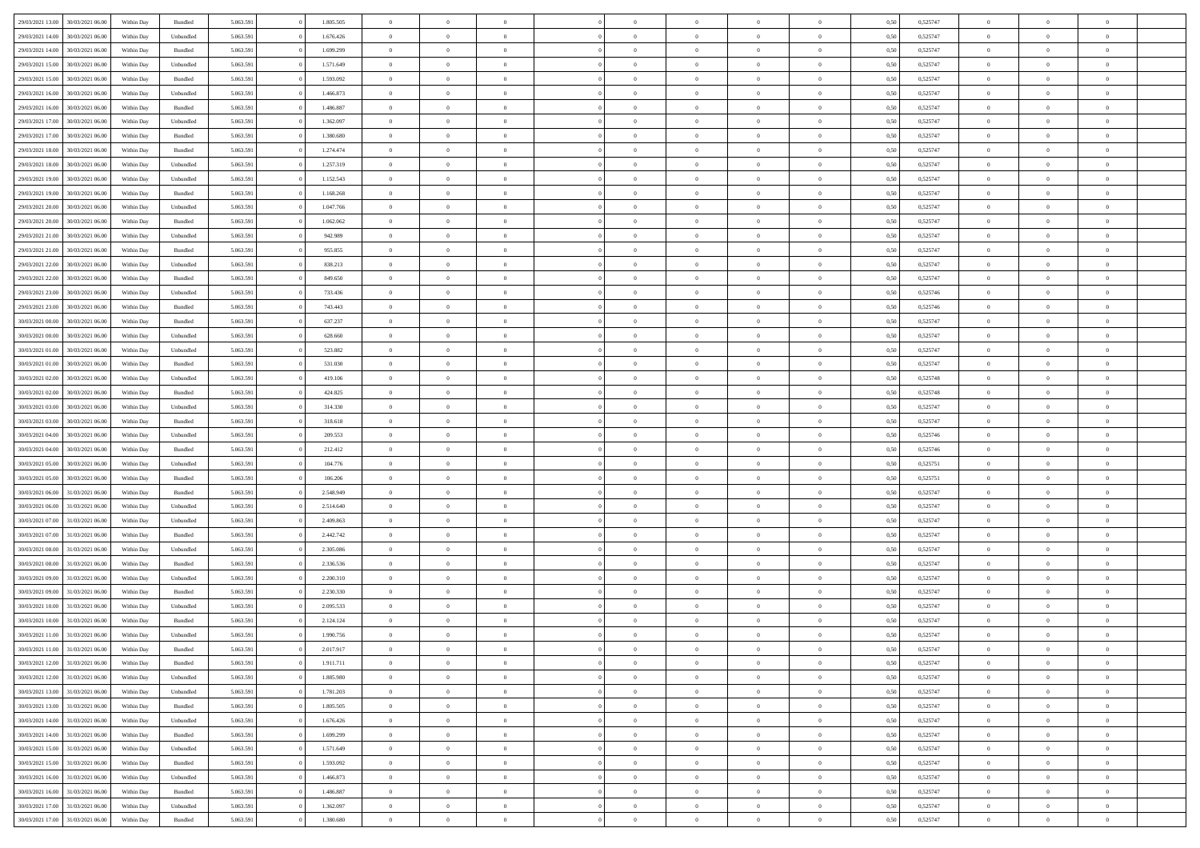| 29/03/2021 13:00 | 30/03/2021 06:00 | Within Day | Bundled            | 5.063.591 | 1.805.505 | $\overline{0}$ | $\theta$       |                | $\Omega$       | $\Omega$       | $\overline{0}$ | $\theta$       | 0.50 | 0,525747 | $\theta$       | $\overline{0}$ | $\overline{0}$ |  |
|------------------|------------------|------------|--------------------|-----------|-----------|----------------|----------------|----------------|----------------|----------------|----------------|----------------|------|----------|----------------|----------------|----------------|--|
|                  |                  |            |                    |           |           |                |                |                |                |                |                |                |      |          |                |                |                |  |
| 29/03/2021 14:00 | 30/03/2021 06:00 | Within Day | Unbundled          | 5.063.591 | 1.676.426 | $\overline{0}$ | $\theta$       | $\overline{0}$ | $\overline{0}$ | $\bf{0}$       | $\overline{0}$ | $\bf{0}$       | 0,50 | 0,525747 | $\theta$       | $\overline{0}$ | $\overline{0}$ |  |
| 29/03/2021 14:00 | 30/03/2021 06:00 | Within Day | Bundled            | 5.063.591 | 1.699.299 | $\overline{0}$ | $\bf{0}$       | $\overline{0}$ | $\overline{0}$ | $\bf{0}$       | $\overline{0}$ | $\mathbf{0}$   | 0,50 | 0,525747 | $\overline{0}$ | $\overline{0}$ | $\overline{0}$ |  |
| 29/03/2021 15:00 | 30/03/2021 06:00 | Within Dav | Unbundled          | 5.063.591 | 1.571.649 | $\overline{0}$ | $\overline{0}$ | $\overline{0}$ | $\overline{0}$ | $\bf{0}$       | $\overline{0}$ | $\overline{0}$ | 0.50 | 0,525747 | $\theta$       | $\theta$       | $\overline{0}$ |  |
| 29/03/2021 15:00 | 30/03/2021 06:00 | Within Day | Bundled            | 5.063.591 | 1.593.092 | $\overline{0}$ | $\theta$       | $\overline{0}$ | $\overline{0}$ | $\bf{0}$       | $\overline{0}$ | $\bf{0}$       | 0,50 | 0,525747 | $\theta$       | $\overline{0}$ | $\overline{0}$ |  |
| 29/03/2021 16:00 | 30/03/2021 06:00 | Within Day | Unbundled          | 5.063.591 | 1.466.873 | $\overline{0}$ | $\overline{0}$ | $\overline{0}$ | $\overline{0}$ | $\overline{0}$ | $\overline{0}$ | $\mathbf{0}$   | 0,50 | 0,525747 | $\overline{0}$ | $\overline{0}$ | $\bf{0}$       |  |
|                  |                  |            |                    |           |           |                | $\overline{0}$ |                |                | $\overline{0}$ |                |                |      |          | $\theta$       | $\overline{0}$ | $\overline{0}$ |  |
| 29/03/2021 16:00 | 30/03/2021 06:00 | Within Dav | Bundled            | 5.063.591 | 1.486.887 | $\overline{0}$ |                | $\overline{0}$ | $\overline{0}$ |                | $\overline{0}$ | $\overline{0}$ | 0.50 | 0,525747 |                |                |                |  |
| 29/03/2021 17:00 | 30/03/2021 06:00 | Within Day | Unbundled          | 5.063.591 | 1.362.097 | $\overline{0}$ | $\theta$       | $\overline{0}$ | $\overline{0}$ | $\bf{0}$       | $\overline{0}$ | $\bf{0}$       | 0,50 | 0,525747 | $\theta$       | $\theta$       | $\overline{0}$ |  |
| 29/03/2021 17:00 | 30/03/2021 06:00 | Within Day | Bundled            | 5.063.591 | 1.380.680 | $\overline{0}$ | $\overline{0}$ | $\overline{0}$ | $\bf{0}$       | $\bf{0}$       | $\bf{0}$       | $\bf{0}$       | 0,50 | 0,525747 | $\,0\,$        | $\overline{0}$ | $\overline{0}$ |  |
| 29/03/2021 18:00 | 30/03/2021 06:00 | Within Dav | Bundled            | 5.063.591 | 1.274.474 | $\overline{0}$ | $\overline{0}$ | $\overline{0}$ | $\overline{0}$ | $\overline{0}$ | $\overline{0}$ | $\overline{0}$ | 0.50 | 0,525747 | $\theta$       | $\overline{0}$ | $\overline{0}$ |  |
| 29/03/2021 18:00 | 30/03/2021 06:00 | Within Day | Unbundled          | 5.063.591 | 1.257.319 | $\overline{0}$ | $\theta$       | $\overline{0}$ | $\overline{0}$ | $\bf{0}$       | $\overline{0}$ | $\bf{0}$       | 0,50 | 0,525747 | $\,$ 0 $\,$    | $\overline{0}$ | $\overline{0}$ |  |
| 29/03/2021 19:00 | 30/03/2021 06:00 | Within Day | Unbundled          | 5.063.591 | 1.152.543 | $\overline{0}$ | $\overline{0}$ | $\overline{0}$ | $\bf{0}$       | $\bf{0}$       | $\bf{0}$       | $\mathbf{0}$   | 0,50 | 0,525747 | $\bf{0}$       | $\overline{0}$ | $\bf{0}$       |  |
| 29/03/2021 19:00 | 30/03/2021 06:00 | Within Day | Bundled            | 5.063.591 | 1.168.268 | $\overline{0}$ | $\overline{0}$ | $\overline{0}$ | $\overline{0}$ | $\bf{0}$       | $\overline{0}$ | $\overline{0}$ | 0.50 | 0,525747 | $\theta$       | $\theta$       | $\overline{0}$ |  |
| 29/03/2021 20:00 | 30/03/2021 06:00 |            |                    | 5.063.591 | 1.047.766 | $\overline{0}$ | $\theta$       | $\overline{0}$ | $\overline{0}$ | $\bf{0}$       | $\overline{0}$ |                |      | 0,525747 | $\theta$       | $\overline{0}$ | $\overline{0}$ |  |
|                  |                  | Within Day | Unbundled          |           |           |                |                |                |                |                |                | $\bf{0}$       | 0,50 |          |                |                |                |  |
| 29/03/2021 20:00 | 30/03/2021 06:00 | Within Day | Bundled            | 5.063.591 | 1.062.062 | $\overline{0}$ | $\overline{0}$ | $\overline{0}$ | $\bf{0}$       | $\overline{0}$ | $\overline{0}$ | $\mathbf{0}$   | 0,50 | 0,525747 | $\bf{0}$       | $\overline{0}$ | $\bf{0}$       |  |
| 29/03/2021 21:00 | 30/03/2021 06:00 | Within Dav | Unbundled          | 5.063.591 | 942.989   | $\overline{0}$ | $\overline{0}$ | $\overline{0}$ | $\overline{0}$ | $\overline{0}$ | $\overline{0}$ | $\overline{0}$ | 0.50 | 0,525747 | $\theta$       | $\overline{0}$ | $\overline{0}$ |  |
| 29/03/2021 21:00 | 30/03/2021 06:00 | Within Day | Bundled            | 5.063.591 | 955.855   | $\overline{0}$ | $\theta$       | $\overline{0}$ | $\overline{0}$ | $\bf{0}$       | $\overline{0}$ | $\bf{0}$       | 0,50 | 0,525747 | $\theta$       | $\theta$       | $\overline{0}$ |  |
| 29/03/2021 22.00 | 30/03/2021 06:00 | Within Day | Unbundled          | 5.063.591 | 838.213   | $\overline{0}$ | $\overline{0}$ | $\overline{0}$ | $\bf{0}$       | $\bf{0}$       | $\bf{0}$       | $\bf{0}$       | 0,50 | 0,525747 | $\bf{0}$       | $\overline{0}$ | $\overline{0}$ |  |
| 29/03/2021 22.00 | 30/03/2021 06:00 | Within Dav | Bundled            | 5.063.591 | 849.650   | $\overline{0}$ | $\overline{0}$ | $\overline{0}$ | $\overline{0}$ | $\overline{0}$ | $\overline{0}$ | $\overline{0}$ | 0.50 | 0,525747 | $\theta$       | $\overline{0}$ | $\overline{0}$ |  |
| 29/03/2021 23:00 | 30/03/2021 06:00 | Within Day | Unbundled          | 5.063.591 | 733.436   | $\overline{0}$ | $\theta$       | $\overline{0}$ | $\overline{0}$ | $\bf{0}$       | $\overline{0}$ | $\bf{0}$       | 0,50 | 0,525746 | $\,$ 0 $\,$    | $\overline{0}$ | $\overline{0}$ |  |
| 29/03/2021 23.00 | 30/03/2021 06:00 | Within Day | Bundled            | 5.063.591 | 743.443   | $\overline{0}$ | $\overline{0}$ | $\overline{0}$ | $\bf{0}$       | $\bf{0}$       | $\bf{0}$       | $\bf{0}$       | 0,50 | 0,525746 | $\overline{0}$ | $\overline{0}$ | $\bf{0}$       |  |
| 30/03/2021 00:00 | 30/03/2021 06:00 | Within Day | Bundled            | 5.063.591 | 637.237   | $\overline{0}$ | $\overline{0}$ | $\overline{0}$ | $\overline{0}$ | $\bf{0}$       | $\overline{0}$ | $\overline{0}$ | 0.50 | 0,525747 | $\theta$       | $\overline{0}$ | $\overline{0}$ |  |
|                  |                  |            |                    |           |           |                |                |                |                |                |                |                |      |          |                |                |                |  |
| 30/03/2021 00:00 | 30/03/2021 06:00 | Within Day | Unbundled          | 5.063.591 | 628.660   | $\overline{0}$ | $\theta$       | $\overline{0}$ | $\overline{0}$ | $\bf{0}$       | $\overline{0}$ | $\bf{0}$       | 0,50 | 0,525747 | $\,$ 0 $\,$    | $\overline{0}$ | $\overline{0}$ |  |
| 30/03/2021 01:00 | 30/03/2021 06:00 | Within Day | Unbundled          | 5.063.591 | 523.882   | $\overline{0}$ | $\overline{0}$ | $\overline{0}$ | $\bf{0}$       | $\overline{0}$ | $\overline{0}$ | $\mathbf{0}$   | 0,50 | 0,525747 | $\overline{0}$ | $\overline{0}$ | $\bf{0}$       |  |
| 30/03/2021 01:00 | 30/03/2021 06:00 | Within Dav | Bundled            | 5.063.591 | 531.030   | $\overline{0}$ | $\overline{0}$ | $\overline{0}$ | $\overline{0}$ | $\overline{0}$ | $\overline{0}$ | $\overline{0}$ | 0.50 | 0,525747 | $\theta$       | $\overline{0}$ | $\overline{0}$ |  |
| 30/03/2021 02:00 | 30/03/2021 06:00 | Within Day | Unbundled          | 5.063.591 | 419.106   | $\overline{0}$ | $\theta$       | $\overline{0}$ | $\overline{0}$ | $\bf{0}$       | $\overline{0}$ | $\bf{0}$       | 0,50 | 0,525748 | $\theta$       | $\theta$       | $\overline{0}$ |  |
| 30/03/2021 02:00 | 30/03/2021 06:00 | Within Day | Bundled            | 5.063.591 | 424.825   | $\overline{0}$ | $\overline{0}$ | $\overline{0}$ | $\bf{0}$       | $\bf{0}$       | $\bf{0}$       | $\bf{0}$       | 0,50 | 0,525748 | $\,0\,$        | $\overline{0}$ | $\overline{0}$ |  |
| 30/03/2021 03:00 | 30/03/2021 06:00 | Within Day | Unbundled          | 5.063.591 | 314.330   | $\overline{0}$ | $\overline{0}$ | $\overline{0}$ | $\overline{0}$ | $\overline{0}$ | $\overline{0}$ | $\overline{0}$ | 0.50 | 0,525747 | $\theta$       | $\overline{0}$ | $\overline{0}$ |  |
| 30/03/2021 03:00 | 30/03/2021 06:00 | Within Day | Bundled            | 5.063.591 | 318.618   | $\overline{0}$ | $\theta$       | $\overline{0}$ | $\overline{0}$ | $\bf{0}$       | $\overline{0}$ | $\bf{0}$       | 0,50 | 0,525747 | $\,$ 0 $\,$    | $\overline{0}$ | $\overline{0}$ |  |
|                  |                  |            |                    |           |           |                |                |                |                |                |                |                |      |          |                |                |                |  |
| 30/03/2021 04:00 | 30/03/2021 06:00 | Within Day | Unbundled          | 5.063.591 | 209.553   | $\overline{0}$ | $\overline{0}$ | $\overline{0}$ | $\bf{0}$       | $\bf{0}$       | $\bf{0}$       | $\bf{0}$       | 0,50 | 0,525746 | $\bf{0}$       | $\overline{0}$ | $\bf{0}$       |  |
| 30/03/2021 04:00 | 30/03/2021 06:00 | Within Day | Bundled            | 5.063.591 | 212.412   | $\overline{0}$ | $\Omega$       | $\Omega$       | $\Omega$       | $\Omega$       | $\overline{0}$ | $\overline{0}$ | 0,50 | 0,525746 | $\,0\,$        | $\theta$       | $\theta$       |  |
| 30/03/2021 05:00 | 30/03/2021 06:00 | Within Day | Unbundled          | 5.063.591 | 104.776   | $\overline{0}$ | $\theta$       | $\overline{0}$ | $\overline{0}$ | $\bf{0}$       | $\overline{0}$ | $\bf{0}$       | 0,50 | 0,525751 | $\theta$       | $\overline{0}$ | $\overline{0}$ |  |
| 30/03/2021 05:00 | 30/03/2021 06:00 | Within Day | Bundled            | 5.063.591 | 106.206   | $\overline{0}$ | $\overline{0}$ | $\overline{0}$ | $\overline{0}$ | $\overline{0}$ | $\overline{0}$ | $\mathbf{0}$   | 0,50 | 0,525751 | $\bf{0}$       | $\overline{0}$ | $\bf{0}$       |  |
| 30/03/2021 06:00 | 31/03/2021 06:00 | Within Day | Bundled            | 5.063.591 | 2.548.949 | $\overline{0}$ | $\Omega$       | $\Omega$       | $\Omega$       | $\bf{0}$       | $\overline{0}$ | $\overline{0}$ | 0.50 | 0,525747 | $\,0\,$        | $\theta$       | $\theta$       |  |
| 30/03/2021 06:00 | 31/03/2021 06:00 | Within Day | Unbundled          | 5.063.591 | 2.514.640 | $\overline{0}$ | $\theta$       | $\overline{0}$ | $\overline{0}$ | $\bf{0}$       | $\overline{0}$ | $\bf{0}$       | 0,50 | 0,525747 | $\,$ 0 $\,$    | $\overline{0}$ | $\overline{0}$ |  |
| 30/03/2021 07:00 | 31/03/2021 06:00 | Within Day | Unbundled          | 5.063.591 | 2.409.863 | $\overline{0}$ | $\overline{0}$ | $\overline{0}$ | $\overline{0}$ | $\bf{0}$       | $\overline{0}$ | $\bf{0}$       | 0,50 | 0,525747 | $\bf{0}$       | $\overline{0}$ | $\bf{0}$       |  |
| 30/03/2021 07:00 | 31/03/2021 06:00 | Within Day | Bundled            | 5.063.591 | 2.442.742 | $\overline{0}$ | $\Omega$       | $\Omega$       | $\Omega$       | $\theta$       | $\overline{0}$ | $\overline{0}$ | 0.50 | 0,525747 | $\,$ 0 $\,$    | $\theta$       | $\theta$       |  |
| 30/03/2021 08:00 | 31/03/2021 06:00 |            |                    | 5.063.591 | 2.305.086 | $\overline{0}$ | $\theta$       | $\overline{0}$ | $\overline{0}$ | $\bf{0}$       | $\overline{0}$ |                |      | 0,525747 | $\,$ 0 $\,$    | $\overline{0}$ | $\overline{0}$ |  |
|                  |                  | Within Day | Unbundled          |           |           |                |                |                |                |                |                | $\bf{0}$       | 0,50 |          |                |                |                |  |
| 30/03/2021 08:00 | 31/03/2021 06:00 | Within Day | Bundled            | 5.063.591 | 2.336.536 | $\overline{0}$ | $\bf{0}$       | $\overline{0}$ | $\overline{0}$ | $\bf{0}$       | $\overline{0}$ | $\bf{0}$       | 0,50 | 0,525747 | $\bf{0}$       | $\overline{0}$ | $\bf{0}$       |  |
| 30/03/2021 09:00 | 31/03/2021 06:00 | Within Day | Unbundled          | 5.063.591 | 2.200.310 | $\overline{0}$ | $\Omega$       | $\overline{0}$ | $\Omega$       | $\overline{0}$ | $\overline{0}$ | $\overline{0}$ | 0,50 | 0,525747 | $\,0\,$        | $\theta$       | $\theta$       |  |
| 30/03/2021 09:00 | 31/03/2021 06:00 | Within Day | Bundled            | 5.063.591 | 2.230.330 | $\overline{0}$ | $\overline{0}$ | $\overline{0}$ | $\overline{0}$ | $\bf{0}$       | $\overline{0}$ | $\bf{0}$       | 0,50 | 0,525747 | $\,$ 0 $\,$    | $\overline{0}$ | $\overline{0}$ |  |
| 30/03/2021 10:00 | 31/03/2021 06:00 | Within Day | Unbundled          | 5.063.591 | 2.095.533 | $\overline{0}$ | $\overline{0}$ | $\overline{0}$ | $\overline{0}$ | $\bf{0}$       | $\overline{0}$ | $\mathbf{0}$   | 0,50 | 0,525747 | $\bf{0}$       | $\overline{0}$ | $\bf{0}$       |  |
| 30/03/2021 10:00 | 31/03/2021 06:00 | Within Day | Bundled            | 5.063.591 | 2.124.124 | $\overline{0}$ | $\Omega$       | $\Omega$       | $\Omega$       | $\Omega$       | $\Omega$       | $\overline{0}$ | 0.50 | 0,525747 | $\theta$       | $\theta$       | $\theta$       |  |
| 30/03/2021 11:00 | 31/03/2021 06:00 | Within Day | Unbundled          | 5.063.591 | 1.990.756 | $\overline{0}$ | $\overline{0}$ | $\overline{0}$ | $\bf{0}$       | $\,$ 0         | $\overline{0}$ | $\bf{0}$       | 0,50 | 0,525747 | $\,0\,$        | $\,$ 0 $\,$    | $\overline{0}$ |  |
| 30/03/2021 11:00 | 31/03/2021 06:00 | Within Day | $\mathbf B$ undled | 5.063.591 | 2.017.917 | $\bf{0}$       | $\bf{0}$       |                |                |                |                |                | 0,50 | 0,525747 | $\bf{0}$       | $\overline{0}$ |                |  |
| 30/03/2021 12:00 | 31/03/2021 06:00 | Within Day | Bundled            | 5.063.591 | 1.911.711 | $\overline{0}$ | $\overline{0}$ | $\overline{0}$ | $\Omega$       | $\overline{0}$ | $\overline{0}$ | $\overline{0}$ | 0,50 | 0,525747 | $\theta$       | $\theta$       | $\theta$       |  |
|                  |                  |            |                    |           |           |                |                |                |                |                |                |                |      |          |                |                |                |  |
| 30/03/2021 12:00 | 31/03/2021 06:00 | Within Day | Unbundled          | 5.063.591 | 1.885.980 | $\overline{0}$ | $\,$ 0         | $\overline{0}$ | $\overline{0}$ | $\,$ 0 $\,$    | $\overline{0}$ | $\mathbf{0}$   | 0,50 | 0,525747 | $\,$ 0 $\,$    | $\,$ 0 $\,$    | $\,$ 0         |  |
| 30/03/2021 13:00 | 31/03/2021 06:00 | Within Day | Unbundled          | 5.063.591 | 1.781.203 | $\overline{0}$ | $\overline{0}$ | $\overline{0}$ | $\overline{0}$ | $\overline{0}$ | $\overline{0}$ | $\mathbf{0}$   | 0,50 | 0,525747 | $\overline{0}$ | $\bf{0}$       | $\bf{0}$       |  |
| 30/03/2021 13:00 | 31/03/2021 06:00 | Within Day | Bundled            | 5.063.591 | 1.805.505 | $\overline{0}$ | $\overline{0}$ | $\overline{0}$ | $\Omega$       | $\overline{0}$ | $\overline{0}$ | $\overline{0}$ | 0,50 | 0,525747 | $\overline{0}$ | $\theta$       | $\overline{0}$ |  |
| 30/03/2021 14:00 | 31/03/2021 06:00 | Within Day | Unbundled          | 5.063.591 | 1.676.426 | $\overline{0}$ | $\,$ 0         | $\overline{0}$ | $\overline{0}$ | $\,$ 0 $\,$    | $\overline{0}$ | $\mathbf{0}$   | 0,50 | 0,525747 | $\,$ 0 $\,$    | $\overline{0}$ | $\overline{0}$ |  |
| 30/03/2021 14:00 | 31/03/2021 06:00 | Within Day | Bundled            | 5.063.591 | 1.699.299 | $\overline{0}$ | $\overline{0}$ | $\overline{0}$ | $\overline{0}$ | $\overline{0}$ | $\overline{0}$ | $\mathbf{0}$   | 0,50 | 0,525747 | $\overline{0}$ | $\overline{0}$ | $\bf{0}$       |  |
| 30/03/2021 15:00 | 31/03/2021 06:00 | Within Day | Unbundled          | 5.063.591 | 1.571.649 | $\overline{0}$ | $\overline{0}$ | $\overline{0}$ | $\Omega$       | $\overline{0}$ | $\overline{0}$ | $\bf{0}$       | 0.50 | 0,525747 | $\overline{0}$ | $\theta$       | $\overline{0}$ |  |
| 30/03/2021 15:00 | 31/03/2021 06:00 | Within Day | Bundled            | 5.063.591 | 1.593.092 | $\overline{0}$ | $\,$ 0         | $\overline{0}$ | $\overline{0}$ | $\bf{0}$       | $\overline{0}$ | $\bf{0}$       | 0,50 | 0,525747 | $\,$ 0 $\,$    | $\overline{0}$ | $\overline{0}$ |  |
| 30/03/2021 16:00 | 31/03/2021 06:00 | Within Day | Unbundled          | 5.063.591 | 1.466.873 | $\overline{0}$ | $\bf{0}$       | $\overline{0}$ | $\overline{0}$ | $\overline{0}$ | $\overline{0}$ | $\mathbf{0}$   | 0,50 | 0,525747 | $\overline{0}$ | $\overline{0}$ | $\bf{0}$       |  |
|                  |                  |            |                    |           |           |                |                |                |                |                |                |                |      |          |                |                |                |  |
| 30/03/2021 16:00 | 31/03/2021 06:00 | Within Day | Bundled            | 5.063.591 | 1.486.887 | $\overline{0}$ | $\overline{0}$ | $\overline{0}$ | $\Omega$       | $\overline{0}$ | $\overline{0}$ | $\bf{0}$       | 0.50 | 0,525747 | $\overline{0}$ | $\theta$       | $\overline{0}$ |  |
| 30/03/2021 17:00 | 31/03/2021 06:00 | Within Day | Unbundled          | 5.063.591 | 1.362.097 | $\overline{0}$ | $\bf{0}$       | $\overline{0}$ | $\overline{0}$ | $\bf{0}$       | $\overline{0}$ | $\mathbf{0}$   | 0,50 | 0,525747 | $\,$ 0 $\,$    | $\,$ 0 $\,$    | $\bf{0}$       |  |
| 30/03/2021 17:00 | 31/03/2021 06:00 | Within Day | Bundled            | 5.063.591 | 1.380.680 | $\overline{0}$ | $\overline{0}$ | $\overline{0}$ | $\overline{0}$ | $\bf{0}$       | $\bf{0}$       | $\mathbf{0}$   | 0,50 | 0,525747 | $\overline{0}$ | $\bf{0}$       | $\bf{0}$       |  |